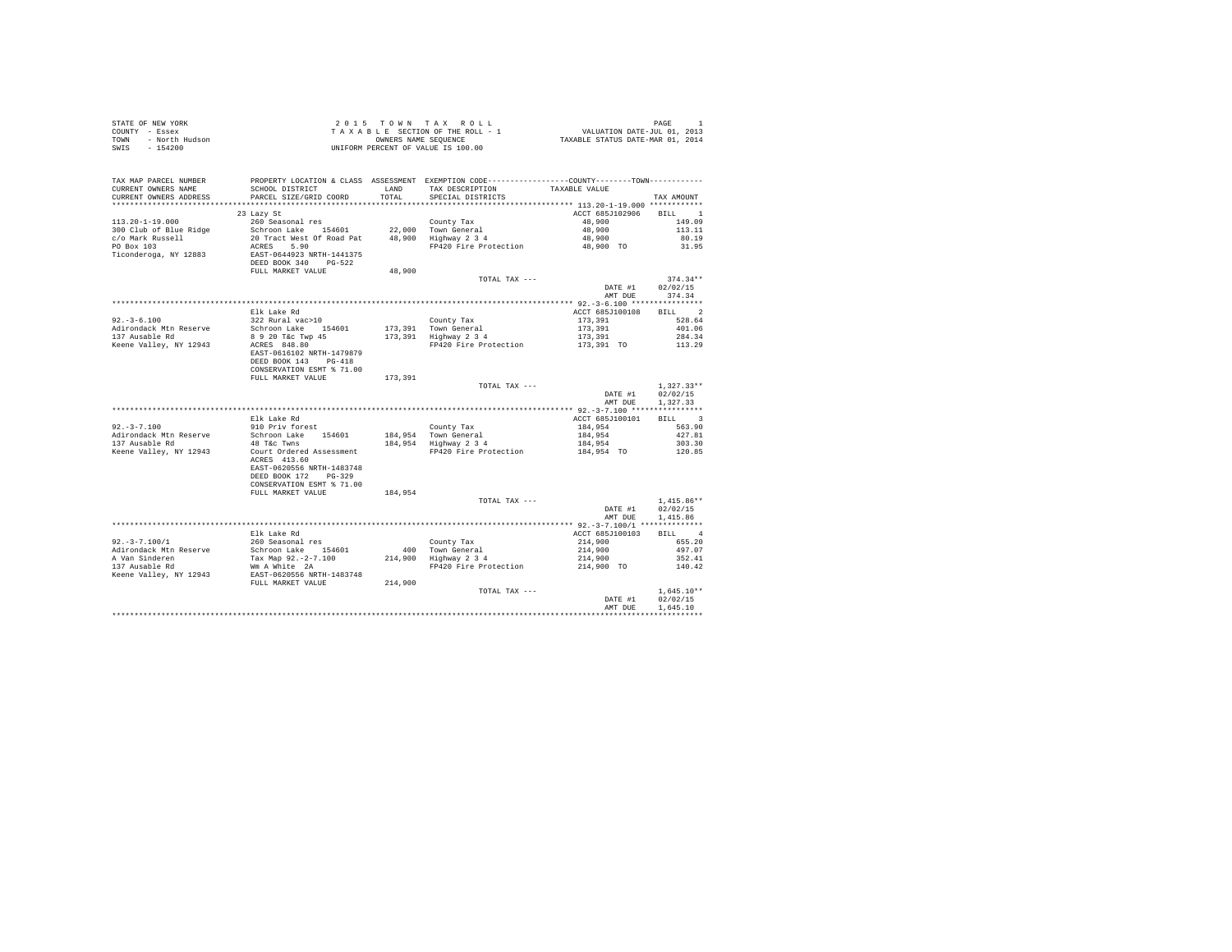| TAX MAP PARCEL NUMBER<br>CURRENT OWNERS NAME<br>CURRENT OWNERS ADDRESS | SCHOOL DISTRICT<br>PARCEL SIZE/GRID COORD                                                                                                                       | TOTAL   | PROPERTY LOCATION & CLASS ASSESSMENT EXEMPTION CODE---------------COUNTY-------TOWN---------<br>LAND TAX DESCRIPTION TAXABLE VALUE<br>SPECIAL DISTRICTS |                        | TAX AMOUNT       |  |
|------------------------------------------------------------------------|-----------------------------------------------------------------------------------------------------------------------------------------------------------------|---------|---------------------------------------------------------------------------------------------------------------------------------------------------------|------------------------|------------------|--|
|                                                                        |                                                                                                                                                                 |         |                                                                                                                                                         |                        |                  |  |
|                                                                        | 23 Lazy St                                                                                                                                                      |         |                                                                                                                                                         | ACCT 685J102906 BILL 1 |                  |  |
| $113.20 - 1 - 19.000$                                                  | 260 Seasonal res                                                                                                                                                |         | County Tax                                                                                                                                              | 48,900                 | 149.09           |  |
| 300 Club of Blue Ridge                                                 | Schroon Lake 154601 22,000 Town General                                                                                                                         |         |                                                                                                                                                         | 48,900                 | 113.11           |  |
| c/o Mark Russell                                                       | 20 Tract West Of Road Pat 48,900 Highway 2 3 4<br>ACRES 5 00 C Road Pat 48,900 Highway 2 3 4                                                                    |         |                                                                                                                                                         | 48,900                 | 80.19            |  |
| PO Box 103                                                             | ACRES 5.90                                                                                                                                                      |         | FP420 Fire Protection 48,900 TO                                                                                                                         |                        | 31.95            |  |
| Ticonderoga, NY 12883                                                  | EAST-0644923 NRTH-1441375<br>DEED BOOK 340 PG-522                                                                                                               |         |                                                                                                                                                         |                        |                  |  |
|                                                                        | FULL MARKET VALUE                                                                                                                                               | 48,900  |                                                                                                                                                         |                        |                  |  |
|                                                                        |                                                                                                                                                                 |         | TOTAL TAX ---                                                                                                                                           |                        | $374.34**$       |  |
|                                                                        |                                                                                                                                                                 |         |                                                                                                                                                         |                        | DATE #1 02/02/15 |  |
|                                                                        |                                                                                                                                                                 |         |                                                                                                                                                         |                        | AMT DUE 374.34   |  |
|                                                                        | Elk Lake Rd                                                                                                                                                     |         |                                                                                                                                                         | ACCT 685J100108 BILL 2 |                  |  |
| $92. - 3 - 6.100$                                                      | 322 Rural vac>10                                                                                                                                                |         | County Tax                                                                                                                                              | 173,391                | 528.64           |  |
| Adirondack Mtn Reserve                                                 | Schroon Lake 154601                                                                                                                                             |         | 173,391 Town General                                                                                                                                    | 173,391                | 401.06           |  |
| 137 Ausable Rd                                                         |                                                                                                                                                                 |         |                                                                                                                                                         | 173,391                | 284.34           |  |
| Keene Valley, NY 12943                                                 | 8 9 20 T&c Twp 45 173,391 Highway 2 3 4<br>ACRES 848.80 FP420 Fire Protection<br>EAST-0616102 NRTH-1479879<br>DEED BOOK 143 PG-418<br>CONSERVATION ESMT % 71.00 |         |                                                                                                                                                         | 173,391 TO             | 113.29           |  |
|                                                                        | FULL MARKET VALUE 173,391                                                                                                                                       |         |                                                                                                                                                         |                        |                  |  |
|                                                                        |                                                                                                                                                                 |         | TOTAL TAX ---                                                                                                                                           |                        | $1.327.33**$     |  |
|                                                                        |                                                                                                                                                                 |         |                                                                                                                                                         |                        | DATE #1 02/02/15 |  |
|                                                                        |                                                                                                                                                                 |         |                                                                                                                                                         |                        | AMT DUE 1,327,33 |  |
|                                                                        |                                                                                                                                                                 |         |                                                                                                                                                         |                        |                  |  |
|                                                                        | Elk Lake Rd                                                                                                                                                     |         |                                                                                                                                                         | ACCT 685J100101        | BILL 3           |  |
| $92. -3 - 7.100$                                                       | 910 Priv forest                                                                                                                                                 |         | County Tax                                                                                                                                              | 184.954 563.90         |                  |  |
| Adirondack Mtn Reserve                                                 | Schroon Lake 154601                                                                                                                                             |         | 184,954 Town General<br>184,954 Highway 2 3 4                                                                                                           | 184,954                | 427.81           |  |
| 137 Ausable Rd                                                         | 48 T&C Twns                                                                                                                                                     |         |                                                                                                                                                         | 184,954                | 303.30           |  |
| Keene Valley, NY 12943                                                 | ACRES 413.60<br>EAST-0620556 NRTH-1483748                                                                                                                       |         | Court Ordered Assessment FP420 Fire Protection                                                                                                          | 184,954 TO             | 120.85           |  |
|                                                                        | CONSERVATION ESMT % 71.00<br>FULL MARKET VALUE                                                                                                                  | 184,954 |                                                                                                                                                         |                        |                  |  |
|                                                                        |                                                                                                                                                                 |         | TOTAL TAX ---                                                                                                                                           |                        | $1.415.86**$     |  |
|                                                                        |                                                                                                                                                                 |         |                                                                                                                                                         | DATE #1 02/02/15       |                  |  |
|                                                                        |                                                                                                                                                                 |         |                                                                                                                                                         | AMT DUE                | 1,415.86         |  |
|                                                                        | Elk Lake Rd                                                                                                                                                     |         |                                                                                                                                                         | ACCT 685J100103 BILL 4 |                  |  |
| $92. -3 - 7.100/1$                                                     | 260 Seasonal res                                                                                                                                                |         | County Tax                                                                                                                                              | 214,900                | 655.20           |  |
| Adirondack Mtn Reserve                                                 | Schroon Lake 154601                                                                                                                                             |         | 400 Town General                                                                                                                                        | 214,900                | 497.07           |  |
| A Van Sinderen                                                         | Tax Map 92.-2-7.100                                                                                                                                             |         | 214,900 Highway 2 3 4                                                                                                                                   | 214,900                | 352.41           |  |
| 137 Ausable Rd                                                         | Wm A White 2A                                                                                                                                                   |         | FP420 Fire Protection                                                                                                                                   | 214,900 TO             | 140.42           |  |
| Keene Valley, NY 12943                                                 | EAST-0620556 NRTH-1483748                                                                                                                                       |         |                                                                                                                                                         |                        |                  |  |
|                                                                        | FULL MARKET VALUE 214,900                                                                                                                                       |         |                                                                                                                                                         |                        |                  |  |
|                                                                        |                                                                                                                                                                 |         | TOTAL TAX ---                                                                                                                                           |                        | $1.645.10**$     |  |
|                                                                        |                                                                                                                                                                 |         |                                                                                                                                                         | DATE #1                | 02/02/15         |  |
|                                                                        |                                                                                                                                                                 |         |                                                                                                                                                         | AMT DUE                | 1,645.10         |  |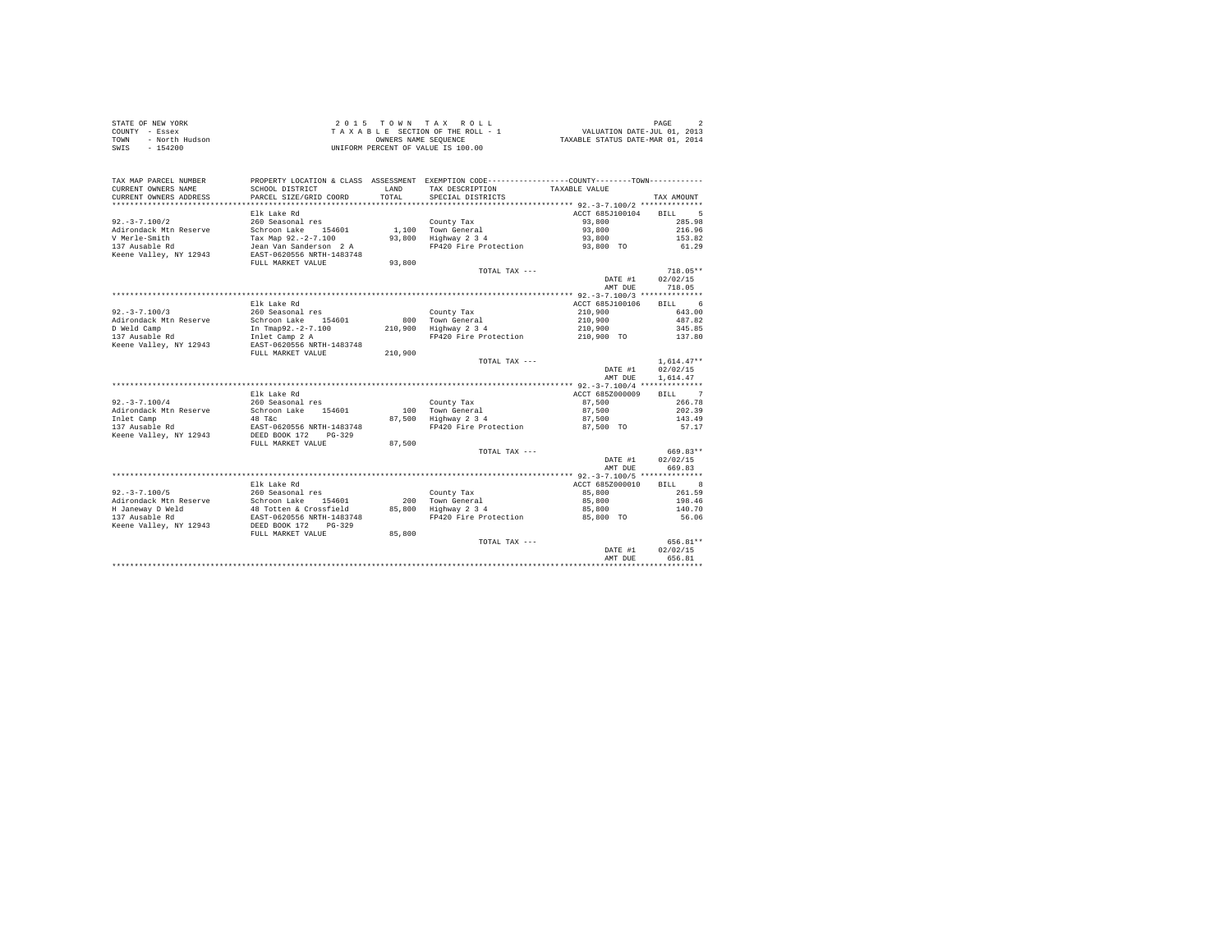| STATE OF NEW YORK      | 2015 TOWN TAX ROLL                 | PAGE                             |
|------------------------|------------------------------------|----------------------------------|
| COUNTY - Essex         | TAXABLE SECTION OF THE ROLL - 1    | VALUATION DATE-JUL 01, 2013      |
| TOWN<br>- North Hudson | OWNERS NAME SEOUENCE               | TAXABLE STATUS DATE-MAR 01, 2014 |
| - 154200<br>SWIS       | UNIFORM PERCENT OF VALUE IS 100.00 |                                  |

| TAX MAP PARCEL NUMBER<br>CURRENT OWNERS NAME<br>CURRENT OWNERS ADDRESS                                        | SCHOOL DISTRICT<br>PARCEL SIZE/GRID COORD                                                                                                                    | LAND<br>TOTAL             | PROPERTY LOCATION & CLASS ASSESSMENT EXEMPTION CODE---------------COUNTY-------TOWN---------<br>TAX DESCRIPTION<br>SPECIAL DISTRICTS | TAXABLE VALUE                                                  | TAX AMOUNT                                                           |
|---------------------------------------------------------------------------------------------------------------|--------------------------------------------------------------------------------------------------------------------------------------------------------------|---------------------------|--------------------------------------------------------------------------------------------------------------------------------------|----------------------------------------------------------------|----------------------------------------------------------------------|
| $92. - 3 - 7.100/2$<br>Adirondack Mtn Reserve<br>V Merle-Smith<br>137 Ausable Rd<br>Keene Valley, NY 12943    | Elk Lake Rd<br>260 Seasonal res<br>Schroon Lake<br>154601<br>Tax Map 92.-2-7.100<br>Jean Van Sanderson 2 A<br>EAST-0620556 NRTH-1483748<br>FULL MARKET VALUE | 1,100<br>93,800<br>93,800 | County Tax<br>Town General<br>Highway 2 3 4<br>FP420 Fire Protection                                                                 | ACCT 685J100104<br>93,800<br>93,800<br>93,800<br>93,800 TO     | 5<br><b>BILL</b><br>285.98<br>216.96<br>153.82<br>61.29              |
|                                                                                                               |                                                                                                                                                              |                           | TOTAL TAX ---                                                                                                                        | DATE #1<br>AMT DUE                                             | $718.05**$<br>02/02/15<br>718.05                                     |
|                                                                                                               |                                                                                                                                                              |                           |                                                                                                                                      |                                                                |                                                                      |
| $92. -3 - 7.100/3$<br>Adirondack Mtn Reserve<br>D Weld Camp<br>137 Ausable Rd                                 | Elk Lake Rd<br>260 Seasonal res<br>Schroon Lake<br>154601<br>In Tmap92.-2-7.100<br>Inlet Camp 2 A                                                            | 800<br>210,900            | County Tax<br>Town General<br>Highway 2 3 4<br>FP420 Fire Protection                                                                 | ACCT 685J100106<br>210,900<br>210,900<br>210,900<br>210,900 TO | 6<br><b>BILL</b><br>643.00<br>487.82<br>345.85<br>137.80             |
| Keene Valley, NY 12943                                                                                        | EAST-0620556 NRTH-1483748<br>FULL MARKET VALUE                                                                                                               | 210,900                   |                                                                                                                                      |                                                                |                                                                      |
|                                                                                                               |                                                                                                                                                              |                           | TOTAL TAX ---                                                                                                                        | DATE #1<br>AMT DUE                                             | $1.614.47**$<br>02/02/15<br>1,614.47                                 |
|                                                                                                               |                                                                                                                                                              |                           |                                                                                                                                      | ************ 92.-3-7.100/4 **************                      |                                                                      |
| $92. - 3 - 7.100/4$<br>Adirondack Mtn Reserve<br>Inlet Camp<br>137 Ausable Rd<br>Keene Valley, NY 12943       | Elk Lake Rd<br>260 Seasonal res<br>154601<br>Schroon Lake<br>48 T&C<br>EAST-0620556 NRTH-1483748<br>DEED BOOK 172<br>$PG-329$                                | 100<br>87,500             | County Tax<br>Town General<br>Highway 2 3 4<br>FP420 Fire Protection                                                                 | ACCT 685Z000009<br>87,500<br>87,500<br>87,500<br>87,500 TO     | $\overline{7}$<br><b>BILL</b><br>266.78<br>202.39<br>143.49<br>57.17 |
|                                                                                                               | FULL MARKET VALUE                                                                                                                                            | 87,500                    |                                                                                                                                      |                                                                |                                                                      |
|                                                                                                               |                                                                                                                                                              |                           | TOTAL TAX ---                                                                                                                        | DATE #1<br>AMT DUE                                             | 669.83**<br>02/02/15<br>669.83                                       |
|                                                                                                               |                                                                                                                                                              |                           |                                                                                                                                      |                                                                |                                                                      |
| $92. - 3 - 7.100/5$<br>Adirondack Mtn Reserve<br>H Janeway D Weld<br>137 Ausable Rd<br>Keene Valley, NY 12943 | Elk Lake Rd<br>260 Seasonal res<br>Schroon Lake 154601<br>48 Totten & Crossfield<br>EAST-0620556 NRTH-1483748<br>DEED BOOK 172<br>$PG-329$                   | 200<br>85,800             | County Tax<br>Town General<br>Highway 2 3 4<br>FP420 Fire Protection                                                                 | ACCT 685Z000010<br>85,800<br>85,800<br>85,800<br>85,800 TO     | 8<br>BTLL.<br>261.59<br>198.46<br>140.70<br>56.06                    |
|                                                                                                               | FULL MARKET VALUE                                                                                                                                            | 85,800                    |                                                                                                                                      |                                                                |                                                                      |
|                                                                                                               |                                                                                                                                                              |                           | TOTAL TAX ---                                                                                                                        | DATE #1<br>AMT DUE                                             | 656.81**<br>02/02/15<br>656.81                                       |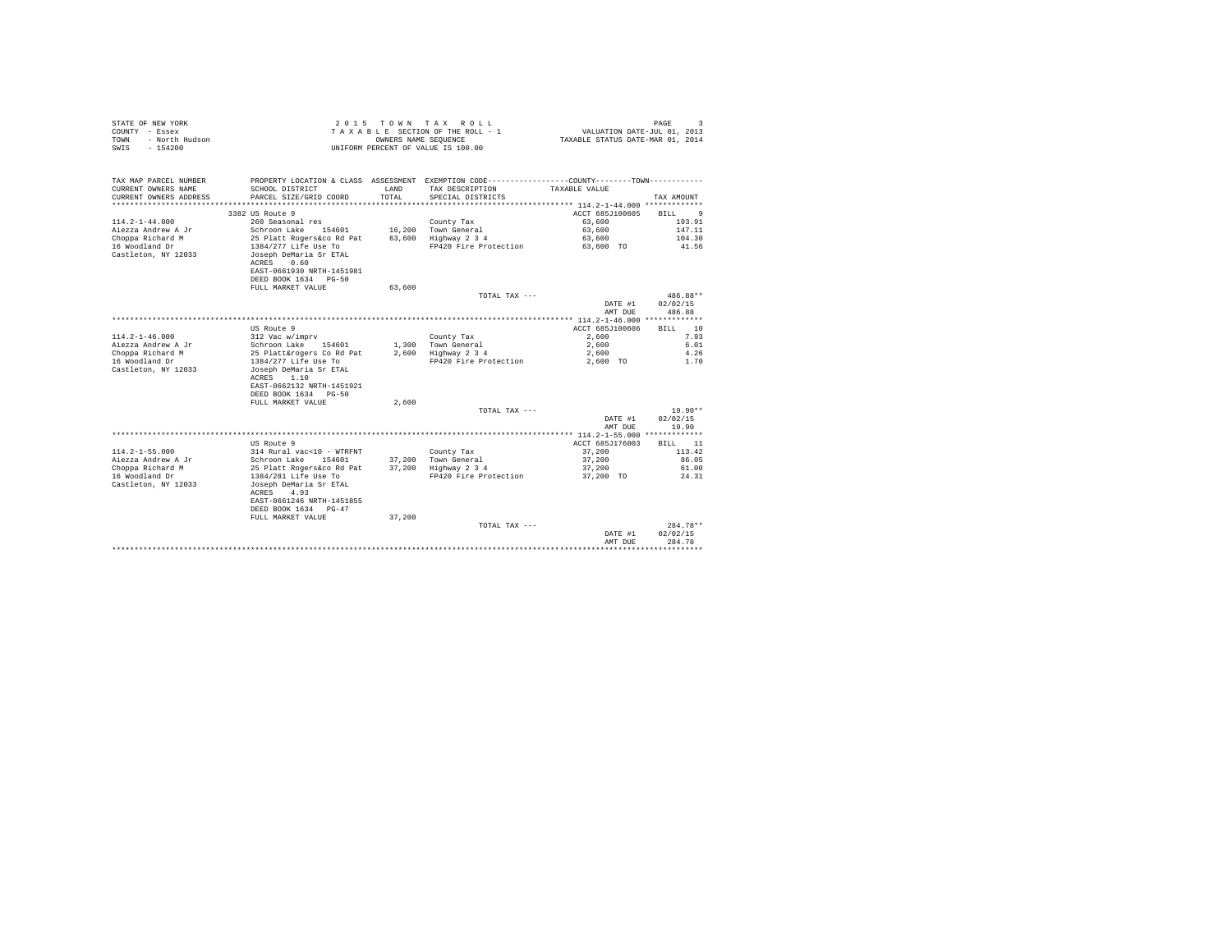| STATE OF NEW YORK<br>COUNTY - Essex<br>- North Hudson<br>TOWN<br>$-154200$<br>SWTS |                                                                      | OWNERS NAME SEQUENCE | 2015 TOWN TAX ROLL<br>TAXABLE SECTION OF THE ROLL - 1<br>UNIFORM PERCENT OF VALUE IS 100.00     | VALUATION DATE-JUL 01, 2013<br>TAXABLE STATUS DATE-MAR 01, 2014 | PAGE<br>$\mathbf{3}$ |
|------------------------------------------------------------------------------------|----------------------------------------------------------------------|----------------------|-------------------------------------------------------------------------------------------------|-----------------------------------------------------------------|----------------------|
| TAX MAP PARCEL NUMBER                                                              |                                                                      |                      | PROPERTY LOCATION & CLASS ASSESSMENT EXEMPTION CODE----------------COUNTY--------TOWN---------- |                                                                 |                      |
| CURRENT OWNERS NAME                                                                | SCHOOL DISTRICT                                                      | LAND                 | TAX DESCRIPTION                                                                                 | TAXABLE VALUE                                                   |                      |
| CURRENT OWNERS ADDRESS                                                             | PARCEL SIZE/GRID COORD                                               | TOTAL.               | SPECIAL DISTRICTS                                                                               |                                                                 | TAX AMOUNT           |
| ************************                                                           |                                                                      |                      |                                                                                                 |                                                                 |                      |
|                                                                                    | 3382 US Route 9                                                      |                      |                                                                                                 | ACCT 685J100605                                                 | RTLL.<br>-9          |
| $114.2 - 1 - 44.000$                                                               | 260 Seasonal res                                                     |                      | County Tax                                                                                      | 63,600                                                          | 193.91               |
| Aiezza Andrew A Jr                                                                 | Schroon Lake 154601                                                  |                      | 16,200 Town General                                                                             | 63,600                                                          | 147.11               |
| Choppa Richard M<br>16 Woodland Dr                                                 | 25 Platt Rogers&co Rd Pat<br>1384/277 Life Use To                    |                      | 63.600 Highway 2 3 4<br>FP420 Fire Protection                                                   | 63,600<br>63,600 TO                                             | 104.30<br>41.56      |
| Castleton, NY 12033                                                                | Joseph DeMaria Sr ETAL<br>ACRES<br>0.60<br>EAST-0661930 NRTH-1451981 |                      |                                                                                                 |                                                                 |                      |
|                                                                                    | DEED BOOK 1634 PG-50                                                 |                      |                                                                                                 |                                                                 |                      |
|                                                                                    | FULL MARKET VALUE                                                    | 63,600               |                                                                                                 |                                                                 |                      |
|                                                                                    |                                                                      |                      | TOTAL TAX ---                                                                                   |                                                                 | 486.88**             |
|                                                                                    |                                                                      |                      |                                                                                                 | DATE #1<br>AMT DUE                                              | 02/02/15<br>486.88   |
|                                                                                    |                                                                      |                      |                                                                                                 |                                                                 |                      |
|                                                                                    | US Route 9                                                           |                      |                                                                                                 | ACCT 685J100606                                                 | RTLL.<br>10          |
| $114.2 - 1 - 46.000$                                                               | 312 Vac w/imprv                                                      |                      | County Tax                                                                                      | 2,600                                                           | 7.93                 |
| Aiezza Andrew A Jr                                                                 | Schroon Lake<br>154601                                               |                      | 1,300 Town General                                                                              | 2,600                                                           | 6.01                 |
| Choppa Richard M                                                                   | 25 Platt&rogers Co Rd Pat                                            |                      | 2,600 Highway 2 3 4                                                                             | 2,600                                                           | 4.26                 |
| 16 Woodland Dr                                                                     | 1384/277 Life Use To                                                 |                      | FP420 Fire Protection                                                                           | 2,600 TO                                                        | 1.70                 |
| Castleton, NY 12033                                                                | Joseph DeMaria Sr ETAL                                               |                      |                                                                                                 |                                                                 |                      |
|                                                                                    | ACRES<br>1.10<br>EAST-0662132 NRTH-1451921                           |                      |                                                                                                 |                                                                 |                      |
|                                                                                    | DEED BOOK 1634 PG-50                                                 |                      |                                                                                                 |                                                                 |                      |
|                                                                                    | FULL MARKET VALUE                                                    | 2.600                |                                                                                                 |                                                                 |                      |
|                                                                                    |                                                                      |                      | TOTAL TAX ---                                                                                   |                                                                 | $19.90**$            |
|                                                                                    |                                                                      |                      |                                                                                                 | DATE #1                                                         | 02/02/15             |
|                                                                                    |                                                                      |                      |                                                                                                 | AMT DUE                                                         | 19.90                |
|                                                                                    |                                                                      |                      |                                                                                                 |                                                                 |                      |
|                                                                                    | US Route 9                                                           |                      |                                                                                                 | ACCT 685J176003                                                 | 11<br>BILL           |
| $114.2 - 1 - 55.000$                                                               | 314 Rural vac<10 - WTRFNT                                            |                      | County Tax                                                                                      | 37,200                                                          | 113.42               |
| Aiezza Andrew A Jr                                                                 | Schroon Lake 154601                                                  |                      | 37.200 Town General                                                                             | 37,200                                                          | 86.05                |
| Choppa Richard M                                                                   | 25 Platt Rogers&co Rd Pat                                            |                      | 37,200 Highway 2 3 4                                                                            | 37,200                                                          | 61.00                |
| 16 Woodland Dr                                                                     | 1384/281 Life Use To                                                 |                      | FP420 Fire Protection                                                                           | 37,200 TO                                                       | 24.31                |
| Castleton, NY 12033                                                                | Joseph DeMaria Sr ETAL<br>4.93<br>ACRES                              |                      |                                                                                                 |                                                                 |                      |
|                                                                                    | EAST-0661246 NRTH-1451855<br>DEED BOOK 1634 PG-47                    |                      |                                                                                                 |                                                                 |                      |
|                                                                                    | FULL MARKET VALUE                                                    | 37,200               |                                                                                                 |                                                                 |                      |
|                                                                                    |                                                                      |                      | TOTAL TAX ---                                                                                   |                                                                 | $284.78**$           |
|                                                                                    |                                                                      |                      |                                                                                                 | DATE #1                                                         | 02/02/15             |
|                                                                                    |                                                                      |                      |                                                                                                 | AMT DUE                                                         | 284.78               |
|                                                                                    |                                                                      |                      |                                                                                                 |                                                                 | .                    |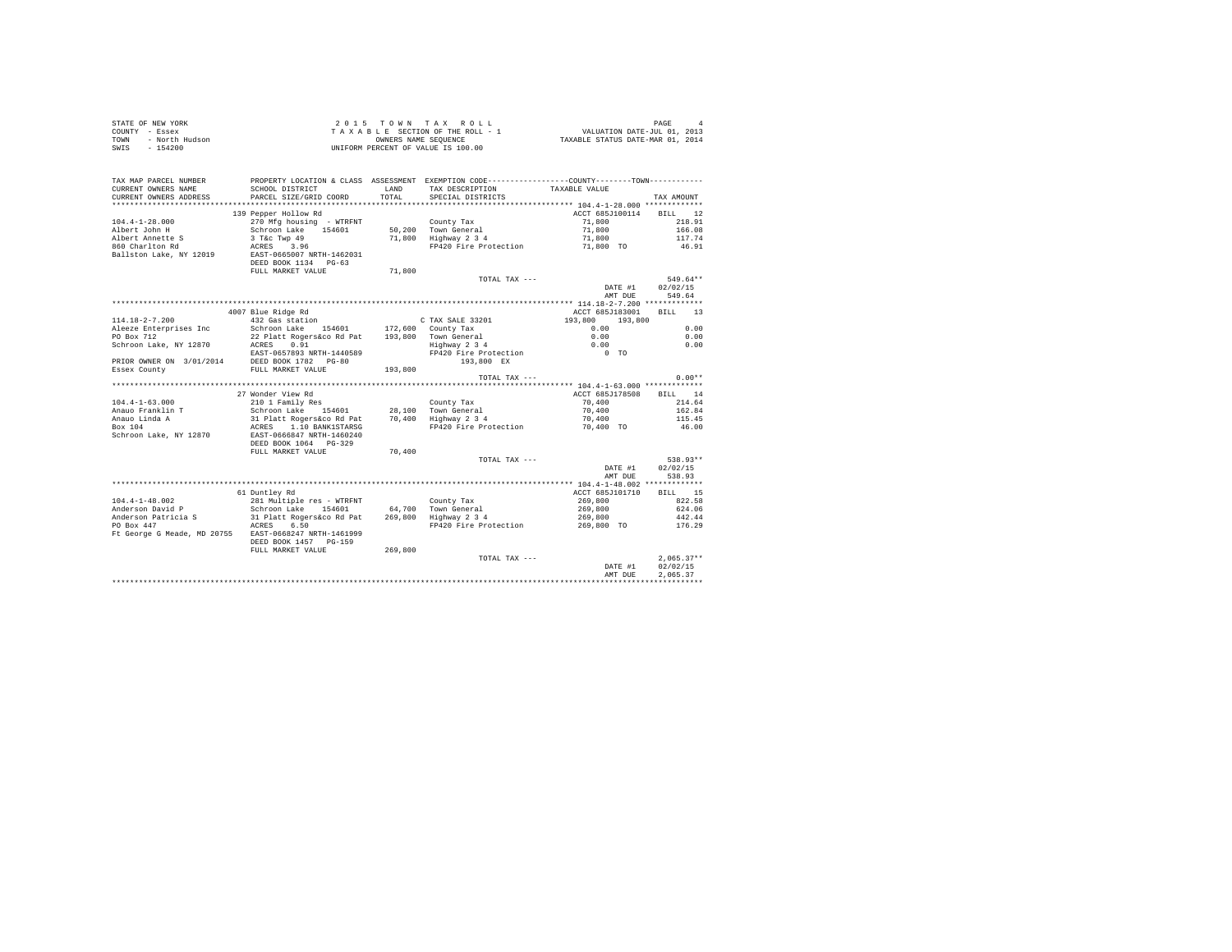| STATE OF NEW YORK<br>COUNTY - Essex<br>TOWN - North Hudson<br>SWIS - 154200     | T A A A B A REER NAME SEQUENCE<br>UNIFORM PERCENT OF VALUE IS 100.00 |                       | 2015 TOWN TAX ROLL<br>$\begin{array}{lllllllllllll} & \times \;\;\mathrm{u}\;\; \mathrm{u}\;\; \mathrm{u}\;\; \mathrm{u}\;\; \mathrm{v}\;\; \mathrm{u}\;\; \mathrm{v}\;\; \mathrm{u}\;\; \mathrm{v}\;\; \mathrm{u}\;\; \mathrm{v}\;\; \mathrm{v}\;\; \mathrm{u}\;\; \mathrm{v}\;\; \mathrm{u}\;\; \mathrm{u}\;\; \mathrm{u}\;\; \mathrm{u}\;\; \mathrm{u}\;\; \mathrm{u}\;\; \mathrm{u}\;\; \mathrm{u}\;\; \mathrm{u}\;\; \mathrm{u}\;\; \mathrm{u}\;\; \mathrm{u}\;\; \mathrm{u}\;\; \mathrm{u}\;\; \mathrm{u}\;\$ |                                             | PAGE                           |
|---------------------------------------------------------------------------------|----------------------------------------------------------------------|-----------------------|---------------------------------------------------------------------------------------------------------------------------------------------------------------------------------------------------------------------------------------------------------------------------------------------------------------------------------------------------------------------------------------------------------------------------------------------------------------------------------------------------------------------|---------------------------------------------|--------------------------------|
| TAX MAP PARCEL NUMBER<br>CURRENT OWNERS NAME<br>CURRENT OWNERS ADDRESS          | SCHOOL DISTRICT<br>PARCEL SIZE/GRID COORD                            | <b>T.AND</b><br>TOTAL | PROPERTY LOCATION & CLASS ASSESSMENT EXEMPTION CODE---------------COUNTY-------TOWN---------<br>TAX DESCRIPTION<br>SPECIAL DISTRICTS                                                                                                                                                                                                                                                                                                                                                                                | TAXABLE VALUE                               | TAX AMOUNT                     |
| *************************                                                       |                                                                      |                       |                                                                                                                                                                                                                                                                                                                                                                                                                                                                                                                     |                                             |                                |
| $104.4 - 1 - 28.000$<br>Albert John H                                           | 139 Pepper Hollow Rd<br>270 Mfg housing - WTRFNT                     |                       | County Tax                                                                                                                                                                                                                                                                                                                                                                                                                                                                                                          | ACCT 685J100114 BILL 12<br>71,800<br>71,800 | 218.91<br>166.08               |
| Albert Annette S<br>860 Charlton Rd                                             | Schroon Lake 154601<br>3 T&c Twp 49<br>ACRES 3.96                    |                       | 50,200 Town General<br>71,800 Highway 2 3 4<br>FP420 Fire Protection                                                                                                                                                                                                                                                                                                                                                                                                                                                | 71,800<br>71,800 TO                         | 117.74<br>46.91                |
| Ballston Lake, NY 12019                                                         | EAST-0665007 NRTH-1462031<br>DEED BOOK 1134 PG-63                    |                       |                                                                                                                                                                                                                                                                                                                                                                                                                                                                                                                     |                                             |                                |
|                                                                                 | FULL MARKET VALUE                                                    | 71,800                |                                                                                                                                                                                                                                                                                                                                                                                                                                                                                                                     |                                             |                                |
|                                                                                 |                                                                      |                       | TOTAL TAX ---                                                                                                                                                                                                                                                                                                                                                                                                                                                                                                       | DATE #1                                     | 549.64**<br>02/02/15           |
|                                                                                 |                                                                      |                       |                                                                                                                                                                                                                                                                                                                                                                                                                                                                                                                     | AMT DUE                                     | 549.64                         |
|                                                                                 | 4007 Blue Ridge Rd                                                   |                       |                                                                                                                                                                                                                                                                                                                                                                                                                                                                                                                     | ACCT 685J183001                             | BILL 13                        |
| $114.18 - 2 - 7.200$                                                            | JU/ Blue Ridge Rd<br>432 Gas station                                 |                       | C TAX SALE 33201                                                                                                                                                                                                                                                                                                                                                                                                                                                                                                    | 193,800 193,800                             |                                |
| Aleeze Enterprises Inc                                                          | Schroon Lake 154601 172,600 County Tax                               |                       |                                                                                                                                                                                                                                                                                                                                                                                                                                                                                                                     | 0.00                                        | 0.00                           |
| PO Box 712                                                                      | 22 Platt Rogers&co Rd Pat                                            |                       | 193,800 Town General<br>Highway 2 3 4                                                                                                                                                                                                                                                                                                                                                                                                                                                                               | 0.00                                        | 0.00                           |
| Schroon Lake, NY 12870                                                          | ACRES 0.91                                                           |                       |                                                                                                                                                                                                                                                                                                                                                                                                                                                                                                                     | 0.00                                        | 0.00                           |
|                                                                                 | EAST-0657893 NRTH-1440589                                            |                       | FP420 Fire Protection                                                                                                                                                                                                                                                                                                                                                                                                                                                                                               | $0$ TO                                      |                                |
| PRIOR OWNER ON 3/01/2014 DEED BOOK 1782 PG-80<br>Essex County FULL MARKET VALUE |                                                                      |                       | 193,800 EX                                                                                                                                                                                                                                                                                                                                                                                                                                                                                                          |                                             |                                |
|                                                                                 |                                                                      | 193,800               | TOTAL TAX ---                                                                                                                                                                                                                                                                                                                                                                                                                                                                                                       |                                             | $0.00**$                       |
|                                                                                 |                                                                      |                       |                                                                                                                                                                                                                                                                                                                                                                                                                                                                                                                     |                                             |                                |
|                                                                                 | 27 Wonder View Rd                                                    |                       |                                                                                                                                                                                                                                                                                                                                                                                                                                                                                                                     | ACCT 685J178508                             | BILL 14                        |
| $104.4 - 1 - 63.000$                                                            | 210 1 Family Res<br>Schroon Lake 154601                              |                       | County Tax                                                                                                                                                                                                                                                                                                                                                                                                                                                                                                          | 70,400                                      | 214.64                         |
|                                                                                 |                                                                      |                       | 28,100 Town General                                                                                                                                                                                                                                                                                                                                                                                                                                                                                                 | 70,400                                      | 162.84                         |
| Anauo Franklin T<br>Anauo Linda A<br>Box 104                                    | 31 Platt Rogers&co Rd Pat 70,400 Highway 2 3 4                       |                       |                                                                                                                                                                                                                                                                                                                                                                                                                                                                                                                     | 70,400                                      | 115.45                         |
|                                                                                 | ACRES 1.10 BANK1STARSG                                               |                       | FP420 Fire Protection                                                                                                                                                                                                                                                                                                                                                                                                                                                                                               | 70,400 TO                                   | 46.00                          |
| Schroon Lake, NY 12870                                                          | EAST-0666847 NRTH-1460240<br>DEED BOOK 1064 PG-329                   |                       |                                                                                                                                                                                                                                                                                                                                                                                                                                                                                                                     |                                             |                                |
|                                                                                 | FULL MARKET VALUE                                                    | 70,400                |                                                                                                                                                                                                                                                                                                                                                                                                                                                                                                                     |                                             |                                |
|                                                                                 |                                                                      |                       | TOTAL TAX ---                                                                                                                                                                                                                                                                                                                                                                                                                                                                                                       | DATE #1<br>AMT DUE                          | 538.93**<br>02/02/15<br>538.93 |
|                                                                                 |                                                                      |                       |                                                                                                                                                                                                                                                                                                                                                                                                                                                                                                                     |                                             |                                |
|                                                                                 | 61 Duntley Rd                                                        |                       |                                                                                                                                                                                                                                                                                                                                                                                                                                                                                                                     | ACCT 685J101710                             | BILL 15                        |
| $104.4 - 1 - 48.002$                                                            |                                                                      |                       |                                                                                                                                                                                                                                                                                                                                                                                                                                                                                                                     | 269,800                                     | 822.58                         |
| Anderson David P                                                                | 281 Multiple res - WTRFNT<br>Schroon Lake 154601 64,700 Town General |                       |                                                                                                                                                                                                                                                                                                                                                                                                                                                                                                                     | 269,800                                     | 624.06                         |
| Anderson Patricia S                                                             | 31 Platt Rogers&co Rd Pat $269,800$ Highway 2 3 4                    |                       |                                                                                                                                                                                                                                                                                                                                                                                                                                                                                                                     | 269,800                                     | 442.44                         |
| PO Box 447                                                                      | ACRES 6.50                                                           |                       | FP420 Fire Protection                                                                                                                                                                                                                                                                                                                                                                                                                                                                                               | 269,800 TO                                  | 176.29                         |
| Ft George G Meade, MD 20755 EAST-0668247 NRTH-1461999                           | DEED BOOK 1457 PG-159                                                |                       |                                                                                                                                                                                                                                                                                                                                                                                                                                                                                                                     |                                             |                                |
|                                                                                 | FULL MARKET VALUE                                                    | 269,800               |                                                                                                                                                                                                                                                                                                                                                                                                                                                                                                                     |                                             |                                |
|                                                                                 |                                                                      |                       | TOTAL TAX ---                                                                                                                                                                                                                                                                                                                                                                                                                                                                                                       | DATE #1                                     | $2.065.37**$<br>02/02/15       |
|                                                                                 |                                                                      |                       |                                                                                                                                                                                                                                                                                                                                                                                                                                                                                                                     | AMT DUE                                     | 2.065.37                       |
|                                                                                 |                                                                      |                       |                                                                                                                                                                                                                                                                                                                                                                                                                                                                                                                     |                                             |                                |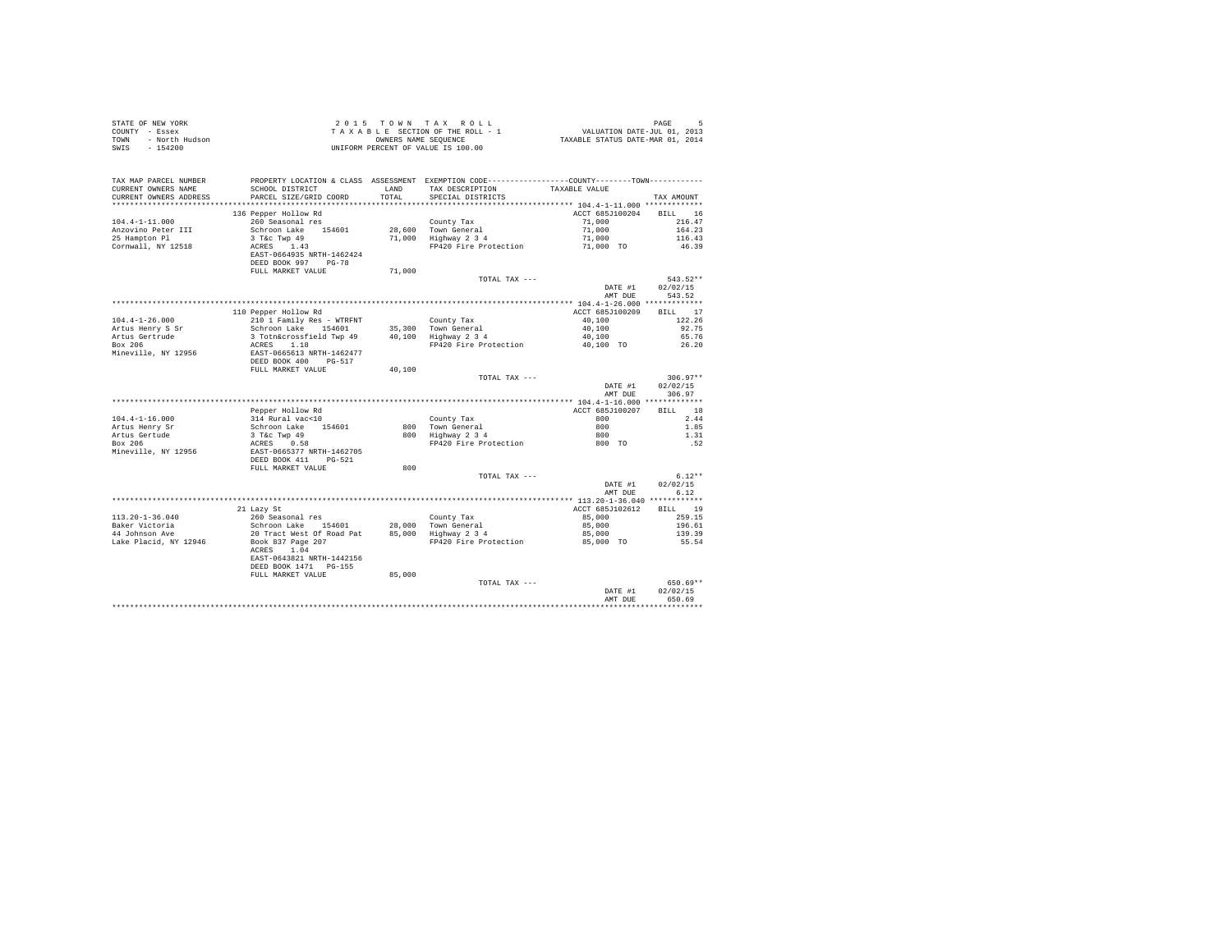| STATE OF NEW YORK<br>COUNTY - Essex<br>- North Hudson<br>TOWN<br>SWIS<br>$-154200$ |                                                                 | 2015 TOWN TAX ROLL<br>TAXABLE SECTION OF THE ROLL - 1<br>OWNERS NAME SEQUENCE<br>UNIFORM PERCENT OF VALUE IS 100.00 |                                                                                                                               |                           | PAGE<br>5<br>PAGE PAGE 5<br>VALUATION DATE-JUL 01, 2013<br>TAXABLE STATUS DATE-MAR 01, 2014 |  |  |
|------------------------------------------------------------------------------------|-----------------------------------------------------------------|---------------------------------------------------------------------------------------------------------------------|-------------------------------------------------------------------------------------------------------------------------------|---------------------------|---------------------------------------------------------------------------------------------|--|--|
| TAX MAP PARCEL NUMBER<br>CURRENT OWNERS NAME                                       | SCHOOL DISTRICT                                                 | LAND                                                                                                                | PROPERTY LOCATION & CLASS ASSESSMENT EXEMPTION CODE---------------COUNTY-------TOWN---------<br>TAX DESCRIPTION TAXABLE VALUE |                           |                                                                                             |  |  |
| CURRENT OWNERS ADDRESS                                                             | PARCEL SIZE/GRID COORD                                          | TOTAL                                                                                                               | SPECIAL DISTRICTS                                                                                                             |                           | TAX AMOUNT                                                                                  |  |  |
|                                                                                    | 136 Pepper Hollow Rd                                            |                                                                                                                     |                                                                                                                               | ACCT 685J100204           | BILL 16                                                                                     |  |  |
| $104.4 - 1 - 11.000$                                                               | 260 Seasonal res                                                |                                                                                                                     | County Tax                                                                                                                    | 71,000                    | 216.47                                                                                      |  |  |
| Anzovino Peter III                                                                 | Schroon Lake 154601                                             |                                                                                                                     | 28.600 Town General                                                                                                           | 71,000                    | 164.23                                                                                      |  |  |
| 25 Hampton Pl                                                                      | 3 T&c Twp 49                                                    |                                                                                                                     | 71,000 Highway 2 3 4                                                                                                          | 71,000                    | 116.43                                                                                      |  |  |
| Cornwall, NY 12518                                                                 | ACRES 1.43<br>EAST-0664935 NRTH-1462424                         |                                                                                                                     | FP420 Fire Protection                                                                                                         | 71,000 TO                 | 46.39                                                                                       |  |  |
|                                                                                    | DEED BOOK 997 PG-78<br>FULL MARKET VALUE                        | 71,000                                                                                                              |                                                                                                                               |                           |                                                                                             |  |  |
|                                                                                    |                                                                 |                                                                                                                     | TOTAL TAX ---                                                                                                                 | DATE #1                   | 543.52**<br>02/02/15                                                                        |  |  |
|                                                                                    |                                                                 |                                                                                                                     |                                                                                                                               | AMT DUE                   | 543.52                                                                                      |  |  |
|                                                                                    |                                                                 |                                                                                                                     |                                                                                                                               |                           |                                                                                             |  |  |
| $104.4 - 1 - 26.000$                                                               | 110 Pepper Hollow Rd<br>210 1 Family Res - WTRFNT               |                                                                                                                     | County Tax                                                                                                                    | ACCT 685J100209<br>40,100 | BILL 17<br>122.26                                                                           |  |  |
| Artus Henry S Sr                                                                   | Schroon Lake 154601                                             |                                                                                                                     | 35,300 Town General                                                                                                           | 40,100                    | 92.75                                                                                       |  |  |
| Artus Gertrude                                                                     | 3 Totn&crossfield Twp 49                                        |                                                                                                                     | 40,100 Highway 2 3 4                                                                                                          | 40,100                    | 65.76                                                                                       |  |  |
| Box 206                                                                            | ACRES 1.18                                                      |                                                                                                                     | FP420 Fire Protection                                                                                                         | 40,100 TO                 | 26.20                                                                                       |  |  |
| Mineville, NY 12956                                                                | EAST-0665613 NRTH-1462477<br>DEED BOOK 400 PG-517               |                                                                                                                     |                                                                                                                               |                           |                                                                                             |  |  |
|                                                                                    | FULL MARKET VALUE                                               | 40,100                                                                                                              |                                                                                                                               |                           |                                                                                             |  |  |
|                                                                                    |                                                                 |                                                                                                                     | TOTAL TAX ---                                                                                                                 | DATE #1<br>AMT DUE        | $306.97**$<br>02/02/15<br>306.97                                                            |  |  |
|                                                                                    |                                                                 |                                                                                                                     |                                                                                                                               |                           |                                                                                             |  |  |
|                                                                                    | Pepper Hollow Rd                                                |                                                                                                                     |                                                                                                                               | ACCT 685J100207           | BILL 18                                                                                     |  |  |
| $104.4 - 1 - 16.000$                                                               | 314 Rural vac<10                                                |                                                                                                                     | County Tax                                                                                                                    | 800                       | 2.44                                                                                        |  |  |
| Artus Henry Sr                                                                     | Schroon Lake 154601                                             |                                                                                                                     | 800 Town General                                                                                                              | 800                       | 1.85                                                                                        |  |  |
| Artus Gertude                                                                      | 3 T&C Twp 49                                                    |                                                                                                                     | 800 Highway 2 3 4                                                                                                             | 800                       | 1.31                                                                                        |  |  |
| Box 206<br>Mineville, NY 12956                                                     | ACRES 0.58<br>EAST-0665377 NRTH-1462705<br>DEED BOOK 411 PG-521 |                                                                                                                     | FP420 Fire Protection                                                                                                         | 800 TO                    | .52                                                                                         |  |  |
|                                                                                    | FULL MARKET VALUE                                               | 800                                                                                                                 |                                                                                                                               |                           |                                                                                             |  |  |
|                                                                                    |                                                                 |                                                                                                                     | TOTAL TAX ---                                                                                                                 |                           | $6.12**$                                                                                    |  |  |
|                                                                                    |                                                                 |                                                                                                                     |                                                                                                                               | DATE #1<br>AMT DUE        | 02/02/15<br>6.12                                                                            |  |  |
|                                                                                    |                                                                 |                                                                                                                     |                                                                                                                               |                           |                                                                                             |  |  |
|                                                                                    | 21 Lazy St                                                      |                                                                                                                     |                                                                                                                               | ACCT 685J102612           | BILL 19                                                                                     |  |  |
| $113.20 - 1 - 36.040$<br>Baker Victoria                                            | 260 Seasonal res<br>Schroon Lake 154601                         |                                                                                                                     | County Tax<br>28,000 Town General                                                                                             | 85,000<br>85,000          | 259.15<br>196.61                                                                            |  |  |
| 44 Johnson Ave                                                                     | 20 Tract West Of Road Pat                                       |                                                                                                                     | 85,000 Highway 2 3 4                                                                                                          | 85,000                    | 139.39                                                                                      |  |  |
| Lake Placid, NY 12946                                                              | Book 837 Page 207<br>ACRES 1.04<br>EAST-0643821 NRTH-1442156    |                                                                                                                     | FP420 Fire Protection                                                                                                         | 85,000 TO                 | 55.54                                                                                       |  |  |
|                                                                                    | DEED BOOK 1471 PG-155                                           |                                                                                                                     |                                                                                                                               |                           |                                                                                             |  |  |
|                                                                                    | FULL MARKET VALUE                                               | 85,000                                                                                                              | TOTAL TAX ---                                                                                                                 | DATE #1                   | $650.69**$<br>02/02/15                                                                      |  |  |
|                                                                                    |                                                                 |                                                                                                                     |                                                                                                                               | AMT DUE                   | 650.69                                                                                      |  |  |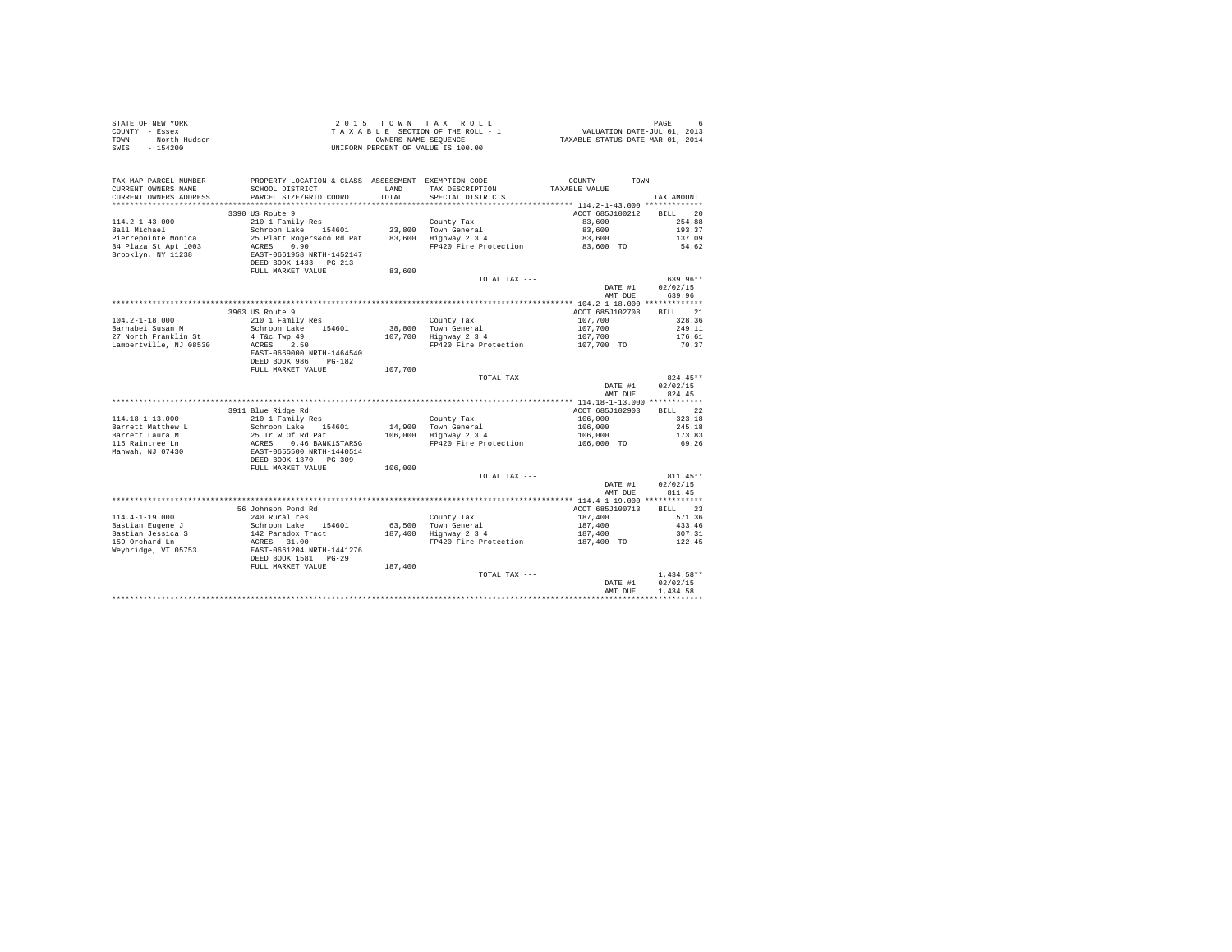| STATE OF NEW YORK<br>COUNTY - Essex<br>- North Hudson<br>TOWN<br>$-154200$<br>SWIS |                                                                                                              |               | $\begin{array}{cccccccccc} 2&0&1&5&\texttt{T} &0&\texttt{W} &\texttt{N} &\texttt{R} &\texttt{X} &\texttt{R} &0&\texttt{L} &\texttt{L} &\texttt{D} &\texttt{L} &\texttt{D} &\texttt{D} &\texttt{D} &\texttt{D} &\texttt{D} &\texttt{D} &\texttt{D} &\texttt{D} &\texttt{D} &\texttt{D} &\texttt{D} &\texttt{D} &\texttt{D} &\texttt{D} &\texttt{D} &\texttt{D} &\texttt{D} &\texttt{D} &\texttt$<br>UNIFORM PERCENT OF VALUE IS 100.00 |                            |                  |
|------------------------------------------------------------------------------------|--------------------------------------------------------------------------------------------------------------|---------------|---------------------------------------------------------------------------------------------------------------------------------------------------------------------------------------------------------------------------------------------------------------------------------------------------------------------------------------------------------------------------------------------------------------------------------------|----------------------------|------------------|
| TAX MAP PARCEL NUMBER<br>CURRENT OWNERS NAME<br>CURRENT OWNERS ADDRESS             | SCHOOL DISTRICT<br>PARCEL SIZE/GRID COORD                                                                    | LAND<br>TOTAL | PROPERTY LOCATION & CLASS ASSESSMENT EXEMPTION CODE----------------COUNTY-------TOWN----------<br>TAX DESCRIPTION<br>SPECIAL DISTRICTS                                                                                                                                                                                                                                                                                                | TAXABLE VALUE              | TAX AMOUNT       |
|                                                                                    |                                                                                                              |               |                                                                                                                                                                                                                                                                                                                                                                                                                                       |                            |                  |
|                                                                                    | 3390 US Route 9                                                                                              |               |                                                                                                                                                                                                                                                                                                                                                                                                                                       | ACCT 685J100212            | BILL 20          |
| $114.2 - 1 - 43.000$                                                               | 210 1 Family Res                                                                                             |               | County Tax                                                                                                                                                                                                                                                                                                                                                                                                                            | 83,600                     | 254.88           |
| Ball Michael                                                                       | Schroon Lake 154601                                                                                          |               | 23,800 Town General                                                                                                                                                                                                                                                                                                                                                                                                                   | 83,600                     | 193.37           |
| Pierrepointe Monica                                                                | 25 Platt Rogers&co Rd Pat 83,600 Highway 2 3 4                                                               |               |                                                                                                                                                                                                                                                                                                                                                                                                                                       | 83,600                     | 137.09           |
| 34 Plaza St Apt 1003                                                               | ACRES 0.90<br>EAST-0661958 NRTH-1452147<br>DEED BOOK 1433 PG-213                                             |               | FP420 Fire Protection                                                                                                                                                                                                                                                                                                                                                                                                                 | 83,600 TO                  | 54.62            |
| Brooklyn, NY 11238                                                                 |                                                                                                              |               |                                                                                                                                                                                                                                                                                                                                                                                                                                       |                            |                  |
|                                                                                    |                                                                                                              |               |                                                                                                                                                                                                                                                                                                                                                                                                                                       |                            |                  |
|                                                                                    | FULL MARKET VALUE                                                                                            | 83,600        |                                                                                                                                                                                                                                                                                                                                                                                                                                       |                            |                  |
|                                                                                    |                                                                                                              |               | TOTAL TAX ---                                                                                                                                                                                                                                                                                                                                                                                                                         |                            | $639.96**$       |
|                                                                                    |                                                                                                              |               |                                                                                                                                                                                                                                                                                                                                                                                                                                       | DATE #1                    | 02/02/15         |
|                                                                                    |                                                                                                              |               |                                                                                                                                                                                                                                                                                                                                                                                                                                       | AMT DUE                    | 639.96           |
|                                                                                    | 3963 US Route 9                                                                                              |               |                                                                                                                                                                                                                                                                                                                                                                                                                                       | ACCT 685J102708            | BILL 21          |
| $104.2 - 1 - 18.000$                                                               | 210 1 Family Res                                                                                             |               | County Tax                                                                                                                                                                                                                                                                                                                                                                                                                            | 107,700                    | 328.36           |
| Barnabei Susan M                                                                   | Schroon Lake 154601                                                                                          |               | 38,800 Town General                                                                                                                                                                                                                                                                                                                                                                                                                   | 107,700                    | 249.11           |
| 27 North Franklin St                                                               | 4 T&C Twp 49                                                                                                 |               | 107,700 $\frac{100}{100}$ $\frac{100}{100}$ $\frac{100}{100}$ $\frac{100}{100}$ $\frac{100}{100}$ $\frac{100}{100}$                                                                                                                                                                                                                                                                                                                   | 107,700                    | 176.61           |
| Lambertville, NJ 08530                                                             | ACRES 2.50                                                                                                   |               | FP420 Fire Protection                                                                                                                                                                                                                                                                                                                                                                                                                 | 107,700 TO                 | 70.37            |
|                                                                                    | EAST-0669000 NRTH-1464540                                                                                    |               |                                                                                                                                                                                                                                                                                                                                                                                                                                       |                            |                  |
|                                                                                    | DEED BOOK 986 PG-182                                                                                         |               |                                                                                                                                                                                                                                                                                                                                                                                                                                       |                            |                  |
|                                                                                    | FULL MARKET VALUE                                                                                            | 107,700       |                                                                                                                                                                                                                                                                                                                                                                                                                                       |                            |                  |
|                                                                                    |                                                                                                              |               | TOTAL TAX ---                                                                                                                                                                                                                                                                                                                                                                                                                         |                            | $824.45**$       |
|                                                                                    |                                                                                                              |               |                                                                                                                                                                                                                                                                                                                                                                                                                                       | DATE #1                    | 02/02/15         |
|                                                                                    |                                                                                                              |               |                                                                                                                                                                                                                                                                                                                                                                                                                                       | AMT DUE                    | 824.45           |
|                                                                                    | 3911 Blue Ridge Rd                                                                                           |               |                                                                                                                                                                                                                                                                                                                                                                                                                                       |                            | BILL 22          |
| $114.18 - 1 - 13.000$                                                              | 210 1 Family Res                                                                                             |               | County Tax                                                                                                                                                                                                                                                                                                                                                                                                                            | ACCT 685J102903<br>106,000 | 323.18           |
| Barrett Matthew L                                                                  | Schroon Lake 154601                                                                                          |               | 14,900 Town General                                                                                                                                                                                                                                                                                                                                                                                                                   | 106,000                    | 245.18           |
|                                                                                    | 25 Tr W Of Rd Pat                                                                                            |               | $106,000$ Highway $2\frac{3}{4}$                                                                                                                                                                                                                                                                                                                                                                                                      | 106,000                    | 173.83           |
| Barrett Laura M<br>115 Raintree Ln                                                 |                                                                                                              |               | FP420 Fire Protection                                                                                                                                                                                                                                                                                                                                                                                                                 | 106,000 TO                 | 69.26            |
| Mahwah, NJ 07430                                                                   | 25 11 12<br>EAST-0655500 NRTH-1440514<br>DEED BOOK 1370 PG-309                                               |               |                                                                                                                                                                                                                                                                                                                                                                                                                                       |                            |                  |
|                                                                                    |                                                                                                              |               |                                                                                                                                                                                                                                                                                                                                                                                                                                       |                            |                  |
|                                                                                    | FULL MARKET VALUE                                                                                            | 106,000       |                                                                                                                                                                                                                                                                                                                                                                                                                                       |                            |                  |
|                                                                                    |                                                                                                              |               | TOTAL TAX ---                                                                                                                                                                                                                                                                                                                                                                                                                         |                            | $811.45**$       |
|                                                                                    |                                                                                                              |               |                                                                                                                                                                                                                                                                                                                                                                                                                                       | DATE #1                    | 02/02/15         |
|                                                                                    |                                                                                                              |               |                                                                                                                                                                                                                                                                                                                                                                                                                                       | AMT DUE                    | 811.45           |
|                                                                                    |                                                                                                              |               |                                                                                                                                                                                                                                                                                                                                                                                                                                       |                            | BTLL 23          |
|                                                                                    | 56 Johnson Pond Rd                                                                                           |               |                                                                                                                                                                                                                                                                                                                                                                                                                                       | ACCT 685J100713            |                  |
| $114.4 - 1 - 19.000$                                                               | 240 Rural res                                                                                                |               | County Tax                                                                                                                                                                                                                                                                                                                                                                                                                            | 187,400                    | 571.36<br>433.46 |
| Bastian Eugene J<br>Bastian Jessica S<br>159 Orchard Ln                            |                                                                                                              |               | 63,500 Town General<br>187,400 Highway 2 3 4                                                                                                                                                                                                                                                                                                                                                                                          | 187,400<br>187,400         | 307.31           |
|                                                                                    |                                                                                                              |               | FP420 Fire Protection                                                                                                                                                                                                                                                                                                                                                                                                                 | 187,400 TO                 | 122.45           |
| Weybridge, VT 05753                                                                | Schroon Lake 154601<br>142 Paradox Tract<br>ACRES 31.00<br>EAST-0661204 NRTH-1441276<br>DEED BOOK 1581 PG-29 |               |                                                                                                                                                                                                                                                                                                                                                                                                                                       |                            |                  |
|                                                                                    |                                                                                                              |               |                                                                                                                                                                                                                                                                                                                                                                                                                                       |                            |                  |
|                                                                                    | FULL MARKET VALUE                                                                                            | 187,400       |                                                                                                                                                                                                                                                                                                                                                                                                                                       |                            |                  |
|                                                                                    |                                                                                                              |               | TOTAL TAX ---                                                                                                                                                                                                                                                                                                                                                                                                                         |                            | $1.434.58**$     |
|                                                                                    |                                                                                                              |               |                                                                                                                                                                                                                                                                                                                                                                                                                                       | DATE #1                    | 02/02/15         |
|                                                                                    |                                                                                                              |               |                                                                                                                                                                                                                                                                                                                                                                                                                                       | AMT DUE                    | 1.434.58         |
|                                                                                    |                                                                                                              |               |                                                                                                                                                                                                                                                                                                                                                                                                                                       |                            |                  |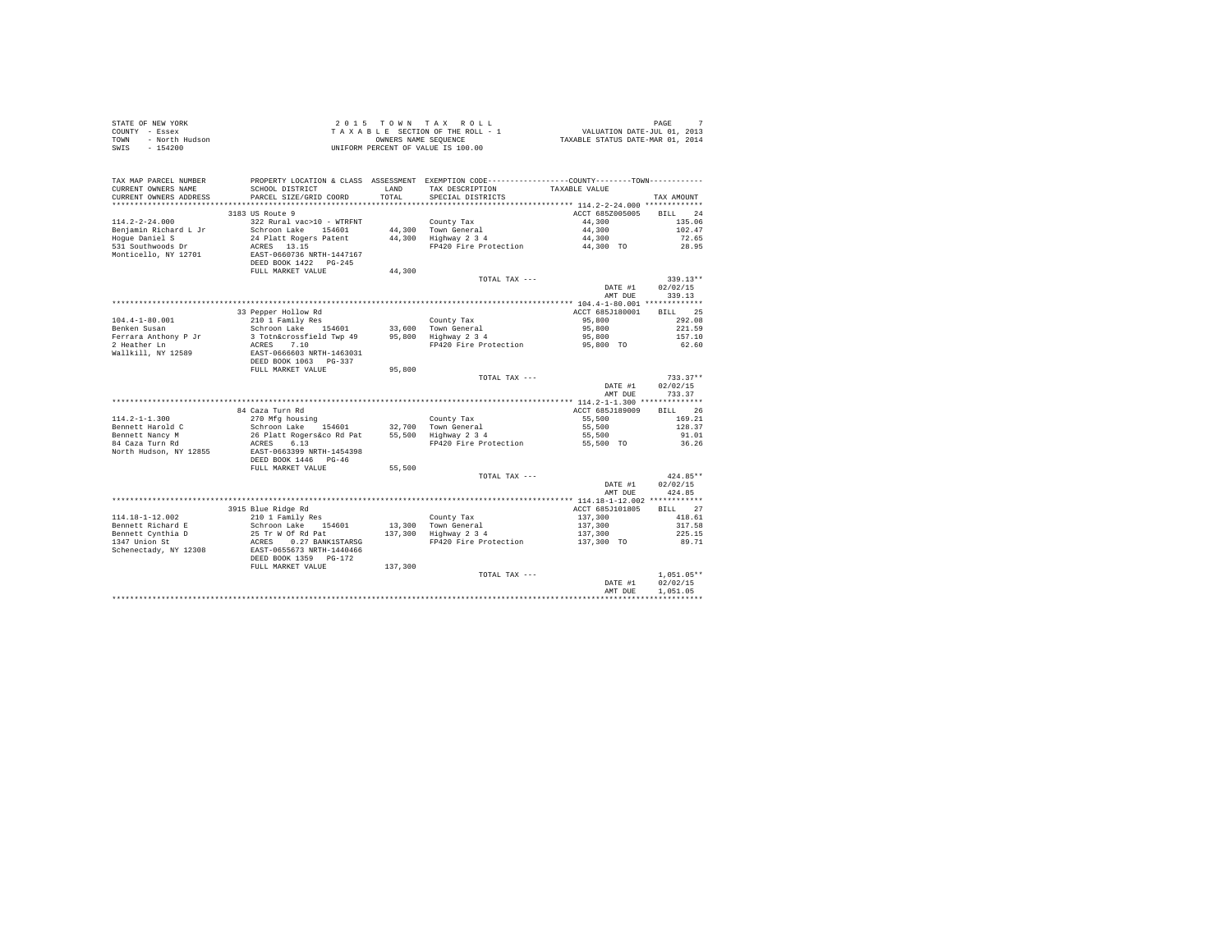| STATE OF NEW YORK<br>COUNTY - Essex<br>TOWN<br>- North Hudson<br>SWIS<br>$-154200$ |                                                    |        | 2015 TOWN TAX ROLL<br>TAXABLE SECTION OF THE ROLL - 1<br>OWNERS NAME SEOUENCE<br>UNIFORM PERCENT OF VALUE IS 100.00             | PAGE 7<br>VALUATION DATE-JUL 01, 2013<br>TAXABLE STATUS DATE-MAR 01, 2014 | 7<br>PAGE            |
|------------------------------------------------------------------------------------|----------------------------------------------------|--------|---------------------------------------------------------------------------------------------------------------------------------|---------------------------------------------------------------------------|----------------------|
| TAX MAP PARCEL NUMBER<br>CURRENT OWNERS NAME                                       | SCHOOL DISTRICT                                    | LAND   | PROPERTY LOCATION & CLASS ASSESSMENT EXEMPTION CODE----------------COUNTY-------TOWN----------<br>TAX DESCRIPTION TAXABLE VALUE |                                                                           |                      |
| CURRENT OWNERS ADDRESS                                                             | PARCEL SIZE/GRID COORD                             | TOTAL  | SPECIAL DISTRICTS                                                                                                               |                                                                           | TAX AMOUNT           |
|                                                                                    | 3183 US Route 9                                    |        |                                                                                                                                 | ACCT 685Z005005                                                           | RTT.T. 24            |
| $114.2 - 2 - 24.000$                                                               | 322 Rural vac>10 - WTRFNT                          |        | County Tax                                                                                                                      | 44,300                                                                    | 135.06               |
| Benjamin Richard L Jr                                                              | Schroon Lake 154601                                |        | 44,300 Town General                                                                                                             | 44,300                                                                    | 102.47               |
| Hoque Daniel S                                                                     | 24 Platt Rogers Patent                             |        | 44,300 Highway 2 3 4                                                                                                            | 44,300                                                                    | 72.65                |
| 531 Southwoods Dr                                                                  | ACRES 13.15                                        |        | FP420 Fire Protection                                                                                                           | 44,300 TO                                                                 | 28.95                |
| Monticello, NY 12701                                                               | EAST-0660736 NRTH-1447167                          |        |                                                                                                                                 |                                                                           |                      |
|                                                                                    | DEED BOOK 1422    PG-245                           |        |                                                                                                                                 |                                                                           |                      |
|                                                                                    | FULL MARKET VALUE                                  | 44,300 | TOTAL TAX ---                                                                                                                   |                                                                           | $339.13**$           |
|                                                                                    |                                                    |        |                                                                                                                                 | DATE #1                                                                   | 02/02/15             |
|                                                                                    |                                                    |        |                                                                                                                                 | AMT DUE                                                                   | 339.13               |
|                                                                                    |                                                    |        |                                                                                                                                 |                                                                           |                      |
|                                                                                    | 33 Pepper Hollow Rd                                |        |                                                                                                                                 | ACCT 685J180001                                                           | BILL 25              |
| $104.4 - 1 - 80.001$                                                               | 210 1 Family Res                                   |        | County Tax                                                                                                                      | 95,800                                                                    | 292.08               |
| Benken Susan                                                                       | Schroon Lake 154601                                |        | 33,600 Town General                                                                                                             | 95,800                                                                    | 221.59               |
| Ferrara Anthony P Jr                                                               | 3 Totn&crossfield Twp 49                           |        | 95,800 Hown General<br>95,800 Highway 2 3 4                                                                                     | 95,800                                                                    | 157.10               |
| 2 Heather Ln                                                                       | ACRES 7.10                                         |        | FP420 Fire Protection                                                                                                           | 95,800 TO                                                                 | 62.60                |
| Wallkill, NY 12589                                                                 | EAST-0666603 NRTH-1463031<br>DEED BOOK 1063 PG-337 |        |                                                                                                                                 |                                                                           |                      |
|                                                                                    | FULL MARKET VALUE                                  | 95,800 |                                                                                                                                 |                                                                           |                      |
|                                                                                    |                                                    |        | TOTAL TAX ---                                                                                                                   |                                                                           | $733.37**$           |
|                                                                                    |                                                    |        |                                                                                                                                 | DATE #1                                                                   | 02/02/15             |
|                                                                                    |                                                    |        |                                                                                                                                 | AMT DUE                                                                   | 733.37               |
|                                                                                    |                                                    |        |                                                                                                                                 |                                                                           |                      |
|                                                                                    | 84 Caza Turn Rd                                    |        |                                                                                                                                 | ACCT 685J189009                                                           | BILL 26              |
| $114.2 - 1 - 1.300$                                                                | 270 Mfg housing                                    |        | County Tax                                                                                                                      | 55,500                                                                    | 169.21               |
| Bennett Harold C                                                                   | Schroon Lake 154601<br>26 Platt Rogers&co Rd Pat   |        | 32,700 Town General<br>55,500 Highway 2 3 4                                                                                     | 55,500<br>55,500                                                          | 128.37<br>91.01      |
| Bennett Nancy M<br>84 Caza Turn Rd                                                 | ACRES 6.13                                         |        | FP420 Fire Protection                                                                                                           | 55,500 TO                                                                 | 36.26                |
| North Hudson, NY 12855                                                             | EAST-0663399 NRTH-1454398                          |        |                                                                                                                                 |                                                                           |                      |
|                                                                                    | DEED BOOK 1446 PG-46                               |        |                                                                                                                                 |                                                                           |                      |
|                                                                                    | FULL MARKET VALUE                                  | 55,500 |                                                                                                                                 |                                                                           |                      |
|                                                                                    |                                                    |        | TOTAL TAX ---                                                                                                                   |                                                                           | $424.85**$           |
|                                                                                    |                                                    |        |                                                                                                                                 | DATE #1                                                                   | 02/02/15             |
|                                                                                    |                                                    |        |                                                                                                                                 | AMT DUE                                                                   | 424.85               |
|                                                                                    | 3915 Blue Ridge Rd                                 |        |                                                                                                                                 | ACCT 685J101805                                                           | BILL 27              |
| $114.18 - 1 - 12.002$                                                              | 210 1 Family Res                                   |        | County Tax                                                                                                                      | 137,300                                                                   | 418.61               |
| Bennett Richard E                                                                  | Schroon Lake 154601                                |        | 13,300 Town General                                                                                                             | 137,300                                                                   | 317.58               |
| Bennett Cynthia D                                                                  | 25 Tr W Of Rd Pat                                  |        | 13,300 TOWN General<br>137,300 Highway 2 3 4                                                                                    | 137,300                                                                   | 225.15               |
| 1347 Union St                                                                      | ACRES 0.27 BANK1STARSG                             |        | FP420 Fire Protection                                                                                                           | 137,300 TO                                                                | 89.71                |
| Schenectady, NY 12308                                                              | EAST-0655673 NRTH-1440466                          |        |                                                                                                                                 |                                                                           |                      |
|                                                                                    | DEED BOOK 1359 PG-172                              |        |                                                                                                                                 |                                                                           |                      |
|                                                                                    | FULL MARKET VALUE 137,300                          |        |                                                                                                                                 |                                                                           |                      |
|                                                                                    |                                                    |        | TOTAL TAX ---                                                                                                                   |                                                                           | $1.051.05**$         |
|                                                                                    |                                                    |        |                                                                                                                                 | DATE #1<br>AMT DUE                                                        | 02/02/15<br>1,051.05 |
|                                                                                    |                                                    |        |                                                                                                                                 |                                                                           |                      |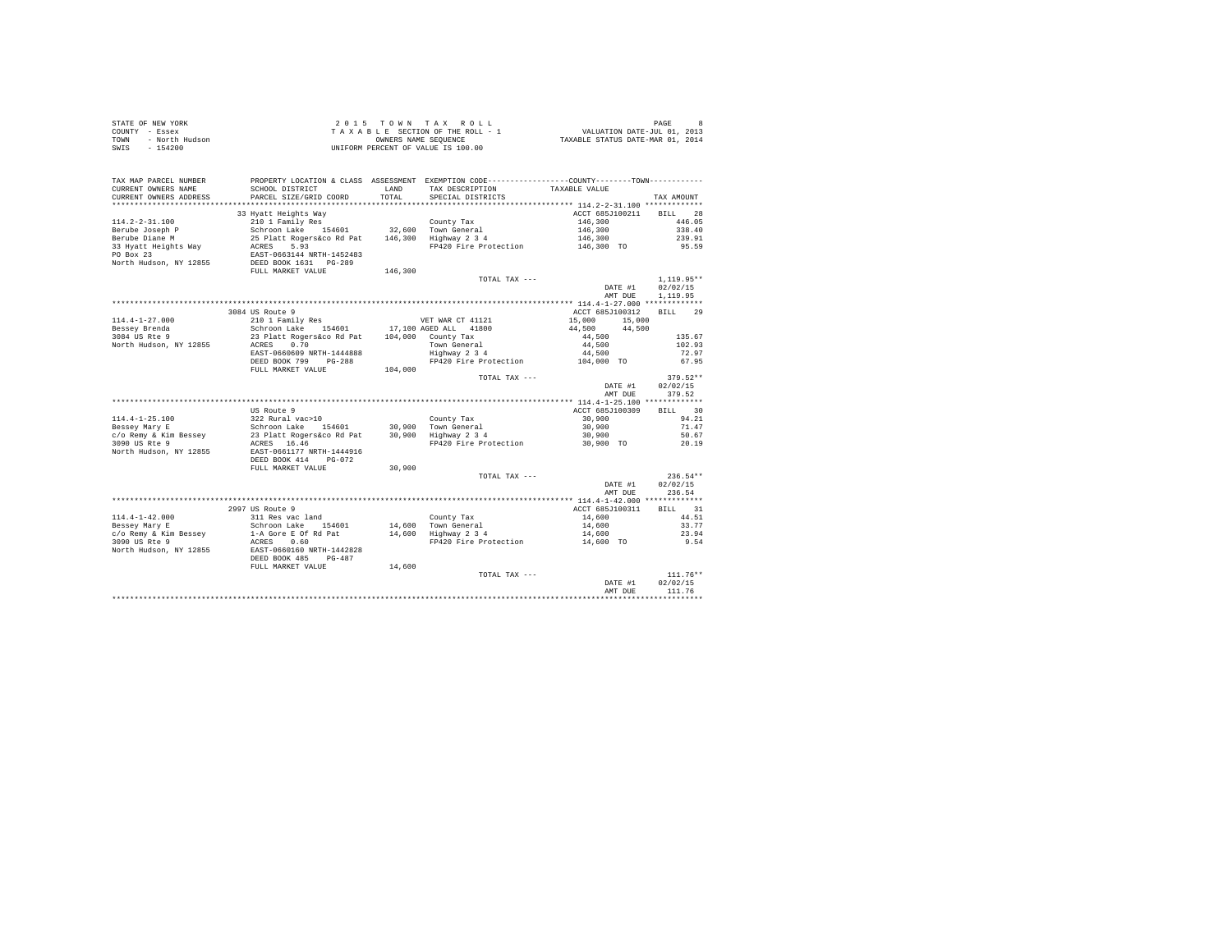| STATE OF NEW YORK<br>COUNTY - Essex<br>TOWN - North Hudson<br>SWIS<br>$-154200$ |                                                                         |               | UNIFORM PERCENT OF VALUE IS 100.00                                                                                                                   |                                        |                |
|---------------------------------------------------------------------------------|-------------------------------------------------------------------------|---------------|------------------------------------------------------------------------------------------------------------------------------------------------------|----------------------------------------|----------------|
| TAX MAP PARCEL NUMBER<br>CURRENT OWNERS NAME<br>CURRENT OWNERS ADDRESS          | SCHOOL DISTRICT<br>PARCEL SIZE/GRID COORD                               | LAND<br>TOTAL | PROPERTY LOCATION & CLASS ASSESSMENT EXEMPTION CODE----------------COUNTY-------TOWN----------<br>TAX DESCRIPTION TAXABLE VALUE<br>SPECIAL DISTRICTS |                                        | TAX AMOUNT     |
|                                                                                 |                                                                         |               |                                                                                                                                                      |                                        |                |
|                                                                                 | 33 Hyatt Heights Way                                                    |               |                                                                                                                                                      | ACCT 685J100211 BILL 28                |                |
|                                                                                 |                                                                         |               |                                                                                                                                                      | 146,300                                | 446.05         |
|                                                                                 |                                                                         |               |                                                                                                                                                      | 146,300                                | 338.40         |
|                                                                                 |                                                                         |               |                                                                                                                                                      | 146,300                                | 239.91         |
|                                                                                 |                                                                         |               | $FP\bar{4}20$ Fire Protection $146,300$ TO                                                                                                           |                                        | 95.59          |
|                                                                                 |                                                                         |               |                                                                                                                                                      |                                        |                |
| North Hudson, NY 12855                                                          | EAST-0663144 NRTH-1452483<br>DEED BOOK 1631 PG-289<br>FULL MARKET VALUE |               |                                                                                                                                                      |                                        |                |
|                                                                                 |                                                                         | 146,300       |                                                                                                                                                      |                                        |                |
|                                                                                 |                                                                         |               | TOTAL TAX ---                                                                                                                                        |                                        | $1.119.95**$   |
|                                                                                 |                                                                         |               |                                                                                                                                                      | DATE #1                                | 02/02/15       |
|                                                                                 |                                                                         |               |                                                                                                                                                      | AMT DUE                                | 1,119.95       |
|                                                                                 | 3084 US Route 9                                                         |               |                                                                                                                                                      | ACCT 685J100312                        |                |
|                                                                                 |                                                                         |               |                                                                                                                                                      |                                        | BILL 29        |
|                                                                                 |                                                                         |               |                                                                                                                                                      | $15,000$ $15,000$<br>$44,500$ $44,500$ |                |
|                                                                                 |                                                                         |               |                                                                                                                                                      | 44,500                                 | 135.67         |
|                                                                                 |                                                                         |               |                                                                                                                                                      |                                        | 102.93         |
|                                                                                 |                                                                         |               |                                                                                                                                                      |                                        | 72.97          |
|                                                                                 | DEED BOOK 799 PG-288                                                    |               | County 1ax 1988<br>Town General<br>Highway 2 3 4 44,500<br>FP420 Fire Protection 104,000 TO                                                          |                                        | 67.95          |
|                                                                                 | FULL MARKET VALUE                                                       | 104,000       |                                                                                                                                                      |                                        |                |
|                                                                                 |                                                                         |               | TOTAL TAX ---                                                                                                                                        |                                        | $379.52**$     |
|                                                                                 |                                                                         |               |                                                                                                                                                      | DATE #1                                | 02/02/15       |
|                                                                                 |                                                                         |               |                                                                                                                                                      | AMT DUE                                | 379.52         |
|                                                                                 |                                                                         |               |                                                                                                                                                      |                                        |                |
|                                                                                 | US Route 9                                                              |               |                                                                                                                                                      | ACCT 685J100309                        | BILL 30        |
|                                                                                 |                                                                         |               |                                                                                                                                                      | 30,900                                 | 94.21          |
|                                                                                 |                                                                         |               |                                                                                                                                                      | 30,900                                 | 71.47          |
|                                                                                 |                                                                         |               | FP420 Fire Protection 30,900 TO                                                                                                                      | 30,900                                 | 50.67<br>20.19 |
|                                                                                 |                                                                         |               |                                                                                                                                                      |                                        |                |
|                                                                                 |                                                                         |               |                                                                                                                                                      |                                        |                |
|                                                                                 | FULL MARKET VALUE                                                       | 30,900        |                                                                                                                                                      |                                        |                |
|                                                                                 |                                                                         |               | TOTAL TAX ---                                                                                                                                        |                                        | $236.54**$     |
|                                                                                 |                                                                         |               |                                                                                                                                                      | DATE #1                                | 02/02/15       |
|                                                                                 |                                                                         |               |                                                                                                                                                      | AMT DUE                                | 236.54         |
|                                                                                 |                                                                         |               |                                                                                                                                                      |                                        |                |
|                                                                                 | 2997 US Route 9                                                         |               |                                                                                                                                                      | ACCT 685J100311                        | BILL 31        |
|                                                                                 |                                                                         |               |                                                                                                                                                      |                                        | 44.51          |
|                                                                                 |                                                                         |               |                                                                                                                                                      |                                        | 33.77          |
|                                                                                 |                                                                         |               |                                                                                                                                                      |                                        | 23.94          |
|                                                                                 | ACRES 0.60<br>EAST-0660160 NRTH-1442828<br>DEED BOOK 485 PG-487         |               |                                                                                                                                                      |                                        | 9.54           |
| North Hudson, NY 12855                                                          |                                                                         |               |                                                                                                                                                      |                                        |                |
|                                                                                 |                                                                         |               |                                                                                                                                                      |                                        |                |
|                                                                                 | FULL MARKET VALUE                                                       | 14,600        | TOTAL TAX ---                                                                                                                                        |                                        | $111.76**$     |
|                                                                                 |                                                                         |               |                                                                                                                                                      | DATE #1                                | 02/02/15       |
|                                                                                 |                                                                         |               |                                                                                                                                                      | AMT DUE                                | 111.76         |
|                                                                                 |                                                                         |               |                                                                                                                                                      |                                        |                |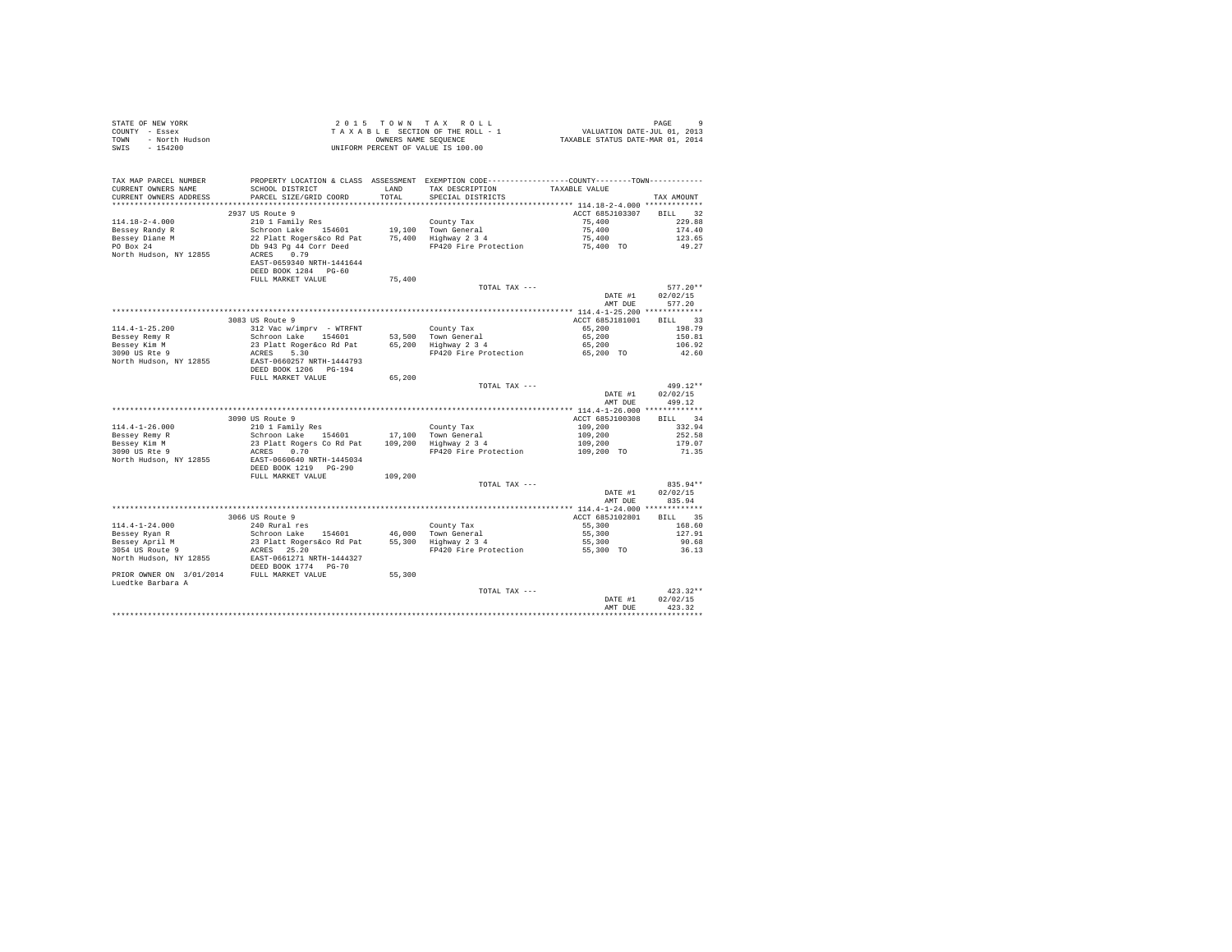| STATE OF NEW YORK<br>COUNTY - Essex<br>TOWN - North Hudson<br>SWIS - 154200                                                                                                                                                                                                                                                                                                                                                                           |                                                                                                                                                                                                                                       |         | UNIFORM PERCENT OF VALUE IS 100.00 |                               |                    |
|-------------------------------------------------------------------------------------------------------------------------------------------------------------------------------------------------------------------------------------------------------------------------------------------------------------------------------------------------------------------------------------------------------------------------------------------------------|---------------------------------------------------------------------------------------------------------------------------------------------------------------------------------------------------------------------------------------|---------|------------------------------------|-------------------------------|--------------------|
| TAX MAP PARCEL NUMBER<br>CURRENT OWNERS NAME<br>CURRENT OWNERS ADDRESS PARCEL SIZE/GRID COORD TOTAL                                                                                                                                                                                                                                                                                                                                                   | PROPERTY LOCATION & CLASS ASSESSMENT EXEMPTION CODE---------------COUNTY-------TOWN---------<br>SCHOOL DISTRICT TAND TAX DESCRIPTION                                                                                                  |         | SPECIAL DISTRICTS                  | TAXABLE VALUE                 | TAX AMOUNT         |
|                                                                                                                                                                                                                                                                                                                                                                                                                                                       |                                                                                                                                                                                                                                       |         |                                    |                               |                    |
|                                                                                                                                                                                                                                                                                                                                                                                                                                                       | 2937 US Route 9                                                                                                                                                                                                                       |         |                                    | ACCT 685J103307 BILL 32       |                    |
| 114.18-2-4.000                                                                                                                                                                                                                                                                                                                                                                                                                                        |                                                                                                                                                                                                                                       |         |                                    |                               | 229.88             |
|                                                                                                                                                                                                                                                                                                                                                                                                                                                       |                                                                                                                                                                                                                                       |         |                                    |                               | 174.40             |
| Bessey Randy R<br>Bessey Diane M<br>PO Box 24                                                                                                                                                                                                                                                                                                                                                                                                         | 210 1 Family Res<br>Schroom Lake 154601 19,100 Town General 22 Platt Rogers and 25,400<br>22 Platt Rogers and 25,400 Highway 2 3 4 4 4 6 75,400<br>29 Platt Rogers and 25,400 Highway 2 3 4 75,400<br>20 PP420 Fire Protection 75,400 |         |                                    |                               | 123.65             |
|                                                                                                                                                                                                                                                                                                                                                                                                                                                       |                                                                                                                                                                                                                                       |         |                                    |                               | 49.27              |
| North Hudson, NY 12855                                                                                                                                                                                                                                                                                                                                                                                                                                | ACRES 0.79<br>EAST-0659340 NRTH-1441644                                                                                                                                                                                               |         |                                    |                               |                    |
|                                                                                                                                                                                                                                                                                                                                                                                                                                                       | DEED BOOK 1284 PG-60                                                                                                                                                                                                                  |         |                                    |                               |                    |
|                                                                                                                                                                                                                                                                                                                                                                                                                                                       | FULL MARKET VALUE                                                                                                                                                                                                                     | 75,400  |                                    |                               |                    |
|                                                                                                                                                                                                                                                                                                                                                                                                                                                       |                                                                                                                                                                                                                                       |         | TOTAL TAX ---                      | DATE #1                       | $577.20**$         |
|                                                                                                                                                                                                                                                                                                                                                                                                                                                       |                                                                                                                                                                                                                                       |         |                                    |                               | 02/02/15<br>577.20 |
|                                                                                                                                                                                                                                                                                                                                                                                                                                                       |                                                                                                                                                                                                                                       |         |                                    | AMT DUE                       |                    |
|                                                                                                                                                                                                                                                                                                                                                                                                                                                       | 3083 US Route 9                                                                                                                                                                                                                       |         |                                    | ACCT 685J181001               | BILL 33            |
| $114.4 - 1 - 25.200$                                                                                                                                                                                                                                                                                                                                                                                                                                  |                                                                                                                                                                                                                                       |         |                                    |                               | 198.79             |
|                                                                                                                                                                                                                                                                                                                                                                                                                                                       |                                                                                                                                                                                                                                       |         |                                    |                               | 150.81             |
|                                                                                                                                                                                                                                                                                                                                                                                                                                                       |                                                                                                                                                                                                                                       |         |                                    |                               | 106.92             |
| Bessey Remy R<br>Bessey Kim M<br>3090 US Rte 9                                                                                                                                                                                                                                                                                                                                                                                                        |                                                                                                                                                                                                                                       |         |                                    |                               | 42.60              |
| North Hudson, NY 12855                                                                                                                                                                                                                                                                                                                                                                                                                                | EAST-0660257 NRTH-1444793                                                                                                                                                                                                             |         |                                    |                               |                    |
|                                                                                                                                                                                                                                                                                                                                                                                                                                                       | DEED BOOK 1206 PG-194                                                                                                                                                                                                                 |         |                                    |                               |                    |
|                                                                                                                                                                                                                                                                                                                                                                                                                                                       | FULL MARKET VALUE                                                                                                                                                                                                                     | 65,200  |                                    |                               |                    |
|                                                                                                                                                                                                                                                                                                                                                                                                                                                       |                                                                                                                                                                                                                                       |         | TOTAL TAX ---                      |                               | 499.12**           |
|                                                                                                                                                                                                                                                                                                                                                                                                                                                       |                                                                                                                                                                                                                                       |         |                                    | DATE #1                       | 02/02/15           |
|                                                                                                                                                                                                                                                                                                                                                                                                                                                       |                                                                                                                                                                                                                                       |         |                                    | AMT DUE                       | 499.12             |
|                                                                                                                                                                                                                                                                                                                                                                                                                                                       |                                                                                                                                                                                                                                       |         |                                    |                               |                    |
|                                                                                                                                                                                                                                                                                                                                                                                                                                                       | 3090 US Route 9                                                                                                                                                                                                                       |         |                                    | ACCT 685J100308               | BILL 34            |
| $114.4 - 1 - 26.000$                                                                                                                                                                                                                                                                                                                                                                                                                                  |                                                                                                                                                                                                                                       |         |                                    |                               | 332.94             |
|                                                                                                                                                                                                                                                                                                                                                                                                                                                       |                                                                                                                                                                                                                                       |         |                                    |                               | 252.58             |
|                                                                                                                                                                                                                                                                                                                                                                                                                                                       |                                                                                                                                                                                                                                       |         |                                    | 109,200<br>109,200<br>109,200 | 179.07             |
| Bessey Remy R<br>Bessey Kim M<br>3090 US Rte 9                                                                                                                                                                                                                                                                                                                                                                                                        | 3099 US ROUGE 9<br>210 1 Family Res<br>Schroon Lake 154601 17,100 Town General<br>23 Platt Rogers Co Rd Pat 109,200 Highway 2 3 4<br>ACRES 0.70                                                                                       |         | FP420 Fire Protection              | 109,200 TO                    | 71.35              |
| North Hudson, NY 12855<br>DEED BOOK 1219 PG-290                                                                                                                                                                                                                                                                                                                                                                                                       |                                                                                                                                                                                                                                       |         |                                    |                               |                    |
|                                                                                                                                                                                                                                                                                                                                                                                                                                                       |                                                                                                                                                                                                                                       |         |                                    |                               |                    |
|                                                                                                                                                                                                                                                                                                                                                                                                                                                       | FULL MARKET VALUE                                                                                                                                                                                                                     | 109,200 |                                    |                               |                    |
|                                                                                                                                                                                                                                                                                                                                                                                                                                                       |                                                                                                                                                                                                                                       |         | TOTAL TAX ---                      |                               | 835.94**           |
|                                                                                                                                                                                                                                                                                                                                                                                                                                                       |                                                                                                                                                                                                                                       |         |                                    | DATE #1                       | 02/02/15           |
|                                                                                                                                                                                                                                                                                                                                                                                                                                                       |                                                                                                                                                                                                                                       |         |                                    | AMT DUE                       | 835.94             |
|                                                                                                                                                                                                                                                                                                                                                                                                                                                       |                                                                                                                                                                                                                                       |         |                                    |                               |                    |
|                                                                                                                                                                                                                                                                                                                                                                                                                                                       | 3066 US Route 9<br>240 Rural res                                                                                                                                                                                                      |         |                                    | ACCT 685J102801               | BILL 35<br>168.60  |
|                                                                                                                                                                                                                                                                                                                                                                                                                                                       |                                                                                                                                                                                                                                       |         |                                    | $55,300$<br>$55,300$          | 127.91             |
|                                                                                                                                                                                                                                                                                                                                                                                                                                                       |                                                                                                                                                                                                                                       |         |                                    | 55,300                        | 90.68              |
|                                                                                                                                                                                                                                                                                                                                                                                                                                                       |                                                                                                                                                                                                                                       |         |                                    | 55,300 TO                     | 36.13              |
|                                                                                                                                                                                                                                                                                                                                                                                                                                                       |                                                                                                                                                                                                                                       |         |                                    |                               |                    |
|                                                                                                                                                                                                                                                                                                                                                                                                                                                       |                                                                                                                                                                                                                                       |         |                                    |                               |                    |
| $\begin{tabular}{lllllllllllll} \textsc{Bessel} & \textsc{Xan R} & \textsc{240} & \textsc{Runal} \textsc{res} & \textsc{Country Tax} \\ \textsc{Bessel} & \textsc{Xpiril M} & \textsc{Schron LMR} & \textsc{154601} & \textsc{46,000} \textsc{from General} \\ \textsc{Bessel} & \textsc{23} \textsc{Platt Rogens\'eco} & \textsc{25} \textsc{20} & \textsc{25,300} & \textsc{Highway 2} \textsc{3} \textsc{4} \\ \textsc{3054} \textsc{US Rout} & \$ |                                                                                                                                                                                                                                       |         |                                    |                               |                    |
|                                                                                                                                                                                                                                                                                                                                                                                                                                                       |                                                                                                                                                                                                                                       |         |                                    |                               |                    |
|                                                                                                                                                                                                                                                                                                                                                                                                                                                       |                                                                                                                                                                                                                                       |         | TOTAL TAX ---                      |                               | $423.32**$         |
|                                                                                                                                                                                                                                                                                                                                                                                                                                                       |                                                                                                                                                                                                                                       |         |                                    | DATE #1                       | 02/02/15           |
|                                                                                                                                                                                                                                                                                                                                                                                                                                                       |                                                                                                                                                                                                                                       |         |                                    | AMT DUE                       | 423.32             |
|                                                                                                                                                                                                                                                                                                                                                                                                                                                       |                                                                                                                                                                                                                                       |         |                                    |                               |                    |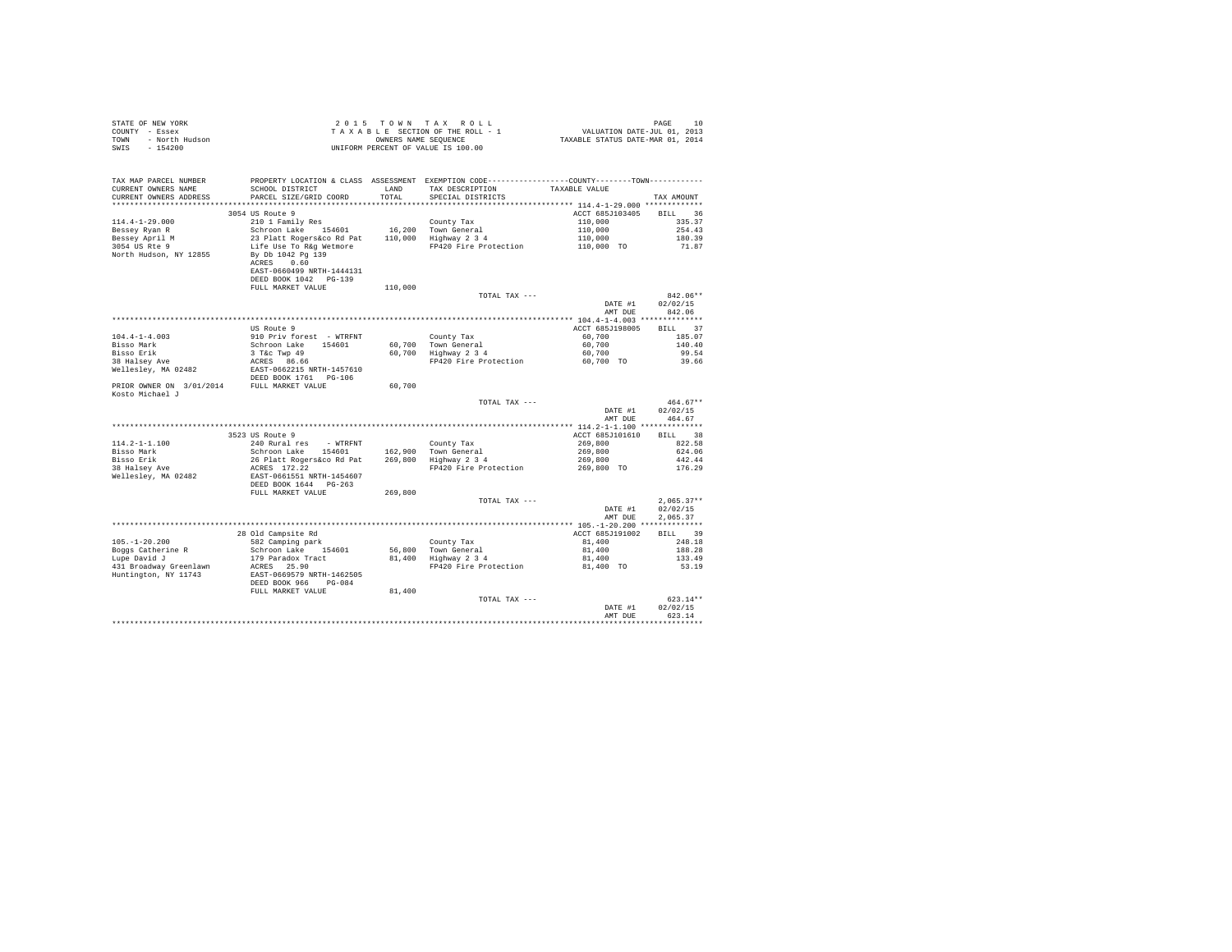| STATE OF NEW YORK      | 2015 TOWN TAX ROLL                 | 10<br>PAGE                       |
|------------------------|------------------------------------|----------------------------------|
| COUNTY - Essex         | TAXABLE SECTION OF THE ROLL - 1    | VALUATION DATE-JUL 01, 2013      |
| TOWN<br>- North Hudson | OWNERS NAME SEOUENCE               | TAXABLE STATUS DATE-MAR 01, 2014 |
| $-154200$<br>SWIS      | UNIFORM PERCENT OF VALUE IS 100.00 |                                  |

| TAX MAP PARCEL NUMBER<br>CURRENT OWNERS NAME<br>CURRENT OWNERS ADDRESS | PROPERTY LOCATION & CLASS ASSESSMENT EXEMPTION CODE----------------COUNTY-------TOWN----------<br>SCHOOL DISTRICT<br>PARCEL SIZE/GRID COORD | LAND<br>TOTAL | TAX DESCRIPTION<br>SPECIAL DISTRICTS | TAXABLE VALUE                                | TAX AMOUNT           |
|------------------------------------------------------------------------|---------------------------------------------------------------------------------------------------------------------------------------------|---------------|--------------------------------------|----------------------------------------------|----------------------|
| *******************                                                    |                                                                                                                                             |               |                                      |                                              |                      |
| $114.4 - 1 - 29.000$                                                   | 3054 US Route 9<br>210 1 Family Res                                                                                                         |               | County Tax                           | ACCT 685J103405<br>110,000                   | 36<br>BILL<br>335.37 |
| Bessey Ryan R                                                          | Schroon Lake<br>154601                                                                                                                      | 16,200        | Town General                         | 110,000                                      | 254.43               |
| Bessey April M                                                         | 23 Platt Rogers&co Rd Pat                                                                                                                   |               | 110,000 Highway 2 3 4                | 110,000                                      | 180.39               |
| 3054 US Rte 9                                                          | Life Use To R&q Wetmore                                                                                                                     |               | FP420 Fire Protection                | 110,000 TO                                   | 71.87                |
| North Hudson, NY 12855                                                 | By Db 1042 Pg 139<br>ACRES<br>0.60<br>EAST-0660499 NRTH-1444131<br>DEED BOOK 1042 PG-139                                                    |               |                                      |                                              |                      |
|                                                                        | FULL MARKET VALUE                                                                                                                           | 110,000       |                                      |                                              |                      |
|                                                                        |                                                                                                                                             |               | TOTAL TAX ---                        | DATE #1                                      | $842.06**$           |
|                                                                        |                                                                                                                                             |               |                                      | AMT DUE                                      | 02/02/15<br>842.06   |
|                                                                        |                                                                                                                                             |               |                                      | *********** 104.4-1-4.003 **************     |                      |
|                                                                        | US Route 9                                                                                                                                  |               |                                      | ACCT 685J198005                              | 37<br><b>BILL</b>    |
| $104.4 - 1 - 4.003$                                                    | 910 Priv forest - WTRFNT                                                                                                                    |               | County Tax                           | 60,700                                       | 185.07               |
| Bisso Mark                                                             | Schroon Lake 154601                                                                                                                         | 60,700        | Town General                         | 60,700                                       | 140.40               |
| Bisso Erik                                                             | 3 T&C Twp 49                                                                                                                                | 60,700        | Highway 2 3 4                        | 60,700                                       | 99.54                |
| 38 Halsey Ave                                                          | ACRES 86.66                                                                                                                                 |               | FP420 Fire Protection                | 60,700 TO                                    | 39.66                |
| Wellesley, MA 02482                                                    | EAST-0662215 NRTH-1457610                                                                                                                   |               |                                      |                                              |                      |
|                                                                        | DEED BOOK 1761 PG-106                                                                                                                       |               |                                      |                                              |                      |
| PRIOR OWNER ON 3/01/2014<br>Kosto Michael J                            | FULL MARKET VALUE                                                                                                                           | 60,700        |                                      |                                              |                      |
|                                                                        |                                                                                                                                             |               | TOTAL TAX ---                        |                                              | 464.67**             |
|                                                                        |                                                                                                                                             |               |                                      | DATE #1<br>AMT DUE                           | 02/02/15<br>464.67   |
|                                                                        |                                                                                                                                             |               |                                      | *************** 114.2-1-1.100 ************** |                      |
|                                                                        | 3523 US Route 9                                                                                                                             |               |                                      | ACCT 685J101610                              | 38<br>BILL           |
| $114.2 - 1 - 1.100$                                                    | 240 Rural res<br>- WTRFNT                                                                                                                   |               | County Tax                           | 269,800                                      | 822.58               |
| Bisso Mark                                                             | Schroon Lake 154601                                                                                                                         |               | 162,900 Town General                 | 269,800                                      | 624.06               |
| Bisso Erik                                                             | 26 Platt Rogers&co Rd Pat                                                                                                                   |               | 269,800 Highway 2 3 4                | 269,800                                      | 442.44               |
| 38 Halsey Ave                                                          | ACRES 172.22                                                                                                                                |               | FP420 Fire Protection                | 269,800 TO                                   | 176.29               |
| Wellesley, MA 02482                                                    | EAST-0661551 NRTH-1454607                                                                                                                   |               |                                      |                                              |                      |
|                                                                        | DEED BOOK 1644 PG-263                                                                                                                       |               |                                      |                                              |                      |
|                                                                        | FULL MARKET VALUE                                                                                                                           | 269,800       | TOTAL TAX ---                        |                                              | $2.065.37**$         |
|                                                                        |                                                                                                                                             |               |                                      | DATE #1                                      | 02/02/15             |
|                                                                        |                                                                                                                                             |               |                                      | AMT DUE                                      | 2.065.37             |
|                                                                        |                                                                                                                                             |               |                                      |                                              |                      |
|                                                                        | 28 Old Campsite Rd                                                                                                                          |               |                                      | ACCT 685J191002                              | 39<br>BTLL.          |
| $105. - 1 - 20.200$                                                    | 582 Camping park                                                                                                                            |               | County Tax                           | 81,400                                       | 248.18               |
| Boggs Catherine R                                                      | Schroon Lake 154601                                                                                                                         | 56,800        | Town General                         | 81,400                                       | 188.28               |
| Lupe David J                                                           | 179 Paradox Tract                                                                                                                           | 81,400        | Highway 2 3 4                        | 81,400                                       | 133.49               |
| 431 Broadway Greenlawn                                                 | ACRES 25.90                                                                                                                                 |               | FP420 Fire Protection                | 81,400 TO                                    | 53.19                |
| Huntington, NY 11743                                                   | EAST-0669579 NRTH-1462505<br>DEED BOOK 966<br>$PG-0.84$                                                                                     |               |                                      |                                              |                      |
|                                                                        | FULL MARKET VALUE                                                                                                                           | 81,400        |                                      |                                              |                      |
|                                                                        |                                                                                                                                             |               | TOTAL TAX ---                        |                                              | $623.14**$           |
|                                                                        |                                                                                                                                             |               |                                      | DATE #1                                      | 02/02/15             |
|                                                                        |                                                                                                                                             |               |                                      | AMT DUE                                      | 623.14               |
|                                                                        |                                                                                                                                             |               |                                      |                                              |                      |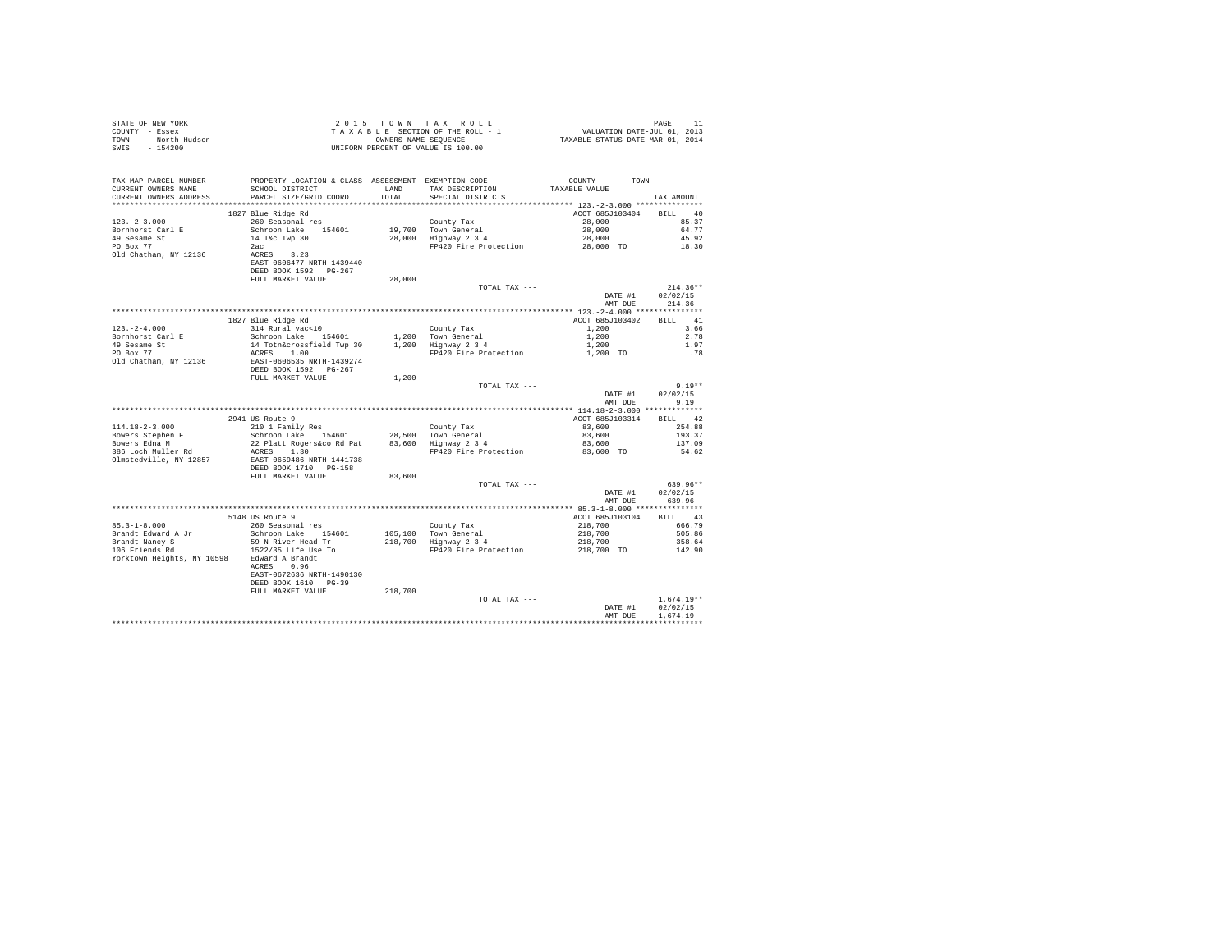| STATE OF NEW YORK<br>COUNTY - Essex<br>TOWN<br>- North Hudson<br>$-154200$<br>SWIS           |                                                                                                            |               | 2015 TOWN TAX ROLL<br>TAXABLE SECTION OF THE ROLL - 1<br>OWNERS NAME SEOUENCE<br>UNIFORM PERCENT OF VALUE IS 100.00                     | VALUATION DATE-JUL 01, 2013<br>TAXABLE STATUS DATE-MAR 01, 2014 | PAGE<br>11                       |
|----------------------------------------------------------------------------------------------|------------------------------------------------------------------------------------------------------------|---------------|-----------------------------------------------------------------------------------------------------------------------------------------|-----------------------------------------------------------------|----------------------------------|
| TAX MAP PARCEL NUMBER<br>CURRENT OWNERS NAME<br>CURRENT OWNERS ADDRESS                       | SCHOOL DISTRICT<br>PARCEL SIZE/GRID COORD                                                                  | LAND<br>TOTAL | PROPERTY LOCATION & CLASS ASSESSMENT EXEMPTION CODE----------------COUNTY--------TOWN----------<br>TAX DESCRIPTION<br>SPECIAL DISTRICTS | TAXABLE VALUE                                                   | TAX AMOUNT                       |
|                                                                                              | 1827 Blue Ridge Rd                                                                                         |               |                                                                                                                                         | ACCT 685J103404                                                 | BILL 40                          |
| $123. - 2 - 3.000$<br>Bornhorst Carl E<br>49 Sesame St<br>PO Box 77<br>Old Chatham, NY 12136 | 260 Seasonal res<br>Schroon Lake 154601<br>14 T&c Twp 30<br>2ac<br>ACRES 3.23<br>EAST-0606477 NRTH-1439440 |               | County Tax<br>19,700 Town General<br>28,000 Highway 2 3 4<br>FP420 Fire Protection                                                      | 28,000<br>28,000<br>28,000<br>28,000 TO                         | 85.37<br>64.77<br>45.92<br>18.30 |
|                                                                                              | DEED BOOK 1592 PG-267                                                                                      |               |                                                                                                                                         |                                                                 |                                  |
|                                                                                              | FULL MARKET VALUE                                                                                          | 28,000        | TOTAL TAX ---                                                                                                                           | DATE #1<br>AMT DUE                                              | $214.36**$<br>02/02/15<br>214.36 |
|                                                                                              |                                                                                                            |               |                                                                                                                                         |                                                                 |                                  |
|                                                                                              | 1827 Blue Ridge Rd                                                                                         |               |                                                                                                                                         | ACCT 685J103402                                                 | 41<br><b>BILL</b>                |
| $123. - 2 - 4.000$                                                                           | 314 Rural vac<10                                                                                           |               | County Tax                                                                                                                              | 1,200                                                           | 3.66<br>2.78                     |
| Bornhorst Carl E<br>49 Sesame St                                                             | Schroon Lake 154601<br>14 Totn&crossfield Twp 30                                                           |               | 1,200 Town General<br>1,200 Highway 2 3 4                                                                                               | 1,200<br>1,200                                                  | 1.97                             |
| PO Box 77                                                                                    | ACRES 1.00                                                                                                 |               | FP420 Fire Protection                                                                                                                   | 1,200 TO                                                        | .78                              |
| Old Chatham, NY 12136                                                                        | EAST-0606535 NRTH-1439274<br>DEED BOOK 1592 PG-267                                                         |               |                                                                                                                                         |                                                                 |                                  |
|                                                                                              | FULL MARKET VALUE                                                                                          | 1,200         |                                                                                                                                         |                                                                 |                                  |
|                                                                                              |                                                                                                            |               | TOTAL TAX ---                                                                                                                           | DATE #1<br>AMT DUE                                              | $9.19**$<br>02/02/15<br>9.19     |
|                                                                                              |                                                                                                            |               |                                                                                                                                         |                                                                 |                                  |
|                                                                                              | 2941 US Route 9                                                                                            |               |                                                                                                                                         | ACCT 685J103314                                                 | RTT.T. 42                        |
| $114.18 - 2 - 3.000$                                                                         | 210 1 Family Res                                                                                           |               | County Tax                                                                                                                              | 83,600                                                          | 254.88                           |
| Bowers Stephen F<br>Bowers Edna M                                                            | Schroon Lake 154601<br>22 Platt Rogers&co Rd Pat                                                           |               | 28,500 Town General<br>83,600 Highway 2 3 4                                                                                             | 83,600<br>83,600                                                | 193.37<br>137.09                 |
| 386 Loch Muller Rd<br>Olmstedville, NY 12857                                                 | ACRES 1.30<br>EAST-0659486 NRTH-1441738<br>DEED BOOK 1710 PG-158                                           |               | FP420 Fire Protection                                                                                                                   | 83,600 TO                                                       | 54.62                            |
|                                                                                              | FULL MARKET VALUE                                                                                          | 83,600        |                                                                                                                                         |                                                                 |                                  |
|                                                                                              |                                                                                                            |               | TOTAL TAX ---                                                                                                                           | DATE #1<br>AMT DUE                                              | 639.96**<br>02/02/15<br>639.96   |
|                                                                                              |                                                                                                            |               |                                                                                                                                         |                                                                 |                                  |
|                                                                                              | 5148 US Route 9                                                                                            |               |                                                                                                                                         | ACCT 685J103104                                                 | BILL 43                          |
| $85.3 - 1 - 8.000$                                                                           | 260 Seasonal res                                                                                           |               | County Tax                                                                                                                              | 218,700                                                         | 666.79                           |
| Brandt Edward A Jr<br>Brandt Nancy S                                                         | Schroon Lake 154601<br>59 N River Head Tr                                                                  |               | 105,100 Town General<br>218,700 Highway 2 3 4                                                                                           | 218,700<br>218,700                                              | 505.86<br>358.64                 |
| 106 Friends Rd<br>Yorktown Heights, NY 10598                                                 | 1522/35 Life Use To<br>Edward A Brandt<br>ACRES 0.96<br>EAST-0672636 NRTH-1490130<br>DEED BOOK 1610 PG-39  |               | FP420 Fire Protection                                                                                                                   | 218,700 TO                                                      | 142.90                           |
|                                                                                              | FULL MARKET VALUE                                                                                          | 218,700       |                                                                                                                                         |                                                                 |                                  |
|                                                                                              |                                                                                                            |               | TOTAL TAX ---                                                                                                                           | DATE #1                                                         | $1.674.19**$<br>02/02/15         |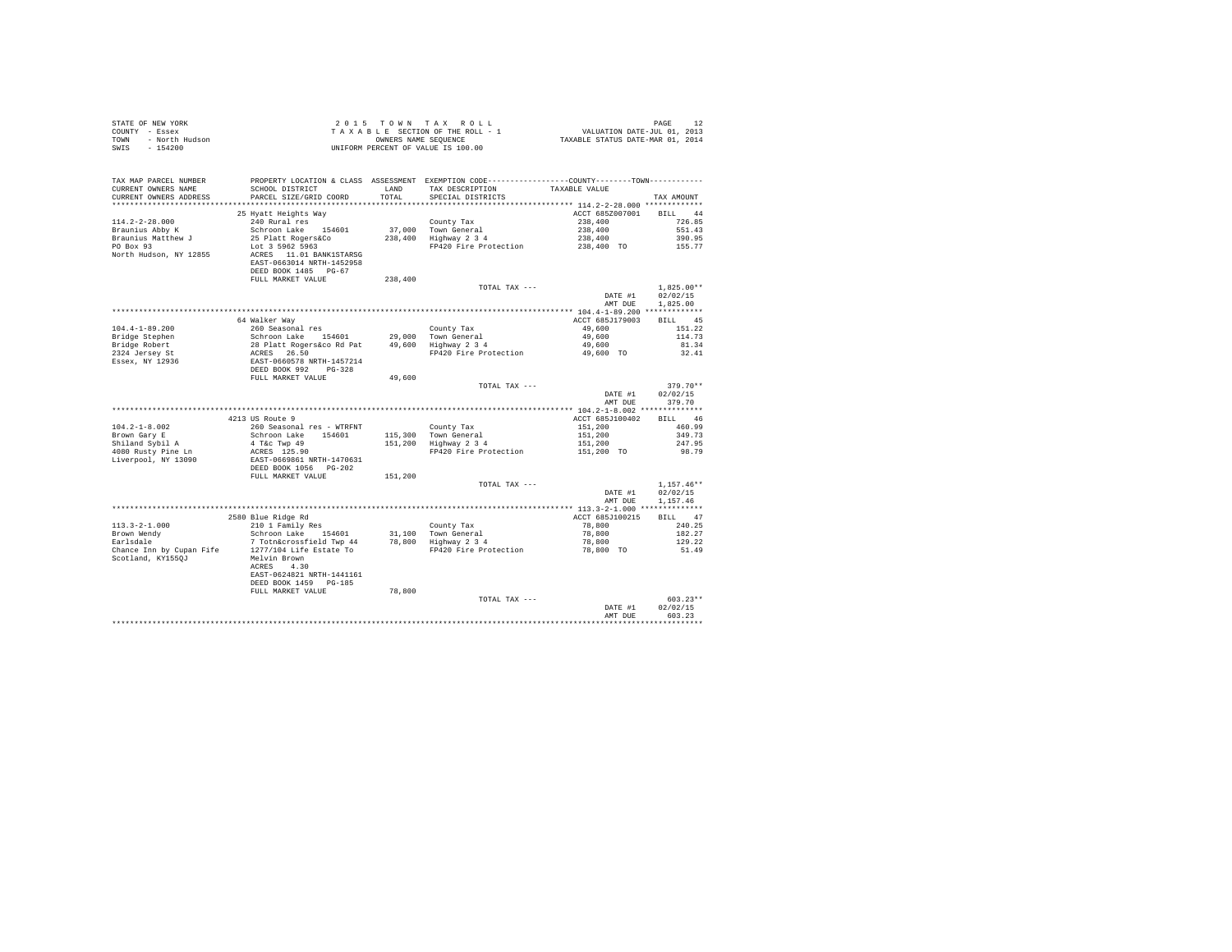| STATE OF NEW YORK<br>COUNTY - Essex<br>- North Hudson<br>TOWN<br>SWIS - 154200                       |                                                                                                                                                                                                                                                                                                                                                                                                                                      |               | UNIFORM PERCENT OF VALUE IS 100.00                                                                                                                                                     |                                             |                                      |
|------------------------------------------------------------------------------------------------------|--------------------------------------------------------------------------------------------------------------------------------------------------------------------------------------------------------------------------------------------------------------------------------------------------------------------------------------------------------------------------------------------------------------------------------------|---------------|----------------------------------------------------------------------------------------------------------------------------------------------------------------------------------------|---------------------------------------------|--------------------------------------|
| TAX MAP PARCEL NUMBER<br>CURRENT OWNERS NAME<br>CURRENT OWNERS ADDRESS                               | SCHOOL DISTRICT<br>PARCEL SIZE/GRID COORD                                                                                                                                                                                                                                                                                                                                                                                            | LAND<br>TOTAL | PROPERTY LOCATION & CLASS ASSESSMENT EXEMPTION CODE----------------COUNTY--------TOWN----------<br>TAX DESCRIPTION<br>SPECIAL DISTRICTS                                                | TAXABLE VALUE                               | TAX AMOUNT                           |
|                                                                                                      |                                                                                                                                                                                                                                                                                                                                                                                                                                      |               |                                                                                                                                                                                        |                                             |                                      |
| $114.2 - 2 - 28.000$<br>Braunius Abby K<br>Braunius Matthew J<br>PO Box 93<br>North Hudson, NY 12855 | 25 Hyatt Heights Way<br>240 Rural res<br>Schroon Lake 154601<br>25 Platt Rogers&Co<br>Lot 3 5962 5963<br>ACRES 11.01 BANK1STARSG<br>EAST-0663014 NRTH-1452958<br>DEED BOOK 1485 PG-67                                                                                                                                                                                                                                                |               | County Tax<br>37,000 Town General<br>238,400 Highway 2 3 4<br>37,000 Town General 2016,400 551.43<br>238,400 Highway 2 34 238,400 551.43<br>PP420 Fire Protection 238,400 TO 390.95.77 | ACCT 685Z007001<br>238,400                  | <b>BTLL</b> 44<br>726.85             |
|                                                                                                      | FULL MARKET VALUE                                                                                                                                                                                                                                                                                                                                                                                                                    | 238,400       |                                                                                                                                                                                        |                                             |                                      |
|                                                                                                      |                                                                                                                                                                                                                                                                                                                                                                                                                                      |               | TOTAL TAX ---                                                                                                                                                                          | DATE #1<br>AMT DUE                          | $1.825.00**$<br>02/02/15<br>1,825,00 |
|                                                                                                      |                                                                                                                                                                                                                                                                                                                                                                                                                                      |               |                                                                                                                                                                                        |                                             |                                      |
| $104.4 - 1 - 89.200$<br>Bridge Stephen                                                               | 64 Walker Way<br>260 Seasonal res<br>Schroon Lake 154601                                                                                                                                                                                                                                                                                                                                                                             |               | County Tax<br>29,000 Town General<br>49,600 Highway 2 3 4                                                                                                                              | ACCT 685J179003<br>49,600<br>49,600         | BILL 45<br>151.22<br>114.73          |
| Bridge Robert                                                                                        |                                                                                                                                                                                                                                                                                                                                                                                                                                      |               |                                                                                                                                                                                        | 49,600                                      | 81.34                                |
| 2324 Jersey St<br>Essex, NY 12936                                                                    | 28 Platt Rogers and Pat<br>ACRES 26.50<br>EAST-0660578 NRTH-1457214<br>DEED BOOK 992 PG-328<br>FULL MARKET VALUE                                                                                                                                                                                                                                                                                                                     | 49,600        | FP420 Fire Protection                                                                                                                                                                  | 49,600 TO                                   | 32.41                                |
|                                                                                                      |                                                                                                                                                                                                                                                                                                                                                                                                                                      |               | TOTAL TAX ---                                                                                                                                                                          | DATE #1<br>AMT DUE                          | $379.70**$<br>02/02/15<br>379.70     |
|                                                                                                      |                                                                                                                                                                                                                                                                                                                                                                                                                                      |               |                                                                                                                                                                                        |                                             |                                      |
|                                                                                                      | 4213 US Route 9                                                                                                                                                                                                                                                                                                                                                                                                                      |               |                                                                                                                                                                                        | ACCT 685J100402                             | BILL 46                              |
| $104.2 - 1 - 8.002$<br>Brown Gary E<br>Shiland Sybil A<br>4080 Rusty Pine Ln                         | 260 Seasonal res - WTRFNT<br>Schroon Lake 154601<br>4 T&c Twp 49<br>ACRES 125.90<br>EAST-0669861 NRTH-1470631                                                                                                                                                                                                                                                                                                                        |               | County Tax<br>115,300 Town General<br>151,200 Highway 2 3 4<br>FP420 Fire Protection                                                                                                   | 151,200<br>151,200<br>151,200<br>151,200 TO | 460.99<br>349.73<br>247.95<br>98.79  |
| Liverpool, NY 13090                                                                                  | DEED BOOK 1056 PG-202<br>FULL MARKET VALUE                                                                                                                                                                                                                                                                                                                                                                                           | 151,200       |                                                                                                                                                                                        |                                             |                                      |
|                                                                                                      |                                                                                                                                                                                                                                                                                                                                                                                                                                      |               | TOTAL TAX ---                                                                                                                                                                          | DATE #1                                     | $1.157.46**$<br>02/02/15             |
|                                                                                                      |                                                                                                                                                                                                                                                                                                                                                                                                                                      |               |                                                                                                                                                                                        | AMT DUE                                     | 1.157.46                             |
|                                                                                                      |                                                                                                                                                                                                                                                                                                                                                                                                                                      |               |                                                                                                                                                                                        | ACCT 685J100215                             | BILL 47                              |
|                                                                                                      | $\begin{tabular}{lllllllll} \texttt{113.3--2--1.000} & & & & & & & & & & \\ \texttt{110.1 F and 11y Res} & & & & & & & \\ \texttt{Brown Wendy} & & & & & & & & \\ \texttt{Barallside} & & & & & & & & \\ \texttt{Carlodale} & & & & & & & & \\ \texttt{Charedence} & & & & & & & & \\ \texttt{Charedence} & & & & & & & & \\ \texttt{Change} & & & & & & & & & \\ \end{tabular}$<br>Chance Inn by Cupan Fife 1277/104 Life Estate To |               | FP420 Fire Protection                                                                                                                                                                  | 78,800<br>78,800<br>78,800<br>78,800 TO     | 240.25<br>182.27<br>129.22<br>51.49  |
| Scotland, KY1550J                                                                                    | Melvin Brown<br>ACRES 4.30<br>EAST-0624821 NRTH-1441161<br>DEED BOOK 1459 PG-185<br>FULL MARKET VALUE                                                                                                                                                                                                                                                                                                                                | 78,800        |                                                                                                                                                                                        |                                             |                                      |
|                                                                                                      |                                                                                                                                                                                                                                                                                                                                                                                                                                      |               | TOTAL TAX ---                                                                                                                                                                          |                                             | $603.23**$                           |
|                                                                                                      |                                                                                                                                                                                                                                                                                                                                                                                                                                      |               |                                                                                                                                                                                        | DATE #1<br>AMT DUE                          | 02/02/15<br>603.23                   |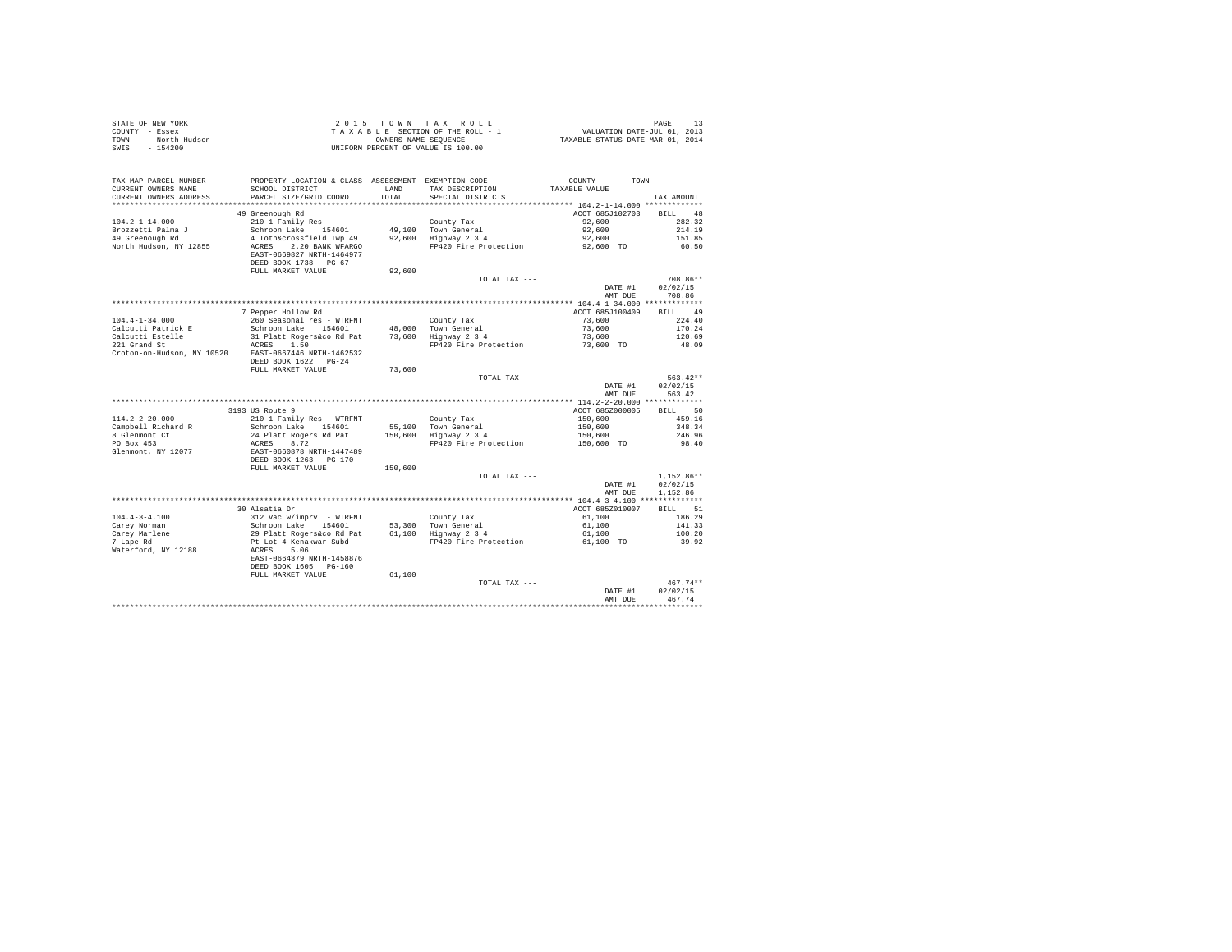| STATE OF NEW YORK<br>COUNTY - Essex<br>- North Hudson<br>TOWN<br>SWIS<br>$-154200$ |                                                                  |               | 2015 TOWN TAX ROLL<br>TAXABLE SECTION OF THE ROLL - 1<br>OWNERS NAME SEQUENCE<br>UNIFORM PERCENT OF VALUE IS 100.00 | PAGE 13<br>VALUATION DATE-JUL 01, 2013<br>TAXABLE STATUS DATE-MAR 01, 2014 |                        |
|------------------------------------------------------------------------------------|------------------------------------------------------------------|---------------|---------------------------------------------------------------------------------------------------------------------|----------------------------------------------------------------------------|------------------------|
| TAX MAP PARCEL NUMBER                                                              |                                                                  |               | PROPERTY LOCATION & CLASS ASSESSMENT EXEMPTION CODE----------------COUNTY--------TOWN----------                     |                                                                            |                        |
| CURRENT OWNERS NAME<br>CURRENT OWNERS ADDRESS                                      | SCHOOL DISTRICT<br>PARCEL SIZE/GRID COORD                        | LAND<br>TOTAL | TAX DESCRIPTION<br>SPECIAL DISTRICTS                                                                                | TAXABLE VALUE                                                              | TAX AMOUNT             |
|                                                                                    |                                                                  |               |                                                                                                                     |                                                                            |                        |
| $104.2 - 1 - 14.000$                                                               | 49 Greenough Rd<br>210 1 Family Res                              |               | County Tax                                                                                                          | ACCT 685J102703<br>92,600                                                  | BILL 48<br>282.32      |
| Brozzetti Palma J                                                                  | Schroon Lake 154601                                              |               | 49,100 Town General                                                                                                 | 92,600                                                                     | 214.19                 |
| 49 Greenough Rd                                                                    | 4 Totn&crossfield Twp 49                                         |               | $92,600$ Highway $2\overline{3}4$                                                                                   | 92,600                                                                     | 151.85                 |
| North Hudson, NY 12855                                                             | ACRES 2.20 BANK WFARGO                                           |               | FP420 Fire Protection                                                                                               | 92,600 TO                                                                  | 60.50                  |
|                                                                                    | EAST-0669827 NRTH-1464977<br>DEED BOOK 1738 PG-67                |               |                                                                                                                     |                                                                            |                        |
|                                                                                    | FULL MARKET VALUE                                                | 92,600        |                                                                                                                     |                                                                            |                        |
|                                                                                    |                                                                  |               | TOTAL TAX ---                                                                                                       |                                                                            | 708.86**               |
|                                                                                    |                                                                  |               |                                                                                                                     | DATE #1                                                                    | 02/02/15               |
|                                                                                    |                                                                  |               |                                                                                                                     | AMT DUE                                                                    | 708.86                 |
|                                                                                    |                                                                  |               |                                                                                                                     |                                                                            |                        |
|                                                                                    | 7 Pepper Hollow Rd                                               |               |                                                                                                                     | ACCT 685J100409                                                            | BILL 49                |
| $104.4 - 1 - 34.000$                                                               | 260 Seasonal res - WTRFNT                                        |               | County Tax                                                                                                          | 73,600                                                                     | 224.40                 |
| Calcutti Patrick E<br>Calcutti Estelle                                             | Schroon Lake 154601<br>31 Platt Rogers&co Rd Pat                 |               | 48,000 Town General<br>73,600 Highway 2 3 4                                                                         | 73,600<br>73,600                                                           | 170.24<br>120.69       |
| 221 Grand St                                                                       | ACRES 1.50                                                       |               | FP420 Fire Protection                                                                                               | 73,600 TO                                                                  | 48.09                  |
| Croton-on-Hudson, NY 10520 EAST-0667446 NRTH-1462532                               | DEED BOOK 1622 PG-24                                             |               |                                                                                                                     |                                                                            |                        |
|                                                                                    | FULL MARKET VALUE                                                | 73,600        |                                                                                                                     |                                                                            |                        |
|                                                                                    |                                                                  |               | TOTAL TAX ---                                                                                                       |                                                                            | $563.42**$             |
|                                                                                    |                                                                  |               |                                                                                                                     | DATE #1<br>AMT DUE                                                         | 02/02/15<br>563.42     |
|                                                                                    |                                                                  |               |                                                                                                                     |                                                                            |                        |
|                                                                                    | 3193 US Route 9                                                  |               |                                                                                                                     | ACCT 685Z000005                                                            | BILL 50                |
| $114.2 - 2 - 20.000$                                                               | 210 1 Family Res - WTRFNT                                        |               | County Tax                                                                                                          | 150,600                                                                    | 459.16                 |
| Campbell Richard R                                                                 | Schroon Lake 154601                                              |               | 55.100 Town General<br>150.600 Highway 2 3 4                                                                        | 150,600                                                                    | 348.34                 |
| 8 Glenmont Ct<br>PO Box 453                                                        | 24 Platt Rogers Rd Pat                                           |               |                                                                                                                     | 150,600                                                                    | 246.96                 |
| Glenmont, NY 12077                                                                 | ACRES 8.72<br>EAST-0660878 NRTH-1447489                          |               | FP420 Fire Protection                                                                                               | 150,600 TO                                                                 | 98.40                  |
|                                                                                    | DEED BOOK 1263 PG-170                                            |               |                                                                                                                     |                                                                            |                        |
|                                                                                    | FULL MARKET VALUE                                                | 150,600       |                                                                                                                     |                                                                            |                        |
|                                                                                    |                                                                  |               | TOTAL TAX ---                                                                                                       |                                                                            | $1.152.86**$           |
|                                                                                    |                                                                  |               |                                                                                                                     | DATE #1                                                                    | 02/02/15               |
|                                                                                    |                                                                  |               |                                                                                                                     | AMT DUE                                                                    | 1,152.86               |
|                                                                                    |                                                                  |               |                                                                                                                     |                                                                            |                        |
|                                                                                    | 30 Alsatia Dr                                                    |               |                                                                                                                     | ACCT 685Z010007                                                            | BTLL 51                |
| $104.4 - 3 - 4.100$                                                                | 312 Vac w/imprv - WTRFNT                                         |               | County Tax                                                                                                          | 61,100                                                                     | 186.29                 |
| Carey Norman                                                                       | Schroon Lake 154601<br>29 Platt Rogers&co Rd Pat                 |               | 53,300 Town General<br>$61,100$ Highway 2 3 4                                                                       | 61,100<br>61,100                                                           | 141.33<br>100.20       |
| Carey Marlene<br>7 Lape Rd                                                         | Pt Lot 4 Kenakwar Subd                                           |               | FP420 Fire Protection                                                                                               | 61,100 TO                                                                  | 39.92                  |
| Waterford, NY 12188                                                                | ACRES 5.06<br>EAST-0664379 NRTH-1458876<br>DEED BOOK 1605 PG-160 |               |                                                                                                                     |                                                                            |                        |
|                                                                                    | FULL MARKET VALUE                                                | 61,100        |                                                                                                                     |                                                                            |                        |
|                                                                                    |                                                                  |               | TOTAL TAX ---                                                                                                       | DATE #1                                                                    | $467.74**$<br>02/02/15 |
|                                                                                    |                                                                  |               |                                                                                                                     | AMT DUE                                                                    | 467.74                 |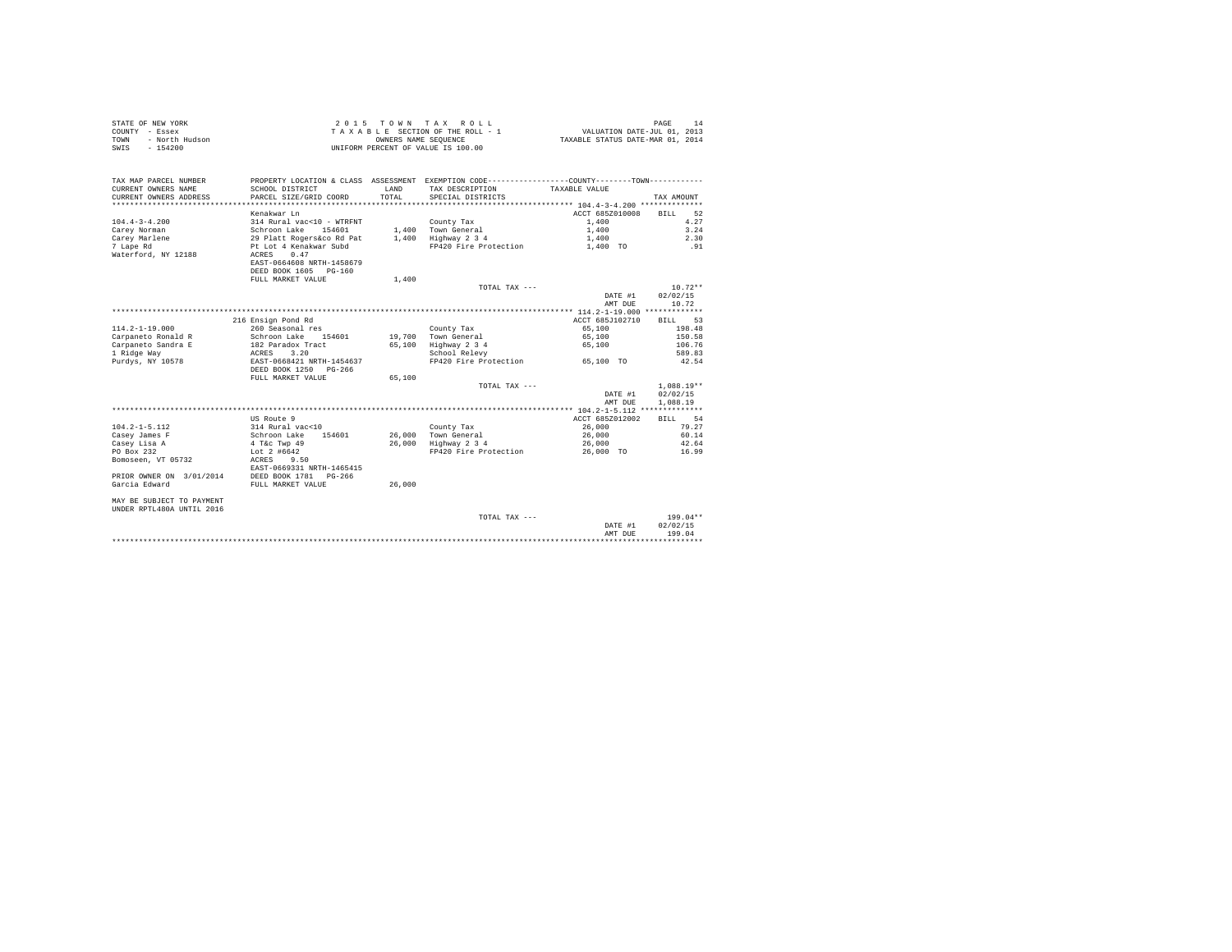| STATE OF NEW YORK      | 2015 TOWN TAX ROLL                 | 14<br>PAGE                       |
|------------------------|------------------------------------|----------------------------------|
| COUNTY - Essex         | TAXABLE SECTION OF THE ROLL - 1    | VALUATION DATE-JUL 01, 2013      |
| TOWN<br>- North Hudson | OWNERS NAME SEOUENCE               | TAXABLE STATUS DATE-MAR 01, 2014 |
| SWIS<br>$-154200$      | UNIFORM PERCENT OF VALUE IS 100.00 |                                  |

| TAX MAP PARCEL NUMBER<br>CURRENT OWNERS NAME<br>CURRENT OWNERS ADDRESS | PROPERTY LOCATION & CLASS ASSESSMENT EXEMPTION CODE----------------COUNTY-------TOWN----------<br>SCHOOL DISTRICT<br>PARCEL SIZE/GRID COORD | LAND<br>TOTAL. | TAX DESCRIPTION<br>SPECIAL DISTRICTS | TAXABLE VALUE   | TAX AMOUNT        |
|------------------------------------------------------------------------|---------------------------------------------------------------------------------------------------------------------------------------------|----------------|--------------------------------------|-----------------|-------------------|
|                                                                        |                                                                                                                                             |                |                                      |                 |                   |
|                                                                        | Kenakwar Ln                                                                                                                                 |                |                                      | ACCT 685Z010008 | 52<br>BILL        |
| $104.4 - 3 - 4.200$                                                    | 314 Rural vac<10 - WTRFNT                                                                                                                   |                | County Tax                           | 1,400           | 4.27              |
| Carev Norman                                                           | Schroon Lake<br>154601                                                                                                                      |                | 1.400 Town General                   | 1,400           | 3.24              |
| Carey Marlene                                                          | 29 Platt Rogers&co Rd Pat                                                                                                                   | 1,400          | Highway 2 3 4                        | 1,400           | 2.30              |
| 7 Lape Rd                                                              | Pt Lot 4 Kenakwar Subd                                                                                                                      |                | FP420 Fire Protection                | 1,400 TO        | .91               |
| Waterford, NY 12188                                                    | 0.47<br>ACRES                                                                                                                               |                |                                      |                 |                   |
|                                                                        | EAST-0664608 NRTH-1458679                                                                                                                   |                |                                      |                 |                   |
|                                                                        | DEED BOOK 1605 PG-160                                                                                                                       |                |                                      |                 |                   |
|                                                                        | FULL MARKET VALUE                                                                                                                           | 1,400          |                                      |                 |                   |
|                                                                        |                                                                                                                                             |                | TOTAL TAX ---                        |                 | $10.72**$         |
|                                                                        |                                                                                                                                             |                |                                      | DATE #1         | 02/02/15          |
|                                                                        |                                                                                                                                             |                |                                      | AMT DUE         | 10.72             |
|                                                                        |                                                                                                                                             |                |                                      |                 |                   |
|                                                                        | 216 Ensign Pond Rd                                                                                                                          |                |                                      | ACCT 685J102710 | 53<br><b>BILL</b> |
| $114.2 - 1 - 19.000$                                                   | 260 Seasonal res                                                                                                                            |                | County Tax                           | 65,100          | 198.48            |
| Carpaneto Ronald R                                                     | 154601<br>Schroon Lake                                                                                                                      |                | 19,700 Town General                  | 65,100          | 150.58            |
| Carpaneto Sandra E                                                     | 182 Paradox Tract                                                                                                                           | 65,100         | Highway 2 3 4                        | 65,100          | 106.76            |
| 1 Ridge Way                                                            | 3.20<br>ACRES                                                                                                                               |                | School Relevy                        |                 | 589.83            |
| Purdys, NY 10578                                                       | EAST-0668421 NRTH-1454637                                                                                                                   |                | FP420 Fire Protection                | 65,100 TO       | 42.54             |
|                                                                        | DEED BOOK 1250<br>PG-266                                                                                                                    |                |                                      |                 |                   |
|                                                                        | FULL MARKET VALUE                                                                                                                           | 65,100         |                                      |                 |                   |
|                                                                        |                                                                                                                                             |                | TOTAL TAX ---                        |                 | $1.088.19**$      |
|                                                                        |                                                                                                                                             |                |                                      | DATE #1         | 02/02/15          |
|                                                                        |                                                                                                                                             |                |                                      | AMT DUE         | 1,088.19          |
|                                                                        |                                                                                                                                             |                |                                      |                 |                   |
|                                                                        | US Route 9                                                                                                                                  |                |                                      | ACCT 685Z012002 | 54<br>BILL        |
| $104.2 - 1 - 5.112$                                                    | 314 Rural vac<10                                                                                                                            |                | County Tax                           | 26,000          | 79.27             |
| Casey James F                                                          | Schroon Lake<br>154601                                                                                                                      |                | 26.000 Town General                  | 26,000          | 60.14             |
| Casey Lisa A                                                           | 4 T&c Twp 49                                                                                                                                |                | 26,000 Highway 2 3 4                 | 26,000          | 42.64             |
| PO Box 232                                                             | Lot $2$ #6642                                                                                                                               |                | FP420 Fire Protection                | 26,000 TO       | 16.99             |
| Bomoseen, VT 05732                                                     | 9.50<br>ACRES<br>EAST-0669331 NRTH-1465415                                                                                                  |                |                                      |                 |                   |
| PRIOR OWNER ON 3/01/2014                                               | DEED BOOK 1781 PG-266                                                                                                                       |                |                                      |                 |                   |
| Garcia Edward                                                          | FULL MARKET VALUE                                                                                                                           | 26,000         |                                      |                 |                   |
|                                                                        |                                                                                                                                             |                |                                      |                 |                   |
| MAY BE SUBJECT TO PAYMENT                                              |                                                                                                                                             |                |                                      |                 |                   |
| UNDER RPTL480A UNTIL 2016                                              |                                                                                                                                             |                |                                      |                 |                   |
|                                                                        |                                                                                                                                             |                | TOTAL TAX ---                        |                 | $199.04**$        |
|                                                                        |                                                                                                                                             |                |                                      | DATE #1         | 02/02/15          |
|                                                                        |                                                                                                                                             |                |                                      | AMT DUE         | 199.04            |
|                                                                        |                                                                                                                                             |                |                                      |                 |                   |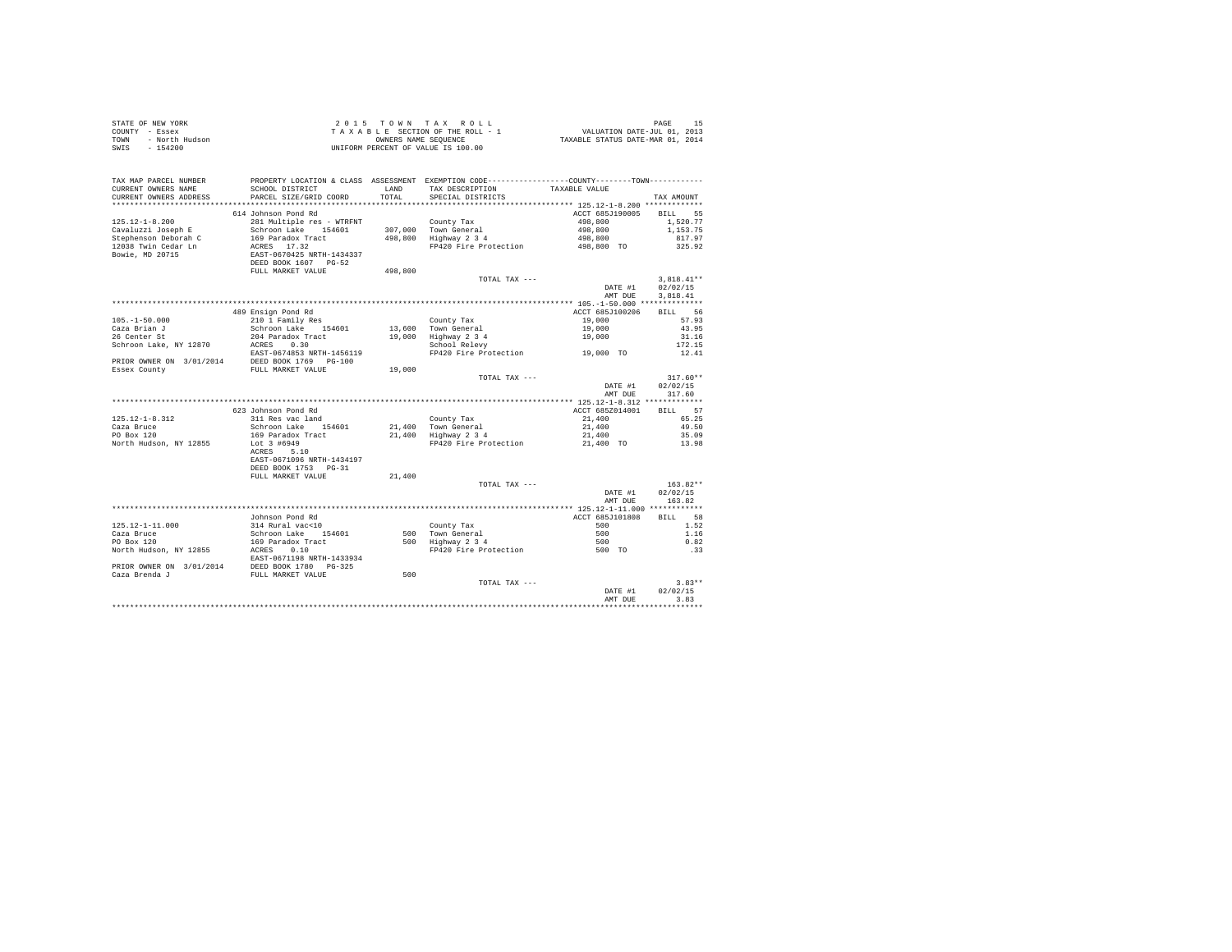| STATE OF NEW YORK<br>COUNTY - Essex<br>- North Hudson<br>TOWN<br>SWIS - 154200      |                                                          |               | 2015 TOWN TAX ROLL<br>TAXABLE SECTION OF THE ROLL - 1<br>OWNERS NAME SEQUENCE<br>UNIFORM PERCENT OF VALUE IS 100.00                     | PAGE 15<br>2013 VALUATION DATE-JUL<br>2014 TAXABLE STATUS DATE-MAR | PAGE<br>15               |
|-------------------------------------------------------------------------------------|----------------------------------------------------------|---------------|-----------------------------------------------------------------------------------------------------------------------------------------|--------------------------------------------------------------------|--------------------------|
| TAX MAP PARCEL NUMBER<br>CURRENT OWNERS NAME<br>CURRENT OWNERS ADDRESS              | SCHOOL DISTRICT<br>PARCEL SIZE/GRID COORD                | LAND<br>TOTAL | PROPERTY LOCATION & CLASS ASSESSMENT EXEMPTION CODE----------------COUNTY--------TOWN----------<br>TAX DESCRIPTION<br>SPECIAL DISTRICTS | TAXABLE VALUE                                                      | TAX AMOUNT               |
|                                                                                     |                                                          |               |                                                                                                                                         |                                                                    |                          |
|                                                                                     | 614 Johnson Pond Rd                                      |               |                                                                                                                                         | ACCT 685J190005                                                    | BILL 55                  |
| $125.12 - 1 - 8.200$                                                                | 281 Multiple res - WTRFNT                                |               | County Tax                                                                                                                              | 498,800                                                            | 1,520.77                 |
| Cavaluzzi Joseph E<br>Stephenson Deborah C                                          | Schroon Lake 154601<br>169 Paradox Tract                 |               | 307,000 Town General<br>498,800 Highway 2 3 4                                                                                           | 498,800<br>498,800                                                 | 1,153.75<br>817.97       |
| 12038 Twin Cedar Ln                                                                 | ACRES 17.32                                              |               | FP420 Fire Protection                                                                                                                   | 498,800 TO                                                         | 325.92                   |
| Bowie, MD 20715                                                                     | EAST-0670425 NRTH-1434337<br>DEED BOOK 1607 PG-52        |               |                                                                                                                                         |                                                                    |                          |
|                                                                                     | FULL MARKET VALUE                                        | 498,800       |                                                                                                                                         |                                                                    |                          |
|                                                                                     |                                                          |               | TOTAL TAX ---                                                                                                                           | DATE #1                                                            | $3.818.41**$<br>02/02/15 |
|                                                                                     |                                                          |               |                                                                                                                                         | AMT DUE                                                            | 3.818.41                 |
|                                                                                     |                                                          |               |                                                                                                                                         |                                                                    |                          |
|                                                                                     | 489 Ensign Pond Rd                                       |               |                                                                                                                                         | ACCT 685J100206                                                    | RTLL 56                  |
| $105. - 1 - 50.000$                                                                 | 210 1 Family Res                                         |               | County Tax                                                                                                                              | 19,000                                                             | 57.93                    |
| Caza Brian J<br>26 Center St                                                        | Schroon Lake 154601                                      | 13,600        | Town General                                                                                                                            | 19,000                                                             | 43.95                    |
|                                                                                     | 204 Paradox Tract                                        | 19,000        |                                                                                                                                         | 19,000                                                             | 31.16                    |
| Schroon Lake, NY 12870                                                              | ACRES 0.30                                               |               | iown General<br>Highway 2 3 4<br>School Relevy                                                                                          | $19,000$ TO                                                        | 172.15                   |
| PRIOR OWNER ON 3/01/2014 DEED BOOK 1769 PG-100                                      | EAST-0674853 NRTH-1456119                                |               | FP420 Fire Protection                                                                                                                   |                                                                    | 12.41                    |
| Essex County                                                                        | FULL MARKET VALUE                                        | 19,000        |                                                                                                                                         |                                                                    |                          |
|                                                                                     |                                                          |               | TOTAL TAX ---                                                                                                                           |                                                                    | $317.60**$               |
|                                                                                     |                                                          |               |                                                                                                                                         | DATE #1<br>AMT DUE                                                 | 02/02/15<br>317.60       |
|                                                                                     |                                                          |               |                                                                                                                                         |                                                                    |                          |
|                                                                                     | 623 Johnson Pond Rd                                      |               |                                                                                                                                         | ACCT 685Z014001                                                    | 57<br><b>BILL</b>        |
| $125.12 - 1 - 8.312$                                                                | 311 Res vac land                                         |               | County Tax                                                                                                                              | 21,400                                                             | 65.25                    |
| Caza Bruce                                                                          | Schroon Lake 154601                                      |               | 21,400 Town General                                                                                                                     | 21,400                                                             | 49.50                    |
| PO Box 120                                                                          | 169 Paradox Tract                                        |               | 21,400 TOWN General<br>21,400 Highway 2 3 4                                                                                             | 21,400                                                             | 35.09                    |
| North Hudson, NY 12855                                                              | Lot 3 #6949<br>$ACRES$ 5.10<br>EAST-0671096 NRTH-1434197 |               | FP420 Fire Protection                                                                                                                   | 21,400 TO                                                          | 13.98                    |
|                                                                                     | DEED BOOK 1753 PG-31                                     |               |                                                                                                                                         |                                                                    |                          |
|                                                                                     | FULL MARKET VALUE                                        | 21,400        |                                                                                                                                         |                                                                    |                          |
|                                                                                     |                                                          |               | TOTAL TAX ---                                                                                                                           |                                                                    | $163.82**$               |
|                                                                                     |                                                          |               |                                                                                                                                         | DATE #1                                                            | 02/02/15                 |
|                                                                                     |                                                          |               |                                                                                                                                         | AMT DUE                                                            | 163.82                   |
|                                                                                     |                                                          |               |                                                                                                                                         |                                                                    |                          |
|                                                                                     | Johnson Pond Rd                                          |               |                                                                                                                                         | ACCT 685J101808                                                    | 58<br><b>BILL</b>        |
| $125.12 - 1 - 11.000$<br>Caza Bruce                                                 | 314 Rural vac<10<br>Schroon Lake 154601                  |               | County Tax                                                                                                                              | 500<br>500                                                         | 1.52<br>1.16             |
| PO Box 120                                                                          | 169 Paradox Tract                                        |               | 500 Town General<br>500 Highway 2 3 4                                                                                                   | 500                                                                | 0.82                     |
| North Hudson, NY 12855 ACRES 0.10                                                   |                                                          |               | FP420 Fire Protection                                                                                                                   | 500 TO                                                             | .33                      |
|                                                                                     | EAST-0671198 NRTH-1433934                                |               |                                                                                                                                         |                                                                    |                          |
|                                                                                     |                                                          |               |                                                                                                                                         |                                                                    |                          |
| PRIOR OWNER ON $3/01/2014$ DEED BOOK 1780 PG-325<br>Caza Brenda J FULL MARKET VALUE |                                                          | 500           |                                                                                                                                         |                                                                    |                          |
|                                                                                     |                                                          |               | TOTAL TAX ---                                                                                                                           |                                                                    | $3.83**$                 |
|                                                                                     |                                                          |               |                                                                                                                                         | DATE #1                                                            | 02/02/15                 |
|                                                                                     |                                                          |               |                                                                                                                                         | AMT DUE                                                            | 3.83                     |
|                                                                                     |                                                          |               |                                                                                                                                         |                                                                    |                          |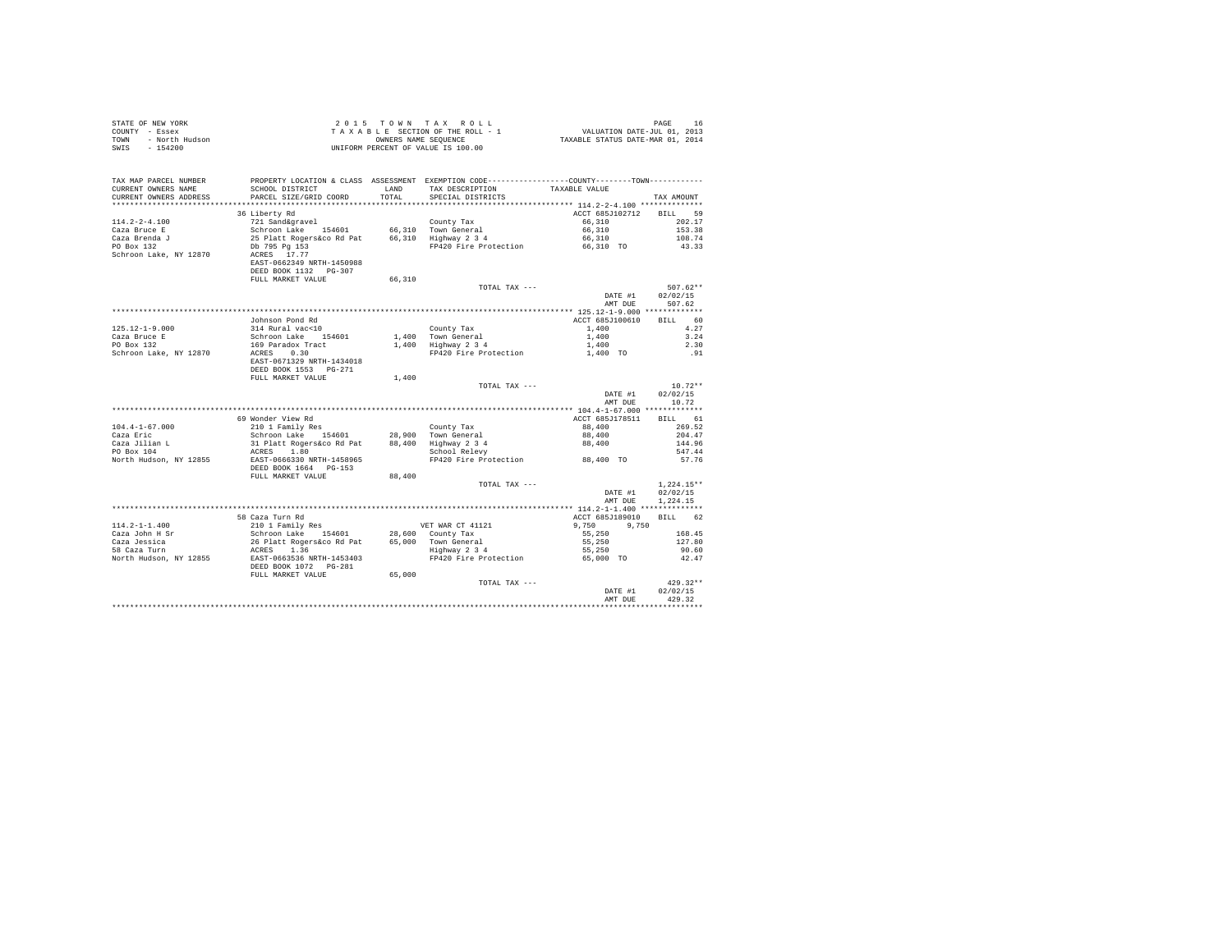| COUNTY - Essex<br>TOWN<br>- North Hudson | T A X A B L E SECTION OF THE ROLL - 1<br>OWNERS NAME SENGER SEQUENCE<br>UNIFORM PERCENT OF VALUE IS 100.00 |        |                                                                                                |                            |                  |
|------------------------------------------|------------------------------------------------------------------------------------------------------------|--------|------------------------------------------------------------------------------------------------|----------------------------|------------------|
| $-154200$<br>SWIS                        |                                                                                                            |        |                                                                                                |                            |                  |
|                                          |                                                                                                            |        |                                                                                                |                            |                  |
|                                          |                                                                                                            |        |                                                                                                |                            |                  |
| TAX MAP PARCEL NUMBER                    |                                                                                                            |        | PROPERTY LOCATION & CLASS ASSESSMENT EXEMPTION CODE----------------COUNTY-------TOWN---------- |                            |                  |
| CURRENT OWNERS NAME                      | SCHOOL DISTRICT                                                                                            | LAND   | TAX DESCRIPTION                                                                                | TAXABLE VALUE              |                  |
| CURRENT OWNERS ADDRESS                   | PARCEL SIZE/GRID COORD                                                                                     | TOTAL  | SPECIAL DISTRICTS                                                                              |                            | TAX AMOUNT       |
|                                          | 36 Liberty Rd                                                                                              |        |                                                                                                | ACCT 685J102712            | BILL 59          |
| $114.2 - 2 - 4.100$                      |                                                                                                            |        |                                                                                                | 66,310                     | 202.17           |
| Caza Bruce E                             |                                                                                                            |        |                                                                                                | 66,310                     | 153.38           |
| Caza Brenda J                            |                                                                                                            |        |                                                                                                | 66,310                     | 108.74           |
| Caza Brenda J<br>PO Box 132              |                                                                                                            |        | FP420 Fire Protection 66,310 TO                                                                |                            | 43.33            |
| Schroon Lake, NY 12870                   |                                                                                                            |        |                                                                                                |                            |                  |
|                                          | EAST-0662349 NRTH-1450988                                                                                  |        |                                                                                                |                            |                  |
|                                          | DEED BOOK 1132 PG-307                                                                                      |        |                                                                                                |                            |                  |
|                                          | FULL MARKET VALUE                                                                                          | 66,310 |                                                                                                |                            |                  |
|                                          |                                                                                                            |        | TOTAL TAX ---                                                                                  |                            | $507.62**$       |
|                                          |                                                                                                            |        |                                                                                                | DATE #1                    | 02/02/15         |
|                                          |                                                                                                            |        |                                                                                                | AMT DUE                    | 507.62           |
|                                          |                                                                                                            |        |                                                                                                |                            |                  |
| $125.12 - 1 - 9.000$                     | Johnson Pond Rd                                                                                            |        | County Tax                                                                                     | ACCT 685J100610<br>1,400   | BILL 60<br>4.27  |
|                                          |                                                                                                            |        |                                                                                                | 1,400                      | 3.24             |
| Caza Bruce E<br>PO Box 132               |                                                                                                            |        | $1,400$ Town General<br>$1,400$ Highway 2 3 4                                                  | 1,400                      | 2.30             |
| Schroon Lake, NY 12870                   |                                                                                                            |        | FP420 Fire Protection                                                                          | 1,400 TO                   | .91              |
|                                          | EAST-0671329 NRTH-1434018                                                                                  |        |                                                                                                |                            |                  |
|                                          | DEED BOOK 1553 PG-271                                                                                      |        |                                                                                                |                            |                  |
|                                          | FULL MARKET VALUE                                                                                          | 1,400  |                                                                                                |                            |                  |
|                                          |                                                                                                            |        | TOTAL TAX ---                                                                                  |                            | $10.72**$        |
|                                          |                                                                                                            |        |                                                                                                | DATE #1                    | 02/02/15         |
|                                          |                                                                                                            |        |                                                                                                | AMT DUE                    | 10.72            |
|                                          |                                                                                                            |        |                                                                                                |                            |                  |
|                                          | 69 Wonder View Rd                                                                                          |        |                                                                                                | ACCT 685J178511            | BILL 61          |
| $104.4 - 1 - 67.000$                     |                                                                                                            |        |                                                                                                | 88,400                     | 269.52           |
| Caza Eric<br>Caza Jilian L               |                                                                                                            |        |                                                                                                | 88,400<br>88,400           | 204.47<br>144.96 |
| Caza Jilian L<br>PO Box 104              |                                                                                                            |        |                                                                                                |                            | 547.44           |
| North Hudson, NY 12855                   |                                                                                                            |        | FP420 Fire Protection 88,400 TO 57.76                                                          |                            |                  |
|                                          | DEED BOOK 1664   PG-153                                                                                    |        |                                                                                                |                            |                  |
|                                          | FULL MARKET VALUE                                                                                          | 88,400 |                                                                                                |                            |                  |
|                                          |                                                                                                            |        | TOTAL TAX ---                                                                                  |                            | $1.224.15**$     |
|                                          |                                                                                                            |        |                                                                                                | DATE #1                    | 02/02/15         |
|                                          |                                                                                                            |        |                                                                                                | AMT DUE                    | 1,224.15         |
|                                          |                                                                                                            |        |                                                                                                |                            |                  |
|                                          | 58 Caza Turn Rd                                                                                            |        |                                                                                                | ACCT 685J189010            | BILL 62          |
| $114.2 - 1 - 1.400$                      |                                                                                                            |        |                                                                                                | $9,750$<br>55,250<br>9,750 |                  |
| Caza John H Sr                           |                                                                                                            |        |                                                                                                |                            | 168.45           |
| Caza Jessica<br>58 Caza Turn             |                                                                                                            |        |                                                                                                | 55,250<br>55,250           | 127.80<br>90.60  |
| North Hudson, NY 12855                   |                                                                                                            |        | FP420 Fire Protection                                                                          | 65,000 TO                  | 42.47            |
|                                          | DEED BOOK 1072    PG-281                                                                                   |        |                                                                                                |                            |                  |
|                                          | FULL MARKET VALUE                                                                                          | 65,000 |                                                                                                |                            |                  |
|                                          |                                                                                                            |        | TOTAL TAX ---                                                                                  |                            | $429.32**$       |
|                                          |                                                                                                            |        |                                                                                                | DATE #1                    | 02/02/15         |
|                                          |                                                                                                            |        |                                                                                                | AMT DUE                    | 429.32           |
|                                          |                                                                                                            |        |                                                                                                |                            |                  |

STATE OF NEW YORK 2 0 15 TOWN TAX ROLL STATE OF NEW YORK 16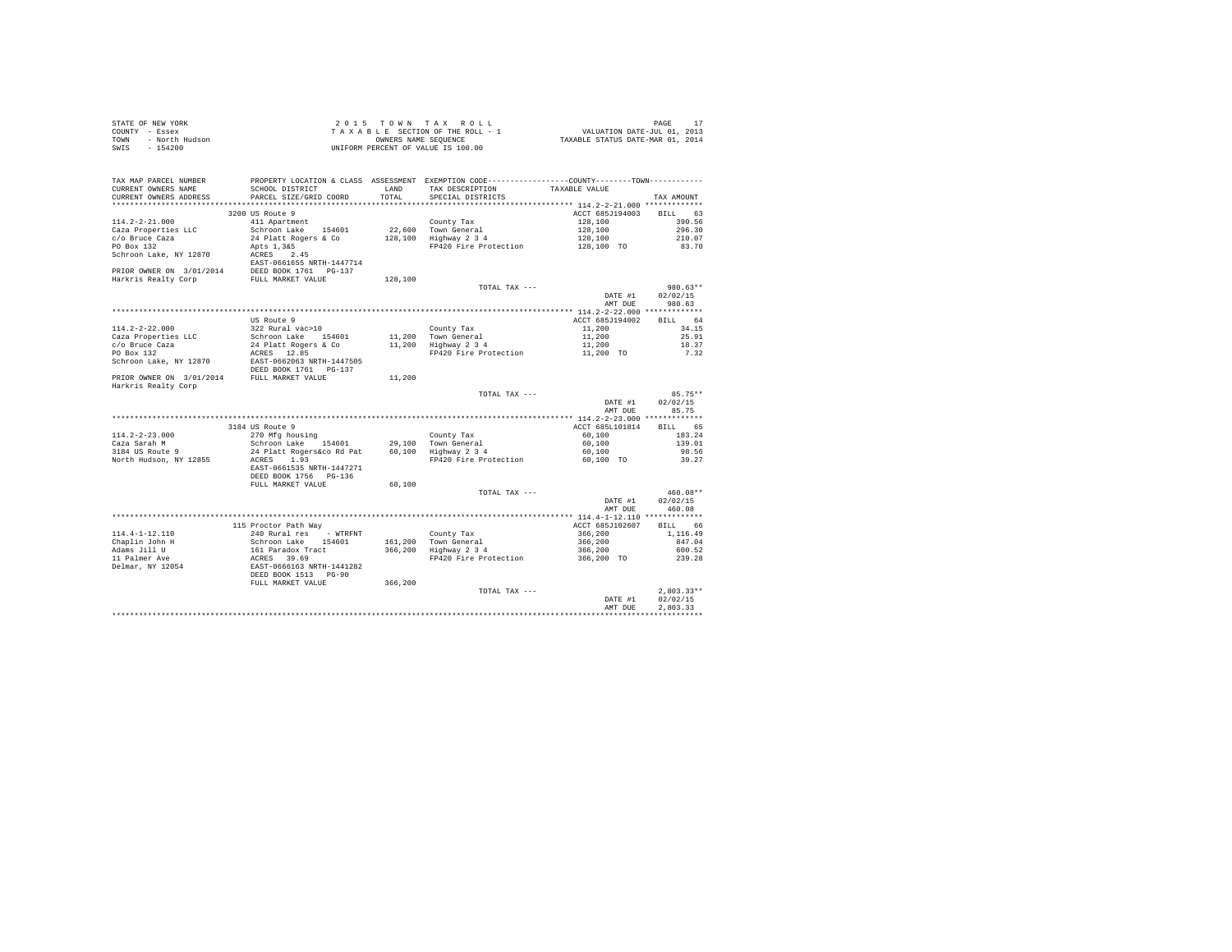|      | STATE OF NEW YORK | 2015 TOWN TAX ROLL                 | PAGE                             |
|------|-------------------|------------------------------------|----------------------------------|
|      | COUNTY - Essex    | TAXABLE SECTION OF THE ROLL - 1    | VALUATION DATE-JUL 01, 2013      |
| TOWN | - North Hudson    | OWNERS NAME SEOUENCE               | TAXABLE STATUS DATE-MAR 01, 2014 |
| SWIS | $-154200$         | UNIFORM PERCENT OF VALUE IS 100.00 |                                  |

| TAX MAP PARCEL NUMBER<br>CURRENT OWNERS NAME   | PROPERTY LOCATION & CLASS ASSESSMENT EXEMPTION CODE---------------COUNTY-------TOWN---------<br>SCHOOL DISTRICT | <b>T.AND</b> | TAX DESCRIPTION                             | TAXABLE VALUE      |                    |
|------------------------------------------------|-----------------------------------------------------------------------------------------------------------------|--------------|---------------------------------------------|--------------------|--------------------|
| CURRENT OWNERS ADDRESS                         | PARCEL SIZE/GRID COORD                                                                                          | TOTAL        | SPECIAL DISTRICTS                           |                    | TAX AMOUNT         |
|                                                | 3200 US Route 9                                                                                                 |              |                                             | ACCT 685J194003    | BILL 63            |
| $114.2 - 2 - 21.000$                           | 411 Apartment                                                                                                   |              | County Tax                                  | 128,100            | 390.56             |
| Caza Properties LLC                            | Schroon Lake 154601                                                                                             |              | 22,600 Town General                         | 128,100            | 296.30             |
|                                                |                                                                                                                 |              | 128,100 Highway 2 3 4                       |                    | 210.07             |
| c/o Bruce Caza<br>PO Box 132                   | 24 Platt Rogers & Co                                                                                            |              | FP420 Fire Protection 128,100 TO            | 128,100            | 83.70              |
|                                                | Apts 1,3&5<br>ACRES 2.45                                                                                        |              |                                             |                    |                    |
| Schroon Lake, NY 12870                         | EAST-0661655 NRTH-1447714                                                                                       |              |                                             |                    |                    |
| PRIOR OWNER ON 3/01/2014 DEED BOOK 1761 PG-137 |                                                                                                                 |              |                                             |                    |                    |
| Harkris Realty Corp                            | FULL MARKET VALUE                                                                                               | 128,100      |                                             |                    |                    |
|                                                |                                                                                                                 |              |                                             |                    | $980.63**$         |
|                                                |                                                                                                                 |              | TOTAL TAX ---                               |                    |                    |
|                                                |                                                                                                                 |              |                                             | DATE #1<br>AMT DUE | 02/02/15<br>980.63 |
|                                                |                                                                                                                 |              |                                             |                    |                    |
|                                                |                                                                                                                 |              |                                             |                    |                    |
|                                                | US Route 9                                                                                                      |              |                                             | ACCT 685J194002    | BILL 64            |
| $114.2 - 2 - 22.000$                           | 322 Rural vac>10                                                                                                |              | County Tax                                  | 11,200             | 34.15              |
| Caza Properties LLC                            | Schroon Lake 154601                                                                                             |              | 11,200 Town General<br>11,200 Highway 2 3 4 | 11,200             | 25.91              |
| c/o Bruce Caza                                 | 24 Platt Rogers & Co                                                                                            |              |                                             | 11,200             | 18.37              |
| PO Box 132                                     | ACRES 12.85                                                                                                     |              | FP420 Fire Protection                       | 11,200 TO          | 7.32               |
| Schroon Lake, NY 12870                         | EAST-0662063 NRTH-1447505<br>DEED BOOK 1761 PG-137                                                              |              |                                             |                    |                    |
|                                                |                                                                                                                 |              |                                             |                    |                    |
| PRIOR OWNER ON 3/01/2014 FULL MARKET VALUE     |                                                                                                                 | 11,200       |                                             |                    |                    |
| Harkris Realty Corp                            |                                                                                                                 |              |                                             |                    |                    |
|                                                |                                                                                                                 |              | TOTAL TAX ---                               |                    | $85.75**$          |
|                                                |                                                                                                                 |              |                                             | DATE #1            | 02/02/15           |
|                                                |                                                                                                                 |              |                                             | AMT DUE            | 85.75              |
|                                                |                                                                                                                 |              |                                             |                    |                    |
|                                                | 3184 US Route 9                                                                                                 |              |                                             | ACCT 685L101814    | BILL 65            |
| $114.2 - 2 - 23.000$                           | 270 Mfg housing                                                                                                 |              | County Tax                                  | 60,100             | 183.24             |
| Caza Sarah M                                   | Schroon Lake 154601                                                                                             |              | 29,100 Town General<br>60,100 Highway 2 3 4 | 60,100             | 139.01             |
| 3184 US Route 9                                | 24 Platt Rogers&co Rd Pat                                                                                       |              |                                             | 60,100             | 98.56              |
| North Hudson, NY 12855                         | ACRES 1.93                                                                                                      |              | FP420 Fire Protection                       | 60.100 TO          | 39.27              |
|                                                | EAST-0661535 NRTH-1447271                                                                                       |              |                                             |                    |                    |
|                                                | DEED BOOK 1756 PG-136                                                                                           |              |                                             |                    |                    |
|                                                | FULL MARKET VALUE                                                                                               | 60,100       |                                             |                    |                    |
|                                                |                                                                                                                 |              | TOTAL TAX ---                               |                    | 460.08**           |
|                                                |                                                                                                                 |              |                                             | DATE #1            | 02/02/15           |
|                                                |                                                                                                                 |              |                                             | AMT DUE            | 460.08             |
|                                                |                                                                                                                 |              |                                             |                    |                    |
|                                                | 115 Proctor Path Way                                                                                            |              |                                             | ACCT 685J102607    | BILL 66            |
| $114.4 - 1 - 12.110$                           | 240 Rural res - WTRFNT                                                                                          |              | County Tax                                  | 366,200            | 1,116.49           |
| Chaplin John H                                 |                                                                                                                 |              | 161,200 Town General                        | 366,200            | 847.04             |
| Adams Jill U                                   |                                                                                                                 |              | 366,200 Highway 2 3 4                       | 366,200            | 600.52             |
| 11 Palmer Ave                                  |                                                                                                                 |              | FP420 Fire Protection                       | 366,200 TO         | 239.28             |
| Delmar, NY 12054                               | Schroon Lake 154601<br>161 Paradox Tract<br>ACRES 39.69<br>ERST-0666163 NRTH-1441282<br>DEED BOOK 1513 PG-90    |              |                                             |                    |                    |
|                                                |                                                                                                                 |              |                                             |                    |                    |
|                                                | FULL MARKET VALUE                                                                                               | 366,200      |                                             |                    |                    |
|                                                |                                                                                                                 |              | TOTAL TAX ---                               |                    | $2.803.33**$       |
|                                                |                                                                                                                 |              |                                             | DATE #1            | 02/02/15           |
|                                                |                                                                                                                 |              |                                             | AMT DUE            | 2.803.33           |
|                                                |                                                                                                                 |              |                                             |                    |                    |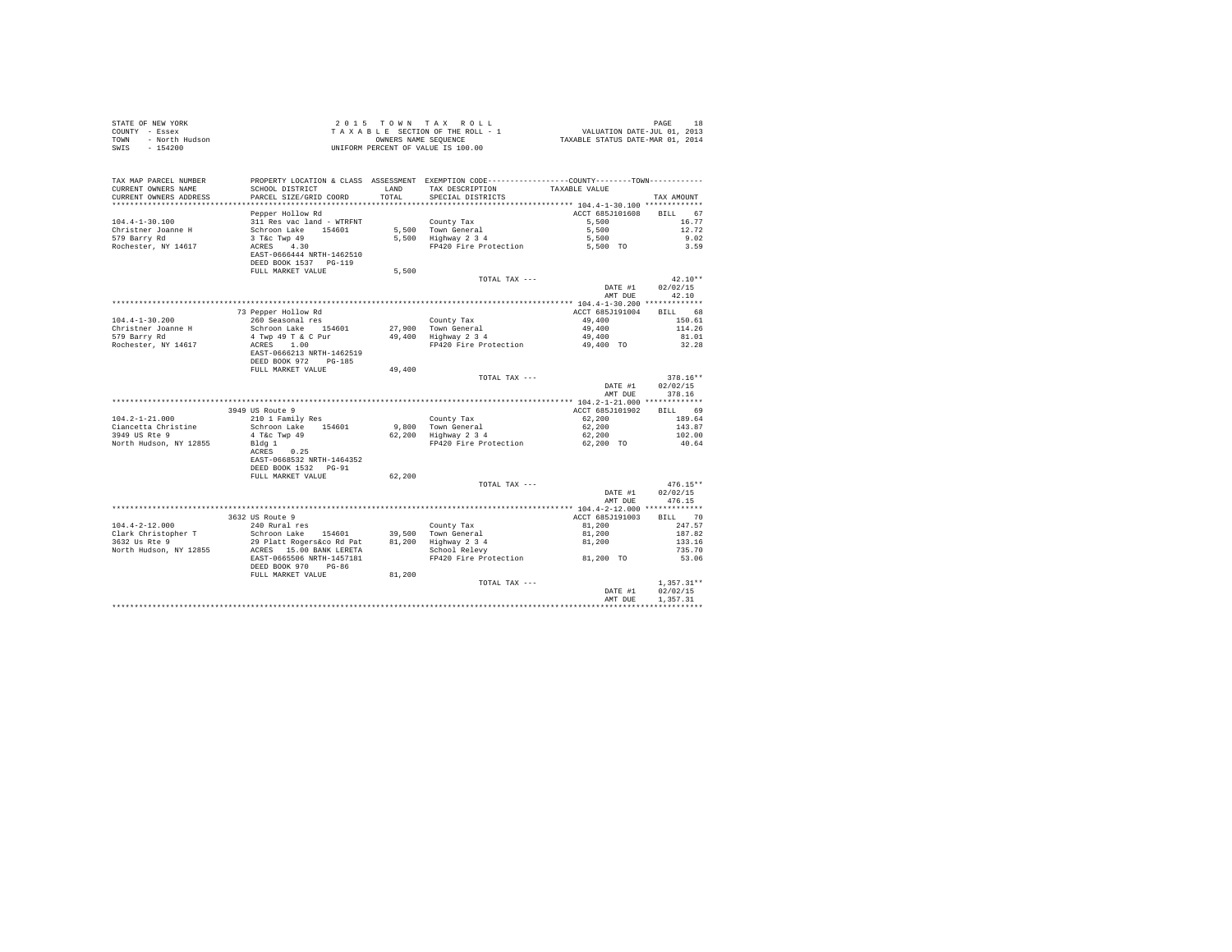| COUNTY - Essex<br>TOWN - North Hudson<br>SWIS - 154200 | T A X A B L E SECTION OF THE ROLL - 1<br>OWNERS NAME SANE SEQUENCE<br>UNIFORM PERCENT OF VALUE IS 100.00                                                                                                                                      |        | T A X A B L E SECTION OF THE ROLL - 1 VALUATION DATE-JUL 01, 2013<br>OWNERS NAME SEQUENCE TAXABLE STATUS DATE-MAR 01, 2014 |                            |                            |
|--------------------------------------------------------|-----------------------------------------------------------------------------------------------------------------------------------------------------------------------------------------------------------------------------------------------|--------|----------------------------------------------------------------------------------------------------------------------------|----------------------------|----------------------------|
|                                                        |                                                                                                                                                                                                                                               |        |                                                                                                                            |                            |                            |
| TAX MAP PARCEL NUMBER                                  |                                                                                                                                                                                                                                               |        | PROPERTY LOCATION & CLASS ASSESSMENT EXEMPTION CODE----------------COUNTY-------TOWN----------                             |                            |                            |
| CURRENT OWNERS NAME                                    | SCHOOL DISTRICT                                                                                                                                                                                                                               | LAND   | TAX DESCRIPTION TAXABLE VALUE                                                                                              |                            |                            |
| CURRENT OWNERS ADDRESS                                 | PARCEL SIZE/GRID COORD                                                                                                                                                                                                                        | TOTAL  | SPECIAL DISTRICTS                                                                                                          |                            | TAX AMOUNT                 |
|                                                        | Pepper Hollow Rd                                                                                                                                                                                                                              |        |                                                                                                                            | ACCT 685J101608            | BILL 67                    |
| $104.4 - 1 - 30.100$                                   |                                                                                                                                                                                                                                               |        |                                                                                                                            | 5,500                      | 16.77                      |
| Christner Joanne H                                     |                                                                                                                                                                                                                                               |        |                                                                                                                            | 5,500                      | 12.72                      |
| 579 Barry Rd                                           |                                                                                                                                                                                                                                               |        | County Tax<br>5,500 Town General<br>5,500 Highway 2 3 4                                                                    | 5,500                      | 9.02                       |
| Rochester, NY 14617                                    | --rru multion Rd<br>311 Res vac land - WTRFNT<br>Schroon Lake 154601<br>3 T&c Twp 49<br>ACRES 4.30<br>NATE 2001:                                                                                                                              |        | FP420 Fire Protection 5,500 TO                                                                                             |                            | 3.59                       |
|                                                        | EAST-0666444 NRTH-1462510                                                                                                                                                                                                                     |        |                                                                                                                            |                            |                            |
|                                                        | DEED BOOK 1537 PG-119                                                                                                                                                                                                                         |        |                                                                                                                            |                            |                            |
|                                                        | FULL MARKET VALUE                                                                                                                                                                                                                             | 5,500  |                                                                                                                            |                            |                            |
|                                                        |                                                                                                                                                                                                                                               |        | TOTAL TAX ---                                                                                                              |                            | $42.10**$                  |
|                                                        |                                                                                                                                                                                                                                               |        |                                                                                                                            | DATE #1                    | 02/02/15                   |
|                                                        |                                                                                                                                                                                                                                               |        |                                                                                                                            | AMT DUE                    | 42.10                      |
|                                                        | 73 Pepper Hollow Rd                                                                                                                                                                                                                           |        |                                                                                                                            | ACCT 685J191004            | BILL 68                    |
| $104.4 - 1 - 30.200$                                   |                                                                                                                                                                                                                                               |        |                                                                                                                            |                            | 150.61                     |
| Christner Joanne H                                     |                                                                                                                                                                                                                                               |        |                                                                                                                            |                            | 114.26                     |
| 579 Barry Rd                                           |                                                                                                                                                                                                                                               |        |                                                                                                                            |                            | 81.01                      |
| Rochester, NY 14617                                    |                                                                                                                                                                                                                                               |        |                                                                                                                            |                            | 32.28                      |
|                                                        | 260 Seasonal res<br>260 Seasonal res<br>3chroon Lake 154601 27,900 Town General 49,400<br>4 Twp 49 T & C Pur 49,400 Highway 2 3 4<br>ACRES<br>27,900 Highway 2 3 4<br>49,400 FMTH-1462519<br>PP420 Fire Protection 49,400 TO<br>28,5T-0666213 |        |                                                                                                                            |                            |                            |
|                                                        | DEED BOOK 972 PG-185                                                                                                                                                                                                                          |        |                                                                                                                            |                            |                            |
|                                                        | FULL MARKET VALUE 49,400                                                                                                                                                                                                                      |        |                                                                                                                            |                            |                            |
|                                                        |                                                                                                                                                                                                                                               |        | TOTAL TAX ---                                                                                                              |                            | $378.16**$                 |
|                                                        |                                                                                                                                                                                                                                               |        |                                                                                                                            | DATE #1                    | 02/02/15<br>AMT DUE 378.16 |
|                                                        |                                                                                                                                                                                                                                               |        |                                                                                                                            |                            |                            |
|                                                        | 3949 US Route 9                                                                                                                                                                                                                               |        |                                                                                                                            | ACCT 685J101902 BILL 69    |                            |
| $104.2 - 1 - 21.000$                                   |                                                                                                                                                                                                                                               |        |                                                                                                                            |                            |                            |
|                                                        |                                                                                                                                                                                                                                               |        |                                                                                                                            |                            |                            |
| Ciancetta Christine                                    | 210 1 Family Res                                                                                                                                                                                                                              |        | County Tax                                                                                                                 | 62,200                     | 189.64<br>143.87           |
| 3949 US Rte 9                                          | Schroon Lake 154601                                                                                                                                                                                                                           |        |                                                                                                                            | $62,200$<br>$62,200$       | 102.00                     |
| North Hudson, NY 12855                                 | 4 T&C Twp 49<br>Bldg 1                                                                                                                                                                                                                        |        | County Tax<br>9,800 Town General<br>62,200 Highway 2 3 4<br>FP420 Fire Protection                                          | 62,200 TO                  | 40.64                      |
|                                                        | ACRES 0.25                                                                                                                                                                                                                                    |        |                                                                                                                            |                            |                            |
|                                                        | EAST-0668532 NRTH-1464352                                                                                                                                                                                                                     |        |                                                                                                                            |                            |                            |
|                                                        | DEED BOOK 1532 PG-91                                                                                                                                                                                                                          |        |                                                                                                                            |                            |                            |
|                                                        | FULL MARKET VALUE                                                                                                                                                                                                                             | 62,200 |                                                                                                                            |                            |                            |
|                                                        |                                                                                                                                                                                                                                               |        | TOTAL TAX ---                                                                                                              |                            | $476.15**$                 |
|                                                        |                                                                                                                                                                                                                                               |        |                                                                                                                            | DATE #1<br>AMT DUE         | 02/02/15<br>476.15         |
|                                                        |                                                                                                                                                                                                                                               |        |                                                                                                                            |                            |                            |
|                                                        | 3632 US Route 9                                                                                                                                                                                                                               |        |                                                                                                                            | ACCT 685J191003            | BILL 70                    |
|                                                        | 240 Rural res                                                                                                                                                                                                                                 |        |                                                                                                                            |                            | 247.57                     |
|                                                        |                                                                                                                                                                                                                                               |        |                                                                                                                            |                            | 187.82                     |
|                                                        |                                                                                                                                                                                                                                               |        |                                                                                                                            | 81,200<br>81,200<br>81,200 | 133.16                     |
|                                                        |                                                                                                                                                                                                                                               |        |                                                                                                                            |                            | 735.70                     |
|                                                        | EAST-0665506 NRTH-1457181                                                                                                                                                                                                                     |        | FP420 Fire Protection 81,200 TO                                                                                            |                            | 53.06                      |
|                                                        | DEED BOOK 970 PG-86                                                                                                                                                                                                                           |        |                                                                                                                            |                            |                            |
|                                                        | FULL MARKET VALUE 81,200                                                                                                                                                                                                                      |        |                                                                                                                            |                            | $1.357.31**$               |
|                                                        |                                                                                                                                                                                                                                               |        | TOTAL TAX ---                                                                                                              | DATE #1                    | 02/02/15                   |
|                                                        |                                                                                                                                                                                                                                               |        |                                                                                                                            | AMT DUE                    | 1.357.31                   |

STATE OF NEW YORK 2 0 1 5 T O W N T A X R O L L PAGE 18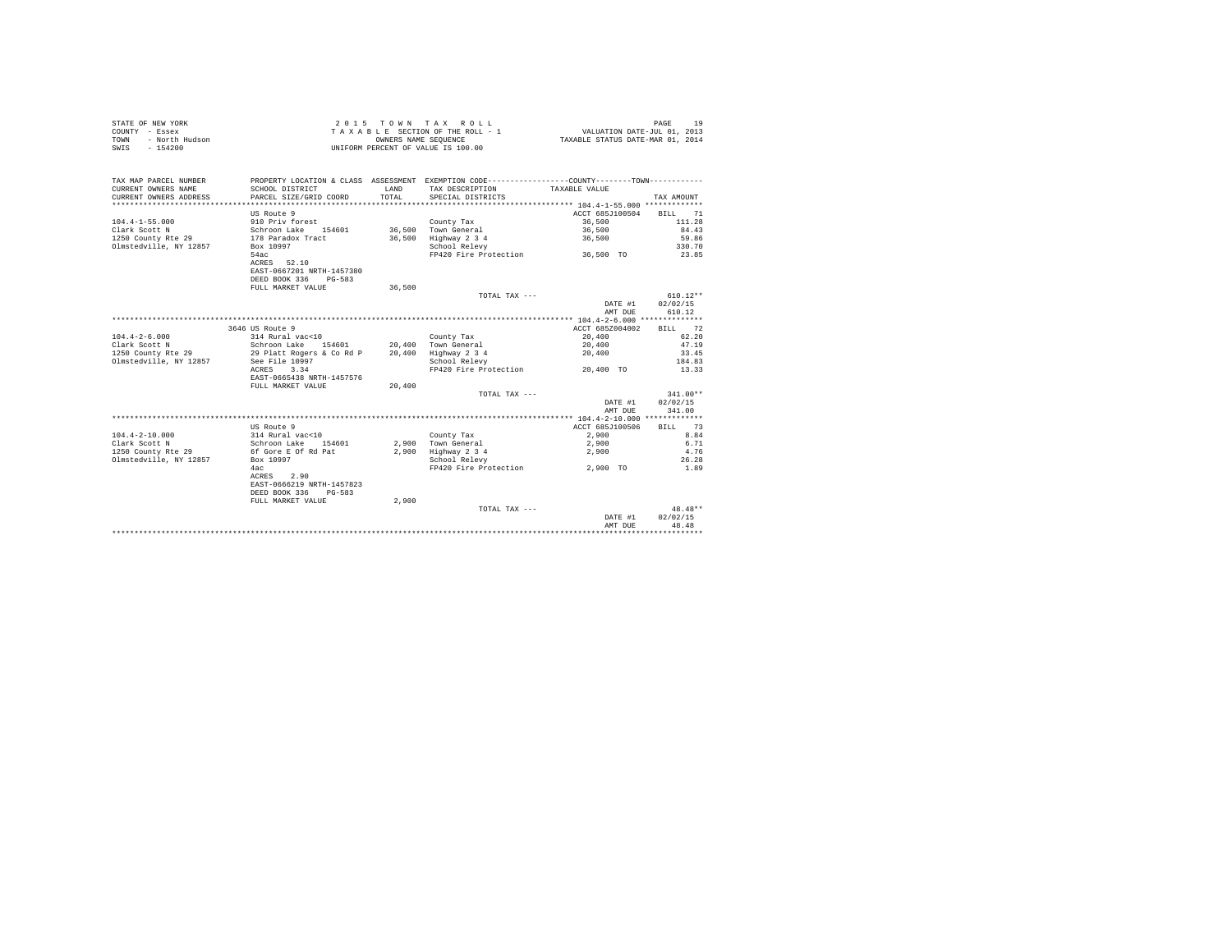| STATE OF NEW YORK      | 2015 TOWN TAX ROLL                 | 1 0<br>PAGE                      |
|------------------------|------------------------------------|----------------------------------|
| COUNTY - Essex         | TAXABLE SECTION OF THE ROLL - 1    | VALUATION DATE-JUL 01, 2013      |
| - North Hudson<br>TOWN | OWNERS NAME SEOUENCE               | TAXABLE STATUS DATE-MAR 01, 2014 |
| $-154200$<br>SWIS      | UNIFORM PERCENT OF VALUE IS 100.00 |                                  |

| TAX MAP PARCEL NUMBER<br>CURRENT OWNERS NAME<br>CURRENT OWNERS ADDRESS | PROPERTY LOCATION & CLASS ASSESSMENT EXEMPTION CODE----------------COUNTY--------TOWN----------<br>SCHOOL DISTRICT<br>PARCEL SIZE/GRID COORD | LAND<br>TOTAL. | TAX DESCRIPTION<br>SPECIAL DISTRICTS | TAXABLE VALUE                               | TAX AMOUNT        |
|------------------------------------------------------------------------|----------------------------------------------------------------------------------------------------------------------------------------------|----------------|--------------------------------------|---------------------------------------------|-------------------|
|                                                                        | US Route 9                                                                                                                                   |                |                                      | ACCT 685J100504                             | 71<br><b>BILL</b> |
| $104.4 - 1 - 55.000$                                                   | 910 Priv forest                                                                                                                              |                | County Tax                           | 36,500                                      | 111.28            |
| Clark Scott N                                                          | Schroon Lake 154601                                                                                                                          | 36,500         | Town General                         | 36,500                                      | 84.43             |
| 1250 County Rte 29                                                     | 178 Paradox Tract                                                                                                                            | 36,500         | Highway 2 3 4                        | 36,500                                      | 59.86             |
| Olmstedville, NY 12857                                                 | Box 10997                                                                                                                                    |                | School Relevy                        |                                             | 330.70            |
|                                                                        | 54ac                                                                                                                                         |                | FP420 Fire Protection                | 36,500 TO                                   | 23.85             |
|                                                                        | ACRES 52.10                                                                                                                                  |                |                                      |                                             |                   |
|                                                                        | EAST-0667201 NRTH-1457380                                                                                                                    |                |                                      |                                             |                   |
|                                                                        | DEED BOOK 336<br>$PG-583$                                                                                                                    |                |                                      |                                             |                   |
|                                                                        | FULL MARKET VALUE                                                                                                                            | 36,500         |                                      |                                             |                   |
|                                                                        |                                                                                                                                              |                | TOTAL TAX ---                        |                                             | $610.12**$        |
|                                                                        |                                                                                                                                              |                |                                      | DATE #1                                     | 02/02/15          |
|                                                                        |                                                                                                                                              |                |                                      | AMT DUE                                     | 610.12            |
|                                                                        |                                                                                                                                              |                |                                      | ************** 104.4-2-6.000 ************** |                   |
|                                                                        | 3646 US Route 9                                                                                                                              |                |                                      | ACCT 685Z004002                             | BILL 72           |
| $104.4 - 2 - 6.000$                                                    | 314 Rural vac<10                                                                                                                             |                | County Tax                           | 20,400                                      | 62.20             |
| Clark Scott N                                                          | Schroon Lake<br>154601                                                                                                                       | 20,400         | Town General                         | 20,400                                      | 47.19             |
| 1250 County Rte 29                                                     | 29 Platt Rogers & Co Rd P                                                                                                                    | 20,400         | Highway 2 3 4                        | 20,400                                      | 33.45             |
| Olmstedville, NY 12857                                                 | See File 10997                                                                                                                               |                | School Relevy                        |                                             | 184.83            |
|                                                                        | 3.34<br>ACRES                                                                                                                                |                | FP420 Fire Protection                | 20,400 TO                                   | 13.33             |
|                                                                        | EAST-0665438 NRTH-1457576                                                                                                                    |                |                                      |                                             |                   |
|                                                                        | FULL MARKET VALUE                                                                                                                            | 20,400         |                                      |                                             |                   |
|                                                                        |                                                                                                                                              |                | TOTAL TAX ---                        |                                             | $341.00**$        |
|                                                                        |                                                                                                                                              |                |                                      | DATE #1                                     | 02/02/15          |
|                                                                        |                                                                                                                                              |                |                                      | AMT DUE                                     | 341.00            |
|                                                                        |                                                                                                                                              |                |                                      |                                             |                   |
|                                                                        | US Route 9                                                                                                                                   |                |                                      | ACCT 685J100506                             | BILL 73           |
| $104.4 - 2 - 10.000$                                                   | 314 Rural vac<10                                                                                                                             |                | County Tax                           | 2,900                                       | 8.84              |
| Clark Scott N                                                          | Schroon Lake<br>154601                                                                                                                       |                | 2.900 Town General                   | 2,900                                       | 6.71              |
| 1250 County Rte 29                                                     | 6f Gore E Of Rd Pat                                                                                                                          | 2,900          | Highway 2 3 4                        | 2,900                                       | 4.76              |
| Olmstedville, NY 12857                                                 | Box 10997                                                                                                                                    |                | School Relevy                        |                                             | 26.28             |
|                                                                        | 4ac                                                                                                                                          |                | FP420 Fire Protection                | 2.900 TO                                    | 1.89              |
|                                                                        | ACRES<br>2.90                                                                                                                                |                |                                      |                                             |                   |
|                                                                        | EAST-0666219 NRTH-1457823                                                                                                                    |                |                                      |                                             |                   |
|                                                                        | DEED BOOK 336<br>$PG-583$                                                                                                                    |                |                                      |                                             |                   |
|                                                                        | FULL MARKET VALUE                                                                                                                            | 2,900          |                                      |                                             |                   |
|                                                                        |                                                                                                                                              |                | TOTAL TAX ---                        |                                             | $48.48**$         |
|                                                                        |                                                                                                                                              |                |                                      | DATE #1                                     | 02/02/15          |
|                                                                        |                                                                                                                                              |                |                                      | AMT DUE                                     | 48.48             |
|                                                                        |                                                                                                                                              |                |                                      |                                             |                   |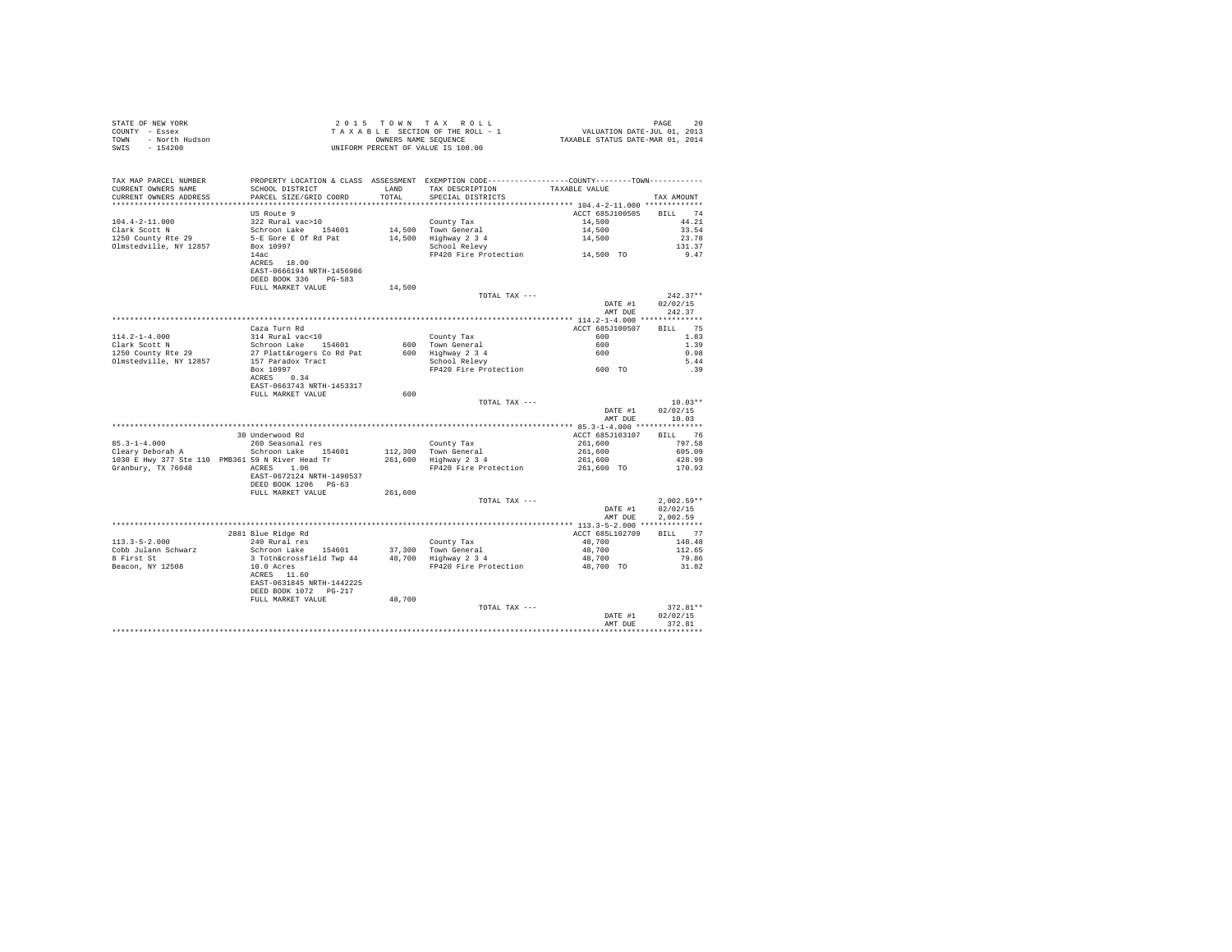|      | STATE OF NEW YORK | 2015 TOWN TAX ROLL                 | 20<br>PAGE                       |  |
|------|-------------------|------------------------------------|----------------------------------|--|
|      | COUNTY - Essex    | TAXABLE SECTION OF THE ROLL - 1    | VALUATION DATE-JUL 01, 2013      |  |
| TOWN | - North Hudson    | OWNERS NAME SEOUENCE               | TAXABLE STATUS DATE-MAR 01, 2014 |  |
| SWIS | - 154200          | UNIFORM PERCENT OF VALUE IS 100.00 |                                  |  |

| TAX MAP PARCEL NUMBER<br>CURRENT OWNERS NAME<br>CURRENT OWNERS ADDRESS | PROPERTY LOCATION & CLASS ASSESSMENT EXEMPTION CODE----------------COUNTY-------TOWN---------<br>SCHOOL DISTRICT<br>PARCEL SIZE/GRID COORD | LAND<br>TOTAL | TAX DESCRIPTION                                   | TAXABLE VALUE   |                  |
|------------------------------------------------------------------------|--------------------------------------------------------------------------------------------------------------------------------------------|---------------|---------------------------------------------------|-----------------|------------------|
| *************************                                              |                                                                                                                                            |               | SPECIAL DISTRICTS                                 |                 | TAX AMOUNT       |
|                                                                        |                                                                                                                                            |               |                                                   |                 | <b>BTT.T.</b> 74 |
|                                                                        | US Route 9                                                                                                                                 |               |                                                   | ACCT 685J100505 | 44.21            |
| $104.4 - 2 - 11.000$                                                   | 322 Rural vac>10                                                                                                                           |               | County Tax                                        | 14,500          |                  |
| Clark Scott N                                                          | Schroon Lake 154601                                                                                                                        |               | 14,500 Town General                               | 14,500          | 33.54            |
| 1250 County Rte 29                                                     | 5-E Gore E Of Rd Pat                                                                                                                       |               | 14,500 Highway 2 3 4                              | 14,500          | 23.78            |
| Olmstedville, NY 12857                                                 | Box 10997<br>14ac                                                                                                                          |               | School Relevy<br>FP420 Fire Protection 14,500 TO  |                 | 131.37<br>9.47   |
|                                                                        | ACRES 18.00                                                                                                                                |               |                                                   |                 |                  |
|                                                                        | EAST-0666194 NRTH-1456986                                                                                                                  |               |                                                   |                 |                  |
|                                                                        | DEED BOOK 336 PG-583                                                                                                                       |               |                                                   |                 |                  |
|                                                                        | FULL MARKET VALUE                                                                                                                          | 14,500        |                                                   |                 |                  |
|                                                                        |                                                                                                                                            |               | TOTAL TAX ---                                     |                 | $242.37**$       |
|                                                                        |                                                                                                                                            |               |                                                   | DATE #1         | 02/02/15         |
|                                                                        |                                                                                                                                            |               |                                                   | AMT DUE         | 242.37           |
|                                                                        |                                                                                                                                            |               |                                                   |                 |                  |
|                                                                        | Caza Turn Rd                                                                                                                               |               |                                                   | ACCT 685J100507 | 75<br>RTT.T.     |
| $114.2 - 1 - 4.000$                                                    | 314 Rural vac<10                                                                                                                           |               | County Tax                                        | 600             | 1.83             |
| Clark Scott N                                                          | Schroon Lake 154601                                                                                                                        |               | 600 Town General                                  | 600             | 1.39             |
| 1250 County Rte 29                                                     | 27 Platt&rogers Co Rd Pat                                                                                                                  |               |                                                   | 600             | 0.98             |
| Olmstedville, NY 12857                                                 | 157 Paradox Tract                                                                                                                          |               | 600 Highway 2 3 4<br>School Relevy                |                 | 5.44             |
|                                                                        | Box 10997                                                                                                                                  |               | School Relevy<br>FP420 Fire Protection 600 TO     |                 | .39              |
|                                                                        | ACRES 0.34                                                                                                                                 |               |                                                   |                 |                  |
|                                                                        | EAST-0663743 NRTH-1453317                                                                                                                  |               |                                                   |                 |                  |
|                                                                        | FULL MARKET VALUE                                                                                                                          | 600           |                                                   |                 |                  |
|                                                                        |                                                                                                                                            |               | TOTAL TAX ---                                     |                 | $10.03**$        |
|                                                                        |                                                                                                                                            |               |                                                   | DATE #1         | 02/02/15         |
|                                                                        |                                                                                                                                            |               |                                                   | AMT DUE         | 10.03            |
|                                                                        |                                                                                                                                            |               |                                                   |                 |                  |
|                                                                        | 30 Underwood Rd                                                                                                                            |               |                                                   | ACCT 685J103107 | BILL 76          |
| $85.3 - 1 - 4.000$                                                     | 260 Seasonal res                                                                                                                           |               | County Tax                                        | 261,600         | 797.58           |
| Cleary Deborah A                                                       | Schroon Lake 154601                                                                                                                        |               | 112,300 Town General                              | 261,600         | 605.09           |
|                                                                        | 1030 E Hwy 377 Ste 110 PMB361 59 N River Head Tr                                                                                           |               | 261,600 Highway 2 3 4                             | 261,600         | 428.99           |
| Granbury, TX 76048                                                     | ACRES 1.06                                                                                                                                 |               | FP420 Fire Protection                             | 261,600 TO      | 170.93           |
|                                                                        | EAST-0672124 NRTH-1490537                                                                                                                  |               |                                                   |                 |                  |
|                                                                        | DEED BOOK 1206 PG-63                                                                                                                       |               |                                                   |                 |                  |
|                                                                        | FULL MARKET VALUE                                                                                                                          | 261,600       |                                                   |                 |                  |
|                                                                        |                                                                                                                                            |               | TOTAL TAX ---                                     |                 | $2.002.59**$     |
|                                                                        |                                                                                                                                            |               |                                                   | DATE #1         | 02/02/15         |
|                                                                        |                                                                                                                                            |               |                                                   | AMT DUE         | 2.002.59         |
|                                                                        |                                                                                                                                            |               |                                                   |                 |                  |
|                                                                        | 2881 Blue Ridge Rd                                                                                                                         |               |                                                   | ACCT 685L102709 | BILL 77          |
| $113.3 - 5 - 2.000$                                                    | 240 Rural res                                                                                                                              |               | County Tax                                        | 48,700          | 148.48           |
| Cobb Julann Schwarz                                                    | Schroon Lake 154601                                                                                                                        |               | 37,300 Town General<br>$48,700$ Highway $2\,3\,4$ | 48,700          | 112.65           |
| 8 First St                                                             | 3 Totn&crossfield Twp 44                                                                                                                   |               |                                                   | 48,700          | 79.86            |
| Beacon, NY 12508                                                       | 10.0 Acres                                                                                                                                 |               | FP420 Fire Protection                             | 48,700 TO       | 31.82            |
|                                                                        | ACRES 11.60                                                                                                                                |               |                                                   |                 |                  |
|                                                                        | EAST-0631845 NRTH-1442225                                                                                                                  |               |                                                   |                 |                  |
|                                                                        | DEED BOOK 1072 PG-217                                                                                                                      |               |                                                   |                 |                  |
|                                                                        | FULL MARKET VALUE                                                                                                                          | 48,700        | TOTAL TAX ---                                     |                 | 372.81**         |
|                                                                        |                                                                                                                                            |               |                                                   | DATE #1         | 02/02/15         |
|                                                                        |                                                                                                                                            |               |                                                   | AMT DUE         | 372.81           |
|                                                                        |                                                                                                                                            |               |                                                   |                 |                  |
|                                                                        |                                                                                                                                            |               |                                                   |                 |                  |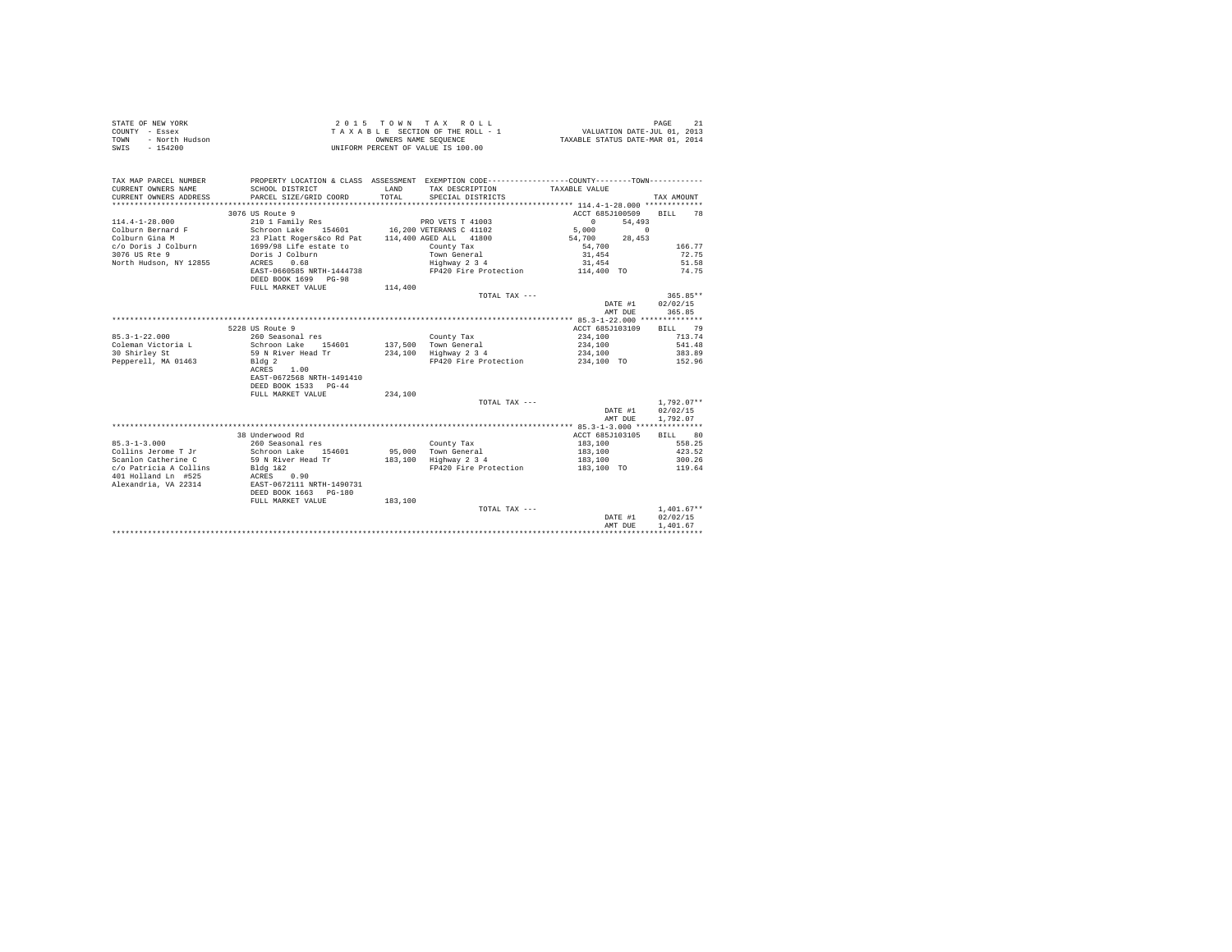| STATE OF NEW YORK<br>COUNTY - Essex<br>- North Hudson<br>TOWN<br>SWTS<br>$-154200$ |                                                                                                 |         | 2015 TOWN TAX ROLL<br>TAXABLE SECTION OF THE ROLL - 1<br>OWNERS NAME SEOUENCE<br>UNIFORM PERCENT OF VALUE IS 100.00 | VALUATION DATE-JUL 01, 2013<br>TAXABLE STATUS DATE-MAR 01, 2014 | 21<br>PAGE   |
|------------------------------------------------------------------------------------|-------------------------------------------------------------------------------------------------|---------|---------------------------------------------------------------------------------------------------------------------|-----------------------------------------------------------------|--------------|
|                                                                                    |                                                                                                 |         |                                                                                                                     |                                                                 |              |
| TAX MAP PARCEL NUMBER                                                              | PROPERTY LOCATION & CLASS ASSESSMENT EXEMPTION CODE----------------COUNTY--------TOWN---------- |         |                                                                                                                     |                                                                 |              |
| CURRENT OWNERS NAME                                                                | SCHOOL DISTRICT                                                                                 | LAND    | TAX DESCRIPTION                                                                                                     | TAXABLE VALUE                                                   |              |
| CURRENT OWNERS ADDRESS<br>*************************                                | PARCEL SIZE/GRID COORD                                                                          | TOTAL   | SPECIAL DISTRICTS                                                                                                   |                                                                 | TAX AMOUNT   |
|                                                                                    |                                                                                                 |         |                                                                                                                     |                                                                 | 78           |
| $114.4 - 1 - 28.000$                                                               | 3076 US Route 9                                                                                 |         | PRO VETS T 41003                                                                                                    | ACCT 685J100509<br>54,493<br>$\Omega$                           | <b>BILL</b>  |
| Colburn Bernard F                                                                  | 210 1 Family Res<br>Schroon Lake 154601                                                         |         | 16,200 VETERANS C 41102                                                                                             | $\sim$ 0<br>5,000                                               |              |
| Colburn Gina M                                                                     |                                                                                                 |         | 114,400 AGED ALL 41800                                                                                              | 54,700<br>28,453                                                |              |
| c/o Doris J Colburn                                                                | 23 Platt Rogers&co Rd Pat<br>1699/98 Life estate to                                             |         | County Tax                                                                                                          | 54,700                                                          | 166.77       |
| 3076 US Rte 9                                                                      | Doris J Colburn                                                                                 |         | Town General                                                                                                        | 31,454                                                          | 72.75        |
| North Hudson, NY 12855                                                             | 0.68<br>ACRES                                                                                   |         | Highway 2 3 4                                                                                                       | 31,454                                                          | 51.58        |
|                                                                                    | EAST-0660585 NRTH-1444738                                                                       |         | FP420 Fire Protection                                                                                               | 114,400 TO                                                      | 74.75        |
|                                                                                    | DEED BOOK 1699 PG-98                                                                            |         |                                                                                                                     |                                                                 |              |
|                                                                                    | FULL MARKET VALUE                                                                               | 114,400 |                                                                                                                     |                                                                 |              |
|                                                                                    |                                                                                                 |         | TOTAL TAX ---                                                                                                       |                                                                 | $365.85**$   |
|                                                                                    |                                                                                                 |         |                                                                                                                     | DATE #1                                                         | 02/02/15     |
|                                                                                    |                                                                                                 |         |                                                                                                                     | AMT DUE                                                         | 365.85       |
|                                                                                    |                                                                                                 |         |                                                                                                                     |                                                                 |              |
|                                                                                    | 5228 US Route 9                                                                                 |         |                                                                                                                     | ACCT 685J103109                                                 | 79<br>BILL   |
| $85.3 - 1 - 22.000$                                                                | 260 Seasonal res                                                                                |         | County Tax                                                                                                          | 234,100                                                         | 713.74       |
| Coleman Victoria L                                                                 | Schroon Lake 154601                                                                             |         | 137.500 Town General                                                                                                | 234,100                                                         | 541.48       |
| 30 Shirley St                                                                      | 59 N River Head Tr                                                                              |         | 234,100 Highway 2 3 4                                                                                               | 234,100                                                         | 383.89       |
| Pepperell, MA 01463                                                                | Bldg 2                                                                                          |         | FP420 Fire Protection                                                                                               | 234,100 TO                                                      | 152.96       |
|                                                                                    | ACRES<br>1.00                                                                                   |         |                                                                                                                     |                                                                 |              |
|                                                                                    | EAST-0672568 NRTH-1491410<br>DEED BOOK 1533 PG-44                                               |         |                                                                                                                     |                                                                 |              |
|                                                                                    | FULL MARKET VALUE                                                                               | 234,100 |                                                                                                                     |                                                                 |              |
|                                                                                    |                                                                                                 |         | TOTAL TAX ---                                                                                                       |                                                                 | $1.792.07**$ |
|                                                                                    |                                                                                                 |         |                                                                                                                     | DATE #1                                                         | 02/02/15     |
|                                                                                    |                                                                                                 |         |                                                                                                                     | AMT DUE                                                         | 1,792.07     |
|                                                                                    |                                                                                                 |         |                                                                                                                     |                                                                 |              |
|                                                                                    | 38 Underwood Rd                                                                                 |         |                                                                                                                     | ACCT 685J103105                                                 | BILL 80      |
| $85.3 - 1 - 3.000$                                                                 | 260 Seasonal res                                                                                |         | County Tax                                                                                                          | 183,100                                                         | 558.25       |
| Collins Jerome T Jr                                                                | Schroon Lake 154601                                                                             |         | 95,000 Town General                                                                                                 | 183,100                                                         | 423.52       |
| Scanlon Catherine C                                                                | 59 N River Head Tr                                                                              |         | 183.100 Highway 2 3 4                                                                                               | 183,100                                                         | 300.26       |
| c/o Patricia A Collins                                                             | Bldg 1&2                                                                                        |         | FP420 Fire Protection                                                                                               | 183,100 TO                                                      | 119.64       |
| 401 Holland Ln #525                                                                | ACRES 0.90                                                                                      |         |                                                                                                                     |                                                                 |              |
| Alexandria, VA 22314                                                               | EAST-0672111 NRTH-1490731                                                                       |         |                                                                                                                     |                                                                 |              |
|                                                                                    | DEED BOOK 1663 PG-180                                                                           |         |                                                                                                                     |                                                                 |              |
|                                                                                    | FULL MARKET VALUE                                                                               | 183,100 |                                                                                                                     |                                                                 |              |
|                                                                                    |                                                                                                 |         | TOTAL TAX ---                                                                                                       |                                                                 | $1,401.67**$ |
|                                                                                    |                                                                                                 |         |                                                                                                                     | DATE #1                                                         | 02/02/15     |
|                                                                                    |                                                                                                 |         |                                                                                                                     | AMT DUE                                                         | 1,401.67     |
|                                                                                    |                                                                                                 |         |                                                                                                                     |                                                                 |              |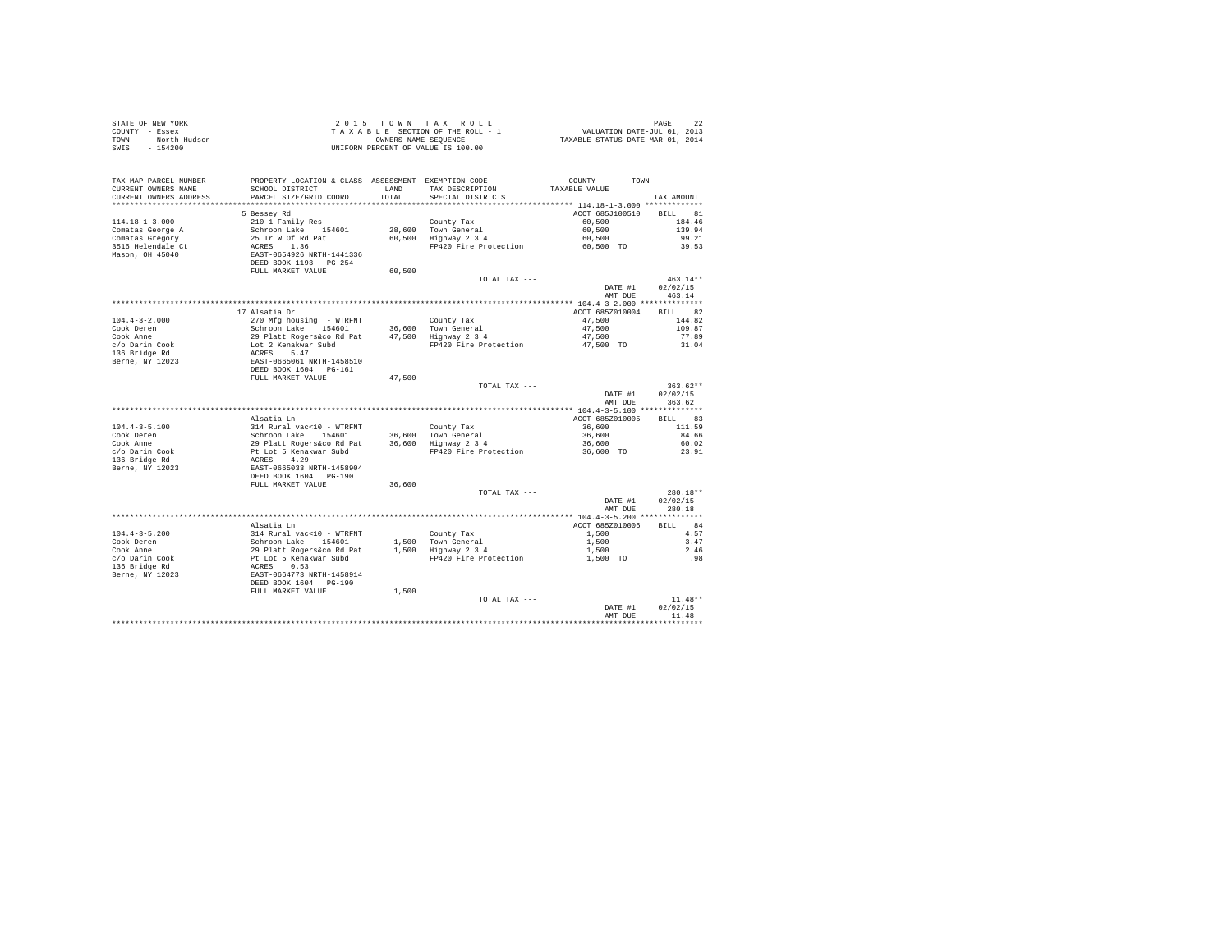|                | STATE OF NEW YORK |  |  |  | 2015 TOWN TAX ROLL                 |  |  |  | 22<br>PAGE                       |
|----------------|-------------------|--|--|--|------------------------------------|--|--|--|----------------------------------|
| COUNTY - Essex |                   |  |  |  | TAXABLE SECTION OF THE ROLL - 1    |  |  |  | VALUATION DATE-JUL 01, 2013      |
| TOWN           | - North Hudson    |  |  |  | OWNERS NAME SEOUENCE               |  |  |  | TAXABLE STATUS DATE-MAR 01, 2014 |
| SWIS           | - 154200          |  |  |  | UNIFORM PERCENT OF VALUE IS 100.00 |  |  |  |                                  |

| TAX MAP PARCEL NUMBER                | PROPERTY LOCATION & CLASS ASSESSMENT EXEMPTION CODE---------------COUNTY-------TOWN---------                                                                                                                                              |        |                                 |                         |                |
|--------------------------------------|-------------------------------------------------------------------------------------------------------------------------------------------------------------------------------------------------------------------------------------------|--------|---------------------------------|-------------------------|----------------|
| CURRENT OWNERS NAME                  | SCHOOL DISTRICT                                                                                                                                                                                                                           | LAND   | TAX DESCRIPTION                 | TAXABLE VALUE           |                |
| CURRENT OWNERS ADDRESS               | PARCEL SIZE/GRID COORD                                                                                                                                                                                                                    | TOTAL  | SPECIAL DISTRICTS               |                         | TAX AMOUNT     |
|                                      |                                                                                                                                                                                                                                           |        |                                 |                         |                |
|                                      | 5 Bessey Rd                                                                                                                                                                                                                               |        |                                 | ACCT 685J100510 BILL 81 |                |
| $114.18 - 1 - 3.000$                 |                                                                                                                                                                                                                                           |        | County Tax                      | 60.500                  | 184.46         |
| Comatas George A                     |                                                                                                                                                                                                                                           |        | 28,600 Town General             | 60,500                  | 139.94         |
| Comatas Gregory                      |                                                                                                                                                                                                                                           |        | 50,500 Highway 2 3 4            | 60,500                  | 99.21          |
| 3516 Helendale Ct<br>Mason, OH 45040 |                                                                                                                                                                                                                                           |        | FP420 Fire Protection           | 60,500 TO               | 39.53          |
|                                      |                                                                                                                                                                                                                                           |        |                                 |                         |                |
|                                      |                                                                                                                                                                                                                                           |        |                                 |                         |                |
|                                      | 21011 Family Res<br>Schroon Lake<br>25 Tr W Of Rd Pat<br>ACRES<br>25 Tr W Of Rd Pat<br>26 RSST-0654926 NRTH-1441336<br>DEED BOOK 1193<br>PULL MARKET VALUE<br>FULL MARKET VALUE                                                           | 60,500 |                                 |                         |                |
|                                      |                                                                                                                                                                                                                                           |        | TOTAL TAX ---                   |                         | $463.14**$     |
|                                      |                                                                                                                                                                                                                                           |        |                                 | DATE #1                 | 02/02/15       |
|                                      |                                                                                                                                                                                                                                           |        |                                 |                         | AMT DUE 463.14 |
|                                      |                                                                                                                                                                                                                                           |        |                                 |                         |                |
|                                      | 17 Alsatia Dr                                                                                                                                                                                                                             |        |                                 | ACCT 685Z010004         | BILL 82        |
|                                      |                                                                                                                                                                                                                                           |        |                                 | 47,500                  | 144.82         |
|                                      |                                                                                                                                                                                                                                           |        |                                 | 47,500                  | 109.87         |
|                                      |                                                                                                                                                                                                                                           |        |                                 | 47,500                  | 77.89          |
|                                      |                                                                                                                                                                                                                                           |        | FP420 Fire Protection 47,500 TO |                         | 31.04          |
|                                      |                                                                                                                                                                                                                                           |        |                                 |                         |                |
|                                      |                                                                                                                                                                                                                                           |        |                                 |                         |                |
|                                      |                                                                                                                                                                                                                                           |        |                                 |                         |                |
|                                      |                                                                                                                                                                                                                                           |        | TOTAL TAX ---                   |                         | $363.62**$     |
|                                      |                                                                                                                                                                                                                                           |        |                                 | DATE #1                 | 02/02/15       |
|                                      |                                                                                                                                                                                                                                           |        |                                 | AMT DUE                 | 363.62         |
|                                      |                                                                                                                                                                                                                                           |        |                                 |                         |                |
|                                      | Alsatia Ln                                                                                                                                                                                                                                |        |                                 | ACCT 685Z010005 BILL 83 |                |
| $104.4 - 3 - 5.100$                  |                                                                                                                                                                                                                                           |        |                                 | 36,600                  | 111.59         |
| Cook Deren                           |                                                                                                                                                                                                                                           |        |                                 | 36,600                  | 84.66          |
| Cook Anne                            |                                                                                                                                                                                                                                           |        |                                 | 36,600                  | 60.02          |
| c/o Darin Cook                       |                                                                                                                                                                                                                                           |        | FP420 Fire Protection           | 36,600 TO               | 23.91          |
| 136 Bridge Rd                        |                                                                                                                                                                                                                                           |        |                                 |                         |                |
| Berne, NY 12023                      |                                                                                                                                                                                                                                           |        |                                 |                         |                |
|                                      | Alastian India (10 - WTRFNT County Tax<br>Schroon Lake 154601<br>29 Platt Rogers Corol Patt 36,600 Highway 2 3 4<br>29 Platt Rogers Corol Patt 36,600 Highway 2 3 4<br>Pt Lot 5 Kenakwar Subd<br>RAST-0655033 NRTH-1458904<br>RAST-065033 |        |                                 |                         |                |
|                                      | FULL MARKET VALUE                                                                                                                                                                                                                         | 36,600 |                                 |                         |                |
|                                      |                                                                                                                                                                                                                                           |        | TOTAL TAX ---                   |                         | $280.18**$     |
|                                      |                                                                                                                                                                                                                                           |        |                                 | DATE #1                 | 02/02/15       |
|                                      |                                                                                                                                                                                                                                           |        |                                 | AMT DUE                 | 280.18         |
|                                      |                                                                                                                                                                                                                                           |        |                                 |                         |                |
|                                      | Alsatia Ln                                                                                                                                                                                                                                |        |                                 | ACCT 685Z010006 BILL 84 |                |
|                                      |                                                                                                                                                                                                                                           |        |                                 | 1,500                   | 4.57           |
|                                      |                                                                                                                                                                                                                                           |        |                                 | 1,500                   | 3.47           |
|                                      |                                                                                                                                                                                                                                           |        |                                 | 1,500                   | 2.46           |
|                                      |                                                                                                                                                                                                                                           |        | FP420 Fire Protection 1,500 TO  |                         | .98            |
|                                      |                                                                                                                                                                                                                                           |        |                                 |                         |                |
|                                      |                                                                                                                                                                                                                                           |        |                                 |                         |                |
|                                      |                                                                                                                                                                                                                                           |        |                                 |                         |                |
|                                      | FULL MARKET VALUE                                                                                                                                                                                                                         | 1,500  |                                 |                         |                |
|                                      |                                                                                                                                                                                                                                           |        | TOTAL TAX ---                   |                         | $11.48**$      |
|                                      |                                                                                                                                                                                                                                           |        |                                 | DATE #1                 | 02/02/15       |
|                                      |                                                                                                                                                                                                                                           |        |                                 | AMT DUE                 | 11.48          |
|                                      |                                                                                                                                                                                                                                           |        |                                 |                         |                |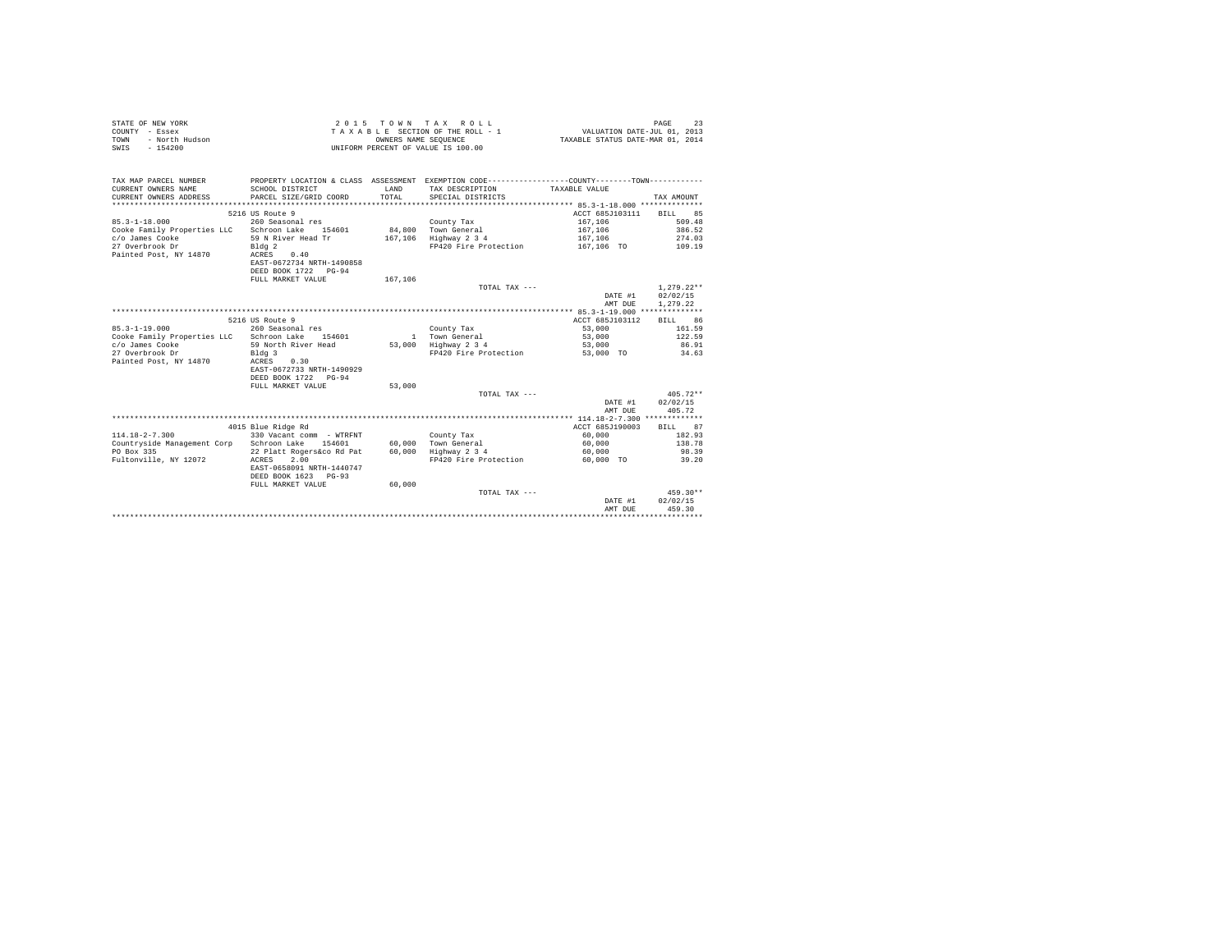|                | STATE OF NEW YORK |  |  |  |  | $2.0.15$ TOWN TAX ROLL             |  |                                 |                                  | PAGE |  |
|----------------|-------------------|--|--|--|--|------------------------------------|--|---------------------------------|----------------------------------|------|--|
| COUNTY - Essex |                   |  |  |  |  |                                    |  | TAXABLE SECTION OF THE ROLL - 1 | VALUATION DATE-JUL 01, 2013      |      |  |
| TOWN           | - North Hudson    |  |  |  |  | OWNERS NAME SEOUENCE               |  |                                 | TAXABLE STATUS DATE-MAR 01, 2014 |      |  |
| SWIS           | $-154200$         |  |  |  |  | UNIFORM PERCENT OF VALUE IS 100.00 |  |                                 |                                  |      |  |

| TAX MAP PARCEL NUMBER<br>CURRENT OWNERS NAME<br>CURRENT OWNERS ADDRESS | SCHOOL DISTRICT<br>PARCEL SIZE/GRID COORD | LAND<br>TOTAL | PROPERTY LOCATION & CLASS ASSESSMENT EXEMPTION CODE----------------COUNTY--------TOWN----------<br>TAX DESCRIPTION<br>SPECIAL DISTRICTS | TAXABLE VALUE           | TAX AMOUNT   |
|------------------------------------------------------------------------|-------------------------------------------|---------------|-----------------------------------------------------------------------------------------------------------------------------------------|-------------------------|--------------|
|                                                                        | 5216 US Route 9                           |               |                                                                                                                                         | ACCT 685J103111 BILL 85 |              |
| $85.3 - 1 - 18.000$                                                    | 260 Seasonal res                          |               | County Tax                                                                                                                              | 167,106                 | 509.48       |
| Cooke Family Properties LLC                                            | Schroon Lake 154601                       |               | 84.800 Town General                                                                                                                     | 167,106                 | 386.52       |
| c/o James Cooke                                                        | 59 N River Head Tr                        |               | 167,106 Highway 2 3 4                                                                                                                   | 167.106                 | 274.03       |
| 27 Overbrook Dr                                                        | Bldg <sub>2</sub>                         |               | FP420 Fire Protection                                                                                                                   | 167,106 TO              | 109.19       |
| Painted Post, NY 14870                                                 | 0.40<br>ACRES                             |               |                                                                                                                                         |                         |              |
|                                                                        | EAST-0672734 NRTH-1490858                 |               |                                                                                                                                         |                         |              |
|                                                                        | DEED BOOK 1722 PG-94                      |               |                                                                                                                                         |                         |              |
|                                                                        | FULL MARKET VALUE                         | 167,106       |                                                                                                                                         |                         |              |
|                                                                        |                                           |               | TOTAL TAX $---$                                                                                                                         |                         | $1.279.22**$ |
|                                                                        |                                           |               |                                                                                                                                         | DATE #1                 | 02/02/15     |
|                                                                        |                                           |               |                                                                                                                                         | AMT DUE                 | 1,279.22     |
|                                                                        |                                           |               |                                                                                                                                         |                         |              |
|                                                                        | 5216 US Route 9                           |               |                                                                                                                                         | ACCT 685J103112         | BILL 86      |
| $85.3 - 1 - 19.000$                                                    | 260 Seasonal res                          |               | County Tax                                                                                                                              | 53,000                  | 161.59       |
| Cooke Family Properties LLC Schroon Lake                               | 154601                                    |               | 1 Town General                                                                                                                          | 53,000                  | 122.59       |
| c/o James Cooke                                                        | 59 North River Head                       |               | 53,000 Highway 2 3 4                                                                                                                    | 53,000                  | 86.91        |
| 27 Overbrook Dr                                                        | Bldg 3                                    |               | FP420 Fire Protection                                                                                                                   | 53,000 TO               | 34.63        |
| Painted Post, NY 14870                                                 | 0.30<br>ACRES                             |               |                                                                                                                                         |                         |              |
|                                                                        | EAST-0672733 NRTH-1490929                 |               |                                                                                                                                         |                         |              |
|                                                                        | DEED BOOK 1722 PG-94                      |               |                                                                                                                                         |                         |              |
|                                                                        | FULL MARKET VALUE                         | 53,000        |                                                                                                                                         |                         |              |
|                                                                        |                                           |               | TOTAL TAX ---                                                                                                                           |                         | $405.72**$   |
|                                                                        |                                           |               |                                                                                                                                         | DATE #1                 | 02/02/15     |
|                                                                        |                                           |               |                                                                                                                                         | AMT DUE                 | 405.72       |
|                                                                        |                                           |               |                                                                                                                                         |                         |              |
|                                                                        | 4015 Blue Ridge Rd                        |               |                                                                                                                                         | ACCT 685J190003         | BILL 87      |
| $114.18 - 2 - 7.300$                                                   | 330 Vacant comm - WTRFNT                  |               | County Tax                                                                                                                              | 60,000                  | 182.93       |
| Countryside Management Corp Schroon Lake                               | 154601                                    |               | 60.000 Town General                                                                                                                     | 60,000                  | 138.78       |
| PO Box 335                                                             | 22 Platt Rogers&co Rd Pat                 |               | 60,000 Highway 2 3 4                                                                                                                    | 60,000                  | 98.39        |
| Fultonville, NY 12072                                                  | 2.00<br>ACRES                             |               | FP420 Fire Protection                                                                                                                   | 60,000 TO               | 39.20        |
|                                                                        | EAST-0658091 NRTH-1440747                 |               |                                                                                                                                         |                         |              |
|                                                                        | DEED BOOK 1623 PG-93                      |               |                                                                                                                                         |                         |              |
|                                                                        | FULL MARKET VALUE                         | 60,000        |                                                                                                                                         |                         |              |
|                                                                        |                                           |               | TOTAL TAX ---                                                                                                                           |                         | $459.30**$   |
|                                                                        |                                           |               |                                                                                                                                         | DATE #1                 | 02/02/15     |
|                                                                        |                                           |               |                                                                                                                                         | AMT DUE                 | 459.30       |
|                                                                        |                                           |               |                                                                                                                                         |                         |              |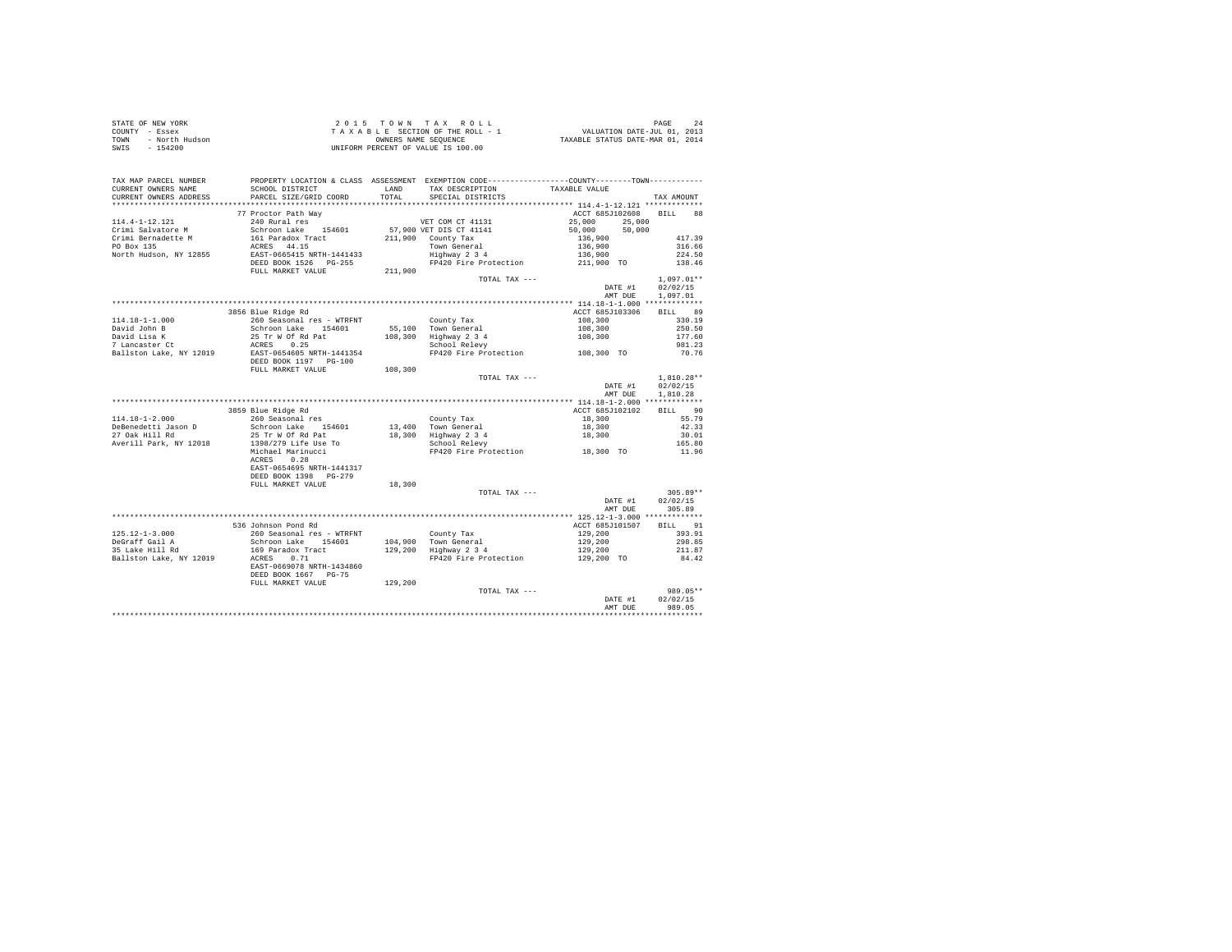|                                                                     | $\begin{array}{cccccccccccc} \texttt{STARTE OF NEW YORK} & \texttt{OREN} & \texttt{ORNE} & \texttt{PAGE} & \texttt{2015} & \texttt{P} & \texttt{1016} & \texttt{PAGE} & \texttt{248} \\ \texttt{COUNT} & - & \texttt{EਸSE} & \texttt{SIC} & \texttt{SIC} & \texttt{SIC} & \texttt{SIC} & \texttt{SIC} & \texttt{SIC} & \texttt{SIC} & \texttt{SIC} & \texttt{SIC} \\ \texttt{TONNT} & - & \texttt{NOCH} & \texttt{Hudson} & \texttt{SIC} & \texttt{S$ |        |                                                                                             |                                     |              |
|---------------------------------------------------------------------|-------------------------------------------------------------------------------------------------------------------------------------------------------------------------------------------------------------------------------------------------------------------------------------------------------------------------------------------------------------------------------------------------------------------------------------------------------|--------|---------------------------------------------------------------------------------------------|-------------------------------------|--------------|
|                                                                     |                                                                                                                                                                                                                                                                                                                                                                                                                                                       |        |                                                                                             |                                     |              |
|                                                                     |                                                                                                                                                                                                                                                                                                                                                                                                                                                       |        |                                                                                             |                                     |              |
|                                                                     |                                                                                                                                                                                                                                                                                                                                                                                                                                                       |        |                                                                                             |                                     |              |
|                                                                     |                                                                                                                                                                                                                                                                                                                                                                                                                                                       |        |                                                                                             |                                     |              |
|                                                                     | TAX MAP PARCEL NUMBER PROPERTY LOCATION & CLASS ASSESSMENT EXEMPTION CODE---------------COUNTY-------TOWN---------                                                                                                                                                                                                                                                                                                                                    |        |                                                                                             |                                     |              |
| CURRENT OWNERS NAME                                                 | SCHOOL DISTRICT                                                                                                                                                                                                                                                                                                                                                                                                                                       |        | LAND TAX DESCRIPTION TAXABLE VALUE                                                          |                                     |              |
| CURRENT OWNERS ADDRESS                                              | PARCEL SIZE/GRID COORD                                                                                                                                                                                                                                                                                                                                                                                                                                | TOTAL  | SPECIAL DISTRICTS                                                                           |                                     | TAX AMOUNT   |
|                                                                     |                                                                                                                                                                                                                                                                                                                                                                                                                                                       |        |                                                                                             |                                     |              |
|                                                                     | 77 Proctor Path Way                                                                                                                                                                                                                                                                                                                                                                                                                                   |        |                                                                                             | ACCT 685J102608 BILL 88             |              |
| 114.4-1-12.121                                                      | 219 210 Rural way<br>240 Rural res (1946)<br>260 Schroon Lake 154601 57,900 VET DIS CT 41141                                                                                                                                                                                                                                                                                                                                                          |        |                                                                                             |                                     |              |
|                                                                     |                                                                                                                                                                                                                                                                                                                                                                                                                                                       |        |                                                                                             | 25,000 25,000<br>50,000 50,000      |              |
| Crimi Salvatore M<br>Crimi Bernadette M<br>PO Box 135<br>North Wid- |                                                                                                                                                                                                                                                                                                                                                                                                                                                       |        |                                                                                             |                                     |              |
|                                                                     |                                                                                                                                                                                                                                                                                                                                                                                                                                                       |        |                                                                                             |                                     |              |
|                                                                     |                                                                                                                                                                                                                                                                                                                                                                                                                                                       |        |                                                                                             |                                     |              |
|                                                                     |                                                                                                                                                                                                                                                                                                                                                                                                                                                       |        |                                                                                             |                                     |              |
|                                                                     |                                                                                                                                                                                                                                                                                                                                                                                                                                                       |        |                                                                                             |                                     |              |
|                                                                     | Crimi Sarktone Way 161 Paradox Tract (1990) 2011/900 County Tax (1990) 2013<br>PO Box 135<br>North Hudson, NY 12855 CRES 44.15<br>North Hudson, NY 12855 CRES 1654000 ESD BOX 1526 PG-255<br>PO BOX 1526 PG-255<br>PULL MARKET VALUE 21                                                                                                                                                                                                               |        |                                                                                             |                                     |              |
|                                                                     |                                                                                                                                                                                                                                                                                                                                                                                                                                                       |        | $\begin{minipage}{.4\linewidth} \texttt{TOTAL } \texttt{TAX} \texttt{ ----} \end{minipage}$ |                                     | $1.097.01**$ |
|                                                                     |                                                                                                                                                                                                                                                                                                                                                                                                                                                       |        |                                                                                             | DATE #1 02/02/15                    |              |
|                                                                     |                                                                                                                                                                                                                                                                                                                                                                                                                                                       |        |                                                                                             | AMT DUE 1,097.01                    |              |
|                                                                     |                                                                                                                                                                                                                                                                                                                                                                                                                                                       |        |                                                                                             |                                     |              |
|                                                                     |                                                                                                                                                                                                                                                                                                                                                                                                                                                       |        |                                                                                             | ACCT 685J103306                     | BILL 89      |
|                                                                     |                                                                                                                                                                                                                                                                                                                                                                                                                                                       |        |                                                                                             |                                     | 330.19       |
|                                                                     |                                                                                                                                                                                                                                                                                                                                                                                                                                                       |        |                                                                                             |                                     | 250.50       |
|                                                                     |                                                                                                                                                                                                                                                                                                                                                                                                                                                       |        |                                                                                             | $108,300$<br>$108,300$<br>$108,300$ | 177.60       |
|                                                                     |                                                                                                                                                                                                                                                                                                                                                                                                                                                       |        |                                                                                             |                                     | 981.23       |
|                                                                     |                                                                                                                                                                                                                                                                                                                                                                                                                                                       |        | School Relevy<br>FP420 Fire Protection 108,300 TO                                           |                                     | 70.76        |
|                                                                     |                                                                                                                                                                                                                                                                                                                                                                                                                                                       |        |                                                                                             |                                     |              |
|                                                                     |                                                                                                                                                                                                                                                                                                                                                                                                                                                       |        |                                                                                             |                                     |              |
|                                                                     |                                                                                                                                                                                                                                                                                                                                                                                                                                                       |        | TOTAL TAX ---                                                                               |                                     | $1,810.28**$ |
|                                                                     |                                                                                                                                                                                                                                                                                                                                                                                                                                                       |        |                                                                                             | DATE #1                             | 02/02/15     |
|                                                                     |                                                                                                                                                                                                                                                                                                                                                                                                                                                       |        |                                                                                             | AMT DUE                             | 1,810.28     |
|                                                                     |                                                                                                                                                                                                                                                                                                                                                                                                                                                       |        |                                                                                             |                                     |              |
|                                                                     |                                                                                                                                                                                                                                                                                                                                                                                                                                                       |        |                                                                                             | ACCT 685J102102                     | BILL 90      |
| $114.18 - 1 - 2.000$                                                | 3859 Blue Ridge Rd<br>260 Seasonal res                                                                                                                                                                                                                                                                                                                                                                                                                |        |                                                                                             |                                     | 55.79        |
|                                                                     |                                                                                                                                                                                                                                                                                                                                                                                                                                                       |        |                                                                                             |                                     | 42.33        |
| DeBenedetti Jason D<br>27 Oak Hill Rd                               |                                                                                                                                                                                                                                                                                                                                                                                                                                                       |        |                                                                                             |                                     |              |
|                                                                     |                                                                                                                                                                                                                                                                                                                                                                                                                                                       |        |                                                                                             |                                     | 30.01        |
| Averill Park, NY 12018                                              |                                                                                                                                                                                                                                                                                                                                                                                                                                                       |        |                                                                                             |                                     | 165.80       |
|                                                                     |                                                                                                                                                                                                                                                                                                                                                                                                                                                       |        |                                                                                             |                                     | 11.96        |
|                                                                     |                                                                                                                                                                                                                                                                                                                                                                                                                                                       |        |                                                                                             |                                     |              |
|                                                                     | EAST-0654695 NRTH-1441317                                                                                                                                                                                                                                                                                                                                                                                                                             |        |                                                                                             |                                     |              |
|                                                                     | DEED BOOK 1398 PG-279                                                                                                                                                                                                                                                                                                                                                                                                                                 |        |                                                                                             |                                     |              |
|                                                                     | FULL MARKET VALUE                                                                                                                                                                                                                                                                                                                                                                                                                                     | 18,300 |                                                                                             |                                     |              |
|                                                                     |                                                                                                                                                                                                                                                                                                                                                                                                                                                       |        | TOTAL TAX $---$                                                                             | $305.89**$<br>DATE #1 $02/02/15$    | $305.89**$   |
|                                                                     |                                                                                                                                                                                                                                                                                                                                                                                                                                                       |        |                                                                                             |                                     |              |
|                                                                     |                                                                                                                                                                                                                                                                                                                                                                                                                                                       |        |                                                                                             | AMT DUE 305.89                      |              |
|                                                                     |                                                                                                                                                                                                                                                                                                                                                                                                                                                       |        |                                                                                             |                                     |              |
|                                                                     | 536 Johnson Pond Rd                                                                                                                                                                                                                                                                                                                                                                                                                                   |        |                                                                                             | ACCT 685J101507 BILL 91             |              |
| $125.12 - 1 - 3.000$                                                |                                                                                                                                                                                                                                                                                                                                                                                                                                                       |        |                                                                                             |                                     | 393.91       |
|                                                                     |                                                                                                                                                                                                                                                                                                                                                                                                                                                       |        |                                                                                             |                                     | 298.85       |
| DeGraff Gail A<br>35 Lake Hill Rd                                   | 200 Seasonal res – WTRFNT<br>260 Seasonal res – WTRFNT<br>Schroon Lake 154601 104,900 Town General 129,200<br>169 Paradox Tract 129,200 Highway 2 3 4 129,200<br>ACRES 0.71 129,200 FP420 Fire Protection 129,200 TO<br>EAST-0669078 NRT                                                                                                                                                                                                              |        |                                                                                             |                                     | 211.87       |
| Ballston Lake, NY 12019                                             |                                                                                                                                                                                                                                                                                                                                                                                                                                                       |        |                                                                                             |                                     | 84.42        |
|                                                                     |                                                                                                                                                                                                                                                                                                                                                                                                                                                       |        | FP420 Fire Protection                                                                       |                                     |              |
|                                                                     |                                                                                                                                                                                                                                                                                                                                                                                                                                                       |        |                                                                                             |                                     |              |
|                                                                     | DEED BOOK 1667 PG-75<br>FULL MARKET VALUE 129,200                                                                                                                                                                                                                                                                                                                                                                                                     |        |                                                                                             |                                     |              |
|                                                                     |                                                                                                                                                                                                                                                                                                                                                                                                                                                       |        | TOTAL TAX ---                                                                               |                                     | 989.05**     |
|                                                                     |                                                                                                                                                                                                                                                                                                                                                                                                                                                       |        |                                                                                             | DATE #1                             | 02/02/15     |
|                                                                     |                                                                                                                                                                                                                                                                                                                                                                                                                                                       |        |                                                                                             | AMT DUE                             | 989.05       |
|                                                                     |                                                                                                                                                                                                                                                                                                                                                                                                                                                       |        |                                                                                             |                                     |              |
|                                                                     |                                                                                                                                                                                                                                                                                                                                                                                                                                                       |        |                                                                                             |                                     |              |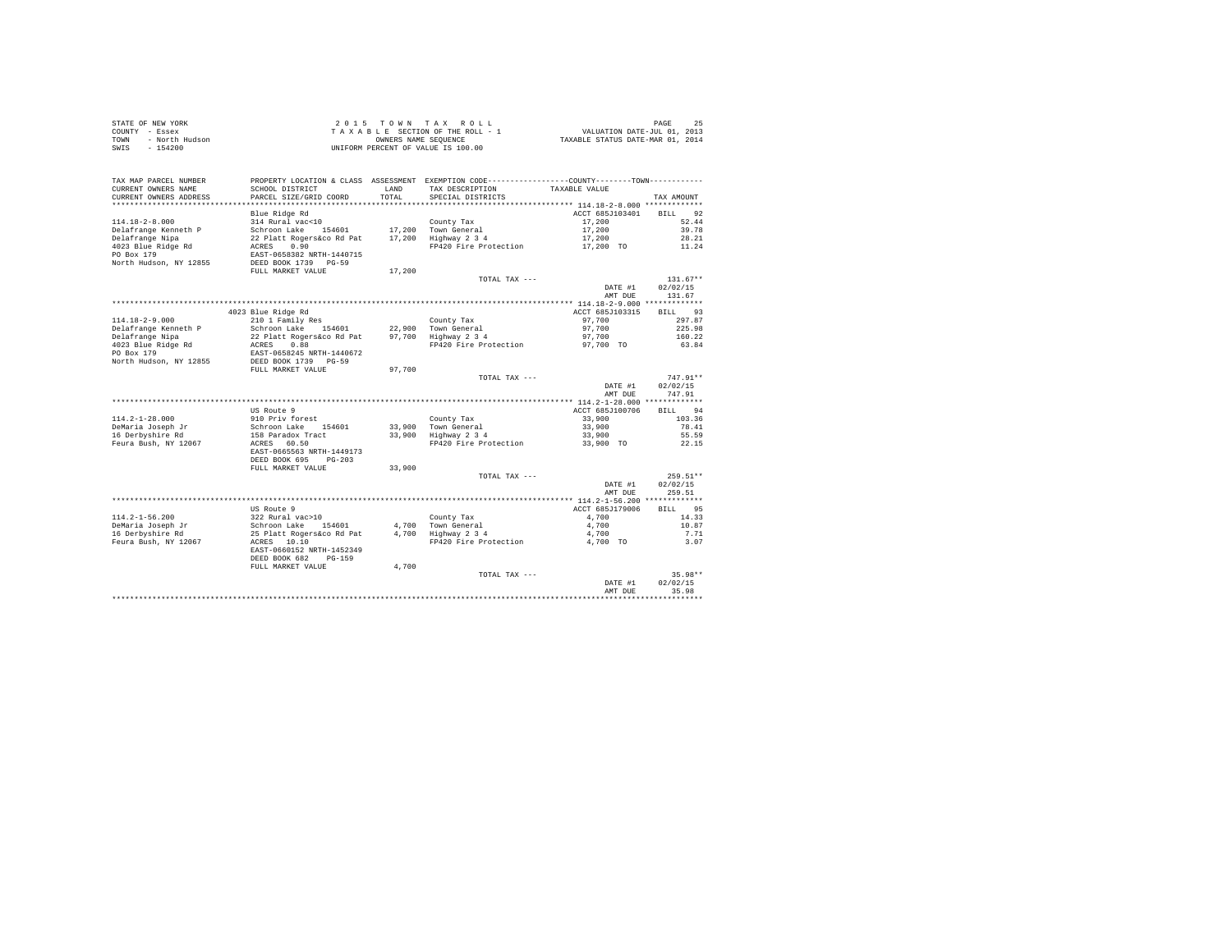| STATE OF NEW YORK      | 2015 TOWN TAX ROLL                 | 25<br>PAGE                       |
|------------------------|------------------------------------|----------------------------------|
| COUNTY - Essex         | TAXABLE SECTION OF THE ROLL - 1    | VALUATION DATE-JUL 01, 2013      |
| TOWN<br>- North Hudson | OWNERS NAME SEOUENCE               | TAXABLE STATUS DATE-MAR 01, 2014 |
| - 154200<br>SWIS       | UNIFORM PERCENT OF VALUE IS 100.00 |                                  |

| TAX MAP PARCEL NUMBER<br>CURRENT OWNERS NAME<br>CURRENT OWNERS ADDRESS<br>********************* | PROPERTY LOCATION & CLASS ASSESSMENT EXEMPTION CODE----------------COUNTY-------TOWN---------<br>SCHOOL DISTRICT<br>PARCEL SIZE/GRID COORD<br>************************** | <b>T.AND</b><br>TOTAL<br>*********** | TAX DESCRIPTION<br>SPECIAL DISTRICTS   | TAXABLE VALUE   | TAX AMOUNT        |
|-------------------------------------------------------------------------------------------------|--------------------------------------------------------------------------------------------------------------------------------------------------------------------------|--------------------------------------|----------------------------------------|-----------------|-------------------|
|                                                                                                 | Blue Ridge Rd                                                                                                                                                            |                                      |                                        | ACCT 685J103401 | 92<br><b>BILL</b> |
| $114.18 - 2 - 8.000$                                                                            | 314 Rural vac<10                                                                                                                                                         |                                      | County Tax                             | 17,200          | 52.44             |
| Delafrange Kenneth P                                                                            | Schroon Lake<br>154601                                                                                                                                                   | 17,200                               | Town General                           | 17,200          | 39.78             |
| Delafrange Nipa                                                                                 | 22 Platt Rogers&co Rd Pat                                                                                                                                                | 17,200                               | Highway 2 3 4                          | 17,200          | 28.21             |
| 4023 Blue Ridge Rd                                                                              | ACRES<br>0.90                                                                                                                                                            |                                      | FP420 Fire Protection                  | 17,200 TO       | 11.24             |
| PO Box 179<br>North Hudson, NY 12855                                                            | EAST-0658382 NRTH-1440715<br>DEED BOOK 1739 PG-59<br>FULL MARKET VALUE                                                                                                   | 17,200                               |                                        |                 |                   |
|                                                                                                 |                                                                                                                                                                          |                                      | TOTAL TAX ---                          |                 | $131.67**$        |
|                                                                                                 |                                                                                                                                                                          |                                      |                                        | DATE #1         | 02/02/15          |
|                                                                                                 |                                                                                                                                                                          |                                      |                                        | AMT DUE         | 131.67            |
|                                                                                                 |                                                                                                                                                                          |                                      |                                        |                 |                   |
|                                                                                                 | 4023 Blue Ridge Rd                                                                                                                                                       |                                      |                                        | ACCT 685J103315 | 93<br><b>BILL</b> |
| $114.18 - 2 - 9.000$                                                                            | 210 1 Family Res                                                                                                                                                         |                                      | County Tax                             | 97,700          | 297.87            |
| Delafrange Kenneth P                                                                            | Schroon Lake<br>154601                                                                                                                                                   |                                      | 22.900 Town General                    | 97,700          | 225.98            |
| Delafrange Nipa                                                                                 | 22 Platt Rogers&co Rd Pat                                                                                                                                                | 97.700                               | Highway 2 3 4                          | 97,700          | 160.22            |
| 4023 Blue Ridge Rd                                                                              | 0.88<br>ACRES                                                                                                                                                            |                                      | FP420 Fire Protection                  | 97,700 TO       | 63.84             |
| PO Box 179                                                                                      | EAST-0658245 NRTH-1440672                                                                                                                                                |                                      |                                        |                 |                   |
| North Hudson, NY 12855                                                                          | DEED BOOK 1739 PG-59                                                                                                                                                     |                                      |                                        |                 |                   |
|                                                                                                 | FULL MARKET VALUE                                                                                                                                                        | 97,700                               |                                        |                 |                   |
|                                                                                                 |                                                                                                                                                                          |                                      | TOTAL TAX ---                          |                 | $747.91**$        |
|                                                                                                 |                                                                                                                                                                          |                                      |                                        | DATE #1         | 02/02/15          |
|                                                                                                 |                                                                                                                                                                          |                                      |                                        | AMT DUE         | 747.91            |
|                                                                                                 |                                                                                                                                                                          |                                      |                                        |                 |                   |
|                                                                                                 | US Route 9                                                                                                                                                               |                                      |                                        | ACCT 685J100706 | 94<br><b>BILL</b> |
| $114.2 - 1 - 28.000$                                                                            | 910 Priv forest                                                                                                                                                          |                                      | County Tax                             | 33,900          | 103.36            |
| DeMaria Joseph Jr                                                                               | Schroon Lake<br>154601                                                                                                                                                   | 33,900                               | Town General                           | 33,900          | 78.41             |
| 16 Derbyshire Rd                                                                                | 158 Paradox Tract<br>ACRES<br>60.50                                                                                                                                      | 33,900                               | Highway 2 3 4<br>FP420 Fire Protection | 33,900          | 55.59             |
| Feura Bush, NY 12067                                                                            | EAST-0665563 NRTH-1449173<br>DEED BOOK 695<br>$PG-203$                                                                                                                   |                                      |                                        | 33,900 TO       | 22.15             |
|                                                                                                 | FULL MARKET VALUE                                                                                                                                                        | 33,900                               |                                        |                 |                   |
|                                                                                                 |                                                                                                                                                                          |                                      | TOTAL TAX ---                          |                 | 259.51**          |
|                                                                                                 |                                                                                                                                                                          |                                      |                                        | DATE #1         | 02/02/15          |
|                                                                                                 |                                                                                                                                                                          |                                      |                                        | AMT DUE         | 259.51            |
|                                                                                                 |                                                                                                                                                                          |                                      |                                        |                 |                   |
|                                                                                                 | US Route 9                                                                                                                                                               |                                      |                                        | ACCT 685J179006 | 95<br>RTLL.       |
| $114.2 - 1 - 56.200$                                                                            | 322 Rural vac>10                                                                                                                                                         |                                      | County Tax                             | 4,700           | 14.33             |
| DeMaria Joseph Jr                                                                               | Schroon Lake<br>154601                                                                                                                                                   | 4,700                                | Town General                           | 4,700           | 10.87             |
| 16 Derbyshire Rd                                                                                | 25 Platt Rogers&co Rd Pat                                                                                                                                                | 4.700                                | Highway 2 3 4                          | 4,700           | 7.71              |
| Feura Bush, NY 12067                                                                            | ACRES 10.10<br>EAST-0660152 NRTH-1452349<br>DEED BOOK 682<br>$PG-159$                                                                                                    |                                      | FP420 Fire Protection                  | 4,700 TO        | 3.07              |
|                                                                                                 | FULL MARKET VALUE                                                                                                                                                        | 4,700                                |                                        |                 |                   |
|                                                                                                 |                                                                                                                                                                          |                                      | TOTAL TAX ---                          |                 | $35.98**$         |
|                                                                                                 |                                                                                                                                                                          |                                      |                                        | DATE #1         | 02/02/15          |
|                                                                                                 |                                                                                                                                                                          |                                      |                                        | AMT DUE         | 35.98             |
|                                                                                                 |                                                                                                                                                                          |                                      |                                        |                 |                   |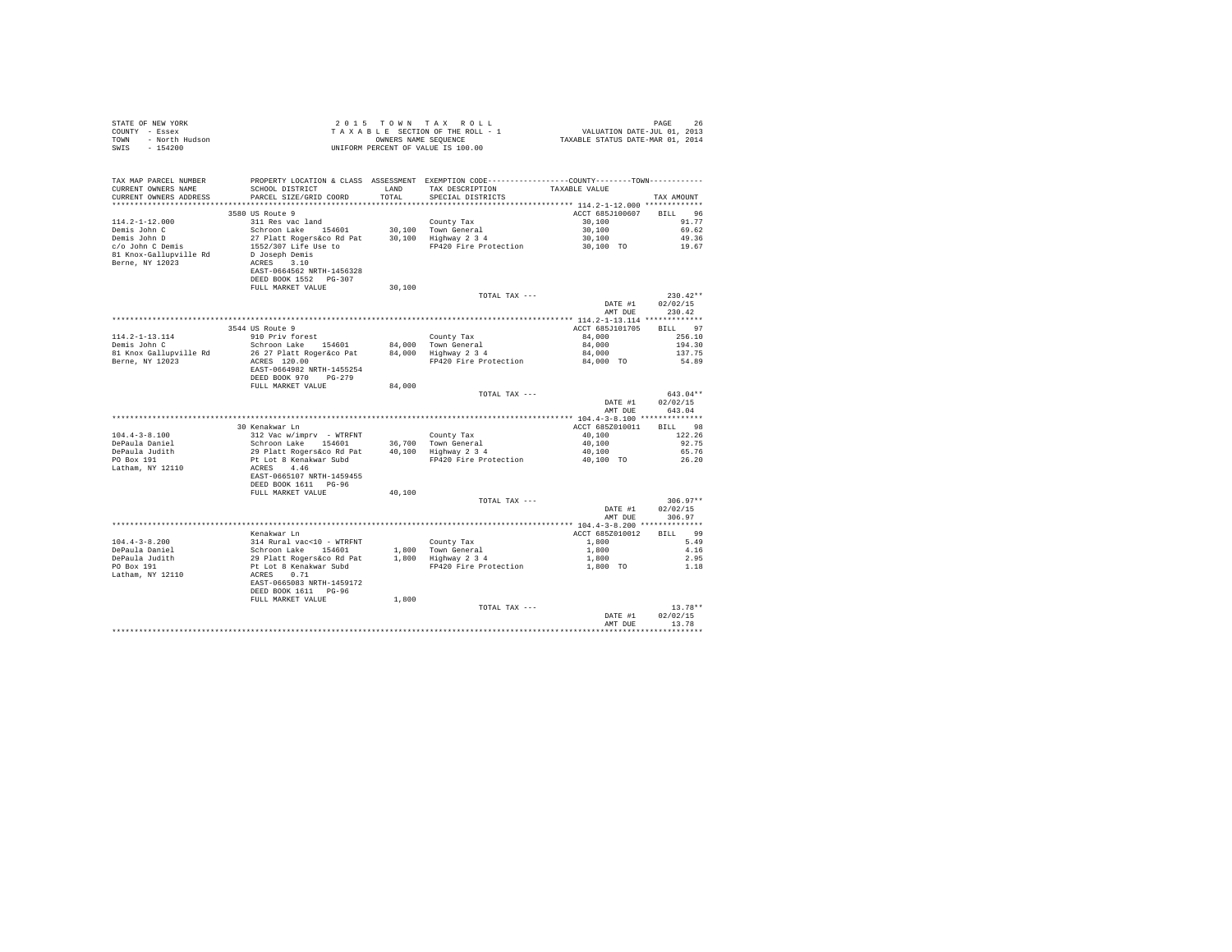| COUNTY - Essex<br>TOWN - North Hudson<br>SWIS<br>$-154200$ | T A X A B L E SECTION OF THE ROLL - 1<br>OWNERS NAME SENGE SEQUENCE<br>UNIFORM PERCENT OF VALUE IS 100.00                                                                                                                                              |        | T A X A B L E SECTION OF THE ROLL - 1 VALUATION DATE-JUL 01, 2013<br>OWNERS NAME SEQUENCE TAXABLE STATUS DATE-MAR 01, 2014 |                         |                        |
|------------------------------------------------------------|--------------------------------------------------------------------------------------------------------------------------------------------------------------------------------------------------------------------------------------------------------|--------|----------------------------------------------------------------------------------------------------------------------------|-------------------------|------------------------|
|                                                            |                                                                                                                                                                                                                                                        |        |                                                                                                                            |                         |                        |
| TAX MAP PARCEL NUMBER                                      | PROPERTY LOCATION & CLASS ASSESSMENT EXEMPTION CODE-----------------COUNTY--------TOWN---------                                                                                                                                                        |        |                                                                                                                            |                         |                        |
| CURRENT OWNERS NAME                                        | SCHOOL DISTRICT LAND                                                                                                                                                                                                                                   |        | TAX DESCRIPTION                                                                                                            | TAXABLE VALUE           |                        |
|                                                            | CURRENT OWNERS ADDRESS PARCEL SIZE/GRID COORD                                                                                                                                                                                                          | TOTAL  | SPECIAL DISTRICTS                                                                                                          |                         | TAX AMOUNT             |
|                                                            | 3580 US Route 9                                                                                                                                                                                                                                        |        |                                                                                                                            | ACCT 685J100607 BILL 96 |                        |
| $114.2 - 1 - 12.000$                                       |                                                                                                                                                                                                                                                        |        |                                                                                                                            | 30,100                  | 91.77                  |
| Demis John C                                               |                                                                                                                                                                                                                                                        |        |                                                                                                                            | 30,100                  | 69.62                  |
| Demis John D<br>c/o John C Demis                           |                                                                                                                                                                                                                                                        |        | 30,100 Highway 2 3 4 30,100 49.36<br>PP420 Fire Protection 30,100 TO 19.67                                                 |                         |                        |
|                                                            |                                                                                                                                                                                                                                                        |        |                                                                                                                            |                         |                        |
| 81 Knox-Gallupville Rd                                     |                                                                                                                                                                                                                                                        |        |                                                                                                                            |                         |                        |
| Berne, NY 12023                                            | County Tax<br>Solution Lake 1986<br>Schroon Lake 154601 30,100 Town General<br>Schroon Lake 154601 30,100 Highway 234<br>1552/307 Life Use to<br>Dioseph Demis<br>ACRES<br>ACRES 3.10<br>ACRES 3.10<br>ACRES 3.10<br>ACRES 3.10<br>ACRES 3.10<br>ACRES |        |                                                                                                                            |                         |                        |
|                                                            | DEED BOOK 1552 PG-307                                                                                                                                                                                                                                  |        |                                                                                                                            |                         |                        |
|                                                            | FULL MARKET VALUE                                                                                                                                                                                                                                      | 30,100 |                                                                                                                            |                         |                        |
|                                                            |                                                                                                                                                                                                                                                        |        | TOTAL TAX ---                                                                                                              |                         | $230.42**$             |
|                                                            |                                                                                                                                                                                                                                                        |        |                                                                                                                            |                         | DATE #1 02/02/15       |
|                                                            |                                                                                                                                                                                                                                                        |        |                                                                                                                            | AMT DUE                 | 230.42                 |
|                                                            | 3544 US Route 9                                                                                                                                                                                                                                        |        |                                                                                                                            | ACCT 685J101705         | BILL 97                |
| 114.2-1-13.114                                             | 910 Priv forest                                                                                                                                                                                                                                        |        | County Tax                                                                                                                 | 84,000                  | 256.10                 |
| Demis John C                                               |                                                                                                                                                                                                                                                        |        |                                                                                                                            |                         | 194.30                 |
| 81 Knox Gallupville Rd                                     | 910 Priv Iorest 154601 194,000 Nounty Tax 194,000<br>26 27 Platt Roger&co Pat 194,000 Nown General 194,000<br>26 27 Platt Roger&co Pat 194,000 Highway 2 3 4 194,000                                                                                   |        |                                                                                                                            | 84,000                  | 137.75                 |
| Berne, NY 12023                                            | ACRES 120.00                                                                                                                                                                                                                                           |        | FP420 Fire Protection 84,000 TO                                                                                            |                         | 54.89                  |
|                                                            | EAST-0664982 NRTH-1455254                                                                                                                                                                                                                              |        |                                                                                                                            |                         |                        |
|                                                            | DEED BOOK 970 PG-279<br>FULL MARKET VALUE                                                                                                                                                                                                              | 84,000 |                                                                                                                            |                         |                        |
|                                                            |                                                                                                                                                                                                                                                        |        | TOTAL TAX ---                                                                                                              |                         | 643.04**               |
|                                                            |                                                                                                                                                                                                                                                        |        |                                                                                                                            | DATE #1                 | 02/02/15               |
|                                                            |                                                                                                                                                                                                                                                        |        |                                                                                                                            | AMT DUE                 | 643.04                 |
|                                                            |                                                                                                                                                                                                                                                        |        |                                                                                                                            |                         |                        |
|                                                            | 30 Kenakwar Ln                                                                                                                                                                                                                                         |        |                                                                                                                            | ACCT 685Z010011 BILL 98 |                        |
| $104.4 - 3 - 8.100$                                        |                                                                                                                                                                                                                                                        |        |                                                                                                                            | $40,100$<br>$40,100$    | 122.26<br>92.75        |
| DePaula Daniel<br>DePaula Judith                           |                                                                                                                                                                                                                                                        |        |                                                                                                                            | 40,100                  | 65.76                  |
| PO Box 191                                                 |                                                                                                                                                                                                                                                        |        | FP420 Fire Protection                                                                                                      | 40,100 TO               | 26.20                  |
| Latham, NY 12110                                           |                                                                                                                                                                                                                                                        |        |                                                                                                                            |                         |                        |
|                                                            |                                                                                                                                                                                                                                                        |        |                                                                                                                            |                         |                        |
|                                                            | 30 Renawar Line<br>Silo Vac Wimpry - WTRFNT<br>Schroon Lake<br>154001 Line<br>29 Platt Rogers for 8 at 140,100 Highway 2 3 4<br>PL Lot 8 Renakwar Subd<br>REST-0665107 NRTH-1459455<br>DEE DOOK 1611 PG-96<br>FULL MARKET VALUE<br>PULL MARKET V       |        |                                                                                                                            |                         |                        |
|                                                            |                                                                                                                                                                                                                                                        |        |                                                                                                                            |                         |                        |
|                                                            |                                                                                                                                                                                                                                                        |        | TOTAL TAX ---                                                                                                              | DATE #1                 | $306.97**$<br>02/02/15 |
|                                                            |                                                                                                                                                                                                                                                        |        |                                                                                                                            | AMT DUE                 | 306.97                 |
|                                                            |                                                                                                                                                                                                                                                        |        |                                                                                                                            |                         |                        |
|                                                            | Kenakwar Ln                                                                                                                                                                                                                                            |        |                                                                                                                            | ACCT 685Z010012         | BILL 99                |
| $104.4 - 3 - 8.200$                                        |                                                                                                                                                                                                                                                        |        |                                                                                                                            | 1,800                   | 5.49                   |
| DePaula Daniel<br>DePaula Judith                           |                                                                                                                                                                                                                                                        |        |                                                                                                                            | 1,800                   | 4.16                   |
| PO Box 191                                                 |                                                                                                                                                                                                                                                        |        | County Tax<br>1,800 Town General<br>1,800 Highway 2 3 4<br>FP420 Fire Protection                                           | $1,800$<br>$1,800$ TO   | 2.95<br>1.18           |
| Latham, NY 12110                                           |                                                                                                                                                                                                                                                        |        |                                                                                                                            |                         |                        |
|                                                            |                                                                                                                                                                                                                                                        |        |                                                                                                                            |                         |                        |
|                                                            | Renawar Lind<br>314 Rural vac<br><10 - WTRFNT<br>Schroon Lake 154601<br>29 Platt Rogersáco Rd Pat<br>                                                                                                                                                  |        |                                                                                                                            |                         |                        |
|                                                            |                                                                                                                                                                                                                                                        | 1,800  |                                                                                                                            |                         |                        |
|                                                            |                                                                                                                                                                                                                                                        |        | TOTAL TAX ---                                                                                                              |                         | $13.78**$              |
|                                                            |                                                                                                                                                                                                                                                        |        |                                                                                                                            | DATE #1                 | 02/02/15               |
|                                                            |                                                                                                                                                                                                                                                        |        |                                                                                                                            | AMT DUE                 | 13.78<br>*********     |
|                                                            |                                                                                                                                                                                                                                                        |        |                                                                                                                            |                         |                        |

STATE OF NEW YORK 26 2015 TOWN TAX ROLL CHARGE 26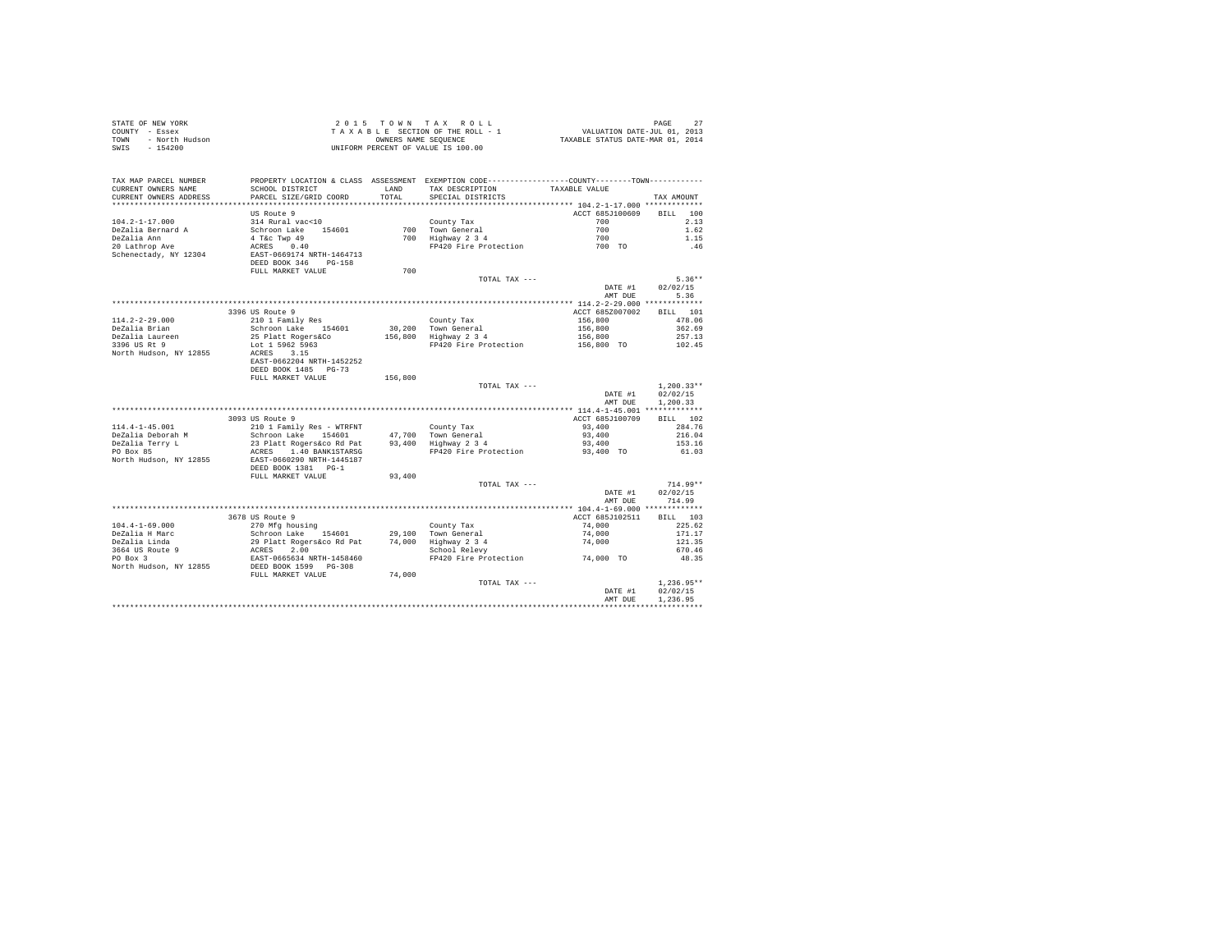| STATE OF NEW YORK<br>COUNTY - Essex<br>- North Hudson<br>TOWN<br>$-154200$<br>SWIS |                                                                 |               | 2015 TOWN TAX ROLL<br>2015 TOWN TAX ROLL<br>TAXABLE SECTION OF THE ROLL - 1<br>TAXABLE STATURE ON MEURA COMMERCIAL STATURE ON THE POINT COLL POINT THAN 01, 2014<br>UNIFORM PERCENT OF VALUE IS 100.00 |                         | PAGE<br>27           |
|------------------------------------------------------------------------------------|-----------------------------------------------------------------|---------------|--------------------------------------------------------------------------------------------------------------------------------------------------------------------------------------------------------|-------------------------|----------------------|
| TAX MAP PARCEL NUMBER<br>CURRENT OWNERS NAME<br>CURRENT OWNERS ADDRESS             | SCHOOL DISTRICT<br>PARCEL SIZE/GRID COORD                       | LAND<br>TOTAL | PROPERTY LOCATION & CLASS ASSESSMENT EXEMPTION CODE----------------COUNTY--------TOWN----------<br>TAX DESCRIPTION<br>SPECIAL DISTRICTS                                                                | TAXABLE VALUE           | TAX AMOUNT           |
|                                                                                    |                                                                 |               |                                                                                                                                                                                                        |                         |                      |
|                                                                                    | US Route 9                                                      |               |                                                                                                                                                                                                        | ACCT 685J100609         | BTLL.<br>100         |
| $104.2 - 1 - 17.000$                                                               | 314 Rural vac<10                                                |               | County Tax                                                                                                                                                                                             | 700                     | 2.13                 |
| DeZalia Bernard A                                                                  | Schroon Lake 154601                                             |               | 700 Town General<br>700 Highway 2 3 4                                                                                                                                                                  | 700                     | 1.62                 |
| DeZalia Ann                                                                        | 4 T&c Twp 49                                                    |               |                                                                                                                                                                                                        | 700                     | 1.15                 |
| 20 Lathrop Ave                                                                     | ACRES 0.40                                                      |               | FP420 Fire Protection                                                                                                                                                                                  | 700 TO                  | .46                  |
| Schenectady, NY 12304                                                              | EAST-0669174 NRTH-1464713<br>DEED BOOK 346 PG-158               |               |                                                                                                                                                                                                        |                         |                      |
|                                                                                    | FULL MARKET VALUE                                               | 700           |                                                                                                                                                                                                        |                         |                      |
|                                                                                    |                                                                 |               | TOTAL TAX ---                                                                                                                                                                                          | DATE #1                 | $5.36**$<br>02/02/15 |
|                                                                                    |                                                                 |               |                                                                                                                                                                                                        | AMT DUE                 | 5.36                 |
|                                                                                    |                                                                 |               |                                                                                                                                                                                                        |                         |                      |
|                                                                                    | 3396 US Route 9                                                 |               |                                                                                                                                                                                                        | ACCT 685Z007002         | BILL 101             |
| $114.2 - 2 - 29.000$                                                               | 210 1 Family Res                                                |               | County Tax                                                                                                                                                                                             | 156,800                 | 478.06               |
| DeZalia Brian                                                                      | Schroon Lake 154601                                             | 30,200        | 30,200 Town General<br>156,800 Highway 2 3 4                                                                                                                                                           | 156,800                 | 362.69               |
| DeZalia Laureen                                                                    | 25 Platt Rogers&Co                                              |               |                                                                                                                                                                                                        | 156,800                 | 257.13               |
| 3396 US Rt 9                                                                       | Lot 1 5962 5963                                                 |               | FP420 Fire Protection                                                                                                                                                                                  | 156,800 TO              | 102.45               |
| North Hudson, NY 12855                                                             | ACRES 3.15<br>EAST-0662204 NRTH-1452252<br>DEED BOOK 1485 PG-73 |               |                                                                                                                                                                                                        |                         |                      |
|                                                                                    | FULL MARKET VALUE                                               | 156,800       |                                                                                                                                                                                                        |                         |                      |
|                                                                                    |                                                                 |               | TOTAL TAX ---                                                                                                                                                                                          |                         | $1.200.33**$         |
|                                                                                    |                                                                 |               |                                                                                                                                                                                                        | DATE #1<br>AMT DUE      | 02/02/15<br>1,200.33 |
|                                                                                    |                                                                 |               |                                                                                                                                                                                                        |                         |                      |
|                                                                                    | 3093 US Route 9                                                 |               |                                                                                                                                                                                                        | ACCT 685J100709         | BILL 102             |
| $114.4 - 1 - 45.001$<br>DeZalia Deborah M                                          | 210 1 Family Res - WTRFNT<br>Schroon Lake 154601                | 47.700        | County Tax                                                                                                                                                                                             | 93,400<br>93,400        | 284.76<br>216.04     |
| DeZalia Terry L                                                                    | 23 Platt Rogers&co Rd Pat                                       | 93,400        | Town General<br>Highway 2 3 4                                                                                                                                                                          | 93,400                  | 153.16               |
| PO Box 85                                                                          | ACRES 1.40 BANK1STARSG                                          |               | FP420 Fire Protection                                                                                                                                                                                  | 93,400 TO               | 61.03                |
| North Hudson, NY 12855                                                             | EAST-0660290 NRTH-1445187<br>DEED BOOK 1381 PG-1                |               |                                                                                                                                                                                                        |                         |                      |
|                                                                                    | FULL MARKET VALUE                                               | 93,400        |                                                                                                                                                                                                        |                         |                      |
|                                                                                    |                                                                 |               | TOTAL TAX ---                                                                                                                                                                                          |                         | $714.99**$           |
|                                                                                    |                                                                 |               |                                                                                                                                                                                                        | DATE #1<br>AMT DUR      | 02/02/15<br>714.99   |
|                                                                                    |                                                                 |               |                                                                                                                                                                                                        |                         |                      |
|                                                                                    | 3678 US Route 9                                                 |               |                                                                                                                                                                                                        | ACCT 685J102511         | BILL 103             |
| $104.4 - 1 - 69.000$                                                               | 270 Mfg housing                                                 |               | County Tax                                                                                                                                                                                             | 74,000                  | 225.62               |
| DeZalia H Marc<br>DeZalia Linda                                                    | Schroon Lake 154601                                             |               | $29,100$ Town General<br>$74,000$ Highway $2,3,4$                                                                                                                                                      | 74,000<br>74,000        | 171.17<br>121.35     |
|                                                                                    | 29 Platt Rogers&co Rd Pat<br>ACRES 2.00                         |               | School Relevy                                                                                                                                                                                          |                         | 670.46               |
| 3664 US Route 9<br>PO Box 3                                                        | EAST-0665634 NRTH-1458460                                       |               | FP420 Fire Protection                                                                                                                                                                                  | $74\,,000$ $\,$ TO $\,$ | 48.35                |
| North Hudson, NY 12855                                                             | DEED BOOK 1599 PG-308                                           |               |                                                                                                                                                                                                        |                         |                      |
|                                                                                    | FULL MARKET VALUE                                               | 74,000        |                                                                                                                                                                                                        |                         |                      |
|                                                                                    |                                                                 |               | TOTAL TAX ---                                                                                                                                                                                          |                         | $1.236.95**$         |
|                                                                                    |                                                                 |               |                                                                                                                                                                                                        | DATE #1                 | 02/02/15             |
|                                                                                    |                                                                 |               |                                                                                                                                                                                                        | AMT DUE                 | 1.236.95             |
|                                                                                    |                                                                 |               |                                                                                                                                                                                                        |                         |                      |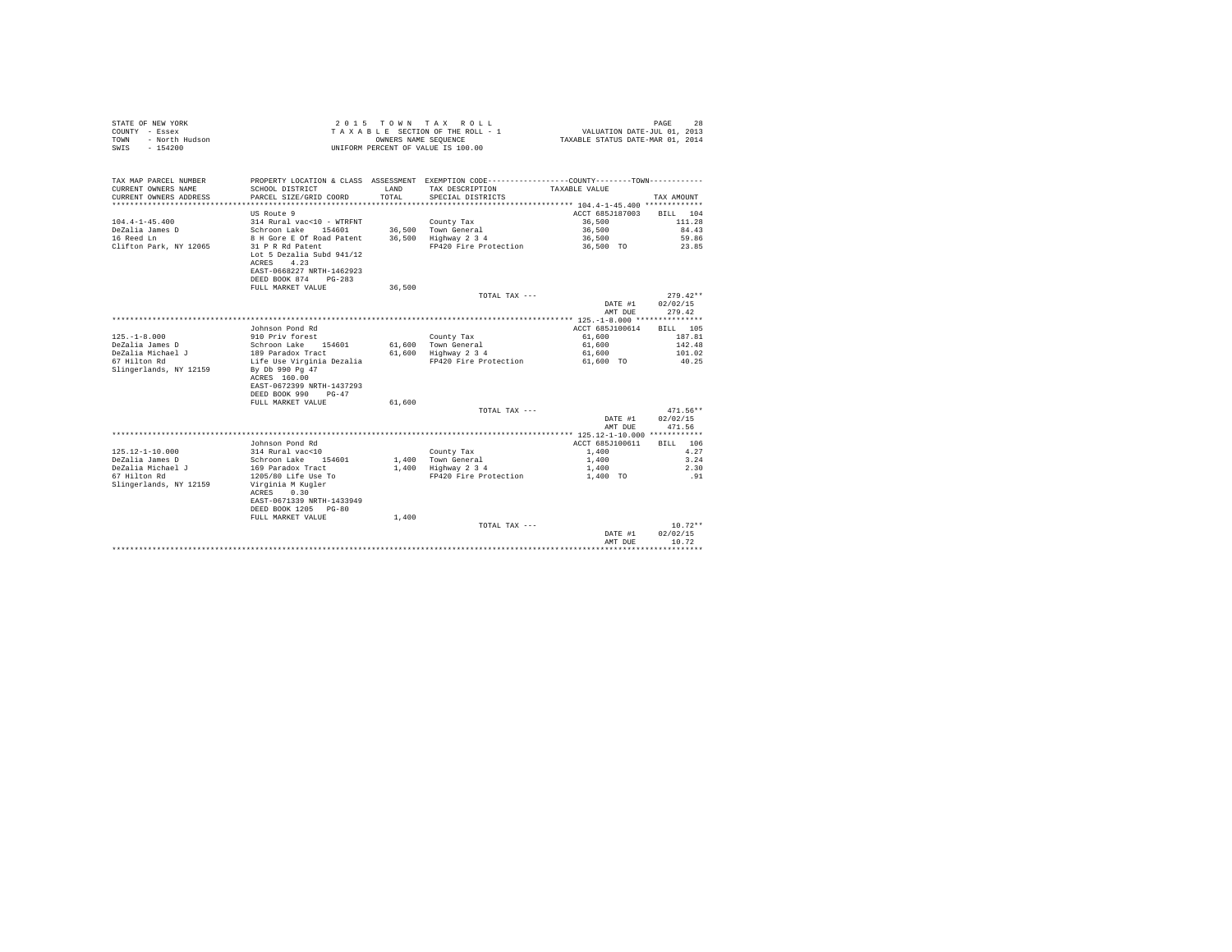| TAX MAP PARCEL NUMBER<br>PROPERTY LOCATION & CLASS ASSESSMENT EXEMPTION CODE---------------COUNTY-------TOWN----------<br>CURRENT OWNERS NAME<br>SCHOOL DISTRICT<br>LAND<br>TAX DESCRIPTION<br>TAXABLE VALUE<br>TOTAL.<br>CURRENT OWNERS ADDRESS<br>PARCEL SIZE/GRID COORD<br>SPECIAL DISTRICTS<br>TAX AMOUNT<br>US Route 9<br>ACCT 685J187003<br>BILL 104<br>$104.4 - 1 - 45.400$<br>314 Rural vac<10 - WTRFNT<br>36,500<br>111.28<br>County Tax<br>DeZalia James D<br>Schroon Lake 154601<br>36.500 Town General<br>36,500<br>84.43<br>16 Reed Ln<br>36.500 Highway 2 3 4<br>59.86<br>8 H Gore E Of Road Patent<br>36,500<br>Clifton Park, NY 12065<br>FP420 Fire Protection<br>31 P R Rd Patent<br>36,500 TO<br>23.85<br>Lot 5 Dezalia Subd 941/12<br>4.23<br>ACRES<br>EAST-0668227 NRTH-1462923<br>DEED BOOK 874<br>$PG-283$<br>36,500<br>FULL MARKET VALUE<br>$279.42**$<br>TOTAL TAX ---<br>02/02/15<br>DATE #1<br>AMT DUE<br>279.42<br>Johnson Pond Rd<br>ACCT 685J100614<br>BILL 105<br>$125. - 1 - 8.000$<br>910 Priv forest<br>County Tax<br>61,600<br>187.81<br>DeZalia James D<br>Schroon Lake 154601<br>61.600 Town General<br>61,600<br>142.48<br>DeZalia Michael J<br>189 Paradox Tract<br>61,600 Highway 2 3 4<br>61,600<br>101.02<br>67 Hilton Rd<br>Life Use Virginia Dezalia<br>FP420 Fire Protection<br>61,600 TO<br>40.25<br>Slingerlands, NY 12159<br>By Db 990 Pg 47<br>ACRES 160.00<br>EAST-0672399 NRTH-1437293<br>DEED BOOK 990<br>$PG-47$<br>FULL MARKET VALUE<br>61,600<br>471.56**<br>TOTAL TAX ---<br>DATE #1<br>02/02/15<br>471.56<br>AMT DUR<br>Johnson Pond Rd<br>ACCT 685J100611<br>BILL 106<br>$125.12 - 1 - 10.000$<br>314 Rural vac<10<br>County Tax<br>1,400<br>4.27<br>DeZalia James D<br>Schroon Lake 154601<br>1,400 Town General<br>1,400<br>3.24<br>DeZalia Michael J<br>169 Paradox Tract<br>1,400 Highway 2 3 4<br>1,400<br>2.30<br>67 Hilton Rd<br>1205/80 Life Use To<br>FP420 Fire Protection<br>1,400 TO<br>.91<br>Slingerlands, NY 12159<br>Virginia M Kugler<br>ACRES<br>0.30<br>EAST-0671339 NRTH-1433949<br>DEED BOOK 1205 PG-80<br>FULL MARKET VALUE<br>1,400<br>$10.72**$<br>TOTAL TAX ---<br>02/02/15<br>DATE #1<br>10.72<br>AMT DUE | STATE OF NEW YORK<br>COUNTY - Essex<br>- North Hudson<br>TOWN<br>SWIS<br>$-154200$ |  | 2015 TOWN TAX ROLL<br>TAXABLE SECTION OF THE ROLL - 1<br>OWNERS NAME SEOUENCE<br>UNIFORM PERCENT OF VALUE IS 100.00 | VALUATION DATE-JUL 01, 2013<br>TAXABLE STATUS DATE-MAR 01, 2014 | 28<br>PAGE |  |
|----------------------------------------------------------------------------------------------------------------------------------------------------------------------------------------------------------------------------------------------------------------------------------------------------------------------------------------------------------------------------------------------------------------------------------------------------------------------------------------------------------------------------------------------------------------------------------------------------------------------------------------------------------------------------------------------------------------------------------------------------------------------------------------------------------------------------------------------------------------------------------------------------------------------------------------------------------------------------------------------------------------------------------------------------------------------------------------------------------------------------------------------------------------------------------------------------------------------------------------------------------------------------------------------------------------------------------------------------------------------------------------------------------------------------------------------------------------------------------------------------------------------------------------------------------------------------------------------------------------------------------------------------------------------------------------------------------------------------------------------------------------------------------------------------------------------------------------------------------------------------------------------------------------------------------------------------------------------------------------------------------------------------------------------------------------------------------------------------------------------------------------------------------------------------------------------|------------------------------------------------------------------------------------|--|---------------------------------------------------------------------------------------------------------------------|-----------------------------------------------------------------|------------|--|
|                                                                                                                                                                                                                                                                                                                                                                                                                                                                                                                                                                                                                                                                                                                                                                                                                                                                                                                                                                                                                                                                                                                                                                                                                                                                                                                                                                                                                                                                                                                                                                                                                                                                                                                                                                                                                                                                                                                                                                                                                                                                                                                                                                                              |                                                                                    |  |                                                                                                                     |                                                                 |            |  |
|                                                                                                                                                                                                                                                                                                                                                                                                                                                                                                                                                                                                                                                                                                                                                                                                                                                                                                                                                                                                                                                                                                                                                                                                                                                                                                                                                                                                                                                                                                                                                                                                                                                                                                                                                                                                                                                                                                                                                                                                                                                                                                                                                                                              |                                                                                    |  |                                                                                                                     |                                                                 |            |  |
|                                                                                                                                                                                                                                                                                                                                                                                                                                                                                                                                                                                                                                                                                                                                                                                                                                                                                                                                                                                                                                                                                                                                                                                                                                                                                                                                                                                                                                                                                                                                                                                                                                                                                                                                                                                                                                                                                                                                                                                                                                                                                                                                                                                              |                                                                                    |  |                                                                                                                     |                                                                 |            |  |
|                                                                                                                                                                                                                                                                                                                                                                                                                                                                                                                                                                                                                                                                                                                                                                                                                                                                                                                                                                                                                                                                                                                                                                                                                                                                                                                                                                                                                                                                                                                                                                                                                                                                                                                                                                                                                                                                                                                                                                                                                                                                                                                                                                                              |                                                                                    |  |                                                                                                                     |                                                                 |            |  |
|                                                                                                                                                                                                                                                                                                                                                                                                                                                                                                                                                                                                                                                                                                                                                                                                                                                                                                                                                                                                                                                                                                                                                                                                                                                                                                                                                                                                                                                                                                                                                                                                                                                                                                                                                                                                                                                                                                                                                                                                                                                                                                                                                                                              |                                                                                    |  |                                                                                                                     |                                                                 |            |  |
|                                                                                                                                                                                                                                                                                                                                                                                                                                                                                                                                                                                                                                                                                                                                                                                                                                                                                                                                                                                                                                                                                                                                                                                                                                                                                                                                                                                                                                                                                                                                                                                                                                                                                                                                                                                                                                                                                                                                                                                                                                                                                                                                                                                              |                                                                                    |  |                                                                                                                     |                                                                 |            |  |
|                                                                                                                                                                                                                                                                                                                                                                                                                                                                                                                                                                                                                                                                                                                                                                                                                                                                                                                                                                                                                                                                                                                                                                                                                                                                                                                                                                                                                                                                                                                                                                                                                                                                                                                                                                                                                                                                                                                                                                                                                                                                                                                                                                                              |                                                                                    |  |                                                                                                                     |                                                                 |            |  |
|                                                                                                                                                                                                                                                                                                                                                                                                                                                                                                                                                                                                                                                                                                                                                                                                                                                                                                                                                                                                                                                                                                                                                                                                                                                                                                                                                                                                                                                                                                                                                                                                                                                                                                                                                                                                                                                                                                                                                                                                                                                                                                                                                                                              |                                                                                    |  |                                                                                                                     |                                                                 |            |  |
|                                                                                                                                                                                                                                                                                                                                                                                                                                                                                                                                                                                                                                                                                                                                                                                                                                                                                                                                                                                                                                                                                                                                                                                                                                                                                                                                                                                                                                                                                                                                                                                                                                                                                                                                                                                                                                                                                                                                                                                                                                                                                                                                                                                              |                                                                                    |  |                                                                                                                     |                                                                 |            |  |
|                                                                                                                                                                                                                                                                                                                                                                                                                                                                                                                                                                                                                                                                                                                                                                                                                                                                                                                                                                                                                                                                                                                                                                                                                                                                                                                                                                                                                                                                                                                                                                                                                                                                                                                                                                                                                                                                                                                                                                                                                                                                                                                                                                                              |                                                                                    |  |                                                                                                                     |                                                                 |            |  |
|                                                                                                                                                                                                                                                                                                                                                                                                                                                                                                                                                                                                                                                                                                                                                                                                                                                                                                                                                                                                                                                                                                                                                                                                                                                                                                                                                                                                                                                                                                                                                                                                                                                                                                                                                                                                                                                                                                                                                                                                                                                                                                                                                                                              |                                                                                    |  |                                                                                                                     |                                                                 |            |  |
|                                                                                                                                                                                                                                                                                                                                                                                                                                                                                                                                                                                                                                                                                                                                                                                                                                                                                                                                                                                                                                                                                                                                                                                                                                                                                                                                                                                                                                                                                                                                                                                                                                                                                                                                                                                                                                                                                                                                                                                                                                                                                                                                                                                              |                                                                                    |  |                                                                                                                     |                                                                 |            |  |
|                                                                                                                                                                                                                                                                                                                                                                                                                                                                                                                                                                                                                                                                                                                                                                                                                                                                                                                                                                                                                                                                                                                                                                                                                                                                                                                                                                                                                                                                                                                                                                                                                                                                                                                                                                                                                                                                                                                                                                                                                                                                                                                                                                                              |                                                                                    |  |                                                                                                                     |                                                                 |            |  |
|                                                                                                                                                                                                                                                                                                                                                                                                                                                                                                                                                                                                                                                                                                                                                                                                                                                                                                                                                                                                                                                                                                                                                                                                                                                                                                                                                                                                                                                                                                                                                                                                                                                                                                                                                                                                                                                                                                                                                                                                                                                                                                                                                                                              |                                                                                    |  |                                                                                                                     |                                                                 |            |  |
|                                                                                                                                                                                                                                                                                                                                                                                                                                                                                                                                                                                                                                                                                                                                                                                                                                                                                                                                                                                                                                                                                                                                                                                                                                                                                                                                                                                                                                                                                                                                                                                                                                                                                                                                                                                                                                                                                                                                                                                                                                                                                                                                                                                              |                                                                                    |  |                                                                                                                     |                                                                 |            |  |
|                                                                                                                                                                                                                                                                                                                                                                                                                                                                                                                                                                                                                                                                                                                                                                                                                                                                                                                                                                                                                                                                                                                                                                                                                                                                                                                                                                                                                                                                                                                                                                                                                                                                                                                                                                                                                                                                                                                                                                                                                                                                                                                                                                                              |                                                                                    |  |                                                                                                                     |                                                                 |            |  |
|                                                                                                                                                                                                                                                                                                                                                                                                                                                                                                                                                                                                                                                                                                                                                                                                                                                                                                                                                                                                                                                                                                                                                                                                                                                                                                                                                                                                                                                                                                                                                                                                                                                                                                                                                                                                                                                                                                                                                                                                                                                                                                                                                                                              |                                                                                    |  |                                                                                                                     |                                                                 |            |  |
|                                                                                                                                                                                                                                                                                                                                                                                                                                                                                                                                                                                                                                                                                                                                                                                                                                                                                                                                                                                                                                                                                                                                                                                                                                                                                                                                                                                                                                                                                                                                                                                                                                                                                                                                                                                                                                                                                                                                                                                                                                                                                                                                                                                              |                                                                                    |  |                                                                                                                     |                                                                 |            |  |
|                                                                                                                                                                                                                                                                                                                                                                                                                                                                                                                                                                                                                                                                                                                                                                                                                                                                                                                                                                                                                                                                                                                                                                                                                                                                                                                                                                                                                                                                                                                                                                                                                                                                                                                                                                                                                                                                                                                                                                                                                                                                                                                                                                                              |                                                                                    |  |                                                                                                                     |                                                                 |            |  |
|                                                                                                                                                                                                                                                                                                                                                                                                                                                                                                                                                                                                                                                                                                                                                                                                                                                                                                                                                                                                                                                                                                                                                                                                                                                                                                                                                                                                                                                                                                                                                                                                                                                                                                                                                                                                                                                                                                                                                                                                                                                                                                                                                                                              |                                                                                    |  |                                                                                                                     |                                                                 |            |  |
|                                                                                                                                                                                                                                                                                                                                                                                                                                                                                                                                                                                                                                                                                                                                                                                                                                                                                                                                                                                                                                                                                                                                                                                                                                                                                                                                                                                                                                                                                                                                                                                                                                                                                                                                                                                                                                                                                                                                                                                                                                                                                                                                                                                              |                                                                                    |  |                                                                                                                     |                                                                 |            |  |
|                                                                                                                                                                                                                                                                                                                                                                                                                                                                                                                                                                                                                                                                                                                                                                                                                                                                                                                                                                                                                                                                                                                                                                                                                                                                                                                                                                                                                                                                                                                                                                                                                                                                                                                                                                                                                                                                                                                                                                                                                                                                                                                                                                                              |                                                                                    |  |                                                                                                                     |                                                                 |            |  |
|                                                                                                                                                                                                                                                                                                                                                                                                                                                                                                                                                                                                                                                                                                                                                                                                                                                                                                                                                                                                                                                                                                                                                                                                                                                                                                                                                                                                                                                                                                                                                                                                                                                                                                                                                                                                                                                                                                                                                                                                                                                                                                                                                                                              |                                                                                    |  |                                                                                                                     |                                                                 |            |  |
|                                                                                                                                                                                                                                                                                                                                                                                                                                                                                                                                                                                                                                                                                                                                                                                                                                                                                                                                                                                                                                                                                                                                                                                                                                                                                                                                                                                                                                                                                                                                                                                                                                                                                                                                                                                                                                                                                                                                                                                                                                                                                                                                                                                              |                                                                                    |  |                                                                                                                     |                                                                 |            |  |
|                                                                                                                                                                                                                                                                                                                                                                                                                                                                                                                                                                                                                                                                                                                                                                                                                                                                                                                                                                                                                                                                                                                                                                                                                                                                                                                                                                                                                                                                                                                                                                                                                                                                                                                                                                                                                                                                                                                                                                                                                                                                                                                                                                                              |                                                                                    |  |                                                                                                                     |                                                                 |            |  |
|                                                                                                                                                                                                                                                                                                                                                                                                                                                                                                                                                                                                                                                                                                                                                                                                                                                                                                                                                                                                                                                                                                                                                                                                                                                                                                                                                                                                                                                                                                                                                                                                                                                                                                                                                                                                                                                                                                                                                                                                                                                                                                                                                                                              |                                                                                    |  |                                                                                                                     |                                                                 |            |  |
|                                                                                                                                                                                                                                                                                                                                                                                                                                                                                                                                                                                                                                                                                                                                                                                                                                                                                                                                                                                                                                                                                                                                                                                                                                                                                                                                                                                                                                                                                                                                                                                                                                                                                                                                                                                                                                                                                                                                                                                                                                                                                                                                                                                              |                                                                                    |  |                                                                                                                     |                                                                 |            |  |
|                                                                                                                                                                                                                                                                                                                                                                                                                                                                                                                                                                                                                                                                                                                                                                                                                                                                                                                                                                                                                                                                                                                                                                                                                                                                                                                                                                                                                                                                                                                                                                                                                                                                                                                                                                                                                                                                                                                                                                                                                                                                                                                                                                                              |                                                                                    |  |                                                                                                                     |                                                                 |            |  |
|                                                                                                                                                                                                                                                                                                                                                                                                                                                                                                                                                                                                                                                                                                                                                                                                                                                                                                                                                                                                                                                                                                                                                                                                                                                                                                                                                                                                                                                                                                                                                                                                                                                                                                                                                                                                                                                                                                                                                                                                                                                                                                                                                                                              |                                                                                    |  |                                                                                                                     |                                                                 |            |  |
|                                                                                                                                                                                                                                                                                                                                                                                                                                                                                                                                                                                                                                                                                                                                                                                                                                                                                                                                                                                                                                                                                                                                                                                                                                                                                                                                                                                                                                                                                                                                                                                                                                                                                                                                                                                                                                                                                                                                                                                                                                                                                                                                                                                              |                                                                                    |  |                                                                                                                     |                                                                 |            |  |
|                                                                                                                                                                                                                                                                                                                                                                                                                                                                                                                                                                                                                                                                                                                                                                                                                                                                                                                                                                                                                                                                                                                                                                                                                                                                                                                                                                                                                                                                                                                                                                                                                                                                                                                                                                                                                                                                                                                                                                                                                                                                                                                                                                                              |                                                                                    |  |                                                                                                                     |                                                                 |            |  |
|                                                                                                                                                                                                                                                                                                                                                                                                                                                                                                                                                                                                                                                                                                                                                                                                                                                                                                                                                                                                                                                                                                                                                                                                                                                                                                                                                                                                                                                                                                                                                                                                                                                                                                                                                                                                                                                                                                                                                                                                                                                                                                                                                                                              |                                                                                    |  |                                                                                                                     |                                                                 |            |  |
|                                                                                                                                                                                                                                                                                                                                                                                                                                                                                                                                                                                                                                                                                                                                                                                                                                                                                                                                                                                                                                                                                                                                                                                                                                                                                                                                                                                                                                                                                                                                                                                                                                                                                                                                                                                                                                                                                                                                                                                                                                                                                                                                                                                              |                                                                                    |  |                                                                                                                     |                                                                 |            |  |
|                                                                                                                                                                                                                                                                                                                                                                                                                                                                                                                                                                                                                                                                                                                                                                                                                                                                                                                                                                                                                                                                                                                                                                                                                                                                                                                                                                                                                                                                                                                                                                                                                                                                                                                                                                                                                                                                                                                                                                                                                                                                                                                                                                                              |                                                                                    |  |                                                                                                                     |                                                                 |            |  |
|                                                                                                                                                                                                                                                                                                                                                                                                                                                                                                                                                                                                                                                                                                                                                                                                                                                                                                                                                                                                                                                                                                                                                                                                                                                                                                                                                                                                                                                                                                                                                                                                                                                                                                                                                                                                                                                                                                                                                                                                                                                                                                                                                                                              |                                                                                    |  |                                                                                                                     |                                                                 |            |  |
|                                                                                                                                                                                                                                                                                                                                                                                                                                                                                                                                                                                                                                                                                                                                                                                                                                                                                                                                                                                                                                                                                                                                                                                                                                                                                                                                                                                                                                                                                                                                                                                                                                                                                                                                                                                                                                                                                                                                                                                                                                                                                                                                                                                              |                                                                                    |  |                                                                                                                     |                                                                 |            |  |
|                                                                                                                                                                                                                                                                                                                                                                                                                                                                                                                                                                                                                                                                                                                                                                                                                                                                                                                                                                                                                                                                                                                                                                                                                                                                                                                                                                                                                                                                                                                                                                                                                                                                                                                                                                                                                                                                                                                                                                                                                                                                                                                                                                                              |                                                                                    |  |                                                                                                                     |                                                                 |            |  |
|                                                                                                                                                                                                                                                                                                                                                                                                                                                                                                                                                                                                                                                                                                                                                                                                                                                                                                                                                                                                                                                                                                                                                                                                                                                                                                                                                                                                                                                                                                                                                                                                                                                                                                                                                                                                                                                                                                                                                                                                                                                                                                                                                                                              |                                                                                    |  |                                                                                                                     |                                                                 |            |  |
|                                                                                                                                                                                                                                                                                                                                                                                                                                                                                                                                                                                                                                                                                                                                                                                                                                                                                                                                                                                                                                                                                                                                                                                                                                                                                                                                                                                                                                                                                                                                                                                                                                                                                                                                                                                                                                                                                                                                                                                                                                                                                                                                                                                              |                                                                                    |  |                                                                                                                     |                                                                 |            |  |
|                                                                                                                                                                                                                                                                                                                                                                                                                                                                                                                                                                                                                                                                                                                                                                                                                                                                                                                                                                                                                                                                                                                                                                                                                                                                                                                                                                                                                                                                                                                                                                                                                                                                                                                                                                                                                                                                                                                                                                                                                                                                                                                                                                                              |                                                                                    |  |                                                                                                                     |                                                                 |            |  |
|                                                                                                                                                                                                                                                                                                                                                                                                                                                                                                                                                                                                                                                                                                                                                                                                                                                                                                                                                                                                                                                                                                                                                                                                                                                                                                                                                                                                                                                                                                                                                                                                                                                                                                                                                                                                                                                                                                                                                                                                                                                                                                                                                                                              |                                                                                    |  |                                                                                                                     |                                                                 |            |  |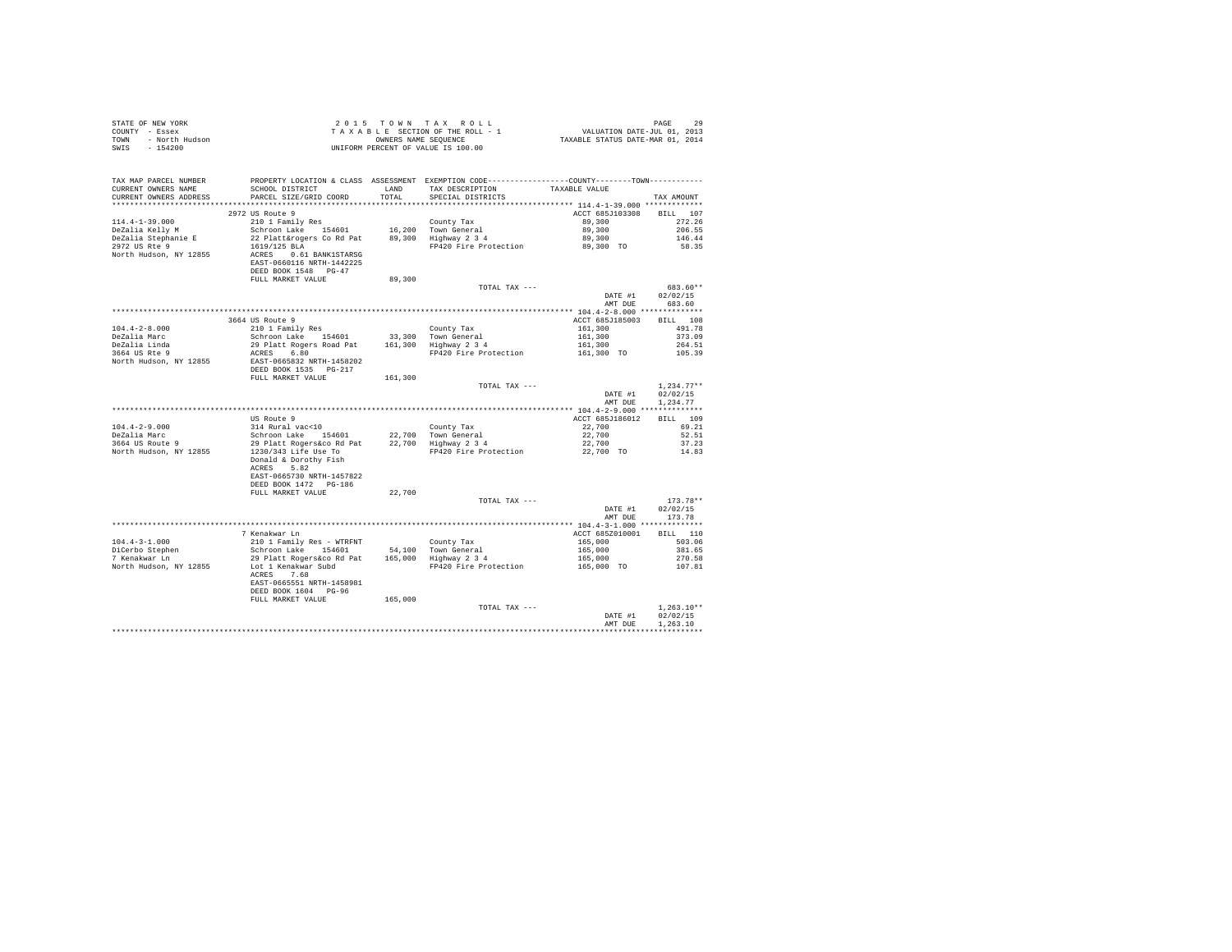| TAX MAP PARCEL NUMBER FROPERTY LOCATION & CLASS ASSESSMENT EXEMPTION CODE---------------COUNTY---------TOWN-----------<br>CURRENT OWNERS NAME<br>PARCEL SIZE/GRID COORD<br>TOTAL<br>SPECIAL DISTRICTS<br>CURRENT OWNERS ADDRESS<br>TAX AMOUNT<br>ACCT 685J103308 BILL 107<br>2972 US Route 9<br>$272.26$<br>$89,300$<br>$296.55$<br>$89,300$<br>$146.44$<br>58.35<br>DEED BOOK 1548 PG-47<br>89,300<br>FULL MARKET VALUE<br>TOTAL TAX ---<br>683.60**<br>DATE #1 02/02/15<br>AMT DUE 683.60<br>DEED BOOK 1535 PG-217<br>161,300<br>FULL MARKET VALUE<br>TOTAL TAX $---$<br>$1,234.77**$<br>DATE #1 02/02/15<br>AMT DUE 1,234.77<br>ACRES 5.82<br>EAST-0665730 NRTH-1457822<br>DEED BOOK 1472    PG-186<br>22,700<br>FULL MARKET VALUE<br>TOTAL TAX ---<br>$173.78**$<br>DATE #1 02/02/15<br>AMT DUE 173.78<br>7 Kenakwar Ln<br>ACCT 685Z010001 BILL 110<br>A COURT AND TRUE TO SALE AND THE MAIN THE MAIN THE SERIES OF THE MAIN THE SERIES OF THE SERIES OF THE SERIES OF THE SERIES OF THE SERIES OF THE SERIES OF THE SERIES OF THE SERIES OF THE SERIES OF THE SERIES OF THE SERIES O<br>104.4-3-1.000<br>DiCerbo Stephen<br>7 Kenakwar Ln<br>North Hudson, NY 12855<br>ACRES 7.68<br>EAST-0665551 NRTH-1458981<br>DEED BOOK 1604 PG-96<br>165,000<br>FULL MARKET VALUE<br>$1.263.10**$<br>TOTAL TAX ---<br>DATE #1 02/02/15<br>AMT DUR 1.263.10<br>************ |  |  |  |
|----------------------------------------------------------------------------------------------------------------------------------------------------------------------------------------------------------------------------------------------------------------------------------------------------------------------------------------------------------------------------------------------------------------------------------------------------------------------------------------------------------------------------------------------------------------------------------------------------------------------------------------------------------------------------------------------------------------------------------------------------------------------------------------------------------------------------------------------------------------------------------------------------------------------------------------------------------------------------------------------------------------------------------------------------------------------------------------------------------------------------------------------------------------------------------------------------------------------------------------------------------------------------------------------------------------------------------------------------------------------|--|--|--|
|                                                                                                                                                                                                                                                                                                                                                                                                                                                                                                                                                                                                                                                                                                                                                                                                                                                                                                                                                                                                                                                                                                                                                                                                                                                                                                                                                                      |  |  |  |
|                                                                                                                                                                                                                                                                                                                                                                                                                                                                                                                                                                                                                                                                                                                                                                                                                                                                                                                                                                                                                                                                                                                                                                                                                                                                                                                                                                      |  |  |  |
|                                                                                                                                                                                                                                                                                                                                                                                                                                                                                                                                                                                                                                                                                                                                                                                                                                                                                                                                                                                                                                                                                                                                                                                                                                                                                                                                                                      |  |  |  |
|                                                                                                                                                                                                                                                                                                                                                                                                                                                                                                                                                                                                                                                                                                                                                                                                                                                                                                                                                                                                                                                                                                                                                                                                                                                                                                                                                                      |  |  |  |
|                                                                                                                                                                                                                                                                                                                                                                                                                                                                                                                                                                                                                                                                                                                                                                                                                                                                                                                                                                                                                                                                                                                                                                                                                                                                                                                                                                      |  |  |  |
|                                                                                                                                                                                                                                                                                                                                                                                                                                                                                                                                                                                                                                                                                                                                                                                                                                                                                                                                                                                                                                                                                                                                                                                                                                                                                                                                                                      |  |  |  |
|                                                                                                                                                                                                                                                                                                                                                                                                                                                                                                                                                                                                                                                                                                                                                                                                                                                                                                                                                                                                                                                                                                                                                                                                                                                                                                                                                                      |  |  |  |
|                                                                                                                                                                                                                                                                                                                                                                                                                                                                                                                                                                                                                                                                                                                                                                                                                                                                                                                                                                                                                                                                                                                                                                                                                                                                                                                                                                      |  |  |  |
|                                                                                                                                                                                                                                                                                                                                                                                                                                                                                                                                                                                                                                                                                                                                                                                                                                                                                                                                                                                                                                                                                                                                                                                                                                                                                                                                                                      |  |  |  |
|                                                                                                                                                                                                                                                                                                                                                                                                                                                                                                                                                                                                                                                                                                                                                                                                                                                                                                                                                                                                                                                                                                                                                                                                                                                                                                                                                                      |  |  |  |
|                                                                                                                                                                                                                                                                                                                                                                                                                                                                                                                                                                                                                                                                                                                                                                                                                                                                                                                                                                                                                                                                                                                                                                                                                                                                                                                                                                      |  |  |  |
|                                                                                                                                                                                                                                                                                                                                                                                                                                                                                                                                                                                                                                                                                                                                                                                                                                                                                                                                                                                                                                                                                                                                                                                                                                                                                                                                                                      |  |  |  |
|                                                                                                                                                                                                                                                                                                                                                                                                                                                                                                                                                                                                                                                                                                                                                                                                                                                                                                                                                                                                                                                                                                                                                                                                                                                                                                                                                                      |  |  |  |
|                                                                                                                                                                                                                                                                                                                                                                                                                                                                                                                                                                                                                                                                                                                                                                                                                                                                                                                                                                                                                                                                                                                                                                                                                                                                                                                                                                      |  |  |  |
|                                                                                                                                                                                                                                                                                                                                                                                                                                                                                                                                                                                                                                                                                                                                                                                                                                                                                                                                                                                                                                                                                                                                                                                                                                                                                                                                                                      |  |  |  |
|                                                                                                                                                                                                                                                                                                                                                                                                                                                                                                                                                                                                                                                                                                                                                                                                                                                                                                                                                                                                                                                                                                                                                                                                                                                                                                                                                                      |  |  |  |
|                                                                                                                                                                                                                                                                                                                                                                                                                                                                                                                                                                                                                                                                                                                                                                                                                                                                                                                                                                                                                                                                                                                                                                                                                                                                                                                                                                      |  |  |  |
|                                                                                                                                                                                                                                                                                                                                                                                                                                                                                                                                                                                                                                                                                                                                                                                                                                                                                                                                                                                                                                                                                                                                                                                                                                                                                                                                                                      |  |  |  |
|                                                                                                                                                                                                                                                                                                                                                                                                                                                                                                                                                                                                                                                                                                                                                                                                                                                                                                                                                                                                                                                                                                                                                                                                                                                                                                                                                                      |  |  |  |
|                                                                                                                                                                                                                                                                                                                                                                                                                                                                                                                                                                                                                                                                                                                                                                                                                                                                                                                                                                                                                                                                                                                                                                                                                                                                                                                                                                      |  |  |  |
|                                                                                                                                                                                                                                                                                                                                                                                                                                                                                                                                                                                                                                                                                                                                                                                                                                                                                                                                                                                                                                                                                                                                                                                                                                                                                                                                                                      |  |  |  |
|                                                                                                                                                                                                                                                                                                                                                                                                                                                                                                                                                                                                                                                                                                                                                                                                                                                                                                                                                                                                                                                                                                                                                                                                                                                                                                                                                                      |  |  |  |
|                                                                                                                                                                                                                                                                                                                                                                                                                                                                                                                                                                                                                                                                                                                                                                                                                                                                                                                                                                                                                                                                                                                                                                                                                                                                                                                                                                      |  |  |  |
|                                                                                                                                                                                                                                                                                                                                                                                                                                                                                                                                                                                                                                                                                                                                                                                                                                                                                                                                                                                                                                                                                                                                                                                                                                                                                                                                                                      |  |  |  |
|                                                                                                                                                                                                                                                                                                                                                                                                                                                                                                                                                                                                                                                                                                                                                                                                                                                                                                                                                                                                                                                                                                                                                                                                                                                                                                                                                                      |  |  |  |
|                                                                                                                                                                                                                                                                                                                                                                                                                                                                                                                                                                                                                                                                                                                                                                                                                                                                                                                                                                                                                                                                                                                                                                                                                                                                                                                                                                      |  |  |  |
|                                                                                                                                                                                                                                                                                                                                                                                                                                                                                                                                                                                                                                                                                                                                                                                                                                                                                                                                                                                                                                                                                                                                                                                                                                                                                                                                                                      |  |  |  |
|                                                                                                                                                                                                                                                                                                                                                                                                                                                                                                                                                                                                                                                                                                                                                                                                                                                                                                                                                                                                                                                                                                                                                                                                                                                                                                                                                                      |  |  |  |
|                                                                                                                                                                                                                                                                                                                                                                                                                                                                                                                                                                                                                                                                                                                                                                                                                                                                                                                                                                                                                                                                                                                                                                                                                                                                                                                                                                      |  |  |  |
|                                                                                                                                                                                                                                                                                                                                                                                                                                                                                                                                                                                                                                                                                                                                                                                                                                                                                                                                                                                                                                                                                                                                                                                                                                                                                                                                                                      |  |  |  |
|                                                                                                                                                                                                                                                                                                                                                                                                                                                                                                                                                                                                                                                                                                                                                                                                                                                                                                                                                                                                                                                                                                                                                                                                                                                                                                                                                                      |  |  |  |
|                                                                                                                                                                                                                                                                                                                                                                                                                                                                                                                                                                                                                                                                                                                                                                                                                                                                                                                                                                                                                                                                                                                                                                                                                                                                                                                                                                      |  |  |  |
|                                                                                                                                                                                                                                                                                                                                                                                                                                                                                                                                                                                                                                                                                                                                                                                                                                                                                                                                                                                                                                                                                                                                                                                                                                                                                                                                                                      |  |  |  |
|                                                                                                                                                                                                                                                                                                                                                                                                                                                                                                                                                                                                                                                                                                                                                                                                                                                                                                                                                                                                                                                                                                                                                                                                                                                                                                                                                                      |  |  |  |
|                                                                                                                                                                                                                                                                                                                                                                                                                                                                                                                                                                                                                                                                                                                                                                                                                                                                                                                                                                                                                                                                                                                                                                                                                                                                                                                                                                      |  |  |  |
|                                                                                                                                                                                                                                                                                                                                                                                                                                                                                                                                                                                                                                                                                                                                                                                                                                                                                                                                                                                                                                                                                                                                                                                                                                                                                                                                                                      |  |  |  |
|                                                                                                                                                                                                                                                                                                                                                                                                                                                                                                                                                                                                                                                                                                                                                                                                                                                                                                                                                                                                                                                                                                                                                                                                                                                                                                                                                                      |  |  |  |
|                                                                                                                                                                                                                                                                                                                                                                                                                                                                                                                                                                                                                                                                                                                                                                                                                                                                                                                                                                                                                                                                                                                                                                                                                                                                                                                                                                      |  |  |  |
|                                                                                                                                                                                                                                                                                                                                                                                                                                                                                                                                                                                                                                                                                                                                                                                                                                                                                                                                                                                                                                                                                                                                                                                                                                                                                                                                                                      |  |  |  |
|                                                                                                                                                                                                                                                                                                                                                                                                                                                                                                                                                                                                                                                                                                                                                                                                                                                                                                                                                                                                                                                                                                                                                                                                                                                                                                                                                                      |  |  |  |
|                                                                                                                                                                                                                                                                                                                                                                                                                                                                                                                                                                                                                                                                                                                                                                                                                                                                                                                                                                                                                                                                                                                                                                                                                                                                                                                                                                      |  |  |  |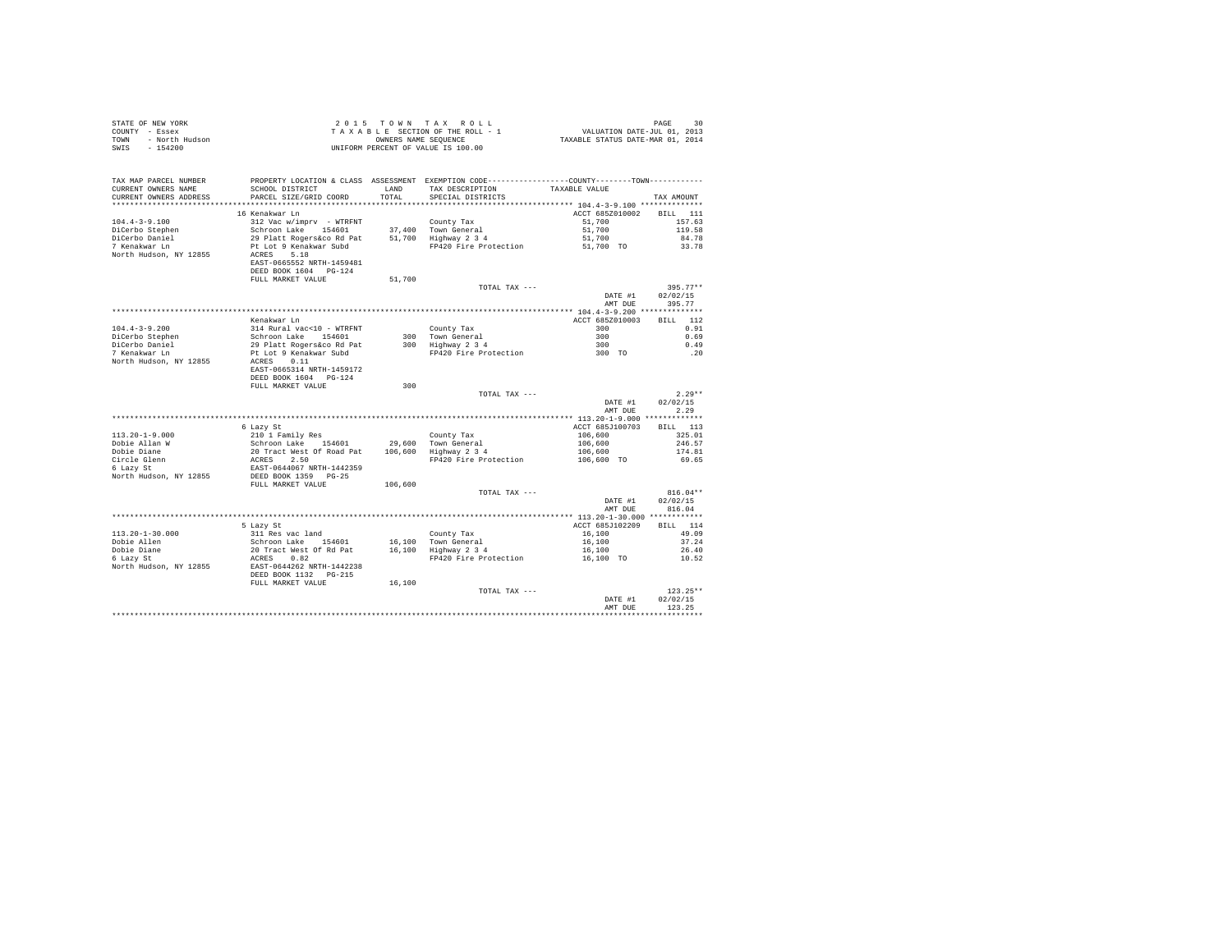|      | STATE OF NEW YORK | 2015 TOWN TAX ROLL                 | 30<br>PAGE                       |
|------|-------------------|------------------------------------|----------------------------------|
|      | COUNTY - Essex    | TAXABLE SECTION OF THE ROLL - 1    | VALUATION DATE-JUL 01, 2013      |
| TOWN | - North Hudson    | OWNERS NAME SEOUENCE               | TAXABLE STATUS DATE-MAR 01, 2014 |
| SWIS | - 154200          | UNIFORM PERCENT OF VALUE IS 100.00 |                                  |

| TAX MAP PARCEL NUMBER<br>CURRENT OWNERS NAME<br>CURRENT OWNERS ADDRESS    | PROPERTY LOCATION & CLASS ASSESSMENT EXEMPTION CODE----------------COUNTY--------TOWN----------<br>SCHOOL DISTRICT<br>PARCEL SIZE/GRID COORD           | LAND<br>TOTAL. | TAX DESCRIPTION<br>SPECIAL DISTRICTS                                               | TAXABLE VALUE                                                       | TAX AMOUNT                         |
|---------------------------------------------------------------------------|--------------------------------------------------------------------------------------------------------------------------------------------------------|----------------|------------------------------------------------------------------------------------|---------------------------------------------------------------------|------------------------------------|
| **********************                                                    |                                                                                                                                                        |                |                                                                                    |                                                                     |                                    |
| $104.4 - 3 - 9.100$<br>DiCerbo Stephen<br>DiCerbo Daniel<br>7 Kenakwar Ln | 16 Kenakwar Ln<br>312 Vac w/imprv - WTRFNT<br>Siz vac wynmprv – wikrwi<br>Schroon Lake – 154601<br>29 Platt Rogers&co Rd Pat<br>Pt Lot 9 Kenakwar Subd |                | County Tax<br>37,400 Town General<br>51,700 Highway 2 3 4<br>FP420 Fire Protection | ACCT 685Z010002 BILL 111<br>51,700<br>51,700<br>51,700<br>51,700 TO | 157.63<br>119.58<br>84.78<br>33.78 |
| North Hudson, NY 12855                                                    | ACRES 5.18<br>EAST-0665552 NRTH-1459481<br>DEED BOOK 1604 PG-124<br>FULL MARKET VALUE                                                                  | 51,700         | TOTAL TAX ---                                                                      | DATE #1<br>AMT DUE                                                  | $395.77**$<br>02/02/15<br>395.77   |
|                                                                           |                                                                                                                                                        |                |                                                                                    |                                                                     |                                    |
|                                                                           | Kenakwar Ln                                                                                                                                            |                |                                                                                    | ACCT 685Z010003                                                     | BTLL.<br>112                       |
| $104.4 - 3 - 9.200$                                                       |                                                                                                                                                        |                | County Tax                                                                         | 300                                                                 | 0.91                               |
| DiCerbo Stephen                                                           | 314 Rural vac<10 - WTRFNT<br>Schroon Lake 154601<br>29 Platt Rogers&co Rd Pat                                                                          |                | 300 Town General<br>300 Highway 2 3 4                                              | 300                                                                 | 0.69                               |
| DiCerbo Daniel<br>7 Kenakwar Ln                                           |                                                                                                                                                        |                |                                                                                    | 300                                                                 | 0.49                               |
| North Hudson, NY 12855                                                    | Pt Lot 9 Kenakwar Subd<br>ACRES 0.11<br>EAST-0665314 NRTH-1459172<br>DEED BOOK 1604 PG-124                                                             |                | FP420 Fire Protection 300 TO                                                       |                                                                     | $\ldots$ 20                        |
|                                                                           | FULL MARKET VALUE                                                                                                                                      | 300            |                                                                                    |                                                                     |                                    |
|                                                                           |                                                                                                                                                        |                | TOTAL TAX ---                                                                      |                                                                     | $2.29**$                           |
|                                                                           |                                                                                                                                                        |                |                                                                                    | DATE #1                                                             | 02/02/15                           |
|                                                                           |                                                                                                                                                        |                |                                                                                    | AMT DUE                                                             | 2.29                               |
|                                                                           |                                                                                                                                                        |                |                                                                                    |                                                                     |                                    |
|                                                                           | 6 Lazy St                                                                                                                                              |                |                                                                                    | ACCT 685J100703                                                     | BILL 113                           |
| $113.20 - 1 - 9.000$                                                      | 210 1 Family Res                                                                                                                                       |                | County Tax                                                                         | 106,600<br>106,600<br>106,600                                       | 325.01                             |
| Dobie Allan W                                                             |                                                                                                                                                        |                | 29,600 Town General<br>106,600 Highway 2 3 4                                       |                                                                     | 246.57                             |
| Dobie Diane                                                               |                                                                                                                                                        |                |                                                                                    |                                                                     | 174.81                             |
| Circle Glenn                                                              | 210 1 maily Res 154601<br>20 Tract West of Road Pat<br>RCRES 2.50<br>ERST-0644067 NRTH-1442359<br>DEED BOOK 1359 PG-25                                 |                | FP420 Fire Protection                                                              | 106,600 TO                                                          | 69.65                              |
| 6 Lazy St<br>North Hudson, NY 12855                                       |                                                                                                                                                        |                |                                                                                    |                                                                     |                                    |
|                                                                           | FULL MARKET VALUE                                                                                                                                      | 106,600        |                                                                                    |                                                                     |                                    |
|                                                                           |                                                                                                                                                        |                | TOTAL TAX ---                                                                      |                                                                     | $816.04**$                         |
|                                                                           |                                                                                                                                                        |                |                                                                                    | DATE #1                                                             | 02/02/15                           |
|                                                                           |                                                                                                                                                        |                |                                                                                    | AMT DUE                                                             | 816.04                             |
|                                                                           |                                                                                                                                                        |                |                                                                                    |                                                                     |                                    |
|                                                                           | 5 Lazy St                                                                                                                                              |                |                                                                                    | ACCT 685J102209                                                     | RTLL 114                           |
| $113.20 - 1 - 30.000$                                                     | 311 Res vac land                                                                                                                                       |                | County Tax                                                                         | 16,100                                                              | 49.09                              |
| Dobie Allen                                                               |                                                                                                                                                        |                |                                                                                    | 16,100                                                              | 37.24                              |
| Dobie Diane<br>6 Lazy St                                                  | Schroon Lake 154601 16,100 Town General<br>20 Tract West Of Rd Pat 16,100 Highway 234<br>ACRES 0.82                                                    |                |                                                                                    | 16,100                                                              | 26.40                              |
| 6 Lazy St<br>North Hudson, NY 12855                                       | EAST-0644262 NRTH-1442238<br>DEED BOOK 1132 PG-215                                                                                                     |                | FP420 Fire Protection                                                              | 16,100 TO                                                           | 10.52                              |
|                                                                           | FULL MARKET VALUE                                                                                                                                      | 16,100         |                                                                                    |                                                                     |                                    |
|                                                                           |                                                                                                                                                        |                | TOTAL TAX ---                                                                      | DATE #1<br>AMT DUE                                                  | $123.25**$<br>02/02/15<br>123.25   |
|                                                                           |                                                                                                                                                        |                |                                                                                    |                                                                     |                                    |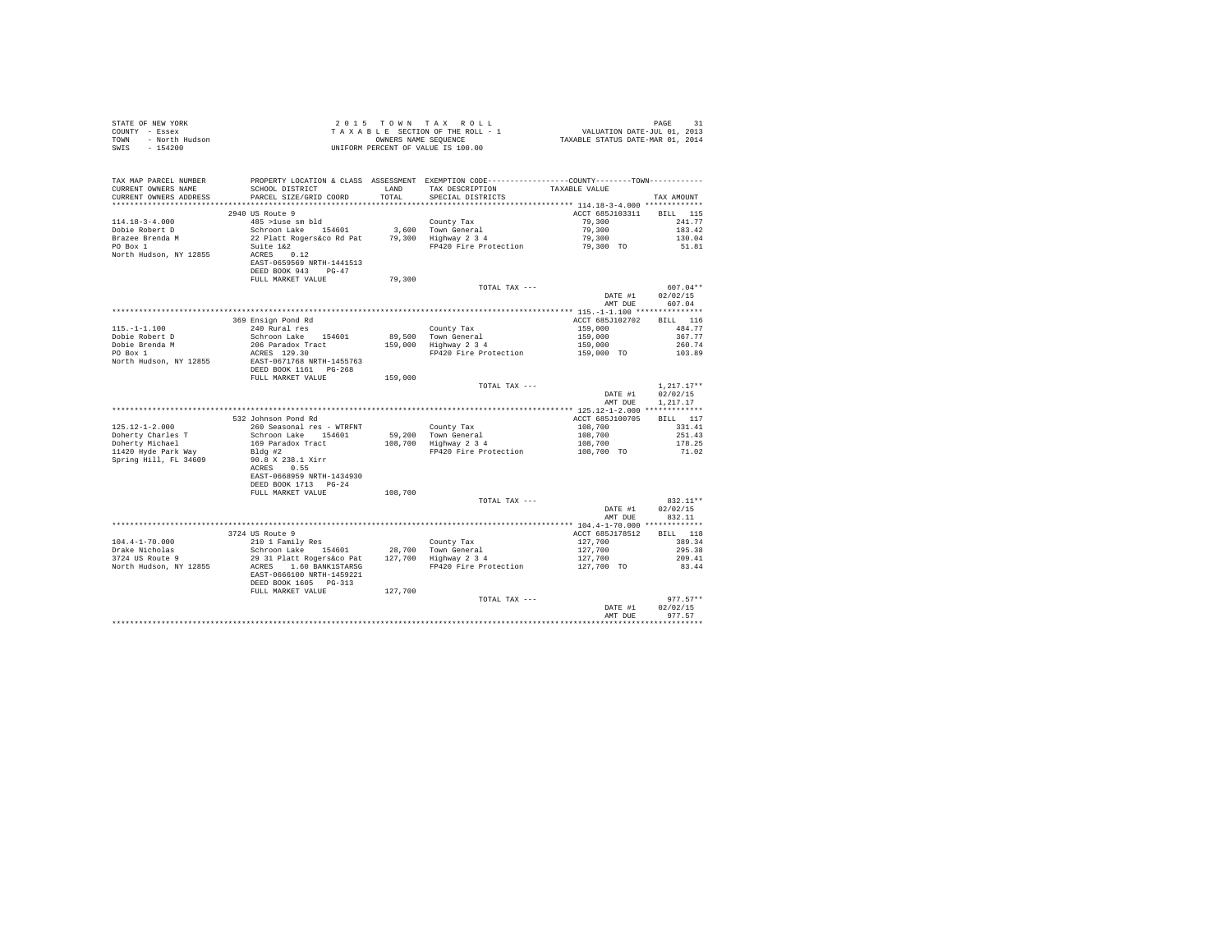| STATE OF NEW YORK<br>COUNTY - Essex<br>TOWN - North Hudson<br>- TARA               |                                                                                                                                                                                                                                           |         | UNIFORM PERCENT OF VALUE IS 100.00                                                                                                   |                                                     |                                |
|------------------------------------------------------------------------------------|-------------------------------------------------------------------------------------------------------------------------------------------------------------------------------------------------------------------------------------------|---------|--------------------------------------------------------------------------------------------------------------------------------------|-----------------------------------------------------|--------------------------------|
| TAX MAP PARCEL NUMBER                                                              | PROPERTY LOCATION & CLASS ASSESSMENT EXEMPTION CODE----------------COUNTY--------TOWN----------                                                                                                                                           |         |                                                                                                                                      |                                                     |                                |
| CURRENT OWNERS NAME<br>CURRENT OWNERS ADDRESS                                      | SCHOOL DISTRICT LAND<br>PARCEL SIZE/GRID COORD                                                                                                                                                                                            | TOTAL   | TAX DESCRIPTION<br>SPECIAL DISTRICTS                                                                                                 | TAXABLE VALUE                                       | TAX AMOUNT                     |
|                                                                                    |                                                                                                                                                                                                                                           |         |                                                                                                                                      |                                                     |                                |
|                                                                                    | 2940 US Route 9                                                                                                                                                                                                                           |         |                                                                                                                                      | ACCT 685J103311 BILL 115                            |                                |
| $114.18 - 3 - 4.000$                                                               | 485 >luse sm bld                                                                                                                                                                                                                          |         | County Tax                                                                                                                           | 79,300                                              | 241.77                         |
| Dobie Robert D                                                                     |                                                                                                                                                                                                                                           |         |                                                                                                                                      | 79,300<br>79,300                                    | 183.42                         |
| Brazee Brenda M<br>PO Box 1                                                        | control and the second of the country is the control of the control of the control of the control of the second<br>22 Platt Rogers&co Rd Pat 79,300 Highway 2.34<br>Suite 1&2                                                             |         |                                                                                                                                      |                                                     | 130.04                         |
| PO Box 1 Suite 1&2<br>North Hudson, NY 12855 ACRES 0.12                            |                                                                                                                                                                                                                                           |         | FP420 Fire Protection 79,300 TO 51.81                                                                                                |                                                     |                                |
|                                                                                    | EAST-0659569 NRTH-1441513<br>DEED BOOK 943 PG-47                                                                                                                                                                                          |         |                                                                                                                                      |                                                     |                                |
|                                                                                    | FULL MARKET VALUE                                                                                                                                                                                                                         | 79,300  |                                                                                                                                      |                                                     |                                |
|                                                                                    |                                                                                                                                                                                                                                           |         | TOTAL TAX ---                                                                                                                        |                                                     | $607.04**$                     |
|                                                                                    |                                                                                                                                                                                                                                           |         |                                                                                                                                      | DATE #1<br>AMT DUE                                  | 02/02/15<br>607.04             |
|                                                                                    |                                                                                                                                                                                                                                           |         |                                                                                                                                      |                                                     |                                |
|                                                                                    | 369 Ensign Pond Rd                                                                                                                                                                                                                        |         |                                                                                                                                      | ACCT 685J102702 BILL 116                            |                                |
| $115. - 1 - 1.100$                                                                 | 240 Rural res<br>Schroon Lake 154601                                                                                                                                                                                                      |         | County Tax<br>89,500 Town General<br>159,000 Highway 2 3 4                                                                           | 159,000<br>159,000<br>159,000<br>159,000 TO         | 484.77                         |
| Dobie Robert D                                                                     | 206 Paradox Tract                                                                                                                                                                                                                         |         |                                                                                                                                      |                                                     | 367.77<br>260.74               |
| Dobie Brenda M<br>PO Box 1                                                         | ACRES 129.30                                                                                                                                                                                                                              |         | FP420 Fire Protection                                                                                                                |                                                     | 103.89                         |
| North Hudson, NY 12855<br>BAST-0671768<br>RETH-1455763<br>DEED BOOK 1161<br>PG-268 |                                                                                                                                                                                                                                           |         |                                                                                                                                      |                                                     |                                |
|                                                                                    | FULL MARKET VALUE                                                                                                                                                                                                                         | 159,000 |                                                                                                                                      |                                                     |                                |
|                                                                                    |                                                                                                                                                                                                                                           |         | TOTAL TAX ---                                                                                                                        | DATE #1                                             | $1,217.17**$<br>02/02/15       |
|                                                                                    |                                                                                                                                                                                                                                           |         |                                                                                                                                      | AMT DUE                                             | 1,217.17                       |
|                                                                                    | 532 Johnson Pond Rd                                                                                                                                                                                                                       |         |                                                                                                                                      | ACCT 685J100705                                     | BILL 117                       |
| $125.12 - 1 - 2.000$                                                               | 260 Seasonal res - WTRFNT                                                                                                                                                                                                                 |         |                                                                                                                                      |                                                     |                                |
| Doherty Charles T                                                                  | Schroon Lake 154601<br>169 Paradox Tract                                                                                                                                                                                                  |         |                                                                                                                                      |                                                     |                                |
| Doherty Michael                                                                    |                                                                                                                                                                                                                                           |         | County Tax<br>59,200 Town General<br>108,700 Highway 2 3 4                                                                           |                                                     |                                |
| 11420 Hyde Park Way<br>Spring Hill, FL 34609 90.8 X 238.1 Xirr                     | ACRES 0.55                                                                                                                                                                                                                                |         | County Tax 108,700<br>108,700 251.41<br>108,700 251.41<br>108,700 251.43<br>108,700 178.25<br>PP420 Fire Protection 108,700 TO 71.02 |                                                     |                                |
|                                                                                    | EAST-0668959 NRTH-1434930<br>DEED BOOK 1713 PG-24                                                                                                                                                                                         |         |                                                                                                                                      |                                                     |                                |
|                                                                                    | FULL MARKET VALUE                                                                                                                                                                                                                         | 108,700 |                                                                                                                                      |                                                     |                                |
|                                                                                    |                                                                                                                                                                                                                                           |         | TOTAL TAX ---                                                                                                                        | DATE #1<br>AMT DUE                                  | 832.11**<br>02/02/15<br>832.11 |
|                                                                                    |                                                                                                                                                                                                                                           |         |                                                                                                                                      |                                                     |                                |
|                                                                                    | 3724 US Route 9                                                                                                                                                                                                                           |         |                                                                                                                                      | ACCT 685J178512                                     | BILL 118                       |
|                                                                                    | 210 1 Family Res                                                                                                                                                                                                                          |         |                                                                                                                                      | $127,700$<br>$127,700$<br>$127,700$<br>$127,700$ TO | 389.34                         |
| 104.4-1-70.000<br>Drake Nicholas<br>3724 US Route 9                                |                                                                                                                                                                                                                                           |         |                                                                                                                                      |                                                     | 295.38                         |
|                                                                                    |                                                                                                                                                                                                                                           |         |                                                                                                                                      |                                                     | 209.41                         |
| North Hudson, NY 12855                                                             | 210 1 Family Res (County Tax County Tax Schroon Lake 154601 28,700 Town General<br>29 31 Platt Rogers (common 177,700 Highway 2 3 4<br>ACRES 1.60 BANK1STARSG PP420 Fire Protection<br>EAST-0666100 NRTH-1459221<br>DEED BOOK 1605 PG-313 |         |                                                                                                                                      |                                                     | 83.44                          |
|                                                                                    | FULL MARKET VALUE                                                                                                                                                                                                                         | 127,700 |                                                                                                                                      |                                                     |                                |
|                                                                                    |                                                                                                                                                                                                                                           |         | TOTAL TAX ---                                                                                                                        |                                                     | $977.57**$                     |
|                                                                                    |                                                                                                                                                                                                                                           |         |                                                                                                                                      | DATE #1                                             | 02/02/15                       |
|                                                                                    |                                                                                                                                                                                                                                           |         |                                                                                                                                      | AMT DUE                                             | 977.57                         |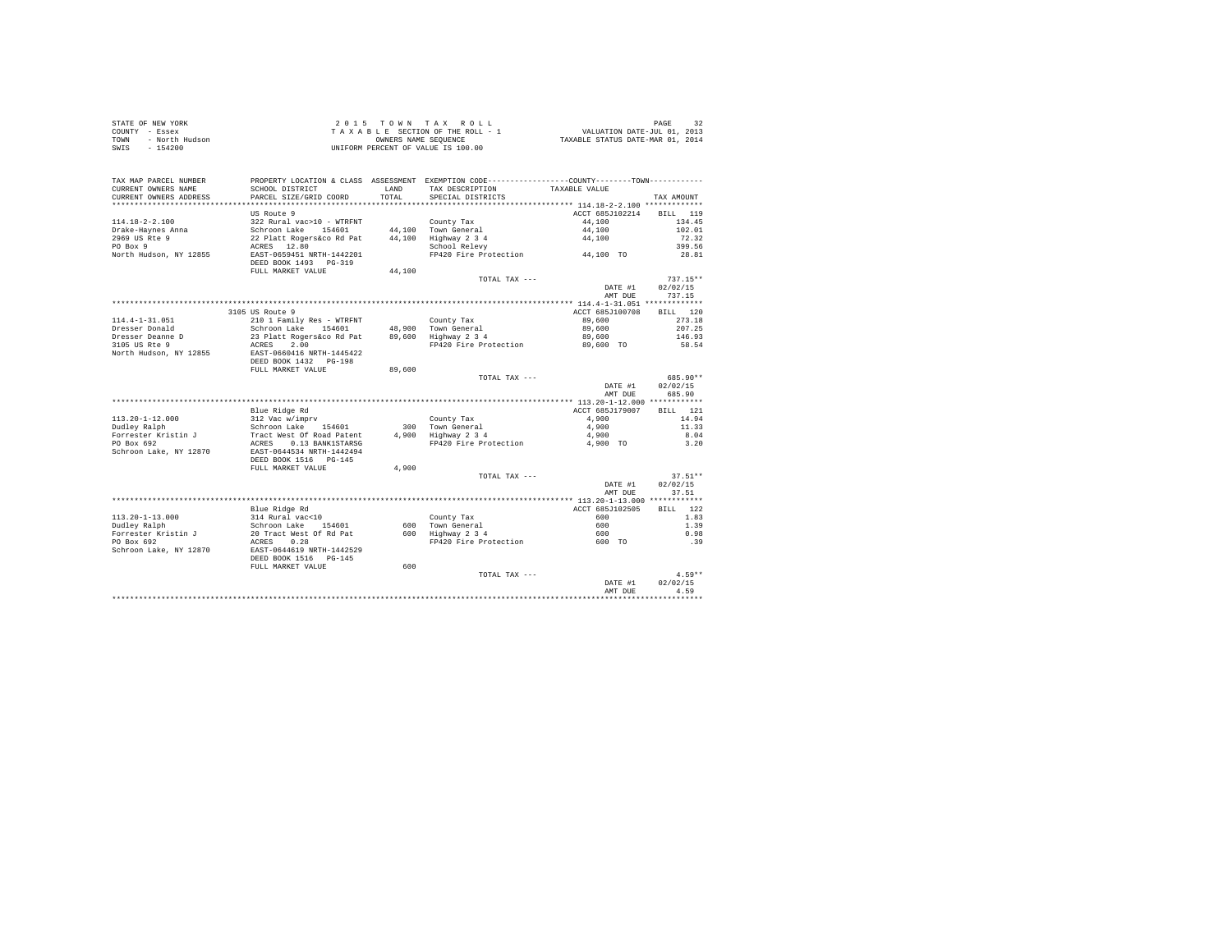| STATE OF NEW YORK      | 2015 TOWN TAX ROLL                 | 32<br>PAGE                       |
|------------------------|------------------------------------|----------------------------------|
| COUNTY - Essex         | TAXABLE SECTION OF THE ROLL - 1    | VALUATION DATE-JUL 01, 2013      |
| - North Hudson<br>TOWN | OWNERS NAME SEOUENCE               | TAXABLE STATUS DATE-MAR 01, 2014 |
| SWIS<br>$-154200$      | UNIFORM PERCENT OF VALUE IS 100.00 |                                  |

|                                                             |                                                                                                                   |        |                                             | AMT DUE                       | 4.59                               |
|-------------------------------------------------------------|-------------------------------------------------------------------------------------------------------------------|--------|---------------------------------------------|-------------------------------|------------------------------------|
|                                                             | FULL MARKET VALUE                                                                                                 | 600    | TOTAL TAX ---                               | DATE #1                       | $4.59**$<br>02/02/15               |
| Forrester Kristin J<br>PO Box 692<br>Schroon Lake, NY 12870 | 20 Tract West Of Rd Pat<br>ACRES<br>0.28<br>EAST-0644619 NRTH-1442529<br>DEED BOOK 1516 PG-145                    |        | 600 Highway 2 3 4<br>FP420 Fire Protection  | 600<br>600 TO                 | 0.98<br>.39                        |
| $113.20 - 1 - 13.000$<br>Dudley Ralph                       | Blue Ridge Rd<br>314 Rural vac<10<br>Schroon Lake<br>154601                                                       |        | County Tax<br>600 Town General              | ACCT 685J102505<br>600<br>600 | 122<br><b>BILL</b><br>1.83<br>1.39 |
|                                                             |                                                                                                                   |        |                                             | AMT DUE                       | 37.51                              |
|                                                             |                                                                                                                   |        |                                             | DATE #1                       | 02/02/15                           |
| Schroon Lake, NY 12870                                      | EAST-0644534 NRTH-1442494<br>DEED BOOK 1516 PG-145<br>FULL MARKET VALUE                                           | 4,900  | TOTAL TAX ---                               |                               | $37.51**$                          |
| Forrester Kristin J<br>PO Box 692                           | Tract West Of Road Patent<br>ACRES<br>0.13 BANK1STARSG                                                            | 4,900  | Highway 2 3 4<br>FP420 Fire Protection      | 4,900<br>4,900 TO             | 8.04<br>3.20                       |
| $113.20 - 1 - 12.000$<br>Dudley Ralph                       | 312 Vac w/imprv<br>Schroon Lake<br>154601                                                                         | 300    | County Tax<br>Town General                  | 4,900<br>4,900                | 14.94<br>11.33                     |
|                                                             | Blue Ridge Rd                                                                                                     |        |                                             | ACCT 685J179007               | BILL 121                           |
|                                                             |                                                                                                                   |        |                                             | DATE #1<br>AMT DUE            | 02/02/15<br>685.90                 |
|                                                             | DEED BOOK 1432 PG-198<br>FULL MARKET VALUE                                                                        | 89,600 | TOTAL TAX ---                               |                               | 685.90**                           |
| 3105 US Rte 9<br>North Hudson, NY 12855                     | ACRES<br>2.00<br>EAST-0660416 NRTH-1445422                                                                        |        | FP420 Fire Protection                       | 89,600 TO                     | 58.54                              |
| Dresser Donald<br>Dresser Deanne D                          | Schroon Lake 154601<br>23 Platt Rogers&co Rd Pat                                                                  | 89,600 | 48.900 Town General<br>Highway 2 3 4        | 89,600<br>89,600              | 207.25<br>146.93                   |
| $114.4 - 1 - 31.051$                                        | 3105 US Route 9<br>210 1 Family Res - WTRFNT                                                                      |        | County Tax                                  | ACCT 685J100708<br>89,600     | RTT.T.<br>120<br>273.18            |
|                                                             |                                                                                                                   |        |                                             | AMT DUE                       | 737.15                             |
|                                                             |                                                                                                                   |        | TOTAL TAX ---                               | DATE #1                       | $737.15**$<br>02/02/15             |
| PO Box 9<br>North Hudson, NY 12855                          | ACRES 12.80<br>EAST-0659451 NRTH-1442201<br>DEED BOOK 1493 PG-319<br>FULL MARKET VALUE                            | 44,100 | School Relevy<br>FP420 Fire Protection      | 44,100 TO                     | 399.56<br>28.81                    |
| Drake-Havnes Anna<br>2969 US Rte 9                          | Schroon Lake 154601<br>22 Platt Rogers&co Rd Pat                                                                  |        | 44.100 Town General<br>44,100 Highway 2 3 4 | 44,100<br>44,100              | 102.01<br>72.32                    |
| $114.18 - 2 - 2.100$                                        | US Route 9<br>322 Rural vac>10 - WTRFNT                                                                           |        | County Tax                                  | ACCT 685J102214<br>44,100     | <b>BILL</b><br>119<br>134.45       |
| CURRENT OWNERS ADDRESS<br>**************************        | PARCEL SIZE/GRID COORD                                                                                            | TOTAL  | SPECIAL DISTRICTS                           |                               | TAX AMOUNT                         |
| TAX MAP PARCEL NUMBER<br>CURRENT OWNERS NAME                | PROPERTY LOCATION & CLASS ASSESSMENT EXEMPTION CODE----------------COUNTY-------TOWN----------<br>SCHOOL DISTRICT | LAND   | TAX DESCRIPTION                             | TAXABLE VALUE                 |                                    |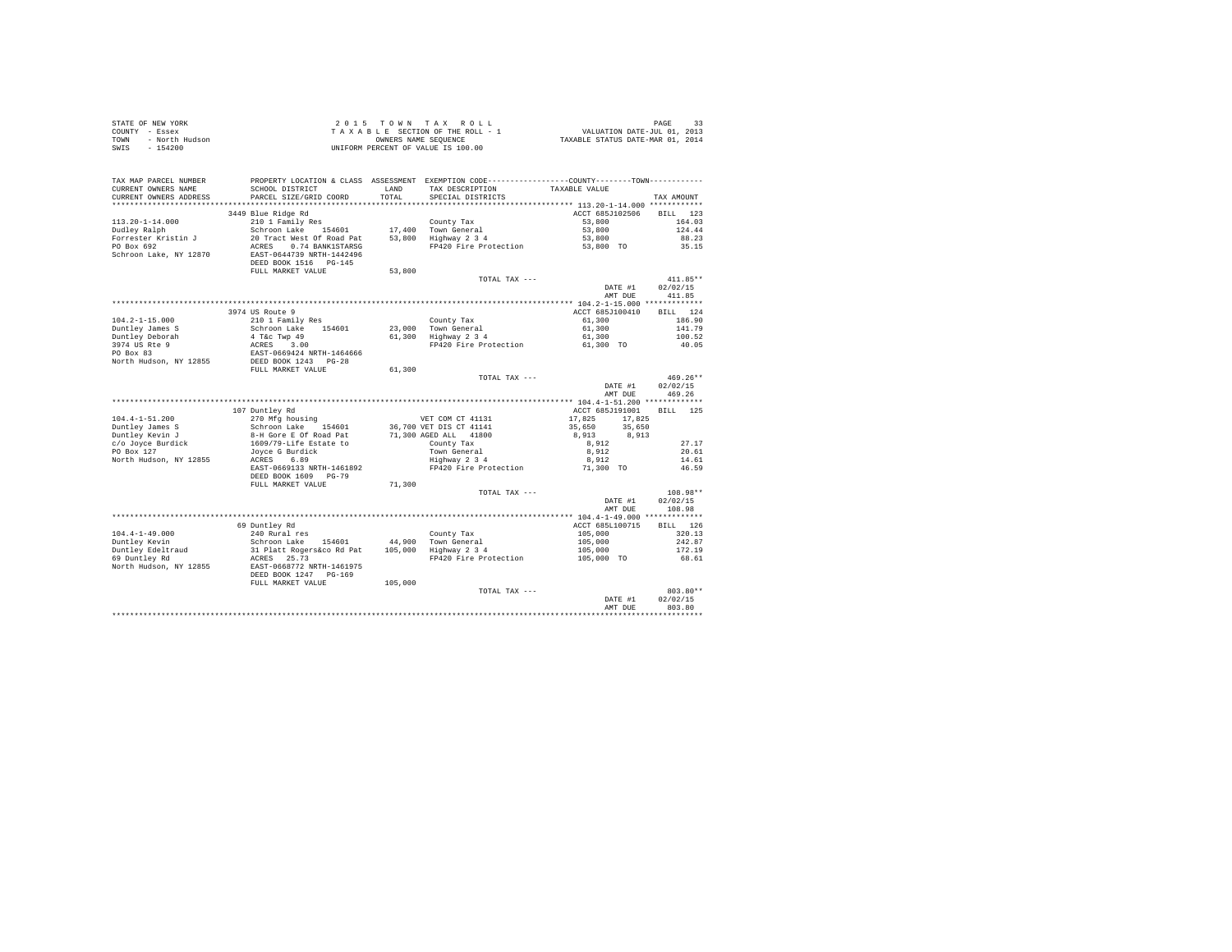| STATE OF REW YORK AND TRIAL AS A BASIC SECTION OF THE ROLL - 1<br>TOWN - North Hudson<br>TRIAL A BASIC SECTION OF THE ROLL - 1<br>TOWN - North Hudson<br>A CAPARE CENT OF VALUE IS 100.00 |                                                                                                                                                                                                            |         |                                                           | PAGE 33<br>VALUATION DATE-JUL 01, 2013<br>TAXABLE STATUS DATE-MAR 01, 2014 |            |
|-------------------------------------------------------------------------------------------------------------------------------------------------------------------------------------------|------------------------------------------------------------------------------------------------------------------------------------------------------------------------------------------------------------|---------|-----------------------------------------------------------|----------------------------------------------------------------------------|------------|
|                                                                                                                                                                                           |                                                                                                                                                                                                            |         |                                                           |                                                                            |            |
|                                                                                                                                                                                           |                                                                                                                                                                                                            |         |                                                           |                                                                            |            |
|                                                                                                                                                                                           |                                                                                                                                                                                                            |         |                                                           |                                                                            |            |
|                                                                                                                                                                                           |                                                                                                                                                                                                            |         |                                                           |                                                                            |            |
|                                                                                                                                                                                           |                                                                                                                                                                                                            |         |                                                           |                                                                            |            |
| TAX MAP PARCEL NUMBER                                                                                                                                                                     | PROPERTY LOCATION & CLASS ASSESSMENT EXEMPTION CODE----------------COUNTY-------TOWN----------                                                                                                             |         |                                                           |                                                                            |            |
| CURRENT OWNERS NAME                                                                                                                                                                       | SCHOOL DISTRICT                                                                                                                                                                                            |         | LAND TAX DESCRIPTION                                      | TAXABLE VALUE                                                              |            |
| CURRENT OWNERS ADDRESS                                                                                                                                                                    | PARCEL SIZE/GRID COORD                                                                                                                                                                                     | TOTAL   | SPECIAL DISTRICTS                                         |                                                                            | TAX AMOUNT |
|                                                                                                                                                                                           |                                                                                                                                                                                                            |         |                                                           |                                                                            |            |
|                                                                                                                                                                                           | 3449 Blue Ridge Rd                                                                                                                                                                                         |         |                                                           | ACCT 685J102506                                                            | BILL 123   |
| $113.20 - 1 - 14.000$                                                                                                                                                                     | 210 1 Family Res<br>210 1 Family Res (2011)<br>Schroon Lake 154601 17,400 Town General<br>20 Tract West Of Road Pat 53,800 Highway 2 3 4                                                                   |         |                                                           | 53,800                                                                     | 164.03     |
| Dudley Ralph                                                                                                                                                                              |                                                                                                                                                                                                            |         |                                                           | 53,800                                                                     | 124.44     |
| Forrester Kristin J                                                                                                                                                                       | 20 Tract West Of Road Pat                                                                                                                                                                                  |         |                                                           | 53,800                                                                     | 88.23      |
| PO Box 692                                                                                                                                                                                | ACRES 0.74 BANK1STARSG                                                                                                                                                                                     |         | FP420 Fire Protection 53,800 TO                           |                                                                            | 35.15      |
| Schroon Lake, NY 12870                                                                                                                                                                    | EAST-0644739 NRTH-1442496                                                                                                                                                                                  |         |                                                           |                                                                            |            |
|                                                                                                                                                                                           | DEED BOOK 1516    PG-145                                                                                                                                                                                   |         |                                                           |                                                                            |            |
|                                                                                                                                                                                           | FULL MARKET VALUE                                                                                                                                                                                          |         |                                                           |                                                                            |            |
|                                                                                                                                                                                           |                                                                                                                                                                                                            | 53,800  |                                                           |                                                                            |            |
|                                                                                                                                                                                           |                                                                                                                                                                                                            |         | TOTAL TAX ---                                             |                                                                            | $411.85**$ |
|                                                                                                                                                                                           |                                                                                                                                                                                                            |         |                                                           | DATE #1                                                                    | 02/02/15   |
|                                                                                                                                                                                           |                                                                                                                                                                                                            |         |                                                           | AMT DUE                                                                    | 411.85     |
|                                                                                                                                                                                           |                                                                                                                                                                                                            |         |                                                           |                                                                            |            |
|                                                                                                                                                                                           | 3974 US Route 9                                                                                                                                                                                            |         |                                                           | ACCT 685J100410                                                            | BILL 124   |
| $104.2 - 1 - 15.000$                                                                                                                                                                      | 210 1 Family Res                                                                                                                                                                                           |         | County Tax<br>23,000 Town General<br>61,300 Highway 2 3 4 | 61,300                                                                     | 186.90     |
|                                                                                                                                                                                           | Schroon Lake 154601                                                                                                                                                                                        |         |                                                           | 61,300                                                                     | 141.79     |
| Duntley James S<br>Duntley Deborah<br>3974 US Rte 9<br>PO Box 83                                                                                                                          | 2011 1001 1011 102<br>4 T&C Twp 49<br>ACRES 3.00<br>EAST-0669424 NRTH-1464666                                                                                                                              |         |                                                           | 61,300<br>61,300 TO                                                        | 100.52     |
|                                                                                                                                                                                           |                                                                                                                                                                                                            |         | FP420 Fire Protection                                     |                                                                            | 40.05      |
|                                                                                                                                                                                           |                                                                                                                                                                                                            |         |                                                           |                                                                            |            |
|                                                                                                                                                                                           |                                                                                                                                                                                                            |         |                                                           |                                                                            |            |
|                                                                                                                                                                                           |                                                                                                                                                                                                            |         |                                                           |                                                                            |            |
|                                                                                                                                                                                           |                                                                                                                                                                                                            |         |                                                           |                                                                            |            |
| North Hudson, NY 12855<br>FULL MARKET VALUE                                                                                                                                               |                                                                                                                                                                                                            | 61,300  | TOTAL TAX ---                                             |                                                                            | $469.26**$ |
|                                                                                                                                                                                           |                                                                                                                                                                                                            |         |                                                           | DATE #1                                                                    | 02/02/15   |
|                                                                                                                                                                                           |                                                                                                                                                                                                            |         |                                                           | AMT DUE                                                                    | 469.26     |
|                                                                                                                                                                                           |                                                                                                                                                                                                            |         |                                                           |                                                                            |            |
|                                                                                                                                                                                           |                                                                                                                                                                                                            |         |                                                           | ACCT 685J191001 BILL 125                                                   |            |
|                                                                                                                                                                                           | 107 Duntley Rd                                                                                                                                                                                             |         |                                                           |                                                                            |            |
| $104.4 - 1 - 51.200$                                                                                                                                                                      | 107 Duntley Rd<br>270 Mfg housing the state of VET COM CT 41131                                                                                                                                            |         |                                                           | 17,825 17,825                                                              |            |
| Duntley James S                                                                                                                                                                           |                                                                                                                                                                                                            |         |                                                           |                                                                            |            |
|                                                                                                                                                                                           |                                                                                                                                                                                                            |         |                                                           | 35,650 35,650<br>8,913 8,913                                               |            |
| Duntley Kevin J<br>c/o Joyce Burdick                                                                                                                                                      |                                                                                                                                                                                                            |         |                                                           | 8,912                                                                      | 27.17      |
| PO Box 127                                                                                                                                                                                |                                                                                                                                                                                                            |         |                                                           | 8,912                                                                      | 20.61      |
| North Hudson, NY 12855                                                                                                                                                                    | common Lake 154601 36,700 ver bis cr 41141<br>8-H Gore E of Road Pat 71,300 AGED ALL 41800<br>1609/79-Life Estate to County Tax<br>Joyce G Burdick<br>ACRES 6.89 Town General<br>ACRES 6.89 Town Center 24 |         |                                                           | 8,912                                                                      | 14.61      |
|                                                                                                                                                                                           | EAST-0669133 NRTH-1461892                                                                                                                                                                                  |         | FP420 Fire Protection 71,300 TO                           |                                                                            | 46.59      |
|                                                                                                                                                                                           | DEED BOOK 1609 PG-79                                                                                                                                                                                       |         |                                                           |                                                                            |            |
|                                                                                                                                                                                           | FULL MARKET VALUE                                                                                                                                                                                          | 71,300  |                                                           |                                                                            |            |
|                                                                                                                                                                                           |                                                                                                                                                                                                            |         | TOTAL TAX ---                                             |                                                                            | 108.98**   |
|                                                                                                                                                                                           |                                                                                                                                                                                                            |         |                                                           | DATE #1                                                                    | 02/02/15   |
|                                                                                                                                                                                           |                                                                                                                                                                                                            |         |                                                           | AMT DUE                                                                    | 108.98     |
|                                                                                                                                                                                           |                                                                                                                                                                                                            |         |                                                           |                                                                            |            |
|                                                                                                                                                                                           | 69 Duntley Rd                                                                                                                                                                                              |         |                                                           | ACCT 685L100715                                                            | BILL 126   |
| $104.4 - 1 - 49.000$                                                                                                                                                                      |                                                                                                                                                                                                            |         |                                                           |                                                                            | 320.13     |
|                                                                                                                                                                                           |                                                                                                                                                                                                            |         |                                                           |                                                                            | 242.87     |
|                                                                                                                                                                                           |                                                                                                                                                                                                            |         |                                                           |                                                                            | 172.19     |
|                                                                                                                                                                                           | ACRES 25.73                                                                                                                                                                                                |         | FP420 Fire Protection                                     |                                                                            | 68.61      |
| Duntley Kevin<br>Duntley Edeltraud<br>69 Duntley Rd<br>Dowth Win<br>North Hudson, NY 12855                                                                                                |                                                                                                                                                                                                            |         |                                                           | $105,000$<br>$105,000$<br>$105,000$<br>$105,000$ TO                        |            |
|                                                                                                                                                                                           | EAST-0668772 NRTH-1461975<br>DEED BOOK 1247 PG-169                                                                                                                                                         |         |                                                           |                                                                            |            |
|                                                                                                                                                                                           | FULL MARKET VALUE                                                                                                                                                                                          | 105,000 |                                                           |                                                                            |            |
|                                                                                                                                                                                           |                                                                                                                                                                                                            |         | TOTAL TAX ---                                             |                                                                            | $803.80**$ |
|                                                                                                                                                                                           |                                                                                                                                                                                                            |         |                                                           | DATE #1                                                                    | 02/02/15   |
|                                                                                                                                                                                           |                                                                                                                                                                                                            |         |                                                           | AMT DUE                                                                    | 803.80     |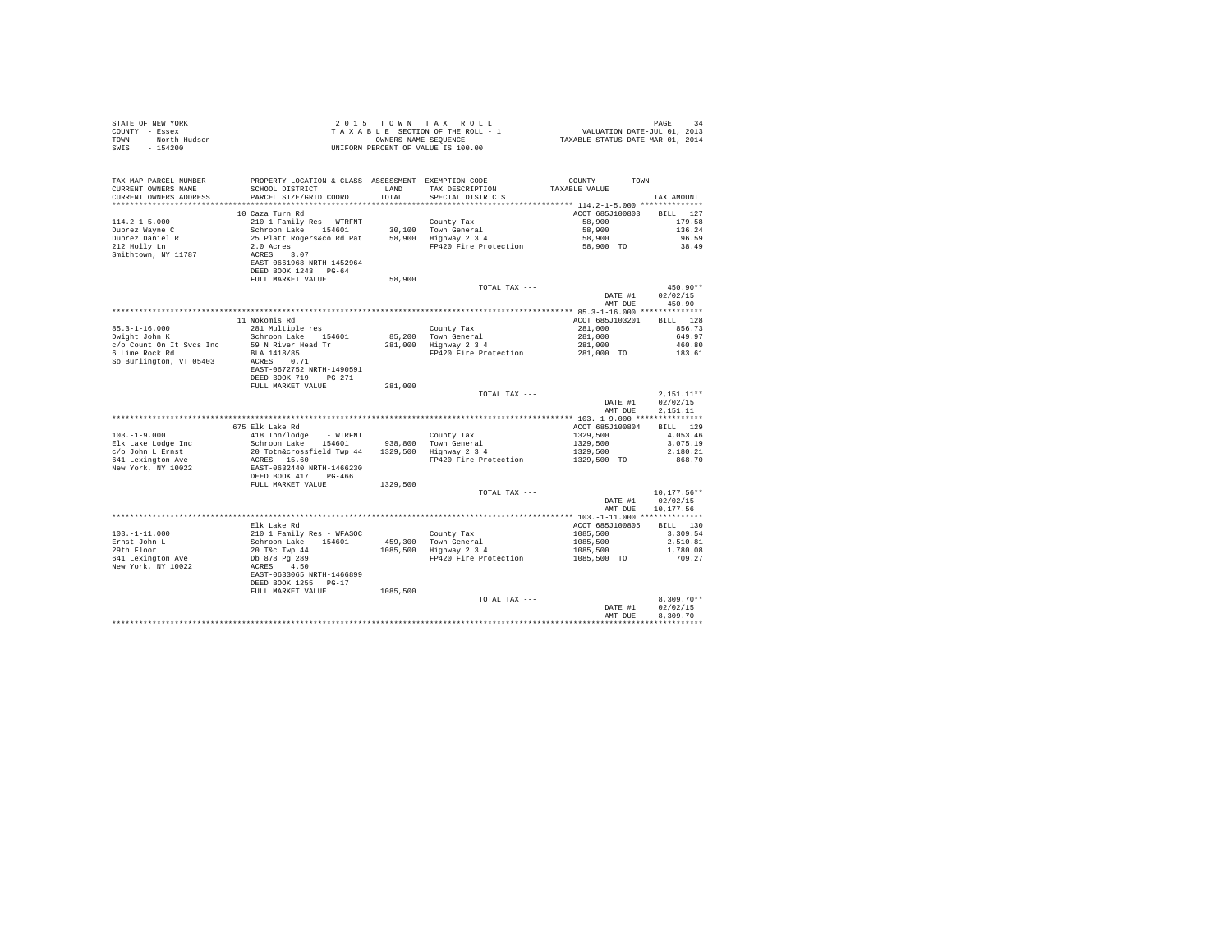| STATE OF NEW YORK<br>COUNTY - Essex<br>TOWN - North Hudson<br>SWIS - 154200                                   |                                                                                                                                                                                                                                          |               | UNIFORM PERCENT OF VALUE IS 100.00                                                    |                                                                                          |                                                                                                |
|---------------------------------------------------------------------------------------------------------------|------------------------------------------------------------------------------------------------------------------------------------------------------------------------------------------------------------------------------------------|---------------|---------------------------------------------------------------------------------------|------------------------------------------------------------------------------------------|------------------------------------------------------------------------------------------------|
| TAX MAP PARCEL NUMBER<br>CURRENT OWNERS NAME<br>CURRENT OWNERS ADDRESS<br>*************************           | PROPERTY LOCATION & CLASS ASSESSMENT EXEMPTION CODE----------------COUNTY--------TOWN----------<br>SCHOOL DISTRICT<br>PARCEL SIZE/GRID COORD                                                                                             | LAND<br>TOTAL | TAX DESCRIPTION<br>SPECIAL DISTRICTS                                                  | TAXABLE VALUE                                                                            | TAX AMOUNT                                                                                     |
| $114.2 - 1 - 5.000$<br>Duprez Wayne C<br>Duprez Daniel R<br>212 Holly Ln<br>Smithtown, NY 11787               | 10 Caza Turn Rd<br>210 1 Family Res - WTRFNT<br>Schroon Lake 154601 30,100 Town General<br>25 Flatt Rogers and Pat 58,900 Highway 234<br>2.0 Acres<br>2.0 ACRES 3.07<br>RCRES 3.07<br>EAST-0661968 NRTH-1452964<br>DEED BOOK 1243 PG-64  |               | FP420 Fire Protection 58,900 TO                                                       | ACCT 685J100803<br>58,900<br>58,900<br>58,900                                            | BILL 127<br>179.58<br>136.24<br>96.59<br>38.49                                                 |
|                                                                                                               | FULL MARKET VALUE                                                                                                                                                                                                                        | 58,900        | TOTAL TAX ---                                                                         | DATE #1<br>AMT DUE                                                                       | 450.90**<br>02/02/15<br>450.90                                                                 |
| $85.3 - 1 - 16.000$<br>Dwight John K<br>c/o Count On It Sycs Inc<br>6 Lime Rock Rd<br>So Burlington, VT 05403 | 11 Nokomis Rd<br>281 Multiple res<br>Schroon Lake 154601<br>59 N River Head Tr<br>BLA 1418/85<br>ACRES 0.71<br>EAST-0672752 NRTH-1490591<br>DEED BOOK 719 PG-271                                                                         |               | County Tax<br>85,200 Town General<br>281,000 Highway 2 3 4<br>FP420 Fire Protection   | ACCT 685J103201<br>281,000<br>281,000<br>281,000<br>281,000 TO                           | BILL 128<br>856.73<br>649.97<br>460.80<br>183.61                                               |
|                                                                                                               | FULL MARKET VALUE                                                                                                                                                                                                                        | 281,000       | TOTAL TAX ---                                                                         | DATE #1<br>AMT DUE                                                                       | $2.151.11**$<br>02/02/15<br>2.151.11                                                           |
| $103. -1 - 9.000$<br>Elk Lake Lodge Inc<br>c/o John L Ernst<br>641 Lexington Ave<br>New York, NY 10022        | 675 Elk Lake Rd<br>418 Inn/lodge - WTRFNT<br>Schroon Lake 154601 - 938,800 Town General<br>20 Totn&crossfield Twp 44 - 1329,500 - Highway 2 3 4<br>ACRES 15.60<br>EAST-0632440 NRTH-1466230<br>DEED BOOK 417 PG-466<br>FULL MARKET VALUE | 1329,500      | County Tax<br>FP420 Fire Protection<br>TOTAL TAX ---                                  | ACCT 685J100804<br>1329,500<br>1329,500<br>1329,500<br>1329,500 TO<br>DATE #1<br>AMT DUE | BILL 129<br>4,053,46<br>3,075.19<br>2,180.21<br>868.70<br>10.177.56**<br>02/02/15<br>10,177.56 |
| $103. - 1 - 11.000$<br>Ernst John L<br>29th Floor<br>641 Lexington Ave<br>New York, NY 10022                  | Elk Lake Rd<br>210 I Family Res - WFASOC<br>210 I Family Res - WFASOC<br>20 T&c Twp 44<br>20 T&c Twp 44<br>20 B878 Pg 289<br>ACRES - 4.50<br>EART-0633065 NRTH-1466899                                                                   |               | County Tax<br>459,300 Town General<br>1085,500 Highway 2 3 4<br>FP420 Fire Protection | ACCT 685J100805<br>1085,500<br>1085,500<br>1085,500<br>1085,500 TO                       | <b>BILL</b> 130<br>3,309.54<br>2,510.81<br>1,780.08<br>709.27                                  |
|                                                                                                               | DEED BOOK 1255 PG-17<br>FULL MARKET VALUE                                                                                                                                                                                                | 1085,500      | TOTAL TAX ---                                                                         | DATE #1<br>AMT DUE                                                                       | $8.309.70**$<br>02/02/15<br>8,309.70                                                           |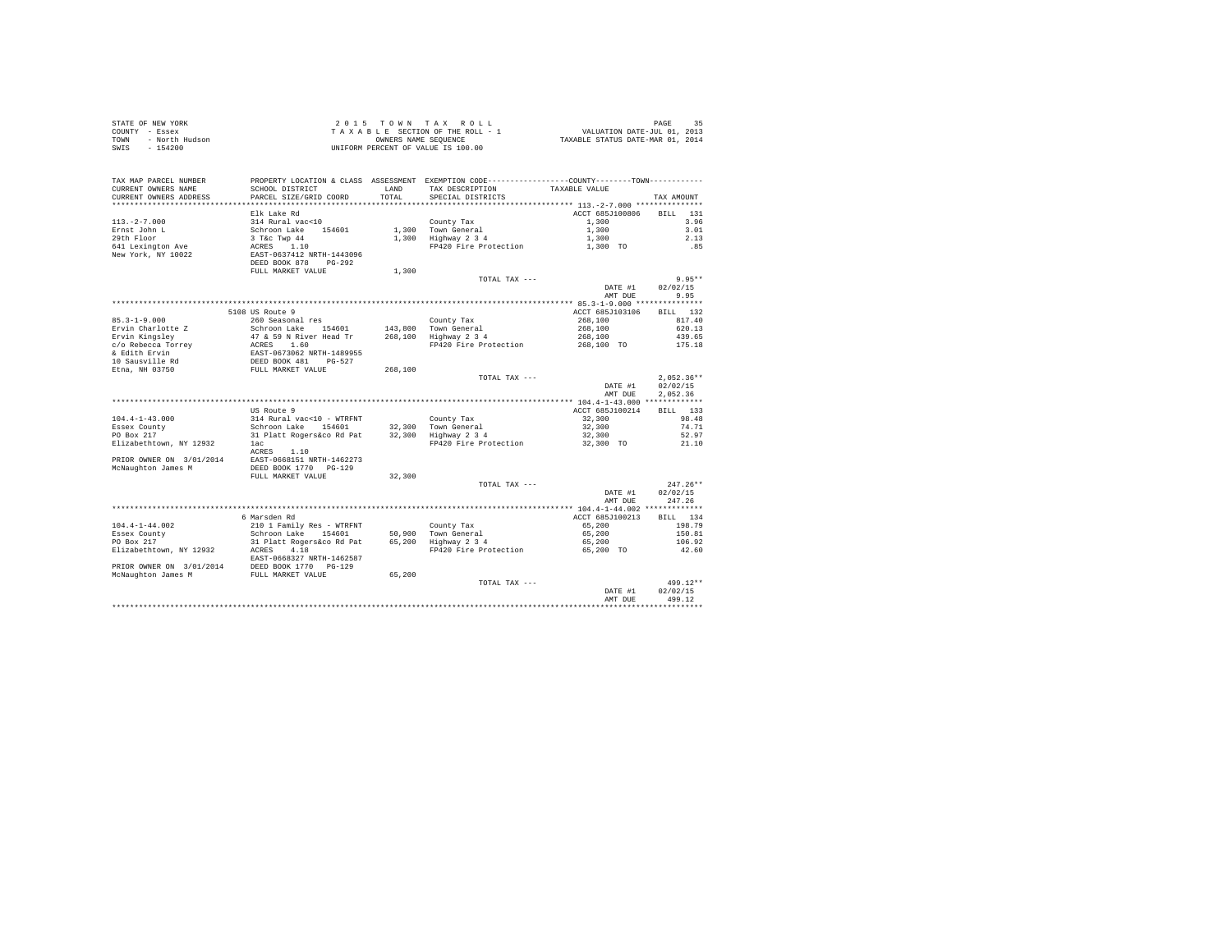| STATE OF NEW YORK      | 2015 TOWN TAX ROLL                 | 35<br>PAGE                       |
|------------------------|------------------------------------|----------------------------------|
| COUNTY - Essex         | TAXABLE SECTION OF THE ROLL - 1    | VALUATION DATE-JUL 01, 2013      |
| TOWN<br>- North Hudson | OWNERS NAME SEOUENCE               | TAXABLE STATUS DATE-MAR 01, 2014 |
| SWIS<br>$-154200$      | UNIFORM PERCENT OF VALUE IS 100.00 |                                  |

|                            |                                                                                               |         |                                             | DATE #1            | 02/02/15           |
|----------------------------|-----------------------------------------------------------------------------------------------|---------|---------------------------------------------|--------------------|--------------------|
| McNaughton James M         | FULL MARKET VALUE                                                                             | 65,200  | TOTAL TAX ---                               |                    | $499.12**$         |
| PRIOR OWNER ON 3/01/2014   | DEED BOOK 1770 PG-129                                                                         |         |                                             |                    |                    |
|                            | EAST-0668327 NRTH-1462587                                                                     |         |                                             |                    |                    |
| Elizabethtown, NY 12932    | 4.18<br>ACRES                                                                                 |         | FP420 Fire Protection                       | 65,200 TO          | 42.60              |
| Essex County<br>PO Box 217 | Schroon Lake 154601<br>31 Platt Rogers&co Rd Pat                                              |         | 50.900 Town General<br>65.200 Highway 2 3 4 | 65,200<br>65,200   | 150.81<br>106.92   |
| $104.4 - 1 - 44.002$       | 210 1 Family Res - WTRFNT                                                                     |         | County Tax                                  | 65,200             | 198.79             |
|                            | 6 Marsden Rd                                                                                  |         |                                             | ACCT 685J100213    | BILL 134           |
|                            |                                                                                               |         |                                             |                    |                    |
|                            |                                                                                               |         |                                             | AMT DUE            | 247.26             |
|                            |                                                                                               |         |                                             | DATE #1            | 02/02/15           |
|                            |                                                                                               |         | TOTAL TAX ---                               |                    | $247.26**$         |
|                            | FULL MARKET VALUE                                                                             | 32,300  |                                             |                    |                    |
| McNaughton James M         | DEED BOOK 1770 PG-129                                                                         |         |                                             |                    |                    |
| PRIOR OWNER ON 3/01/2014   | EAST-0668151 NRTH-1462273                                                                     |         |                                             |                    |                    |
|                            | 1.10<br>ACRES                                                                                 |         |                                             |                    |                    |
| Elizabethtown, NY 12932    | 1ac                                                                                           |         | FP420 Fire Protection                       | 32,300 TO          | 21.10              |
| PO Box 217                 | 31 Platt Rogers&co Rd Pat                                                                     |         | 32,300 Highway 2 3 4                        | 32,300             | 52.97              |
| Essex County               | Schroon Lake<br>154601                                                                        |         | 32,300 Town General                         | 32,300             | 74.71              |
| $104.4 - 1 - 43.000$       | 314 Rural vac<10 - WTRFNT                                                                     |         | County Tax                                  | 32,300             | 98.48              |
|                            | US Route 9                                                                                    |         |                                             | ACCT 685J100214    | BILL<br>133        |
|                            |                                                                                               |         |                                             |                    |                    |
|                            |                                                                                               |         |                                             | AMT DUE            | 2,052.36           |
|                            |                                                                                               |         |                                             | DATE #1            | 02/02/15           |
|                            |                                                                                               |         | TOTAL TAX ---                               |                    | $2,052.36**$       |
| Etna, NH 03750             | FULL MARKET VALUE                                                                             | 268,100 |                                             |                    |                    |
| 10 Sausville Rd            | DEED BOOK 481<br>$PG-527$                                                                     |         |                                             |                    |                    |
| & Edith Ervin              | ACRES 1.60<br>EAST-0673062 NRTH-1489955                                                       |         |                                             |                    |                    |
| c/o Rebecca Torrey         |                                                                                               |         | FP420 Fire Protection                       | 268,100 TO         | 175.18             |
| Ervin Kingsley             | 47 & 59 N River Head Tr                                                                       |         | 268,100 Highway 2 3 4                       | 268,100            | 439.65             |
| Ervin Charlotte Z          | Schroon Lake 154601                                                                           |         | County Tax<br>143,800 Town General          | 268,100<br>268,100 | 620.13             |
| $85.3 - 1 - 9.000$         | 5108 US Route 9<br>260 Seasonal res                                                           |         |                                             | ACCT 685J103106    | BILL 132<br>817.40 |
|                            |                                                                                               |         |                                             |                    |                    |
|                            |                                                                                               |         |                                             | AMT DUE            | 9.95               |
|                            |                                                                                               |         |                                             | DATE #1            | 02/02/15           |
|                            |                                                                                               |         | TOTAL TAX $---$                             |                    | $9.95**$           |
|                            | FULL MARKET VALUE                                                                             | 1,300   |                                             |                    |                    |
|                            | DEED BOOK 878<br>$PG-292$                                                                     |         |                                             |                    |                    |
| New York, NY 10022         | EAST-0637412 NRTH-1443096                                                                     |         |                                             |                    |                    |
| 641 Lexington Ave          | ACRES<br>1.10                                                                                 |         | FP420 Fire Protection                       | 1,300 TO           | .85                |
| 29th Floor                 | 3 T&C Twp 44                                                                                  |         | 1,300 Highway 2 3 4                         | 1,300              | 2.13               |
| Ernst John L               | Schroon Lake<br>154601                                                                        |         | 1,300 Town General                          | 1,300              | 3.01               |
| $113. - 2 - 7.000$         | 314 Rural vac<10                                                                              |         | County Tax                                  | 1,300              | 3.96               |
|                            | Elk Lake Rd                                                                                   |         |                                             | ACCT 685J100806    | <b>BILL</b><br>131 |
| ***********************    | ******************************                                                                |         |                                             |                    |                    |
| CURRENT OWNERS ADDRESS     | PARCEL SIZE/GRID COORD                                                                        | TOTAL   | SPECIAL DISTRICTS                           |                    | TAX AMOUNT         |
| CURRENT OWNERS NAME        | SCHOOL DISTRICT                                                                               | LAND    | TAX DESCRIPTION                             | TAXABLE VALUE      |                    |
| TAX MAP PARCEL NUMBER      | PROPERTY LOCATION & CLASS ASSESSMENT EXEMPTION CODE---------------COUNTY-------TOWN---------- |         |                                             |                    |                    |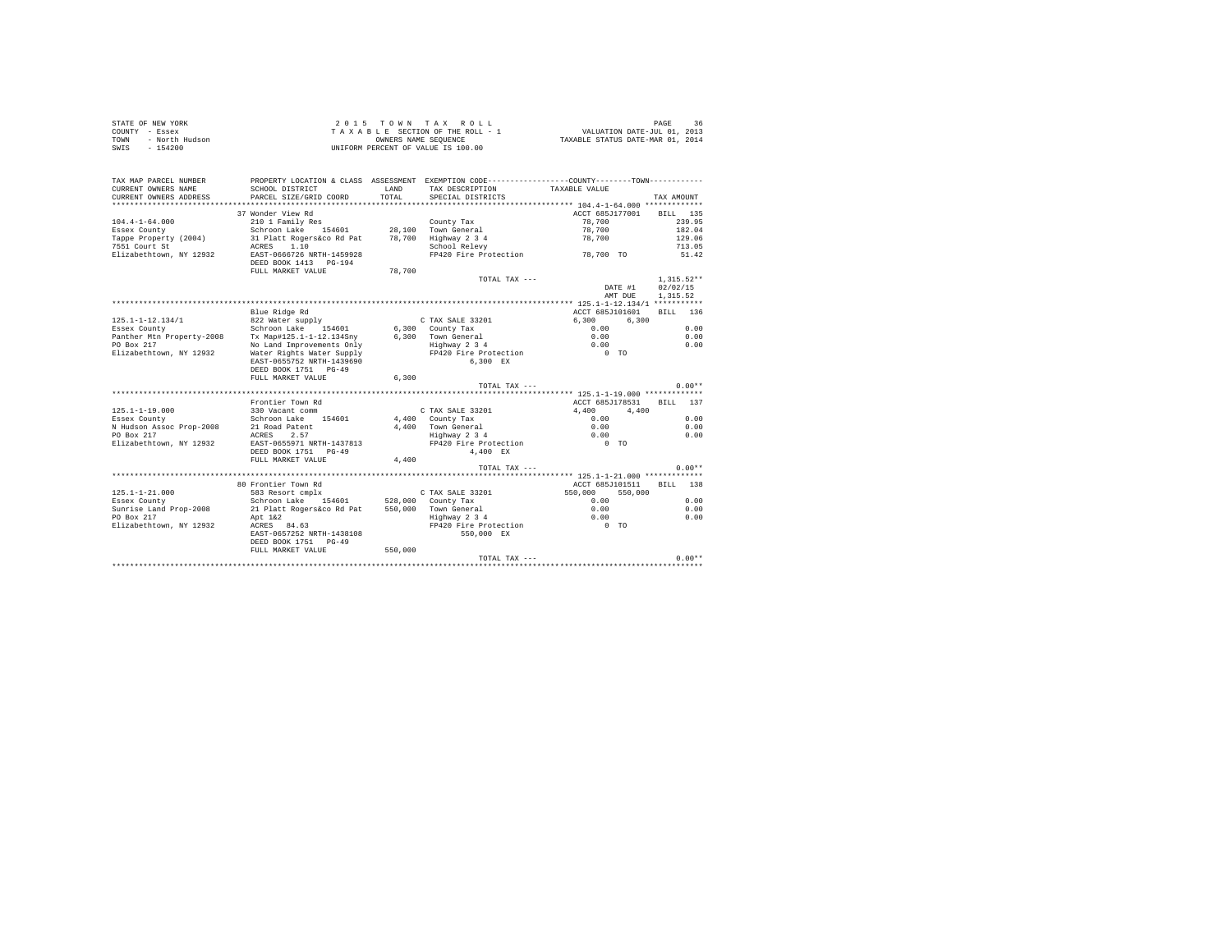|      | STATE OF NEW YORK | 2015 TOWN TAX ROLL                 | PAGE                             |  |
|------|-------------------|------------------------------------|----------------------------------|--|
|      | COUNTY - Essex    | TAXABLE SECTION OF THE ROLL - 1    | VALUATION DATE-JUL 01, 2013      |  |
| TOWN | - North Hudson    | OWNERS NAME SEOUENCE               | TAXABLE STATUS DATE-MAR 01, 2014 |  |
|      | SWIS - 154200     | UNIFORM PERCENT OF VALUE IS 100.00 |                                  |  |

| TAX MAP PARCEL NUMBER<br>CURRENT OWNERS NAME                                                              | PROPERTY LOCATION & CLASS ASSESSMENT EXEMPTION CODE---------------COUNTY-------TOWN----------<br>SCHOOL DISTRICT                                                                                                                          | T.AND<br>TOTAL | TAX DESCRIPTION                                                                                                      | TAXABLE VALUE                                                                         |                                                                           |
|-----------------------------------------------------------------------------------------------------------|-------------------------------------------------------------------------------------------------------------------------------------------------------------------------------------------------------------------------------------------|----------------|----------------------------------------------------------------------------------------------------------------------|---------------------------------------------------------------------------------------|---------------------------------------------------------------------------|
| CURRENT OWNERS ADDRESS                                                                                    | PARCEL SIZE/GRID COORD                                                                                                                                                                                                                    |                | SPECIAL DISTRICTS                                                                                                    |                                                                                       | TAX AMOUNT                                                                |
| $104.4 - 1 - 64.000$<br>Essex County<br>Tappe Property (2004)<br>7551 Court St<br>Elizabethtown, NY 12932 | 37 Wonder View Rd<br>210 1 Family Res<br>Schroon Lake 154601 28,100 Town General<br>31 Platt Rogers&co Rd Pat 78,700 Highway 2 3 4<br>ACRES 1.10 School Relevy<br>EAST-0666726 NRTH-1459928<br>DEED BOOK 1413 PG-194<br>FULL MARKET VALUE | 78,700         | County Tax<br>TOTAL TAX ---                                                                                          | ACCT 685J177001<br>78,700<br>78,700<br>78,700<br>FP420 Fire Protection 78,700 TO      | BILL 135<br>239.95<br>182.04<br>129.06<br>713.05<br>51.42<br>$1,315.52**$ |
|                                                                                                           |                                                                                                                                                                                                                                           |                |                                                                                                                      | DATE #1                                                                               | 02/02/15                                                                  |
|                                                                                                           |                                                                                                                                                                                                                                           |                |                                                                                                                      | AMT DUE                                                                               | 1,315.52                                                                  |
|                                                                                                           | Blue Ridge Rd                                                                                                                                                                                                                             |                |                                                                                                                      | ACCT 685J101601                                                                       | BILL 136                                                                  |
| 125.1-1-12.134/1<br>Essex County<br>Panther Mtn Property-2008<br>PO Box 217<br>Elizabethtown, NY 12932    | 822 Water supply<br>Schroon Lake 154601<br>SCNroon Lake 154601<br>Tx Map#125.1-1-12.134Sny<br>No Land Improvements Only<br>Water Rights Water Supply<br>EAST-0655752 NRTH-1439690<br>DEED BOOK 1751 PG-49                                 |                | C TAX SALE 33201<br>$6,300$ County Tax<br>6.300 Town General<br>Highway 2 3 4<br>FP420 Fire Protection<br>$6.300$ EX | 6.300<br>6,300<br>0.00<br>0.00<br>$\begin{matrix} 0.00 \\ 0 & \text{TO} \end{matrix}$ | 0.00<br>0.00<br>0.00                                                      |
|                                                                                                           | FULL MARKET VALUE                                                                                                                                                                                                                         | 6,300          | TOTAL TAX ---                                                                                                        |                                                                                       | $0.00**$                                                                  |
|                                                                                                           |                                                                                                                                                                                                                                           |                |                                                                                                                      |                                                                                       |                                                                           |
|                                                                                                           | Frontier Town Rd                                                                                                                                                                                                                          |                |                                                                                                                      | ACCT 685J178531 BILL 137                                                              |                                                                           |
| $125.1 - 1 - 19.000$                                                                                      | 330 Vacant comm                                                                                                                                                                                                                           |                | C TAX SALE 33201                                                                                                     | 4.400<br>4,400                                                                        |                                                                           |
| Essex County<br>N Hudson Assoc Prop-2008<br>PO Box 217<br>Elizabethtown, NY 12932                         | Schroon Lake 154601<br>21 Road Patent<br>ACRES 2.57<br>EAST-0655971 NRTH-1437813<br>DEED BOOK 1751 PG-49<br>FULL MARKET VALUE                                                                                                             | 4,400          | 4,400 County Tax<br>4,400 Town General<br>Highway 2 3 4<br>FP420 Fire Protection<br>4,400 EX                         | 0.00<br>0.00<br>$0.00$ TO                                                             | 0.00<br>0.00<br>0.00                                                      |
|                                                                                                           |                                                                                                                                                                                                                                           |                | TOTAL TAX ---                                                                                                        |                                                                                       | $0.00**$                                                                  |
|                                                                                                           |                                                                                                                                                                                                                                           |                |                                                                                                                      |                                                                                       |                                                                           |
| $125.1 - 1 - 21.000$<br>Essex County                                                                      | 80 Frontier Town Rd                                                                                                                                                                                                                       |                |                                                                                                                      | ACCT 685J101511<br>550,000<br>550,000<br>0.00                                         | BILL 138<br>0.00                                                          |
| Sunrise Land Prop-2008                                                                                    | 21 Platt Rogers&co Rd Pat 550,000 Town General                                                                                                                                                                                            |                |                                                                                                                      | 0.00                                                                                  | 0.00                                                                      |
| PO Box 217<br>Elizabethtown, NY 12932                                                                     | Apt 1&2<br>ACRES 84.63<br>EAST-0657252 NRTH-1438108<br>DEED BOOK 1751 PG-49<br>FULL MARKET VALUE 550,000                                                                                                                                  |                | Highway 2 3 4<br>FP420 Fire Protection 0 TO<br>550,000 EX                                                            | 0.00                                                                                  | 0.00                                                                      |
|                                                                                                           |                                                                                                                                                                                                                                           |                |                                                                                                                      |                                                                                       |                                                                           |
|                                                                                                           |                                                                                                                                                                                                                                           |                |                                                                                                                      |                                                                                       |                                                                           |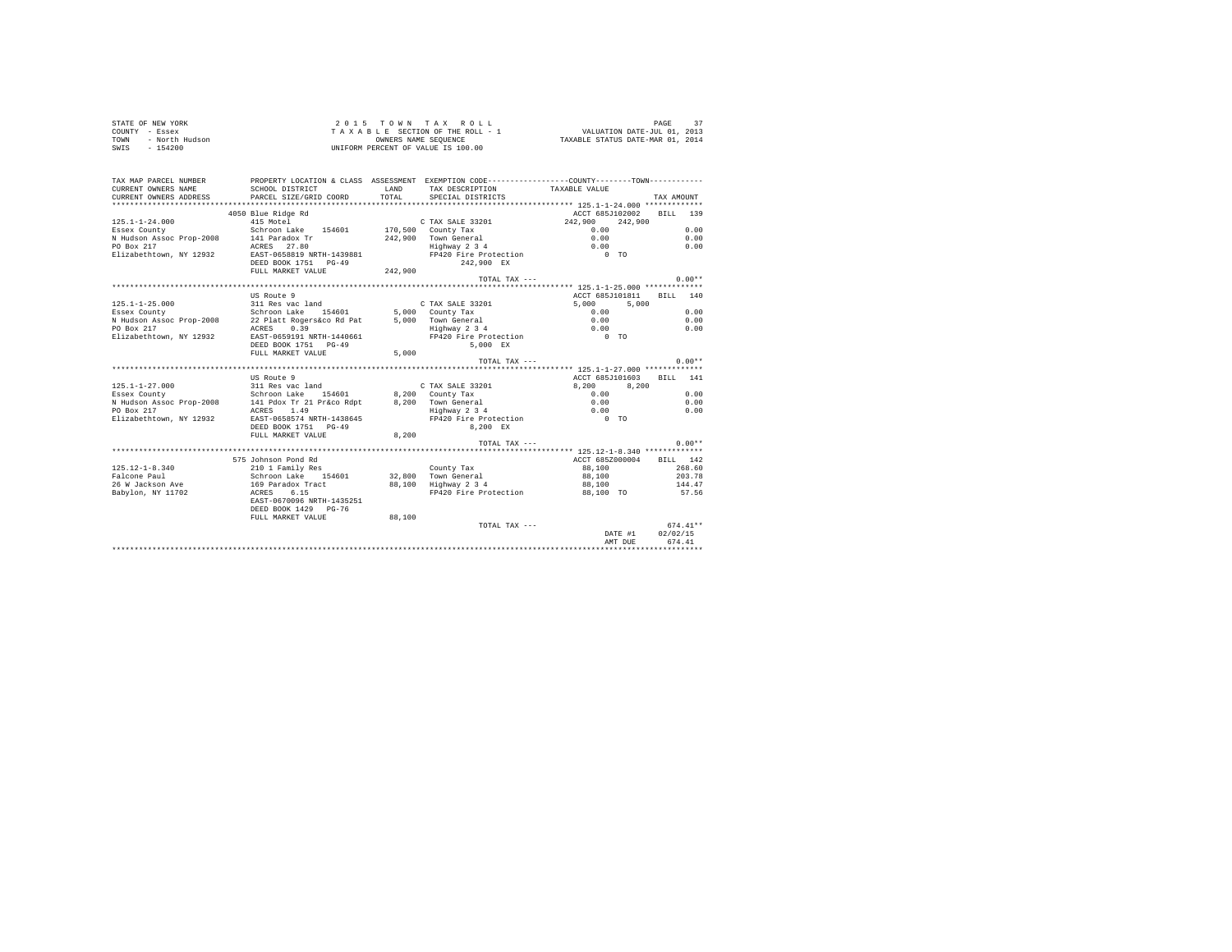|      | STATE OF NEW YORK | $2.0.15$ TOWN TAX ROLL             | PAGE                             |
|------|-------------------|------------------------------------|----------------------------------|
|      | COUNTY - Essex    | TAXABLE SECTION OF THE ROLL - 1    | VALUATION DATE-JUL 01, 2013      |
| TOWN | - North Hudson    | OWNERS NAME SEOUENCE               | TAXABLE STATUS DATE-MAR 01, 2014 |
| SWIS | - 154200          | UNIFORM PERCENT OF VALUE IS 100.00 |                                  |

| TAX MAP PARCEL NUMBER    | PROPERTY LOCATION & CLASS ASSESSMENT EXEMPTION CODE----------------COUNTY--------TOWN---------- |         |                                                     |                                                 |            |
|--------------------------|-------------------------------------------------------------------------------------------------|---------|-----------------------------------------------------|-------------------------------------------------|------------|
| CURRENT OWNERS NAME      | SCHOOL DISTRICT                                                                                 | LAND    |                                                     |                                                 |            |
|                          | PARCEL SIZE/GRID COORD                                                                          | TOTAL.  | TAX DESCRIPTION TAXABLE VALUE                       |                                                 | TAX AMOUNT |
| CURRENT OWNERS ADDRESS   |                                                                                                 |         | SPECIAL DISTRICTS                                   |                                                 |            |
|                          |                                                                                                 |         |                                                     |                                                 |            |
|                          | 4050 Blue Ridge Rd                                                                              |         |                                                     | ACCT 685J102002 BILL 139                        |            |
| $125.1 - 1 - 24.000$     | 415 Motel                                                                                       |         | C TAX SALE 33201                                    | 242,900<br>242,900                              |            |
| Essex County             | Schroon Lake 154601 170,500 County Tax                                                          |         |                                                     | 0.00                                            | 0.00       |
| N Hudson Assoc Prop-2008 | 141 Paradox Tr                                                                                  |         | 242,900 Town General                                | 0.00                                            | 0.00       |
| PO Box 217               | ACRES 27.80                                                                                     |         | Highway 2 3 4                                       | 0.00                                            | 0.00       |
| Elizabethtown, NY 12932  | EAST-0658819 NRTH-1439881                                                                       |         | FP420 Fire Protection                               | $0$ TO                                          |            |
|                          | DEED BOOK 1751 PG-49                                                                            |         | 242.900 EX                                          |                                                 |            |
|                          | FULL MARKET VALUE                                                                               | 242,900 |                                                     |                                                 |            |
|                          |                                                                                                 |         | TOTAL TAX $---$                                     |                                                 | $0.00**$   |
|                          |                                                                                                 |         |                                                     |                                                 |            |
|                          | US Route 9                                                                                      |         |                                                     | ACCT 685J101811                                 | BILL 140   |
| $125.1 - 1 - 25.000$     | 311 Res vac land                                                                                |         | C TAX SALE 33201                                    | 5,000<br>5,000                                  |            |
| Essex County             | Schroon Lake 154601 5,000 County Tax                                                            |         |                                                     | 0.00                                            | 0.00       |
| N Hudson Assoc Prop-2008 | 22 Platt Rogers&co Rd Pat                                                                       |         | 5.000 Town General                                  | 0.00                                            | 0.00       |
| PO Box 217               | ACRES 0.39                                                                                      |         | Highway 2 3 4                                       | 0.00                                            | 0.00       |
| Elizabethtown, NY 12932  | EAST-0659191 NRTH-1440661                                                                       |         | FP420 Fire Protection                               | $0$ TO                                          |            |
|                          | DEED BOOK 1751 PG-49                                                                            |         | 5.000 EX                                            |                                                 |            |
|                          | FULL MARKET VALUE                                                                               | 5,000   |                                                     |                                                 |            |
|                          |                                                                                                 |         | TOTAL TAX ---                                       |                                                 | $0.00**$   |
|                          |                                                                                                 |         |                                                     |                                                 |            |
|                          | US Route 9                                                                                      |         |                                                     | ACCT 685J101603                                 | RTT.T. 141 |
| $125.1 - 1 - 27.000$     | 311 Res vac land                                                                                |         | C TAX SALE 33201                                    | 8,200<br>8.200                                  |            |
| Essex County             | Schroon Lake 154601                                                                             |         | 8,200 County Tax                                    | 0.00                                            | 0.00       |
| N Hudson Assoc Prop-2008 | 141 Pdox Tr 21 Pr&co Rdpt                                                                       |         | 8.200 Town General<br>Town General<br>Highway 2 3 4 | 0.00                                            | 0.00       |
| PO Box 217               | 1.49<br>ACRES                                                                                   |         |                                                     | 0.00                                            | 0.00       |
| Elizabethtown, NY 12932  | EAST-0658574 NRTH-1438645                                                                       |         | FP420 Fire Protection 0 TO                          |                                                 |            |
|                          | DEED BOOK 1751 PG-49                                                                            |         | 8.200 EX                                            |                                                 |            |
|                          | FULL MARKET VALUE                                                                               | 8,200   |                                                     |                                                 |            |
|                          |                                                                                                 |         | TOTAL TAX ---                                       |                                                 | $0.00**$   |
|                          |                                                                                                 |         |                                                     | ***************** 125.12-1-8.340 ************** |            |
|                          | 575 Johnson Pond Rd                                                                             |         |                                                     | ACCT 685Z000004                                 | RTLL 142   |
| 125.12-1-8.340           | 210 1 Family Res                                                                                |         | County Tax                                          | 88,100                                          | 268.60     |
| Falcone Paul             | Schroon Lake 154601                                                                             |         | 32,800 Town General                                 | 88,100                                          | 203.78     |
| 26 W Jackson Ave         | 169 Paradox Tract<br>ACRES 6.15                                                                 |         | 88,100 Highway 2 3 4                                | 88,100                                          | 144.47     |
| Babylon, NY 11702        |                                                                                                 |         | FP420 Fire Protection                               | 88,100 TO                                       | 57.56      |
|                          | EAST-0670096 NRTH-1435251                                                                       |         |                                                     |                                                 |            |
|                          | DEED BOOK 1429 PG-76                                                                            |         |                                                     |                                                 |            |
|                          | FULL MARKET VALUE                                                                               | 88,100  |                                                     |                                                 |            |
|                          |                                                                                                 |         | TOTAL TAX ---                                       |                                                 | $674.41**$ |
|                          |                                                                                                 |         |                                                     | DATE #1                                         | 02/02/15   |
|                          |                                                                                                 |         |                                                     | AMT DUE                                         | 674.41     |
|                          |                                                                                                 |         |                                                     |                                                 |            |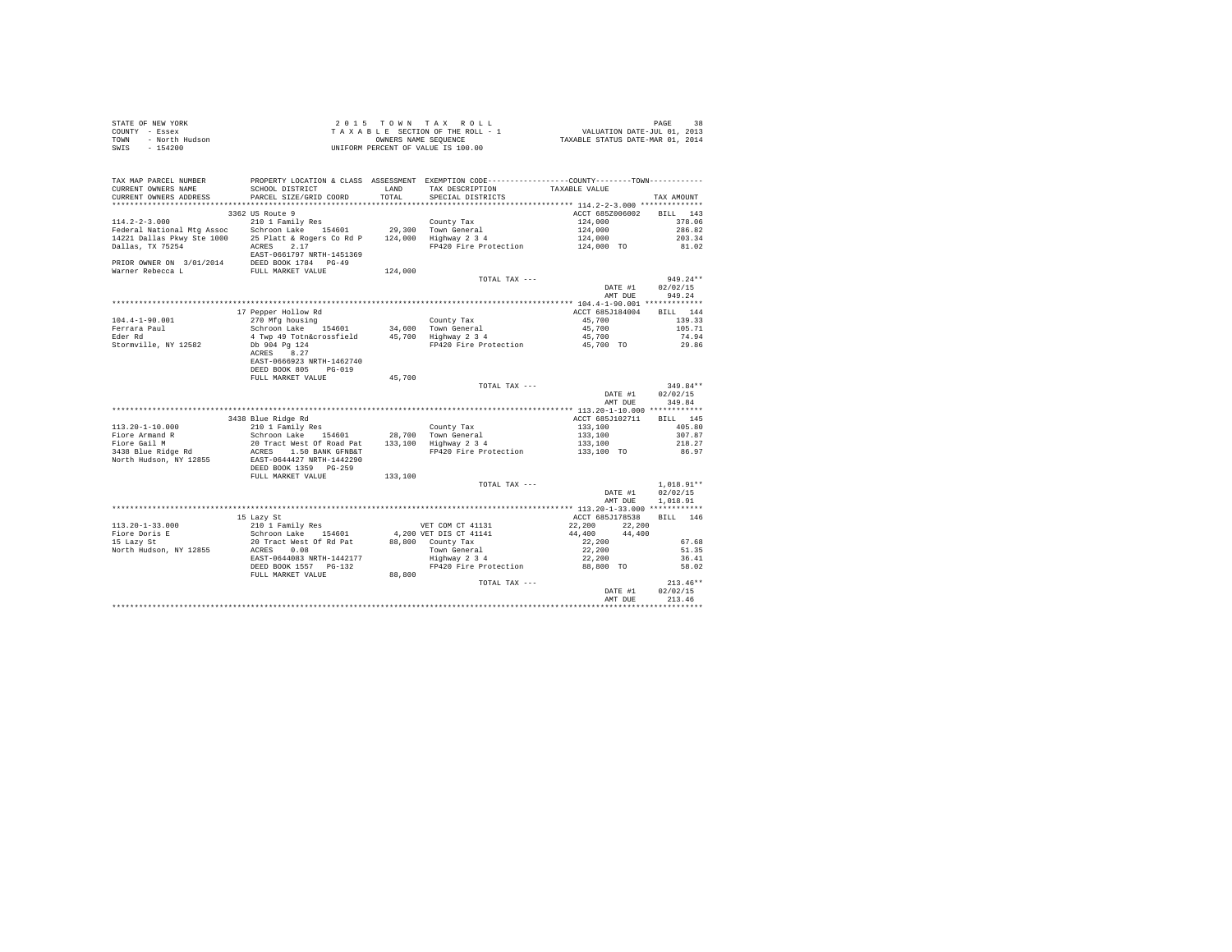| STATE OF NEW YORK      | 2015 TOWN TAX ROLL                 | 38<br>PAGE                       |
|------------------------|------------------------------------|----------------------------------|
| COUNTY - Essex         | TAXABLE SECTION OF THE ROLL - 1    | VALUATION DATE-JUL 01, 2013      |
| TOWN<br>- North Hudson | OWNERS NAME SEOUENCE               | TAXABLE STATUS DATE-MAR 01, 2014 |
| SWIS<br>$-154200$      | UNIFORM PERCENT OF VALUE IS 100.00 |                                  |

| TAX MAP PARCEL NUMBER<br>CURRENT OWNERS NAME<br>CURRENT OWNERS ADDRESS                                                     | PROPERTY LOCATION & CLASS ASSESSMENT EXEMPTION CODE----------------COUNTY-------TOWN---------<br>SCHOOL DISTRICT<br>PARCEL SIZE/GRID COORD          | LAND<br>TOTAL | TAX DESCRIPTION<br>SPECIAL DISTRICTS                                  | TAXABLE VALUE                    | TAX AMOUNT                           |
|----------------------------------------------------------------------------------------------------------------------------|-----------------------------------------------------------------------------------------------------------------------------------------------------|---------------|-----------------------------------------------------------------------|----------------------------------|--------------------------------------|
| **********************                                                                                                     | *****************************                                                                                                                       |               |                                                                       |                                  |                                      |
| $114.2 - 2 - 3.000$                                                                                                        | 3362 US Route 9<br>210 1 Family Res                                                                                                                 |               | County Tax                                                            | ACCT 685Z006002<br>124,000       | 143<br><b>BILL</b><br>378.06         |
| Federal National Mtg Assoc Schroon Lake 154601<br>14221 Dallas Pkwy Ste 1000 25 Platt & Rogers Co Rd P<br>Dallas, TX 75254 | ACRES<br>2.17                                                                                                                                       |               | 29,300 Town General<br>124,000 Highway 2 3 4<br>FP420 Fire Protection | 124,000<br>124,000<br>124,000 TO | 286.82<br>203.34<br>81.02            |
| PRIOR OWNER ON 3/01/2014<br>Warner Rebecca L                                                                               | EAST-0661797 NRTH-1451369<br>DEED BOOK 1784 PG-49<br>FULL MARKET VALUE                                                                              | 124,000       |                                                                       |                                  |                                      |
|                                                                                                                            |                                                                                                                                                     |               | TOTAL TAX ---                                                         | DATE #1<br>AMT DUE               | $949.24**$<br>02/02/15<br>949.24     |
|                                                                                                                            | 17 Pepper Hollow Rd                                                                                                                                 |               |                                                                       | ACCT 685J184004                  | BILL 144                             |
| $104.4 - 1 - 90.001$<br>Ferrara Paul                                                                                       | 270 Mfg housing<br>Schroon Lake<br>154601                                                                                                           |               | County Tax<br>34.600 Town General                                     | 45,700<br>45,700                 | 139.33<br>105.71                     |
| Eder Rd                                                                                                                    | 4 Twp 49 Totn&crossfield                                                                                                                            |               | 45,700 Highway 2 3 4                                                  | 45,700                           | 74.94                                |
| Stormville, NY 12582                                                                                                       | Db 904 Pg 124<br>ACRES 8.27<br>EAST-0666923 NRTH-1462740                                                                                            |               | FP420 Fire Protection                                                 | 45,700 TO                        | 29.86                                |
|                                                                                                                            | DEED BOOK 805<br>$PG-019$<br>FULL MARKET VALUE                                                                                                      | 45,700        |                                                                       |                                  |                                      |
|                                                                                                                            |                                                                                                                                                     |               | TOTAL TAX ---                                                         |                                  | 349.84**                             |
|                                                                                                                            |                                                                                                                                                     |               |                                                                       | DATE #1                          | 02/02/15                             |
|                                                                                                                            |                                                                                                                                                     |               |                                                                       | AMT DUE                          | 349.84                               |
|                                                                                                                            |                                                                                                                                                     |               |                                                                       |                                  |                                      |
|                                                                                                                            | 3438 Blue Ridge Rd                                                                                                                                  |               |                                                                       | ACCT 685J102711                  | BILL 145                             |
| $113.20 - 1 - 10.000$<br>Fiore Armand R                                                                                    | 210 1 Family Res<br>Schroon Lake 154601                                                                                                             |               | County Tax<br>28,700 Town General                                     | 133,100<br>133,100               | 405.80<br>307.87                     |
| Fiore Gail M                                                                                                               |                                                                                                                                                     |               |                                                                       | 133,100                          | 218.27                               |
| 3438 Blue Ridge Rd<br>North Hudson, NY 12855                                                                               | 20 Tract West Of Road Pat 133,100 Highway 234<br>ACRES 1.50 BANK GFNB&T FP420 Fire Protection<br>EAST-0644427 NRTH-1442290<br>DEED BOOK 1359 PG-259 |               | FP420 Fire Protection                                                 | 133,100 TO                       | 86.97                                |
|                                                                                                                            | FULL MARKET VALUE                                                                                                                                   | 133,100       |                                                                       |                                  |                                      |
|                                                                                                                            |                                                                                                                                                     |               | TOTAL TAX ---                                                         | DATE #1<br>AMT DUE               | $1,018.91**$<br>02/02/15<br>1,018.91 |
|                                                                                                                            |                                                                                                                                                     |               |                                                                       |                                  |                                      |
| $113.20 - 1 - 33.000$                                                                                                      | 15 Lazy St                                                                                                                                          |               | VET COM CT 41131                                                      | ACCT 685J178538<br>22,200        | BILL 146                             |
| Fiore Doris E                                                                                                              | 210 1 Family Res<br>Schroon Lake 154601                                                                                                             |               | 4,200 VET DIS CT 41141                                                | 22,200<br>44,400<br>44,400       |                                      |
| 15 Lazy St                                                                                                                 | 20 Tract West Of Rd Pat                                                                                                                             |               | 88.800 County Tax                                                     | 22,200                           | 67.68                                |
| North Hudson, NY 12855                                                                                                     | 0.08<br>ACRES                                                                                                                                       |               | Town General                                                          | 22,200                           | 51.35                                |
|                                                                                                                            | EAST-0644083 NRTH-1442177                                                                                                                           |               | Highway 2 3 4                                                         | 22,200                           | 36.41                                |
|                                                                                                                            | DEED BOOK 1557 PG-132<br>FULL MARKET VALUE                                                                                                          | 88,800        | FP420 Fire Protection                                                 | 88,800 TO                        | 58.02                                |
|                                                                                                                            |                                                                                                                                                     |               | TOTAL TAX ---                                                         | DATE #1<br>AMT DUE               | $213.46**$<br>02/02/15<br>213.46     |
|                                                                                                                            |                                                                                                                                                     |               |                                                                       |                                  |                                      |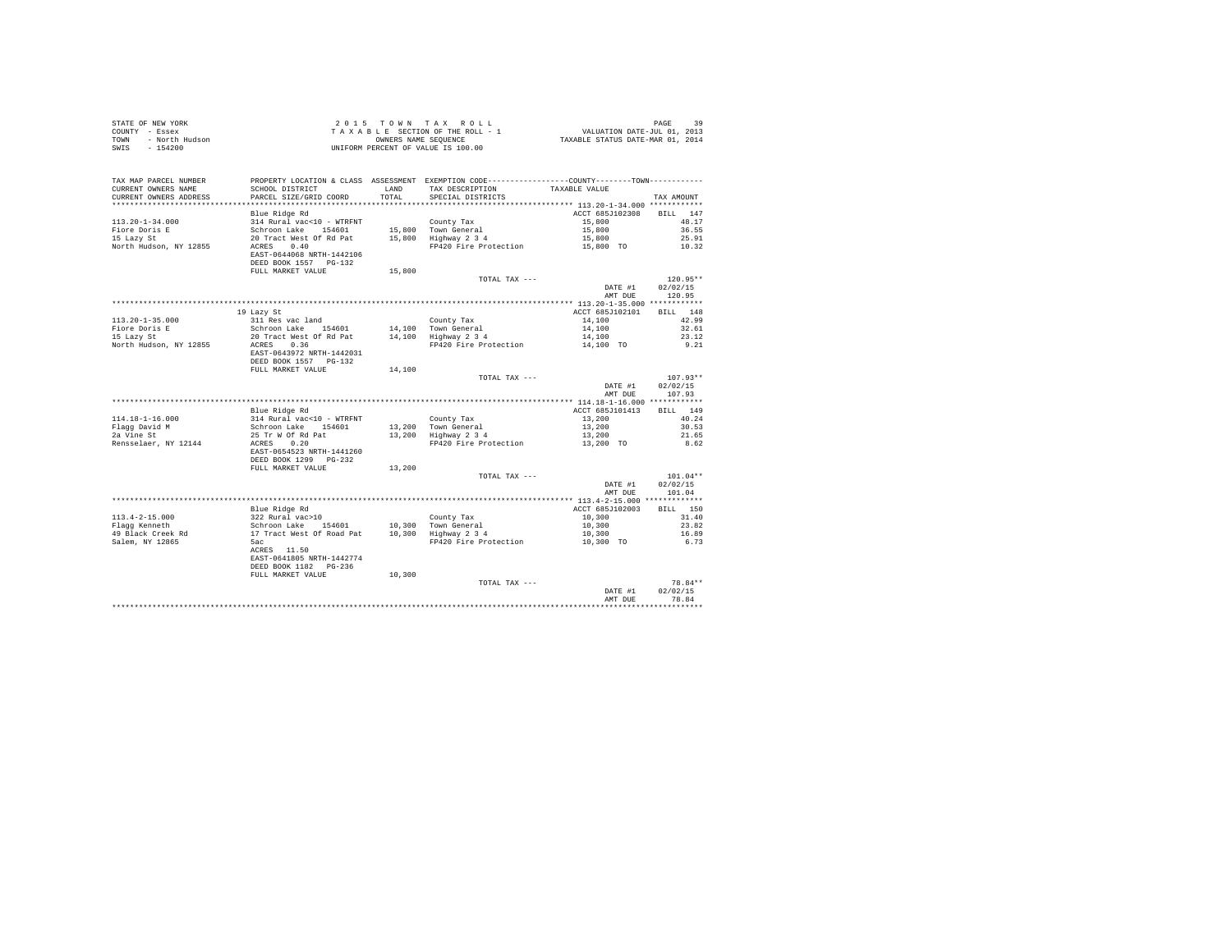|      | STATE OF NEW YORK | 2015 TOWN TAX ROLL                 | 39<br>PAGE                       |
|------|-------------------|------------------------------------|----------------------------------|
|      | COUNTY - Essex    | TAXABLE SECTION OF THE ROLL - 1    | VALUATION DATE-JUL 01, 2013      |
| TOWN | - North Hudson    | OWNERS NAME SEOUENCE               | TAXABLE STATUS DATE-MAR 01, 2014 |
| SWIS | $-154200$         | UNIFORM PERCENT OF VALUE IS 100.00 |                                  |

| TAX MAP PARCEL NUMBER<br>CURRENT OWNERS NAME<br>CURRENT OWNERS ADDRESS | PROPERTY LOCATION & CLASS ASSESSMENT EXEMPTION CODE---------------COUNTY-------TOWN---------<br>SCHOOL DISTRICT<br>PARCEL SIZE/GRID COORD | LAND<br>TOTAL | TAX DESCRIPTION<br>SPECIAL DISTRICTS        | TAXABLE VALUE      | TAX AMOUNT         |
|------------------------------------------------------------------------|-------------------------------------------------------------------------------------------------------------------------------------------|---------------|---------------------------------------------|--------------------|--------------------|
| ********************                                                   | *******************                                                                                                                       |               |                                             |                    |                    |
|                                                                        | Blue Ridge Rd                                                                                                                             |               |                                             | ACCT 685J102308    | <b>BILL</b><br>147 |
| $113.20 - 1 - 34.000$                                                  | 314 Rural vac<10 - WTRFNT                                                                                                                 |               | County Tax                                  | 15,800             | 48.17              |
| Fiore Doris E                                                          | Schroon Lake<br>154601                                                                                                                    |               | 15,800 Town General                         | 15,800             | 36.55              |
| 15 Lazy St                                                             | 20 Tract West Of Rd Pat                                                                                                                   |               | 15,800 Highway 2 3 4                        | 15,800             | 25.91              |
| North Hudson, NY 12855                                                 | 0.40<br>ACRES                                                                                                                             |               | FP420 Fire Protection                       | 15,800 TO          | 10.32              |
|                                                                        | EAST-0644068 NRTH-1442106                                                                                                                 |               |                                             |                    |                    |
|                                                                        | DEED BOOK 1557 PG-132                                                                                                                     |               |                                             |                    |                    |
|                                                                        | FULL MARKET VALUE                                                                                                                         | 15,800        |                                             |                    |                    |
|                                                                        |                                                                                                                                           |               | TOTAL TAX ---                               |                    | $120.95**$         |
|                                                                        |                                                                                                                                           |               |                                             | DATE #1            | 02/02/15           |
|                                                                        |                                                                                                                                           |               |                                             | AMT DUE            | 120.95             |
|                                                                        |                                                                                                                                           |               |                                             |                    |                    |
|                                                                        | 19 Lazy St                                                                                                                                |               |                                             | ACCT 685J102101    | BILL 148           |
| $113.20 - 1 - 35.000$                                                  | 311 Res vac land                                                                                                                          |               | County Tax                                  | 14,100             | 42.99              |
| Fiore Doris E                                                          | Schroon Lake 154601                                                                                                                       | 14,100        | Town General                                | 14,100             | 32.61              |
| 15 Lazy St                                                             | 20 Tract West Of Rd Pat                                                                                                                   |               | 14,100 Highway 2 3 4                        | 14,100             | 23.12              |
| North Hudson, NY 12855                                                 | ACRES<br>0.36                                                                                                                             |               | FP420 Fire Protection                       | 14,100 TO          | 9.21               |
|                                                                        | EAST-0643972 NRTH-1442031                                                                                                                 |               |                                             |                    |                    |
|                                                                        | DEED BOOK 1557 PG-132                                                                                                                     |               |                                             |                    |                    |
|                                                                        | FULL MARKET VALUE                                                                                                                         | 14,100        |                                             |                    |                    |
|                                                                        |                                                                                                                                           |               | TOTAL TAX ---                               |                    | $107.93**$         |
|                                                                        |                                                                                                                                           |               |                                             | DATE #1            | 02/02/15           |
|                                                                        |                                                                                                                                           |               |                                             | AMT DUE            | 107.93             |
|                                                                        |                                                                                                                                           |               |                                             |                    |                    |
|                                                                        | Blue Ridge Rd                                                                                                                             |               |                                             | ACCT 685J101413    | BILL 149           |
| $114.18 - 1 - 16.000$                                                  |                                                                                                                                           |               | County Tax                                  | 13,200             | 40.24              |
| Flagg David M                                                          | 314 Rural vac<10 - WTRFNT<br>Schroon Lake 154601                                                                                          |               |                                             | 13,200             | 30.53              |
| 2a Vine St                                                             | 25 Tr W Of Rd Pat                                                                                                                         |               | 13,200 Town General<br>13,200 Highway 2 3 4 | 13,200             | 21.65              |
| Rensselaer, NY 12144                                                   | 0.20<br>ACRES                                                                                                                             |               | FP420 Fire Protection                       | 13,200 TO          | 8.62               |
|                                                                        | EAST-0654523 NRTH-1441260<br>DEED BOOK 1299 PG-232                                                                                        |               |                                             |                    |                    |
|                                                                        | FULL MARKET VALUE                                                                                                                         | 13,200        |                                             |                    |                    |
|                                                                        |                                                                                                                                           |               | TOTAL TAX ---                               |                    | $101.04**$         |
|                                                                        |                                                                                                                                           |               |                                             | DATE #1            | 02/02/15           |
|                                                                        |                                                                                                                                           |               |                                             | AMT DUE            | 101.04             |
|                                                                        |                                                                                                                                           |               |                                             |                    |                    |
|                                                                        | Blue Ridge Rd                                                                                                                             |               |                                             | ACCT 685J102003    | BILL 150           |
|                                                                        |                                                                                                                                           |               |                                             |                    |                    |
| $113.4 - 2 - 15.000$                                                   | 322 Rural vac>10                                                                                                                          |               | County Tax                                  | 10,300             | 31.40              |
| Flagg Kenneth                                                          | Schroon Lake 154601                                                                                                                       | 10,300        | Town General                                | 10,300             | 23.82              |
| 49 Black Creek Rd                                                      | 17 Tract West Of Road Pat                                                                                                                 |               | 10,300 Highway 2 3 4                        | 10,300             | 16.89              |
| Salem, NY 12865                                                        | 5ac<br>ACRES 11.50<br>EAST-0641805 NRTH-1442774                                                                                           |               | FP420 Fire Protection                       | 10,300 TO          | 6.73               |
|                                                                        | DEED BOOK 1182 PG-236                                                                                                                     |               |                                             |                    |                    |
|                                                                        | FULL MARKET VALUE                                                                                                                         | 10,300        |                                             |                    |                    |
|                                                                        |                                                                                                                                           |               | TOTAL TAX ---                               |                    | 78.84**            |
|                                                                        |                                                                                                                                           |               |                                             | DATE #1<br>AMT DUE | 02/02/15<br>78.84  |
|                                                                        |                                                                                                                                           |               |                                             |                    |                    |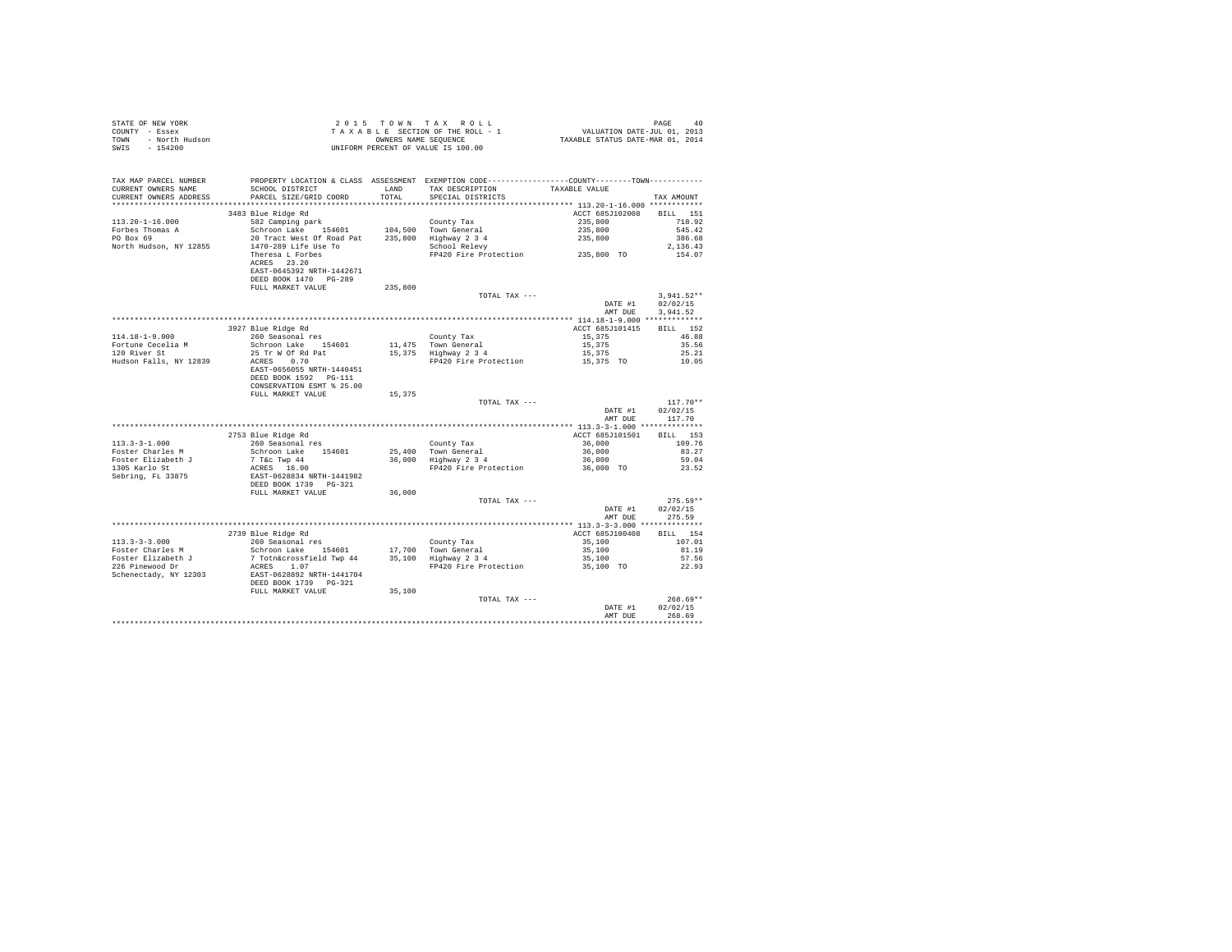| STATE OF NEW YORK      | $2.0.15$ TOWN TAX ROLL             | PAGE                             | 40 |
|------------------------|------------------------------------|----------------------------------|----|
| COUNTY - Essex         | TAXABLE SECTION OF THE ROLL - 1    | VALUATION DATE-JUL 01, 2013      |    |
| TOWN<br>- North Hudson | OWNERS NAME SEOUENCE               | TAXABLE STATUS DATE-MAR 01, 2014 |    |
| - 154200<br>SWIS       | UNIFORM PERCENT OF VALUE IS 100.00 |                                  |    |

| TAX MAP PARCEL NUMBER<br>CURRENT OWNERS NAME<br>CURRENT OWNERS ADDRESS | PROPERTY LOCATION & CLASS ASSESSMENT EXEMPTION CODE----------------COUNTY-------TOWN----------<br>SCHOOL DISTRICT<br>PARCEL SIZE/GRID COORD | <b>T.AND</b><br>TOTAL | TAX DESCRIPTION<br>SPECIAL DISTRICTS | TAXABLE VALUE                            | TAX AMOUNT         |
|------------------------------------------------------------------------|---------------------------------------------------------------------------------------------------------------------------------------------|-----------------------|--------------------------------------|------------------------------------------|--------------------|
| ******************                                                     |                                                                                                                                             | *********             |                                      | *********** 113.20-1-16.000 ************ |                    |
|                                                                        | 3483 Blue Ridge Rd                                                                                                                          |                       |                                      | ACCT 685J102008                          | <b>BILL</b><br>151 |
| $113.20 - 1 - 16.000$                                                  | 582 Camping park                                                                                                                            |                       | County Tax                           | 235,800                                  | 718.92             |
| Forbes Thomas A                                                        | Schroon Lake<br>154601                                                                                                                      | 104,500               | Town General                         | 235,800                                  | 545.42             |
| PO Box 69                                                              | 20 Tract West Of Road Pat                                                                                                                   | 235,800               | Highway 2 3 4                        | 235,800                                  | 386.68             |
| North Hudson, NY 12855                                                 | 1470-289 Life Use To                                                                                                                        |                       | School Relevy                        |                                          | 2.136.43           |
|                                                                        | Theresa L Forbes                                                                                                                            |                       | FP420 Fire Protection                | 235,800 TO                               | 154.07             |
|                                                                        | ACRES 23.20<br>EAST-0645392 NRTH-1442671<br>DEED BOOK 1470 PG-289                                                                           |                       |                                      |                                          |                    |
|                                                                        | FULL MARKET VALUE                                                                                                                           | 235,800               |                                      |                                          |                    |
|                                                                        |                                                                                                                                             |                       | TOTAL TAX ---                        |                                          | $3.941.52**$       |
|                                                                        |                                                                                                                                             |                       |                                      | DATE #1                                  | 02/02/15           |
|                                                                        |                                                                                                                                             |                       |                                      |                                          |                    |
|                                                                        |                                                                                                                                             |                       |                                      | AMT DUE                                  | 3.941.52           |
|                                                                        |                                                                                                                                             |                       |                                      | ***** 114.18-1-9.000 *************       |                    |
|                                                                        | 3927 Blue Ridge Rd                                                                                                                          |                       |                                      | ACCT 685J101415                          | 152<br>BTLL.       |
| $114.18 - 1 - 9.000$                                                   | 260 Seasonal res                                                                                                                            |                       | County Tax                           | 15,375                                   | 46.88              |
| Fortune Cecelia M                                                      | Schroon Lake<br>154601                                                                                                                      | 11,475                | Town General                         | 15,375                                   | 35.56              |
| 120 River St                                                           | 25 Tr W Of Rd Pat                                                                                                                           |                       | 15,375 Highway 2 3 4                 | 15,375                                   | 25.21              |
| Hudson Falls, NY 12839                                                 | 0.70<br>ACRES                                                                                                                               |                       | FP420 Fire Protection                | 15,375 TO                                | 10.05              |
|                                                                        | EAST-0656055 NRTH-1440451                                                                                                                   |                       |                                      |                                          |                    |
|                                                                        | DEED BOOK 1592 PG-111                                                                                                                       |                       |                                      |                                          |                    |
|                                                                        | CONSERVATION ESMT % 25.00                                                                                                                   |                       |                                      |                                          |                    |
|                                                                        | FULL MARKET VALUE                                                                                                                           | 15,375                |                                      |                                          |                    |
|                                                                        |                                                                                                                                             |                       | TOTAL TAX ---                        |                                          | $117.70**$         |
|                                                                        |                                                                                                                                             |                       |                                      | DATE #1                                  | 02/02/15           |
|                                                                        |                                                                                                                                             |                       |                                      | AMT DUE                                  | 117.70             |
|                                                                        |                                                                                                                                             |                       |                                      |                                          |                    |
|                                                                        | 2753 Blue Ridge Rd                                                                                                                          |                       |                                      | ACCT 685J101501                          |                    |
|                                                                        |                                                                                                                                             |                       |                                      |                                          | 153<br>BILL        |
| $113.3 - 3 - 1.000$                                                    | 260 Seasonal res                                                                                                                            |                       | County Tax                           | 36,000                                   | 109.76             |
| Foster Charles M                                                       | Schroon Lake 154601                                                                                                                         |                       | 25,400 Town General                  | 36,000                                   | 83.27              |
| Foster Elizabeth J                                                     | 7 T&c Twp 44                                                                                                                                |                       | 36,000 Highway 2 3 4                 | 36,000                                   | 59.04              |
| 1305 Karlo St                                                          | ACRES 16.00                                                                                                                                 |                       | FP420 Fire Protection                | 36,000 TO                                | 23.52              |
| Sebring, FL 33875                                                      | EAST-0628834 NRTH-1441982                                                                                                                   |                       |                                      |                                          |                    |
|                                                                        | DEED BOOK 1739 PG-321                                                                                                                       |                       |                                      |                                          |                    |
|                                                                        | FULL MARKET VALUE                                                                                                                           | 36,000                |                                      |                                          |                    |
|                                                                        |                                                                                                                                             |                       | TOTAL TAX ---                        |                                          | $275.59**$         |
|                                                                        |                                                                                                                                             |                       |                                      | DATE #1                                  | 02/02/15           |
|                                                                        |                                                                                                                                             |                       |                                      | AMT DUE                                  | 275.59             |
|                                                                        |                                                                                                                                             |                       |                                      |                                          |                    |
|                                                                        | 2739 Blue Ridge Rd                                                                                                                          |                       |                                      | ACCT 685J100408                          | BILL 154           |
| $113.3 - 3 - 3.000$                                                    | 260 Seasonal res                                                                                                                            |                       | County Tax                           | 35,100                                   | 107.01             |
| Foster Charles M                                                       | Schroon Lake 154601                                                                                                                         | 17,700                | Town General                         | 35,100                                   | 81.19              |
| Foster Elizabeth J                                                     | 7 Totn&crossfield Twp 44                                                                                                                    | 35,100                | Highway 2 3 4                        | 35,100                                   | 57.56              |
| 226 Pinewood Dr                                                        | ACRES<br>1.07                                                                                                                               |                       | FP420 Fire Protection                | 35,100 TO                                | 22.93              |
| Schenectady, NY 12303                                                  | EAST-0628892 NRTH-1441704                                                                                                                   |                       |                                      |                                          |                    |
|                                                                        | DEED BOOK 1739 PG-321                                                                                                                       |                       |                                      |                                          |                    |
|                                                                        | FULL MARKET VALUE                                                                                                                           | 35,100                |                                      |                                          |                    |
|                                                                        |                                                                                                                                             |                       | TOTAL TAX ---                        |                                          | $268.69**$         |
|                                                                        |                                                                                                                                             |                       |                                      |                                          |                    |
|                                                                        |                                                                                                                                             |                       |                                      | DATE #1                                  | 02/02/15           |
|                                                                        |                                                                                                                                             |                       |                                      | AMT DUE                                  | 268.69<br>.        |
|                                                                        |                                                                                                                                             |                       |                                      |                                          |                    |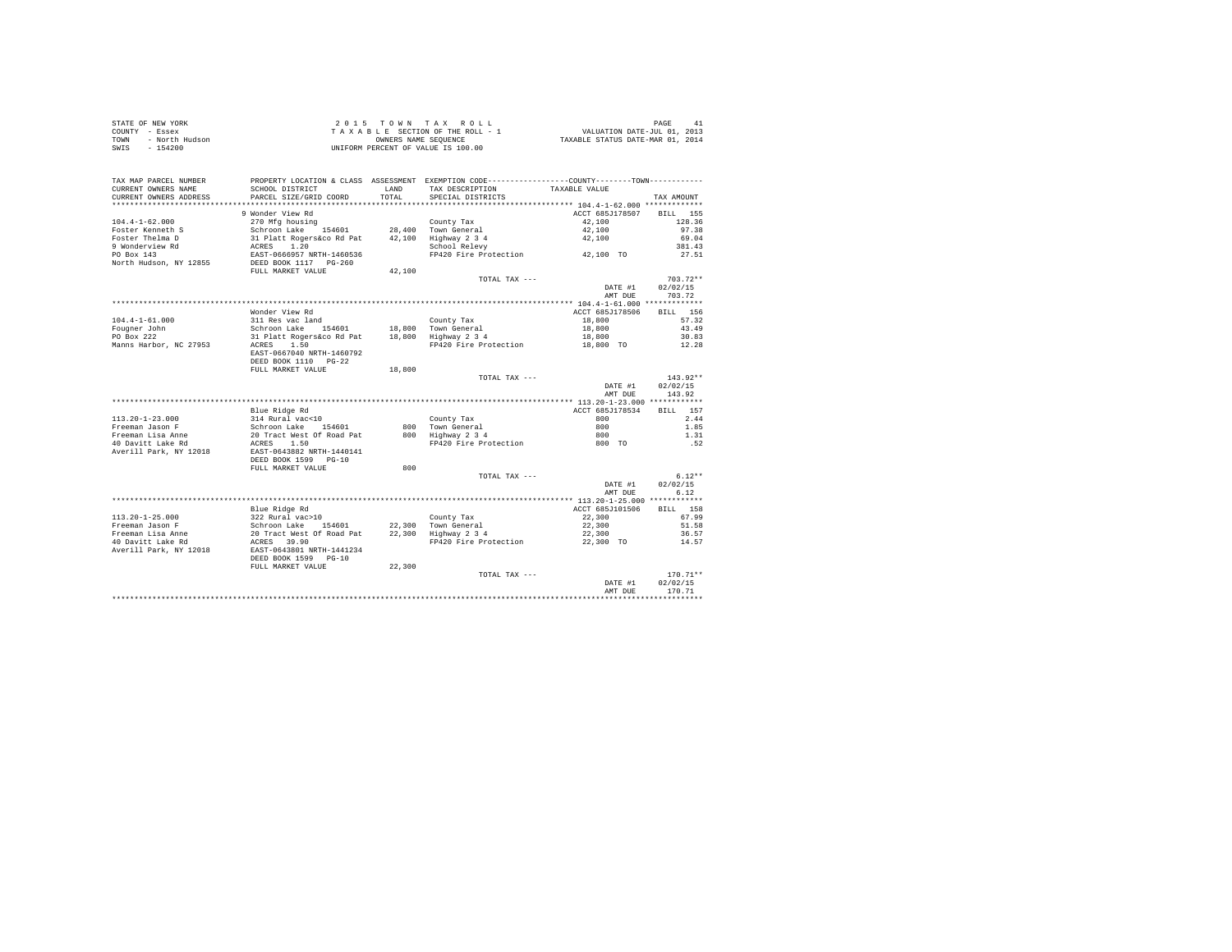| STATE OF NEW YORK |                | $2.0.15$ TOWN TAX ROLL             | PAGE                             |
|-------------------|----------------|------------------------------------|----------------------------------|
| COUNTY - Essex    |                | TAXABLE SECTION OF THE ROLL - 1    | VALUATION DATE-JUL 01, 2013      |
| TOWN              | - North Hudson | OWNERS NAME SEOUENCE               | TAXABLE STATUS DATE-MAR 01, 2014 |
| SWIS              | - 154200       | UNIFORM PERCENT OF VALUE IS 100.00 |                                  |

| TAX MAP PARCEL NUMBER<br>CURRENT OWNERS NAME<br>CURRENT OWNERS ADDRESS | PROPERTY LOCATION & CLASS ASSESSMENT EXEMPTION CODE---------------COUNTY-------TOWN---------<br>SCHOOL DISTRICT<br>PARCEL SIZE/GRID COORD | LAND<br>TOTAL | TAX DESCRIPTION<br>SPECIAL DISTRICTS | TAXABLE VALUE      | TAX AMOUNT         |
|------------------------------------------------------------------------|-------------------------------------------------------------------------------------------------------------------------------------------|---------------|--------------------------------------|--------------------|--------------------|
| ************************                                               |                                                                                                                                           |               |                                      |                    |                    |
|                                                                        | 9 Wonder View Rd                                                                                                                          |               |                                      | ACCT 685J178507    | <b>BILL</b><br>155 |
| $104.4 - 1 - 62.000$                                                   | 270 Mfg housing                                                                                                                           |               | County Tax                           | 42,100             | 128.36             |
| Foster Kenneth S                                                       | Schroon Lake 154601                                                                                                                       |               | 28,400 Town General                  | 42,100             | 97.38              |
| Foster Thelma D                                                        | 31 Platt Rogers&co Rd Pat                                                                                                                 | 42,100        | Highway 2 3 4                        | 42,100             | 69.04              |
| 9 Wonderview Rd                                                        | 1.20<br>ACRES                                                                                                                             |               | School Relevy                        |                    | 381.43             |
| PO Box 143<br>North Hudson, NY 12855                                   | EAST-0666957 NRTH-1460536<br>DEED BOOK 1117 PG-260<br>FULL MARKET VALUE                                                                   | 42,100        | FP420 Fire Protection                | 42,100 TO          | 27.51              |
|                                                                        |                                                                                                                                           |               | TOTAL TAX ---                        |                    | $703.72**$         |
|                                                                        |                                                                                                                                           |               |                                      | DATE #1            | 02/02/15           |
|                                                                        |                                                                                                                                           |               |                                      | AMT DUE            | 703.72             |
|                                                                        |                                                                                                                                           |               |                                      |                    |                    |
|                                                                        | Wonder View Rd                                                                                                                            |               |                                      | ACCT 685J178506    | BILL 156           |
| $104.4 - 1 - 61.000$                                                   | 311 Res vac land                                                                                                                          |               | County Tax                           | 18,800             | 57.32              |
| Fougner John                                                           | Schroon Lake 154601                                                                                                                       |               | 18,800 Town General                  | 18,800             | 43.49              |
| PO Box 222                                                             | 31 Platt Rogers&co Rd Pat                                                                                                                 |               | 18,800 Highway 2 3 4                 | 18,800             | 30.83              |
| Manns Harbor, NC 27953                                                 | ACRES<br>1.50                                                                                                                             |               | FP420 Fire Protection                | 18,800 TO          | 12.28              |
|                                                                        | EAST-0667040 NRTH-1460792<br>DEED BOOK 1110 PG-22                                                                                         |               |                                      |                    |                    |
|                                                                        | FULL MARKET VALUE                                                                                                                         | 18,800        |                                      |                    |                    |
|                                                                        |                                                                                                                                           |               | TOTAL TAX ---                        |                    | $143.92**$         |
|                                                                        |                                                                                                                                           |               |                                      | DATE #1            | 02/02/15           |
|                                                                        |                                                                                                                                           |               |                                      | AMT DUE            | 143.92             |
|                                                                        |                                                                                                                                           |               |                                      |                    |                    |
|                                                                        | Blue Ridge Rd                                                                                                                             |               |                                      | ACCT 685J178534    | BILL 157           |
| $113.20 - 1 - 23.000$                                                  | 314 Rural vac<10                                                                                                                          |               | County Tax                           | 800                | 2.44               |
| Freeman Jason F                                                        | Schroon Lake<br>154601                                                                                                                    | 800           | Town General                         | 800                | 1.85               |
| Freeman Lisa Anne                                                      | 20 Tract West Of Road Pat                                                                                                                 | 800           | Highway 2 3 4                        | 800                | 1.31               |
| 40 Davitt Lake Rd<br>Averill Park, NY 12018                            | 1.50<br>ACRES<br>EAST-0643882 NRTH-1440141<br>DEED BOOK 1599 PG-10                                                                        |               | FP420 Fire Protection                | 800 TO             | .52                |
|                                                                        | FULL MARKET VALUE                                                                                                                         | 800           |                                      |                    |                    |
|                                                                        |                                                                                                                                           |               | TOTAL TAX ---                        |                    | $6.12**$           |
|                                                                        |                                                                                                                                           |               |                                      | DATE #1            | 02/02/15           |
|                                                                        |                                                                                                                                           |               |                                      | AMT DUE            | 6.12               |
|                                                                        |                                                                                                                                           |               |                                      |                    |                    |
|                                                                        | Blue Ridge Rd                                                                                                                             |               |                                      | ACCT 685J101506    | <b>BILL</b><br>158 |
| $113.20 - 1 - 25.000$                                                  | 322 Rural vac>10                                                                                                                          |               | County Tax                           | 22,300             | 67.99              |
| Freeman Jason F                                                        | Schroon Lake<br>154601                                                                                                                    |               | 22.300 Town General                  | 22,300             | 51.58              |
| Freeman Lisa Anne                                                      | 20 Tract West Of Road Pat                                                                                                                 |               | 22,300 Highway 2 3 4                 | 22,300             | 36.57              |
| 40 Davitt Lake Rd                                                      | ACRES 39.90                                                                                                                               |               | FP420 Fire Protection                | 22,300 TO          | 14.57              |
| Averill Park, NY 12018                                                 | EAST-0643801 NRTH-1441234<br>DEED BOOK 1599<br>$PG-10$                                                                                    |               |                                      |                    |                    |
|                                                                        | FULL MARKET VALUE                                                                                                                         | 22,300        |                                      |                    |                    |
|                                                                        |                                                                                                                                           |               | TOTAL TAX ---                        |                    | $170.71**$         |
|                                                                        |                                                                                                                                           |               |                                      | DATE #1<br>AMT DUE | 02/02/15<br>170.71 |
|                                                                        |                                                                                                                                           |               |                                      |                    |                    |
|                                                                        |                                                                                                                                           |               |                                      |                    |                    |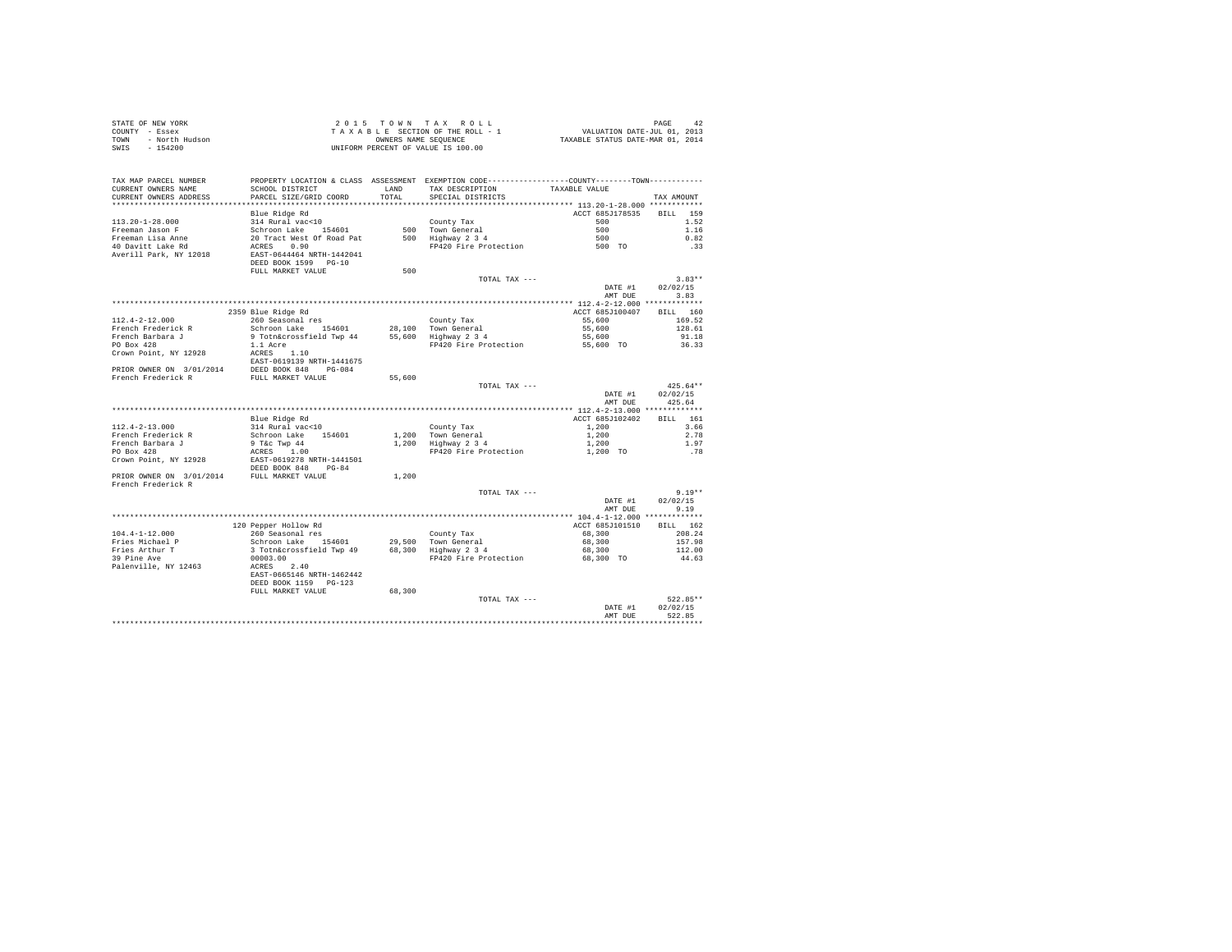| TAX MAP PARCEL NUMBER<br>CURRENT OWNERS NAME<br>CURRENT OWNERS ADDRESS                                                                                                                                                               |                                                                                                                                                                                                                                                      | TOTAL  | PROPERTY LOCATION & CLASS ASSESSMENT EXEMPTION CODE-----------------COUNTY-------TOWN----------<br>TAX DESCRIPTION TAXABLE VALUE<br>SPECIAL DISTRICTS |                                | TAX AMOUNT       |  |
|--------------------------------------------------------------------------------------------------------------------------------------------------------------------------------------------------------------------------------------|------------------------------------------------------------------------------------------------------------------------------------------------------------------------------------------------------------------------------------------------------|--------|-------------------------------------------------------------------------------------------------------------------------------------------------------|--------------------------------|------------------|--|
|                                                                                                                                                                                                                                      |                                                                                                                                                                                                                                                      |        |                                                                                                                                                       |                                |                  |  |
|                                                                                                                                                                                                                                      |                                                                                                                                                                                                                                                      |        |                                                                                                                                                       | ACCT 685J178535 BILL 159       |                  |  |
|                                                                                                                                                                                                                                      |                                                                                                                                                                                                                                                      |        |                                                                                                                                                       |                                | 1.52             |  |
|                                                                                                                                                                                                                                      |                                                                                                                                                                                                                                                      |        |                                                                                                                                                       |                                | 1.16<br>0.82     |  |
|                                                                                                                                                                                                                                      |                                                                                                                                                                                                                                                      |        |                                                                                                                                                       |                                | .33              |  |
|                                                                                                                                                                                                                                      |                                                                                                                                                                                                                                                      |        |                                                                                                                                                       |                                |                  |  |
|                                                                                                                                                                                                                                      | DEED BOOK 1599 PG-10                                                                                                                                                                                                                                 |        |                                                                                                                                                       |                                |                  |  |
|                                                                                                                                                                                                                                      | FULL MARKET VALUE                                                                                                                                                                                                                                    | 500    |                                                                                                                                                       |                                |                  |  |
|                                                                                                                                                                                                                                      |                                                                                                                                                                                                                                                      |        | TOTAL TAX ---                                                                                                                                         |                                | $3.83**$         |  |
|                                                                                                                                                                                                                                      |                                                                                                                                                                                                                                                      |        |                                                                                                                                                       |                                | DATE #1 02/02/15 |  |
|                                                                                                                                                                                                                                      |                                                                                                                                                                                                                                                      |        |                                                                                                                                                       |                                | AMT DUE 3.83     |  |
| 112.4-2-12.000<br>112.4-2-12.000 2359 Blue Ridge Rd<br>260 Seasonal res county Tax accression of the component of the setting of the set of the set of the set of the<br>French Parkara J 9 Tothacerossfield Twp 44 55,600 Town Gene |                                                                                                                                                                                                                                                      |        |                                                                                                                                                       | ACCT 685J100407 BILL 160       |                  |  |
|                                                                                                                                                                                                                                      |                                                                                                                                                                                                                                                      |        |                                                                                                                                                       | 55,600 169.52                  |                  |  |
|                                                                                                                                                                                                                                      |                                                                                                                                                                                                                                                      |        |                                                                                                                                                       |                                | 128.61           |  |
|                                                                                                                                                                                                                                      |                                                                                                                                                                                                                                                      |        |                                                                                                                                                       |                                | 91.18            |  |
|                                                                                                                                                                                                                                      |                                                                                                                                                                                                                                                      |        |                                                                                                                                                       |                                | 36.33            |  |
|                                                                                                                                                                                                                                      |                                                                                                                                                                                                                                                      |        |                                                                                                                                                       |                                |                  |  |
|                                                                                                                                                                                                                                      |                                                                                                                                                                                                                                                      |        |                                                                                                                                                       |                                |                  |  |
|                                                                                                                                                                                                                                      |                                                                                                                                                                                                                                                      |        |                                                                                                                                                       |                                |                  |  |
|                                                                                                                                                                                                                                      |                                                                                                                                                                                                                                                      |        | TOTAL TAX ---                                                                                                                                         |                                | $425.64**$       |  |
|                                                                                                                                                                                                                                      |                                                                                                                                                                                                                                                      |        |                                                                                                                                                       | DATE #1                        | 02/02/15         |  |
|                                                                                                                                                                                                                                      |                                                                                                                                                                                                                                                      |        |                                                                                                                                                       | AMT DUR                        | 425.64           |  |
|                                                                                                                                                                                                                                      |                                                                                                                                                                                                                                                      |        |                                                                                                                                                       |                                |                  |  |
|                                                                                                                                                                                                                                      |                                                                                                                                                                                                                                                      |        |                                                                                                                                                       | ACCT 685J102402 BILL 161       |                  |  |
| $112.4 - 2 - 13.000$                                                                                                                                                                                                                 |                                                                                                                                                                                                                                                      |        |                                                                                                                                                       |                                | 3.66             |  |
| French Frederick R                                                                                                                                                                                                                   |                                                                                                                                                                                                                                                      |        |                                                                                                                                                       |                                | 2.78<br>1.97     |  |
| French Barbara J<br>PO Box 428                                                                                                                                                                                                       |                                                                                                                                                                                                                                                      |        |                                                                                                                                                       |                                | .78              |  |
| Crown Point, NY 12928                                                                                                                                                                                                                |                                                                                                                                                                                                                                                      |        |                                                                                                                                                       |                                |                  |  |
|                                                                                                                                                                                                                                      | 1.200 Blue Ridge Rd<br>1.200 Blue Ridge Rd<br>1.200 County Tax<br>1.200 County Tax<br>1.200 County Tax<br>1.200 Town General<br>9 Tac Twp 44<br>1.200 Town General<br>1.200 Tanglue Protection<br>RRES 1.000 Town General<br>1.200 Fighway 2 3 4<br> |        |                                                                                                                                                       |                                |                  |  |
| PRIOR OWNER ON 3/01/2014 FULL MARKET VALUE                                                                                                                                                                                           |                                                                                                                                                                                                                                                      | 1,200  |                                                                                                                                                       |                                |                  |  |
| French Frederick R                                                                                                                                                                                                                   |                                                                                                                                                                                                                                                      |        |                                                                                                                                                       |                                |                  |  |
|                                                                                                                                                                                                                                      |                                                                                                                                                                                                                                                      |        | TOTAL TAX ---                                                                                                                                         |                                | $9.19**$         |  |
|                                                                                                                                                                                                                                      |                                                                                                                                                                                                                                                      |        |                                                                                                                                                       | DATE #1<br>AMT DUE             | 02/02/15<br>9.19 |  |
|                                                                                                                                                                                                                                      |                                                                                                                                                                                                                                                      |        |                                                                                                                                                       |                                |                  |  |
|                                                                                                                                                                                                                                      | COMPT THE CONTROVER CONTROL CONTROL CONTROL SCHEDUNGER 1999 (1999)<br>Schedule Control of Control of Control of Control of Control of Control of Control of Control of Control of C<br>ACRES 2.40<br>EAST-0665146 NPTH-1400000000000                 |        |                                                                                                                                                       | ACCT 685J101510 BILL 162       |                  |  |
| $104.4 - 1 - 12.000$                                                                                                                                                                                                                 | 260 Seasonal res                                                                                                                                                                                                                                     |        |                                                                                                                                                       | 68,300 208.24<br>68,300 157.98 |                  |  |
| Fries Michael P                                                                                                                                                                                                                      |                                                                                                                                                                                                                                                      |        |                                                                                                                                                       |                                |                  |  |
| Fries Arthur T                                                                                                                                                                                                                       |                                                                                                                                                                                                                                                      |        |                                                                                                                                                       | 68,300                         | 112.00           |  |
| 39 Pine Ave                                                                                                                                                                                                                          |                                                                                                                                                                                                                                                      |        | FP420 Fire Protection                                                                                                                                 | 68,300 TO                      | 44.63            |  |
| Palenville, NY 12463                                                                                                                                                                                                                 |                                                                                                                                                                                                                                                      |        |                                                                                                                                                       |                                |                  |  |
|                                                                                                                                                                                                                                      | DEED BOOK 1159 PG-123                                                                                                                                                                                                                                |        |                                                                                                                                                       |                                |                  |  |
|                                                                                                                                                                                                                                      | FULL MARKET VALUE                                                                                                                                                                                                                                    | 68,300 |                                                                                                                                                       |                                |                  |  |
|                                                                                                                                                                                                                                      |                                                                                                                                                                                                                                                      |        | TOTAL TAX ---                                                                                                                                         |                                | 522.85**         |  |
|                                                                                                                                                                                                                                      |                                                                                                                                                                                                                                                      |        |                                                                                                                                                       | DATE #1                        | 02/02/15         |  |
|                                                                                                                                                                                                                                      |                                                                                                                                                                                                                                                      |        |                                                                                                                                                       | AMT DUR                        | 522.85           |  |
|                                                                                                                                                                                                                                      |                                                                                                                                                                                                                                                      |        |                                                                                                                                                       |                                |                  |  |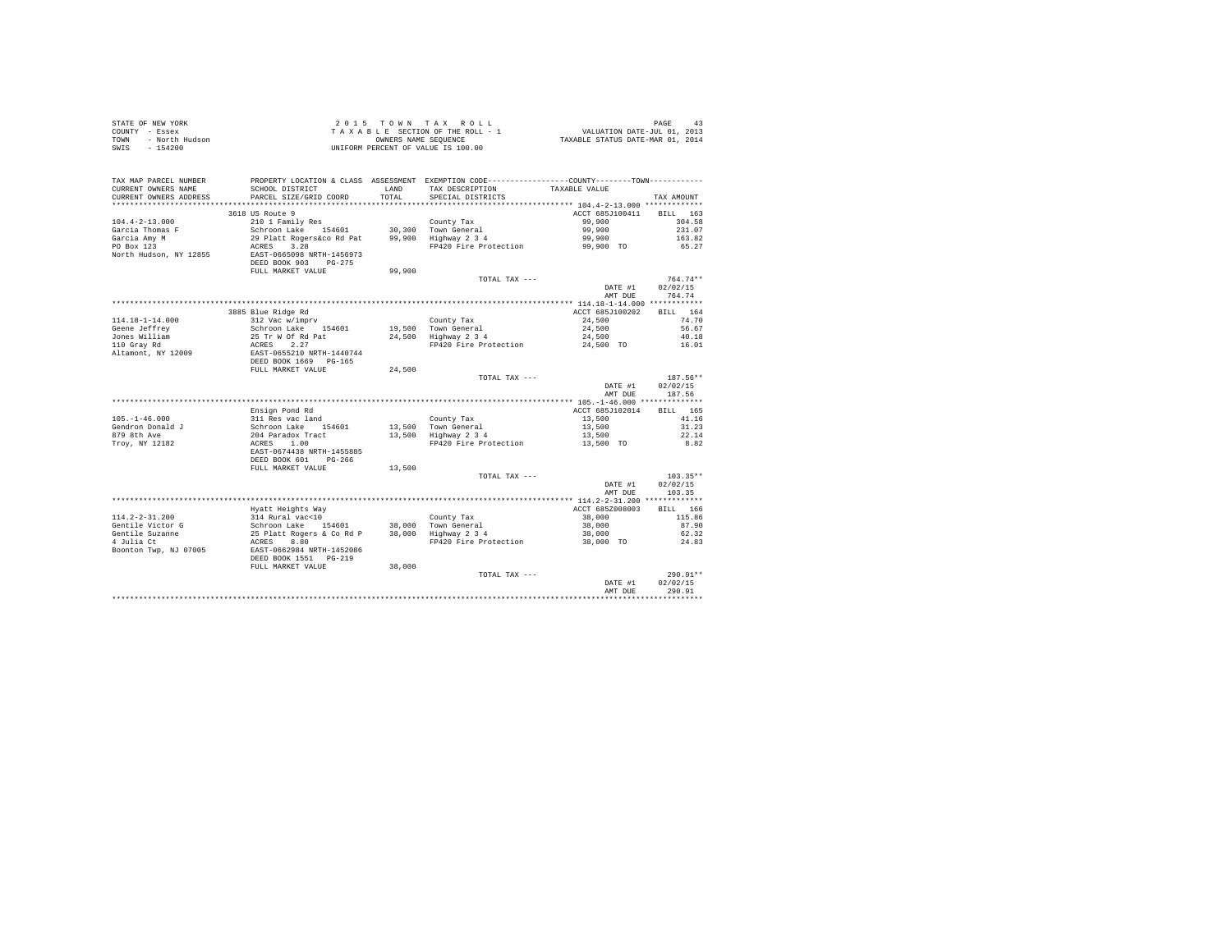| STATE OF NEW YORK |                | 2015 TOWN TAX ROLL                 | PAGE                             |
|-------------------|----------------|------------------------------------|----------------------------------|
| COUNTY - Essex    |                | TAXABLE SECTION OF THE ROLL - 1    | VALUATION DATE-JUL 01, 2013      |
| TOWN              | - North Hudson | OWNERS NAME SEOUENCE               | TAXABLE STATUS DATE-MAR 01, 2014 |
| SWIS              | $-154200$      | UNIFORM PERCENT OF VALUE IS 100.00 |                                  |

| TAX MAP PARCEL NUMBER<br>CURRENT OWNERS NAME<br>CURRENT OWNERS ADDRESS | SCHOOL DISTRICT<br>PARCEL SIZE/GRID COORD                                   | <b>T.AND</b><br>TOTAL | PROPERTY LOCATION & CLASS ASSESSMENT EXEMPTION CODE----------------COUNTY--------TOWN----------<br>TAX DESCRIPTION<br>SPECIAL DISTRICTS | TAXABLE VALUE   | TAX AMOUNT         |
|------------------------------------------------------------------------|-----------------------------------------------------------------------------|-----------------------|-----------------------------------------------------------------------------------------------------------------------------------------|-----------------|--------------------|
| ***********************                                                | *****************************                                               |                       |                                                                                                                                         |                 |                    |
|                                                                        | 3618 US Route 9                                                             |                       |                                                                                                                                         | ACCT 685J100411 | 163<br><b>BILL</b> |
| $104.4 - 2 - 13.000$                                                   | 210 1 Family Res                                                            |                       | County Tax                                                                                                                              | 99,900          | 304.58             |
| Garcia Thomas F                                                        | Schroon Lake 154601                                                         |                       | 30.300 Town General                                                                                                                     | 99,900          | 231.07             |
| Garcia Amy M                                                           | 29 Platt Rogers&co Rd Pat                                                   | 99,900                | Highway 2 3 4                                                                                                                           | 99,900          | 163.82             |
| PO Box 123                                                             | ACRES<br>3.28                                                               |                       | FP420 Fire Protection                                                                                                                   | 99,900 TO       | 65.27              |
| North Hudson, NY 12855                                                 | EAST-0665098 NRTH-1456973<br>DEED BOOK 903<br>$PG-275$<br>FULL MARKET VALUE | 99,900                |                                                                                                                                         |                 |                    |
|                                                                        |                                                                             |                       | TOTAL TAX ---                                                                                                                           |                 | $764.74**$         |
|                                                                        |                                                                             |                       |                                                                                                                                         | DATE #1         | 02/02/15           |
|                                                                        |                                                                             |                       |                                                                                                                                         |                 | 764.74             |
|                                                                        |                                                                             |                       |                                                                                                                                         | AMT DUE         |                    |
|                                                                        |                                                                             |                       |                                                                                                                                         |                 |                    |
|                                                                        | 3885 Blue Ridge Rd                                                          |                       |                                                                                                                                         | ACCT 685J100202 | BILL 164           |
| 114.18-1-14.000                                                        | 312 Vac w/imprv                                                             |                       | County Tax                                                                                                                              | 24,500          | 74.70              |
| Geene Jeffrey                                                          | Schroon Lake 154601                                                         |                       | 19,500 Town General                                                                                                                     | 24,500          | 56.67              |
| Jones William                                                          | 25 Tr W Of Rd Pat                                                           |                       | 24,500 Highway 2 3 4                                                                                                                    | 24,500          | 40.18              |
| 110 Gray Rd                                                            | ACRES<br>2.27                                                               |                       | FP420 Fire Protection                                                                                                                   | 24,500 TO       | 16.01              |
| Altamont, NY 12009                                                     | EAST-0655210 NRTH-1440744<br>DEED BOOK 1669 PG-165                          |                       |                                                                                                                                         |                 |                    |
|                                                                        | FULL MARKET VALUE                                                           | 24,500                |                                                                                                                                         |                 |                    |
|                                                                        |                                                                             |                       | TOTAL TAX ---                                                                                                                           |                 | 187.56**           |
|                                                                        |                                                                             |                       |                                                                                                                                         | DATE #1         | 02/02/15           |
|                                                                        |                                                                             |                       |                                                                                                                                         | AMT DUE         | 187.56             |
|                                                                        |                                                                             |                       |                                                                                                                                         |                 |                    |
|                                                                        | Ensign Pond Rd                                                              |                       |                                                                                                                                         | ACCT 685J102014 | BILL 165           |
| $105. - 1 - 46.000$                                                    | 311 Res vac land                                                            |                       | County Tax                                                                                                                              | 13,500          | 41.16              |
| Gendron Donald J                                                       | Schroon Lake<br>154601                                                      | 13,500                | Town General                                                                                                                            | 13,500          | 31.23              |
| 879 8th Ave                                                            | 204 Paradox Tract                                                           | 13,500                | Highway 2 3 4                                                                                                                           | 13,500          | 22.14              |
| Troy, NY 12182                                                         | 1.00<br>ACRES                                                               |                       | FP420 Fire Protection                                                                                                                   | 13,500 TO       | 8.82               |
|                                                                        | EAST-0674438 NRTH-1455885<br>DEED BOOK 601<br>$PG-266$                      |                       |                                                                                                                                         |                 |                    |
|                                                                        | FULL MARKET VALUE                                                           | 13,500                |                                                                                                                                         |                 |                    |
|                                                                        |                                                                             |                       | TOTAL TAX ---                                                                                                                           |                 | $103.35**$         |
|                                                                        |                                                                             |                       |                                                                                                                                         | DATE #1         | 02/02/15           |
|                                                                        |                                                                             |                       |                                                                                                                                         | AMT DUE         | 103.35             |
|                                                                        |                                                                             |                       |                                                                                                                                         |                 |                    |
|                                                                        | Hyatt Heights Way                                                           |                       |                                                                                                                                         | ACCT 685Z008003 | RTT.T.<br>166      |
| $114.2 - 2 - 31.200$                                                   | 314 Rural vac<10                                                            |                       | County Tax                                                                                                                              | 38,000          | 115.86             |
| Gentile Victor G                                                       | Schroon Lake<br>154601                                                      |                       | 38,000 Town General                                                                                                                     | 38,000          | 87.90              |
| Gentile Suzanne                                                        | 25 Platt Rogers & Co Rd P                                                   |                       | 38,000 Highway 2 3 4                                                                                                                    | 38,000          | 62.32              |
| 4 Julia Ct                                                             | 8.80<br>ACRES                                                               |                       | FP420 Fire Protection                                                                                                                   | 38,000 TO       | 24.83              |
| Boonton Twp, NJ 07005                                                  | EAST-0662984 NRTH-1452086<br>DEED BOOK 1551 PG-219                          |                       |                                                                                                                                         |                 |                    |
|                                                                        | FULL MARKET VALUE                                                           | 38,000                |                                                                                                                                         |                 |                    |
|                                                                        |                                                                             |                       | TOTAL TAX ---                                                                                                                           |                 | $290.91**$         |
|                                                                        |                                                                             |                       |                                                                                                                                         | DATE #1         | 02/02/15           |
|                                                                        |                                                                             |                       |                                                                                                                                         | AMT DUE         | 290.91             |
|                                                                        |                                                                             |                       |                                                                                                                                         |                 |                    |
|                                                                        |                                                                             |                       |                                                                                                                                         |                 |                    |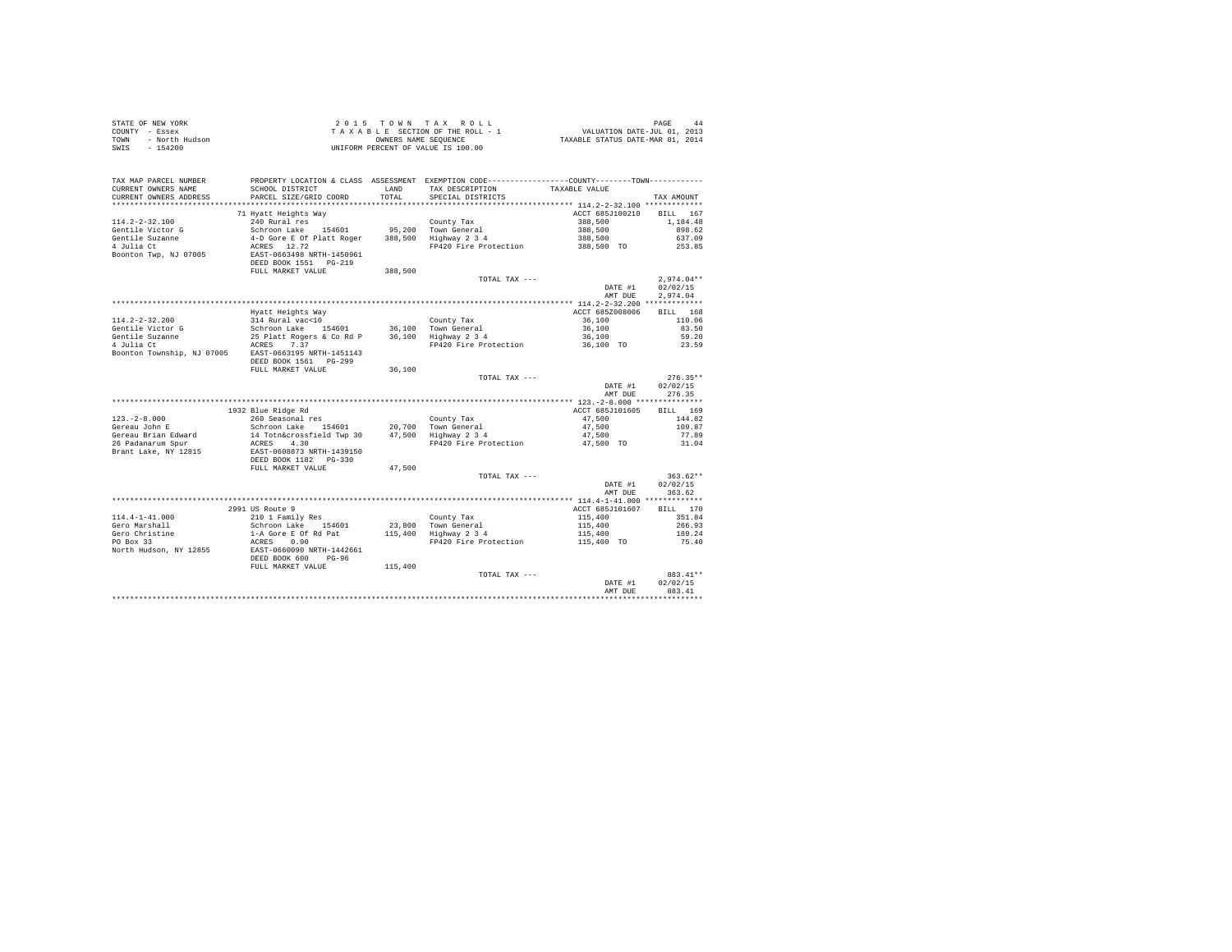|                                                                                                                                                                                                                                            |                                                    |         | 2015 TOWN TAX ROLL<br>$\begin{array}{lcl} \mbox{$\angle$ & $\cup$ & $\bot$ & $\supset$ & $\mathrm{A}$ & $\mathrm{A}$ & $\mathrm{A}$ & $\mathrm{A}$ & $\mathrm{A}$ \\ \mbox{ $T$} & $\mathrm{A}$ & $\mathrm{X}$ & $\mathrm{B}$ & $\mathrm{E}$ & $\mathrm{S}\,\mathrm{E}\,\mathrm{C}^{\mathrm{M}}\,\mathrm{C}^{\mathrm{M}}$ & $\mathrm{A}$ & $\mathrm{A}$ & $\mathrm{A}$ \\ \mbox{ $T$} & $\mathrm{A}$ & $\mathrm{X$} & $\mathrm{B}$ & $\mathrm{E}$ & $\mathrm{E}\,\mathrm{S}\,\mathrm{C}^{\mathrm{M}}\,\mathrm{C}^{\mathrm{M}}$ & $\mathrm{A}$ &$ |                            | PAGE<br>44           |
|--------------------------------------------------------------------------------------------------------------------------------------------------------------------------------------------------------------------------------------------|----------------------------------------------------|---------|--------------------------------------------------------------------------------------------------------------------------------------------------------------------------------------------------------------------------------------------------------------------------------------------------------------------------------------------------------------------------------------------------------------------------------------------------------------------------------------------------------------------------------------------------|----------------------------|----------------------|
| TAX MAP PARCEL NUMBER                                                                                                                                                                                                                      |                                                    |         | PROPERTY LOCATION & CLASS ASSESSMENT EXEMPTION CODE---------------COUNTY-------TOWN---------                                                                                                                                                                                                                                                                                                                                                                                                                                                     |                            |                      |
| CURRENT OWNERS NAME                                                                                                                                                                                                                        | SCHOOL DISTRICT                                    | LAND    | TAX DESCRIPTION                                                                                                                                                                                                                                                                                                                                                                                                                                                                                                                                  | TAXABLE VALUE              |                      |
| CURRENT OWNERS ADDRESS                                                                                                                                                                                                                     | PARCEL SIZE/GRID COORD                             | TOTAL   | SPECIAL DISTRICTS                                                                                                                                                                                                                                                                                                                                                                                                                                                                                                                                |                            | TAX AMOUNT           |
|                                                                                                                                                                                                                                            |                                                    |         |                                                                                                                                                                                                                                                                                                                                                                                                                                                                                                                                                  |                            |                      |
| 114.2-2-32.100                                                                                                                                                                                                                             | 71 Hyatt Heights Way<br>240 Rural res              |         | County Tax                                                                                                                                                                                                                                                                                                                                                                                                                                                                                                                                       | ACCT 685J100210<br>388,500 | BILL 167<br>1,184.48 |
|                                                                                                                                                                                                                                            |                                                    |         |                                                                                                                                                                                                                                                                                                                                                                                                                                                                                                                                                  |                            | 898.62               |
|                                                                                                                                                                                                                                            |                                                    |         |                                                                                                                                                                                                                                                                                                                                                                                                                                                                                                                                                  | 388,500<br>388,500         | 637.09               |
|                                                                                                                                                                                                                                            |                                                    |         | FP420 Fire Protection 388,500 TO                                                                                                                                                                                                                                                                                                                                                                                                                                                                                                                 |                            | 253.85               |
| 11-1.2 - 2011 Victor of Schroon Lake 154601 95,200 Town General<br>Gentile Victor of Schroon Lake 154601 95,200 Town General<br>4 Julia Ct 4-D Gore E Of Platt Roger 388,500 Highway 2 3 4<br>4 Julia Ct 265398 NRTH-1450961<br>Boonton Tw |                                                    |         |                                                                                                                                                                                                                                                                                                                                                                                                                                                                                                                                                  |                            |                      |
|                                                                                                                                                                                                                                            | FULL MARKET VALUE                                  | 388,500 |                                                                                                                                                                                                                                                                                                                                                                                                                                                                                                                                                  |                            |                      |
|                                                                                                                                                                                                                                            |                                                    |         | TOTAL TAX ---                                                                                                                                                                                                                                                                                                                                                                                                                                                                                                                                    |                            | $2.974.04**$         |
|                                                                                                                                                                                                                                            |                                                    |         |                                                                                                                                                                                                                                                                                                                                                                                                                                                                                                                                                  | DATE #1                    | 02/02/15             |
|                                                                                                                                                                                                                                            |                                                    |         |                                                                                                                                                                                                                                                                                                                                                                                                                                                                                                                                                  | AMT DUE                    | 2.974.04             |
|                                                                                                                                                                                                                                            |                                                    |         |                                                                                                                                                                                                                                                                                                                                                                                                                                                                                                                                                  |                            |                      |
|                                                                                                                                                                                                                                            | Hyatt Heights Way                                  |         |                                                                                                                                                                                                                                                                                                                                                                                                                                                                                                                                                  | ACCT 685Z008006            | BILL 168             |
| $114.2 - 2 - 32.200$                                                                                                                                                                                                                       | 314 Rural vac<10<br>Schroon Lake 154601            |         | County Tax                                                                                                                                                                                                                                                                                                                                                                                                                                                                                                                                       | 36,100                     | 110.06               |
| Gentile Victor G                                                                                                                                                                                                                           |                                                    |         |                                                                                                                                                                                                                                                                                                                                                                                                                                                                                                                                                  |                            | 83.50                |
| Gentile Suzanne<br>4 Julia Ct                                                                                                                                                                                                              |                                                    |         | 21. November 194601 16,100 100 100 100 100 16,100<br>25 Platt Rogers & Co Rd P 16,100 1100 12 14 16,100<br>25 Platt Rogers & Co Rd P 16,100 16,100 179420 Fire Protection 16,100 10                                                                                                                                                                                                                                                                                                                                                              |                            | 59.20<br>23.59       |
| Boonton Township, NJ 07005 EAST-0663195 NRTH-1451143                                                                                                                                                                                       |                                                    |         |                                                                                                                                                                                                                                                                                                                                                                                                                                                                                                                                                  |                            |                      |
|                                                                                                                                                                                                                                            | DEED BOOK 1561 PG-299                              |         |                                                                                                                                                                                                                                                                                                                                                                                                                                                                                                                                                  |                            |                      |
|                                                                                                                                                                                                                                            | FULL MARKET VALUE                                  | 36,100  |                                                                                                                                                                                                                                                                                                                                                                                                                                                                                                                                                  |                            |                      |
|                                                                                                                                                                                                                                            |                                                    |         | TOTAL TAX ---                                                                                                                                                                                                                                                                                                                                                                                                                                                                                                                                    |                            | $276.35**$           |
|                                                                                                                                                                                                                                            |                                                    |         |                                                                                                                                                                                                                                                                                                                                                                                                                                                                                                                                                  | DATE #1                    | 02/02/15             |
|                                                                                                                                                                                                                                            |                                                    |         |                                                                                                                                                                                                                                                                                                                                                                                                                                                                                                                                                  | AMT DUE                    | 276.35               |
|                                                                                                                                                                                                                                            |                                                    |         |                                                                                                                                                                                                                                                                                                                                                                                                                                                                                                                                                  |                            |                      |
|                                                                                                                                                                                                                                            | 1932 Blue Ridge Rd<br>260 Seasonal res             |         |                                                                                                                                                                                                                                                                                                                                                                                                                                                                                                                                                  | ACCT 685J101605            | BILL 169             |
| $123. - 2 - 8.000$                                                                                                                                                                                                                         |                                                    |         |                                                                                                                                                                                                                                                                                                                                                                                                                                                                                                                                                  | 47.500                     | 144.82               |
| Gereau John E                                                                                                                                                                                                                              |                                                    |         |                                                                                                                                                                                                                                                                                                                                                                                                                                                                                                                                                  | 47,500                     | 109.87               |
| Gereau Brian Edward                                                                                                                                                                                                                        | ACRES 4.30                                         |         | FP420 Fire Protection                                                                                                                                                                                                                                                                                                                                                                                                                                                                                                                            | 47.500<br>47,500 TO        | 77.89<br>31.04       |
| 26 Padanarum Spur<br>Brant I.<br>Brant Lake, NY 12815                                                                                                                                                                                      |                                                    |         |                                                                                                                                                                                                                                                                                                                                                                                                                                                                                                                                                  |                            |                      |
|                                                                                                                                                                                                                                            | EAST-0608873 NRTH-1439150<br>DEED BOOK 1182 PG-330 |         |                                                                                                                                                                                                                                                                                                                                                                                                                                                                                                                                                  |                            |                      |
|                                                                                                                                                                                                                                            | FULL MARKET VALUE                                  | 47.500  |                                                                                                                                                                                                                                                                                                                                                                                                                                                                                                                                                  |                            |                      |
|                                                                                                                                                                                                                                            |                                                    |         | TOTAL TAX ---                                                                                                                                                                                                                                                                                                                                                                                                                                                                                                                                    |                            | $363.62**$           |
|                                                                                                                                                                                                                                            |                                                    |         |                                                                                                                                                                                                                                                                                                                                                                                                                                                                                                                                                  | DATE #1                    | 02/02/15             |
|                                                                                                                                                                                                                                            |                                                    |         |                                                                                                                                                                                                                                                                                                                                                                                                                                                                                                                                                  | AMT DUE                    | 363.62               |
|                                                                                                                                                                                                                                            |                                                    |         |                                                                                                                                                                                                                                                                                                                                                                                                                                                                                                                                                  |                            |                      |
|                                                                                                                                                                                                                                            | 2991 US Route 9                                    |         |                                                                                                                                                                                                                                                                                                                                                                                                                                                                                                                                                  | ACCT 685J101607            | BILL 170             |
| $114.4 - 1 - 41.000$                                                                                                                                                                                                                       | 210 1 Family Res                                   |         |                                                                                                                                                                                                                                                                                                                                                                                                                                                                                                                                                  | 115,400                    | 351.84               |
| Gero Marshall                                                                                                                                                                                                                              |                                                    |         |                                                                                                                                                                                                                                                                                                                                                                                                                                                                                                                                                  | 115,400<br>115,400         | 266.93<br>189.24     |
| Gero Christine<br>PO Box 33                                                                                                                                                                                                                |                                                    |         | FP420 Fire Protection                                                                                                                                                                                                                                                                                                                                                                                                                                                                                                                            | 115,400 TO                 | 75.40                |
| North Hudson, NY 12855                                                                                                                                                                                                                     |                                                    |         |                                                                                                                                                                                                                                                                                                                                                                                                                                                                                                                                                  |                            |                      |
|                                                                                                                                                                                                                                            | DEED BOOK 600 PG-96                                |         |                                                                                                                                                                                                                                                                                                                                                                                                                                                                                                                                                  |                            |                      |
|                                                                                                                                                                                                                                            | FULL MARKET VALUE                                  | 115,400 |                                                                                                                                                                                                                                                                                                                                                                                                                                                                                                                                                  |                            |                      |
|                                                                                                                                                                                                                                            |                                                    |         | TOTAL TAX ---                                                                                                                                                                                                                                                                                                                                                                                                                                                                                                                                    |                            | 883.41**             |
|                                                                                                                                                                                                                                            |                                                    |         |                                                                                                                                                                                                                                                                                                                                                                                                                                                                                                                                                  | DATE #1                    | 02/02/15             |
|                                                                                                                                                                                                                                            |                                                    |         |                                                                                                                                                                                                                                                                                                                                                                                                                                                                                                                                                  | AMT DUE                    | 883.41               |
|                                                                                                                                                                                                                                            |                                                    |         |                                                                                                                                                                                                                                                                                                                                                                                                                                                                                                                                                  |                            |                      |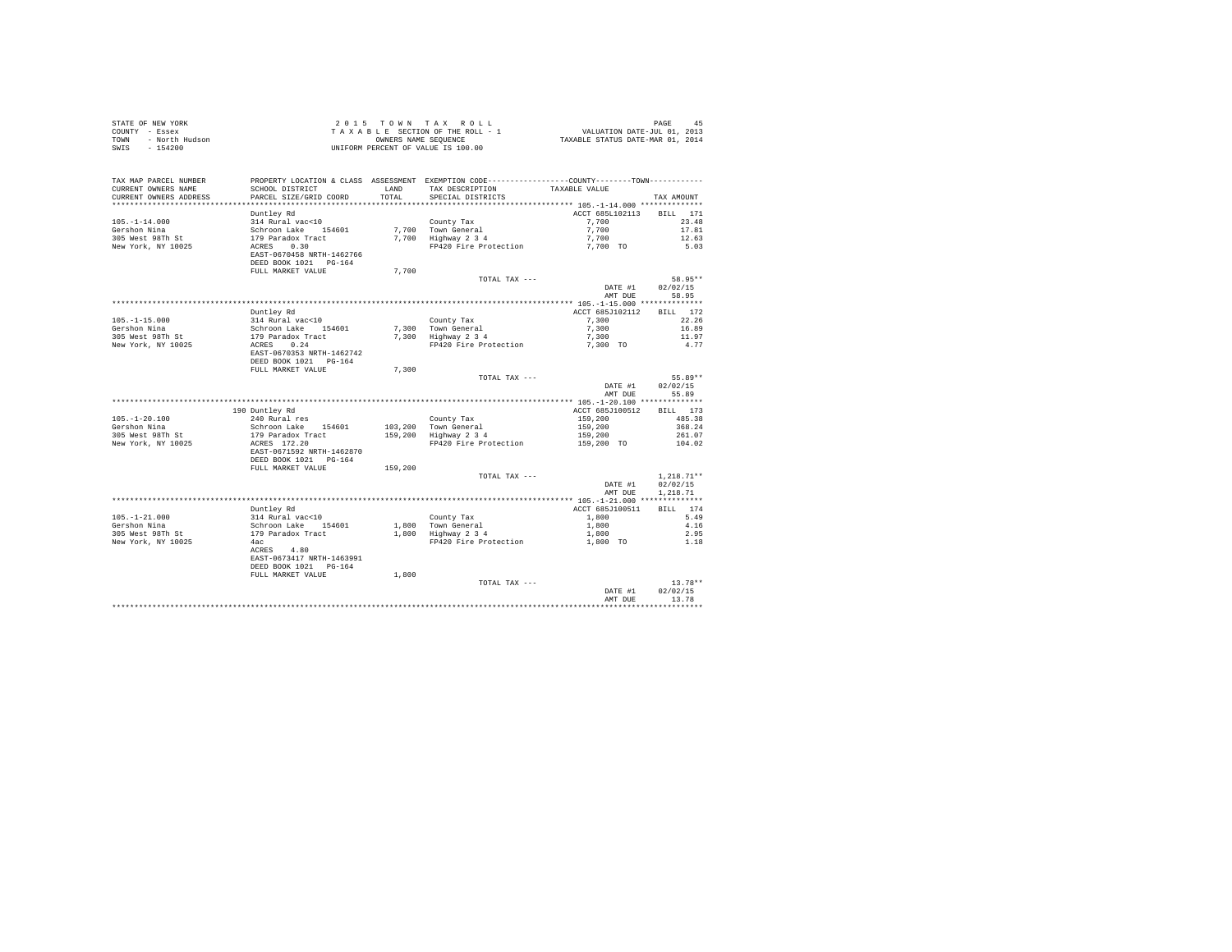|                | STATE OF NEW YORK | $2.0.15$ TOWN TAX ROLL             | 45<br>PAGE                       |  |
|----------------|-------------------|------------------------------------|----------------------------------|--|
| COUNTY - Essex |                   | TAXABLE SECTION OF THE ROLL - 1    | VALUATION DATE-JUL 01, 2013      |  |
| TOWN           | - North Hudson    | OWNERS NAME SEOUENCE               | TAXABLE STATUS DATE-MAR 01, 2014 |  |
|                | SWIS - 154200     | UNIFORM PERCENT OF VALUE IS 100.00 |                                  |  |

| TAX MAP PARCEL NUMBER<br>CURRENT OWNERS NAME<br>CURRENT OWNERS ADDRESS | PROPERTY LOCATION & CLASS ASSESSMENT EXEMPTION CODE----------------COUNTY--------TOWN----------<br>SCHOOL DISTRICT<br>PARCEL SIZE/GRID COORD | LAND<br>TOTAL. | TAX DESCRIPTION<br>SPECIAL DISTRICTS                               | TAXABLE VALUE                     | TAX AMOUNT                           |
|------------------------------------------------------------------------|----------------------------------------------------------------------------------------------------------------------------------------------|----------------|--------------------------------------------------------------------|-----------------------------------|--------------------------------------|
| *********************                                                  | ***********************                                                                                                                      | ***********    | ************************************* 105.-1-14.000 ************** |                                   |                                      |
| $105. - 1 - 14.000$<br>Gershon Nina                                    | Duntley Rd<br>314 Rural vac<10<br>Schroon Lake 154601                                                                                        |                | County Tax<br>7,700 Town General                                   | ACCT 685L102113<br>7,700<br>7,700 | <b>BILL</b><br>171<br>23.48<br>17.81 |
| 305 West 98Th St<br>New York, NY 10025                                 | 179 Paradox Tract<br>0.30<br>ACRES<br>EAST-0670458 NRTH-1462766<br>DEED BOOK 1021 PG-164                                                     |                | 7.700 Highway 2 3 4<br>FP420 Fire Protection                       | 7,700<br>7,700 TO                 | 12.63<br>5.03                        |
|                                                                        | FULL MARKET VALUE                                                                                                                            | 7.700          |                                                                    |                                   |                                      |
|                                                                        |                                                                                                                                              |                | TOTAL TAX ---                                                      |                                   | 58.95**                              |
|                                                                        |                                                                                                                                              |                |                                                                    | DATE #1<br>AMT DUE                | 02/02/15<br>58.95                    |
|                                                                        |                                                                                                                                              |                |                                                                    |                                   |                                      |
|                                                                        | Duntley Rd                                                                                                                                   |                |                                                                    | ACCT 685J102112                   | BILL 172                             |
| $105. - 1 - 15.000$                                                    | 314 Rural vac<10                                                                                                                             |                | County Tax                                                         | 7.300                             | 22.26                                |
| Gershon Nina                                                           | Schroon Lake 154601                                                                                                                          | 7,300          | Town General                                                       | 7.300                             | 16.89                                |
| 305 West 98Th St                                                       | 179 Paradox Tract                                                                                                                            |                | 7,300 Highway 2 3 4                                                | 7,300                             | 11.97                                |
| New York, NY 10025                                                     | 0.24<br>ACRES<br>EAST-0670353 NRTH-1462742                                                                                                   |                | FP420 Fire Protection                                              | 7,300 TO                          | 4.77                                 |
|                                                                        | DEED BOOK 1021 PG-164                                                                                                                        |                |                                                                    |                                   |                                      |
|                                                                        | FULL MARKET VALUE                                                                                                                            | 7,300          |                                                                    |                                   |                                      |
|                                                                        |                                                                                                                                              |                | TOTAL TAX ---                                                      |                                   | 55.89**                              |
|                                                                        |                                                                                                                                              |                |                                                                    | DATE #1                           | 02/02/15                             |
|                                                                        |                                                                                                                                              |                |                                                                    | AMT DUE                           | 55.89                                |
|                                                                        |                                                                                                                                              |                |                                                                    |                                   |                                      |
|                                                                        | 190 Duntley Rd                                                                                                                               |                |                                                                    | ACCT 685J100512                   | BILL 173                             |
| $105. - 1 - 20.100$                                                    | 240 Rural res                                                                                                                                |                | County Tax                                                         | 159,200                           | 485.38                               |
| Gershon Nina                                                           | Schroon Lake 154601                                                                                                                          |                | 103,200 Town General                                               | 159,200                           | 368.24                               |
| 305 West 98Th St                                                       | 179 Paradox Tract                                                                                                                            |                | 159,200 Highway 2 3 4                                              | 159,200                           | 261.07                               |
| New York, NY 10025                                                     | ACRES 172.20<br>EAST-0671592 NRTH-1462870<br>DEED BOOK 1021 PG-164                                                                           |                | FP420 Fire Protection                                              | 159,200 TO                        | 104.02                               |
|                                                                        | FULL MARKET VALUE                                                                                                                            | 159,200        |                                                                    |                                   |                                      |
|                                                                        |                                                                                                                                              |                | TOTAL TAX ---                                                      | DATE #1<br>AMT DUE                | $1.218.71**$<br>02/02/15<br>1,218.71 |
|                                                                        |                                                                                                                                              |                |                                                                    |                                   |                                      |
|                                                                        | Duntley Rd                                                                                                                                   |                |                                                                    | ACCT 685J100511                   | BILL 174                             |
| $105. - 1 - 21.000$                                                    | 314 Rural vac<10                                                                                                                             |                | County Tax                                                         | 1,800                             | 5.49                                 |
| Gershon Nina                                                           | Schroon Lake<br>154601                                                                                                                       | 1,800          | Town General                                                       | 1,800                             | 4.16                                 |
| 305 West 98Th St                                                       | 179 Paradox Tract                                                                                                                            |                | 1,800 Highway 2 3 4                                                | 1,800                             | 2.95                                 |
| New York, NY 10025                                                     | 4ac<br>4.80<br>ACRES<br>EAST-0673417 NRTH-1463991<br>DEED BOOK 1021 PG-164                                                                   |                | FP420 Fire Protection                                              | 1,800 TO                          | 1.18                                 |
|                                                                        | FULL MARKET VALUE                                                                                                                            | 1,800          |                                                                    |                                   |                                      |
|                                                                        |                                                                                                                                              |                | TOTAL TAX ---                                                      | DATE #1                           | $13.78**$<br>02/02/15                |
|                                                                        |                                                                                                                                              |                |                                                                    | AMT DUE                           | 13.78                                |
|                                                                        |                                                                                                                                              |                |                                                                    |                                   |                                      |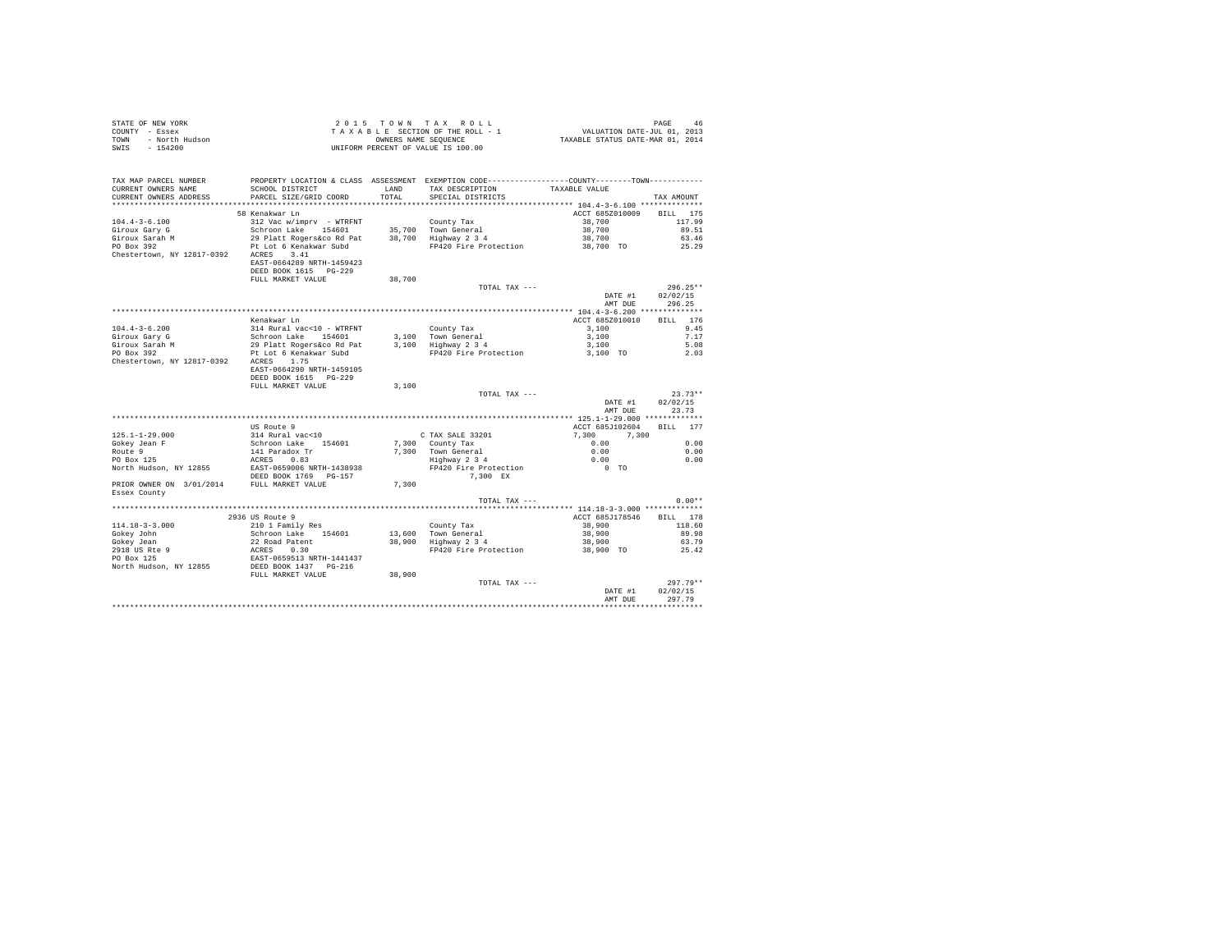| STATE OF NEW YORK      | 2015 TOWN TAX ROLL                 | 46<br>PAGE                       |
|------------------------|------------------------------------|----------------------------------|
| COUNTY - Essex         | TAXABLE SECTION OF THE ROLL - 1    | VALUATION DATE-JUL 01, 2013      |
| TOWN<br>- North Hudson | OWNERS NAME SEOUENCE               | TAXABLE STATUS DATE-MAR 01, 2014 |
| $-154200$<br>SWIS      | UNIFORM PERCENT OF VALUE IS 100.00 |                                  |

| TAX MAP PARCEL NUMBER                           | PROPERTY LOCATION & CLASS ASSESSMENT EXEMPTION CODE----------------COUNTY-------TOWN--------- |        |                                             |                  |                    |
|-------------------------------------------------|-----------------------------------------------------------------------------------------------|--------|---------------------------------------------|------------------|--------------------|
| CURRENT OWNERS NAME                             | SCHOOL DISTRICT                                                                               | LAND   | TAX DESCRIPTION                             | TAXABLE VALUE    |                    |
| CURRENT OWNERS ADDRESS<br>********************* | PARCEL SIZE/GRID COORD                                                                        | TOTAL  | SPECIAL DISTRICTS                           |                  | TAX AMOUNT         |
|                                                 |                                                                                               |        |                                             |                  |                    |
|                                                 | 58 Kenakwar Ln                                                                                |        |                                             | ACCT 685Z010009  | <b>BILL</b><br>175 |
| $104.4 - 3 - 6.100$                             | 312 Vac w/imprv - WTRFNT                                                                      |        | County Tax                                  | 38,700           | 117.99             |
| Giroux Gary G<br>Giroux Sarah M                 | Schroon Lake 154601<br>29 Platt Rogers&co Rd Pat                                              |        | 35,700 Town General<br>38,700 Highway 2 3 4 | 38,700<br>38,700 | 89.51<br>63.46     |
| PO Box 392                                      | Pt Lot 6 Kenakwar Subd                                                                        |        | FP420 Fire Protection                       | 38,700 TO        | 25.29              |
| Chestertown, NY 12817-0392                      | 3.41<br>ACRES                                                                                 |        |                                             |                  |                    |
|                                                 | EAST-0664289 NRTH-1459423                                                                     |        |                                             |                  |                    |
|                                                 | DEED BOOK 1615 PG-229                                                                         |        |                                             |                  |                    |
|                                                 | FULL MARKET VALUE                                                                             | 38,700 |                                             |                  |                    |
|                                                 |                                                                                               |        | TOTAL TAX ---                               |                  | $296.25**$         |
|                                                 |                                                                                               |        |                                             | DATE #1          | 02/02/15           |
|                                                 |                                                                                               |        |                                             | AMT DUE          | 296.25             |
|                                                 |                                                                                               |        |                                             |                  |                    |
|                                                 | Kenakwar Ln                                                                                   |        |                                             | ACCT 685Z010010  | 176<br>BILL        |
| $104.4 - 3 - 6.200$                             | 314 Rural vac<10 - WTRFNT                                                                     |        | County Tax                                  | 3,100            | 9.45               |
| Giroux Gary G                                   | Schroon Lake 154601                                                                           |        | 3.100 Town General                          | 3,100            | 7.17               |
| Giroux Sarah M                                  | 29 Platt Rogers&co Rd Pat                                                                     |        | 3,100 Highway 2 3 4                         | 3,100            | 5.08               |
| PO Box 392                                      | Pt Lot 6 Kenakwar Subd                                                                        |        | FP420 Fire Protection                       | 3,100 TO         | 2.03               |
| Chestertown, NY 12817-0392                      | 1.75<br>ACRES                                                                                 |        |                                             |                  |                    |
|                                                 | EAST-0664290 NRTH-1459105                                                                     |        |                                             |                  |                    |
|                                                 | DEED BOOK 1615 PG-229                                                                         |        |                                             |                  |                    |
|                                                 | FULL MARKET VALUE                                                                             | 3.100  |                                             |                  |                    |
|                                                 |                                                                                               |        | TOTAL TAX ---                               |                  | $23.73**$          |
|                                                 |                                                                                               |        |                                             | DATE #1          | 02/02/15           |
|                                                 |                                                                                               |        |                                             | AMT DUE          | 23.73              |
|                                                 |                                                                                               |        |                                             |                  |                    |
|                                                 | US Route 9                                                                                    |        |                                             | ACCT 685J102604  | <b>BILL</b><br>177 |
| $125.1 - 1 - 29.000$                            | 314 Rural vac<10                                                                              |        | C TAX SALE 33201                            | 7.300<br>7,300   |                    |
| Gokey Jean F                                    | Schroon Lake<br>154601                                                                        |        | 7.300 County Tax                            | 0.00             | 0.00               |
| Route 9                                         | 141 Paradox Tr                                                                                |        | 7.300 Town General                          | 0.00             | 0.00               |
| PO Box 125<br>North Hudson, NY 12855            | 0.83<br>ACRES<br>EAST-0659006 NRTH-1438938                                                    |        | Highway 2 3 4<br>FP420 Fire Protection      | 0.00<br>$0$ TO   | 0.00               |
|                                                 | DEED BOOK 1769 PG-157                                                                         |        | 7.300 EX                                    |                  |                    |
| PRIOR OWNER ON 3/01/2014 FULL MARKET VALUE      |                                                                                               | 7.300  |                                             |                  |                    |
| Essex County                                    |                                                                                               |        |                                             |                  |                    |
|                                                 |                                                                                               |        | TOTAL TAX ---                               |                  | $0.00**$           |
|                                                 |                                                                                               |        |                                             |                  |                    |
|                                                 | 2936 US Route 9                                                                               |        |                                             | ACCT 685J178546  | BILL 178           |
| $114.18 - 3 - 3.000$                            | 210 1 Family Res                                                                              |        | County Tax                                  | 38,900           | 118.60             |
| Gokev John                                      | Schroon Lake 154601                                                                           |        | 13,600 Town General                         | 38,900           | 89.98              |
| Gokev Jean                                      | 22 Road Patent                                                                                |        | 38,900 Highway 2 3 4                        | 38,900           | 63.79              |
| 2918 US Rte 9                                   | 0.30<br>ACRES                                                                                 |        | FP420 Fire Protection                       | 38,900 TO        | 25.42              |
| PO Box 125                                      | EAST-0659513 NRTH-1441437                                                                     |        |                                             |                  |                    |
| North Hudson, NY 12855                          | DEED BOOK 1437 PG-216                                                                         |        |                                             |                  |                    |
|                                                 | FULL MARKET VALUE                                                                             | 38,900 |                                             |                  |                    |
|                                                 |                                                                                               |        | TOTAL TAX ---                               |                  | $297.79**$         |
|                                                 |                                                                                               |        |                                             | DATE #1          | 02/02/15           |
|                                                 |                                                                                               |        |                                             | AMT DUE          | 297.79             |
|                                                 |                                                                                               |        |                                             |                  |                    |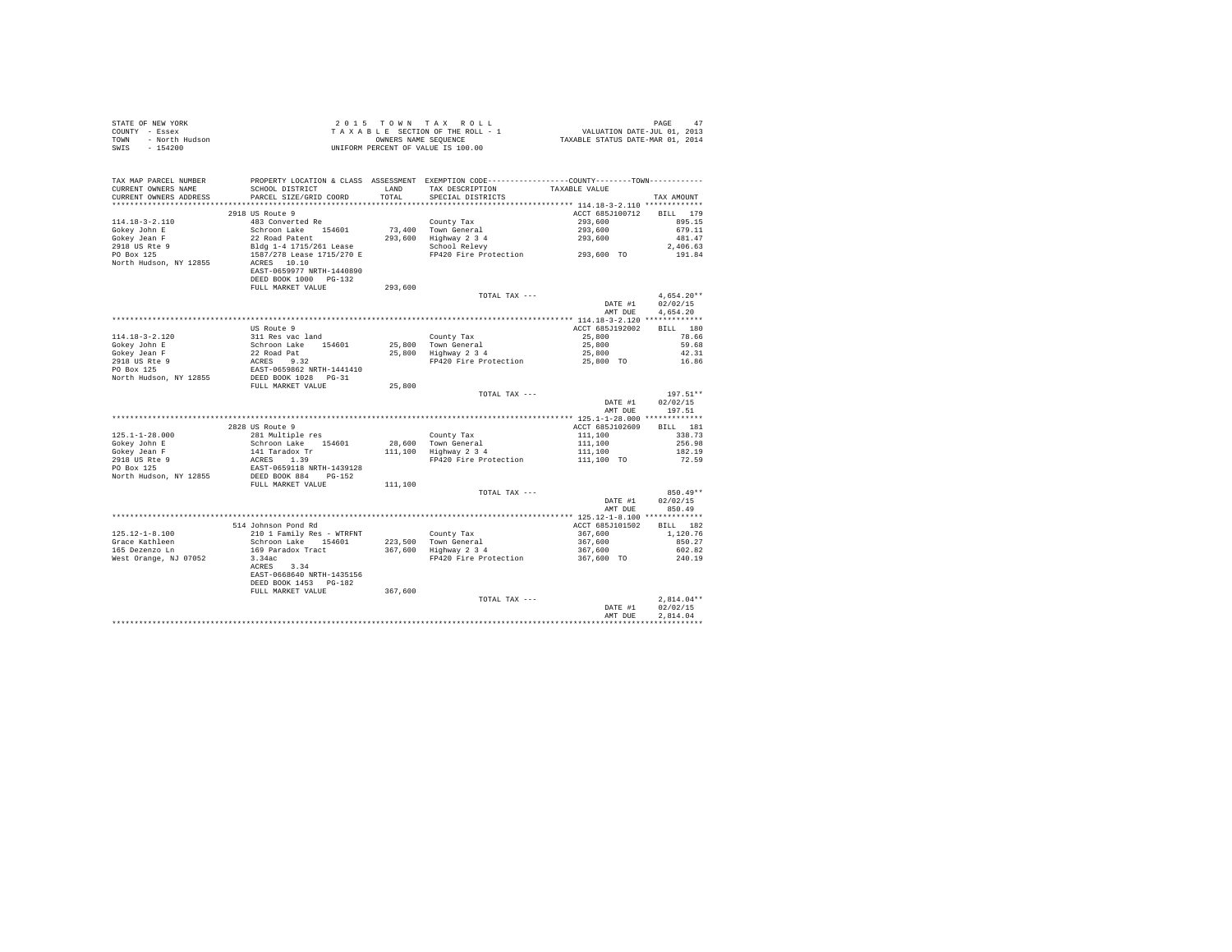| STATE OF NEW YORK      | 2015 TOWN TAX ROLL                 | PAGE<br>-47                      |
|------------------------|------------------------------------|----------------------------------|
| COUNTY - Essex         | TAXABLE SECTION OF THE ROLL - 1    | VALUATION DATE-JUL 01, 2013      |
| TOWN<br>- North Hudson | OWNERS NAME SEOUENCE               | TAXABLE STATUS DATE-MAR 01, 2014 |
| - 154200<br>SWIS       | UNIFORM PERCENT OF VALUE IS 100.00 |                                  |

| TAX MAP PARCEL NUMBER<br>CURRENT OWNERS NAME<br>CURRENT OWNERS ADDRESS | PROPERTY LOCATION & CLASS ASSESSMENT EXEMPTION CODE-----------<br>SCHOOL DISTRICT<br>PARCEL SIZE/GRID COORD               | LAND<br>TOTAL     | TAX DESCRIPTION<br>SPECIAL DISTRICTS        | TAXABLE VALUE                                    | TAX AMOUNT                             |
|------------------------------------------------------------------------|---------------------------------------------------------------------------------------------------------------------------|-------------------|---------------------------------------------|--------------------------------------------------|----------------------------------------|
| *******************                                                    |                                                                                                                           | .                 |                                             |                                                  |                                        |
| $114.18 - 3 - 2.110$<br>Gokey John E<br>Gokey Jean F                   | 2918 US Route 9<br>483 Converted Re<br>Schroon Lake 154601<br>22 Road Patent                                              | 73,400<br>293,600 | County Tax<br>Town General<br>Highway 2 3 4 | ACCT 685J100712<br>293,600<br>293,600<br>293,600 | BILL 179<br>895.15<br>679.11<br>481.47 |
| 2918 US Rte 9<br>PO Box 125<br>North Hudson, NY 12855                  | Bldg 1-4 1715/261 Lease<br>1587/278 Lease 1715/270 E<br>ACRES 10.10<br>EAST-0659977 NRTH-1440890<br>DEED BOOK 1000 PG-132 |                   | School Relevy<br>FP420 Fire Protection      | 293,600 TO                                       | 2.406.63<br>191.84                     |
|                                                                        | FULL MARKET VALUE                                                                                                         | 293,600           |                                             |                                                  |                                        |
|                                                                        |                                                                                                                           |                   | TOTAL TAX ---                               | DATE #1                                          | $4,654.20**$<br>02/02/15               |
|                                                                        |                                                                                                                           |                   |                                             | AMT DUE                                          | 4.654.20                               |
|                                                                        |                                                                                                                           |                   |                                             |                                                  |                                        |
|                                                                        | US Route 9                                                                                                                |                   |                                             | ACCT 685J192002                                  | BILL 180                               |
| $114.18 - 3 - 2.120$                                                   | 311 Res vac land                                                                                                          |                   | County Tax                                  | 25,800                                           | 78.66                                  |
| Gokey John E                                                           | Schroon Lake 154601                                                                                                       | 25,800            | Town General                                | 25,800                                           | 59.68                                  |
| Gokey Jean F<br>2918 US Rte 9                                          | 22 Road Pat                                                                                                               | 25,800            | Highway 2 3 4<br>FP420 Fire Protection      | 25,800                                           | 42.31<br>16.86                         |
| PO Box 125                                                             | ACRES 9.32                                                                                                                |                   |                                             | 25,800 TO                                        |                                        |
| North Hudson, NY 12855                                                 | EAST-0659862 NRTH-1441410<br>DEED BOOK 1028 PG-31                                                                         |                   |                                             |                                                  |                                        |
|                                                                        | FULL MARKET VALUE                                                                                                         | 25,800            |                                             |                                                  |                                        |
|                                                                        |                                                                                                                           |                   | TOTAL TAX ---                               |                                                  | $197.51**$                             |
|                                                                        |                                                                                                                           |                   |                                             | DATE #1                                          | 02/02/15                               |
|                                                                        |                                                                                                                           |                   |                                             | AMT DUE                                          | 197.51                                 |
|                                                                        |                                                                                                                           |                   |                                             |                                                  |                                        |
|                                                                        | 2828 US Route 9                                                                                                           |                   |                                             | ACCT 685J102609                                  | BILL 181                               |
| $125.1 - 1 - 28.000$                                                   | 281 Multiple res                                                                                                          |                   | County Tax                                  | 111,100                                          | 338.73                                 |
| Gokey John E                                                           | Schroon Lake<br>154601                                                                                                    | 28,600            | Town General                                | 111,100                                          | 256.98                                 |
| Gokey Jean F                                                           | 141 Taradox Tr                                                                                                            | 111,100           | Highway 2 3 4                               | 111,100                                          | 182.19                                 |
| 2918 US Rte 9                                                          | ACRES 1.39                                                                                                                |                   | FP420 Fire Protection                       | 111,100 TO                                       | 72.59                                  |
| PO Box 125<br>North Hudson, NY 12855                                   | EAST-0659118 NRTH-1439128<br>DEED BOOK 884<br>PG-152                                                                      |                   |                                             |                                                  |                                        |
|                                                                        | FULL MARKET VALUE                                                                                                         | 111,100           |                                             |                                                  |                                        |
|                                                                        |                                                                                                                           |                   | TOTAL TAX ---                               |                                                  | $850.49**$                             |
|                                                                        |                                                                                                                           |                   |                                             | DATE #1<br>AMT DUE                               | 02/02/15<br>850.49                     |
|                                                                        |                                                                                                                           |                   |                                             |                                                  |                                        |
| $125.12 - 1 - 8.100$                                                   | 514 Johnson Pond Rd                                                                                                       |                   |                                             | ACCT 685J101502                                  | BILL 182<br>1,120.76                   |
| Grace Kathleen                                                         | 210 1 Family Res - WTRFNT<br>Schroon Lake 154601                                                                          | 223,500           | County Tax<br>Town General                  | 367,600<br>367,600                               | 850.27                                 |
| 165 Dezenzo Ln                                                         | 169 Paradox Tract                                                                                                         | 367,600           | Highway 2 3 4                               | 367,600                                          | 602.82                                 |
| West Orange, NJ 07052                                                  | 3.34ac                                                                                                                    |                   | FP420 Fire Protection                       | 367,600 TO                                       | 240.19                                 |
|                                                                        | 3.34<br>ACRES<br>EAST-0668640 NRTH-1435156                                                                                |                   |                                             |                                                  |                                        |
|                                                                        | DEED BOOK 1453 PG-182                                                                                                     |                   |                                             |                                                  |                                        |
|                                                                        | FULL MARKET VALUE                                                                                                         | 367,600           | TOTAL TAX ---                               |                                                  | $2.814.04**$                           |
|                                                                        |                                                                                                                           |                   |                                             | DATE #1                                          | 02/02/15                               |
|                                                                        |                                                                                                                           |                   |                                             | AMT DUE                                          | 2.814.04                               |
|                                                                        |                                                                                                                           |                   |                                             |                                                  |                                        |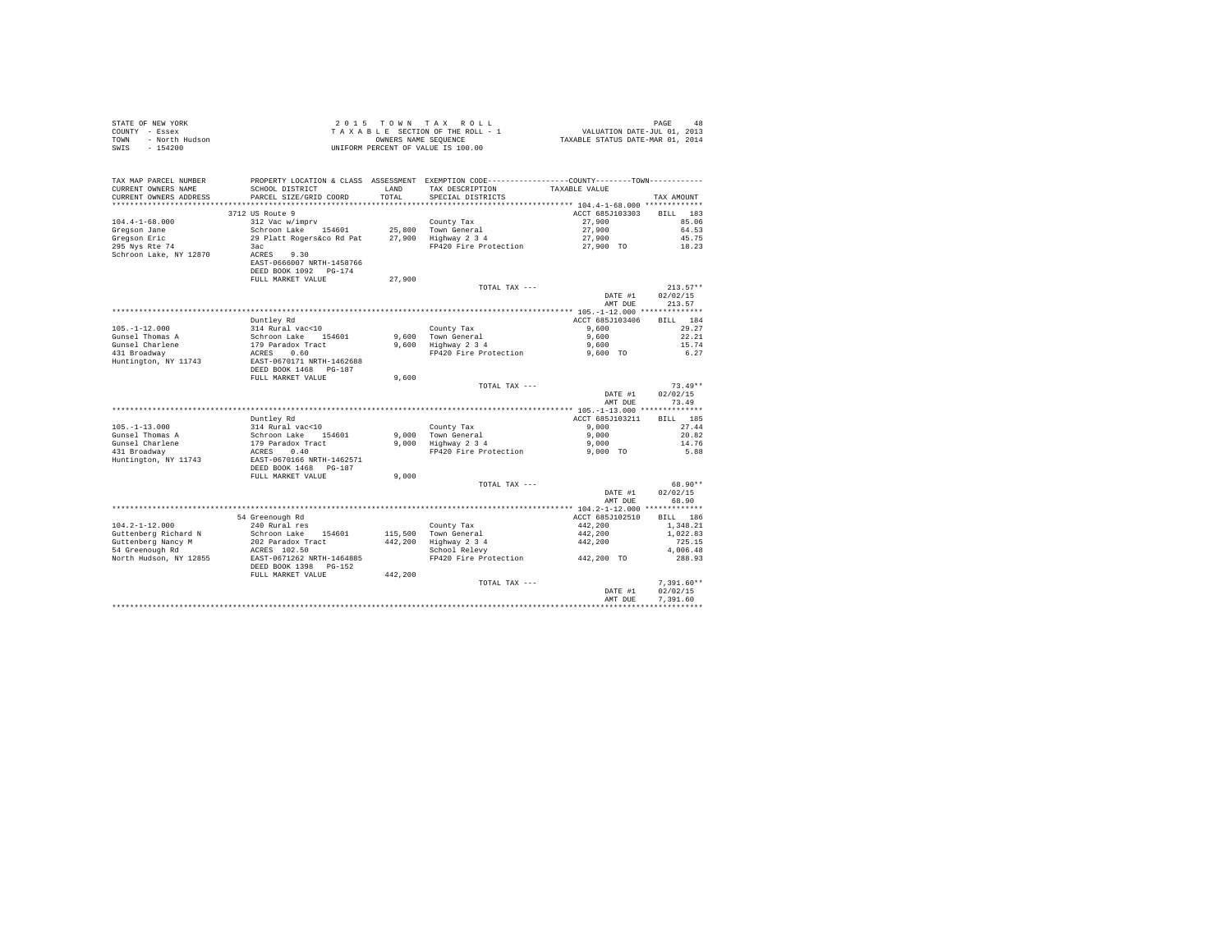|      | STATE OF NEW YORK | 2015 TOWN TAX ROLL                 | 48<br>PAGE                       |
|------|-------------------|------------------------------------|----------------------------------|
|      | COUNTY - Essex    | TAXABLE SECTION OF THE ROLL - 1    | VALUATION DATE-JUL 01, 2013      |
| TOWN | - North Hudson    | OWNERS NAME SEOUENCE               | TAXABLE STATUS DATE-MAR 01, 2014 |
| SWIS | - 154200          | UNIFORM PERCENT OF VALUE IS 100.00 |                                  |

| TAX MAP PARCEL NUMBER<br>CURRENT OWNERS NAME | SCHOOL DISTRICT                                                                                                                  | LAND    | PROPERTY LOCATION & CLASS ASSESSMENT EXEMPTION CODE----------------COUNTY-------TOWN----------<br>TAX DESCRIPTION | TAXABLE VALUE      |                    |
|----------------------------------------------|----------------------------------------------------------------------------------------------------------------------------------|---------|-------------------------------------------------------------------------------------------------------------------|--------------------|--------------------|
| CURRENT OWNERS ADDRESS                       | PARCEL SIZE/GRID COORD                                                                                                           | TOTAL   | SPECIAL DISTRICTS                                                                                                 |                    | TAX AMOUNT         |
|                                              |                                                                                                                                  |         |                                                                                                                   |                    |                    |
|                                              | 3712 US Route 9                                                                                                                  |         |                                                                                                                   | ACCT 685J103303    | <b>BILL</b><br>183 |
| $104.4 - 1 - 68.000$                         | 312 Vac w/imprv                                                                                                                  |         | County Tax                                                                                                        | 27,900             | 85.06              |
| Gregson Jane                                 | Schroon Lake 154601<br>29 Platt Rogers&co Rd Pat                                                                                 |         | 25,800 Town General<br>27,900 Highway 2 3 4                                                                       | 27,900             | 64.53              |
| Gregson Eric                                 |                                                                                                                                  |         |                                                                                                                   | 27,900             | 45.75              |
| 295 Nys Rte 74                               | 3ac                                                                                                                              |         | FP420 Fire Protection                                                                                             | 27,900 TO          | 18.23              |
| Schroon Lake, NY 12870                       | ACRES 9.30<br>EAST-0666007 NRTH-1458766<br>DEED BOOK 1092 PG-174                                                                 |         |                                                                                                                   |                    |                    |
|                                              | FULL MARKET VALUE                                                                                                                | 27,900  |                                                                                                                   |                    |                    |
|                                              |                                                                                                                                  |         | TOTAL TAX ---                                                                                                     |                    | $213.57**$         |
|                                              |                                                                                                                                  |         |                                                                                                                   | DATE #1            | 02/02/15           |
|                                              |                                                                                                                                  |         |                                                                                                                   | AMT DUE            | 213.57             |
|                                              |                                                                                                                                  |         |                                                                                                                   |                    |                    |
|                                              | Duntley Rd                                                                                                                       |         |                                                                                                                   | ACCT 685J103406    | BILL 184           |
| $105. - 1 - 12.000$                          | 314 Rural vac<10                                                                                                                 |         | County Tax                                                                                                        | 9,600              | 29.27              |
| Gunsel Thomas A                              |                                                                                                                                  |         | 9.600 Town General                                                                                                | 9,600              | 22.21              |
| Gunsel Charlene                              |                                                                                                                                  |         | 9,600 Iown General<br>9,600 Highway 2 3 4                                                                         | 9,600              | 15.74              |
| 431 Broadway                                 |                                                                                                                                  |         | FP420 Fire Protection                                                                                             | 9,600 TO           | 6.27               |
| Huntington, NY 11743                         | 314 Rural vac<10<br>Schroon Lake 154601<br>179 Paradox Tract<br>ACRES 0.60<br>EAST-0670171 NRTH-1462688<br>DEED BOOK 1468 PG-187 |         |                                                                                                                   |                    |                    |
|                                              | FULL MARKET VALUE                                                                                                                | 9,600   |                                                                                                                   |                    |                    |
|                                              |                                                                                                                                  |         | TOTAL TAX ---                                                                                                     |                    | $73.49**$          |
|                                              |                                                                                                                                  |         |                                                                                                                   | DATE #1            | 02/02/15           |
|                                              |                                                                                                                                  |         |                                                                                                                   | AMT DUE            | 73.49              |
|                                              |                                                                                                                                  |         |                                                                                                                   |                    |                    |
|                                              | Duntley Rd                                                                                                                       |         |                                                                                                                   | ACCT 685J103211    | BILL 185           |
| $105. - 1 - 13.000$                          | 314 Rural vac<10                                                                                                                 |         | County Tax                                                                                                        | 9.000              | 27.44              |
| Gunsel Thomas A                              | Schroon Lake 154601                                                                                                              |         | 9.000 Town General                                                                                                | 9.000              | 20.82              |
| Gunsel Charlene                              |                                                                                                                                  |         | 9,000 Highway 2 3 4                                                                                               | 9,000              | 14.76              |
| 431 Broadway<br>Huntington, NY 11743         | 179 Paradox Tract<br>179 Paradox Tract<br>ACRES 0.40<br>EAST-0670166 NRTH-1462571<br>DEED BOOK 1468 PG-187                       |         | FP420 Fire Protection                                                                                             | 9,000 TO           | 5.88               |
|                                              | FULL MARKET VALUE                                                                                                                | 9.000   |                                                                                                                   |                    |                    |
|                                              |                                                                                                                                  |         | TOTAL TAX ---                                                                                                     |                    | 68.90**            |
|                                              |                                                                                                                                  |         |                                                                                                                   | DATE #1<br>AMT DUE | 02/02/15<br>68.90  |
|                                              |                                                                                                                                  |         |                                                                                                                   |                    |                    |
|                                              | 54 Greenough Rd                                                                                                                  |         |                                                                                                                   | ACCT 685J102510    | BILL 186           |
| $104.2 - 1 - 12.000$                         | 240 Rural res                                                                                                                    |         | County Tax                                                                                                        | 442.200            | 1,348.21           |
| Guttenberg Richard N                         | Schroon Lake 154601                                                                                                              |         | 115,500 Town General                                                                                              | 442,200            | 1,022.83           |
| Guttenberg Nancy M                           |                                                                                                                                  |         | 442,200 Highway 2 3 4<br>School Relevy                                                                            | 442,200            | 725.15             |
| 54 Greenough Rd                              |                                                                                                                                  |         |                                                                                                                   |                    | 4,006.48           |
| North Hudson, NY 12855                       | 202 Paradox Tract<br>ACRES 102.50<br>EAST-0671262 NRTH-1464885                                                                   |         | FP420 Fire Protection 442.200 TO                                                                                  |                    | 288.93             |
|                                              | DEED BOOK 1398 PG-152<br>FULL MARKET VALUE                                                                                       | 442,200 |                                                                                                                   |                    |                    |
|                                              |                                                                                                                                  |         | TOTAL TAX ---                                                                                                     |                    | $7,391.60**$       |
|                                              |                                                                                                                                  |         |                                                                                                                   | DATE #1            | 02/02/15           |
|                                              |                                                                                                                                  |         |                                                                                                                   | AMT DUE            | 7.391.60           |
|                                              |                                                                                                                                  |         |                                                                                                                   |                    |                    |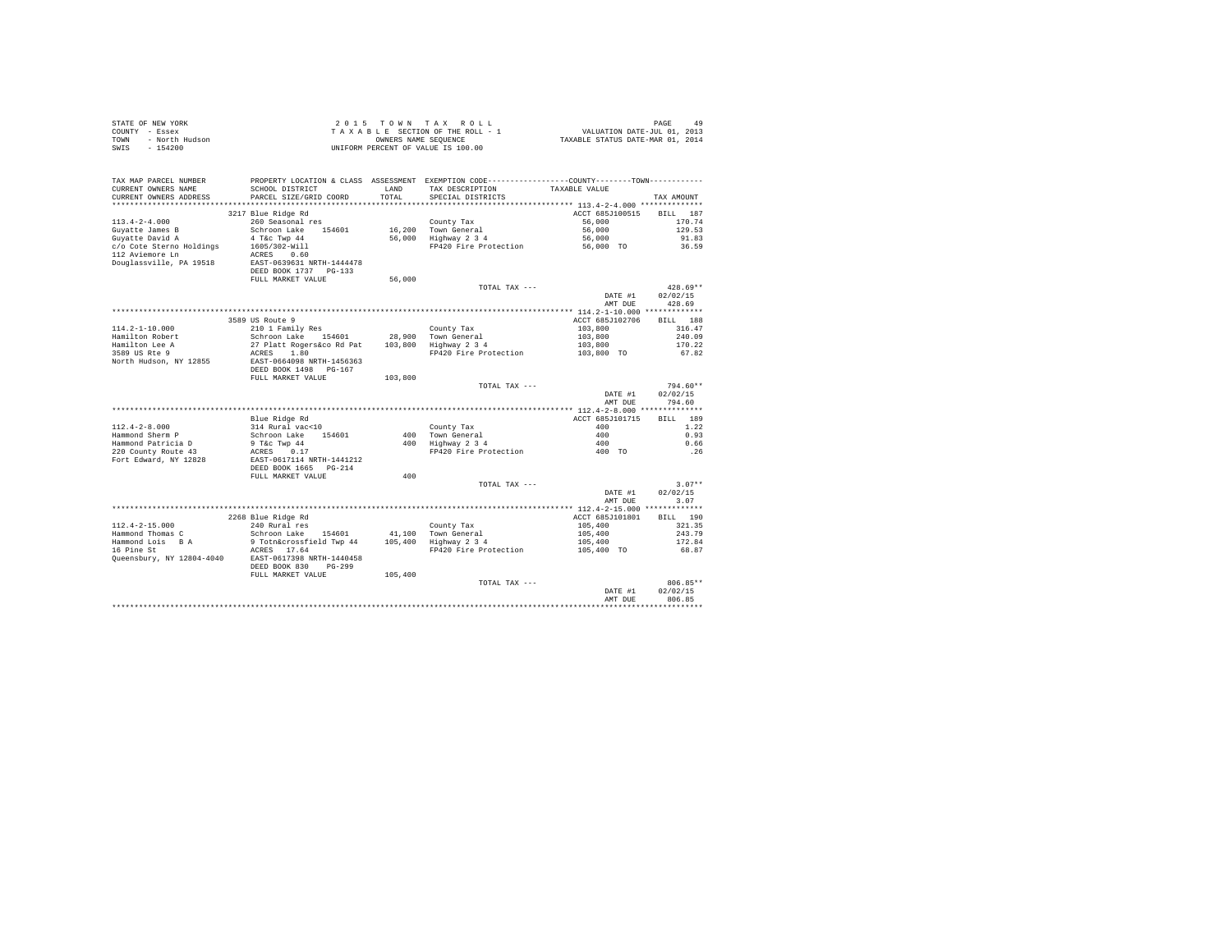|                | STATE OF NEW YORK | 2015 TOWN TAX ROLL                 | 49<br>PAGE                       |
|----------------|-------------------|------------------------------------|----------------------------------|
| COUNTY - Essex |                   | TAXABLE SECTION OF THE ROLL - 1    | VALUATION DATE-JUL 01, 2013      |
| TOWN           | - North Hudson    | OWNERS NAME SEOUENCE               | TAXABLE STATUS DATE-MAR 01, 2014 |
| SWIS           | $-154200$         | UNIFORM PERCENT OF VALUE IS 100.00 |                                  |

| TAX MAP PARCEL NUMBER<br>CURRENT OWNERS NAME<br>CURRENT OWNERS ADDRESS<br>************************* | SCHOOL DISTRICT<br>PARCEL SIZE/GRID COORD      | LAND<br>TOTAL | PROPERTY LOCATION & CLASS ASSESSMENT EXEMPTION CODE---------------COUNTY-------TOWN---------<br>TAX DESCRIPTION<br>SPECIAL DISTRICTS | TAXABLE VALUE                                               | TAX AMOUNT         |
|-----------------------------------------------------------------------------------------------------|------------------------------------------------|---------------|--------------------------------------------------------------------------------------------------------------------------------------|-------------------------------------------------------------|--------------------|
|                                                                                                     |                                                |               |                                                                                                                                      | ACCT 685J100515                                             | BTLL.<br>187       |
| $113.4 - 2 - 4.000$                                                                                 | 3217 Blue Ridge Rd<br>260 Seasonal res         |               | County Tax                                                                                                                           | 56,000                                                      | 170.74             |
| Guyatte James B                                                                                     | Schroon Lake<br>154601                         |               | 16,200 Town General                                                                                                                  | 56,000                                                      | 129.53             |
| Guyatte David A                                                                                     | 4 T&c Twp 44                                   | 56,000        | Highway 2 3 4                                                                                                                        | 56,000                                                      | 91.83              |
| c/o Cote Sterno Holdings                                                                            | 1605/302-Will                                  |               | FP420 Fire Protection                                                                                                                | 56,000 TO                                                   | 36.59              |
| 112 Aviemore Ln                                                                                     | 0.60<br>ACRES                                  |               |                                                                                                                                      |                                                             |                    |
| Douglassville, PA 19518                                                                             | EAST-0639631 NRTH-1444478                      |               |                                                                                                                                      |                                                             |                    |
|                                                                                                     | DEED BOOK 1737 PG-133                          |               |                                                                                                                                      |                                                             |                    |
|                                                                                                     | FULL MARKET VALUE                              | 56,000        |                                                                                                                                      |                                                             |                    |
|                                                                                                     |                                                |               | TOTAL TAX ---                                                                                                                        |                                                             | $428.69**$         |
|                                                                                                     |                                                |               |                                                                                                                                      | DATE #1                                                     | 02/02/15           |
|                                                                                                     |                                                |               | *************************                                                                                                            | AMT DUE                                                     | 428.69             |
|                                                                                                     | 3589 US Route 9                                |               |                                                                                                                                      | *********** 114.2-1-10.000 *************<br>ACCT 685J102706 | <b>BTT.T. 188</b>  |
| $114.2 - 1 - 10.000$                                                                                | 210 1 Family Res                               |               | County Tax                                                                                                                           | 103,800                                                     | 316.47             |
| Hamilton Robert                                                                                     | Schroon Lake 154601                            | 28,900        | Town General                                                                                                                         | 103,800                                                     | 240.09             |
| Hamilton Lee A                                                                                      | 27 Platt Rogers&co Rd Pat                      | 103,800       | Highway 2 3 4                                                                                                                        | 103,800                                                     | 170.22             |
| 3589 US Rte 9                                                                                       | ACRES<br>1.80                                  |               | FP420 Fire Protection                                                                                                                | 103,800 TO                                                  | 67.82              |
| North Hudson, NY 12855                                                                              | EAST-0664098 NRTH-1456363                      |               |                                                                                                                                      |                                                             |                    |
|                                                                                                     | DEED BOOK 1498 PG-167                          |               |                                                                                                                                      |                                                             |                    |
|                                                                                                     | FULL MARKET VALUE                              | 103,800       |                                                                                                                                      |                                                             |                    |
|                                                                                                     |                                                |               | TOTAL TAX ---                                                                                                                        |                                                             | $794.60**$         |
|                                                                                                     |                                                |               |                                                                                                                                      | DATE #1<br>AMT DUE                                          | 02/02/15<br>794.60 |
|                                                                                                     |                                                |               |                                                                                                                                      |                                                             |                    |
|                                                                                                     | Blue Ridge Rd                                  |               |                                                                                                                                      | ACCT 685J101715                                             | 189<br><b>BILL</b> |
| $112.4 - 2 - 8.000$                                                                                 | 314 Rural vac<10                               |               | County Tax                                                                                                                           | 400                                                         | 1.22               |
| Hammond Sherm P                                                                                     | Schroon Lake 154601                            | 400           | Town General                                                                                                                         | 400                                                         | 0.93               |
| Hammond Patricia D                                                                                  | 9 T&c Twp 44                                   | 400           | Highway 2 3 4                                                                                                                        | 400                                                         | 0.66               |
| 220 County Route 43                                                                                 | 0.17<br>ACRES                                  |               | FP420 Fire Protection                                                                                                                | 400 TO                                                      | . 26               |
| Fort Edward, NY 12828                                                                               | EAST-0617114 NRTH-1441212                      |               |                                                                                                                                      |                                                             |                    |
|                                                                                                     | DEED BOOK 1665 PG-214                          |               |                                                                                                                                      |                                                             |                    |
|                                                                                                     | FULL MARKET VALUE                              | 400           |                                                                                                                                      |                                                             | $3.07**$           |
|                                                                                                     |                                                |               | TOTAL TAX ---                                                                                                                        | DATE #1                                                     | 02/02/15           |
|                                                                                                     |                                                |               |                                                                                                                                      | AMT DUE                                                     | 3.07               |
|                                                                                                     |                                                |               |                                                                                                                                      |                                                             |                    |
|                                                                                                     | 2268 Blue Ridge Rd                             |               |                                                                                                                                      | ACCT 685J101801                                             | BILL 190           |
| $112.4 - 2 - 15.000$                                                                                | 240 Rural res                                  |               | County Tax                                                                                                                           | 105,400                                                     | 321.35             |
| Hammond Thomas C                                                                                    | Schroon Lake 154601                            | 41,100        | Town General                                                                                                                         | 105,400                                                     | 243.79             |
| Hammond Lois BA                                                                                     | 9 Totn&crossfield Twp 44                       | 105,400       | Highway 2 3 4                                                                                                                        | 105,400                                                     | 172.84             |
| 16 Pine St                                                                                          | ACRES 17.64                                    |               | FP420 Fire Protection                                                                                                                | 105,400 TO                                                  | 68.87              |
| Queensbury, NY 12804-4040                                                                           | EAST-0617398 NRTH-1440458                      |               |                                                                                                                                      |                                                             |                    |
|                                                                                                     | DEED BOOK 830<br>$PG-299$<br>FULL MARKET VALUE | 105,400       |                                                                                                                                      |                                                             |                    |
|                                                                                                     |                                                |               | TOTAL TAX ---                                                                                                                        |                                                             | 806.85**           |
|                                                                                                     |                                                |               |                                                                                                                                      | DATE #1                                                     | 02/02/15           |
|                                                                                                     |                                                |               |                                                                                                                                      | AMT DUE                                                     | 806.85             |
|                                                                                                     |                                                |               |                                                                                                                                      |                                                             | .                  |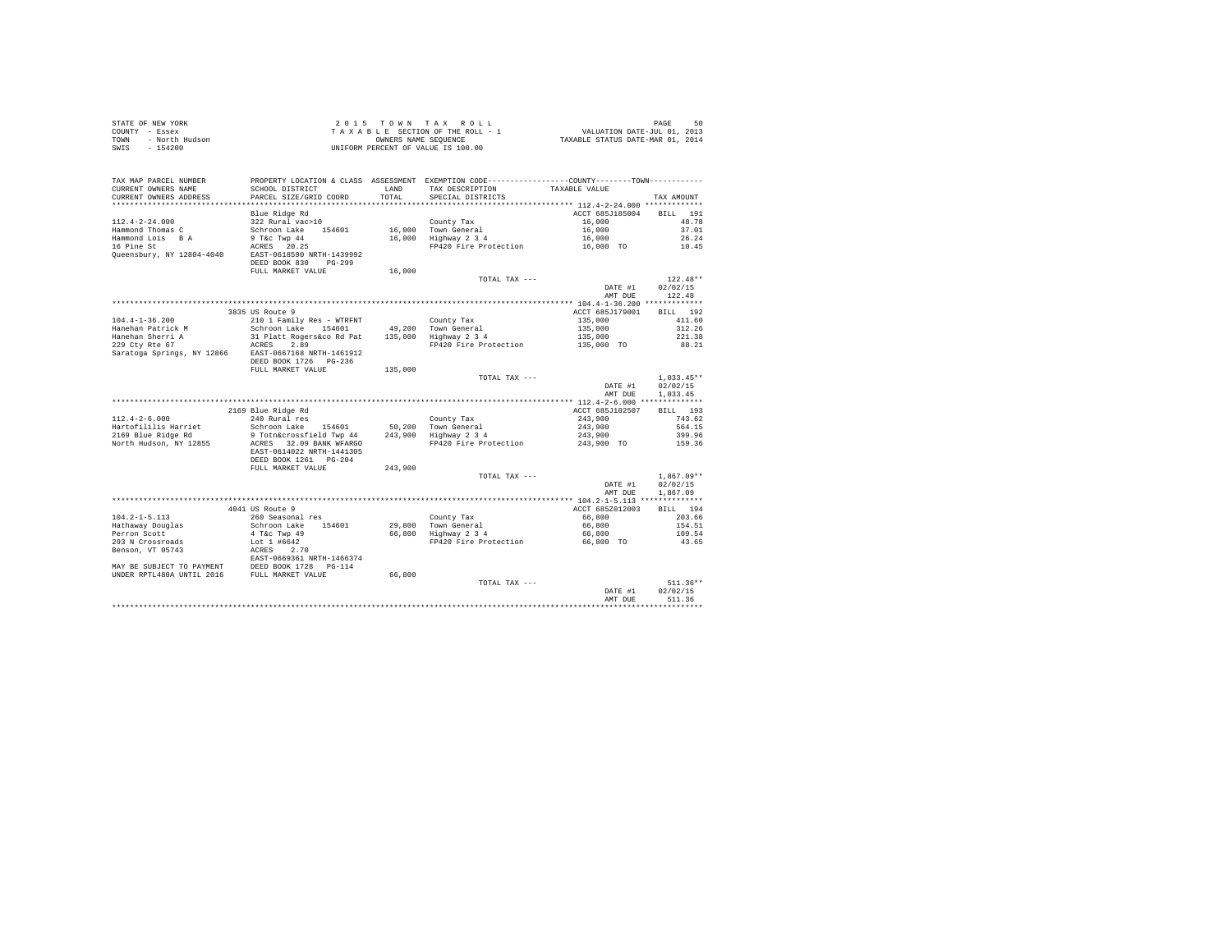| STATE OF NEW YORK      | 2015 TOWN TAX ROLL                 | 50<br>PAGE                       |
|------------------------|------------------------------------|----------------------------------|
| COUNTY - Essex         | TAXABLE SECTION OF THE ROLL - 1    | VALUATION DATE-JUL 01, 2013      |
| TOWN<br>- North Hudson | OWNERS NAME SEOUENCE               | TAXABLE STATUS DATE-MAR 01, 2014 |
| - 154200<br>SWIS       | UNIFORM PERCENT OF VALUE IS 100.00 |                                  |

|                            |                                                                                               |         |                       | AMT DUE                                   | 511.36                 |
|----------------------------|-----------------------------------------------------------------------------------------------|---------|-----------------------|-------------------------------------------|------------------------|
|                            |                                                                                               |         | TOTAL TAX ---         | DATE #1                                   | $511.36**$<br>02/02/15 |
| UNDER RPTL480A UNTIL 2016  | FULL MARKET VALUE                                                                             | 66,800  |                       |                                           |                        |
| MAY BE SUBJECT TO PAYMENT  | DEED BOOK 1728<br>FULL MARKET VAT<br>PG-114                                                   |         |                       |                                           |                        |
|                            | EAST-0669361 NRTH-1466374                                                                     |         |                       |                                           |                        |
| Benson, VT 05743           | ACRES<br>2.70                                                                                 |         |                       |                                           |                        |
| 293 N Crossroads           | Lot 1 #6642                                                                                   |         | FP420 Fire Protection | 66.800 TO                                 | 43.65                  |
| Perron Scott               | 4 T&c Twp 49                                                                                  | 66,800  | Highway 2 3 4         | 66,800                                    | 109.54                 |
| Hathaway Douglas           | Schroon Lake<br>154601                                                                        | 29,800  | Town General          | 66,800                                    | 154.51                 |
| $104.2 - 1 - 5.113$        | 260 Seasonal res                                                                              |         | County Tax            | 66,800                                    | 203.66                 |
|                            | 4041 US Route 9                                                                               |         |                       | ACCT 685Z012003                           | BILL 194               |
|                            |                                                                                               |         |                       | ************ 104.2-1-5.113 ************** |                        |
|                            |                                                                                               |         |                       | AMT DUE                                   | 1,867.09               |
|                            |                                                                                               |         |                       | DATE #1                                   | 02/02/15               |
|                            |                                                                                               |         | TOTAL TAX ---         |                                           | $1.867.09**$           |
|                            | FULL MARKET VALUE                                                                             | 243,900 |                       |                                           |                        |
|                            | DEED BOOK 1261 PG-204                                                                         |         |                       |                                           |                        |
|                            | EAST-0614022 NRTH-1441305                                                                     |         |                       |                                           |                        |
| North Hudson, NY 12855     | ACRES 32.09 BANK WFARGO                                                                       |         | FP420 Fire Protection | 243,900 TO                                | 159.36                 |
| 2169 Blue Ridge Rd         | 9 Totn&crossfield Twp 44                                                                      |         | 243,900 Highway 2 3 4 | 243,900                                   | 399.96                 |
| Hartofililis Harriet       | Schroon Lake<br>154601                                                                        | 50,200  | Town General          | 243,900                                   | 564.15                 |
| $112.4 - 2 - 6.000$        | 240 Rural res                                                                                 |         | County Tax            | 243,900                                   | 743.62                 |
|                            | 2169 Blue Ridge Rd                                                                            |         |                       | ACCT 685J102507                           | 193<br>BILL            |
|                            |                                                                                               |         |                       |                                           |                        |
|                            |                                                                                               |         |                       | AMT DUE                                   | 1.033.45               |
|                            |                                                                                               |         |                       | DATE #1                                   | 02/02/15               |
|                            |                                                                                               |         | TOTAL TAX ---         |                                           | $1,033.45**$           |
|                            | FULL MARKET VALUE                                                                             | 135,000 |                       |                                           |                        |
|                            | DEED BOOK 1726 PG-236                                                                         |         |                       |                                           |                        |
| Saratoga Springs, NY 12866 | EAST-0667168 NRTH-1461912                                                                     |         |                       |                                           |                        |
| 229 Ctv Rte 67             | 2.89<br>ACRES                                                                                 |         | FP420 Fire Protection | 135,000 TO                                | 88.21                  |
| Hanehan Sherri A           | 31 Platt Rogers&co Rd Pat                                                                     | 135,000 | Highway 2 3 4         | 135,000                                   | 221.38                 |
| Hanehan Patrick M          | Schroon Lake 154601                                                                           | 49,200  | Town General          | 135,000                                   | 312.26                 |
| $104.4 - 1 - 36.200$       | 210 1 Family Res - WTRFNT                                                                     |         | County Tax            | 135,000                                   | 411.60                 |
|                            | 3835 US Route 9                                                                               |         |                       | ACCT 685J179001                           | BILL 192               |
|                            |                                                                                               |         |                       |                                           |                        |
|                            |                                                                                               |         |                       | AMT DUE                                   | 122.48                 |
|                            |                                                                                               |         |                       | DATE #1                                   | 02/02/15               |
|                            |                                                                                               |         | TOTAL TAX $---$       |                                           | $122.48**$             |
|                            | FULL MARKET VALUE                                                                             | 16,000  |                       |                                           |                        |
|                            | DEED BOOK 830<br>$PG-299$                                                                     |         |                       |                                           |                        |
| Queensbury, NY 12804-4040  | EAST-0618590 NRTH-1439992                                                                     |         |                       |                                           |                        |
| 16 Pine St                 | 20.25<br>ACRES                                                                                |         | FP420 Fire Protection | 16,000 TO                                 | 10.45                  |
| Hammond Lois B A           | 9 T&c Twp 44                                                                                  | 16,000  | Highway 2 3 4         | 16,000                                    | 26.24                  |
| Hammond Thomas C           | Schroon Lake<br>154601                                                                        |         | 16,000 Town General   | 16,000                                    | 37.01                  |
| $112.4 - 2 - 24.000$       | 322 Rural vac>10                                                                              |         | County Tax            | 16,000                                    | 48.78                  |
|                            | Blue Ridge Rd                                                                                 |         |                       | ACCT 685J185004                           | 191<br><b>BILL</b>     |
| **********************     | *************************                                                                     |         |                       |                                           |                        |
| CURRENT OWNERS ADDRESS     | PARCEL SIZE/GRID COORD                                                                        | TOTAL   | SPECIAL DISTRICTS     |                                           | TAX AMOUNT             |
| CURRENT OWNERS NAME        | SCHOOL DISTRICT                                                                               | LAND    | TAX DESCRIPTION       | TAXABLE VALUE                             |                        |
| TAX MAP PARCEL NUMBER      | PROPERTY LOCATION & CLASS ASSESSMENT EXEMPTION CODE---------------COUNTY-------TOWN---------- |         |                       |                                           |                        |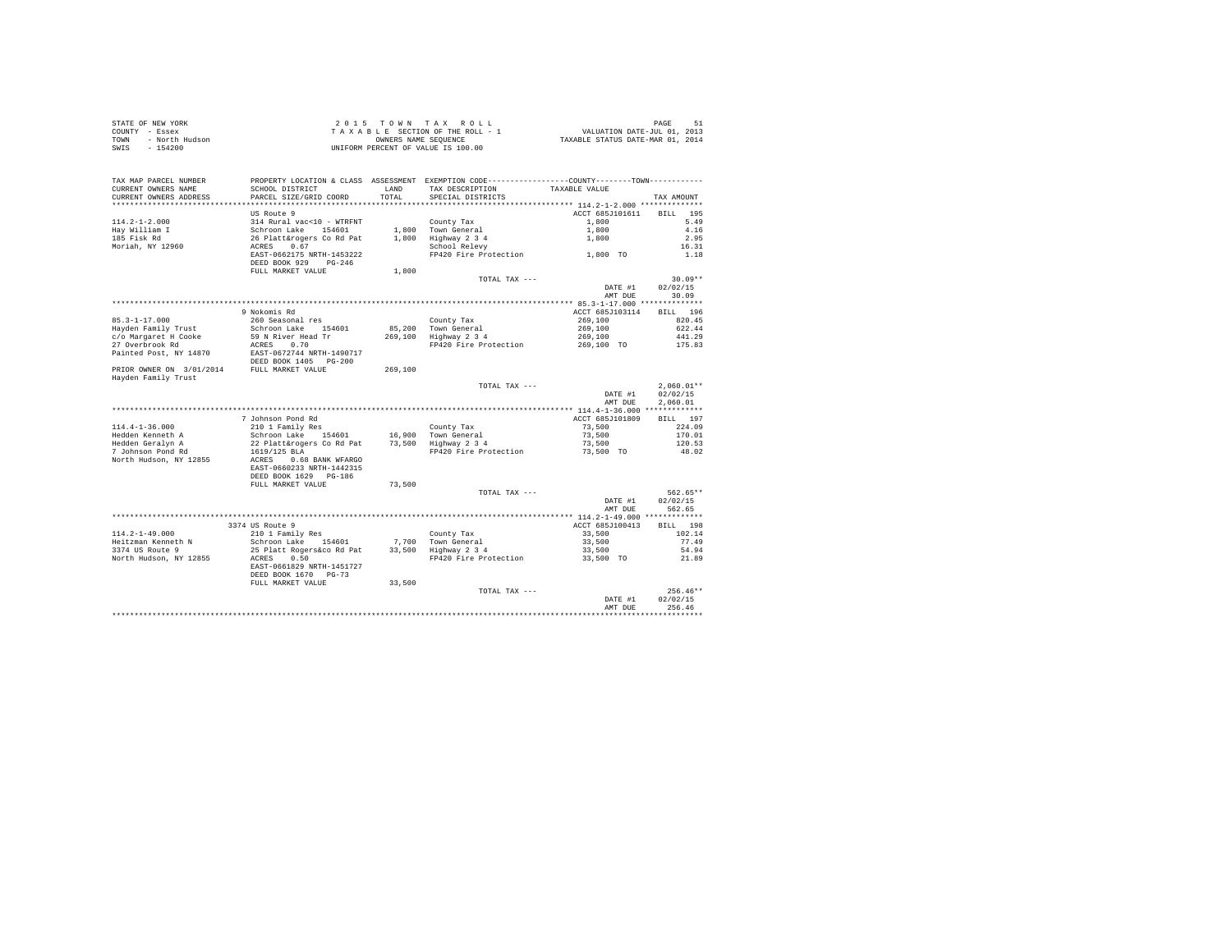| STATE OF NEW YORK      | 2015 TOWN TAX ROLL                 | 51<br>PAGE                       |
|------------------------|------------------------------------|----------------------------------|
| COUNTY - Essex         | TAXABLE SECTION OF THE ROLL - 1    | VALUATION DATE-JUL 01, 2013      |
| TOWN<br>- North Hudson | OWNERS NAME SEOUENCE               | TAXABLE STATUS DATE-MAR 01, 2014 |
| $-154200$<br>SWIS      | UNIFORM PERCENT OF VALUE IS 100.00 |                                  |

| TAX MAP PARCEL NUMBER                      |                                         |         | PROPERTY LOCATION & CLASS ASSESSMENT EXEMPTION CODE----------------COUNTY-------TOWN---------- |                                 |                     |
|--------------------------------------------|-----------------------------------------|---------|------------------------------------------------------------------------------------------------|---------------------------------|---------------------|
| CURRENT OWNERS NAME                        | SCHOOL DISTRICT                         | LAND    | TAX DESCRIPTION                                                                                | TAXABLE VALUE                   |                     |
| CURRENT OWNERS ADDRESS                     | PARCEL SIZE/GRID COORD                  | TOTAL   | SPECIAL DISTRICTS                                                                              |                                 | TAX AMOUNT          |
|                                            | US Route 9                              |         |                                                                                                | ACCT 685J101611                 | 195                 |
| $114.2 - 1 - 2.000$                        | 314 Rural vac<10 - WTRFNT               |         | County Tax                                                                                     | 1,800                           | <b>BILL</b><br>5.49 |
| Hay William I                              | Schroon Lake<br>154601                  |         | 1,800 Town General                                                                             | 1,800                           | 4.16                |
| 185 Fisk Rd                                | 26 Platt&rogers Co Rd Pat               | 1,800   | Highway 2 3 4                                                                                  | 1,800                           | 2.95                |
| Moriah, NY 12960                           | 0.67<br>ACRES                           |         | School Relevy                                                                                  |                                 | 16.31               |
|                                            | EAST-0662175 NRTH-1453222               |         | FP420 Fire Protection                                                                          | 1,800 TO                        | 1.18                |
|                                            | DEED BOOK 929<br>$PG-246$               |         |                                                                                                |                                 |                     |
|                                            | FULL MARKET VALUE                       | 1,800   |                                                                                                |                                 |                     |
|                                            |                                         |         | TOTAL TAX ---                                                                                  |                                 | $30.09**$           |
|                                            |                                         |         |                                                                                                | DATE #1                         | 02/02/15            |
|                                            |                                         |         |                                                                                                | AMT DUE                         | 30.09               |
|                                            |                                         |         |                                                                                                | ** 85.3-1-17.000 **             | ***********         |
|                                            | 9 Nokomis Rd                            |         |                                                                                                | ACCT 685J103114                 | BILL 196            |
| $85.3 - 1 - 17.000$                        | 260 Seasonal res                        |         | County Tax                                                                                     | 269,100                         | 820.45              |
| Hayden Family Trust                        | Schroon Lake 154601                     | 85,200  | Town General                                                                                   | 269,100                         | 622.44              |
| c/o Margaret H Cooke                       | 59 N River Head Tr                      | 269,100 | Highway 2 3 4                                                                                  | 269,100                         | 441.29              |
| 27 Overbrook Rd                            | 0.70<br>ACRES                           |         | FP420 Fire Protection                                                                          | 269,100 TO                      | 175.83              |
| Painted Post, NY 14870                     | EAST-0672744 NRTH-1490717               |         |                                                                                                |                                 |                     |
|                                            | DEED BOOK 1405 PG-200                   |         |                                                                                                |                                 |                     |
| PRIOR OWNER ON 3/01/2014                   | FULL MARKET VALUE                       | 269,100 |                                                                                                |                                 |                     |
| Hayden Family Trust                        |                                         |         | TOTAL TAX ---                                                                                  |                                 | $2.060.01**$        |
|                                            |                                         |         |                                                                                                | DATE #1                         | 02/02/15            |
|                                            |                                         |         |                                                                                                | AMT DUE                         | 2,060.01            |
|                                            |                                         |         |                                                                                                |                                 |                     |
|                                            | 7 Johnson Pond Rd                       |         |                                                                                                | ACCT 685J101809                 | BILL 197            |
| $114.4 - 1 - 36.000$                       | 210 1 Family Res                        |         | County Tax                                                                                     | 73,500                          | 224.09              |
| Hedden Kenneth A                           | Schroon Lake 154601                     |         | 16.900 Town General                                                                            | 73,500                          | 170.01              |
| Hedden Geralyn A                           | 22 Platt&rogers Co Rd Pat               |         | 73,500 Highway 2 3 4                                                                           | 73,500                          | 120.53              |
| 7 Johnson Pond Rd                          | 1619/125 BLA                            |         | FP420 Fire Protection                                                                          | 73,500 TO                       | 48.02               |
| North Hudson, NY 12855                     | ACRES<br>0.68 BANK WFARGO               |         |                                                                                                |                                 |                     |
|                                            | EAST-0660233 NRTH-1442315               |         |                                                                                                |                                 |                     |
|                                            | DEED BOOK 1629 PG-186                   |         |                                                                                                |                                 |                     |
|                                            | FULL MARKET VALUE                       | 73,500  |                                                                                                |                                 |                     |
|                                            |                                         |         | TOTAL TAX ---                                                                                  |                                 | 562.65**            |
|                                            |                                         |         |                                                                                                | DATE #1                         | 02/02/15            |
|                                            |                                         |         |                                                                                                | AMT DUE                         | 562.65              |
|                                            |                                         |         |                                                                                                | ** 114.2-1-49.000 ************* |                     |
|                                            | 3374 US Route 9                         |         |                                                                                                | ACCT 685J100413                 | BILL 198            |
| $114.2 - 1 - 49.000$<br>Heitzman Kenneth N | 210 1 Family Res<br>Schroon Lake 154601 |         | County Tax                                                                                     | 33,500                          | 102.14<br>77.49     |
| 3374 US Route 9                            | 25 Platt Rogers&co Rd Pat               | 33,500  | 7,700 Town General<br>Highway 2 3 4                                                            | 33,500<br>33,500                | 54.94               |
| North Hudson, NY 12855                     | 0.50<br>ACRES                           |         | FP420 Fire Protection                                                                          | 33,500 TO                       | 21.89               |
|                                            | EAST-0661829 NRTH-1451727               |         |                                                                                                |                                 |                     |
|                                            | DEED BOOK 1670 PG-73                    |         |                                                                                                |                                 |                     |
|                                            | FULL MARKET VALUE                       | 33,500  |                                                                                                |                                 |                     |
|                                            |                                         |         | TOTAL TAX ---                                                                                  |                                 | $256.46**$          |
|                                            |                                         |         |                                                                                                | DATE #1                         | 02/02/15            |
|                                            |                                         |         |                                                                                                | AMT DUE                         | 256.46              |
|                                            |                                         |         |                                                                                                |                                 |                     |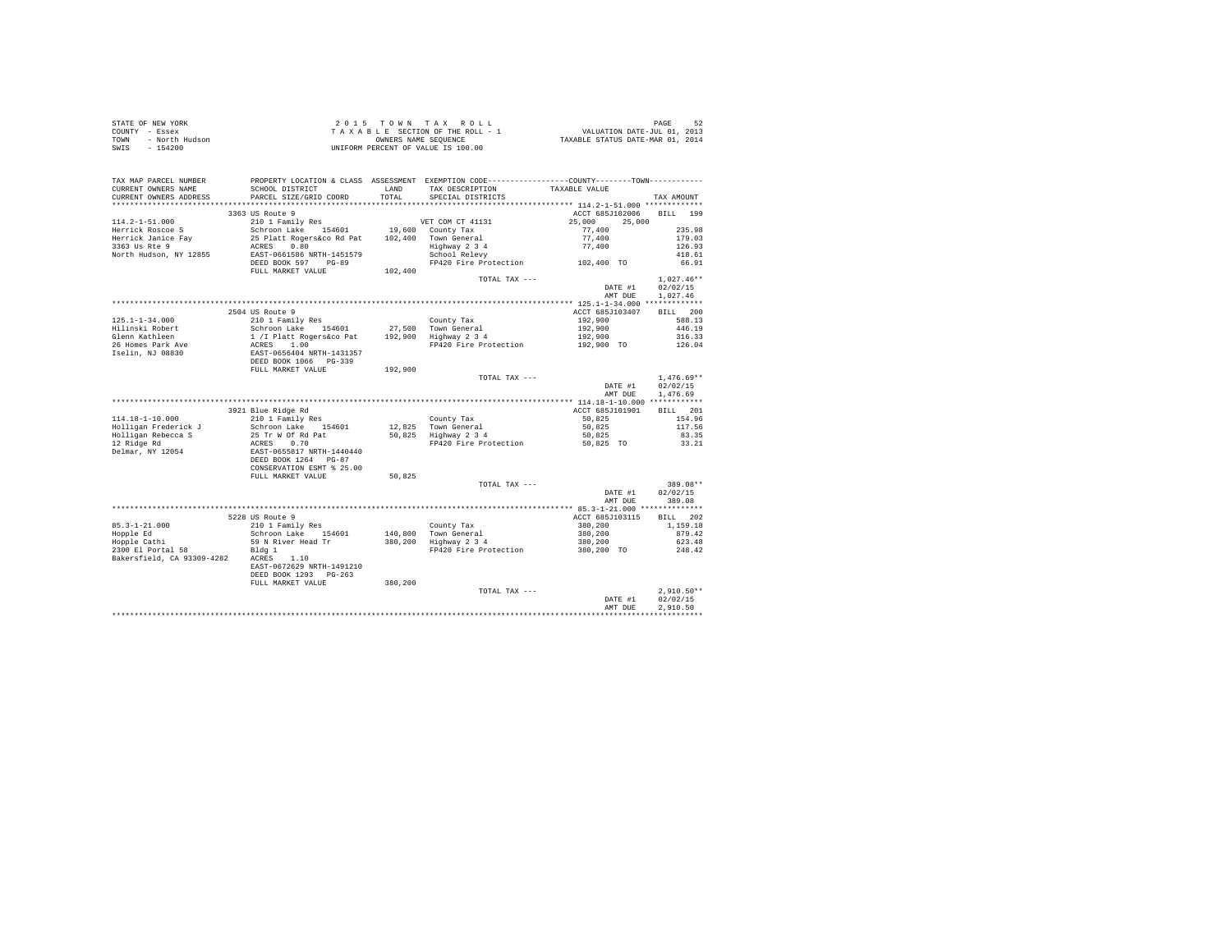| $\begin{array}{cccccccccccc} \texttt{STATE OF NEW VORE} & \texttt{DAGE} & \texttt{S2} & \texttt{S3} & \texttt{S4} & \texttt{S5} & \texttt{S6} & \texttt{S7} & \texttt{S8} & \texttt{S8} & \texttt{S9} & \texttt{S9} & \texttt{S1} & \texttt{S1} & \texttt{S2} & \texttt{S3} & \texttt{S4} & \texttt{S5} & \texttt{S6} & \texttt{S7} & \texttt{S8} & \texttt{S9} & \texttt{S1} & \texttt{S1} & \texttt{S2} & \texttt{S3} &$ |                                        |         |                   |                                              |                      |
|----------------------------------------------------------------------------------------------------------------------------------------------------------------------------------------------------------------------------------------------------------------------------------------------------------------------------------------------------------------------------------------------------------------------------|----------------------------------------|---------|-------------------|----------------------------------------------|----------------------|
|                                                                                                                                                                                                                                                                                                                                                                                                                            |                                        |         |                   |                                              |                      |
|                                                                                                                                                                                                                                                                                                                                                                                                                            |                                        |         |                   |                                              |                      |
|                                                                                                                                                                                                                                                                                                                                                                                                                            |                                        |         |                   |                                              |                      |
|                                                                                                                                                                                                                                                                                                                                                                                                                            |                                        |         |                   |                                              |                      |
|                                                                                                                                                                                                                                                                                                                                                                                                                            |                                        |         |                   |                                              |                      |
|                                                                                                                                                                                                                                                                                                                                                                                                                            |                                        |         |                   |                                              |                      |
| CURRENT OWNERS ADDRESS                                                                                                                                                                                                                                                                                                                                                                                                     | PARCEL SIZE/GRID COORD                 | TOTAL   | SPECIAL DISTRICTS |                                              | TAX AMOUNT           |
|                                                                                                                                                                                                                                                                                                                                                                                                                            |                                        |         |                   |                                              |                      |
|                                                                                                                                                                                                                                                                                                                                                                                                                            | 3363 US Route 9                        |         |                   | ACCT 685J102006 BILL 199                     |                      |
|                                                                                                                                                                                                                                                                                                                                                                                                                            |                                        |         |                   |                                              |                      |
|                                                                                                                                                                                                                                                                                                                                                                                                                            |                                        |         |                   |                                              |                      |
|                                                                                                                                                                                                                                                                                                                                                                                                                            |                                        |         |                   |                                              |                      |
|                                                                                                                                                                                                                                                                                                                                                                                                                            |                                        |         |                   |                                              |                      |
|                                                                                                                                                                                                                                                                                                                                                                                                                            |                                        |         |                   |                                              |                      |
|                                                                                                                                                                                                                                                                                                                                                                                                                            |                                        |         |                   |                                              |                      |
|                                                                                                                                                                                                                                                                                                                                                                                                                            |                                        |         |                   |                                              |                      |
|                                                                                                                                                                                                                                                                                                                                                                                                                            | FULL MARKET VALUE                      | 102,400 |                   |                                              |                      |
|                                                                                                                                                                                                                                                                                                                                                                                                                            |                                        |         | TOTAL TAX ---     |                                              | $1.027.46**$         |
|                                                                                                                                                                                                                                                                                                                                                                                                                            |                                        |         |                   | DATE #1                                      | 02/02/15             |
|                                                                                                                                                                                                                                                                                                                                                                                                                            |                                        |         |                   | AMT DUE 1,027.46                             |                      |
|                                                                                                                                                                                                                                                                                                                                                                                                                            |                                        |         |                   |                                              |                      |
|                                                                                                                                                                                                                                                                                                                                                                                                                            | 2504 US Route 9                        |         |                   | ACCT 685J103407                              | BILL 200             |
|                                                                                                                                                                                                                                                                                                                                                                                                                            |                                        |         |                   | 192,900                                      | 588.13               |
|                                                                                                                                                                                                                                                                                                                                                                                                                            |                                        |         |                   |                                              | 446.19               |
|                                                                                                                                                                                                                                                                                                                                                                                                                            |                                        |         |                   |                                              | $316.33$<br>$126.04$ |
|                                                                                                                                                                                                                                                                                                                                                                                                                            |                                        |         |                   |                                              |                      |
|                                                                                                                                                                                                                                                                                                                                                                                                                            |                                        |         |                   |                                              |                      |
|                                                                                                                                                                                                                                                                                                                                                                                                                            |                                        |         |                   |                                              |                      |
|                                                                                                                                                                                                                                                                                                                                                                                                                            |                                        |         |                   |                                              |                      |
|                                                                                                                                                                                                                                                                                                                                                                                                                            |                                        |         | TOTAL TAX ---     |                                              | $1,476.69**$         |
|                                                                                                                                                                                                                                                                                                                                                                                                                            |                                        |         |                   | $1,476.69*$<br>DATE #1 $02/02/15$            |                      |
|                                                                                                                                                                                                                                                                                                                                                                                                                            |                                        |         |                   | AMT DUE                                      | 1,476.69             |
|                                                                                                                                                                                                                                                                                                                                                                                                                            |                                        |         |                   |                                              |                      |
|                                                                                                                                                                                                                                                                                                                                                                                                                            | 3921 Blue Ridge Rd<br>210 1 Family Res |         |                   | ACCT 685J101901                              | BILL 201             |
|                                                                                                                                                                                                                                                                                                                                                                                                                            |                                        |         |                   |                                              | 154.96               |
|                                                                                                                                                                                                                                                                                                                                                                                                                            |                                        |         |                   |                                              | 117.56               |
|                                                                                                                                                                                                                                                                                                                                                                                                                            |                                        |         |                   |                                              |                      |
|                                                                                                                                                                                                                                                                                                                                                                                                                            |                                        |         |                   |                                              | 83.35                |
|                                                                                                                                                                                                                                                                                                                                                                                                                            |                                        |         |                   |                                              | 33.21                |
|                                                                                                                                                                                                                                                                                                                                                                                                                            |                                        |         |                   |                                              |                      |
|                                                                                                                                                                                                                                                                                                                                                                                                                            |                                        |         |                   |                                              |                      |
|                                                                                                                                                                                                                                                                                                                                                                                                                            | CONSERVATION ESMT % 25.00              |         |                   |                                              |                      |
|                                                                                                                                                                                                                                                                                                                                                                                                                            | FULL MARKET VALUE 50,825               |         |                   |                                              |                      |
|                                                                                                                                                                                                                                                                                                                                                                                                                            |                                        |         | TOTAL TAX ---     | $389.08*$ $\texttt{DATE 41} \qquad 02/02/15$ | 389.08**             |
|                                                                                                                                                                                                                                                                                                                                                                                                                            |                                        |         |                   |                                              |                      |
|                                                                                                                                                                                                                                                                                                                                                                                                                            |                                        |         |                   | AMT DUE 389.08                               |                      |
|                                                                                                                                                                                                                                                                                                                                                                                                                            |                                        |         |                   |                                              |                      |
| 48.3-1-21.000<br>5228 US Route 9<br>85.3-1-21.000 5228 US Route 9<br>210 1 Family Res<br>Hopple Edth Schroon Lake 154601 140,800 Town General 380,200 115<br>Hopple Edth Schroon Lake 154601 140,800 Town General 380,200 879-42<br>2300 E                                                                                                                                                                                 |                                        |         |                   |                                              |                      |
|                                                                                                                                                                                                                                                                                                                                                                                                                            |                                        |         |                   |                                              |                      |
|                                                                                                                                                                                                                                                                                                                                                                                                                            |                                        |         |                   |                                              |                      |
|                                                                                                                                                                                                                                                                                                                                                                                                                            |                                        |         |                   |                                              |                      |
|                                                                                                                                                                                                                                                                                                                                                                                                                            |                                        |         |                   |                                              |                      |
|                                                                                                                                                                                                                                                                                                                                                                                                                            |                                        |         |                   |                                              |                      |
|                                                                                                                                                                                                                                                                                                                                                                                                                            |                                        |         |                   |                                              |                      |
|                                                                                                                                                                                                                                                                                                                                                                                                                            | DEED BOOK 1293 PG-263                  |         |                   |                                              |                      |
|                                                                                                                                                                                                                                                                                                                                                                                                                            | FULL MARKET VALUE 380,200              |         |                   |                                              |                      |
|                                                                                                                                                                                                                                                                                                                                                                                                                            |                                        |         | TOTAL TAX ---     | DATE #1                                      | $2.910.50**$         |
|                                                                                                                                                                                                                                                                                                                                                                                                                            |                                        |         |                   |                                              | 02/02/15             |
|                                                                                                                                                                                                                                                                                                                                                                                                                            |                                        |         |                   |                                              | 2.910.50             |
|                                                                                                                                                                                                                                                                                                                                                                                                                            |                                        |         |                   | AMT DUE                                      | **************       |
|                                                                                                                                                                                                                                                                                                                                                                                                                            |                                        |         |                   |                                              |                      |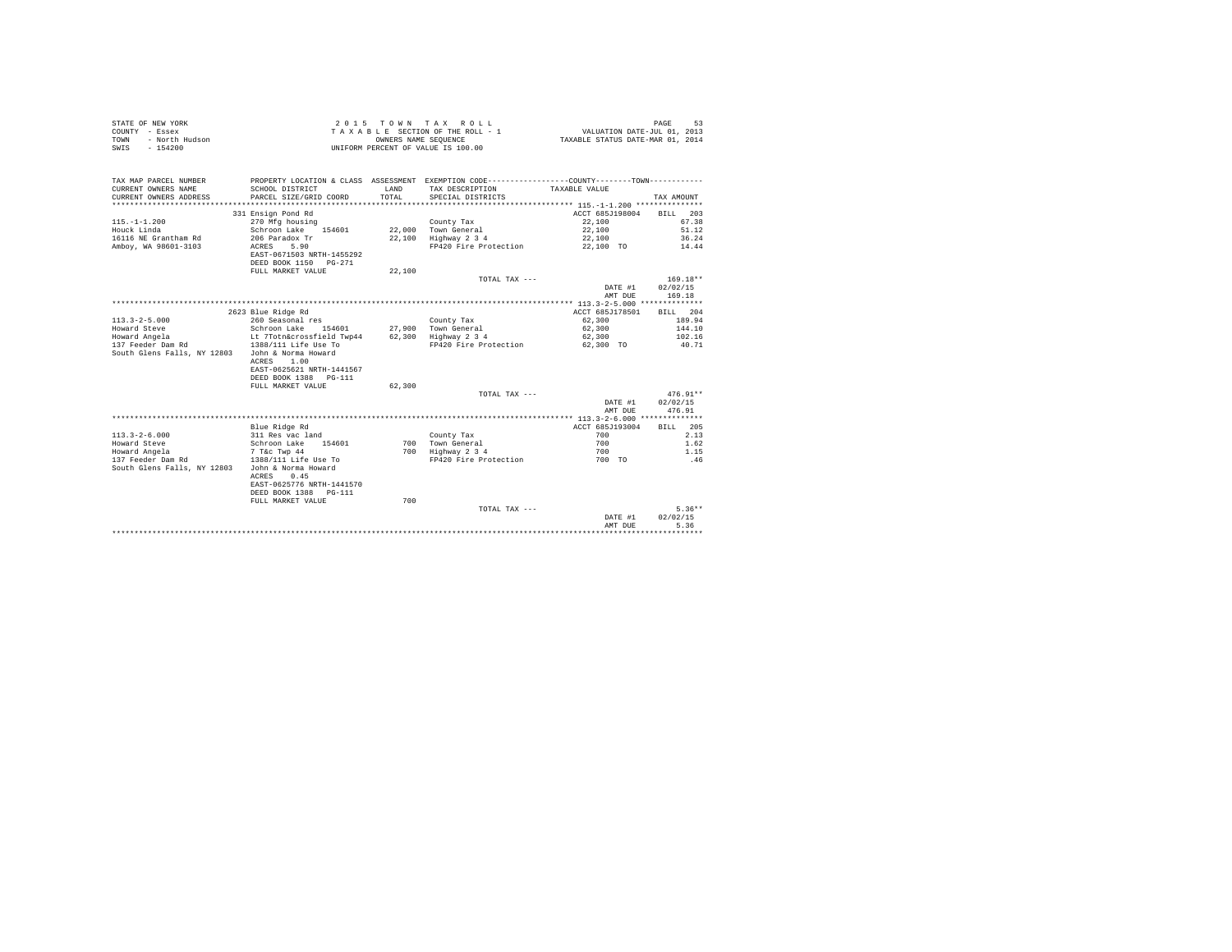| STATE OF NEW YORK<br>COUNTY - Essex<br>- North Hudson<br><b>TOWN</b><br>$-154200$<br>SWIS |                                         | OWNERS NAME SEQUENCE | 2015 TOWN TAX ROLL<br>TAXABLE SECTION OF THE ROLL - 1<br>UNIFORM PERCENT OF VALUE IS 100.00     | VALUATION DATE-JUL 01, 2013<br>TAXABLE STATUS DATE-MAR 01, 2014 | PAGE<br>53       |
|-------------------------------------------------------------------------------------------|-----------------------------------------|----------------------|-------------------------------------------------------------------------------------------------|-----------------------------------------------------------------|------------------|
| TAX MAP PARCEL NUMBER                                                                     |                                         |                      | PROPERTY LOCATION & CLASS ASSESSMENT EXEMPTION CODE----------------COUNTY--------TOWN---------- |                                                                 |                  |
| CURRENT OWNERS NAME                                                                       | SCHOOL DISTRICT                         | LAND                 | TAX DESCRIPTION                                                                                 | TAXABLE VALUE                                                   |                  |
| CURRENT OWNERS ADDRESS                                                                    | PARCEL SIZE/GRID COORD                  | TOTAL.               | SPECIAL DISTRICTS                                                                               |                                                                 | TAX AMOUNT       |
|                                                                                           |                                         |                      |                                                                                                 |                                                                 |                  |
|                                                                                           | 331 Ensign Pond Rd                      |                      |                                                                                                 | ACCT 685J198004                                                 | BTLL 203         |
| $115. - 1 - 1.200$                                                                        | 270 Mfg housing                         |                      | County Tax                                                                                      | 22,100                                                          | 67.38            |
| Houck Linda                                                                               | Schroon Lake 154601                     |                      | 22,000 Town General                                                                             | 22,100                                                          | 51.12            |
| 16116 NE Grantham Rd                                                                      | 206 Paradox Tr                          |                      | 22.100 Highway 2 3 4                                                                            | 22,100                                                          | 36.24            |
| Ambov, WA 98601-3103                                                                      | 5.90<br>ACRES                           |                      | FP420 Fire Protection                                                                           | 22.100 TO                                                       | 14.44            |
|                                                                                           | EAST-0671503 NRTH-1455292               |                      |                                                                                                 |                                                                 |                  |
|                                                                                           | DEED BOOK 1150 PG-271                   |                      |                                                                                                 |                                                                 |                  |
|                                                                                           | FULL MARKET VALUE                       | 22,100               |                                                                                                 |                                                                 |                  |
|                                                                                           |                                         |                      | TOTAL TAX ---                                                                                   |                                                                 | $169.18**$       |
|                                                                                           |                                         |                      |                                                                                                 | DATE #1                                                         | 02/02/15         |
|                                                                                           |                                         |                      |                                                                                                 | AMT DUE                                                         | 169.18           |
|                                                                                           |                                         |                      |                                                                                                 |                                                                 |                  |
|                                                                                           | 2623 Blue Ridge Rd                      |                      |                                                                                                 | ACCT 685J178501                                                 | BILL 204         |
| $113.3 - 2 - 5.000$<br>Howard Steve                                                       | 260 Seasonal res<br>Schroon Lake 154601 |                      | County Tax<br>27.900 Town General                                                               | 62,300<br>62,300                                                | 189.94<br>144.10 |
| Howard Angela                                                                             | Lt 7Totn&crossfield Twp44               |                      |                                                                                                 | 62,300                                                          | 102.16           |
| 137 Feeder Dam Rd                                                                         | 1388/111 Life Use To                    |                      | 62,300 Highway 2 3 4<br>FP420 Fire Protection                                                   | 62,300 TO                                                       | 40.71            |
| South Glens Falls, NY 12803                                                               | John & Norma Howard                     |                      |                                                                                                 |                                                                 |                  |
|                                                                                           | ACRES 1.00                              |                      |                                                                                                 |                                                                 |                  |
|                                                                                           | EAST-0625621 NRTH-1441567               |                      |                                                                                                 |                                                                 |                  |
|                                                                                           | DEED BOOK 1388 PG-111                   |                      |                                                                                                 |                                                                 |                  |
|                                                                                           | FULL MARKET VALUE                       | 62,300               |                                                                                                 |                                                                 |                  |
|                                                                                           |                                         |                      | TOTAL TAX ---                                                                                   |                                                                 | $476.91**$       |
|                                                                                           |                                         |                      |                                                                                                 | DATE #1                                                         | 02/02/15         |
|                                                                                           |                                         |                      |                                                                                                 | AMT DUE                                                         | 476.91           |
|                                                                                           |                                         |                      |                                                                                                 |                                                                 |                  |
|                                                                                           | Blue Ridge Rd                           |                      |                                                                                                 | ACCT 685J193004                                                 | BILL 205         |
| $113.3 - 2 - 6.000$                                                                       | 311 Res vac land                        |                      | County Tax                                                                                      | 700                                                             | 2.13             |
| Howard Steve                                                                              | Schroon Lake 154601                     |                      | 700 Town General                                                                                | 700                                                             | 1.62             |
| Howard Angela                                                                             | 7 T&c Twp 44                            |                      | 700 Highway 2 3 4                                                                               | 700                                                             | 1.15             |
| 137 Feeder Dam Rd                                                                         | 1388/111 Life Use To                    |                      | FP420 Fire Protection                                                                           | 700 TO                                                          | .46              |
| South Glens Falls, NY 12803                                                               | John & Norma Howard                     |                      |                                                                                                 |                                                                 |                  |
|                                                                                           | 0.45<br>ACRES                           |                      |                                                                                                 |                                                                 |                  |
|                                                                                           | EAST-0625776 NRTH-1441570               |                      |                                                                                                 |                                                                 |                  |
|                                                                                           | DEED BOOK 1388 PG-111                   |                      |                                                                                                 |                                                                 |                  |
|                                                                                           | FULL MARKET VALUE                       | 700                  |                                                                                                 |                                                                 |                  |
|                                                                                           |                                         |                      | TOTAL TAX ---                                                                                   |                                                                 | $5.36**$         |
|                                                                                           |                                         |                      |                                                                                                 | DATE #1                                                         | 02/02/15         |
|                                                                                           |                                         |                      |                                                                                                 | AMT DUE                                                         | 5.36             |
|                                                                                           |                                         |                      |                                                                                                 |                                                                 | .                |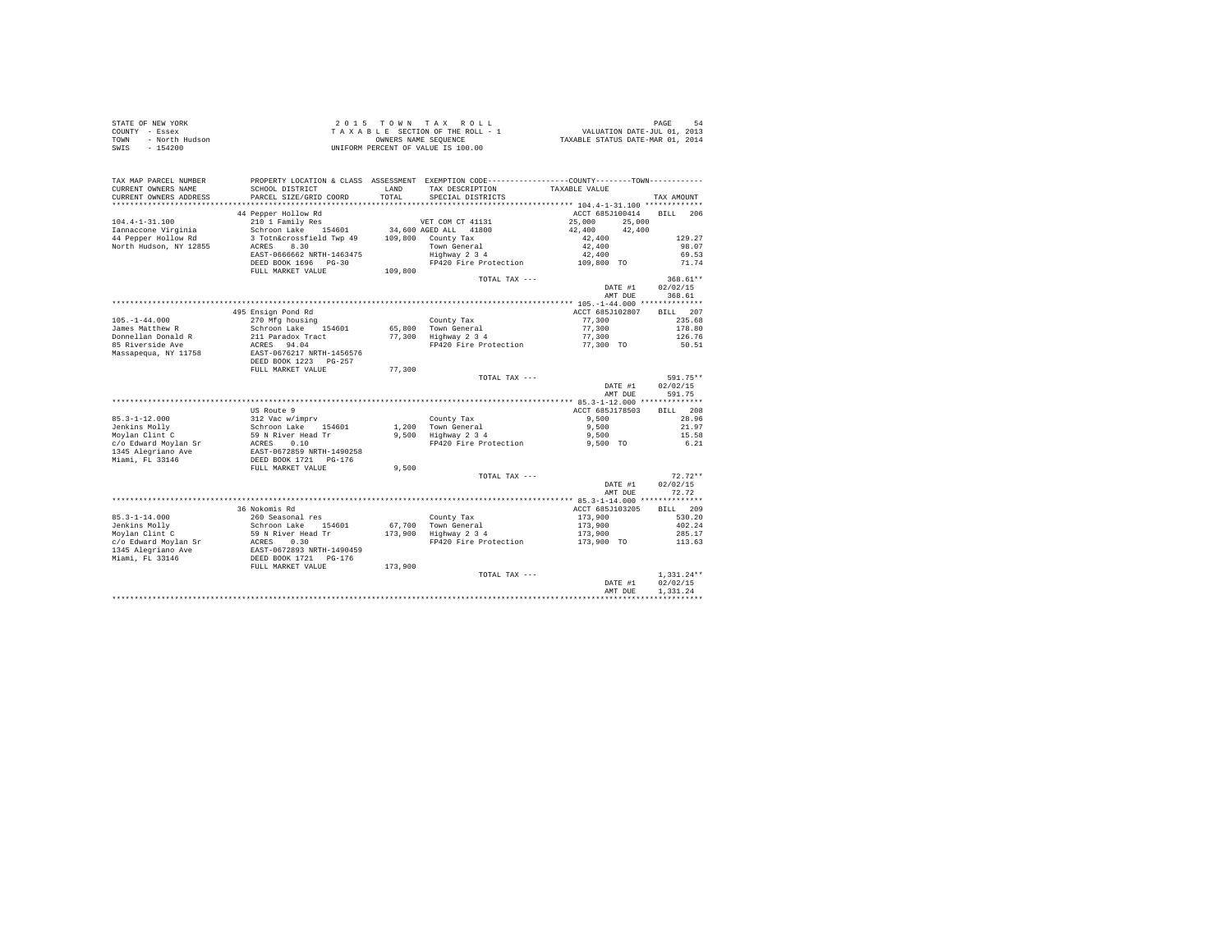| STATE OF NEW YORK<br>COUNTY - Essex<br>- North Hudson<br>TOWN<br>$-154200$<br>SWIS |                                                                                                                                                                                     |               | 2015 TOWN TAX ROLL<br>2015 TOWN TAX ROLL<br>TAXABLE SECTION OF THE ROLL - 1<br>TAXABLE STATURE ON MEURA COMMERCIAL STATURE ON THE POINT COLL PRESSURE OF THE PART OF THE POINT ON THE POINT O<br>UNIFORM PERCENT OF VALUE IS 100.00 |                  | PAGE<br>54     |
|------------------------------------------------------------------------------------|-------------------------------------------------------------------------------------------------------------------------------------------------------------------------------------|---------------|-------------------------------------------------------------------------------------------------------------------------------------------------------------------------------------------------------------------------------------|------------------|----------------|
| TAX MAP PARCEL NUMBER<br>CURRENT OWNERS NAME<br>CURRENT OWNERS ADDRESS             | SCHOOL DISTRICT<br>PARCEL SIZE/GRID COORD                                                                                                                                           | LAND<br>TOTAL | PROPERTY LOCATION & CLASS ASSESSMENT EXEMPTION CODE----------------COUNTY-------TOWN----------<br>TAX DESCRIPTION<br>SPECIAL DISTRICTS                                                                                              | TAXABLE VALUE    | TAX AMOUNT     |
|                                                                                    |                                                                                                                                                                                     |               |                                                                                                                                                                                                                                     |                  |                |
|                                                                                    | 44 Pepper Hollow Rd                                                                                                                                                                 |               |                                                                                                                                                                                                                                     | ACCT 685J100414  | BILL 206       |
| $104.4 - 1 - 31.100$                                                               | 210 1 Family Res                                                                                                                                                                    |               | VET COM CT 41131                                                                                                                                                                                                                    | 25,000<br>25,000 |                |
| Iannaccone Virginia                                                                | Schroon Lake 154601                                                                                                                                                                 |               | 34,600 AGED ALL 41800                                                                                                                                                                                                               | 42,400<br>42,400 |                |
| 44 Pepper Hollow Rd                                                                | 3 Totn&crossfield Twp 49 109,800 County Tax                                                                                                                                         |               |                                                                                                                                                                                                                                     | 42,400           | 129.27         |
| North Hudson, NY 12855                                                             | ACRES 8.30                                                                                                                                                                          |               | Town General<br>Highway 2 3 4                                                                                                                                                                                                       | 42,400<br>42,400 | 98.07          |
|                                                                                    | EAST-0666662 NRTH-1463475<br>DEED BOOK 1696 PG-30                                                                                                                                   |               | FP420 Fire Protection                                                                                                                                                                                                               |                  | 69.53<br>71.74 |
|                                                                                    | FULL MARKET VALUE                                                                                                                                                                   | 109,800       |                                                                                                                                                                                                                                     | 109,800 TO       |                |
|                                                                                    |                                                                                                                                                                                     |               | TOTAL TAX ---                                                                                                                                                                                                                       |                  | 368.61 **      |
|                                                                                    |                                                                                                                                                                                     |               |                                                                                                                                                                                                                                     | DATE #1          | 02/02/15       |
|                                                                                    |                                                                                                                                                                                     |               |                                                                                                                                                                                                                                     | AMT DUE          | 368.61         |
|                                                                                    |                                                                                                                                                                                     |               |                                                                                                                                                                                                                                     |                  |                |
|                                                                                    | 495 Ensign Pond Rd                                                                                                                                                                  |               |                                                                                                                                                                                                                                     | ACCT 685J102807  | BILL 207       |
| $105. - 1 - 44.000$                                                                | 270 Mfg housing                                                                                                                                                                     |               | County Tax                                                                                                                                                                                                                          |                  | 235.68         |
| James Matthew R                                                                    | Schroon Lake 154601                                                                                                                                                                 |               | 65,800 Town General                                                                                                                                                                                                                 | 77,300<br>77,300 | 178.80         |
| Donnellan Donald R                                                                 | 211 Paradox Tract                                                                                                                                                                   |               | ob,suu – rown Generai<br>77,300 – Highway 2 3 4                                                                                                                                                                                     | 77,300           | 126.76         |
| 85 Riverside Ave                                                                   | ACRES 94.04<br>EAST-0676217 NRTH-1456576                                                                                                                                            |               | FP420 Fire Protection 77,300 TO                                                                                                                                                                                                     |                  | 50.51          |
| Massapequa, NY 11758                                                               |                                                                                                                                                                                     |               |                                                                                                                                                                                                                                     |                  |                |
|                                                                                    | DEED BOOK 1223 PG-257                                                                                                                                                               |               |                                                                                                                                                                                                                                     |                  |                |
|                                                                                    | FULL MARKET VALUE                                                                                                                                                                   | 77,300        |                                                                                                                                                                                                                                     |                  | 591.75**       |
|                                                                                    |                                                                                                                                                                                     |               | TOTAL TAX ---                                                                                                                                                                                                                       | DATE #1          | 02/02/15       |
|                                                                                    |                                                                                                                                                                                     |               |                                                                                                                                                                                                                                     | AMT DUE          | 591.75         |
|                                                                                    |                                                                                                                                                                                     |               |                                                                                                                                                                                                                                     |                  |                |
|                                                                                    | US Route 9                                                                                                                                                                          |               |                                                                                                                                                                                                                                     | ACCT 685J178503  | BILL 208       |
| $85.3 - 1 - 12.000$                                                                |                                                                                                                                                                                     |               | County Tax                                                                                                                                                                                                                          | 9.500            | 28.96          |
| Jenkins Mollv                                                                      |                                                                                                                                                                                     |               | 1,200 Town General                                                                                                                                                                                                                  | 9,500            | 21.97          |
| oenwins moily<br>Moylan Clint C                                                    |                                                                                                                                                                                     |               | 1,200 Town General<br>9,500 Highway 2 3 4                                                                                                                                                                                           | 9,500            | 15.58          |
| c/o Edward Moylan Sr                                                               |                                                                                                                                                                                     |               | FP420 Fire Protection 9,500 TO                                                                                                                                                                                                      |                  | 6.21           |
| 1345 Alegriano Ave                                                                 | US Route 9<br>12 Vac w/imprv<br>Schroon Lake<br>59 N River Head Tr<br>50 N River Head Tr<br>ERST -0672859 NRTH-1490258<br>DEED BOOK 1721<br>PCD DEED BOOK 1721<br>PCLL MARKET VALUE |               |                                                                                                                                                                                                                                     |                  |                |
| Miami, FL 33146                                                                    |                                                                                                                                                                                     |               |                                                                                                                                                                                                                                     |                  |                |
|                                                                                    |                                                                                                                                                                                     | 9,500         |                                                                                                                                                                                                                                     |                  |                |
|                                                                                    |                                                                                                                                                                                     |               | TOTAL TAX ---                                                                                                                                                                                                                       |                  | $72.72**$      |
|                                                                                    |                                                                                                                                                                                     |               |                                                                                                                                                                                                                                     | DATE #1          | 02/02/15       |
|                                                                                    |                                                                                                                                                                                     |               |                                                                                                                                                                                                                                     | AMT DUE          | 72.72          |
|                                                                                    | 36 Nokomis Rd                                                                                                                                                                       |               |                                                                                                                                                                                                                                     | ACCT 685J103205  | BILL 209       |
| $85.3 - 1 - 14.000$                                                                | 260 Seasonal res                                                                                                                                                                    |               | County Tax                                                                                                                                                                                                                          | 173,900          | 530.20         |
| Jenkins Molly                                                                      | Schroon Lake 154601                                                                                                                                                                 |               |                                                                                                                                                                                                                                     | 173,900          | 402.24         |
| Moylan Clint C                                                                     |                                                                                                                                                                                     |               | 67,700 Town General<br>173,900 Highway 2 3 4                                                                                                                                                                                        | 173,900          | 285.17         |
| c/o Edward Moylan Sr                                                               |                                                                                                                                                                                     |               | FP420 Fire Protection                                                                                                                                                                                                               | 173,900 TO       | 113.63         |
| 1345 Alegriano Ave                                                                 | 59 N River Head Tr<br>ACRES 0.30<br>EAST-0672893 NRTH-1490459<br>DEED BOOK 1721 PG-176<br>FULL MARKET VALUE                                                                         |               |                                                                                                                                                                                                                                     |                  |                |
| Miami, FL 33146                                                                    |                                                                                                                                                                                     |               |                                                                                                                                                                                                                                     |                  |                |
|                                                                                    |                                                                                                                                                                                     | 173,900       |                                                                                                                                                                                                                                     |                  |                |
|                                                                                    |                                                                                                                                                                                     |               | TOTAL TAX ---                                                                                                                                                                                                                       |                  | $1.331.24**$   |
|                                                                                    |                                                                                                                                                                                     |               |                                                                                                                                                                                                                                     | DATE #1          | 02/02/15       |
|                                                                                    |                                                                                                                                                                                     |               |                                                                                                                                                                                                                                     | AMT DUE          | 1.331.24       |
|                                                                                    |                                                                                                                                                                                     |               |                                                                                                                                                                                                                                     |                  |                |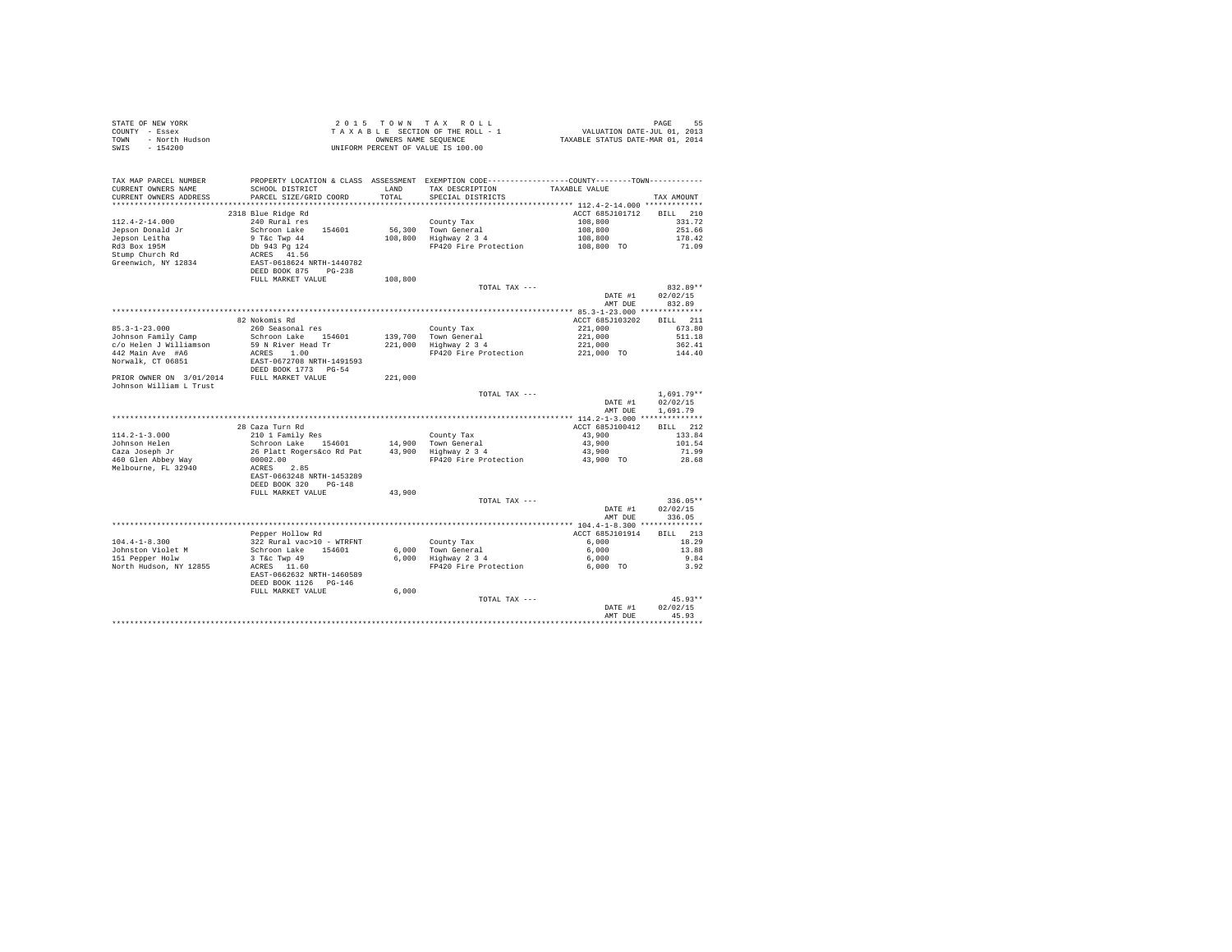| STATE OF NEW YORK                          |                                                                                               |         | 2015 TOWN TAX ROLL                                         |                                  | PAGE<br>55   |
|--------------------------------------------|-----------------------------------------------------------------------------------------------|---------|------------------------------------------------------------|----------------------------------|--------------|
| COUNTY - Essex                             |                                                                                               |         | TAXABLE SECTION OF THE ROLL - 1                            | VALUATION DATE-JUL 01, 2013      |              |
| TOWN - North Hudson                        |                                                                                               |         | OWNERS NAME SEQUENCE<br>UNIFORM PERCENT OF VALUE IS 100.00 | TAXABLE STATUS DATE-MAR 01, 2014 |              |
| $-154200$<br>SWIS                          |                                                                                               |         |                                                            |                                  |              |
|                                            |                                                                                               |         |                                                            |                                  |              |
|                                            |                                                                                               |         |                                                            |                                  |              |
| TAX MAP PARCEL NUMBER                      | PROPERTY LOCATION & CLASS ASSESSMENT EXEMPTION CODE---------------COUNTY-------TOWN---------- |         |                                                            |                                  |              |
| CURRENT OWNERS NAME                        | SCHOOL DISTRICT                                                                               | LAND    | TAX DESCRIPTION                                            | TAXABLE VALUE                    |              |
| CURRENT OWNERS ADDRESS                     | PARCEL SIZE/GRID COORD                                                                        | TOTAL   | SPECIAL DISTRICTS                                          |                                  | TAX AMOUNT   |
|                                            |                                                                                               |         |                                                            |                                  |              |
|                                            | 2318 Blue Ridge Rd                                                                            |         |                                                            | ACCT 685J101712                  | BILL 210     |
| $112.4 - 2 - 14.000$                       |                                                                                               |         |                                                            |                                  | 331.72       |
|                                            | 240 Rural res                                                                                 |         | County Tax                                                 | 108,800                          |              |
| Jepson Donald Jr                           | Schroon Lake 154601                                                                           | 56,300  | Town General<br>108,800 Highway 2 3 4                      | 108,800                          | 251.66       |
| Jepson Leitha                              | 9 T&c Twp 44                                                                                  |         |                                                            | 108,800                          | 178.42       |
| Rd3 Box 195M                               | Db 943 Pg 124                                                                                 |         | FP420 Fire Protection                                      | 108,800 TO                       | 71.09        |
| Stump Church Rd                            | ACRES 41.56                                                                                   |         |                                                            |                                  |              |
| Greenwich, NY 12834                        | EAST-0618624 NRTH-1440782                                                                     |         |                                                            |                                  |              |
|                                            | DEED BOOK 875 PG-238                                                                          |         |                                                            |                                  |              |
|                                            | FULL MARKET VALUE                                                                             | 108,800 |                                                            |                                  |              |
|                                            |                                                                                               |         | TOTAL TAX ---                                              |                                  | 832.89**     |
|                                            |                                                                                               |         |                                                            | DATE #1                          | 02/02/15     |
|                                            |                                                                                               |         |                                                            | AMT DUE                          | 832.89       |
|                                            |                                                                                               |         |                                                            |                                  |              |
|                                            | 82 Nokomis Rd                                                                                 |         |                                                            | ACCT 685J103202                  | BILL 211     |
| $85.3 - 1 - 23.000$                        | 260 Seasonal res                                                                              |         | County Tax                                                 | 221,000                          | 673.80       |
| Johnson Family Camp                        | Schroon Lake 154601                                                                           |         | 139,700 Town General                                       | 221,000                          | 511.18       |
| c/o Helen J Williamson                     | 59 N River Head Tr                                                                            |         | $221,000$ Highway $2\ 3\ 4$                                | 221,000                          | 362.41       |
| 442 Main Ave #A6                           | ACRES 1.00                                                                                    |         | FP420 Fire Protection                                      | 221,000 TO                       | 144.40       |
| Norwalk, CT 06851                          | EAST-0672708 NRTH-1491593                                                                     |         |                                                            |                                  |              |
|                                            | DEED BOOK 1773 PG-54                                                                          |         |                                                            |                                  |              |
| PRIOR OWNER ON 3/01/2014 FULL MARKET VALUE |                                                                                               | 221,000 |                                                            |                                  |              |
| Johnson William L Trust                    |                                                                                               |         |                                                            |                                  |              |
|                                            |                                                                                               |         | TOTAL TAX ---                                              |                                  | $1.691.79**$ |
|                                            |                                                                                               |         |                                                            | DATE #1                          | 02/02/15     |
|                                            |                                                                                               |         |                                                            | AMT DUE                          | 1,691.79     |
|                                            |                                                                                               |         |                                                            |                                  |              |
|                                            | 28 Caza Turn Rd                                                                               |         |                                                            | ACCT 685J100412                  | BILL 212     |
| $114.2 - 1 - 3.000$                        | 210 1 Family Res                                                                              |         | County Tax                                                 | 43,900                           | 133.84       |
| Johnson Helen                              | Schroon Lake 154601                                                                           |         |                                                            | 43,900                           | 101.54       |
| Caza Joseph Jr                             | 26 Platt Rogers&co Rd Pat                                                                     |         | 14,900 Town General<br>43,900 Highway 2 3 4                | 43,900                           | 71.99        |
| 460 Glen Abbey Way                         | 00002.00                                                                                      |         | FP420 Fire Protection                                      | 43,900 TO                        | 28.68        |
| Melbourne, FL 32940                        | ACRES 2.85                                                                                    |         |                                                            |                                  |              |
|                                            | EAST-0663248 NRTH-1453289                                                                     |         |                                                            |                                  |              |
|                                            | DEED BOOK 320 PG-148                                                                          |         |                                                            |                                  |              |
|                                            | FULL MARKET VALUE                                                                             | 43,900  |                                                            |                                  |              |
|                                            |                                                                                               |         | TOTAL TAX ---                                              |                                  | $336.05**$   |
|                                            |                                                                                               |         |                                                            | DATE #1                          | 02/02/15     |
|                                            |                                                                                               |         |                                                            |                                  |              |
|                                            |                                                                                               |         |                                                            | AMT DUE                          | 336.05       |
|                                            |                                                                                               |         |                                                            |                                  |              |
|                                            | Pepper Hollow Rd                                                                              |         |                                                            | ACCT 685J101914                  | BILL 213     |
| $104.4 - 1 - 8.300$                        | 322 Rural vac>10 - WTRFNT                                                                     |         | County Tax                                                 | 6,000                            | 18.29        |
| Johnston Violet M                          | Schroon Lake 154601                                                                           |         | County Tax<br>6,000 Town General<br>6,000 Highway 2 3 4    | 6,000                            | 13.88        |
| 151 Pepper Holw                            | 3 T&c Twp 49                                                                                  |         |                                                            | 6,000                            | 9.84         |
| North Hudson, NY 12855                     | ACRES 11.60                                                                                   |         | FP420 Fire Protection                                      | 6,000 TO                         | 3.92         |
|                                            | EAST-0662632 NRTH-1460589                                                                     |         |                                                            |                                  |              |
|                                            | DEED BOOK 1126 PG-146                                                                         |         |                                                            |                                  |              |
|                                            | FULL MARKET VALUE                                                                             | 6.000   |                                                            |                                  |              |
|                                            |                                                                                               |         | TOTAL TAX ---                                              |                                  | $45.93**$    |
|                                            |                                                                                               |         |                                                            | DATE #1                          | 02/02/15     |
|                                            |                                                                                               |         |                                                            | AMT DUE                          | 45.93        |
|                                            |                                                                                               |         |                                                            |                                  | .            |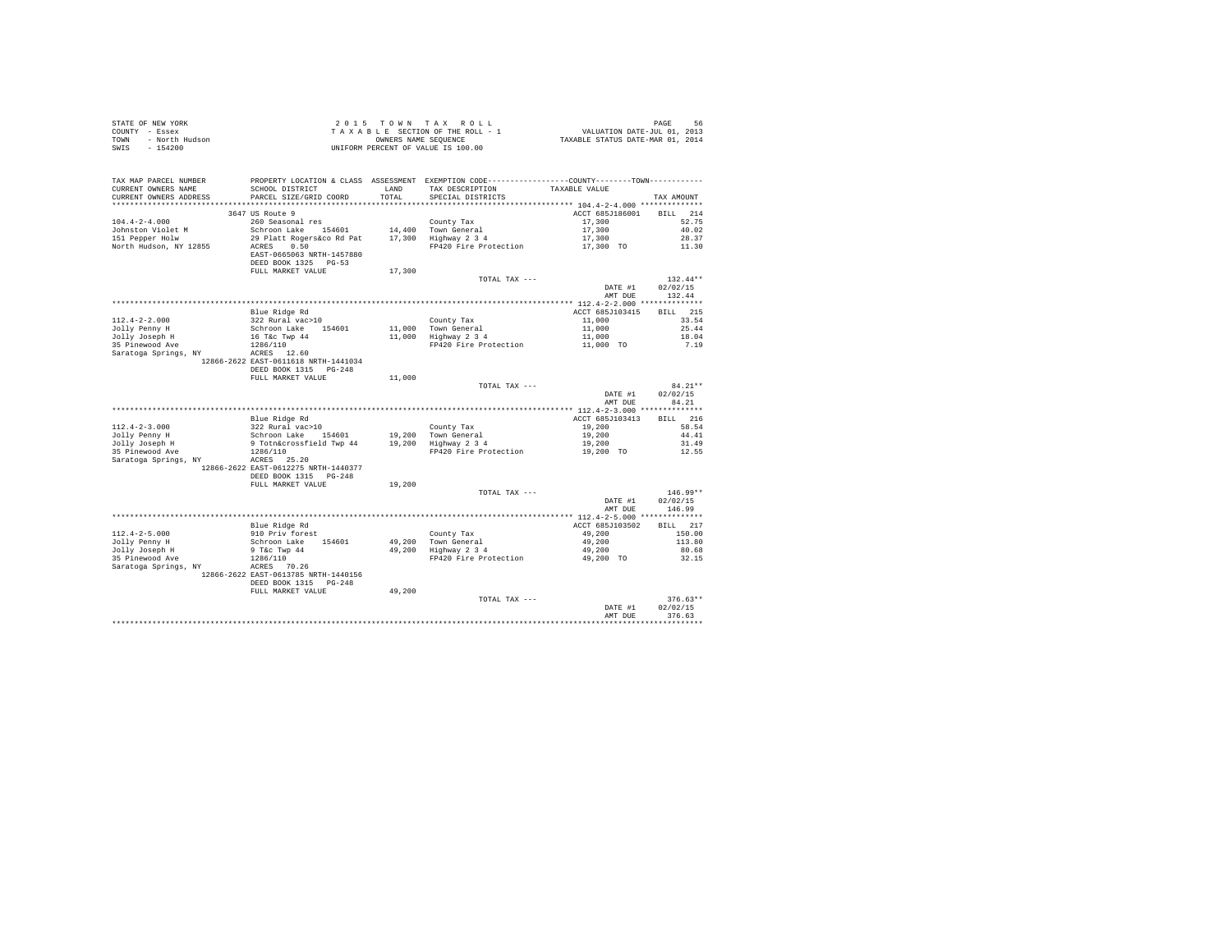| COUNTY - Essex<br>TOWN<br>- North Hudson<br>$-154200$<br>SWIS                                                                                                                                                                                                                                                        | T A X A B L E SECTION OF THE ROLL - 1<br>OWNERS NAME SENGER SECUENCE<br>UNIFORM PERCENT OF VALUE IS 100.00                                                                                                                                                                                      |        |                                                                                                                    |                          |                                  |
|----------------------------------------------------------------------------------------------------------------------------------------------------------------------------------------------------------------------------------------------------------------------------------------------------------------------|-------------------------------------------------------------------------------------------------------------------------------------------------------------------------------------------------------------------------------------------------------------------------------------------------|--------|--------------------------------------------------------------------------------------------------------------------|--------------------------|----------------------------------|
| TAX MAP PARCEL NUMBER<br>CURRENT OWNERS NAME                                                                                                                                                                                                                                                                         | SCHOOL DISTRICT                                                                                                                                                                                                                                                                                 | LAND   | PROPERTY LOCATION & CLASS ASSESSMENT EXEMPTION CODE-----------------COUNTY--------TOWN---------<br>TAX DESCRIPTION | TAXABLE VALUE            |                                  |
| CURRENT OWNERS ADDRESS                                                                                                                                                                                                                                                                                               | PARCEL SIZE/GRID COORD                                                                                                                                                                                                                                                                          | TOTAL  | SPECIAL DISTRICTS                                                                                                  |                          | TAX AMOUNT                       |
|                                                                                                                                                                                                                                                                                                                      |                                                                                                                                                                                                                                                                                                 |        |                                                                                                                    |                          |                                  |
| $104.4 - 2 - 4.000$                                                                                                                                                                                                                                                                                                  | 3647 US Route 9                                                                                                                                                                                                                                                                                 |        |                                                                                                                    | ACCT 685J186001 BILL 214 | 52.75                            |
| Johnston Violet M                                                                                                                                                                                                                                                                                                    |                                                                                                                                                                                                                                                                                                 |        |                                                                                                                    | 17,300                   | 40.02                            |
| 151 Pepper Holw                                                                                                                                                                                                                                                                                                      |                                                                                                                                                                                                                                                                                                 |        |                                                                                                                    |                          | 28.37                            |
| North Hudson, NY 12855                                                                                                                                                                                                                                                                                               | County Tax<br>Schroon Lake 154601 14,400 Town General<br>29 Platt Rogers&co Rd Pat 17,300 Highway 2 3 4<br>ACRES 0.550 PP400 PR400 PR400 PR400 PR400 PR400 PR400 PR400 PR400 PR400 PR400 PR400 PR400 PR400 PR400 PR400 PR<br>PR400 PR400 P<br>EAST-0665063 NRTH-1457880<br>DEED BOOK 1325 PG-53 |        | 14,400 Town General $17,300$<br>17,300 Highway 2 3 4 17,300<br>PP420 Fire Protection $17,300$ TO                   |                          | 11.30                            |
|                                                                                                                                                                                                                                                                                                                      | FULL MARKET VALUE                                                                                                                                                                                                                                                                               | 17,300 |                                                                                                                    |                          |                                  |
|                                                                                                                                                                                                                                                                                                                      |                                                                                                                                                                                                                                                                                                 |        | TOTAL TAX ---                                                                                                      |                          | $132.44**$                       |
|                                                                                                                                                                                                                                                                                                                      |                                                                                                                                                                                                                                                                                                 |        |                                                                                                                    | DATE #1<br>AMT DUE       | 02/02/15<br>132.44               |
|                                                                                                                                                                                                                                                                                                                      |                                                                                                                                                                                                                                                                                                 |        |                                                                                                                    |                          |                                  |
|                                                                                                                                                                                                                                                                                                                      |                                                                                                                                                                                                                                                                                                 |        |                                                                                                                    |                          | BILL 215                         |
|                                                                                                                                                                                                                                                                                                                      |                                                                                                                                                                                                                                                                                                 |        |                                                                                                                    |                          | 33.54                            |
|                                                                                                                                                                                                                                                                                                                      |                                                                                                                                                                                                                                                                                                 |        |                                                                                                                    |                          | 25.44                            |
|                                                                                                                                                                                                                                                                                                                      |                                                                                                                                                                                                                                                                                                 |        |                                                                                                                    |                          | 18.04<br>7.19                    |
|                                                                                                                                                                                                                                                                                                                      |                                                                                                                                                                                                                                                                                                 |        |                                                                                                                    |                          |                                  |
|                                                                                                                                                                                                                                                                                                                      | 12866-2622 EAST-0611618 NRTH-1441034                                                                                                                                                                                                                                                            |        |                                                                                                                    |                          |                                  |
|                                                                                                                                                                                                                                                                                                                      | DEED BOOK 1315 PG-248                                                                                                                                                                                                                                                                           |        |                                                                                                                    |                          |                                  |
|                                                                                                                                                                                                                                                                                                                      | FULL MARKET VALUE                                                                                                                                                                                                                                                                               | 11,000 |                                                                                                                    |                          |                                  |
|                                                                                                                                                                                                                                                                                                                      |                                                                                                                                                                                                                                                                                                 |        |                                                                                                                    |                          |                                  |
|                                                                                                                                                                                                                                                                                                                      |                                                                                                                                                                                                                                                                                                 |        | TOTAL TAX ---                                                                                                      | DATE #1                  | $84.21**$<br>02/02/15            |
|                                                                                                                                                                                                                                                                                                                      |                                                                                                                                                                                                                                                                                                 |        |                                                                                                                    | AMT DUE                  | 84.21                            |
|                                                                                                                                                                                                                                                                                                                      |                                                                                                                                                                                                                                                                                                 |        |                                                                                                                    |                          |                                  |
|                                                                                                                                                                                                                                                                                                                      |                                                                                                                                                                                                                                                                                                 |        |                                                                                                                    |                          | BILL 216                         |
|                                                                                                                                                                                                                                                                                                                      |                                                                                                                                                                                                                                                                                                 |        |                                                                                                                    |                          | 58.54                            |
|                                                                                                                                                                                                                                                                                                                      |                                                                                                                                                                                                                                                                                                 |        |                                                                                                                    |                          | 44.41<br>31.49                   |
|                                                                                                                                                                                                                                                                                                                      |                                                                                                                                                                                                                                                                                                 |        |                                                                                                                    |                          | 12.55                            |
| $[112.4-2-3.000$ $[112.4-2-3.000$ 322 Rural vac>101$ 322 Rural vac>101$ 322 Rural vac>101$ 322 Rural vac>101$ 322 Rural vac>101$ 322 Rural vac>101$ 322 Rural vac>101$ 322 Rural vac>101$ 322 Rural vac>101$ 322 Rural vac>101$ 322 War >1013413$ 322 War >1013413 $ 32035 Pinewood Ave 37 Tochacrossfield Two 44 1$ | 12866-2622 EAST-0612275 NRTH-1440377<br>DEED BOOK 1315 PG-248                                                                                                                                                                                                                                   |        |                                                                                                                    |                          |                                  |
|                                                                                                                                                                                                                                                                                                                      | FULL MARKET VALUE 19,200                                                                                                                                                                                                                                                                        |        |                                                                                                                    |                          |                                  |
|                                                                                                                                                                                                                                                                                                                      |                                                                                                                                                                                                                                                                                                 |        | TOTAL TAX ---                                                                                                      |                          | $146.99**$                       |
|                                                                                                                                                                                                                                                                                                                      |                                                                                                                                                                                                                                                                                                 |        |                                                                                                                    | DATE #1                  | 02/02/15                         |
|                                                                                                                                                                                                                                                                                                                      |                                                                                                                                                                                                                                                                                                 |        |                                                                                                                    | AMT DUE                  | 146.99                           |
|                                                                                                                                                                                                                                                                                                                      |                                                                                                                                                                                                                                                                                                 |        |                                                                                                                    |                          | BILL 217                         |
|                                                                                                                                                                                                                                                                                                                      |                                                                                                                                                                                                                                                                                                 |        |                                                                                                                    |                          | 150.00                           |
|                                                                                                                                                                                                                                                                                                                      |                                                                                                                                                                                                                                                                                                 |        |                                                                                                                    |                          | 113.80                           |
|                                                                                                                                                                                                                                                                                                                      |                                                                                                                                                                                                                                                                                                 |        |                                                                                                                    |                          | 80.68                            |
|                                                                                                                                                                                                                                                                                                                      |                                                                                                                                                                                                                                                                                                 |        |                                                                                                                    |                          | 32.15                            |
| $[112.4-2-5.000$ $111.4-2-5.000$ $111.4-2-5.000$ $111.4-2-5.000$ $111.4-2-5.000$ $111.4-2-5.000$ $111.4-2-5.000$ $111.4-2-5.000$ $111.4-2-5.000$ $111.4-2-5.000$ $111.4-2.00$ $111.4-2.00$ $111.4-2.00$ $111.4-2.00$ $111.4-2$                                                                                       | 12866-2622 EAST-0613785 NRTH-1440156<br>DEED BOOK 1315 PG-248                                                                                                                                                                                                                                   |        |                                                                                                                    |                          |                                  |
|                                                                                                                                                                                                                                                                                                                      | FULL MARKET VALUE                                                                                                                                                                                                                                                                               | 49,200 |                                                                                                                    |                          |                                  |
|                                                                                                                                                                                                                                                                                                                      |                                                                                                                                                                                                                                                                                                 |        | TOTAL TAX ---                                                                                                      | DATE #1<br>AMT DUE       | $376.63**$<br>02/02/15<br>376.63 |

STATE OF NEW YORK STATE OF A SAME TO ME A X ROLL STATE OF NEW YORK SPACE SO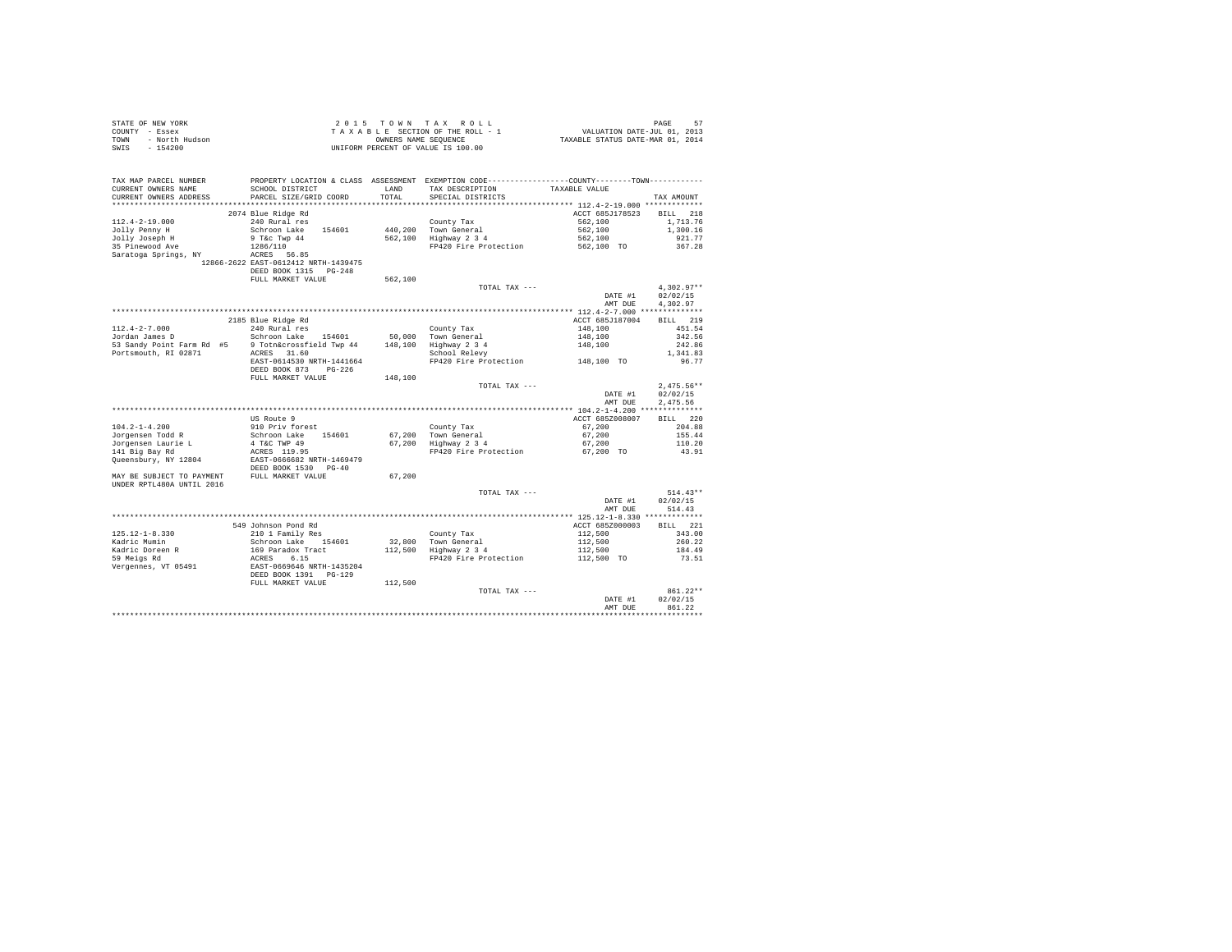| STATE OF NEW YORK      | 2015 TOWN TAX ROLL                 | 57<br>PAGE                       |
|------------------------|------------------------------------|----------------------------------|
| COUNTY - Essex         | TAXABLE SECTION OF THE ROLL - 1    | VALUATION DATE-JUL 01, 2013      |
| TOWN<br>- North Hudson | OWNERS NAME SEOUENCE               | TAXABLE STATUS DATE-MAR 01, 2014 |
| $-154200$<br>SWIS      | UNIFORM PERCENT OF VALUE IS 100.00 |                                  |

| TAX MAP PARCEL NUMBER     | PROPERTY LOCATION & CLASS ASSESSMENT EXEMPTION CODE----------------COUNTY-------TOWN---------- |         |                       |                 |                    |
|---------------------------|------------------------------------------------------------------------------------------------|---------|-----------------------|-----------------|--------------------|
| CURRENT OWNERS NAME       | SCHOOL DISTRICT                                                                                | LAND    | TAX DESCRIPTION       | TAXABLE VALUE   |                    |
| CURRENT OWNERS ADDRESS    | PARCEL SIZE/GRID COORD                                                                         | TOTAL   | SPECIAL DISTRICTS     |                 | TAX AMOUNT         |
| **********************    | ******************************                                                                 |         |                       |                 |                    |
|                           | 2074 Blue Ridge Rd                                                                             |         |                       | ACCT 685J178523 | <b>BILL</b><br>218 |
| $112.4 - 2 - 19.000$      | 240 Rural res                                                                                  |         | County Tax            | 562,100         | 1,713.76           |
| Jolly Penny H             | Schroon Lake<br>154601                                                                         |         | 440.200 Town General  | 562,100         | 1,300.16           |
| Jolly Joseph H            | 9 T&c Twp 44                                                                                   | 562,100 | Highway 2 3 4         | 562,100         | 921.77             |
| 35 Pinewood Ave           | 1286/110                                                                                       |         | FP420 Fire Protection | 562,100 TO      | 367.28             |
| Saratoga Springs, NY      | ACRES 56.85                                                                                    |         |                       |                 |                    |
|                           | 12866-2622 EAST-0612412 NRTH-1439475                                                           |         |                       |                 |                    |
|                           | DEED BOOK 1315 PG-248                                                                          |         |                       |                 |                    |
|                           | FULL MARKET VALUE                                                                              | 562,100 |                       |                 |                    |
|                           |                                                                                                |         | TOTAL TAX ---         |                 | $4.302.97**$       |
|                           |                                                                                                |         |                       | DATE #1         | 02/02/15           |
|                           |                                                                                                |         |                       | AMT DUE         | 4,302.97           |
|                           |                                                                                                |         |                       |                 |                    |
|                           | 2185 Blue Ridge Rd                                                                             |         |                       | ACCT 685J187004 | 219<br><b>BILL</b> |
| $112.4 - 2 - 7.000$       | 240 Rural res                                                                                  |         | County Tax            | 148,100         | 451.54             |
| Jordan James D            | Schroon Lake<br>154601                                                                         |         | 50,000 Town General   | 148,100         | 342.56             |
| 53 Sandy Point Farm Rd #5 | 9 Totn&crossfield Twp 44                                                                       | 148,100 | Highway 2 3 4         | 148,100         | 242.86             |
| Portsmouth, RI 02871      | ACRES 31.60                                                                                    |         | School Relevy         |                 | 1,341.83           |
|                           | EAST-0614530 NRTH-1441664                                                                      |         | FP420 Fire Protection | 148,100 TO      | 96.77              |
|                           | DEED BOOK 873<br>$PG-226$                                                                      |         |                       |                 |                    |
|                           | FULL MARKET VALUE                                                                              | 148,100 |                       |                 |                    |
|                           |                                                                                                |         | TOTAL TAX ---         |                 | $2.475.56**$       |
|                           |                                                                                                |         |                       | DATE #1         | 02/02/15           |
|                           |                                                                                                |         |                       | AMT DUE         | 2,475.56           |
|                           |                                                                                                |         |                       |                 |                    |
|                           | US Route 9                                                                                     |         |                       | ACCT 685Z008007 | BILL 220           |
| $104.2 - 1 - 4.200$       | 910 Priv forest                                                                                |         | County Tax            | 67,200          | 204.88             |
| Jorgensen Todd R          | Schroon Lake 154601                                                                            |         | 67.200 Town General   | 67.200          | 155.44             |
| Jorgensen Laurie L        | 4 T&C TWP 49                                                                                   | 67.200  | Highway 2 3 4         | 67,200          | 110.20             |
| 141 Big Bay Rd            | ACRES 119.95                                                                                   |         | FP420 Fire Protection | 67,200 TO       | 43.91              |
| Queensbury, NY 12804      | EAST-0666682 NRTH-1469479                                                                      |         |                       |                 |                    |
|                           | DEED BOOK 1530 PG-40                                                                           |         |                       |                 |                    |
| MAY BE SUBJECT TO PAYMENT | FULL MARKET VALUE                                                                              | 67.200  |                       |                 |                    |
| UNDER RPTL480A UNTIL 2016 |                                                                                                |         |                       |                 |                    |
|                           |                                                                                                |         | TOTAL TAX ---         |                 | $514.43**$         |
|                           |                                                                                                |         |                       | DATE #1         | 02/02/15           |
|                           |                                                                                                |         |                       | AMT DUE         | 514.43             |
|                           |                                                                                                |         |                       |                 |                    |
|                           | 549 Johnson Pond Rd                                                                            |         |                       | ACCT 685Z000003 | BILL 221           |
| $125.12 - 1 - 8.330$      | 210 1 Family Res                                                                               |         | County Tax            | 112,500         | 343.00             |
| Kadric Mumin              | Schroon Lake 154601                                                                            | 32,800  | Town General          | 112,500         | 260.22             |
| Kadric Doreen R           | 169 Paradox Tract                                                                              | 112,500 | Highway 2 3 4         | 112,500         | 184.49             |
| 59 Meigs Rd               | ACRES<br>6.15                                                                                  |         | FP420 Fire Protection | 112,500 TO      | 73.51              |
| Vergennes, VT 05491       | EAST-0669646 NRTH-1435204                                                                      |         |                       |                 |                    |
|                           | DEED BOOK 1391 PG-129                                                                          |         |                       |                 |                    |
|                           | FULL MARKET VALUE                                                                              | 112,500 |                       |                 |                    |
|                           |                                                                                                |         | TOTAL TAX ---         |                 | 861.22**           |
|                           |                                                                                                |         |                       | DATE #1         | 02/02/15           |
|                           |                                                                                                |         |                       | AMT DUE         | 861.22             |
|                           |                                                                                                |         |                       |                 |                    |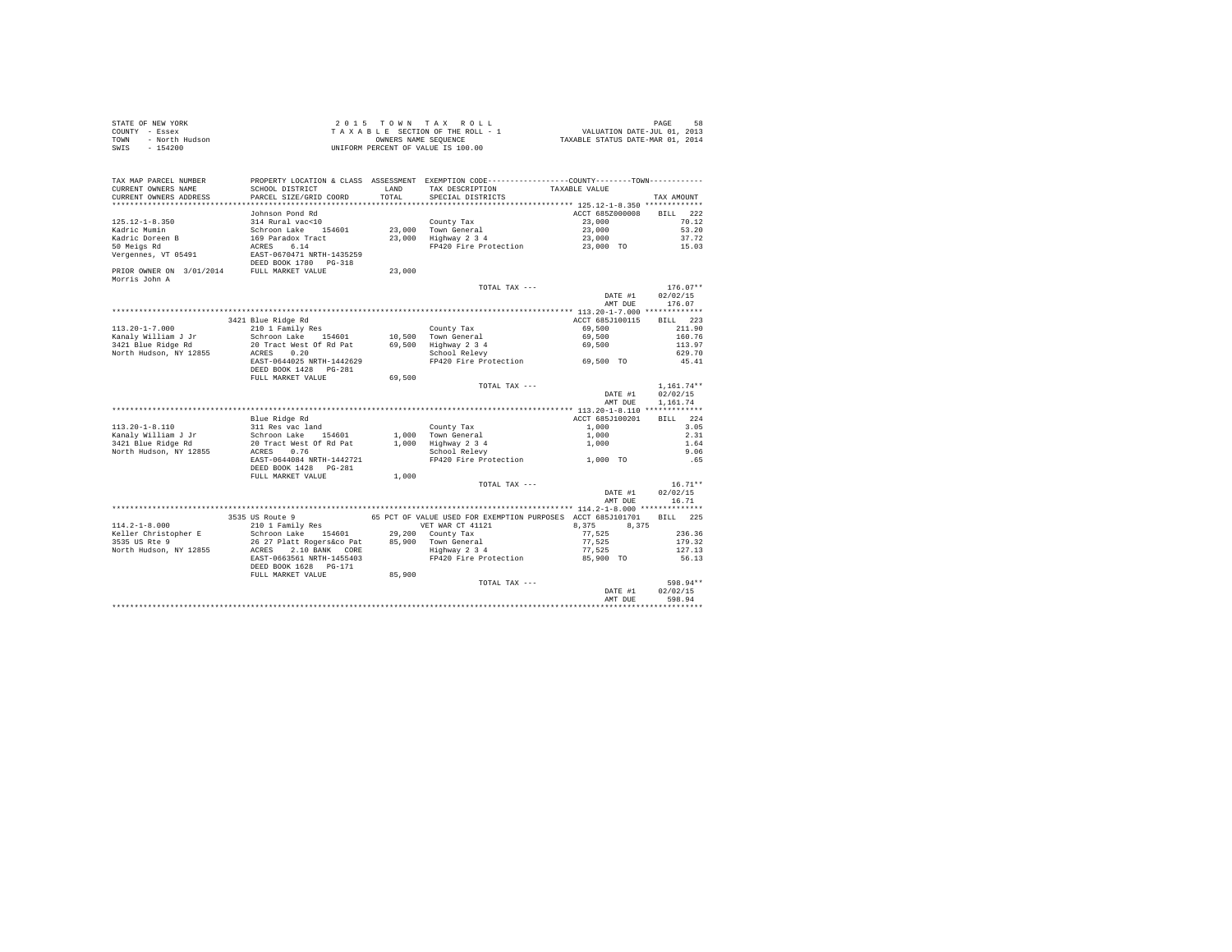| STATE OF NEW YORK      | 2015 TOWN TAX ROLL                 | 58<br>PAGE                       |
|------------------------|------------------------------------|----------------------------------|
| COUNTY - Essex         | TAXABLE SECTION OF THE ROLL - 1    | VALUATION DATE-JUL 01, 2013      |
| TOWN<br>- North Hudson | OWNERS NAME SEOUENCE               | TAXABLE STATUS DATE-MAR 01, 2014 |
| - 154200<br>SWIS       | UNIFORM PERCENT OF VALUE IS 100.00 |                                  |

| TAX MAP PARCEL NUMBER<br>CURRENT OWNERS NAME                                                                                                                                                                                         | PROPERTY LOCATION & CLASS ASSESSMENT EXEMPTION CODE----------------COUNTY-------TOWN----------<br>SCHOOL DISTRICT | LAND   | TAX DESCRIPTION                                                      | TAXABLE VALUE   |                       |
|--------------------------------------------------------------------------------------------------------------------------------------------------------------------------------------------------------------------------------------|-------------------------------------------------------------------------------------------------------------------|--------|----------------------------------------------------------------------|-----------------|-----------------------|
| CURRENT OWNERS ADDRESS                                                                                                                                                                                                               | PARCEL SIZE/GRID COORD                                                                                            | TOTAL  | SPECIAL DISTRICTS                                                    |                 | TAX AMOUNT            |
|                                                                                                                                                                                                                                      |                                                                                                                   |        |                                                                      |                 |                       |
|                                                                                                                                                                                                                                      | Johnson Pond Rd                                                                                                   |        |                                                                      | ACCT 685Z000008 | BILL 222              |
| $125.12 - 1 - 8.350$                                                                                                                                                                                                                 | 314 Rural vac<10                                                                                                  |        | County Tax                                                           | 23,000          | 70.12                 |
| Kadric Mumin                                                                                                                                                                                                                         | Schroon Lake 154601                                                                                               |        | 23,000 Town General<br>23,000 Highway 2 3 4                          | 23,000          | 53.20                 |
| Kadric Doreen B                                                                                                                                                                                                                      | 169 Paradox Tract<br>ACRES 6.14<br>EAST-0670471 NRTH-1435259                                                      |        |                                                                      | 23,000          | 37.72                 |
| 50 Meigs Rd                                                                                                                                                                                                                          |                                                                                                                   |        | FP420 Fire Protection                                                | 23,000 TO       | 15.03                 |
| Vergennes, VT 05491                                                                                                                                                                                                                  | DEED BOOK 1780 PG-318                                                                                             |        |                                                                      |                 |                       |
| PRIOR OWNER ON 3/01/2014 FULL MARKET VALUE<br>Morris John A                                                                                                                                                                          |                                                                                                                   | 23,000 |                                                                      |                 |                       |
|                                                                                                                                                                                                                                      |                                                                                                                   |        | TOTAL TAX ---                                                        |                 | $176.07**$            |
|                                                                                                                                                                                                                                      |                                                                                                                   |        |                                                                      | DATE #1         | 02/02/15              |
|                                                                                                                                                                                                                                      |                                                                                                                   |        |                                                                      | AMT DUE         | 176.07                |
|                                                                                                                                                                                                                                      |                                                                                                                   |        |                                                                      |                 |                       |
|                                                                                                                                                                                                                                      | 3421 Blue Ridge Rd                                                                                                |        |                                                                      | ACCT 685J100115 | BILL 223              |
| $113.20 - 1 - 7.000$                                                                                                                                                                                                                 | 210 1 Family Res<br>Schroon Lake 154601                                                                           |        | County Tax                                                           | 69,500          | 211.90                |
| Kanaly William J Jr                                                                                                                                                                                                                  |                                                                                                                   |        | 10,500 Town General                                                  | 69,500          | 160.76                |
| 3421 Blue Ridge Rd                                                                                                                                                                                                                   |                                                                                                                   |        |                                                                      | 69,500          | 113.97                |
| North Hudson, NY 12855                                                                                                                                                                                                               | 20 Tract West Of Rd Pat 69,500 Highway 2 3 4<br>ACRES 0.20 School Relevy                                          |        |                                                                      |                 | 629.70                |
|                                                                                                                                                                                                                                      | EAST-0644025 NRTH-1442629<br>DEED BOOK 1428   PG-281                                                              |        | FP420 Fire Protection 69,500 TO                                      |                 | 45.41                 |
|                                                                                                                                                                                                                                      | FULL MARKET VALUE                                                                                                 | 69,500 |                                                                      |                 |                       |
|                                                                                                                                                                                                                                      |                                                                                                                   |        | TOTAL TAX ---                                                        |                 | $1,161.74**$          |
|                                                                                                                                                                                                                                      |                                                                                                                   |        |                                                                      | DATE #1         | 02/02/15              |
|                                                                                                                                                                                                                                      |                                                                                                                   |        |                                                                      | AMT DUE         | 1,161.74              |
|                                                                                                                                                                                                                                      |                                                                                                                   |        |                                                                      |                 |                       |
|                                                                                                                                                                                                                                      | Blue Ridge Rd                                                                                                     |        |                                                                      | ACCT 685J100201 | BILL 224              |
| $113.20 - 1 - 8.110$                                                                                                                                                                                                                 | 311 Res vac land<br>Schroon Lake 154601                                                                           |        | County Tax                                                           | 1,000           | 3.05                  |
| Kanaly William J Jr                                                                                                                                                                                                                  |                                                                                                                   |        | 1,000 Town General                                                   | 1,000           | 2.31                  |
| 3421 Blue Ridge Rd                                                                                                                                                                                                                   | 20 Tract West Of Rd Pat<br>ACRES 0.76                                                                             |        | 1,000 Highway 2 3 4                                                  | 1,000           | 1.64                  |
| North Hudson, NY 12855                                                                                                                                                                                                               |                                                                                                                   |        | School Relevy                                                        |                 | 9.06                  |
|                                                                                                                                                                                                                                      | EAST-0644084 NRTH-1442721<br>DEED BOOK 1428    PG-281                                                             |        | FP420 Fire Protection 1.000 TO                                       |                 | .65                   |
|                                                                                                                                                                                                                                      | FULL MARKET VALUE                                                                                                 | 1,000  |                                                                      |                 |                       |
|                                                                                                                                                                                                                                      |                                                                                                                   |        | TOTAL TAX ---                                                        | DATE #1         | $16.71**$<br>02/02/15 |
|                                                                                                                                                                                                                                      |                                                                                                                   |        |                                                                      | AMT DUR         | 16.71                 |
|                                                                                                                                                                                                                                      |                                                                                                                   |        |                                                                      |                 |                       |
|                                                                                                                                                                                                                                      | 3535 US Route 9                                                                                                   |        | 65 PCT OF VALUE USED FOR EXEMPTION PURPOSES ACCT 685J101701 BILL 225 |                 |                       |
| $114.2 - 1 - 8.000$                                                                                                                                                                                                                  |                                                                                                                   |        | VET WAR CT 41121                                                     | 8,375 8,375     |                       |
| Keller Christopher E                                                                                                                                                                                                                 | 210 1 Family Res<br>Schroon Lake 154601                                                                           |        | 29,200 County Tax                                                    | 77,525          | 236.36                |
| communication of the communication of the state of the state of the state of the state of the state of the stat<br>Morth Hudson, NY 12855 2000 RMS 2002 234<br>North Hudson, NY 12855 2002 RAST-0663561 NRTH-1455403 PP420 Fire Prot |                                                                                                                   |        |                                                                      | 77,525          | 179.32                |
|                                                                                                                                                                                                                                      |                                                                                                                   |        |                                                                      | 77,525          | 127.13                |
|                                                                                                                                                                                                                                      |                                                                                                                   |        |                                                                      | 85,900 TO       | 56.13                 |
|                                                                                                                                                                                                                                      | DEED BOOK 1628 PG-171<br>FULL MARKET VALUE                                                                        | 85,900 |                                                                      |                 |                       |
|                                                                                                                                                                                                                                      |                                                                                                                   |        | TOTAL TAX ---                                                        |                 | 598.94**              |
|                                                                                                                                                                                                                                      |                                                                                                                   |        |                                                                      | DATE #1         | 02/02/15              |
|                                                                                                                                                                                                                                      |                                                                                                                   |        |                                                                      | AMT DUE         | 598.94                |
|                                                                                                                                                                                                                                      |                                                                                                                   |        |                                                                      |                 |                       |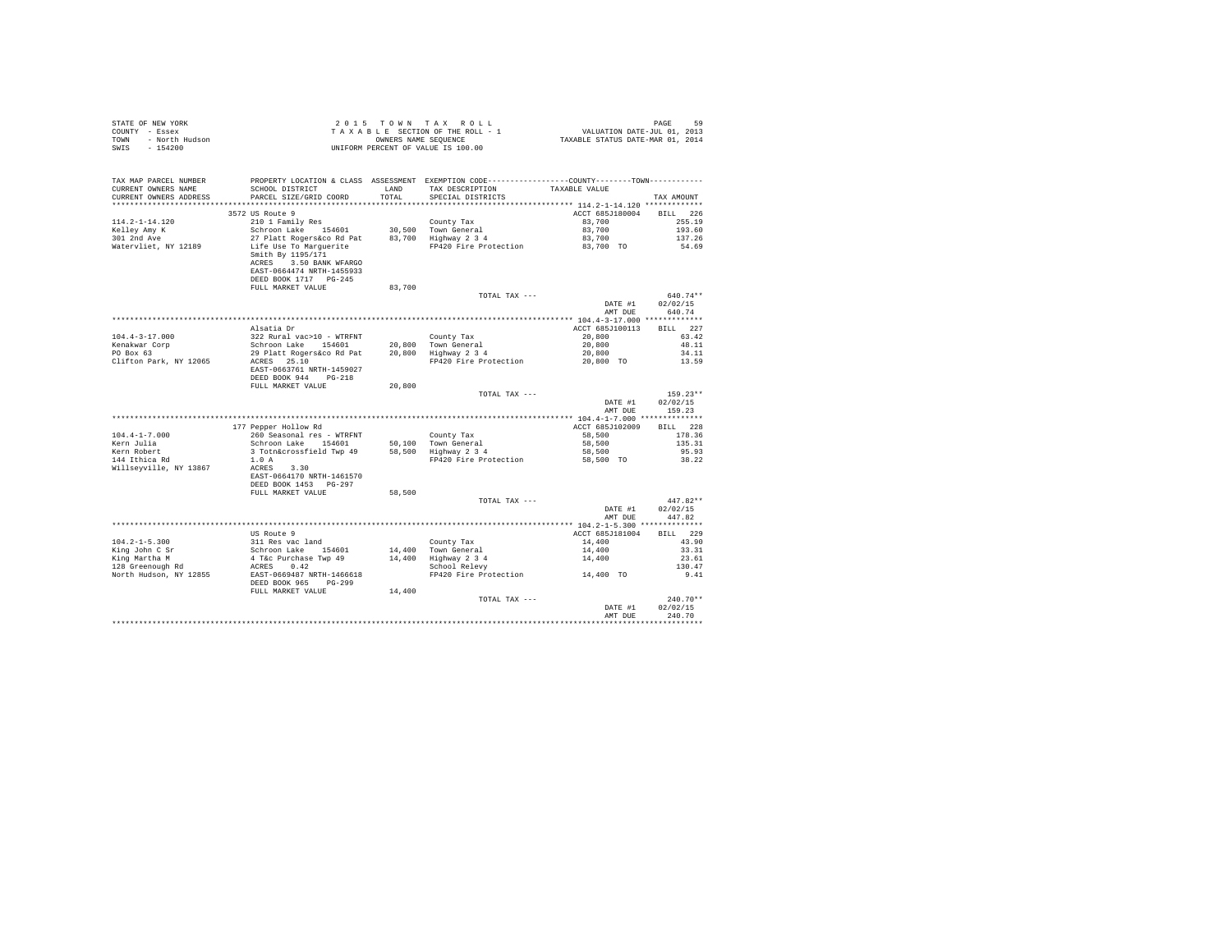| STATE OF NEW YORK<br>COUNTY - Essex<br>- North Hudson<br>TOWN<br>SWIS - 154200                                                                                                                                                                                                                                                                                                                                          |                                                                                                                                                                                                                                                       |               | 2015 TOWN TAX ROLL<br>$\begin{array}{lcl} 2 & 0 & 1 & 5 & \textrm{TO}~\textsc{N}~\textsc{N}~\textsc{N}~\textsc{N}~\textsc{N}~\textsc{N}~\textsc{N}~\textsc{N}~\textsc{N}~\textsc{N}~\textsc{N}~\textsc{N}~\textsc{N}~\textsc{N}~\textsc{N}~\textsc{N}~\textsc{N}~\textsc{N}~\textsc{N}~\textsc{N}~\textsc{N}~\textsc{N}~\textsc{N}~\textsc{N}~\textsc{N}~\textsc{N}~\textsc{N}~\textsc$<br>UNIFORM PERCENT OF VALUE IS 100.00 |                           | PAGE<br>59                       |
|-------------------------------------------------------------------------------------------------------------------------------------------------------------------------------------------------------------------------------------------------------------------------------------------------------------------------------------------------------------------------------------------------------------------------|-------------------------------------------------------------------------------------------------------------------------------------------------------------------------------------------------------------------------------------------------------|---------------|-------------------------------------------------------------------------------------------------------------------------------------------------------------------------------------------------------------------------------------------------------------------------------------------------------------------------------------------------------------------------------------------------------------------------------|---------------------------|----------------------------------|
| TAX MAP PARCEL NUMBER<br>CURRENT OWNERS NAME<br>CURRENT OWNERS ADDRESS                                                                                                                                                                                                                                                                                                                                                  | SCHOOL DISTRICT<br>PARCEL SIZE/GRID COORD                                                                                                                                                                                                             | LAND<br>TOTAL | PROPERTY LOCATION & CLASS ASSESSMENT EXEMPTION CODE----------------COUNTY-------TOWN---------<br>TAX DESCRIPTION<br>SPECIAL DISTRICTS                                                                                                                                                                                                                                                                                         | TAXABLE VALUE             | TAX AMOUNT                       |
|                                                                                                                                                                                                                                                                                                                                                                                                                         |                                                                                                                                                                                                                                                       |               |                                                                                                                                                                                                                                                                                                                                                                                                                               |                           |                                  |
|                                                                                                                                                                                                                                                                                                                                                                                                                         | 3572 US Route 9                                                                                                                                                                                                                                       |               |                                                                                                                                                                                                                                                                                                                                                                                                                               | ACCT 685J180004 BILL 226  |                                  |
| $114.2 - 1 - 14.120$<br>Kelley Amy K<br>301 2nd Ave                                                                                                                                                                                                                                                                                                                                                                     | 210 1 Family Res<br>Schroon Lake 154601                                                                                                                                                                                                               |               | County Tax                                                                                                                                                                                                                                                                                                                                                                                                                    | 83,700<br>83,700          | 255.19<br>193.60                 |
| Watervliet, NY 12189                                                                                                                                                                                                                                                                                                                                                                                                    | Schroon Lake 154601 - 30,500 Town General<br>27 Platt Rogers&co Rd Pat - 83,700 Highway 2 34<br>Life Use To Marguerite<br>Life Use To Marguerite<br>Smith By 1195/171<br>ACRES 3.50 BANK WFARGO<br>EAST-0664474 NRTH-1455933<br>DEED BOOK 1717 PG-245 |               | FP420 Fire Protection 83,700 TO                                                                                                                                                                                                                                                                                                                                                                                               | 83,700                    | 137.26<br>54.69                  |
|                                                                                                                                                                                                                                                                                                                                                                                                                         | FULL MARKET VALUE                                                                                                                                                                                                                                     | 83,700        |                                                                                                                                                                                                                                                                                                                                                                                                                               |                           |                                  |
|                                                                                                                                                                                                                                                                                                                                                                                                                         |                                                                                                                                                                                                                                                       |               | TOTAL TAX ---                                                                                                                                                                                                                                                                                                                                                                                                                 | DATE #1<br>AMT DUE        | 640.74**<br>02/02/15<br>640.74   |
|                                                                                                                                                                                                                                                                                                                                                                                                                         |                                                                                                                                                                                                                                                       |               |                                                                                                                                                                                                                                                                                                                                                                                                                               |                           |                                  |
|                                                                                                                                                                                                                                                                                                                                                                                                                         | Alsatia Dr                                                                                                                                                                                                                                            |               |                                                                                                                                                                                                                                                                                                                                                                                                                               | ACCT 685J100113           | BILL 227                         |
| $104.4 - 3 - 17.000$                                                                                                                                                                                                                                                                                                                                                                                                    | 322 Rural vac>10 - WTRFNT                                                                                                                                                                                                                             |               |                                                                                                                                                                                                                                                                                                                                                                                                                               | 20,800                    | 63.42                            |
| Kenakwar Corp<br>PO Box 63                                                                                                                                                                                                                                                                                                                                                                                              | Schroon Lake 154601                                                                                                                                                                                                                                   |               |                                                                                                                                                                                                                                                                                                                                                                                                                               | 20,800                    | 48.11                            |
|                                                                                                                                                                                                                                                                                                                                                                                                                         | 29 Platt Rogers&co Rd Pat                                                                                                                                                                                                                             |               | County Tax<br>20,800 Town General<br>20,800 Highway 2 3 4                                                                                                                                                                                                                                                                                                                                                                     | 20,800                    | 34.11                            |
| Clifton Park, NY 12065                                                                                                                                                                                                                                                                                                                                                                                                  | ACRES 25.10<br>EAST-0663761 NRTH-1459027<br>DEED BOOK 944 PG-218<br>FULL MARKET VALUE                                                                                                                                                                 | 20,800        | FP420 Fire Protection                                                                                                                                                                                                                                                                                                                                                                                                         | 20,800 TO                 | 13.59                            |
|                                                                                                                                                                                                                                                                                                                                                                                                                         |                                                                                                                                                                                                                                                       |               | TOTAL TAX ---                                                                                                                                                                                                                                                                                                                                                                                                                 |                           | $159.23**$                       |
|                                                                                                                                                                                                                                                                                                                                                                                                                         |                                                                                                                                                                                                                                                       |               |                                                                                                                                                                                                                                                                                                                                                                                                                               | DATE #1<br>AMT DUE        | 02/02/15<br>159.23               |
|                                                                                                                                                                                                                                                                                                                                                                                                                         |                                                                                                                                                                                                                                                       |               |                                                                                                                                                                                                                                                                                                                                                                                                                               |                           |                                  |
| $104.4 - 1 - 7.000$                                                                                                                                                                                                                                                                                                                                                                                                     | 177 Pepper Hollow Rd<br>260 Seasonal res - WTRFNT                                                                                                                                                                                                     |               | County Tax                                                                                                                                                                                                                                                                                                                                                                                                                    | ACCT 685J102009<br>58,500 | BILL 228<br>178.36               |
| Kern Julia                                                                                                                                                                                                                                                                                                                                                                                                              | --- --------- -- -- ------<br>Schroon Lake 154601 50,100 Town General<br>3 Totn&crossfield Twp 49 58,500 Highway 2 3 4<br>Schroon Lake 154601                                                                                                         |               |                                                                                                                                                                                                                                                                                                                                                                                                                               | 58,500                    | 135.31                           |
| Kern Robert<br>144 Ithica Rd                                                                                                                                                                                                                                                                                                                                                                                            |                                                                                                                                                                                                                                                       |               |                                                                                                                                                                                                                                                                                                                                                                                                                               | 58,500                    | 95.93                            |
| Willseyville, NY 13867                                                                                                                                                                                                                                                                                                                                                                                                  | 1.0A<br>ACRES 3.30<br>EAST-0664170 NRTH-1461570<br>DEED BOOK 1453 PG-297                                                                                                                                                                              |               | FP420 Fire Protection 58,500 TO                                                                                                                                                                                                                                                                                                                                                                                               |                           | 38.22                            |
|                                                                                                                                                                                                                                                                                                                                                                                                                         | FULL MARKET VALUE                                                                                                                                                                                                                                     | 58,500        |                                                                                                                                                                                                                                                                                                                                                                                                                               |                           |                                  |
|                                                                                                                                                                                                                                                                                                                                                                                                                         |                                                                                                                                                                                                                                                       |               | TOTAL TAX ---                                                                                                                                                                                                                                                                                                                                                                                                                 | DATE #1<br>AMT DUE        | $447.82**$<br>02/02/15<br>447.82 |
|                                                                                                                                                                                                                                                                                                                                                                                                                         |                                                                                                                                                                                                                                                       |               |                                                                                                                                                                                                                                                                                                                                                                                                                               |                           |                                  |
|                                                                                                                                                                                                                                                                                                                                                                                                                         | US Route 9                                                                                                                                                                                                                                            |               |                                                                                                                                                                                                                                                                                                                                                                                                                               | ACCT 685J181004           | RTT.T. 229                       |
|                                                                                                                                                                                                                                                                                                                                                                                                                         |                                                                                                                                                                                                                                                       |               |                                                                                                                                                                                                                                                                                                                                                                                                                               | 14,400                    | 43.90                            |
|                                                                                                                                                                                                                                                                                                                                                                                                                         |                                                                                                                                                                                                                                                       |               | County Tax<br>14,400 Town General<br>14,400 Highway 2 3<br>School Relevy                                                                                                                                                                                                                                                                                                                                                      | 14,400                    | 33.31                            |
|                                                                                                                                                                                                                                                                                                                                                                                                                         |                                                                                                                                                                                                                                                       |               |                                                                                                                                                                                                                                                                                                                                                                                                                               | 14,400                    | 23.61                            |
|                                                                                                                                                                                                                                                                                                                                                                                                                         |                                                                                                                                                                                                                                                       |               |                                                                                                                                                                                                                                                                                                                                                                                                                               |                           | 130.47                           |
| $\begin{tabular}{lllllllllllll} \texttt{104.2--1-5.300} & \texttt{vs\ source\ y} \\ \texttt{King\ Mohr C Sr} & \texttt{S:1R} & \texttt{Schroon Lake} & \texttt{154601} \\ \texttt{King\ Martha\ M} & \texttt{A Toc\ Purchase\ Twp\ 49} \\ \texttt{128 Greenough\ Rd} & \texttt{ACESS} & \texttt{142} \\ \texttt{North Hudson, NY\ 12855} & \texttt{EAST-0669487\ NRTH-1466618} \\ \texttt{DRED BOK 965} & \texttt{PC-2$ |                                                                                                                                                                                                                                                       |               | FP420 Fire Protection 14,400 TO                                                                                                                                                                                                                                                                                                                                                                                               |                           | 9.41                             |
|                                                                                                                                                                                                                                                                                                                                                                                                                         | FULL MARKET VALUE                                                                                                                                                                                                                                     | 14,400        |                                                                                                                                                                                                                                                                                                                                                                                                                               |                           | $240.70**$                       |
|                                                                                                                                                                                                                                                                                                                                                                                                                         |                                                                                                                                                                                                                                                       |               | TOTAL TAX ---                                                                                                                                                                                                                                                                                                                                                                                                                 | DATE #1                   | 02/02/15                         |
|                                                                                                                                                                                                                                                                                                                                                                                                                         |                                                                                                                                                                                                                                                       |               |                                                                                                                                                                                                                                                                                                                                                                                                                               | AMT DUE                   | 240.70                           |
|                                                                                                                                                                                                                                                                                                                                                                                                                         |                                                                                                                                                                                                                                                       |               |                                                                                                                                                                                                                                                                                                                                                                                                                               |                           |                                  |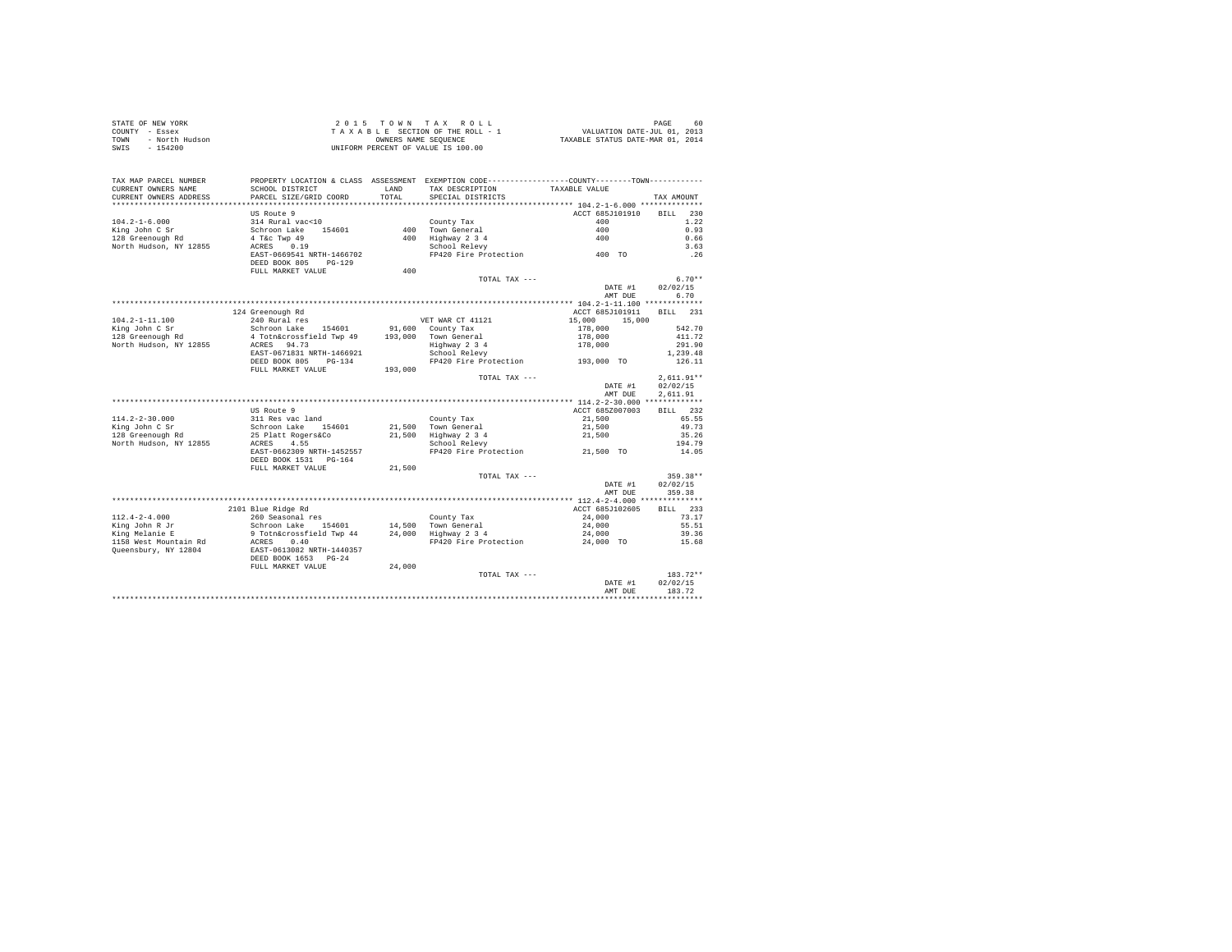| PROPERTY LOCATION & CLASS ASSESSMENT EXEMPTION CODE---------------COUNTY-------TOWN---------<br>TAX MAP PARCEL NUMBER<br>TAX DESCRIPTION TAXABLE VALUE<br>SCHOOL DISTRICT<br>CURRENT OWNERS NAME<br>LAND<br>TOTAL<br>CURRENT OWNERS ADDRESS<br>PARCEL SIZE/GRID COORD<br>SPECIAL DISTRICTS<br>TAX AMOUNT<br>US Route 9<br>ACCT 685J101910<br>BILL 230<br>County Tax<br>400 Town General<br>$104.2 - 1 - 6.000$<br>314 Rural vac<10<br>400<br>1.22<br>Schroon Lake 154601<br>400 Town General<br>400 Highway 234<br>School Relevy<br>FP420 Fire Protection 400 TO<br>King John C Sr<br>128 Greenough Rd<br>0.93<br>$\begin{tabular}{lllllll} 128 Greenough Rd & & & 4 T&c Twp & 49 \\ \textbf{North Hudson, NY} & 12855 & & & \textbf{ACRES} & 0.19 \\ \end{tabular}$<br>0.66<br>3.63<br>EAST-0669541 NRTH-1466702<br>.26<br>DEED BOOK 805 PG-129<br>400<br>FULL MARKET VALUE<br>TOTAL TAX ---<br>$6.70**$<br>DATE #1<br>02/02/15<br>AMT DUE<br>6.70<br>BILL 231<br>124 Greenough Rd<br>ACCT 685J101911<br>240 Rural res<br>$104.2 - 1 - 11.100$<br>1991 - THE MEXIMUM PROPERTY OF THE MARK CT 411211<br>1991 - All County Tax and the MEXIMUM PROPERTY (1991 - 1991)<br>1991,000 Town General 178,000<br>1992 - ACRES 941.73<br>1992 - ACRES 941.73<br>1993,000 Town General 1993,000<br>1993<br>15,000<br>542.70<br>King John C Sr<br>128 Greenough Rd<br>411.72<br>North Hudson, NY 12855 ACRES 94.73<br>291.90<br>1,239.48<br>126.11<br>FULL MARKET VALUE<br>193,000<br>TOTAL TAX ---<br>$2.611.91**$<br>02/02/15<br>DATE #1<br>2.611.91<br>AMT DUE<br>BILL 232<br>US Route 9<br>ACCT 685Z007003<br>65.55<br>49.73<br>35.26<br>194.79<br>14.05<br>DEED BOOK 1531 PG-164<br>FULL MARKET VALUE<br>21,500<br>359.38**<br>TOTAL TAX ---<br>DATE #1<br>02/02/15<br>AMT DUE<br>359.38<br>BILL 233<br>2101 Blue Ridge Rd<br>ACCT 685J102605<br>24,000<br>73.17<br>24,000<br>55.51<br>24,000<br>39.36<br>FP420 Fire Protection 24,000 TO<br>15.68<br>DEED BOOK 1653 PG-24<br>FULL MARKET VALUE<br>24,000<br>$183.72**$<br>TOTAL TAX ---<br>02/02/15<br>DATE #1<br>183.72<br>AMT DUE | STATE OF NEW YORK<br>COUNTY - Essex<br>- North Hudson<br>TOWN<br>$-154200$<br>SWIS |  | UNIFORM PERCENT OF VALUE IS 100.00 |  |
|--------------------------------------------------------------------------------------------------------------------------------------------------------------------------------------------------------------------------------------------------------------------------------------------------------------------------------------------------------------------------------------------------------------------------------------------------------------------------------------------------------------------------------------------------------------------------------------------------------------------------------------------------------------------------------------------------------------------------------------------------------------------------------------------------------------------------------------------------------------------------------------------------------------------------------------------------------------------------------------------------------------------------------------------------------------------------------------------------------------------------------------------------------------------------------------------------------------------------------------------------------------------------------------------------------------------------------------------------------------------------------------------------------------------------------------------------------------------------------------------------------------------------------------------------------------------------------------------------------------------------------------------------------------------------------------------------------------------------------------------------------------------------------------------------------------------------------------------------------------------------------------------------------------------------------------------------------------------------------------------------------------------------------------------------------------------------------|------------------------------------------------------------------------------------|--|------------------------------------|--|
|                                                                                                                                                                                                                                                                                                                                                                                                                                                                                                                                                                                                                                                                                                                                                                                                                                                                                                                                                                                                                                                                                                                                                                                                                                                                                                                                                                                                                                                                                                                                                                                                                                                                                                                                                                                                                                                                                                                                                                                                                                                                                |                                                                                    |  |                                    |  |
|                                                                                                                                                                                                                                                                                                                                                                                                                                                                                                                                                                                                                                                                                                                                                                                                                                                                                                                                                                                                                                                                                                                                                                                                                                                                                                                                                                                                                                                                                                                                                                                                                                                                                                                                                                                                                                                                                                                                                                                                                                                                                |                                                                                    |  |                                    |  |
|                                                                                                                                                                                                                                                                                                                                                                                                                                                                                                                                                                                                                                                                                                                                                                                                                                                                                                                                                                                                                                                                                                                                                                                                                                                                                                                                                                                                                                                                                                                                                                                                                                                                                                                                                                                                                                                                                                                                                                                                                                                                                |                                                                                    |  |                                    |  |
|                                                                                                                                                                                                                                                                                                                                                                                                                                                                                                                                                                                                                                                                                                                                                                                                                                                                                                                                                                                                                                                                                                                                                                                                                                                                                                                                                                                                                                                                                                                                                                                                                                                                                                                                                                                                                                                                                                                                                                                                                                                                                |                                                                                    |  |                                    |  |
|                                                                                                                                                                                                                                                                                                                                                                                                                                                                                                                                                                                                                                                                                                                                                                                                                                                                                                                                                                                                                                                                                                                                                                                                                                                                                                                                                                                                                                                                                                                                                                                                                                                                                                                                                                                                                                                                                                                                                                                                                                                                                |                                                                                    |  |                                    |  |
|                                                                                                                                                                                                                                                                                                                                                                                                                                                                                                                                                                                                                                                                                                                                                                                                                                                                                                                                                                                                                                                                                                                                                                                                                                                                                                                                                                                                                                                                                                                                                                                                                                                                                                                                                                                                                                                                                                                                                                                                                                                                                |                                                                                    |  |                                    |  |
|                                                                                                                                                                                                                                                                                                                                                                                                                                                                                                                                                                                                                                                                                                                                                                                                                                                                                                                                                                                                                                                                                                                                                                                                                                                                                                                                                                                                                                                                                                                                                                                                                                                                                                                                                                                                                                                                                                                                                                                                                                                                                |                                                                                    |  |                                    |  |
|                                                                                                                                                                                                                                                                                                                                                                                                                                                                                                                                                                                                                                                                                                                                                                                                                                                                                                                                                                                                                                                                                                                                                                                                                                                                                                                                                                                                                                                                                                                                                                                                                                                                                                                                                                                                                                                                                                                                                                                                                                                                                |                                                                                    |  |                                    |  |
|                                                                                                                                                                                                                                                                                                                                                                                                                                                                                                                                                                                                                                                                                                                                                                                                                                                                                                                                                                                                                                                                                                                                                                                                                                                                                                                                                                                                                                                                                                                                                                                                                                                                                                                                                                                                                                                                                                                                                                                                                                                                                |                                                                                    |  |                                    |  |
|                                                                                                                                                                                                                                                                                                                                                                                                                                                                                                                                                                                                                                                                                                                                                                                                                                                                                                                                                                                                                                                                                                                                                                                                                                                                                                                                                                                                                                                                                                                                                                                                                                                                                                                                                                                                                                                                                                                                                                                                                                                                                |                                                                                    |  |                                    |  |
|                                                                                                                                                                                                                                                                                                                                                                                                                                                                                                                                                                                                                                                                                                                                                                                                                                                                                                                                                                                                                                                                                                                                                                                                                                                                                                                                                                                                                                                                                                                                                                                                                                                                                                                                                                                                                                                                                                                                                                                                                                                                                |                                                                                    |  |                                    |  |
|                                                                                                                                                                                                                                                                                                                                                                                                                                                                                                                                                                                                                                                                                                                                                                                                                                                                                                                                                                                                                                                                                                                                                                                                                                                                                                                                                                                                                                                                                                                                                                                                                                                                                                                                                                                                                                                                                                                                                                                                                                                                                |                                                                                    |  |                                    |  |
|                                                                                                                                                                                                                                                                                                                                                                                                                                                                                                                                                                                                                                                                                                                                                                                                                                                                                                                                                                                                                                                                                                                                                                                                                                                                                                                                                                                                                                                                                                                                                                                                                                                                                                                                                                                                                                                                                                                                                                                                                                                                                |                                                                                    |  |                                    |  |
|                                                                                                                                                                                                                                                                                                                                                                                                                                                                                                                                                                                                                                                                                                                                                                                                                                                                                                                                                                                                                                                                                                                                                                                                                                                                                                                                                                                                                                                                                                                                                                                                                                                                                                                                                                                                                                                                                                                                                                                                                                                                                |                                                                                    |  |                                    |  |
|                                                                                                                                                                                                                                                                                                                                                                                                                                                                                                                                                                                                                                                                                                                                                                                                                                                                                                                                                                                                                                                                                                                                                                                                                                                                                                                                                                                                                                                                                                                                                                                                                                                                                                                                                                                                                                                                                                                                                                                                                                                                                |                                                                                    |  |                                    |  |
|                                                                                                                                                                                                                                                                                                                                                                                                                                                                                                                                                                                                                                                                                                                                                                                                                                                                                                                                                                                                                                                                                                                                                                                                                                                                                                                                                                                                                                                                                                                                                                                                                                                                                                                                                                                                                                                                                                                                                                                                                                                                                |                                                                                    |  |                                    |  |
|                                                                                                                                                                                                                                                                                                                                                                                                                                                                                                                                                                                                                                                                                                                                                                                                                                                                                                                                                                                                                                                                                                                                                                                                                                                                                                                                                                                                                                                                                                                                                                                                                                                                                                                                                                                                                                                                                                                                                                                                                                                                                |                                                                                    |  |                                    |  |
|                                                                                                                                                                                                                                                                                                                                                                                                                                                                                                                                                                                                                                                                                                                                                                                                                                                                                                                                                                                                                                                                                                                                                                                                                                                                                                                                                                                                                                                                                                                                                                                                                                                                                                                                                                                                                                                                                                                                                                                                                                                                                |                                                                                    |  |                                    |  |
|                                                                                                                                                                                                                                                                                                                                                                                                                                                                                                                                                                                                                                                                                                                                                                                                                                                                                                                                                                                                                                                                                                                                                                                                                                                                                                                                                                                                                                                                                                                                                                                                                                                                                                                                                                                                                                                                                                                                                                                                                                                                                |                                                                                    |  |                                    |  |
|                                                                                                                                                                                                                                                                                                                                                                                                                                                                                                                                                                                                                                                                                                                                                                                                                                                                                                                                                                                                                                                                                                                                                                                                                                                                                                                                                                                                                                                                                                                                                                                                                                                                                                                                                                                                                                                                                                                                                                                                                                                                                |                                                                                    |  |                                    |  |
|                                                                                                                                                                                                                                                                                                                                                                                                                                                                                                                                                                                                                                                                                                                                                                                                                                                                                                                                                                                                                                                                                                                                                                                                                                                                                                                                                                                                                                                                                                                                                                                                                                                                                                                                                                                                                                                                                                                                                                                                                                                                                |                                                                                    |  |                                    |  |
|                                                                                                                                                                                                                                                                                                                                                                                                                                                                                                                                                                                                                                                                                                                                                                                                                                                                                                                                                                                                                                                                                                                                                                                                                                                                                                                                                                                                                                                                                                                                                                                                                                                                                                                                                                                                                                                                                                                                                                                                                                                                                |                                                                                    |  |                                    |  |
|                                                                                                                                                                                                                                                                                                                                                                                                                                                                                                                                                                                                                                                                                                                                                                                                                                                                                                                                                                                                                                                                                                                                                                                                                                                                                                                                                                                                                                                                                                                                                                                                                                                                                                                                                                                                                                                                                                                                                                                                                                                                                |                                                                                    |  |                                    |  |
|                                                                                                                                                                                                                                                                                                                                                                                                                                                                                                                                                                                                                                                                                                                                                                                                                                                                                                                                                                                                                                                                                                                                                                                                                                                                                                                                                                                                                                                                                                                                                                                                                                                                                                                                                                                                                                                                                                                                                                                                                                                                                |                                                                                    |  |                                    |  |
|                                                                                                                                                                                                                                                                                                                                                                                                                                                                                                                                                                                                                                                                                                                                                                                                                                                                                                                                                                                                                                                                                                                                                                                                                                                                                                                                                                                                                                                                                                                                                                                                                                                                                                                                                                                                                                                                                                                                                                                                                                                                                |                                                                                    |  |                                    |  |
|                                                                                                                                                                                                                                                                                                                                                                                                                                                                                                                                                                                                                                                                                                                                                                                                                                                                                                                                                                                                                                                                                                                                                                                                                                                                                                                                                                                                                                                                                                                                                                                                                                                                                                                                                                                                                                                                                                                                                                                                                                                                                |                                                                                    |  |                                    |  |
|                                                                                                                                                                                                                                                                                                                                                                                                                                                                                                                                                                                                                                                                                                                                                                                                                                                                                                                                                                                                                                                                                                                                                                                                                                                                                                                                                                                                                                                                                                                                                                                                                                                                                                                                                                                                                                                                                                                                                                                                                                                                                |                                                                                    |  |                                    |  |
|                                                                                                                                                                                                                                                                                                                                                                                                                                                                                                                                                                                                                                                                                                                                                                                                                                                                                                                                                                                                                                                                                                                                                                                                                                                                                                                                                                                                                                                                                                                                                                                                                                                                                                                                                                                                                                                                                                                                                                                                                                                                                |                                                                                    |  |                                    |  |
|                                                                                                                                                                                                                                                                                                                                                                                                                                                                                                                                                                                                                                                                                                                                                                                                                                                                                                                                                                                                                                                                                                                                                                                                                                                                                                                                                                                                                                                                                                                                                                                                                                                                                                                                                                                                                                                                                                                                                                                                                                                                                |                                                                                    |  |                                    |  |
|                                                                                                                                                                                                                                                                                                                                                                                                                                                                                                                                                                                                                                                                                                                                                                                                                                                                                                                                                                                                                                                                                                                                                                                                                                                                                                                                                                                                                                                                                                                                                                                                                                                                                                                                                                                                                                                                                                                                                                                                                                                                                |                                                                                    |  |                                    |  |
|                                                                                                                                                                                                                                                                                                                                                                                                                                                                                                                                                                                                                                                                                                                                                                                                                                                                                                                                                                                                                                                                                                                                                                                                                                                                                                                                                                                                                                                                                                                                                                                                                                                                                                                                                                                                                                                                                                                                                                                                                                                                                |                                                                                    |  |                                    |  |
|                                                                                                                                                                                                                                                                                                                                                                                                                                                                                                                                                                                                                                                                                                                                                                                                                                                                                                                                                                                                                                                                                                                                                                                                                                                                                                                                                                                                                                                                                                                                                                                                                                                                                                                                                                                                                                                                                                                                                                                                                                                                                |                                                                                    |  |                                    |  |
|                                                                                                                                                                                                                                                                                                                                                                                                                                                                                                                                                                                                                                                                                                                                                                                                                                                                                                                                                                                                                                                                                                                                                                                                                                                                                                                                                                                                                                                                                                                                                                                                                                                                                                                                                                                                                                                                                                                                                                                                                                                                                |                                                                                    |  |                                    |  |
|                                                                                                                                                                                                                                                                                                                                                                                                                                                                                                                                                                                                                                                                                                                                                                                                                                                                                                                                                                                                                                                                                                                                                                                                                                                                                                                                                                                                                                                                                                                                                                                                                                                                                                                                                                                                                                                                                                                                                                                                                                                                                |                                                                                    |  |                                    |  |
|                                                                                                                                                                                                                                                                                                                                                                                                                                                                                                                                                                                                                                                                                                                                                                                                                                                                                                                                                                                                                                                                                                                                                                                                                                                                                                                                                                                                                                                                                                                                                                                                                                                                                                                                                                                                                                                                                                                                                                                                                                                                                |                                                                                    |  |                                    |  |
|                                                                                                                                                                                                                                                                                                                                                                                                                                                                                                                                                                                                                                                                                                                                                                                                                                                                                                                                                                                                                                                                                                                                                                                                                                                                                                                                                                                                                                                                                                                                                                                                                                                                                                                                                                                                                                                                                                                                                                                                                                                                                |                                                                                    |  |                                    |  |
|                                                                                                                                                                                                                                                                                                                                                                                                                                                                                                                                                                                                                                                                                                                                                                                                                                                                                                                                                                                                                                                                                                                                                                                                                                                                                                                                                                                                                                                                                                                                                                                                                                                                                                                                                                                                                                                                                                                                                                                                                                                                                |                                                                                    |  |                                    |  |
|                                                                                                                                                                                                                                                                                                                                                                                                                                                                                                                                                                                                                                                                                                                                                                                                                                                                                                                                                                                                                                                                                                                                                                                                                                                                                                                                                                                                                                                                                                                                                                                                                                                                                                                                                                                                                                                                                                                                                                                                                                                                                |                                                                                    |  |                                    |  |
|                                                                                                                                                                                                                                                                                                                                                                                                                                                                                                                                                                                                                                                                                                                                                                                                                                                                                                                                                                                                                                                                                                                                                                                                                                                                                                                                                                                                                                                                                                                                                                                                                                                                                                                                                                                                                                                                                                                                                                                                                                                                                |                                                                                    |  |                                    |  |
|                                                                                                                                                                                                                                                                                                                                                                                                                                                                                                                                                                                                                                                                                                                                                                                                                                                                                                                                                                                                                                                                                                                                                                                                                                                                                                                                                                                                                                                                                                                                                                                                                                                                                                                                                                                                                                                                                                                                                                                                                                                                                |                                                                                    |  |                                    |  |
|                                                                                                                                                                                                                                                                                                                                                                                                                                                                                                                                                                                                                                                                                                                                                                                                                                                                                                                                                                                                                                                                                                                                                                                                                                                                                                                                                                                                                                                                                                                                                                                                                                                                                                                                                                                                                                                                                                                                                                                                                                                                                |                                                                                    |  |                                    |  |
|                                                                                                                                                                                                                                                                                                                                                                                                                                                                                                                                                                                                                                                                                                                                                                                                                                                                                                                                                                                                                                                                                                                                                                                                                                                                                                                                                                                                                                                                                                                                                                                                                                                                                                                                                                                                                                                                                                                                                                                                                                                                                |                                                                                    |  |                                    |  |
|                                                                                                                                                                                                                                                                                                                                                                                                                                                                                                                                                                                                                                                                                                                                                                                                                                                                                                                                                                                                                                                                                                                                                                                                                                                                                                                                                                                                                                                                                                                                                                                                                                                                                                                                                                                                                                                                                                                                                                                                                                                                                |                                                                                    |  |                                    |  |
|                                                                                                                                                                                                                                                                                                                                                                                                                                                                                                                                                                                                                                                                                                                                                                                                                                                                                                                                                                                                                                                                                                                                                                                                                                                                                                                                                                                                                                                                                                                                                                                                                                                                                                                                                                                                                                                                                                                                                                                                                                                                                |                                                                                    |  |                                    |  |
|                                                                                                                                                                                                                                                                                                                                                                                                                                                                                                                                                                                                                                                                                                                                                                                                                                                                                                                                                                                                                                                                                                                                                                                                                                                                                                                                                                                                                                                                                                                                                                                                                                                                                                                                                                                                                                                                                                                                                                                                                                                                                |                                                                                    |  |                                    |  |
|                                                                                                                                                                                                                                                                                                                                                                                                                                                                                                                                                                                                                                                                                                                                                                                                                                                                                                                                                                                                                                                                                                                                                                                                                                                                                                                                                                                                                                                                                                                                                                                                                                                                                                                                                                                                                                                                                                                                                                                                                                                                                |                                                                                    |  |                                    |  |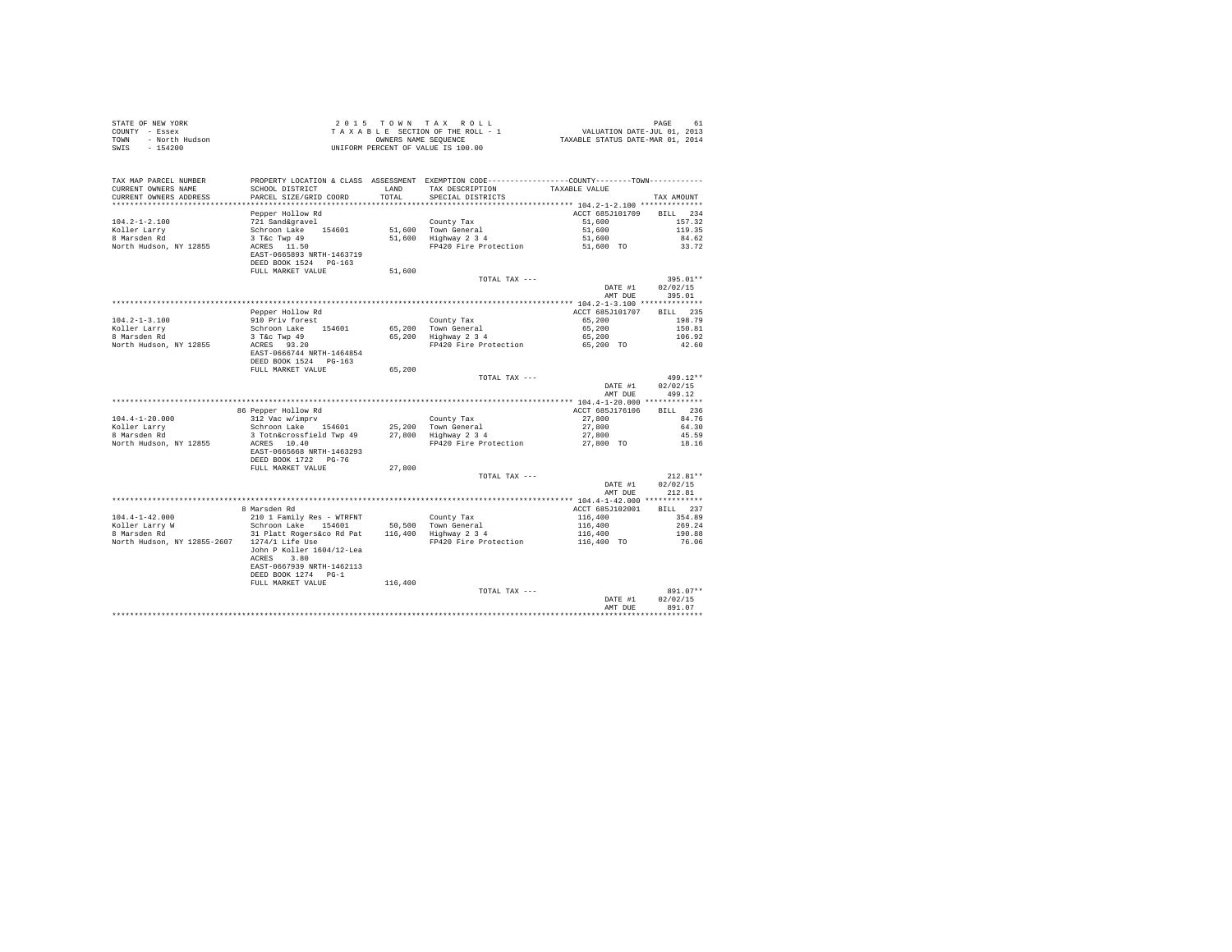| TAX MAP PARCEL NUMBER<br>PROPERTY LOCATION & CLASS ASSESSMENT EXEMPTION CODE---------------COUNTY-------TOWN----------<br>SCHOOL DISTRICT<br>LAND TAX DESCRIPTION<br>CURRENT OWNERS NAME<br>TAXABLE VALUE<br>CURRENT OWNERS ADDRESS<br>SPECIAL DISTRICTS<br>PARCEL SIZE/GRID COORD<br>TOTAL<br>TAX AMOUNT<br>Pepper Hollow Rd<br>ACCT 685J101709 BILL 234<br>Territor Additional Control Schroom Lake<br>Schroon Lake 154601<br>3 T&c Twp 49<br>ACRES 11.50<br>$104.2 - 1 - 2.100$<br>County Tax<br>51,600 Town General<br>51,600 Highway 2 3 4<br>51,600<br>157.32<br>51,600<br>119.35<br>104.∠-⊥-<br>Koller Larry<br>Particular<br>51,600<br>84.62<br>FP420 Fire Protection 51,600 TO<br>North Hudson, NY 12855<br>33.72<br>EAST-0665893 NRTH-1463719<br>DEED BOOK 1524 PG-163<br>FULL MARKET VALUE<br>51,600<br>TOTAL TAX ---<br>$395.01**$<br>DATE #1<br>02/02/15<br>AMT DUE<br>395.01<br>BILL 235<br>Pepper Hollow Rd<br>ACCT 685J101707<br>910 Priv forest<br>$104.2 - 1 - 3.100$<br>County Tax<br>65,200 Town General<br>65,200 Highway 2 3 4<br>65,200<br>198.79<br>Schroon Lake 154601<br>xoller Larry<br>8 Marsden Rd<br>65,200<br>150.81<br>3 T&C Twp 49<br>65,200<br>106.92<br>ACRES 93.20<br>North Hudson, NY 12855<br>FP420 Fire Protection 65,200 TO<br>42.60<br>EAST-0666744 NRTH-1464854<br>DEED BOOK 1524 PG-163<br>65,200<br>FULL MARKET VALUE<br>499.12**<br>TOTAL TAX ---<br>02/02/15<br>DATE #1<br>499.12<br>AMT DUE<br>BILL 236<br>86 Pepper Hollow Rd<br>ACCT 685J176106<br>over the control of the control of the control of the series of the control of the control of the control of the control of the control of the control of the control of the control of the control of the control of the cont<br>$104.4 - 1 - 20.000$<br>27,800<br>84.76<br>27,800<br>Koller Larry<br>8 Marsden Rd<br>64.30<br>27,800<br>45.59<br>North Hudson, NY 12855<br>ACRES 10.40<br>FP420 Fire Protection 27,800 TO<br>18.16<br>EAST-0665668 NRTH-1463293<br>DEED BOOK 1722 PG-76<br>27,800<br>FULL MARKET VALUE<br>$212.81**$<br>TOTAL TAX ---<br>DATE #1<br>02/02/15<br>AMT DUE<br>212.81<br>ACCT 685J102001 BILL 237<br>8 Marsden Rd<br>104.4-1-42.000 210 1 Family Res - WTRFNT<br>Koller Larry W 30 Schroon Lake 154601 50,500 Town General<br>8 Marsden Rd (1998) 31 Platt Rogersáco Rd Pat 116,400 Highway 2 3 4<br>354.89<br>269.24<br>190.88<br>North Hudson, NY 12855-2607 1274/1 Life Use<br>76.06<br>John P Koller 1604/12-Lea<br>ACRES 3.80<br>EAST-0667939 NRTH-1462113<br>DEED BOOK 1274 PG-1<br>FULL MARKET VALUE<br>116,400<br>TOTAL TAX ---<br>02/02/15<br>DATE #1<br>891.07<br>AMT DUE | COUNTY - Essex<br>- North Hudson<br>TOWN<br>SWTS<br>$-154200$ | T A X A B L E SECTION OF THE ROLL - 1<br>OWNEERS NAME SOME SEQUENCE<br>UNIFORM PERCENT OF VALUE IS 100.00 |  |  |
|-----------------------------------------------------------------------------------------------------------------------------------------------------------------------------------------------------------------------------------------------------------------------------------------------------------------------------------------------------------------------------------------------------------------------------------------------------------------------------------------------------------------------------------------------------------------------------------------------------------------------------------------------------------------------------------------------------------------------------------------------------------------------------------------------------------------------------------------------------------------------------------------------------------------------------------------------------------------------------------------------------------------------------------------------------------------------------------------------------------------------------------------------------------------------------------------------------------------------------------------------------------------------------------------------------------------------------------------------------------------------------------------------------------------------------------------------------------------------------------------------------------------------------------------------------------------------------------------------------------------------------------------------------------------------------------------------------------------------------------------------------------------------------------------------------------------------------------------------------------------------------------------------------------------------------------------------------------------------------------------------------------------------------------------------------------------------------------------------------------------------------------------------------------------------------------------------------------------------------------------------------------------------------------------------------------------------------------------------------------------------------------------------------------------------------------------------------------------------------------------------------------------------------------------------------------------------------------------------------------------------|---------------------------------------------------------------|-----------------------------------------------------------------------------------------------------------|--|--|
|                                                                                                                                                                                                                                                                                                                                                                                                                                                                                                                                                                                                                                                                                                                                                                                                                                                                                                                                                                                                                                                                                                                                                                                                                                                                                                                                                                                                                                                                                                                                                                                                                                                                                                                                                                                                                                                                                                                                                                                                                                                                                                                                                                                                                                                                                                                                                                                                                                                                                                                                                                                                                       |                                                               |                                                                                                           |  |  |
| 891.07**                                                                                                                                                                                                                                                                                                                                                                                                                                                                                                                                                                                                                                                                                                                                                                                                                                                                                                                                                                                                                                                                                                                                                                                                                                                                                                                                                                                                                                                                                                                                                                                                                                                                                                                                                                                                                                                                                                                                                                                                                                                                                                                                                                                                                                                                                                                                                                                                                                                                                                                                                                                                              |                                                               |                                                                                                           |  |  |
|                                                                                                                                                                                                                                                                                                                                                                                                                                                                                                                                                                                                                                                                                                                                                                                                                                                                                                                                                                                                                                                                                                                                                                                                                                                                                                                                                                                                                                                                                                                                                                                                                                                                                                                                                                                                                                                                                                                                                                                                                                                                                                                                                                                                                                                                                                                                                                                                                                                                                                                                                                                                                       |                                                               |                                                                                                           |  |  |
|                                                                                                                                                                                                                                                                                                                                                                                                                                                                                                                                                                                                                                                                                                                                                                                                                                                                                                                                                                                                                                                                                                                                                                                                                                                                                                                                                                                                                                                                                                                                                                                                                                                                                                                                                                                                                                                                                                                                                                                                                                                                                                                                                                                                                                                                                                                                                                                                                                                                                                                                                                                                                       |                                                               |                                                                                                           |  |  |
|                                                                                                                                                                                                                                                                                                                                                                                                                                                                                                                                                                                                                                                                                                                                                                                                                                                                                                                                                                                                                                                                                                                                                                                                                                                                                                                                                                                                                                                                                                                                                                                                                                                                                                                                                                                                                                                                                                                                                                                                                                                                                                                                                                                                                                                                                                                                                                                                                                                                                                                                                                                                                       |                                                               |                                                                                                           |  |  |
|                                                                                                                                                                                                                                                                                                                                                                                                                                                                                                                                                                                                                                                                                                                                                                                                                                                                                                                                                                                                                                                                                                                                                                                                                                                                                                                                                                                                                                                                                                                                                                                                                                                                                                                                                                                                                                                                                                                                                                                                                                                                                                                                                                                                                                                                                                                                                                                                                                                                                                                                                                                                                       |                                                               |                                                                                                           |  |  |
|                                                                                                                                                                                                                                                                                                                                                                                                                                                                                                                                                                                                                                                                                                                                                                                                                                                                                                                                                                                                                                                                                                                                                                                                                                                                                                                                                                                                                                                                                                                                                                                                                                                                                                                                                                                                                                                                                                                                                                                                                                                                                                                                                                                                                                                                                                                                                                                                                                                                                                                                                                                                                       |                                                               |                                                                                                           |  |  |
|                                                                                                                                                                                                                                                                                                                                                                                                                                                                                                                                                                                                                                                                                                                                                                                                                                                                                                                                                                                                                                                                                                                                                                                                                                                                                                                                                                                                                                                                                                                                                                                                                                                                                                                                                                                                                                                                                                                                                                                                                                                                                                                                                                                                                                                                                                                                                                                                                                                                                                                                                                                                                       |                                                               |                                                                                                           |  |  |
|                                                                                                                                                                                                                                                                                                                                                                                                                                                                                                                                                                                                                                                                                                                                                                                                                                                                                                                                                                                                                                                                                                                                                                                                                                                                                                                                                                                                                                                                                                                                                                                                                                                                                                                                                                                                                                                                                                                                                                                                                                                                                                                                                                                                                                                                                                                                                                                                                                                                                                                                                                                                                       |                                                               |                                                                                                           |  |  |
|                                                                                                                                                                                                                                                                                                                                                                                                                                                                                                                                                                                                                                                                                                                                                                                                                                                                                                                                                                                                                                                                                                                                                                                                                                                                                                                                                                                                                                                                                                                                                                                                                                                                                                                                                                                                                                                                                                                                                                                                                                                                                                                                                                                                                                                                                                                                                                                                                                                                                                                                                                                                                       |                                                               |                                                                                                           |  |  |
|                                                                                                                                                                                                                                                                                                                                                                                                                                                                                                                                                                                                                                                                                                                                                                                                                                                                                                                                                                                                                                                                                                                                                                                                                                                                                                                                                                                                                                                                                                                                                                                                                                                                                                                                                                                                                                                                                                                                                                                                                                                                                                                                                                                                                                                                                                                                                                                                                                                                                                                                                                                                                       |                                                               |                                                                                                           |  |  |
|                                                                                                                                                                                                                                                                                                                                                                                                                                                                                                                                                                                                                                                                                                                                                                                                                                                                                                                                                                                                                                                                                                                                                                                                                                                                                                                                                                                                                                                                                                                                                                                                                                                                                                                                                                                                                                                                                                                                                                                                                                                                                                                                                                                                                                                                                                                                                                                                                                                                                                                                                                                                                       |                                                               |                                                                                                           |  |  |
|                                                                                                                                                                                                                                                                                                                                                                                                                                                                                                                                                                                                                                                                                                                                                                                                                                                                                                                                                                                                                                                                                                                                                                                                                                                                                                                                                                                                                                                                                                                                                                                                                                                                                                                                                                                                                                                                                                                                                                                                                                                                                                                                                                                                                                                                                                                                                                                                                                                                                                                                                                                                                       |                                                               |                                                                                                           |  |  |
|                                                                                                                                                                                                                                                                                                                                                                                                                                                                                                                                                                                                                                                                                                                                                                                                                                                                                                                                                                                                                                                                                                                                                                                                                                                                                                                                                                                                                                                                                                                                                                                                                                                                                                                                                                                                                                                                                                                                                                                                                                                                                                                                                                                                                                                                                                                                                                                                                                                                                                                                                                                                                       |                                                               |                                                                                                           |  |  |
|                                                                                                                                                                                                                                                                                                                                                                                                                                                                                                                                                                                                                                                                                                                                                                                                                                                                                                                                                                                                                                                                                                                                                                                                                                                                                                                                                                                                                                                                                                                                                                                                                                                                                                                                                                                                                                                                                                                                                                                                                                                                                                                                                                                                                                                                                                                                                                                                                                                                                                                                                                                                                       |                                                               |                                                                                                           |  |  |
|                                                                                                                                                                                                                                                                                                                                                                                                                                                                                                                                                                                                                                                                                                                                                                                                                                                                                                                                                                                                                                                                                                                                                                                                                                                                                                                                                                                                                                                                                                                                                                                                                                                                                                                                                                                                                                                                                                                                                                                                                                                                                                                                                                                                                                                                                                                                                                                                                                                                                                                                                                                                                       |                                                               |                                                                                                           |  |  |
|                                                                                                                                                                                                                                                                                                                                                                                                                                                                                                                                                                                                                                                                                                                                                                                                                                                                                                                                                                                                                                                                                                                                                                                                                                                                                                                                                                                                                                                                                                                                                                                                                                                                                                                                                                                                                                                                                                                                                                                                                                                                                                                                                                                                                                                                                                                                                                                                                                                                                                                                                                                                                       |                                                               |                                                                                                           |  |  |
|                                                                                                                                                                                                                                                                                                                                                                                                                                                                                                                                                                                                                                                                                                                                                                                                                                                                                                                                                                                                                                                                                                                                                                                                                                                                                                                                                                                                                                                                                                                                                                                                                                                                                                                                                                                                                                                                                                                                                                                                                                                                                                                                                                                                                                                                                                                                                                                                                                                                                                                                                                                                                       |                                                               |                                                                                                           |  |  |
|                                                                                                                                                                                                                                                                                                                                                                                                                                                                                                                                                                                                                                                                                                                                                                                                                                                                                                                                                                                                                                                                                                                                                                                                                                                                                                                                                                                                                                                                                                                                                                                                                                                                                                                                                                                                                                                                                                                                                                                                                                                                                                                                                                                                                                                                                                                                                                                                                                                                                                                                                                                                                       |                                                               |                                                                                                           |  |  |
|                                                                                                                                                                                                                                                                                                                                                                                                                                                                                                                                                                                                                                                                                                                                                                                                                                                                                                                                                                                                                                                                                                                                                                                                                                                                                                                                                                                                                                                                                                                                                                                                                                                                                                                                                                                                                                                                                                                                                                                                                                                                                                                                                                                                                                                                                                                                                                                                                                                                                                                                                                                                                       |                                                               |                                                                                                           |  |  |
|                                                                                                                                                                                                                                                                                                                                                                                                                                                                                                                                                                                                                                                                                                                                                                                                                                                                                                                                                                                                                                                                                                                                                                                                                                                                                                                                                                                                                                                                                                                                                                                                                                                                                                                                                                                                                                                                                                                                                                                                                                                                                                                                                                                                                                                                                                                                                                                                                                                                                                                                                                                                                       |                                                               |                                                                                                           |  |  |
|                                                                                                                                                                                                                                                                                                                                                                                                                                                                                                                                                                                                                                                                                                                                                                                                                                                                                                                                                                                                                                                                                                                                                                                                                                                                                                                                                                                                                                                                                                                                                                                                                                                                                                                                                                                                                                                                                                                                                                                                                                                                                                                                                                                                                                                                                                                                                                                                                                                                                                                                                                                                                       |                                                               |                                                                                                           |  |  |
|                                                                                                                                                                                                                                                                                                                                                                                                                                                                                                                                                                                                                                                                                                                                                                                                                                                                                                                                                                                                                                                                                                                                                                                                                                                                                                                                                                                                                                                                                                                                                                                                                                                                                                                                                                                                                                                                                                                                                                                                                                                                                                                                                                                                                                                                                                                                                                                                                                                                                                                                                                                                                       |                                                               |                                                                                                           |  |  |
|                                                                                                                                                                                                                                                                                                                                                                                                                                                                                                                                                                                                                                                                                                                                                                                                                                                                                                                                                                                                                                                                                                                                                                                                                                                                                                                                                                                                                                                                                                                                                                                                                                                                                                                                                                                                                                                                                                                                                                                                                                                                                                                                                                                                                                                                                                                                                                                                                                                                                                                                                                                                                       |                                                               |                                                                                                           |  |  |
|                                                                                                                                                                                                                                                                                                                                                                                                                                                                                                                                                                                                                                                                                                                                                                                                                                                                                                                                                                                                                                                                                                                                                                                                                                                                                                                                                                                                                                                                                                                                                                                                                                                                                                                                                                                                                                                                                                                                                                                                                                                                                                                                                                                                                                                                                                                                                                                                                                                                                                                                                                                                                       |                                                               |                                                                                                           |  |  |
|                                                                                                                                                                                                                                                                                                                                                                                                                                                                                                                                                                                                                                                                                                                                                                                                                                                                                                                                                                                                                                                                                                                                                                                                                                                                                                                                                                                                                                                                                                                                                                                                                                                                                                                                                                                                                                                                                                                                                                                                                                                                                                                                                                                                                                                                                                                                                                                                                                                                                                                                                                                                                       |                                                               |                                                                                                           |  |  |
|                                                                                                                                                                                                                                                                                                                                                                                                                                                                                                                                                                                                                                                                                                                                                                                                                                                                                                                                                                                                                                                                                                                                                                                                                                                                                                                                                                                                                                                                                                                                                                                                                                                                                                                                                                                                                                                                                                                                                                                                                                                                                                                                                                                                                                                                                                                                                                                                                                                                                                                                                                                                                       |                                                               |                                                                                                           |  |  |
|                                                                                                                                                                                                                                                                                                                                                                                                                                                                                                                                                                                                                                                                                                                                                                                                                                                                                                                                                                                                                                                                                                                                                                                                                                                                                                                                                                                                                                                                                                                                                                                                                                                                                                                                                                                                                                                                                                                                                                                                                                                                                                                                                                                                                                                                                                                                                                                                                                                                                                                                                                                                                       |                                                               |                                                                                                           |  |  |
|                                                                                                                                                                                                                                                                                                                                                                                                                                                                                                                                                                                                                                                                                                                                                                                                                                                                                                                                                                                                                                                                                                                                                                                                                                                                                                                                                                                                                                                                                                                                                                                                                                                                                                                                                                                                                                                                                                                                                                                                                                                                                                                                                                                                                                                                                                                                                                                                                                                                                                                                                                                                                       |                                                               |                                                                                                           |  |  |
|                                                                                                                                                                                                                                                                                                                                                                                                                                                                                                                                                                                                                                                                                                                                                                                                                                                                                                                                                                                                                                                                                                                                                                                                                                                                                                                                                                                                                                                                                                                                                                                                                                                                                                                                                                                                                                                                                                                                                                                                                                                                                                                                                                                                                                                                                                                                                                                                                                                                                                                                                                                                                       |                                                               |                                                                                                           |  |  |
|                                                                                                                                                                                                                                                                                                                                                                                                                                                                                                                                                                                                                                                                                                                                                                                                                                                                                                                                                                                                                                                                                                                                                                                                                                                                                                                                                                                                                                                                                                                                                                                                                                                                                                                                                                                                                                                                                                                                                                                                                                                                                                                                                                                                                                                                                                                                                                                                                                                                                                                                                                                                                       |                                                               |                                                                                                           |  |  |
|                                                                                                                                                                                                                                                                                                                                                                                                                                                                                                                                                                                                                                                                                                                                                                                                                                                                                                                                                                                                                                                                                                                                                                                                                                                                                                                                                                                                                                                                                                                                                                                                                                                                                                                                                                                                                                                                                                                                                                                                                                                                                                                                                                                                                                                                                                                                                                                                                                                                                                                                                                                                                       |                                                               |                                                                                                           |  |  |
|                                                                                                                                                                                                                                                                                                                                                                                                                                                                                                                                                                                                                                                                                                                                                                                                                                                                                                                                                                                                                                                                                                                                                                                                                                                                                                                                                                                                                                                                                                                                                                                                                                                                                                                                                                                                                                                                                                                                                                                                                                                                                                                                                                                                                                                                                                                                                                                                                                                                                                                                                                                                                       |                                                               |                                                                                                           |  |  |
|                                                                                                                                                                                                                                                                                                                                                                                                                                                                                                                                                                                                                                                                                                                                                                                                                                                                                                                                                                                                                                                                                                                                                                                                                                                                                                                                                                                                                                                                                                                                                                                                                                                                                                                                                                                                                                                                                                                                                                                                                                                                                                                                                                                                                                                                                                                                                                                                                                                                                                                                                                                                                       |                                                               |                                                                                                           |  |  |
|                                                                                                                                                                                                                                                                                                                                                                                                                                                                                                                                                                                                                                                                                                                                                                                                                                                                                                                                                                                                                                                                                                                                                                                                                                                                                                                                                                                                                                                                                                                                                                                                                                                                                                                                                                                                                                                                                                                                                                                                                                                                                                                                                                                                                                                                                                                                                                                                                                                                                                                                                                                                                       |                                                               |                                                                                                           |  |  |
|                                                                                                                                                                                                                                                                                                                                                                                                                                                                                                                                                                                                                                                                                                                                                                                                                                                                                                                                                                                                                                                                                                                                                                                                                                                                                                                                                                                                                                                                                                                                                                                                                                                                                                                                                                                                                                                                                                                                                                                                                                                                                                                                                                                                                                                                                                                                                                                                                                                                                                                                                                                                                       |                                                               |                                                                                                           |  |  |
|                                                                                                                                                                                                                                                                                                                                                                                                                                                                                                                                                                                                                                                                                                                                                                                                                                                                                                                                                                                                                                                                                                                                                                                                                                                                                                                                                                                                                                                                                                                                                                                                                                                                                                                                                                                                                                                                                                                                                                                                                                                                                                                                                                                                                                                                                                                                                                                                                                                                                                                                                                                                                       |                                                               |                                                                                                           |  |  |
|                                                                                                                                                                                                                                                                                                                                                                                                                                                                                                                                                                                                                                                                                                                                                                                                                                                                                                                                                                                                                                                                                                                                                                                                                                                                                                                                                                                                                                                                                                                                                                                                                                                                                                                                                                                                                                                                                                                                                                                                                                                                                                                                                                                                                                                                                                                                                                                                                                                                                                                                                                                                                       |                                                               |                                                                                                           |  |  |
|                                                                                                                                                                                                                                                                                                                                                                                                                                                                                                                                                                                                                                                                                                                                                                                                                                                                                                                                                                                                                                                                                                                                                                                                                                                                                                                                                                                                                                                                                                                                                                                                                                                                                                                                                                                                                                                                                                                                                                                                                                                                                                                                                                                                                                                                                                                                                                                                                                                                                                                                                                                                                       |                                                               |                                                                                                           |  |  |
|                                                                                                                                                                                                                                                                                                                                                                                                                                                                                                                                                                                                                                                                                                                                                                                                                                                                                                                                                                                                                                                                                                                                                                                                                                                                                                                                                                                                                                                                                                                                                                                                                                                                                                                                                                                                                                                                                                                                                                                                                                                                                                                                                                                                                                                                                                                                                                                                                                                                                                                                                                                                                       |                                                               |                                                                                                           |  |  |
|                                                                                                                                                                                                                                                                                                                                                                                                                                                                                                                                                                                                                                                                                                                                                                                                                                                                                                                                                                                                                                                                                                                                                                                                                                                                                                                                                                                                                                                                                                                                                                                                                                                                                                                                                                                                                                                                                                                                                                                                                                                                                                                                                                                                                                                                                                                                                                                                                                                                                                                                                                                                                       |                                                               |                                                                                                           |  |  |
|                                                                                                                                                                                                                                                                                                                                                                                                                                                                                                                                                                                                                                                                                                                                                                                                                                                                                                                                                                                                                                                                                                                                                                                                                                                                                                                                                                                                                                                                                                                                                                                                                                                                                                                                                                                                                                                                                                                                                                                                                                                                                                                                                                                                                                                                                                                                                                                                                                                                                                                                                                                                                       |                                                               |                                                                                                           |  |  |
|                                                                                                                                                                                                                                                                                                                                                                                                                                                                                                                                                                                                                                                                                                                                                                                                                                                                                                                                                                                                                                                                                                                                                                                                                                                                                                                                                                                                                                                                                                                                                                                                                                                                                                                                                                                                                                                                                                                                                                                                                                                                                                                                                                                                                                                                                                                                                                                                                                                                                                                                                                                                                       |                                                               |                                                                                                           |  |  |
|                                                                                                                                                                                                                                                                                                                                                                                                                                                                                                                                                                                                                                                                                                                                                                                                                                                                                                                                                                                                                                                                                                                                                                                                                                                                                                                                                                                                                                                                                                                                                                                                                                                                                                                                                                                                                                                                                                                                                                                                                                                                                                                                                                                                                                                                                                                                                                                                                                                                                                                                                                                                                       |                                                               |                                                                                                           |  |  |
|                                                                                                                                                                                                                                                                                                                                                                                                                                                                                                                                                                                                                                                                                                                                                                                                                                                                                                                                                                                                                                                                                                                                                                                                                                                                                                                                                                                                                                                                                                                                                                                                                                                                                                                                                                                                                                                                                                                                                                                                                                                                                                                                                                                                                                                                                                                                                                                                                                                                                                                                                                                                                       |                                                               |                                                                                                           |  |  |
|                                                                                                                                                                                                                                                                                                                                                                                                                                                                                                                                                                                                                                                                                                                                                                                                                                                                                                                                                                                                                                                                                                                                                                                                                                                                                                                                                                                                                                                                                                                                                                                                                                                                                                                                                                                                                                                                                                                                                                                                                                                                                                                                                                                                                                                                                                                                                                                                                                                                                                                                                                                                                       |                                                               |                                                                                                           |  |  |
|                                                                                                                                                                                                                                                                                                                                                                                                                                                                                                                                                                                                                                                                                                                                                                                                                                                                                                                                                                                                                                                                                                                                                                                                                                                                                                                                                                                                                                                                                                                                                                                                                                                                                                                                                                                                                                                                                                                                                                                                                                                                                                                                                                                                                                                                                                                                                                                                                                                                                                                                                                                                                       |                                                               |                                                                                                           |  |  |
|                                                                                                                                                                                                                                                                                                                                                                                                                                                                                                                                                                                                                                                                                                                                                                                                                                                                                                                                                                                                                                                                                                                                                                                                                                                                                                                                                                                                                                                                                                                                                                                                                                                                                                                                                                                                                                                                                                                                                                                                                                                                                                                                                                                                                                                                                                                                                                                                                                                                                                                                                                                                                       |                                                               |                                                                                                           |  |  |
|                                                                                                                                                                                                                                                                                                                                                                                                                                                                                                                                                                                                                                                                                                                                                                                                                                                                                                                                                                                                                                                                                                                                                                                                                                                                                                                                                                                                                                                                                                                                                                                                                                                                                                                                                                                                                                                                                                                                                                                                                                                                                                                                                                                                                                                                                                                                                                                                                                                                                                                                                                                                                       |                                                               |                                                                                                           |  |  |
|                                                                                                                                                                                                                                                                                                                                                                                                                                                                                                                                                                                                                                                                                                                                                                                                                                                                                                                                                                                                                                                                                                                                                                                                                                                                                                                                                                                                                                                                                                                                                                                                                                                                                                                                                                                                                                                                                                                                                                                                                                                                                                                                                                                                                                                                                                                                                                                                                                                                                                                                                                                                                       |                                                               |                                                                                                           |  |  |

STATE OF NEW YORK 61 2015 TOWN TAX ROLL STATE OF NEW YORK 61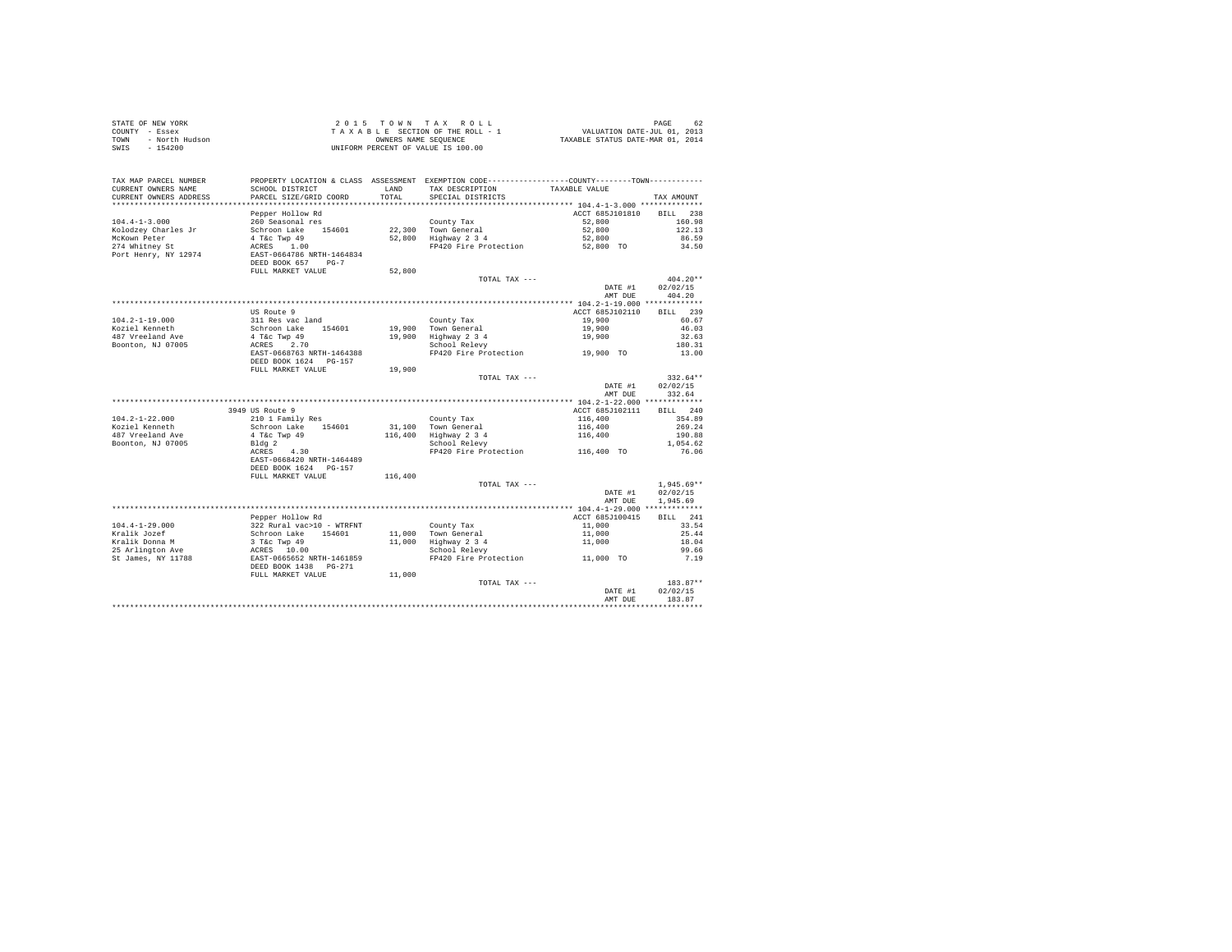| STATE OF NEW YORK<br>COUNTY - Essex<br>- North Hudson<br>TOWN<br>$-154200$<br>SWIS |                                                          |                  | 2015 TOWN TAX ROLL<br>$\begin{array}{ccccccccc} 2&0&1&5&\texttt{T} &0&\texttt{W} &\texttt{N} &\texttt{R} &\texttt{N} &\texttt{R} &\texttt{N} &\texttt{R} &\texttt{N} &\texttt{N} &\texttt{N} &\texttt{N} &\texttt{N} &\texttt{N} &\texttt{N} &\texttt{N} &\texttt{N} &\texttt{N} &\texttt{N} &\texttt{N} &\texttt{N} &\texttt{N} &\texttt{N} &\texttt{N} &\texttt{N} &\texttt{N} &\texttt{N} &\texttt{N} &\texttt{N$<br>UNIFORM PERCENT OF VALUE IS 100.00 |                    |                    |
|------------------------------------------------------------------------------------|----------------------------------------------------------|------------------|------------------------------------------------------------------------------------------------------------------------------------------------------------------------------------------------------------------------------------------------------------------------------------------------------------------------------------------------------------------------------------------------------------------------------------------------------------|--------------------|--------------------|
| TAX MAP PARCEL NUMBER<br>CURRENT OWNERS NAME<br>CURRENT OWNERS ADDRESS             | SCHOOL DISTRICT<br>PARCEL SIZE/GRID COORD                | LAND<br>TOTAL    | PROPERTY LOCATION & CLASS ASSESSMENT EXEMPTION CODE----------------COUNTY--------TOWN----------<br>TAX DESCRIPTION<br>SPECIAL DISTRICTS                                                                                                                                                                                                                                                                                                                    | TAXABLE VALUE      | TAX AMOUNT         |
|                                                                                    |                                                          |                  |                                                                                                                                                                                                                                                                                                                                                                                                                                                            |                    |                    |
|                                                                                    | Pepper Hollow Rd                                         |                  |                                                                                                                                                                                                                                                                                                                                                                                                                                                            | ACCT 685J101810    | BILL 238           |
| $104.4 - 1 - 3.000$                                                                | 260 Seasonal res                                         |                  | County Tax                                                                                                                                                                                                                                                                                                                                                                                                                                                 | 52,800             | 160.98             |
| Kolodzey Charles Jr                                                                | Schroon Lake 154601                                      |                  | 22,300 Town General<br>52,800 Highway 2 3 4                                                                                                                                                                                                                                                                                                                                                                                                                | 52,800             | 122.13             |
| McKown Peter<br>274 Whitney St                                                     | 4 T&c Twp 49                                             |                  |                                                                                                                                                                                                                                                                                                                                                                                                                                                            | 52,800             | 86.59              |
|                                                                                    | ACRES 1.00                                               |                  | FP420 Fire Protection                                                                                                                                                                                                                                                                                                                                                                                                                                      | 52,800 TO          | 34.50              |
| Port Henry, NY 12974                                                               | EAST-0664786 NRTH-1464834<br>DEED BOOK 657 PG-7          |                  |                                                                                                                                                                                                                                                                                                                                                                                                                                                            |                    |                    |
|                                                                                    | FULL MARKET VALUE                                        | 52,800           | TOTAL TAX ---                                                                                                                                                                                                                                                                                                                                                                                                                                              |                    | $404.20**$         |
|                                                                                    |                                                          |                  |                                                                                                                                                                                                                                                                                                                                                                                                                                                            | DATE #1            | 02/02/15           |
|                                                                                    |                                                          |                  |                                                                                                                                                                                                                                                                                                                                                                                                                                                            | AMT DUE            | 404.20             |
|                                                                                    | US Route 9                                               |                  |                                                                                                                                                                                                                                                                                                                                                                                                                                                            | ACCT 685J102110    |                    |
| $104.2 - 1 - 19.000$                                                               | 311 Res vac land                                         |                  | County Tax                                                                                                                                                                                                                                                                                                                                                                                                                                                 | 19,900             | BILL 239<br>60.67  |
|                                                                                    |                                                          | 19,900           |                                                                                                                                                                                                                                                                                                                                                                                                                                                            |                    | 46.03              |
| Koziel Kenneth<br>487 Vreeland Ave                                                 |                                                          | 19,900           |                                                                                                                                                                                                                                                                                                                                                                                                                                                            | 19,900<br>19,900   | 32.63              |
| Boonton, NJ 07005                                                                  | Schroon Lake 154601<br>4 T&c Twp 49<br>ACRES 2.70        |                  | Town General<br>Highway 2 3 4<br>School Relevy                                                                                                                                                                                                                                                                                                                                                                                                             |                    | 180.31             |
|                                                                                    | EAST-0668763 NRTH-1464388                                |                  | FP420 Fire Protection                                                                                                                                                                                                                                                                                                                                                                                                                                      | 19,900 TO          | 13.00              |
|                                                                                    | DEED BOOK 1624 PG-157                                    |                  |                                                                                                                                                                                                                                                                                                                                                                                                                                                            |                    |                    |
|                                                                                    | FULL MARKET VALUE                                        | 19,900           |                                                                                                                                                                                                                                                                                                                                                                                                                                                            |                    |                    |
|                                                                                    |                                                          |                  | TOTAL TAX ---                                                                                                                                                                                                                                                                                                                                                                                                                                              |                    | $332.64**$         |
|                                                                                    |                                                          |                  |                                                                                                                                                                                                                                                                                                                                                                                                                                                            | DATE #1<br>AMT DUE | 02/02/15<br>332.64 |
|                                                                                    |                                                          |                  |                                                                                                                                                                                                                                                                                                                                                                                                                                                            |                    |                    |
|                                                                                    | 3949 US Route 9                                          |                  |                                                                                                                                                                                                                                                                                                                                                                                                                                                            | ACCT 685J102111    | BILL 240           |
| $104.2 - 1 - 22.000$                                                               | 210 1 Family Res                                         |                  | County Tax                                                                                                                                                                                                                                                                                                                                                                                                                                                 | 116,400            | 354.89             |
| Koziel Kenneth                                                                     | Schroon Lake 154601                                      | 31,100           | Town General                                                                                                                                                                                                                                                                                                                                                                                                                                               | 116,400<br>116,400 | 269.24             |
| 487 Vreeland Ave                                                                   | $4$ T&C Twp $49$                                         | 116,400          | Highway 2 3 4                                                                                                                                                                                                                                                                                                                                                                                                                                              |                    | 190.88             |
| Boonton, NJ 07005                                                                  | Bldg <sub>2</sub><br>4.30                                |                  | School Relevy                                                                                                                                                                                                                                                                                                                                                                                                                                              |                    | 1.054.62           |
|                                                                                    | ACRES                                                    |                  | FP420 Fire Protection                                                                                                                                                                                                                                                                                                                                                                                                                                      | 116,400 TO         | 76.06              |
|                                                                                    | EAST-0668420 NRTH-1464489<br>DEED BOOK 1624 PG-157       |                  |                                                                                                                                                                                                                                                                                                                                                                                                                                                            |                    |                    |
|                                                                                    | FULL MARKET VALUE                                        | 116,400          |                                                                                                                                                                                                                                                                                                                                                                                                                                                            |                    |                    |
|                                                                                    |                                                          |                  | TOTAL TAX ---                                                                                                                                                                                                                                                                                                                                                                                                                                              |                    | $1.945.69**$       |
|                                                                                    |                                                          |                  |                                                                                                                                                                                                                                                                                                                                                                                                                                                            | DATE #1            | 02/02/15           |
|                                                                                    |                                                          |                  |                                                                                                                                                                                                                                                                                                                                                                                                                                                            | AMT DUE            | 1,945.69           |
|                                                                                    |                                                          |                  |                                                                                                                                                                                                                                                                                                                                                                                                                                                            |                    |                    |
|                                                                                    | Pepper Hollow Rd                                         |                  |                                                                                                                                                                                                                                                                                                                                                                                                                                                            | ACCT 685J100415    | BILL 241           |
| $104.4 - 1 - 29.000$                                                               | 322 Rural vac>10 - WTRFNT<br>Schroon Lake 154601         |                  |                                                                                                                                                                                                                                                                                                                                                                                                                                                            | 11,000             | 33.54              |
| Kralik Jozef<br>Kralik Donna M                                                     |                                                          | 11,000<br>11,000 | County Tax<br>Town General<br>Highway 2 3 4                                                                                                                                                                                                                                                                                                                                                                                                                | 11,000<br>11,000   | 25.44<br>18.04     |
| 25 Arlington Ave                                                                   |                                                          |                  | School Relevy                                                                                                                                                                                                                                                                                                                                                                                                                                              |                    | 99.66              |
| St James, NY 11788                                                                 | 3 T&C TWP 49<br>ACRES 10.00<br>EAST-0665652 NRTH-1461859 |                  | school Relevy<br>FP420 Fire Protection 11.000 TO                                                                                                                                                                                                                                                                                                                                                                                                           |                    | 7.19               |
|                                                                                    | DEED BOOK 1438    PG-271                                 |                  |                                                                                                                                                                                                                                                                                                                                                                                                                                                            |                    |                    |
|                                                                                    | FULL MARKET VALUE                                        | 11,000           |                                                                                                                                                                                                                                                                                                                                                                                                                                                            |                    |                    |
|                                                                                    |                                                          |                  | TOTAL TAX ---                                                                                                                                                                                                                                                                                                                                                                                                                                              |                    | 183.87**           |
|                                                                                    |                                                          |                  |                                                                                                                                                                                                                                                                                                                                                                                                                                                            | DATE #1            | 02/02/15           |
|                                                                                    |                                                          |                  |                                                                                                                                                                                                                                                                                                                                                                                                                                                            | AMT DUE            | 183.87             |
|                                                                                    |                                                          |                  |                                                                                                                                                                                                                                                                                                                                                                                                                                                            |                    |                    |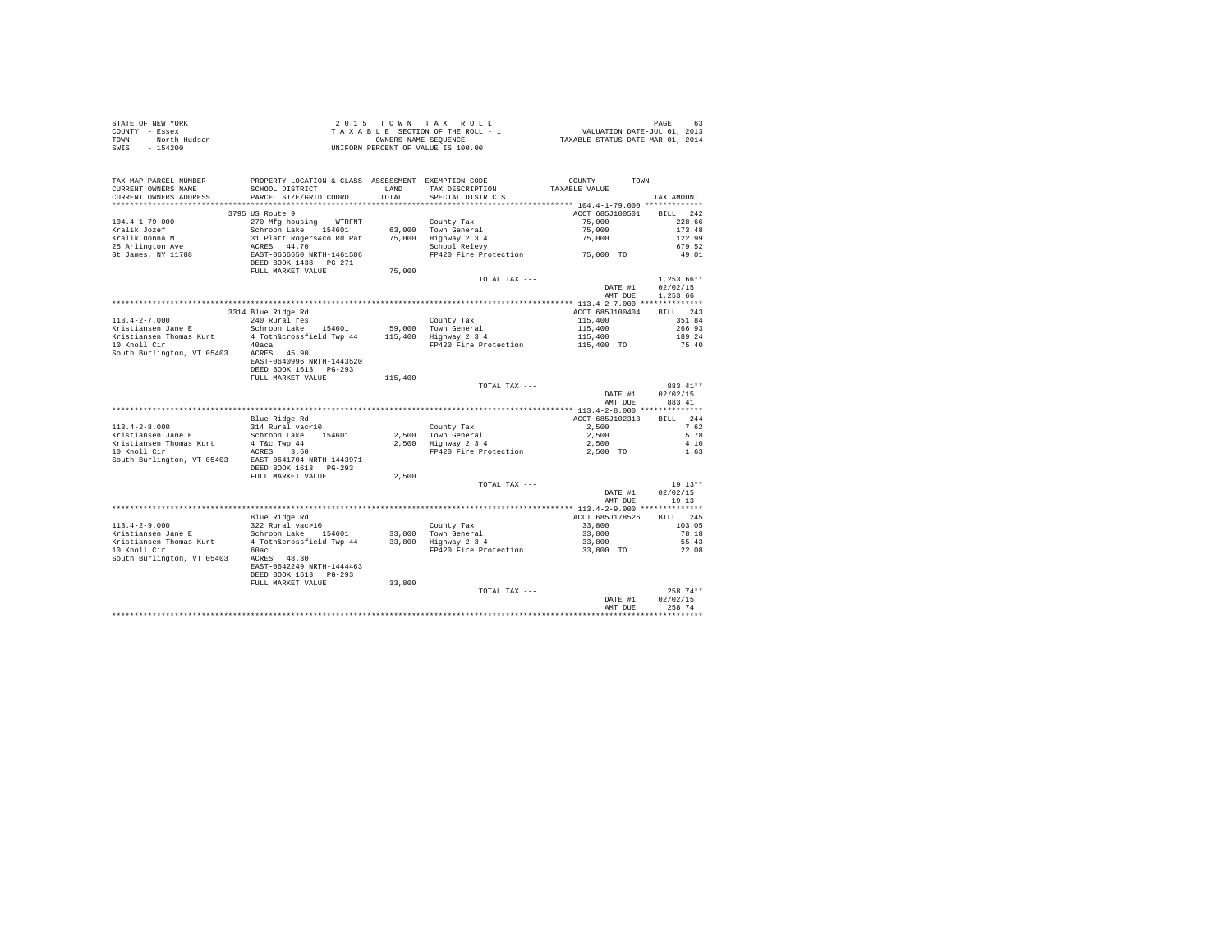| STATE OF NEW YORK      | $2.015$ TOWN TAX ROLL              | 63<br>PAGE                       |
|------------------------|------------------------------------|----------------------------------|
| COUNTY - Essex         | TAXABLE SECTION OF THE ROLL - 1    | VALUATION DATE-JUL 01, 2013      |
| - North Hudson<br>TOWN | OWNERS NAME SEOUENCE               | TAXABLE STATUS DATE-MAR 01, 2014 |
| $-154200$<br>SWIS      | UNIFORM PERCENT OF VALUE IS 100.00 |                                  |

|                            |                                          |         |                                                                                               | AMT DUE                                    | 258.74                 |
|----------------------------|------------------------------------------|---------|-----------------------------------------------------------------------------------------------|--------------------------------------------|------------------------|
|                            |                                          |         | TOTAL TAX ---                                                                                 | DATE #1                                    | $258.74**$<br>02/02/15 |
|                            | FULL MARKET VALUE                        | 33,800  |                                                                                               |                                            |                        |
|                            | DEED BOOK 1613 PG-293                    |         |                                                                                               |                                            |                        |
|                            | EAST-0642249 NRTH-1444463                |         |                                                                                               |                                            |                        |
| South Burlington, VT 05403 | ACRES 48.30                              |         |                                                                                               |                                            |                        |
| 10 Knoll Cir               | 60ac                                     |         | FP420 Fire Protection                                                                         | 33,800 TO                                  | 22.08                  |
| Kristiansen Thomas Kurt    | 4 Totn&crossfield Twp 44                 |         | 33,800 Highway 2 3 4                                                                          | 33,800                                     | 55.43                  |
| Kristiansen Jane E         | Schroon Lake<br>154601                   |         | 33,800 Town General                                                                           | 33,800                                     | 78.18                  |
| $113.4 - 2 - 9.000$        | 322 Rural vac>10                         |         | County Tax                                                                                    | 33,800                                     | 103.05                 |
|                            | Blue Ridge Rd                            |         |                                                                                               | ACCT 685J178526                            | <b>BILL</b><br>245     |
|                            |                                          |         |                                                                                               | *** 113.4-2-9.000 ***************          |                        |
|                            |                                          |         |                                                                                               | AMT DUE                                    | 19.13                  |
|                            |                                          |         |                                                                                               | DATE #1                                    | 02/02/15               |
|                            |                                          |         | TOTAL TAX ---                                                                                 |                                            | $19.13**$              |
|                            | FULL MARKET VALUE                        | 2,500   |                                                                                               |                                            |                        |
|                            | DEED BOOK 1613 PG-293                    |         |                                                                                               |                                            |                        |
| South Burlington, VT 05403 | EAST-0641704 NRTH-1443971                |         |                                                                                               |                                            |                        |
| 10 Knoll Cir               | ACRES<br>3.60                            |         | FP420 Fire Protection                                                                         | 2,500 TO                                   | 1.63                   |
| Kristiansen Thomas Kurt    | 4 T&c Twp 44                             |         | 2,500 Highway 2 3 4                                                                           | 2,500                                      | 4.10                   |
| Kristiansen Jane E         | Schroon Lake 154601                      |         | 2.500 Town General                                                                            | 2,500                                      | 5.78                   |
| $113.4 - 2 - 8.000$        | 314 Rural vac<10                         |         | County Tax                                                                                    | 2,500                                      | 7.62                   |
|                            | Blue Ridge Rd                            |         |                                                                                               | ACCT 685J102313                            | 244<br><b>BILL</b>     |
|                            |                                          |         |                                                                                               |                                            | ***********            |
|                            |                                          |         |                                                                                               | AMT DUE                                    | 883.41                 |
|                            |                                          |         |                                                                                               | DATE #1                                    | 02/02/15               |
|                            |                                          |         | TOTAL TAX ---                                                                                 |                                            | 883.41**               |
|                            | FULL MARKET VALUE                        | 115,400 |                                                                                               |                                            |                        |
|                            | DEED BOOK 1613 PG-293                    |         |                                                                                               |                                            |                        |
| South Burlington, VT 05403 | ACRES 45.90<br>EAST-0640996 NRTH-1443520 |         |                                                                                               |                                            |                        |
| 10 Knoll Cir               | 40aca                                    |         | FP420 Fire Protection                                                                         | 115,400 TO                                 | 75.40                  |
| Kristiansen Thomas Kurt    | 4 Totn&crossfield Twp 44                 | 115,400 | Highway 2 3 4                                                                                 | 115,400                                    | 189.24                 |
| Kristiansen Jane E         | Schroon Lake 154601                      | 59,000  | Town General                                                                                  | 115,400                                    | 266.93                 |
| $113.4 - 2 - 7.000$        | 240 Rural res                            |         | County Tax                                                                                    | 115,400                                    | 351.84                 |
|                            | 3314 Blue Ridge Rd                       |         |                                                                                               | ACCT 685J100404                            | BILL 243               |
|                            |                                          |         |                                                                                               | ************* 113.4-2-7.000 ************** |                        |
|                            |                                          |         |                                                                                               | AMT DUE                                    | 1,253.66               |
|                            |                                          |         |                                                                                               | DATE #1                                    | 02/02/15               |
|                            |                                          |         | TOTAL TAX ---                                                                                 |                                            | $1,253.66**$           |
|                            | FULL MARKET VALUE                        | 75,000  |                                                                                               |                                            |                        |
|                            | DEED BOOK 1438  PG-271                   |         |                                                                                               |                                            |                        |
| St James, NY 11788         | EAST-0666650 NRTH-1461586                |         | FP420 Fire Protection                                                                         | 75,000 TO                                  | 49.01                  |
| 25 Arlington Ave           | ACRES 44.70                              |         | School Relevy                                                                                 |                                            | 679.52                 |
| Kralik Donna M             | 31 Platt Rogers&co Rd Pat                | 75,000  | Highway 2 3 4                                                                                 | 75,000                                     | 122.99                 |
| Kralik Jozef               | Schroon Lake<br>154601                   | 63,000  | Town General                                                                                  | 75,000                                     | 173.48                 |
| $104.4 - 1 - 79.000$       | 270 Mfg housing - WTRFNT                 |         | County Tax                                                                                    | 75,000                                     | 228.66                 |
|                            | 3795 US Route 9                          |         |                                                                                               | ACCT 685J100501                            | <b>BILL</b><br>242     |
|                            |                                          |         |                                                                                               | ************ 104.4-1-79.000 *************  |                        |
| CURRENT OWNERS ADDRESS     | PARCEL SIZE/GRID COORD                   | TOTAL   | SPECIAL DISTRICTS                                                                             |                                            | TAX AMOUNT             |
| CURRENT OWNERS NAME        | SCHOOL DISTRICT                          | LAND    | TAX DESCRIPTION                                                                               | TAXABLE VALUE                              |                        |
| TAX MAP PARCEL NUMBER      |                                          |         | PROPERTY LOCATION & CLASS ASSESSMENT EXEMPTION CODE----------------COUNTY-------TOWN--------- |                                            |                        |
|                            |                                          |         |                                                                                               |                                            |                        |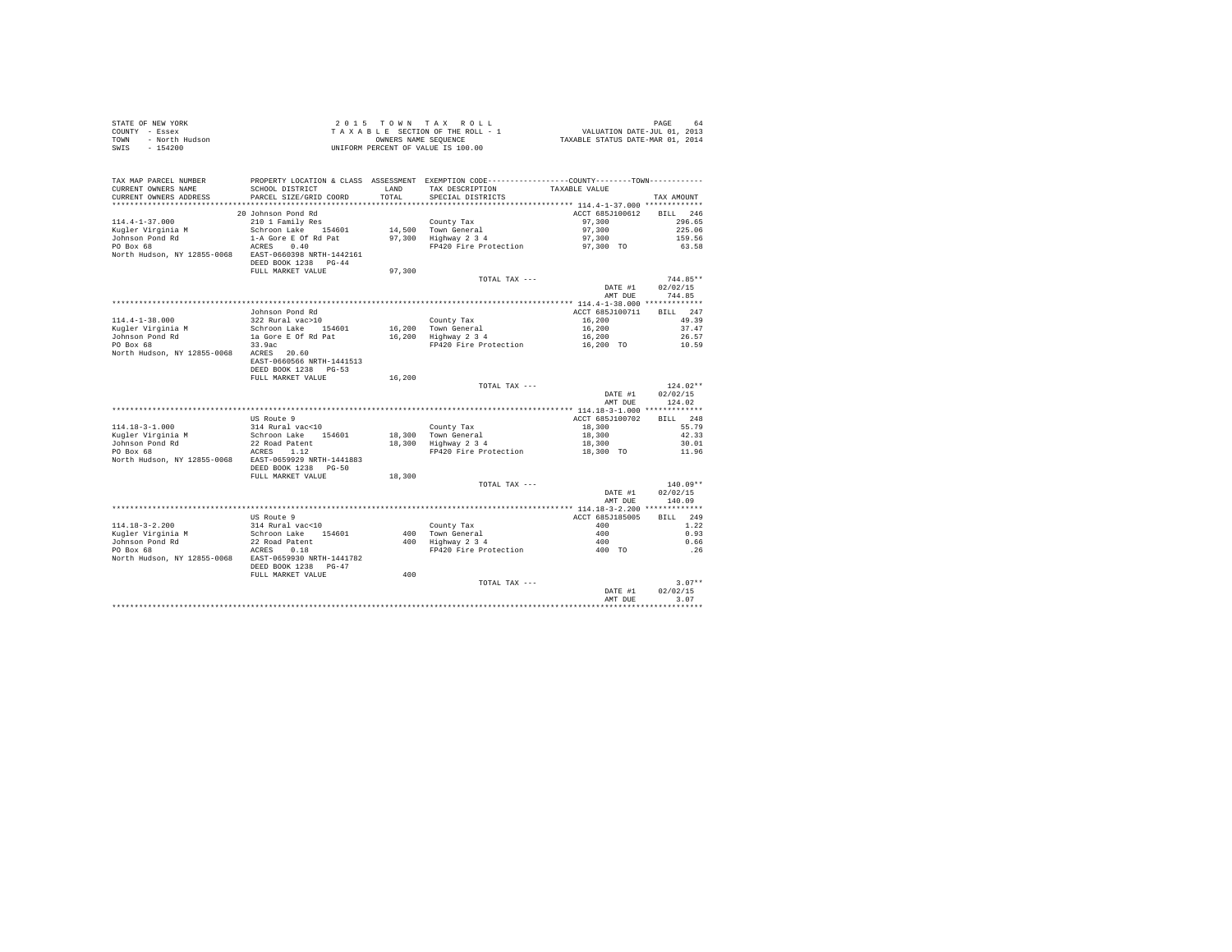| STATE OF NEW YORK      | 2015 TOWN TAX ROLL                 | PAGE<br>64                       |
|------------------------|------------------------------------|----------------------------------|
| COUNTY - Essex         | TAXABLE SECTION OF THE ROLL - 1    | VALUATION DATE-JUL 01, 2013      |
| TOWN<br>- North Hudson | OWNERS NAME SEOUENCE               | TAXABLE STATUS DATE-MAR 01, 2014 |
| $-154200$<br>SWIS      | UNIFORM PERCENT OF VALUE IS 100.00 |                                  |

| TAX MAP PARCEL NUMBER<br>CURRENT OWNERS NAME<br>CURRENT OWNERS ADDRESS | PROPERTY LOCATION & CLASS ASSESSMENT EXEMPTION CODE---------------COUNTY-------TOWN---------<br>SCHOOL DISTRICT<br>PARCEL SIZE/GRID COORD | LAND<br>TOTAL. | TAX DESCRIPTION<br>SPECIAL DISTRICTS | TAXABLE VALUE      | TAX AMOUNT         |
|------------------------------------------------------------------------|-------------------------------------------------------------------------------------------------------------------------------------------|----------------|--------------------------------------|--------------------|--------------------|
| ****************************                                           |                                                                                                                                           |                |                                      |                    |                    |
|                                                                        | 20 Johnson Pond Rd                                                                                                                        |                |                                      | ACCT 685J100612    | 246<br><b>BILL</b> |
| $114.4 - 1 - 37.000$                                                   | 210 1 Family Res                                                                                                                          |                | County Tax                           | 97,300             | 296.65             |
| Kugler Virginia M                                                      | Schroon Lake 154601                                                                                                                       |                | 14,500 Town General                  | 97,300             | 225.06             |
| Johnson Pond Rd                                                        | 1-A Gore E Of Rd Pat                                                                                                                      |                | 97.300 Highway 2 3 4                 | 97,300             | 159.56             |
| PO Box 68                                                              | 0.40<br>ACRES                                                                                                                             |                | FP420 Fire Protection                | 97,300 TO          | 63.58              |
| North Hudson, NY 12855-0068                                            | EAST-0660398 NRTH-1442161<br>DEED BOOK 1238 PG-44<br>FULL MARKET VALUE                                                                    | 97,300         |                                      |                    |                    |
|                                                                        |                                                                                                                                           |                | TOTAL TAX ---                        |                    | 744.85**           |
|                                                                        |                                                                                                                                           |                |                                      |                    |                    |
|                                                                        |                                                                                                                                           |                |                                      | DATE #1            | 02/02/15           |
|                                                                        |                                                                                                                                           |                |                                      | AMT DUE            | 744.85             |
|                                                                        |                                                                                                                                           |                |                                      |                    |                    |
|                                                                        | Johnson Pond Rd                                                                                                                           |                |                                      | ACCT 685J100711    | 247<br><b>BILL</b> |
| $114.4 - 1 - 38.000$                                                   | 322 Rural vac>10                                                                                                                          |                | County Tax                           | 16,200             | 49.39              |
| Kugler Virginia M                                                      | Schroon Lake 154601                                                                                                                       |                | 16,200 Town General                  | 16,200             | 37.47              |
| Johnson Pond Rd                                                        | la Gore E Of Rd Pat                                                                                                                       | 16,200         | Highway 2 3 4                        | 16,200             | 26.57              |
| PO Box 68                                                              | 33.9ac                                                                                                                                    |                | FP420 Fire Protection                | 16,200 TO          | 10.59              |
| North Hudson, NY 12855-0068 ACRES 20.60                                | EAST-0660566 NRTH-1441513                                                                                                                 |                |                                      |                    |                    |
|                                                                        | DEED BOOK 1238 PG-53                                                                                                                      |                |                                      |                    |                    |
|                                                                        | FULL MARKET VALUE                                                                                                                         | 16,200         |                                      |                    |                    |
|                                                                        |                                                                                                                                           |                | TOTAL TAX ---                        |                    | $124.02**$         |
|                                                                        |                                                                                                                                           |                |                                      | DATE #1            | 02/02/15           |
|                                                                        |                                                                                                                                           |                |                                      | AMT DUE            | 124.02             |
|                                                                        |                                                                                                                                           |                |                                      |                    |                    |
|                                                                        | US Route 9                                                                                                                                |                |                                      | ACCT 685J100702    | 248<br>BTLL.       |
| $114.18 - 3 - 1.000$                                                   | 314 Rural vac<10                                                                                                                          |                | County Tax                           | 18,300             | 55.79              |
| Kugler Virginia M                                                      | Schroon Lake 154601                                                                                                                       |                | 18,300 Town General                  | 18,300             | 42.33              |
| Johnson Pond Rd                                                        | 22 Road Patent                                                                                                                            |                | 18,300 Highway 2 3 4                 | 18,300             | 30.01              |
| PO Box 68                                                              | 1.12<br>ACRES                                                                                                                             |                | FP420 Fire Protection                |                    | 11.96              |
| North Hudson, NY 12855-0068                                            | EAST-0659929 NRTH-1441883<br>DEED BOOK 1238<br>$PG - 50$                                                                                  |                |                                      | 18,300 TO          |                    |
|                                                                        | FULL MARKET VALUE                                                                                                                         | 18,300         |                                      |                    |                    |
|                                                                        |                                                                                                                                           |                | TOTAL TAX ---                        |                    | 140.09**           |
|                                                                        |                                                                                                                                           |                |                                      | DATE #1            | 02/02/15           |
|                                                                        |                                                                                                                                           |                |                                      | AMT DUE            | 140.09             |
|                                                                        |                                                                                                                                           |                |                                      |                    |                    |
|                                                                        | US Route 9                                                                                                                                |                |                                      | ACCT 685J185005    | 249<br>RTT.T.      |
| $114.18 - 3 - 2.200$                                                   | 314 Rural vac<10                                                                                                                          |                | County Tax                           | 400                | 1.22               |
| Kuqler Virginia M                                                      | Schroon Lake 154601                                                                                                                       | 400            | Town General                         | 400                | 0.93               |
| Johnson Pond Rd                                                        | 22 Road Patent                                                                                                                            |                | 400 Highway 2 3 4                    | 400                | 0.66               |
| PO Box 68                                                              | 0.18<br>ACRES                                                                                                                             |                | FP420 Fire Protection                | 400 TO             | . 26               |
| North Hudson, NY 12855-0068                                            | EAST-0659930 NRTH-1441782                                                                                                                 |                |                                      |                    |                    |
|                                                                        | DEED BOOK 1238<br>$PG-47$                                                                                                                 |                |                                      |                    |                    |
|                                                                        | FULL MARKET VALUE                                                                                                                         | 400            |                                      |                    |                    |
|                                                                        |                                                                                                                                           |                | TOTAL TAX ---                        |                    | $3.07**$           |
|                                                                        |                                                                                                                                           |                |                                      |                    | 02/02/15           |
|                                                                        |                                                                                                                                           |                |                                      | DATE #1<br>AMT DUE | 3.07               |
|                                                                        |                                                                                                                                           |                |                                      |                    |                    |
|                                                                        |                                                                                                                                           |                |                                      |                    |                    |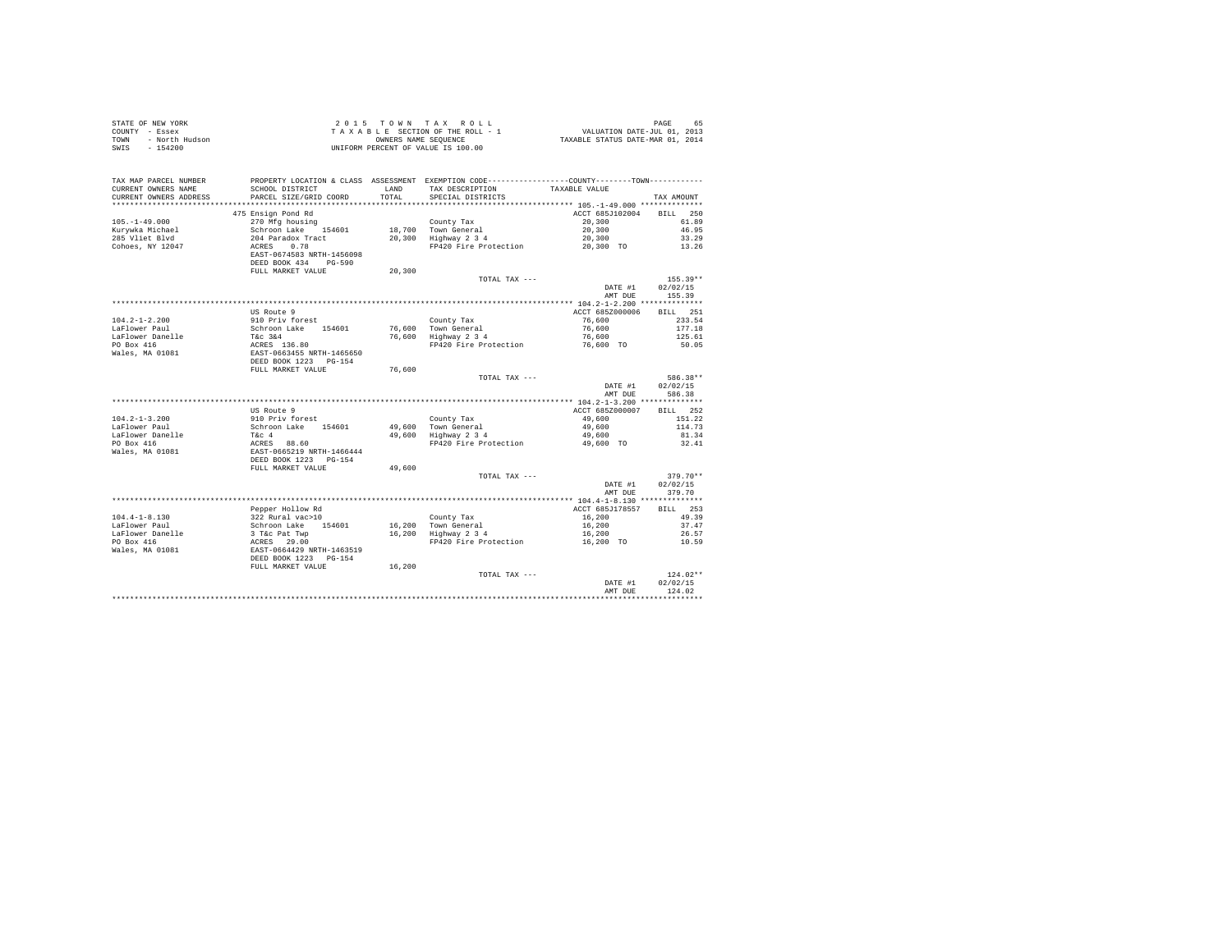| PROPERTY LOCATION & CLASS ASSESSMENT EXEMPTION CODE----------------COUNTY-------TOWN----------<br>TAX MAP PARCEL NUMBER<br>TAX DESCRIPTION<br>CURRENT OWNERS NAME<br>SCHOOL DISTRICT<br>LAND<br>TAXABLE VALUE<br>TOTAL<br>CURRENT OWNERS ADDRESS<br>PARCEL SIZE/GRID COORD<br>SPECIAL DISTRICTS<br>TAX AMOUNT<br>475 Ensign Pond Rd<br>ACCT 685J102004 BILL 250<br>270 Mfg housing<br>County Tax<br>18,700 Town General<br>20,300 Highway 2 3 4<br>20,300<br>$105. - 1 - 49.000$<br>61.89<br>20,300<br>Kurywka Michael<br>Schroon Lake 154601<br>204 Paradox Tract<br>ACRES 0.78<br>EAST-0674583 NRTH-1456098<br>46.95<br>20,300<br>285 Vliet Blvd<br>33.29<br>Cohoes, NY 12047<br>FP420 Fire Protection 20,300 TO<br>13.26<br>DEED BOOK 434 PG-590<br>FULL MARKET VALUE<br>20,300<br>TOTAL TAX ---<br>$155.39**$<br>02/02/15<br>DATE #1<br>AMT DUE<br>155.39<br><b>BILL</b> 251<br>US Route 9<br>ACCT 685Z000006<br>95 Noute 9<br>910 Priv forest<br>Schroom Lake 154601 76,600 Town General<br>Tic 344 76,600 Highway 2 3 4<br>ACRES 136.80 76,600 Highway 2 3 4<br>REST-D663455 NRTH-1465650 FP420 Fire Protection<br>DEED BOOK 1223 PG-154<br>$104.2 - 1 - 2.200$<br>76,600<br>233.54<br>LaFlower Paul<br>76,600<br>177.18<br>LaFlower Danelle<br>PO Box 416<br>Wales, MA 01081<br>76.600<br>125.61<br>FP420 Fire Protection 76,600 TO 50.05<br>FULL MARKET VALUE<br>76,600<br>586.38**<br>TOTAL TAX ---<br>02/02/15<br>DATE #1<br>586.38<br>AMT DUE<br>BILL 252<br>US Route 9<br>ACCT 685Z000007<br>US ROULE 9<br>910 Priv forest<br>Schroon Lake 154601<br>TEC 4<br>RECRES 88.60<br>ERST-0665219 NRTH-1466444<br>DEED BOOK 1223 PG-154<br>County Tax<br>$104.2 - 1 - 3.200$<br>49,600<br>151.22<br>49,600 Town General<br>49,600 Highway 2 3 4<br>49,600<br>114.73<br>LaFlower Paul<br>LaFlower Danelle<br>PO Box 416<br>49,600<br>81.34<br>FP420 Fire Protection 49,600 TO<br>32.41<br>Wales, MA 01081<br>FULL MARKET VALUE<br>49,600<br>TOTAL TAX ---<br>$379.70**$<br>DATE #1<br>02/02/15<br>AMT DUE<br>379.70<br>BTLL 253<br>Pepper Hollow Rd<br>ACCT 685J178557<br>Fept noise<br>1922 Rural vac>10<br>Schronn Lake 154601 16,200 Town General<br>3 Tac Pat Twp 16,200 Tighway 2 3 4<br>2 ACRES 29.00<br>EAST-0664429 RRTH-1463519<br>DEED BOOK 1223 PG-154<br>16,200<br>$104.4 - 1 - 8.130$<br>49.39<br>16,200<br>LaFlower Paul<br>37.47<br>16,200<br>LaFlower Danelle<br>26.57<br>FP420 Fire Protection 16,200 TO<br>PO Box 416<br>10.59<br>Wales, MA 01081<br>FULL MARKET VALUE<br>16,200<br>124.02**<br>TOTAL TAX ---<br>02/02/15<br>DATE #1<br>124.02<br>AMT DUE | STATE OF NEW YORK<br>COUNTY - Essex<br>- North Hudson<br>TOWN<br>$-154200$<br>SWIS |  | 2015 TOWN TAX ROLL<br>$\begin{array}{lcllllllllllllll} & \texttt{Z} & \texttt{U} & \texttt{D} & \texttt{N} & \texttt{N} & \texttt{N} & \texttt{R} & \texttt{N} & \texttt{R} & \texttt{N} & \texttt{N} & \texttt{N} \\ \texttt{T} & \texttt{A} & \texttt{A} & \texttt{B} & \texttt{E} & \texttt{S} & \texttt{D} & \texttt{S} & \texttt{N} & \texttt{D} & \texttt{M} & \texttt{N} & \texttt{N} & \texttt{N} & \texttt{N} & \texttt{N} & \texttt{N} & \text$<br>UNIFORM PERCENT OF VALUE IS 100.00 | PAGE<br>65 |
|---------------------------------------------------------------------------------------------------------------------------------------------------------------------------------------------------------------------------------------------------------------------------------------------------------------------------------------------------------------------------------------------------------------------------------------------------------------------------------------------------------------------------------------------------------------------------------------------------------------------------------------------------------------------------------------------------------------------------------------------------------------------------------------------------------------------------------------------------------------------------------------------------------------------------------------------------------------------------------------------------------------------------------------------------------------------------------------------------------------------------------------------------------------------------------------------------------------------------------------------------------------------------------------------------------------------------------------------------------------------------------------------------------------------------------------------------------------------------------------------------------------------------------------------------------------------------------------------------------------------------------------------------------------------------------------------------------------------------------------------------------------------------------------------------------------------------------------------------------------------------------------------------------------------------------------------------------------------------------------------------------------------------------------------------------------------------------------------------------------------------------------------------------------------------------------------------------------------------------------------------------------------------------------------------------------------------------------------------------------------------------------------------------------------------------------------------------------------------------------------------------------------------------------------------------------------------------|------------------------------------------------------------------------------------|--|-------------------------------------------------------------------------------------------------------------------------------------------------------------------------------------------------------------------------------------------------------------------------------------------------------------------------------------------------------------------------------------------------------------------------------------------------------------------------------------------------|------------|
|                                                                                                                                                                                                                                                                                                                                                                                                                                                                                                                                                                                                                                                                                                                                                                                                                                                                                                                                                                                                                                                                                                                                                                                                                                                                                                                                                                                                                                                                                                                                                                                                                                                                                                                                                                                                                                                                                                                                                                                                                                                                                                                                                                                                                                                                                                                                                                                                                                                                                                                                                                                 |                                                                                    |  |                                                                                                                                                                                                                                                                                                                                                                                                                                                                                                 |            |
|                                                                                                                                                                                                                                                                                                                                                                                                                                                                                                                                                                                                                                                                                                                                                                                                                                                                                                                                                                                                                                                                                                                                                                                                                                                                                                                                                                                                                                                                                                                                                                                                                                                                                                                                                                                                                                                                                                                                                                                                                                                                                                                                                                                                                                                                                                                                                                                                                                                                                                                                                                                 |                                                                                    |  |                                                                                                                                                                                                                                                                                                                                                                                                                                                                                                 |            |
|                                                                                                                                                                                                                                                                                                                                                                                                                                                                                                                                                                                                                                                                                                                                                                                                                                                                                                                                                                                                                                                                                                                                                                                                                                                                                                                                                                                                                                                                                                                                                                                                                                                                                                                                                                                                                                                                                                                                                                                                                                                                                                                                                                                                                                                                                                                                                                                                                                                                                                                                                                                 |                                                                                    |  |                                                                                                                                                                                                                                                                                                                                                                                                                                                                                                 |            |
|                                                                                                                                                                                                                                                                                                                                                                                                                                                                                                                                                                                                                                                                                                                                                                                                                                                                                                                                                                                                                                                                                                                                                                                                                                                                                                                                                                                                                                                                                                                                                                                                                                                                                                                                                                                                                                                                                                                                                                                                                                                                                                                                                                                                                                                                                                                                                                                                                                                                                                                                                                                 |                                                                                    |  |                                                                                                                                                                                                                                                                                                                                                                                                                                                                                                 |            |
|                                                                                                                                                                                                                                                                                                                                                                                                                                                                                                                                                                                                                                                                                                                                                                                                                                                                                                                                                                                                                                                                                                                                                                                                                                                                                                                                                                                                                                                                                                                                                                                                                                                                                                                                                                                                                                                                                                                                                                                                                                                                                                                                                                                                                                                                                                                                                                                                                                                                                                                                                                                 |                                                                                    |  |                                                                                                                                                                                                                                                                                                                                                                                                                                                                                                 |            |
|                                                                                                                                                                                                                                                                                                                                                                                                                                                                                                                                                                                                                                                                                                                                                                                                                                                                                                                                                                                                                                                                                                                                                                                                                                                                                                                                                                                                                                                                                                                                                                                                                                                                                                                                                                                                                                                                                                                                                                                                                                                                                                                                                                                                                                                                                                                                                                                                                                                                                                                                                                                 |                                                                                    |  |                                                                                                                                                                                                                                                                                                                                                                                                                                                                                                 |            |
|                                                                                                                                                                                                                                                                                                                                                                                                                                                                                                                                                                                                                                                                                                                                                                                                                                                                                                                                                                                                                                                                                                                                                                                                                                                                                                                                                                                                                                                                                                                                                                                                                                                                                                                                                                                                                                                                                                                                                                                                                                                                                                                                                                                                                                                                                                                                                                                                                                                                                                                                                                                 |                                                                                    |  |                                                                                                                                                                                                                                                                                                                                                                                                                                                                                                 |            |
|                                                                                                                                                                                                                                                                                                                                                                                                                                                                                                                                                                                                                                                                                                                                                                                                                                                                                                                                                                                                                                                                                                                                                                                                                                                                                                                                                                                                                                                                                                                                                                                                                                                                                                                                                                                                                                                                                                                                                                                                                                                                                                                                                                                                                                                                                                                                                                                                                                                                                                                                                                                 |                                                                                    |  |                                                                                                                                                                                                                                                                                                                                                                                                                                                                                                 |            |
|                                                                                                                                                                                                                                                                                                                                                                                                                                                                                                                                                                                                                                                                                                                                                                                                                                                                                                                                                                                                                                                                                                                                                                                                                                                                                                                                                                                                                                                                                                                                                                                                                                                                                                                                                                                                                                                                                                                                                                                                                                                                                                                                                                                                                                                                                                                                                                                                                                                                                                                                                                                 |                                                                                    |  |                                                                                                                                                                                                                                                                                                                                                                                                                                                                                                 |            |
|                                                                                                                                                                                                                                                                                                                                                                                                                                                                                                                                                                                                                                                                                                                                                                                                                                                                                                                                                                                                                                                                                                                                                                                                                                                                                                                                                                                                                                                                                                                                                                                                                                                                                                                                                                                                                                                                                                                                                                                                                                                                                                                                                                                                                                                                                                                                                                                                                                                                                                                                                                                 |                                                                                    |  |                                                                                                                                                                                                                                                                                                                                                                                                                                                                                                 |            |
|                                                                                                                                                                                                                                                                                                                                                                                                                                                                                                                                                                                                                                                                                                                                                                                                                                                                                                                                                                                                                                                                                                                                                                                                                                                                                                                                                                                                                                                                                                                                                                                                                                                                                                                                                                                                                                                                                                                                                                                                                                                                                                                                                                                                                                                                                                                                                                                                                                                                                                                                                                                 |                                                                                    |  |                                                                                                                                                                                                                                                                                                                                                                                                                                                                                                 |            |
|                                                                                                                                                                                                                                                                                                                                                                                                                                                                                                                                                                                                                                                                                                                                                                                                                                                                                                                                                                                                                                                                                                                                                                                                                                                                                                                                                                                                                                                                                                                                                                                                                                                                                                                                                                                                                                                                                                                                                                                                                                                                                                                                                                                                                                                                                                                                                                                                                                                                                                                                                                                 |                                                                                    |  |                                                                                                                                                                                                                                                                                                                                                                                                                                                                                                 |            |
|                                                                                                                                                                                                                                                                                                                                                                                                                                                                                                                                                                                                                                                                                                                                                                                                                                                                                                                                                                                                                                                                                                                                                                                                                                                                                                                                                                                                                                                                                                                                                                                                                                                                                                                                                                                                                                                                                                                                                                                                                                                                                                                                                                                                                                                                                                                                                                                                                                                                                                                                                                                 |                                                                                    |  |                                                                                                                                                                                                                                                                                                                                                                                                                                                                                                 |            |
|                                                                                                                                                                                                                                                                                                                                                                                                                                                                                                                                                                                                                                                                                                                                                                                                                                                                                                                                                                                                                                                                                                                                                                                                                                                                                                                                                                                                                                                                                                                                                                                                                                                                                                                                                                                                                                                                                                                                                                                                                                                                                                                                                                                                                                                                                                                                                                                                                                                                                                                                                                                 |                                                                                    |  |                                                                                                                                                                                                                                                                                                                                                                                                                                                                                                 |            |
|                                                                                                                                                                                                                                                                                                                                                                                                                                                                                                                                                                                                                                                                                                                                                                                                                                                                                                                                                                                                                                                                                                                                                                                                                                                                                                                                                                                                                                                                                                                                                                                                                                                                                                                                                                                                                                                                                                                                                                                                                                                                                                                                                                                                                                                                                                                                                                                                                                                                                                                                                                                 |                                                                                    |  |                                                                                                                                                                                                                                                                                                                                                                                                                                                                                                 |            |
|                                                                                                                                                                                                                                                                                                                                                                                                                                                                                                                                                                                                                                                                                                                                                                                                                                                                                                                                                                                                                                                                                                                                                                                                                                                                                                                                                                                                                                                                                                                                                                                                                                                                                                                                                                                                                                                                                                                                                                                                                                                                                                                                                                                                                                                                                                                                                                                                                                                                                                                                                                                 |                                                                                    |  |                                                                                                                                                                                                                                                                                                                                                                                                                                                                                                 |            |
|                                                                                                                                                                                                                                                                                                                                                                                                                                                                                                                                                                                                                                                                                                                                                                                                                                                                                                                                                                                                                                                                                                                                                                                                                                                                                                                                                                                                                                                                                                                                                                                                                                                                                                                                                                                                                                                                                                                                                                                                                                                                                                                                                                                                                                                                                                                                                                                                                                                                                                                                                                                 |                                                                                    |  |                                                                                                                                                                                                                                                                                                                                                                                                                                                                                                 |            |
|                                                                                                                                                                                                                                                                                                                                                                                                                                                                                                                                                                                                                                                                                                                                                                                                                                                                                                                                                                                                                                                                                                                                                                                                                                                                                                                                                                                                                                                                                                                                                                                                                                                                                                                                                                                                                                                                                                                                                                                                                                                                                                                                                                                                                                                                                                                                                                                                                                                                                                                                                                                 |                                                                                    |  |                                                                                                                                                                                                                                                                                                                                                                                                                                                                                                 |            |
|                                                                                                                                                                                                                                                                                                                                                                                                                                                                                                                                                                                                                                                                                                                                                                                                                                                                                                                                                                                                                                                                                                                                                                                                                                                                                                                                                                                                                                                                                                                                                                                                                                                                                                                                                                                                                                                                                                                                                                                                                                                                                                                                                                                                                                                                                                                                                                                                                                                                                                                                                                                 |                                                                                    |  |                                                                                                                                                                                                                                                                                                                                                                                                                                                                                                 |            |
|                                                                                                                                                                                                                                                                                                                                                                                                                                                                                                                                                                                                                                                                                                                                                                                                                                                                                                                                                                                                                                                                                                                                                                                                                                                                                                                                                                                                                                                                                                                                                                                                                                                                                                                                                                                                                                                                                                                                                                                                                                                                                                                                                                                                                                                                                                                                                                                                                                                                                                                                                                                 |                                                                                    |  |                                                                                                                                                                                                                                                                                                                                                                                                                                                                                                 |            |
|                                                                                                                                                                                                                                                                                                                                                                                                                                                                                                                                                                                                                                                                                                                                                                                                                                                                                                                                                                                                                                                                                                                                                                                                                                                                                                                                                                                                                                                                                                                                                                                                                                                                                                                                                                                                                                                                                                                                                                                                                                                                                                                                                                                                                                                                                                                                                                                                                                                                                                                                                                                 |                                                                                    |  |                                                                                                                                                                                                                                                                                                                                                                                                                                                                                                 |            |
|                                                                                                                                                                                                                                                                                                                                                                                                                                                                                                                                                                                                                                                                                                                                                                                                                                                                                                                                                                                                                                                                                                                                                                                                                                                                                                                                                                                                                                                                                                                                                                                                                                                                                                                                                                                                                                                                                                                                                                                                                                                                                                                                                                                                                                                                                                                                                                                                                                                                                                                                                                                 |                                                                                    |  |                                                                                                                                                                                                                                                                                                                                                                                                                                                                                                 |            |
|                                                                                                                                                                                                                                                                                                                                                                                                                                                                                                                                                                                                                                                                                                                                                                                                                                                                                                                                                                                                                                                                                                                                                                                                                                                                                                                                                                                                                                                                                                                                                                                                                                                                                                                                                                                                                                                                                                                                                                                                                                                                                                                                                                                                                                                                                                                                                                                                                                                                                                                                                                                 |                                                                                    |  |                                                                                                                                                                                                                                                                                                                                                                                                                                                                                                 |            |
|                                                                                                                                                                                                                                                                                                                                                                                                                                                                                                                                                                                                                                                                                                                                                                                                                                                                                                                                                                                                                                                                                                                                                                                                                                                                                                                                                                                                                                                                                                                                                                                                                                                                                                                                                                                                                                                                                                                                                                                                                                                                                                                                                                                                                                                                                                                                                                                                                                                                                                                                                                                 |                                                                                    |  |                                                                                                                                                                                                                                                                                                                                                                                                                                                                                                 |            |
|                                                                                                                                                                                                                                                                                                                                                                                                                                                                                                                                                                                                                                                                                                                                                                                                                                                                                                                                                                                                                                                                                                                                                                                                                                                                                                                                                                                                                                                                                                                                                                                                                                                                                                                                                                                                                                                                                                                                                                                                                                                                                                                                                                                                                                                                                                                                                                                                                                                                                                                                                                                 |                                                                                    |  |                                                                                                                                                                                                                                                                                                                                                                                                                                                                                                 |            |
|                                                                                                                                                                                                                                                                                                                                                                                                                                                                                                                                                                                                                                                                                                                                                                                                                                                                                                                                                                                                                                                                                                                                                                                                                                                                                                                                                                                                                                                                                                                                                                                                                                                                                                                                                                                                                                                                                                                                                                                                                                                                                                                                                                                                                                                                                                                                                                                                                                                                                                                                                                                 |                                                                                    |  |                                                                                                                                                                                                                                                                                                                                                                                                                                                                                                 |            |
|                                                                                                                                                                                                                                                                                                                                                                                                                                                                                                                                                                                                                                                                                                                                                                                                                                                                                                                                                                                                                                                                                                                                                                                                                                                                                                                                                                                                                                                                                                                                                                                                                                                                                                                                                                                                                                                                                                                                                                                                                                                                                                                                                                                                                                                                                                                                                                                                                                                                                                                                                                                 |                                                                                    |  |                                                                                                                                                                                                                                                                                                                                                                                                                                                                                                 |            |
|                                                                                                                                                                                                                                                                                                                                                                                                                                                                                                                                                                                                                                                                                                                                                                                                                                                                                                                                                                                                                                                                                                                                                                                                                                                                                                                                                                                                                                                                                                                                                                                                                                                                                                                                                                                                                                                                                                                                                                                                                                                                                                                                                                                                                                                                                                                                                                                                                                                                                                                                                                                 |                                                                                    |  |                                                                                                                                                                                                                                                                                                                                                                                                                                                                                                 |            |
|                                                                                                                                                                                                                                                                                                                                                                                                                                                                                                                                                                                                                                                                                                                                                                                                                                                                                                                                                                                                                                                                                                                                                                                                                                                                                                                                                                                                                                                                                                                                                                                                                                                                                                                                                                                                                                                                                                                                                                                                                                                                                                                                                                                                                                                                                                                                                                                                                                                                                                                                                                                 |                                                                                    |  |                                                                                                                                                                                                                                                                                                                                                                                                                                                                                                 |            |
|                                                                                                                                                                                                                                                                                                                                                                                                                                                                                                                                                                                                                                                                                                                                                                                                                                                                                                                                                                                                                                                                                                                                                                                                                                                                                                                                                                                                                                                                                                                                                                                                                                                                                                                                                                                                                                                                                                                                                                                                                                                                                                                                                                                                                                                                                                                                                                                                                                                                                                                                                                                 |                                                                                    |  |                                                                                                                                                                                                                                                                                                                                                                                                                                                                                                 |            |
|                                                                                                                                                                                                                                                                                                                                                                                                                                                                                                                                                                                                                                                                                                                                                                                                                                                                                                                                                                                                                                                                                                                                                                                                                                                                                                                                                                                                                                                                                                                                                                                                                                                                                                                                                                                                                                                                                                                                                                                                                                                                                                                                                                                                                                                                                                                                                                                                                                                                                                                                                                                 |                                                                                    |  |                                                                                                                                                                                                                                                                                                                                                                                                                                                                                                 |            |
|                                                                                                                                                                                                                                                                                                                                                                                                                                                                                                                                                                                                                                                                                                                                                                                                                                                                                                                                                                                                                                                                                                                                                                                                                                                                                                                                                                                                                                                                                                                                                                                                                                                                                                                                                                                                                                                                                                                                                                                                                                                                                                                                                                                                                                                                                                                                                                                                                                                                                                                                                                                 |                                                                                    |  |                                                                                                                                                                                                                                                                                                                                                                                                                                                                                                 |            |
|                                                                                                                                                                                                                                                                                                                                                                                                                                                                                                                                                                                                                                                                                                                                                                                                                                                                                                                                                                                                                                                                                                                                                                                                                                                                                                                                                                                                                                                                                                                                                                                                                                                                                                                                                                                                                                                                                                                                                                                                                                                                                                                                                                                                                                                                                                                                                                                                                                                                                                                                                                                 |                                                                                    |  |                                                                                                                                                                                                                                                                                                                                                                                                                                                                                                 |            |
|                                                                                                                                                                                                                                                                                                                                                                                                                                                                                                                                                                                                                                                                                                                                                                                                                                                                                                                                                                                                                                                                                                                                                                                                                                                                                                                                                                                                                                                                                                                                                                                                                                                                                                                                                                                                                                                                                                                                                                                                                                                                                                                                                                                                                                                                                                                                                                                                                                                                                                                                                                                 |                                                                                    |  |                                                                                                                                                                                                                                                                                                                                                                                                                                                                                                 |            |
|                                                                                                                                                                                                                                                                                                                                                                                                                                                                                                                                                                                                                                                                                                                                                                                                                                                                                                                                                                                                                                                                                                                                                                                                                                                                                                                                                                                                                                                                                                                                                                                                                                                                                                                                                                                                                                                                                                                                                                                                                                                                                                                                                                                                                                                                                                                                                                                                                                                                                                                                                                                 |                                                                                    |  |                                                                                                                                                                                                                                                                                                                                                                                                                                                                                                 |            |
|                                                                                                                                                                                                                                                                                                                                                                                                                                                                                                                                                                                                                                                                                                                                                                                                                                                                                                                                                                                                                                                                                                                                                                                                                                                                                                                                                                                                                                                                                                                                                                                                                                                                                                                                                                                                                                                                                                                                                                                                                                                                                                                                                                                                                                                                                                                                                                                                                                                                                                                                                                                 |                                                                                    |  |                                                                                                                                                                                                                                                                                                                                                                                                                                                                                                 |            |
|                                                                                                                                                                                                                                                                                                                                                                                                                                                                                                                                                                                                                                                                                                                                                                                                                                                                                                                                                                                                                                                                                                                                                                                                                                                                                                                                                                                                                                                                                                                                                                                                                                                                                                                                                                                                                                                                                                                                                                                                                                                                                                                                                                                                                                                                                                                                                                                                                                                                                                                                                                                 |                                                                                    |  |                                                                                                                                                                                                                                                                                                                                                                                                                                                                                                 |            |
|                                                                                                                                                                                                                                                                                                                                                                                                                                                                                                                                                                                                                                                                                                                                                                                                                                                                                                                                                                                                                                                                                                                                                                                                                                                                                                                                                                                                                                                                                                                                                                                                                                                                                                                                                                                                                                                                                                                                                                                                                                                                                                                                                                                                                                                                                                                                                                                                                                                                                                                                                                                 |                                                                                    |  |                                                                                                                                                                                                                                                                                                                                                                                                                                                                                                 |            |
|                                                                                                                                                                                                                                                                                                                                                                                                                                                                                                                                                                                                                                                                                                                                                                                                                                                                                                                                                                                                                                                                                                                                                                                                                                                                                                                                                                                                                                                                                                                                                                                                                                                                                                                                                                                                                                                                                                                                                                                                                                                                                                                                                                                                                                                                                                                                                                                                                                                                                                                                                                                 |                                                                                    |  |                                                                                                                                                                                                                                                                                                                                                                                                                                                                                                 |            |
|                                                                                                                                                                                                                                                                                                                                                                                                                                                                                                                                                                                                                                                                                                                                                                                                                                                                                                                                                                                                                                                                                                                                                                                                                                                                                                                                                                                                                                                                                                                                                                                                                                                                                                                                                                                                                                                                                                                                                                                                                                                                                                                                                                                                                                                                                                                                                                                                                                                                                                                                                                                 |                                                                                    |  |                                                                                                                                                                                                                                                                                                                                                                                                                                                                                                 |            |
|                                                                                                                                                                                                                                                                                                                                                                                                                                                                                                                                                                                                                                                                                                                                                                                                                                                                                                                                                                                                                                                                                                                                                                                                                                                                                                                                                                                                                                                                                                                                                                                                                                                                                                                                                                                                                                                                                                                                                                                                                                                                                                                                                                                                                                                                                                                                                                                                                                                                                                                                                                                 |                                                                                    |  |                                                                                                                                                                                                                                                                                                                                                                                                                                                                                                 |            |
|                                                                                                                                                                                                                                                                                                                                                                                                                                                                                                                                                                                                                                                                                                                                                                                                                                                                                                                                                                                                                                                                                                                                                                                                                                                                                                                                                                                                                                                                                                                                                                                                                                                                                                                                                                                                                                                                                                                                                                                                                                                                                                                                                                                                                                                                                                                                                                                                                                                                                                                                                                                 |                                                                                    |  |                                                                                                                                                                                                                                                                                                                                                                                                                                                                                                 |            |
|                                                                                                                                                                                                                                                                                                                                                                                                                                                                                                                                                                                                                                                                                                                                                                                                                                                                                                                                                                                                                                                                                                                                                                                                                                                                                                                                                                                                                                                                                                                                                                                                                                                                                                                                                                                                                                                                                                                                                                                                                                                                                                                                                                                                                                                                                                                                                                                                                                                                                                                                                                                 |                                                                                    |  |                                                                                                                                                                                                                                                                                                                                                                                                                                                                                                 |            |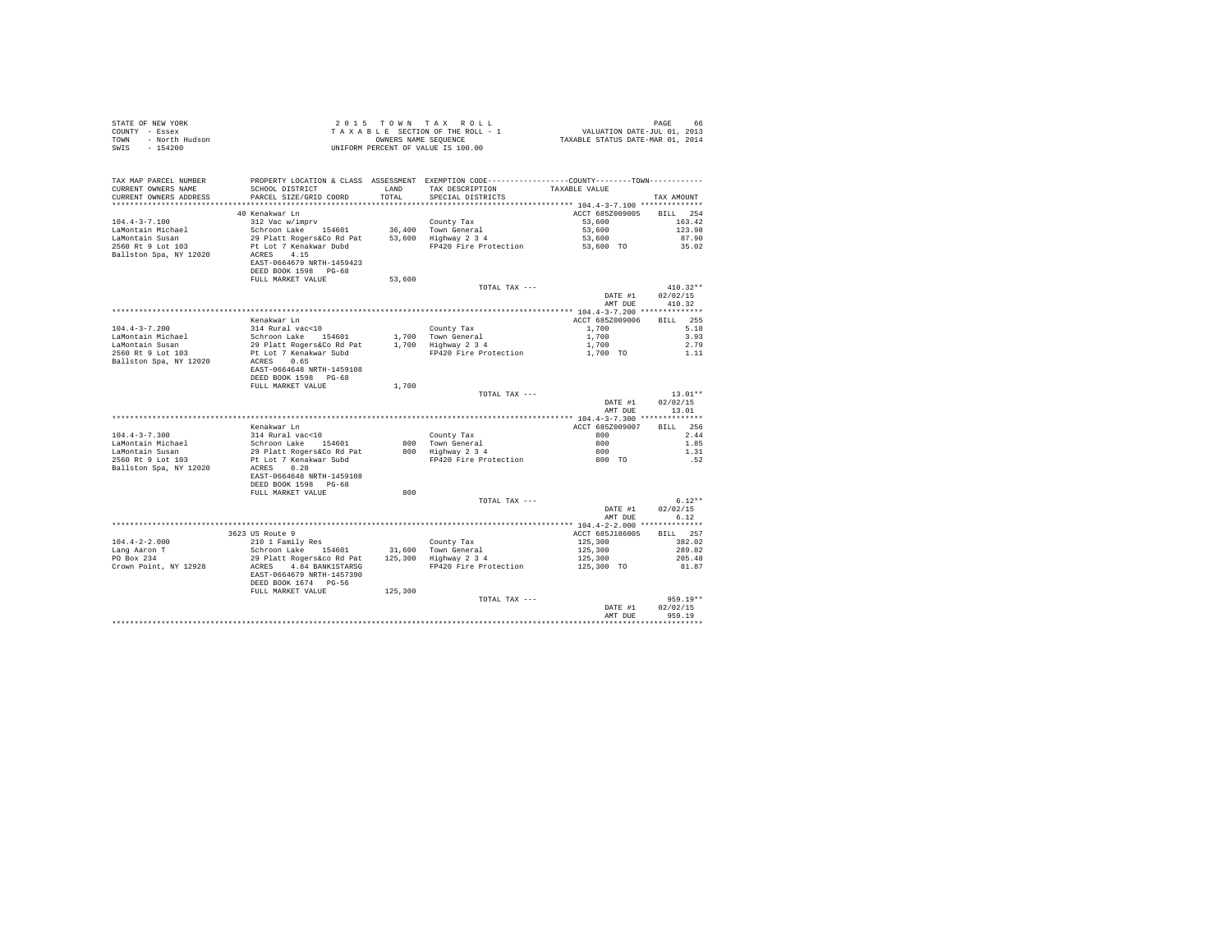| STATE OF NEW YORK<br>COUNTY - Essex<br>TOWN - North Hudson<br>***^^^                                                                                                                                                                                                                                                                                                                                                                                          |                                                                                                                                                                                                                                                                                                        |         | UNIFORM PERCENT OF VALUE IS 100.00 |                                                                  |                                                |
|---------------------------------------------------------------------------------------------------------------------------------------------------------------------------------------------------------------------------------------------------------------------------------------------------------------------------------------------------------------------------------------------------------------------------------------------------------------|--------------------------------------------------------------------------------------------------------------------------------------------------------------------------------------------------------------------------------------------------------------------------------------------------------|---------|------------------------------------|------------------------------------------------------------------|------------------------------------------------|
| TAX MAP PARCEL NUMBER<br>CURRENT OWNERS NAME<br>CURRENT OWNERS ADDRESS                                                                                                                                                                                                                                                                                                                                                                                        | PROPERTY LOCATION & CLASS ASSESSMENT EXEMPTION CODE----------------COUNTY-------TOWN---------<br>SCHOOL DISTRICT TAND TAX DESCRIPTION<br>PARCEL SIZE/GRID COORD                                                                                                                                        | TOTAL   | SPECIAL DISTRICTS                  | TAXABLE VALUE                                                    | TAX AMOUNT                                     |
|                                                                                                                                                                                                                                                                                                                                                                                                                                                               |                                                                                                                                                                                                                                                                                                        |         |                                    |                                                                  |                                                |
|                                                                                                                                                                                                                                                                                                                                                                                                                                                               | 40 Kenakwar Ln                                                                                                                                                                                                                                                                                         |         |                                    | ACCT 685Z009005 BILL 254                                         |                                                |
|                                                                                                                                                                                                                                                                                                                                                                                                                                                               | EAST-0664679 NRTH-1459423<br>DEED BOOK 1598 PG-68                                                                                                                                                                                                                                                      |         |                                    |                                                                  |                                                |
|                                                                                                                                                                                                                                                                                                                                                                                                                                                               | FULL MARKET VALUE                                                                                                                                                                                                                                                                                      | 53,600  |                                    |                                                                  |                                                |
|                                                                                                                                                                                                                                                                                                                                                                                                                                                               |                                                                                                                                                                                                                                                                                                        |         | TOTAL TAX ---                      | DATE #1<br>AMT DUE                                               | $410.32**$<br>02/02/15<br>410.32               |
|                                                                                                                                                                                                                                                                                                                                                                                                                                                               |                                                                                                                                                                                                                                                                                                        |         |                                    |                                                                  |                                                |
|                                                                                                                                                                                                                                                                                                                                                                                                                                                               | Kenakwar Ln                                                                                                                                                                                                                                                                                            |         |                                    | ACCT 685Z009006 BILL 255                                         |                                                |
|                                                                                                                                                                                                                                                                                                                                                                                                                                                               |                                                                                                                                                                                                                                                                                                        |         |                                    | 1,700 5.18                                                       |                                                |
| 104.4-3-7.200<br>LaMontain Michael<br>LaMontain Susan<br>2560 Rt 9 Lot 103                                                                                                                                                                                                                                                                                                                                                                                    |                                                                                                                                                                                                                                                                                                        |         |                                    |                                                                  | 3.93<br>2.79                                   |
|                                                                                                                                                                                                                                                                                                                                                                                                                                                               |                                                                                                                                                                                                                                                                                                        |         |                                    |                                                                  | 1.11                                           |
| Ballston Spa, NY 12020                                                                                                                                                                                                                                                                                                                                                                                                                                        | 314 Rural vac<10<br>Schroon Lake 154601 county Tax $1,700$<br>29 Platt RogerssCo Rd Pat $1,700$<br>Proton Ceneral $1,700$<br>Proton Ceneral $1,700$<br>Proton Ceneral 1,700<br>Proton access<br>20.65<br>ACRES 0.65<br>ACRES 0.65<br>COLET CONSID<br>EAST-0664648 NRTH-1459108<br>DEED BOOK 1598 PG-68 |         |                                    |                                                                  |                                                |
|                                                                                                                                                                                                                                                                                                                                                                                                                                                               | FULL MARKET VALUE                                                                                                                                                                                                                                                                                      | 1,700   |                                    |                                                                  |                                                |
|                                                                                                                                                                                                                                                                                                                                                                                                                                                               |                                                                                                                                                                                                                                                                                                        |         | TOTAL TAX ---                      |                                                                  | $13.01**$<br>DATE #1 02/02/15<br>AMT DUE 13.01 |
|                                                                                                                                                                                                                                                                                                                                                                                                                                                               |                                                                                                                                                                                                                                                                                                        |         |                                    |                                                                  |                                                |
|                                                                                                                                                                                                                                                                                                                                                                                                                                                               |                                                                                                                                                                                                                                                                                                        |         |                                    | ACCT 685Z009007                                                  | BILL 256                                       |
|                                                                                                                                                                                                                                                                                                                                                                                                                                                               |                                                                                                                                                                                                                                                                                                        |         |                                    |                                                                  | 2.44                                           |
|                                                                                                                                                                                                                                                                                                                                                                                                                                                               |                                                                                                                                                                                                                                                                                                        |         |                                    |                                                                  | 1.85                                           |
|                                                                                                                                                                                                                                                                                                                                                                                                                                                               |                                                                                                                                                                                                                                                                                                        |         |                                    |                                                                  | 1.31<br>.52                                    |
|                                                                                                                                                                                                                                                                                                                                                                                                                                                               | EAST-0664648 NRTH-1459108<br>DEED BOOK 1598 PG-68                                                                                                                                                                                                                                                      |         |                                    |                                                                  |                                                |
|                                                                                                                                                                                                                                                                                                                                                                                                                                                               | FULL MARKET VALUE                                                                                                                                                                                                                                                                                      | 800     |                                    |                                                                  |                                                |
|                                                                                                                                                                                                                                                                                                                                                                                                                                                               |                                                                                                                                                                                                                                                                                                        |         | TOTAL TAX ---                      | DATE #1                                                          | $6.12**$<br>02/02/15<br>AMT DUE 6.12           |
|                                                                                                                                                                                                                                                                                                                                                                                                                                                               |                                                                                                                                                                                                                                                                                                        |         |                                    |                                                                  |                                                |
|                                                                                                                                                                                                                                                                                                                                                                                                                                                               | 3623 US Route 9                                                                                                                                                                                                                                                                                        |         |                                    | ACCT 685J186005                                                  | BTLL 257                                       |
|                                                                                                                                                                                                                                                                                                                                                                                                                                                               |                                                                                                                                                                                                                                                                                                        |         |                                    |                                                                  | 382.02                                         |
|                                                                                                                                                                                                                                                                                                                                                                                                                                                               |                                                                                                                                                                                                                                                                                                        |         |                                    |                                                                  | 289.82<br>205.48                               |
| $\begin{tabular}{lllllllllll} \texttt{104.4-2-2.000} & \texttt{so} & \texttt{source} & & \texttt{Country Tax} \\ \texttt{LapAaron T} & & \texttt{SchronLup T} & & \texttt{SchronLup T} & & \texttt{Country Tax} \\ \texttt{Long Aaron T} & & \texttt{SchronLemLup T} & & \texttt{34601} & & \texttt{31,600} & \texttt{Twom General} \\ \texttt{PO Box 234} & & \texttt{29-Platt Rogers} & \texttt{4.84-BANK1STRRSG} & & \texttt{125,300} & \texttt{Highway 2$ | EAST-0664679 NRTH-1457390<br>DEED BOOK 1674 PG-56                                                                                                                                                                                                                                                      |         |                                    | $125,300$<br>$125,300$<br>$125,300$<br>$125,300$<br>$125,300$ TO | 81.87                                          |
|                                                                                                                                                                                                                                                                                                                                                                                                                                                               | FULL MARKET VALUE                                                                                                                                                                                                                                                                                      | 125,300 |                                    |                                                                  |                                                |
|                                                                                                                                                                                                                                                                                                                                                                                                                                                               |                                                                                                                                                                                                                                                                                                        |         | TOTAL TAX ---                      | AMT DUE                                                          | 959.19**<br>DATE #1 02/02/15<br>959.19         |
|                                                                                                                                                                                                                                                                                                                                                                                                                                                               |                                                                                                                                                                                                                                                                                                        |         |                                    |                                                                  |                                                |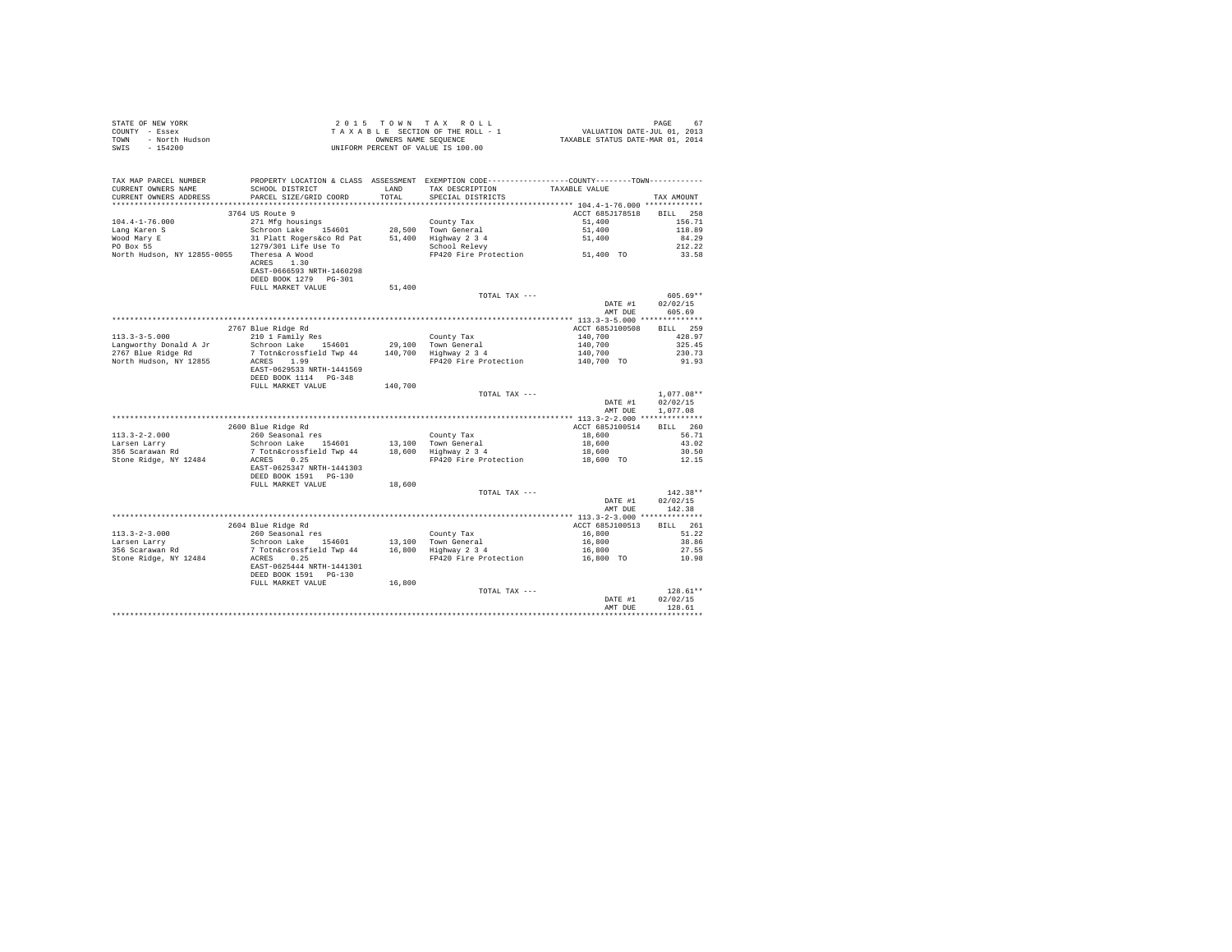| STATE OF NEW YORK      | 2015 TOWN TAX ROLL                 | PAGE                             |
|------------------------|------------------------------------|----------------------------------|
| COUNTY - Essex         | TAXABLE SECTION OF THE ROLL - 1    | VALUATION DATE-JUL 01, 2013      |
| TOWN<br>- North Hudson | OWNERS NAME SEOUENCE               | TAXABLE STATUS DATE-MAR 01, 2014 |
| - 154200<br>SWIS       | UNIFORM PERCENT OF VALUE IS 100.00 |                                  |

| TAX MAP PARCEL NUMBER<br>CURRENT OWNERS NAME | SCHOOL DISTRICT                                                                                                     | LAND    | PROPERTY LOCATION & CLASS ASSESSMENT EXEMPTION CODE----------------COUNTY--------TOWN----------<br>TAX DESCRIPTION | TAXABLE VALUE      |              |
|----------------------------------------------|---------------------------------------------------------------------------------------------------------------------|---------|--------------------------------------------------------------------------------------------------------------------|--------------------|--------------|
| CURRENT OWNERS ADDRESS                       | PARCEL SIZE/GRID COORD                                                                                              | TOTAL   | SPECIAL DISTRICTS                                                                                                  |                    | TAX AMOUNT   |
|                                              | **************************                                                                                          |         |                                                                                                                    |                    |              |
|                                              | 3764 US Route 9                                                                                                     |         |                                                                                                                    | ACCT 685J178518    | BILL 258     |
| $104.4 - 1 - 76.000$                         | 271 Mfg housings                                                                                                    |         | County Tax                                                                                                         | 51,400             | 156.71       |
| Lang Karen S                                 |                                                                                                                     |         | 28,500 Town General                                                                                                | 51,400             | 118.89       |
| Wood Mary E                                  | Schroon Lake 154601<br>31 Platt Rogers&co Rd Pat<br>1279/301 Life Use To                                            |         | 51,400 Highway 2 3 4<br>School Relevy                                                                              | 51,400             | 84.29        |
| PO Box 55                                    |                                                                                                                     |         | School Relevy<br>FP420 Fire Protection 61,400 TO                                                                   |                    | 212.22       |
| North Hudson, NY 12855-0055 Theresa A Wood   | ACRES 1.30<br>EAST-0666593 NRTH-1460298<br>DEED BOOK 1279 PG-301                                                    |         |                                                                                                                    |                    | 33.58        |
|                                              | FULL MARKET VALUE                                                                                                   | 51,400  |                                                                                                                    |                    |              |
|                                              |                                                                                                                     |         | TOTAL TAX ---                                                                                                      |                    | $605.69**$   |
|                                              |                                                                                                                     |         |                                                                                                                    | DATE #1            | 02/02/15     |
|                                              |                                                                                                                     |         |                                                                                                                    | AMT DUE            | 605.69       |
|                                              |                                                                                                                     |         |                                                                                                                    |                    |              |
|                                              | 2767 Blue Ridge Rd                                                                                                  |         |                                                                                                                    | ACCT 685J100508    | BILL 259     |
| $113.3 - 3 - 5.000$                          | 210 1 Family Res                                                                                                    |         | County Tax                                                                                                         |                    | 428.97       |
| Langworthy Donald A Jr                       | Schroon Lake 154601                                                                                                 |         | 29,100 Town General                                                                                                | 140,700<br>140,700 | 325.45       |
| 2767 Blue Ridge Rd                           | 7 Totn&crossfield Twp 44 140,700 Highway 2 3 4                                                                      |         |                                                                                                                    | 140,700            | 230.73       |
| North Hudson, NY 12855                       | ACRES 1.99                                                                                                          |         | FP420 Fire Protection                                                                                              | $140,700$ TO       | 91.93        |
|                                              | EAST-0629533 NRTH-1441569                                                                                           |         |                                                                                                                    |                    |              |
|                                              | DEED BOOK 1114 PG-348                                                                                               |         |                                                                                                                    |                    |              |
|                                              | FULL MARKET VALUE                                                                                                   | 140,700 |                                                                                                                    |                    |              |
|                                              |                                                                                                                     |         | TOTAL TAX ---                                                                                                      |                    | $1,077.08**$ |
|                                              |                                                                                                                     |         |                                                                                                                    | DATE #1            | 02/02/15     |
|                                              |                                                                                                                     |         |                                                                                                                    | AMT DUE            | 1,077.08     |
|                                              |                                                                                                                     |         |                                                                                                                    |                    |              |
|                                              | 2600 Blue Ridge Rd                                                                                                  |         |                                                                                                                    | ACCT 685J100514    | BILL 260     |
| $113.3 - 2 - 2.000$                          | 260 Seasonal res                                                                                                    |         | County Tax                                                                                                         | 18,600             | 56.71        |
| Larsen Larry                                 | Schroon Lake 154601<br>7 Totn&crossfield Twp 44                                                                     |         | 13,100 Town General<br>18,600 Highway 2 3 4                                                                        | 18,600<br>18,600   | 43.02        |
| 356 Scarawan Rd                              |                                                                                                                     |         |                                                                                                                    |                    | 30.50        |
| Stone Ridge, NY 12484                        | ACRES 0.25                                                                                                          |         | FP420 Fire Protection                                                                                              | 18,600 TO          | 12.15        |
|                                              | EAST-0625347 NRTH-1441303                                                                                           |         |                                                                                                                    |                    |              |
|                                              | DEED BOOK 1591   PG-130<br>FULL MARKET VALUE                                                                        | 18,600  |                                                                                                                    |                    |              |
|                                              |                                                                                                                     |         | TOTAL TAX ---                                                                                                      |                    | $142.38**$   |
|                                              |                                                                                                                     |         |                                                                                                                    | DATE #1            | 02/02/15     |
|                                              |                                                                                                                     |         |                                                                                                                    | AMT DUE            | 142.38       |
|                                              |                                                                                                                     |         |                                                                                                                    |                    |              |
|                                              | 2604 Blue Ridge Rd                                                                                                  |         |                                                                                                                    | ACCT 685J100513    | BILL 261     |
| $113.3 - 2 - 3.000$                          | 260 Seasonal res<br>Schroon Lake 154601                                                                             |         | County Tax                                                                                                         | 16,800             | 51.22        |
| Larsen Larry                                 |                                                                                                                     |         | 13,100 Town General                                                                                                | 16,800             | 38.86        |
| 356 Scarawan Rd                              | ר המשפט ביותר ב-15,100 Town General<br>משפט ה-16,800 Highway 2 3 4 ב-16,800 Highway 2 3 4<br>ב-16,800 Highway 2 3 4 |         |                                                                                                                    | 16,800             | 27.55        |
| Stone Ridge, NY 12484                        | ACRES 0.25                                                                                                          |         | FP420 Fire Protection                                                                                              | 16,800 TO          | 10.98        |
|                                              | EAST-0625444 NRTH-1441301                                                                                           |         |                                                                                                                    |                    |              |
|                                              | DEED BOOK 1591 PG-130                                                                                               |         |                                                                                                                    |                    |              |
|                                              | FULL MARKET VALUE                                                                                                   | 16,800  |                                                                                                                    |                    |              |
|                                              |                                                                                                                     |         | TOTAL TAX ---                                                                                                      |                    | $128.61**$   |
|                                              |                                                                                                                     |         |                                                                                                                    | DATE #1            | 02/02/15     |
|                                              |                                                                                                                     |         |                                                                                                                    | AMT DUE            | 128.61       |
|                                              |                                                                                                                     |         |                                                                                                                    |                    |              |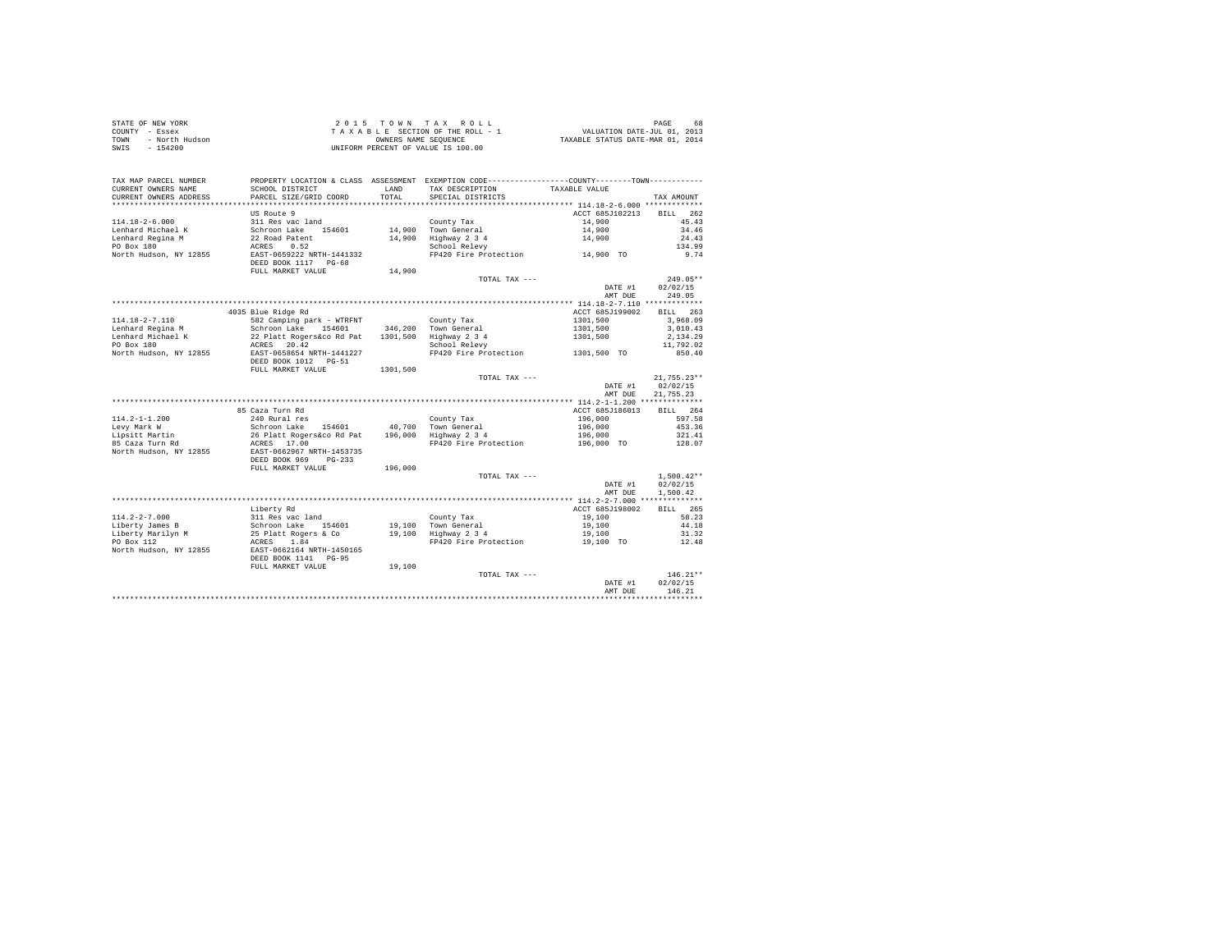| STATE OF NEW YORK      | 2015 TOWN TAX ROLL                 | 68<br>PAGE                       |
|------------------------|------------------------------------|----------------------------------|
| COUNTY - Essex         | TAXABLE SECTION OF THE ROLL - 1    | VALUATION DATE-JUL 01, 2013      |
| TOWN<br>- North Hudson | OWNERS NAME SEOUENCE               | TAXABLE STATUS DATE-MAR 01, 2014 |
| - 154200<br>SWIS       | UNIFORM PERCENT OF VALUE IS 100.00 |                                  |

| TAX MAP PARCEL NUMBER<br>CURRENT OWNERS NAME | PROPERTY LOCATION & CLASS ASSESSMENT EXEMPTION CODE----------------COUNTY-------TOWN---------<br>SCHOOL DISTRICT | LAND     | TAX DESCRIPTION                               | TAXABLE VALUE   |                    |
|----------------------------------------------|------------------------------------------------------------------------------------------------------------------|----------|-----------------------------------------------|-----------------|--------------------|
| CURRENT OWNERS ADDRESS                       | PARCEL SIZE/GRID COORD                                                                                           | TOTAL.   | SPECIAL DISTRICTS                             |                 | TAX AMOUNT         |
| ************************                     |                                                                                                                  |          |                                               |                 |                    |
|                                              | US Route 9                                                                                                       |          |                                               | ACCT 685J102213 | 262<br><b>BILL</b> |
| $114.18 - 2 - 6.000$                         | 311 Res vac land                                                                                                 |          | County Tax                                    | 14,900          | 45.43              |
| Lenhard Michael K                            | Schroon Lake 154601                                                                                              |          | 14,900 Town General                           | 14,900          | 34.46              |
| Lenhard Regina M                             | 22 Road Patent                                                                                                   |          | $14,900$ iver $-$<br>$14,900$ Highway $2,3,4$ | 14,900          | 24.43              |
| PO Box 180                                   | 0.52<br>ACRES                                                                                                    |          | School Relevy                                 |                 | 134.99             |
| North Hudson, NY 12855                       | EAST-0659222 NRTH-1441332<br>DEED BOOK 1117 PG-68                                                                |          |                                               |                 | 9.74               |
|                                              | FULL MARKET VALUE                                                                                                | 14,900   |                                               |                 |                    |
|                                              |                                                                                                                  |          | TOTAL TAX ---                                 |                 | $249.05**$         |
|                                              |                                                                                                                  |          |                                               | DATE #1         | 02/02/15           |
|                                              |                                                                                                                  |          |                                               | AMT DUE         | 249.05             |
|                                              |                                                                                                                  |          |                                               |                 |                    |
|                                              | 4035 Blue Ridge Rd                                                                                               |          |                                               | ACCT 685J199002 | BILL 263           |
| 114.18-2-7.110                               | 582 Camping park - WTRFNT                                                                                        |          | County Tax                                    | 1301,500        | 3,968.09           |
| Lenhard Regina M                             | Schroon Lake 154601                                                                                              |          | 346,200 Town General                          | 1301,500        | 3,010.43           |
| Lenhard Michael K                            | 22 Platt Rogers&co Rd Pat                                                                                        |          | 1301,500 Highway 2 3 4                        | 1301,500        | 2,134.29           |
| PO Box 180                                   | ACRES 20.42                                                                                                      |          | School Relevy                                 |                 | 11,792.02          |
| North Hudson, NY 12855                       | EAST-0658654 NRTH-1441227<br>DEED BOOK 1012 PG-51                                                                |          | FP420 Fire Protection 1301,500 TO             |                 | 850.40             |
|                                              | FULL MARKET VALUE                                                                                                | 1301,500 |                                               |                 |                    |
|                                              |                                                                                                                  |          | TOTAL TAX ---                                 |                 | $21.755.23**$      |
|                                              |                                                                                                                  |          |                                               | DATE #1         | 02/02/15           |
|                                              |                                                                                                                  |          |                                               | AMT DUE         | 21,755.23          |
|                                              |                                                                                                                  |          |                                               |                 |                    |
|                                              | 85 Caza Turn Rd                                                                                                  |          |                                               | ACCT 685J186013 | BILL 264           |
| $114.2 - 1 - 1.200$                          | 240 Rural res                                                                                                    |          | County Tax                                    | 196,000         | 597.58             |
| Levy Mark W                                  | Schroon Lake 154601                                                                                              |          | 40,700 Town General                           | 196,000         | 453.36             |
| Lipsitt Martin                               | 26 Platt Rogers&co Rd Pat 196,000 Highway 2 3 4                                                                  |          |                                               | 196,000         | 321.41             |
| 85 Caza Turn Rd<br>North Hudson, NY 12855    | ACRES 17.00<br>EAST-0662967 NRTH-1453735                                                                         |          | FP420 Fire Protection                         | 196,000 TO      | 128.07             |
|                                              | DEED BOOK 969 PG-233                                                                                             |          |                                               |                 |                    |
|                                              | FULL MARKET VALUE                                                                                                | 196,000  |                                               |                 |                    |
|                                              |                                                                                                                  |          | TOTAL TAX ---                                 |                 | $1,500.42**$       |
|                                              |                                                                                                                  |          |                                               | DATE #1         | 02/02/15           |
|                                              |                                                                                                                  |          |                                               | AMT DUE         | 1,500.42           |
|                                              |                                                                                                                  |          |                                               |                 |                    |
|                                              | Liberty Rd                                                                                                       |          |                                               | ACCT 685J198002 | BILL 265           |
| $114.2 - 2 - 7.000$                          | 311 Res vac land                                                                                                 |          | County Tax                                    | 19,100          | 58.23              |
| Liberty James B                              |                                                                                                                  |          | 19,100 Town General<br>19,100 Highway 2 3 4   | 19,100          | 44.18              |
| Liberty Marilyn M                            |                                                                                                                  |          |                                               | 19,100          | 31.32              |
| PO Box 112                                   |                                                                                                                  |          | FP420 Fire Protection 19,100 TO               |                 | 12.48              |
| North Hudson, NY 12855                       | Schroon Lake 154601<br>25 Platt Rogers & Co<br>ACRES 1.84<br>EAST-0662164 NRTH-1450165<br>DEED BOOK 1141 PG-95   |          |                                               |                 |                    |
|                                              | FULL MARKET VALUE                                                                                                | 19,100   |                                               |                 |                    |
|                                              |                                                                                                                  |          | TOTAL TAX ---                                 |                 | $146.21**$         |
|                                              |                                                                                                                  |          |                                               | DATE #1         | 02/02/15           |
|                                              |                                                                                                                  |          |                                               | AMT DUE         | 146.21             |
|                                              |                                                                                                                  |          |                                               |                 |                    |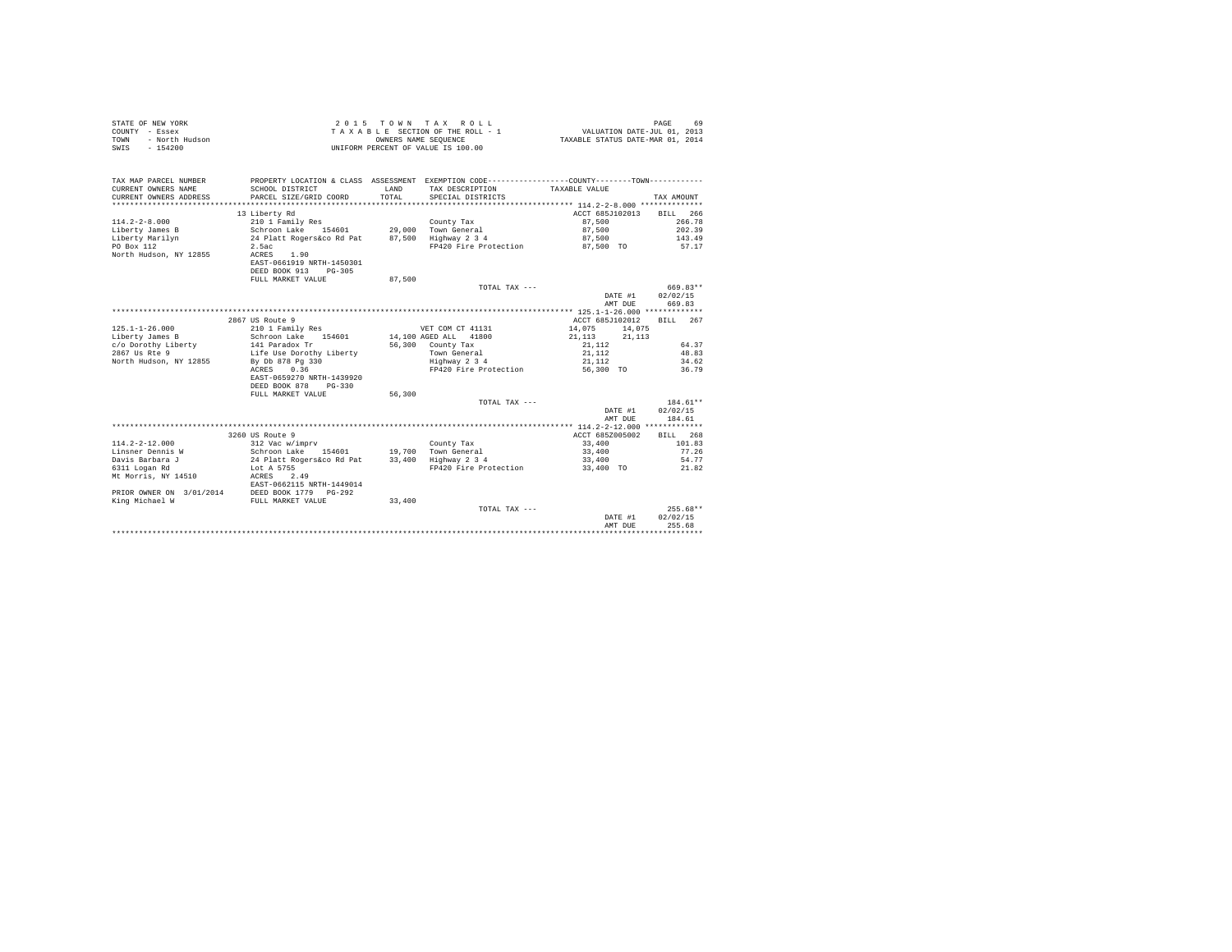| STATE OF NEW YORK<br>COUNTY - Essex<br>- North Hudson<br><b>TOWN</b><br>$-154200$<br>SWIS |                                                | OWNERS NAME SEQUENCE | 2015 TOWN TAX ROLL<br>TAXABLE SECTION OF THE ROLL - 1<br>UNIFORM PERCENT OF VALUE IS 100.00     | VALUATION DATE-JUL 01, 2013<br>TAXABLE STATUS DATE-MAR 01, 2014 | PAGE<br>69 |
|-------------------------------------------------------------------------------------------|------------------------------------------------|----------------------|-------------------------------------------------------------------------------------------------|-----------------------------------------------------------------|------------|
| TAX MAP PARCEL NUMBER                                                                     |                                                |                      | PROPERTY LOCATION & CLASS ASSESSMENT EXEMPTION CODE----------------COUNTY--------TOWN---------- |                                                                 |            |
| CURRENT OWNERS NAME                                                                       | SCHOOL DISTRICT                                | LAND                 | TAX DESCRIPTION                                                                                 | TAXABLE VALUE                                                   |            |
| CURRENT OWNERS ADDRESS                                                                    | PARCEL SIZE/GRID COORD                         | TOTAL.               | SPECIAL DISTRICTS                                                                               |                                                                 | TAX AMOUNT |
|                                                                                           |                                                |                      |                                                                                                 |                                                                 |            |
|                                                                                           | 13 Liberty Rd                                  |                      |                                                                                                 | ACCT 685J102013                                                 | BILL 266   |
| $114.2 - 2 - 8.000$                                                                       | 210 1 Family Res                               |                      | County Tax                                                                                      | 87,500                                                          | 266.78     |
| Liberty James B                                                                           | Schroon Lake 154601 29,000 Town General        |                      |                                                                                                 | 87,500                                                          | 202.39     |
| Liberty Marilyn                                                                           | 24 Platt Rogers&co Rd Pat 87,500 Highway 2 3 4 |                      |                                                                                                 | 87,500                                                          | 143.49     |
| PO Box 112                                                                                | 2.5ac<br>ACRES 1.90                            |                      | FP420 Fire Protection                                                                           | 87,500 TO                                                       | 57.17      |
| North Hudson, NY 12855                                                                    | EAST-0661919 NRTH-1450301                      |                      |                                                                                                 |                                                                 |            |
|                                                                                           | DEED BOOK 913 PG-305                           |                      |                                                                                                 |                                                                 |            |
|                                                                                           | FULL MARKET VALUE                              | 87,500               |                                                                                                 |                                                                 |            |
|                                                                                           |                                                |                      | TOTAL TAX ---                                                                                   |                                                                 | 669.83**   |
|                                                                                           |                                                |                      |                                                                                                 | DATE #1                                                         | 02/02/15   |
|                                                                                           |                                                |                      |                                                                                                 | AMT DUE                                                         | 669.83     |
|                                                                                           |                                                |                      |                                                                                                 |                                                                 |            |
|                                                                                           | 2867 US Route 9                                |                      |                                                                                                 | ACCT 685J102012                                                 | BILL 267   |
| $125.1 - 1 - 26.000$<br>Liberty James B                                                   | 210 1 Family Res<br>Schroon Lake 154601        |                      | VET COM CT 41131<br>14,100 AGED ALL 41800                                                       | 14,075 14,075<br>21, 113 21, 113                                |            |
| c/o Dorothy Liberty                                                                       | 141 Paradox Tr                                 |                      | 56,300 County Tax                                                                               | 21, 112                                                         | 64.37      |
| 2867 Us Rte 9                                                                             | Life Use Dorothy Liberty                       |                      | Town General                                                                                    | 21,112                                                          | 48.83      |
| North Hudson, NY 12855                                                                    | By Db 878 Pg 330                               |                      | Highway 2 3 4                                                                                   | 21,112                                                          | 34.62      |
|                                                                                           | ACRES 0.36                                     |                      | FP420 Fire Protection                                                                           | 56,300 TO                                                       | 36.79      |
|                                                                                           | EAST-0659270 NRTH-1439920                      |                      |                                                                                                 |                                                                 |            |
|                                                                                           | DEED BOOK 878 PG-330                           |                      |                                                                                                 |                                                                 |            |
|                                                                                           | FULL MARKET VALUE                              | 56,300               | TOTAL TAX $---$                                                                                 |                                                                 | $184.61**$ |
|                                                                                           |                                                |                      |                                                                                                 | DATE #1                                                         | 02/02/15   |
|                                                                                           |                                                |                      |                                                                                                 | AMT DUE                                                         | 184.61     |
|                                                                                           |                                                |                      |                                                                                                 |                                                                 |            |
|                                                                                           | 3260 US Route 9                                |                      |                                                                                                 | ACCT 685Z005002                                                 | BILL 268   |
| $114.2 - 2 - 12.000$                                                                      | 312 Vac w/imprv                                |                      | County Tax                                                                                      | 33,400                                                          | 101.83     |
| Linsner Dennis W                                                                          | Schroon Lake 154601                            |                      | 19,700 Town General                                                                             | 33,400                                                          | 77.26      |
| Davis Barbara J                                                                           | 24 Platt Rogers&co Rd Pat 33,400 Highway 2 3 4 |                      |                                                                                                 | 33,400                                                          | 54.77      |
| 6311 Logan Rd                                                                             | Lot A 5755                                     |                      | FP420 Fire Protection                                                                           | 33,400 TO                                                       | 21.82      |
| Mt Morris, NY 14510                                                                       | ACRES 2.49                                     |                      |                                                                                                 |                                                                 |            |
|                                                                                           | EAST-0662115 NRTH-1449014                      |                      |                                                                                                 |                                                                 |            |
| PRIOR OWNER ON 3/01/2014 DEED BOOK 1779 PG-292                                            |                                                |                      |                                                                                                 |                                                                 |            |
| King Michael W                                                                            | FULL MARKET VALUE                              | 33,400               |                                                                                                 |                                                                 |            |
|                                                                                           |                                                |                      | TOTAL TAX ---                                                                                   |                                                                 | $255.68**$ |
|                                                                                           |                                                |                      |                                                                                                 | DATE #1                                                         | 02/02/15   |
|                                                                                           |                                                |                      |                                                                                                 | AMT DUE                                                         | 255.68     |
|                                                                                           |                                                |                      |                                                                                                 |                                                                 |            |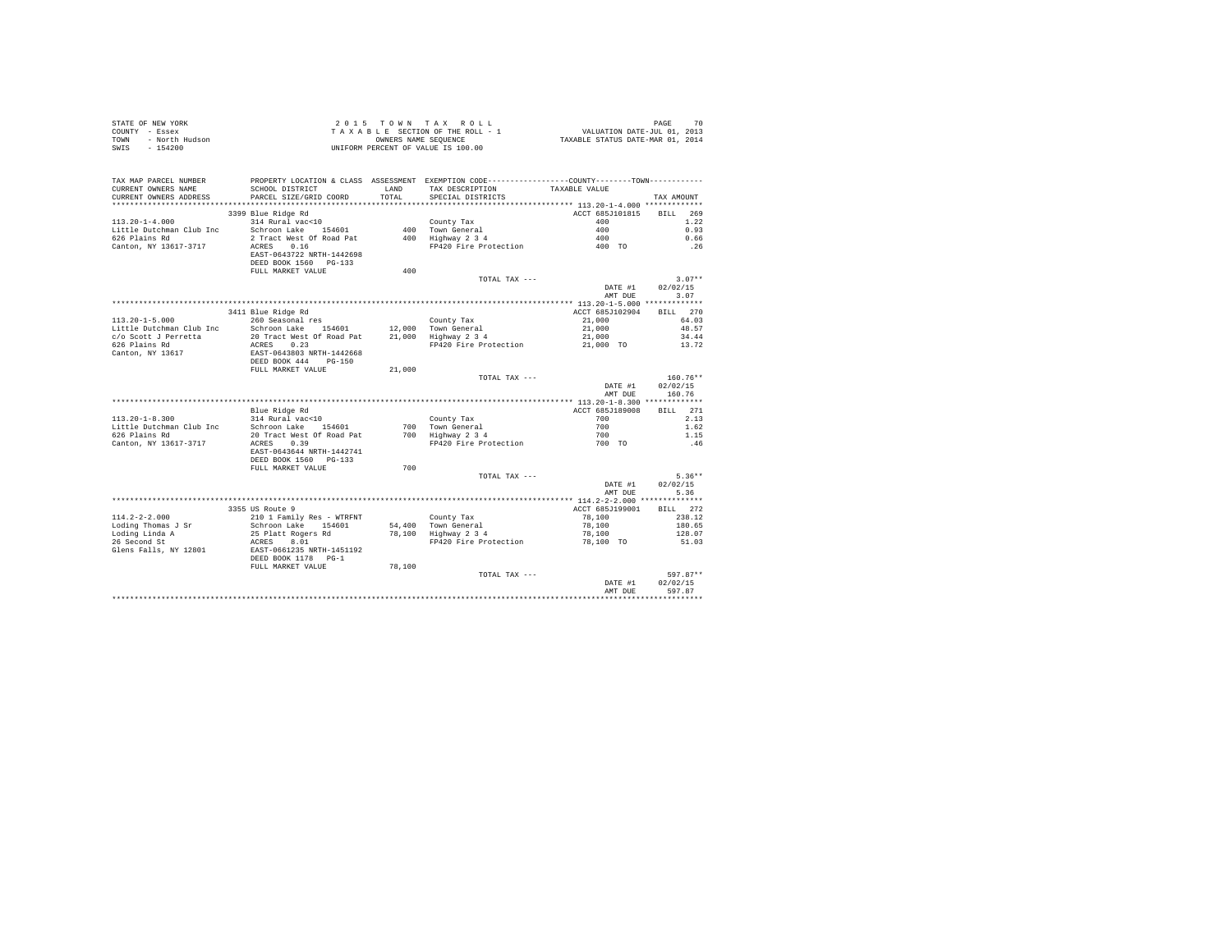| STATE OF NEW YORK<br>COUNTY - Essex<br>TOWN<br>SWIS - 154200 |                                                                  |                        | 2015 TOWN TAX ROLL<br>TAXABLE SECTION OF THE ROLL - 1<br>OWNERS NAME SEQUENCE                | 70 PAGE 70<br>11, VALUATION DATE-JUL 01, 2013<br>2014 TAXABLE STATUS DATE-MAR | 70<br>PAGE                     |
|--------------------------------------------------------------|------------------------------------------------------------------|------------------------|----------------------------------------------------------------------------------------------|-------------------------------------------------------------------------------|--------------------------------|
| TAX MAP PARCEL NUMBER                                        |                                                                  |                        | PROPERTY LOCATION & CLASS ASSESSMENT EXEMPTION CODE---------------COUNTY-------TOWN--------- |                                                                               |                                |
| CURRENT OWNERS NAME<br>CURRENT OWNERS ADDRESS                | SCHOOL DISTRICT<br>PARCEL SIZE/GRID COORD                        | <b>T.AND</b><br>TOTAL. | TAX DESCRIPTION TAXABLE VALUE<br>SPECIAL DISTRICTS                                           |                                                                               | TAX AMOUNT                     |
|                                                              |                                                                  |                        |                                                                                              |                                                                               |                                |
|                                                              | 3399 Blue Ridge Rd                                               |                        |                                                                                              | ACCT 685J101815                                                               | BILL 269                       |
| $113.20 - 1 - 4.000$                                         | 314 Rural vac<10                                                 |                        | County Tax                                                                                   | 400                                                                           | 1.22                           |
| Little Dutchman Club Inc                                     | Schroon Lake 154601                                              |                        | 400 Town General                                                                             | 400                                                                           | 0.93                           |
| 626 Plains Rd                                                | 2 Tract West Of Road Pat                                         |                        | 400 Highway 2 3 4                                                                            | 400                                                                           | 0.66                           |
| Canton, NY 13617-3717                                        | ACRES 0.16<br>EAST-0643722 NRTH-1442698<br>DEED BOOK 1560 PG-133 |                        | FP420 Fire Protection                                                                        | 400 TO                                                                        | .26                            |
|                                                              | FULL MARKET VALUE                                                | 400                    |                                                                                              |                                                                               |                                |
|                                                              |                                                                  |                        | TOTAL TAX ---                                                                                |                                                                               | $3.07**$                       |
|                                                              |                                                                  |                        |                                                                                              | DATE #1<br>AMT DUE                                                            | 02/02/15<br>3.07               |
|                                                              |                                                                  |                        |                                                                                              |                                                                               |                                |
|                                                              | 3411 Blue Ridge Rd                                               |                        |                                                                                              | ACCT 685J102904                                                               | BILL 270                       |
| $113.20 - 1 - 5.000$                                         | 260 Seasonal res                                                 |                        | County Tax                                                                                   | 21,000                                                                        | 64.03                          |
| Little Dutchman Club Inc                                     | Schroon Lake 154601                                              |                        | 12,000 Town General                                                                          | 21,000                                                                        | 48.57                          |
| c/o Scott J Perretta                                         | 20 Tract West Of Road Pat                                        |                        | 21.000 Highway 2 3 4                                                                         | 21,000                                                                        | 34.44                          |
| 626 Plains Rd<br>Canton, NY 13617                            | ACRES 0.23<br>EAST-0643803 NRTH-1442668<br>DEED BOOK 444 PG-150  |                        | FP420 Fire Protection                                                                        | 21,000 TO                                                                     | 13.72                          |
|                                                              | FULL MARKET VALUE                                                | 21,000                 |                                                                                              |                                                                               |                                |
|                                                              |                                                                  |                        | TOTAL TAX ---                                                                                | DATE #1                                                                       | $160.76**$<br>02/02/15         |
|                                                              |                                                                  |                        |                                                                                              | AMT DUE                                                                       | 160.76                         |
|                                                              |                                                                  |                        |                                                                                              |                                                                               |                                |
|                                                              | Blue Ridge Rd                                                    |                        |                                                                                              | ACCT 685J189008                                                               | BILL 271                       |
| $113.20 - 1 - 8.300$                                         | 314 Rural vac<10                                                 |                        | County Tax<br>700 Town General                                                               | 700<br>700                                                                    | 2.13<br>1.62                   |
| Little Dutchman Club Inc<br>626 Plains Rd                    | Schroon Lake 154601<br>20 Tract West Of Road Pat                 |                        | 700 Highway 2 3 4                                                                            | 700                                                                           | 1.15                           |
| Canton, NY 13617-3717                                        | ACRES 0.39                                                       |                        | FP420 Fire Protection                                                                        | 700 TO                                                                        | .46                            |
|                                                              | EAST-0643644 NRTH-1442741<br>DEED BOOK 1560 PG-133               |                        |                                                                                              |                                                                               |                                |
|                                                              | FULL MARKET VALUE                                                | 700                    |                                                                                              |                                                                               |                                |
|                                                              |                                                                  |                        | TOTAL TAX ---                                                                                |                                                                               | $5.36**$                       |
|                                                              |                                                                  |                        |                                                                                              | DATE #1<br>AMT DUE                                                            | 02/02/15<br>5.36               |
|                                                              |                                                                  |                        |                                                                                              |                                                                               |                                |
|                                                              | 3355 US Route 9                                                  |                        |                                                                                              | ACCT 685J199001                                                               | BILL 272                       |
| $114.2 - 2 - 2.000$                                          | 210 1 Family Res - WTRFNT                                        |                        | County Tax                                                                                   | 78,100                                                                        | 238.12                         |
| Loding Thomas J Sr                                           | Schroon Lake 154601                                              |                        | 54,400 Town General<br>$78,100$ Highway $2\ 3\ 4$                                            | 78,100                                                                        | 180.65                         |
| Loding Linda A<br>26 Second St                               | 25 Platt Rogers Rd                                               |                        | FP420 Fire Protection                                                                        | 78,100                                                                        | 128.07                         |
| Glens Falls, NY 12801                                        | ACRES 8.01<br>EAST-0661235 NRTH-1451192<br>DEED BOOK 1178 PG-1   |                        |                                                                                              | 78,100 TO                                                                     | 51.03                          |
|                                                              | FULL MARKET VALUE                                                | 78,100                 |                                                                                              |                                                                               |                                |
|                                                              |                                                                  |                        | TOTAL TAX ---                                                                                | DATE #1<br>AMT DUE                                                            | 597.87**<br>02/02/15<br>597.87 |
|                                                              |                                                                  |                        |                                                                                              |                                                                               |                                |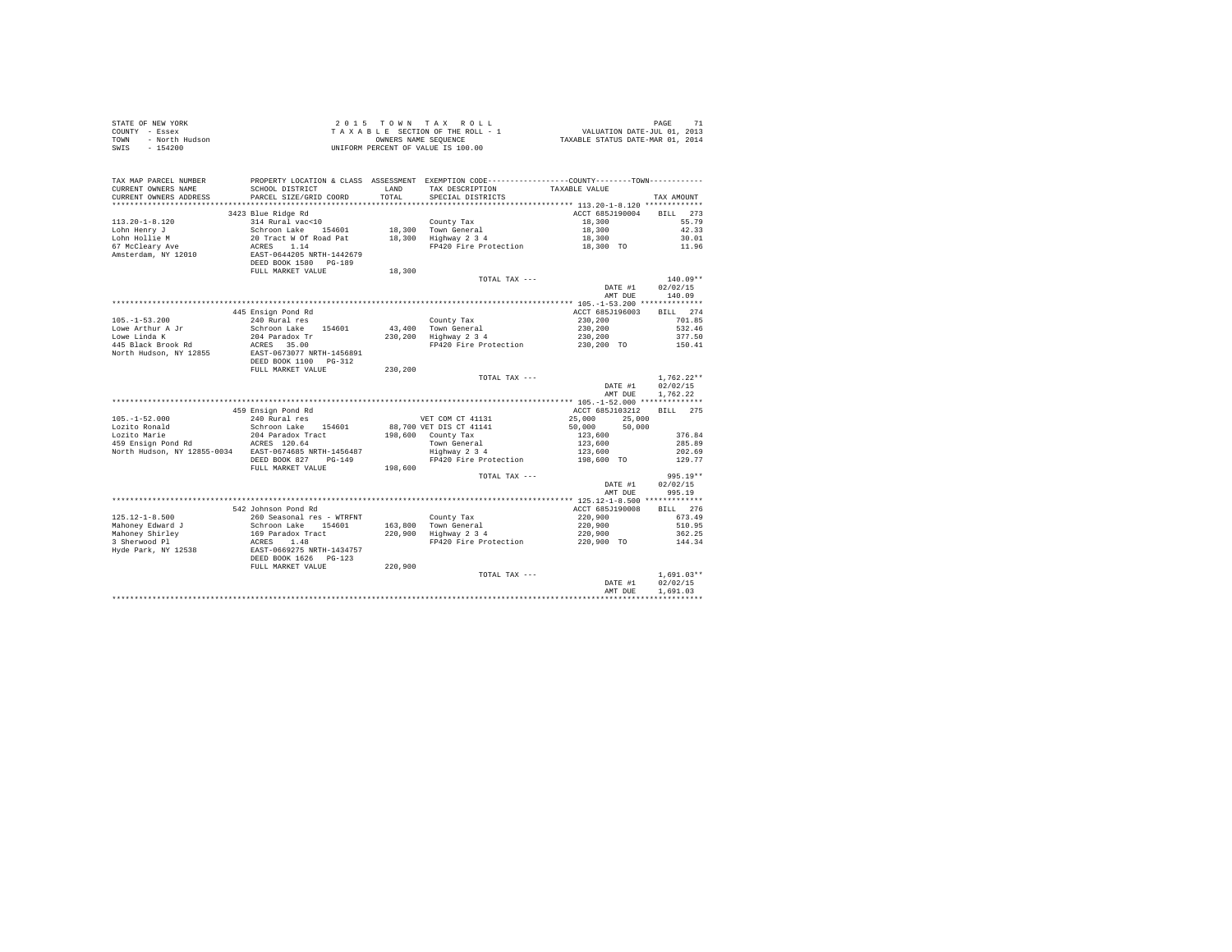| TAX MAP PARCEL NUMBER                                                                                                          |                                                                                            |         | PROPERTY LOCATION & CLASS ASSESSMENT EXEMPTION CODE----------------COUNTY--------TOWN---------- |                    |                                      |
|--------------------------------------------------------------------------------------------------------------------------------|--------------------------------------------------------------------------------------------|---------|-------------------------------------------------------------------------------------------------|--------------------|--------------------------------------|
| CURRENT OWNERS NAME                                                                                                            | SCHOOL DISTRICT                                                                            | LAND    | TAX DESCRIPTION TAXABLE VALUE                                                                   |                    |                                      |
| CURRENT OWNERS ADDRESS                                                                                                         | PARCEL SIZE/GRID COORD                                                                     | TOTAL   | SPECIAL DISTRICTS                                                                               |                    | TAX AMOUNT                           |
|                                                                                                                                |                                                                                            |         |                                                                                                 |                    |                                      |
| $113.20 - 1 - 8.120$                                                                                                           | 3423 Blue Ridge Rd                                                                         |         |                                                                                                 | ACCT 685J190004    | BILL 273                             |
|                                                                                                                                | 314 Rural vac<10<br>Schroon Lake 154601                                                    |         | County Tax                                                                                      | 18,300             | 55.79<br>42.33                       |
| Lohn Henry J<br>Lohn Hollie M                                                                                                  | 20 Tract W Of Road Pat 18,300 Highway 2 3 4<br>20 Tract W Of Road Pat 18,300 Highway 2 3 4 |         | 18,300 Town General                                                                             | 18,300<br>18,300   | 30.01                                |
| Lohn Hollie M<br>67 McCleary Ave                                                                                               | ACRES 1.14                                                                                 |         | FP420 Fire Protection 18,300 TO                                                                 |                    | 11.96                                |
| Amsterdam, NY 12010                                                                                                            | EAST-0644205 NRTH-1442679<br>DEED BOOK 1580 PG-189                                         |         |                                                                                                 |                    |                                      |
|                                                                                                                                | FULL MARKET VALUE                                                                          | 18,300  |                                                                                                 |                    |                                      |
|                                                                                                                                |                                                                                            |         | TOTAL TAX ---                                                                                   |                    | $140.09**$                           |
|                                                                                                                                |                                                                                            |         |                                                                                                 | DATE #1<br>AMT DUE | 02/02/15<br>140.09                   |
|                                                                                                                                |                                                                                            |         |                                                                                                 |                    |                                      |
|                                                                                                                                | 445 Ensign Pond Rd                                                                         |         |                                                                                                 | ACCT 685J196003    | BILL 274                             |
| $105. - 1 - 53.200$                                                                                                            | 240 Rural res                                                                              |         | County Tax                                                                                      | 230,200            | 701.85                               |
| Lowe Arthur A Jr<br>Lowe Linda K                                                                                               | Schroon Lake 154601                                                                        |         | 43,400 Town General<br>230,200 Highway 2 3 4                                                    | 230,200            | 532.46                               |
| 445 Black Brook Rd                                                                                                             | 204 Paradox Tr<br>ACRES 35.00                                                              |         | FP420 Fire Protection 230,200 TO                                                                | 230,200            | 377.50<br>150.41                     |
| North Hudson, NY 12855                                                                                                         | EAST-0673077 NRTH-1456891<br>DEED BOOK 1100 PG-312                                         |         |                                                                                                 |                    |                                      |
|                                                                                                                                | FULL MARKET VALUE                                                                          | 230,200 |                                                                                                 |                    |                                      |
|                                                                                                                                |                                                                                            |         | TOTAL TAX ---                                                                                   |                    | $1.762.22**$                         |
|                                                                                                                                |                                                                                            |         |                                                                                                 | DATE #1            | 02/02/15                             |
|                                                                                                                                |                                                                                            |         |                                                                                                 | AMT DUE            | 1,762.22                             |
|                                                                                                                                |                                                                                            |         |                                                                                                 | ACCT 685J103212    | BILL 275                             |
| $105. - 1 - 52.000$                                                                                                            | 459 Ensign Pond Rd<br>240 Rural res                                                        |         | VET COM CT 41131                                                                                | 25,000 25,000      |                                      |
|                                                                                                                                | Schroon Lake 154601                                                                        |         | 88,700 VET DIS CT 41141                                                                         | 50,000<br>50,000   |                                      |
| Lozito Ronald<br>Lozito Marie                                                                                                  | 204 Paradox Tract                                                                          |         |                                                                                                 | 123,600            | 376.84                               |
| 1921 bozito marie 1921 bozito marie 1931 bozito marie 1940 habe 1940 habe 1940 habe 1940 habe 1940 habe 1940 h<br>ACRES 120.64 |                                                                                            |         | 198,600 County Tax<br>Town General<br>Highway 2 3 4                                             | 123,600            | 285.89                               |
| North Hudson, NY 12855-0034 EAST-0674685 NRTH-1456487                                                                          |                                                                                            |         |                                                                                                 | 123,600            | 202.69                               |
|                                                                                                                                | DEED BOOK 827 PG-149                                                                       |         | FP420 Fire Protection                                                                           | 198,600 TO         | 129.77                               |
|                                                                                                                                | FULL MARKET VALUE                                                                          | 198,600 |                                                                                                 |                    |                                      |
|                                                                                                                                |                                                                                            |         | TOTAL TAX ---                                                                                   |                    | $995.19**$                           |
|                                                                                                                                |                                                                                            |         |                                                                                                 | DATE #1<br>AMT DUE | 02/02/15<br>995.19                   |
|                                                                                                                                |                                                                                            |         |                                                                                                 |                    |                                      |
|                                                                                                                                | 542 Johnson Pond Rd                                                                        |         |                                                                                                 | ACCT 685J190008    | BILL 276                             |
| $125.12 - 1 - 8.500$                                                                                                           | 260 Seasonal res - WTRFNT                                                                  |         | County Tax                                                                                      | 220,900            | 673.49                               |
| Mahoney Edward J                                                                                                               | Schroon Lake 154601<br>169 Paradox Tract                                                   |         | County Tax<br>163,800 Town General<br>220,900 Highway 2 3 4                                     | 220,900            | 510.95                               |
| Mahoney Shirley<br>3 Sherwood Pl                                                                                               |                                                                                            |         |                                                                                                 | 220,900            | 362.25                               |
| Hyde Park, NY 12538                                                                                                            | ACRES 1.48<br>EAST-0669275 NRTH-1434757<br>DEED BOOK 1626 PG-123                           |         | FP420 Fire Protection                                                                           | 220,900 TO         | 144.34                               |
|                                                                                                                                | FULL MARKET VALUE                                                                          | 220,900 |                                                                                                 |                    |                                      |
|                                                                                                                                |                                                                                            |         | TOTAL TAX ---                                                                                   | DATE #1<br>AMT DUE | $1.691.03**$<br>02/02/15<br>1,691.03 |
|                                                                                                                                |                                                                                            |         |                                                                                                 |                    |                                      |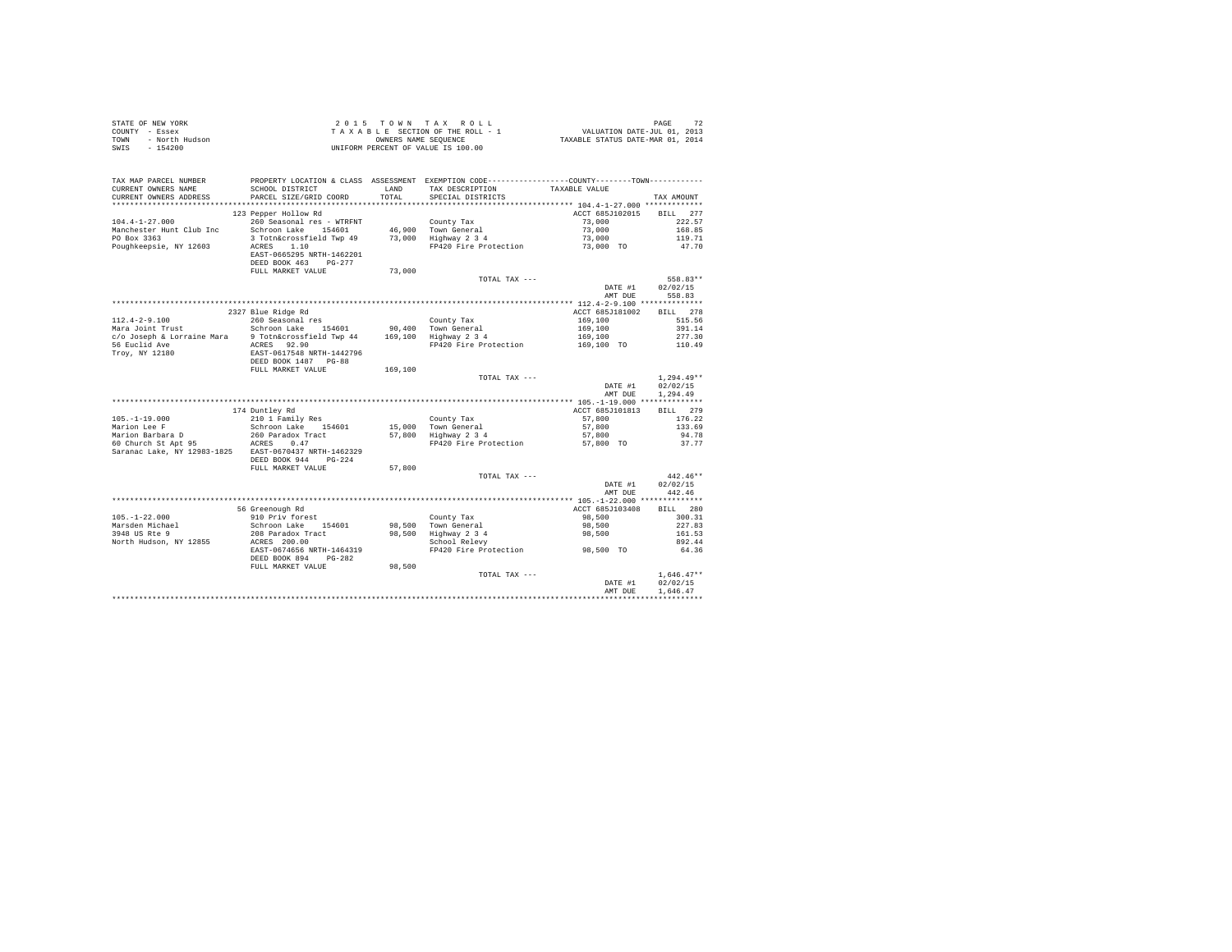| STATE OF NEW YORK<br>COUNTY - Essex<br>- North Hudson<br>TOWN<br>SWIS<br>$-154200$                     |                                           |               | 2015 TOWN TAX ROLL<br>UNIFORM PERCENT OF VALUE IS 100.00                                                                                             |                    | 72<br>PAGE         |
|--------------------------------------------------------------------------------------------------------|-------------------------------------------|---------------|------------------------------------------------------------------------------------------------------------------------------------------------------|--------------------|--------------------|
| TAX MAP PARCEL NUMBER<br>CURRENT OWNERS NAME<br>CURRENT OWNERS ADDRESS                                 | SCHOOL DISTRICT<br>PARCEL SIZE/GRID COORD | LAND<br>TOTAL | PROPERTY LOCATION & CLASS ASSESSMENT EXEMPTION CODE----------------COUNTY-------TOWN----------<br>TAX DESCRIPTION TAXABLE VALUE<br>SPECIAL DISTRICTS |                    | TAX AMOUNT         |
|                                                                                                        |                                           |               |                                                                                                                                                      |                    |                    |
|                                                                                                        | 123 Pepper Hollow Rd                      |               |                                                                                                                                                      | ACCT 685J102015    | BILL 277           |
| $104.4 - 1 - 27.000$                                                                                   | 260 Seasonal res - WTRFNT                 |               | County Tax                                                                                                                                           | 73,000             | 222.57             |
| Manchester Hunt Club Inc                                                                               | Schroon Lake 154601                       |               | 46,900 Town General                                                                                                                                  | 73,000             | 168.85             |
| PO Box 3363                                                                                            | 3 Totn&crossfield Twp 49                  |               | 73,000 Highway 2 3 4                                                                                                                                 | 73,000             | 119.71             |
| Poughkeepsie, NY 12603                                                                                 | ACRES 1.10                                |               | FP420 Fire Protection                                                                                                                                | 73,000 TO          | 47.70              |
|                                                                                                        | EAST-0665295 NRTH-1462201                 |               |                                                                                                                                                      |                    |                    |
|                                                                                                        | DEED BOOK 463 PG-277                      |               |                                                                                                                                                      |                    |                    |
|                                                                                                        | FULL MARKET VALUE                         | 73,000        |                                                                                                                                                      |                    |                    |
|                                                                                                        |                                           |               | TOTAL TAX ---                                                                                                                                        |                    | 558.83**           |
|                                                                                                        |                                           |               |                                                                                                                                                      | DATE #1<br>AMT DUE | 02/02/15<br>558.83 |
|                                                                                                        |                                           |               |                                                                                                                                                      |                    |                    |
|                                                                                                        | 2327 Blue Ridge Rd                        |               |                                                                                                                                                      | ACCT 685J181002    | BILL 278           |
| $112.4 - 2 - 9.100$                                                                                    | 260 Seasonal res                          |               | County Tax                                                                                                                                           | 169,100            | 515.56             |
|                                                                                                        |                                           |               |                                                                                                                                                      | 169,100            | 391.14             |
|                                                                                                        |                                           |               |                                                                                                                                                      | 169,100            | 277.30             |
|                                                                                                        | ACRES 92.90                               |               | FP420 Fire Protection 169,100 TO 110.49                                                                                                              |                    |                    |
| 56 Euclid Ave<br>Troy, NY 12180                                                                        | EAST-0617548 NRTH-1442796                 |               |                                                                                                                                                      |                    |                    |
|                                                                                                        | DEED BOOK 1487 PG-88                      |               |                                                                                                                                                      |                    |                    |
|                                                                                                        | FULL MARKET VALUE                         | 169,100       |                                                                                                                                                      |                    |                    |
|                                                                                                        |                                           |               | TOTAL TAX ---                                                                                                                                        |                    | $1.294.49**$       |
|                                                                                                        |                                           |               |                                                                                                                                                      | DATE #1            | 02/02/15           |
|                                                                                                        |                                           |               |                                                                                                                                                      | AMT DUE            | 1,294.49           |
|                                                                                                        | 174 Duntley Rd                            |               |                                                                                                                                                      | ACCT 685J101813    | BILL 279           |
| $105. - 1 - 19.000$                                                                                    | 210 1 Family Res                          |               | County Tax                                                                                                                                           | 57,800             | 176.22             |
| Marion Lee F                                                                                           | Schroon Lake 154601                       |               | 15,000 Town General                                                                                                                                  | 57,800             | 133.69             |
|                                                                                                        | 260 Paradox Tract                         |               | 15,000 Town General<br>57,800 Highway 2 3 4                                                                                                          | 57,800             | 94.78              |
| Marion Barbara D<br>60 Church St Apt 95<br>260 Paradox Tract<br>260 Paradox Tract<br>260 Paradox Tract |                                           |               | FP420 Fire Protection                                                                                                                                | 57,800 TO          | 37.77              |
| Saranac Lake, NY 12983-1825 EAST-0670437 NRTH-1462329                                                  |                                           |               |                                                                                                                                                      |                    |                    |
|                                                                                                        | DEED BOOK 944 PG-224                      |               |                                                                                                                                                      |                    |                    |
|                                                                                                        | FULL MARKET VALUE                         | 57,800        |                                                                                                                                                      |                    |                    |
|                                                                                                        |                                           |               | TOTAL TAX ---                                                                                                                                        |                    | $442.46**$         |
|                                                                                                        |                                           |               |                                                                                                                                                      | DATE #1            | 02/02/15           |
|                                                                                                        |                                           |               |                                                                                                                                                      | AMT DUE            | 442.46             |
|                                                                                                        |                                           |               |                                                                                                                                                      |                    |                    |
|                                                                                                        | 56 Greenough Rd                           |               |                                                                                                                                                      | ACCT 685J103408    | BILL 280           |
| $105. - 1 - 22.000$                                                                                    | 910 Priv forest                           |               | County Tax<br>98,500 Town General                                                                                                                    | 98,500             | 300.31<br>227.83   |
| Marsden Michael<br>3948 US Rte 9                                                                       | Schroon Lake 154601                       |               |                                                                                                                                                      | 98,500<br>98,500   | 161.53             |
| North Hudson, NY 12855                                                                                 | 208 Paradox Tract<br>ACRES 200.00         |               | 98,500 Highway 2 3 4<br>School Relevy                                                                                                                |                    | 892.44             |
|                                                                                                        | EAST-0674656 NRTH-1464319                 |               | FP420 Fire Protection                                                                                                                                | 98,500 TO          | 64.36              |
|                                                                                                        | DEED BOOK 894 PG-282                      |               |                                                                                                                                                      |                    |                    |
|                                                                                                        | FULL MARKET VALUE                         | 98,500        |                                                                                                                                                      |                    |                    |
|                                                                                                        |                                           |               | TOTAL TAX ---                                                                                                                                        |                    | $1.646.47**$       |
|                                                                                                        |                                           |               |                                                                                                                                                      | DATE #1            | 02/02/15           |
|                                                                                                        |                                           |               |                                                                                                                                                      | AMT DUE            | 1.646.47           |
|                                                                                                        |                                           |               |                                                                                                                                                      |                    |                    |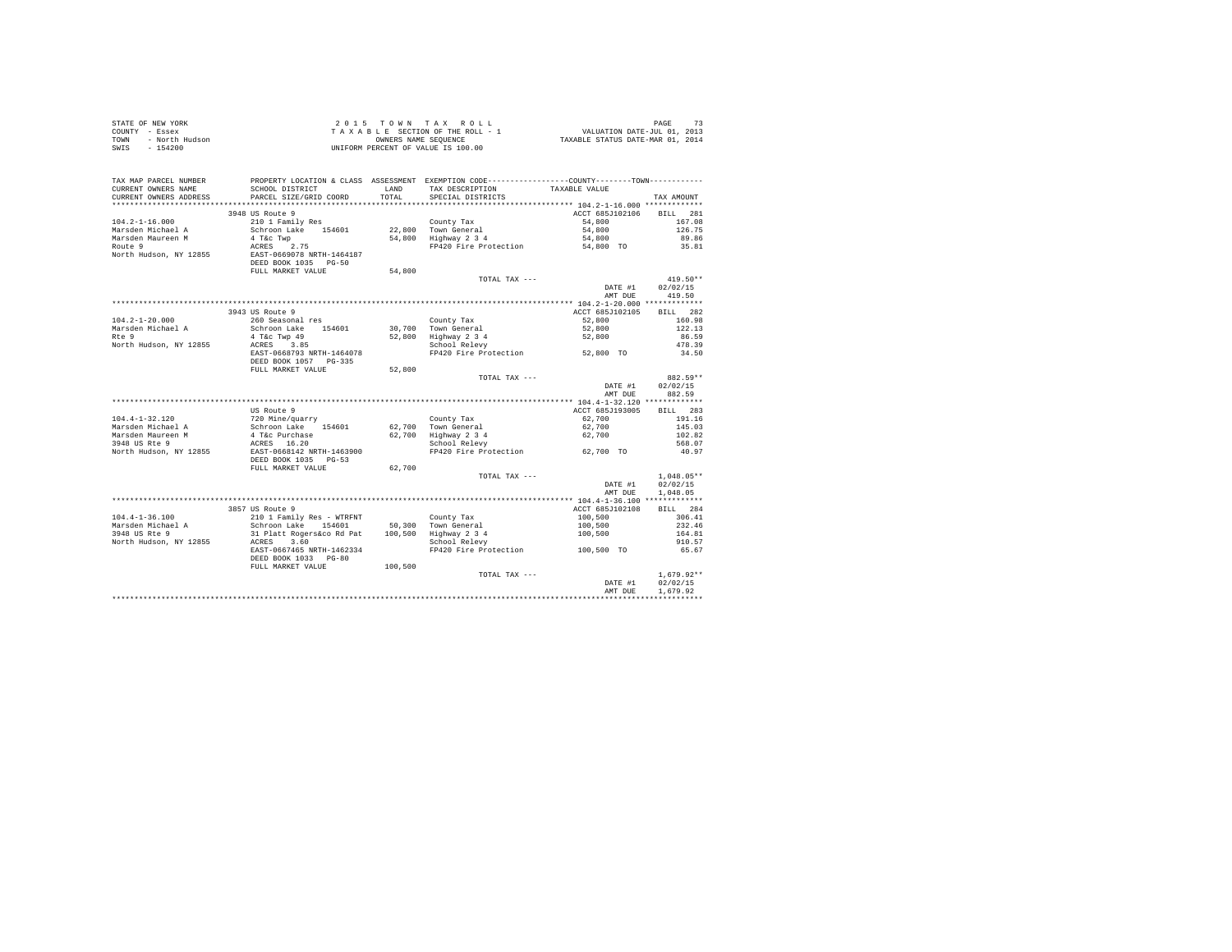| STATE OF NEW YORK |                | 2015 TOWN TAX ROLL                 | PAGE                             |
|-------------------|----------------|------------------------------------|----------------------------------|
| COUNTY - Essex    |                | TAXABLE SECTION OF THE ROLL - 1    | VALUATION DATE-JUL 01, 2013      |
| TOWN              | - North Hudson | OWNERS NAME SEOUENCE               | TAXABLE STATUS DATE-MAR 01, 2014 |
| SWIS - 154200     |                | UNIFORM PERCENT OF VALUE IS 100.00 |                                  |

| TAX MAP PARCEL NUMBER                         | PROPERTY LOCATION & CLASS ASSESSMENT EXEMPTION CODE----------------COUNTY-------TOWN---------- |                |                                      |                 |                      |
|-----------------------------------------------|------------------------------------------------------------------------------------------------|----------------|--------------------------------------|-----------------|----------------------|
| CURRENT OWNERS NAME<br>CURRENT OWNERS ADDRESS | SCHOOL DISTRICT<br>PARCEL SIZE/GRID COORD                                                      | LAND<br>TOTAL. | TAX DESCRIPTION<br>SPECIAL DISTRICTS | TAXABLE VALUE   | TAX AMOUNT           |
|                                               |                                                                                                |                |                                      |                 |                      |
|                                               | 3948 US Route 9                                                                                |                |                                      | ACCT 685J102106 | 281<br><b>BILL</b>   |
| $104.2 - 1 - 16.000$                          | 210 1 Family Res                                                                               |                | County Tax                           | 54,800          | 167.08               |
| Marsden Michael A                             | Schroon Lake 154601                                                                            |                | 22,800 Town General                  | 54,800          | 126.75               |
| Marsden Maureen M                             | 4 T&c Twp                                                                                      | 54,800         | Highway 2 3 4                        | 54,800          | 89.86                |
| Route 9                                       | ACRES<br>2.75                                                                                  |                | FP420 Fire Protection                | 54,800 TO       | 35.81                |
| North Hudson, NY 12855                        | EAST-0669078 NRTH-1464187<br>DEED BOOK 1035 PG-50<br>FULL MARKET VALUE                         | 54,800         |                                      |                 |                      |
|                                               |                                                                                                |                | TOTAL TAX ---                        |                 | 419.50**             |
|                                               |                                                                                                |                |                                      | DATE #1         | 02/02/15             |
|                                               |                                                                                                |                |                                      | AMT DUE         | 419.50               |
|                                               |                                                                                                |                |                                      |                 |                      |
|                                               | 3943 US Route 9                                                                                |                |                                      | ACCT 685J102105 | BILL 282             |
| $104.2 - 1 - 20.000$                          | 260 Seasonal res                                                                               |                | County Tax                           | 52,800          | 160.98               |
| Marsden Michael A                             | Schroon Lake 154601                                                                            |                | 30.700 Town General                  | 52,800          | 122.13               |
| Rte 9                                         | 4 T&c Twp 49                                                                                   | 52,800         | Highway 2 3 4                        | 52,800          | 86.59                |
| North Hudson, NY 12855                        | ACRES 3.85                                                                                     |                | School Relevy                        |                 | 478.39               |
|                                               | EAST-0668793 NRTH-1464078                                                                      |                | FP420 Fire Protection                | 52,800 TO       | 34.50                |
|                                               | DEED BOOK 1057 PG-335                                                                          |                |                                      |                 |                      |
|                                               | FULL MARKET VALUE                                                                              | 52,800         |                                      |                 |                      |
|                                               |                                                                                                |                | TOTAL TAX ---                        | DATE #1         | 882.59**<br>02/02/15 |
|                                               |                                                                                                |                |                                      | AMT DUE         | 882.59               |
|                                               |                                                                                                |                |                                      |                 |                      |
|                                               | US Route 9                                                                                     |                |                                      | ACCT 685J193005 | BTLL.<br>283         |
| $104.4 - 1 - 32.120$                          | 720 Mine/quarry                                                                                |                | County Tax                           | 62,700          | 191.16               |
| Marsden Michael A                             |                                                                                                |                | 62.700 Town General                  | 62,700          | 145.03               |
| Marsden Maureen M                             | Schroon Lake 154601<br>4 T&c Purchase                                                          |                | 62,700 Highway 2 3 4                 | 62,700          | 102.82               |
| 3948 US Rte 9                                 | ACRES 16.20                                                                                    |                | School Relevy                        |                 | 568.07               |
| North Hudson, NY 12855                        | EAST-0668142 NRTH-1463900                                                                      |                | FP420 Fire Protection 62,700 TO      |                 | 40.97                |
|                                               | DEED BOOK 1035 PG-53                                                                           |                |                                      |                 |                      |
|                                               | FULL MARKET VALUE                                                                              | 62,700         |                                      |                 |                      |
|                                               |                                                                                                |                | TOTAL TAX ---                        |                 | $1.048.05**$         |
|                                               |                                                                                                |                |                                      | DATE #1         | 02/02/15             |
|                                               |                                                                                                |                |                                      | AMT DUE         | 1,048.05             |
|                                               |                                                                                                |                |                                      |                 |                      |
|                                               | 3857 US Route 9                                                                                |                |                                      | ACCT 685J102108 | <b>BILL</b><br>284   |
| $104.4 - 1 - 36.100$                          | 210 1 Family Res - WTRFNT                                                                      |                | County Tax                           | 100,500         | 306.41               |
| Marsden Michael A                             | Schroon Lake 154601                                                                            |                | 50,300 Town General                  | 100,500         | 232.46               |
| 3948 US Rte 9                                 | 31 Platt Rogers&co Rd Pat                                                                      |                | 100,500 Highway 2 3 4                | 100,500         | 164.81               |
| North Hudson, NY 12855                        | 3.60<br>ACRES                                                                                  |                | School Relevy                        |                 | 910.57               |
|                                               | EAST-0667465 NRTH-1462334                                                                      |                | FP420 Fire Protection                | 100,500 TO      | 65.67                |
|                                               | DEED BOOK 1033 PG-80                                                                           |                |                                      |                 |                      |
|                                               | FULL MARKET VALUE                                                                              | 100,500        |                                      |                 |                      |
|                                               |                                                                                                |                | TOTAL TAX ---                        |                 | $1,679.92**$         |
|                                               |                                                                                                |                |                                      | DATE #1         | 02/02/15             |
|                                               |                                                                                                |                |                                      | AMT DUE         | 1,679.92             |
|                                               |                                                                                                |                |                                      |                 |                      |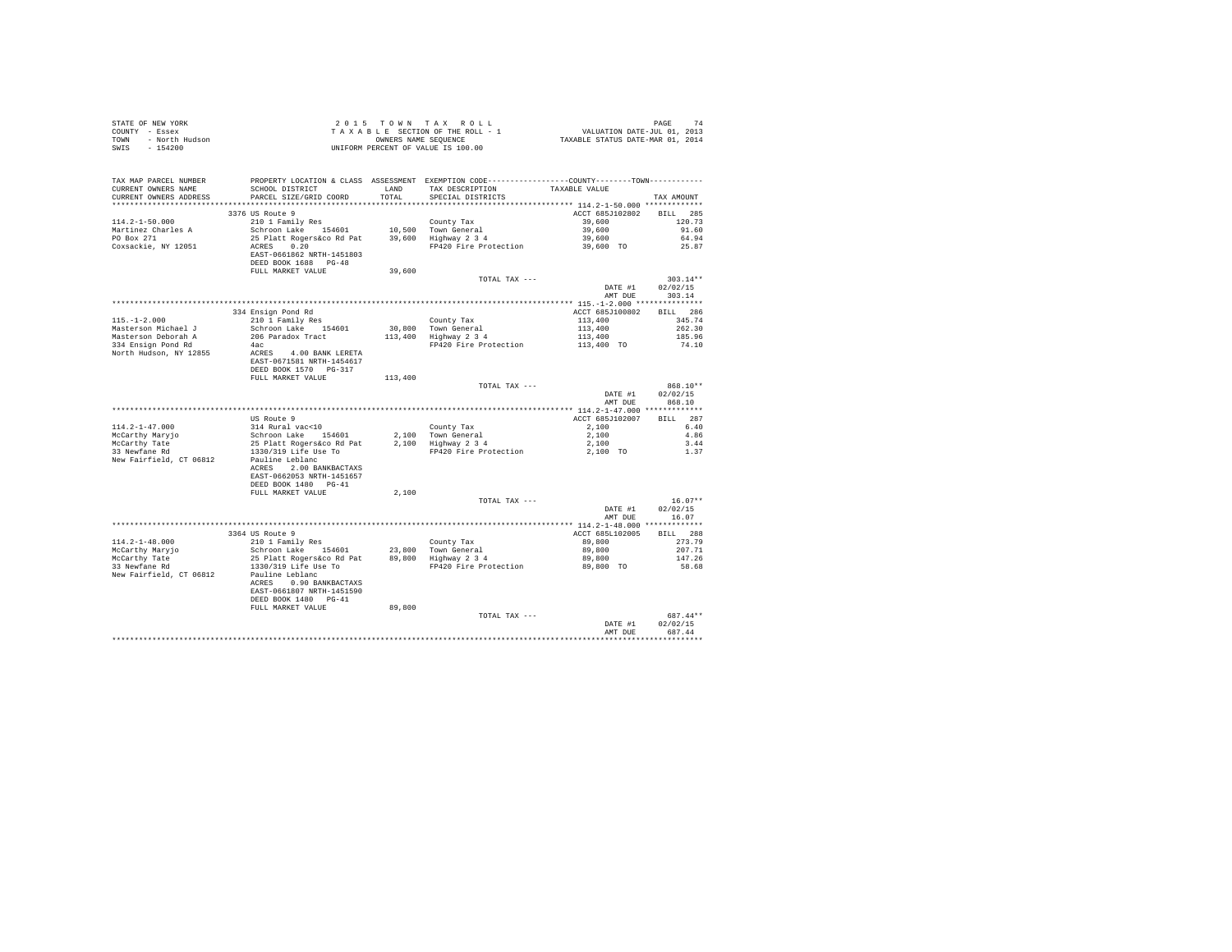| TAX MAP PARCEL NUMBER<br>CURRENT OWNERS NAME      | PROPERTY LOCATION & CLASS ASSESSMENT EXEMPTION CODE----------------COUNTY-------TOWN---------<br>SCHOOL DISTRICT                                                                              |         | LAND TAX DESCRIPTION TAXABLE VALUE |                            |                    |
|---------------------------------------------------|-----------------------------------------------------------------------------------------------------------------------------------------------------------------------------------------------|---------|------------------------------------|----------------------------|--------------------|
| CURRENT OWNERS ADDRESS                            | PARCEL SIZE/GRID COORD                                                                                                                                                                        | TOTAL   | SPECIAL DISTRICTS                  |                            | TAX AMOUNT         |
|                                                   |                                                                                                                                                                                               |         |                                    |                            |                    |
|                                                   | 3376 US Route 9                                                                                                                                                                               |         |                                    | ACCT 685J102802 BILL 285   |                    |
| $114.2 - 1 - 50.000$                              | 210 1 Family Res                                                                                                                                                                              |         | County Tax                         | 39,600                     | 120.73             |
|                                                   | Schroon Lake 154601 10,500 Town General<br>25 Platt Rogers&co Rd Pat 39,600 Highway 2 3 4                                                                                                     |         |                                    | 39,600<br>39,600           | 91.60              |
| Do Box 271<br>Coxsackie Music                     | ACRES 0.20                                                                                                                                                                                    |         | FP420 Fire Protection              | $39,600$ TO                | 64.94<br>25.87     |
|                                                   | EAST-0661862 NRTH-1451803                                                                                                                                                                     |         |                                    |                            |                    |
|                                                   | DEED BOOK 1688 PG-48                                                                                                                                                                          |         |                                    |                            |                    |
|                                                   | FULL MARKET VALUE                                                                                                                                                                             | 39,600  |                                    |                            |                    |
|                                                   |                                                                                                                                                                                               |         | TOTAL TAX ---                      |                            | $303.14**$         |
|                                                   |                                                                                                                                                                                               |         |                                    | DATE #1                    | 02/02/15           |
|                                                   |                                                                                                                                                                                               |         |                                    | AMT DUE                    | 303.14             |
|                                                   |                                                                                                                                                                                               |         |                                    |                            | BILL 286           |
| $115. - 1 - 2.000$                                | 334 Ensign Pond Rd<br>210 1 Family Res                                                                                                                                                        |         | County Tax                         | ACCT 685J100802<br>113,400 | 345.74             |
| Masterson Michael J                               |                                                                                                                                                                                               |         |                                    | 113,400                    | 262.30             |
| Masterson Deborah A                               | sivi ramily xes<br>Schroon Lake 154601 - 30,800 Town General<br>206 Paradox Tract - 113,400 Highway 2 3 4                                                                                     |         |                                    |                            | 185.96             |
| 334 Ensign Pond Rd                                | 4ac and 1990                                                                                                                                                                                  |         | FP420 Fire Protection              | 113,400<br>113,400 TO      | 74.10              |
| North Hudson, NY 12855                            | ACRES 4.00 BANK LERETA<br>EAST-0671581 NRTH-1454617<br>DEED BOOK 1570 PG-317                                                                                                                  |         |                                    |                            |                    |
|                                                   | FULL MARKET VALUE                                                                                                                                                                             | 113,400 |                                    |                            |                    |
|                                                   |                                                                                                                                                                                               |         | TOTAL TAX ---                      |                            | 868.10**           |
|                                                   |                                                                                                                                                                                               |         |                                    | DATE #1<br>AMT DUE         | 02/02/15<br>868.10 |
|                                                   |                                                                                                                                                                                               |         |                                    |                            |                    |
|                                                   | US Route 9                                                                                                                                                                                    |         |                                    | ACCT 685J102007            | BILL 287           |
| $114.2 - 1 - 47.000$                              |                                                                                                                                                                                               |         |                                    |                            | 6.40<br>4.86       |
|                                                   |                                                                                                                                                                                               |         |                                    |                            | 3.44               |
| McCarthy Maryjo<br>McCarthy Tate<br>33 Newfane Rd | 05 Note - 194601<br>2,100 County Tax - 2,100<br>2,100 County Tax - 2,100<br>2,100 25 Platt Rogers - 2,100 2,100 Highway 2 3 4<br>2,100 1330/319 Life Use To<br>PP420 Fire Protection 2,100 TO |         |                                    |                            | 1.37               |
| New Fairfield, CT 06812                           | Pauline Leblanc                                                                                                                                                                               |         |                                    |                            |                    |
|                                                   | ACRES 2.00 BANKBACTAXS<br>EAST-0662053 NRTH-1451657                                                                                                                                           |         |                                    |                            |                    |
|                                                   | DEED BOOK 1480 PG-41<br>FULL MARKET VALUE                                                                                                                                                     | 2,100   |                                    |                            |                    |
|                                                   |                                                                                                                                                                                               |         | TOTAL TAX ---                      |                            | $16.07**$          |
|                                                   |                                                                                                                                                                                               |         |                                    | DATE #1                    | 02/02/15           |
|                                                   |                                                                                                                                                                                               |         |                                    | AMT DUE                    | 16.07              |
|                                                   | 3364 US Route 9                                                                                                                                                                               |         |                                    | ACCT 685L102005            | BILL 288           |
| $114.2 - 1 - 48.000$                              | 3364 US ROUGE 9<br>210 1 Family Res<br>Schoron Lake 154601 23,800 Town General<br>25 Platt Rogers (co. Resp. 89,800 Highway 234<br>1330/319 Life Use To<br>PF420 Fire Protection              |         |                                    | 89,800                     | 273.79             |
|                                                   |                                                                                                                                                                                               |         |                                    |                            | 207.71             |
| McCarthy Maryjo<br>McCarthy Tate<br>33 Newfane Rd |                                                                                                                                                                                               |         |                                    | $89,800$<br>$89,800$       | 147.26             |
|                                                   |                                                                                                                                                                                               |         |                                    | 89,800 TO                  | 58.68              |
| New Fairfield, CT 06812                           | Pauline Leblanc<br>ACRES 0.90 BANKBACTAXS                                                                                                                                                     |         |                                    |                            |                    |
|                                                   | EAST-0661807 NRTH-1451590<br>DEED BOOK 1480 PG-41                                                                                                                                             |         |                                    |                            |                    |
|                                                   | FULL MARKET VALUE                                                                                                                                                                             | 89,800  |                                    |                            |                    |
|                                                   |                                                                                                                                                                                               |         | TOTAL TAX ---                      |                            | 687.44**           |
|                                                   |                                                                                                                                                                                               |         |                                    | DATE #1                    | 02/02/15           |
|                                                   |                                                                                                                                                                                               |         |                                    | AMT DUE                    | 687.44             |
|                                                   |                                                                                                                                                                                               |         |                                    |                            |                    |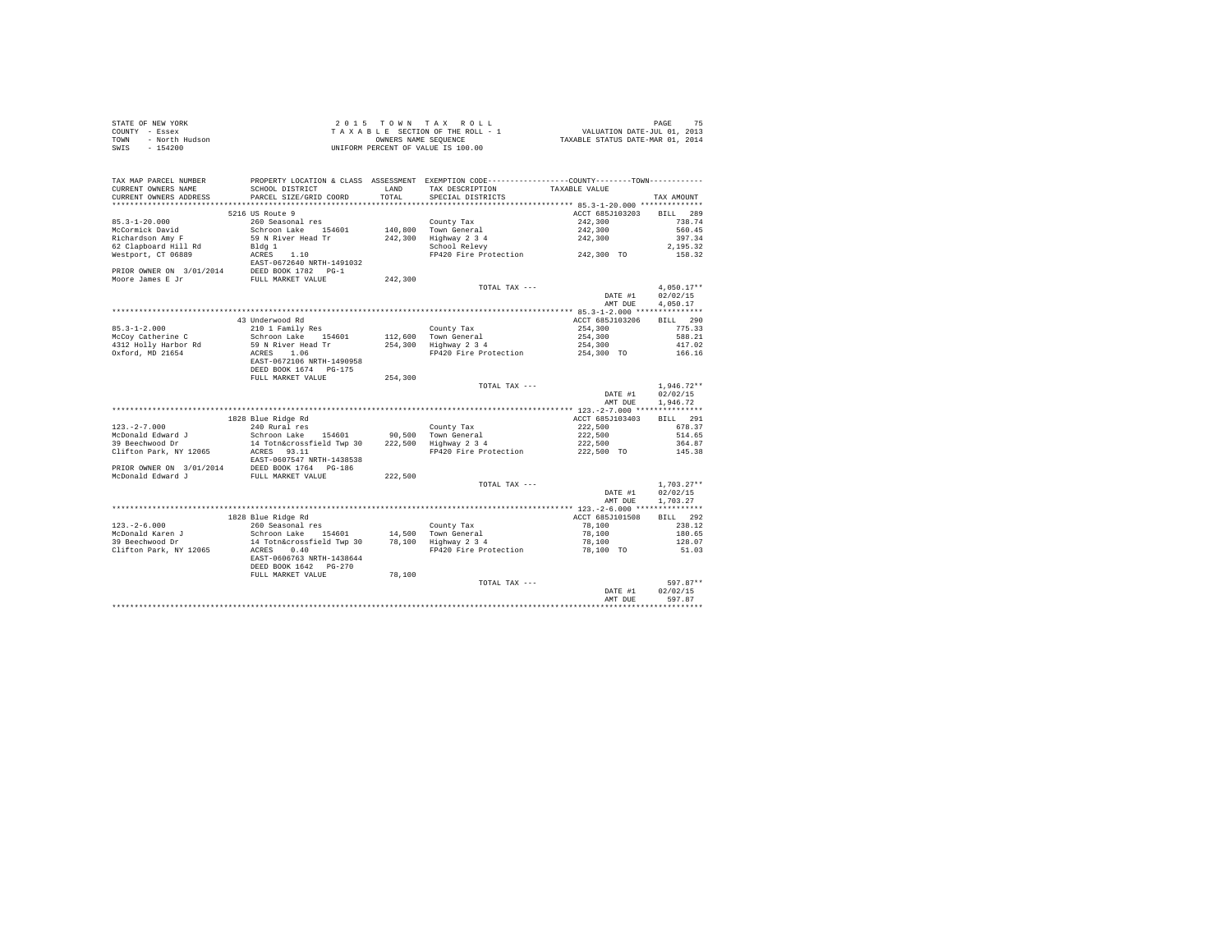| STATE OF NEW YORK      | 2015 TOWN TAX ROLL                 | 75<br>PAGE                       |
|------------------------|------------------------------------|----------------------------------|
| COUNTY - Essex         | TAXABLE SECTION OF THE ROLL - 1    | VALUATION DATE-JUL 01, 2013      |
| TOWN<br>- North Hudson | OWNERS NAME SEOUENCE               | TAXABLE STATUS DATE-MAR 01, 2014 |
| SWIS - 154200          | UNIFORM PERCENT OF VALUE IS 100.00 |                                  |

| TAX MAP PARCEL NUMBER<br>CURRENT OWNERS NAME<br>CURRENT OWNERS ADDRESS | SCHOOL DISTRICT<br>PARCEL SIZE/GRID COORD | LAND<br>TOTAL | PROPERTY LOCATION & CLASS ASSESSMENT EXEMPTION CODE----------------COUNTY-------TOWN----------<br>TAX DESCRIPTION<br>SPECIAL DISTRICTS | TAXABLE VALUE   | TAX AMOUNT         |
|------------------------------------------------------------------------|-------------------------------------------|---------------|----------------------------------------------------------------------------------------------------------------------------------------|-----------------|--------------------|
| ***********************                                                | *****************************             |               |                                                                                                                                        |                 |                    |
|                                                                        | 5216 US Route 9                           |               |                                                                                                                                        | ACCT 685J103203 | <b>BILL</b><br>289 |
| $85.3 - 1 - 20.000$                                                    | 260 Seasonal res                          |               | County Tax                                                                                                                             | 242,300         | 738.74             |
| McCormick David                                                        | Schroon Lake 154601                       |               | 140,800 Town General                                                                                                                   | 242,300         | 560.45             |
| Richardson Amy F                                                       | 59 N River Head Tr                        | 242,300       | Highway 2 3 4                                                                                                                          | 242,300         | 397.34             |
| 62 Clapboard Hill Rd                                                   | Bldq 1                                    |               | School Relevy                                                                                                                          |                 | 2.195.32           |
| Westport, CT 06889                                                     | 1.10<br>ACRES                             |               | FP420 Fire Protection                                                                                                                  | 242,300 TO      | 158.32             |
|                                                                        | EAST-0672640 NRTH-1491032                 |               |                                                                                                                                        |                 |                    |
| PRIOR OWNER ON 3/01/2014                                               | DEED BOOK 1782 PG-1                       |               |                                                                                                                                        |                 |                    |
| Moore James E Jr                                                       | FULL MARKET VALUE                         | 242.300       |                                                                                                                                        |                 |                    |
|                                                                        |                                           |               | TOTAL TAX ---                                                                                                                          |                 | $4,050.17**$       |
|                                                                        |                                           |               |                                                                                                                                        | DATE #1         | 02/02/15           |
|                                                                        |                                           |               |                                                                                                                                        | AMT DUE         | 4.050.17           |
|                                                                        |                                           |               |                                                                                                                                        |                 |                    |
|                                                                        | 43 Underwood Rd                           |               |                                                                                                                                        | ACCT 685J103206 | BILL 290           |
| $85.3 - 1 - 2.000$                                                     | 210 1 Family Res                          |               | County Tax                                                                                                                             | 254,300         | 775.33             |
| McCoy Catherine C                                                      | Schroon Lake 154601                       |               | 112,600 Town General                                                                                                                   | 254,300         | 588.21             |
| 4312 Holly Harbor Rd                                                   | 59 N River Head Tr                        | 254,300       | Highway 2 3 4                                                                                                                          | 254,300         | 417.02             |
| Oxford, MD 21654                                                       | ACRES 1.06                                |               | FP420 Fire Protection                                                                                                                  | 254,300 TO      | 166.16             |
|                                                                        | EAST-0672106 NRTH-1490958                 |               |                                                                                                                                        |                 |                    |
|                                                                        | DEED BOOK 1674 PG-175                     |               |                                                                                                                                        |                 |                    |
|                                                                        | FULL MARKET VALUE                         | 254,300       |                                                                                                                                        |                 |                    |
|                                                                        |                                           |               | TOTAL TAX ---                                                                                                                          |                 | $1.946.72**$       |
|                                                                        |                                           |               |                                                                                                                                        | DATE #1         | 02/02/15           |
|                                                                        |                                           |               |                                                                                                                                        | AMT DUE         | 1,946.72           |
|                                                                        |                                           |               |                                                                                                                                        |                 |                    |
|                                                                        | 1828 Blue Ridge Rd                        |               |                                                                                                                                        | ACCT 685J103403 | BILL 291           |
| $123. -2 - 7.000$                                                      | 240 Rural res                             |               | County Tax                                                                                                                             | 222,500         | 678.37             |
| McDonald Edward J                                                      | Schroon Lake 154601                       |               | 90.500 Town General                                                                                                                    | 222,500         | 514.65             |
| 39 Beechwood Dr                                                        | 14 Totn&crossfield Twp 30                 | 222,500       | Highway 2 3 4                                                                                                                          | 222,500         | 364.87             |
| Clifton Park, NY 12065                                                 | ACRES 93.11                               |               | FP420 Fire Protection                                                                                                                  | 222,500 TO      | 145.38             |
|                                                                        | EAST-0607547 NRTH-1438538                 |               |                                                                                                                                        |                 |                    |
| PRIOR OWNER ON 3/01/2014                                               | DEED BOOK 1764 PG-186                     |               |                                                                                                                                        |                 |                    |
| McDonald Edward J                                                      | FULL MARKET VALUE                         | 222.500       |                                                                                                                                        |                 |                    |
|                                                                        |                                           |               | TOTAL TAX ---                                                                                                                          |                 | $1.703.27**$       |
|                                                                        |                                           |               |                                                                                                                                        | DATE #1         | 02/02/15           |
|                                                                        |                                           |               |                                                                                                                                        | AMT DUE         | 1,703.27           |
|                                                                        |                                           |               |                                                                                                                                        |                 |                    |
|                                                                        | 1828 Blue Ridge Rd                        |               |                                                                                                                                        | ACCT 685J101508 | 292<br><b>BILL</b> |
| $123. - 2 - 6.000$                                                     | 260 Seasonal res                          |               | County Tax                                                                                                                             | 78,100          | 238.12             |
| McDonald Karen J<br>39 Beechwood Dr                                    | Schroon Lake 154601                       | 14,500        | Town General                                                                                                                           | 78,100          | 180.65             |
|                                                                        | 14 Totn&crossfield Twp 30<br>0.40         | 78,100        | Highway 2 3 4                                                                                                                          | 78,100          | 128.07             |
| Clifton Park, NY 12065                                                 | ACRES<br>EAST-0606763 NRTH-1438644        |               | FP420 Fire Protection                                                                                                                  | 78,100 TO       | 51.03              |
|                                                                        | DEED BOOK 1642 PG-270                     |               |                                                                                                                                        |                 |                    |
|                                                                        | FULL MARKET VALUE                         | 78,100        |                                                                                                                                        |                 |                    |
|                                                                        |                                           |               | TOTAL TAX ---                                                                                                                          |                 | $597.87**$         |
|                                                                        |                                           |               |                                                                                                                                        | DATE #1         | 02/02/15           |
|                                                                        |                                           |               |                                                                                                                                        | AMT DUE         | 597.87             |
|                                                                        |                                           |               |                                                                                                                                        |                 | .                  |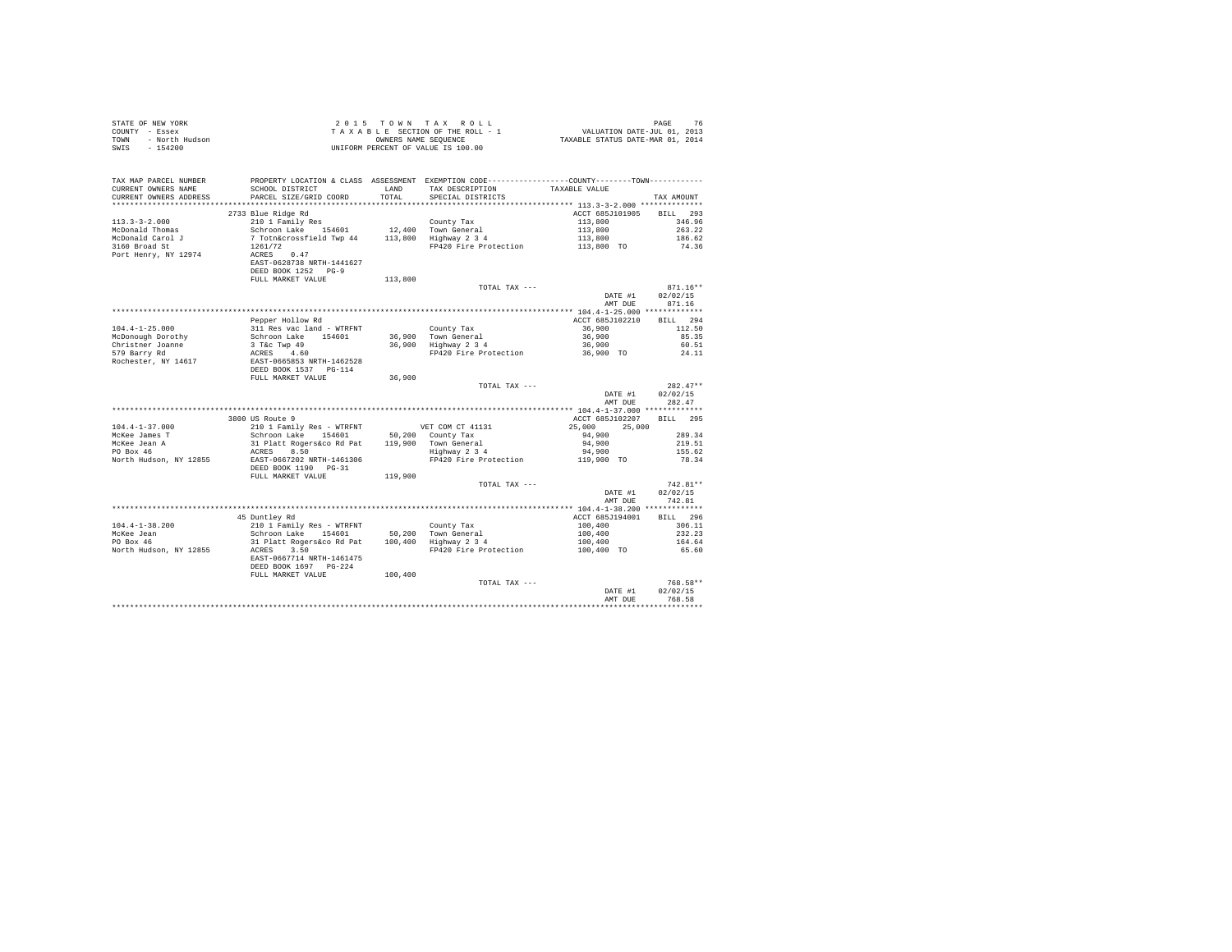| TAX MAP PARCEL NUMBER<br>CURRENT OWNERS NAME<br>CURRENT OWNERS ADDRESS | SCHOOL DISTRICT<br>PARCEL SIZE/GRID COORD                                                                                                                                            |         | PROPERTY LOCATION & CLASS ASSESSMENT EXEMPTION CODE---------------COUNTY-------TOWN---------                                                                                                              |                                                     | TAX AMOUNT                       |
|------------------------------------------------------------------------|--------------------------------------------------------------------------------------------------------------------------------------------------------------------------------------|---------|-----------------------------------------------------------------------------------------------------------------------------------------------------------------------------------------------------------|-----------------------------------------------------|----------------------------------|
|                                                                        |                                                                                                                                                                                      |         |                                                                                                                                                                                                           |                                                     |                                  |
| $113.3 - 3 - 2.000$                                                    | 2733 Blue Ridge Rd                                                                                                                                                                   |         |                                                                                                                                                                                                           | ACCT 685J101905 BILL 293<br>113,800                 | 346.96                           |
| McDonald Thomas                                                        |                                                                                                                                                                                      |         |                                                                                                                                                                                                           |                                                     | 263.22                           |
| McDonald Carol J                                                       |                                                                                                                                                                                      |         |                                                                                                                                                                                                           |                                                     | 186.62                           |
| 3160 Broad St                                                          |                                                                                                                                                                                      |         | 113,800<br>Highway 2 3 4<br>FP420 Fire Protection<br>113,800<br>113,800<br>113,800<br>113,800<br>113,800<br>113,800                                                                                       |                                                     | 74.36                            |
| Port Henry, NY 12974                                                   | EAST-0628738 NRTH-1441627<br>DEED BOOK 1252 PG-9                                                                                                                                     |         |                                                                                                                                                                                                           |                                                     |                                  |
|                                                                        | FULL MARKET VALUE                                                                                                                                                                    | 113,800 | TOTAL TAX ---                                                                                                                                                                                             |                                                     | $871.16**$                       |
|                                                                        |                                                                                                                                                                                      |         |                                                                                                                                                                                                           | DATE #1<br>AMT DUE                                  | 02/02/15<br>871.16               |
|                                                                        |                                                                                                                                                                                      |         |                                                                                                                                                                                                           |                                                     |                                  |
|                                                                        | Pepper Hollow Rd                                                                                                                                                                     |         |                                                                                                                                                                                                           | ACCT 685J102210                                     | BILL 294                         |
| $104.4 - 1 - 25.000$                                                   |                                                                                                                                                                                      |         |                                                                                                                                                                                                           | 36,900<br>36,900                                    | 112.50<br>85.35                  |
| McDonough Dorothy                                                      |                                                                                                                                                                                      |         |                                                                                                                                                                                                           | 36,900                                              | 60.51                            |
| Christner Joanne<br>579 Barry Rd                                       |                                                                                                                                                                                      |         |                                                                                                                                                                                                           | 36,900 TO                                           | 24.11                            |
| Rochester, NY 14617                                                    |                                                                                                                                                                                      |         | epper nouron and - WTRFNT<br>311 Res vac land - WTRFNT<br>50.000 Lake 154601 36,900 Town General<br>3 Tec Twp 49 36,900 Highway 2 3 4<br>ACRES 4.60<br>EAST-0665853 NRTH-1462528<br>DEED BOOK 1537 PG-114 |                                                     |                                  |
|                                                                        | FULL MARKET VALUE                                                                                                                                                                    | 36,900  |                                                                                                                                                                                                           |                                                     |                                  |
|                                                                        |                                                                                                                                                                                      |         | TOTAL TAX ---                                                                                                                                                                                             | DATE #1<br>AMT DUE                                  | $282.47**$<br>02/02/15<br>282.47 |
|                                                                        |                                                                                                                                                                                      |         |                                                                                                                                                                                                           |                                                     |                                  |
|                                                                        | 3800 US Route 9                                                                                                                                                                      |         |                                                                                                                                                                                                           | ACCT 685J102207                                     | BILL 295                         |
| $104.4 - 1 - 37.000$                                                   | 210 1 Family Res - WTRFNT<br>000 01 Australiy Res - WTRFNT VET COM CT 41131<br>Schroon Lake 154601 50,200 County Tax<br>31 Platt Rogers&co Rd Pat 119,900 Town General<br>ACRES 8.50 |         |                                                                                                                                                                                                           | 25,000 25,000                                       |                                  |
| McKee James T<br>McKee Jean A<br>PO Box 46                             |                                                                                                                                                                                      |         |                                                                                                                                                                                                           | 94,900                                              | 289.34                           |
|                                                                        |                                                                                                                                                                                      |         |                                                                                                                                                                                                           | 94,900<br>94,900                                    | 219.51<br>155.62                 |
| North Hudson, NY 12855                                                 | EAST-0667202 NRTH-1461306                                                                                                                                                            |         | FP420 Fire Protection                                                                                                                                                                                     | 119,900 TO                                          | 78.34                            |
|                                                                        | DEED BOOK 1190 PG-31<br>FULL MARKET VALUE                                                                                                                                            | 119,900 |                                                                                                                                                                                                           |                                                     |                                  |
|                                                                        |                                                                                                                                                                                      |         | TOTAL TAX ---                                                                                                                                                                                             |                                                     | $742.81**$                       |
|                                                                        |                                                                                                                                                                                      |         |                                                                                                                                                                                                           | DATE #1<br>AMT DUE                                  | 02/02/15<br>742.81               |
|                                                                        |                                                                                                                                                                                      |         |                                                                                                                                                                                                           |                                                     |                                  |
|                                                                        | 45 Duntley Rd                                                                                                                                                                        |         |                                                                                                                                                                                                           | ACCT 685J194001                                     | BILL 296<br>306.11               |
| $104.4 - 1 - 38.200$                                                   | 210 1 Family Res - WTRFNT<br>Schroon Lake 154601 50,200 Town General<br>31 Platt Rogers&co Rd Pat 100,400 Highway 2 3 4                                                              |         |                                                                                                                                                                                                           |                                                     | 232.23                           |
| McKee Jean<br>PO Box 46                                                |                                                                                                                                                                                      |         |                                                                                                                                                                                                           |                                                     | 164.64                           |
| North Hudson, NY 12855                                                 | ACRES 3.50                                                                                                                                                                           |         | FP420 Fire Protection                                                                                                                                                                                     | $100,400$<br>$100,400$<br>$100,400$<br>$100,400$ TO | 65.60                            |
|                                                                        | EAST-0667714 NRTH-1461475<br>DEED BOOK 1697 PG-224                                                                                                                                   |         |                                                                                                                                                                                                           |                                                     |                                  |
|                                                                        | FULL MARKET VALUE                                                                                                                                                                    | 100,400 |                                                                                                                                                                                                           |                                                     |                                  |
|                                                                        |                                                                                                                                                                                      |         | TOTAL TAX ---                                                                                                                                                                                             | DATE #1                                             | 768.58**<br>02/02/15             |
|                                                                        |                                                                                                                                                                                      |         |                                                                                                                                                                                                           | AMT DHE                                             | 768.58                           |
|                                                                        |                                                                                                                                                                                      |         |                                                                                                                                                                                                           |                                                     | **********                       |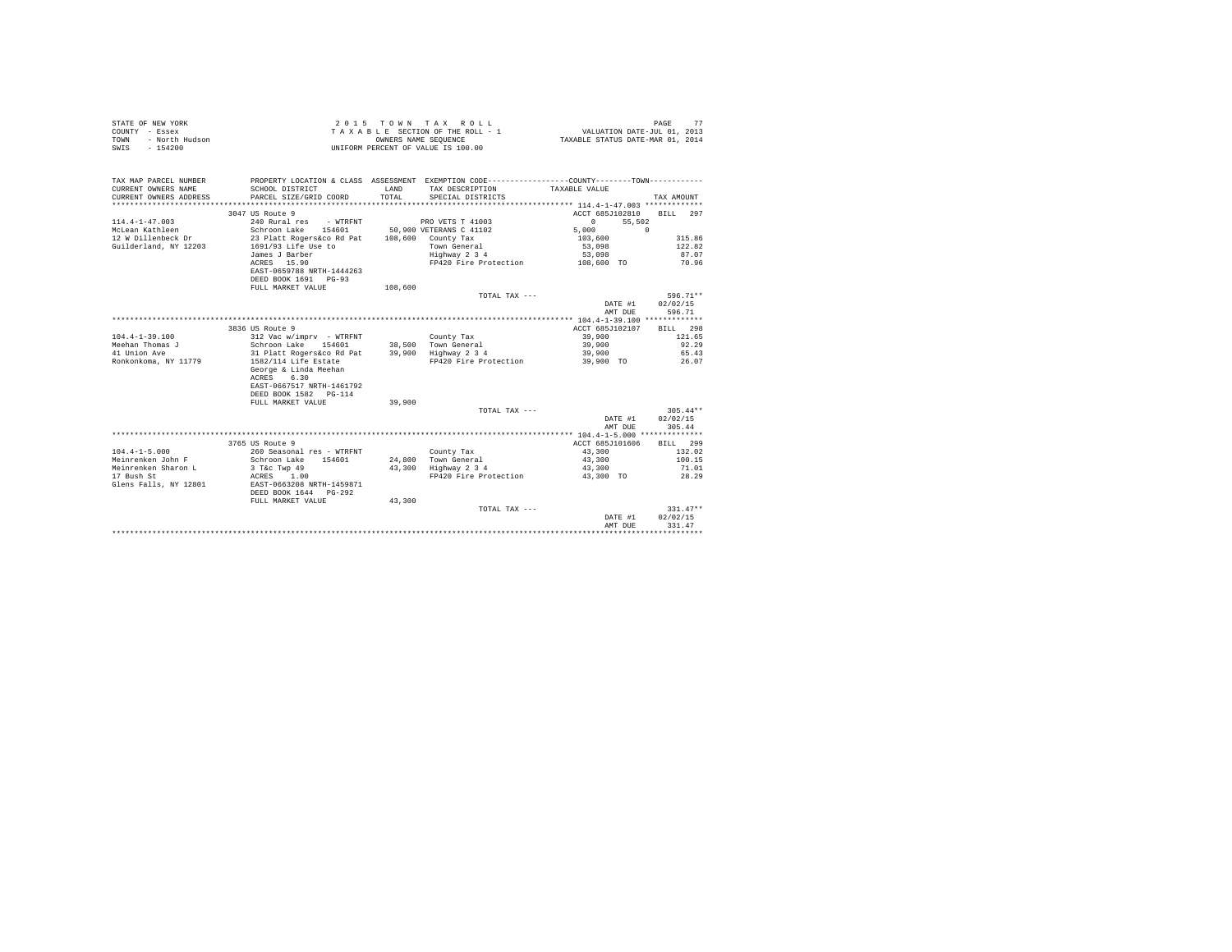| COUNTY - Essex<br>- North Hudson<br>TOWN<br>SWIS<br>$-154200$ |                                                                                                | OWNERS NAME SEQUENCE | TAXABLE SECTION OF THE ROLL - 1<br>UNIFORM PERCENT OF VALUE IS 100.00 | VALUATION DATE-JUL 01, 2013<br>TAXABLE STATUS DATE-MAR 01, 2014 |                 |
|---------------------------------------------------------------|------------------------------------------------------------------------------------------------|----------------------|-----------------------------------------------------------------------|-----------------------------------------------------------------|-----------------|
| TAX MAP PARCEL NUMBER                                         | PROPERTY LOCATION & CLASS ASSESSMENT EXEMPTION CODE----------------COUNTY-------TOWN---------- |                      |                                                                       |                                                                 |                 |
| CURRENT OWNERS NAME                                           | SCHOOL DISTRICT                                                                                | LAND                 | TAX DESCRIPTION                                                       | TAXABLE VALUE                                                   |                 |
| CURRENT OWNERS ADDRESS                                        | PARCEL SIZE/GRID COORD                                                                         | TOTAL                | SPECIAL DISTRICTS                                                     |                                                                 | TAX AMOUNT      |
|                                                               |                                                                                                |                      |                                                                       |                                                                 |                 |
|                                                               | 3047 US Route 9                                                                                |                      |                                                                       | ACCT 685J102810                                                 | BILL 297        |
| $114.4 - 1 - 47.003$<br>McLean Kathleen                       | 240 Rural res - WTRFNT<br>Schroon Lake 154601                                                  |                      | PRO VETS T 41003<br>50,900 VETERANS C 41102                           | $\Omega$<br>55,502<br>5,000                                     | $\Omega$        |
| 12 W Dillenbeck Dr                                            | 23 Platt Rogers&co Rd Pat 108,600 County Tax                                                   |                      |                                                                       | 103,600                                                         | 315.86          |
| Guilderland, NY 12203                                         | 1691/93 Life Use to                                                                            |                      | Town General                                                          | 53,098                                                          | 122.82          |
|                                                               | James J Barber                                                                                 |                      | Highway 2 3 4                                                         | 53,098                                                          | 87.07           |
|                                                               | ACRES 15.90                                                                                    |                      | FP420 Fire Protection                                                 | 108,600 TO                                                      | 70.96           |
|                                                               | EAST-0659788 NRTH-1444263                                                                      |                      |                                                                       |                                                                 |                 |
|                                                               | DEED BOOK 1691 PG-93                                                                           |                      |                                                                       |                                                                 |                 |
|                                                               | FULL MARKET VALUE                                                                              | 108,600              |                                                                       |                                                                 |                 |
|                                                               |                                                                                                |                      | TOTAL TAX ---                                                         |                                                                 | 596.71**        |
|                                                               |                                                                                                |                      |                                                                       | DATE #1                                                         | 02/02/15        |
|                                                               |                                                                                                |                      |                                                                       | AMT DUE                                                         | 596.71          |
|                                                               |                                                                                                |                      |                                                                       |                                                                 |                 |
|                                                               | 3836 US Route 9                                                                                |                      |                                                                       | ACCT 685J102107                                                 | BILL 298        |
| $104.4 - 1 - 39.100$                                          | 312 Vac w/imprv - WTRFNT                                                                       |                      | County Tax                                                            | 39,900                                                          | 121.65          |
| Meehan Thomas J<br>41 Union Ave                               | Schroon Lake 154601<br>31 Platt Rogers&co Rd Pat                                               |                      | 38.500 Town General                                                   | 39,900<br>39,900                                                | 92.29<br>65.43  |
| Ronkonkoma, NY 11779                                          | 1582/114 Life Estate                                                                           |                      | 39,900 Highway 2 3 4<br>FP420 Fire Protection                         | 39,900 TO                                                       | 26.07           |
|                                                               | George & Linda Meehan<br>ACRES 6.30<br>EAST-0667517 NRTH-1461792                               |                      |                                                                       |                                                                 |                 |
|                                                               | DEED BOOK 1582 PG-114                                                                          |                      |                                                                       |                                                                 |                 |
|                                                               | FULL MARKET VALUE                                                                              | 39,900               |                                                                       |                                                                 |                 |
|                                                               |                                                                                                |                      | TOTAL TAX ---                                                         |                                                                 | $305.44**$      |
|                                                               |                                                                                                |                      |                                                                       | DATE #1                                                         | 02/02/15        |
|                                                               |                                                                                                |                      |                                                                       | AMT DUE                                                         | 305.44          |
|                                                               |                                                                                                |                      |                                                                       |                                                                 |                 |
|                                                               | 3765 US Route 9                                                                                |                      |                                                                       | ACCT 685J101606                                                 | RTT.T. 299      |
| $104.4 - 1 - 5.000$                                           | 260 Seasonal res - WTRFNT                                                                      |                      | County Tax                                                            | 43,300                                                          | 132.02          |
| Meinrenken John F<br>Meinrenken Sharon L                      | Schroon Lake 154601                                                                            |                      | 24,800 Town General                                                   | 43,300                                                          | 100.15<br>71.01 |
| 17 Bush St                                                    | 3 T&c Twp 49<br>ACRES 1.00                                                                     |                      | 43,300 Highway 2 3 4<br>FP420 Fire Protection                         | 43,300<br>43,300 TO                                             | 28.29           |
| Glens Falls, NY 12801                                         | EAST-0663208 NRTH-1459871                                                                      |                      |                                                                       |                                                                 |                 |
|                                                               | DEED BOOK 1644 PG-292                                                                          |                      |                                                                       |                                                                 |                 |
|                                                               | FULL MARKET VALUE                                                                              | 43,300               |                                                                       |                                                                 |                 |
|                                                               |                                                                                                |                      | TOTAL TAX ---                                                         |                                                                 | $331.47**$      |
|                                                               |                                                                                                |                      |                                                                       | DATE #1                                                         | 02/02/15        |
|                                                               |                                                                                                |                      |                                                                       | AMT DUE                                                         | 331.47          |
|                                                               |                                                                                                |                      |                                                                       |                                                                 |                 |

STATE OF NEW YORK  $2015$  T O W N T A X R O L L PAGE 77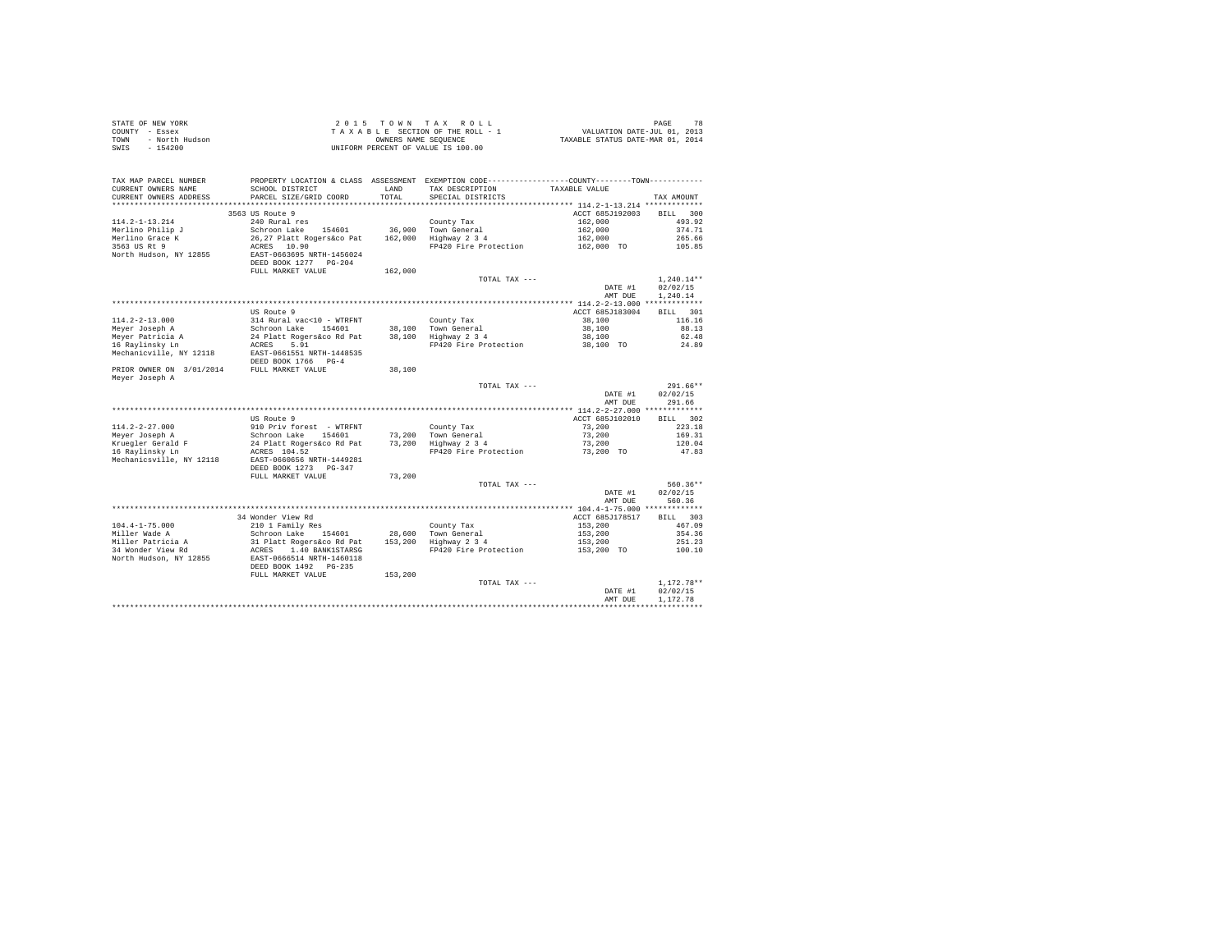| STATE OF NEW YORK      | $2.0.15$ TOWN TAX ROLL             | 78<br>PAGE                       |
|------------------------|------------------------------------|----------------------------------|
| COUNTY - Essex         | TAXABLE SECTION OF THE ROLL - 1    | VALUATION DATE-JUL 01, 2013      |
| TOWN<br>- North Hudson | OWNERS NAME SEOUENCE               | TAXABLE STATUS DATE-MAR 01, 2014 |
| SWIS - 154200          | UNIFORM PERCENT OF VALUE IS 100.00 |                                  |

| TAX MAP PARCEL NUMBER<br>CURRENT OWNERS NAME<br>CURRENT OWNERS ADDRESS | PROPERTY LOCATION & CLASS ASSESSMENT<br>SCHOOL DISTRICT<br>PARCEL SIZE/GRID COORD | LAND<br>TOTAL | EXEMPTION CODE-----------------COUNTY-------TOWN----------<br>TAX DESCRIPTION<br>SPECIAL DISTRICTS | TAXABLE VALUE                           | TAX AMOUNT                   |
|------------------------------------------------------------------------|-----------------------------------------------------------------------------------|---------------|----------------------------------------------------------------------------------------------------|-----------------------------------------|------------------------------|
| *******************                                                    | ************************                                                          | **********    |                                                                                                    |                                         |                              |
| $114.2 - 1 - 13.214$                                                   | 3563 US Route 9<br>240 Rural res                                                  |               | County Tax                                                                                         | ACCT 685J192003<br>162,000              | 300<br><b>BILL</b><br>493.92 |
| Merlino Philip J                                                       | Schroon Lake<br>154601                                                            | 36,900        | Town General                                                                                       | 162,000                                 | 374.71                       |
| Merlino Grace K                                                        | 26.27 Platt Rogers&co Pat                                                         | 162,000       | Highway 2 3 4                                                                                      | 162,000                                 | 265.66                       |
| 3563 US Rt 9                                                           | ACRES 10.90                                                                       |               | FP420 Fire Protection                                                                              | 162,000 TO                              | 105.85                       |
| North Hudson, NY 12855                                                 | EAST-0663695 NRTH-1456024<br>DEED BOOK 1277 PG-204<br>FULL MARKET VALUE           | 162,000       |                                                                                                    |                                         |                              |
|                                                                        |                                                                                   |               | TOTAL TAX ---                                                                                      |                                         | $1,240.14**$                 |
|                                                                        |                                                                                   |               |                                                                                                    | DATE #1                                 | 02/02/15                     |
|                                                                        |                                                                                   |               |                                                                                                    | AMT DUE                                 | 1.240.14                     |
|                                                                        |                                                                                   |               |                                                                                                    | ********** 114.2-2-13.000 ************* |                              |
|                                                                        | US Route 9                                                                        |               |                                                                                                    | ACCT 685J183004                         | <b>BILL</b><br>301           |
| $114.2 - 2 - 13.000$                                                   | 314 Rural vac<10 - WTRFNT                                                         |               | County Tax                                                                                         | 38,100                                  | 116.16                       |
| Mever Joseph A                                                         | Schroon Lake<br>154601                                                            | 38,100        | Town General                                                                                       | 38,100                                  | 88.13                        |
| Meyer Patricia A                                                       | 24 Platt Rogers&co Rd Pat                                                         | 38,100        | Highway 2 3 4                                                                                      | 38,100                                  | 62.48                        |
| 16 Raylinsky Ln                                                        | 5.91<br>ACRES                                                                     |               | FP420 Fire Protection                                                                              | 38,100 TO                               | 24.89                        |
| Mechanicville, NY 12118                                                | EAST-0661551 NRTH-1448535<br>DEED BOOK 1766 PG-4                                  |               |                                                                                                    |                                         |                              |
| PRIOR OWNER ON 3/01/2014<br>Meyer Joseph A                             | FULL MARKET VALUE                                                                 | 38,100        |                                                                                                    |                                         |                              |
|                                                                        |                                                                                   |               | TOTAL TAX ---                                                                                      |                                         | $291.66**$                   |
|                                                                        |                                                                                   |               |                                                                                                    | DATE #1                                 | 02/02/15                     |
|                                                                        |                                                                                   |               |                                                                                                    | AMT DUE                                 | 291.66                       |
|                                                                        |                                                                                   |               |                                                                                                    |                                         |                              |
|                                                                        | US Route 9                                                                        |               |                                                                                                    | ACCT 685J102010                         | 302<br><b>BILL</b>           |
| $114.2 - 2 - 27.000$                                                   | 910 Priv forest - WTRFNT                                                          |               | County Tax                                                                                         | 73,200                                  | 223.18                       |
| Meyer Joseph A                                                         | Schroon Lake<br>154601                                                            | 73,200        | Town General                                                                                       | 73,200                                  | 169.31                       |
| Kruegler Gerald F                                                      | 24 Platt Rogers&co Rd Pat                                                         | 73,200        | Highway 2 3 4                                                                                      | 73,200                                  | 120.04                       |
| 16 Raylinsky Ln<br>Mechanicsville, NY 12118                            | ACRES 104.52<br>EAST-0660656 NRTH-1449281<br>DEED BOOK 1273 PG-347                |               | FP420 Fire Protection                                                                              | 73,200 TO                               | 47.83                        |
|                                                                        | FULL MARKET VALUE                                                                 | 73,200        |                                                                                                    |                                         |                              |
|                                                                        |                                                                                   |               | TOTAL TAX ---                                                                                      |                                         | $560.36**$                   |
|                                                                        |                                                                                   |               |                                                                                                    | DATE #1<br>AMT DUE                      | 02/02/15<br>560.36           |
|                                                                        |                                                                                   |               |                                                                                                    |                                         |                              |
|                                                                        | 34 Wonder View Rd                                                                 |               |                                                                                                    | ACCT 685J178517                         | 303<br><b>BILL</b>           |
| $104.4 - 1 - 75.000$                                                   | 210 1 Family Res                                                                  |               | County Tax                                                                                         | 153,200                                 | 467.09                       |
| Miller Wade A                                                          | Schroon Lake<br>154601                                                            | 28,600        | Town General                                                                                       | 153,200                                 | 354.36                       |
| Miller Patricia A                                                      | 31 Platt Rogers&co Rd Pat                                                         | 153,200       | Highway 2 3 4                                                                                      | 153,200                                 | 251.23                       |
| 34 Wonder View Rd<br>North Hudson, NY 12855                            | 1.40 BANK1STARSG<br>ACRES<br>EAST-0666514 NRTH-1460118<br>DEED BOOK 1492 PG-235   |               | FP420 Fire Protection                                                                              | 153,200 TO                              | 100.10                       |
|                                                                        | FULL MARKET VALUE                                                                 | 153,200       |                                                                                                    |                                         |                              |
|                                                                        |                                                                                   |               | TOTAL TAX ---                                                                                      |                                         | $1,172.78**$                 |
|                                                                        |                                                                                   |               |                                                                                                    | DATE #1                                 | 02/02/15                     |
|                                                                        |                                                                                   |               |                                                                                                    | AMT DUE                                 | 1,172.78                     |
|                                                                        |                                                                                   |               |                                                                                                    |                                         |                              |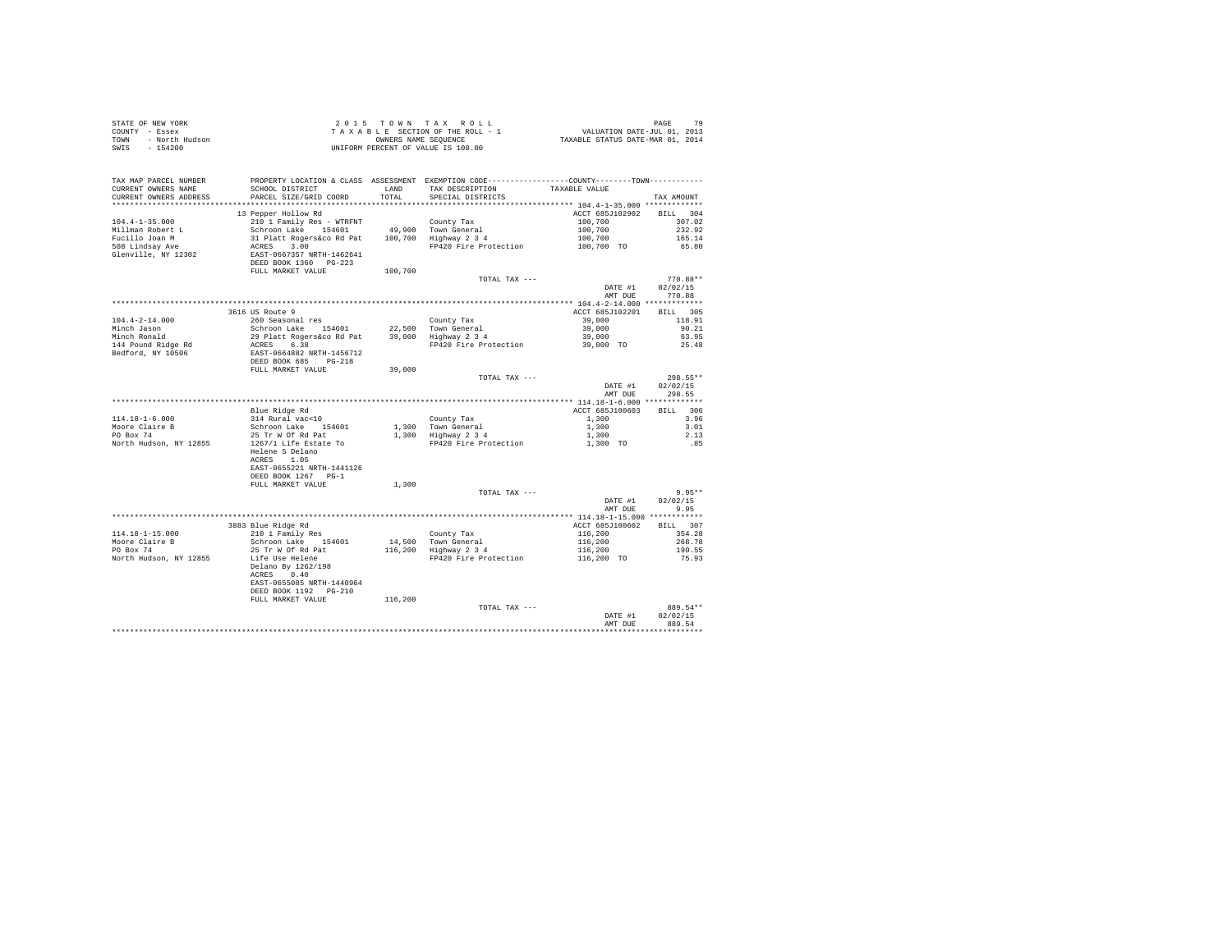| COUNTY - Essex<br>TOWN - North Hudson<br>SWIS<br>$-154200$ |                                                                                                                                                                                                                                                                                                                                                          |         | T A X A B L E SECTION OF THE ROLL - 1 WALUATION DATE-JUL 01, 2013<br>ONNERS NAME SEQUENCE COMPRESS TATUS DATE-MAR 01, 2014<br>INITEORM DEPOTENT OF VALUE IS 100.00<br>UNIFORM PERCENT OF VALUE IS 100.00            |                          |                    |
|------------------------------------------------------------|----------------------------------------------------------------------------------------------------------------------------------------------------------------------------------------------------------------------------------------------------------------------------------------------------------------------------------------------------------|---------|---------------------------------------------------------------------------------------------------------------------------------------------------------------------------------------------------------------------|--------------------------|--------------------|
|                                                            |                                                                                                                                                                                                                                                                                                                                                          |         |                                                                                                                                                                                                                     |                          |                    |
| TAX MAP PARCEL NUMBER                                      | PROPERTY LOCATION & CLASS ASSESSMENT EXEMPTION CODE---------------COUNTY-------TOWN----------                                                                                                                                                                                                                                                            |         |                                                                                                                                                                                                                     |                          |                    |
| CURRENT OWNERS NAME                                        | SCHOOL DISTRICT<br>LAND<br>TAX DESCRIPTION                                                                                                                                                                                                                                                                                                               |         |                                                                                                                                                                                                                     | TAXABLE VALUE            |                    |
| CURRENT OWNERS ADDRESS                                     | PARCEL SIZE/GRID COORD                                                                                                                                                                                                                                                                                                                                   | TOTAL   | SPECIAL DISTRICTS                                                                                                                                                                                                   |                          | TAX AMOUNT         |
|                                                            |                                                                                                                                                                                                                                                                                                                                                          |         |                                                                                                                                                                                                                     |                          |                    |
|                                                            | 13 Pepper Hollow Rd                                                                                                                                                                                                                                                                                                                                      |         |                                                                                                                                                                                                                     | ACCT 685J102902 BILL 304 |                    |
|                                                            |                                                                                                                                                                                                                                                                                                                                                          |         | County Tax                                                                                                                                                                                                          |                          |                    |
|                                                            |                                                                                                                                                                                                                                                                                                                                                          |         |                                                                                                                                                                                                                     |                          |                    |
|                                                            |                                                                                                                                                                                                                                                                                                                                                          |         |                                                                                                                                                                                                                     |                          |                    |
|                                                            |                                                                                                                                                                                                                                                                                                                                                          |         |                                                                                                                                                                                                                     |                          |                    |
|                                                            |                                                                                                                                                                                                                                                                                                                                                          |         |                                                                                                                                                                                                                     |                          |                    |
|                                                            |                                                                                                                                                                                                                                                                                                                                                          |         |                                                                                                                                                                                                                     |                          |                    |
|                                                            | FULL MARKET VALUE                                                                                                                                                                                                                                                                                                                                        | 100,700 |                                                                                                                                                                                                                     |                          |                    |
|                                                            |                                                                                                                                                                                                                                                                                                                                                          |         | TOTAL TAX ---                                                                                                                                                                                                       |                          | 770.88**           |
|                                                            |                                                                                                                                                                                                                                                                                                                                                          |         |                                                                                                                                                                                                                     | DATE #1                  | 02/02/15<br>770.88 |
|                                                            |                                                                                                                                                                                                                                                                                                                                                          |         |                                                                                                                                                                                                                     | AMT DUE                  |                    |
|                                                            | 3616 US Route 9                                                                                                                                                                                                                                                                                                                                          |         |                                                                                                                                                                                                                     | ACCT 685J102201          | BILL 305           |
|                                                            |                                                                                                                                                                                                                                                                                                                                                          |         |                                                                                                                                                                                                                     |                          | 118.91             |
|                                                            |                                                                                                                                                                                                                                                                                                                                                          |         |                                                                                                                                                                                                                     |                          | 90.21              |
|                                                            |                                                                                                                                                                                                                                                                                                                                                          |         |                                                                                                                                                                                                                     |                          | 63.95              |
|                                                            |                                                                                                                                                                                                                                                                                                                                                          |         |                                                                                                                                                                                                                     |                          | 25.48              |
|                                                            |                                                                                                                                                                                                                                                                                                                                                          |         |                                                                                                                                                                                                                     |                          |                    |
|                                                            |                                                                                                                                                                                                                                                                                                                                                          |         |                                                                                                                                                                                                                     |                          |                    |
|                                                            |                                                                                                                                                                                                                                                                                                                                                          |         |                                                                                                                                                                                                                     |                          |                    |
|                                                            |                                                                                                                                                                                                                                                                                                                                                          |         | TOTAL TAX ---                                                                                                                                                                                                       |                          | 298.55**           |
|                                                            |                                                                                                                                                                                                                                                                                                                                                          |         |                                                                                                                                                                                                                     |                          | DATE #1 02/02/15   |
|                                                            |                                                                                                                                                                                                                                                                                                                                                          |         |                                                                                                                                                                                                                     |                          | AMT DUE 298.55     |
|                                                            |                                                                                                                                                                                                                                                                                                                                                          |         |                                                                                                                                                                                                                     |                          |                    |
|                                                            | $[14.18-1-6.000 \qquad \qquad {\rm Blue\ Ridge\ Rd} \\ {\tt Moore\ Claire\ B} \qquad \qquad 314\ {\tt Rural\ vac\ 10} \\ {\tt POP\ Box\ 74} \qquad \qquad 25\ {\tt Tr\ W\ of\ Rd} \\ {\tt North\ Rudson,\ NY\ 12855} \qquad \qquad 25\ {\tt Tr\ W\ of\ Rd} \\ {\tt North\ Hadson,\ NY\ 12855} \qquad \qquad 1267/1\ {\tt Life\ Each\ re} \\ \end{split}$ |         |                                                                                                                                                                                                                     | ACCT 685J100603          | BILL 306           |
|                                                            |                                                                                                                                                                                                                                                                                                                                                          |         |                                                                                                                                                                                                                     |                          | 3.96               |
|                                                            |                                                                                                                                                                                                                                                                                                                                                          |         | $\begin{tabular}{lllllllllll} & & & & & & & & 1,300 \\ 1,300 & \text{Tom General} & & & & 1,300 \\ 1,300 & \text{Highward} & 3 & 4 & & 1,300 \\ \text{Fp420 Frie Protection} & & & 1,300 & \text{TO} \end{tabular}$ |                          | 3.01<br>2.13       |
|                                                            |                                                                                                                                                                                                                                                                                                                                                          |         |                                                                                                                                                                                                                     |                          | .85                |
|                                                            | Helene S Delano                                                                                                                                                                                                                                                                                                                                          |         |                                                                                                                                                                                                                     |                          |                    |
|                                                            | ACRES 1.05                                                                                                                                                                                                                                                                                                                                               |         |                                                                                                                                                                                                                     |                          |                    |
|                                                            | EAST-0655221 NRTH-1441126                                                                                                                                                                                                                                                                                                                                |         |                                                                                                                                                                                                                     |                          |                    |
|                                                            | DEED BOOK 1267 PG-1                                                                                                                                                                                                                                                                                                                                      |         |                                                                                                                                                                                                                     |                          |                    |
|                                                            | FULL MARKET VALUE                                                                                                                                                                                                                                                                                                                                        | 1,300   |                                                                                                                                                                                                                     |                          |                    |
|                                                            |                                                                                                                                                                                                                                                                                                                                                          |         | TOTAL TAX ---                                                                                                                                                                                                       |                          | $9.95**$           |
|                                                            |                                                                                                                                                                                                                                                                                                                                                          |         |                                                                                                                                                                                                                     | DATE #1                  | 02/02/15           |
|                                                            |                                                                                                                                                                                                                                                                                                                                                          |         |                                                                                                                                                                                                                     |                          | AMT DUE 9.95       |
|                                                            |                                                                                                                                                                                                                                                                                                                                                          |         |                                                                                                                                                                                                                     |                          |                    |
|                                                            | 3883 Blue Ridge Rd<br>210 1 Family Res<br>Schroon Lake 154601<br>25 Tr W Of Rd Pat                                                                                                                                                                                                                                                                       |         |                                                                                                                                                                                                                     |                          |                    |
| 114.18-1-15.000                                            |                                                                                                                                                                                                                                                                                                                                                          |         |                                                                                                                                                                                                                     |                          |                    |
| Moore Claire B<br>PO Box 74                                |                                                                                                                                                                                                                                                                                                                                                          |         |                                                                                                                                                                                                                     |                          |                    |
| North Hudson, NY 12855 Life Use Helene                     |                                                                                                                                                                                                                                                                                                                                                          |         |                                                                                                                                                                                                                     |                          |                    |
|                                                            |                                                                                                                                                                                                                                                                                                                                                          |         |                                                                                                                                                                                                                     |                          |                    |
|                                                            | Delano By 1262/198<br>ACRES 0.40                                                                                                                                                                                                                                                                                                                         |         |                                                                                                                                                                                                                     |                          |                    |
|                                                            | EAST-0655085 NRTH-1440964                                                                                                                                                                                                                                                                                                                                |         |                                                                                                                                                                                                                     |                          |                    |
|                                                            |                                                                                                                                                                                                                                                                                                                                                          |         |                                                                                                                                                                                                                     |                          |                    |
|                                                            | FULL MARKET VALUE                                                                                                                                                                                                                                                                                                                                        | 116,200 |                                                                                                                                                                                                                     |                          |                    |
|                                                            |                                                                                                                                                                                                                                                                                                                                                          |         | TOTAL TAX ---                                                                                                                                                                                                       |                          | 889.54**           |
|                                                            |                                                                                                                                                                                                                                                                                                                                                          |         |                                                                                                                                                                                                                     | DATE #1                  | 02/02/15           |
|                                                            |                                                                                                                                                                                                                                                                                                                                                          |         |                                                                                                                                                                                                                     | AMT DUE                  | 889.54             |
|                                                            |                                                                                                                                                                                                                                                                                                                                                          |         |                                                                                                                                                                                                                     |                          |                    |

STATE OF NEW YORK 2 0 15 TOWN TAX ROLL STATE OF NEW YORK 79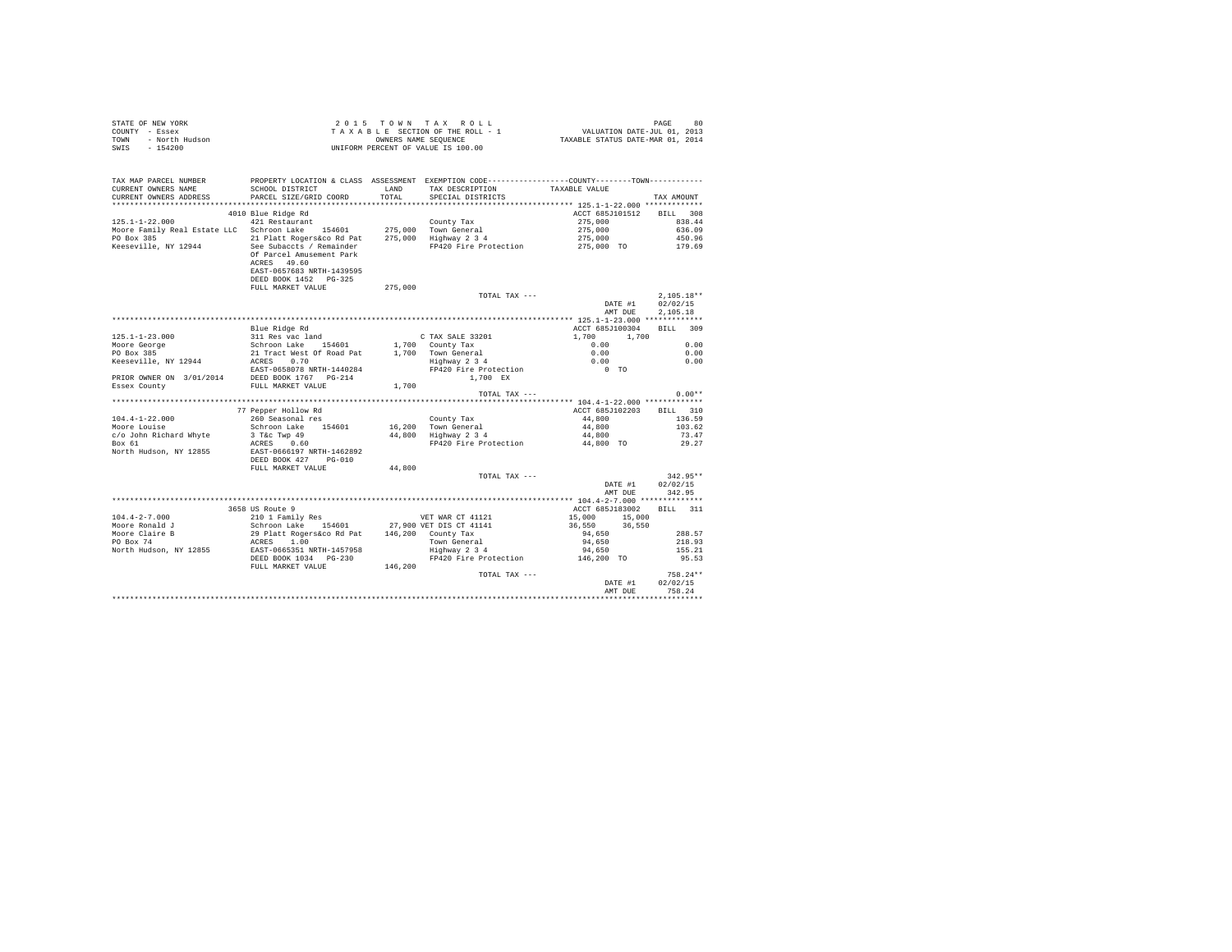| STATE OF NEW YORK      | 2015 TOWN TAX ROLL                 | 80<br>PAGE                       |
|------------------------|------------------------------------|----------------------------------|
| COUNTY - Essex         | TAXABLE SECTION OF THE ROLL - 1    | VALUATION DATE-JUL 01, 2013      |
| TOWN<br>- North Hudson | OWNERS NAME SEOUENCE               | TAXABLE STATUS DATE-MAR 01, 2014 |
| $-154200$<br>SWIS      | UNIFORM PERCENT OF VALUE IS 100.00 |                                  |

| TAX MAP PARCEL NUMBER<br>CURRENT OWNERS NAME<br>CURRENT OWNERS ADDRESS   | PROPERTY LOCATION & CLASS ASSESSMENT EXEMPTION CODE----------------COUNTY-------TOWN----------<br>SCHOOL DISTRICT<br>PARCEL SIZE/GRID COORD | LAND<br>TOTAL | TAX DESCRIPTION<br>SPECIAL DISTRICTS        | TAXABLE VALUE                         | TAX AMOUNT                   |
|--------------------------------------------------------------------------|---------------------------------------------------------------------------------------------------------------------------------------------|---------------|---------------------------------------------|---------------------------------------|------------------------------|
|                                                                          |                                                                                                                                             |               |                                             |                                       |                              |
| $125.1 - 1 - 22.000$<br>Moore Family Real Estate LLC Schroon Lake 154601 | 4010 Blue Ridge Rd<br>421 Restaurant                                                                                                        |               | County Tax<br>275,000 Town General          | ACCT 685J101512<br>275,000<br>275,000 | BILL 308<br>838.44<br>636.09 |
| PO Box 385<br>Keeseville, NY 12944                                       | 21 Platt Rogers&co Rd Pat 275,000 Highway 2 3 4<br>See Subaccts / Remainder PP420 Fire Protection                                           |               | FP420 Fire Protection                       | 275,000<br>275,000 TO                 | 450.96<br>179.69             |
|                                                                          | Of Parcel Amusement Park<br>ACRES 49.60<br>EAST-0657683 NRTH-1439595<br>DEED BOOK 1452 PG-325<br>FULL MARKET VALUE                          | 275,000       |                                             |                                       |                              |
|                                                                          |                                                                                                                                             |               | TOTAL TAX ---                               |                                       | $2.105.18**$                 |
|                                                                          |                                                                                                                                             |               |                                             | DATE #1                               | 02/02/15                     |
|                                                                          |                                                                                                                                             |               |                                             | AMT DUE                               | 2.105.18                     |
|                                                                          |                                                                                                                                             |               |                                             |                                       |                              |
|                                                                          | Blue Ridge Rd                                                                                                                               |               |                                             | ACCT 685J100304                       | BILL 309                     |
|                                                                          |                                                                                                                                             |               | C TAX SALE 33201                            | 1,700 1,700                           |                              |
|                                                                          |                                                                                                                                             |               | 1,700 County Tax                            | 0.00                                  | 0.00                         |
|                                                                          |                                                                                                                                             |               | 1,700 Town General<br>Highway 2 3 4         | $0.00$<br>$0.00$                      | 0.00                         |
|                                                                          |                                                                                                                                             |               |                                             |                                       | 0.00                         |
|                                                                          |                                                                                                                                             |               | FP420 Fire Protection                       | $0$ TO                                |                              |
|                                                                          |                                                                                                                                             |               | 1,700 EX                                    |                                       |                              |
|                                                                          |                                                                                                                                             | 1,700         |                                             |                                       |                              |
|                                                                          |                                                                                                                                             |               | TOTAL TAX ---                               |                                       | $0.00**$                     |
|                                                                          |                                                                                                                                             |               |                                             |                                       |                              |
|                                                                          | 77 Pepper Hollow Rd                                                                                                                         |               |                                             | ACCT 685J102203                       | BILL 310                     |
| $104.4 - 1 - 22.000$                                                     | 260 Seasonal res                                                                                                                            |               | County Tax                                  | 44,800                                | 136.59                       |
| Moore Louise                                                             |                                                                                                                                             |               | 16,200 Town General<br>44,800 Highway 2 3 4 | 44,800                                | 103.62                       |
| c/o John Richard Whyte                                                   | Schroon Lake 154601<br>3 T&c Twp 49<br>ACRES 0.60                                                                                           |               |                                             | 44,800                                | 73.47                        |
| Box 61                                                                   |                                                                                                                                             |               | FP420 Fire Protection                       | 44,800 TO                             | 29.27                        |
| North Hudson, NY 12855                                                   | EAST-0666197 NRTH-1462892<br>DEED BOOK 427 PG-010                                                                                           |               |                                             |                                       |                              |
|                                                                          | FULL MARKET VALUE                                                                                                                           | 44,800        |                                             |                                       | $342.95**$                   |
|                                                                          |                                                                                                                                             |               | TOTAL TAX ---                               |                                       |                              |
|                                                                          |                                                                                                                                             |               |                                             | DATE #1<br>AMT DUE                    | 02/02/15<br>342.95           |
|                                                                          |                                                                                                                                             |               |                                             |                                       |                              |
|                                                                          | 3658 US Route 9                                                                                                                             |               |                                             | ACCT 685J183002                       | BILL 311                     |
| $104.4 - 2 - 7.000$                                                      | 210 1 Family Res                                                                                                                            |               | VET WAR CT 41121                            | 15,000 15,000                         |                              |
| Moore Ronald J                                                           |                                                                                                                                             |               | 27,900 VET DIS CT 41141                     | 36,550 36,550                         |                              |
| Moore Claire B                                                           | Schroon Lake 154601<br>29 Platt Rogers&co Rd Pat<br>ACRES 1.00<br>EAST-0665351 NRTH-1457958                                                 |               | 146,200 County Tax                          | 94,650                                | 288.57                       |
|                                                                          |                                                                                                                                             |               |                                             | 94,650                                | 218.93                       |
| North Hudson, NY 12855                                                   |                                                                                                                                             |               | Town General<br>Highway 2 3 4               | 94,650                                | 155.21                       |
|                                                                          |                                                                                                                                             |               | FP420 Fire Protection 146,200 TO            |                                       | 95.53                        |
|                                                                          |                                                                                                                                             |               |                                             |                                       |                              |
|                                                                          | DEED BOOK 1034 PG-230                                                                                                                       |               |                                             |                                       |                              |
|                                                                          | FULL MARKET VALUE                                                                                                                           | 146,200       |                                             |                                       |                              |
|                                                                          |                                                                                                                                             |               | TOTAL TAX ---                               |                                       | $758.24**$                   |
|                                                                          |                                                                                                                                             |               |                                             | DATE #1<br>AMT DUE                    | 02/02/15<br>758.24           |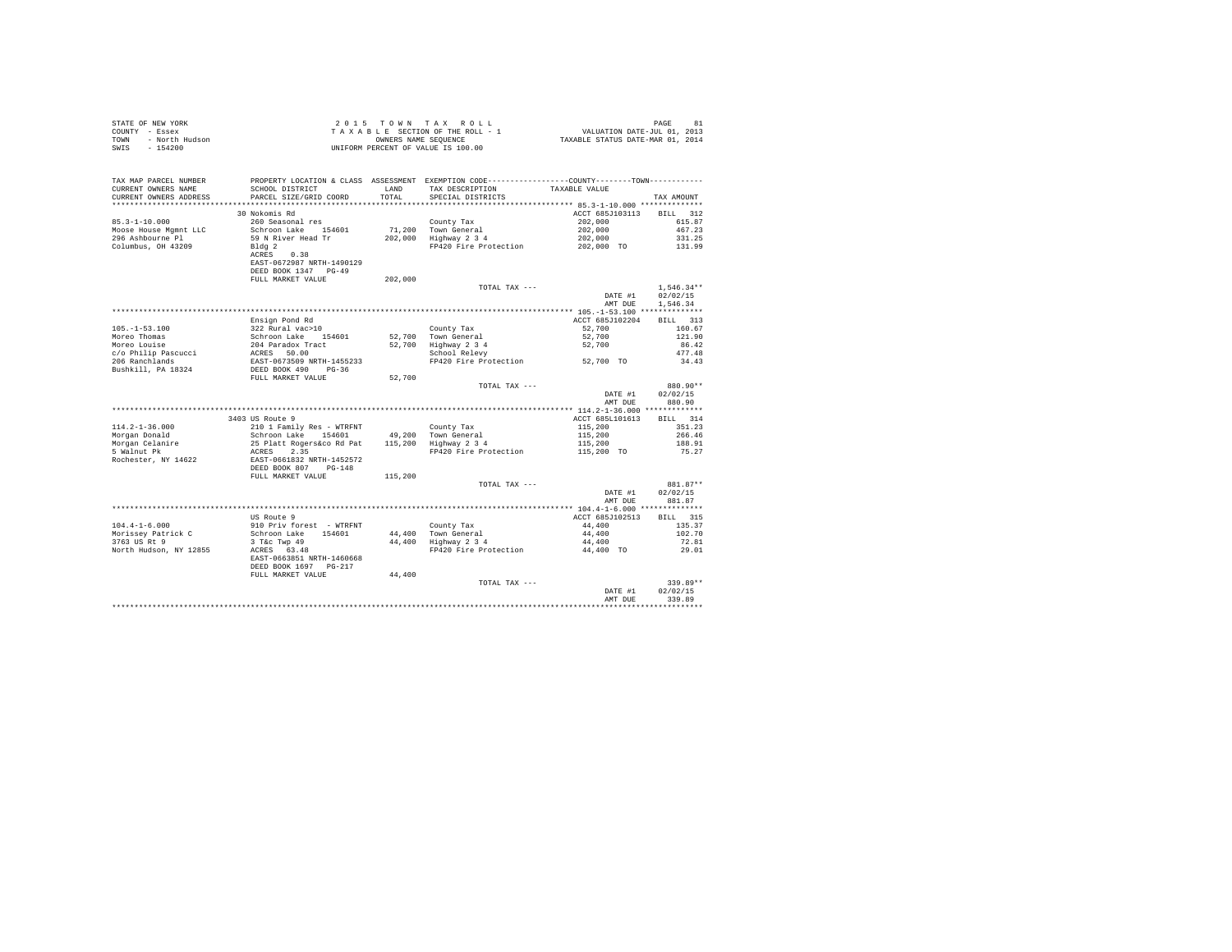| STATE OF NEW YORK<br>COUNTY - Essex<br>TOWN - North Hudson<br>SWIS - 154200 |                                                                                                                                    |               | 2015 TOWN TAX ROLL<br>TAXABLE SECTION OF THE ROLL - 1<br>OWNERS NAME SEQUENCE<br>UNIFORM PERCENT OF VALUE IS 100.00                                | PAGE 81<br>VALUATION DATE-JUL 01, 2013<br>TAXABLE STATUS DATE-MAR 01, 2014 | PAGE<br>81               |
|-----------------------------------------------------------------------------|------------------------------------------------------------------------------------------------------------------------------------|---------------|----------------------------------------------------------------------------------------------------------------------------------------------------|----------------------------------------------------------------------------|--------------------------|
| TAX MAP PARCEL NUMBER<br>CURRENT OWNERS NAME<br>CURRENT OWNERS ADDRESS      | SCHOOL DISTRICT<br>PARCEL SIZE/GRID COORD                                                                                          | LAND<br>TOTAL | PROPERTY LOCATION & CLASS ASSESSMENT EXEMPTION CODE---------------COUNTY-------TOWN---------<br>TAX DESCRIPTION TAXABLE VALUE<br>SPECIAL DISTRICTS |                                                                            | TAX AMOUNT               |
| ************************                                                    |                                                                                                                                    |               |                                                                                                                                                    |                                                                            |                          |
|                                                                             | 30 Nokomis Rd                                                                                                                      |               |                                                                                                                                                    | ACCT 685J103113 BILL 312                                                   |                          |
| $85.3 - 1 - 10.000$                                                         | 260 Seasonal res                                                                                                                   |               | County Tax                                                                                                                                         | 202,000                                                                    | 615.87                   |
| Moose House Mamnt LLC                                                       | Schroon Lake 154601                                                                                                                |               | 71.200 Town General                                                                                                                                | 202,000                                                                    | 467.23                   |
| 296 Ashbourne Pl<br>Columbus, OH 43209                                      | 59 N River Head Tr<br>Bld@2<br>ACRES 0.38<br>EAST-0672987 NRTH-1490129<br>DEED BOOK 1347 PG-49                                     |               | 202,000 Highway 2 3 4<br>FP420 Fire Protection                                                                                                     | 202,000<br>202,000 TO                                                      | 331.25<br>131.99         |
|                                                                             | FULL MARKET VALUE                                                                                                                  | 202,000       |                                                                                                                                                    |                                                                            |                          |
|                                                                             |                                                                                                                                    |               | TOTAL TAX ---                                                                                                                                      | DATE #1                                                                    | $1.546.34**$<br>02/02/15 |
|                                                                             |                                                                                                                                    |               |                                                                                                                                                    | AMT DUE                                                                    | 1.546.34                 |
|                                                                             |                                                                                                                                    |               |                                                                                                                                                    |                                                                            |                          |
|                                                                             | Ensign Pond Rd                                                                                                                     |               |                                                                                                                                                    | ACCT 685J102204                                                            | BTLL 313                 |
| $105. - 1 - 53.100$                                                         | 322 Rural vac>10                                                                                                                   |               | County Tax                                                                                                                                         | 52,700                                                                     | 160.67                   |
| Moreo Thomas                                                                | Schroon Lake 154601                                                                                                                |               | 52,700 Town General                                                                                                                                | 52,700                                                                     | 121.90                   |
| Moreo Louise                                                                | 204 Paradox Tract                                                                                                                  |               | 52,700 Highway 2 3 4<br>School Relevy                                                                                                              | 52,700                                                                     | 86.42                    |
| c/o Philip Pascucci                                                         | ACRES 50.00                                                                                                                        |               |                                                                                                                                                    |                                                                            | 477.48                   |
| 206 Ranchlands                                                              | EAST-0673509 NRTH-1455233                                                                                                          |               | FP420 Fire Protection 52,700 TO                                                                                                                    |                                                                            | 34.43                    |
| Bushkill, PA 18324                                                          | DEED BOOK 490 PG-36                                                                                                                |               |                                                                                                                                                    |                                                                            |                          |
|                                                                             | FULL MARKET VALUE                                                                                                                  | 52,700        | TOTAL TAX ---                                                                                                                                      |                                                                            | 880.90**                 |
|                                                                             |                                                                                                                                    |               |                                                                                                                                                    | DATE #1                                                                    | 02/02/15                 |
|                                                                             |                                                                                                                                    |               |                                                                                                                                                    | AMT DUE                                                                    | 880.90                   |
|                                                                             | 3403 US Route 9                                                                                                                    |               |                                                                                                                                                    | ACCT 685L101613                                                            | BILL 314                 |
| $114.2 - 1 - 36.000$                                                        | 210 1 Family Res - WTRFNT                                                                                                          |               | County Tax                                                                                                                                         | 115,200                                                                    | 351.23                   |
| Morgan Donald                                                               | Schroon Lake - which is a county tax<br>Schroon Lake 154601 49,200 Town General<br>25 Platt Rogers&co Rd Pat 115,200 Highway 2 3 4 |               |                                                                                                                                                    | 115,200                                                                    | 266.46                   |
| Morgan Celanire                                                             |                                                                                                                                    |               |                                                                                                                                                    | 115,200                                                                    | 188.91                   |
| 5 Walnut Pk<br>Rochester, NY 14622                                          | ACRES 2.35<br>EAST-0661832 NRTH-1452572                                                                                            |               | FP420 Fire Protection                                                                                                                              | 115,200 TO                                                                 | 75.27                    |
|                                                                             | DEED BOOK 807 PG-148                                                                                                               |               |                                                                                                                                                    |                                                                            |                          |
|                                                                             | FULL MARKET VALUE                                                                                                                  | 115,200       |                                                                                                                                                    |                                                                            |                          |
|                                                                             |                                                                                                                                    |               | TOTAL TAX ---                                                                                                                                      |                                                                            | 881.87**                 |
|                                                                             |                                                                                                                                    |               |                                                                                                                                                    | DATE #1<br>AMT DUE                                                         | 02/02/15<br>881.87       |
|                                                                             |                                                                                                                                    |               |                                                                                                                                                    |                                                                            |                          |
|                                                                             | US Route 9                                                                                                                         |               |                                                                                                                                                    | ACCT 685J102513                                                            | BILL 315                 |
| $104.4 - 1 - 6.000$                                                         | 910 Priv forest - WTRFNT                                                                                                           |               | County Tax                                                                                                                                         | 44,400                                                                     | 135.37                   |
| Morissey Patrick C                                                          | Schroon Lake 154601                                                                                                                |               | 44,400 Town General<br>44,400 Highway 2 3 4                                                                                                        | 44,400                                                                     | 102.70                   |
| 3763 US Rt 9                                                                | 3 T&C Twp 49<br>ACRES 63.48                                                                                                        |               |                                                                                                                                                    | 44,400<br>44,400 TO                                                        | 72.81                    |
| North Hudson, NY 12855                                                      | EAST-0663851 NRTH-1460668<br>DEED BOOK 1697 PG-217                                                                                 |               | FP420 Fire Protection                                                                                                                              |                                                                            | 29.01                    |
|                                                                             | FULL MARKET VALUE                                                                                                                  | 44,400        |                                                                                                                                                    |                                                                            |                          |
|                                                                             |                                                                                                                                    |               | TOTAL TAX ---                                                                                                                                      |                                                                            | 339.89**                 |
|                                                                             |                                                                                                                                    |               |                                                                                                                                                    | DATE #1                                                                    | 02/02/15                 |
|                                                                             |                                                                                                                                    |               |                                                                                                                                                    | AMT DUR                                                                    | 339.89                   |
|                                                                             |                                                                                                                                    |               |                                                                                                                                                    |                                                                            |                          |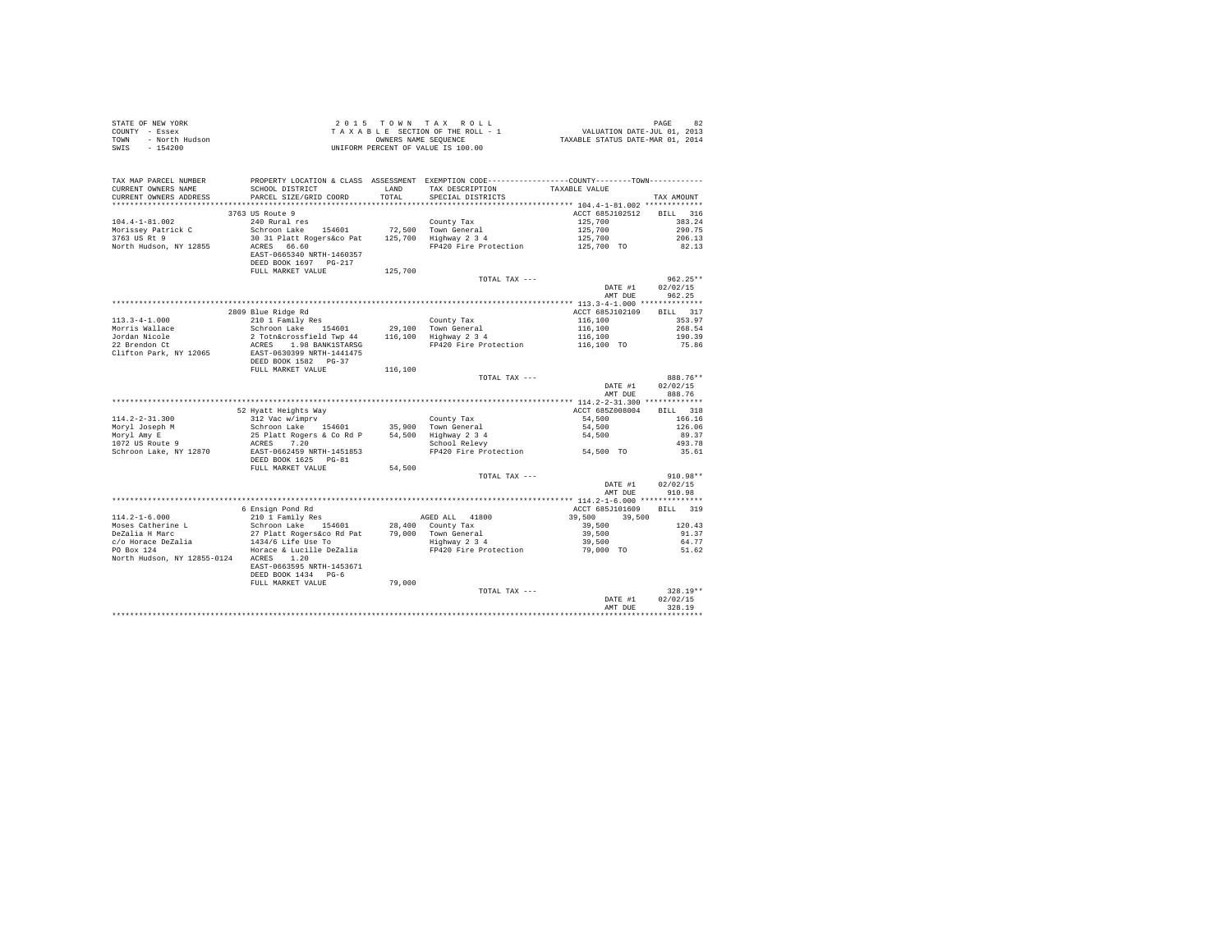| $\begin{array}{cccccccccccc} \texttt{STATE OF NEW VORE} & \texttt{PAGE} & 82 \\ \texttt{COUNT}- & \texttt{Eਸ} & \texttt{SIST} & \texttt{SIST} & \texttt{SIST} & \texttt{PAGE} & 82 \\ \texttt{COUNT}- & \texttt{SEST} & \texttt{SIST} & \texttt{SIST} & \texttt{SIST} & \texttt{SIST} & \texttt{SIST} & \texttt{SIST} & \texttt{SIST} & \texttt{SIST} & \texttt{SIST} & \texttt{DATE-TUL} & 01, 2013 \\ \texttt{TONN} & - & \texttt{NOTA} & \texttt{Indson} & \$ |                                                                                                                                                                                                                                     |         |                                                                                                                                                                                                                                                                                                                                                                                                                                                     |                                             |                 |
|------------------------------------------------------------------------------------------------------------------------------------------------------------------------------------------------------------------------------------------------------------------------------------------------------------------------------------------------------------------------------------------------------------------------------------------------------------------|-------------------------------------------------------------------------------------------------------------------------------------------------------------------------------------------------------------------------------------|---------|-----------------------------------------------------------------------------------------------------------------------------------------------------------------------------------------------------------------------------------------------------------------------------------------------------------------------------------------------------------------------------------------------------------------------------------------------------|---------------------------------------------|-----------------|
|                                                                                                                                                                                                                                                                                                                                                                                                                                                                  |                                                                                                                                                                                                                                     |         |                                                                                                                                                                                                                                                                                                                                                                                                                                                     |                                             |                 |
|                                                                                                                                                                                                                                                                                                                                                                                                                                                                  |                                                                                                                                                                                                                                     |         |                                                                                                                                                                                                                                                                                                                                                                                                                                                     |                                             |                 |
|                                                                                                                                                                                                                                                                                                                                                                                                                                                                  |                                                                                                                                                                                                                                     |         |                                                                                                                                                                                                                                                                                                                                                                                                                                                     |                                             |                 |
|                                                                                                                                                                                                                                                                                                                                                                                                                                                                  |                                                                                                                                                                                                                                     |         |                                                                                                                                                                                                                                                                                                                                                                                                                                                     |                                             |                 |
| TAX MAP PARCEL NUMBER PROPERTY LOCATION & CLASS ASSESSMENT EXEMPTION CODE---------------COUNTY-------TOWN---------                                                                                                                                                                                                                                                                                                                                               |                                                                                                                                                                                                                                     |         |                                                                                                                                                                                                                                                                                                                                                                                                                                                     |                                             |                 |
| CURRENT OWNERS NAME                                                                                                                                                                                                                                                                                                                                                                                                                                              | SCHOOL DISTRICT                                                                                                                                                                                                                     |         | LAND TAX DESCRIPTION TAXABLE VALUE                                                                                                                                                                                                                                                                                                                                                                                                                  |                                             |                 |
| CURRENT OWNERS ADDRESS                                                                                                                                                                                                                                                                                                                                                                                                                                           | PARCEL SIZE/GRID COORD                                                                                                                                                                                                              | TOTAL.  | SPECIAL DISTRICTS                                                                                                                                                                                                                                                                                                                                                                                                                                   |                                             | TAX AMOUNT      |
|                                                                                                                                                                                                                                                                                                                                                                                                                                                                  |                                                                                                                                                                                                                                     |         |                                                                                                                                                                                                                                                                                                                                                                                                                                                     |                                             |                 |
|                                                                                                                                                                                                                                                                                                                                                                                                                                                                  | 3763 US Route 9                                                                                                                                                                                                                     |         |                                                                                                                                                                                                                                                                                                                                                                                                                                                     | ACCT 685J102512 BILL 316                    |                 |
|                                                                                                                                                                                                                                                                                                                                                                                                                                                                  | 240 Rural res                                                                                                                                                                                                                       |         |                                                                                                                                                                                                                                                                                                                                                                                                                                                     |                                             | 383.24          |
|                                                                                                                                                                                                                                                                                                                                                                                                                                                                  |                                                                                                                                                                                                                                     |         |                                                                                                                                                                                                                                                                                                                                                                                                                                                     |                                             | 290.75          |
| 104.4-1-81.002<br>Morissey Patrick C<br>3763 US Rt 9                                                                                                                                                                                                                                                                                                                                                                                                             |                                                                                                                                                                                                                                     |         | $\begin{tabular}{lllllllll} \multicolumn{2}{c}{\tt County Tax} & & & & & & & & & \\ \multicolumn{2}{c}{\tt Town General} & & & & & 125,700 \\ \multicolumn{2}{c}{\tt Highway $2$ 3 4} & & & 125,700 \\ \multicolumn{2}{c}{\tt Highway $2$ 3 4} & & & 125,700 \\ \multicolumn{2}{c}{\tt FP420 Fire Protection} & & & 125,700 \\ \multicolumn{2}{c}{\tt FP420 Fire Protection} & & & 125,700 \\ \multicolumn{2}{c}{\tt FP420} & & & 125,700 \\ \mult$ |                                             | 206.13          |
| North Hudson, NY 12855                                                                                                                                                                                                                                                                                                                                                                                                                                           | ACRES 66.60                                                                                                                                                                                                                         |         |                                                                                                                                                                                                                                                                                                                                                                                                                                                     |                                             | 82.13           |
|                                                                                                                                                                                                                                                                                                                                                                                                                                                                  | EAST-0665340 NRTH-1460357                                                                                                                                                                                                           |         |                                                                                                                                                                                                                                                                                                                                                                                                                                                     |                                             |                 |
|                                                                                                                                                                                                                                                                                                                                                                                                                                                                  | DEED BOOK 1697 PG-217                                                                                                                                                                                                               |         |                                                                                                                                                                                                                                                                                                                                                                                                                                                     |                                             |                 |
|                                                                                                                                                                                                                                                                                                                                                                                                                                                                  |                                                                                                                                                                                                                                     |         |                                                                                                                                                                                                                                                                                                                                                                                                                                                     |                                             |                 |
|                                                                                                                                                                                                                                                                                                                                                                                                                                                                  | FULL MARKET VALUE                                                                                                                                                                                                                   | 125,700 |                                                                                                                                                                                                                                                                                                                                                                                                                                                     |                                             |                 |
|                                                                                                                                                                                                                                                                                                                                                                                                                                                                  |                                                                                                                                                                                                                                     |         | TOTAL TAX ---                                                                                                                                                                                                                                                                                                                                                                                                                                       |                                             | $962.25**$      |
|                                                                                                                                                                                                                                                                                                                                                                                                                                                                  |                                                                                                                                                                                                                                     |         |                                                                                                                                                                                                                                                                                                                                                                                                                                                     | DATE #1                                     | 02/02/15        |
|                                                                                                                                                                                                                                                                                                                                                                                                                                                                  |                                                                                                                                                                                                                                     |         |                                                                                                                                                                                                                                                                                                                                                                                                                                                     |                                             | AMT DUE 962.25  |
|                                                                                                                                                                                                                                                                                                                                                                                                                                                                  |                                                                                                                                                                                                                                     |         |                                                                                                                                                                                                                                                                                                                                                                                                                                                     |                                             |                 |
|                                                                                                                                                                                                                                                                                                                                                                                                                                                                  | 2809 Blue Ridge Rd<br>210 1 Family Res (29,100 m 10 Fax 1<br>Schroon Lake 154601 29,100 Town General<br>2 Totn&crossfield Twp 44 116,100 Highway 2 3 4<br>ACRES 1.98 BANKISTARSG 16,100 FP420 Fire Brotonic<br>FR470 FAC 1000 Table |         |                                                                                                                                                                                                                                                                                                                                                                                                                                                     | ACCT 685J102109                             | BILL 317        |
| $113.3 - 4 - 1.000$                                                                                                                                                                                                                                                                                                                                                                                                                                              |                                                                                                                                                                                                                                     |         |                                                                                                                                                                                                                                                                                                                                                                                                                                                     | 116,100<br>116,100<br>116,100<br>116,100 TO | 353.97          |
| Morris Wallace<br>Jordan Nicole<br>22 Brendon Ct                                                                                                                                                                                                                                                                                                                                                                                                                 |                                                                                                                                                                                                                                     |         |                                                                                                                                                                                                                                                                                                                                                                                                                                                     |                                             | 268.54          |
|                                                                                                                                                                                                                                                                                                                                                                                                                                                                  |                                                                                                                                                                                                                                     |         |                                                                                                                                                                                                                                                                                                                                                                                                                                                     |                                             | 190.39          |
|                                                                                                                                                                                                                                                                                                                                                                                                                                                                  |                                                                                                                                                                                                                                     |         | FP420 Fire Protection                                                                                                                                                                                                                                                                                                                                                                                                                               |                                             | 75.86           |
| Clifton Park, NY 12065                                                                                                                                                                                                                                                                                                                                                                                                                                           | EAST-0630399 NRTH-1441475                                                                                                                                                                                                           |         |                                                                                                                                                                                                                                                                                                                                                                                                                                                     |                                             |                 |
|                                                                                                                                                                                                                                                                                                                                                                                                                                                                  | DEED BOOK 1582 PG-37                                                                                                                                                                                                                |         |                                                                                                                                                                                                                                                                                                                                                                                                                                                     |                                             |                 |
|                                                                                                                                                                                                                                                                                                                                                                                                                                                                  | FULL MARKET VALUE 116,100                                                                                                                                                                                                           |         |                                                                                                                                                                                                                                                                                                                                                                                                                                                     |                                             |                 |
|                                                                                                                                                                                                                                                                                                                                                                                                                                                                  |                                                                                                                                                                                                                                     |         | TOTAL TAX ---                                                                                                                                                                                                                                                                                                                                                                                                                                       |                                             | 888.76**        |
|                                                                                                                                                                                                                                                                                                                                                                                                                                                                  |                                                                                                                                                                                                                                     |         |                                                                                                                                                                                                                                                                                                                                                                                                                                                     | DATE #1                                     | 02/02/15        |
|                                                                                                                                                                                                                                                                                                                                                                                                                                                                  |                                                                                                                                                                                                                                     |         |                                                                                                                                                                                                                                                                                                                                                                                                                                                     | AMT DUE                                     | 888.76          |
|                                                                                                                                                                                                                                                                                                                                                                                                                                                                  |                                                                                                                                                                                                                                     |         |                                                                                                                                                                                                                                                                                                                                                                                                                                                     |                                             |                 |
|                                                                                                                                                                                                                                                                                                                                                                                                                                                                  |                                                                                                                                                                                                                                     |         |                                                                                                                                                                                                                                                                                                                                                                                                                                                     | ACCT 685Z008004                             | BILL 318        |
|                                                                                                                                                                                                                                                                                                                                                                                                                                                                  |                                                                                                                                                                                                                                     |         |                                                                                                                                                                                                                                                                                                                                                                                                                                                     |                                             | 166.16          |
|                                                                                                                                                                                                                                                                                                                                                                                                                                                                  |                                                                                                                                                                                                                                     |         |                                                                                                                                                                                                                                                                                                                                                                                                                                                     |                                             | 126.06          |
|                                                                                                                                                                                                                                                                                                                                                                                                                                                                  |                                                                                                                                                                                                                                     |         |                                                                                                                                                                                                                                                                                                                                                                                                                                                     |                                             |                 |
|                                                                                                                                                                                                                                                                                                                                                                                                                                                                  |                                                                                                                                                                                                                                     |         |                                                                                                                                                                                                                                                                                                                                                                                                                                                     |                                             |                 |
|                                                                                                                                                                                                                                                                                                                                                                                                                                                                  |                                                                                                                                                                                                                                     |         |                                                                                                                                                                                                                                                                                                                                                                                                                                                     |                                             | 89.37           |
|                                                                                                                                                                                                                                                                                                                                                                                                                                                                  |                                                                                                                                                                                                                                     |         |                                                                                                                                                                                                                                                                                                                                                                                                                                                     |                                             | 493.78          |
|                                                                                                                                                                                                                                                                                                                                                                                                                                                                  |                                                                                                                                                                                                                                     |         |                                                                                                                                                                                                                                                                                                                                                                                                                                                     |                                             | 35.61           |
|                                                                                                                                                                                                                                                                                                                                                                                                                                                                  |                                                                                                                                                                                                                                     |         |                                                                                                                                                                                                                                                                                                                                                                                                                                                     |                                             |                 |
|                                                                                                                                                                                                                                                                                                                                                                                                                                                                  | FULL MARKET VALUE                                                                                                                                                                                                                   | 54,500  | $[114.2-2-31.300 \nonumber \\ \begin{tabular}{lcccc} \multicolumn{3}{c}{\textbf{52.31.300}} & \multicolumn{3}{c}{52.31.300} & \multicolumn{3}{c}{\textbf{53.300}} & \multicolumn{3}{c}{\textbf{54.500}} & \multicolumn{3}{c}{\textbf{55.300}} & \multicolumn{3}{c}{\textbf{56.308004}} & \multicolumn{3}{c}{\textbf{57.300}} & \multicolumn{3}{c}{\textbf{58.308004}} & \multicolumn{3}{c}{\textbf{59.$                                             |                                             |                 |
|                                                                                                                                                                                                                                                                                                                                                                                                                                                                  |                                                                                                                                                                                                                                     |         | TOTAL TAX ---                                                                                                                                                                                                                                                                                                                                                                                                                                       |                                             | $910.98**$      |
|                                                                                                                                                                                                                                                                                                                                                                                                                                                                  |                                                                                                                                                                                                                                     |         |                                                                                                                                                                                                                                                                                                                                                                                                                                                     | DATE #1 02/02/15                            |                 |
|                                                                                                                                                                                                                                                                                                                                                                                                                                                                  |                                                                                                                                                                                                                                     |         |                                                                                                                                                                                                                                                                                                                                                                                                                                                     | AMT DUE                                     | 910.98          |
|                                                                                                                                                                                                                                                                                                                                                                                                                                                                  |                                                                                                                                                                                                                                     |         |                                                                                                                                                                                                                                                                                                                                                                                                                                                     |                                             |                 |
|                                                                                                                                                                                                                                                                                                                                                                                                                                                                  | 6 Ensign Pond Rd                                                                                                                                                                                                                    |         |                                                                                                                                                                                                                                                                                                                                                                                                                                                     | ACCT 685J101609                             | BILL 319        |
| $114.2 - 1 - 6.000$                                                                                                                                                                                                                                                                                                                                                                                                                                              |                                                                                                                                                                                                                                     |         |                                                                                                                                                                                                                                                                                                                                                                                                                                                     |                                             |                 |
|                                                                                                                                                                                                                                                                                                                                                                                                                                                                  | 210 1 Family Res                                                                                                                                                                                                                    |         | AGED ALL 41800                                                                                                                                                                                                                                                                                                                                                                                                                                      |                                             |                 |
|                                                                                                                                                                                                                                                                                                                                                                                                                                                                  |                                                                                                                                                                                                                                     |         |                                                                                                                                                                                                                                                                                                                                                                                                                                                     | $39,500$ $39,500$                           | 120.43<br>91.37 |
|                                                                                                                                                                                                                                                                                                                                                                                                                                                                  |                                                                                                                                                                                                                                     |         |                                                                                                                                                                                                                                                                                                                                                                                                                                                     |                                             |                 |
|                                                                                                                                                                                                                                                                                                                                                                                                                                                                  |                                                                                                                                                                                                                                     |         |                                                                                                                                                                                                                                                                                                                                                                                                                                                     |                                             | 64.77           |
|                                                                                                                                                                                                                                                                                                                                                                                                                                                                  |                                                                                                                                                                                                                                     |         |                                                                                                                                                                                                                                                                                                                                                                                                                                                     |                                             | 51.62           |
| North Hudson, NY 12855-0124 ACRES 1.20                                                                                                                                                                                                                                                                                                                                                                                                                           |                                                                                                                                                                                                                                     |         |                                                                                                                                                                                                                                                                                                                                                                                                                                                     |                                             |                 |
|                                                                                                                                                                                                                                                                                                                                                                                                                                                                  | EAST-0663595 NRTH-1453671                                                                                                                                                                                                           |         |                                                                                                                                                                                                                                                                                                                                                                                                                                                     |                                             |                 |
|                                                                                                                                                                                                                                                                                                                                                                                                                                                                  | DEED BOOK 1434 PG-6                                                                                                                                                                                                                 |         |                                                                                                                                                                                                                                                                                                                                                                                                                                                     |                                             |                 |
|                                                                                                                                                                                                                                                                                                                                                                                                                                                                  | FULL MARKET VALUE                                                                                                                                                                                                                   | 79,000  |                                                                                                                                                                                                                                                                                                                                                                                                                                                     |                                             |                 |
|                                                                                                                                                                                                                                                                                                                                                                                                                                                                  |                                                                                                                                                                                                                                     |         | TOTAL TAX ---                                                                                                                                                                                                                                                                                                                                                                                                                                       |                                             | 328.19**        |
|                                                                                                                                                                                                                                                                                                                                                                                                                                                                  |                                                                                                                                                                                                                                     |         |                                                                                                                                                                                                                                                                                                                                                                                                                                                     | DATE #1                                     | 02/02/15        |
|                                                                                                                                                                                                                                                                                                                                                                                                                                                                  |                                                                                                                                                                                                                                     |         |                                                                                                                                                                                                                                                                                                                                                                                                                                                     | AMT DUE                                     | 328.19          |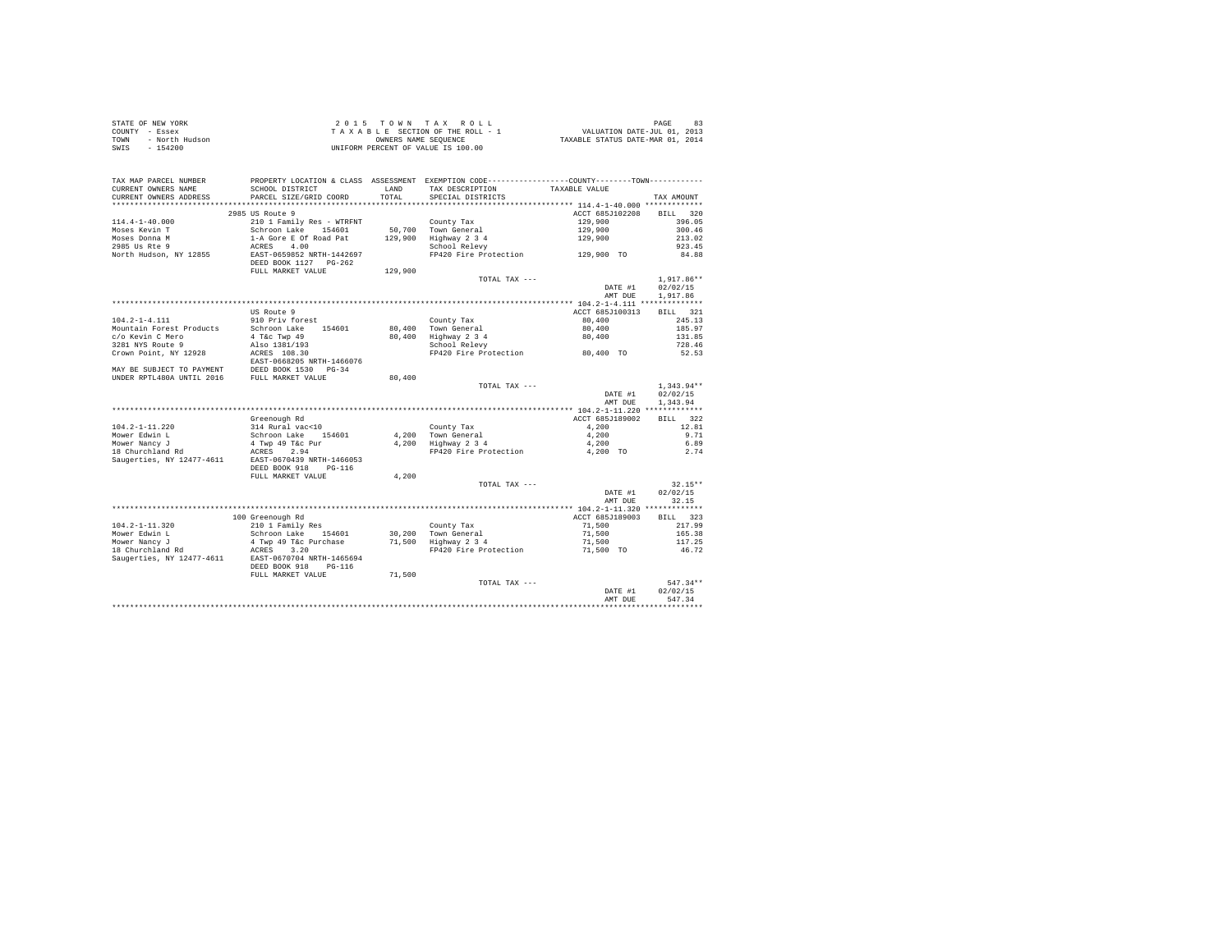| STATE OF NEW YORK      | 2015 TOWN TAX ROLL                 | 83<br>PAGE                       |
|------------------------|------------------------------------|----------------------------------|
| COUNTY - Essex         | TAXABLE SECTION OF THE ROLL - 1    | VALUATION DATE-JUL 01, 2013      |
| TOWN<br>- North Hudson | OWNERS NAME SEOUENCE               | TAXABLE STATUS DATE-MAR 01, 2014 |
| $-154200$<br>SWIS      | UNIFORM PERCENT OF VALUE IS 100.00 |                                  |

| TAX MAP PARCEL NUMBER<br>CURRENT OWNERS NAME<br>CURRENT OWNERS ADDRESS | PROPERTY LOCATION & CLASS ASSESSMENT EXEMPTION CODE----------------COUNTY-------TOWN----------<br>SCHOOL DISTRICT<br>PARCEL SIZE/GRID COORD | <b>T.AND</b><br>TOTAL | TAX DESCRIPTION<br>SPECIAL DISTRICTS | TAXABLE VALUE                              | TAX AMOUNT         |
|------------------------------------------------------------------------|---------------------------------------------------------------------------------------------------------------------------------------------|-----------------------|--------------------------------------|--------------------------------------------|--------------------|
|                                                                        |                                                                                                                                             |                       |                                      | ************ 114.4-1-40.000 ************** |                    |
|                                                                        | 2985 US Route 9                                                                                                                             |                       |                                      | ACCT 685J102208                            | 320<br><b>BILL</b> |
| $114.4 - 1 - 40.000$                                                   | 210 1 Family Res - WTRFNT                                                                                                                   |                       | County Tax                           | 129,900                                    | 396.05             |
| Moses Kevin T                                                          | Schroon Lake<br>154601                                                                                                                      | 50,700                | Town General                         | 129,900                                    | 300.46             |
| Moses Donna M                                                          | 1-A Gore E Of Road Pat                                                                                                                      | 129,900               | Highway 2 3 4                        | 129,900                                    | 213.02             |
| 2985 Us Rte 9                                                          | ACRES<br>4.00                                                                                                                               |                       | School Relevy                        |                                            | 923.45             |
| North Hudson, NY 12855                                                 | EAST-0659852 NRTH-1442697                                                                                                                   |                       | FP420 Fire Protection                | 129,900 TO                                 | 84.88              |
|                                                                        | DEED BOOK 1127 PG-262                                                                                                                       |                       |                                      |                                            |                    |
|                                                                        | FULL MARKET VALUE                                                                                                                           | 129,900               |                                      |                                            |                    |
|                                                                        |                                                                                                                                             |                       | TOTAL TAX ---                        |                                            | $1,917.86**$       |
|                                                                        |                                                                                                                                             |                       |                                      | DATE #1                                    | 02/02/15           |
|                                                                        |                                                                                                                                             |                       |                                      | AMT DUE                                    | 1.917.86           |
|                                                                        |                                                                                                                                             |                       |                                      |                                            |                    |
|                                                                        | US Route 9                                                                                                                                  |                       |                                      | ACCT 685J100313                            | 321<br>BILL        |
| $104.2 - 1 - 4.111$                                                    | 910 Priv forest                                                                                                                             |                       | County Tax                           | 80,400                                     | 245.13             |
| Mountain Forest Products                                               | Schroon Lake<br>154601                                                                                                                      | 80,400                | Town General                         | 80,400                                     | 185.97             |
| c/o Kevin C Mero                                                       | 4 T&c Twp 49                                                                                                                                | 80,400                | Highway 2 3 4                        | 80,400                                     | 131.85             |
| 3281 NYS Route 9                                                       | Also 1381/193                                                                                                                               |                       | School Relevy                        |                                            | 728.46             |
| Crown Point, NY 12928                                                  | ACRES 108.30                                                                                                                                |                       | FP420 Fire Protection                | 80,400 TO                                  | 52.53              |
|                                                                        | EAST-0668205 NRTH-1466076                                                                                                                   |                       |                                      |                                            |                    |
| MAY BE SUBJECT TO PAYMENT                                              | DEED BOOK 1530<br>$PG-34$                                                                                                                   |                       |                                      |                                            |                    |
| UNDER RPTL480A UNTIL 2016                                              | FULL MARKET VALUE                                                                                                                           | 80,400                |                                      |                                            |                    |
|                                                                        |                                                                                                                                             |                       | TOTAL TAX ---                        |                                            | $1,343.94**$       |
|                                                                        |                                                                                                                                             |                       |                                      | DATE #1                                    | 02/02/15           |
|                                                                        |                                                                                                                                             |                       |                                      | AMT DUE                                    | 1.343.94           |
|                                                                        |                                                                                                                                             |                       |                                      |                                            |                    |
|                                                                        | Greenough Rd                                                                                                                                |                       |                                      | ACCT 685J189002                            | 322<br>RTLL.       |
| $104.2 - 1 - 11.220$                                                   | 314 Rural vac<10                                                                                                                            |                       | County Tax                           | 4,200                                      | 12.81              |
| Mower Edwin L                                                          | Schroon Lake<br>154601                                                                                                                      | 4,200                 | Town General                         | 4,200                                      | 9.71               |
| Mower Nancy J                                                          | 4 Twp 49 T&c Pur                                                                                                                            | 4.200                 | Highway 2 3 4                        | 4,200                                      | 6.89               |
| 18 Churchland Rd                                                       | 2.94<br>ACRES                                                                                                                               |                       | FP420 Fire Protection                | 4,200 TO                                   | 2.74               |
| Saugerties, NY 12477-4611                                              | EAST-0670439 NRTH-1466053                                                                                                                   |                       |                                      |                                            |                    |
|                                                                        | DEED BOOK 918<br>$PG-116$                                                                                                                   |                       |                                      |                                            |                    |
|                                                                        | FULL MARKET VALUE                                                                                                                           | 4,200                 |                                      |                                            |                    |
|                                                                        |                                                                                                                                             |                       | TOTAL TAX ---                        |                                            | $32.15**$          |
|                                                                        |                                                                                                                                             |                       |                                      | DATE #1                                    | 02/02/15           |
|                                                                        |                                                                                                                                             |                       |                                      | AMT DUE                                    | 32.15              |
|                                                                        |                                                                                                                                             |                       |                                      |                                            |                    |
|                                                                        | 100 Greenough Rd                                                                                                                            |                       |                                      | ACCT 685J189003                            | 323<br>BILL        |
| $104.2 - 1 - 11.320$                                                   | 210 1 Family Res                                                                                                                            |                       | County Tax                           | 71,500                                     | 217.99             |
| Mower Edwin L                                                          | Schroon Lake 154601                                                                                                                         |                       | 30.200 Town General                  | 71,500                                     | 165.38             |
| Mower Nancy J                                                          | 4 Twp 49 T&c Purchase                                                                                                                       | 71,500                | Highway 2 3 4                        | 71,500                                     | 117.25             |
| 18 Churchland Rd                                                       | 3.20<br>ACRES                                                                                                                               |                       | FP420 Fire Protection                | 71,500 TO                                  | 46.72              |
| Saugerties, NY 12477-4611                                              | EAST-0670704 NRTH-1465694                                                                                                                   |                       |                                      |                                            |                    |
|                                                                        | DEED BOOK 918<br>$PG-116$                                                                                                                   |                       |                                      |                                            |                    |
|                                                                        | FULL MARKET VALUE                                                                                                                           | 71,500                |                                      |                                            |                    |
|                                                                        |                                                                                                                                             |                       | TOTAL TAX ---                        |                                            | $547.34**$         |
|                                                                        |                                                                                                                                             |                       |                                      | DATE #1<br>AMT DUE                         | 02/02/15<br>547.34 |
|                                                                        |                                                                                                                                             |                       |                                      |                                            |                    |
|                                                                        |                                                                                                                                             |                       |                                      |                                            |                    |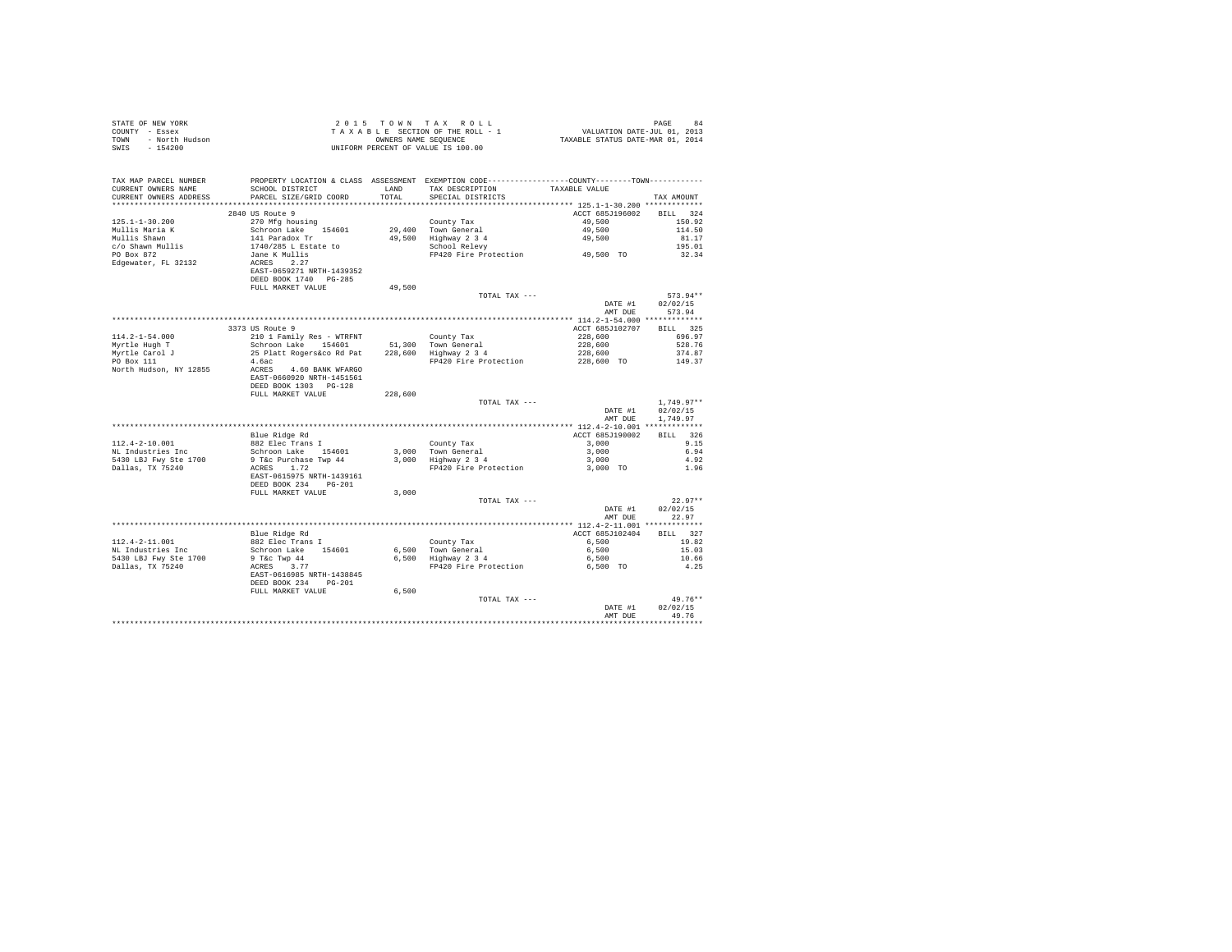| STATE OF NEW YORK      | 2015 TOWN TAX ROLL                 | 84<br>PAGE                       |
|------------------------|------------------------------------|----------------------------------|
| COUNTY - Essex         | TAXABLE SECTION OF THE ROLL - 1    | VALUATION DATE-JUL 01, 2013      |
| TOWN<br>- North Hudson | OWNERS NAME SEOUENCE               | TAXABLE STATUS DATE-MAR 01, 2014 |
| - 154200<br>SWIS       | UNIFORM PERCENT OF VALUE IS 100.00 |                                  |

| ******** 125.1-1-30.200 *************<br>************<br>********<br>2840 US Route 9<br>ACCT 685J196002<br>324<br><b>BILL</b><br>$125.1 - 1 - 30.200$<br>270 Mfg housing<br>County Tax<br>49,500<br>150.92<br>Mullis Maria K<br>Schroon Lake<br>29,400<br>Town General<br>49,500<br>114.50<br>154601<br>141 Paradox Tr<br>49,500<br>Highway 2 3 4<br>49,500<br>81.17<br>c/o Shawn Mullis<br>1740/285 L Estate to<br>School Relevy<br>195.01<br>49,500 TO<br>Jane K Mullis<br>FP420 Fire Protection<br>32.34<br>ACRES 2.27<br>EAST-0659271 NRTH-1439352<br>DEED BOOK 1740 PG-285<br>FULL MARKET VALUE<br>49,500<br>$573.94**$<br>TOTAL TAX ---<br>DATE #1<br>02/02/15<br>573.94<br>AMT DUE<br>***** 114.2-1-54.000 *************<br>3373 US Route 9<br>ACCT 685J102707<br>325<br><b>BILL</b><br>$114.2 - 1 - 54.000$<br>210 1 Family Res - WTRFNT<br>County Tax<br>228,600<br>696.97<br>Myrtle Hugh T<br>Schroon Lake<br>51,300<br>Town General<br>228,600<br>528.76<br>154601<br>Myrtle Carol J<br>25 Platt Rogers&co Rd Pat<br>228,600<br>Highway 2 3 4<br>228,600<br>374.87<br>PO Box 111<br>FP420 Fire Protection<br>228,600 TO<br>4.6ac<br>149.37<br>North Hudson, NY 12855<br>ACRES<br>4.60 BANK WFARGO<br>EAST-0660920 NRTH-1451561<br>DEED BOOK 1303 PG-128<br>FULL MARKET VALUE<br>228,600<br>TOTAL TAX ---<br>$1,749.97**$<br>DATE #1<br>02/02/15<br>1,749.97<br>AMT DUE<br>Blue Ridge Rd<br>ACCT 685J190002<br>326<br>BTLL.<br>882 Elec Trans I<br>3,000<br>9.15<br>County Tax<br>6.94<br>Schroon Lake 154601<br>3.000 Town General<br>3,000<br>3.000 Highway 2 3 4<br>4.92<br>9 T&c Purchase Twp 44<br>3,000<br>1.72<br>FP420 Fire Protection<br>3,000 TO<br>1.96<br>ACRES<br>EAST-0615975 NRTH-1439161<br>DEED BOOK 234<br>$PG-201$<br>3.000<br>FULL MARKET VALUE<br>$22.97**$<br>TOTAL TAX ---<br>02/02/15<br>DATE #1<br>22.97<br>AMT DUE<br>Blue Ridge Rd<br>ACCT 685J102404<br>BILL 327<br>882 Elec Trans I<br>6,500<br>19.82<br>County Tax<br>Schroon Lake 154601<br>6,500<br>Town General<br>6.500<br>15.03<br>5430 LBJ Fwy Ste 1700<br>9 T&c Twp 44<br>6.500<br>Highway 2 3 4<br>10.66<br>6,500<br>FP420 Fire Protection<br>4.25<br>ACRES<br>3.77<br>6.500 TO<br>EAST-0616985 NRTH-1438845<br>DEED BOOK 234<br>$PG-201$<br>FULL MARKET VALUE<br>6,500<br>$49.76**$<br>TOTAL TAX ---<br>DATE #1<br>02/02/15<br>49.76<br>AMT DUE | TAX MAP PARCEL NUMBER<br>CURRENT OWNERS NAME | PROPERTY LOCATION & CLASS ASSESSMENT EXEMPTION CODE----------------COUNTY--------TOWN----------<br>SCHOOL DISTRICT | <b>T.AND</b> | TAX DESCRIPTION   | TAXABLE VALUE |            |
|--------------------------------------------------------------------------------------------------------------------------------------------------------------------------------------------------------------------------------------------------------------------------------------------------------------------------------------------------------------------------------------------------------------------------------------------------------------------------------------------------------------------------------------------------------------------------------------------------------------------------------------------------------------------------------------------------------------------------------------------------------------------------------------------------------------------------------------------------------------------------------------------------------------------------------------------------------------------------------------------------------------------------------------------------------------------------------------------------------------------------------------------------------------------------------------------------------------------------------------------------------------------------------------------------------------------------------------------------------------------------------------------------------------------------------------------------------------------------------------------------------------------------------------------------------------------------------------------------------------------------------------------------------------------------------------------------------------------------------------------------------------------------------------------------------------------------------------------------------------------------------------------------------------------------------------------------------------------------------------------------------------------------------------------------------------------------------------------------------------------------------------------------------------------------------------------------------------------------------------------------------------------------------------------------------------------------------------------------|----------------------------------------------|--------------------------------------------------------------------------------------------------------------------|--------------|-------------------|---------------|------------|
|                                                                                                                                                                                                                                                                                                                                                                                                                                                                                                                                                                                                                                                                                                                                                                                                                                                                                                                                                                                                                                                                                                                                                                                                                                                                                                                                                                                                                                                                                                                                                                                                                                                                                                                                                                                                                                                                                                                                                                                                                                                                                                                                                                                                                                                                                                                                                  | CURRENT OWNERS ADDRESS                       | PARCEL SIZE/GRID COORD                                                                                             | TOTAL        | SPECIAL DISTRICTS |               | TAX AMOUNT |
|                                                                                                                                                                                                                                                                                                                                                                                                                                                                                                                                                                                                                                                                                                                                                                                                                                                                                                                                                                                                                                                                                                                                                                                                                                                                                                                                                                                                                                                                                                                                                                                                                                                                                                                                                                                                                                                                                                                                                                                                                                                                                                                                                                                                                                                                                                                                                  |                                              |                                                                                                                    |              |                   |               |            |
|                                                                                                                                                                                                                                                                                                                                                                                                                                                                                                                                                                                                                                                                                                                                                                                                                                                                                                                                                                                                                                                                                                                                                                                                                                                                                                                                                                                                                                                                                                                                                                                                                                                                                                                                                                                                                                                                                                                                                                                                                                                                                                                                                                                                                                                                                                                                                  |                                              |                                                                                                                    |              |                   |               |            |
|                                                                                                                                                                                                                                                                                                                                                                                                                                                                                                                                                                                                                                                                                                                                                                                                                                                                                                                                                                                                                                                                                                                                                                                                                                                                                                                                                                                                                                                                                                                                                                                                                                                                                                                                                                                                                                                                                                                                                                                                                                                                                                                                                                                                                                                                                                                                                  |                                              |                                                                                                                    |              |                   |               |            |
|                                                                                                                                                                                                                                                                                                                                                                                                                                                                                                                                                                                                                                                                                                                                                                                                                                                                                                                                                                                                                                                                                                                                                                                                                                                                                                                                                                                                                                                                                                                                                                                                                                                                                                                                                                                                                                                                                                                                                                                                                                                                                                                                                                                                                                                                                                                                                  |                                              |                                                                                                                    |              |                   |               |            |
|                                                                                                                                                                                                                                                                                                                                                                                                                                                                                                                                                                                                                                                                                                                                                                                                                                                                                                                                                                                                                                                                                                                                                                                                                                                                                                                                                                                                                                                                                                                                                                                                                                                                                                                                                                                                                                                                                                                                                                                                                                                                                                                                                                                                                                                                                                                                                  | Mullis Shawn                                 |                                                                                                                    |              |                   |               |            |
|                                                                                                                                                                                                                                                                                                                                                                                                                                                                                                                                                                                                                                                                                                                                                                                                                                                                                                                                                                                                                                                                                                                                                                                                                                                                                                                                                                                                                                                                                                                                                                                                                                                                                                                                                                                                                                                                                                                                                                                                                                                                                                                                                                                                                                                                                                                                                  |                                              |                                                                                                                    |              |                   |               |            |
|                                                                                                                                                                                                                                                                                                                                                                                                                                                                                                                                                                                                                                                                                                                                                                                                                                                                                                                                                                                                                                                                                                                                                                                                                                                                                                                                                                                                                                                                                                                                                                                                                                                                                                                                                                                                                                                                                                                                                                                                                                                                                                                                                                                                                                                                                                                                                  | PO Box 872                                   |                                                                                                                    |              |                   |               |            |
|                                                                                                                                                                                                                                                                                                                                                                                                                                                                                                                                                                                                                                                                                                                                                                                                                                                                                                                                                                                                                                                                                                                                                                                                                                                                                                                                                                                                                                                                                                                                                                                                                                                                                                                                                                                                                                                                                                                                                                                                                                                                                                                                                                                                                                                                                                                                                  | Edgewater, FL 32132                          |                                                                                                                    |              |                   |               |            |
|                                                                                                                                                                                                                                                                                                                                                                                                                                                                                                                                                                                                                                                                                                                                                                                                                                                                                                                                                                                                                                                                                                                                                                                                                                                                                                                                                                                                                                                                                                                                                                                                                                                                                                                                                                                                                                                                                                                                                                                                                                                                                                                                                                                                                                                                                                                                                  |                                              |                                                                                                                    |              |                   |               |            |
|                                                                                                                                                                                                                                                                                                                                                                                                                                                                                                                                                                                                                                                                                                                                                                                                                                                                                                                                                                                                                                                                                                                                                                                                                                                                                                                                                                                                                                                                                                                                                                                                                                                                                                                                                                                                                                                                                                                                                                                                                                                                                                                                                                                                                                                                                                                                                  |                                              |                                                                                                                    |              |                   |               |            |
|                                                                                                                                                                                                                                                                                                                                                                                                                                                                                                                                                                                                                                                                                                                                                                                                                                                                                                                                                                                                                                                                                                                                                                                                                                                                                                                                                                                                                                                                                                                                                                                                                                                                                                                                                                                                                                                                                                                                                                                                                                                                                                                                                                                                                                                                                                                                                  |                                              |                                                                                                                    |              |                   |               |            |
|                                                                                                                                                                                                                                                                                                                                                                                                                                                                                                                                                                                                                                                                                                                                                                                                                                                                                                                                                                                                                                                                                                                                                                                                                                                                                                                                                                                                                                                                                                                                                                                                                                                                                                                                                                                                                                                                                                                                                                                                                                                                                                                                                                                                                                                                                                                                                  |                                              |                                                                                                                    |              |                   |               |            |
|                                                                                                                                                                                                                                                                                                                                                                                                                                                                                                                                                                                                                                                                                                                                                                                                                                                                                                                                                                                                                                                                                                                                                                                                                                                                                                                                                                                                                                                                                                                                                                                                                                                                                                                                                                                                                                                                                                                                                                                                                                                                                                                                                                                                                                                                                                                                                  |                                              |                                                                                                                    |              |                   |               |            |
|                                                                                                                                                                                                                                                                                                                                                                                                                                                                                                                                                                                                                                                                                                                                                                                                                                                                                                                                                                                                                                                                                                                                                                                                                                                                                                                                                                                                                                                                                                                                                                                                                                                                                                                                                                                                                                                                                                                                                                                                                                                                                                                                                                                                                                                                                                                                                  |                                              |                                                                                                                    |              |                   |               |            |
|                                                                                                                                                                                                                                                                                                                                                                                                                                                                                                                                                                                                                                                                                                                                                                                                                                                                                                                                                                                                                                                                                                                                                                                                                                                                                                                                                                                                                                                                                                                                                                                                                                                                                                                                                                                                                                                                                                                                                                                                                                                                                                                                                                                                                                                                                                                                                  |                                              |                                                                                                                    |              |                   |               |            |
|                                                                                                                                                                                                                                                                                                                                                                                                                                                                                                                                                                                                                                                                                                                                                                                                                                                                                                                                                                                                                                                                                                                                                                                                                                                                                                                                                                                                                                                                                                                                                                                                                                                                                                                                                                                                                                                                                                                                                                                                                                                                                                                                                                                                                                                                                                                                                  |                                              |                                                                                                                    |              |                   |               |            |
|                                                                                                                                                                                                                                                                                                                                                                                                                                                                                                                                                                                                                                                                                                                                                                                                                                                                                                                                                                                                                                                                                                                                                                                                                                                                                                                                                                                                                                                                                                                                                                                                                                                                                                                                                                                                                                                                                                                                                                                                                                                                                                                                                                                                                                                                                                                                                  |                                              |                                                                                                                    |              |                   |               |            |
|                                                                                                                                                                                                                                                                                                                                                                                                                                                                                                                                                                                                                                                                                                                                                                                                                                                                                                                                                                                                                                                                                                                                                                                                                                                                                                                                                                                                                                                                                                                                                                                                                                                                                                                                                                                                                                                                                                                                                                                                                                                                                                                                                                                                                                                                                                                                                  |                                              |                                                                                                                    |              |                   |               |            |
|                                                                                                                                                                                                                                                                                                                                                                                                                                                                                                                                                                                                                                                                                                                                                                                                                                                                                                                                                                                                                                                                                                                                                                                                                                                                                                                                                                                                                                                                                                                                                                                                                                                                                                                                                                                                                                                                                                                                                                                                                                                                                                                                                                                                                                                                                                                                                  |                                              |                                                                                                                    |              |                   |               |            |
|                                                                                                                                                                                                                                                                                                                                                                                                                                                                                                                                                                                                                                                                                                                                                                                                                                                                                                                                                                                                                                                                                                                                                                                                                                                                                                                                                                                                                                                                                                                                                                                                                                                                                                                                                                                                                                                                                                                                                                                                                                                                                                                                                                                                                                                                                                                                                  |                                              |                                                                                                                    |              |                   |               |            |
|                                                                                                                                                                                                                                                                                                                                                                                                                                                                                                                                                                                                                                                                                                                                                                                                                                                                                                                                                                                                                                                                                                                                                                                                                                                                                                                                                                                                                                                                                                                                                                                                                                                                                                                                                                                                                                                                                                                                                                                                                                                                                                                                                                                                                                                                                                                                                  |                                              |                                                                                                                    |              |                   |               |            |
|                                                                                                                                                                                                                                                                                                                                                                                                                                                                                                                                                                                                                                                                                                                                                                                                                                                                                                                                                                                                                                                                                                                                                                                                                                                                                                                                                                                                                                                                                                                                                                                                                                                                                                                                                                                                                                                                                                                                                                                                                                                                                                                                                                                                                                                                                                                                                  |                                              |                                                                                                                    |              |                   |               |            |
|                                                                                                                                                                                                                                                                                                                                                                                                                                                                                                                                                                                                                                                                                                                                                                                                                                                                                                                                                                                                                                                                                                                                                                                                                                                                                                                                                                                                                                                                                                                                                                                                                                                                                                                                                                                                                                                                                                                                                                                                                                                                                                                                                                                                                                                                                                                                                  |                                              |                                                                                                                    |              |                   |               |            |
|                                                                                                                                                                                                                                                                                                                                                                                                                                                                                                                                                                                                                                                                                                                                                                                                                                                                                                                                                                                                                                                                                                                                                                                                                                                                                                                                                                                                                                                                                                                                                                                                                                                                                                                                                                                                                                                                                                                                                                                                                                                                                                                                                                                                                                                                                                                                                  |                                              |                                                                                                                    |              |                   |               |            |
|                                                                                                                                                                                                                                                                                                                                                                                                                                                                                                                                                                                                                                                                                                                                                                                                                                                                                                                                                                                                                                                                                                                                                                                                                                                                                                                                                                                                                                                                                                                                                                                                                                                                                                                                                                                                                                                                                                                                                                                                                                                                                                                                                                                                                                                                                                                                                  |                                              |                                                                                                                    |              |                   |               |            |
|                                                                                                                                                                                                                                                                                                                                                                                                                                                                                                                                                                                                                                                                                                                                                                                                                                                                                                                                                                                                                                                                                                                                                                                                                                                                                                                                                                                                                                                                                                                                                                                                                                                                                                                                                                                                                                                                                                                                                                                                                                                                                                                                                                                                                                                                                                                                                  |                                              |                                                                                                                    |              |                   |               |            |
|                                                                                                                                                                                                                                                                                                                                                                                                                                                                                                                                                                                                                                                                                                                                                                                                                                                                                                                                                                                                                                                                                                                                                                                                                                                                                                                                                                                                                                                                                                                                                                                                                                                                                                                                                                                                                                                                                                                                                                                                                                                                                                                                                                                                                                                                                                                                                  |                                              |                                                                                                                    |              |                   |               |            |
|                                                                                                                                                                                                                                                                                                                                                                                                                                                                                                                                                                                                                                                                                                                                                                                                                                                                                                                                                                                                                                                                                                                                                                                                                                                                                                                                                                                                                                                                                                                                                                                                                                                                                                                                                                                                                                                                                                                                                                                                                                                                                                                                                                                                                                                                                                                                                  | $112.4 - 2 - 10.001$                         |                                                                                                                    |              |                   |               |            |
|                                                                                                                                                                                                                                                                                                                                                                                                                                                                                                                                                                                                                                                                                                                                                                                                                                                                                                                                                                                                                                                                                                                                                                                                                                                                                                                                                                                                                                                                                                                                                                                                                                                                                                                                                                                                                                                                                                                                                                                                                                                                                                                                                                                                                                                                                                                                                  | NL Industries Inc                            |                                                                                                                    |              |                   |               |            |
|                                                                                                                                                                                                                                                                                                                                                                                                                                                                                                                                                                                                                                                                                                                                                                                                                                                                                                                                                                                                                                                                                                                                                                                                                                                                                                                                                                                                                                                                                                                                                                                                                                                                                                                                                                                                                                                                                                                                                                                                                                                                                                                                                                                                                                                                                                                                                  | 5430 LBJ Fwy Ste 1700                        |                                                                                                                    |              |                   |               |            |
|                                                                                                                                                                                                                                                                                                                                                                                                                                                                                                                                                                                                                                                                                                                                                                                                                                                                                                                                                                                                                                                                                                                                                                                                                                                                                                                                                                                                                                                                                                                                                                                                                                                                                                                                                                                                                                                                                                                                                                                                                                                                                                                                                                                                                                                                                                                                                  | Dallas, TX 75240                             |                                                                                                                    |              |                   |               |            |
|                                                                                                                                                                                                                                                                                                                                                                                                                                                                                                                                                                                                                                                                                                                                                                                                                                                                                                                                                                                                                                                                                                                                                                                                                                                                                                                                                                                                                                                                                                                                                                                                                                                                                                                                                                                                                                                                                                                                                                                                                                                                                                                                                                                                                                                                                                                                                  |                                              |                                                                                                                    |              |                   |               |            |
|                                                                                                                                                                                                                                                                                                                                                                                                                                                                                                                                                                                                                                                                                                                                                                                                                                                                                                                                                                                                                                                                                                                                                                                                                                                                                                                                                                                                                                                                                                                                                                                                                                                                                                                                                                                                                                                                                                                                                                                                                                                                                                                                                                                                                                                                                                                                                  |                                              |                                                                                                                    |              |                   |               |            |
|                                                                                                                                                                                                                                                                                                                                                                                                                                                                                                                                                                                                                                                                                                                                                                                                                                                                                                                                                                                                                                                                                                                                                                                                                                                                                                                                                                                                                                                                                                                                                                                                                                                                                                                                                                                                                                                                                                                                                                                                                                                                                                                                                                                                                                                                                                                                                  |                                              |                                                                                                                    |              |                   |               |            |
|                                                                                                                                                                                                                                                                                                                                                                                                                                                                                                                                                                                                                                                                                                                                                                                                                                                                                                                                                                                                                                                                                                                                                                                                                                                                                                                                                                                                                                                                                                                                                                                                                                                                                                                                                                                                                                                                                                                                                                                                                                                                                                                                                                                                                                                                                                                                                  |                                              |                                                                                                                    |              |                   |               |            |
|                                                                                                                                                                                                                                                                                                                                                                                                                                                                                                                                                                                                                                                                                                                                                                                                                                                                                                                                                                                                                                                                                                                                                                                                                                                                                                                                                                                                                                                                                                                                                                                                                                                                                                                                                                                                                                                                                                                                                                                                                                                                                                                                                                                                                                                                                                                                                  |                                              |                                                                                                                    |              |                   |               |            |
|                                                                                                                                                                                                                                                                                                                                                                                                                                                                                                                                                                                                                                                                                                                                                                                                                                                                                                                                                                                                                                                                                                                                                                                                                                                                                                                                                                                                                                                                                                                                                                                                                                                                                                                                                                                                                                                                                                                                                                                                                                                                                                                                                                                                                                                                                                                                                  |                                              |                                                                                                                    |              |                   |               |            |
|                                                                                                                                                                                                                                                                                                                                                                                                                                                                                                                                                                                                                                                                                                                                                                                                                                                                                                                                                                                                                                                                                                                                                                                                                                                                                                                                                                                                                                                                                                                                                                                                                                                                                                                                                                                                                                                                                                                                                                                                                                                                                                                                                                                                                                                                                                                                                  |                                              |                                                                                                                    |              |                   |               |            |
|                                                                                                                                                                                                                                                                                                                                                                                                                                                                                                                                                                                                                                                                                                                                                                                                                                                                                                                                                                                                                                                                                                                                                                                                                                                                                                                                                                                                                                                                                                                                                                                                                                                                                                                                                                                                                                                                                                                                                                                                                                                                                                                                                                                                                                                                                                                                                  |                                              |                                                                                                                    |              |                   |               |            |
|                                                                                                                                                                                                                                                                                                                                                                                                                                                                                                                                                                                                                                                                                                                                                                                                                                                                                                                                                                                                                                                                                                                                                                                                                                                                                                                                                                                                                                                                                                                                                                                                                                                                                                                                                                                                                                                                                                                                                                                                                                                                                                                                                                                                                                                                                                                                                  | $112.4 - 2 - 11.001$                         |                                                                                                                    |              |                   |               |            |
|                                                                                                                                                                                                                                                                                                                                                                                                                                                                                                                                                                                                                                                                                                                                                                                                                                                                                                                                                                                                                                                                                                                                                                                                                                                                                                                                                                                                                                                                                                                                                                                                                                                                                                                                                                                                                                                                                                                                                                                                                                                                                                                                                                                                                                                                                                                                                  | NL Industries Inc                            |                                                                                                                    |              |                   |               |            |
|                                                                                                                                                                                                                                                                                                                                                                                                                                                                                                                                                                                                                                                                                                                                                                                                                                                                                                                                                                                                                                                                                                                                                                                                                                                                                                                                                                                                                                                                                                                                                                                                                                                                                                                                                                                                                                                                                                                                                                                                                                                                                                                                                                                                                                                                                                                                                  |                                              |                                                                                                                    |              |                   |               |            |
|                                                                                                                                                                                                                                                                                                                                                                                                                                                                                                                                                                                                                                                                                                                                                                                                                                                                                                                                                                                                                                                                                                                                                                                                                                                                                                                                                                                                                                                                                                                                                                                                                                                                                                                                                                                                                                                                                                                                                                                                                                                                                                                                                                                                                                                                                                                                                  | Dallas, TX 75240                             |                                                                                                                    |              |                   |               |            |
|                                                                                                                                                                                                                                                                                                                                                                                                                                                                                                                                                                                                                                                                                                                                                                                                                                                                                                                                                                                                                                                                                                                                                                                                                                                                                                                                                                                                                                                                                                                                                                                                                                                                                                                                                                                                                                                                                                                                                                                                                                                                                                                                                                                                                                                                                                                                                  |                                              |                                                                                                                    |              |                   |               |            |
|                                                                                                                                                                                                                                                                                                                                                                                                                                                                                                                                                                                                                                                                                                                                                                                                                                                                                                                                                                                                                                                                                                                                                                                                                                                                                                                                                                                                                                                                                                                                                                                                                                                                                                                                                                                                                                                                                                                                                                                                                                                                                                                                                                                                                                                                                                                                                  |                                              |                                                                                                                    |              |                   |               |            |
|                                                                                                                                                                                                                                                                                                                                                                                                                                                                                                                                                                                                                                                                                                                                                                                                                                                                                                                                                                                                                                                                                                                                                                                                                                                                                                                                                                                                                                                                                                                                                                                                                                                                                                                                                                                                                                                                                                                                                                                                                                                                                                                                                                                                                                                                                                                                                  |                                              |                                                                                                                    |              |                   |               |            |
|                                                                                                                                                                                                                                                                                                                                                                                                                                                                                                                                                                                                                                                                                                                                                                                                                                                                                                                                                                                                                                                                                                                                                                                                                                                                                                                                                                                                                                                                                                                                                                                                                                                                                                                                                                                                                                                                                                                                                                                                                                                                                                                                                                                                                                                                                                                                                  |                                              |                                                                                                                    |              |                   |               |            |
|                                                                                                                                                                                                                                                                                                                                                                                                                                                                                                                                                                                                                                                                                                                                                                                                                                                                                                                                                                                                                                                                                                                                                                                                                                                                                                                                                                                                                                                                                                                                                                                                                                                                                                                                                                                                                                                                                                                                                                                                                                                                                                                                                                                                                                                                                                                                                  |                                              |                                                                                                                    |              |                   |               |            |
|                                                                                                                                                                                                                                                                                                                                                                                                                                                                                                                                                                                                                                                                                                                                                                                                                                                                                                                                                                                                                                                                                                                                                                                                                                                                                                                                                                                                                                                                                                                                                                                                                                                                                                                                                                                                                                                                                                                                                                                                                                                                                                                                                                                                                                                                                                                                                  |                                              |                                                                                                                    |              |                   |               |            |
|                                                                                                                                                                                                                                                                                                                                                                                                                                                                                                                                                                                                                                                                                                                                                                                                                                                                                                                                                                                                                                                                                                                                                                                                                                                                                                                                                                                                                                                                                                                                                                                                                                                                                                                                                                                                                                                                                                                                                                                                                                                                                                                                                                                                                                                                                                                                                  |                                              |                                                                                                                    |              |                   |               |            |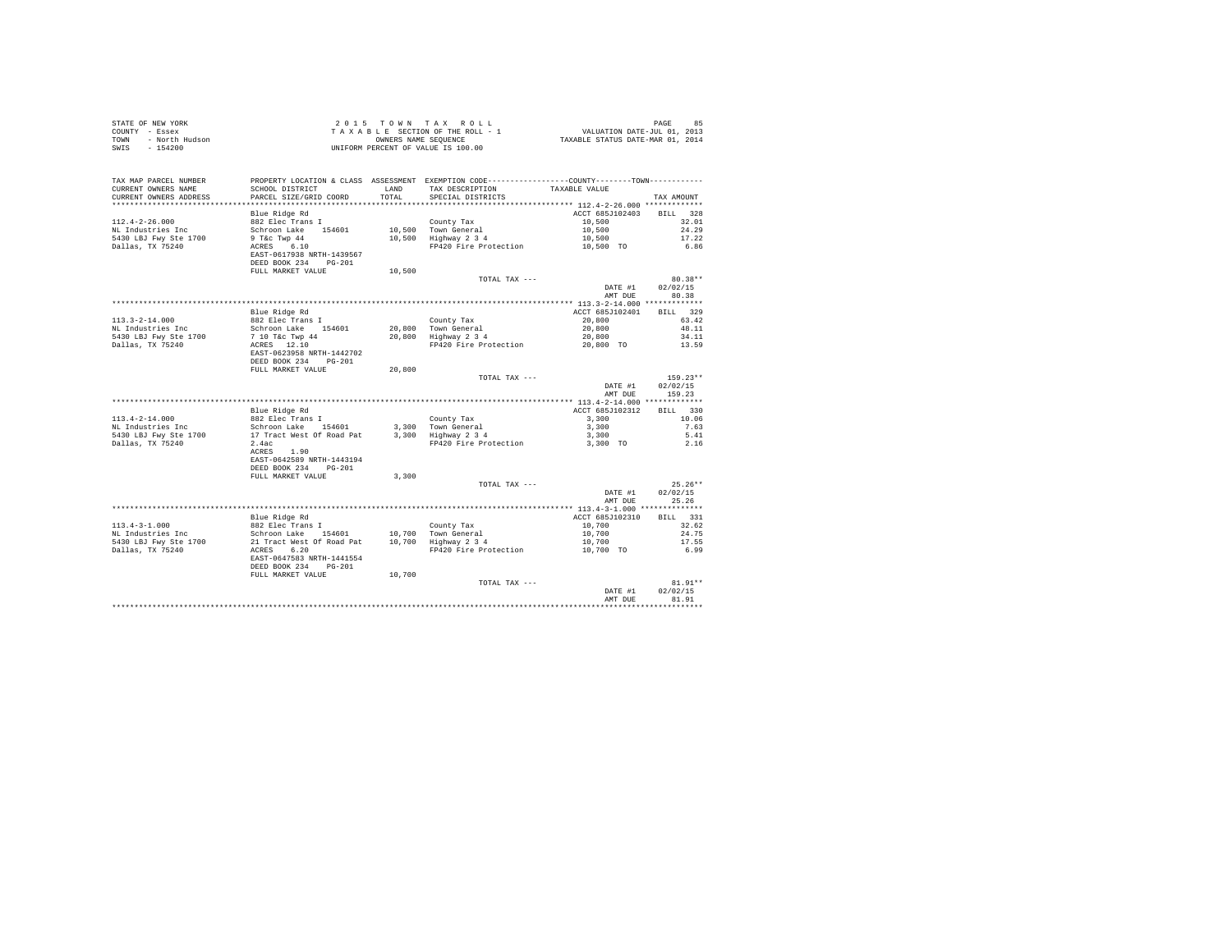| TAX MAP PARCEL NUMBER<br>CURRENT OWNERS NAME<br>CURRENT OWNERS ADDRESS                 | PARCEL SIZE/GRID COORD                                                                                                                      |        | PROPERTY LOCATION & CLASS ASSESSMENT EXEMPTION CODE---------------COUNTY-------TOWN---------                                                | TAXABLE VALUE                                   | TAX AMOUNT                       |
|----------------------------------------------------------------------------------------|---------------------------------------------------------------------------------------------------------------------------------------------|--------|---------------------------------------------------------------------------------------------------------------------------------------------|-------------------------------------------------|----------------------------------|
|                                                                                        |                                                                                                                                             |        |                                                                                                                                             |                                                 |                                  |
| $112.4 - 2 - 26.000$<br>NL Industries Inc<br>5430 LBJ Fwy Ste 1700<br>Dallas, TX 75240 | Blue Ridge Rd<br>882 Elec Trans I<br>Schroon Lake 154601<br>9 T&C Twp 44<br>ACRES 6.10<br>EAST-0617938 NRTH-1439567<br>DEED BOOK 234 PG-201 |        | County Tax<br>10,500 Town General<br>10,500 Highway 2 3 4<br>Town General 10,500<br>Highway 2 3 4 10,500<br>FP420 Fire Protection 10,500 TO | ACCT 685J102403 BILL 328<br>10,500              | 32.01<br>24.29<br>17.22<br>6.86  |
|                                                                                        | FULL MARKET VALUE                                                                                                                           | 10,500 |                                                                                                                                             |                                                 |                                  |
|                                                                                        |                                                                                                                                             |        | TOTAL TAX ---                                                                                                                               | DATE #1<br>AMT DUE                              | 80.38**<br>02/02/15<br>80.38     |
|                                                                                        |                                                                                                                                             |        |                                                                                                                                             |                                                 | BILL 329                         |
| $113.3 - 2 - 14.000$<br>NL Industries Inc                                              | Blue Ridge Rd<br>882 Elec Trans I                                                                                                           |        | County Tax<br>20,800 Town General<br>20,800 Highway 2 3 4                                                                                   | ACCT 685J102401<br>20,800                       | 63.42<br>48.11                   |
| 5430 LBJ Fwy Ste 1700<br>Dallas, TX 75240                                              | Schroon Lake<br>Schroon Lake<br>7 10 T&c Twp 44<br>ACRES 12.10<br>EAST-0623958 NRTH-1442702<br>DEED BOOK 234 PG-201<br>FULL MARKET VALUE    | 20,800 | FP420 Fire Protection                                                                                                                       | $20,800$<br>$20,800$<br>$20,800$ TO             | 34.11<br>13.59                   |
|                                                                                        |                                                                                                                                             |        | TOTAL TAX ---                                                                                                                               | DATE #1<br>AMT DUE                              | $159.23**$<br>02/02/15<br>159.23 |
|                                                                                        |                                                                                                                                             |        |                                                                                                                                             |                                                 |                                  |
|                                                                                        | Blue Ridge Rd                                                                                                                               |        |                                                                                                                                             | ACCT 685J102312                                 | BILL 330                         |
|                                                                                        |                                                                                                                                             |        |                                                                                                                                             |                                                 | 10.06                            |
|                                                                                        |                                                                                                                                             |        |                                                                                                                                             |                                                 | 7.63<br>5.41                     |
|                                                                                        | $2.4ac$<br>ACRES $1.90$<br>EAST-0642589 NRTH-1443194<br>DEED BOOK 234 PG-201                                                                |        |                                                                                                                                             |                                                 | 2.16                             |
|                                                                                        | FULL MARKET VALUE                                                                                                                           | 3,300  |                                                                                                                                             |                                                 |                                  |
|                                                                                        |                                                                                                                                             |        | TOTAL TAX ---                                                                                                                               | DATE #1<br>AMT DUE                              | $25.26**$<br>02/02/15<br>25.26   |
|                                                                                        |                                                                                                                                             |        |                                                                                                                                             |                                                 |                                  |
|                                                                                        |                                                                                                                                             |        |                                                                                                                                             | ACCT 685J102310                                 | BILL 331                         |
|                                                                                        |                                                                                                                                             |        |                                                                                                                                             |                                                 | 32.62<br>24.75                   |
|                                                                                        |                                                                                                                                             |        |                                                                                                                                             |                                                 | 17.55                            |
|                                                                                        | DEED BOOK 234 PG-201                                                                                                                        |        |                                                                                                                                             | $10,700$<br>$10,700$<br>$10,700$<br>$10,700$ TO | 6.99                             |
|                                                                                        | FULL MARKET VALUE                                                                                                                           | 10,700 | TOTAL TAX ---                                                                                                                               |                                                 | $81.91**$                        |
|                                                                                        |                                                                                                                                             |        |                                                                                                                                             | DATE #1<br>AMT DUR                              | 02/02/15<br>81.91                |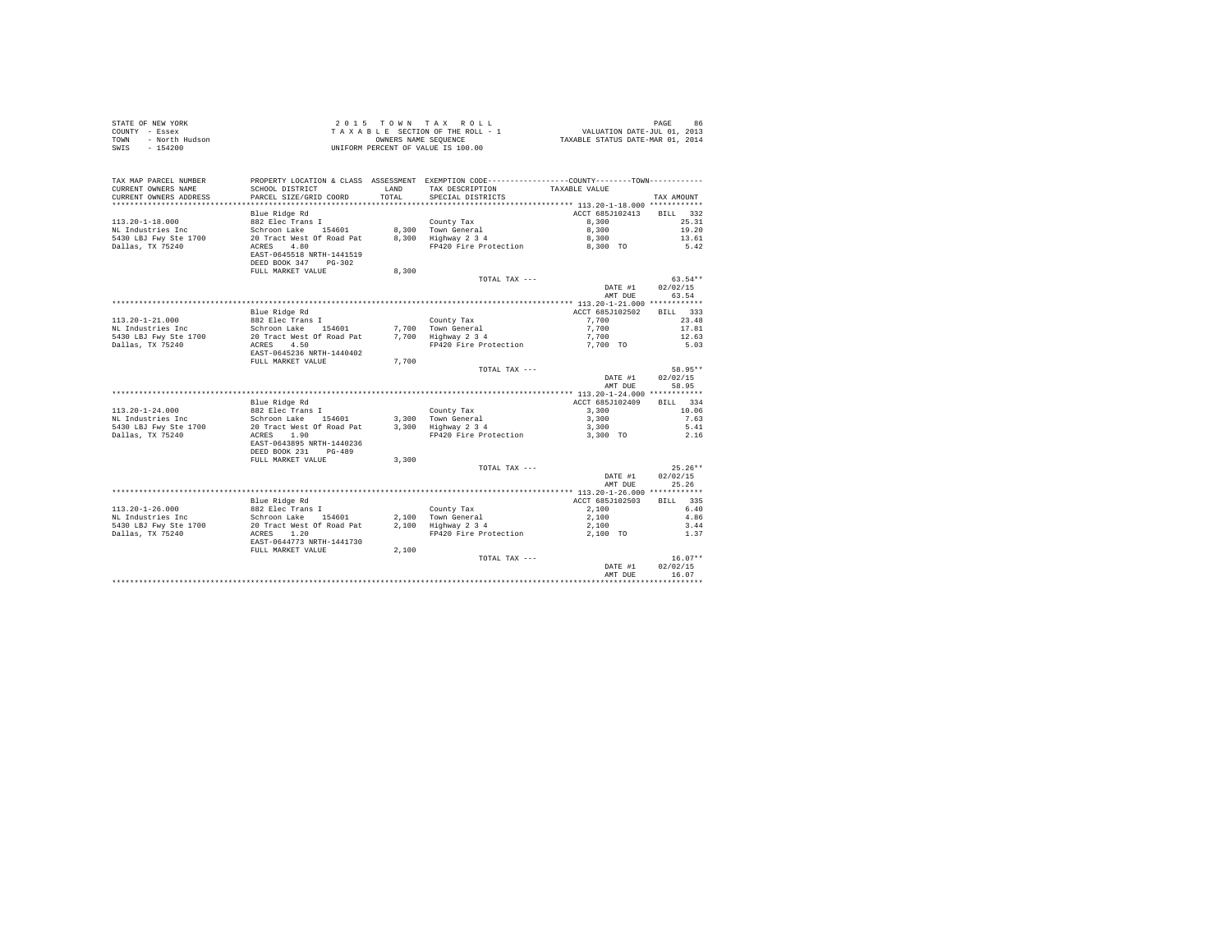| OF NEW YORK<br>Y - Essex<br>- North Hudson<br>- 154200<br>STATE OF NEW YORK<br>COUNTY - Essex |                                         |              | 2015 TOWN TAX ROLL<br>TAXABLE SECTION OF THE ROLL - 1                                           | 96 PAGE 86<br>VALUATION DATE-JUL 01, 2013<br>TAXABLE STATUS DATE-MAR 01, 2014 |                       |
|-----------------------------------------------------------------------------------------------|-----------------------------------------|--------------|-------------------------------------------------------------------------------------------------|-------------------------------------------------------------------------------|-----------------------|
| TOWN                                                                                          |                                         |              | OWNERS NAME SEQUENCE<br>RCENT OF VALUE IS 100 11                                                |                                                                               |                       |
| SWIS                                                                                          |                                         |              | UNIFORM PERCENT OF VALUE IS 100.00                                                              |                                                                               |                       |
|                                                                                               |                                         |              |                                                                                                 |                                                                               |                       |
|                                                                                               |                                         |              |                                                                                                 |                                                                               |                       |
|                                                                                               |                                         |              |                                                                                                 |                                                                               |                       |
| TAX MAP PARCEL NUMBER                                                                         |                                         |              | PROPERTY LOCATION & CLASS ASSESSMENT EXEMPTION CODE----------------COUNTY--------TOWN---------- |                                                                               |                       |
| CURRENT OWNERS NAME                                                                           | SCHOOL DISTRICT                         | <b>T.AND</b> | TAX DESCRIPTION                                                                                 | TAXABLE VALUE                                                                 |                       |
| CURRENT OWNERS ADDRESS                                                                        | PARCEL SIZE/GRID COORD                  | TOTAL        | SPECIAL DISTRICTS                                                                               |                                                                               | TAX AMOUNT            |
|                                                                                               |                                         |              |                                                                                                 |                                                                               |                       |
|                                                                                               | Blue Ridge Rd                           |              |                                                                                                 | ACCT 685J102413                                                               | BILL 332              |
| $113.20 - 1 - 18.000$                                                                         | 882 Elec Trans I                        |              |                                                                                                 | 8,300                                                                         | 25.31                 |
| NL Industries Inc                                                                             | Schroon Lake 154601                     |              | County Tax<br>8,300 Town General<br>8,300 Highway 2 3 4                                         | 8,300                                                                         | 19.20                 |
| 5430 LBJ Fwy Ste 1700                                                                         | 20 Tract West Of Road Pat               |              |                                                                                                 | 8,300                                                                         | 13.61                 |
| Dallas, TX 75240                                                                              | ACRES 4.80<br>EAST-0645518 NRTH-1441519 |              | FP420 Fire Protection                                                                           | 8,300 TO                                                                      | 5.42                  |
|                                                                                               | DEED BOOK 347 PG-302                    |              |                                                                                                 |                                                                               |                       |
|                                                                                               | FULL MARKET VALUE                       | 8,300        |                                                                                                 |                                                                               |                       |
|                                                                                               |                                         |              | TOTAL TAX ---                                                                                   |                                                                               | $63.54**$             |
|                                                                                               |                                         |              |                                                                                                 | DATE #1                                                                       | 02/02/15              |
|                                                                                               |                                         |              |                                                                                                 | AMT DUE                                                                       | 63.54                 |
|                                                                                               |                                         |              |                                                                                                 |                                                                               |                       |
|                                                                                               | Blue Ridge Rd                           |              |                                                                                                 | ACCT 685J102502                                                               | BILL 333              |
| 113.20-1-21.000                                                                               | 882 Elec Trans I                        |              | County Tax                                                                                      | 7,700                                                                         | 23.48                 |
| NL Industries Inc                                                                             | Schroon Lake 154601                     |              | 7,700 Town General<br>7,700 Highway 2 3 4                                                       | 7,700                                                                         | 17.81                 |
| 5430 LBJ Fwy Ste 1700                                                                         | 20 Tract West Of Road Pat               |              |                                                                                                 | 7,700                                                                         | 12.63                 |
| Dallas, TX 75240                                                                              | ACRES 4.50                              |              | FP420 Fire Protection                                                                           | 7,700 TO                                                                      | 5.03                  |
|                                                                                               | EAST-0645236 NRTH-1440402               |              |                                                                                                 |                                                                               |                       |
|                                                                                               | FULL MARKET VALUE                       | 7,700        |                                                                                                 |                                                                               |                       |
|                                                                                               |                                         |              | TOTAL TAX ---                                                                                   |                                                                               | 58.95**               |
|                                                                                               |                                         |              |                                                                                                 | DATE #1                                                                       | 02/02/15              |
|                                                                                               |                                         |              |                                                                                                 | AMT DUE                                                                       | 58.95                 |
|                                                                                               |                                         |              |                                                                                                 |                                                                               |                       |
|                                                                                               | Blue Ridge Rd                           |              |                                                                                                 | ACCT 685J102409                                                               | BILL 334              |
| $113.20 - 1 - 24.000$<br>NL Industries Inc                                                    | 882 Elec Trans I<br>Schroon Lake 154601 |              | County Tax<br>3,300 Town General                                                                | 3,300<br>3,300                                                                | 10.06<br>7.63         |
| 5430 LBJ Fwy Ste 1700                                                                         | 20 Tract West Of Road Pat               |              | 3,300 Town General<br>3,300 Highway 2 3 4                                                       | 3,300                                                                         | 5.41                  |
| Dallas, TX 75240                                                                              | ACRES 1.90                              |              | FP420 Fire Protection                                                                           | 3,300 TO                                                                      | 2.16                  |
|                                                                                               | EAST-0643895 NRTH-1440236               |              |                                                                                                 |                                                                               |                       |
|                                                                                               | DEED BOOK 231 PG-489                    |              |                                                                                                 |                                                                               |                       |
|                                                                                               | FULL MARKET VALUE                       | 3,300        |                                                                                                 |                                                                               |                       |
|                                                                                               |                                         |              | TOTAL TAX ---                                                                                   |                                                                               | $25.26**$             |
|                                                                                               |                                         |              |                                                                                                 | DATE #1                                                                       | 02/02/15              |
|                                                                                               |                                         |              |                                                                                                 | AMT DUE                                                                       | 25.26                 |
|                                                                                               |                                         |              |                                                                                                 |                                                                               |                       |
|                                                                                               | Blue Ridge Rd                           |              |                                                                                                 | ACCT 685J102503                                                               | BILL 335              |
| $113.20 - 1 - 26.000$                                                                         | 882 Elec Trans I                        |              |                                                                                                 | 2,100                                                                         | 6.40                  |
| NL Industries Inc                                                                             | Schroon Lake 154601                     |              | County Tax<br>2,100 Town General<br>2,100 Highway 2 3 4                                         | 2,100                                                                         | 4.86                  |
| 5430 LBJ Fwy Ste 1700                                                                         | 20 Tract West Of Road Pat               |              |                                                                                                 | 2,100                                                                         | 3.44                  |
| Dallas, TX 75240                                                                              | ACRES 1.20                              |              | FP420 Fire Protection                                                                           | 2,100 TO                                                                      | 1.37                  |
|                                                                                               | EAST-0644773 NRTH-1441730               |              |                                                                                                 |                                                                               |                       |
|                                                                                               | FULL MARKET VALUE                       | 2,100        |                                                                                                 |                                                                               |                       |
|                                                                                               |                                         |              | TOTAL TAX ---                                                                                   | DATE #1                                                                       | $16.07**$<br>02/02/15 |
|                                                                                               |                                         |              |                                                                                                 | AMT DUE                                                                       | 16.07                 |
|                                                                                               |                                         |              |                                                                                                 |                                                                               | .                     |
|                                                                                               |                                         |              |                                                                                                 |                                                                               |                       |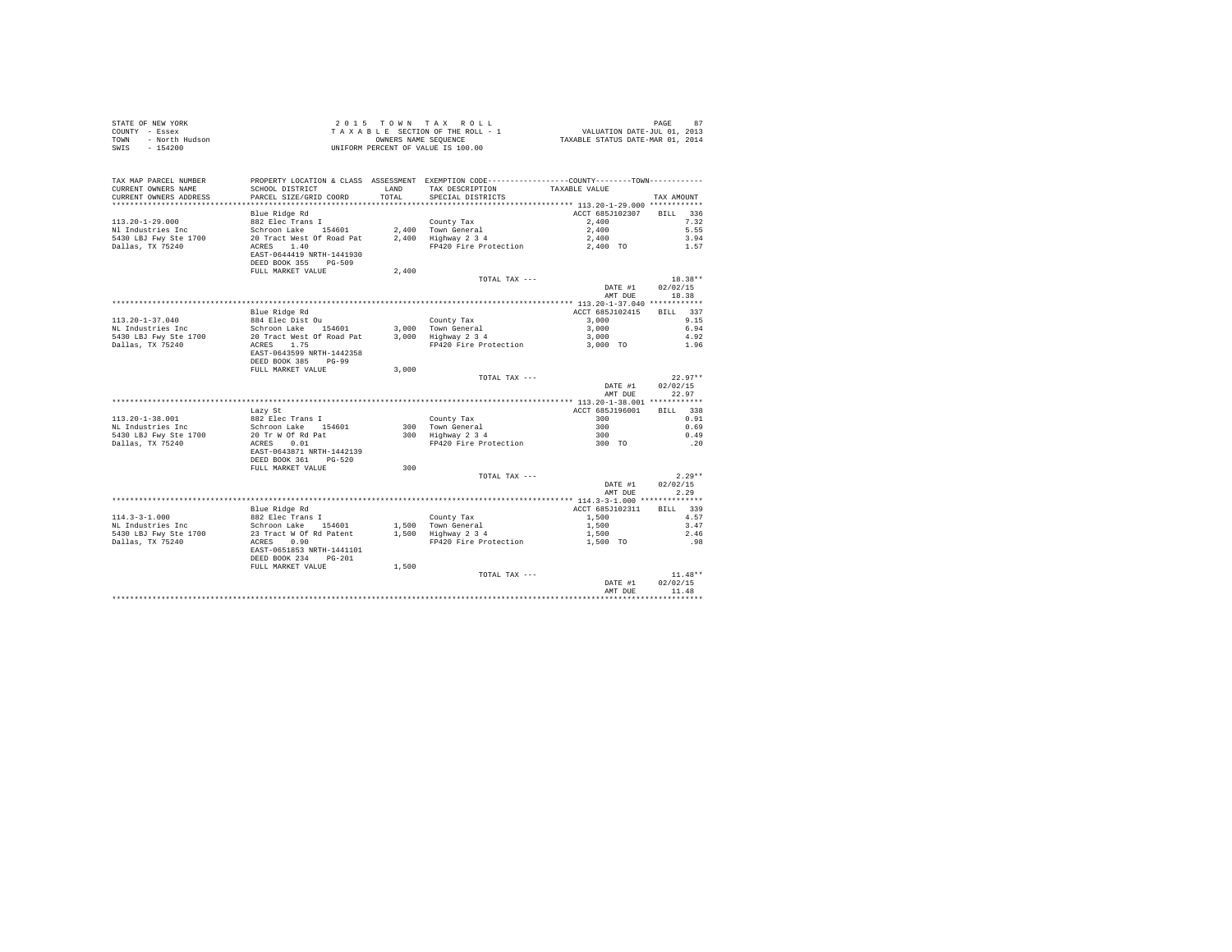| STATE OF NEW YORK<br>COUNTY - Essex<br>TOWN - North Hudson<br>SWIS<br>$-154200$ |                                                                                                                                                                                                                                |               | UNIFORM PERCENT OF VALUE IS 100.00                  |                    |                   |
|---------------------------------------------------------------------------------|--------------------------------------------------------------------------------------------------------------------------------------------------------------------------------------------------------------------------------|---------------|-----------------------------------------------------|--------------------|-------------------|
| TAX MAP PARCEL NUMBER<br>CURRENT OWNERS NAME<br>CURRENT OWNERS ADDRESS          | PROPERTY LOCATION & CLASS ASSESSMENT EXEMPTION CODE----------------COUNTY-------TOWN----------<br>SCHOOL DISTRICT<br>PARCEL SIZE/GRID COORD                                                                                    | LAND<br>TOTAL | TAX DESCRIPTION TAXABLE VALUE<br>SPECIAL DISTRICTS  |                    | TAX AMOUNT        |
|                                                                                 |                                                                                                                                                                                                                                |               |                                                     |                    |                   |
|                                                                                 |                                                                                                                                                                                                                                |               |                                                     | ACCT 685J102307    | BILL 336          |
| 113.20-1-29.000                                                                 |                                                                                                                                                                                                                                |               |                                                     | 2,400              | 7.32              |
| Nl Industries Inc                                                               |                                                                                                                                                                                                                                |               |                                                     | 2,400              | 5.55              |
| 5430 LBJ Fwy Ste 1700<br>Dallas, TX 75240                                       |                                                                                                                                                                                                                                |               | FP420 Fire Protection 2,400 TO                      | 2,400              | 3.94<br>1.57      |
|                                                                                 | %%% Elec Trans I<br>Schroon Lake 154601 2,400 Town General<br>20 Tract West of Road Pat 2,400 Highway 2 3 4<br>ACEES 1,400 Highway 2 3 4<br>FRAT-0644419<br>FRAT-0644419<br>EAST-0644419 NRTH-1441930<br>DEED BOOK 355 PG-509  |               |                                                     |                    |                   |
|                                                                                 | FULL MARKET VALUE                                                                                                                                                                                                              | 2,400         |                                                     |                    |                   |
|                                                                                 |                                                                                                                                                                                                                                |               | TOTAL TAX ---                                       |                    | $18.38**$         |
|                                                                                 |                                                                                                                                                                                                                                |               |                                                     | DATE #1<br>AMT DUE | 02/02/15<br>18.38 |
|                                                                                 |                                                                                                                                                                                                                                |               |                                                     |                    |                   |
|                                                                                 | Blue Ridge Rd                                                                                                                                                                                                                  |               |                                                     | ACCT 685J102415    | BILL 337<br>9.15  |
| $113.20 - 1 - 37.040$<br>NL Industries Inc                                      |                                                                                                                                                                                                                                |               |                                                     |                    | 6.94              |
| 5430 LBJ Fwy Ste 1700                                                           |                                                                                                                                                                                                                                |               |                                                     |                    | 4.92              |
| Dallas, TX 75240                                                                | According the Distribution of the County Tax and According the School of the School of the School of the School of the School of the School of the School of the School of the School of the School of the School of the Schoo |               |                                                     |                    | 1.96              |
|                                                                                 | EAST-0643599 NRTH-1442358<br>DEED BOOK 385 PG-99                                                                                                                                                                               |               |                                                     |                    |                   |
|                                                                                 | FULL MARKET VALUE                                                                                                                                                                                                              | 3,000         |                                                     |                    |                   |
|                                                                                 |                                                                                                                                                                                                                                |               | TOTAL TAX ---                                       |                    | $22.97**$         |
|                                                                                 |                                                                                                                                                                                                                                |               |                                                     | DATE #1<br>AMT DUE | 02/02/15<br>22.97 |
|                                                                                 | Lazy St                                                                                                                                                                                                                        |               |                                                     | ACCT 685J196001    | BILL 338          |
| 113.20-1-38.001                                                                 |                                                                                                                                                                                                                                |               |                                                     | 300                | 0.91              |
| NL Industries Inc                                                               |                                                                                                                                                                                                                                |               |                                                     |                    | 0.69              |
| 5430 LBJ Fwy Ste 1700                                                           |                                                                                                                                                                                                                                |               | County Tax<br>300 Town General<br>300 Highway 2 3 4 | $\frac{300}{300}$  | 0.49              |
| Dallas, TX 75240                                                                | Hazy St<br>882 Elec Trans I<br>Schroon Lake 154601<br>20 Tr W Of Rd Pat<br>ACRES 0.01                                                                                                                                          |               | FRANCE Protection 300 TO                            |                    | .20               |
|                                                                                 | EAST-0643871 NRTH-1442139<br>DEED BOOK 361 PG-520                                                                                                                                                                              |               |                                                     |                    |                   |
|                                                                                 | FULL MARKET VALUE                                                                                                                                                                                                              | 300           |                                                     |                    |                   |
|                                                                                 |                                                                                                                                                                                                                                |               | TOTAL TAX ---                                       |                    | $2.29**$          |
|                                                                                 |                                                                                                                                                                                                                                |               |                                                     | DATE #1<br>AMT DUE | 02/02/15<br>2.29  |
|                                                                                 |                                                                                                                                                                                                                                |               |                                                     |                    |                   |
|                                                                                 | Blue Ridge Rd                                                                                                                                                                                                                  |               |                                                     | ACCT 685J102311    | BTLL 339          |
|                                                                                 |                                                                                                                                                                                                                                |               |                                                     |                    | 4.57              |
|                                                                                 |                                                                                                                                                                                                                                |               |                                                     |                    | 3.47              |
|                                                                                 |                                                                                                                                                                                                                                |               |                                                     |                    | 2.46              |
|                                                                                 | EAST-0651853 NRTH-1441101                                                                                                                                                                                                      |               |                                                     |                    | .98               |
|                                                                                 | DEED BOOK 234 PG-201<br>FULL MARKET VALUE                                                                                                                                                                                      |               |                                                     |                    |                   |
|                                                                                 |                                                                                                                                                                                                                                | 1,500         | TOTAL TAX ---                                       |                    | $11.48**$         |
|                                                                                 |                                                                                                                                                                                                                                |               |                                                     | DATE #1            | 02/02/15          |
|                                                                                 |                                                                                                                                                                                                                                |               |                                                     | AMT DUE            | 11.48             |
|                                                                                 |                                                                                                                                                                                                                                |               |                                                     |                    |                   |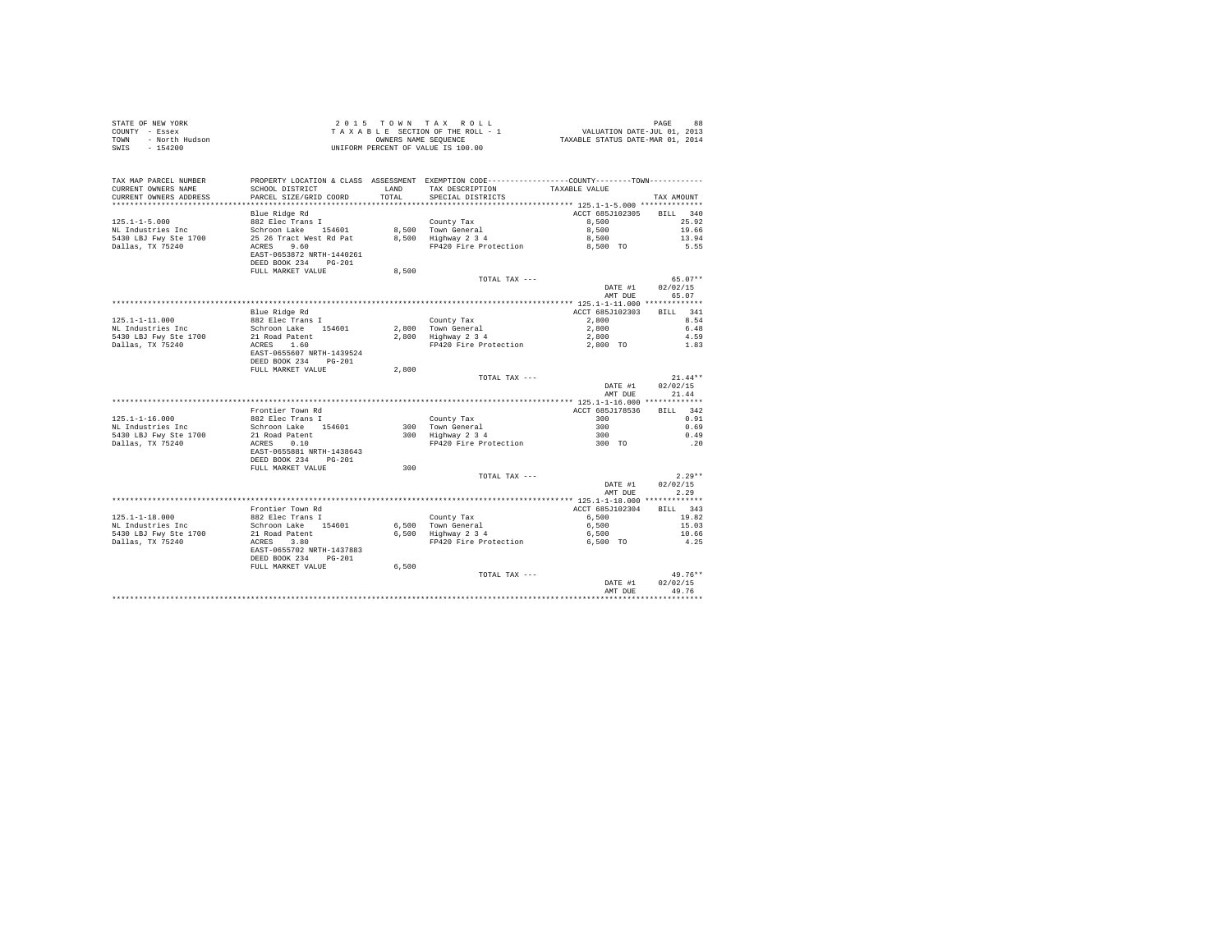| STATE OF NEW YORK<br>COUNTY - Essex<br>TOWN - North Hudson<br>SWIS - 154200 |                                                                                                                                             |               | UNIFORM PERCENT OF VALUE IS 100.00                                                                                                                                                                                                                |                    |                   |
|-----------------------------------------------------------------------------|---------------------------------------------------------------------------------------------------------------------------------------------|---------------|---------------------------------------------------------------------------------------------------------------------------------------------------------------------------------------------------------------------------------------------------|--------------------|-------------------|
| TAX MAP PARCEL NUMBER<br>CURRENT OWNERS NAME<br>CURRENT OWNERS ADDRESS      | PROPERTY LOCATION & CLASS ASSESSMENT EXEMPTION CODE----------------COUNTY-------TOWN----------<br>SCHOOL DISTRICT<br>PARCEL SIZE/GRID COORD | LAND<br>TOTAL | TAX DESCRIPTION TAXABLE VALUE<br>SPECIAL DISTRICTS                                                                                                                                                                                                |                    | TAX AMOUNT        |
|                                                                             |                                                                                                                                             |               |                                                                                                                                                                                                                                                   |                    |                   |
|                                                                             | Blue Ridge Rd                                                                                                                               |               |                                                                                                                                                                                                                                                   | ACCT 685J102305    | BILL 340          |
| $125.1 - 1 - 5.000$                                                         | 882 Elec Trans I                                                                                                                            |               |                                                                                                                                                                                                                                                   | 8,500              | 25.92             |
| NL Industries Inc                                                           | Schroon Lake 154601<br>25 26 Tract West Rd Pat<br>ACRES 9.60<br>25 26 Tract West Rd Pat                                                     |               | County Tax<br>8,500 Town General<br>8,500 Highway 2 3 4                                                                                                                                                                                           | 8,500<br>8,500     | 19.66             |
| 5430 LBJ Fwy Ste 1700<br>Dallas, TX 75240                                   |                                                                                                                                             |               | FP420 Fire Protection 8,500 TO                                                                                                                                                                                                                    |                    | 13.94<br>5.55     |
|                                                                             | EAST-0653872 NRTH-1440261<br>DEED BOOK 234 PG-201                                                                                           |               |                                                                                                                                                                                                                                                   |                    |                   |
|                                                                             | FULL MARKET VALUE                                                                                                                           | 8,500         |                                                                                                                                                                                                                                                   |                    |                   |
|                                                                             |                                                                                                                                             |               | TOTAL TAX ---                                                                                                                                                                                                                                     |                    | $65.07**$         |
|                                                                             |                                                                                                                                             |               |                                                                                                                                                                                                                                                   | DATE #1<br>AMT DUE | 02/02/15<br>65.07 |
|                                                                             |                                                                                                                                             |               |                                                                                                                                                                                                                                                   |                    |                   |
|                                                                             | Blue Ridge Rd                                                                                                                               |               |                                                                                                                                                                                                                                                   | ACCT 685J102303    | BILL 341          |
| $125.1 - 1 - 11.000$<br>NL Industries Inc                                   |                                                                                                                                             |               |                                                                                                                                                                                                                                                   |                    |                   |
| 5430 LBJ Fwy Ste 1700                                                       |                                                                                                                                             |               |                                                                                                                                                                                                                                                   |                    |                   |
| Dallas, TX 75240                                                            | ------ nurge Ru<br>Schroon Lake 154601<br>21 Road Patent<br>ACRES 1.60                                                                      |               | County Tax 200 2,800<br>2,800 Town General 2,800 6.48<br>2,800 45.800 6.489<br>2,800 459<br>PP420 Fire Protection 2,800 TO 4.59                                                                                                                   |                    |                   |
|                                                                             | EAST-0655607 NRTH-1439524<br>DEED BOOK 234 PG-201                                                                                           |               |                                                                                                                                                                                                                                                   |                    |                   |
|                                                                             | FULL MARKET VALUE                                                                                                                           | 2,800         |                                                                                                                                                                                                                                                   |                    |                   |
|                                                                             |                                                                                                                                             |               | TOTAL TAX ---                                                                                                                                                                                                                                     |                    | $21.44**$         |
|                                                                             |                                                                                                                                             |               |                                                                                                                                                                                                                                                   | DATE #1<br>AMT DUE | 02/02/15<br>21.44 |
|                                                                             |                                                                                                                                             |               |                                                                                                                                                                                                                                                   |                    |                   |
|                                                                             | Frontier Town Rd<br>882 Elec Trans I                                                                                                        |               |                                                                                                                                                                                                                                                   | ACCT 685J178536    | BILL 342          |
| $125.1 - 1 - 16.000$<br>NL Industries Inc                                   | Schroon Lake 154601                                                                                                                         |               |                                                                                                                                                                                                                                                   |                    | 0.91<br>0.69      |
| 5430 LBJ Fwy Ste 1700                                                       |                                                                                                                                             |               |                                                                                                                                                                                                                                                   |                    | 0.49              |
| Dallas, TX 75240                                                            | 21 Road Patent<br>ACRES 0.10                                                                                                                |               |                                                                                                                                                                                                                                                   |                    | .20               |
|                                                                             | EAST-0655881 NRTH-1438643<br>DEED BOOK 234 PG-201                                                                                           |               |                                                                                                                                                                                                                                                   |                    |                   |
|                                                                             | FULL MARKET VALUE                                                                                                                           | 300           |                                                                                                                                                                                                                                                   |                    |                   |
|                                                                             |                                                                                                                                             |               | TOTAL TAX ---                                                                                                                                                                                                                                     |                    | $2.29**$          |
|                                                                             |                                                                                                                                             |               |                                                                                                                                                                                                                                                   | DATE #1            | 02/02/15          |
|                                                                             |                                                                                                                                             |               |                                                                                                                                                                                                                                                   | AMT DUE            | 2.29              |
|                                                                             | Frontier Town Rd                                                                                                                            |               |                                                                                                                                                                                                                                                   | ACCT 685J102304    | BILL 343          |
|                                                                             |                                                                                                                                             |               |                                                                                                                                                                                                                                                   |                    | 19.82             |
|                                                                             |                                                                                                                                             |               |                                                                                                                                                                                                                                                   |                    | 15.03             |
|                                                                             |                                                                                                                                             |               | $\begin{array}{llll} \text{Country Tax} & \text{6,500} \\ \text{6,500} & \text{ Town General} & \text{6,500} \\ \text{6,500} & \text{Highwave 2 3 4} & \text{6,500} \\ \text{6,500} & \text{Fp420 Fire Protection} & \text{6,500} \\ \end{array}$ |                    | 10.66             |
|                                                                             |                                                                                                                                             |               |                                                                                                                                                                                                                                                   |                    | 4.25              |
|                                                                             | DEED BOOK 234 PG-201                                                                                                                        |               |                                                                                                                                                                                                                                                   |                    |                   |
|                                                                             | FULL MARKET VALUE                                                                                                                           | 6,500         |                                                                                                                                                                                                                                                   |                    |                   |
|                                                                             |                                                                                                                                             |               | TOTAL TAX ---                                                                                                                                                                                                                                     |                    | $49.76**$         |
|                                                                             |                                                                                                                                             |               |                                                                                                                                                                                                                                                   | DATE #1            | 02/02/15          |
|                                                                             |                                                                                                                                             |               |                                                                                                                                                                                                                                                   | AMT DUE            | 49.76             |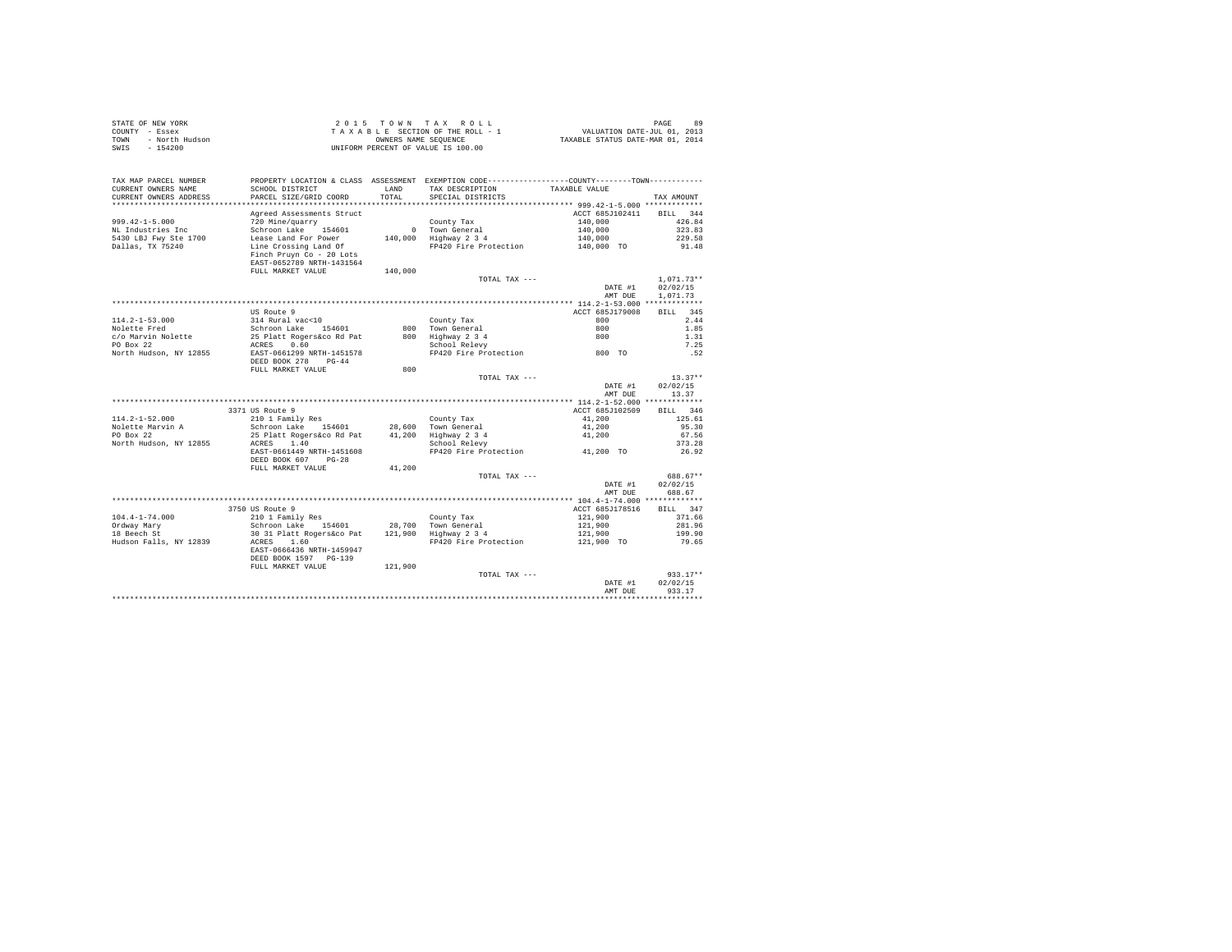|      | STATE OF NEW YORK | 2015 TOWN TAX ROLL                 | PAGE                             | 89 |
|------|-------------------|------------------------------------|----------------------------------|----|
|      | COUNTY - Essex    | TAXABLE SECTION OF THE ROLL - 1    | VALUATION DATE-JUL 01, 2013      |    |
| TOWN | - North Hudson    | OWNERS NAME SEOUENCE               | TAXABLE STATUS DATE-MAR 01, 2014 |    |
| SWIS | - 154200          | UNIFORM PERCENT OF VALUE IS 100.00 |                                  |    |
|      |                   |                                    |                                  |    |
|      |                   |                                    |                                  |    |

| TAX MAP PARCEL NUMBER  | PROPERTY LOCATION & CLASS ASSESSMENT EXEMPTION CODE---------------COUNTY-------TOWN---------- |         |                                              |                                          |              |
|------------------------|-----------------------------------------------------------------------------------------------|---------|----------------------------------------------|------------------------------------------|--------------|
| CURRENT OWNERS NAME    | SCHOOL DISTRICT                                                                               | LAND    | TAX DESCRIPTION                              | TAXABLE VALUE                            |              |
| CURRENT OWNERS ADDRESS | PARCEL SIZE/GRID COORD                                                                        | TOTAL   | SPECIAL DISTRICTS                            |                                          | TAX AMOUNT   |
|                        |                                                                                               |         |                                              | **************** 999.42-1-5.000 ******** |              |
|                        | Agreed Assessments Struct                                                                     |         |                                              | ACCT 685J102411                          | BILL 344     |
| $999.42 - 1 - 5.000$   | 720 Mine/guarry                                                                               |         | County Tax                                   | 140,000                                  | 426.84       |
| NL Industries Inc      | Schroon Lake 154601                                                                           |         |                                              |                                          | 323.83       |
| 5430 LBJ Fwy Ste 1700  | Lease Land For Power                                                                          |         | $0$ Town General<br>140,000 Highway 2 3 4    | 140,000<br>140,000                       | 229.58       |
| Dallas, TX 75240       | Line Crossing Land Of                                                                         |         | FP420 Fire Protection                        | 140,000 TO                               | 91.48        |
|                        |                                                                                               |         |                                              |                                          |              |
|                        | Finch Pruyn Co - 20 Lots                                                                      |         |                                              |                                          |              |
|                        | EAST-0652789 NRTH-1431564                                                                     |         |                                              |                                          |              |
|                        | FULL MARKET VALUE                                                                             | 140,000 |                                              |                                          |              |
|                        |                                                                                               |         | TOTAL TAX ---                                |                                          | $1.071.73**$ |
|                        |                                                                                               |         |                                              | DATE #1                                  | 02/02/15     |
|                        |                                                                                               |         |                                              | AMT DUE                                  | 1,071,73     |
|                        |                                                                                               |         |                                              |                                          |              |
|                        | US Route 9                                                                                    |         |                                              | ACCT 685J179008                          | BILL 345     |
| $114.2 - 1 - 53.000$   | 314 Rural vac<10                                                                              |         | County Tax                                   | 800                                      | 2.44         |
| Nolette Fred           | Schroon Lake 154601                                                                           |         | 800 Town General                             | 800                                      | 1.85         |
| c/o Marvin Nolette     | 25 Platt Rogers&co Rd Pat                                                                     |         | 800 Highway 2 3 4                            | 800                                      | 1.31         |
| PO Box 22              | 0.60<br>ACRES                                                                                 |         | School Relevy                                |                                          | 7.25         |
| North Hudson, NY 12855 | EAST-0661299 NRTH-1451578                                                                     |         | FP420 Fire Protection                        | $800$ TO                                 | .52          |
|                        | DEED BOOK 278<br>$PG-44$                                                                      |         |                                              |                                          |              |
|                        | FULL MARKET VALUE                                                                             | 800     |                                              |                                          |              |
|                        |                                                                                               |         | TOTAL TAX ---                                |                                          | $13.37**$    |
|                        |                                                                                               |         |                                              |                                          |              |
|                        |                                                                                               |         |                                              | DATE #1                                  | 02/02/15     |
|                        |                                                                                               |         |                                              | AMT DUE                                  | 13.37        |
|                        |                                                                                               |         |                                              |                                          |              |
|                        | 3371 US Route 9                                                                               |         |                                              | ACCT 685J102509                          | BILL 346     |
| $114.2 - 1 - 52.000$   | 210 1 Family Res                                                                              |         | County Tax                                   | 41,200                                   | 125.61       |
| Nolette Marvin A       | Schroon Lake 154601                                                                           |         | 28,600 Town General                          | 41,200                                   | 95.30        |
| PO Box 22              | 25 Platt Rogers&co Rd Pat                                                                     |         | 41,200 Highway 2 3 4                         | 41,200                                   | 67.56        |
| North Hudson, NY 12855 | ACRES 1.40                                                                                    |         | School Relevy                                |                                          | 373.28       |
|                        | EAST-0661449 NRTH-1451608                                                                     |         | FP420 Fire Protection 41,200 TO              |                                          | 26.92        |
|                        | DEED BOOK 607 PG-28                                                                           |         |                                              |                                          |              |
|                        | FULL MARKET VALUE                                                                             | 41,200  |                                              |                                          |              |
|                        |                                                                                               |         | TOTAL TAX ---                                |                                          | 688.67**     |
|                        |                                                                                               |         |                                              | DATE #1                                  | 02/02/15     |
|                        |                                                                                               |         |                                              | AMT DUE                                  | 688.67       |
|                        |                                                                                               |         |                                              |                                          |              |
|                        | 3750 US Route 9                                                                               |         |                                              | ACCT 685J178516                          | BILL 347     |
| $104.4 - 1 - 74.000$   | 210 1 Family Res                                                                              |         |                                              | 121,900                                  | 371.66       |
|                        |                                                                                               |         | County Tax                                   | 121,900                                  | 281.96       |
| Ordway Mary            | Schroon Lake 154601<br>30 31 Platt Rogers&co Pat                                              |         | 28,700 Town General<br>121,900 Highway 2 3 4 |                                          |              |
| 18 Beech St            |                                                                                               |         |                                              | 121,900                                  | 199.90       |
| Hudson Falls, NY 12839 | ACRES 1.60                                                                                    |         | FP420 Fire Protection                        | 121,900 TO                               | 79.65        |
|                        | EAST-0666436 NRTH-1459947                                                                     |         |                                              |                                          |              |
|                        | DEED BOOK 1597 PG-139                                                                         |         |                                              |                                          |              |
|                        | FULL MARKET VALUE                                                                             | 121,900 |                                              |                                          |              |
|                        |                                                                                               |         | TOTAL TAX ---                                |                                          | $933.17**$   |
|                        |                                                                                               |         |                                              | DATE #1                                  | 02/02/15     |
|                        |                                                                                               |         |                                              | AMT DUE                                  | 933.17       |
|                        |                                                                                               |         |                                              |                                          |              |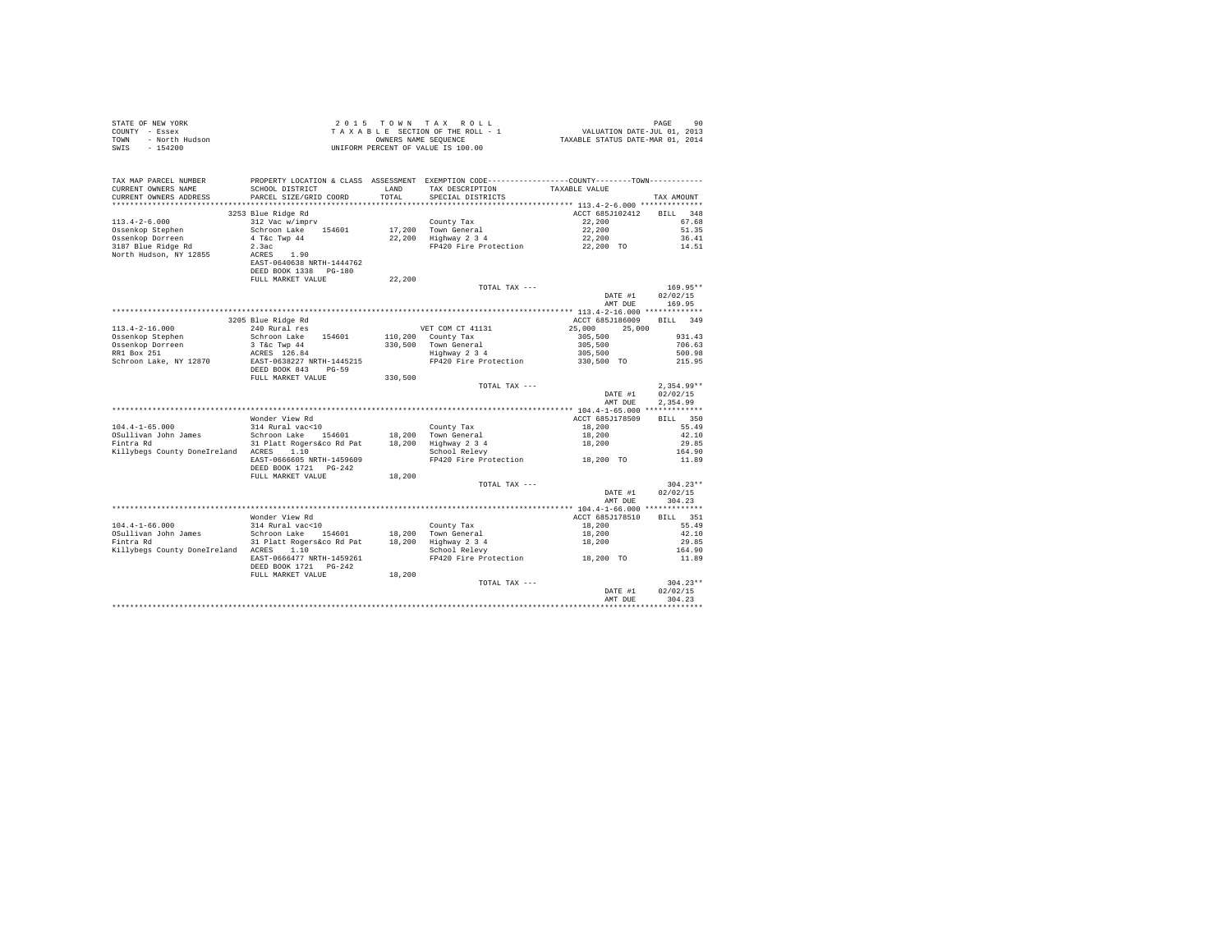| STATE OF NEW YORK<br>COUNTY - Essex<br>- North Hudson<br>TOWN<br>$-154200$<br>SWIS |                                                                  |               | 2015 TOWN TAX ROLL<br>TAXABLE SECTION OF THE ROLL - 1<br>OWNERS NAME SEQUENCE<br>UNIFORM PERCENT OF VALUE IS 100.00                     | 90 PAGE<br>2013 VALUATION DATE-JUL<br>2014 TAXABLE STATUS DATE-MAR | PAGE<br>90             |
|------------------------------------------------------------------------------------|------------------------------------------------------------------|---------------|-----------------------------------------------------------------------------------------------------------------------------------------|--------------------------------------------------------------------|------------------------|
| TAX MAP PARCEL NUMBER<br>CURRENT OWNERS NAME<br>CURRENT OWNERS ADDRESS             | SCHOOL DISTRICT<br>PARCEL SIZE/GRID COORD                        | LAND<br>TOTAL | PROPERTY LOCATION & CLASS ASSESSMENT EXEMPTION CODE----------------COUNTY--------TOWN----------<br>TAX DESCRIPTION<br>SPECIAL DISTRICTS | TAXABLE VALUE                                                      | TAX AMOUNT             |
|                                                                                    | 3253 Blue Ridge Rd                                               |               |                                                                                                                                         | ACCT 685J102412                                                    | RTT.T. 348             |
| $113.4 - 2 - 6.000$                                                                | 312 Vac w/imprv                                                  |               | County Tax                                                                                                                              | 22,200                                                             | 67.68                  |
| Ossenkop Stephen                                                                   | Schroon Lake<br>154601                                           |               |                                                                                                                                         | 22,200                                                             | 51.35                  |
| Ossenkop Dorreen                                                                   | 4 T&c Twp 44                                                     |               | 17,200 Town General<br>22,200 Highway 2 3 4                                                                                             | 22,200                                                             | 36.41                  |
| 3187 Blue Ridge Rd                                                                 | 2.3ac                                                            |               | FP420 Fire Protection                                                                                                                   | 22,200 TO                                                          | 14.51                  |
| North Hudson, NY 12855                                                             | ACRES 1.90<br>EAST-0640638 NRTH-1444762<br>DEED BOOK 1338 PG-180 |               |                                                                                                                                         |                                                                    |                        |
|                                                                                    | FULL MARKET VALUE                                                | 22,200        |                                                                                                                                         |                                                                    |                        |
|                                                                                    |                                                                  |               | TOTAL TAX ---                                                                                                                           |                                                                    | 169.95**               |
|                                                                                    |                                                                  |               |                                                                                                                                         | DATE #1<br>AMT DUE                                                 | 02/02/15<br>169.95     |
|                                                                                    |                                                                  |               |                                                                                                                                         |                                                                    |                        |
|                                                                                    | 3205 Blue Ridge Rd                                               |               |                                                                                                                                         | ACCT 685J186009 BILL 349                                           |                        |
| $113.4 - 2 - 16.000$                                                               | 240 Rural res                                                    |               | VET COM CT 41131                                                                                                                        | 25,000<br>25,000                                                   |                        |
| Ossenkop Stephen                                                                   | Schroon Lake<br>154601                                           |               | 110,200 County Tax                                                                                                                      | 305,500                                                            | 931.43                 |
| Ossenkop Dorreen                                                                   | 3 T&C Twp 44<br>ACRES 126.84                                     | 330,500       | Town General<br>Highway 2 3 4                                                                                                           | 305,500                                                            | 706.63                 |
| RR1 Box 251<br>Schroon Lake, NY 12870                                              | EAST-0638227 NRTH-1445215                                        |               | FP420 Fire Protection                                                                                                                   | 305,500<br>330,500 TO                                              | 500.98<br>215.95       |
|                                                                                    | DEED BOOK 843 PG-59                                              |               |                                                                                                                                         |                                                                    |                        |
|                                                                                    | FULL MARKET VALUE                                                | 330,500       |                                                                                                                                         |                                                                    |                        |
|                                                                                    |                                                                  |               | TOTAL TAX ---                                                                                                                           |                                                                    | $2.354.99**$           |
|                                                                                    |                                                                  |               |                                                                                                                                         | DATE #1                                                            | 02/02/15               |
|                                                                                    |                                                                  |               |                                                                                                                                         | AMT DUE                                                            | 2.354.99               |
|                                                                                    | Wonder View Rd                                                   |               |                                                                                                                                         | ACCT 685J178509                                                    | BILL 350               |
| $104.4 - 1 - 65.000$                                                               | 314 Rural vac<10                                                 |               | County Tax                                                                                                                              | 18,200                                                             | 55.49                  |
| OSullivan John James                                                               | Schroon Lake 154601                                              |               | County Tax<br>18,200 Town General<br>18,200 Highway 2 3 4                                                                               |                                                                    | 42.10                  |
| Fintra Rd                                                                          | 31 Platt Rogers&co Rd Pat                                        |               |                                                                                                                                         | 18,200<br>18,200                                                   | 29.85                  |
| Killybegs County DoneIreland ACRES 1.10                                            |                                                                  |               | School Relevy                                                                                                                           |                                                                    | 164.90                 |
|                                                                                    | EAST-0666605 NRTH-1459609                                        |               | FP420 Fire Protection                                                                                                                   | 18,200 TO                                                          | 11.89                  |
|                                                                                    | DEED BOOK 1721    PG-242<br>FULL MARKET VALUE                    | 18,200        |                                                                                                                                         |                                                                    |                        |
|                                                                                    |                                                                  |               | TOTAL TAX ---                                                                                                                           |                                                                    | $304.23**$             |
|                                                                                    |                                                                  |               |                                                                                                                                         | DATE #1                                                            | 02/02/15               |
|                                                                                    |                                                                  |               |                                                                                                                                         | AMT DUE                                                            | 304.23                 |
|                                                                                    |                                                                  |               |                                                                                                                                         |                                                                    |                        |
|                                                                                    | Wonder View Rd                                                   |               |                                                                                                                                         | ACCT 685J178510                                                    | BILL 351               |
| $104.4 - 1 - 66.000$<br>OSullivan John James                                       | 314 Rural vac<10<br>Schroon Lake 154601                          | 18,200        | County Tax<br>Town General                                                                                                              | 18,200<br>18,200                                                   | 55.49<br>42.10         |
| Fintra Rd                                                                          | 31 Platt Rogers&co Rd Pat                                        | 18,200        | Highway 2 3 4                                                                                                                           | 18,200                                                             | 29.85                  |
| Killybegs County DoneIreland ACRES 1.10                                            |                                                                  |               | School Relevy                                                                                                                           |                                                                    | 164.90                 |
|                                                                                    | EAST-0666477 NRTH-1459261                                        |               | FP420 Fire Protection 18,200 TO                                                                                                         |                                                                    | 11.89                  |
|                                                                                    | DEED BOOK 1721    PG-242                                         |               |                                                                                                                                         |                                                                    |                        |
|                                                                                    | FULL MARKET VALUE                                                | 18,200        |                                                                                                                                         |                                                                    |                        |
|                                                                                    |                                                                  |               | TOTAL TAX ---                                                                                                                           | DATE #1                                                            | $304.23**$<br>02/02/15 |
|                                                                                    |                                                                  |               |                                                                                                                                         | AMT DUE                                                            | 304.23                 |
|                                                                                    |                                                                  |               |                                                                                                                                         |                                                                    |                        |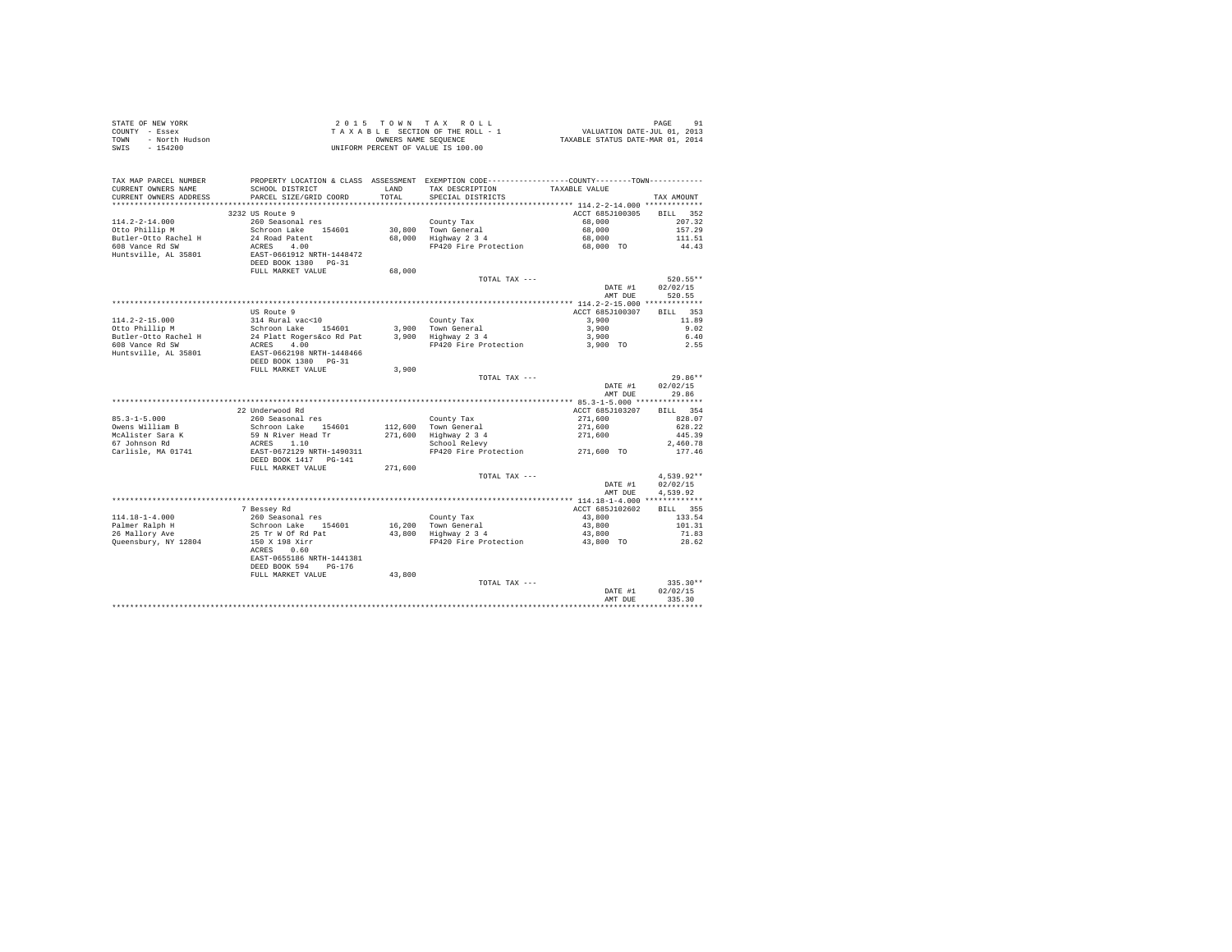|                | STATE OF NEW YORK | 2015 TOWN TAX ROLL                 |                                  | PAGE                        | 91 |
|----------------|-------------------|------------------------------------|----------------------------------|-----------------------------|----|
| COUNTY - Essex |                   | TAXABLE SECTION OF THE ROLL - 1    |                                  | VALUATION DATE-JUL 01, 2013 |    |
| TOWN           | - North Hudson    | OWNERS NAME SEOUENCE               | TAXABLE STATUS DATE-MAR 01, 2014 |                             |    |
| SWIS           | $-154200$         | UNIFORM PERCENT OF VALUE IS 100.00 |                                  |                             |    |
|                |                   |                                    |                                  |                             |    |
|                |                   |                                    |                                  |                             |    |

| TAX MAP PARCEL NUMBER<br>CURRENT OWNERS NAME<br>CURRENT OWNERS ADDRESS<br>************************ | PROPERTY LOCATION & CLASS ASSESSMENT EXEMPTION CODE----------------COUNTY--------TOWN----------<br>SCHOOL DISTRICT<br>PARCEL SIZE/GRID COORD<br>******************************* | <b>T.AND</b><br>TOTAL | TAX DESCRIPTION<br>SPECIAL DISTRICTS | TAXABLE VALUE                    | TAX AMOUNT         |
|----------------------------------------------------------------------------------------------------|---------------------------------------------------------------------------------------------------------------------------------------------------------------------------------|-----------------------|--------------------------------------|----------------------------------|--------------------|
|                                                                                                    |                                                                                                                                                                                 |                       |                                      |                                  |                    |
|                                                                                                    | 3232 US Route 9                                                                                                                                                                 |                       |                                      | ACCT 685J100305                  | 352<br><b>BILL</b> |
| $114.2 - 2 - 14.000$                                                                               | 260 Seasonal res                                                                                                                                                                |                       | County Tax                           | 68,000                           | 207.32             |
| Otto Phillip M                                                                                     | Schroon Lake 154601                                                                                                                                                             |                       | 30,800 Town General                  | 68,000                           | 157.29             |
| Butler-Otto Rachel H                                                                               | 24 Road Patent                                                                                                                                                                  |                       | 68,000 Highway 2 3 4                 | 68,000                           | 111.51             |
| 608 Vance Rd SW<br>Huntsville, AL 35801                                                            | ACRES 4.00<br>EAST-0661912 NRTH-1448472<br>DEED BOOK 1380 PG-31                                                                                                                 |                       | FP420 Fire Protection                | 68,000 TO                        | 44.43              |
|                                                                                                    | FULL MARKET VALUE                                                                                                                                                               | 68,000                |                                      |                                  |                    |
|                                                                                                    |                                                                                                                                                                                 |                       | TOTAL TAX ---                        |                                  | 520.55**           |
|                                                                                                    |                                                                                                                                                                                 |                       |                                      | DATE #1                          | 02/02/15           |
|                                                                                                    |                                                                                                                                                                                 |                       |                                      | AMT DUE                          | 520.55             |
|                                                                                                    |                                                                                                                                                                                 |                       |                                      |                                  |                    |
|                                                                                                    | US Route 9                                                                                                                                                                      |                       |                                      | ACCT 685J100307                  | BILL 353           |
| $114.2 - 2 - 15.000$                                                                               | 314 Rural vac<10                                                                                                                                                                |                       | County Tax                           | 3,900                            | 11.89              |
| Otto Phillip M                                                                                     | Schroon Lake 154601                                                                                                                                                             |                       | 3.900 Town General                   | 3,900                            | 9.02               |
| Butler-Otto Rachel H                                                                               | 24 Platt Rogers&co Rd Pat                                                                                                                                                       |                       | 3,900 Highway 2 3 4                  | 3,900                            | 6.40               |
| 608 Vance Rd SW                                                                                    | 4.00<br>ACRES                                                                                                                                                                   |                       | FP420 Fire Protection                | 3,900 TO                         | 2.55               |
| Huntsville, AL 35801                                                                               | EAST-0662198 NRTH-1448466                                                                                                                                                       |                       |                                      |                                  |                    |
|                                                                                                    | DEED BOOK 1380 PG-31                                                                                                                                                            |                       |                                      |                                  |                    |
|                                                                                                    | FULL MARKET VALUE                                                                                                                                                               | 3,900                 |                                      |                                  |                    |
|                                                                                                    |                                                                                                                                                                                 |                       | TOTAL TAX ---                        |                                  | $29.86**$          |
|                                                                                                    |                                                                                                                                                                                 |                       |                                      | DATE #1                          | 02/02/15           |
|                                                                                                    |                                                                                                                                                                                 |                       |                                      | AMT DUE                          | 29.86              |
|                                                                                                    |                                                                                                                                                                                 |                       |                                      | ** 85.3-1-5.000 **************** |                    |
|                                                                                                    | 22 Underwood Rd                                                                                                                                                                 |                       |                                      | ACCT 685J103207                  | 354<br>RTT.T.      |
| $85.3 - 1 - 5.000$                                                                                 | 260 Seasonal res                                                                                                                                                                |                       | County Tax                           | 271,600                          | 828.07             |
| Owens William B                                                                                    | Schroon Lake 154601                                                                                                                                                             |                       | 112,600 Town General                 | 271,600                          | 628.22             |
| McAlister Sara K                                                                                   | 59 N River Head Tr                                                                                                                                                              | 271,600               | Highway 2 3 4                        | 271,600                          | 445.39             |
| 67 Johnson Rd                                                                                      | ACRES<br>1.10                                                                                                                                                                   |                       | School Relevy                        |                                  | 2.460.78           |
| Carlisle, MA 01741                                                                                 | EAST-0672129 NRTH-1490311<br>DEED BOOK 1417 PG-141                                                                                                                              |                       | FP420 Fire Protection 271,600 TO     |                                  | 177.46             |
|                                                                                                    | FULL MARKET VALUE                                                                                                                                                               | 271,600               |                                      |                                  |                    |
|                                                                                                    |                                                                                                                                                                                 |                       | TOTAL TAX ---                        |                                  | 4,539.92**         |
|                                                                                                    |                                                                                                                                                                                 |                       |                                      | DATE #1                          | 02/02/15           |
|                                                                                                    |                                                                                                                                                                                 |                       |                                      | AMT DUE                          | 4.539.92           |
|                                                                                                    |                                                                                                                                                                                 |                       |                                      |                                  |                    |
|                                                                                                    | 7 Bessey Rd                                                                                                                                                                     |                       |                                      | ACCT 685J102602                  | BILL 355           |
| $114.18 - 1 - 4.000$                                                                               | 260 Seasonal res                                                                                                                                                                |                       | County Tax                           | 43,800                           | 133.54             |
| Palmer Ralph H                                                                                     | Schroon Lake 154601                                                                                                                                                             |                       | 16,200 Town General                  | 43,800                           | 101.31             |
| 26 Mallory Ave                                                                                     | 25 Tr W Of Rd Pat                                                                                                                                                               |                       | 43,800 Highway 2 3 4                 | 43,800                           | 71.83              |
| Queensbury, NY 12804                                                                               | 150 X 198 Xirr<br>0.60<br>ACRES                                                                                                                                                 |                       | FP420 Fire Protection                | 43,800 TO                        | 28.62              |
|                                                                                                    | EAST-0655186 NRTH-1441381<br>DEED BOOK 594<br>$PG-176$                                                                                                                          |                       |                                      |                                  |                    |
|                                                                                                    | FULL MARKET VALUE                                                                                                                                                               | 43,800                |                                      |                                  |                    |
|                                                                                                    |                                                                                                                                                                                 |                       | TOTAL TAX ---                        |                                  | $335.30**$         |
|                                                                                                    |                                                                                                                                                                                 |                       |                                      | DATE #1                          | 02/02/15           |
|                                                                                                    |                                                                                                                                                                                 |                       |                                      | AMT DUE                          | 335.30             |
|                                                                                                    |                                                                                                                                                                                 |                       |                                      |                                  |                    |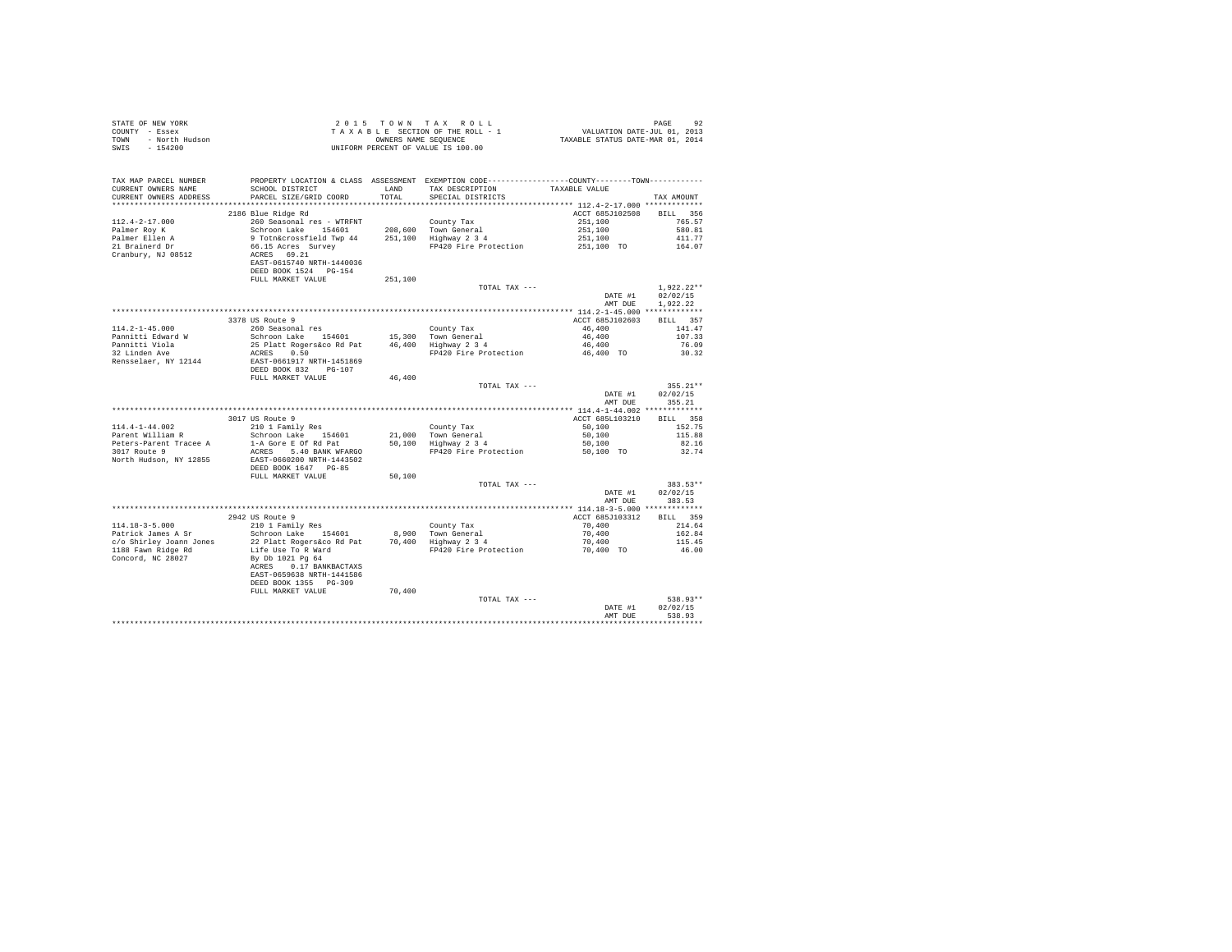| COUNTY - Essex<br>TOWN<br>- North Hudson<br>SWIS<br>$-154200$ |                                                                                                                                                                                                                                                                                           |         | UNIFORM PERCENT OF VALUE IS 100.00                                |                          |                         |
|---------------------------------------------------------------|-------------------------------------------------------------------------------------------------------------------------------------------------------------------------------------------------------------------------------------------------------------------------------------------|---------|-------------------------------------------------------------------|--------------------------|-------------------------|
|                                                               |                                                                                                                                                                                                                                                                                           |         |                                                                   |                          |                         |
| TAX MAP PARCEL NUMBER                                         | PROPERTY LOCATION & CLASS ASSESSMENT EXEMPTION CODE---------------COUNTY-------TOWN----------                                                                                                                                                                                             |         |                                                                   |                          |                         |
| CURRENT OWNERS NAME                                           | SCHOOL DISTRICT                                                                                                                                                                                                                                                                           |         | LAND TAX DESCRIPTION                                              | TAXABLE VALUE            |                         |
| CURRENT OWNERS ADDRESS                                        | PARCEL SIZE/GRID COORD                                                                                                                                                                                                                                                                    | TOTAL   | SPECIAL DISTRICTS                                                 |                          | TAX AMOUNT              |
|                                                               |                                                                                                                                                                                                                                                                                           |         |                                                                   |                          |                         |
|                                                               | 2186 Blue Ridge Rd<br>260 Seasonal res - WTRFNT                                                                                                                                                                                                                                           |         |                                                                   | ACCT 685J102508 BILL 356 | 765.57                  |
| $112.4 - 2 - 17.000$<br>Palmer Roy K                          |                                                                                                                                                                                                                                                                                           |         | County Tax                                                        | 251,100<br>251,100       | 580.81                  |
|                                                               |                                                                                                                                                                                                                                                                                           |         | 208,600 Town General<br>251,100 Highway 2 3 4                     |                          | 411.77                  |
| Palmer Ellen A<br>21 Brainerd Dr                              |                                                                                                                                                                                                                                                                                           |         | 251,100 Highway 2 3 4 251,100<br>PP420 Fire Protection 251,100 TO |                          | 164.07                  |
| 21 Braineiu D.<br>Cranbury, NJ 08512                          | 200 Jean-Oile - Savanne<br>2012 De Jacques - Savanne - Savanne - Savanne - Savanne - Savanne - Savanne - Savanne - Savanne - Savanne - Savanne - Savanne - Savanne - Savanne - Savanne - Savanne - Savanne - Savanne - Savanne -                                                          |         |                                                                   |                          |                         |
|                                                               |                                                                                                                                                                                                                                                                                           |         |                                                                   |                          |                         |
|                                                               |                                                                                                                                                                                                                                                                                           |         |                                                                   |                          |                         |
|                                                               |                                                                                                                                                                                                                                                                                           | 251,100 |                                                                   |                          |                         |
|                                                               |                                                                                                                                                                                                                                                                                           |         | TOTAL TAX ---                                                     |                          | $1.922.22**$            |
|                                                               |                                                                                                                                                                                                                                                                                           |         |                                                                   | DATE $#1$                | 02/02/15                |
|                                                               |                                                                                                                                                                                                                                                                                           |         |                                                                   | AMT DUE                  | 1,922.22                |
|                                                               | 3378 US Route 9                                                                                                                                                                                                                                                                           |         |                                                                   | ACCT 685J102603          | BILL 357                |
| 114.2-1-45.000                                                |                                                                                                                                                                                                                                                                                           |         |                                                                   | 46,400                   | 141.47                  |
| Pannitti Edward W                                             |                                                                                                                                                                                                                                                                                           |         |                                                                   | 46,400                   | 107.33                  |
| Pannitti Viola<br>32 Linden Ave                               |                                                                                                                                                                                                                                                                                           |         |                                                                   |                          | 76.09                   |
|                                                               |                                                                                                                                                                                                                                                                                           |         | FP420 Fire Protection                                             | $46,400$<br>$46,400$ TO  | 30.32                   |
| Rensselaer, NY 12144                                          |                                                                                                                                                                                                                                                                                           |         |                                                                   |                          |                         |
|                                                               |                                                                                                                                                                                                                                                                                           |         |                                                                   |                          |                         |
|                                                               |                                                                                                                                                                                                                                                                                           |         |                                                                   |                          | $355.21**$              |
|                                                               |                                                                                                                                                                                                                                                                                           |         | TOTAL TAX ---                                                     | DATE #1                  | 02/02/15                |
|                                                               |                                                                                                                                                                                                                                                                                           |         |                                                                   | AMT DUE                  | 355.21                  |
|                                                               |                                                                                                                                                                                                                                                                                           |         |                                                                   |                          |                         |
|                                                               | 3017 US Route 9                                                                                                                                                                                                                                                                           |         |                                                                   | ACCT 685L103210          | BILL 358                |
| $114.4 - 1 - 44.002$                                          | 210 1 Family Res                                                                                                                                                                                                                                                                          |         | County Tax                                                        | 50,100                   | 152.75                  |
| Parent William R                                              |                                                                                                                                                                                                                                                                                           |         |                                                                   | 50,100                   | 115.88                  |
| Peters-Parent Tracee A                                        |                                                                                                                                                                                                                                                                                           |         |                                                                   | 50,100                   | 82.16                   |
| 3017 Route 9                                                  | $\begin{tabular}{lllllllll} & & & & & & & & & & & & \\ \hline\text{Schroon Lake} & 154601 & 21,000 & \text{Toemeral} \\ 1-A \text{ Gore} & \text{D} \text{ of } \text{Rd} & \text{Pat} & 50,100 & \text{Higheral} \\ \text{ACRES} & 5.40 & \text{BANK WPARGO} & & & & & \\ \end{tabular}$ |         | FP420 Fire Protection                                             | 50.100 TO                | 32.74                   |
| North Hudson, NY 12855                                        | EAST-0660200 NRTH-1443502<br>DEED BOOK 1647 PG-85                                                                                                                                                                                                                                         |         |                                                                   |                          |                         |
|                                                               | FULL MARKET VALUE                                                                                                                                                                                                                                                                         | 50,100  |                                                                   |                          |                         |
|                                                               |                                                                                                                                                                                                                                                                                           |         | TOTAL TAX ---                                                     |                          | $383.53**$              |
|                                                               |                                                                                                                                                                                                                                                                                           |         |                                                                   | DATE #1                  | 02/02/15                |
|                                                               |                                                                                                                                                                                                                                                                                           |         |                                                                   | AMT DUE                  | 383.53                  |
|                                                               |                                                                                                                                                                                                                                                                                           |         |                                                                   |                          |                         |
|                                                               | 2942 US Route 9                                                                                                                                                                                                                                                                           |         |                                                                   | ACCT 685J103312          | BILL 359                |
|                                                               |                                                                                                                                                                                                                                                                                           |         |                                                                   |                          |                         |
|                                                               |                                                                                                                                                                                                                                                                                           |         |                                                                   |                          |                         |
|                                                               |                                                                                                                                                                                                                                                                                           |         |                                                                   |                          |                         |
|                                                               |                                                                                                                                                                                                                                                                                           |         |                                                                   |                          |                         |
|                                                               |                                                                                                                                                                                                                                                                                           |         |                                                                   |                          |                         |
|                                                               |                                                                                                                                                                                                                                                                                           |         |                                                                   |                          |                         |
|                                                               | LITE USE TO K WATCH<br>By Db 1021 Pg 64<br>ACRES 0.17 BANKBACTAXS<br>EAST-0659638 NRTH-1441586<br>DEED BOOK 1355 PG-309<br>FULL MARKET VALUE                                                                                                                                              |         |                                                                   |                          |                         |
|                                                               |                                                                                                                                                                                                                                                                                           | 70,400  |                                                                   |                          |                         |
|                                                               |                                                                                                                                                                                                                                                                                           |         | TOTAL TAX ---                                                     |                          | 538.93**                |
|                                                               |                                                                                                                                                                                                                                                                                           |         |                                                                   | DATE #1                  | 02/02/15                |
|                                                               |                                                                                                                                                                                                                                                                                           |         |                                                                   | AMT DUE                  | 538.93<br>************* |
|                                                               |                                                                                                                                                                                                                                                                                           |         |                                                                   |                          |                         |

STATE OF NEW YORK 2 0 1 5 T O W N T A X R O L L PAGE 92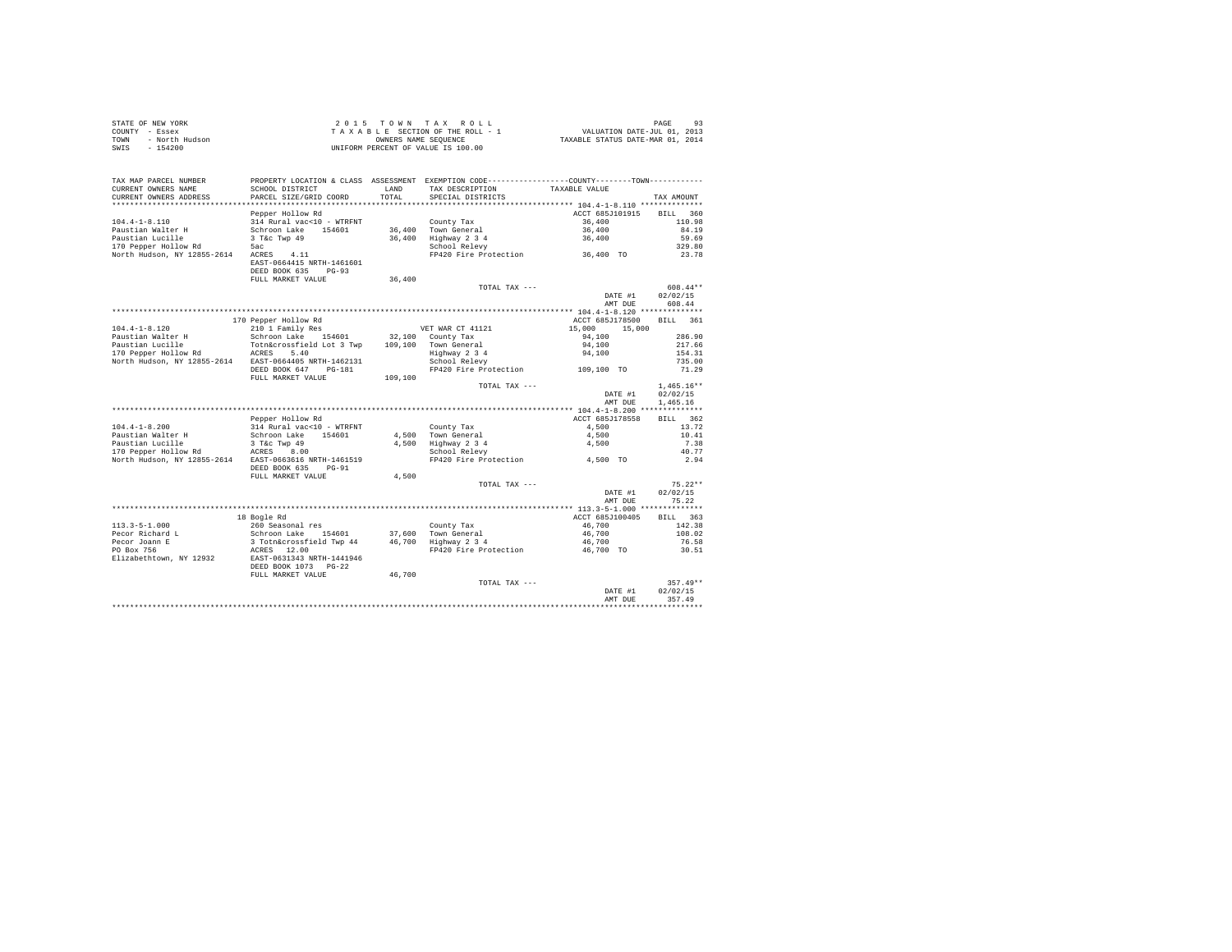|      | STATE OF NEW YORK | 2015 TOWN TAX ROLL                 | 93<br>PAGE                       |  |
|------|-------------------|------------------------------------|----------------------------------|--|
|      | COUNTY - Essex    | TAXABLE SECTION OF THE ROLL - 1    | VALUATION DATE-JUL 01, 2013      |  |
| TOWN | - North Hudson    | OWNERS NAME SEOUENCE               | TAXABLE STATUS DATE-MAR 01, 2014 |  |
| SWIS | $-154200$         | UNIFORM PERCENT OF VALUE IS 100.00 |                                  |  |

| TAX MAP PARCEL NUMBER<br>CURRENT OWNERS NAME     | SCHOOL DISTRICT                               | LAND    | PROPERTY LOCATION & CLASS ASSESSMENT EXEMPTION CODE----------------COUNTY-------TOWN----------<br>TAX DESCRIPTION | TAXABLE VALUE                              |                    |
|--------------------------------------------------|-----------------------------------------------|---------|-------------------------------------------------------------------------------------------------------------------|--------------------------------------------|--------------------|
| CURRENT OWNERS ADDRESS<br>********************** | PARCEL SIZE/GRID COORD                        | TOTAL   | SPECIAL DISTRICTS                                                                                                 |                                            | TAX AMOUNT         |
|                                                  | Pepper Hollow Rd                              |         |                                                                                                                   | ACCT 685J101915                            | <b>BILL</b><br>360 |
| $104.4 - 1 - 8.110$                              | 314 Rural vac<10 - WTRFNT                     |         | County Tax                                                                                                        | 36,400                                     | 110.98             |
| Paustian Walter H                                | Schroon Lake<br>154601                        |         | 36,400 Town General                                                                                               | 36,400                                     | 84.19              |
| Paustian Lucille                                 | 3 T&c Twp 49                                  | 36,400  | Highway 2 3 4                                                                                                     | 36,400                                     | 59.69              |
| 170 Pepper Hollow Rd                             | 5ac                                           |         | School Relevy                                                                                                     |                                            | 329.80             |
| North Hudson, NY 12855-2614                      | ACRES<br>4.11                                 |         | FP420 Fire Protection                                                                                             | 36,400 TO                                  | 23.78              |
|                                                  | EAST-0664415 NRTH-1461601                     |         |                                                                                                                   |                                            |                    |
|                                                  | DEED BOOK 635<br>$PG-93$                      |         |                                                                                                                   |                                            |                    |
|                                                  | FULL MARKET VALUE                             | 36,400  | TOTAL TAX ---                                                                                                     |                                            | $608.44**$         |
|                                                  |                                               |         |                                                                                                                   | DATE #1                                    | 02/02/15           |
|                                                  |                                               |         |                                                                                                                   | AMT DUE                                    | 608.44             |
|                                                  |                                               |         | ************************                                                                                          | ***** 104.4-1-8.120 ********               |                    |
|                                                  | 170 Pepper Hollow Rd                          |         |                                                                                                                   | ACCT 685J178500                            | 361<br><b>BILL</b> |
| $104.4 - 1 - 8.120$                              | 210 1 Family Res                              |         | VET WAR CT 41121                                                                                                  | 15,000<br>15,000                           |                    |
| Paustian Walter H                                | Schroon Lake 154601                           |         | 32,100 County Tax                                                                                                 | 94,100                                     | 286.90             |
| Paustian Lucille                                 | Totn&crossfield Lot 3 Twp                     | 109,100 | Town General                                                                                                      | 94,100                                     | 217.66             |
| 170 Pepper Hollow Rd                             | ACRES<br>5.40                                 |         | Highway 2 3 4                                                                                                     | 94,100                                     | 154.31             |
| North Hudson, NY 12855-2614                      | EAST-0664405 NRTH-1462131                     |         | School Relevy                                                                                                     |                                            | 735.00             |
|                                                  | DEED BOOK 647<br>$PG-181$                     |         | FP420 Fire Protection                                                                                             | 109,100 TO                                 | 71.29              |
|                                                  | FULL MARKET VALUE                             | 109,100 |                                                                                                                   |                                            |                    |
|                                                  |                                               |         | TOTAL TAX ---                                                                                                     |                                            | $1.465.16**$       |
|                                                  |                                               |         |                                                                                                                   | DATE #1                                    | 02/02/15           |
|                                                  |                                               |         |                                                                                                                   | AMT DUE                                    | 1,465.16           |
|                                                  |                                               |         |                                                                                                                   | ************* 104.4-1-8.200 ************** |                    |
| $104.4 - 1 - 8.200$                              | Pepper Hollow Rd<br>314 Rural vac<10 - WTRFNT |         |                                                                                                                   | ACCT 685J178558<br>4.500                   | BILL 362<br>13.72  |
| Paustian Walter H                                | Schroon Lake<br>154601                        |         | County Tax<br>4.500 Town General                                                                                  | 4,500                                      | 10.41              |
| Paustian Lucille                                 | 3 T&c Twp 49                                  | 4.500   | Highway 2 3 4                                                                                                     | 4,500                                      | 7.38               |
| 170 Pepper Hollow Rd                             | ACRES<br>8.00                                 |         | School Relevy                                                                                                     |                                            | 40.77              |
| North Hudson, NY 12855-2614                      | EAST-0663616 NRTH-1461519                     |         | FP420 Fire Protection                                                                                             | 4,500 TO                                   | 2.94               |
|                                                  | DEED BOOK 635<br>$PG-91$                      |         |                                                                                                                   |                                            |                    |
|                                                  | FULL MARKET VALUE                             | 4.500   |                                                                                                                   |                                            |                    |
|                                                  |                                               |         | TOTAL TAX ---                                                                                                     |                                            | $75.22**$          |
|                                                  |                                               |         |                                                                                                                   | DATE #1                                    | 02/02/15           |
|                                                  |                                               |         |                                                                                                                   | AMT DUE                                    | 75.22              |
|                                                  |                                               |         |                                                                                                                   |                                            |                    |
|                                                  | 18 Bogle Rd                                   |         |                                                                                                                   | ACCT 685J100405                            | 363<br><b>BILL</b> |
| $113.3 - 5 - 1.000$                              | 260 Seasonal res                              |         | County Tax                                                                                                        | 46.700                                     | 142.38             |
| Pecor Richard L                                  | Schroon Lake 154601                           | 37,600  | Town General                                                                                                      | 46,700                                     | 108.02             |
| Pecor Joann E                                    | 3 Totn&crossfield Twp 44                      | 46,700  | Highway 2 3 4                                                                                                     | 46,700                                     | 76.58              |
| PO Box 756<br>Elizabethtown, NY 12932            | 12.00<br>ACRES<br>EAST-0631343 NRTH-1441946   |         | FP420 Fire Protection                                                                                             | 46,700 TO                                  | 30.51              |
|                                                  | DEED BOOK 1073 PG-22                          |         |                                                                                                                   |                                            |                    |
|                                                  | FULL MARKET VALUE                             | 46,700  |                                                                                                                   |                                            |                    |
|                                                  |                                               |         | TOTAL TAX ---                                                                                                     |                                            | $357.49**$         |
|                                                  |                                               |         |                                                                                                                   | DATE #1                                    | 02/02/15           |
|                                                  |                                               |         |                                                                                                                   | AMT DUE                                    | 357.49             |
|                                                  |                                               |         |                                                                                                                   |                                            |                    |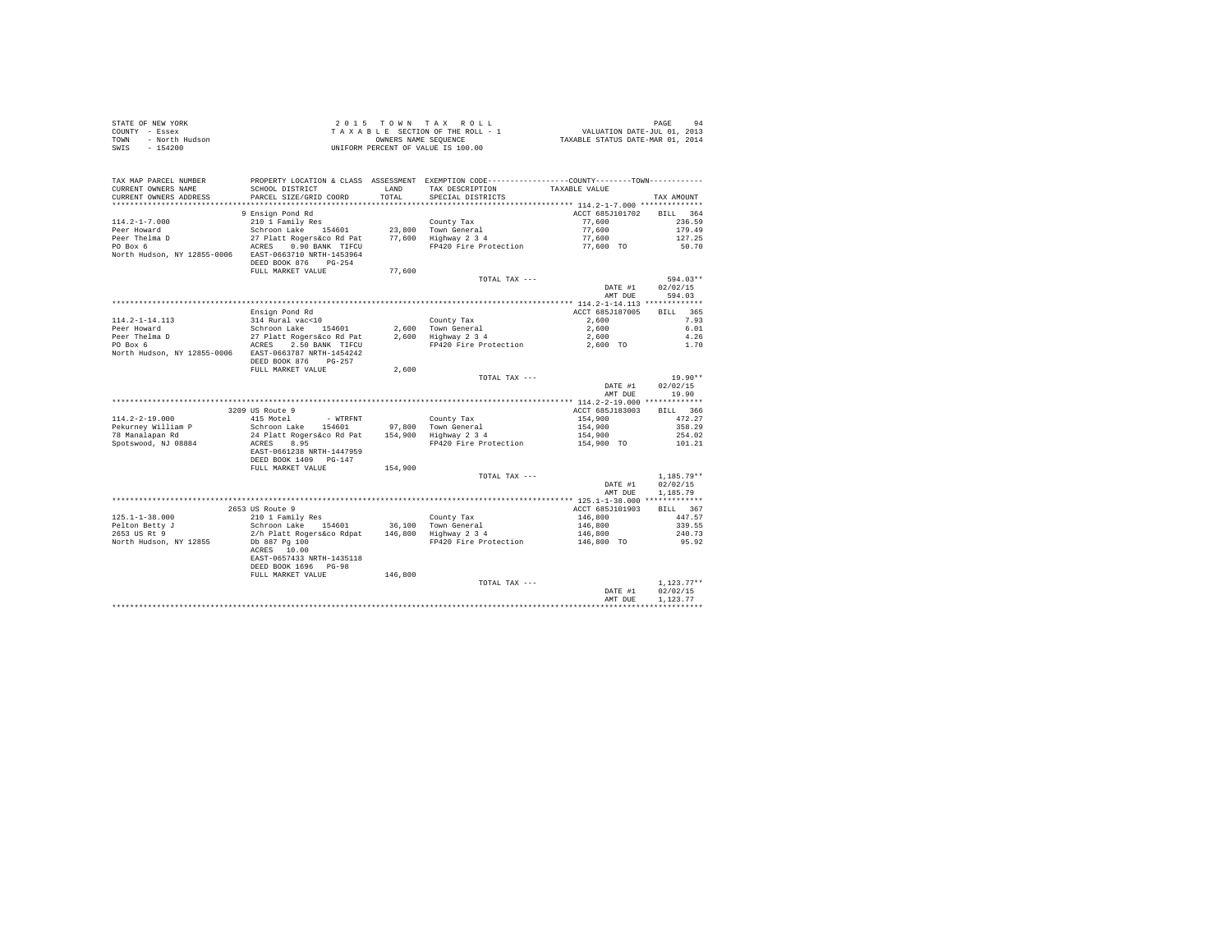|                | STATE OF NEW YORK | 2015 TOWN TAX ROLL                 | 94<br>PAGE                       |  |
|----------------|-------------------|------------------------------------|----------------------------------|--|
| COUNTY - Essex |                   | TAXABLE SECTION OF THE ROLL - 1    | VALUATION DATE-JUL 01, 2013      |  |
| TOWN           | - North Hudson    | OWNERS NAME SEOUENCE               | TAXABLE STATUS DATE-MAR 01, 2014 |  |
| SWIS           | $-154200$         | UNIFORM PERCENT OF VALUE IS 100.00 |                                  |  |

|                                                       |                                                                                               |         |                                             | DATE #1<br>AMT DUE | 02/02/15<br>1.123.77 |
|-------------------------------------------------------|-----------------------------------------------------------------------------------------------|---------|---------------------------------------------|--------------------|----------------------|
|                                                       | ACRES 10.00<br>EAST-0657433 NRTH-1435118<br>DEED BOOK 1696 PG-98<br>FULL MARKET VALUE         | 146,800 | TOTAL TAX ---                               |                    | $1,123.77**$         |
| North Hudson, NY 12855                                | Db 887 Pg 100                                                                                 |         | FP420 Fire Protection                       | 146,800 TO         | 95.92                |
| 2653 US Rt 9                                          | 2/h Platt Rogers&co Rdpat                                                                     | 146,800 | Highway 2 3 4                               | 146,800            | 240.73               |
| Pelton Betty J                                        | Schroon Lake<br>154601                                                                        | 36,100  | Town General                                | 146,800            | 339.55               |
| $125.1 - 1 - 38.000$                                  | 210 1 Family Res                                                                              |         | County Tax                                  | 146,800            | 447.57               |
|                                                       | 2653 US Route 9                                                                               |         |                                             | ACCT 685J101903    | BILL 367             |
|                                                       |                                                                                               |         |                                             |                    |                      |
|                                                       |                                                                                               |         |                                             | AMT DUE            | 1,185.79             |
|                                                       |                                                                                               |         |                                             | DATE #1            | 02/02/15             |
|                                                       | DEED BOOK 1409 PG-147<br>FULL MARKET VALUE                                                    | 154,900 | TOTAL TAX ---                               |                    | $1.185.79**$         |
|                                                       | EAST-0661238 NRTH-1447959                                                                     |         |                                             |                    |                      |
| Spotswood, NJ 08884                                   | ACRES<br>8.95                                                                                 |         | FP420 Fire Protection                       | 154,900 TO         | 101.21               |
| 78 Manalapan Rd                                       | 24 Platt Rogers&co Rd Pat                                                                     |         | 154,900 Highway 2 3 4                       | 154,900            | 254.02               |
| Pekurnev William P                                    | Schroon Lake<br>154601                                                                        |         | 97,800 Town General                         | 154,900            | 358.29               |
| $114.2 - 2 - 19.000$                                  | 415 Motel<br>- WTRFNT                                                                         |         | County Tax                                  | 154,900            | 472.27               |
|                                                       | 3209 US Route 9                                                                               |         |                                             | ACCT 685J183003    | 366<br>BILL          |
|                                                       |                                                                                               |         |                                             |                    |                      |
|                                                       |                                                                                               |         |                                             | AMT DUE            | 19.90                |
|                                                       |                                                                                               |         |                                             | DATE #1            | 02/02/15             |
|                                                       |                                                                                               |         | TOTAL TAX ---                               |                    | $19.90**$            |
|                                                       | FULL MARKET VALUE                                                                             | 2,600   |                                             |                    |                      |
|                                                       | DEED BOOK 876<br>$PG-257$                                                                     |         |                                             |                    |                      |
| North Hudson, NY 12855-0006 EAST-0663787 NRTH-1454242 |                                                                                               |         |                                             |                    |                      |
| PO Box 6                                              | 2.50 BANK TIFCU<br>ACRES                                                                      |         | FP420 Fire Protection                       | 2,600 TO           | 1.70                 |
| Peer Thelma D                                         | 27 Platt Rogers&co Rd Pat                                                                     |         | 2,600 Highway 2 3 4                         | 2,600              | 4.26                 |
| $114.2 - 1 - 14.113$<br>Peer Howard                   | 314 Rural vac<10<br>Schroon Lake<br>154601                                                    | 2,600   | County Tax<br>Town General                  | 2,600<br>2,600     | 7.93<br>6.01         |
|                                                       | Ensign Pond Rd                                                                                |         |                                             | ACCT 685J187005    | BILL 365             |
|                                                       |                                                                                               |         |                                             |                    |                      |
|                                                       |                                                                                               |         |                                             | AMT DUE            | 594.03               |
|                                                       |                                                                                               |         |                                             | DATE #1            | 02/02/15             |
|                                                       |                                                                                               |         | TOTAL TAX $---$                             |                    | $594.03**$           |
|                                                       | DEED BOOK 876<br>$PG - 254$<br>FULL MARKET VALUE                                              | 77,600  |                                             |                    |                      |
| North Hudson, NY 12855-0006                           | EAST-0663710 NRTH-1453964                                                                     |         |                                             |                    |                      |
| PO Box 6                                              | 0.90 BANK TIFCU<br>ACRES                                                                      |         | FP420 Fire Protection                       | 77,600 TO          | 50.70                |
| Peer Thelma D                                         | Schroon Lake 154601<br>27 Platt Rogers&co Rd Pat                                              |         | 23,800 Town General<br>77.600 Highway 2 3 4 | 77,600<br>77.600   | 127.25               |
| $114.2 - 1 - 7.000$<br>Peer Howard                    | 210 1 Family Res                                                                              |         | County Tax                                  | 77,600             | 236.59<br>179.49     |
|                                                       | 9 Ensign Pond Rd                                                                              |         |                                             | ACCT 685J101702    | 364<br><b>BILL</b>   |
|                                                       |                                                                                               |         |                                             |                    |                      |
| CURRENT OWNERS ADDRESS<br>*********************       | PARCEL SIZE/GRID COORD<br>**************************                                          | TOTAL   | SPECIAL DISTRICTS                           |                    | TAX AMOUNT           |
| CURRENT OWNERS NAME                                   | SCHOOL DISTRICT                                                                               | LAND    | TAX DESCRIPTION                             | TAXABLE VALUE      |                      |
| TAX MAP PARCEL NUMBER                                 | PROPERTY LOCATION & CLASS ASSESSMENT EXEMPTION CODE---------------COUNTY-------TOWN---------- |         |                                             |                    |                      |
|                                                       |                                                                                               |         |                                             |                    |                      |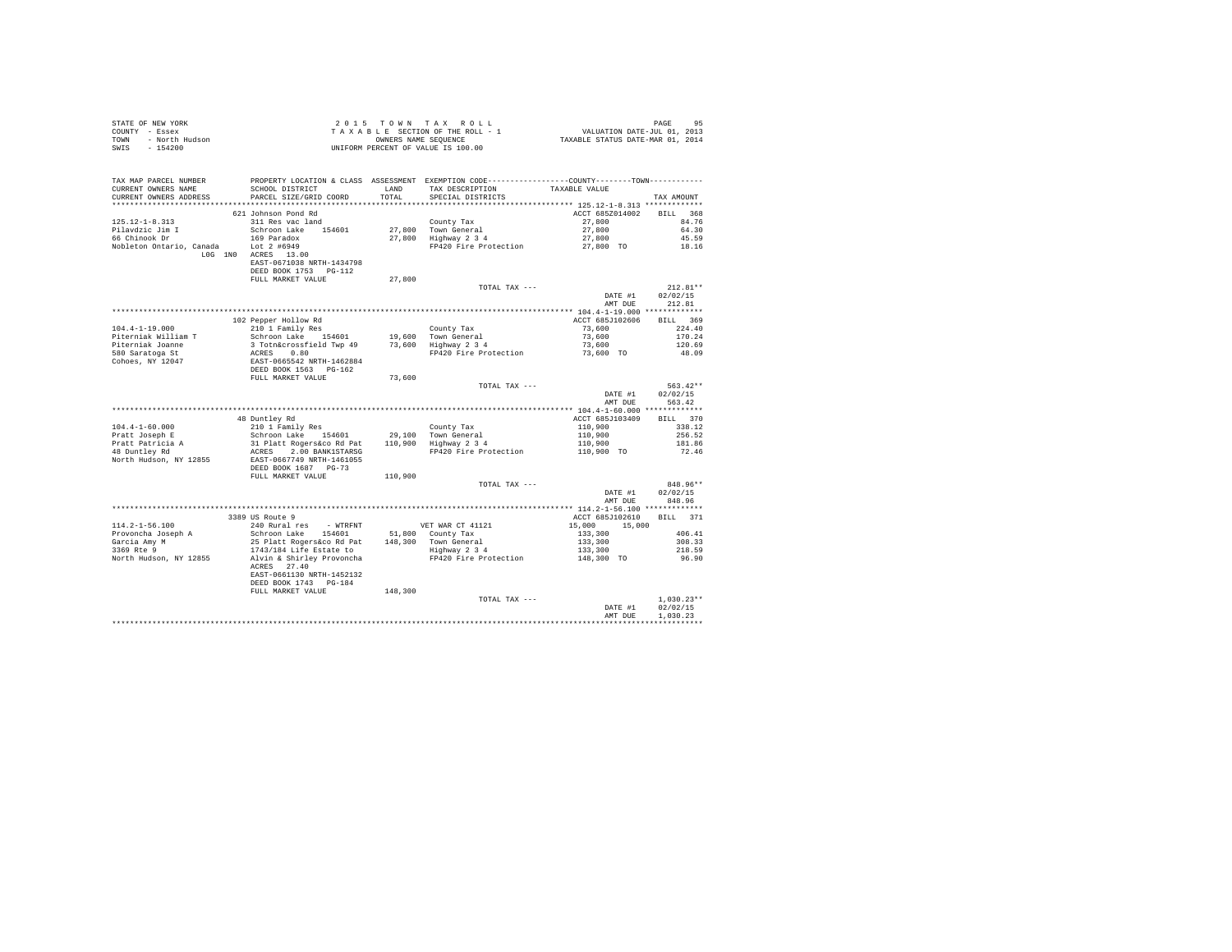| STATE OF NEW YORK<br>OF NEW YORK<br>I - Essex<br>- North Hudson<br>---<br>COUNTY - Essex<br>TOWN<br>$-154200$<br>SWIS |                                                                                                                                                                                            |         | 2015 TOWN TAX ROLL<br>$\begin{array}{ccccccccc} \textit{2 0 1 5 & T O W N & T A X & R O L L & & & & & & & & \textbf{PAGE} & 95 \\ \textit{T A X A B L E & SECTION D A T E R O L L - 1 & & & & & & & & \textbf{VALUATION DATE-JUL O1)} & 01, & 2014 \\ \end{array}$<br>UNIFORM PERCENT OF VALUE IS 100.00 |                                  | PAGE<br>95         |
|-----------------------------------------------------------------------------------------------------------------------|--------------------------------------------------------------------------------------------------------------------------------------------------------------------------------------------|---------|----------------------------------------------------------------------------------------------------------------------------------------------------------------------------------------------------------------------------------------------------------------------------------------------------------|----------------------------------|--------------------|
| TAX MAP PARCEL NUMBER<br>CURRENT OWNERS NAME                                                                          | SCHOOL DISTRICT                                                                                                                                                                            | LAND    | PROPERTY LOCATION & CLASS ASSESSMENT EXEMPTION CODE----------------COUNTY-------TOWN----------<br>TAX DESCRIPTION                                                                                                                                                                                        | TAXABLE VALUE                    |                    |
| CURRENT OWNERS ADDRESS                                                                                                | PARCEL SIZE/GRID COORD                                                                                                                                                                     | TOTAL   | SPECIAL DISTRICTS                                                                                                                                                                                                                                                                                        |                                  | TAX AMOUNT         |
|                                                                                                                       |                                                                                                                                                                                            |         |                                                                                                                                                                                                                                                                                                          |                                  |                    |
|                                                                                                                       | 621 Johnson Pond Rd                                                                                                                                                                        |         |                                                                                                                                                                                                                                                                                                          | ACCT 685Z014002                  | BILL 368           |
| $125.12 - 1 - 8.313$<br>Pilavdzic Jim I                                                                               | 311 Res vac land<br>Schroon Lake 154601                                                                                                                                                    |         | County Tax                                                                                                                                                                                                                                                                                               | 27,800                           | 84.76<br>64.30     |
| 66 Chinook Dr                                                                                                         | 169 Paradox                                                                                                                                                                                |         | 27,800 Town General<br>27,800 Highway 2 3 4                                                                                                                                                                                                                                                              | 27,800<br>27,800                 | 45.59              |
| Nobleton Ontario, Canada Lot 2 #6949                                                                                  |                                                                                                                                                                                            |         | FP420 Fire Protection 27,800 TO                                                                                                                                                                                                                                                                          |                                  | 18.16              |
|                                                                                                                       | $L0G$ $1N0$ $ACRES$ $13.00$<br>EAST-0671038 NRTH-1434798<br>DEED BOOK 1753 PG-112                                                                                                          |         |                                                                                                                                                                                                                                                                                                          |                                  |                    |
|                                                                                                                       | FULL MARKET VALUE                                                                                                                                                                          | 27,800  |                                                                                                                                                                                                                                                                                                          |                                  |                    |
|                                                                                                                       |                                                                                                                                                                                            |         | TOTAL TAX ---                                                                                                                                                                                                                                                                                            |                                  | $212.81**$         |
|                                                                                                                       |                                                                                                                                                                                            |         |                                                                                                                                                                                                                                                                                                          | DATE #1<br>AMT DUE               | 02/02/15<br>212.81 |
|                                                                                                                       |                                                                                                                                                                                            |         |                                                                                                                                                                                                                                                                                                          |                                  | BILL 369           |
| $104.4 - 1 - 19.000$                                                                                                  | 102 Pepper Hollow Rd<br>210 1 Family Res                                                                                                                                                   |         | County Tax                                                                                                                                                                                                                                                                                               | ACCT 685J102606<br>73,600        | 224.40             |
| Piterniak William T                                                                                                   | Schroon Lake 154601                                                                                                                                                                        |         | Councy Tax<br>19,600 Town General<br>73,600 Highway 2 3 4                                                                                                                                                                                                                                                | 73,600                           | 170.24             |
| Piterniak Joanne                                                                                                      | 3 Totn&crossfield Twp 49                                                                                                                                                                   |         |                                                                                                                                                                                                                                                                                                          | 73,600                           | 120.69             |
| 580 Saratoga St                                                                                                       |                                                                                                                                                                                            |         | FP420 Fire Protection                                                                                                                                                                                                                                                                                    | 73,600 TO                        | 48.09              |
| Cohoes, NY 12047                                                                                                      | ACRES 0.80<br>EAST-0665542 NRTH-1462884<br>DEED BOOK 1563 PG-162                                                                                                                           |         |                                                                                                                                                                                                                                                                                                          |                                  |                    |
|                                                                                                                       | FULL MARKET VALUE                                                                                                                                                                          | 73,600  |                                                                                                                                                                                                                                                                                                          |                                  |                    |
|                                                                                                                       |                                                                                                                                                                                            |         | TOTAL TAX ---                                                                                                                                                                                                                                                                                            |                                  | $563.42**$         |
|                                                                                                                       |                                                                                                                                                                                            |         |                                                                                                                                                                                                                                                                                                          | DATE #1                          | 02/02/15           |
|                                                                                                                       |                                                                                                                                                                                            |         |                                                                                                                                                                                                                                                                                                          | AMT DUE                          | 563.42             |
|                                                                                                                       |                                                                                                                                                                                            |         |                                                                                                                                                                                                                                                                                                          |                                  | BILL 370           |
| $104.4 - 1 - 60.000$                                                                                                  | 48 Duntley Rd                                                                                                                                                                              |         |                                                                                                                                                                                                                                                                                                          | ACCT 685J103409                  | 338.12             |
| Pratt Joseph E                                                                                                        |                                                                                                                                                                                            |         |                                                                                                                                                                                                                                                                                                          | 110,900<br>110,900               | 256.52             |
| Pratt Patricia A<br>48 Duntley Rd                                                                                     |                                                                                                                                                                                            |         |                                                                                                                                                                                                                                                                                                          | 110,900<br>110,900 TO            | 181.86             |
|                                                                                                                       | --- + - amily Res (County Tax (County Tax Schroon Lake 154601 29,100 Town General<br>31 Platt Rogers (com Res 110,900 Tighway 2 3 4<br>ACRES 2.00 BANKISTARSG<br>EAST-0667749 NRTH-1461055 |         | FP420 Fire Protection                                                                                                                                                                                                                                                                                    |                                  | 72.46              |
| North Hudson, NY 12855 EAST-0667749 NRTH-1461055                                                                      | DEED BOOK 1687 PG-73                                                                                                                                                                       |         |                                                                                                                                                                                                                                                                                                          |                                  |                    |
|                                                                                                                       | FULL MARKET VALUE                                                                                                                                                                          | 110,900 |                                                                                                                                                                                                                                                                                                          |                                  |                    |
|                                                                                                                       |                                                                                                                                                                                            |         | TOTAL TAX ---                                                                                                                                                                                                                                                                                            |                                  | 848.96**           |
|                                                                                                                       |                                                                                                                                                                                            |         |                                                                                                                                                                                                                                                                                                          | DATE #1                          | 02/02/15           |
|                                                                                                                       |                                                                                                                                                                                            |         |                                                                                                                                                                                                                                                                                                          | AMT DUE                          | 848.96             |
|                                                                                                                       | 3389 US Route 9                                                                                                                                                                            |         |                                                                                                                                                                                                                                                                                                          | ACCT 685J102610                  | BILL 371           |
| $114.2 - 1 - 56.100$                                                                                                  |                                                                                                                                                                                            |         |                                                                                                                                                                                                                                                                                                          | $15,000$ $15,000$                |                    |
|                                                                                                                       |                                                                                                                                                                                            |         |                                                                                                                                                                                                                                                                                                          | $133,300$<br>$133,300$           | 406.41             |
| Provoncha Joseph A<br>Garcia Amy M<br>3369 Rte 9                                                                      |                                                                                                                                                                                            |         |                                                                                                                                                                                                                                                                                                          |                                  | 308.33             |
|                                                                                                                       |                                                                                                                                                                                            |         |                                                                                                                                                                                                                                                                                                          | 133,300<br>133,300<br>148,300 TO | 218.59             |
| North Hudson, NY 12855                                                                                                | Alvin & Shirley Provoncha<br>ACRES 27.40<br>EAST-0661130 NRTH-1452132                                                                                                                      |         | FP420 Fire Protection                                                                                                                                                                                                                                                                                    |                                  | 96.90              |
|                                                                                                                       | DEED BOOK 1743 PG-184                                                                                                                                                                      |         |                                                                                                                                                                                                                                                                                                          |                                  |                    |
|                                                                                                                       | FULL MARKET VALUE                                                                                                                                                                          | 148,300 | TOTAL TAX ---                                                                                                                                                                                                                                                                                            |                                  | $1.030.23**$       |
|                                                                                                                       |                                                                                                                                                                                            |         |                                                                                                                                                                                                                                                                                                          | DATE #1                          | 02/02/15           |
|                                                                                                                       |                                                                                                                                                                                            |         |                                                                                                                                                                                                                                                                                                          | AMT DUR                          | 1,030.23           |
|                                                                                                                       |                                                                                                                                                                                            |         |                                                                                                                                                                                                                                                                                                          |                                  | ************       |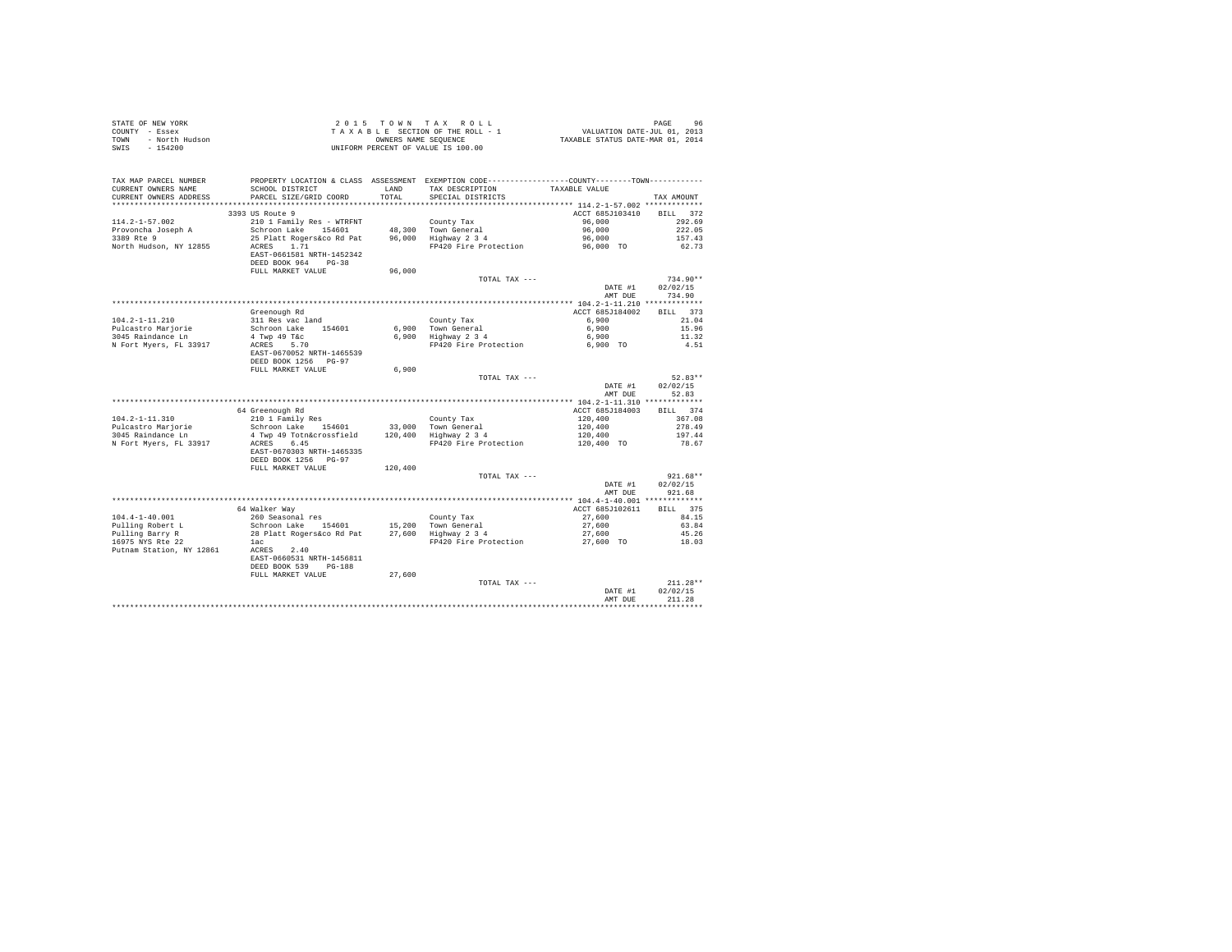| TAX MAP PARCEL NUMBER<br>PROPERTY LOCATION & CLASS ASSESSMENT EXEMPTION CODE----------------COUNTY-------TOWN----------<br>SCHOOL DISTRICT LAND TAX DESCRIPTION<br>TAXABLE VALUE<br>CURRENT OWNERS NAME<br>PARCEL SIZE/GRID COORD<br>SPECIAL DISTRICTS<br>CURRENT OWNERS ADDRESS<br>TOTAL<br>TAX AMOUNT<br>3393 US Route 9<br>ACCT 685J103410<br>BILL 372<br>$114.2 - 1 - 57.002$<br>210 1 Family Res - WTRFNT County Tax<br>Schroon Lake 154601 48,300 Town General<br>96,000<br>292.69<br>Provoncha Joseph A<br>96,000<br>222.05<br>3389 Rte 9<br>25 Platt Rogers&co Rd Pat 96,000 Highway 2 3 4<br>96,000<br>157.43<br>FP420 Fire Protection 96,000 TO<br>North Hudson, NY 12855<br>ACRES 1.71<br>62.73<br>EAST-0661581 NRTH-1452342<br>DEED BOOK 964 PG-38<br>96,000<br>FULL MARKET VALUE<br>TOTAL TAX ---<br>$734.90**$<br>DATE #1<br>02/02/15<br>AMT DUR<br>734.90<br>ACCT 685J184002 BILL 373<br>Greenough Rd<br>County Tax<br>311 Res vac land<br>$104.2 - 1 - 11.210$<br>6,900<br>21.04<br>Schroon Lake 154601<br>6.900 Town General<br>6,900<br>Pulcastro Mariorie<br>15.96<br>6,900 Highway 2 3 4<br>4 Twp 49 T&c<br>6,900<br>11.32<br>3045 Raindance Ln<br>N Fort Myers, FL 33917<br>FP420 Fire Protection<br>6,900 TO<br>ACRES 5.70<br>4.51<br>EAST-0670052 NRTH-1465539<br>DEED BOOK 1256 PG-97<br>FULL MARKET VALUE<br>6,900<br>$52.83**$<br>TOTAL TAX ---<br>02/02/15<br>DATE #1<br>AMT DUE<br>52.83<br>BILL 374<br>ACCT 685J184003<br>64 Greenough Rd<br>210 1 Family Res<br>County Tax<br>120,400<br>$104.2 - 1 - 11.310$<br>367.08<br>Schroon Lake 154601 33,000 Town General<br>120,400<br>Pulcastro Mariorie<br>278.49<br>$120,400$ Highway $2\frac{3}{4}$<br>3045 Raindance Ln<br>4 Twp 49 Totn&crossfield<br>120,400<br>197.44<br>120,400 TO<br>N Fort Myers, FL 33917<br>ACRES 6.45<br>FP420 Fire Protection<br>78.67<br>EAST-0670303 NRTH-1465335<br>DEED BOOK 1256 PG-97<br>FULL MARKET VALUE<br>120,400<br>$921.68**$<br>TOTAL TAX ---<br>DATE #1<br>02/02/15<br>AMT DUE<br>921.68<br>BILL 375<br>64 Walker Way<br>ACCT 685J102611<br>$104.4 - 1 - 40.001$<br>260 Seasonal res<br>27,600<br>84.15<br>County Tax<br>Schroon Lake 154601<br>15,200 Town General<br>Pulling Robert L<br>Pulling Barry R<br>16975 NYS Rte 22<br>27,600<br>63.84<br>27,600 Highway 2 3 4<br>28 Platt Rogers&co Rd Pat<br>27,600<br>45.26<br>FP420 Fire Protection<br>27,600 TO<br>18.03<br>lac<br>Putnam Station, NY 12861 ACRES 2.40<br>EAST-0660531 NRTH-1456811<br>DEED BOOK 539 PG-188<br>FULL MARKET VALUE<br>27,600<br>TOTAL TAX ---<br>$211.28**$<br>02/02/15<br>DATE #1<br>AMT DUE<br>211.28 | STATE OF NEW YORK<br>TRAKBLE SECTION OF THE ROLL - 1 WALUATION DATE-JUL 01, 2013<br>TRAKBLE SECTION OF THE ROLL - 1 VALUATION DATE-JUL 01, 2013<br>TRAKBLE STATUS DATE-MAR 01, 2014<br>NET - 154200<br>SWIS - 154200 | UNIFORM PERCENT OF VALUE IS 100.00 |  |  |
|------------------------------------------------------------------------------------------------------------------------------------------------------------------------------------------------------------------------------------------------------------------------------------------------------------------------------------------------------------------------------------------------------------------------------------------------------------------------------------------------------------------------------------------------------------------------------------------------------------------------------------------------------------------------------------------------------------------------------------------------------------------------------------------------------------------------------------------------------------------------------------------------------------------------------------------------------------------------------------------------------------------------------------------------------------------------------------------------------------------------------------------------------------------------------------------------------------------------------------------------------------------------------------------------------------------------------------------------------------------------------------------------------------------------------------------------------------------------------------------------------------------------------------------------------------------------------------------------------------------------------------------------------------------------------------------------------------------------------------------------------------------------------------------------------------------------------------------------------------------------------------------------------------------------------------------------------------------------------------------------------------------------------------------------------------------------------------------------------------------------------------------------------------------------------------------------------------------------------------------------------------------------------------------------------------------------------------------------------------------------------------------------------------------------------------------------------------------------------------------------------------------------------------------------------------------------------------------------------------|----------------------------------------------------------------------------------------------------------------------------------------------------------------------------------------------------------------------|------------------------------------|--|--|
|                                                                                                                                                                                                                                                                                                                                                                                                                                                                                                                                                                                                                                                                                                                                                                                                                                                                                                                                                                                                                                                                                                                                                                                                                                                                                                                                                                                                                                                                                                                                                                                                                                                                                                                                                                                                                                                                                                                                                                                                                                                                                                                                                                                                                                                                                                                                                                                                                                                                                                                                                                                                            |                                                                                                                                                                                                                      |                                    |  |  |
|                                                                                                                                                                                                                                                                                                                                                                                                                                                                                                                                                                                                                                                                                                                                                                                                                                                                                                                                                                                                                                                                                                                                                                                                                                                                                                                                                                                                                                                                                                                                                                                                                                                                                                                                                                                                                                                                                                                                                                                                                                                                                                                                                                                                                                                                                                                                                                                                                                                                                                                                                                                                            |                                                                                                                                                                                                                      |                                    |  |  |
|                                                                                                                                                                                                                                                                                                                                                                                                                                                                                                                                                                                                                                                                                                                                                                                                                                                                                                                                                                                                                                                                                                                                                                                                                                                                                                                                                                                                                                                                                                                                                                                                                                                                                                                                                                                                                                                                                                                                                                                                                                                                                                                                                                                                                                                                                                                                                                                                                                                                                                                                                                                                            |                                                                                                                                                                                                                      |                                    |  |  |
|                                                                                                                                                                                                                                                                                                                                                                                                                                                                                                                                                                                                                                                                                                                                                                                                                                                                                                                                                                                                                                                                                                                                                                                                                                                                                                                                                                                                                                                                                                                                                                                                                                                                                                                                                                                                                                                                                                                                                                                                                                                                                                                                                                                                                                                                                                                                                                                                                                                                                                                                                                                                            |                                                                                                                                                                                                                      |                                    |  |  |
|                                                                                                                                                                                                                                                                                                                                                                                                                                                                                                                                                                                                                                                                                                                                                                                                                                                                                                                                                                                                                                                                                                                                                                                                                                                                                                                                                                                                                                                                                                                                                                                                                                                                                                                                                                                                                                                                                                                                                                                                                                                                                                                                                                                                                                                                                                                                                                                                                                                                                                                                                                                                            |                                                                                                                                                                                                                      |                                    |  |  |
|                                                                                                                                                                                                                                                                                                                                                                                                                                                                                                                                                                                                                                                                                                                                                                                                                                                                                                                                                                                                                                                                                                                                                                                                                                                                                                                                                                                                                                                                                                                                                                                                                                                                                                                                                                                                                                                                                                                                                                                                                                                                                                                                                                                                                                                                                                                                                                                                                                                                                                                                                                                                            |                                                                                                                                                                                                                      |                                    |  |  |
|                                                                                                                                                                                                                                                                                                                                                                                                                                                                                                                                                                                                                                                                                                                                                                                                                                                                                                                                                                                                                                                                                                                                                                                                                                                                                                                                                                                                                                                                                                                                                                                                                                                                                                                                                                                                                                                                                                                                                                                                                                                                                                                                                                                                                                                                                                                                                                                                                                                                                                                                                                                                            |                                                                                                                                                                                                                      |                                    |  |  |
|                                                                                                                                                                                                                                                                                                                                                                                                                                                                                                                                                                                                                                                                                                                                                                                                                                                                                                                                                                                                                                                                                                                                                                                                                                                                                                                                                                                                                                                                                                                                                                                                                                                                                                                                                                                                                                                                                                                                                                                                                                                                                                                                                                                                                                                                                                                                                                                                                                                                                                                                                                                                            |                                                                                                                                                                                                                      |                                    |  |  |
|                                                                                                                                                                                                                                                                                                                                                                                                                                                                                                                                                                                                                                                                                                                                                                                                                                                                                                                                                                                                                                                                                                                                                                                                                                                                                                                                                                                                                                                                                                                                                                                                                                                                                                                                                                                                                                                                                                                                                                                                                                                                                                                                                                                                                                                                                                                                                                                                                                                                                                                                                                                                            |                                                                                                                                                                                                                      |                                    |  |  |
|                                                                                                                                                                                                                                                                                                                                                                                                                                                                                                                                                                                                                                                                                                                                                                                                                                                                                                                                                                                                                                                                                                                                                                                                                                                                                                                                                                                                                                                                                                                                                                                                                                                                                                                                                                                                                                                                                                                                                                                                                                                                                                                                                                                                                                                                                                                                                                                                                                                                                                                                                                                                            |                                                                                                                                                                                                                      |                                    |  |  |
|                                                                                                                                                                                                                                                                                                                                                                                                                                                                                                                                                                                                                                                                                                                                                                                                                                                                                                                                                                                                                                                                                                                                                                                                                                                                                                                                                                                                                                                                                                                                                                                                                                                                                                                                                                                                                                                                                                                                                                                                                                                                                                                                                                                                                                                                                                                                                                                                                                                                                                                                                                                                            |                                                                                                                                                                                                                      |                                    |  |  |
|                                                                                                                                                                                                                                                                                                                                                                                                                                                                                                                                                                                                                                                                                                                                                                                                                                                                                                                                                                                                                                                                                                                                                                                                                                                                                                                                                                                                                                                                                                                                                                                                                                                                                                                                                                                                                                                                                                                                                                                                                                                                                                                                                                                                                                                                                                                                                                                                                                                                                                                                                                                                            |                                                                                                                                                                                                                      |                                    |  |  |
|                                                                                                                                                                                                                                                                                                                                                                                                                                                                                                                                                                                                                                                                                                                                                                                                                                                                                                                                                                                                                                                                                                                                                                                                                                                                                                                                                                                                                                                                                                                                                                                                                                                                                                                                                                                                                                                                                                                                                                                                                                                                                                                                                                                                                                                                                                                                                                                                                                                                                                                                                                                                            |                                                                                                                                                                                                                      |                                    |  |  |
|                                                                                                                                                                                                                                                                                                                                                                                                                                                                                                                                                                                                                                                                                                                                                                                                                                                                                                                                                                                                                                                                                                                                                                                                                                                                                                                                                                                                                                                                                                                                                                                                                                                                                                                                                                                                                                                                                                                                                                                                                                                                                                                                                                                                                                                                                                                                                                                                                                                                                                                                                                                                            |                                                                                                                                                                                                                      |                                    |  |  |
|                                                                                                                                                                                                                                                                                                                                                                                                                                                                                                                                                                                                                                                                                                                                                                                                                                                                                                                                                                                                                                                                                                                                                                                                                                                                                                                                                                                                                                                                                                                                                                                                                                                                                                                                                                                                                                                                                                                                                                                                                                                                                                                                                                                                                                                                                                                                                                                                                                                                                                                                                                                                            |                                                                                                                                                                                                                      |                                    |  |  |
|                                                                                                                                                                                                                                                                                                                                                                                                                                                                                                                                                                                                                                                                                                                                                                                                                                                                                                                                                                                                                                                                                                                                                                                                                                                                                                                                                                                                                                                                                                                                                                                                                                                                                                                                                                                                                                                                                                                                                                                                                                                                                                                                                                                                                                                                                                                                                                                                                                                                                                                                                                                                            |                                                                                                                                                                                                                      |                                    |  |  |
|                                                                                                                                                                                                                                                                                                                                                                                                                                                                                                                                                                                                                                                                                                                                                                                                                                                                                                                                                                                                                                                                                                                                                                                                                                                                                                                                                                                                                                                                                                                                                                                                                                                                                                                                                                                                                                                                                                                                                                                                                                                                                                                                                                                                                                                                                                                                                                                                                                                                                                                                                                                                            |                                                                                                                                                                                                                      |                                    |  |  |
|                                                                                                                                                                                                                                                                                                                                                                                                                                                                                                                                                                                                                                                                                                                                                                                                                                                                                                                                                                                                                                                                                                                                                                                                                                                                                                                                                                                                                                                                                                                                                                                                                                                                                                                                                                                                                                                                                                                                                                                                                                                                                                                                                                                                                                                                                                                                                                                                                                                                                                                                                                                                            |                                                                                                                                                                                                                      |                                    |  |  |
|                                                                                                                                                                                                                                                                                                                                                                                                                                                                                                                                                                                                                                                                                                                                                                                                                                                                                                                                                                                                                                                                                                                                                                                                                                                                                                                                                                                                                                                                                                                                                                                                                                                                                                                                                                                                                                                                                                                                                                                                                                                                                                                                                                                                                                                                                                                                                                                                                                                                                                                                                                                                            |                                                                                                                                                                                                                      |                                    |  |  |
|                                                                                                                                                                                                                                                                                                                                                                                                                                                                                                                                                                                                                                                                                                                                                                                                                                                                                                                                                                                                                                                                                                                                                                                                                                                                                                                                                                                                                                                                                                                                                                                                                                                                                                                                                                                                                                                                                                                                                                                                                                                                                                                                                                                                                                                                                                                                                                                                                                                                                                                                                                                                            |                                                                                                                                                                                                                      |                                    |  |  |
|                                                                                                                                                                                                                                                                                                                                                                                                                                                                                                                                                                                                                                                                                                                                                                                                                                                                                                                                                                                                                                                                                                                                                                                                                                                                                                                                                                                                                                                                                                                                                                                                                                                                                                                                                                                                                                                                                                                                                                                                                                                                                                                                                                                                                                                                                                                                                                                                                                                                                                                                                                                                            |                                                                                                                                                                                                                      |                                    |  |  |
|                                                                                                                                                                                                                                                                                                                                                                                                                                                                                                                                                                                                                                                                                                                                                                                                                                                                                                                                                                                                                                                                                                                                                                                                                                                                                                                                                                                                                                                                                                                                                                                                                                                                                                                                                                                                                                                                                                                                                                                                                                                                                                                                                                                                                                                                                                                                                                                                                                                                                                                                                                                                            |                                                                                                                                                                                                                      |                                    |  |  |
|                                                                                                                                                                                                                                                                                                                                                                                                                                                                                                                                                                                                                                                                                                                                                                                                                                                                                                                                                                                                                                                                                                                                                                                                                                                                                                                                                                                                                                                                                                                                                                                                                                                                                                                                                                                                                                                                                                                                                                                                                                                                                                                                                                                                                                                                                                                                                                                                                                                                                                                                                                                                            |                                                                                                                                                                                                                      |                                    |  |  |
|                                                                                                                                                                                                                                                                                                                                                                                                                                                                                                                                                                                                                                                                                                                                                                                                                                                                                                                                                                                                                                                                                                                                                                                                                                                                                                                                                                                                                                                                                                                                                                                                                                                                                                                                                                                                                                                                                                                                                                                                                                                                                                                                                                                                                                                                                                                                                                                                                                                                                                                                                                                                            |                                                                                                                                                                                                                      |                                    |  |  |
|                                                                                                                                                                                                                                                                                                                                                                                                                                                                                                                                                                                                                                                                                                                                                                                                                                                                                                                                                                                                                                                                                                                                                                                                                                                                                                                                                                                                                                                                                                                                                                                                                                                                                                                                                                                                                                                                                                                                                                                                                                                                                                                                                                                                                                                                                                                                                                                                                                                                                                                                                                                                            |                                                                                                                                                                                                                      |                                    |  |  |
|                                                                                                                                                                                                                                                                                                                                                                                                                                                                                                                                                                                                                                                                                                                                                                                                                                                                                                                                                                                                                                                                                                                                                                                                                                                                                                                                                                                                                                                                                                                                                                                                                                                                                                                                                                                                                                                                                                                                                                                                                                                                                                                                                                                                                                                                                                                                                                                                                                                                                                                                                                                                            |                                                                                                                                                                                                                      |                                    |  |  |
|                                                                                                                                                                                                                                                                                                                                                                                                                                                                                                                                                                                                                                                                                                                                                                                                                                                                                                                                                                                                                                                                                                                                                                                                                                                                                                                                                                                                                                                                                                                                                                                                                                                                                                                                                                                                                                                                                                                                                                                                                                                                                                                                                                                                                                                                                                                                                                                                                                                                                                                                                                                                            |                                                                                                                                                                                                                      |                                    |  |  |
|                                                                                                                                                                                                                                                                                                                                                                                                                                                                                                                                                                                                                                                                                                                                                                                                                                                                                                                                                                                                                                                                                                                                                                                                                                                                                                                                                                                                                                                                                                                                                                                                                                                                                                                                                                                                                                                                                                                                                                                                                                                                                                                                                                                                                                                                                                                                                                                                                                                                                                                                                                                                            |                                                                                                                                                                                                                      |                                    |  |  |
|                                                                                                                                                                                                                                                                                                                                                                                                                                                                                                                                                                                                                                                                                                                                                                                                                                                                                                                                                                                                                                                                                                                                                                                                                                                                                                                                                                                                                                                                                                                                                                                                                                                                                                                                                                                                                                                                                                                                                                                                                                                                                                                                                                                                                                                                                                                                                                                                                                                                                                                                                                                                            |                                                                                                                                                                                                                      |                                    |  |  |
|                                                                                                                                                                                                                                                                                                                                                                                                                                                                                                                                                                                                                                                                                                                                                                                                                                                                                                                                                                                                                                                                                                                                                                                                                                                                                                                                                                                                                                                                                                                                                                                                                                                                                                                                                                                                                                                                                                                                                                                                                                                                                                                                                                                                                                                                                                                                                                                                                                                                                                                                                                                                            |                                                                                                                                                                                                                      |                                    |  |  |
|                                                                                                                                                                                                                                                                                                                                                                                                                                                                                                                                                                                                                                                                                                                                                                                                                                                                                                                                                                                                                                                                                                                                                                                                                                                                                                                                                                                                                                                                                                                                                                                                                                                                                                                                                                                                                                                                                                                                                                                                                                                                                                                                                                                                                                                                                                                                                                                                                                                                                                                                                                                                            |                                                                                                                                                                                                                      |                                    |  |  |
|                                                                                                                                                                                                                                                                                                                                                                                                                                                                                                                                                                                                                                                                                                                                                                                                                                                                                                                                                                                                                                                                                                                                                                                                                                                                                                                                                                                                                                                                                                                                                                                                                                                                                                                                                                                                                                                                                                                                                                                                                                                                                                                                                                                                                                                                                                                                                                                                                                                                                                                                                                                                            |                                                                                                                                                                                                                      |                                    |  |  |
|                                                                                                                                                                                                                                                                                                                                                                                                                                                                                                                                                                                                                                                                                                                                                                                                                                                                                                                                                                                                                                                                                                                                                                                                                                                                                                                                                                                                                                                                                                                                                                                                                                                                                                                                                                                                                                                                                                                                                                                                                                                                                                                                                                                                                                                                                                                                                                                                                                                                                                                                                                                                            |                                                                                                                                                                                                                      |                                    |  |  |
|                                                                                                                                                                                                                                                                                                                                                                                                                                                                                                                                                                                                                                                                                                                                                                                                                                                                                                                                                                                                                                                                                                                                                                                                                                                                                                                                                                                                                                                                                                                                                                                                                                                                                                                                                                                                                                                                                                                                                                                                                                                                                                                                                                                                                                                                                                                                                                                                                                                                                                                                                                                                            |                                                                                                                                                                                                                      |                                    |  |  |
|                                                                                                                                                                                                                                                                                                                                                                                                                                                                                                                                                                                                                                                                                                                                                                                                                                                                                                                                                                                                                                                                                                                                                                                                                                                                                                                                                                                                                                                                                                                                                                                                                                                                                                                                                                                                                                                                                                                                                                                                                                                                                                                                                                                                                                                                                                                                                                                                                                                                                                                                                                                                            |                                                                                                                                                                                                                      |                                    |  |  |
|                                                                                                                                                                                                                                                                                                                                                                                                                                                                                                                                                                                                                                                                                                                                                                                                                                                                                                                                                                                                                                                                                                                                                                                                                                                                                                                                                                                                                                                                                                                                                                                                                                                                                                                                                                                                                                                                                                                                                                                                                                                                                                                                                                                                                                                                                                                                                                                                                                                                                                                                                                                                            |                                                                                                                                                                                                                      |                                    |  |  |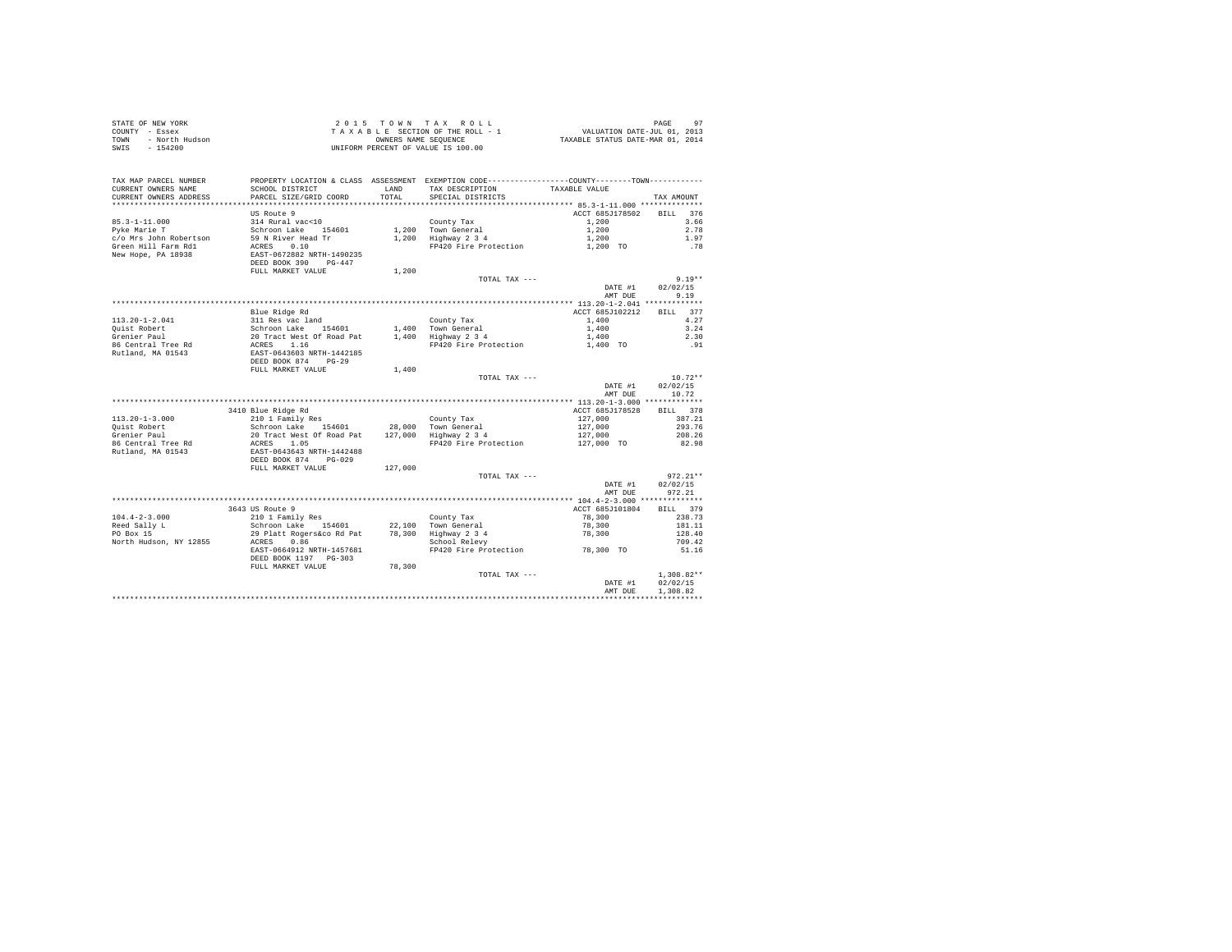|      | STATE OF NEW YORK | 2015 TOWN TAX ROLL                 | PAGE                             |
|------|-------------------|------------------------------------|----------------------------------|
|      | COUNTY - Essex    | TAXABLE SECTION OF THE ROLL - 1    | VALUATION DATE-JUL 01, 2013      |
| TOWN | - North Hudson    | OWNERS NAME SEOUENCE               | TAXABLE STATUS DATE-MAR 01, 2014 |
| SWIS | $-154200$         | UNIFORM PERCENT OF VALUE IS 100.00 |                                  |

|                                                                            | DEED BOOK 874 PG-029<br>FULL MARKET VALUE<br>3643 US Route 9<br>210 1 Family Res<br>Schroon Lake 154601<br>29 Platt Rogers&co Rd Pat<br>ACRES<br>0.86<br>EAST-0664912 NRTH-1457681<br>DEED BOOK 1197 PG-303<br>FULL MARKET VALUE | 127,000<br>78,300 | TOTAL TAX ---<br>County Tax<br>22.100 Town General<br>78,300 Highway 2 3 4<br>School Relevy<br>FP420 Fire Protection 78,300 TO<br>TOTAL TAX --- | DATE #1<br>AMT DUE<br>ACCT 685J101804<br>78,300<br>78,300<br>78,300<br>DATE #1 | $972.21**$<br>02/02/15<br>972.21<br>379<br>RTLL.<br>238.73<br>181.11<br>128.40<br>709.42<br>51.16<br>$1.308.82**$<br>02/02/15 |
|----------------------------------------------------------------------------|----------------------------------------------------------------------------------------------------------------------------------------------------------------------------------------------------------------------------------|-------------------|-------------------------------------------------------------------------------------------------------------------------------------------------|--------------------------------------------------------------------------------|-------------------------------------------------------------------------------------------------------------------------------|
| $104.4 - 2 - 3.000$<br>Reed Sally L<br>PO Box 15<br>North Hudson, NY 12855 |                                                                                                                                                                                                                                  |                   |                                                                                                                                                 |                                                                                |                                                                                                                               |
|                                                                            |                                                                                                                                                                                                                                  |                   |                                                                                                                                                 |                                                                                |                                                                                                                               |
|                                                                            |                                                                                                                                                                                                                                  |                   |                                                                                                                                                 |                                                                                |                                                                                                                               |
|                                                                            |                                                                                                                                                                                                                                  |                   |                                                                                                                                                 |                                                                                |                                                                                                                               |
|                                                                            |                                                                                                                                                                                                                                  |                   |                                                                                                                                                 |                                                                                |                                                                                                                               |
|                                                                            |                                                                                                                                                                                                                                  |                   |                                                                                                                                                 |                                                                                |                                                                                                                               |
|                                                                            |                                                                                                                                                                                                                                  |                   |                                                                                                                                                 |                                                                                |                                                                                                                               |
|                                                                            |                                                                                                                                                                                                                                  |                   |                                                                                                                                                 |                                                                                |                                                                                                                               |
|                                                                            |                                                                                                                                                                                                                                  |                   |                                                                                                                                                 |                                                                                |                                                                                                                               |
|                                                                            |                                                                                                                                                                                                                                  |                   |                                                                                                                                                 |                                                                                |                                                                                                                               |
|                                                                            |                                                                                                                                                                                                                                  |                   |                                                                                                                                                 |                                                                                |                                                                                                                               |
|                                                                            |                                                                                                                                                                                                                                  |                   |                                                                                                                                                 |                                                                                |                                                                                                                               |
| Rutland, MA 01543                                                          | EAST-0643643 NRTH-1442488                                                                                                                                                                                                        |                   |                                                                                                                                                 |                                                                                |                                                                                                                               |
| 86 Central Tree Rd                                                         | ACRES 1.05                                                                                                                                                                                                                       |                   | FP420 Fire Protection                                                                                                                           | 127,000 TO                                                                     | 82.98                                                                                                                         |
| Grenier Paul                                                               |                                                                                                                                                                                                                                  |                   |                                                                                                                                                 | 127,000                                                                        | 208.26                                                                                                                        |
| Ouist Robert                                                               | Schroon Lake 154601 28,000 Town General<br>20 Tract West Of Road Pat 127,000 Highway 2 3 4                                                                                                                                       |                   |                                                                                                                                                 | 127,000                                                                        | 293.76                                                                                                                        |
| $113.20 - 1 - 3.000$                                                       | 210 1 Family Res                                                                                                                                                                                                                 |                   | County Tax                                                                                                                                      | 127,000                                                                        | 387.21                                                                                                                        |
|                                                                            | 3410 Blue Ridge Rd                                                                                                                                                                                                               |                   |                                                                                                                                                 | ACCT 685J178528                                                                | BILL 378                                                                                                                      |
|                                                                            |                                                                                                                                                                                                                                  |                   |                                                                                                                                                 |                                                                                |                                                                                                                               |
|                                                                            |                                                                                                                                                                                                                                  |                   |                                                                                                                                                 | AMT DUE                                                                        | 10.72                                                                                                                         |
|                                                                            |                                                                                                                                                                                                                                  |                   |                                                                                                                                                 | DATE #1                                                                        | 02/02/15                                                                                                                      |
|                                                                            |                                                                                                                                                                                                                                  |                   | TOTAL TAX ---                                                                                                                                   |                                                                                | $10.72**$                                                                                                                     |
|                                                                            | FULL MARKET VALUE                                                                                                                                                                                                                | 1,400             |                                                                                                                                                 |                                                                                |                                                                                                                               |
|                                                                            | DEED BOOK 874<br>$PG-29$                                                                                                                                                                                                         |                   |                                                                                                                                                 |                                                                                |                                                                                                                               |
| Rutland, MA 01543                                                          | EAST-0643603 NRTH-1442185                                                                                                                                                                                                        |                   |                                                                                                                                                 |                                                                                |                                                                                                                               |
| 86 Central Tree Rd                                                         | Schroon Lake<br>Schroon Lake<br>20 Tract West Of Road Pat<br>ACRES 1.16                                                                                                                                                          |                   | FP420 Fire Protection                                                                                                                           | 1,400 TO                                                                       | .91                                                                                                                           |
| Grenier Paul                                                               |                                                                                                                                                                                                                                  |                   | 1.400 Highway 2 3 4                                                                                                                             | 1,400                                                                          | 2.30                                                                                                                          |
| Ouist Robert                                                               |                                                                                                                                                                                                                                  |                   | 1,400 Town General                                                                                                                              | 1,400                                                                          | 3.24                                                                                                                          |
| $113.20 - 1 - 2.041$                                                       | 311 Res vac land                                                                                                                                                                                                                 |                   | County Tax                                                                                                                                      | 1,400                                                                          | 4.27                                                                                                                          |
|                                                                            | Blue Ridge Rd                                                                                                                                                                                                                    |                   |                                                                                                                                                 | ACCT 685J102212                                                                | BILL 377                                                                                                                      |
|                                                                            |                                                                                                                                                                                                                                  |                   |                                                                                                                                                 |                                                                                |                                                                                                                               |
|                                                                            |                                                                                                                                                                                                                                  |                   |                                                                                                                                                 | AMT DUE                                                                        | 9.19                                                                                                                          |
|                                                                            |                                                                                                                                                                                                                                  |                   | TOTAL TAX ---                                                                                                                                   | DATE #1                                                                        | $9.19**$<br>02/02/15                                                                                                          |
|                                                                            | FULL MARKET VALUE                                                                                                                                                                                                                | 1,200             |                                                                                                                                                 |                                                                                |                                                                                                                               |
|                                                                            | DEED BOOK 390<br>$PG-447$                                                                                                                                                                                                        |                   |                                                                                                                                                 |                                                                                |                                                                                                                               |
| New Hope, PA 18938                                                         | EAST-0672882 NRTH-1490235                                                                                                                                                                                                        |                   |                                                                                                                                                 |                                                                                |                                                                                                                               |
| Green Hill Farm Rd1                                                        | 0.10<br>ACRES                                                                                                                                                                                                                    |                   | FP420 Fire Protection                                                                                                                           | 1,200 TO                                                                       | .78                                                                                                                           |
| c/o Mrs John Robertson                                                     | 59 N River Head Tr                                                                                                                                                                                                               |                   | 1.200 Highway 2 3 4                                                                                                                             | 1,200                                                                          | 1.97                                                                                                                          |
| Pyke Marie T                                                               | Schroon Lake 154601                                                                                                                                                                                                              |                   | 1,200 Town General                                                                                                                              | 1,200                                                                          | 2.78                                                                                                                          |
| $85.3 - 1 - 11.000$                                                        | 314 Rural vac<10                                                                                                                                                                                                                 |                   | County Tax                                                                                                                                      | 1,200                                                                          | 3.66                                                                                                                          |
|                                                                            | US Route 9                                                                                                                                                                                                                       |                   |                                                                                                                                                 | ACCT 685J178502                                                                | 376<br><b>BILL</b>                                                                                                            |
| *********************                                                      |                                                                                                                                                                                                                                  |                   |                                                                                                                                                 |                                                                                |                                                                                                                               |
| CURRENT OWNERS ADDRESS                                                     | PARCEL SIZE/GRID COORD                                                                                                                                                                                                           | TOTAL             | SPECIAL DISTRICTS                                                                                                                               |                                                                                | TAX AMOUNT                                                                                                                    |
| CURRENT OWNERS NAME                                                        | SCHOOL DISTRICT                                                                                                                                                                                                                  | LAND              | TAX DESCRIPTION                                                                                                                                 | TAXABLE VALUE                                                                  |                                                                                                                               |
|                                                                            |                                                                                                                                                                                                                                  |                   | PROPERTY LOCATION & CLASS ASSESSMENT EXEMPTION CODE----------------COUNTY-------TOWN----------                                                  |                                                                                |                                                                                                                               |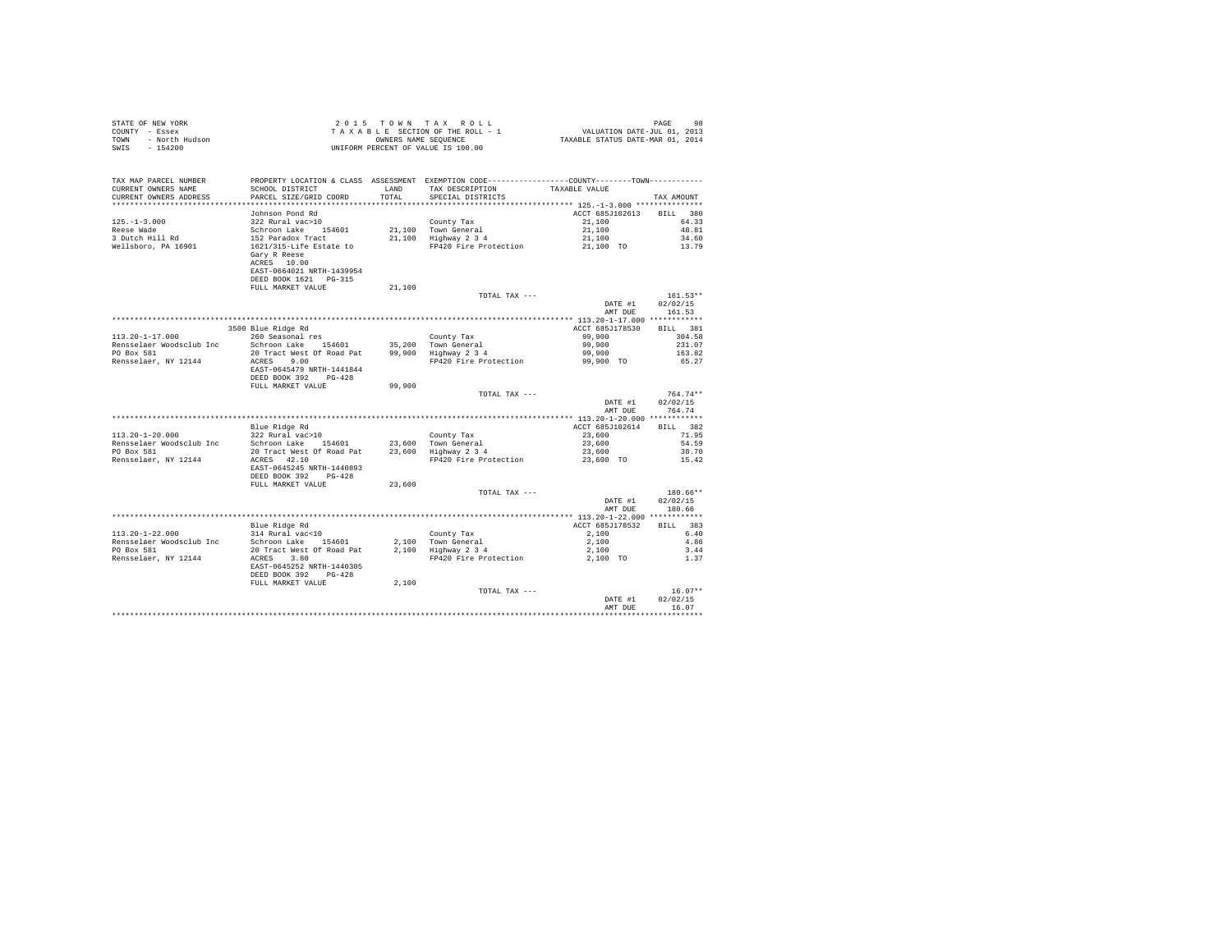| STATE OF NEW YORK      | 2015 TOWN TAX ROLL                 | 98<br>PAGE                       |
|------------------------|------------------------------------|----------------------------------|
| COUNTY - Essex         | TAXABLE SECTION OF THE ROLL - 1    | VALUATION DATE-JUL 01, 2013      |
| TOWN<br>- North Hudson | OWNERS NAME SEOUENCE               | TAXABLE STATUS DATE-MAR 01, 2014 |
| SWIS<br>$-154200$      | UNIFORM PERCENT OF VALUE IS 100.00 |                                  |
|                        |                                    |                                  |

| TAX MAP PARCEL NUMBER                                            | PROPERTY LOCATION & CLASS ASSESSMENT EXEMPTION CODE---------------COUNTY-------TOWN--------- |        |                                             |                                         |                 |
|------------------------------------------------------------------|----------------------------------------------------------------------------------------------|--------|---------------------------------------------|-----------------------------------------|-----------------|
| CURRENT OWNERS NAME                                              | SCHOOL DISTRICT                                                                              | LAND   | TAX DESCRIPTION                             | TAXABLE VALUE                           |                 |
| CURRENT OWNERS ADDRESS                                           | PARCEL SIZE/GRID COORD                                                                       | TOTAL  | SPECIAL DISTRICTS                           |                                         | TAX AMOUNT      |
|                                                                  |                                                                                              |        |                                             | *************** 125.-1-3.000 ********** |                 |
|                                                                  | Johnson Pond Rd                                                                              |        |                                             | ACCT 685J102613 BILL 380                |                 |
| $125. - 1 - 3.000$                                               | 322 Rural vac>10                                                                             |        | County Tax                                  | 21,100                                  | 64.33           |
| Reese Wade                                                       | Schroon Lake 154601                                                                          |        | 21.100 Town General                         | 21,100                                  | 48.81           |
| 3 Dutch Hill Rd                                                  | 152 Paradox Tract                                                                            |        | 21,100 IOWN General<br>21,100 Highway 2 3 4 | 21,100                                  | 34.60           |
| Wellsboro, PA 16901                                              | 1621/315-Life Estate to                                                                      |        | FP420 Fire Protection                       | 21,100 TO                               | 13.79           |
|                                                                  | Gary R Reese                                                                                 |        |                                             |                                         |                 |
|                                                                  | ACRES 10.00                                                                                  |        |                                             |                                         |                 |
|                                                                  | EAST-0664021 NRTH-1439954                                                                    |        |                                             |                                         |                 |
|                                                                  | DEED BOOK 1621   PG-315                                                                      |        |                                             |                                         |                 |
|                                                                  | FULL MARKET VALUE                                                                            | 21,100 |                                             |                                         |                 |
|                                                                  |                                                                                              |        | TOTAL TAX ---                               |                                         | $161.53**$      |
|                                                                  |                                                                                              |        |                                             | DATE #1                                 | 02/02/15        |
|                                                                  |                                                                                              |        |                                             |                                         |                 |
|                                                                  |                                                                                              |        |                                             | AMT DUE                                 | 161.53          |
|                                                                  |                                                                                              |        |                                             |                                         |                 |
|                                                                  | 3500 Blue Ridge Rd                                                                           |        |                                             | ACCT 685J178530 BILL 381                |                 |
| $113.20 - 1 - 17.000$                                            | 260 Seasonal res                                                                             |        | County Tax                                  | 99,900                                  | 304.58          |
| Rensselaer Woodsclub Inc Schroon Lake 154601 35,200 Town General |                                                                                              |        |                                             | 99,900                                  | 231.07          |
| PO Box 581                                                       | 20 Tract West Of Road Pat 99,900 Highway 2 3 4                                               |        |                                             | 99,900                                  | 163.82          |
| Rensselaer, NY 12144                                             | ACRES 9.00                                                                                   |        | FP420 Fire Protection 59,900 TO             |                                         | 65.27           |
|                                                                  | EAST-0645479 NRTH-1441844                                                                    |        |                                             |                                         |                 |
|                                                                  | DEED BOOK 392 PG-428                                                                         |        |                                             |                                         |                 |
|                                                                  | FULL MARKET VALUE                                                                            | 99,900 |                                             |                                         |                 |
|                                                                  |                                                                                              |        | TOTAL TAX ---                               |                                         | $764.74**$      |
|                                                                  |                                                                                              |        |                                             | DATE #1                                 | 02/02/15        |
|                                                                  |                                                                                              |        |                                             | AMT DUE                                 | 764.74          |
|                                                                  |                                                                                              |        |                                             |                                         |                 |
|                                                                  | Blue Ridge Rd                                                                                |        |                                             | ACCT 685J102614                         | BILL 382        |
| $113.20 - 1 - 20.000$                                            | 322 Rural vac>10                                                                             |        | County Tax                                  | 23,600                                  | 71.95           |
| Rensselaer Woodsclub Inc Schroon Lake 154601                     |                                                                                              |        |                                             | 23,600                                  | 54.59           |
| PO Box 581                                                       | Schroon Lake 154601 23,600 Town General<br>20 Tract West Of Road Pat 23,600 Highway 2 3 4    |        |                                             | 23,600                                  | 38.70           |
| Rensselaer, NY 12144                                             | ACRES 42.10                                                                                  |        | FP420 Fire Protection                       | 23,600 TO                               | 15.42           |
|                                                                  | EAST-0645245 NRTH-1440893                                                                    |        |                                             |                                         |                 |
|                                                                  | DEED BOOK 392 PG-428                                                                         |        |                                             |                                         |                 |
|                                                                  | FULL MARKET VALUE                                                                            | 23,600 |                                             |                                         |                 |
|                                                                  |                                                                                              |        | TOTAL TAX ---                               |                                         | $180.66**$      |
|                                                                  |                                                                                              |        |                                             | DATE #1                                 | 02/02/15        |
|                                                                  |                                                                                              |        |                                             | AMT DUE                                 | 180.66          |
|                                                                  |                                                                                              |        |                                             |                                         |                 |
|                                                                  | Blue Ridge Rd                                                                                |        |                                             | ACCT 685J178532                         | <b>BILL</b> 383 |
| 113.20-1-22.000                                                  | 314 Rural vac<10                                                                             |        | County Tax                                  |                                         | 6.40            |
| Rensselaer Woodsclub Inc                                         |                                                                                              |        | 2,100 Town General                          | 2,100                                   | 4.86            |
| PO Box 581                                                       | Schroon Lake 154601<br>$20$ Tract West Of Road Pat $2,100$ Highway $2,3,4$                   |        |                                             | 2,100                                   |                 |
|                                                                  |                                                                                              |        |                                             | 2,100                                   | 3.44            |
| Rensselaer, NY 12144                                             | ACRES 3.80                                                                                   |        | FP420 Fire Protection                       | 2,100 TO                                | 1.37            |
|                                                                  | EAST-0645252 NRTH-1440305                                                                    |        |                                             |                                         |                 |
|                                                                  | DEED BOOK 392 PG-428                                                                         |        |                                             |                                         |                 |
|                                                                  | FULL MARKET VALUE                                                                            | 2,100  |                                             |                                         |                 |
|                                                                  |                                                                                              |        | TOTAL TAX ---                               |                                         | $16.07**$       |
|                                                                  |                                                                                              |        |                                             | DATE #1                                 | 02/02/15        |
|                                                                  |                                                                                              |        |                                             | AMT DUE                                 | 16.07           |
|                                                                  |                                                                                              |        |                                             |                                         |                 |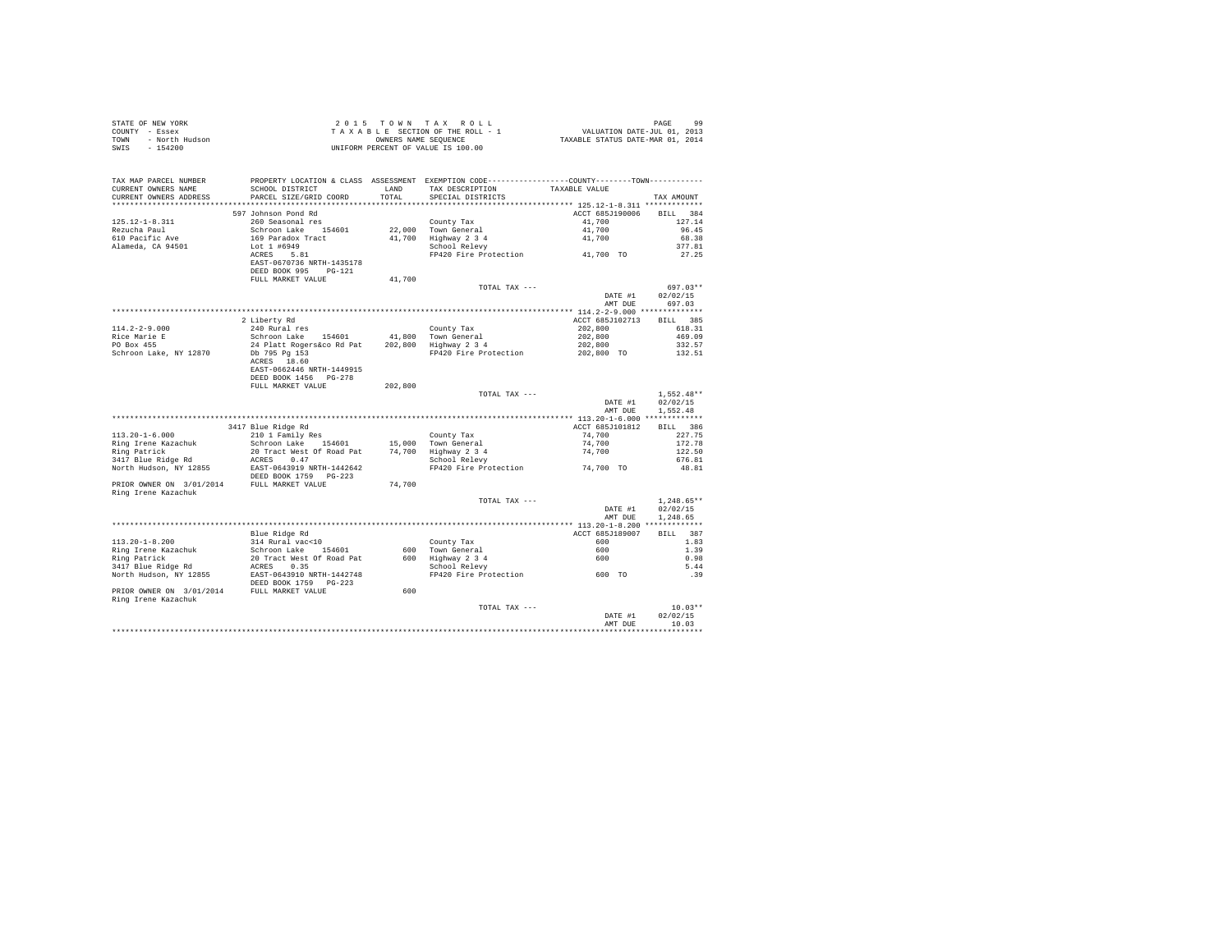| STATE OF NEW YORK<br>COUNTY - Essex<br>TOWN - North Hudson<br>- Figure                                                                                                                                                                                         |                                                                                                                                                                                            |         | UNIFORM PERCENT OF VALUE IS 100.00                                                                                                                                                                                                                                                                             |                                    |                      |
|----------------------------------------------------------------------------------------------------------------------------------------------------------------------------------------------------------------------------------------------------------------|--------------------------------------------------------------------------------------------------------------------------------------------------------------------------------------------|---------|----------------------------------------------------------------------------------------------------------------------------------------------------------------------------------------------------------------------------------------------------------------------------------------------------------------|------------------------------------|----------------------|
| TAX MAP PARCEL NUMBER PROPERTY LOCATION & CLASS ASSESSMENT EXEMPTION CODE--------------COUNTY--------TOWN----------                                                                                                                                            |                                                                                                                                                                                            |         |                                                                                                                                                                                                                                                                                                                |                                    |                      |
| CURRENT OWNERS NAME                                                                                                                                                                                                                                            |                                                                                                                                                                                            |         | SCHOOL DISTRICT LAND TAX DESCRIPTION TAXABLE VALUE                                                                                                                                                                                                                                                             |                                    |                      |
| CURRENT OWNERS ADDRESS                                                                                                                                                                                                                                         | PARCEL SIZE/GRID COORD                                                                                                                                                                     | TOTAL   | SPECIAL DISTRICTS                                                                                                                                                                                                                                                                                              |                                    | TAX AMOUNT           |
|                                                                                                                                                                                                                                                                |                                                                                                                                                                                            |         |                                                                                                                                                                                                                                                                                                                |                                    |                      |
|                                                                                                                                                                                                                                                                | 597 Johnson Pond Rd                                                                                                                                                                        |         |                                                                                                                                                                                                                                                                                                                | ACCT 685J190006 BILL 384           |                      |
| $125.12 - 1 - 8.311$<br>Rezucha Paul                                                                                                                                                                                                                           | 260 Seasonal res                                                                                                                                                                           |         |                                                                                                                                                                                                                                                                                                                |                                    | 127.14               |
| 610 Pacific Ave                                                                                                                                                                                                                                                | Schroon Lake 154601<br>169 Paradox Tract<br>Lot 1 #6949<br>ACRES 5.81                                                                                                                      |         | County Tax<br>22,000 Town General<br>41,700 Highway 2 3 4<br>School Relevy<br>County Tax<br>Town General diplomatic and the matrices of the matrices of the matrices of the matrices of the space of the space of the space of the space of the space of the space of the space of the space of the space of t |                                    | 96.45<br>68.38       |
| Alameda, CA 94501                                                                                                                                                                                                                                              |                                                                                                                                                                                            |         |                                                                                                                                                                                                                                                                                                                |                                    | 377.81               |
|                                                                                                                                                                                                                                                                |                                                                                                                                                                                            |         |                                                                                                                                                                                                                                                                                                                |                                    | 27.25                |
|                                                                                                                                                                                                                                                                | EAST-0670736 NRTH-1435178<br>DEED BOOK 995 PG-121                                                                                                                                          |         |                                                                                                                                                                                                                                                                                                                |                                    |                      |
|                                                                                                                                                                                                                                                                | FULL MARKET VALUE                                                                                                                                                                          | 41,700  |                                                                                                                                                                                                                                                                                                                |                                    |                      |
|                                                                                                                                                                                                                                                                |                                                                                                                                                                                            |         | TOTAL TAX ---                                                                                                                                                                                                                                                                                                  |                                    | 697.03**             |
|                                                                                                                                                                                                                                                                |                                                                                                                                                                                            |         |                                                                                                                                                                                                                                                                                                                | DATE #1 02/02/15<br>AMT DUE 697.03 |                      |
|                                                                                                                                                                                                                                                                |                                                                                                                                                                                            |         |                                                                                                                                                                                                                                                                                                                |                                    |                      |
|                                                                                                                                                                                                                                                                |                                                                                                                                                                                            |         |                                                                                                                                                                                                                                                                                                                | ACCT 685J102713 BILL 385           |                      |
| $114.2 - 2 - 9.000$                                                                                                                                                                                                                                            | 2 Liberty Rd<br>240 Rural res                                                                                                                                                              |         | County Tax                                                                                                                                                                                                                                                                                                     | 202,800                            | 618.31               |
| Rice Marie E<br>PO Box 455                                                                                                                                                                                                                                     |                                                                                                                                                                                            |         |                                                                                                                                                                                                                                                                                                                | $202,800$<br>$202,800$             | 469.09               |
|                                                                                                                                                                                                                                                                |                                                                                                                                                                                            |         |                                                                                                                                                                                                                                                                                                                |                                    | 332.57               |
| PO BOX 455<br>Schroon Lake, NY 12870 Db 795 Pg 153<br>aCRES 18.60                                                                                                                                                                                              |                                                                                                                                                                                            |         | FP420 Fire Protection 202,800 TO 132.51                                                                                                                                                                                                                                                                        |                                    |                      |
|                                                                                                                                                                                                                                                                |                                                                                                                                                                                            |         |                                                                                                                                                                                                                                                                                                                |                                    |                      |
|                                                                                                                                                                                                                                                                | EAST-0662446 NRTH-1449915<br>DEED BOOK 1456 PG-278                                                                                                                                         |         |                                                                                                                                                                                                                                                                                                                |                                    |                      |
|                                                                                                                                                                                                                                                                | FULL MARKET VALUE                                                                                                                                                                          | 202,800 |                                                                                                                                                                                                                                                                                                                |                                    |                      |
|                                                                                                                                                                                                                                                                |                                                                                                                                                                                            |         | TOTAL TAX ---                                                                                                                                                                                                                                                                                                  |                                    | $1.552.48**$         |
|                                                                                                                                                                                                                                                                |                                                                                                                                                                                            |         |                                                                                                                                                                                                                                                                                                                | DATE #1<br>AMT DUE                 | 02/02/15<br>1,552.48 |
|                                                                                                                                                                                                                                                                |                                                                                                                                                                                            |         |                                                                                                                                                                                                                                                                                                                |                                    |                      |
|                                                                                                                                                                                                                                                                | 3417 Blue Ridge Rd                                                                                                                                                                         |         |                                                                                                                                                                                                                                                                                                                | ACCT 685J101812                    | BILL 386             |
| $113.20 - 1 - 6.000$                                                                                                                                                                                                                                           | 210 1 Family Res<br>211 01 Family Res<br>Schroon Lake 154601 15,000 Town General<br>20 Tract West Of Road Pat<br>20 Tract West Of Road Pat<br>20 Tract West Of Road Pat<br>3 School Relevy |         |                                                                                                                                                                                                                                                                                                                | 74,700                             | 227.75               |
| Ring Irene Kazachuk                                                                                                                                                                                                                                            |                                                                                                                                                                                            |         |                                                                                                                                                                                                                                                                                                                |                                    | 172.78               |
| Ring Patrick<br>3417 Blue Ridge Rd                                                                                                                                                                                                                             |                                                                                                                                                                                            |         |                                                                                                                                                                                                                                                                                                                | $74,700$<br>$74,700$               | 122.50               |
|                                                                                                                                                                                                                                                                |                                                                                                                                                                                            |         |                                                                                                                                                                                                                                                                                                                |                                    | 676.81               |
| AINS PALICA MARK ACRES 0.47 LANCED 17 AND 1817 Blue Ridge Rd<br>North Hudson, NY 12855 BAST-0643919 NRTH-1442642<br>DEED BOOK 1759 PG-223                                                                                                                      |                                                                                                                                                                                            |         |                                                                                                                                                                                                                                                                                                                |                                    | 48.81                |
| PRIOR OWNER ON 3/01/2014 FULL MARKET VALUE                                                                                                                                                                                                                     |                                                                                                                                                                                            | 74,700  |                                                                                                                                                                                                                                                                                                                |                                    |                      |
| Ring Irene Kazachuk                                                                                                                                                                                                                                            |                                                                                                                                                                                            |         |                                                                                                                                                                                                                                                                                                                |                                    |                      |
|                                                                                                                                                                                                                                                                |                                                                                                                                                                                            |         | TOTAL TAX ---                                                                                                                                                                                                                                                                                                  |                                    | $1.248.65**$         |
|                                                                                                                                                                                                                                                                |                                                                                                                                                                                            |         |                                                                                                                                                                                                                                                                                                                | DATE #1                            | 02/02/15             |
|                                                                                                                                                                                                                                                                |                                                                                                                                                                                            |         |                                                                                                                                                                                                                                                                                                                | AMT DUE                            | 1,248.65             |
|                                                                                                                                                                                                                                                                |                                                                                                                                                                                            |         |                                                                                                                                                                                                                                                                                                                |                                    |                      |
| $113.20 - 1 - 8.200$                                                                                                                                                                                                                                           | Blue Ridge Rd                                                                                                                                                                              |         |                                                                                                                                                                                                                                                                                                                | ACCT 685J189007<br>600             | BILL 387<br>1.83     |
| Ring Irene Kazachuk                                                                                                                                                                                                                                            | 314 Rural vac<10<br>Schroon Lake 154601                                                                                                                                                    |         |                                                                                                                                                                                                                                                                                                                |                                    | 1.39                 |
|                                                                                                                                                                                                                                                                |                                                                                                                                                                                            |         | County Tax<br>600 Town General<br>600 Highway 2 3 4<br>School Relevy                                                                                                                                                                                                                                           |                                    | 0.98                 |
|                                                                                                                                                                                                                                                                |                                                                                                                                                                                            |         |                                                                                                                                                                                                                                                                                                                |                                    | 5.44                 |
|                                                                                                                                                                                                                                                                |                                                                                                                                                                                            |         |                                                                                                                                                                                                                                                                                                                |                                    | .39                  |
|                                                                                                                                                                                                                                                                |                                                                                                                                                                                            |         |                                                                                                                                                                                                                                                                                                                |                                    |                      |
| Ring Patrick Companion 20 Tract West Of Road Patrick Companion 20 Tract West Of Road Patrick North Hudson, NY 12855<br>North Hudson, NY 12855<br>PRIOR OWNER ON 3/01/2014 PEDL BOOK 1759 PG-223<br>PRIOR OWNER ON 3/01/2014 PEDL MARKET<br>Ring Irene Kazachuk |                                                                                                                                                                                            | 600     |                                                                                                                                                                                                                                                                                                                |                                    |                      |
|                                                                                                                                                                                                                                                                |                                                                                                                                                                                            |         | TOTAL TAX ---                                                                                                                                                                                                                                                                                                  |                                    | $10.03**$            |
|                                                                                                                                                                                                                                                                |                                                                                                                                                                                            |         |                                                                                                                                                                                                                                                                                                                | DATE #1                            | 02/02/15             |
|                                                                                                                                                                                                                                                                |                                                                                                                                                                                            |         |                                                                                                                                                                                                                                                                                                                | AMT DUR                            | 10.03                |
|                                                                                                                                                                                                                                                                |                                                                                                                                                                                            |         |                                                                                                                                                                                                                                                                                                                |                                    | **********           |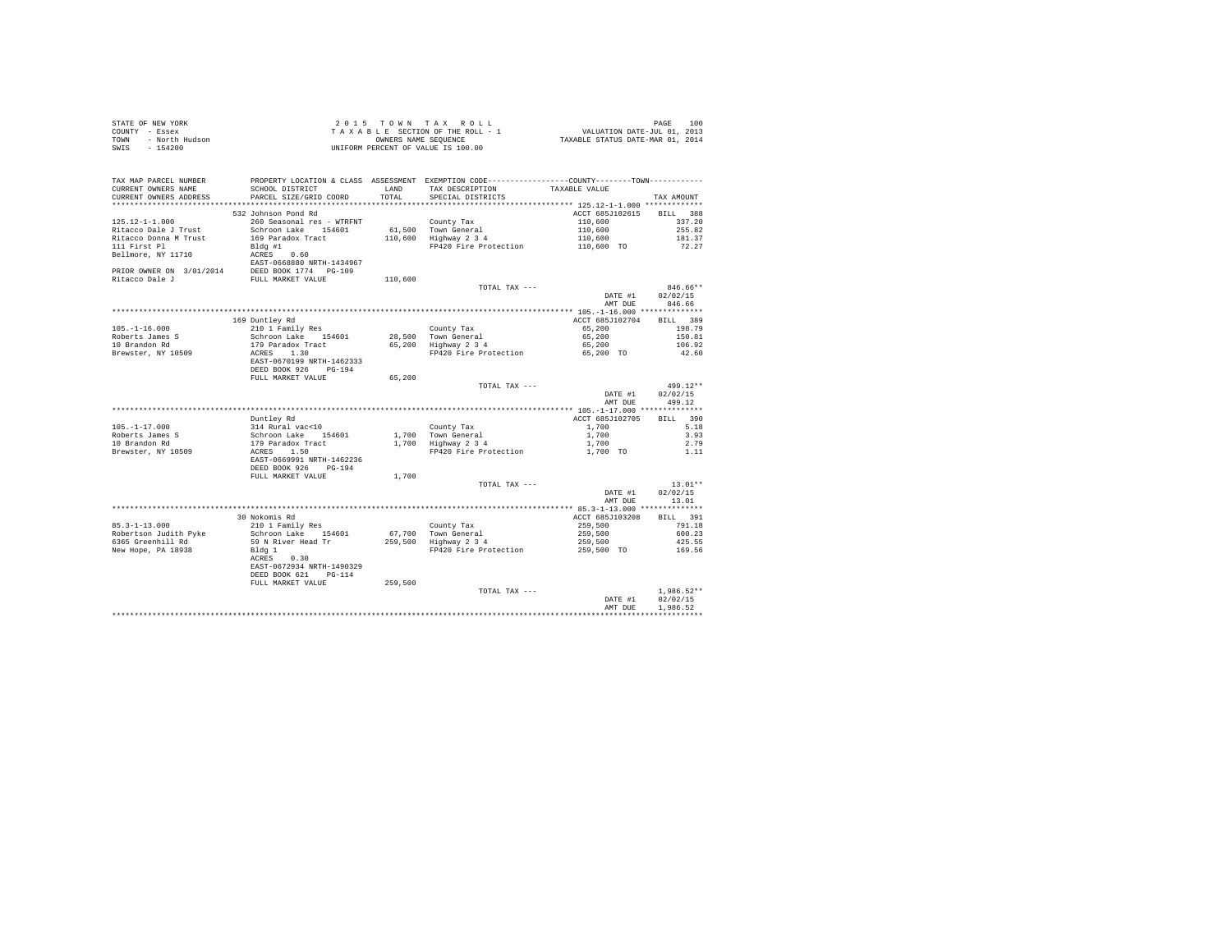|      | STATE OF NEW YORK | $2.0.15$ TOWN TAX ROLL             | 100<br>PAGE                      |
|------|-------------------|------------------------------------|----------------------------------|
|      | COUNTY - Essex    | TAXABLE SECTION OF THE ROLL - 1    | VALUATION DATE-JUL 01, 2013      |
| TOWN | - North Hudson    | OWNERS NAME SEOUENCE               | TAXABLE STATUS DATE-MAR 01, 2014 |
| SWIS | - 154200          | UNIFORM PERCENT OF VALUE IS 100.00 |                                  |

| TAX MAP PARCEL NUMBER    | PROPERTY LOCATION & CLASS ASSESSMENT EXEMPTION CODE----------------COUNTY-------TOWN---------- |         |                       |                 |                    |
|--------------------------|------------------------------------------------------------------------------------------------|---------|-----------------------|-----------------|--------------------|
| CURRENT OWNERS NAME      | SCHOOL DISTRICT                                                                                | T.AND   | TAX DESCRIPTION       | TAXABLE VALUE   |                    |
| CURRENT OWNERS ADDRESS   | PARCEL SIZE/GRID COORD                                                                         | TOTAL   | SPECIAL DISTRICTS     |                 | TAX AMOUNT         |
| ***********************  |                                                                                                |         |                       |                 |                    |
|                          | 532 Johnson Pond Rd                                                                            |         |                       | ACCT 685J102615 | <b>BILL</b><br>388 |
| $125.12 - 1 - 1.000$     | 260 Seasonal res - WTRFNT                                                                      |         | County Tax            | 110,600         | 337.20             |
| Ritacco Dale J Trust     | Schroon Lake 154601                                                                            |         | 61.500 Town General   | 110,600         | 255.82             |
| Ritacco Donna M Trust    | 169 Paradox Tract                                                                              |         | 110,600 Highway 2 3 4 | 110,600         | 181.37             |
| 111 First Pl             | $Bldq$ #1                                                                                      |         | FP420 Fire Protection | 110,600 TO      | 72.27              |
| Bellmore, NY 11710       | 0.60<br>ACRES                                                                                  |         |                       |                 |                    |
|                          | EAST-0668880 NRTH-1434967                                                                      |         |                       |                 |                    |
| PRIOR OWNER ON 3/01/2014 | DEED BOOK 1774 PG-109                                                                          |         |                       |                 |                    |
| Ritacco Dale J           | FULL MARKET VALUE                                                                              | 110,600 |                       |                 |                    |
|                          |                                                                                                |         | TOTAL TAX ---         |                 | 846.66**           |
|                          |                                                                                                |         |                       | DATE #1         | 02/02/15           |
|                          |                                                                                                |         |                       | AMT DUE         | 846.66             |
|                          |                                                                                                |         |                       |                 |                    |
|                          | 169 Duntley Rd                                                                                 |         |                       | ACCT 685J102704 | BILL 389           |
| $105. - 1 - 16.000$      | 210 1 Family Res                                                                               |         | County Tax            | 65,200          | 198.79             |
| Roberts James S          | Schroon Lake 154601                                                                            |         | 28,500 Town General   | 65,200          | 150.81             |
| 10 Brandon Rd            | 179 Paradox Tract                                                                              |         | 65,200 Highway 2 3 4  | 65,200          | 106.92             |
| Brewster, NY 10509       | ACRES<br>1.30                                                                                  |         | FP420 Fire Protection | 65,200 TO       | 42.60              |
|                          | EAST-0670199 NRTH-1462333                                                                      |         |                       |                 |                    |
|                          | DEED BOOK 926<br>$PG-194$                                                                      |         |                       |                 |                    |
|                          | FULL MARKET VALUE                                                                              | 65,200  |                       |                 |                    |
|                          |                                                                                                |         | TOTAL TAX ---         |                 | 499.12**           |
|                          |                                                                                                |         |                       | DATE #1         | 02/02/15           |
|                          |                                                                                                |         |                       | AMT DUE         | 499.12             |
|                          |                                                                                                |         |                       |                 |                    |
|                          | Duntley Rd                                                                                     |         |                       | ACCT 685J102705 | 390<br>BILL        |
| $105. - 1 - 17.000$      | 314 Rural vac<10                                                                               |         | County Tax            | 1,700           | 5.18               |
| Roberts James S          | Schroon Lake 154601                                                                            |         | 1.700 Town General    | 1,700           | 3.93               |
| 10 Brandon Rd            | 179 Paradox Tract                                                                              | 1,700   | Highway 2 3 4         | 1,700           | 2.79               |
| Brewster, NY 10509       | ACRES 1.50                                                                                     |         | FP420 Fire Protection | 1,700 TO        | 1.11               |
|                          | EAST-0669991 NRTH-1462236                                                                      |         |                       |                 |                    |
|                          | DEED BOOK 926<br>$PG-194$                                                                      |         |                       |                 |                    |
|                          | FULL MARKET VALUE                                                                              | 1,700   |                       |                 |                    |
|                          |                                                                                                |         | TOTAL TAX ---         |                 | $13.01**$          |
|                          |                                                                                                |         |                       | DATE #1         | 02/02/15           |
|                          |                                                                                                |         |                       | AMT DUE         | 13.01              |
|                          |                                                                                                |         |                       |                 |                    |
|                          | 30 Nokomis Rd                                                                                  |         |                       | ACCT 685J103208 | BILL 391           |
| $85.3 - 1 - 13.000$      | 210 1 Family Res                                                                               |         | County Tax            | 259,500         | 791.18             |
| Robertson Judith Pyke    | Schroon Lake 154601                                                                            | 67,700  | Town General          | 259,500         | 600.23             |
| 6365 Greenhill Rd        | 59 N River Head Tr                                                                             |         | 259,500 Highway 2 3 4 | 259,500         | 425.55             |
| New Hope, PA 18938       | Bldg 1                                                                                         |         | FP420 Fire Protection | 259,500 TO      | 169.56             |
|                          | 0.30<br>ACRES                                                                                  |         |                       |                 |                    |
|                          | EAST-0672934 NRTH-1490329                                                                      |         |                       |                 |                    |
|                          | DEED BOOK 621<br>$PG-114$                                                                      |         |                       |                 |                    |
|                          | FULL MARKET VALUE                                                                              | 259,500 |                       |                 |                    |
|                          |                                                                                                |         | TOTAL TAX ---         |                 | $1.986.52**$       |
|                          |                                                                                                |         |                       | DATE #1         | 02/02/15           |
|                          |                                                                                                |         |                       | AMT DUE         | 1.986.52           |
|                          |                                                                                                |         |                       |                 |                    |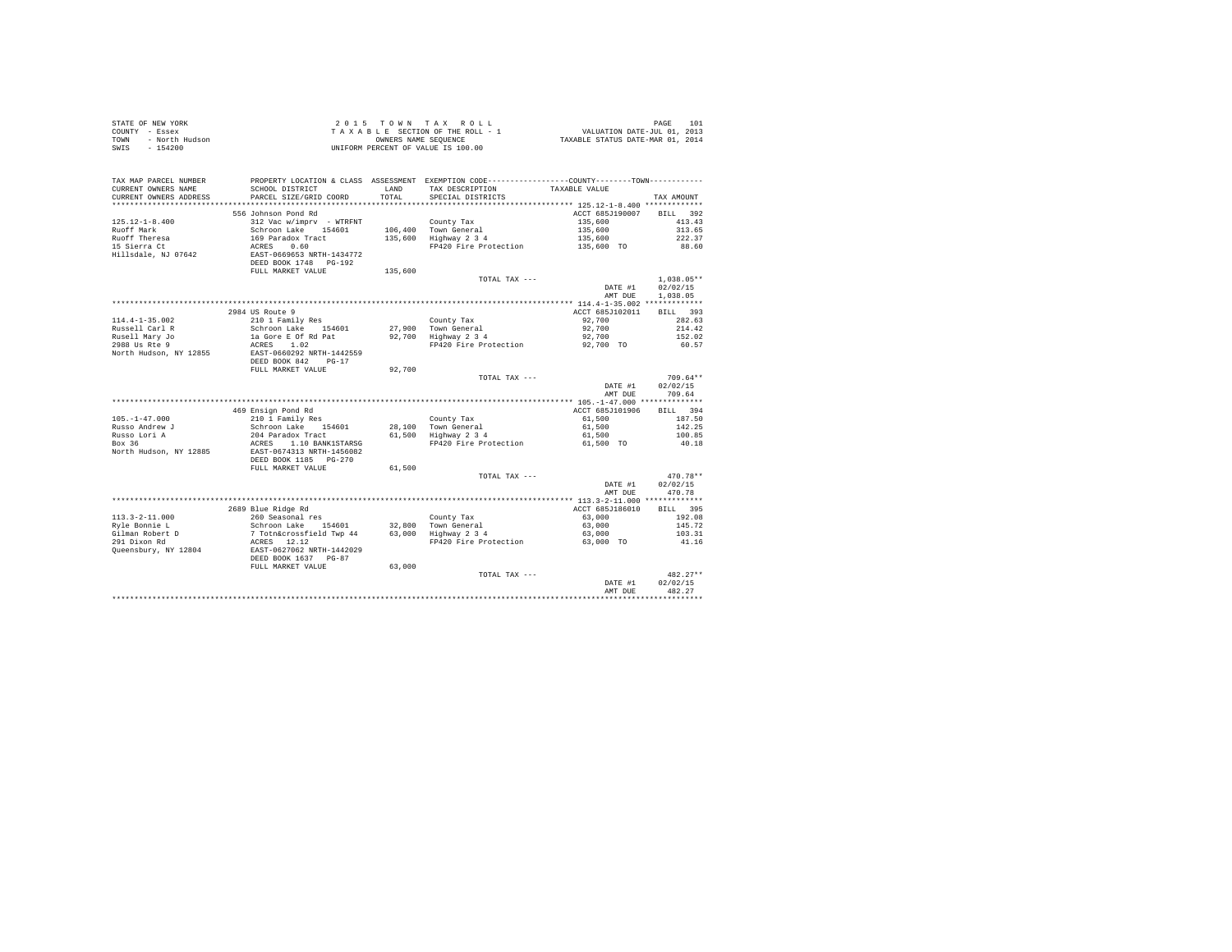| STATE OF NEW YORK<br>COUNTY - Essex<br>TOWN - North Hudson<br>SWIS - 154200 |                                                                                                                                           |         | UNIFORM PERCENT OF VALUE IS 100.00                                                                                              |                    |                    |
|-----------------------------------------------------------------------------|-------------------------------------------------------------------------------------------------------------------------------------------|---------|---------------------------------------------------------------------------------------------------------------------------------|--------------------|--------------------|
| TAX MAP PARCEL NUMBER<br>CURRENT OWNERS NAME                                | SCHOOL DISTRICT                                                                                                                           | LAND    | PROPERTY LOCATION & CLASS ASSESSMENT EXEMPTION CODE----------------COUNTY-------TOWN----------<br>TAX DESCRIPTION TAXABLE VALUE |                    |                    |
| CURRENT OWNERS ADDRESS                                                      | PARCEL SIZE/GRID COORD                                                                                                                    | TOTAL   | SPECIAL DISTRICTS                                                                                                               |                    | TAX AMOUNT         |
|                                                                             |                                                                                                                                           |         |                                                                                                                                 |                    |                    |
|                                                                             | 556 Johnson Pond Rd                                                                                                                       |         |                                                                                                                                 | ACCT 685J190007    | BILL 392           |
| $125.12 - 1 - 8.400$                                                        | 312 Vac w/imprv - WTRFNT County Tax<br>Schroon Lake 154601 106,400 Town General<br>312 Vac w/imprv - WTRFNT                               |         |                                                                                                                                 | 135,600            | 413.43             |
| Ruoff Mark<br>Ruoff Theresa                                                 |                                                                                                                                           |         | 106,400 - Iown General<br>135,600 - Highway 2-3-4                                                                               | 135,600<br>135,600 | 313.65             |
| nuoff fheresa<br>15 Sierra Ct                                               |                                                                                                                                           |         | FP420 Fire Protection                                                                                                           | 135,600 TO         | 222.37<br>88.60    |
| Hillsdale, NJ 07642                                                         | SCHEOD LARE 154601<br>169 Paradox Tract<br>ACRES 0.60<br>EAST-0669653 NRTH-1434772                                                        |         |                                                                                                                                 |                    |                    |
|                                                                             | DEED BOOK 1748 PG-192                                                                                                                     |         |                                                                                                                                 |                    |                    |
|                                                                             | FULL MARKET VALUE                                                                                                                         | 135,600 |                                                                                                                                 |                    |                    |
|                                                                             |                                                                                                                                           |         | TOTAL TAX ---                                                                                                                   |                    | $1.038.05**$       |
|                                                                             |                                                                                                                                           |         |                                                                                                                                 | DATE #1            | 02/02/15           |
|                                                                             |                                                                                                                                           |         |                                                                                                                                 | AMT DUE            | 1,038.05           |
|                                                                             |                                                                                                                                           |         |                                                                                                                                 |                    |                    |
|                                                                             | 2984 US Route 9                                                                                                                           |         |                                                                                                                                 | ACCT 685J102011    | BILL 393           |
| $114.4 - 1 - 35.002$                                                        | 210 1 Family Res                                                                                                                          |         | County Tax                                                                                                                      | 92,700             | 282.63             |
| Russell Carl R                                                              | Schroon Lake 154601 27,900 Town General<br>1a Gore E Of Rd Pat 92,700 Highway 2 3 4                                                       |         |                                                                                                                                 | 92,700             | 214.42             |
| Rusell Mary Jo<br>2988 Us Rte 9                                             |                                                                                                                                           |         |                                                                                                                                 | 92,700             | 152.02             |
|                                                                             | ACRES 1.02                                                                                                                                |         | FP420 Fire Protection 92,700 TO                                                                                                 |                    | 60.57              |
| North Hudson, NY 12855                                                      | EAST-0660292 NRTH-1442559                                                                                                                 |         |                                                                                                                                 |                    |                    |
|                                                                             | DEED BOOK 842 PG-17                                                                                                                       |         |                                                                                                                                 |                    |                    |
|                                                                             | FULL MARKET VALUE                                                                                                                         | 92,700  |                                                                                                                                 |                    |                    |
|                                                                             |                                                                                                                                           |         | TOTAL TAX ---                                                                                                                   |                    | $709.64**$         |
|                                                                             |                                                                                                                                           |         |                                                                                                                                 | DATE #1<br>AMT DUE | 02/02/15<br>709.64 |
|                                                                             |                                                                                                                                           |         |                                                                                                                                 |                    |                    |
|                                                                             |                                                                                                                                           |         |                                                                                                                                 | ACCT 685J101906    | BILL 394           |
| $105. - 1 - 47.000$                                                         | 469 Ensign Pond Rd<br>210 1 Family Res                                                                                                    |         | County Tax                                                                                                                      | 61,500             | 187.50             |
| Russo Andrew J                                                              | $Schroon Lake 154601$                                                                                                                     |         |                                                                                                                                 | 61,500             | 142.25             |
|                                                                             | Schroon Lake 154601 28,100 Town General<br>204 Paradox Tract 61,500 Highway 2 3 4                                                         |         |                                                                                                                                 | 61,500             | 100.85             |
| Russo Lori A<br>Russo Lori A<br>Box 36                                      | ACRES 1.10 BANK1STARSG<br>EAST-0674313 NRTH-1456082                                                                                       |         | FP420 Fire Protection 61,500 TO                                                                                                 |                    | 40.18              |
| North Hudson, NY 12885                                                      |                                                                                                                                           |         |                                                                                                                                 |                    |                    |
|                                                                             | DEED BOOK 1185 PG-270                                                                                                                     |         |                                                                                                                                 |                    |                    |
|                                                                             | FULL MARKET VALUE                                                                                                                         | 61,500  |                                                                                                                                 |                    |                    |
|                                                                             |                                                                                                                                           |         | TOTAL TAX ---                                                                                                                   |                    | $470.78**$         |
|                                                                             |                                                                                                                                           |         |                                                                                                                                 | DATE #1            | 02/02/15           |
|                                                                             |                                                                                                                                           |         |                                                                                                                                 | AMT DUE            | 470.78             |
|                                                                             |                                                                                                                                           |         |                                                                                                                                 |                    |                    |
|                                                                             | 2689 Blue Ridge Rd<br>2005 Bruc Anage Au                                                                                                  |         |                                                                                                                                 | ACCT 685J186010    | BILL 395           |
| $113.3 - 2 - 11.000$                                                        |                                                                                                                                           |         | County Tax                                                                                                                      | 63,000             | 192.08             |
| Ryle Bonnie L                                                               | -volument response and the community rate of the Schroon Lake 154601 22,800 Town General<br>7 Totn&crossfield Twp 44 63,000 Highway 2 3 4 |         |                                                                                                                                 | 63,000             | 145.72             |
| Gilman Robert D<br>291 Dixon Rd                                             | ACRES 12.12                                                                                                                               |         | FP420 Fire Protection 63,000 TO                                                                                                 | 63,000             | 103.31             |
| Queensbury, NY 12804                                                        | EAST-0627062 NRTH-1442029                                                                                                                 |         |                                                                                                                                 |                    | 41.16              |
|                                                                             | DEED BOOK 1637 PG-87                                                                                                                      |         |                                                                                                                                 |                    |                    |
|                                                                             | FULL MARKET VALUE                                                                                                                         | 63,000  |                                                                                                                                 |                    |                    |
|                                                                             |                                                                                                                                           |         | TOTAL TAX ---                                                                                                                   |                    | $482.27**$         |
|                                                                             |                                                                                                                                           |         |                                                                                                                                 | DATE #1            | 02/02/15           |
|                                                                             |                                                                                                                                           |         |                                                                                                                                 | AMT DUE            | 482.27             |
|                                                                             |                                                                                                                                           |         |                                                                                                                                 |                    |                    |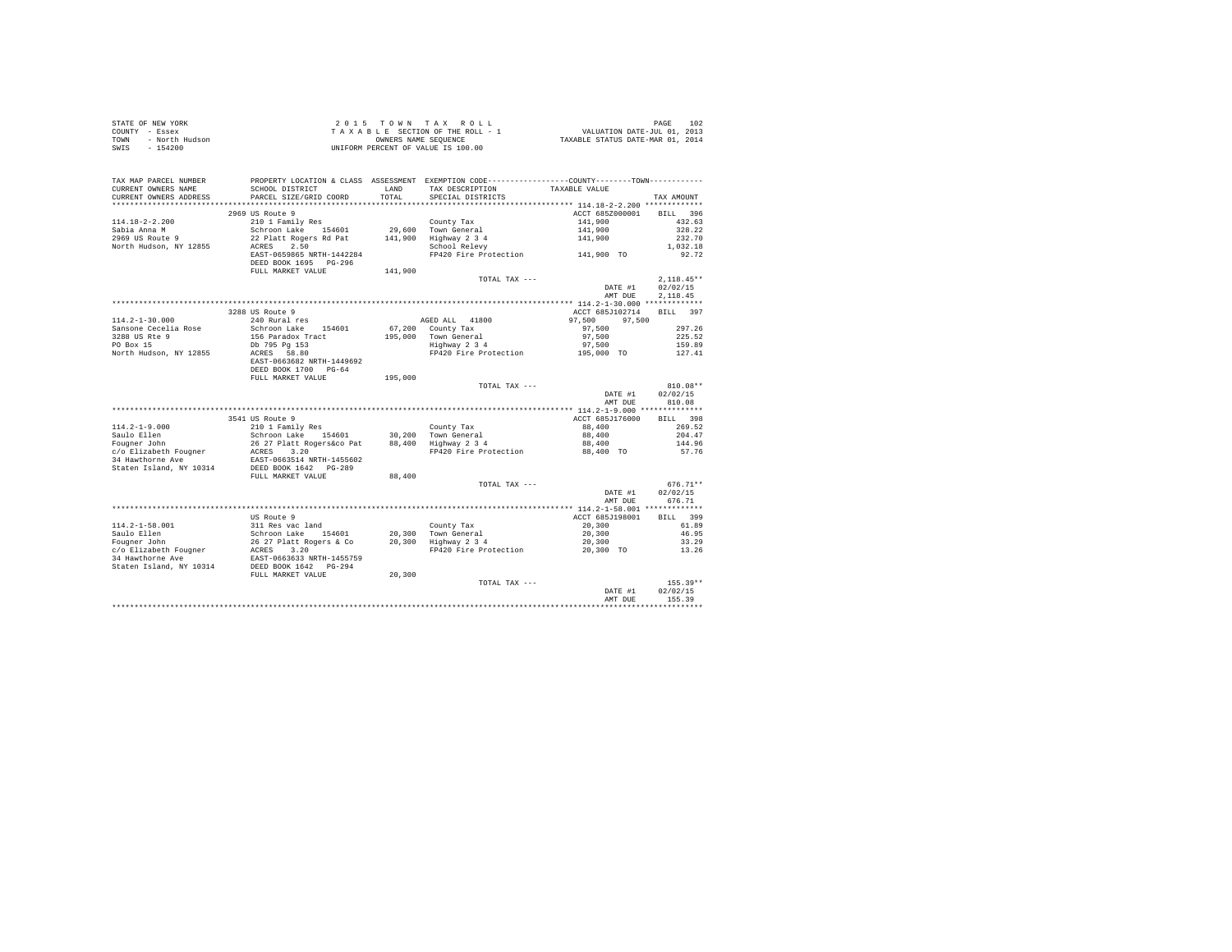|      | STATE OF NEW YORK | $2.0.15$ TOWN TAX ROLL             | 102<br>PAGE                      |
|------|-------------------|------------------------------------|----------------------------------|
|      | COUNTY - Essex    | TAXABLE SECTION OF THE ROLL - 1    | VALUATION DATE-JUL 01, 2013      |
| TOWN | - North Hudson    | OWNERS NAME SEOUENCE               | TAXABLE STATUS DATE-MAR 01, 2014 |
| SWIS | - 154200          | UNIFORM PERCENT OF VALUE IS 100.00 |                                  |

| TAX MAP PARCEL NUMBER<br>CURRENT OWNERS NAME<br>CURRENT OWNERS ADDRESS | PROPERTY LOCATION & CLASS ASSESSMENT EXEMPTION CODE---------------COUNTY-------TOWN---------<br>SCHOOL DISTRICT<br>PARCEL SIZE/GRID COORD             | LAND<br>TOTAL | TAX DESCRIPTION<br>SPECIAL DISTRICTS                                             | TAXABLE VALUE                                    | TAX AMOUNT                               |
|------------------------------------------------------------------------|-------------------------------------------------------------------------------------------------------------------------------------------------------|---------------|----------------------------------------------------------------------------------|--------------------------------------------------|------------------------------------------|
| **************************                                             |                                                                                                                                                       |               |                                                                                  |                                                  |                                          |
| $114.18 - 2 - 2.200$<br>Sabia Anna M<br>2969 US Route 9                | 2969 US Route 9<br>210 1 Family Res<br>Schroon Lake 154601<br>22 Platt Rogers Rd Pat                                                                  | 141,900       | County Tax<br>29.600 Town General<br>Highway 2 3 4                               | ACCT 685Z000001<br>141,900<br>141,900<br>141,900 | BTT.T. 396<br>432.63<br>328.22<br>232.70 |
| North Hudson, NY 12855                                                 | 2.50<br>ACRES<br>EAST-0659865 NRTH-1442284<br>DEED BOOK 1695 PG-296<br>FULL MARKET VALUE                                                              | 141,900       | School Relevy<br>FP420 Fire Protection                                           | 141,900 TO                                       | 1,032.18<br>92.72                        |
|                                                                        |                                                                                                                                                       |               | TOTAL TAX ---                                                                    | DATE #1<br>AMT DUE                               | $2.118.45**$<br>02/02/15<br>2.118.45     |
|                                                                        | 3288 US Route 9                                                                                                                                       |               |                                                                                  | ACCT 685J102714                                  | BILL 397                                 |
| $114.2 - 1 - 30.000$<br>Sansone Cecelia Rose                           | 240 Rural res<br>Schroon Lake 154601                                                                                                                  |               | AGED ALL 41800<br>67.200 County Tax                                              | 97.500<br>97.500<br>97.500                       | 297.26                                   |
| 3288 US Rte 9<br>PO Box 15<br>North Hudson, NY 12855                   | 156 Paradox Tract<br>Db 795 Pg 153<br>ACRES 58.80                                                                                                     | 195,000       | Town General<br>Highway 2 3 4<br>FP420 Fire Protection                           | 97,500<br>97.500<br>195,000 TO                   | 225.52<br>159.89<br>127.41               |
|                                                                        | EAST-0663682 NRTH-1449692<br>DEED BOOK 1700 PG-64<br>FULL MARKET VALUE                                                                                | 195,000       |                                                                                  |                                                  |                                          |
|                                                                        |                                                                                                                                                       |               | TOTAL TAX ---                                                                    |                                                  | $810.08**$                               |
|                                                                        |                                                                                                                                                       |               |                                                                                  | DATE #1<br>AMT DUE                               | 02/02/15<br>810.08                       |
|                                                                        |                                                                                                                                                       |               |                                                                                  |                                                  |                                          |
|                                                                        | 3541 US Route 9                                                                                                                                       |               |                                                                                  | ACCT 685J176000                                  | BILL 398                                 |
| $114.2 - 1 - 9.000$                                                    | 210 1 Family Res                                                                                                                                      |               | County Tax                                                                       | 88,400                                           | 269.52                                   |
| Saulo Ellen                                                            | Schroon Lake 154601                                                                                                                                   |               | 30.200 Town General                                                              | 88,400                                           | 204.47                                   |
| Fougner John                                                           |                                                                                                                                                       |               | 88,400 Highway 2 3 4                                                             | 88,400                                           | 144.96                                   |
| c/o Elizabeth Fougner<br>34 Hawthorne Ave<br>Staten Island, NY 10314   | 26 27 Platt Rogers&co Pat<br>ACRES 3.20<br>EAST-0663514 NRTH-1455602<br>DEED BOOK 1642 PG-289                                                         |               | FP420 Fire Protection                                                            | 88,400 TO                                        | 57.76                                    |
|                                                                        | FULL MARKET VALUE                                                                                                                                     | 88,400        |                                                                                  |                                                  |                                          |
|                                                                        |                                                                                                                                                       |               | TOTAL TAX ---                                                                    | DATE #1<br>AMT DUE                               | $676.71**$<br>02/02/15<br>676.71         |
|                                                                        | US Route 9                                                                                                                                            |               |                                                                                  | ACCT 685J198001                                  | BILL 399                                 |
| $114.2 - 1 - 58.001$                                                   |                                                                                                                                                       |               | County Tax                                                                       | 20,300                                           | 61.89                                    |
| Saulo Ellen                                                            |                                                                                                                                                       |               |                                                                                  | 20,300                                           | 46.95                                    |
| Fougner John                                                           |                                                                                                                                                       |               |                                                                                  | 20,300                                           | 33.29                                    |
| c/o Elizabeth Fougner<br>34 Hawthorne Ave<br>Staten Island, NY 10314   | 311 Res vac land<br>Schroon Lake 154601<br>26 27 Platt Rogers & Co<br>ACRES 3.20<br>TACRES 3.20<br>EAST-0663633 NRTH-1455759<br>DEED BOOK 1642 PG-294 |               | 20,300 Town General<br>20,300 Highway 2 3 4<br>$\lim_{m \to \infty} \frac{1}{2}$ | FP420 Fire Protection 20,300 TO                  | 13.26                                    |
|                                                                        | FULL MARKET VALUE                                                                                                                                     | 20,300        |                                                                                  |                                                  |                                          |
|                                                                        |                                                                                                                                                       |               | TOTAL TAX ---                                                                    | DATE #1<br>AMT DUE                               | $155.39**$<br>02/02/15<br>155.39         |
|                                                                        |                                                                                                                                                       |               |                                                                                  |                                                  |                                          |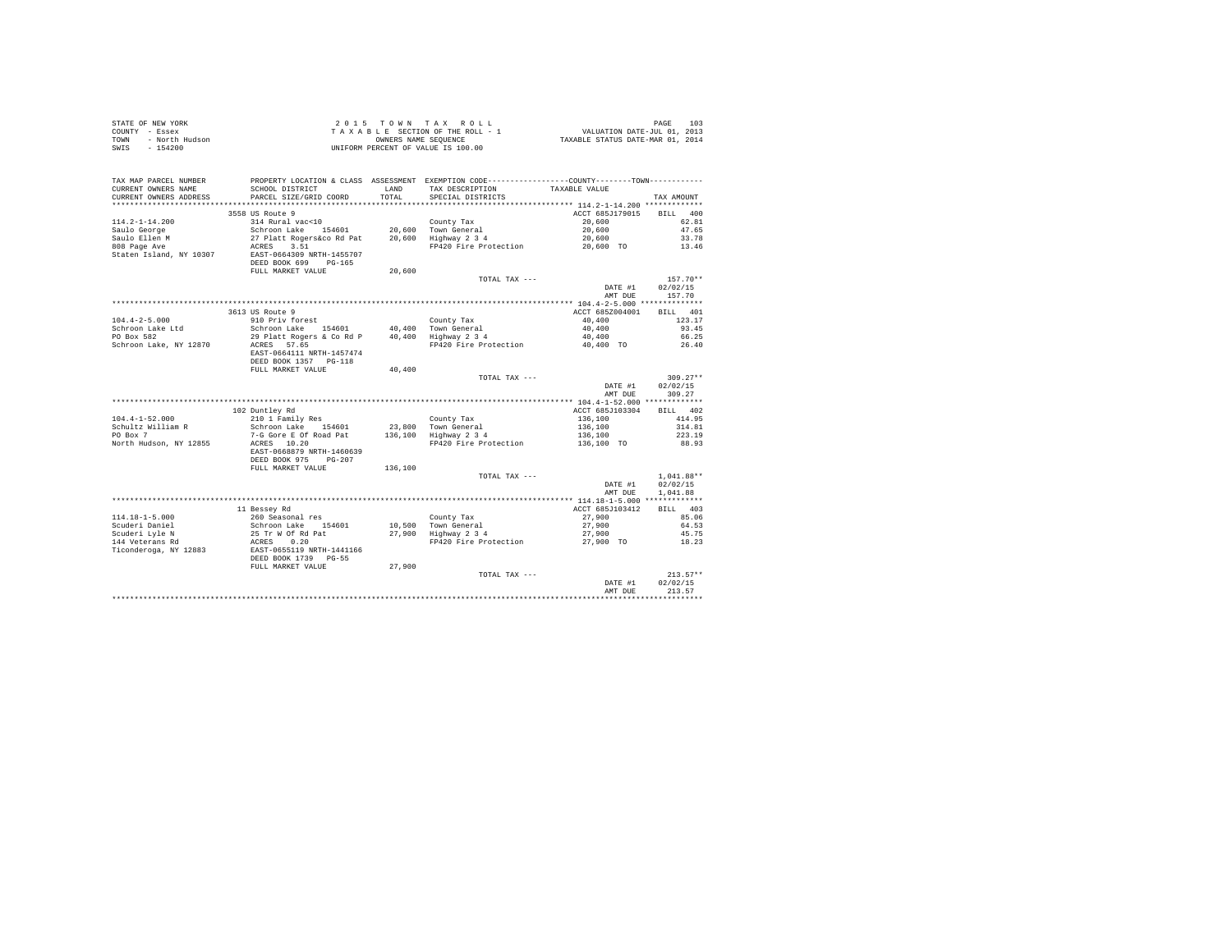|      | STATE OF NEW YORK | $2.0.15$ TOWN TAX ROLL             | 103<br>PAGE                      |
|------|-------------------|------------------------------------|----------------------------------|
|      | COUNTY - Essex    | TAXABLE SECTION OF THE ROLL - 1    | VALUATION DATE-JUL 01, 2013      |
| TOWN | - North Hudson    | OWNERS NAME SEOUENCE               | TAXABLE STATUS DATE-MAR 01, 2014 |
| SWIS | - 154200          | UNIFORM PERCENT OF VALUE IS 100.00 |                                  |

| TAX MAP PARCEL NUMBER<br>CURRENT OWNERS NAME<br>CURRENT OWNERS ADDRESS                                                      | PROPERTY LOCATION & CLASS ASSESSMENT EXEMPTION CODE----------------COUNTY--------TOWN----------<br>SCHOOL DISTRICT<br>PARCEL SIZE/GRID COORD                                                        | <b>T.AND</b><br>TOTAL | TAX DESCRIPTION<br>SPECIAL DISTRICTS                                               | TAXABLE VALUE                                                  | TAX AMOUNT                                                |
|-----------------------------------------------------------------------------------------------------------------------------|-----------------------------------------------------------------------------------------------------------------------------------------------------------------------------------------------------|-----------------------|------------------------------------------------------------------------------------|----------------------------------------------------------------|-----------------------------------------------------------|
| ***********************<br>$114.2 - 1 - 14.200$<br>Saulo George<br>Saulo Ellen M<br>808 Page Ave<br>Staten Island, NY 10307 | *****************************<br>3558 US Route 9<br>314 Rural vac<10<br>Schroon Lake 154601<br>27 Platt Rogers&co Rd Pat<br>ACRES<br>3.51<br>EAST-0664309 NRTH-1455707<br>DEED BOOK 699<br>$PG-165$ | 20,600<br>20,600      | County Tax<br>Town General<br>Highway 2 3 4<br>FP420 Fire Protection               | ACCT 685J179015<br>20,600<br>20,600<br>20,600<br>20,600 TO     | 400<br><b>BILL</b><br>62.81<br>47.65<br>33.78<br>13.46    |
|                                                                                                                             | FULL MARKET VALUE                                                                                                                                                                                   | 20,600                | TOTAL TAX ---                                                                      | DATE #1<br>AMT DUE                                             | $157.70**$<br>02/02/15<br>157.70                          |
|                                                                                                                             |                                                                                                                                                                                                     |                       |                                                                                    |                                                                |                                                           |
| $104.4 - 2 - 5.000$<br>Schroon Lake Ltd<br>PO Box 582<br>Schroon Lake, NY 12870                                             | 3613 US Route 9<br>910 Priv forest<br>Schroon Lake 154601<br>29 Platt Rogers & Co Rd P<br>ACRES 57.65<br>EAST-0664111 NRTH-1457474                                                                  |                       | County Tax<br>40.400 Town General<br>40,400 Highway 2 3 4<br>FP420 Fire Protection | ACCT 685Z004001<br>40,400<br>40,400<br>40,400<br>40,400 TO     | RTT.T.<br>401<br>123.17<br>93.45<br>66.25<br>26.40        |
|                                                                                                                             | DEED BOOK 1357 PG-118<br>FULL MARKET VALUE                                                                                                                                                          | 40,400                | TOTAL TAX ---                                                                      | DATE #1<br>AMT DUE                                             | $309.27**$<br>02/02/15<br>309.27                          |
|                                                                                                                             |                                                                                                                                                                                                     |                       |                                                                                    |                                                                |                                                           |
| $104.4 - 1 - 52.000$<br>Schultz William R<br>PO Box 7<br>North Hudson, NY 12855                                             | 102 Duntley Rd<br>210 1 Family Res<br>Schroon Lake 154601<br>7-G Gore E Of Road Pat<br>ACRES 10.20<br>EAST-0668879 NRTH-1460639<br>DEED BOOK 975<br>$PG-207$                                        | 23,800<br>136,100     | County Tax<br>Town General<br>Highway 2 3 4<br>FP420 Fire Protection               | ACCT 685J103304<br>136,100<br>136,100<br>136,100<br>136,100 TO | 402<br><b>BILL</b><br>414.95<br>314.81<br>223.19<br>88.93 |
|                                                                                                                             | FULL MARKET VALUE                                                                                                                                                                                   | 136,100               | TOTAL TAX ---                                                                      | DATE #1<br>AMT DUE                                             | $1,041.88**$<br>02/02/15<br>1.041.88                      |
| $114.18 - 1 - 5.000$<br>Scuderi Daniel<br>Scuderi Lyle N<br>144 Veterans Rd<br>Ticonderoga, NY 12883                        | 11 Bessey Rd<br>260 Seasonal res<br>Schroon Lake 154601<br>25 Tr W Of Rd Pat<br>0.20<br>ACRES<br>EAST-0655119 NRTH-1441166<br>DEED BOOK 1739<br>$PG-55$<br>FULL MARKET VALUE                        | 27,900                | County Tax<br>10,500 Town General<br>27,900 Highway 2 3 4<br>FP420 Fire Protection | ACCT 685J103412<br>27,900<br>27,900<br>27,900<br>27,900 TO     | RTT.T.<br>403<br>85.06<br>64.53<br>45.75<br>18.23         |
|                                                                                                                             |                                                                                                                                                                                                     |                       | TOTAL TAX ---                                                                      | DATE #1<br>AMT DUE                                             | $213.57**$<br>02/02/15<br>213.57                          |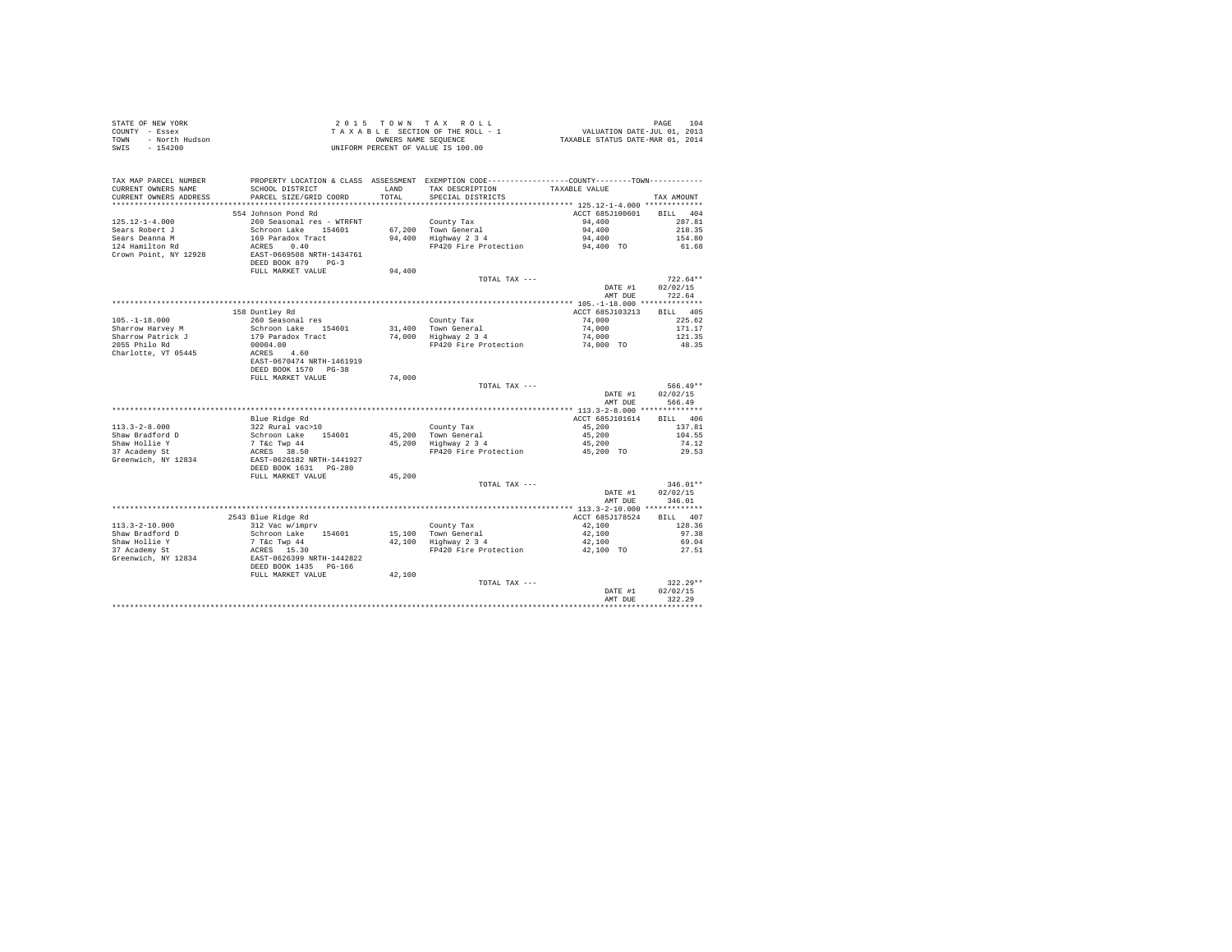|                                                                                                                                                                                                                                           |                                                                                                          |        |                                                                                                                         | PAGE 104<br>VALUATION DATE-JUL 01, 2013<br>TAXABLE STATUS DATE-MAR 01, 2014 |            |
|-------------------------------------------------------------------------------------------------------------------------------------------------------------------------------------------------------------------------------------------|----------------------------------------------------------------------------------------------------------|--------|-------------------------------------------------------------------------------------------------------------------------|-----------------------------------------------------------------------------|------------|
|                                                                                                                                                                                                                                           |                                                                                                          |        |                                                                                                                         |                                                                             |            |
|                                                                                                                                                                                                                                           |                                                                                                          |        |                                                                                                                         |                                                                             |            |
| STATE OF REW YORK AND TRUE SECTION OF THE ROLL - 1<br>TOWN - North Hudson<br>TRAX A B L E SECTION OF THE ROLL - 1<br>TOWN - North Hudson<br>TRAX A B L E SECTION OF THE ROLL - 1<br>OWNERS NAME SEQUENCE<br>TOWN PERCENT OF VALUE IS 100. |                                                                                                          |        |                                                                                                                         |                                                                             |            |
|                                                                                                                                                                                                                                           |                                                                                                          |        |                                                                                                                         |                                                                             |            |
|                                                                                                                                                                                                                                           |                                                                                                          |        |                                                                                                                         |                                                                             |            |
|                                                                                                                                                                                                                                           |                                                                                                          |        |                                                                                                                         |                                                                             |            |
| TAX MAP PARCEL NUMBER<br>CURRENT OWNERS NAME                                                                                                                                                                                              | SCHOOL DISTRICT                                                                                          |        | PROPERTY LOCATION & CLASS ASSESSMENT EXEMPTION CODE----------------COUNTY--------TOWN----------<br>LAND TAX DESCRIPTION | TAXABLE VALUE                                                               |            |
|                                                                                                                                                                                                                                           |                                                                                                          |        |                                                                                                                         |                                                                             |            |
| CURRENT OWNERS ADDRESS                                                                                                                                                                                                                    | PARCEL SIZE/GRID COORD                                                                                   | TOTAL  | SPECIAL DISTRICTS                                                                                                       |                                                                             | TAX AMOUNT |
|                                                                                                                                                                                                                                           |                                                                                                          |        |                                                                                                                         |                                                                             |            |
|                                                                                                                                                                                                                                           | 554 Johnson Pond Rd                                                                                      |        |                                                                                                                         | ACCT 685J100601 BILL 404                                                    |            |
| $125.12 - 1 - 4.000$                                                                                                                                                                                                                      | 260 Seasonal res - WTRFNT                                                                                |        | County Tax                                                                                                              | 94,400                                                                      | 287.81     |
| Sears Robert J                                                                                                                                                                                                                            | Schroon Lake 154601                                                                                      |        | 67,200 Town General                                                                                                     | 94,400                                                                      | 218.35     |
| Sears Deanna M                                                                                                                                                                                                                            | 169 Paradox Tract                                                                                        |        | 94,400 Highway 2 3 4                                                                                                    | 94,400                                                                      | 154.80     |
| 124 Hamilton Rd                                                                                                                                                                                                                           | ACRES 0.40<br>EAST-0669508 NRTH-1434761                                                                  |        | FP420 Fire Protection 94,400 TO                                                                                         |                                                                             | 61.68      |
| Crown Point, NY 12928                                                                                                                                                                                                                     |                                                                                                          |        |                                                                                                                         |                                                                             |            |
|                                                                                                                                                                                                                                           | DEED BOOK 879 PG-3                                                                                       |        |                                                                                                                         |                                                                             |            |
|                                                                                                                                                                                                                                           | FULL MARKET VALUE                                                                                        | 94,400 |                                                                                                                         |                                                                             |            |
|                                                                                                                                                                                                                                           |                                                                                                          |        | TOTAL TAX ---                                                                                                           |                                                                             | $722.64**$ |
|                                                                                                                                                                                                                                           |                                                                                                          |        |                                                                                                                         | DATE #1                                                                     | 02/02/15   |
|                                                                                                                                                                                                                                           |                                                                                                          |        |                                                                                                                         | AMT DUE                                                                     | 722.64     |
|                                                                                                                                                                                                                                           |                                                                                                          |        |                                                                                                                         |                                                                             |            |
|                                                                                                                                                                                                                                           | 158 Duntley Rd                                                                                           |        |                                                                                                                         | ACCT 685J103213                                                             | BILL 405   |
| $105. - 1 - 18.000$                                                                                                                                                                                                                       | 260 Seasonal res                                                                                         |        | County Tax                                                                                                              | 74,000                                                                      | 225.62     |
| Sharrow Harvey M                                                                                                                                                                                                                          |                                                                                                          |        | 31,400 Town General                                                                                                     | 74,000                                                                      | 171.17     |
| Sharrow Patrick J                                                                                                                                                                                                                         | Schroon Lake 154601<br>179 Paradox Tract                                                                 |        | 31,400 TOWN General<br>74,000 Highway 2 3 4                                                                             | 74,000                                                                      | 121.35     |
| 2055 Philo Rd                                                                                                                                                                                                                             | 00004.00<br>ACRES 4.60<br>EAST-0670474 NRTH-1461919                                                      |        | FP420 Fire Protection 74,000 TO                                                                                         |                                                                             | 48.35      |
| Charlotte, VT 05445                                                                                                                                                                                                                       |                                                                                                          |        |                                                                                                                         |                                                                             |            |
|                                                                                                                                                                                                                                           |                                                                                                          |        |                                                                                                                         |                                                                             |            |
|                                                                                                                                                                                                                                           | DEED BOOK 1570 PG-38                                                                                     |        |                                                                                                                         |                                                                             |            |
|                                                                                                                                                                                                                                           | FULL MARKET VALUE                                                                                        | 74,000 |                                                                                                                         |                                                                             |            |
|                                                                                                                                                                                                                                           |                                                                                                          |        | TOTAL TAX ---                                                                                                           |                                                                             | $566.49**$ |
|                                                                                                                                                                                                                                           |                                                                                                          |        |                                                                                                                         | DATE #1                                                                     | 02/02/15   |
|                                                                                                                                                                                                                                           |                                                                                                          |        |                                                                                                                         | AMT DUE                                                                     | 566.49     |
|                                                                                                                                                                                                                                           |                                                                                                          |        |                                                                                                                         |                                                                             |            |
|                                                                                                                                                                                                                                           | Blue Ridge Rd                                                                                            |        |                                                                                                                         | ACCT 685J101614                                                             | BILL 406   |
| $113.3 - 2 - 8.000$                                                                                                                                                                                                                       | 322 Rural vac>10                                                                                         |        | County Tax                                                                                                              | 45,200                                                                      | 137.81     |
| Shaw Bradford D                                                                                                                                                                                                                           |                                                                                                          |        |                                                                                                                         | 45,200                                                                      | 104.55     |
|                                                                                                                                                                                                                                           |                                                                                                          |        | County Tax<br>45,200 Town General<br>45,200 Highway 2 3 4                                                               | 45,200                                                                      | 74.12      |
| Shaw Hollie Y<br>37 Academy St                                                                                                                                                                                                            | Schroon Lake<br>7 T&C Twp 44<br>ACRES 38.50<br>EAST-0626182 NRTH-1441927<br>DEED BOOK 1631 PG-280        |        | FP420 Fire Protection                                                                                                   | 45,200 TO                                                                   | 29.53      |
| Greenwich, NY 12834                                                                                                                                                                                                                       |                                                                                                          |        |                                                                                                                         |                                                                             |            |
|                                                                                                                                                                                                                                           |                                                                                                          |        |                                                                                                                         |                                                                             |            |
|                                                                                                                                                                                                                                           |                                                                                                          |        |                                                                                                                         |                                                                             |            |
|                                                                                                                                                                                                                                           | FULL MARKET VALUE                                                                                        | 45,200 |                                                                                                                         |                                                                             |            |
|                                                                                                                                                                                                                                           |                                                                                                          |        | TOTAL TAX ---                                                                                                           |                                                                             | $346.01**$ |
|                                                                                                                                                                                                                                           |                                                                                                          |        |                                                                                                                         | DATE #1                                                                     | 02/02/15   |
|                                                                                                                                                                                                                                           |                                                                                                          |        |                                                                                                                         | AMT DUE                                                                     | 346.01     |
|                                                                                                                                                                                                                                           |                                                                                                          |        |                                                                                                                         |                                                                             |            |
|                                                                                                                                                                                                                                           | 2543 Blue Ridge Rd                                                                                       |        |                                                                                                                         | ACCT 685J178524                                                             | BILL 407   |
| $113.3 - 2 - 10.000$                                                                                                                                                                                                                      | 312 Vac w/imprv                                                                                          |        | County Tax                                                                                                              | 42,100                                                                      | 128.36     |
| Shaw Bradford D                                                                                                                                                                                                                           |                                                                                                          |        | County Tax<br>15,100 Town General<br>42,100 Highway 2 3 4                                                               | 42,100                                                                      | 97.38      |
| Shaw Hollie Y<br>37 Academy St                                                                                                                                                                                                            |                                                                                                          |        |                                                                                                                         | 42,100                                                                      | 69.04      |
|                                                                                                                                                                                                                                           | Schroon Lake 154601<br>7 T&C Twp 44<br>ACRES 15.30<br>EAST-0626399 NRTH-1442822<br>DEED BOOK 1435 PG-166 |        | FP420 Fire Protection                                                                                                   | 42,100 TO                                                                   | 27.51      |
| Greenwich, NY 12834                                                                                                                                                                                                                       |                                                                                                          |        |                                                                                                                         |                                                                             |            |
|                                                                                                                                                                                                                                           |                                                                                                          |        |                                                                                                                         |                                                                             |            |
|                                                                                                                                                                                                                                           | FULL MARKET VALUE                                                                                        | 42,100 |                                                                                                                         |                                                                             |            |
|                                                                                                                                                                                                                                           |                                                                                                          |        | TOTAL TAX ---                                                                                                           |                                                                             | $322.29**$ |
|                                                                                                                                                                                                                                           |                                                                                                          |        |                                                                                                                         | DATE #1                                                                     | 02/02/15   |
|                                                                                                                                                                                                                                           |                                                                                                          |        |                                                                                                                         | AMT DUE                                                                     | 322.29     |
|                                                                                                                                                                                                                                           |                                                                                                          |        |                                                                                                                         |                                                                             |            |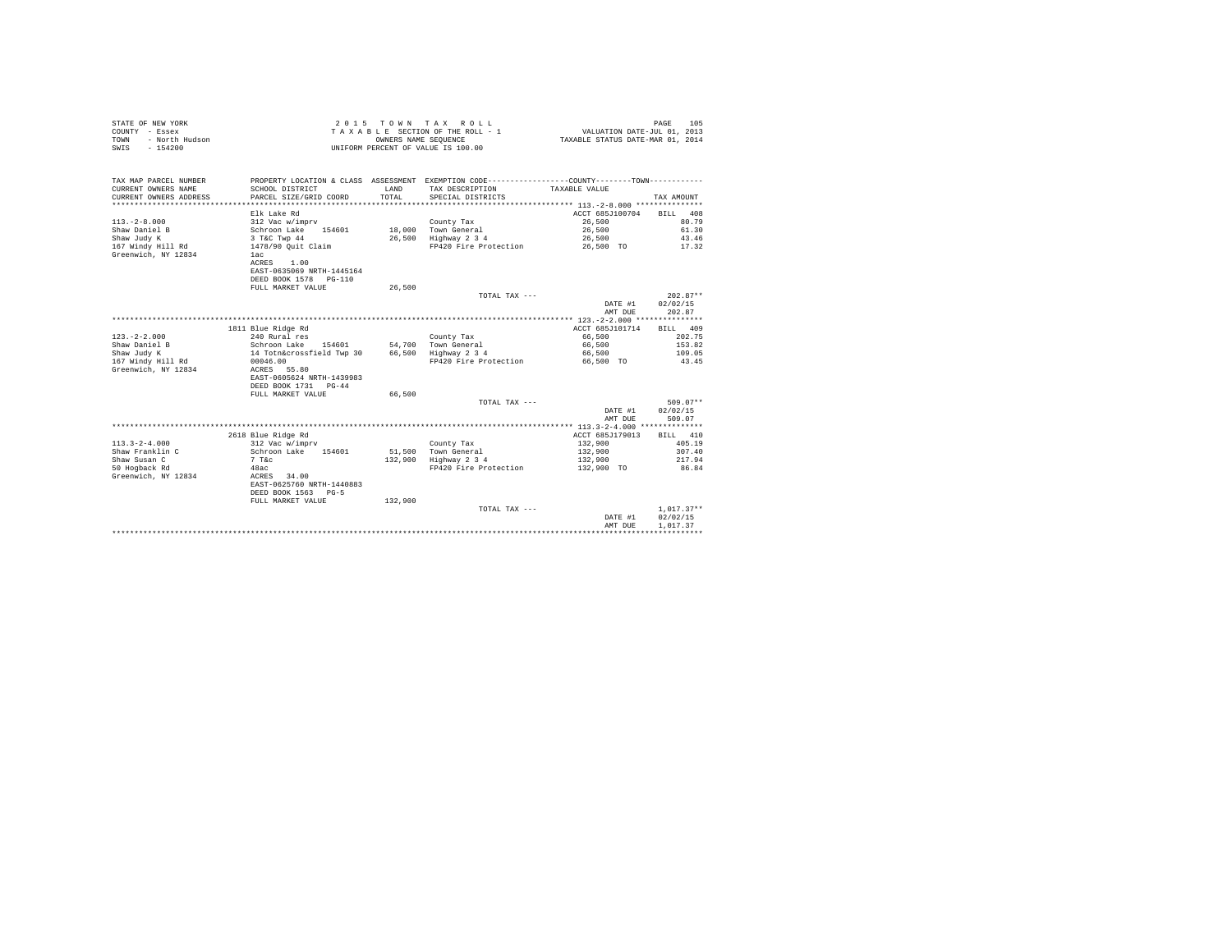| STATE OF NEW YORK      | 2015 TOWN TAX ROLL                 | PAGE                             | 105 |
|------------------------|------------------------------------|----------------------------------|-----|
| COUNTY - Essex         | TAXABLE SECTION OF THE ROLL - 1    | VALUATION DATE-JUL 01, 2013      |     |
| TOWN<br>- North Hudson | OWNERS NAME SEOUENCE               | TAXABLE STATUS DATE-MAR 01, 2014 |     |
| SWIS<br>- 154200       | UNIFORM PERCENT OF VALUE IS 100.00 |                                  |     |
|                        |                                    |                                  |     |

| TAX MAP PARCEL NUMBER  | PROPERTY LOCATION & CLASS ASSESSMENT EXEMPTION CODE---------------COUNTY-------TOWN--------- |         |                                    |                 |              |
|------------------------|----------------------------------------------------------------------------------------------|---------|------------------------------------|-----------------|--------------|
| CURRENT OWNERS NAME    | SCHOOL DISTRICT                                                                              | T.AND   | TAX DESCRIPTION                    | TAXABLE VALUE   |              |
| CURRENT OWNERS ADDRESS | PARCEL SIZE/GRID COORD                                                                       | TOTAL   | SPECIAL DISTRICTS                  |                 | TAX AMOUNT   |
|                        |                                                                                              |         |                                    |                 |              |
|                        | Elk Lake Rd                                                                                  |         |                                    | ACCT 685J100704 | 408<br>BILL  |
| $113. -2 - 8.000$      | 312 Vac w/imprv                                                                              |         | County Tax                         | 26,500          | 80.79        |
| Shaw Daniel B          | Schroon Lake 154601                                                                          |         | 18,000 Town General                | 26,500          | 61.30        |
| Shaw Judy K            | 3 T&C Twp 44                                                                                 |         | 26,500 Highway 2 3 4               | 26,500          | 43.46        |
|                        |                                                                                              |         | FP420 Fire Protection 26,500 TO    |                 | 17.32        |
| Greenwich, NY 12834    | lac                                                                                          |         |                                    |                 |              |
|                        | ACRES<br>1.00                                                                                |         |                                    |                 |              |
|                        | EAST-0635069 NRTH-1445164                                                                    |         |                                    |                 |              |
|                        | DEED BOOK 1578 PG-110                                                                        |         |                                    |                 |              |
|                        | FULL MARKET VALUE                                                                            | 26,500  |                                    |                 |              |
|                        |                                                                                              |         |                                    |                 | $202.87**$   |
|                        |                                                                                              |         | TOTAL TAX ---                      |                 |              |
|                        |                                                                                              |         |                                    | DATE #1         | 02/02/15     |
|                        |                                                                                              |         |                                    | AMT DUE         | 202.87       |
|                        |                                                                                              |         |                                    |                 |              |
|                        | 1811 Blue Ridge Rd                                                                           |         |                                    | ACCT 685J101714 | BILL 409     |
| $123. - 2 - 2.000$     | 240 Rural res                                                                                |         | County Tax                         | 66,500          | 202.75       |
| Shaw Daniel B          | Schroon Lake 154601                                                                          |         | 54.700 Town General                | 66,500          | 153.82       |
| Shaw Judy K            | 14 Totn&crossfield Twp 30                                                                    |         | 66,500 Highway 2 3 4               | 66,500          | 109.05       |
| 167 Windy Hill Rd      | 00046.00                                                                                     |         | FP420 Fire Protection              | 66.500 TO       | 43.45        |
| Greenwich, NY 12834    | ACRES 55.80                                                                                  |         |                                    |                 |              |
|                        | EAST-0605624 NRTH-1439983                                                                    |         |                                    |                 |              |
|                        | DEED BOOK 1731 PG-44                                                                         |         |                                    |                 |              |
|                        | FULL MARKET VALUE                                                                            | 66,500  |                                    |                 |              |
|                        |                                                                                              |         | TOTAL TAX ---                      |                 | $509.07**$   |
|                        |                                                                                              |         |                                    | DATE #1         | 02/02/15     |
|                        |                                                                                              |         |                                    | AMT DUE         | 509.07       |
|                        |                                                                                              |         |                                    |                 |              |
|                        | 2618 Blue Ridge Rd                                                                           |         |                                    | ACCT 685J179013 | BILL 410     |
| $113.3 - 2 - 4.000$    | 312 Vac w/imprv                                                                              |         | County Tax                         | 132,900         | 405.19       |
| Shaw Franklin C        | Schroon Lake 154601                                                                          |         | 51.500 Town General                | 132,900         | 307.40       |
| Shaw Susan C           | $7$ T&c                                                                                      |         | $132,900$ Highway $2\overline{3}4$ | 132,900         | 217.94       |
| 50 Hogback Rd          | 48ac                                                                                         |         | FP420 Fire Protection              | 132,900 TO      | 86.84        |
| Greenwich, NY 12834    | ACRES 34.00                                                                                  |         |                                    |                 |              |
|                        | EAST-0625760 NRTH-1440883                                                                    |         |                                    |                 |              |
|                        | DEED BOOK 1563 PG-5                                                                          |         |                                    |                 |              |
|                        | FULL MARKET VALUE                                                                            | 132,900 |                                    |                 |              |
|                        |                                                                                              |         | TOTAL TAX ---                      |                 | $1,017.37**$ |
|                        |                                                                                              |         |                                    | DATE #1         | 02/02/15     |
|                        |                                                                                              |         |                                    |                 | 1,017.37     |
|                        |                                                                                              |         |                                    | AMT DUE         |              |
|                        |                                                                                              |         |                                    |                 |              |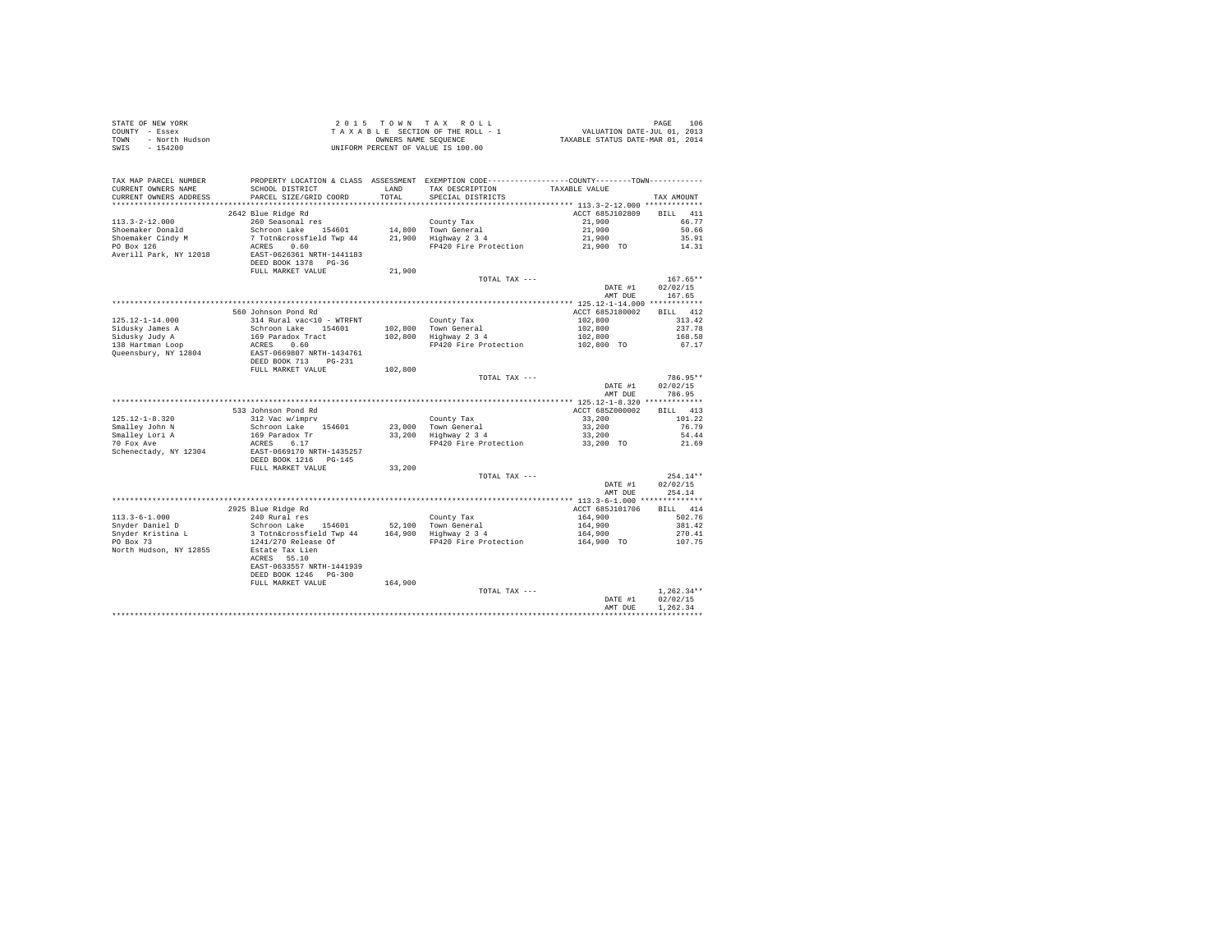| STATE OF NEW YORK |                | 2015 TOWN TAX ROLL<br>PAGE                                     | 106 |
|-------------------|----------------|----------------------------------------------------------------|-----|
| COUNTY - Essex    |                | VALUATION DATE-JUL 01, 2013<br>TAXABLE SECTION OF THE ROLL - 1 |     |
| TOWN              | - North Hudson | TAXABLE STATUS DATE-MAR 01, 2014<br>OWNERS NAME SEOUENCE       |     |
| SWIS<br>$-154200$ |                | UNIFORM PERCENT OF VALUE IS 100.00                             |     |

|                                     |                                        |              |                                                                                                 | DATE #1<br>AMT DUE                                       | 02/02/15<br>1,262.34 |
|-------------------------------------|----------------------------------------|--------------|-------------------------------------------------------------------------------------------------|----------------------------------------------------------|----------------------|
|                                     |                                        |              | TOTAL TAX ---                                                                                   |                                                          | $1,262.34**$         |
|                                     | FULL MARKET VALUE                      | 164,900      |                                                                                                 |                                                          |                      |
|                                     | DEED BOOK 1246 PG-300                  |              |                                                                                                 |                                                          |                      |
|                                     | EAST-0633557 NRTH-1441939              |              |                                                                                                 |                                                          |                      |
|                                     | ACRES 55.10                            |              |                                                                                                 |                                                          |                      |
| PO Box 73<br>North Hudson, NY 12855 | 1241/270 Release Of<br>Estate Tax Lien |              | FP420 Fire Protection                                                                           | 164,900 TO                                               | 107.75               |
| Snyder Kristina L                   | 3 Totn&crossfield Twp 44               |              |                                                                                                 | 164,900                                                  | 270.41               |
| Snyder Daniel D                     | Schroon Lake 154601                    |              | 52,100 Town General<br>164,900 Highway 2 3 4                                                    | 164,900                                                  | 381.42               |
| $113.3 - 6 - 1.000$                 | 240 Rural res                          |              | County Tax                                                                                      | 164,900                                                  | 502.76               |
|                                     | 2925 Blue Ridge Rd                     |              |                                                                                                 | ACCT 685J101706                                          | BILL 414             |
|                                     |                                        |              |                                                                                                 |                                                          |                      |
|                                     |                                        |              |                                                                                                 | AMT DUE                                                  | 254.14               |
|                                     |                                        |              |                                                                                                 | DATE #1                                                  | 02/02/15             |
|                                     |                                        |              | TOTAL TAX ---                                                                                   |                                                          | $254.14**$           |
|                                     | FULL MARKET VALUE                      | 33,200       |                                                                                                 |                                                          |                      |
|                                     | DEED BOOK 1216 PG-145                  |              |                                                                                                 |                                                          |                      |
| Schenectady, NY 12304               | EAST-0669170 NRTH-1435257              |              |                                                                                                 |                                                          |                      |
| 70 Fox Ave                          | ACRES<br>6.17                          |              | FP420 Fire Protection                                                                           | 33,200 TO                                                | 21.69                |
| Smalley Lori A                      | 169 Paradox Tr                         |              | 33,200 Highway 2 3 4                                                                            | 33,200                                                   | 54.44                |
| Smalley John N                      | Schroon Lake 154601                    |              | 23,000 Town General                                                                             | 33,200                                                   | 76.79                |
| $125.12 - 1 - 8.320$                | 312 Vac w/imprv                        |              | County Tax                                                                                      | 33,200                                                   | 101.22               |
|                                     | 533 Johnson Pond Rd                    |              |                                                                                                 | ACCT 685Z000002                                          | BILL 413             |
|                                     |                                        |              |                                                                                                 |                                                          |                      |
|                                     |                                        |              |                                                                                                 | AMT DUE                                                  | 786.95               |
|                                     |                                        |              |                                                                                                 | DATE #1                                                  | 02/02/15             |
|                                     |                                        |              | TOTAL TAX ---                                                                                   |                                                          | 786.95**             |
|                                     | FULL MARKET VALUE                      | 102,800      |                                                                                                 |                                                          |                      |
|                                     | DEED BOOK 713<br>$PG-231$              |              |                                                                                                 |                                                          |                      |
| Queensbury, NY 12804                | EAST-0669807 NRTH-1434761              |              |                                                                                                 |                                                          |                      |
| 138 Hartman Loop                    | ACRES 0.60                             |              | FP420 Fire Protection                                                                           | 102,800 TO                                               | 67.17                |
| Sidusky Judy A                      | 169 Paradox Tract                      | 102,800      | Highway 2 3 4                                                                                   | 102,800                                                  | 168.58               |
| Sidusky James A                     | Schroon Lake 154601                    |              | 102.800 Town General                                                                            | 102,800                                                  | 237.78               |
| $125.12 - 1 - 14.000$               | 314 Rural vac<10 - WTRFNT              |              | County Tax                                                                                      | 102,800                                                  | 313.42               |
|                                     | 560 Johnson Pond Rd                    |              |                                                                                                 | ACCT 685J180002                                          | BILL 412             |
|                                     |                                        |              |                                                                                                 |                                                          |                      |
|                                     |                                        |              |                                                                                                 | AMT DUE                                                  | 167.65               |
|                                     |                                        |              |                                                                                                 | DATE #1                                                  | 02/02/15             |
|                                     |                                        |              | TOTAL TAX ---                                                                                   |                                                          | $167.65**$           |
|                                     | FULL MARKET VALUE                      | 21,900       |                                                                                                 |                                                          |                      |
|                                     | DEED BOOK 1378 PG-36                   |              |                                                                                                 |                                                          |                      |
| Averill Park, NY 12018              | EAST-0626361 NRTH-1441183              |              |                                                                                                 |                                                          |                      |
| PO Box 126                          | 7 Totn&crossfield Twp 44<br>ACRES 0.60 |              | FP420 Fire Protection                                                                           | 21,900 TO                                                | 14.31                |
| Shoemaker Cindy M                   |                                        |              | 21,900 Highway 2 3 4                                                                            | 21,900                                                   | 35.91                |
| Shoemaker Donald                    | Schroon Lake<br>154601                 |              | 14,800 Town General                                                                             | 21,900                                                   | 50.66                |
| $113.3 - 2 - 12.000$                | 260 Seasonal res                       |              | County Tax                                                                                      | 21,900                                                   | 66.77                |
|                                     | 2642 Blue Ridge Rd                     |              |                                                                                                 | ACCT 685J102809                                          | 411<br>RTLL          |
| .                                   |                                        | ***********  |                                                                                                 | *************************** 113.3-2-12.000 ************* |                      |
| CURRENT OWNERS ADDRESS              | PARCEL SIZE/GRID COORD                 | TOTAL        | SPECIAL DISTRICTS                                                                               |                                                          | TAX AMOUNT           |
| CURRENT OWNERS NAME                 | SCHOOL DISTRICT                        | <b>T.AND</b> | TAX DESCRIPTION                                                                                 | TAXABLE VALUE                                            |                      |
| TAX MAP PARCEL NUMBER               |                                        |              | PROPERTY LOCATION & CLASS ASSESSMENT EXEMPTION CODE----------------COUNTY--------TOWN---------- |                                                          |                      |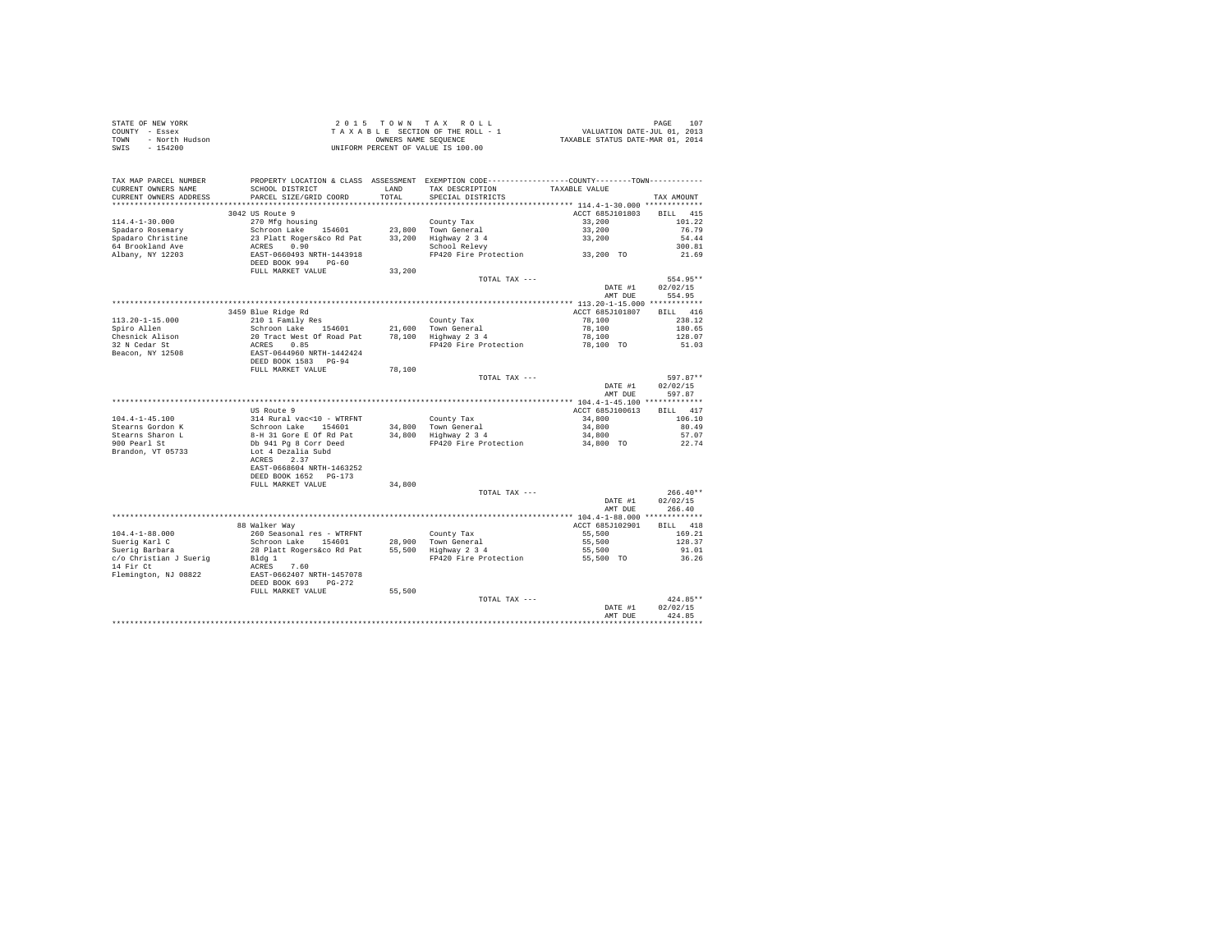| STATE OF NEW YORK      | 2015 TOWN TAX ROLL                 | 107<br>PAGE                      |
|------------------------|------------------------------------|----------------------------------|
| COUNTY - Essex         | TAXABLE SECTION OF THE ROLL - 1    | VALUATION DATE-JUL 01, 2013      |
| TOWN<br>- North Hudson | OWNERS NAME SEOUENCE               | TAXABLE STATUS DATE-MAR 01, 2014 |
| - 154200<br>SWIS       | UNIFORM PERCENT OF VALUE IS 100.00 |                                  |

| TAX MAP PARCEL NUMBER<br>CURRENT OWNERS NAME<br>CURRENT OWNERS ADDRESS | PROPERTY LOCATION & CLASS ASSESSMENT EXEMPTION CODE-----------<br>SCHOOL DISTRICT<br>PARCEL SIZE/GRID COORD | LAND<br>TOTAL | TAX DESCRIPTION<br>SPECIAL DISTRICTS | -------COUNTY--------TOWN-----------<br>TAXABLE VALUE | TAX AMOUNT         |
|------------------------------------------------------------------------|-------------------------------------------------------------------------------------------------------------|---------------|--------------------------------------|-------------------------------------------------------|--------------------|
| ******************                                                     |                                                                                                             | **********    |                                      | ************ 114.4-1-30.000 *************             |                    |
|                                                                        | 3042 US Route 9                                                                                             |               |                                      | ACCT 685J101803                                       | 415<br><b>BILL</b> |
| $114.4 - 1 - 30.000$                                                   | 270 Mfg housing                                                                                             |               | County Tax                           | 33,200                                                | 101.22             |
| Spadaro Rosemary                                                       | Schroon Lake<br>154601                                                                                      | 23,800        | Town General                         | 33,200                                                | 76.79              |
| Spadaro Christine                                                      | 23 Platt Rogers&co Rd Pat                                                                                   | 33,200        | Highway 2 3 4                        | 33,200                                                | 54.44              |
| 64 Brookland Ave                                                       | ACRES<br>0.90                                                                                               |               | School Relevy                        |                                                       | 300.81             |
| Albany, NY 12203                                                       | EAST-0660493 NRTH-1443918<br>DEED BOOK 994<br>$PG-60$                                                       |               | FP420 Fire Protection                | 33,200 TO                                             | 21.69              |
|                                                                        | FULL MARKET VALUE                                                                                           | 33,200        |                                      |                                                       |                    |
|                                                                        |                                                                                                             |               | TOTAL TAX ---                        |                                                       | 554.95**           |
|                                                                        |                                                                                                             |               |                                      | DATE #1                                               | 02/02/15           |
|                                                                        |                                                                                                             |               |                                      | AMT DUE                                               | 554.95             |
|                                                                        |                                                                                                             |               |                                      |                                                       |                    |
|                                                                        | 3459 Blue Ridge Rd                                                                                          |               |                                      | ACCT 685J101807                                       | BILL 416           |
| $113.20 - 1 - 15.000$                                                  | 210 1 Family Res                                                                                            |               | County Tax                           | 78,100                                                | 238.12             |
| Spiro Allen                                                            | Schroon Lake 154601                                                                                         |               | 21,600 Town General                  | 78,100                                                | 180.65             |
| Chesnick Alison                                                        | 20 Tract West Of Road Pat                                                                                   |               | 78,100 Highway 2 3 4                 | 78,100                                                | 128.07             |
| 32 N Cedar St                                                          | 0.85<br>ACRES                                                                                               |               | FP420 Fire Protection                | 78,100 TO                                             | 51.03              |
| Beacon, NY 12508                                                       | EAST-0644960 NRTH-1442424                                                                                   |               |                                      |                                                       |                    |
|                                                                        | DEED BOOK 1583 PG-94                                                                                        |               |                                      |                                                       |                    |
|                                                                        | FULL MARKET VALUE                                                                                           | 78,100        |                                      |                                                       |                    |
|                                                                        |                                                                                                             |               | TOTAL TAX ---                        |                                                       | 597.87**           |
|                                                                        |                                                                                                             |               |                                      | DATE #1                                               | 02/02/15           |
|                                                                        |                                                                                                             |               |                                      |                                                       | 597.87             |
|                                                                        |                                                                                                             |               |                                      | AMT DUE                                               |                    |
|                                                                        | US Route 9                                                                                                  |               |                                      | ACCT 685J100613                                       | BILL 417           |
|                                                                        |                                                                                                             |               |                                      |                                                       |                    |
| $104.4 - 1 - 45.100$                                                   | 314 Rural vac<10 - WTRFNT                                                                                   |               | County Tax                           | 34,800<br>34,800                                      | 106.10             |
| Stearns Gordon K                                                       | Schroon Lake 154601                                                                                         |               | 34,800 Town General                  |                                                       | 80.49              |
| Stearns Sharon L                                                       | 8-H 31 Gore E Of Rd Pat                                                                                     |               | 34,800 Highway 2 3 4                 | 34,800                                                | 57.07              |
| 900 Pearl St                                                           | Db 941 Pg 8 Corr Deed                                                                                       |               | FP420 Fire Protection                | 34,800 TO                                             | 22.74              |
| Brandon, VT 05733                                                      | Lot 4 Dezalia Subd                                                                                          |               |                                      |                                                       |                    |
|                                                                        | ACRES<br>2.37                                                                                               |               |                                      |                                                       |                    |
|                                                                        | EAST-0668604 NRTH-1463252                                                                                   |               |                                      |                                                       |                    |
|                                                                        | DEED BOOK 1652 PG-173                                                                                       |               |                                      |                                                       |                    |
|                                                                        | FULL MARKET VALUE                                                                                           | 34,800        |                                      |                                                       |                    |
|                                                                        |                                                                                                             |               | TOTAL TAX ---                        |                                                       | $266.40**$         |
|                                                                        |                                                                                                             |               |                                      | DATE #1                                               | 02/02/15           |
|                                                                        |                                                                                                             |               |                                      | AMT DUE                                               | 266.40             |
|                                                                        |                                                                                                             |               |                                      | ******** 104.4-1-88.000 *************                 |                    |
|                                                                        | 88 Walker Way                                                                                               |               |                                      | ACCT 685J102901                                       | BILL 418           |
| $104.4 - 1 - 88.000$                                                   | 260 Seasonal res - WTRFNT                                                                                   |               | County Tax                           | 55,500                                                | 169.21             |
| Suerig Karl C                                                          | Schroon Lake 154601                                                                                         |               | 28,900 Town General                  | 55,500                                                | 128.37             |
| Suerig Barbara                                                         | 28 Platt Rogers&co Rd Pat                                                                                   | 55,500        | Highway 2 3 4                        | 55,500                                                | 91.01              |
| c/o Christian J Suerig                                                 | Bldg 1                                                                                                      |               | FP420 Fire Protection                | 55,500 TO                                             | 36.26              |
| 14 Fir Ct                                                              | 7.60<br>ACRES                                                                                               |               |                                      |                                                       |                    |
| Flemington, NJ 08822                                                   | EAST-0662407 NRTH-1457078                                                                                   |               |                                      |                                                       |                    |
|                                                                        | DEED BOOK 693<br>$PG-272$                                                                                   |               |                                      |                                                       |                    |
|                                                                        | FULL MARKET VALUE                                                                                           | 55,500        |                                      |                                                       |                    |
|                                                                        |                                                                                                             |               | TOTAL TAX ---                        |                                                       | $424.85**$         |
|                                                                        |                                                                                                             |               |                                      | DATE #1                                               | 02/02/15           |
|                                                                        |                                                                                                             |               |                                      | AMT DUE                                               | 424.85             |
|                                                                        |                                                                                                             |               |                                      |                                                       |                    |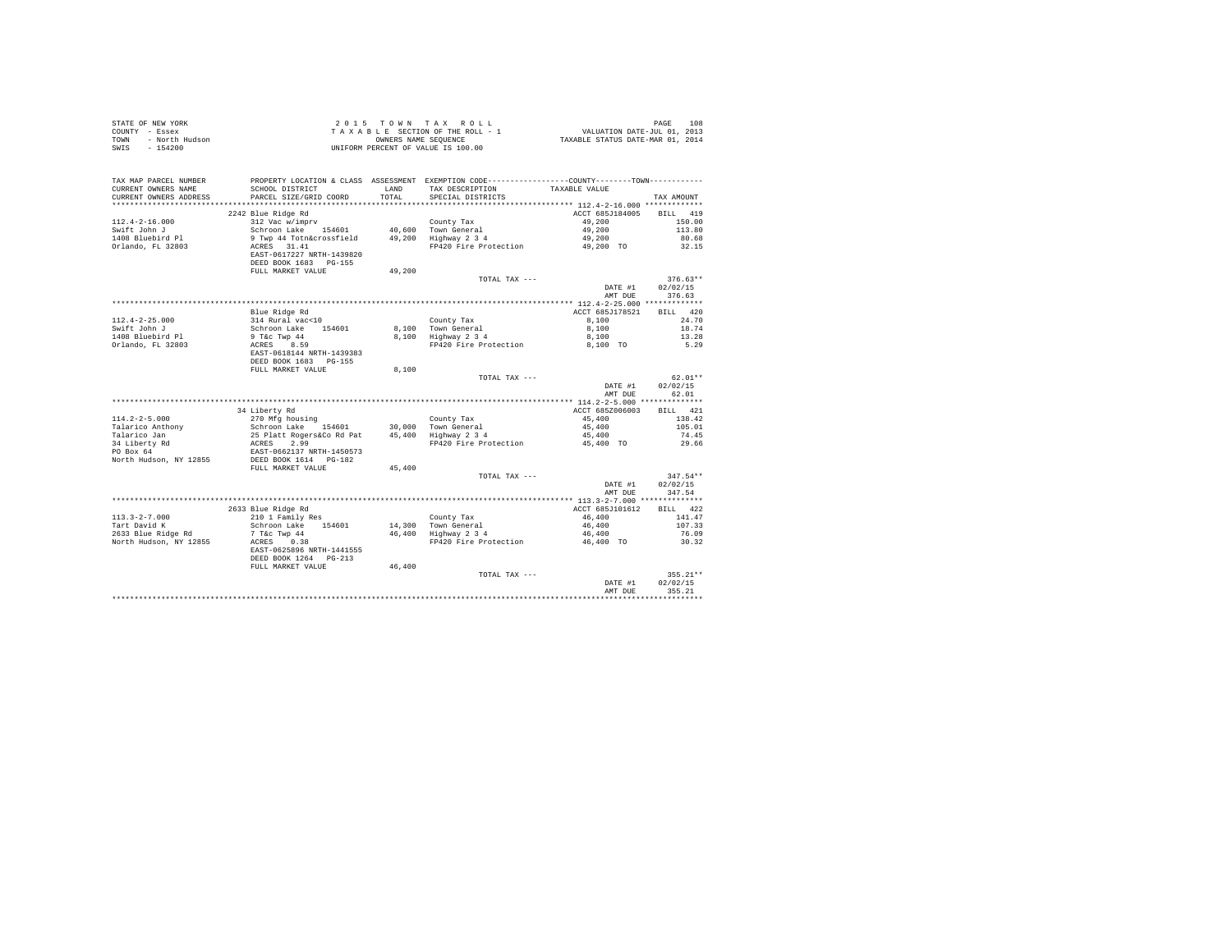| STATE OF NEW YORK      | 2015 TOWN TAX ROLL                 | 108<br>PAGE                      |
|------------------------|------------------------------------|----------------------------------|
| COUNTY - Essex         | TAXABLE SECTION OF THE ROLL - 1    | VALUATION DATE-JUL 01, 2013      |
| TOWN<br>- North Hudson | OWNERS NAME SEOUENCE               | TAXABLE STATUS DATE-MAR 01, 2014 |
| SWIS<br>$-154200$      | UNIFORM PERCENT OF VALUE IS 100.00 |                                  |

| TAX MAP PARCEL NUMBER     | PROPERTY LOCATION & CLASS ASSESSMENT EXEMPTION CODE----------------COUNTY--------TOWN----------                                                                      |        |                                             |                 |             |
|---------------------------|----------------------------------------------------------------------------------------------------------------------------------------------------------------------|--------|---------------------------------------------|-----------------|-------------|
| CURRENT OWNERS NAME       | SCHOOL DISTRICT                                                                                                                                                      | LAND   | TAX DESCRIPTION                             | TAXABLE VALUE   |             |
| CURRENT OWNERS ADDRESS    | PARCEL SIZE/GRID COORD                                                                                                                                               | TOTAL  | SPECIAL DISTRICTS                           |                 | TAX AMOUNT  |
|                           |                                                                                                                                                                      |        |                                             |                 |             |
|                           | 2242 Blue Ridge Rd                                                                                                                                                   |        |                                             | ACCT 685J184005 | 419<br>BILL |
| $112.4 - 2 - 16.000$      | 312 Vac w/imprv                                                                                                                                                      |        | County Tax                                  | 49,200          | 150.00      |
| Swift John J              | Schroon Lake 154601                                                                                                                                                  |        | 40,600 Town General<br>49,200 Highway 2 3 4 | 49,200          | 113.80      |
| 1408 Bluebird Pl          | 9 Twp 44 Totn&crossfield                                                                                                                                             |        |                                             | 49,200          | 80.68       |
| Orlando, FL 32803         | ACRES 31.41                                                                                                                                                          |        | FP420 Fire Protection 49,200 TO             |                 | 32.15       |
|                           | EAST-0617227 NRTH-1439820                                                                                                                                            |        |                                             |                 |             |
|                           | DEED BOOK 1683 PG-155                                                                                                                                                |        |                                             |                 |             |
|                           | FULL MARKET VALUE                                                                                                                                                    | 49,200 |                                             |                 |             |
|                           |                                                                                                                                                                      |        | TOTAL TAX ---                               |                 | $376.63**$  |
|                           |                                                                                                                                                                      |        |                                             | DATE #1         | 02/02/15    |
|                           |                                                                                                                                                                      |        |                                             | AMT DUE         | 376.63      |
|                           |                                                                                                                                                                      |        |                                             |                 |             |
|                           | Blue Ridge Rd                                                                                                                                                        |        |                                             | ACCT 685J178521 | BILL 420    |
| $112.4 - 2 - 25.000$      | 314 Rural vac<10                                                                                                                                                     |        | County Tax                                  | 8,100           | 24.70       |
| Swift John J              | Schroom Lake<br>Schroom Lake 154601<br>9 T&c Twp 44<br>ACRES 8.59                                                                                                    |        | 8.100 Town General                          | 8,100           | 18.74       |
| 1408 Bluebird Pl          |                                                                                                                                                                      |        | 8,100 Highway 2 3 4                         | 8,100           | 13.28       |
| Orlando, FL 32803         |                                                                                                                                                                      |        | FP420 Fire Protection                       | 8,100 TO        | 5.29        |
|                           | EAST-0618144 NRTH-1439383                                                                                                                                            |        |                                             |                 |             |
|                           | DEED BOOK 1683 PG-155                                                                                                                                                |        |                                             |                 |             |
|                           | FULL MARKET VALUE                                                                                                                                                    | 8,100  |                                             |                 |             |
|                           |                                                                                                                                                                      |        | TOTAL TAX ---                               |                 | $62.01**$   |
|                           |                                                                                                                                                                      |        |                                             | DATE #1         | 02/02/15    |
|                           |                                                                                                                                                                      |        |                                             | AMT DUE         | 62.01       |
|                           |                                                                                                                                                                      |        |                                             |                 |             |
|                           | 34 Liberty Rd                                                                                                                                                        |        |                                             | ACCT 685Z006003 | BILL 421    |
| $114.2 - 2 - 5.000$       | 270 Mfg housing                                                                                                                                                      |        | County Tax                                  | 45,400          | 138.42      |
| Talarico Anthony          |                                                                                                                                                                      |        |                                             | 45,400          | 105.01      |
| Talarico Jan              | Form and the 154601 and 10,000 Town General<br>25 Platt Rogers (Co Rd Pat 15,400 Highway 2 3 4<br>ACRES 2.99<br>EXP-0662137 RRTH-1450573<br>EXP-0662137 RRTH-1450573 |        |                                             | 45,400          | 74.45       |
| 34 Liberty Rd<br>- Tay 64 |                                                                                                                                                                      |        | FP420 Fire Protection                       | 45,400 TO       | 29.66       |
|                           |                                                                                                                                                                      |        |                                             |                 |             |
| North Hudson, NY 12855    |                                                                                                                                                                      |        |                                             |                 |             |
|                           | FULL MARKET VALUE                                                                                                                                                    | 45,400 |                                             |                 |             |
|                           |                                                                                                                                                                      |        | TOTAL TAX ---                               |                 | $347.54**$  |
|                           |                                                                                                                                                                      |        |                                             | DATE #1         | 02/02/15    |
|                           |                                                                                                                                                                      |        |                                             | AMT DUE         | 347.54      |
|                           |                                                                                                                                                                      |        |                                             |                 |             |
|                           | 2633 Blue Ridge Rd                                                                                                                                                   |        |                                             | ACCT 685J101612 | BILL 422    |
| $113.3 - 2 - 7.000$       | 210 1 Family Res                                                                                                                                                     |        | County Tax                                  | 46,400          | 141.47      |
| Tart David K              | Schroon Lake 154601                                                                                                                                                  |        | 14,300 Town General<br>46,400 Highway 2 3 4 | 46,400          | 107.33      |
| 2633 Blue Ridge Rd        | 7 T&c Twp 44                                                                                                                                                         |        |                                             | 46,400          | 76.09       |
| North Hudson, NY 12855    | ACRES 0.38                                                                                                                                                           |        | FP420 Fire Protection                       | 46,400 TO       | 30.32       |
|                           | EAST-0625896 NRTH-1441555                                                                                                                                            |        |                                             |                 |             |
|                           | DEED BOOK 1264 PG-213                                                                                                                                                |        |                                             |                 |             |
|                           | FULL MARKET VALUE                                                                                                                                                    | 46,400 |                                             |                 |             |
|                           |                                                                                                                                                                      |        | TOTAL TAX ---                               |                 | $355.21**$  |
|                           |                                                                                                                                                                      |        |                                             | DATE #1         | 02/02/15    |
|                           |                                                                                                                                                                      |        |                                             | AMT DUE         | 355.21      |
|                           |                                                                                                                                                                      |        |                                             |                 |             |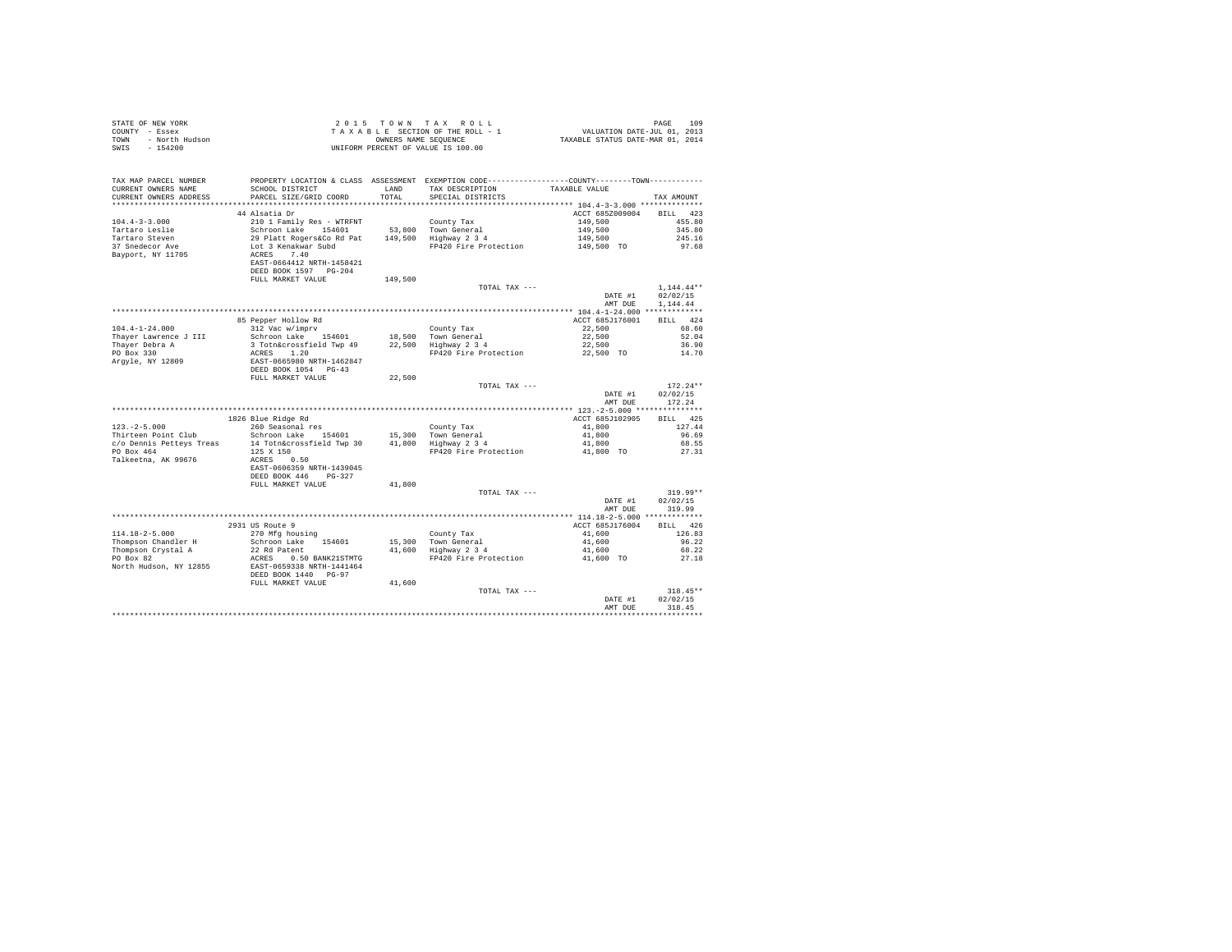| COUNTY - Essex<br>- North Hudson<br>TOWN<br>SWTS<br>$-154200$ |                                                                         | OWNERS NAME SEQUENCE | TAXABLE SECTION OF THE ROLL - 1<br>UNIFORM PERCENT OF VALUE IS 100.00                           | VALUATION DATE-JUL 01, 2013<br>TAXABLE STATUS DATE-MAR 01, 2014 |                        |
|---------------------------------------------------------------|-------------------------------------------------------------------------|----------------------|-------------------------------------------------------------------------------------------------|-----------------------------------------------------------------|------------------------|
| TAX MAP PARCEL NUMBER                                         |                                                                         |                      | PROPERTY LOCATION & CLASS ASSESSMENT EXEMPTION CODE----------------COUNTY--------TOWN---------- |                                                                 |                        |
| CURRENT OWNERS NAME<br>CURRENT OWNERS ADDRESS                 | SCHOOL DISTRICT<br>PARCEL SIZE/GRID COORD                               | LAND<br>TOTAL        | TAX DESCRIPTION<br>SPECIAL DISTRICTS                                                            | TAXABLE VALUE                                                   | TAX AMOUNT             |
|                                                               |                                                                         |                      |                                                                                                 |                                                                 |                        |
|                                                               | 44 Alsatia Dr                                                           |                      |                                                                                                 | ACCT 685Z009004                                                 | 423<br><b>BILL</b>     |
| $104.4 - 3 - 3.000$                                           | 210 1 Family Res - WTRFNT                                               |                      | County Tax                                                                                      | 149,500                                                         | 455.80                 |
| Tartaro Leslie                                                |                                                                         |                      | 53.800 Town General                                                                             | 149,500                                                         | 345.80                 |
| Tartaro Steven                                                |                                                                         |                      | 149,500 Highway 2 3 4                                                                           | 149,500                                                         | 245.16                 |
| 37 Snedecor Ave                                               | Schroon Lake 154601<br>29 Platt Rogers&Co Rd Pat<br>Lot 3 Kenakwar Subd |                      | FP420 Fire Protection                                                                           | 149,500 TO                                                      | 97.68                  |
| Bayport, NY 11705                                             | ACRES 7.40                                                              |                      |                                                                                                 |                                                                 |                        |
|                                                               | EAST-0664412 NRTH-1458421<br>DEED BOOK 1597 PG-204                      |                      |                                                                                                 |                                                                 |                        |
|                                                               | FULL MARKET VALUE                                                       | 149,500              |                                                                                                 |                                                                 |                        |
|                                                               |                                                                         |                      | TOTAL TAX ---                                                                                   |                                                                 | $1, 144.44$ **         |
|                                                               |                                                                         |                      |                                                                                                 | DATE #1                                                         | 02/02/15               |
|                                                               |                                                                         |                      |                                                                                                 | AMT DUE                                                         | 1.144.44               |
|                                                               |                                                                         |                      |                                                                                                 |                                                                 |                        |
|                                                               | 85 Pepper Hollow Rd                                                     |                      |                                                                                                 | ACCT 685J176001                                                 | BILL 424               |
| $104.4 - 1 - 24.000$<br>Thayer Lawrence J III                 | 312 Vac w/imprv<br>Schroon Lake 154601                                  |                      | County Tax<br>18,500 Town General                                                               | 22,500<br>22,500                                                | 68.60<br>52.04         |
| Thayer Debra A                                                | 3 Totn&crossfield Twp 49                                                |                      | 18,900 - Iown General<br>22,500 - Highway 2-3-4                                                 | 22,500                                                          | 36.90                  |
| PO Box 330                                                    |                                                                         |                      | FP420 Fire Protection 22,500 TO                                                                 |                                                                 | 14.70                  |
| Argyle, NY 12809                                              | ACRES 1.20<br>EAST-0665980 NRTH-1462847<br>DEED BOOK 1054 PG-43         |                      |                                                                                                 |                                                                 |                        |
|                                                               |                                                                         |                      |                                                                                                 |                                                                 |                        |
|                                                               | FULL MARKET VALUE                                                       | 22,500               |                                                                                                 |                                                                 |                        |
|                                                               |                                                                         |                      | TOTAL TAX ---                                                                                   | DATE #1                                                         | $172.24**$<br>02/02/15 |
|                                                               |                                                                         |                      |                                                                                                 | AMT DUE                                                         | 172.24                 |
|                                                               |                                                                         |                      |                                                                                                 |                                                                 |                        |
|                                                               | 1826 Blue Ridge Rd                                                      |                      |                                                                                                 | ACCT 685J102905                                                 | BILL 425               |
| $123. -2 - 5.000$                                             | 260 Seasonal res                                                        |                      | County Tax                                                                                      | 41,800                                                          | 127.44                 |
| Thirteen Point Club                                           | Schroon Lake 154601                                                     |                      | 15,300 Town General                                                                             | 41,800                                                          | 96.69                  |
| c/o Dennis Petteys Treas                                      | 14 Totn&crossfield Twp 30                                               |                      | $41,800$ Highway $2\ 3\ 4$                                                                      | 41,800                                                          | 68.55                  |
| PO Box 464<br>Talkeetna, AK 99676                             | 125 X 150<br>ACRES 0.50                                                 |                      | FP420 Fire Protection 41,800 TO                                                                 |                                                                 | 27.31                  |
|                                                               | EAST-0606359 NRTH-1439045                                               |                      |                                                                                                 |                                                                 |                        |
|                                                               | DEED BOOK 446<br>$PG-327$                                               |                      |                                                                                                 |                                                                 |                        |
|                                                               | FULL MARKET VALUE                                                       | 41,800               |                                                                                                 |                                                                 |                        |
|                                                               |                                                                         |                      | TOTAL TAX ---                                                                                   |                                                                 | $319.99**$             |
|                                                               |                                                                         |                      |                                                                                                 | DATE #1                                                         | 02/02/15               |
|                                                               |                                                                         |                      |                                                                                                 | AMT DUE                                                         | 319.99                 |
|                                                               |                                                                         |                      |                                                                                                 |                                                                 | BILL 426               |
| $114.18 - 2 - 5.000$                                          | 2931 US Route 9<br>270 Mfg housing                                      |                      | County Tax                                                                                      | ACCT 685J176004<br>41,600                                       | 126.83                 |
| Thompson Chandler H                                           | Schroon Lake 154601                                                     |                      |                                                                                                 | 41,600                                                          | 96.22                  |
| Thompson Crystal A                                            | 22 Rd Patent                                                            |                      | 15,300 Town General<br>41,600 Highway 2 3 4                                                     | 41,600                                                          | 68.22                  |
| PO Box 82                                                     | ACRES 0.50 BANK21STMTG                                                  |                      | FP420 Fire Protection                                                                           | 41,600 TO                                                       | 27.18                  |
| North Hudson, NY 12855                                        | EAST-0659338 NRTH-1441464                                               |                      |                                                                                                 |                                                                 |                        |
|                                                               | DEED BOOK 1440 PG-97                                                    |                      |                                                                                                 |                                                                 |                        |
|                                                               | FULL MARKET VALUE                                                       | 41,600               | TOTAL TAX ---                                                                                   |                                                                 | $318.45**$             |
|                                                               |                                                                         |                      |                                                                                                 | DATE #1                                                         | 02/02/15               |
|                                                               |                                                                         |                      |                                                                                                 | AMT DUE                                                         | 318.45                 |
|                                                               |                                                                         |                      |                                                                                                 |                                                                 |                        |

STATE OF NEW YORK **2015** TOWN TAX ROLL **DESIGNER 109**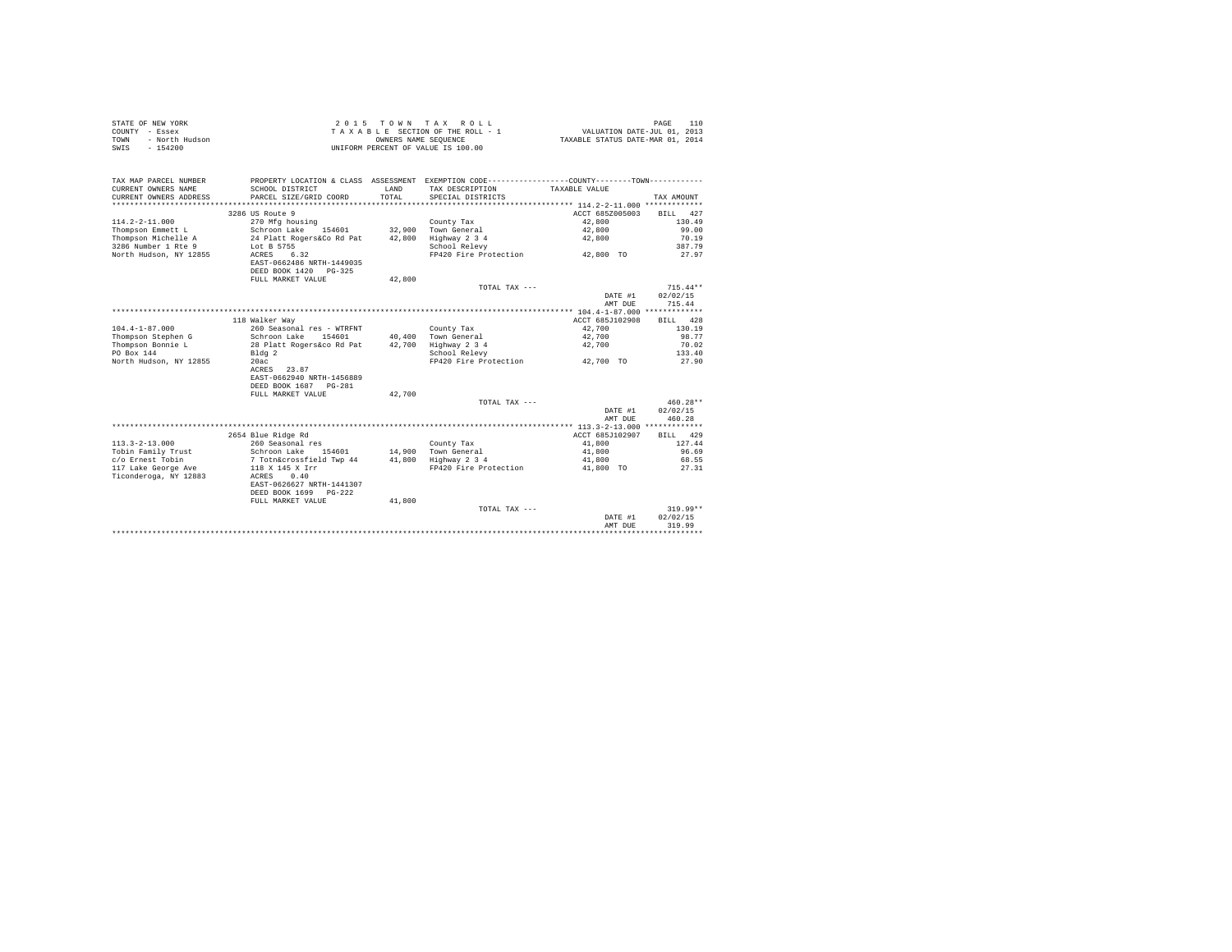| STATE OF NEW YORK<br>COUNTY - Essex<br>- North Hudson<br>TOWN<br>$-154200$<br>SWIS |                                         |        | 2015 TOWN TAX ROLL<br>TAXABLE SECTION OF THE ROLL - 1<br>OWNERS NAME SEQUENCE<br>UNIFORM PERCENT OF VALUE IS 100.00 | VALUATION DATE-JUL 01, 2013<br>TAXABLE STATUS DATE-MAR 01, 2014 | 110<br>PAGE     |
|------------------------------------------------------------------------------------|-----------------------------------------|--------|---------------------------------------------------------------------------------------------------------------------|-----------------------------------------------------------------|-----------------|
| TAX MAP PARCEL NUMBER                                                              |                                         |        | PROPERTY LOCATION & CLASS ASSESSMENT EXEMPTION CODE---------------COUNTY-------TOWN---------                        |                                                                 |                 |
| CURRENT OWNERS NAME                                                                | SCHOOL DISTRICT                         | LAND   | TAX DESCRIPTION                                                                                                     | TAXABLE VALUE                                                   |                 |
| CURRENT OWNERS ADDRESS                                                             | PARCEL SIZE/GRID COORD                  | TOTAL  | SPECIAL DISTRICTS                                                                                                   |                                                                 | TAX AMOUNT      |
|                                                                                    |                                         |        |                                                                                                                     |                                                                 |                 |
|                                                                                    | 3286 US Route 9                         |        |                                                                                                                     | ACCT 685Z005003                                                 | BILL 427        |
| $114.2 - 2 - 11.000$                                                               | 270 Mfg housing<br>Schroon Lake 154601  |        | County Tax<br>Town General                                                                                          | 42,800                                                          | 130.49<br>99.00 |
| Thompson Emmett L<br>Thompson Michelle A                                           | 24 Platt Rogers&Co Rd Pat               | 32,900 | 42,800 Highway 2 3 4                                                                                                | 42,800<br>42,800                                                | 70.19           |
| 3286 Number 1 Rte 9                                                                | Lot B 5755                              |        | School Relevy                                                                                                       |                                                                 | 387.79          |
| North Hudson, NY 12855                                                             | ACRES 6.32                              |        | FP420 Fire Protection                                                                                               | 42,800 TO                                                       | 27.97           |
|                                                                                    | EAST-0662486 NRTH-1449035               |        |                                                                                                                     |                                                                 |                 |
|                                                                                    | DEED BOOK 1420 PG-325                   |        |                                                                                                                     |                                                                 |                 |
|                                                                                    | FULL MARKET VALUE                       | 42,800 |                                                                                                                     |                                                                 |                 |
|                                                                                    |                                         |        | TOTAL TAX ---                                                                                                       |                                                                 | $715.44**$      |
|                                                                                    |                                         |        |                                                                                                                     | DATE #1                                                         | 02/02/15        |
|                                                                                    |                                         |        |                                                                                                                     | AMT DUE                                                         | 715.44          |
|                                                                                    |                                         |        |                                                                                                                     |                                                                 |                 |
|                                                                                    | 118 Walker Way                          |        |                                                                                                                     | ACCT 685J102908                                                 | BILL 428        |
| $104.4 - 1 - 87.000$                                                               | 260 Seasonal res - WTRFNT               |        | County Tax                                                                                                          | 42,700                                                          | 130.19          |
| Thompson Stephen G                                                                 | Schroon Lake 154601                     |        | 40,400 Town General                                                                                                 | 42,700                                                          | 98.77           |
| Thompson Bonnie L                                                                  | 28 Platt Rogers&co Rd Pat               |        | 42,700 Highway 2 3 4                                                                                                | 42,700                                                          | 70.02           |
| PO Box 144<br>North Hudson, NY 12855                                               | Bldq 2<br>20ac                          |        | School Relevy<br>FP420 Fire Protection 42,700 TO                                                                    |                                                                 | 133.40<br>27.90 |
|                                                                                    | ACRES 23.87                             |        |                                                                                                                     |                                                                 |                 |
|                                                                                    | EAST-0662940 NRTH-1456889               |        |                                                                                                                     |                                                                 |                 |
|                                                                                    | DEED BOOK 1687 PG-281                   |        |                                                                                                                     |                                                                 |                 |
|                                                                                    | FULL MARKET VALUE                       | 42,700 |                                                                                                                     |                                                                 |                 |
|                                                                                    |                                         |        | TOTAL TAX ---                                                                                                       |                                                                 | $460.28**$      |
|                                                                                    |                                         |        |                                                                                                                     | DATE #1                                                         | 02/02/15        |
|                                                                                    |                                         |        |                                                                                                                     | AMT DUE                                                         | 460.28          |
|                                                                                    |                                         |        |                                                                                                                     |                                                                 |                 |
|                                                                                    | 2654 Blue Ridge Rd                      |        |                                                                                                                     | ACCT 685J102907                                                 | BILL 429        |
| $113.3 - 2 - 13.000$                                                               | 260 Seasonal res                        |        | County Tax                                                                                                          | 41,800                                                          | 127.44          |
| Tobin Family Trust                                                                 | Schroon Lake 154601                     |        | 14,900 Town General                                                                                                 | 41,800                                                          | 96.69           |
| c/o Ernest Tobin                                                                   | 7 Totn&crossfield Twp 44                |        | 41.800 Highway 2 3 4                                                                                                | 41,800                                                          | 68.55           |
| 117 Lake George Ave                                                                | 118 X 145 X Irr                         |        | FP420 Fire Protection                                                                                               | 41,800 TO                                                       | 27.31           |
| Ticonderoga, NY 12883                                                              | ACRES 0.40<br>EAST-0626627 NRTH-1441307 |        |                                                                                                                     |                                                                 |                 |
|                                                                                    | DEED BOOK 1699 PG-222                   |        |                                                                                                                     |                                                                 |                 |
|                                                                                    | FULL MARKET VALUE                       | 41,800 |                                                                                                                     |                                                                 |                 |
|                                                                                    |                                         |        | TOTAL TAX ---                                                                                                       |                                                                 | $319.99**$      |
|                                                                                    |                                         |        |                                                                                                                     | DATE #1                                                         | 02/02/15        |
|                                                                                    |                                         |        |                                                                                                                     | AMT DUE                                                         | 319.99          |
|                                                                                    |                                         |        |                                                                                                                     |                                                                 | *************   |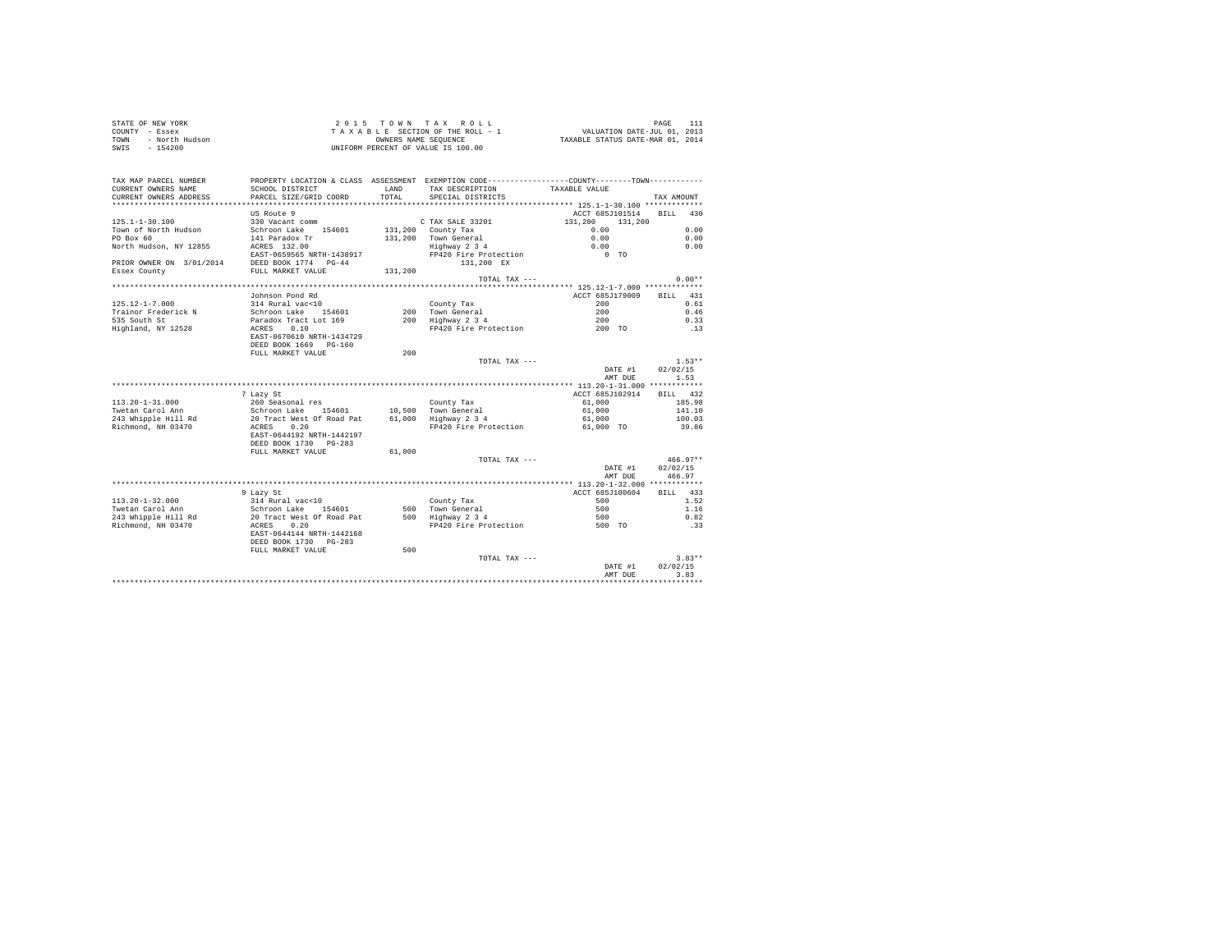| STATE OF NEW YORK      | 2015 TOWN TAX ROLL                 | PAGE                             |
|------------------------|------------------------------------|----------------------------------|
| COUNTY - Essex         | TAXABLE SECTION OF THE ROLL - 1    | VALUATION DATE-JUL 01, 2013      |
| TOWN<br>- North Hudson | OWNERS NAME SEOUENCE               | TAXABLE STATUS DATE-MAR 01, 2014 |
| $-154200$<br>SWIS      | UNIFORM PERCENT OF VALUE IS 100.00 |                                  |

| TOTAL.<br>PARCEL SIZE/GRID COORD<br>SPECIAL DISTRICTS<br>TAX AMOUNT<br>US Route 9<br>ACCT 685J101514<br><b>BILL</b><br>430<br>$125.1 - 1 - 30.100$<br>330 Vacant comm<br>C TAX SALE 33201<br>131,200<br>131,200<br>131,200 County Tax<br>0.00<br>Schroon Lake<br>154601<br>0.00<br>Town General<br>0.00<br>141 Paradox Tr<br>131,200<br>0.00<br>ACRES 132.00<br>0.00<br>0.00<br>Highway 2 3 4<br>EAST-0659565 NRTH-1438917<br>FP420 Fire Protection<br>$0$ TO<br>DEED BOOK 1774 PG-44<br>131,200 EX<br>FULL MARKET VALUE<br>131,200<br>$0.00**$<br>TOTAL TAX $---$<br>************** 125.12-1-7.000 *************<br>431<br>Johnson Pond Rd<br>ACCT 685J179009<br>BILL<br>$125.12 - 1 - 7.000$<br>314 Rural vac<10<br>200<br>0.61<br>County Tax<br>Schroon Lake 154601<br>200<br>0.46<br>Trainor Frederick N<br>200 Town General<br>535 South St<br>Paradox Tract Lot 169<br>200 Highway 2 3 4<br>200<br>0.33<br>0.10<br>Highland, NY 12528<br>ACRES<br>FP420 Fire Protection<br>200 TO<br>.13<br>EAST-0670610 NRTH-1434729<br>DEED BOOK 1669 PG-160<br>200<br>FULL MARKET VALUE<br>$1.53**$<br>TOTAL TAX ---<br>DATE #1<br>02/02/15<br>1.53<br>AMT DUE<br>ACCT 685J102914<br>432<br>7 Lazy St<br><b>BILL</b><br>$113.20 - 1 - 31.000$<br>185.98<br>260 Seasonal res<br>61,000<br>County Tax<br>Twetan Carol Ann<br>Schroon Lake 154601<br>10,500 Town General<br>61,000<br>141.10<br>243 Whipple Hill Rd<br>20 Tract West Of Road Pat<br>61,000<br>Highway 2 3 4<br>100.03<br>61,000<br>Richmond, NH 03470<br>ACRES<br>0.20<br>FP420 Fire Protection<br>39.86<br>61,000 TO<br>EAST-0644192 NRTH-1442197<br>DEED BOOK 1730 PG-283<br>FULL MARKET VALUE<br>61,000<br>$466.97**$<br>TOTAL TAX ---<br>02/02/15<br>DATE #1<br>466.97<br>AMT DUE<br>*******************************<br>***************************<br>************** 113.20-1-32.000 ************<br>ACCT 685J100604<br>BILL 433<br>9 Lazy St<br>$113.20 - 1 - 32.000$<br>314 Rural vac<10<br>500<br>1.52<br>County Tax<br>Twetan Carol Ann<br>Schroon Lake 154601<br>500 Town General<br>500<br>1.16<br>243 Whipple Hill Rd<br>20 Tract West Of Road Pat<br>500 Highway 2 3 4<br>500<br>0.82<br>Richmond, NH 03470<br>ACRES<br>0.20<br>FP420 Fire Protection<br>500 TO<br>.33<br>EAST-0644144 NRTH-1442168<br>DEED BOOK 1730 PG-283<br>FULL MARKET VALUE<br>500<br>$3.83**$<br>TOTAL TAX ---<br>DATE #1<br>02/02/15<br>3.83<br>AMT DUE | TAX MAP PARCEL NUMBER<br>CURRENT OWNERS NAME | PROPERTY LOCATION & CLASS ASSESSMENT EXEMPTION CODE---------------COUNTY-------TOWN----------<br>SCHOOL DISTRICT | LAND | TAX DESCRIPTION | TAXABLE VALUE |  |
|----------------------------------------------------------------------------------------------------------------------------------------------------------------------------------------------------------------------------------------------------------------------------------------------------------------------------------------------------------------------------------------------------------------------------------------------------------------------------------------------------------------------------------------------------------------------------------------------------------------------------------------------------------------------------------------------------------------------------------------------------------------------------------------------------------------------------------------------------------------------------------------------------------------------------------------------------------------------------------------------------------------------------------------------------------------------------------------------------------------------------------------------------------------------------------------------------------------------------------------------------------------------------------------------------------------------------------------------------------------------------------------------------------------------------------------------------------------------------------------------------------------------------------------------------------------------------------------------------------------------------------------------------------------------------------------------------------------------------------------------------------------------------------------------------------------------------------------------------------------------------------------------------------------------------------------------------------------------------------------------------------------------------------------------------------------------------------------------------------------------------------------------------------------------------------------------------------------------------------------------------------------------------------------------------------------------------------------------------------------------------------------------------|----------------------------------------------|------------------------------------------------------------------------------------------------------------------|------|-----------------|---------------|--|
|                                                                                                                                                                                                                                                                                                                                                                                                                                                                                                                                                                                                                                                                                                                                                                                                                                                                                                                                                                                                                                                                                                                                                                                                                                                                                                                                                                                                                                                                                                                                                                                                                                                                                                                                                                                                                                                                                                                                                                                                                                                                                                                                                                                                                                                                                                                                                                                                    | CURRENT OWNERS ADDRESS                       |                                                                                                                  |      |                 |               |  |
|                                                                                                                                                                                                                                                                                                                                                                                                                                                                                                                                                                                                                                                                                                                                                                                                                                                                                                                                                                                                                                                                                                                                                                                                                                                                                                                                                                                                                                                                                                                                                                                                                                                                                                                                                                                                                                                                                                                                                                                                                                                                                                                                                                                                                                                                                                                                                                                                    |                                              |                                                                                                                  |      |                 |               |  |
|                                                                                                                                                                                                                                                                                                                                                                                                                                                                                                                                                                                                                                                                                                                                                                                                                                                                                                                                                                                                                                                                                                                                                                                                                                                                                                                                                                                                                                                                                                                                                                                                                                                                                                                                                                                                                                                                                                                                                                                                                                                                                                                                                                                                                                                                                                                                                                                                    |                                              |                                                                                                                  |      |                 |               |  |
|                                                                                                                                                                                                                                                                                                                                                                                                                                                                                                                                                                                                                                                                                                                                                                                                                                                                                                                                                                                                                                                                                                                                                                                                                                                                                                                                                                                                                                                                                                                                                                                                                                                                                                                                                                                                                                                                                                                                                                                                                                                                                                                                                                                                                                                                                                                                                                                                    | Town of North Hudson                         |                                                                                                                  |      |                 |               |  |
|                                                                                                                                                                                                                                                                                                                                                                                                                                                                                                                                                                                                                                                                                                                                                                                                                                                                                                                                                                                                                                                                                                                                                                                                                                                                                                                                                                                                                                                                                                                                                                                                                                                                                                                                                                                                                                                                                                                                                                                                                                                                                                                                                                                                                                                                                                                                                                                                    | PO Box 60                                    |                                                                                                                  |      |                 |               |  |
|                                                                                                                                                                                                                                                                                                                                                                                                                                                                                                                                                                                                                                                                                                                                                                                                                                                                                                                                                                                                                                                                                                                                                                                                                                                                                                                                                                                                                                                                                                                                                                                                                                                                                                                                                                                                                                                                                                                                                                                                                                                                                                                                                                                                                                                                                                                                                                                                    | North Hudson, NY 12855                       |                                                                                                                  |      |                 |               |  |
|                                                                                                                                                                                                                                                                                                                                                                                                                                                                                                                                                                                                                                                                                                                                                                                                                                                                                                                                                                                                                                                                                                                                                                                                                                                                                                                                                                                                                                                                                                                                                                                                                                                                                                                                                                                                                                                                                                                                                                                                                                                                                                                                                                                                                                                                                                                                                                                                    |                                              |                                                                                                                  |      |                 |               |  |
|                                                                                                                                                                                                                                                                                                                                                                                                                                                                                                                                                                                                                                                                                                                                                                                                                                                                                                                                                                                                                                                                                                                                                                                                                                                                                                                                                                                                                                                                                                                                                                                                                                                                                                                                                                                                                                                                                                                                                                                                                                                                                                                                                                                                                                                                                                                                                                                                    | PRIOR OWNER ON 3/01/2014                     |                                                                                                                  |      |                 |               |  |
|                                                                                                                                                                                                                                                                                                                                                                                                                                                                                                                                                                                                                                                                                                                                                                                                                                                                                                                                                                                                                                                                                                                                                                                                                                                                                                                                                                                                                                                                                                                                                                                                                                                                                                                                                                                                                                                                                                                                                                                                                                                                                                                                                                                                                                                                                                                                                                                                    | Essex County                                 |                                                                                                                  |      |                 |               |  |
|                                                                                                                                                                                                                                                                                                                                                                                                                                                                                                                                                                                                                                                                                                                                                                                                                                                                                                                                                                                                                                                                                                                                                                                                                                                                                                                                                                                                                                                                                                                                                                                                                                                                                                                                                                                                                                                                                                                                                                                                                                                                                                                                                                                                                                                                                                                                                                                                    |                                              |                                                                                                                  |      |                 |               |  |
|                                                                                                                                                                                                                                                                                                                                                                                                                                                                                                                                                                                                                                                                                                                                                                                                                                                                                                                                                                                                                                                                                                                                                                                                                                                                                                                                                                                                                                                                                                                                                                                                                                                                                                                                                                                                                                                                                                                                                                                                                                                                                                                                                                                                                                                                                                                                                                                                    |                                              |                                                                                                                  |      |                 |               |  |
|                                                                                                                                                                                                                                                                                                                                                                                                                                                                                                                                                                                                                                                                                                                                                                                                                                                                                                                                                                                                                                                                                                                                                                                                                                                                                                                                                                                                                                                                                                                                                                                                                                                                                                                                                                                                                                                                                                                                                                                                                                                                                                                                                                                                                                                                                                                                                                                                    |                                              |                                                                                                                  |      |                 |               |  |
|                                                                                                                                                                                                                                                                                                                                                                                                                                                                                                                                                                                                                                                                                                                                                                                                                                                                                                                                                                                                                                                                                                                                                                                                                                                                                                                                                                                                                                                                                                                                                                                                                                                                                                                                                                                                                                                                                                                                                                                                                                                                                                                                                                                                                                                                                                                                                                                                    |                                              |                                                                                                                  |      |                 |               |  |
|                                                                                                                                                                                                                                                                                                                                                                                                                                                                                                                                                                                                                                                                                                                                                                                                                                                                                                                                                                                                                                                                                                                                                                                                                                                                                                                                                                                                                                                                                                                                                                                                                                                                                                                                                                                                                                                                                                                                                                                                                                                                                                                                                                                                                                                                                                                                                                                                    |                                              |                                                                                                                  |      |                 |               |  |
|                                                                                                                                                                                                                                                                                                                                                                                                                                                                                                                                                                                                                                                                                                                                                                                                                                                                                                                                                                                                                                                                                                                                                                                                                                                                                                                                                                                                                                                                                                                                                                                                                                                                                                                                                                                                                                                                                                                                                                                                                                                                                                                                                                                                                                                                                                                                                                                                    |                                              |                                                                                                                  |      |                 |               |  |
|                                                                                                                                                                                                                                                                                                                                                                                                                                                                                                                                                                                                                                                                                                                                                                                                                                                                                                                                                                                                                                                                                                                                                                                                                                                                                                                                                                                                                                                                                                                                                                                                                                                                                                                                                                                                                                                                                                                                                                                                                                                                                                                                                                                                                                                                                                                                                                                                    |                                              |                                                                                                                  |      |                 |               |  |
|                                                                                                                                                                                                                                                                                                                                                                                                                                                                                                                                                                                                                                                                                                                                                                                                                                                                                                                                                                                                                                                                                                                                                                                                                                                                                                                                                                                                                                                                                                                                                                                                                                                                                                                                                                                                                                                                                                                                                                                                                                                                                                                                                                                                                                                                                                                                                                                                    |                                              |                                                                                                                  |      |                 |               |  |
|                                                                                                                                                                                                                                                                                                                                                                                                                                                                                                                                                                                                                                                                                                                                                                                                                                                                                                                                                                                                                                                                                                                                                                                                                                                                                                                                                                                                                                                                                                                                                                                                                                                                                                                                                                                                                                                                                                                                                                                                                                                                                                                                                                                                                                                                                                                                                                                                    |                                              |                                                                                                                  |      |                 |               |  |
|                                                                                                                                                                                                                                                                                                                                                                                                                                                                                                                                                                                                                                                                                                                                                                                                                                                                                                                                                                                                                                                                                                                                                                                                                                                                                                                                                                                                                                                                                                                                                                                                                                                                                                                                                                                                                                                                                                                                                                                                                                                                                                                                                                                                                                                                                                                                                                                                    |                                              |                                                                                                                  |      |                 |               |  |
|                                                                                                                                                                                                                                                                                                                                                                                                                                                                                                                                                                                                                                                                                                                                                                                                                                                                                                                                                                                                                                                                                                                                                                                                                                                                                                                                                                                                                                                                                                                                                                                                                                                                                                                                                                                                                                                                                                                                                                                                                                                                                                                                                                                                                                                                                                                                                                                                    |                                              |                                                                                                                  |      |                 |               |  |
|                                                                                                                                                                                                                                                                                                                                                                                                                                                                                                                                                                                                                                                                                                                                                                                                                                                                                                                                                                                                                                                                                                                                                                                                                                                                                                                                                                                                                                                                                                                                                                                                                                                                                                                                                                                                                                                                                                                                                                                                                                                                                                                                                                                                                                                                                                                                                                                                    |                                              |                                                                                                                  |      |                 |               |  |
|                                                                                                                                                                                                                                                                                                                                                                                                                                                                                                                                                                                                                                                                                                                                                                                                                                                                                                                                                                                                                                                                                                                                                                                                                                                                                                                                                                                                                                                                                                                                                                                                                                                                                                                                                                                                                                                                                                                                                                                                                                                                                                                                                                                                                                                                                                                                                                                                    |                                              |                                                                                                                  |      |                 |               |  |
|                                                                                                                                                                                                                                                                                                                                                                                                                                                                                                                                                                                                                                                                                                                                                                                                                                                                                                                                                                                                                                                                                                                                                                                                                                                                                                                                                                                                                                                                                                                                                                                                                                                                                                                                                                                                                                                                                                                                                                                                                                                                                                                                                                                                                                                                                                                                                                                                    |                                              |                                                                                                                  |      |                 |               |  |
|                                                                                                                                                                                                                                                                                                                                                                                                                                                                                                                                                                                                                                                                                                                                                                                                                                                                                                                                                                                                                                                                                                                                                                                                                                                                                                                                                                                                                                                                                                                                                                                                                                                                                                                                                                                                                                                                                                                                                                                                                                                                                                                                                                                                                                                                                                                                                                                                    |                                              |                                                                                                                  |      |                 |               |  |
|                                                                                                                                                                                                                                                                                                                                                                                                                                                                                                                                                                                                                                                                                                                                                                                                                                                                                                                                                                                                                                                                                                                                                                                                                                                                                                                                                                                                                                                                                                                                                                                                                                                                                                                                                                                                                                                                                                                                                                                                                                                                                                                                                                                                                                                                                                                                                                                                    |                                              |                                                                                                                  |      |                 |               |  |
|                                                                                                                                                                                                                                                                                                                                                                                                                                                                                                                                                                                                                                                                                                                                                                                                                                                                                                                                                                                                                                                                                                                                                                                                                                                                                                                                                                                                                                                                                                                                                                                                                                                                                                                                                                                                                                                                                                                                                                                                                                                                                                                                                                                                                                                                                                                                                                                                    |                                              |                                                                                                                  |      |                 |               |  |
|                                                                                                                                                                                                                                                                                                                                                                                                                                                                                                                                                                                                                                                                                                                                                                                                                                                                                                                                                                                                                                                                                                                                                                                                                                                                                                                                                                                                                                                                                                                                                                                                                                                                                                                                                                                                                                                                                                                                                                                                                                                                                                                                                                                                                                                                                                                                                                                                    |                                              |                                                                                                                  |      |                 |               |  |
|                                                                                                                                                                                                                                                                                                                                                                                                                                                                                                                                                                                                                                                                                                                                                                                                                                                                                                                                                                                                                                                                                                                                                                                                                                                                                                                                                                                                                                                                                                                                                                                                                                                                                                                                                                                                                                                                                                                                                                                                                                                                                                                                                                                                                                                                                                                                                                                                    |                                              |                                                                                                                  |      |                 |               |  |
|                                                                                                                                                                                                                                                                                                                                                                                                                                                                                                                                                                                                                                                                                                                                                                                                                                                                                                                                                                                                                                                                                                                                                                                                                                                                                                                                                                                                                                                                                                                                                                                                                                                                                                                                                                                                                                                                                                                                                                                                                                                                                                                                                                                                                                                                                                                                                                                                    |                                              |                                                                                                                  |      |                 |               |  |
|                                                                                                                                                                                                                                                                                                                                                                                                                                                                                                                                                                                                                                                                                                                                                                                                                                                                                                                                                                                                                                                                                                                                                                                                                                                                                                                                                                                                                                                                                                                                                                                                                                                                                                                                                                                                                                                                                                                                                                                                                                                                                                                                                                                                                                                                                                                                                                                                    |                                              |                                                                                                                  |      |                 |               |  |
|                                                                                                                                                                                                                                                                                                                                                                                                                                                                                                                                                                                                                                                                                                                                                                                                                                                                                                                                                                                                                                                                                                                                                                                                                                                                                                                                                                                                                                                                                                                                                                                                                                                                                                                                                                                                                                                                                                                                                                                                                                                                                                                                                                                                                                                                                                                                                                                                    |                                              |                                                                                                                  |      |                 |               |  |
|                                                                                                                                                                                                                                                                                                                                                                                                                                                                                                                                                                                                                                                                                                                                                                                                                                                                                                                                                                                                                                                                                                                                                                                                                                                                                                                                                                                                                                                                                                                                                                                                                                                                                                                                                                                                                                                                                                                                                                                                                                                                                                                                                                                                                                                                                                                                                                                                    |                                              |                                                                                                                  |      |                 |               |  |
|                                                                                                                                                                                                                                                                                                                                                                                                                                                                                                                                                                                                                                                                                                                                                                                                                                                                                                                                                                                                                                                                                                                                                                                                                                                                                                                                                                                                                                                                                                                                                                                                                                                                                                                                                                                                                                                                                                                                                                                                                                                                                                                                                                                                                                                                                                                                                                                                    |                                              |                                                                                                                  |      |                 |               |  |
|                                                                                                                                                                                                                                                                                                                                                                                                                                                                                                                                                                                                                                                                                                                                                                                                                                                                                                                                                                                                                                                                                                                                                                                                                                                                                                                                                                                                                                                                                                                                                                                                                                                                                                                                                                                                                                                                                                                                                                                                                                                                                                                                                                                                                                                                                                                                                                                                    |                                              |                                                                                                                  |      |                 |               |  |
|                                                                                                                                                                                                                                                                                                                                                                                                                                                                                                                                                                                                                                                                                                                                                                                                                                                                                                                                                                                                                                                                                                                                                                                                                                                                                                                                                                                                                                                                                                                                                                                                                                                                                                                                                                                                                                                                                                                                                                                                                                                                                                                                                                                                                                                                                                                                                                                                    |                                              |                                                                                                                  |      |                 |               |  |
|                                                                                                                                                                                                                                                                                                                                                                                                                                                                                                                                                                                                                                                                                                                                                                                                                                                                                                                                                                                                                                                                                                                                                                                                                                                                                                                                                                                                                                                                                                                                                                                                                                                                                                                                                                                                                                                                                                                                                                                                                                                                                                                                                                                                                                                                                                                                                                                                    |                                              |                                                                                                                  |      |                 |               |  |
|                                                                                                                                                                                                                                                                                                                                                                                                                                                                                                                                                                                                                                                                                                                                                                                                                                                                                                                                                                                                                                                                                                                                                                                                                                                                                                                                                                                                                                                                                                                                                                                                                                                                                                                                                                                                                                                                                                                                                                                                                                                                                                                                                                                                                                                                                                                                                                                                    |                                              |                                                                                                                  |      |                 |               |  |
|                                                                                                                                                                                                                                                                                                                                                                                                                                                                                                                                                                                                                                                                                                                                                                                                                                                                                                                                                                                                                                                                                                                                                                                                                                                                                                                                                                                                                                                                                                                                                                                                                                                                                                                                                                                                                                                                                                                                                                                                                                                                                                                                                                                                                                                                                                                                                                                                    |                                              |                                                                                                                  |      |                 |               |  |
|                                                                                                                                                                                                                                                                                                                                                                                                                                                                                                                                                                                                                                                                                                                                                                                                                                                                                                                                                                                                                                                                                                                                                                                                                                                                                                                                                                                                                                                                                                                                                                                                                                                                                                                                                                                                                                                                                                                                                                                                                                                                                                                                                                                                                                                                                                                                                                                                    |                                              |                                                                                                                  |      |                 |               |  |
|                                                                                                                                                                                                                                                                                                                                                                                                                                                                                                                                                                                                                                                                                                                                                                                                                                                                                                                                                                                                                                                                                                                                                                                                                                                                                                                                                                                                                                                                                                                                                                                                                                                                                                                                                                                                                                                                                                                                                                                                                                                                                                                                                                                                                                                                                                                                                                                                    |                                              |                                                                                                                  |      |                 |               |  |
|                                                                                                                                                                                                                                                                                                                                                                                                                                                                                                                                                                                                                                                                                                                                                                                                                                                                                                                                                                                                                                                                                                                                                                                                                                                                                                                                                                                                                                                                                                                                                                                                                                                                                                                                                                                                                                                                                                                                                                                                                                                                                                                                                                                                                                                                                                                                                                                                    |                                              |                                                                                                                  |      |                 |               |  |
|                                                                                                                                                                                                                                                                                                                                                                                                                                                                                                                                                                                                                                                                                                                                                                                                                                                                                                                                                                                                                                                                                                                                                                                                                                                                                                                                                                                                                                                                                                                                                                                                                                                                                                                                                                                                                                                                                                                                                                                                                                                                                                                                                                                                                                                                                                                                                                                                    |                                              |                                                                                                                  |      |                 |               |  |
|                                                                                                                                                                                                                                                                                                                                                                                                                                                                                                                                                                                                                                                                                                                                                                                                                                                                                                                                                                                                                                                                                                                                                                                                                                                                                                                                                                                                                                                                                                                                                                                                                                                                                                                                                                                                                                                                                                                                                                                                                                                                                                                                                                                                                                                                                                                                                                                                    |                                              |                                                                                                                  |      |                 |               |  |
|                                                                                                                                                                                                                                                                                                                                                                                                                                                                                                                                                                                                                                                                                                                                                                                                                                                                                                                                                                                                                                                                                                                                                                                                                                                                                                                                                                                                                                                                                                                                                                                                                                                                                                                                                                                                                                                                                                                                                                                                                                                                                                                                                                                                                                                                                                                                                                                                    |                                              |                                                                                                                  |      |                 |               |  |
|                                                                                                                                                                                                                                                                                                                                                                                                                                                                                                                                                                                                                                                                                                                                                                                                                                                                                                                                                                                                                                                                                                                                                                                                                                                                                                                                                                                                                                                                                                                                                                                                                                                                                                                                                                                                                                                                                                                                                                                                                                                                                                                                                                                                                                                                                                                                                                                                    |                                              |                                                                                                                  |      |                 |               |  |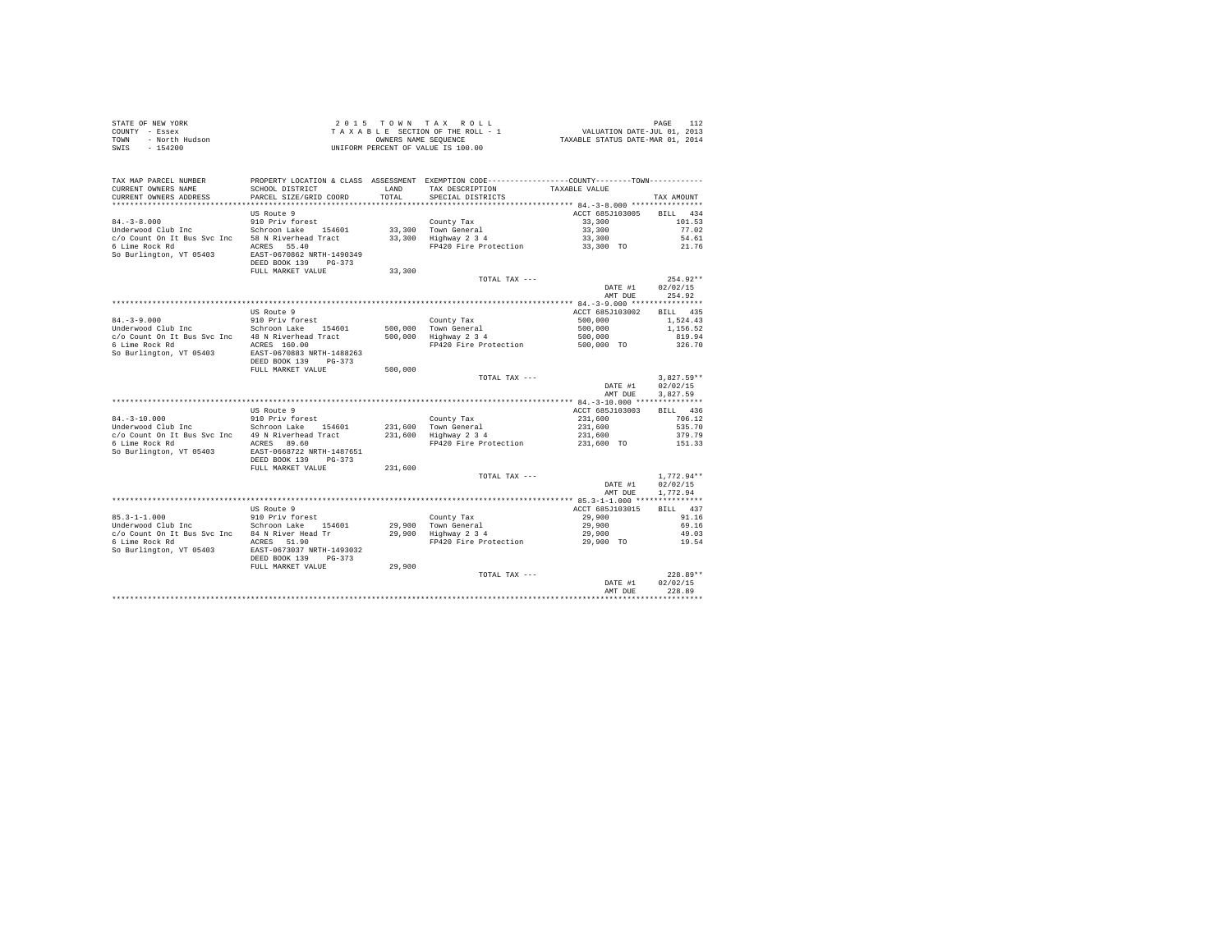|      | STATE OF NEW YORK | $2.0.15$ TOWN TAX ROLL             | PAGE                             |
|------|-------------------|------------------------------------|----------------------------------|
|      | COUNTY - Essex    | TAXABLE SECTION OF THE ROLL - 1    | VALUATION DATE-JUL 01, 2013      |
| TOWN | - North Hudson    | OWNERS NAME SEOUENCE               | TAXABLE STATUS DATE-MAR 01, 2014 |
| SWIS | - 154200          | UNIFORM PERCENT OF VALUE IS 100.00 |                                  |

| TAX MAP PARCEL NUMBER<br>CURRENT OWNERS NAME<br>CURRENT OWNERS ADDRESS                                               | SCHOOL DISTRICT<br>PARCEL SIZE/GRID COORD                                                                                                                                     | LAND<br>TOTAL.                | PROPERTY LOCATION & CLASS ASSESSMENT EXEMPTION CODE---------------COUNTY-------TOWN---------<br>TAX DESCRIPTION<br>SPECIAL DISTRICTS | TAXABLE VALUE                                                                                               | TAX AMOUNT                                                     |
|----------------------------------------------------------------------------------------------------------------------|-------------------------------------------------------------------------------------------------------------------------------------------------------------------------------|-------------------------------|--------------------------------------------------------------------------------------------------------------------------------------|-------------------------------------------------------------------------------------------------------------|----------------------------------------------------------------|
| $84. - 3 - 8.000$<br>Underwood Club Inc<br>c/o Count On It Bus Svc Inc<br>6 Lime Rock Rd<br>So Burlington, VT 05403  | US Route 9<br>910 Priv forest<br>Schroon Lake 154601<br>58 N Riverhead Tract<br>ACRES 55.40<br>EAST-0670862 NRTH-1490349<br>DEED BOOK 139<br>$PG-373$                         | 33,300<br>33,300              | County Tax<br>Town General<br>Highway 2 3 4<br>FP420 Fire Protection                                                                 | ACCT 685J103005<br>33,300<br>33,300<br>33,300<br>33,300 TO                                                  | 434<br><b>BILL</b><br>101.53<br>77.02<br>54.61<br>21.76        |
|                                                                                                                      | FULL MARKET VALUE                                                                                                                                                             | 33,300                        | TOTAL TAX ---                                                                                                                        | DATE #1<br>AMT DUE                                                                                          | $254.92**$<br>02/02/15<br>254.92                               |
| $84. - 3 - 9.000$<br>Underwood Club Inc<br>c/o Count On It Bus Svc Inc<br>6 Lime Rock Rd<br>So Burlington, VT 05403  | US Route 9<br>910 Priv forest<br>Schroon Lake<br>154601<br>48 N Riverhead Tract<br>ACRES 160.00<br>EAST-0670883 NRTH-1488263                                                  | 500,000<br>500,000            | County Tax<br>Town General<br>Highway 2 3 4<br>FP420 Fire Protection                                                                 | ************ 84.-3-9.000 ****************<br>ACCT 685J103002<br>500,000<br>500,000<br>500,000<br>500,000 TO | <b>BILL</b><br>435<br>1,524.43<br>1,156.52<br>819.94<br>326.70 |
|                                                                                                                      | DEED BOOK 139<br>$PG-373$<br>FULL MARKET VALUE                                                                                                                                | 500,000                       | TOTAL TAX ---                                                                                                                        | DATE #1<br>AMT DUE                                                                                          | $3,827.59**$<br>02/02/15<br>3.827.59                           |
| $84. - 3 - 10.000$<br>Underwood Club Inc<br>c/o Count On It Bus Svc Inc<br>6 Lime Rock Rd<br>So Burlington, VT 05403 | US Route 9<br>910 Priv forest<br>Schroon Lake<br>154601<br>49 N Riverhead Tract<br>ACRES 89.60<br>EAST-0668722 NRTH-1487651<br>DEED BOOK 139<br>$PG-373$<br>FULL MARKET VALUE | 231,600<br>231,600<br>231,600 | County Tax<br>Town General<br>Highway 2 3 4<br>FP420 Fire Protection                                                                 | ACCT 685J103003<br>231,600<br>231,600<br>231,600<br>231,600 TO                                              | 436<br>BTLL.<br>706.12<br>535.70<br>379.79<br>151.33           |
|                                                                                                                      |                                                                                                                                                                               |                               | TOTAL TAX ---                                                                                                                        | DATE #1<br>AMT DUE                                                                                          | $1.772.94**$<br>02/02/15<br>1,772.94                           |
| $85.3 - 1 - 1.000$<br>Underwood Club Inc<br>c/o Count On It Bus Svc Inc<br>6 Lime Rock Rd<br>So Burlington, VT 05403 | US Route 9<br>910 Priv forest<br>Schroon Lake<br>154601<br>84 N River Head Tr<br>ACRES 51.90<br>EAST-0673037 NRTH-1493032<br>DEED BOOK 139<br>$PG-373$                        | 29,900<br>29,900              | County Tax<br>Town General<br>Highway 2 3 4<br>FP420 Fire Protection                                                                 | ACCT 685J103015<br>29,900<br>29,900<br>29,900<br>29,900 TO                                                  | 437<br><b>BILL</b><br>91.16<br>69.16<br>49.03<br>19.54         |
|                                                                                                                      | FULL MARKET VALUE                                                                                                                                                             | 29,900                        | TOTAL TAX ---                                                                                                                        | DATE #1<br>AMT DUE                                                                                          | $228.89**$<br>02/02/15<br>228.89                               |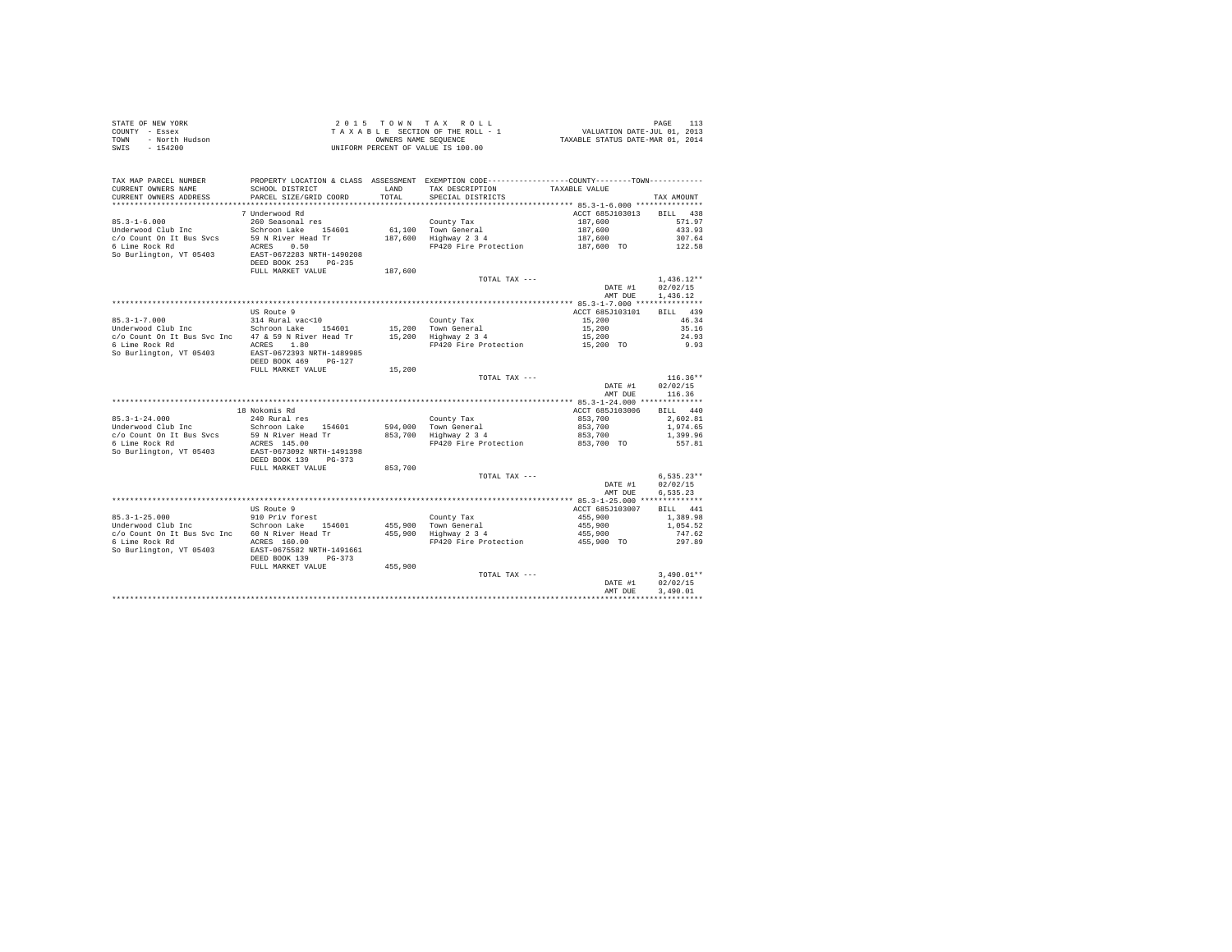| STATE OF NEW YORK      | 2015 TOWN TAX ROLL                 | PAGE                             |
|------------------------|------------------------------------|----------------------------------|
| COUNTY - Essex         | TAXABLE SECTION OF THE ROLL - 1    | VALUATION DATE-JUL 01, 2013      |
| TOWN<br>- North Hudson | OWNERS NAME SEOUENCE               | TAXABLE STATUS DATE-MAR 01, 2014 |
| - 154200<br>SWIS       | UNIFORM PERCENT OF VALUE IS 100.00 |                                  |

| TAX MAP PARCEL NUMBER<br>CURRENT OWNERS NAME                                                | SCHOOL DISTRICT                                                                         | <b>T.AND</b>      | PROPERTY LOCATION & CLASS ASSESSMENT EXEMPTION CODE----------------COUNTY-------TOWN----------<br>TAX DESCRIPTION | TAXABLE VALUE                    |                                      |
|---------------------------------------------------------------------------------------------|-----------------------------------------------------------------------------------------|-------------------|-------------------------------------------------------------------------------------------------------------------|----------------------------------|--------------------------------------|
| CURRENT OWNERS ADDRESS<br>********************                                              | PARCEL SIZE/GRID COORD<br>**************************                                    | TOTAL             | SPECIAL DISTRICTS                                                                                                 |                                  | TAX AMOUNT                           |
| $85.3 - 1 - 6.000$                                                                          | 7 Underwood Rd<br>260 Seasonal res                                                      |                   | County Tax                                                                                                        | ACCT 685J103013<br>187,600       | 438<br><b>BILL</b><br>571.97         |
| Underwood Club Inc<br>c/o Count On It Bus Sycs<br>6 Lime Rock Rd<br>So Burlington, VT 05403 | Schroon Lake 154601<br>59 N River Head Tr<br>ACRES<br>0.50<br>EAST-0672283 NRTH-1490208 | 61,100<br>187,600 | Town General<br>Highway 2 3 4<br>FP420 Fire Protection                                                            | 187,600<br>187,600<br>187,600 TO | 433.93<br>307.64<br>122.58           |
|                                                                                             | DEED BOOK 253<br>$PG-235$<br>FULL MARKET VALUE                                          | 187,600           | TOTAL TAX ---                                                                                                     |                                  | $1.436.12**$                         |
|                                                                                             |                                                                                         |                   |                                                                                                                   | DATE #1<br>AMT DUE               | 02/02/15<br>1,436.12                 |
|                                                                                             | US Route 9                                                                              |                   |                                                                                                                   | ACCT 685J103101                  | BILL 439                             |
| $85.3 - 1 - 7.000$                                                                          | 314 Rural vac<10                                                                        |                   | County Tax                                                                                                        | 15,200                           | 46.34                                |
| Underwood Club Inc                                                                          | Schroon Lake<br>154601                                                                  |                   | 15,200 Town General                                                                                               | 15,200                           | 35.16                                |
| c/o Count On It Bus Svc Inc                                                                 | 47 & 59 N River Head Tr                                                                 | 15,200            | Highway 2 3 4                                                                                                     | 15,200                           | 24.93                                |
| 6 Lime Rock Rd<br>So Burlington, VT 05403                                                   | 1.80<br>ACRES<br>EAST-0672393 NRTH-1489985<br>DEED BOOK 469<br>$PG-127$                 |                   | FP420 Fire Protection                                                                                             | 15,200 TO                        | 9.93                                 |
|                                                                                             | FULL MARKET VALUE                                                                       | 15,200            |                                                                                                                   |                                  |                                      |
|                                                                                             |                                                                                         |                   | TOTAL TAX ---                                                                                                     |                                  | $116.36**$                           |
|                                                                                             |                                                                                         |                   |                                                                                                                   | DATE #1                          | 02/02/15                             |
|                                                                                             |                                                                                         |                   |                                                                                                                   | AMT DUE                          | 116.36                               |
|                                                                                             |                                                                                         |                   |                                                                                                                   |                                  |                                      |
|                                                                                             | 18 Nokomis Rd                                                                           |                   |                                                                                                                   | ACCT 685J103006                  | BILL 440                             |
| $85.3 - 1 - 24.000$                                                                         | 240 Rural res                                                                           |                   | County Tax                                                                                                        | 853,700                          | 2.602.81                             |
| Underwood Club Inc                                                                          | Schroon Lake<br>154601                                                                  | 594,000           | Town General                                                                                                      | 853,700                          | 1,974.65                             |
| c/o Count On It Bus Svcs                                                                    | 59 N River Head Tr                                                                      | 853,700           | Highway 2 3 4                                                                                                     | 853,700                          | 1,399.96                             |
| 6 Lime Rock Rd<br>So Burlington, VT 05403                                                   | ACRES 145.00<br>EAST-0673092 NRTH-1491398<br>DEED BOOK 139<br>$PG-373$                  |                   | FP420 Fire Protection                                                                                             | 853,700 TO                       | 557.81                               |
|                                                                                             | FULL MARKET VALUE                                                                       | 853,700           |                                                                                                                   |                                  |                                      |
|                                                                                             |                                                                                         |                   | TOTAL TAX ---                                                                                                     | DATE #1<br>AMT DUE               | $6,535.23**$<br>02/02/15<br>6.535.23 |
|                                                                                             |                                                                                         |                   |                                                                                                                   |                                  |                                      |
|                                                                                             | US Route 9                                                                              |                   |                                                                                                                   | ACCT 685J103007                  | BTLL.<br>441                         |
| $85.3 - 1 - 25.000$                                                                         | 910 Priv forest                                                                         |                   | County Tax                                                                                                        | 455,900                          | 1,389.98                             |
| Underwood Club Inc                                                                          | Schroon Lake<br>154601                                                                  |                   | 455,900 Town General                                                                                              | 455,900                          | 1,054.52                             |
| c/o Count On It Bus Svc Inc                                                                 | 60 N River Head Tr                                                                      |                   | 455,900 Highway 2 3 4                                                                                             | 455,900                          | 747.62                               |
| 6 Lime Rock Rd<br>So Burlington, VT 05403                                                   | ACRES 160.00<br>EAST-0675582 NRTH-1491661<br>DEED BOOK 139<br>$PG-373$                  |                   | FP420 Fire Protection                                                                                             | 455,900 TO                       | 297.89                               |
|                                                                                             | FULL MARKET VALUE                                                                       | 455,900           |                                                                                                                   |                                  |                                      |
|                                                                                             |                                                                                         |                   | TOTAL TAX ---                                                                                                     | DATE #1<br>AMT DUE               | $3,490.01**$<br>02/02/15<br>3,490.01 |
|                                                                                             |                                                                                         |                   |                                                                                                                   |                                  |                                      |
|                                                                                             |                                                                                         |                   |                                                                                                                   |                                  |                                      |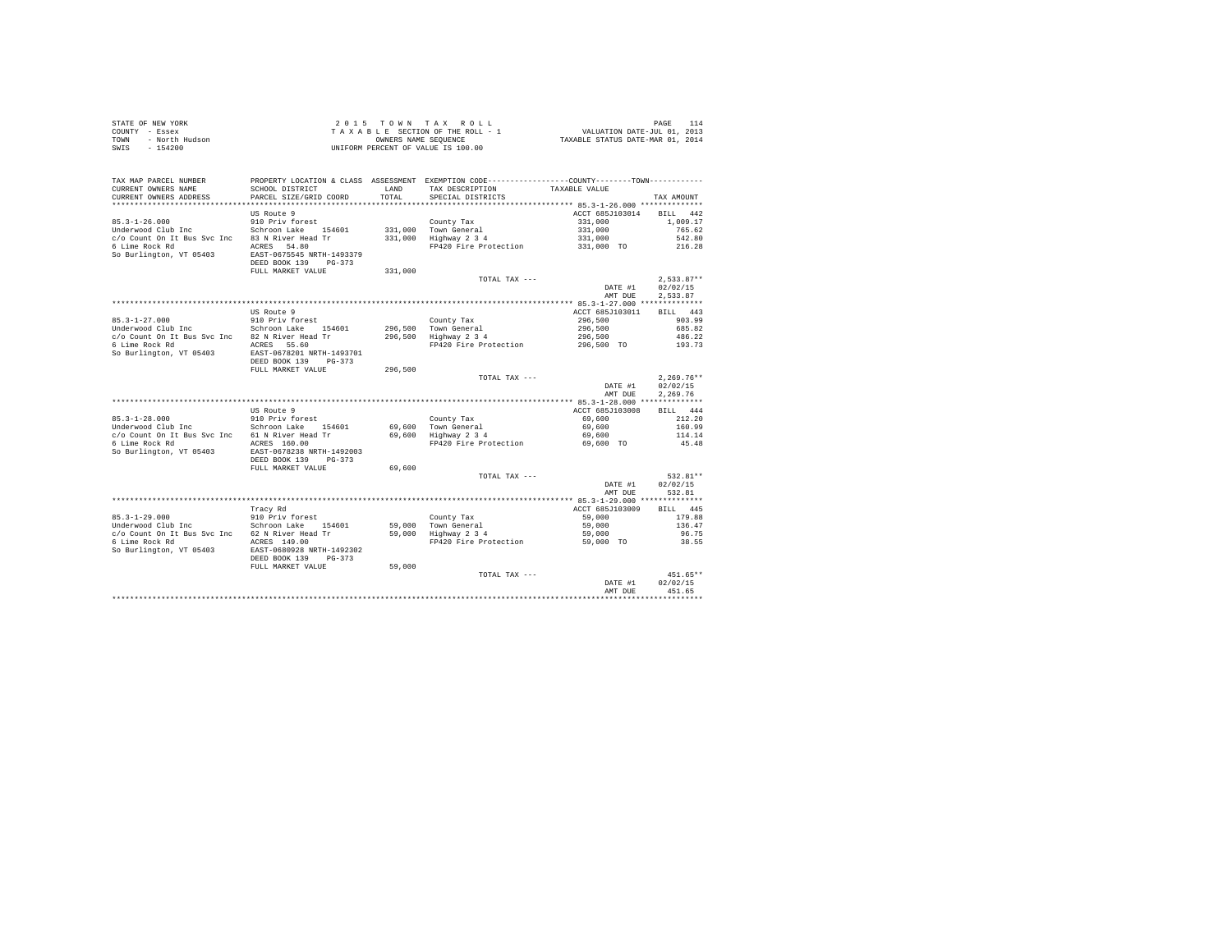| STATE OF NEW YORK      | 2015 TOWN TAX ROLL                 | PAGE                             |
|------------------------|------------------------------------|----------------------------------|
| COUNTY - Essex         | TAXABLE SECTION OF THE ROLL - 1    | VALUATION DATE-JUL 01, 2013      |
| TOWN<br>- North Hudson | OWNERS NAME SEOUENCE               | TAXABLE STATUS DATE-MAR 01, 2014 |
| $-154200$<br>SWIS      | UNIFORM PERCENT OF VALUE IS 100.00 |                                  |

| TAX MAP PARCEL NUMBER<br>CURRENT OWNERS NAME | SCHOOL DISTRICT                                                             | LAND    | PROPERTY LOCATION & CLASS ASSESSMENT EXEMPTION CODE---------------COUNTY-------TOWN---------<br>TAX DESCRIPTION | TAXABLE VALUE                            |                                |
|----------------------------------------------|-----------------------------------------------------------------------------|---------|-----------------------------------------------------------------------------------------------------------------|------------------------------------------|--------------------------------|
| CURRENT OWNERS ADDRESS                       | PARCEL SIZE/GRID COORD                                                      | TOTAL.  | SPECIAL DISTRICTS                                                                                               |                                          | TAX AMOUNT                     |
|                                              |                                                                             |         |                                                                                                                 | ACCT 685J103014                          |                                |
| $85.3 - 1 - 26.000$                          | US Route 9<br>910 Priv forest                                               |         | County Tax                                                                                                      | 331,000                                  | <b>BILL</b><br>442<br>1,009.17 |
| Underwood Club Inc                           | Schroon Lake 154601                                                         | 331,000 | Town General                                                                                                    | 331,000                                  | 765.62                         |
| c/o Count On It Bus Svc Inc                  | 83 N River Head Tr                                                          | 331,000 | Highway 2 3 4                                                                                                   | 331,000                                  | 542.80                         |
| 6 Lime Rock Rd                               | ACRES 54.80                                                                 |         | FP420 Fire Protection                                                                                           | 331,000 TO                               | 216.28                         |
| So Burlington, VT 05403                      | EAST-0675545 NRTH-1493379<br>DEED BOOK 139<br>$PG-373$<br>FULL MARKET VALUE | 331,000 |                                                                                                                 |                                          |                                |
|                                              |                                                                             |         | TOTAL TAX ---                                                                                                   |                                          | $2.533.87**$                   |
|                                              |                                                                             |         |                                                                                                                 | DATE #1                                  | 02/02/15                       |
|                                              |                                                                             |         |                                                                                                                 | AMT DUE                                  | 2,533.87                       |
|                                              |                                                                             |         |                                                                                                                 | *********** 85.3-1-27.000 ************** |                                |
|                                              | US Route 9                                                                  |         |                                                                                                                 | ACCT 685J103011                          | <b>BILL</b><br>443             |
| $85.3 - 1 - 27.000$                          | 910 Priv forest                                                             |         | County Tax                                                                                                      | 296,500                                  | 903.99                         |
| Underwood Club Inc                           | Schroon Lake<br>154601                                                      | 296,500 | Town General                                                                                                    | 296,500                                  | 685.82                         |
| c/o Count On It Bus Svc Inc                  | 82 N River Head Tr                                                          | 296,500 | Highway 2 3 4                                                                                                   | 296,500                                  | 486.22                         |
| 6 Lime Rock Rd                               | ACRES 55.60<br>EAST-0678201 NRTH-1493701                                    |         | FP420 Fire Protection                                                                                           | 296,500 TO                               | 193.73                         |
| So Burlington, VT 05403                      | DEED BOOK 139<br>$PG-373$                                                   |         |                                                                                                                 |                                          |                                |
|                                              | FULL MARKET VALUE                                                           | 296,500 |                                                                                                                 |                                          |                                |
|                                              |                                                                             |         | TOTAL TAX ---                                                                                                   |                                          | $2,269.76**$                   |
|                                              |                                                                             |         |                                                                                                                 | DATE #1                                  | 02/02/15                       |
|                                              |                                                                             |         |                                                                                                                 | AMT DUE                                  | 2.269.76                       |
|                                              |                                                                             |         |                                                                                                                 |                                          |                                |
|                                              | US Route 9                                                                  |         |                                                                                                                 | ACCT 685J103008                          | 444<br>RTLL.                   |
| $85.3 - 1 - 28.000$                          | 910 Priv forest                                                             |         | County Tax                                                                                                      | 69,600                                   | 212.20                         |
| Underwood Club Inc                           | Schroon Lake<br>154601                                                      | 69,600  | Town General                                                                                                    | 69,600                                   | 160.99                         |
| c/o Count On It Bus Svc Inc                  | 61 N River Head Tr                                                          | 69,600  | Highway 2 3 4                                                                                                   | 69,600                                   | 114.14                         |
| 6 Lime Rock Rd                               | ACRES 160.00                                                                |         | FP420 Fire Protection                                                                                           | 69,600 TO                                | 45.48                          |
| So Burlington, VT 05403                      | EAST-0678238 NRTH-1492003<br>DEED BOOK 139<br>$PG-373$<br>FULL MARKET VALUE | 69,600  |                                                                                                                 |                                          |                                |
|                                              |                                                                             |         | TOTAL TAX ---                                                                                                   |                                          | 532.81**                       |
|                                              |                                                                             |         |                                                                                                                 | DATE #1                                  | 02/02/15                       |
|                                              |                                                                             |         |                                                                                                                 | AMT DUE                                  | 532.81                         |
|                                              |                                                                             |         |                                                                                                                 |                                          |                                |
|                                              | Tracy Rd                                                                    |         |                                                                                                                 | ACCT 685J103009                          | 445<br><b>BILL</b>             |
| $85.3 - 1 - 29.000$                          | 910 Priv forest                                                             |         | County Tax                                                                                                      | 59,000                                   | 179.88                         |
| Underwood Club Inc                           | Schroon Lake<br>154601                                                      | 59,000  | Town General                                                                                                    | 59,000                                   | 136.47                         |
| c/o Count On It Bus Svc Inc                  | 62 N River Head Tr                                                          | 59,000  | Highway 2 3 4                                                                                                   | 59,000                                   | 96.75                          |
| 6 Lime Rock Rd                               | ACRES 149.00                                                                |         | FP420 Fire Protection                                                                                           | 59,000 TO                                | 38.55                          |
| So Burlington, VT 05403                      | EAST-0680928 NRTH-1492302<br>DEED BOOK 139<br>$PG-373$<br>FULL MARKET VALUE |         |                                                                                                                 |                                          |                                |
|                                              |                                                                             | 59,000  | TOTAL TAX ---                                                                                                   |                                          | 451.65**                       |
|                                              |                                                                             |         |                                                                                                                 | DATE #1                                  | 02/02/15                       |
|                                              |                                                                             |         |                                                                                                                 | AMT DUE                                  | 451.65                         |
|                                              |                                                                             |         |                                                                                                                 |                                          |                                |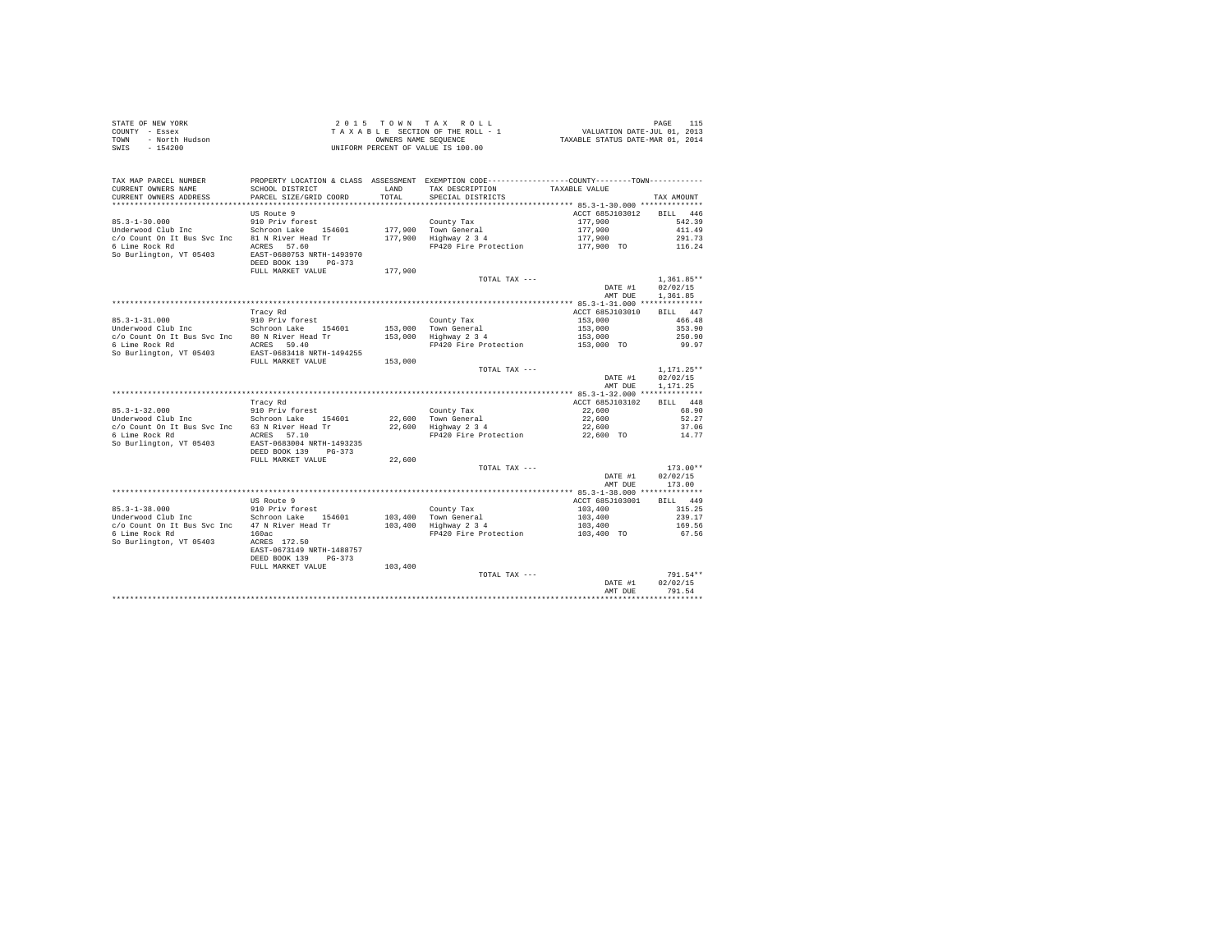| STATE OF NEW YORK      | $2.0.15$ TOWN TAX ROLL             | PAGE                             |
|------------------------|------------------------------------|----------------------------------|
| COUNTY - Essex         | TAXABLE SECTION OF THE ROLL - 1    | VALUATION DATE-JUL 01, 2013      |
| - North Hudson<br>TOWN | OWNERS NAME SEOUENCE               | TAXABLE STATUS DATE-MAR 01, 2014 |
| SWIS<br>$-154200$      | UNIFORM PERCENT OF VALUE IS 100.00 |                                  |

| TAX MAP PARCEL NUMBER<br>CURRENT OWNERS NAME<br>CURRENT OWNERS ADDRESS                                                | SCHOOL DISTRICT<br>PARCEL SIZE/GRID COORD                                                                                                              | LAND<br>TOTAL.     | PROPERTY LOCATION & CLASS ASSESSMENT EXEMPTION CODE----------------COUNTY-------TOWN---------<br>TAX DESCRIPTION<br>SPECIAL DISTRICTS | TAXABLE VALUE                                                  | TAX AMOUNT                                                 |
|-----------------------------------------------------------------------------------------------------------------------|--------------------------------------------------------------------------------------------------------------------------------------------------------|--------------------|---------------------------------------------------------------------------------------------------------------------------------------|----------------------------------------------------------------|------------------------------------------------------------|
| $85.3 - 1 - 30.000$<br>Underwood Club Inc<br>c/o Count On It Bus Syc Inc<br>6 Lime Rock Rd<br>So Burlington, VT 05403 | US Route 9<br>910 Priv forest<br>Schroon Lake<br>154601<br>81 N River Head Tr<br>ACRES 57.60<br>EAST-0680753 NRTH-1493970<br>DEED BOOK 139<br>$PG-373$ | 177,900<br>177,900 | County Tax<br>Town General<br>Highway 2 3 4<br>FP420 Fire Protection                                                                  | ACCT 685J103012<br>177,900<br>177,900<br>177,900<br>177,900 TO | 446<br><b>BILL</b><br>542.39<br>411.49<br>291.73<br>116.24 |
|                                                                                                                       | FULL MARKET VALUE                                                                                                                                      | 177,900            | TOTAL TAX ---                                                                                                                         | DATE #1<br>AMT DUE                                             | $1.361.85**$<br>02/02/15<br>1,361.85                       |
|                                                                                                                       | ******************************                                                                                                                         |                    | **********************                                                                                                                | ******* 85.3-1-31.000 **************                           |                                                            |
|                                                                                                                       | Tracy Rd                                                                                                                                               |                    |                                                                                                                                       | ACCT 685J103010                                                | BILL 447                                                   |
| $85.3 - 1 - 31.000$                                                                                                   | 910 Priv forest                                                                                                                                        |                    | County Tax                                                                                                                            | 153,000                                                        | 466.48                                                     |
| Underwood Club Inc                                                                                                    | Schroon Lake<br>154601                                                                                                                                 | 153,000            | Town General                                                                                                                          | 153,000                                                        | 353.90                                                     |
| c/o Count On It Bus Svc Inc                                                                                           | 80 N River Head Tr                                                                                                                                     | 153,000            | Highway 2 3 4                                                                                                                         | 153,000                                                        | 250.90                                                     |
| 6 Lime Rock Rd                                                                                                        | ACRES 59.40                                                                                                                                            |                    | FP420 Fire Protection                                                                                                                 | 153,000 TO                                                     | 99.97                                                      |
| So Burlington, VT 05403                                                                                               | EAST-0683418 NRTH-1494255                                                                                                                              |                    |                                                                                                                                       |                                                                |                                                            |
|                                                                                                                       | FULL MARKET VALUE                                                                                                                                      | 153,000            | TOTAL TAX ---                                                                                                                         |                                                                |                                                            |
|                                                                                                                       |                                                                                                                                                        |                    |                                                                                                                                       | DATE #1                                                        | $1,171.25**$<br>02/02/15                                   |
|                                                                                                                       |                                                                                                                                                        |                    |                                                                                                                                       | AMT DUE                                                        | 1,171,25                                                   |
|                                                                                                                       |                                                                                                                                                        |                    |                                                                                                                                       | ******* 85.3-1-32.000 *********                                |                                                            |
|                                                                                                                       | Tracy Rd                                                                                                                                               |                    |                                                                                                                                       | ACCT 685J103102                                                | 448<br>RTT.T.                                              |
| $85.3 - 1 - 32.000$                                                                                                   | 910 Priv forest                                                                                                                                        |                    | County Tax                                                                                                                            | 22,600                                                         | 68.90                                                      |
| Underwood Club Inc                                                                                                    | Schroon Lake<br>154601                                                                                                                                 | 22,600             | Town General                                                                                                                          | 22,600                                                         | 52.27                                                      |
| c/o Count On It Bus Svc Inc                                                                                           | 63 N River Head Tr                                                                                                                                     | 22,600             | Highway 2 3 4                                                                                                                         | 22,600                                                         | 37.06                                                      |
| 6 Lime Rock Rd                                                                                                        | ACRES 57.10                                                                                                                                            |                    | FP420 Fire Protection                                                                                                                 | 22,600 TO                                                      | 14.77                                                      |
| So Burlington, VT 05403                                                                                               | EAST-0683004 NRTH-1493235<br>DEED BOOK 139<br>$PG-373$                                                                                                 |                    |                                                                                                                                       |                                                                |                                                            |
|                                                                                                                       | FULL MARKET VALUE                                                                                                                                      | 22,600             |                                                                                                                                       |                                                                |                                                            |
|                                                                                                                       |                                                                                                                                                        |                    | TOTAL TAX ---                                                                                                                         | DATE #1<br>AMT DUE                                             | $173.00**$<br>02/02/15<br>173.00                           |
|                                                                                                                       |                                                                                                                                                        |                    |                                                                                                                                       |                                                                |                                                            |
|                                                                                                                       | US Route 9                                                                                                                                             |                    |                                                                                                                                       | ACCT 685J103001                                                | 449<br>BILL                                                |
| $85.3 - 1 - 38.000$                                                                                                   | 910 Priv forest                                                                                                                                        |                    | County Tax                                                                                                                            | 103,400                                                        | 315.25                                                     |
| Underwood Club Inc                                                                                                    | Schroon Lake<br>154601                                                                                                                                 | 103,400            | Town General                                                                                                                          | 103,400                                                        | 239.17                                                     |
| c/o Count On It Bus Svc Inc                                                                                           | 47 N River Head Tr                                                                                                                                     | 103,400            | Highway 2 3 4                                                                                                                         | 103,400                                                        | 169.56                                                     |
| 6 Lime Rock Rd<br>So Burlington, VT 05403                                                                             | 160ac<br>ACRES 172.50<br>EAST-0673149 NRTH-1488757<br>DEED BOOK 139<br>$PG-373$                                                                        |                    | FP420 Fire Protection                                                                                                                 | 103,400 TO                                                     | 67.56                                                      |
|                                                                                                                       | FULL MARKET VALUE                                                                                                                                      | 103,400            |                                                                                                                                       |                                                                |                                                            |
|                                                                                                                       |                                                                                                                                                        |                    | TOTAL TAX ---                                                                                                                         |                                                                | 791.54**                                                   |
|                                                                                                                       |                                                                                                                                                        |                    |                                                                                                                                       | DATE #1                                                        | 02/02/15                                                   |
|                                                                                                                       |                                                                                                                                                        |                    |                                                                                                                                       | AMT DUE                                                        | 791.54                                                     |
|                                                                                                                       |                                                                                                                                                        |                    |                                                                                                                                       |                                                                |                                                            |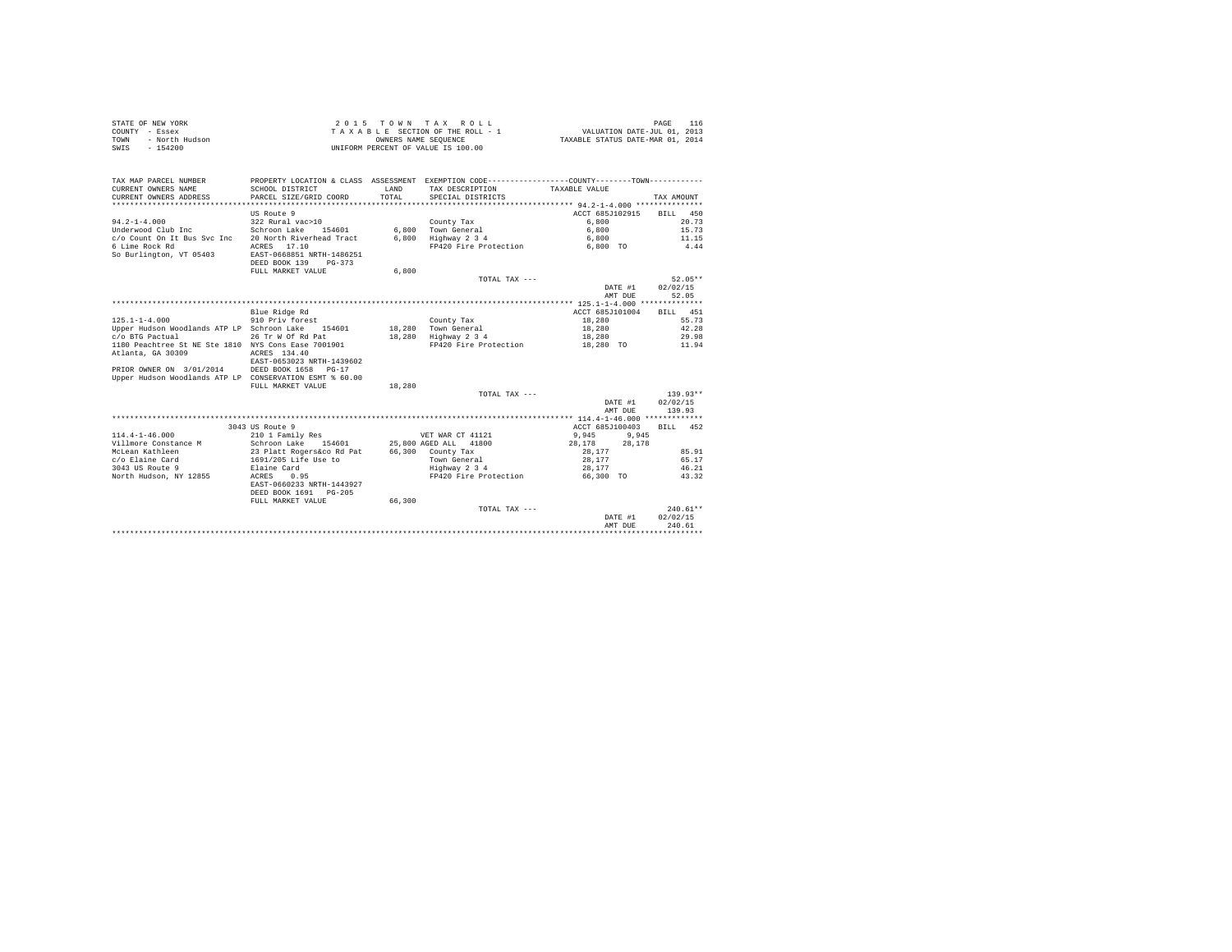| STATE OF NEW YORK      | 2015 TOWN TAX ROLL                 | PAGE                             |
|------------------------|------------------------------------|----------------------------------|
| COUNTY - Essex         | TAXABLE SECTION OF THE ROLL - 1    | VALUATION DATE-JUL 01, 2013      |
| TOWN<br>- North Hudson | OWNERS NAME SEOUENCE               | TAXABLE STATUS DATE-MAR 01, 2014 |
| SWIS - 154200          | UNIFORM PERCENT OF VALUE IS 100.00 |                                  |

| TAX MAP PARCEL NUMBER                                   | PROPERTY LOCATION & CLASS ASSESSMENT EXEMPTION CODE----------------COUNTY--------TOWN---------- |              |                       |                  |             |
|---------------------------------------------------------|-------------------------------------------------------------------------------------------------|--------------|-----------------------|------------------|-------------|
| CURRENT OWNERS NAME                                     | SCHOOL DISTRICT                                                                                 | <b>T.AND</b> | TAX DESCRIPTION       | TAXABLE VALUE    |             |
| CURRENT OWNERS ADDRESS                                  | PARCEL SIZE/GRID COORD                                                                          | TOTAL.       | SPECIAL DISTRICTS     |                  | TAX AMOUNT  |
|                                                         |                                                                                                 |              |                       |                  |             |
|                                                         | US Route 9                                                                                      |              |                       | ACCT 685J102915  | BILL<br>450 |
| $94.2 - 1 - 4.000$                                      | 322 Rural vac>10                                                                                |              | County Tax            | 6,800            | 20.73       |
| Underwood Club Inc                                      | Schroon Lake<br>154601                                                                          |              | 6.800 Town General    | 6,800            | 15.73       |
| c/o Count On It Bus Svc Inc                             | 20 North Riverhead Tract                                                                        | 6,800        | Highway 2 3 4         | 6,800            | 11.15       |
| 6 Lime Rock Rd                                          | ACRES 17.10                                                                                     |              | FP420 Fire Protection | 6,800 TO         | 4.44        |
| So Burlington, VT 05403                                 | EAST-0668851 NRTH-1486251                                                                       |              |                       |                  |             |
|                                                         | DEED BOOK 139<br>$PG-373$                                                                       |              |                       |                  |             |
|                                                         | FULL MARKET VALUE                                                                               | 6,800        |                       |                  |             |
|                                                         |                                                                                                 |              | TOTAL TAX ---         |                  | $52.05**$   |
|                                                         |                                                                                                 |              |                       | DATE #1          | 02/02/15    |
|                                                         |                                                                                                 |              |                       | AMT DUE          | 52.05       |
|                                                         |                                                                                                 |              |                       |                  |             |
|                                                         | Blue Ridge Rd                                                                                   |              |                       | ACCT 685J101004  | 451<br>BILL |
| $125.1 - 1 - 4.000$                                     | 910 Priv forest                                                                                 |              | County Tax            | 18,280           | 55.73       |
| Upper Hudson Woodlands ATP LP Schroon Lake 154601       |                                                                                                 |              | 18,280 Town General   | 18,280           | 42.28       |
| c/o BTG Pactual                                         | 26 Tr W Of Rd Pat                                                                               | 18,280       | Highway 2 3 4         | 18,280           | 29.98       |
| 1180 Peachtree St NE Ste 1810 NYS Cons Ease 7001901     |                                                                                                 |              | FP420 Fire Protection | 18,280 TO        | 11.94       |
| Atlanta, GA 30309                                       | ACRES 134.40                                                                                    |              |                       |                  |             |
|                                                         | EAST-0653023 NRTH-1439602                                                                       |              |                       |                  |             |
| PRIOR OWNER ON 3/01/2014 DEED BOOK 1658                 | $PG-17$                                                                                         |              |                       |                  |             |
| Upper Hudson Woodlands ATP LP CONSERVATION ESMT % 60.00 |                                                                                                 |              |                       |                  |             |
|                                                         | FULL MARKET VALUE                                                                               | 18,280       |                       |                  |             |
|                                                         |                                                                                                 |              | TOTAL TAX ---         |                  | $139.93**$  |
|                                                         |                                                                                                 |              |                       | DATE #1          | 02/02/15    |
|                                                         |                                                                                                 |              |                       | AMT DUE          | 139.93      |
|                                                         |                                                                                                 |              |                       |                  |             |
|                                                         | 3043 US Route 9                                                                                 |              |                       | ACCT 685J100403  | RTT.T. 452  |
| $114.4 - 1 - 46.000$                                    | 210 1 Family Res                                                                                |              | VET WAR CT 41121      | 9,945<br>9,945   |             |
| Villmore Constance M                                    | Schroon Lake 154601                                                                             |              | 25,800 AGED ALL 41800 | 28.178<br>28,178 |             |
| McLean Kathleen                                         | 23 Platt Rogers&co Rd Pat<br>1691/205 Life Use to                                               |              | 66,300 County Tax     | 28.177           | 85.91       |
| c/o Elaine Card                                         |                                                                                                 |              | Town General          | 28,177           | 65.17       |
| 3043 US Route 9                                         | Elaine Card                                                                                     |              | Highway 2 3 4         | 28,177           | 46.21       |
| North Hudson, NY 12855                                  | ACRES<br>0.95                                                                                   |              | FP420 Fire Protection | 66,300 TO        | 43.32       |
|                                                         | EAST-0660233 NRTH-1443927                                                                       |              |                       |                  |             |
|                                                         | DEED BOOK 1691 PG-205                                                                           |              |                       |                  |             |
|                                                         | FULL MARKET VALUE                                                                               | 66,300       |                       |                  |             |
|                                                         |                                                                                                 |              | TOTAL TAX ---         |                  | $240.61**$  |
|                                                         |                                                                                                 |              |                       | DATE #1          | 02/02/15    |
|                                                         |                                                                                                 |              |                       | AMT DUE          | 240.61      |
|                                                         |                                                                                                 |              |                       |                  |             |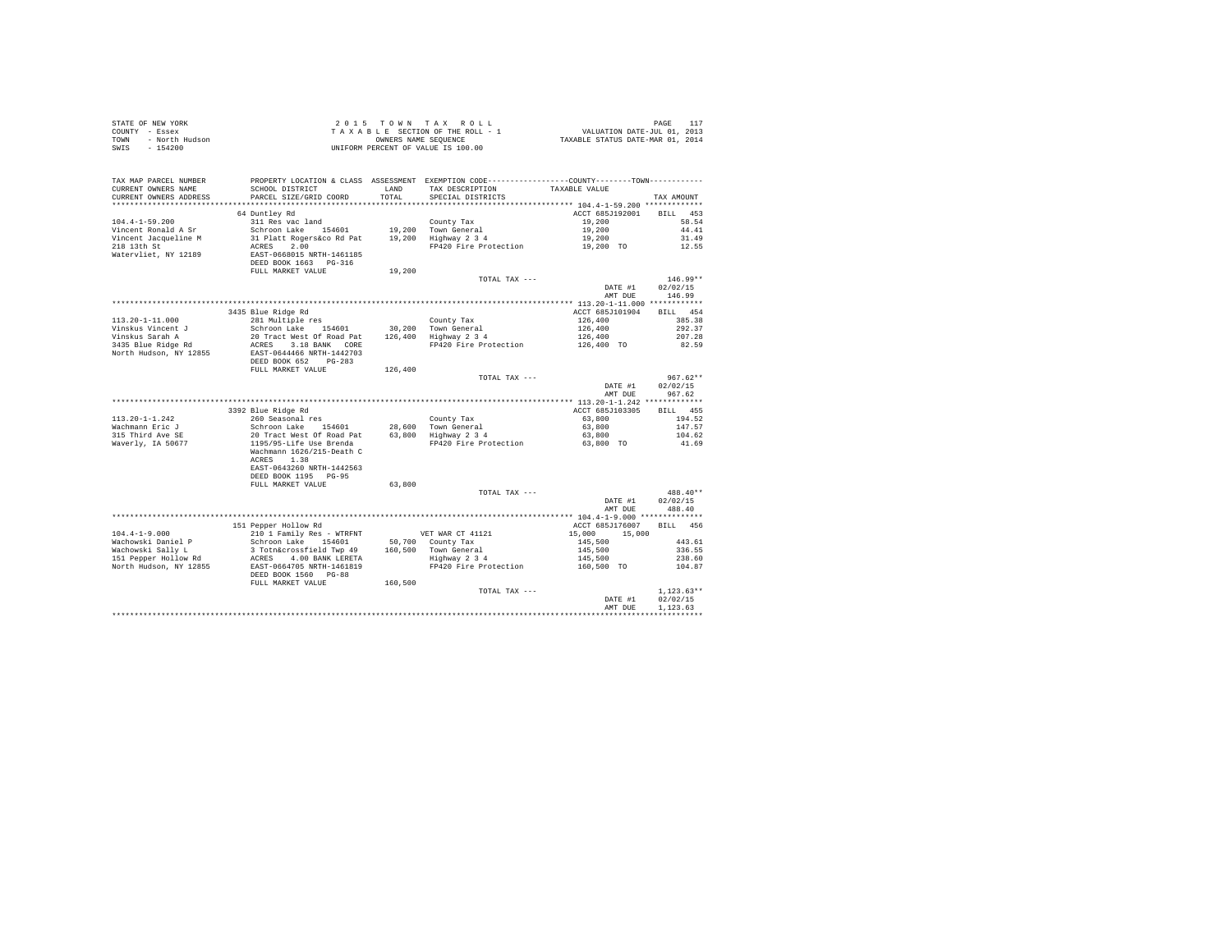| STATE OF NEW YORK<br>COUNTY - Essex<br><b>TOWN</b><br>SWIS - 154200    |                                                                                                                                                                                                                       |         |                                                                                                                                      |                                            |                                  |
|------------------------------------------------------------------------|-----------------------------------------------------------------------------------------------------------------------------------------------------------------------------------------------------------------------|---------|--------------------------------------------------------------------------------------------------------------------------------------|--------------------------------------------|----------------------------------|
| TAX MAP PARCEL NUMBER<br>CURRENT OWNERS NAME<br>CURRENT OWNERS ADDRESS | SCHOOL DISTRICT LAND<br>PARCEL SIZE/GRID COORD                                                                                                                                                                        | TOTAL   | PROPERTY LOCATION & CLASS ASSESSMENT EXEMPTION CODE---------------COUNTY-------TOWN---------<br>TAX DESCRIPTION<br>SPECIAL DISTRICTS | TAXABLE VALUE                              | TAX AMOUNT                       |
|                                                                        |                                                                                                                                                                                                                       |         |                                                                                                                                      |                                            |                                  |
| $104.4 - 1 - 59.200$                                                   | 64 Duntley Rd                                                                                                                                                                                                         |         |                                                                                                                                      | ACCT 685J192001 BILL 453<br>19,200         | 58.54                            |
| Vincent Ronald A Sr                                                    |                                                                                                                                                                                                                       |         |                                                                                                                                      | 19,200                                     | 44.41                            |
| Vincent Jacqueline M                                                   |                                                                                                                                                                                                                       |         |                                                                                                                                      | $19,200$<br>$19,200$ TO                    | 31.49                            |
| 218 13th St                                                            | ACRES 2.00                                                                                                                                                                                                            |         | FP420 Fire Protection                                                                                                                |                                            | 12.55                            |
| Watervliet, NY 12189                                                   | EAST-0668015 NRTH-1461185<br>DEED BOOK 1663 PG-316                                                                                                                                                                    |         |                                                                                                                                      |                                            |                                  |
|                                                                        | FULL MARKET VALUE                                                                                                                                                                                                     | 19,200  |                                                                                                                                      |                                            |                                  |
|                                                                        |                                                                                                                                                                                                                       |         | TOTAL TAX ---                                                                                                                        |                                            | $146.99**$                       |
|                                                                        |                                                                                                                                                                                                                       |         |                                                                                                                                      | DATE #1                                    | 02/02/15                         |
|                                                                        |                                                                                                                                                                                                                       |         |                                                                                                                                      | AMT DUE                                    | 146.99                           |
|                                                                        |                                                                                                                                                                                                                       |         |                                                                                                                                      |                                            | BILL 454                         |
|                                                                        |                                                                                                                                                                                                                       |         |                                                                                                                                      |                                            | 385.38                           |
|                                                                        |                                                                                                                                                                                                                       |         |                                                                                                                                      |                                            | 292.37                           |
|                                                                        |                                                                                                                                                                                                                       |         |                                                                                                                                      |                                            | 207.28                           |
|                                                                        |                                                                                                                                                                                                                       |         |                                                                                                                                      |                                            | 82.59                            |
|                                                                        |                                                                                                                                                                                                                       |         |                                                                                                                                      |                                            |                                  |
|                                                                        | FULL MARKET VALUE                                                                                                                                                                                                     | 126,400 |                                                                                                                                      |                                            |                                  |
|                                                                        |                                                                                                                                                                                                                       |         | TOTAL TAX ---                                                                                                                        | DATE #1<br>AMT DUE                         | $967.62**$<br>02/02/15<br>967.62 |
|                                                                        |                                                                                                                                                                                                                       |         |                                                                                                                                      |                                            |                                  |
|                                                                        | 3392 Blue Ridge Rd                                                                                                                                                                                                    |         |                                                                                                                                      | ACCT 685J103305                            | BILL 455                         |
| $113.20 - 1 - 1.242$                                                   | 260 Seasonal res                                                                                                                                                                                                      |         |                                                                                                                                      | 63,800                                     | 194.52                           |
| Wachmann Eric J<br>315 Third Ave SE                                    |                                                                                                                                                                                                                       |         |                                                                                                                                      | 63,800                                     | 147.57                           |
|                                                                        |                                                                                                                                                                                                                       |         |                                                                                                                                      | 63,800                                     | 104.62                           |
| Waverly, IA 50677                                                      | Now oceasonal resumed that the county of the Schroom Lake 154601<br>20 Tract West Of Road Pat 195/95-Life Use Brenda<br>195/95-Life Use Brenda 195/97<br>Westmann 1626/215-Death C<br>20 Track Press Press Protection |         | FP420 Fire Protection                                                                                                                | 63,800 TO                                  | 41.69                            |
|                                                                        | ACRES 1.38<br>EAST-0643260 NRTH-1442563                                                                                                                                                                               |         |                                                                                                                                      |                                            |                                  |
|                                                                        | DEED BOOK 1195 PG-95<br>FULL MARKET VALUE                                                                                                                                                                             | 63,800  |                                                                                                                                      |                                            |                                  |
|                                                                        |                                                                                                                                                                                                                       |         | TOTAL TAX ---                                                                                                                        |                                            | 488.40**                         |
|                                                                        |                                                                                                                                                                                                                       |         |                                                                                                                                      | DATE #1<br>AMT DUE                         | 02/02/15<br>488.40               |
|                                                                        |                                                                                                                                                                                                                       |         |                                                                                                                                      |                                            |                                  |
|                                                                        | 151 Pepper Hollow Rd                                                                                                                                                                                                  |         |                                                                                                                                      | ACCT 685J176007 BILL 456                   |                                  |
| $104.4 - 1 - 9.000$                                                    | 210 1 Family Res - WTRFNT                                                                                                                                                                                             |         | VET WAR CT 41121                                                                                                                     | 15,000 15,000                              |                                  |
|                                                                        |                                                                                                                                                                                                                       |         |                                                                                                                                      |                                            | 443.61                           |
|                                                                        |                                                                                                                                                                                                                       |         |                                                                                                                                      |                                            | 336.55                           |
|                                                                        |                                                                                                                                                                                                                       |         |                                                                                                                                      | $145,500$ $145,500$ $145,500$ $160,500$ TO | 238.60<br>104.87                 |
|                                                                        | DEED BOOK 1560 PG-88                                                                                                                                                                                                  |         |                                                                                                                                      |                                            |                                  |
|                                                                        | FULL MARKET VALUE                                                                                                                                                                                                     | 160,500 |                                                                                                                                      |                                            |                                  |
|                                                                        |                                                                                                                                                                                                                       |         | TOTAL TAX ---                                                                                                                        |                                            | $1.123.63**$                     |
|                                                                        |                                                                                                                                                                                                                       |         |                                                                                                                                      | DATE #1                                    | 02/02/15                         |
|                                                                        |                                                                                                                                                                                                                       |         |                                                                                                                                      | AMT DUE                                    | 1.123.63                         |
|                                                                        |                                                                                                                                                                                                                       |         |                                                                                                                                      |                                            |                                  |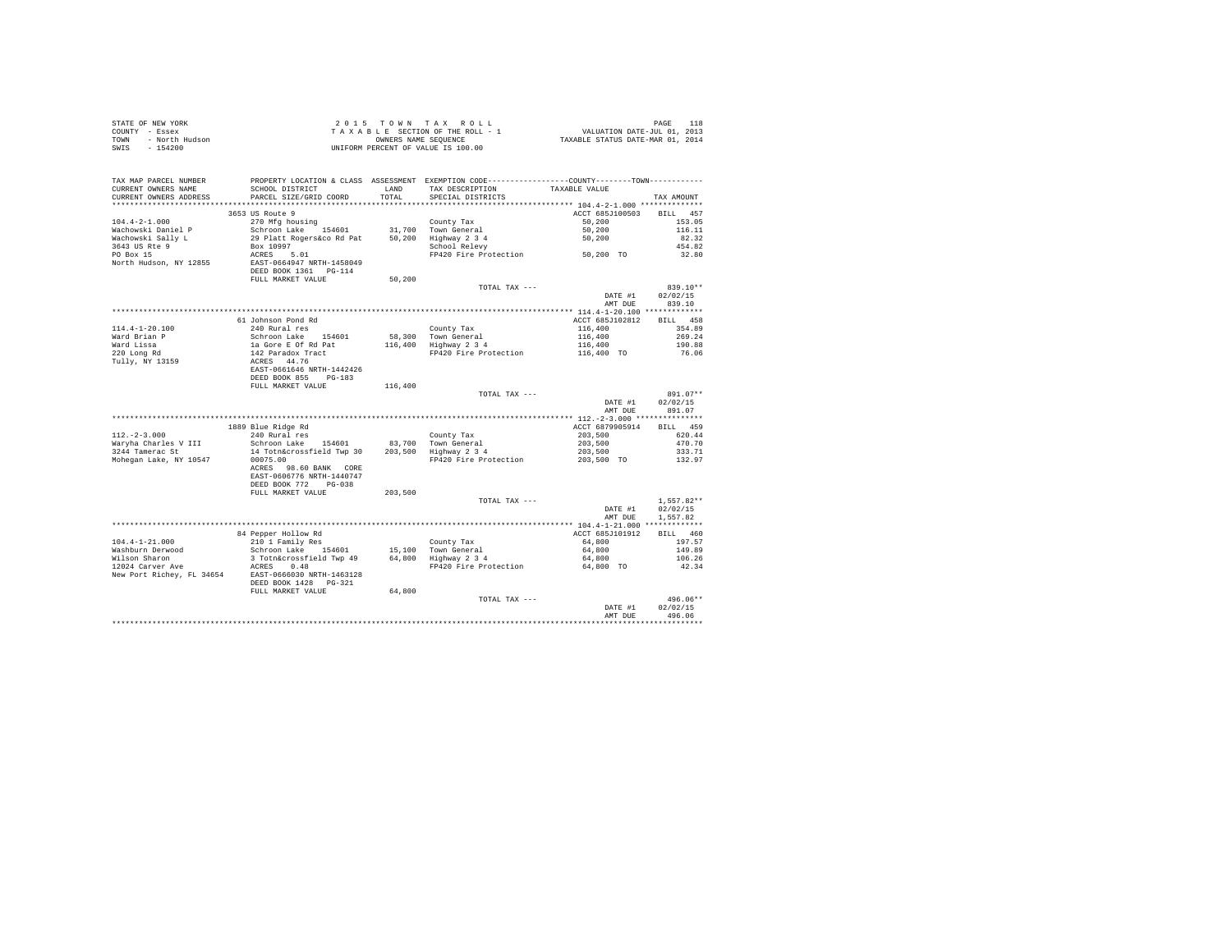|      | STATE OF NEW YORK | 2015 TOWN TAX ROLL                 | 118<br>PAGE                      |
|------|-------------------|------------------------------------|----------------------------------|
|      | COUNTY - Essex    | TAXABLE SECTION OF THE ROLL - 1    | VALUATION DATE-JUL 01, 2013      |
| TOWN | - North Hudson    | OWNERS NAME SEOUENCE               | TAXABLE STATUS DATE-MAR 01, 2014 |
| SWIS | $-154200$         | UNIFORM PERCENT OF VALUE IS 100.00 |                                  |

| TAX MAP PARCEL NUMBER                               | PROPERTY LOCATION & CLASS ASSESSMENT EXEMPTION CODE---------------COUNTY-------TOWN--------- |         |                                              |                          |              |
|-----------------------------------------------------|----------------------------------------------------------------------------------------------|---------|----------------------------------------------|--------------------------|--------------|
| CURRENT OWNERS NAME                                 | SCHOOL DISTRICT                                                                              | LAND    | TAX DESCRIPTION                              | TAXABLE VALUE            |              |
| CURRENT OWNERS ADDRESS                              | PARCEL SIZE/GRID COORD                                                                       | TOTAL   | SPECIAL DISTRICTS                            |                          | TAX AMOUNT   |
|                                                     |                                                                                              |         |                                              |                          |              |
|                                                     | 3653 US Route 9                                                                              |         |                                              | ACCT 685J100503 BILL 457 |              |
| $104.4 - 2 - 1.000$                                 | 270 Mfg housing                                                                              |         | County Tax                                   | 50,200                   | 153.05       |
| Wachowski Daniel P                                  | Schroon Lake 154601 31,700 Town General<br>29 Platt Rogers&co Rd Pat 50,200 Highway 2 3 4    |         |                                              | 50,200                   | 116.11       |
| Wachowski Sally L                                   |                                                                                              |         |                                              | 50,200                   | 82.32        |
| 3643 US Rte 9                                       | Box 10997<br>ACRES 5.01                                                                      |         | School Relevy                                |                          | 454.82       |
| PO Box 15                                           |                                                                                              |         | FP420 Fire Protection 50,200 TO              |                          | 32.80        |
| North Hudson, NY 12855                              | EAST-0664947 NRTH-1458049                                                                    |         |                                              |                          |              |
|                                                     | DEED BOOK 1361    PG-114                                                                     |         |                                              |                          |              |
|                                                     | FULL MARKET VALUE                                                                            | 50,200  |                                              |                          |              |
|                                                     |                                                                                              |         | TOTAL TAX ---                                |                          | $839.10**$   |
|                                                     |                                                                                              |         |                                              | DATE #1                  | 02/02/15     |
|                                                     |                                                                                              |         |                                              | AMT DUE                  | 839.10       |
|                                                     |                                                                                              |         |                                              |                          |              |
|                                                     | 61 Johnson Pond Rd                                                                           |         |                                              | ACCT 685J102812          | BILL 458     |
| $114.4 - 1 - 20.100$                                | 240 Rural res                                                                                |         | County Tax                                   | $116,400$<br>$116,400$   | 354.89       |
| Ward Brian P                                        |                                                                                              |         | 58.300 Town General<br>116,400 Highway 2 3 4 |                          | 269.24       |
| Ward Lissa                                          |                                                                                              |         | FP420 Fire Protection 116,400 TO             | 116,400                  | 190.88       |
| 220 Long Rd                                         | Schroon Lake 154601<br>1a Gore E Of Rd Pat<br>142 Paradox Tract<br>ACRES 44.76               |         |                                              |                          | 76.06        |
| Tully, NY 13159                                     | EAST-0661646 NRTH-1442426                                                                    |         |                                              |                          |              |
|                                                     | DEED BOOK 855 PG-183                                                                         |         |                                              |                          |              |
|                                                     |                                                                                              |         |                                              |                          |              |
|                                                     | FULL MARKET VALUE                                                                            | 116,400 |                                              |                          | 891.07**     |
|                                                     |                                                                                              |         | TOTAL TAX ---                                | DATE #1                  | 02/02/15     |
|                                                     |                                                                                              |         |                                              | AMT DUE                  | 891.07       |
|                                                     |                                                                                              |         |                                              |                          |              |
|                                                     | 1889 Blue Ridge Rd                                                                           |         |                                              | ACCT 6879905914 BILL 459 |              |
| $112. - 2 - 3.000$                                  | 240 Rural res                                                                                |         | County Tax                                   | 203,500                  | 620.44       |
| Warvha Charles V III                                | Schroon Lake 154601 83,700 Town General                                                      |         |                                              | 203,500                  | 470.70       |
| 3244 Tamerac St                                     | 14 Totn&crossfield Twp 30                                                                    |         | 203,500 Highway 2 3 4                        | 203,500                  | 333.71       |
| Mohegan Lake, NY 10547                              | 00075.00                                                                                     |         | FP420 Fire Protection 203,500 TO             |                          | 132.97       |
|                                                     | ACRES 98.60 BANK CORE                                                                        |         |                                              |                          |              |
|                                                     | EAST-0606776 NRTH-1440747                                                                    |         |                                              |                          |              |
|                                                     | DEED BOOK 772 PG-038                                                                         |         |                                              |                          |              |
|                                                     | FULL MARKET VALUE                                                                            | 203,500 |                                              |                          |              |
|                                                     |                                                                                              |         | TOTAL TAX ---                                |                          | $1,557.82**$ |
|                                                     |                                                                                              |         |                                              | DATE #1                  | 02/02/15     |
|                                                     |                                                                                              |         |                                              | AMT DUE                  | 1,557.82     |
|                                                     |                                                                                              |         |                                              |                          |              |
|                                                     |                                                                                              |         |                                              | ACCT 685J101912          | BILL 460     |
| $104.4 - 1 - 21.000$                                | ---- HOLLOW Rd<br>210 1 Family Res<br>Schreen                                                |         | County Tax                                   | 64,800                   | 197.57       |
| Washburn Derwood                                    |                                                                                              |         |                                              | 64,800                   | 149.89       |
| Wilson Sharon                                       | Schroon Lake 154601 15,100 Town General<br>3 Totn&crossfield Twp 49 64,800 Highway 2 3 4     |         |                                              | 64,800                   | 106.26       |
| 12024 Carver Ave                                    | ACRES 0.48                                                                                   |         | FP420 Fire Protection                        | 64,800 TO                | 42.34        |
| New Port Richey, FL 34654 EAST-0666030 NRTH-1463128 |                                                                                              |         |                                              |                          |              |
|                                                     | DEED BOOK 1428 PG-321                                                                        |         |                                              |                          |              |
|                                                     | FULL MARKET VALUE                                                                            | 64,800  |                                              |                          |              |
|                                                     |                                                                                              |         | TOTAL TAX ---                                |                          | $496.06**$   |
|                                                     |                                                                                              |         |                                              | DATE #1                  | 02/02/15     |
|                                                     |                                                                                              |         |                                              | AMT DUE                  | 496.06       |
|                                                     |                                                                                              |         |                                              |                          |              |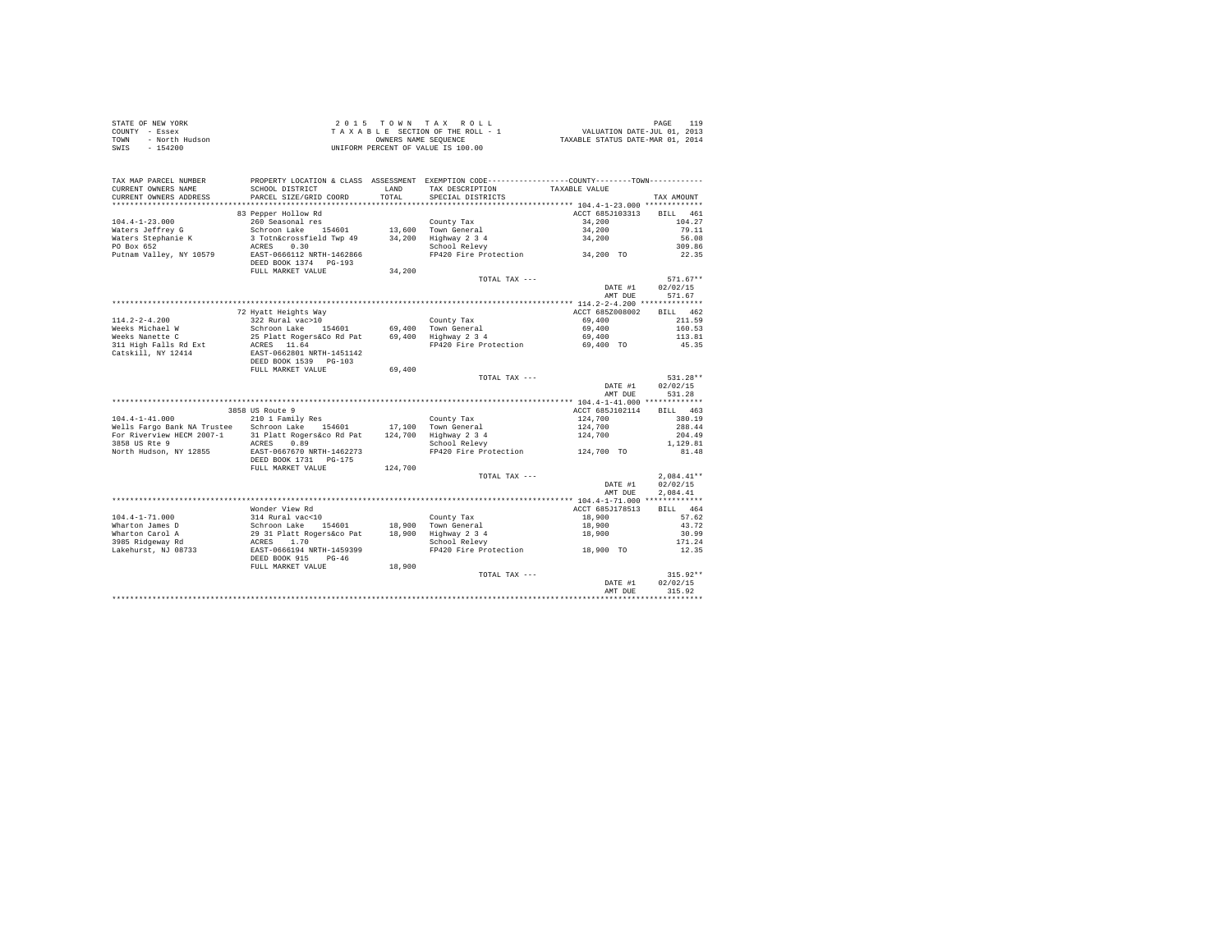| STATE OF NEW YORK      | 2015 TOWN TAX ROLL                 | 119<br>PAGE                      |
|------------------------|------------------------------------|----------------------------------|
| COUNTY - Essex         | TAXABLE SECTION OF THE ROLL - 1    | VALUATION DATE-JUL 01, 2013      |
| - North Hudson<br>TOWN | OWNERS NAME SEOUENCE               | TAXABLE STATUS DATE-MAR 01, 2014 |
| SWIS<br>$-154200$      | UNIFORM PERCENT OF VALUE IS 100.00 |                                  |

| TAX MAP PARCEL NUMBER<br>CURRENT OWNERS NAME<br>CURRENT OWNERS ADDRESS | PROPERTY LOCATION & CLASS ASSESSMENT EXEMPTION CODE---------------COUNTY-------TOWN---------<br>SCHOOL DISTRICT<br>PARCEL SIZE/GRID COORD | LAND<br>TOTAL. | TAX DESCRIPTION<br>SPECIAL DISTRICTS | TAXABLE VALUE                              |                    |
|------------------------------------------------------------------------|-------------------------------------------------------------------------------------------------------------------------------------------|----------------|--------------------------------------|--------------------------------------------|--------------------|
| *********************                                                  |                                                                                                                                           |                |                                      |                                            | TAX AMOUNT         |
|                                                                        | 83 Pepper Hollow Rd                                                                                                                       |                |                                      | ACCT 685J103313                            | <b>BILL</b><br>461 |
| $104.4 - 1 - 23.000$                                                   | 260 Seasonal res                                                                                                                          |                | County Tax                           | 34,200                                     | 104.27             |
| Waters Jeffrey G                                                       | Schroon Lake 154601                                                                                                                       |                | 13,600 Town General                  | 34,200                                     | 79.11              |
| Waters Stephanie K                                                     | 3 Totn&crossfield Twp 49                                                                                                                  |                | 34,200 Highway 2 3 4                 | 34,200                                     | 56.08              |
| PO Box 652                                                             | 0.30<br>ACRES                                                                                                                             |                | School Relevy                        |                                            | 309.86             |
| Putnam Valley, NY 10579                                                | EAST-0666112 NRTH-1462866<br>DEED BOOK 1374 PG-193                                                                                        |                | FP420 Fire Protection                | $34,200$ TO                                | 22.35              |
|                                                                        | FULL MARKET VALUE                                                                                                                         | 34,200         |                                      |                                            | $571.67**$         |
|                                                                        |                                                                                                                                           |                | TOTAL TAX ---                        | DATE #1                                    | 02/02/15           |
|                                                                        |                                                                                                                                           |                |                                      | AMT DUE                                    | 571.67             |
|                                                                        |                                                                                                                                           |                |                                      |                                            |                    |
|                                                                        | 72 Hyatt Heights Way                                                                                                                      |                |                                      | ACCT 685Z008002                            | BILL 462           |
| $114.2 - 2 - 4.200$                                                    | 322 Rural vac>10                                                                                                                          |                | County Tax                           | 69,400                                     | 211.59             |
| Weeks Michael W                                                        | Schroon Lake 154601                                                                                                                       |                | 69,400 Town General                  | 69,400                                     | 160.53             |
| Weeks Nanette C                                                        | 25 Platt Rogers&Co Rd Pat                                                                                                                 |                | 69,400 Highway 2 3 4                 | 69,400                                     | 113.81             |
| 311 High Falls Rd Ext                                                  | ACRES 11.64                                                                                                                               |                | FP420 Fire Protection                | 69,400 TO                                  | 45.35              |
| Catskill, NY 12414                                                     | EAST-0662801 NRTH-1451142<br>DEED BOOK 1539 PG-103                                                                                        |                |                                      |                                            |                    |
|                                                                        | FULL MARKET VALUE                                                                                                                         | 69,400         |                                      |                                            |                    |
|                                                                        |                                                                                                                                           |                | TOTAL TAX ---                        |                                            | 531.28**           |
|                                                                        |                                                                                                                                           |                |                                      | DATE #1                                    | 02/02/15           |
|                                                                        |                                                                                                                                           |                |                                      | AMT DUE                                    | 531.28             |
|                                                                        |                                                                                                                                           |                |                                      | ************* 104.4-1-41.000 ************* |                    |
|                                                                        | 3858 US Route 9                                                                                                                           |                |                                      | ACCT 685J102114                            | BILL 463           |
| $104.4 - 1 - 41.000$                                                   | 210 1 Family Res                                                                                                                          |                | County Tax                           | 124,700                                    | 380.19             |
| Wells Fargo Bank NA Trustee                                            | Schroon Lake 154601                                                                                                                       |                | 17,100 Town General                  | 124,700                                    | 288.44             |
| For Riverview HECM 2007-1                                              | 31 Platt Rogers&co Rd Pat                                                                                                                 |                | 124,700 Highway 2 3 4                | 124,700                                    | 204.49             |
| 3858 US Rte 9                                                          | 0.89<br>ACRES                                                                                                                             |                | School Relevy                        |                                            | 1,129.81           |
| North Hudson, NY 12855                                                 | EAST-0667670 NRTH-1462273<br>DEED BOOK 1731 PG-175                                                                                        |                | FP420 Fire Protection 124,700 TO     |                                            | 81.48              |
|                                                                        | FULL MARKET VALUE                                                                                                                         | 124,700        |                                      |                                            |                    |
|                                                                        |                                                                                                                                           |                | TOTAL TAX ---                        |                                            | $2,084.41**$       |
|                                                                        |                                                                                                                                           |                |                                      | DATE #1                                    | 02/02/15           |
|                                                                        |                                                                                                                                           |                |                                      | AMT DUE                                    | 2,084.41           |
|                                                                        |                                                                                                                                           |                |                                      |                                            |                    |
|                                                                        | Wonder View Rd                                                                                                                            |                |                                      | ACCT 685J178513                            | BILL 464           |
| $104.4 - 1 - 71.000$                                                   | 314 Rural vac<10                                                                                                                          |                | County Tax                           | 18,900                                     | 57.62              |
| Wharton James D                                                        | Schroon Lake 154601<br>29 31 Platt Rogers&co Pat                                                                                          |                | 18,900 Town General                  | 18,900                                     | 43.72              |
| Wharton Carol A                                                        |                                                                                                                                           |                | 18,900 Highway 2 3 4                 | 18,900                                     | 30.99              |
| 3985 Ridgeway Rd                                                       | ACRES<br>1.70                                                                                                                             |                | School Relevy                        |                                            | 171.24             |
| Lakehurst, NJ 08733                                                    | EAST-0666194 NRTH-1459399<br>DEED BOOK 915<br>$PG-46$                                                                                     |                | FP420 Fire Protection 18,900 TO      |                                            | 12.35              |
|                                                                        | FULL MARKET VALUE                                                                                                                         | 18,900         |                                      |                                            |                    |
|                                                                        |                                                                                                                                           |                | TOTAL TAX ---                        |                                            | $315.92**$         |
|                                                                        |                                                                                                                                           |                |                                      | DATE #1                                    | 02/02/15           |
|                                                                        |                                                                                                                                           |                |                                      | AMT DUE                                    | 315.92             |
|                                                                        |                                                                                                                                           |                |                                      |                                            |                    |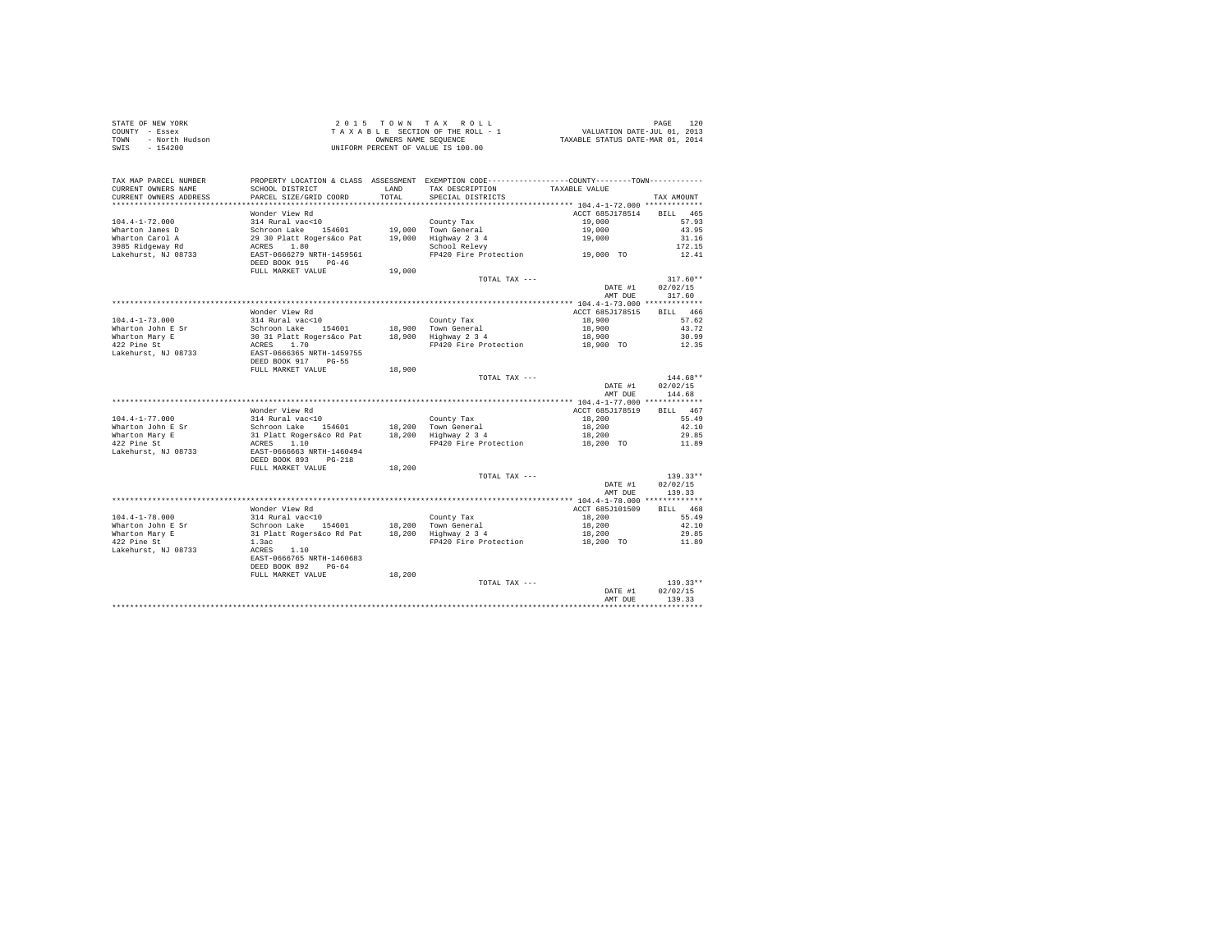| STATE OF NEW YORK      | 2015 TOWN TAX ROLL                 | 120<br>PAGE                      |
|------------------------|------------------------------------|----------------------------------|
| COUNTY - Essex         | TAXABLE SECTION OF THE ROLL - 1    | VALUATION DATE-JUL 01, 2013      |
| TOWN<br>- North Hudson | OWNERS NAME SEOUENCE               | TAXABLE STATUS DATE-MAR 01, 2014 |
| - 154200<br>SWIS       | UNIFORM PERCENT OF VALUE IS 100.00 |                                  |

| TAX MAP PARCEL NUMBER<br>CURRENT OWNERS NAME | PROPERTY LOCATION & CLASS ASSESSMENT EXEMPTION CODE---------------COUNTY-------TOWN---------<br>SCHOOL DISTRICT | LAND   | TAX DESCRIPTION                                                                               | TAXABLE VALUE                           |                    |
|----------------------------------------------|-----------------------------------------------------------------------------------------------------------------|--------|-----------------------------------------------------------------------------------------------|-----------------------------------------|--------------------|
| CURRENT OWNERS ADDRESS                       | PARCEL SIZE/GRID COORD                                                                                          | TOTAL  | SPECIAL DISTRICTS                                                                             |                                         | TAX AMOUNT         |
| **************************                   |                                                                                                                 |        |                                                                                               |                                         |                    |
|                                              | Wonder View Rd                                                                                                  |        |                                                                                               | ACCT 685J178514                         | BILL 465           |
| $104.4 - 1 - 72.000$                         | 314 Rural vac<10                                                                                                |        | County Tax                                                                                    | 19,000                                  | 57.93              |
| Wharton James D                              | Schroon Lake 154601                                                                                             |        | 19,000 Town General                                                                           | 19,000                                  | 43.95              |
| Wharton Carol A                              | 29 30 Platt Rogers&co Pat                                                                                       |        | 19,000 Highway 2 3 4                                                                          | 19,000                                  | 31.16              |
| 3985 Ridgeway Rd                             | 1.80<br>ACRES                                                                                                   |        | School Relevy                                                                                 |                                         | 172.15             |
| Lakehurst, NJ 08733                          | EAST-0666279 NRTH-1459561<br>DEED BOOK 915 PG-46                                                                |        | FP420 Fire Protection 19,000 TO                                                               |                                         | 12.41              |
|                                              | FULL MARKET VALUE                                                                                               | 19,000 |                                                                                               |                                         |                    |
|                                              |                                                                                                                 |        | TOTAL TAX ---                                                                                 |                                         | $317.60**$         |
|                                              |                                                                                                                 |        |                                                                                               | DATE #1                                 | 02/02/15           |
|                                              |                                                                                                                 |        |                                                                                               | AMT DUE                                 | 317.60             |
|                                              |                                                                                                                 |        |                                                                                               | ********** 104.4-1-73.000 ************* |                    |
|                                              | Wonder View Rd                                                                                                  |        |                                                                                               | ACCT 685J178515                         | BILL 466           |
| $104.4 - 1 - 73.000$                         | 314 Rural vac<10                                                                                                |        | County Tax                                                                                    | 18,900                                  | 57.62              |
| Wharton John E Sr                            | Schroon Lake<br>154601                                                                                          |        | 18,900 Town General                                                                           | 18,900                                  | 43.72              |
| Wharton Mary E                               | 30 31 Platt Rogers&co Pat                                                                                       |        | 18,900 Highway 2 3 4                                                                          | 18,900                                  | 30.99              |
| 422 Pine St                                  | ACRES<br>1.70                                                                                                   |        | FP420 Fire Protection                                                                         | 18,900 TO                               | 12.35              |
| Lakehurst, NJ 08733                          | EAST-0666365 NRTH-1459755                                                                                       |        |                                                                                               |                                         |                    |
|                                              | DEED BOOK 917<br>$PG-55$                                                                                        |        |                                                                                               |                                         |                    |
|                                              | FULL MARKET VALUE                                                                                               | 18,900 |                                                                                               |                                         | $144.68**$         |
|                                              |                                                                                                                 |        | TOTAL TAX ---                                                                                 | DATE #1                                 | 02/02/15           |
|                                              |                                                                                                                 |        |                                                                                               | AMT DUE                                 | 144.68             |
|                                              |                                                                                                                 |        |                                                                                               |                                         |                    |
|                                              | Wonder View Rd                                                                                                  |        |                                                                                               | ACCT 685J178519                         | BILL 467           |
| $104.4 - 1 - 77.000$                         | 314 Rural vac<10                                                                                                |        | County Tax                                                                                    | 18,200                                  | 55.49              |
| Wharton John E Sr                            | Schroon Lake 154601                                                                                             |        |                                                                                               | 18,200                                  | 42.10              |
| Wharton Mary E                               | 31 Platt Rogers&co Rd Pat                                                                                       |        | $18,200$ $\begin{array}{ccc} 1 \text{ own General} \\ \text{Highway} & 2 & 3 & 4 \end{array}$ | 18,200                                  | 29.85              |
| 422 Pine St                                  |                                                                                                                 |        | FP420 Fire Protection                                                                         | 18,200 TO                               | 11.89              |
| Lakehurst, NJ 08733                          | ACRES 1.10<br>EAST-0666663 NRTH-1460494<br>DEED BOOK 893<br>$PG-218$                                            |        |                                                                                               |                                         |                    |
|                                              |                                                                                                                 |        |                                                                                               |                                         |                    |
|                                              | FULL MARKET VALUE                                                                                               | 18,200 |                                                                                               |                                         |                    |
|                                              |                                                                                                                 |        | TOTAL TAX ---                                                                                 |                                         | $139.33**$         |
|                                              |                                                                                                                 |        |                                                                                               | DATE #1<br>AMT DUE                      | 02/02/15<br>139.33 |
|                                              |                                                                                                                 |        |                                                                                               |                                         |                    |
|                                              | Wonder View Rd                                                                                                  |        |                                                                                               | ACCT 685J101509                         | BILL 468           |
| $104.4 - 1 - 78.000$                         | 314 Rural vac<10                                                                                                |        | County Tax                                                                                    | 18,200                                  | 55.49              |
| Wharton John E Sr                            | Schroon Lake 154601                                                                                             |        | 18,200 Town General                                                                           | 18,200                                  | 42.10              |
| Wharton Mary E                               | 31 Platt Rogers&co Rd Pat                                                                                       |        | 18,200 Highway 2 3 4                                                                          | 18,200                                  | 29.85              |
| 422 Pine St                                  | 1.3ac                                                                                                           |        | FP420 Fire Protection                                                                         | 18,200 TO                               | 11.89              |
| Lakehurst, NJ 08733                          | 1.10<br>ACRES<br>EAST-0666765 NRTH-1460683<br>DEED BOOK 892<br>$PG-64$                                          |        |                                                                                               |                                         |                    |
|                                              | FULL MARKET VALUE                                                                                               | 18,200 |                                                                                               |                                         |                    |
|                                              |                                                                                                                 |        | TOTAL TAX ---                                                                                 |                                         | $139.33**$         |
|                                              |                                                                                                                 |        |                                                                                               | DATE #1<br>AMT DUE                      | 02/02/15<br>139.33 |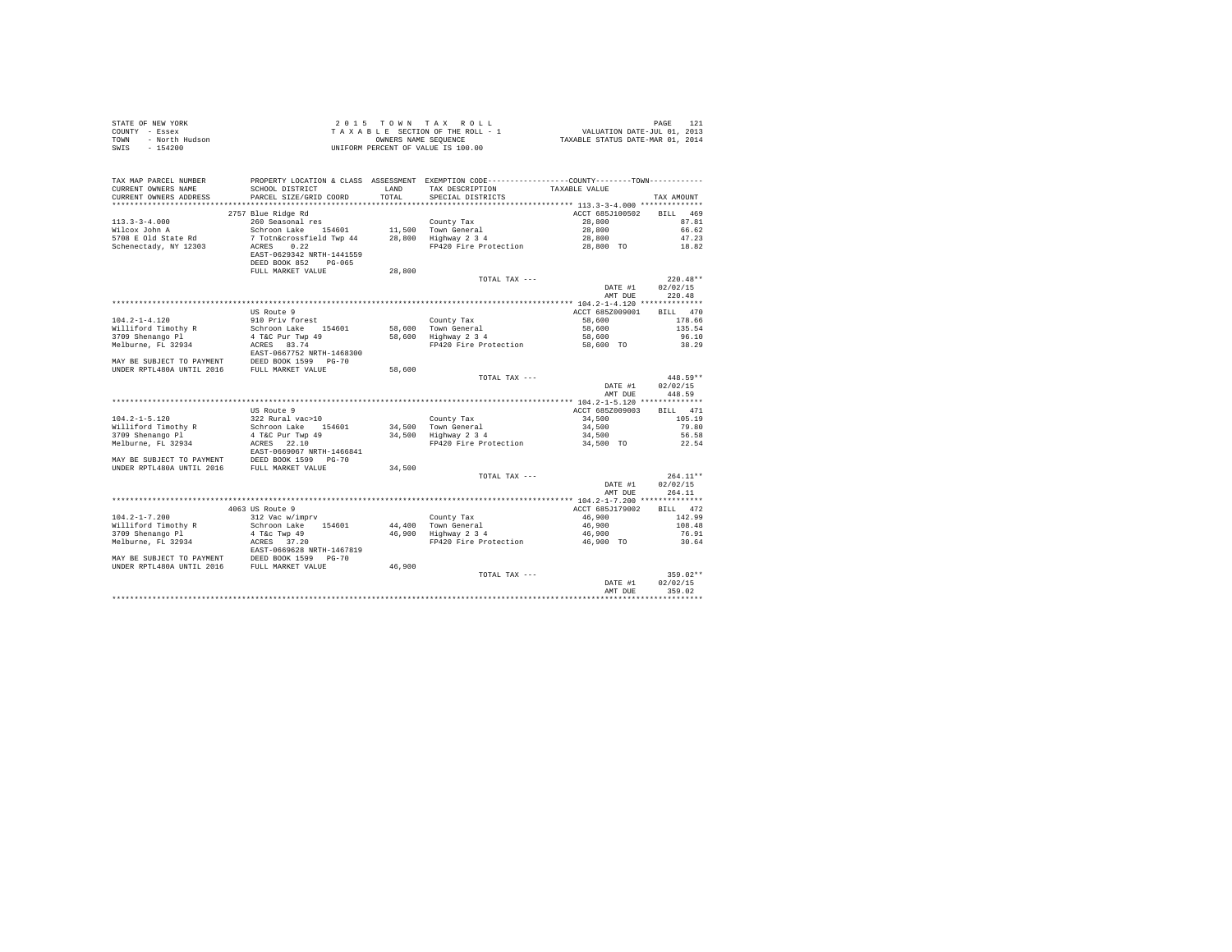|      | STATE OF NEW YORK | 2015 TOWN TAX ROLL                 | PAGE                             |
|------|-------------------|------------------------------------|----------------------------------|
|      | COUNTY - Essex    | TAXABLE SECTION OF THE ROLL - 1    | VALUATION DATE-JUL 01, 2013      |
| TOWN | - North Hudson    | OWNERS NAME SEOUENCE               | TAXABLE STATUS DATE-MAR 01, 2014 |
|      | SWIS - 154200     | UNIFORM PERCENT OF VALUE IS 100.00 |                                  |

| TAX MAP PARCEL NUMBER<br>CURRENT OWNERS NAME<br>CURRENT OWNERS ADDRESS                        | PROPERTY LOCATION & CLASS ASSESSMENT EXEMPTION CODE----------------COUNTY--------TOWN----------<br>SCHOOL DISTRICT<br>PARCEL SIZE/GRID COORD | <b>T.AND</b><br>TOTAL | TAX DESCRIPTION<br>SPECIAL DISTRICTS        | TAXABLE VALUE   | TAX AMOUNT             |
|-----------------------------------------------------------------------------------------------|----------------------------------------------------------------------------------------------------------------------------------------------|-----------------------|---------------------------------------------|-----------------|------------------------|
| **************************                                                                    |                                                                                                                                              |                       |                                             |                 |                        |
|                                                                                               | 2757 Blue Ridge Rd                                                                                                                           |                       |                                             | ACCT 685J100502 | BILL 469               |
| $113.3 - 3 - 4.000$                                                                           | 260 Seasonal res                                                                                                                             |                       | County Tax                                  | 28,800          | 87.81                  |
| Wilcox John A                                                                                 | Schroon Lake 154601                                                                                                                          |                       | 11.500 Town General                         | 28,800          | 66.62                  |
| 5708 E Old State Rd                                                                           | 7 Totn&crossfield Twp 44                                                                                                                     |                       | 28,800 Highway 2 3 4                        | 28,800          | 47.23                  |
| Schenectady, NY 12303                                                                         | ACRES<br>0.22<br>EAST-0629342 NRTH-1441559<br>DEED BOOK 852 PG-065                                                                           |                       | FP420 Fire Protection                       | 28,800 TO       | 18.82                  |
|                                                                                               | FULL MARKET VALUE                                                                                                                            | 28,800                |                                             |                 |                        |
|                                                                                               |                                                                                                                                              |                       | TOTAL TAX ---                               | DATE #1         | $220.48**$<br>02/02/15 |
|                                                                                               |                                                                                                                                              |                       |                                             | AMT DUE         | 220.48                 |
|                                                                                               |                                                                                                                                              |                       |                                             |                 |                        |
|                                                                                               | US Route 9                                                                                                                                   |                       |                                             | ACCT 685Z009001 | BILL 470               |
| $104.2 - 1 - 4.120$                                                                           | 910 Priv forest                                                                                                                              |                       | County Tax                                  | 58,600          | 178.66                 |
| Williford Timothy R                                                                           | Schroon Lake 154601<br>4 T&C Pur Twp 49                                                                                                      |                       |                                             | 58,600          | 135.54                 |
| 3709 Shenango Pl                                                                              |                                                                                                                                              |                       | 58,600 Town General<br>58,600 Highway 2 3 4 | 58,600          | 96.10                  |
| Melburne, FL 32934                                                                            | ACRES 83.74                                                                                                                                  |                       | FP420 Fire Protection                       | 58,600 TO       | 38.29                  |
|                                                                                               | EAST-0667752 NRTH-1468300                                                                                                                    |                       |                                             |                 |                        |
| MAY BE SUBJECT TO PAYMENT DEED BOOK 1599 PG-70                                                |                                                                                                                                              |                       |                                             |                 |                        |
| UNDER RPTL480A UNTIL 2016                                                                     | FULL MARKET VALUE                                                                                                                            | 58,600                |                                             |                 |                        |
|                                                                                               |                                                                                                                                              |                       | TOTAL TAX ---                               |                 | 448.59**               |
|                                                                                               |                                                                                                                                              |                       |                                             | DATE #1         | 02/02/15               |
|                                                                                               |                                                                                                                                              |                       |                                             | AMT DUE         | 448.59                 |
|                                                                                               |                                                                                                                                              |                       |                                             |                 |                        |
|                                                                                               | US Route 9                                                                                                                                   |                       |                                             | ACCT 685Z009003 | BILL 471               |
| $104.2 - 1 - 5.120$                                                                           | 322 Rural vac>10                                                                                                                             |                       | County Tax                                  | 34,500          | 105.19                 |
| Williford Timothy R                                                                           | Schroon Lake 154601<br>4 T&C Pur Twp 49                                                                                                      |                       | 34,500 Town General                         | 34,500          | 79.80                  |
| 3709 Shenango Pl                                                                              |                                                                                                                                              |                       | 34,500 Highway 2 3 4                        | 34,500          | 56.58                  |
| Melburne, FL 32934                                                                            | ACRES 22.10<br>EAST-0669067 NRTH-1466841<br>MAY BE SUBJECT TO PAYMENT DEED BOOK 1599 PG-70<br>UNDER RPTL480A UNTIL 2016 FULL MARKET VALUE    |                       | FP420 Fire Protection                       | 34,500 TO       | 22.54                  |
|                                                                                               |                                                                                                                                              |                       |                                             |                 |                        |
|                                                                                               |                                                                                                                                              | 34,500                |                                             |                 |                        |
|                                                                                               |                                                                                                                                              |                       | TOTAL TAX ---                               |                 | $264.11**$             |
|                                                                                               |                                                                                                                                              |                       |                                             | DATE #1         | 02/02/15               |
|                                                                                               |                                                                                                                                              |                       |                                             | AMT DUE         | 264.11                 |
|                                                                                               |                                                                                                                                              |                       |                                             |                 |                        |
|                                                                                               | 4063 US Route 9                                                                                                                              |                       |                                             | ACCT 685J179002 | BILL 472               |
| $104.2 - 1 - 7.200$                                                                           | 312 Vac w/imprv                                                                                                                              |                       | County Tax                                  | 46,900          | 142.99                 |
| Williford Timothy R                                                                           | Schroon Lake 154601                                                                                                                          |                       | 44,400 Town General<br>46,900 Highway 2 3 4 | 46,900          | 108.48                 |
| 3709 Shenango Pl<br>Melburne, FL 32934                                                        | 4 T&c Twp 49                                                                                                                                 |                       | FP420 Fire Protection 46,900 TO             | 46,900          | 76.91                  |
|                                                                                               | ACRES 37.20                                                                                                                                  |                       |                                             |                 | 30.64                  |
|                                                                                               | EAST-0669628 NRTH-1467819                                                                                                                    |                       |                                             |                 |                        |
| MAY BE SUBJECT TO PAYMENT DEED BOOK 1599 PG-70<br>UNDER RPTL480A UNTIL 2016 FULL MARKET VALUE |                                                                                                                                              | 46,900                |                                             |                 |                        |
|                                                                                               |                                                                                                                                              |                       | TOTAL TAX ---                               |                 | 359.02**               |
|                                                                                               |                                                                                                                                              |                       |                                             | DATE #1         | 02/02/15               |
|                                                                                               |                                                                                                                                              |                       |                                             | AMT DUE         | 359.02                 |
|                                                                                               |                                                                                                                                              |                       |                                             |                 |                        |
|                                                                                               |                                                                                                                                              |                       |                                             |                 |                        |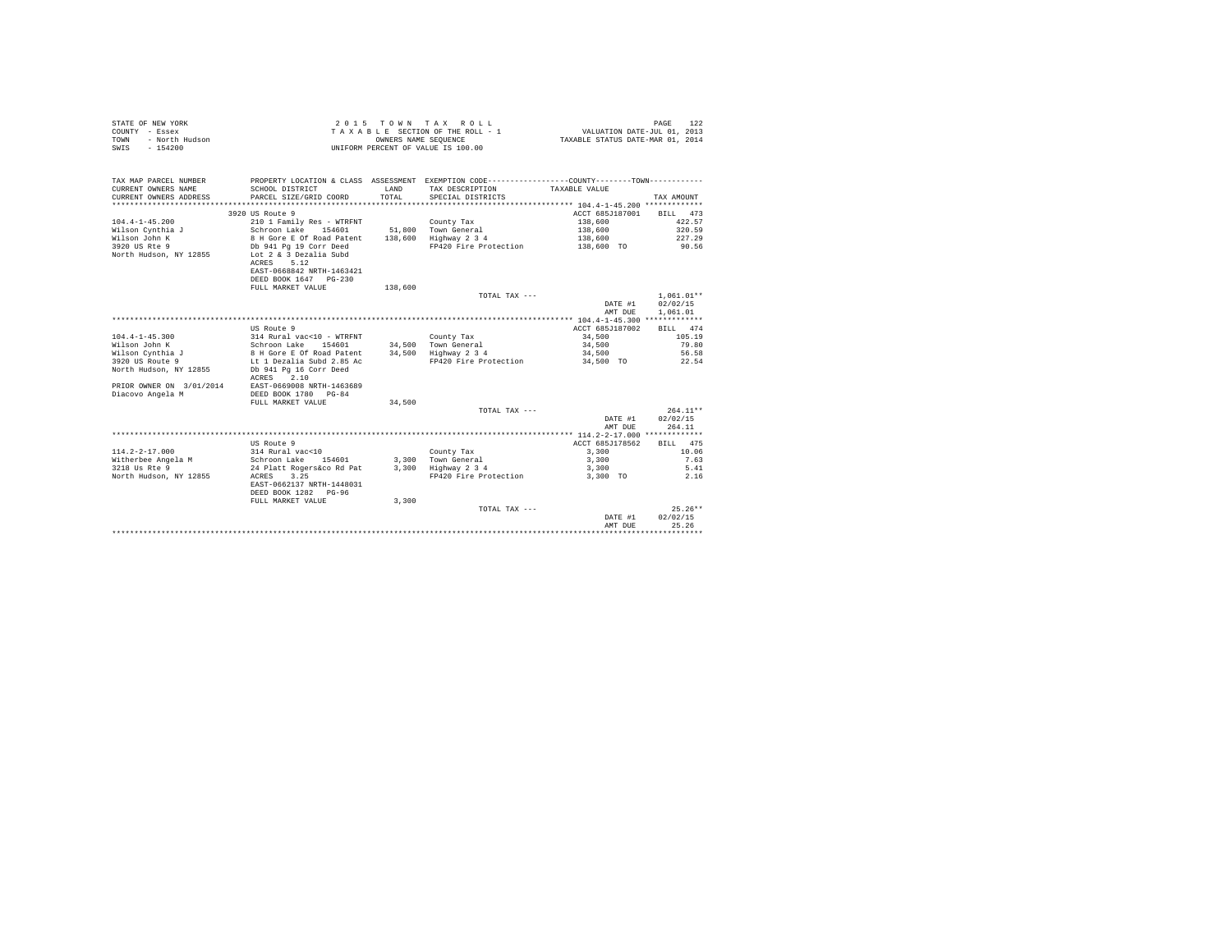| STATE OF NEW YORK      | 2015 TOWN TAX ROLL                 | PAGE                             |
|------------------------|------------------------------------|----------------------------------|
| COUNTY - Essex         | TAXABLE SECTION OF THE ROLL - 1    | VALUATION DATE-JUL 01, 2013      |
| TOWN<br>- North Hudson | OWNERS NAME SEOUENCE               | TAXABLE STATUS DATE-MAR 01, 2014 |
| - 154200<br>SWIS       | UNIFORM PERCENT OF VALUE IS 100.00 |                                  |

| TAX MAP PARCEL NUMBER<br>CURRENT OWNERS NAME<br>CURRENT OWNERS ADDRESS<br>************************* | PROPERTY LOCATION & CLASS ASSESSMENT EXEMPTION CODE---------------COUNTY-------TOWN---------<br>SCHOOL DISTRICT<br>PARCEL SIZE/GRID COORD | T.AND<br>TOTAL. | TAX DESCRIPTION<br>SPECIAL DISTRICTS | TAXABLE VALUE   | TAX AMOUNT   |
|-----------------------------------------------------------------------------------------------------|-------------------------------------------------------------------------------------------------------------------------------------------|-----------------|--------------------------------------|-----------------|--------------|
|                                                                                                     | 3920 US Route 9                                                                                                                           |                 |                                      | ACCT 685J187001 | BILL 473     |
| $104.4 - 1 - 45.200$                                                                                | 210 1 Family Res - WTRFNT                                                                                                                 |                 | County Tax                           | 138,600         | 422.57       |
| Wilson Cynthia J                                                                                    | Schroon Lake 154601                                                                                                                       |                 | 51,800 Town General                  | 138,600         | 320.59       |
| Wilson John K                                                                                       | 8 H Gore E Of Road Patent                                                                                                                 | 138,600         | Highway 2 3 4                        | 138,600         | 227.29       |
| 3920 US Rte 9                                                                                       | Db 941 Pg 19 Corr Deed                                                                                                                    |                 | FP420 Fire Protection                | 138,600 TO      | 90.56        |
| North Hudson, NY 12855                                                                              | Lot 2 & 3 Dezalia Subd<br>5.12<br>ACRES<br>EAST-0668842 NRTH-1463421                                                                      |                 |                                      |                 |              |
|                                                                                                     | DEED BOOK 1647 PG-230                                                                                                                     |                 |                                      |                 |              |
|                                                                                                     | FULL MARKET VALUE                                                                                                                         | 138,600         |                                      |                 |              |
|                                                                                                     |                                                                                                                                           |                 | TOTAL TAX ---                        |                 | $1.061.01**$ |
|                                                                                                     |                                                                                                                                           |                 |                                      | DATE #1         | 02/02/15     |
|                                                                                                     |                                                                                                                                           |                 |                                      | AMT DUE         | 1,061.01     |
|                                                                                                     |                                                                                                                                           |                 |                                      |                 |              |
|                                                                                                     | US Route 9                                                                                                                                |                 |                                      | ACCT 685J187002 | BILL 474     |
| $104.4 - 1 - 45.300$                                                                                | 314 Rural vac<10 - WTRFNT                                                                                                                 |                 | County Tax                           | 34,500          | 105.19       |
| Wilson John K                                                                                       | Schroon Lake<br>154601                                                                                                                    |                 | 34,500 Town General                  | 34,500          | 79.80        |
| Wilson Cynthia J                                                                                    | 8 H Gore E Of Road Patent                                                                                                                 |                 | 34,500 Highway 2 3 4                 | 34,500          | 56.58        |
| 3920 US Route 9                                                                                     | Lt 1 Dezalia Subd 2.85 Ac                                                                                                                 |                 | FP420 Fire Protection                | 34,500 TO       | 22.54        |
| North Hudson, NY 12855                                                                              | Db 941 Pg 16 Corr Deed                                                                                                                    |                 |                                      |                 |              |
|                                                                                                     | 2.10<br>ACRES                                                                                                                             |                 |                                      |                 |              |
| PRIOR OWNER ON 3/01/2014<br>Diacovo Angela M                                                        | EAST-0669008 NRTH-1463689<br>DEED BOOK 1780 PG-84                                                                                         |                 |                                      |                 |              |
|                                                                                                     | FULL MARKET VALUE                                                                                                                         |                 |                                      |                 |              |
|                                                                                                     |                                                                                                                                           | 34,500          | TOTAL TAX ---                        |                 | $264.11**$   |
|                                                                                                     |                                                                                                                                           |                 |                                      | DATE #1         | 02/02/15     |
|                                                                                                     |                                                                                                                                           |                 |                                      | AMT DUE         | 264.11       |
|                                                                                                     |                                                                                                                                           |                 |                                      |                 |              |
|                                                                                                     | US Route 9                                                                                                                                |                 |                                      | ACCT 685J178562 | BILL 475     |
| $114.2 - 2 - 17.000$                                                                                | 314 Rural vac<10                                                                                                                          |                 | County Tax                           | 3,300           | 10.06        |
| Witherbee Angela M                                                                                  | Schroon Lake<br>154601                                                                                                                    |                 | 3,300 Town General                   | 3,300           | 7.63         |
| 3218 Us Rte 9                                                                                       | 24 Platt Rogers&co Rd Pat                                                                                                                 | 3,300           | Highway 2 3 4                        | 3,300           | 5.41         |
| North Hudson, NY 12855                                                                              | ACRES<br>3.25                                                                                                                             |                 | FP420 Fire Protection                | 3,300 TO        | 2.16         |
|                                                                                                     | EAST-0662137 NRTH-1448031                                                                                                                 |                 |                                      |                 |              |
|                                                                                                     | DEED BOOK 1282 PG-96<br>FULL MARKET VALUE                                                                                                 | 3,300           |                                      |                 |              |
|                                                                                                     |                                                                                                                                           |                 | TOTAL TAX ---                        |                 | $25.26**$    |
|                                                                                                     |                                                                                                                                           |                 |                                      | DATE #1         | 02/02/15     |
|                                                                                                     |                                                                                                                                           |                 |                                      | AMT DUE         | 25.26        |
|                                                                                                     |                                                                                                                                           |                 |                                      |                 |              |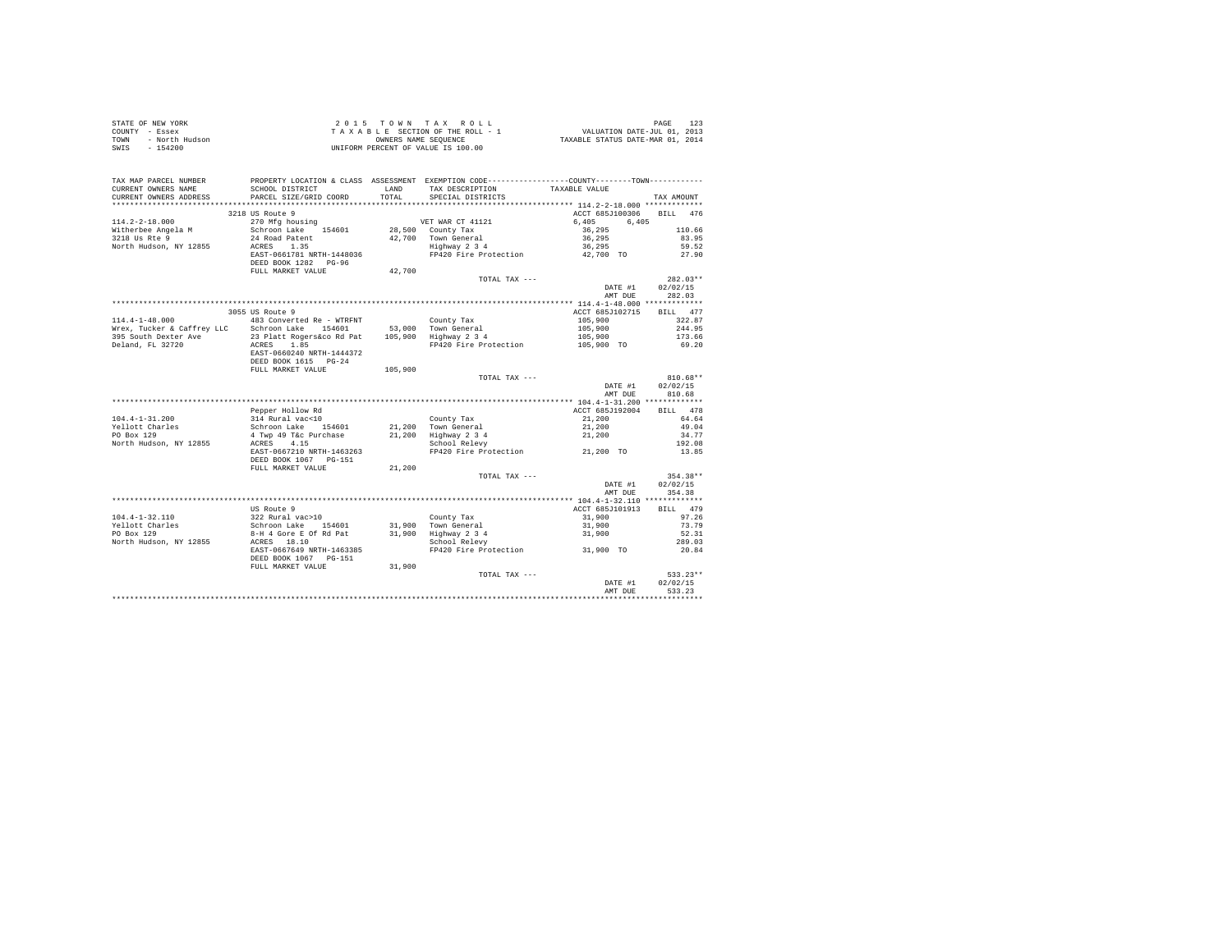| TAX MAP PARCEL NUMBER<br>CURRENT OWNERS NAME<br>CURRENT OWNERS ADDRESS                                                                                                                                                                                                                                                                                                                             | SCHOOL DISTRICT<br>PARCEL SIZE/GRID COORD |         | PROPERTY LOCATION & CLASS ASSESSMENT EXEMPTION CODE----------------COUNTY--------TOWN----------<br>LAND TAX DESCRIPTION TAXABLE VALUE<br>TOTAL SPECIAL DISTRICTS                                                                         |                                         | TAX AMOUNT         |
|----------------------------------------------------------------------------------------------------------------------------------------------------------------------------------------------------------------------------------------------------------------------------------------------------------------------------------------------------------------------------------------------------|-------------------------------------------|---------|------------------------------------------------------------------------------------------------------------------------------------------------------------------------------------------------------------------------------------------|-----------------------------------------|--------------------|
|                                                                                                                                                                                                                                                                                                                                                                                                    |                                           |         |                                                                                                                                                                                                                                          |                                         |                    |
|                                                                                                                                                                                                                                                                                                                                                                                                    | 3218 US Route 9                           |         |                                                                                                                                                                                                                                          | ACCT 685J100306 BILL 476<br>6,405 6,405 |                    |
| $\begin{tabular}{lllllllllllll} \texttt{114.2-2-18.000} & \texttt{52105 Noff} & \texttt{WER} & \texttt{WER} & \texttt{WER} & \texttt{WER} & \texttt{WER} & \texttt{1121} \\ \texttt{114.2-2-18.000} & \texttt{5210 NGF} & \texttt{Schrion Lake} & \texttt{154601} & \texttt{28,500} & \texttt{Count} & \texttt{Tax} & \texttt{1121} \\ \texttt{1218 Use Rte 9} & \texttt{Schron Lake} & \texttt{2$ |                                           |         |                                                                                                                                                                                                                                          |                                         |                    |
|                                                                                                                                                                                                                                                                                                                                                                                                    |                                           |         | Schroon Lake 154601 28,500 County Tax (16,295 10,295 10.66<br>24 Road Patent 442,700 Town General 36,295 83.95<br>25 295 83.95 83.95<br>27.90 EP420 Fire Protection 42,700 TO 27.90<br>EP420 Fire Protection 42,700 TO 27.90<br>27.90 PE |                                         |                    |
|                                                                                                                                                                                                                                                                                                                                                                                                    |                                           |         |                                                                                                                                                                                                                                          |                                         |                    |
|                                                                                                                                                                                                                                                                                                                                                                                                    |                                           |         |                                                                                                                                                                                                                                          |                                         |                    |
|                                                                                                                                                                                                                                                                                                                                                                                                    | DEED BOOK 1282 PG-96                      |         |                                                                                                                                                                                                                                          |                                         |                    |
|                                                                                                                                                                                                                                                                                                                                                                                                    | FULL MARKET VALUE                         | 42,700  |                                                                                                                                                                                                                                          |                                         |                    |
|                                                                                                                                                                                                                                                                                                                                                                                                    |                                           |         | TOTAL TAX ---                                                                                                                                                                                                                            |                                         | $282.03**$         |
|                                                                                                                                                                                                                                                                                                                                                                                                    |                                           |         |                                                                                                                                                                                                                                          | DATE #1<br>AMT DUE                      | 02/02/15<br>282.03 |
|                                                                                                                                                                                                                                                                                                                                                                                                    |                                           |         |                                                                                                                                                                                                                                          |                                         |                    |
|                                                                                                                                                                                                                                                                                                                                                                                                    | 3055 US Route 9                           |         |                                                                                                                                                                                                                                          | ACCT 685J102715 BILL 477                |                    |
|                                                                                                                                                                                                                                                                                                                                                                                                    |                                           |         |                                                                                                                                                                                                                                          |                                         |                    |
|                                                                                                                                                                                                                                                                                                                                                                                                    |                                           |         |                                                                                                                                                                                                                                          |                                         |                    |
|                                                                                                                                                                                                                                                                                                                                                                                                    |                                           |         |                                                                                                                                                                                                                                          |                                         |                    |
|                                                                                                                                                                                                                                                                                                                                                                                                    |                                           |         |                                                                                                                                                                                                                                          |                                         |                    |
|                                                                                                                                                                                                                                                                                                                                                                                                    |                                           |         |                                                                                                                                                                                                                                          |                                         |                    |
|                                                                                                                                                                                                                                                                                                                                                                                                    | DEED BOOK 1615 PG-24<br>FULL MARKET VALUE | 105,900 |                                                                                                                                                                                                                                          |                                         |                    |
|                                                                                                                                                                                                                                                                                                                                                                                                    |                                           |         | TOTAL TAX ---                                                                                                                                                                                                                            |                                         | $810.68**$         |
|                                                                                                                                                                                                                                                                                                                                                                                                    |                                           |         |                                                                                                                                                                                                                                          | DATE #1                                 | 02/02/15           |
|                                                                                                                                                                                                                                                                                                                                                                                                    |                                           |         |                                                                                                                                                                                                                                          | AMT DUE                                 | 810.68             |
|                                                                                                                                                                                                                                                                                                                                                                                                    |                                           |         |                                                                                                                                                                                                                                          |                                         |                    |
|                                                                                                                                                                                                                                                                                                                                                                                                    |                                           |         |                                                                                                                                                                                                                                          | ACCT 685J192004                         | BILL 478           |
|                                                                                                                                                                                                                                                                                                                                                                                                    |                                           |         |                                                                                                                                                                                                                                          |                                         | 64.64              |
|                                                                                                                                                                                                                                                                                                                                                                                                    |                                           |         |                                                                                                                                                                                                                                          |                                         | 49.04              |
|                                                                                                                                                                                                                                                                                                                                                                                                    |                                           |         |                                                                                                                                                                                                                                          |                                         | 34.77<br>192.08    |
|                                                                                                                                                                                                                                                                                                                                                                                                    |                                           |         |                                                                                                                                                                                                                                          |                                         | 13.85              |
|                                                                                                                                                                                                                                                                                                                                                                                                    |                                           |         |                                                                                                                                                                                                                                          |                                         |                    |
|                                                                                                                                                                                                                                                                                                                                                                                                    | FULL MARKET VALUE                         | 21,200  |                                                                                                                                                                                                                                          |                                         |                    |
|                                                                                                                                                                                                                                                                                                                                                                                                    |                                           |         | TOTAL TAX ---                                                                                                                                                                                                                            |                                         | 354.38**           |
|                                                                                                                                                                                                                                                                                                                                                                                                    |                                           |         |                                                                                                                                                                                                                                          | DATE #1                                 | 02/02/15           |
|                                                                                                                                                                                                                                                                                                                                                                                                    |                                           |         |                                                                                                                                                                                                                                          | AMT DUE                                 | 354.38             |
|                                                                                                                                                                                                                                                                                                                                                                                                    | US Route 9                                |         |                                                                                                                                                                                                                                          | ACCT 685J101913                         | RTT.T. 479         |
|                                                                                                                                                                                                                                                                                                                                                                                                    |                                           |         |                                                                                                                                                                                                                                          |                                         | 97.26              |
|                                                                                                                                                                                                                                                                                                                                                                                                    |                                           |         |                                                                                                                                                                                                                                          |                                         | 73.79              |
|                                                                                                                                                                                                                                                                                                                                                                                                    |                                           |         |                                                                                                                                                                                                                                          |                                         | 52.31              |
|                                                                                                                                                                                                                                                                                                                                                                                                    |                                           |         |                                                                                                                                                                                                                                          |                                         | 289.03             |
|                                                                                                                                                                                                                                                                                                                                                                                                    | EAST-0667649 NRTH-1463385                 |         | School Relevy<br>FP420 Fire Protection 31,900 TO                                                                                                                                                                                         |                                         | 20.84              |
|                                                                                                                                                                                                                                                                                                                                                                                                    | DEED BOOK 1067 PG-151                     |         |                                                                                                                                                                                                                                          |                                         |                    |
|                                                                                                                                                                                                                                                                                                                                                                                                    | FULL MARKET VALUE 31,900                  |         | TOTAL TAX ---                                                                                                                                                                                                                            |                                         | 533.23**           |
|                                                                                                                                                                                                                                                                                                                                                                                                    |                                           |         |                                                                                                                                                                                                                                          | DATE #1                                 | 02/02/15           |
|                                                                                                                                                                                                                                                                                                                                                                                                    |                                           |         |                                                                                                                                                                                                                                          | AMT DUE                                 | 533.23             |
|                                                                                                                                                                                                                                                                                                                                                                                                    |                                           |         |                                                                                                                                                                                                                                          |                                         |                    |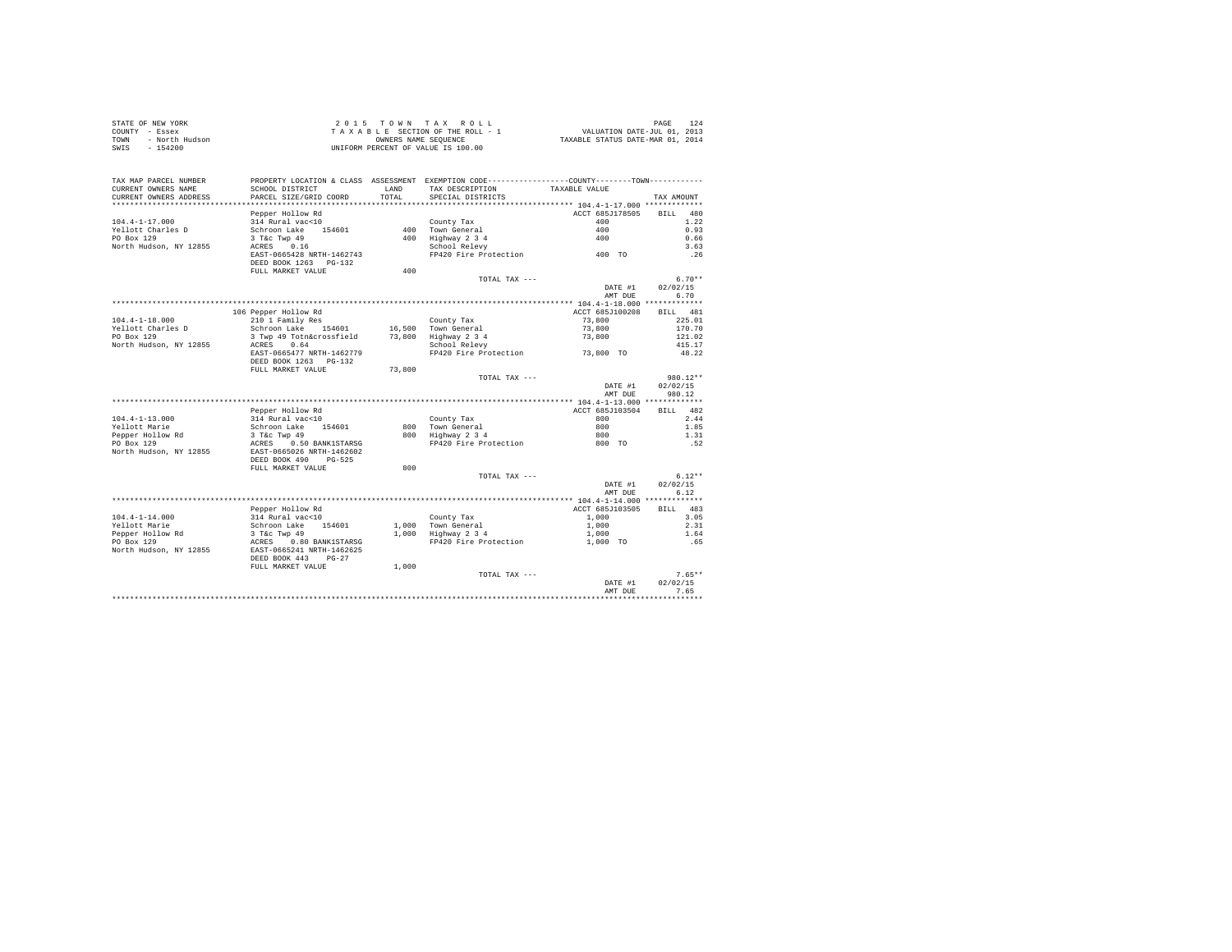| STATE OF NEW YORK<br>COUNTY - Essex<br>TOWN - North Hudson<br>SWIS - 154200 |                                                     |              | 2015 TOWN TAX ROLL<br>TAXABLE SECTION OF THE ROLL - 1<br>OWNERS NAME SEQUENCE<br>UNIFORM PERCENT OF VALUE IS 100.00 | PAGE 124<br>VALUATION DATE-JUL 01, 2013<br>TAXABLE STATUS DATE-MAR 01, 2014 | 124<br>PAGE      |
|-----------------------------------------------------------------------------|-----------------------------------------------------|--------------|---------------------------------------------------------------------------------------------------------------------|-----------------------------------------------------------------------------|------------------|
| TAX MAP PARCEL NUMBER                                                       |                                                     |              | PROPERTY LOCATION & CLASS ASSESSMENT EXEMPTION CODE---------------COUNTY-------TOWN---------                        |                                                                             |                  |
| CURRENT OWNERS NAME                                                         | SCHOOL DISTRICT                                     | <b>T.AND</b> | TAX DESCRIPTION                                                                                                     | TAXABLE VALUE                                                               |                  |
| CURRENT OWNERS ADDRESS                                                      | PARCEL SIZE/GRID COORD                              | TOTAL.       | SPECIAL DISTRICTS                                                                                                   |                                                                             | TAX AMOUNT       |
|                                                                             | Pepper Hollow Rd                                    |              |                                                                                                                     | ACCT 685J178505                                                             | BILL 480         |
| $104.4 - 1 - 17.000$                                                        | 314 Rural vac<10                                    |              | County Tax                                                                                                          | 400                                                                         | 1.22             |
| Yellott Charles D                                                           | Schroon Lake 154601                                 |              | 400 Town General                                                                                                    | 400                                                                         | 0.93             |
| PO Box 129                                                                  | 3 T&c Twp 49                                        |              |                                                                                                                     | 400                                                                         | 0.66             |
| North Hudson, NY 12855                                                      | ACRES 0.16                                          |              | 400 Highway 2 3 4<br>School Relevy                                                                                  |                                                                             | 3.63             |
|                                                                             | EAST-0665428 NRTH-1462743                           |              | FP420 Fire Protection 400 TO                                                                                        |                                                                             | .26              |
|                                                                             | DEED BOOK 1263 PG-132                               |              |                                                                                                                     |                                                                             |                  |
|                                                                             | FULL MARKET VALUE                                   | 400          |                                                                                                                     |                                                                             |                  |
|                                                                             |                                                     |              | TOTAL TAX ---                                                                                                       |                                                                             | $6.70**$         |
|                                                                             |                                                     |              |                                                                                                                     | DATE #1                                                                     | 02/02/15         |
|                                                                             |                                                     |              |                                                                                                                     | AMT DUE                                                                     | 6.70             |
|                                                                             |                                                     |              |                                                                                                                     |                                                                             |                  |
|                                                                             | 106 Pepper Hollow Rd                                |              |                                                                                                                     | ACCT 685J100208                                                             | BILL 481         |
| $104.4 - 1 - 18.000$                                                        | 210 1 Family Res                                    |              | County Tax                                                                                                          | 73,800                                                                      | 225.01           |
| Yellott Charles D<br>PO Box 129                                             | Schroon Lake 154601<br>3 Twp 49 Totn&crossfield     |              | 16,500 Town General<br>73.800 Highway 2 3 4                                                                         | 73,800<br>73,800                                                            | 170.70<br>121.02 |
| North Hudson, NY 12855                                                      | ACRES 0.64                                          |              | School Relevy                                                                                                       |                                                                             | 415.17           |
|                                                                             | EAST-0665477 NRTH-1462779                           |              | FP420 Fire Protection                                                                                               | 73,800 TO                                                                   | 48.22            |
|                                                                             | DEED BOOK 1263 PG-132<br>FULL MARKET VALUE          | 73,800       |                                                                                                                     |                                                                             |                  |
|                                                                             |                                                     |              | TOTAL TAX ---                                                                                                       |                                                                             | $980.12**$       |
|                                                                             |                                                     |              |                                                                                                                     | DATE #1                                                                     | 02/02/15         |
|                                                                             |                                                     |              |                                                                                                                     | AMT DUE                                                                     | 980.12           |
|                                                                             |                                                     |              |                                                                                                                     |                                                                             |                  |
|                                                                             | Pepper Hollow Rd                                    |              |                                                                                                                     | ACCT 685J103504                                                             | BILL 482         |
| $104.4 - 1 - 13.000$                                                        | 314 Rural vac<10                                    |              | County Tax                                                                                                          | 800 - 100                                                                   | 2.44             |
| Yellott Marie                                                               | Schroon Lake 154601                                 |              | 800 Town General                                                                                                    | 800                                                                         | 1.85             |
| Pepper Hollow Rd                                                            | 3 T&C Twp 49                                        |              | 800 Highway 2 3 4                                                                                                   | 800                                                                         | 1.31             |
| PO Box 129<br>North Hudson, NY 12855                                        | ACRES 0.50 BANK1STARSG<br>EAST-0665026 NRTH-1462602 |              | FP420 Fire Protection                                                                                               | 800 TO                                                                      | .52              |
|                                                                             | DEED BOOK 490 PG-525<br>FULL MARKET VALUE           | 800          |                                                                                                                     |                                                                             |                  |
|                                                                             |                                                     |              | TOTAL TAX ---                                                                                                       |                                                                             | $6.12**$         |
|                                                                             |                                                     |              |                                                                                                                     | DATE #1                                                                     | 02/02/15         |
|                                                                             |                                                     |              |                                                                                                                     | AMT DUE                                                                     | 6.12             |
|                                                                             |                                                     |              |                                                                                                                     |                                                                             |                  |
|                                                                             | Pepper Hollow Rd                                    |              |                                                                                                                     | ACCT 685J103505                                                             | RTT.T. 483       |
| $104.4 - 1 - 14.000$                                                        | 314 Rural vac<10                                    |              | County Tax                                                                                                          | 1,000                                                                       | 3.05             |
| Yellott Marie                                                               | Schroon Lake 154601                                 |              | 1,000 Town General                                                                                                  | 1,000                                                                       | 2.31             |
| Pepper Hollow Rd                                                            | $3$ T&C Twp $49$                                    |              | 1,000 Highway 2 3 4                                                                                                 | 1,000                                                                       | 1.64             |
| PO Box 129                                                                  | ACRES 0.80 BANK1STARSG                              |              | FP420 Fire Protection                                                                                               | 1,000 TO                                                                    | .65              |
| North Hudson, NY 12855                                                      | EAST-0665241 NRTH-1462625<br>DEED BOOK 443 PG-27    |              |                                                                                                                     |                                                                             |                  |
|                                                                             | FULL MARKET VALUE                                   | 1,000        |                                                                                                                     |                                                                             |                  |
|                                                                             |                                                     |              | TOTAL TAX ---                                                                                                       |                                                                             | $7.65**$         |
|                                                                             |                                                     |              |                                                                                                                     | DATE #1                                                                     | 02/02/15         |
|                                                                             |                                                     |              |                                                                                                                     | AMT DUE                                                                     | 7.65             |
|                                                                             |                                                     |              |                                                                                                                     |                                                                             |                  |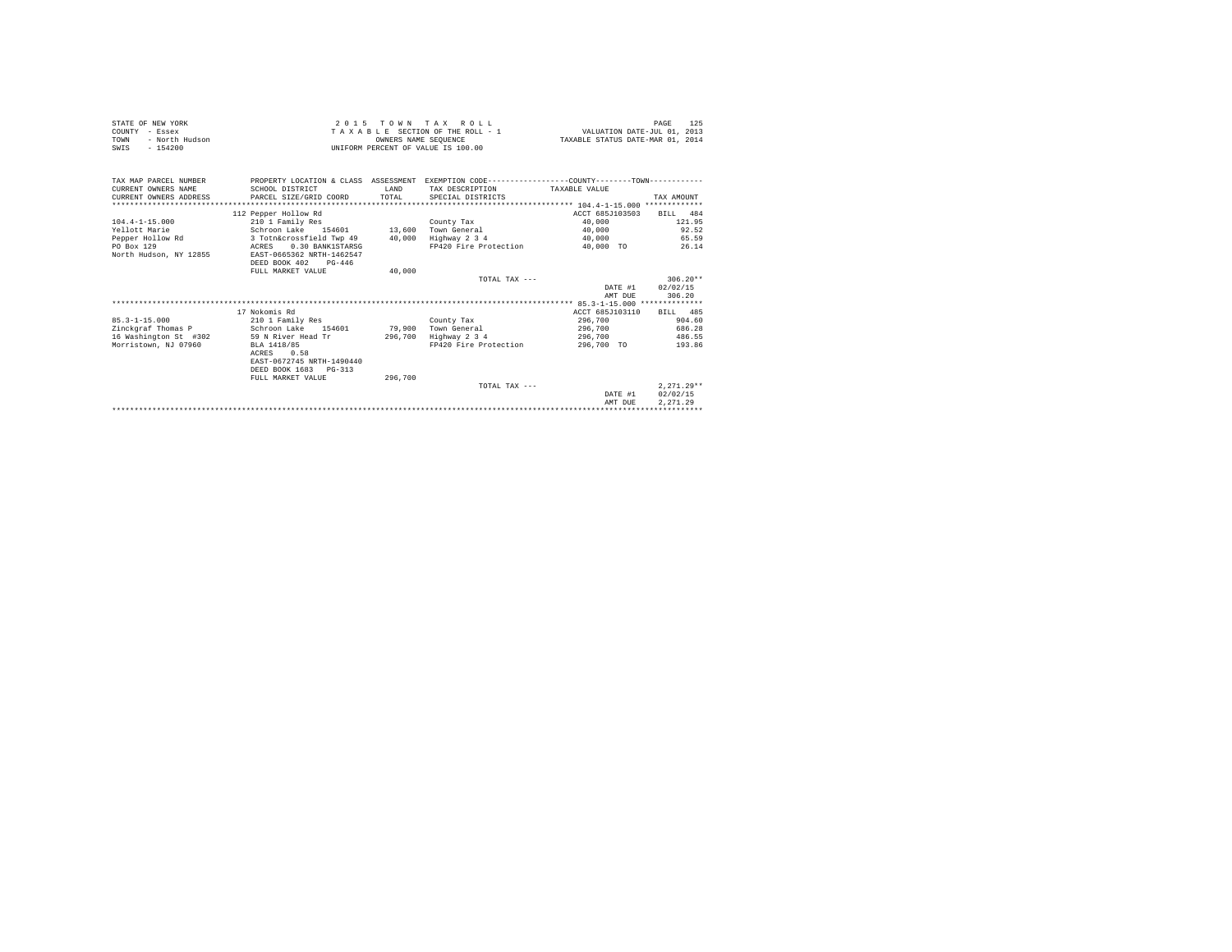| STATE OF NEW YORK<br>COUNTY - Essex<br>- North Hudson<br><b>TOWN</b><br>$-154200$<br>SWIS |                                               | OWNERS NAME SEOUENCE | 2015 TOWN TAX ROLL<br>125<br>PAGE<br>TAXABLE SECTION OF THE ROLL - 1 WALUATION DATE-JUL 01. 2013<br>TAXABLE STATUS DATE-MAR 01, 2014<br>UNIFORM PERCENT OF VALUE IS 100.00 |                 |              |
|-------------------------------------------------------------------------------------------|-----------------------------------------------|----------------------|----------------------------------------------------------------------------------------------------------------------------------------------------------------------------|-----------------|--------------|
| TAX MAP PARCEL NUMBER<br>CURRENT OWNERS NAME<br>CURRENT OWNERS ADDRESS                    | SCHOOL DISTRICT<br>PARCEL SIZE/GRID COORD     | T.AND<br>TOTAL       | PROPERTY LOCATION & CLASS ASSESSMENT EXEMPTION CODE---------------COUNTY-------TOWN---------<br>TAX DESCRIPTION<br>SPECIAL DISTRICTS                                       | TAXARLE VALUE   | TAX AMOUNT   |
|                                                                                           | 112 Pepper Hollow Rd                          |                      |                                                                                                                                                                            | ACCT 685J103503 | BILL 484     |
| $104.4 - 1 - 15.000$                                                                      | 210 1 Family Res                              |                      | County Tax                                                                                                                                                                 | 40,000          | 121.95       |
| Yellott Marie                                                                             | Schroon Lake 154601 13,600 Town General       |                      |                                                                                                                                                                            | 40,000          | 92.52        |
| Pepper Hollow Rd                                                                          | 3 Totn&crossfield Twp 49 40,000 Highway 2 3 4 |                      |                                                                                                                                                                            | 40,000          | 65.59        |
| PO Box 129                                                                                | 0.30 BANK1STARSG<br>ACRES                     |                      | FP420 Fire Protection 40.000 TO                                                                                                                                            |                 | 26.14        |
| North Hudson, NY 12855                                                                    | EAST-0665362 NRTH-1462547                     |                      |                                                                                                                                                                            |                 |              |
|                                                                                           | DEED BOOK 402<br>$PG-446$                     |                      |                                                                                                                                                                            |                 |              |
|                                                                                           | FULL MARKET VALUE                             | 40,000               |                                                                                                                                                                            |                 |              |
|                                                                                           |                                               |                      | TOTAL TAX ---                                                                                                                                                              |                 | $306.20**$   |
|                                                                                           |                                               |                      |                                                                                                                                                                            | DATE #1         | 02/02/15     |
|                                                                                           |                                               |                      |                                                                                                                                                                            | AMT DUE         | 306.20       |
|                                                                                           |                                               |                      |                                                                                                                                                                            |                 |              |
|                                                                                           | 17 Nokomis Rd                                 |                      |                                                                                                                                                                            | ACCT 685J103110 | RTT.T. 485   |
| $85.3 - 1 - 15.000$                                                                       | 210 1 Family Res                              |                      | County Tax                                                                                                                                                                 | 296,700         | 904.60       |
| Zinckgraf Thomas P                                                                        | Schroon Lake 154601 79,900 Town General       |                      |                                                                                                                                                                            | 296.700         | 686.28       |
| 16 Washington St #302                                                                     | 59 N River Head Tr                            | 296,700              | Highway 2 3 4                                                                                                                                                              | 296,700         | 486.55       |
| Morristown, NJ 07960                                                                      | BLA 1418/85                                   |                      | FP420 Fire Protection                                                                                                                                                      | 296,700 TO      | 193.86       |
|                                                                                           | ACRES<br>0.58                                 |                      |                                                                                                                                                                            |                 |              |
|                                                                                           | EAST-0672745 NRTH-1490440                     |                      |                                                                                                                                                                            |                 |              |
|                                                                                           | DEED BOOK 1683 PG-313                         |                      |                                                                                                                                                                            |                 |              |
|                                                                                           | FULL MARKET VALUE                             | 296,700              | TOTAL TAX $---$                                                                                                                                                            |                 | $2.271.29**$ |
|                                                                                           |                                               |                      |                                                                                                                                                                            | DATE #1         | 02/02/15     |
|                                                                                           |                                               |                      |                                                                                                                                                                            | AMT DUE         | 2.271.29     |
|                                                                                           |                                               |                      |                                                                                                                                                                            |                 |              |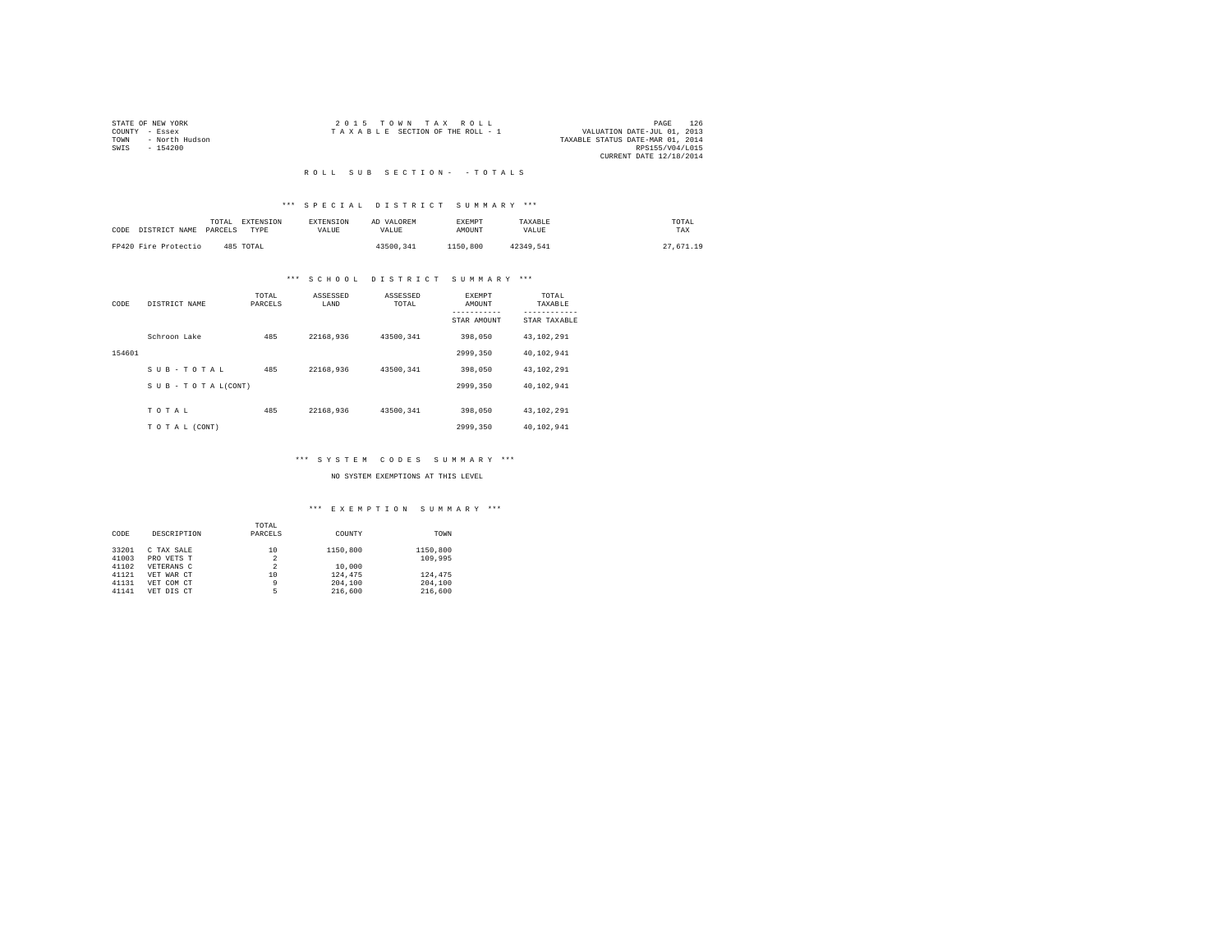|                | STATE OF NEW YORK | 2015 TOWN TAX ROLL                                             | PAGE            | 126 |
|----------------|-------------------|----------------------------------------------------------------|-----------------|-----|
| COUNTY - Essex |                   | VALUATION DATE-JUL 01, 2013<br>TAXABLE SECTION OF THE ROLL - 1 |                 |     |
| TOWN           | - North Hudson    | TAXABLE STATUS DATE-MAR 01, 2014                               |                 |     |
| SWIS           | $-154200$         |                                                                | RPS155/V04/L015 |     |
|                |                   | CURRENT DATE 12/18/2014                                        |                 |     |

#### R O L L S U B S E C T I O N - - T O T A L S

# \*\*\* S P E C I A L D I S T R I C T S U M M A R Y \*\*\*

| CODE DISTRICT NAME   | TOTAL<br>PARCELS | EXTENSION<br>TYPE | <b>EXTENSION</b><br>VALUE | AD VALOREM<br>VALUE | EXEMPT<br>AMOUNT | TAXABLE<br>VALUE | TOTAL<br>TAX |  |
|----------------------|------------------|-------------------|---------------------------|---------------------|------------------|------------------|--------------|--|
| FP420 Fire Protectio |                  | 485 TOTAL         |                           | 43500.341           | 1150,800         | 42349.541        | 27,671.19    |  |

# \*\*\* S C H O O L D I S T R I C T S U M M A R Y \*\*\*

| CODE   | DISTRICT NAME   | TOTAL<br>PARCELS | ASSESSED<br>LAND | ASSESSED<br>TOTAL | EXEMPT<br>AMOUNT | TOTAL<br>TAXABLE          |
|--------|-----------------|------------------|------------------|-------------------|------------------|---------------------------|
|        |                 |                  |                  |                   | STAR AMOUNT      | ---------<br>STAR TAXABLE |
|        | Schroon Lake    | 485              | 22168.936        | 43500.341         | 398,050          | 43.102.291                |
| 154601 |                 |                  |                  |                   | 2999.350         | 40.102.941                |
|        | SUB-TOTAL       | 485              | 22168.936        | 43500.341         | 398,050          | 43.102.291                |
|        | SUB-TOTAL(CONT) |                  |                  |                   | 2999.350         | 40.102.941                |
|        | TOTAL           | 485              | 22168.936        | 43500.341         | 398,050          | 43.102.291                |
|        | TO TAL (CONT)   |                  |                  |                   | 2999.350         | 40.102.941                |

# \*\*\* S Y S T E M C O D E S S U M M A R Y \*\*\*

#### NO SYSTEM EXEMPTIONS AT THIS LEVEL

|       |             | TOTAL          |          |          |
|-------|-------------|----------------|----------|----------|
| CODE  | DESCRIPTION | PARCELS        | COUNTY   | TOWN     |
| 33201 | C TAX SALE  | 10             | 1150,800 | 1150,800 |
| 41003 | PRO VETS T  | 2              |          | 109,995  |
| 41102 | VETERANS C  | $\overline{a}$ | 10,000   |          |
| 41121 | VET WAR CT  | 10             | 124,475  | 124,475  |
| 41131 | VET COM CT  | 9              | 204,100  | 204,100  |
| 41141 | VET DIS CT  | 5              | 216,600  | 216,600  |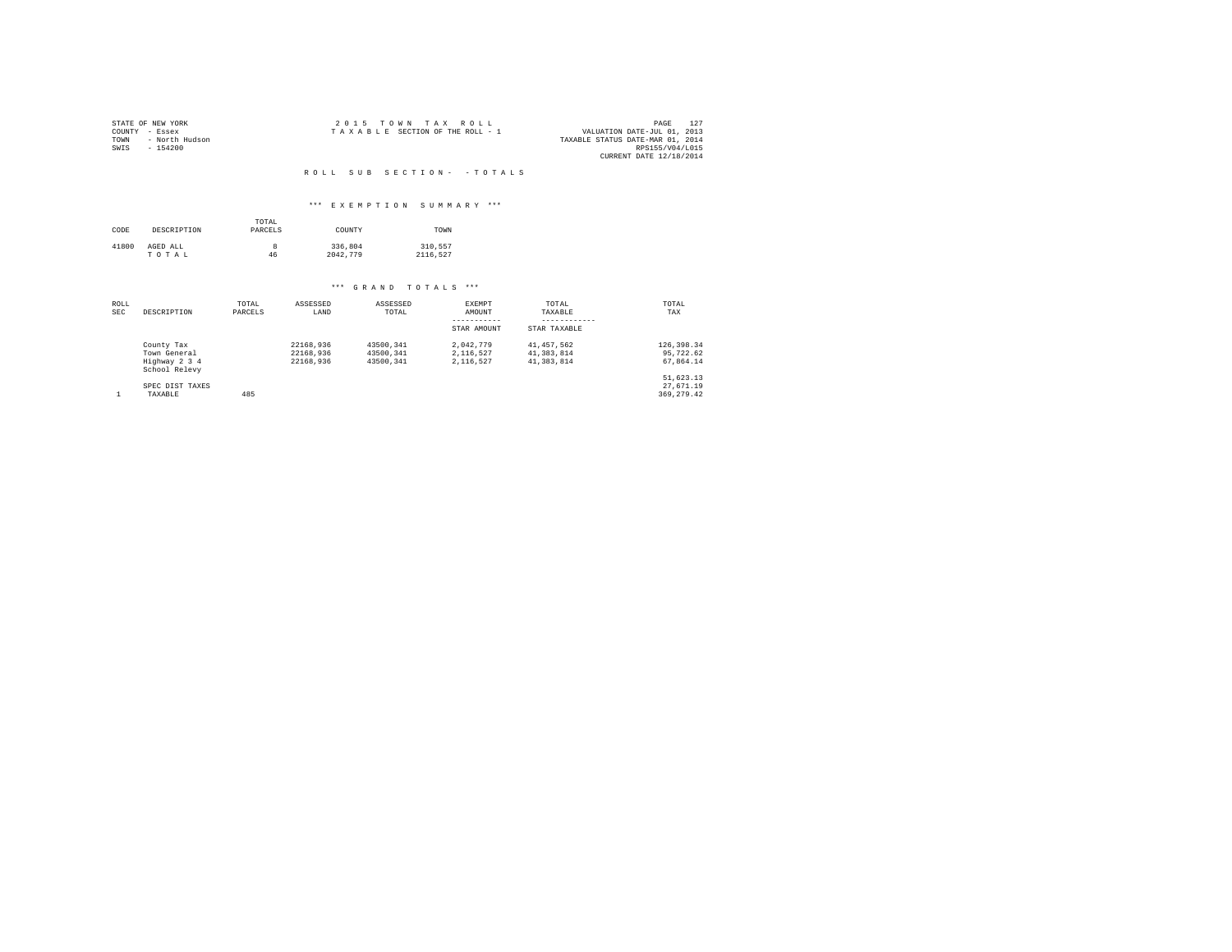| STATE OF NEW YORK      | 2015 TOWN TAX ROLL              |  |  |                                  | PAGE                        |  |
|------------------------|---------------------------------|--|--|----------------------------------|-----------------------------|--|
| COUNTY - Essex         | TAXABLE SECTION OF THE ROLL - 1 |  |  |                                  | VALUATION DATE-JUL 01, 2013 |  |
| - North Hudson<br>TOWN |                                 |  |  | TAXABLE STATUS DATE-MAR 01, 2014 |                             |  |
| SWIS<br>$-154200$      |                                 |  |  |                                  | RPS155/V04/L015             |  |
|                        |                                 |  |  |                                  | CURRENT DATE 12/18/2014     |  |

# R O L L S U B S E C T I O N - - T O T A L S

# \*\*\* E X E M P T I O N S U M M A R Y \*\*\*

| CODE  | DESCRIPTION       | TOTAL<br>PARCELS | COUNTY              | TOWN                |  |
|-------|-------------------|------------------|---------------------|---------------------|--|
| 41800 | AGED ALL<br>TOTAL | 8<br>46          | 336,804<br>2042.779 | 310.557<br>2116.527 |  |

| ROLL<br><b>SEC</b> | DESCRIPTION                                                  | TOTAL<br>PARCELS | ASSESSED<br>LAND                    | ASSESSED<br>TOTAL                   | EXEMPT<br>AMOUNT<br>STAR AMOUNT     | TOTAL<br>TAXABLE<br>STAR TAXABLE       | TOTAL<br>TAX                           |
|--------------------|--------------------------------------------------------------|------------------|-------------------------------------|-------------------------------------|-------------------------------------|----------------------------------------|----------------------------------------|
|                    | County Tax<br>Town General<br>Highway 2 3 4<br>School Relevy |                  | 22168.936<br>22168.936<br>22168.936 | 43500.341<br>43500.341<br>43500.341 | 2.042.779<br>2.116.527<br>2.116.527 | 41.457.562<br>41.383.814<br>41.383.814 | 126,398.34<br>95,722.62<br>67.864.14   |
|                    | SPEC DIST TAXES<br>TAXABLE                                   | 485              |                                     |                                     |                                     |                                        | 51,623.13<br>27.671.19<br>369, 279, 42 |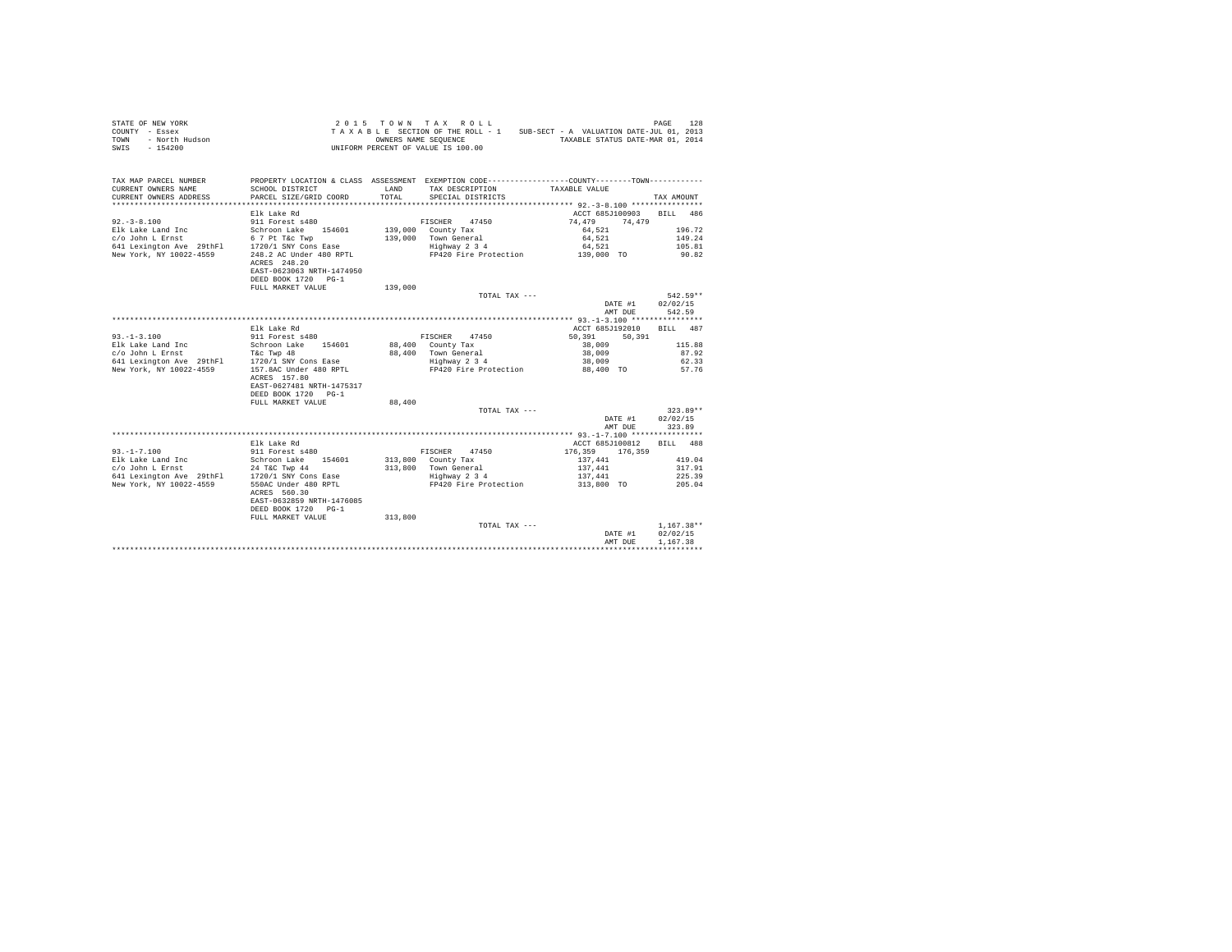| STATE OF NEW YORK<br>COUNTY - Essex<br>- North Hudson<br>TOWN<br>$-154200$<br>SWIS                        |                                                  |         | 2015 TOWN TAX ROLL<br>OWNERS NAME SEQUENCE<br>UNIFORM PERCENT OF VALUE IS 100.00 | TAXABLE SECTION OF THE ROLL - 1 SUB-SECT - A VALUATION DATE-JUL 01, 2013<br>TAXABLE STATUS DATE-MAR 01, 2014    | PAGE<br>128  |
|-----------------------------------------------------------------------------------------------------------|--------------------------------------------------|---------|----------------------------------------------------------------------------------|-----------------------------------------------------------------------------------------------------------------|--------------|
|                                                                                                           |                                                  |         |                                                                                  |                                                                                                                 |              |
| TAX MAP PARCEL NUMBER<br>CURRENT OWNERS NAME                                                              | SCHOOL DISTRICT                                  | LAND    | TAX DESCRIPTION                                                                  | PROPERTY LOCATION & CLASS ASSESSMENT EXEMPTION CODE----------------COUNTY-------TOWN----------<br>TAXABLE VALUE |              |
| CURRENT OWNERS ADDRESS                                                                                    | PARCEL SIZE/GRID COORD                           | TOTAL   | SPECIAL DISTRICTS                                                                |                                                                                                                 | TAX AMOUNT   |
|                                                                                                           | Elk Lake Rd                                      |         |                                                                                  | ACCT 685J100903 BILL 486                                                                                        |              |
| $92 - 3 - 8.100$                                                                                          | 911 Forest s480                                  |         | FISCHER 47450                                                                    | 74,479<br>74.479                                                                                                |              |
| Elk Lake Land Inc                                                                                         | Schroon Lake 154601                              |         | 139,000 County Tax                                                               | 64,521                                                                                                          | 196.72       |
| $c/o$ John L Ernst<br>$c$ /o John L Ernst 6 7 Pt T&c Twp<br>641 Lexington Ave 29thFl 1720/1 SNY Cons Ease |                                                  |         | 139,000 Town General                                                             | 64,521                                                                                                          | 149.24       |
|                                                                                                           |                                                  |         | Highway 2 3 4                                                                    | 64,521                                                                                                          | 105.81       |
| New York, NY 10022-4559                                                                                   | 248.2 AC Under 480 RPTL<br>ACRES 248.20          |         |                                                                                  | FP420 Fire Protection 139,000 TO                                                                                | 90.82        |
|                                                                                                           | EAST-0623063 NRTH-1474950                        |         |                                                                                  |                                                                                                                 |              |
|                                                                                                           | DEED BOOK 1720 PG-1                              |         |                                                                                  |                                                                                                                 |              |
|                                                                                                           | FULL MARKET VALUE                                | 139,000 |                                                                                  |                                                                                                                 |              |
|                                                                                                           |                                                  |         | TOTAL TAX ---                                                                    |                                                                                                                 | 542.59**     |
|                                                                                                           |                                                  |         |                                                                                  | DATE #1 02/02/15                                                                                                |              |
|                                                                                                           |                                                  |         |                                                                                  | AMT DUE                                                                                                         | 542.59       |
|                                                                                                           | Elk Lake Rd                                      |         |                                                                                  | ACCT 685J192010                                                                                                 | RTT.T. 487   |
| $93. - 1 - 3.100$                                                                                         | 911 Forest s480                                  |         | FISCHER<br>47450                                                                 | 50.391<br>50.391                                                                                                |              |
| Elk Lake Land Inc                                                                                         | Schroon Lake 154601                              |         | 88,400 County Tax                                                                | 38,009                                                                                                          | 115.88       |
| c/o John L Ernst                                                                                          | T&c Twp 48                                       |         | 88.400 Town General                                                              | 38,009                                                                                                          | 87.92        |
| 641 Lexington Ave 29thF1 1720/1 SNY Cons Ease                                                             |                                                  |         | Highway 2 3 4                                                                    | 38,009                                                                                                          | 62.33        |
| New York, NY 10022-4559                                                                                   | 157.8AC Under 480 RPTL                           |         | FP420 Fire Protection                                                            | 88,400 TO                                                                                                       | 57.76        |
|                                                                                                           | ACRES 157.80<br>EAST-0627481 NRTH-1475317        |         |                                                                                  |                                                                                                                 |              |
|                                                                                                           | DEED BOOK 1720 PG-1                              |         |                                                                                  |                                                                                                                 |              |
|                                                                                                           | FULL MARKET VALUE                                | 88,400  |                                                                                  |                                                                                                                 |              |
|                                                                                                           |                                                  |         | TOTAL TAX ---                                                                    |                                                                                                                 | $323.89**$   |
|                                                                                                           |                                                  |         |                                                                                  | DATE #1                                                                                                         | 02/02/15     |
|                                                                                                           |                                                  |         |                                                                                  | AMT DUE                                                                                                         | 323.89       |
|                                                                                                           |                                                  |         |                                                                                  |                                                                                                                 |              |
|                                                                                                           | Elk Lake Rd                                      |         |                                                                                  | ACCT 685J100812 BILL 488                                                                                        |              |
| $93. -1 - 7.100$                                                                                          | 911 Forest s480                                  |         | FISCHER<br>47450                                                                 | 176,359 176,359                                                                                                 |              |
| Elk Lake Land Inc                                                                                         | Schroon Lake 154601                              |         | 313,800 County Tax                                                               | 137.441                                                                                                         | 419.04       |
| c/o John L Ernst                                                                                          | 24 T&C Twp 44                                    |         | 313,800 Town General                                                             | 137,441                                                                                                         | 317.91       |
| 641 Lexington Ave 29thFl 1720/1 SNY Cons Ease                                                             |                                                  |         | Highway 2 3 4                                                                    | 137,441                                                                                                         | 225.39       |
| New York, NY 10022-4559                                                                                   | 550AC Under 480 RPTL<br>ACRES 560.30             |         | FP420 Fire Protection                                                            | 313,800 TO                                                                                                      | 205.04       |
|                                                                                                           | EAST-0632859 NRTH-1476085<br>DEED BOOK 1720 PG-1 |         |                                                                                  |                                                                                                                 |              |
|                                                                                                           | FULL MARKET VALUE                                | 313,800 |                                                                                  |                                                                                                                 |              |
|                                                                                                           |                                                  |         | TOTAL TAX ---                                                                    |                                                                                                                 | $1.167.38**$ |
|                                                                                                           |                                                  |         |                                                                                  | DATE #1                                                                                                         | 02/02/15     |
|                                                                                                           |                                                  |         |                                                                                  | AMT DUE                                                                                                         | 1,167.38     |
|                                                                                                           |                                                  |         |                                                                                  |                                                                                                                 |              |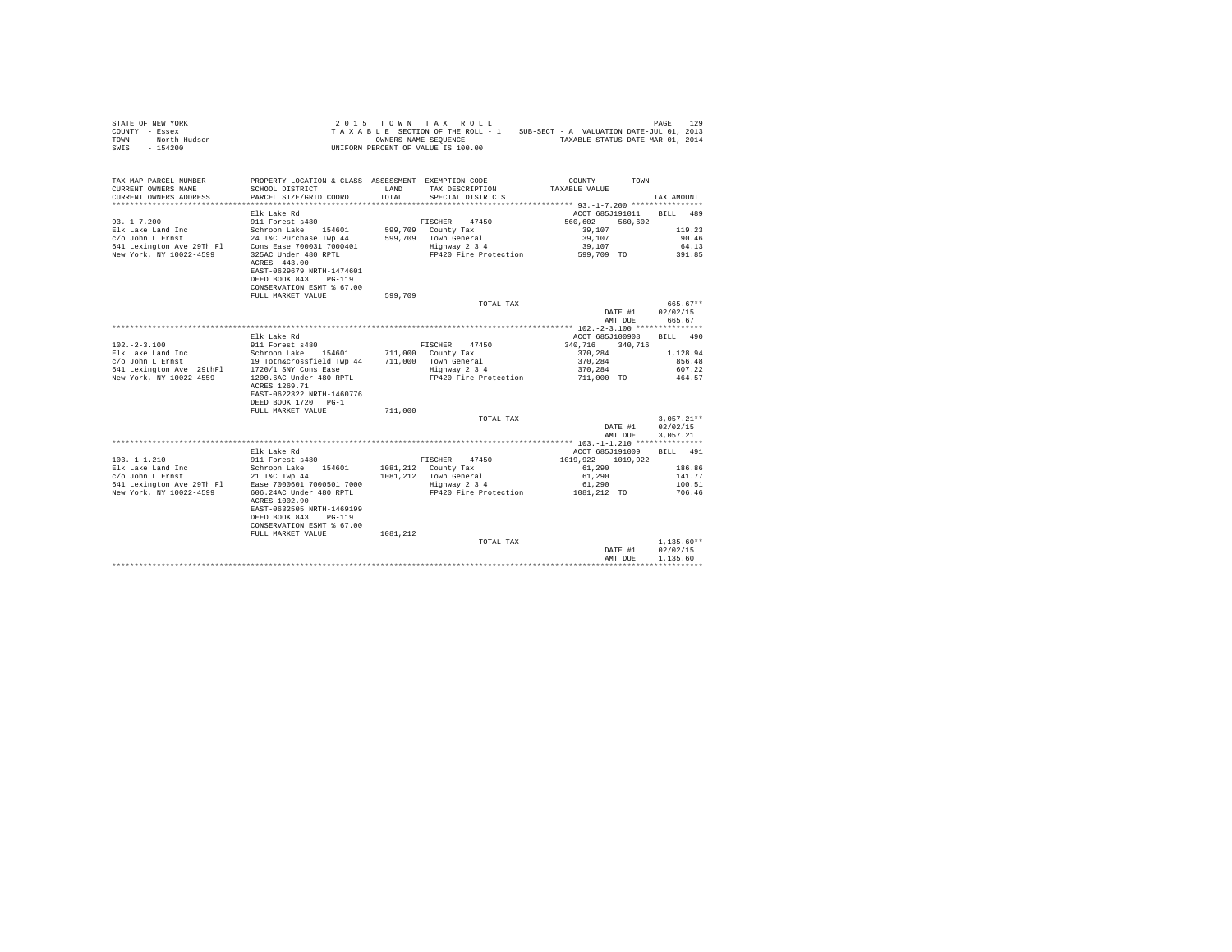| COUNTY - Essex<br>- North Hudson<br>TOWN<br>$-154200$<br>SWIS | T A A A B D B DUCKLES NAME SEQUENCE<br>UNIFORM PERCENT OF VALUE IS 100.00                       |          | TAXABLE SECTION OF THE ROLL - 1<br>OWNERS NAME SEQUENCE | SUB-SECT - A VALUATION DATE-JUL 01, 2013<br>TAXABLE STATUS DATE-MAR 01, 2014 |                      |
|---------------------------------------------------------------|-------------------------------------------------------------------------------------------------|----------|---------------------------------------------------------|------------------------------------------------------------------------------|----------------------|
| TAX MAP PARCEL NUMBER                                         | PROPERTY LOCATION & CLASS ASSESSMENT EXEMPTION CODE----------------COUNTY--------TOWN---------- |          |                                                         |                                                                              |                      |
| CURRENT OWNERS NAME                                           | SCHOOL DISTRICT                                                                                 | LAND     | TAX DESCRIPTION                                         | TAXABLE VALUE                                                                |                      |
| CURRENT OWNERS ADDRESS                                        | PARCEL SIZE/GRID COORD                                                                          | TOTAL    | SPECIAL DISTRICTS                                       |                                                                              | TAX AMOUNT           |
|                                                               |                                                                                                 |          |                                                         |                                                                              |                      |
|                                                               | Elk Lake Rd                                                                                     |          |                                                         | ACCT 685J191011 BILL                                                         | 489                  |
| $93. - 1 - 7.200$                                             |                                                                                                 |          | FISCHER<br>47450                                        | 560,602<br>560.602                                                           |                      |
|                                                               |                                                                                                 |          | 599,709 County Tax                                      | 39,107                                                                       | 119.23               |
|                                                               |                                                                                                 |          | 599.709 Town General<br>Highway 2 3 4                   | 39,107<br>39,107                                                             | 90.46<br>64.13       |
|                                                               |                                                                                                 |          | FP420 Fire Protection                                   | 599,709 TO                                                                   | 391.85               |
|                                                               | ACRES 443.00                                                                                    |          |                                                         |                                                                              |                      |
|                                                               | EAST-0629679 NRTH-1474601                                                                       |          |                                                         |                                                                              |                      |
|                                                               | DEED BOOK 843 PG-119                                                                            |          |                                                         |                                                                              |                      |
|                                                               | CONSERVATION ESMT % 67.00<br>FULL MARKET VALUE                                                  | 599,709  |                                                         |                                                                              |                      |
|                                                               |                                                                                                 |          | TOTAL TAX ---                                           |                                                                              | $665.67**$           |
|                                                               |                                                                                                 |          |                                                         | DATE #1                                                                      | 02/02/15             |
|                                                               |                                                                                                 |          |                                                         | AMT DUE                                                                      | 665.67               |
|                                                               |                                                                                                 |          |                                                         |                                                                              |                      |
|                                                               | Elk Lake Rd                                                                                     |          |                                                         | ACCT 685J100908                                                              | BILL 490             |
| $102. -2 - 3.100$                                             | $911$ Forest $s480$                                                                             |          | FISCHER 47450                                           | 340.716 340.716                                                              |                      |
|                                                               |                                                                                                 |          | 711,000 County Tax                                      | 370.284                                                                      | 1,128.94             |
|                                                               |                                                                                                 |          | 711,000 Town General                                    | 370.284                                                                      | 856.48               |
|                                                               |                                                                                                 |          | Highway 2 3 4                                           | 370.284                                                                      | 607.22               |
| New York, NY 10022-4559                                       | 1200.6AC Under 480 RPTL                                                                         |          | FP420 Fire Protection                                   | 711,000 TO                                                                   | 464.57               |
|                                                               | ACRES 1269.71                                                                                   |          |                                                         |                                                                              |                      |
|                                                               | EAST-0622322 NRTH-1460776                                                                       |          |                                                         |                                                                              |                      |
|                                                               | DEED BOOK 1720 PG-1                                                                             |          |                                                         |                                                                              |                      |
|                                                               | FULL MARKET VALUE                                                                               | 711,000  |                                                         |                                                                              |                      |
|                                                               |                                                                                                 |          | TOTAL TAX ---                                           |                                                                              | $3,057.21**$         |
|                                                               |                                                                                                 |          |                                                         | DATE #1<br>AMT DUE                                                           | 02/02/15<br>3.057.21 |
|                                                               |                                                                                                 |          |                                                         |                                                                              |                      |
|                                                               | Elk Lake Rd                                                                                     |          |                                                         | ACCT 685J191009 BILL 491                                                     |                      |
| $103. -1 - 1.210$                                             | 911 Forest s480                                                                                 |          | FISCHER 47450                                           | 1019.922 1019.922                                                            |                      |
| Elk Lake Land Inc                                             | Schroon Lake 154601                                                                             |          | 1081,212 County Tax                                     | 61,290                                                                       | 186.86               |
|                                                               |                                                                                                 |          | 1081,212 Town General                                   | 61,290                                                                       | 141.77               |
|                                                               |                                                                                                 |          | Highway 2 3 4                                           | 61,290                                                                       | 100.51               |
| New York, NY 10022-4599                                       | 606.24AC Under 480 RPTL                                                                         |          | FP420 Fire Protection                                   | 1081,212 TO                                                                  | 706.46               |
|                                                               | ACRES 1002.90                                                                                   |          |                                                         |                                                                              |                      |
|                                                               | EAST-0632505 NRTH-1469199                                                                       |          |                                                         |                                                                              |                      |
|                                                               | DEED BOOK 843 PG-119                                                                            |          |                                                         |                                                                              |                      |
|                                                               | CONSERVATION ESMT % 67.00                                                                       |          |                                                         |                                                                              |                      |
|                                                               | FULL MARKET VALUE                                                                               | 1081.212 |                                                         |                                                                              |                      |
|                                                               |                                                                                                 |          | TOTAL TAX ---                                           |                                                                              | $1.135.60**$         |
|                                                               |                                                                                                 |          |                                                         | DATE #1                                                                      | 02/02/15             |
|                                                               |                                                                                                 |          |                                                         | AMT DUE                                                                      | 1,135.60             |
|                                                               |                                                                                                 |          |                                                         |                                                                              |                      |

STATE OF NEW YORK **2015** TOWN TAX ROLL **PAGE 129**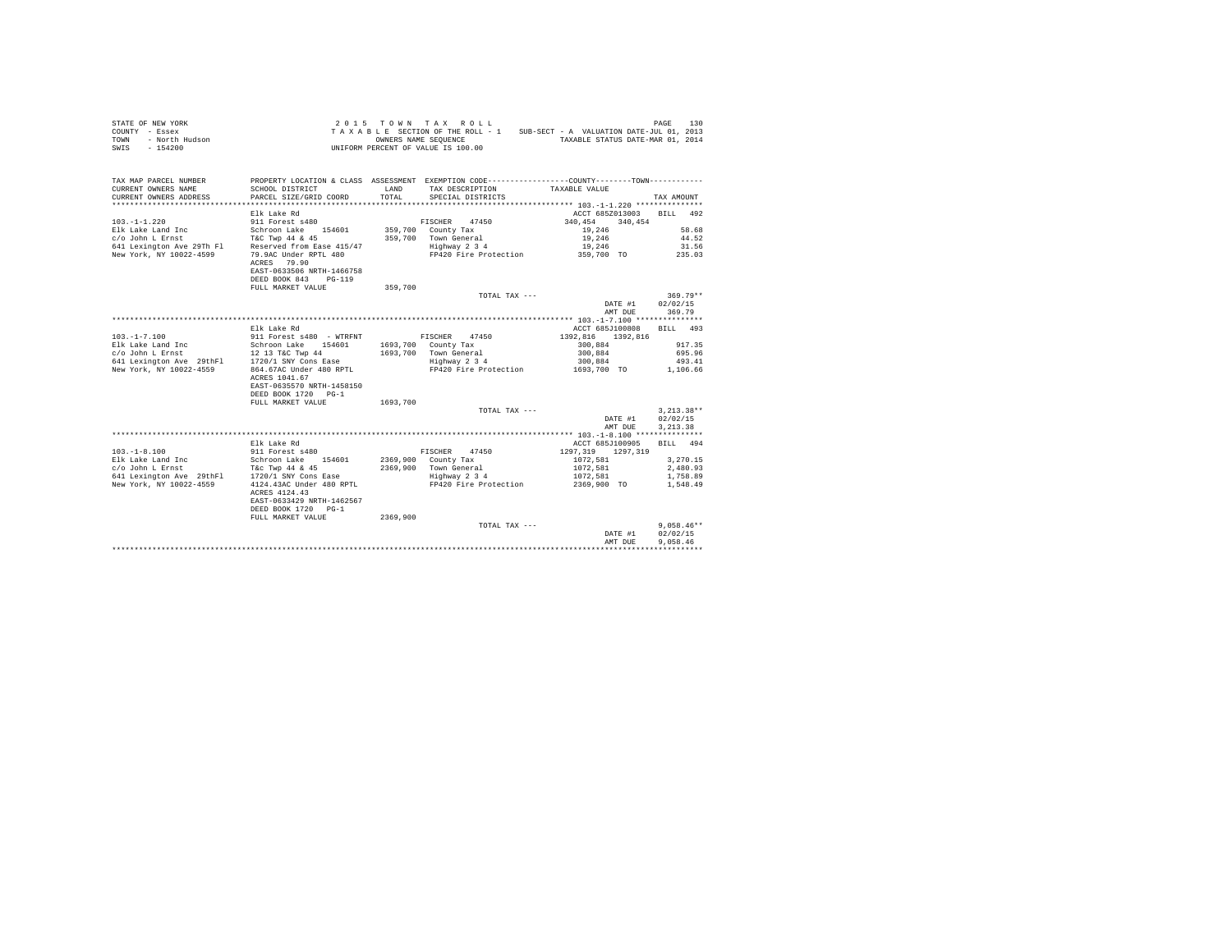| STATE OF NEW YORK<br>COUNTY - Essex<br>TOWN - North Hudson<br>SWIS - 154200 |                                                                                               |          | 2015 TOWN TAX ROLL<br>UNIFORM PERCENT OF VALUE IS 100.00 | TAXABLE SECTION OF THE ROLL - 1 SUB-SECT - A VALUATION DATE-JUL 01, 2013<br>OWNERS NAME SEQUENCE TAXABLE STATUS DATE-MAR 01, 2014 | PAGE<br>130  |
|-----------------------------------------------------------------------------|-----------------------------------------------------------------------------------------------|----------|----------------------------------------------------------|-----------------------------------------------------------------------------------------------------------------------------------|--------------|
| TAX MAP PARCEL NUMBER<br>CURRENT OWNERS NAME                                | SCHOOL DISTRICT                                                                               |          | LAND TAX DESCRIPTION                                     | PROPERTY LOCATION & CLASS ASSESSMENT EXEMPTION CODE-----------------COUNTY--------TOWN----------<br>TAXABLE VALUE                 |              |
| CURRENT OWNERS ADDRESS                                                      | PARCEL SIZE/GRID COORD                                                                        | TOTAL    | SPECIAL DISTRICTS                                        |                                                                                                                                   | TAX AMOUNT   |
|                                                                             | Elk Lake Rd                                                                                   |          |                                                          | ACCT 685Z013003                                                                                                                   | BILL 492     |
| $103. -1 - 1.220$                                                           | 911 Forest s480                                                                               |          | FISCHER 47450                                            | 340.454<br>340.454                                                                                                                |              |
| Elk Lake Land Inc                                                           | Schroon Lake 154601                                                                           |          | 359,700 County Tax                                       | 19,246                                                                                                                            | 58.68        |
| c/o John L Ernst                                                            | T&C Twp 44 & 45                                                                               |          | 359,700 Town General                                     | 19,246                                                                                                                            | 44.52        |
| 641 Lexington Ave 29Th Fl Reserved from Ease 415/47                         |                                                                                               |          | Highway 2 3 4                                            | 19,246                                                                                                                            | 31.56        |
| New York, NY 10022-4599                                                     | 79.9AC Under RPTL 480                                                                         |          |                                                          | FP420 Fire Protection 359,700 TO                                                                                                  | 235.03       |
|                                                                             | ACRES 79.90<br>EAST-0633506 NRTH-1466758                                                      |          |                                                          |                                                                                                                                   |              |
|                                                                             | DEED BOOK 843 PG-119                                                                          |          |                                                          |                                                                                                                                   |              |
|                                                                             | FULL MARKET VALUE                                                                             | 359,700  |                                                          |                                                                                                                                   |              |
|                                                                             |                                                                                               |          | TOTAL TAX ---                                            |                                                                                                                                   | $369.79**$   |
|                                                                             |                                                                                               |          |                                                          | DATE #1                                                                                                                           | 02/02/15     |
|                                                                             |                                                                                               |          |                                                          | AMT DUE                                                                                                                           | 369.79       |
|                                                                             | Elk Lake Rd                                                                                   |          |                                                          | ACCT 685J100808                                                                                                                   | RTT.T. 493   |
| $103. -1 - 7.100$                                                           | 911 Forest s480 - WTRFNT                                                                      |          | FISCHER 47450                                            | 1392.816 1392.816                                                                                                                 |              |
|                                                                             | Schroon Lake 154601                                                                           |          | 1693,700 County Tax                                      | 300,884                                                                                                                           | 917.35       |
| Elk Lake Land Inc<br>c/o John L Ernst                                       | 12 13 T&C Twp 44                                                                              |          | 1693.700 Town General                                    | 300.884                                                                                                                           | 695.96       |
| 641 Lexington Ave 29thF1 1720/1 SNY Cons Ease                               |                                                                                               |          | Highway 2 3 4                                            | 300,884                                                                                                                           | 493.41       |
| New York, NY 10022-4559                                                     | 864.67AC Under 480 RPTL                                                                       |          | FP420 Fire Protection                                    | 1693,700 TO                                                                                                                       | 1,106.66     |
|                                                                             | ACRES 1041.67<br>EAST-0635570 NRTH-1458150<br>DEED BOOK 1720 PG-1                             |          |                                                          |                                                                                                                                   |              |
|                                                                             | FULL MARKET VALUE                                                                             | 1693,700 |                                                          |                                                                                                                                   |              |
|                                                                             |                                                                                               |          | TOTAL TAX ---                                            |                                                                                                                                   | $3.213.38**$ |
|                                                                             |                                                                                               |          |                                                          | DATE #1                                                                                                                           | 02/02/15     |
|                                                                             |                                                                                               |          |                                                          | AMT DUE                                                                                                                           | 3, 213.38    |
|                                                                             |                                                                                               |          |                                                          |                                                                                                                                   |              |
|                                                                             | Elk Lake Rd                                                                                   |          |                                                          | ACCT 685J100905                                                                                                                   | BILL 494     |
| $103. -1 - 8.100$                                                           | 911 Forest s480                                                                               |          | FISCHER<br>47450                                         | 1297.319 1297.319                                                                                                                 |              |
| Elk Lake Land Inc                                                           | Schroon Lake 154601                                                                           |          | 2369,900 County Tax                                      | 1072.581                                                                                                                          | 3,270.15     |
| c/o John L Ernst                                                            | T&c Twp 44 & 45                                                                               |          | 2369.900 Town General                                    | 1072,581                                                                                                                          | 2,480.93     |
| 641 Lexington Ave 29thFl                                                    | 1720/1 SNY Cons Ease                                                                          |          | Highway 2 3 4                                            | 1072.581                                                                                                                          | 1,758.89     |
| New York, NY 10022-4559                                                     | 4124.43AC Under 480 RPTL<br>ACRES 4124.43<br>EAST-0633429 NRTH-1462567<br>DEED BOOK 1720 PG-1 |          | FP420 Fire Protection                                    | 2369,900 TO                                                                                                                       | 1,548.49     |
|                                                                             | FULL MARKET VALUE                                                                             | 2369,900 |                                                          |                                                                                                                                   |              |
|                                                                             |                                                                                               |          | TOTAL TAX ---                                            |                                                                                                                                   | $9.058.46**$ |
|                                                                             |                                                                                               |          |                                                          | DATE #1                                                                                                                           | 02/02/15     |
|                                                                             |                                                                                               |          |                                                          | AMT DUE                                                                                                                           | 9.058.46     |
|                                                                             |                                                                                               |          |                                                          |                                                                                                                                   |              |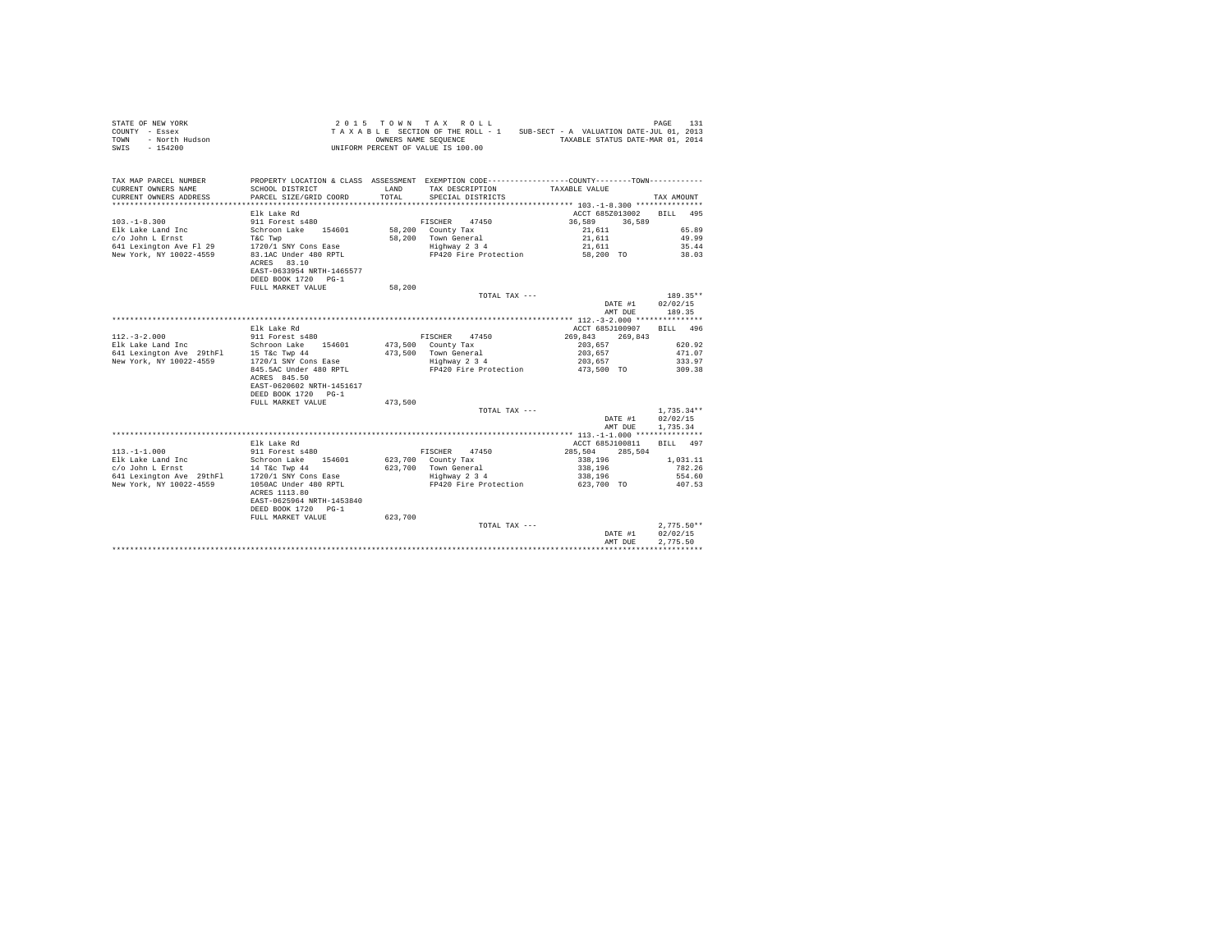| STATE OF NEW YORK<br>COUNTY - Essex<br>- North Hudson<br>TOWN<br>SWIS - 154200 |                                                                     |         | 2015 TOWN TAX ROLL<br>OWNERS NAME SEQUENCE<br>UNIFORM PERCENT OF VALUE IS 100.00 | TAXABLE SECTION OF THE ROLL - 1 SUB-SECT - A VALUATION DATE-JUL 01, 2013<br>TAXABLE STATUS DATE-MAR 01, 2014     | 131<br>PAGE      |
|--------------------------------------------------------------------------------|---------------------------------------------------------------------|---------|----------------------------------------------------------------------------------|------------------------------------------------------------------------------------------------------------------|------------------|
|                                                                                |                                                                     |         |                                                                                  |                                                                                                                  |                  |
| TAX MAP PARCEL NUMBER<br>CURRENT OWNERS NAME                                   | SCHOOL DISTRICT                                                     | LAND    | TAX DESCRIPTION                                                                  | PROPERTY LOCATION & CLASS ASSESSMENT EXEMPTION CODE----------------COUNTY--------TOWN----------<br>TAXABLE VALUE |                  |
| CURRENT OWNERS ADDRESS                                                         | PARCEL SIZE/GRID COORD                                              | TOTAL   | SPECIAL DISTRICTS                                                                |                                                                                                                  | TAX AMOUNT       |
|                                                                                | Elk Lake Rd                                                         |         |                                                                                  | ACCT 685Z013002                                                                                                  | BILL 495         |
| $103. - 1 - 8.300$                                                             | 911 Forest s480                                                     |         | FISCHER<br>47450                                                                 | 36,589<br>36,589                                                                                                 |                  |
| Elk Lake Land Inc                                                              | Schroon Lake 154601                                                 |         | 58,200 County Tax                                                                | 21,611                                                                                                           | 65.89            |
| c/o John L Ernst                                                               | T&C Twp                                                             |         | 58.200 Town General                                                              | 21,611                                                                                                           | 49.99            |
| 641 Lexington Ave Fl 29                                                        | 1720/1 SNY Cons Ease                                                |         | Highway 2 3 4                                                                    | 21,611                                                                                                           | 35.44            |
| New York, NY 10022-4559                                                        | 83.1AC Under 480 RPTL                                               |         | FP420 Fire Protection                                                            | 58,200 TO                                                                                                        | 38.03            |
|                                                                                | ACRES 83.10                                                         |         |                                                                                  |                                                                                                                  |                  |
|                                                                                | EAST-0633954 NRTH-1465577                                           |         |                                                                                  |                                                                                                                  |                  |
|                                                                                | DEED BOOK 1720 PG-1                                                 |         |                                                                                  |                                                                                                                  |                  |
|                                                                                | FULL MARKET VALUE                                                   | 58,200  |                                                                                  |                                                                                                                  |                  |
|                                                                                |                                                                     |         | TOTAL TAX ---                                                                    |                                                                                                                  | 189.35**         |
|                                                                                |                                                                     |         |                                                                                  | DATE #1                                                                                                          | 02/02/15         |
|                                                                                |                                                                     |         |                                                                                  | AMT DUE                                                                                                          | 189.35           |
|                                                                                |                                                                     |         |                                                                                  |                                                                                                                  |                  |
|                                                                                | Elk Lake Rd                                                         |         |                                                                                  | ACCT 685J100907                                                                                                  | RTT.T. 496       |
| $112. - 3 - 2.000$                                                             | 911 Forest s480                                                     |         | FISCHER<br>47450                                                                 | 269.843<br>269,843                                                                                               |                  |
| Elk Lake Land Inc                                                              | Schroon Lake 154601                                                 |         | 473,500 County Tax                                                               | 203,657                                                                                                          | 620.92           |
| 641 Lexington Ave 29thF1 15 T&C Twp 44                                         |                                                                     |         | 473.500 Town General                                                             | 203,657                                                                                                          | 471.07           |
| New York, NY 10022-4559                                                        | 1720/1 SNY Cons Ease                                                |         | Highway 2 3 4                                                                    | 203,657                                                                                                          | 333.97           |
|                                                                                | 845.5AC Under 480 RPTL<br>ACRES 845.50<br>EAST-0620602 NRTH-1451617 |         | FP420 Fire Protection                                                            | 473,500 TO                                                                                                       | 309.38           |
|                                                                                | DEED BOOK 1720 PG-1                                                 |         |                                                                                  |                                                                                                                  |                  |
|                                                                                | FULL MARKET VALUE                                                   | 473,500 |                                                                                  |                                                                                                                  |                  |
|                                                                                |                                                                     |         | TOTAL TAX ---                                                                    |                                                                                                                  | $1.735.34**$     |
|                                                                                |                                                                     |         |                                                                                  | DATE #1                                                                                                          | 02/02/15         |
|                                                                                |                                                                     |         |                                                                                  | AMT DUE                                                                                                          | 1,735.34         |
|                                                                                |                                                                     |         |                                                                                  |                                                                                                                  |                  |
|                                                                                | Elk Lake Rd                                                         |         |                                                                                  | ACCT 685J100811                                                                                                  | BILL 497         |
| $113, -1 - 1,000$                                                              | 911 Forest s480                                                     |         | FISCHER<br>47450                                                                 | 285,504<br>285,504                                                                                               |                  |
| Elk Lake Land Inc                                                              | Schroon Lake 154601                                                 |         | 623,700 County Tax                                                               | 338,196                                                                                                          | 1,031.11         |
| c/o John L Ernst<br>641 Lexington Ave 29thFl                                   | 14 T&c Twp 44<br>1720/1 SNY Cons Ease                               |         | 623,700 Town General<br>Highway 2 3 4                                            | 338,196<br>338,196                                                                                               | 782.26<br>554.60 |
| New York, NY 10022-4559                                                        | 1050AC Under 480 RPTL                                               |         | FP420 Fire Protection                                                            | 623,700 TO                                                                                                       | 407.53           |
|                                                                                | ACRES 1113.80<br>EAST-0625964 NRTH-1453840<br>DEED BOOK 1720 PG-1   |         |                                                                                  |                                                                                                                  |                  |
|                                                                                | FULL MARKET VALUE                                                   | 623,700 |                                                                                  |                                                                                                                  |                  |
|                                                                                |                                                                     |         | TOTAL TAX ---                                                                    |                                                                                                                  | $2.775.50**$     |
|                                                                                |                                                                     |         |                                                                                  | DATE #1                                                                                                          | 02/02/15         |
|                                                                                |                                                                     |         |                                                                                  | AMT DUE                                                                                                          | 2.775.50         |
|                                                                                |                                                                     |         |                                                                                  |                                                                                                                  |                  |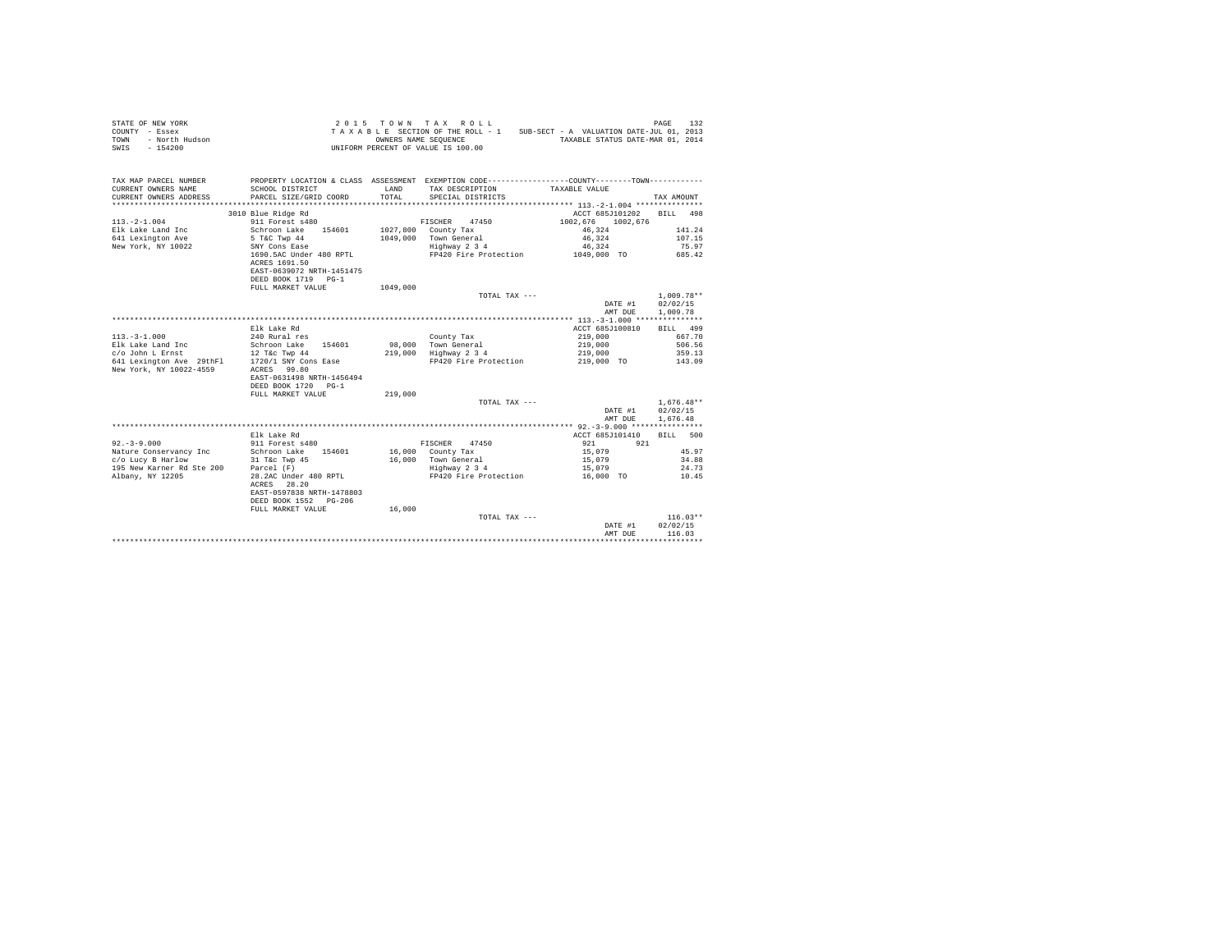| OF NEW YORK<br>Y - Essex<br>- North Hudson<br>- 154200<br>STATE OF NEW YORK<br>COUNTY - Essex<br>TOWN<br>SWIS - 154200                                                               |                                                                                                |          | 2015 TOWN TAX ROLL<br>TAXABLE SECTION OF THE ROLL - 1 SUB-SECT - A VALUATION DATE-JUL 01, 2013<br>OWNERS NAME SEOUENCE TAXABLE STATUS DATE-MAR 01, 2014<br>UNIFORM PERCENT OF VALUE IS 100.00 |                          | 132<br>PAGE  |
|--------------------------------------------------------------------------------------------------------------------------------------------------------------------------------------|------------------------------------------------------------------------------------------------|----------|-----------------------------------------------------------------------------------------------------------------------------------------------------------------------------------------------|--------------------------|--------------|
| TAX MAP PARCEL NUMBER                                                                                                                                                                | PROPERTY LOCATION & CLASS ASSESSMENT EXEMPTION CODE----------------COUNTY--------TOWN--------- |          |                                                                                                                                                                                               |                          |              |
| CURRENT OWNERS NAME<br>CURRENT OWNERS ADDRESS                                                                                                                                        | SCHOOL DISTRICT<br>PARCEL SIZE/GRID COORD                                                      | TOTAL    | LAND TAX DESCRIPTION<br>SPECIAL DISTRICTS                                                                                                                                                     | TAXABLE VALUE            | TAX AMOUNT   |
|                                                                                                                                                                                      |                                                                                                |          |                                                                                                                                                                                               |                          |              |
|                                                                                                                                                                                      | 3010 Blue Ridge Rd                                                                             |          |                                                                                                                                                                                               | ACCT 685J101202 BILL 498 |              |
| $113. -2 - 1.004$                                                                                                                                                                    | 911 Forest s480                                                                                |          | FISCHER 47450                                                                                                                                                                                 | 1002.676 1002.676        |              |
| Elk Lake Land Inc                                                                                                                                                                    | Schroon Lake 154601                                                                            |          | 1027,800 County Tax                                                                                                                                                                           | 46,324                   | 141.24       |
| 641 Lexington Ave                                                                                                                                                                    | 5 T&C Twp 44<br>SNY Cons Ease                                                                  |          | 1049.000 Town General                                                                                                                                                                         | 46.324                   | 107.15       |
| New York, NY 10022                                                                                                                                                                   |                                                                                                |          | Highway 2 3 4                                                                                                                                                                                 | 46,324                   | 75.97        |
|                                                                                                                                                                                      | 1690.5AC Under 480 RPTL                                                                        |          | FP420 Fire Protection                                                                                                                                                                         | 1049,000 TO              | 685.42       |
|                                                                                                                                                                                      | ACRES 1691.50                                                                                  |          |                                                                                                                                                                                               |                          |              |
|                                                                                                                                                                                      | EAST-0639072 NRTH-1451475                                                                      |          |                                                                                                                                                                                               |                          |              |
|                                                                                                                                                                                      | DEED BOOK 1719 PG-1<br>FULL MARKET VALUE                                                       | 1049,000 |                                                                                                                                                                                               |                          |              |
|                                                                                                                                                                                      |                                                                                                |          | TOTAL TAX ---                                                                                                                                                                                 |                          | 1,009.78**   |
|                                                                                                                                                                                      |                                                                                                |          |                                                                                                                                                                                               | DATE #1                  | 02/02/15     |
|                                                                                                                                                                                      |                                                                                                |          |                                                                                                                                                                                               | AMT DUE                  | 1,009.78     |
|                                                                                                                                                                                      |                                                                                                |          |                                                                                                                                                                                               |                          |              |
|                                                                                                                                                                                      | Elk Lake Rd                                                                                    |          |                                                                                                                                                                                               | ACCT 685J100810          | RTT.T. 499   |
| $113. -3 - 1.000$                                                                                                                                                                    | 240 Rural res                                                                                  |          | County Tax                                                                                                                                                                                    | 219,000<br>219,000       | 667.70       |
|                                                                                                                                                                                      |                                                                                                |          | 98,000 Town General<br>219,000 Highway 2 3 4                                                                                                                                                  |                          | 506.56       |
|                                                                                                                                                                                      |                                                                                                |          |                                                                                                                                                                                               | 219,000                  | 359.13       |
|                                                                                                                                                                                      |                                                                                                |          | FP420 Fire Protection 219,000 TO                                                                                                                                                              |                          | 143.09       |
|                                                                                                                                                                                      |                                                                                                |          |                                                                                                                                                                                               |                          |              |
|                                                                                                                                                                                      | EAST-0631498 NRTH-1456494                                                                      |          |                                                                                                                                                                                               |                          |              |
|                                                                                                                                                                                      | DEED BOOK 1720 PG-1<br>FULL MARKET VALUE                                                       |          |                                                                                                                                                                                               |                          |              |
|                                                                                                                                                                                      |                                                                                                | 219,000  | TOTAL TAX ---                                                                                                                                                                                 |                          | $1,676.48**$ |
|                                                                                                                                                                                      |                                                                                                |          |                                                                                                                                                                                               | DATE #1                  | 02/02/15     |
|                                                                                                                                                                                      |                                                                                                |          |                                                                                                                                                                                               | AMT DUE                  | 1,676.48     |
|                                                                                                                                                                                      |                                                                                                |          |                                                                                                                                                                                               |                          |              |
|                                                                                                                                                                                      | Elk Lake Rd                                                                                    |          |                                                                                                                                                                                               | ACCT 685J101410          | BTLL 500     |
| $92 - 3 - 9.000$                                                                                                                                                                     | 911 Forest s480                                                                                |          | FISCHER 47450                                                                                                                                                                                 | 921 921                  |              |
| Nature Conservancy Inc Schroom Lake 154601<br>c/o Lucy B Harlow 31 T&C Twp 45<br>195 New Karner Rd Ste 200 Parcel (F)<br>Panew Karner Rd Ste 200 Parcel (F)<br>28.2AC Under 480 RPTL |                                                                                                |          | 16,000 County Tax                                                                                                                                                                             | 15,079                   | 45.97        |
|                                                                                                                                                                                      |                                                                                                |          | 16,000 Town General                                                                                                                                                                           | 15,079                   | 34.88        |
|                                                                                                                                                                                      |                                                                                                |          | Highway 2 3 4                                                                                                                                                                                 | 15,079                   | 24.73        |
|                                                                                                                                                                                      |                                                                                                |          | FP420 Fire Protection                                                                                                                                                                         | 16,000 TO                | 10.45        |
|                                                                                                                                                                                      | ACRES 28.20                                                                                    |          |                                                                                                                                                                                               |                          |              |
|                                                                                                                                                                                      | EAST-0597838 NRTH-1478803<br>DEED BOOK 1552 PG-206                                             |          |                                                                                                                                                                                               |                          |              |
|                                                                                                                                                                                      | FULL MARKET VALUE                                                                              | 16,000   |                                                                                                                                                                                               |                          |              |
|                                                                                                                                                                                      |                                                                                                |          | TOTAL TAX ---                                                                                                                                                                                 |                          | $116.03**$   |
|                                                                                                                                                                                      |                                                                                                |          |                                                                                                                                                                                               | DATE #1                  | 02/02/15     |
|                                                                                                                                                                                      |                                                                                                |          |                                                                                                                                                                                               | AMT DUE                  | 116.03       |
|                                                                                                                                                                                      |                                                                                                |          |                                                                                                                                                                                               |                          |              |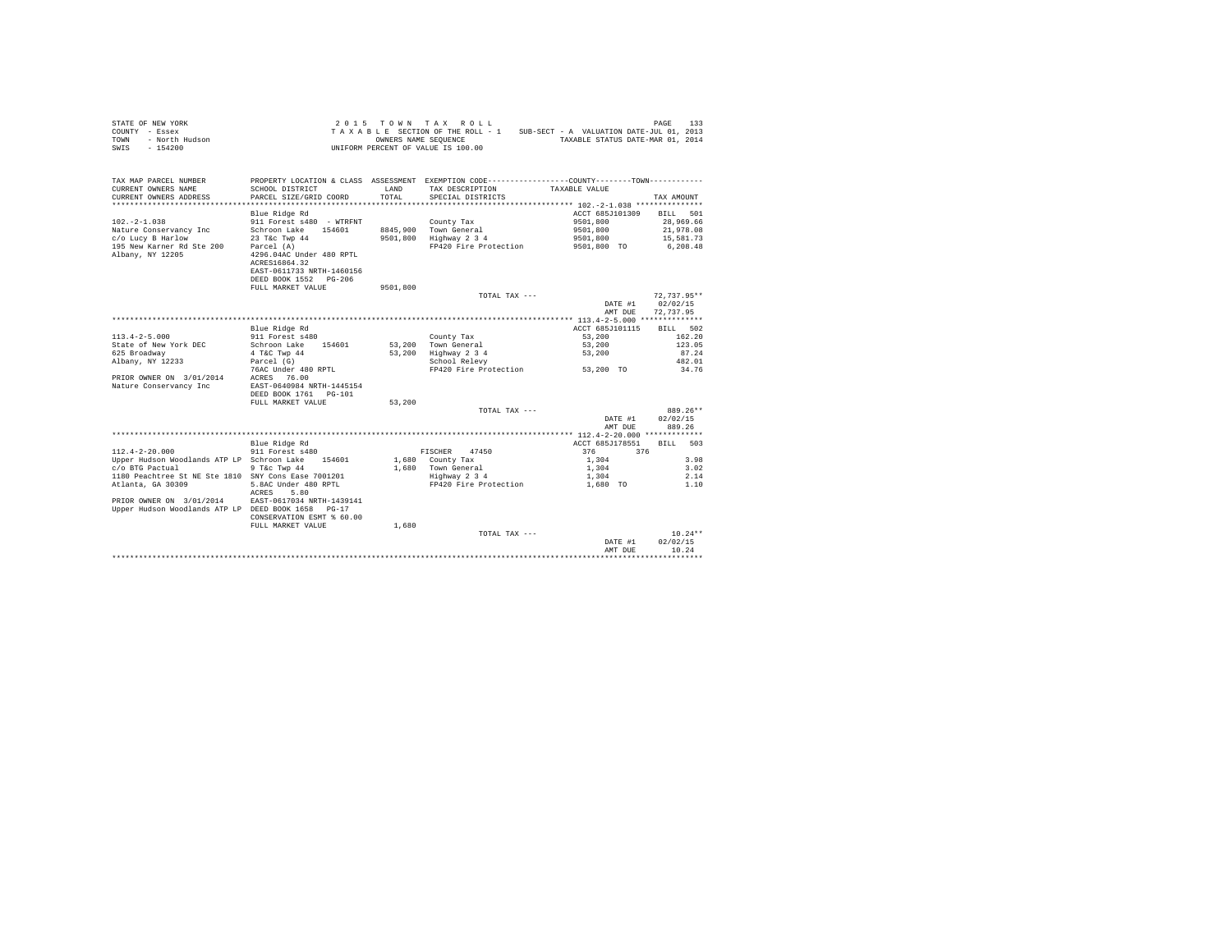| STATE OF NEW YORK      | $2.015$ TOWN TAX ROLL              | 133<br>PAGE                              |
|------------------------|------------------------------------|------------------------------------------|
| COUNTY - Essex         | TAXABLE SECTION OF THE ROLL - 1    | SUB-SECT - A VALUATION DATE-JUL 01, 2013 |
| TOWN<br>- North Hudson | OWNERS NAME SEOUENCE               | TAXABLE STATUS DATE-MAR 01, 2014         |
| - 154200<br>SWIS       | UNIFORM PERCENT OF VALUE IS 100.00 |                                          |

| TAX MAP PARCEL NUMBER<br>CURRENT OWNERS NAME<br>CURRENT OWNERS ADDRESS | SCHOOL DISTRICT<br>PARCEL SIZE/GRID COORD | LAND<br>TOTAL. | PROPERTY LOCATION & CLASS ASSESSMENT EXEMPTION CODE----------------COUNTY-------TOWN----------<br>TAX DESCRIPTION<br>SPECIAL DISTRICTS | TAXABLE VALUE   | TAX AMOUNT    |
|------------------------------------------------------------------------|-------------------------------------------|----------------|----------------------------------------------------------------------------------------------------------------------------------------|-----------------|---------------|
|                                                                        |                                           |                |                                                                                                                                        |                 |               |
|                                                                        | Blue Ridge Rd                             |                |                                                                                                                                        | ACCT 685J101309 | 501<br>BILL   |
| $102. -2 - 1.038$                                                      | 911 Forest s480 - WTRFNT                  |                | County Tax                                                                                                                             | 9501,800        | 28,969.66     |
| Nature Conservancy Inc                                                 | Schroon Lake<br>154601                    |                | 8845,900 Town General                                                                                                                  | 9501,800        | 21,978.08     |
| c/o Lucy B Harlow                                                      | 23 T&c Twp 44                             | 9501,800       | Highway 2 3 4                                                                                                                          | 9501,800        | 15,581.73     |
| 195 New Karner Rd Ste 200                                              | Parcel (A)                                |                | FP420 Fire Protection                                                                                                                  | 9501,800 TO     | 6,208.48      |
| Albany, NY 12205                                                       | 4296.04AC Under 480 RPTL                  |                |                                                                                                                                        |                 |               |
|                                                                        | ACRES16864.32                             |                |                                                                                                                                        |                 |               |
|                                                                        |                                           |                |                                                                                                                                        |                 |               |
|                                                                        | EAST-0611733 NRTH-1460156                 |                |                                                                                                                                        |                 |               |
|                                                                        | DEED BOOK 1552 PG-206                     |                |                                                                                                                                        |                 |               |
|                                                                        | FULL MARKET VALUE                         | 9501,800       |                                                                                                                                        |                 |               |
|                                                                        |                                           |                | TOTAL TAX ---                                                                                                                          |                 | $72.737.95**$ |
|                                                                        |                                           |                |                                                                                                                                        | DATE #1         | 02/02/15      |
|                                                                        |                                           |                |                                                                                                                                        | AMT DUE         | 72.737.95     |
|                                                                        |                                           |                |                                                                                                                                        |                 |               |
|                                                                        | Blue Ridge Rd                             |                |                                                                                                                                        | ACCT 685J101115 | BILL 502      |
| $113.4 - 2 - 5.000$                                                    | 911 Forest s480                           |                | County Tax                                                                                                                             | 53,200          | 162.20        |
| State of New York DEC                                                  | Schroon Lake<br>154601                    | 53,200         | Town General                                                                                                                           | 53,200          | 123.05        |
| 625 Broadway                                                           | 4 T&C Twp 44                              | 53,200         | Highway 2 3 4                                                                                                                          | 53,200          | 87.24         |
| Albany, NY 12233                                                       | Parcel (G)                                |                | School Relevy                                                                                                                          |                 | 482.01        |
|                                                                        | 76AC Under 480 RPTL                       |                | FP420 Fire Protection                                                                                                                  | 53,200 TO       | 34.76         |
| PRIOR OWNER ON 3/01/2014                                               | ACRES<br>76.00                            |                |                                                                                                                                        |                 |               |
| Nature Conservancy Inc                                                 | EAST-0640984 NRTH-1445154                 |                |                                                                                                                                        |                 |               |
|                                                                        | DEED BOOK 1761 PG-101                     |                |                                                                                                                                        |                 |               |
|                                                                        | FULL MARKET VALUE                         | 53,200         |                                                                                                                                        |                 |               |
|                                                                        |                                           |                | TOTAL TAX ---                                                                                                                          |                 | 889.26**      |
|                                                                        |                                           |                |                                                                                                                                        | DATE #1         | 02/02/15      |
|                                                                        |                                           |                |                                                                                                                                        | AMT DUE         | 889.26        |
|                                                                        |                                           |                |                                                                                                                                        |                 |               |
|                                                                        | Blue Ridge Rd                             |                |                                                                                                                                        | ACCT 685J178551 | BILL<br>503   |
| $112.4 - 2 - 20.000$                                                   | 911 Forest s480                           |                | 47450<br>FISCHER                                                                                                                       | 376<br>376      |               |
| Upper Hudson Woodlands ATP LP Schroon Lake 154601                      |                                           |                | 1,680 County Tax                                                                                                                       | 1,304           | 3.98          |
| c/o BTG Pactual                                                        | 9 T&c Twp 44                              |                | 1,680 Town General                                                                                                                     | 1,304           | 3.02          |
| 1180 Peachtree St NE Ste 1810 SNY Cons Ease 7001201                    |                                           |                | Highway 2 3 4                                                                                                                          | 1,304           | 2.14          |
| Atlanta, GA 30309                                                      | 5.8AC Under 480 RPTL                      |                | FP420 Fire Protection                                                                                                                  | 1,680 TO        | 1.10          |
|                                                                        | 5.80<br>ACRES                             |                |                                                                                                                                        |                 |               |
| PRIOR OWNER ON 3/01/2014                                               | EAST-0617034 NRTH-1439141                 |                |                                                                                                                                        |                 |               |
| Upper Hudson Woodlands ATP LP DEED BOOK 1658                           | $PG-17$                                   |                |                                                                                                                                        |                 |               |
|                                                                        | CONSERVATION ESMT % 60.00                 |                |                                                                                                                                        |                 |               |
|                                                                        | FULL MARKET VALUE                         | 1,680          |                                                                                                                                        |                 |               |
|                                                                        |                                           |                | TOTAL TAX ---                                                                                                                          |                 | $10.24**$     |
|                                                                        |                                           |                |                                                                                                                                        | DATE #1         | 02/02/15      |
|                                                                        |                                           |                |                                                                                                                                        | AMT DUE         | 10.24         |
|                                                                        |                                           |                |                                                                                                                                        |                 |               |
|                                                                        |                                           |                |                                                                                                                                        |                 |               |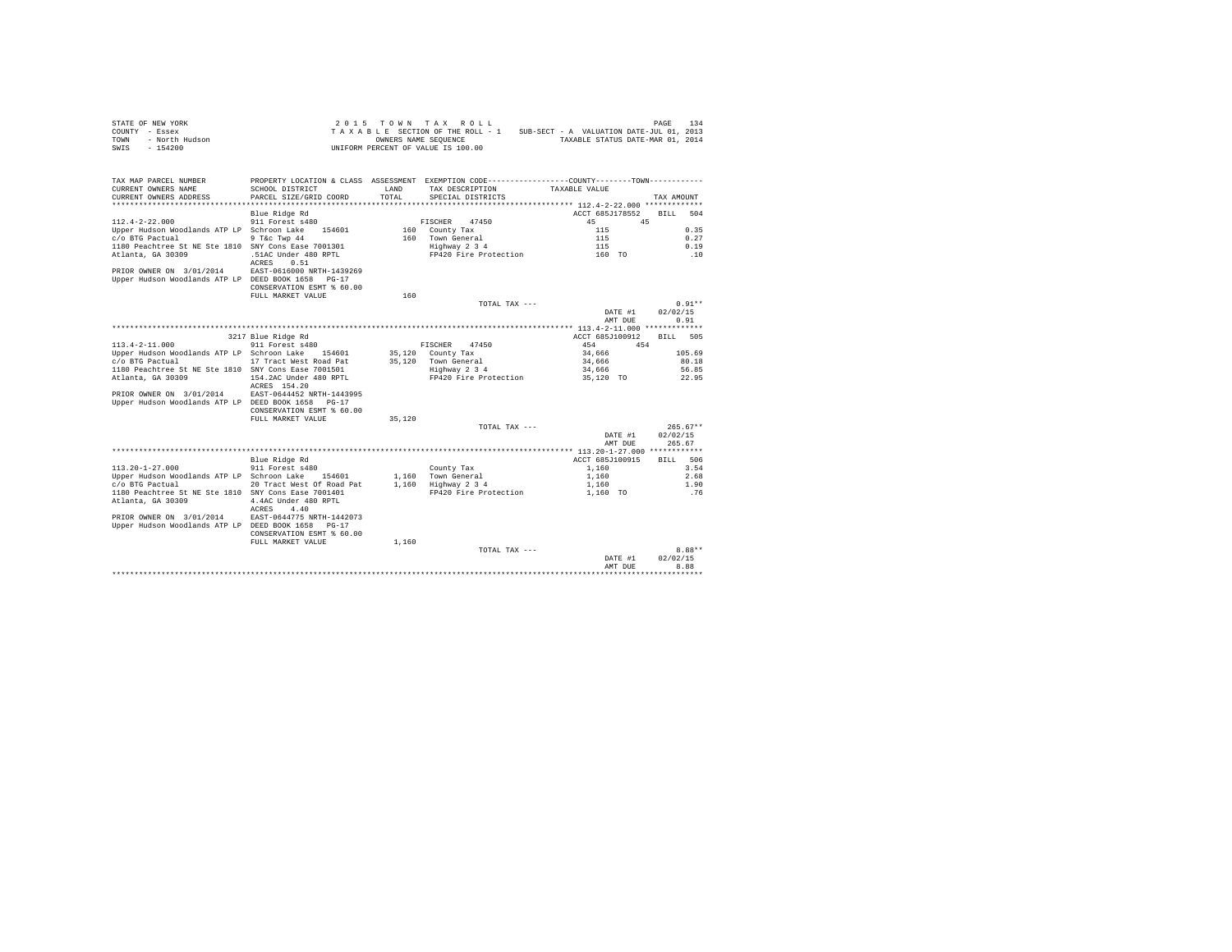|                | STATE OF NEW YORK |  |  |  | 2015 TOWN TAX ROLL                 |  |  |  |                                          |  | PAGE                             | 134 |
|----------------|-------------------|--|--|--|------------------------------------|--|--|--|------------------------------------------|--|----------------------------------|-----|
| COUNTY - Essex |                   |  |  |  | TAXABLE SECTION OF THE ROLL - 1    |  |  |  | SUB-SECT - A VALUATION DATE-JUL 01, 2013 |  |                                  |     |
| TOWN           | - North Hudson    |  |  |  | OWNERS NAME SEOUENCE               |  |  |  |                                          |  | TAXABLE STATUS DATE-MAR 01, 2014 |     |
| SWIS           | - 154200          |  |  |  | UNIFORM PERCENT OF VALUE IS 100.00 |  |  |  |                                          |  |                                  |     |

| TAX MAP PARCEL NUMBER<br>CURRENT OWNERS NAME<br>CURRENT OWNERS ADDRESS | PROPERTY LOCATION & CLASS ASSESSMENT EXEMPTION CODE----------------COUNTY-------TOWN----------<br>SCHOOL DISTRICT<br>PARCEL SIZE/GRID COORD | LAND<br>TOTAL | TAX DESCRIPTION<br>SPECIAL DISTRICTS | TAXABLE VALUE                                | TAX AMOUNT         |
|------------------------------------------------------------------------|---------------------------------------------------------------------------------------------------------------------------------------------|---------------|--------------------------------------|----------------------------------------------|--------------------|
|                                                                        |                                                                                                                                             |               |                                      |                                              |                    |
|                                                                        | Blue Ridge Rd                                                                                                                               |               |                                      | ACCT 685J178552                              | <b>BILL</b><br>504 |
| $112.4 - 2 - 22.000$                                                   | 911 Forest s480                                                                                                                             |               | 47450<br>FISCHER                     | 45<br>45                                     |                    |
| Upper Hudson Woodlands ATP LP Schroon Lake                             | 154601                                                                                                                                      | 160           | County Tax                           | 115                                          | 0.35               |
| c/o BTG Pactual                                                        | 9 T&c Twp 44                                                                                                                                |               | 160 Town General                     | 115                                          | 0.27               |
| 1180 Peachtree St NE Ste 1810 SNY Cons Ease 7001301                    |                                                                                                                                             |               | Highway 2 3 4                        | 115                                          | 0.19               |
| Atlanta, GA 30309                                                      | .51AC Under 480 RPTL                                                                                                                        |               | FP420 Fire Protection                | 160 TO                                       | .10                |
|                                                                        | 0.51<br>ACRES                                                                                                                               |               |                                      |                                              |                    |
| PRIOR OWNER ON 3/01/2014                                               | EAST-0616000 NRTH-1439269                                                                                                                   |               |                                      |                                              |                    |
| Upper Hudson Woodlands ATP LP DEED BOOK 1658                           | $PG-17$                                                                                                                                     |               |                                      |                                              |                    |
|                                                                        | CONSERVATION ESMT % 60.00                                                                                                                   |               |                                      |                                              |                    |
|                                                                        | FULL MARKET VALUE                                                                                                                           | 160           |                                      |                                              |                    |
|                                                                        |                                                                                                                                             |               | TOTAL TAX ---                        |                                              | $0.91**$           |
|                                                                        |                                                                                                                                             |               |                                      | DATE #1                                      | 02/02/15           |
|                                                                        |                                                                                                                                             |               |                                      | AMT DUE                                      | 0.91               |
|                                                                        |                                                                                                                                             |               |                                      | ************** 113.4-2-11.000 ************** |                    |
|                                                                        | 3217 Blue Ridge Rd                                                                                                                          |               |                                      | ACCT 685J100912                              | 505<br><b>BILL</b> |
| $113.4 - 2 - 11.000$                                                   | 911 Forest s480                                                                                                                             |               | FISCHER<br>47450                     | 454<br>454                                   |                    |
| Upper Hudson Woodlands ATP LP Schroon Lake                             | 154601                                                                                                                                      | 35,120        | County Tax                           | 34,666                                       | 105.69             |
| c/o BTG Pactual                                                        | 17 Tract West Road Pat                                                                                                                      | 35,120        | Town General                         | 34,666                                       | 80.18              |
| 1180 Peachtree St NE Ste 1810 SNY Cons Ease 7001501                    |                                                                                                                                             |               | Highway 2 3 4                        | 34,666                                       | 56.85              |
| Atlanta, GA 30309                                                      | 154.2AC Under 480 RPTL                                                                                                                      |               | FP420 Fire Protection                | 35,120 TO                                    | 22.95              |
|                                                                        | ACRES 154.20                                                                                                                                |               |                                      |                                              |                    |
| PRIOR OWNER ON 3/01/2014                                               | EAST-0644452 NRTH-1443995                                                                                                                   |               |                                      |                                              |                    |
| Upper Hudson Woodlands ATP LP DEED BOOK 1658                           | $PG-17$                                                                                                                                     |               |                                      |                                              |                    |
|                                                                        | CONSERVATION ESMT % 60.00                                                                                                                   |               |                                      |                                              |                    |
|                                                                        | FULL MARKET VALUE                                                                                                                           | 35,120        |                                      |                                              |                    |
|                                                                        |                                                                                                                                             |               | TOTAL TAX ---                        |                                              | $265.67**$         |
|                                                                        |                                                                                                                                             |               |                                      | DATE #1                                      | 02/02/15           |
|                                                                        |                                                                                                                                             |               |                                      | AMT DUE                                      | 265.67             |
|                                                                        |                                                                                                                                             |               |                                      |                                              |                    |
|                                                                        | Blue Ridge Rd                                                                                                                               |               |                                      | ACCT 685J100915                              | 506<br>RTLL.       |
| $113.20 - 1 - 27.000$                                                  | 911 Forest s480                                                                                                                             |               | County Tax                           | 1,160                                        | 3.54               |
| Upper Hudson Woodlands ATP LP Schroon Lake 154601                      |                                                                                                                                             |               | 1.160 Town General                   | 1,160                                        | 2.68               |
| c/o BTG Pactual                                                        | 20 Tract West Of Road Pat                                                                                                                   | 1,160         | Highway 2 3 4                        | 1,160                                        | 1.90               |
| 1180 Peachtree St NE Ste 1810 SNY Cons Ease 7001401                    |                                                                                                                                             |               | FP420 Fire Protection                | 1,160 TO                                     | .76                |
| Atlanta, GA 30309                                                      | 4.4AC Under 480 RPTL                                                                                                                        |               |                                      |                                              |                    |
|                                                                        | 4.40<br>ACRES                                                                                                                               |               |                                      |                                              |                    |
| PRIOR OWNER ON 3/01/2014                                               | EAST-0644775 NRTH-1442073                                                                                                                   |               |                                      |                                              |                    |
| Upper Hudson Woodlands ATP LP DEED BOOK 1658                           | $PG-17$                                                                                                                                     |               |                                      |                                              |                    |
|                                                                        | CONSERVATION ESMT % 60.00                                                                                                                   |               |                                      |                                              |                    |
|                                                                        | FULL MARKET VALUE                                                                                                                           | 1,160         |                                      |                                              |                    |
|                                                                        |                                                                                                                                             |               | TOTAL TAX ---                        |                                              | $8.88**$           |
|                                                                        |                                                                                                                                             |               |                                      | DATE #1                                      | 02/02/15           |
|                                                                        |                                                                                                                                             |               |                                      | AMT DHE                                      | 8.88               |
|                                                                        |                                                                                                                                             |               |                                      |                                              | ***********        |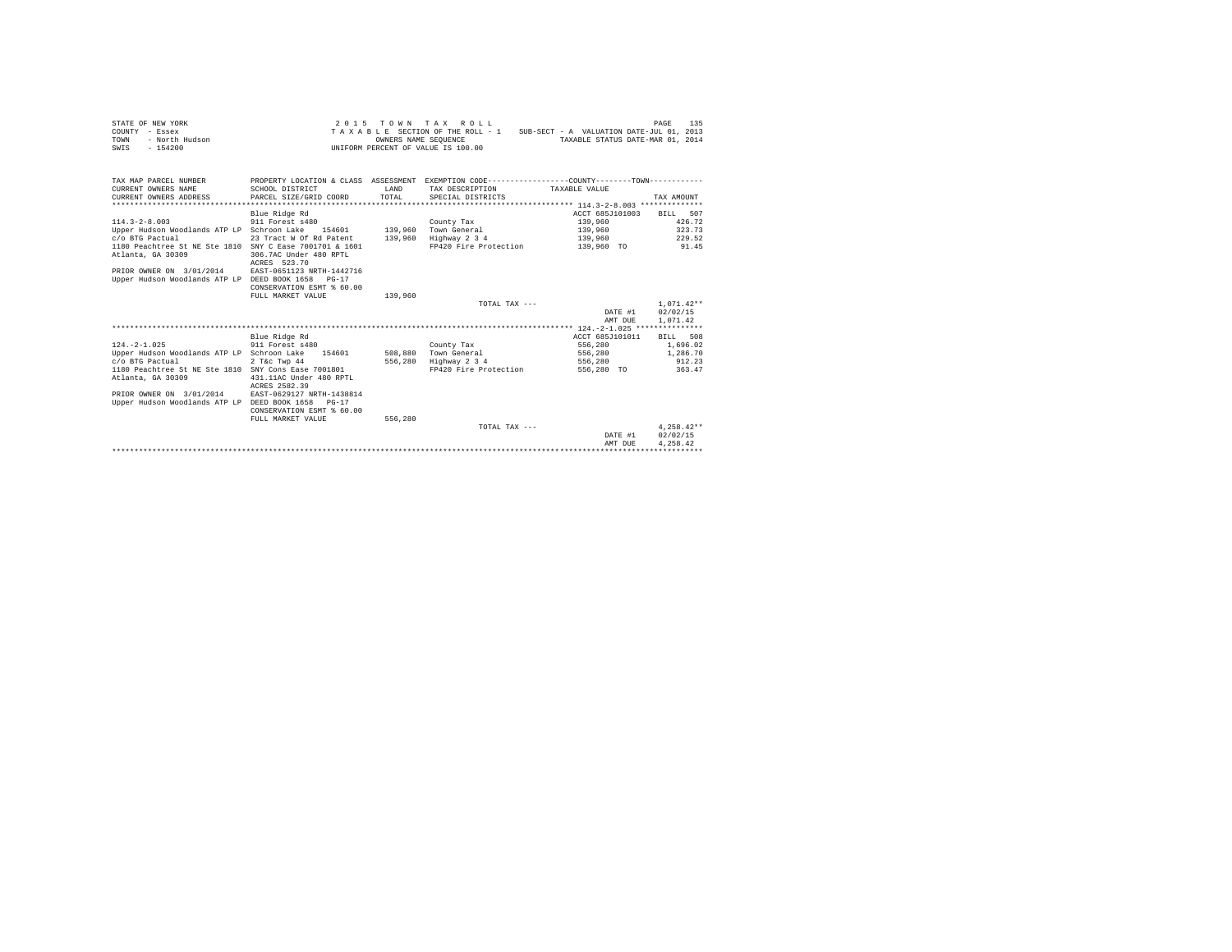| STATE OF NEW YORK      | $2.015$ TOWN TAX ROLL                                                       | 135<br>PAGE                      |
|------------------------|-----------------------------------------------------------------------------|----------------------------------|
| COUNTY - Essex         | SUB-SECT - A VALUATION DATE-JUL 01, 2013<br>TAXABLE SECTION OF THE ROLL - 1 |                                  |
| TOWN<br>- North Hudson | OWNERS NAME SEOUENCE                                                        | TAXABLE STATUS DATE-MAR 01, 2014 |
| SWIS<br>- 154200       | UNIFORM PERCENT OF VALUE IS 100.00                                          |                                  |

| SCHOOL DISTRICT                                                                                                                                                                                                                                                                                                                                  | <b>T.AND</b><br>TOTAL | TAX DESCRIPTION<br>SPECIAL DISTRICTS                                 | TAXABLE VALUE                                                  | TAX AMOUNT                                                                                   |
|--------------------------------------------------------------------------------------------------------------------------------------------------------------------------------------------------------------------------------------------------------------------------------------------------------------------------------------------------|-----------------------|----------------------------------------------------------------------|----------------------------------------------------------------|----------------------------------------------------------------------------------------------|
| Blue Ridge Rd<br>911 Forest s480<br>Upper Hudson Woodlands ATP LP Schroon Lake<br>154601<br>23 Tract W Of Rd Patent<br>1180 Peachtree St NE Ste 1810 SNY C Ease 7001701 & 1601<br>306.7AC Under 480 RPTL<br>ACRES 523.70<br>EAST-0651123 NRTH-1442716<br>Upper Hudson Woodlands ATP LP<br>DEED BOOK 1658<br>$PG-17$<br>CONSERVATION ESMT % 60.00 | 139,960<br>139,960    | County Tax<br>Town General<br>Highway 2 3 4<br>FP420 Fire Protection | ACCT 685J101003<br>139,960<br>139,960<br>139,960<br>139,960 TO | BILL 507<br>426.72<br>323.73<br>229.52<br>91.45                                              |
| FULL MARKET VALUE                                                                                                                                                                                                                                                                                                                                | 139,960               | TOTAL TAX $---$                                                      | DATE #1<br>AMT DUE                                             | $1,071.42**$<br>02/02/15<br>1,071.42                                                         |
| Blue Ridge Rd<br>911 Forest s480<br>Upper Hudson Woodlands ATP LP Schroon Lake<br>154601<br>2 T&c Twp 44<br>1180 Peachtree St NE Ste 1810 SNY Cons Ease 7001801<br>431.11AC Under 480 RPTL<br>ACRES 2582.39<br>EAST-0629127 NRTH-1438814<br>Upper Hudson Woodlands ATP LP DEED BOOK 1658<br>$PG-17$<br>CONSERVATION ESMT % 60.00                 | 556,280               | County Tax<br>Town General<br>Highway 2 3 4<br>FP420 Fire Protection | ACCT 685J101011<br>556,280<br>556,280<br>556,280<br>556,280 TO | 508<br><b>BILL</b><br>1,696.02<br>1,286.70<br>912.23<br>363.47                               |
|                                                                                                                                                                                                                                                                                                                                                  |                       | TOTAL TAX ---                                                        | DATE #1<br>AMT DUE                                             | $4.258.42**$<br>02/02/15<br>4.258.42                                                         |
|                                                                                                                                                                                                                                                                                                                                                  | FULL MARKET VALUE     | PARCEL SIZE/GRID COORD<br>556,280                                    | 508,880                                                        | PROPERTY LOCATION & CLASS ASSESSMENT EXEMPTION CODE---------------COUNTY-------TOWN--------- |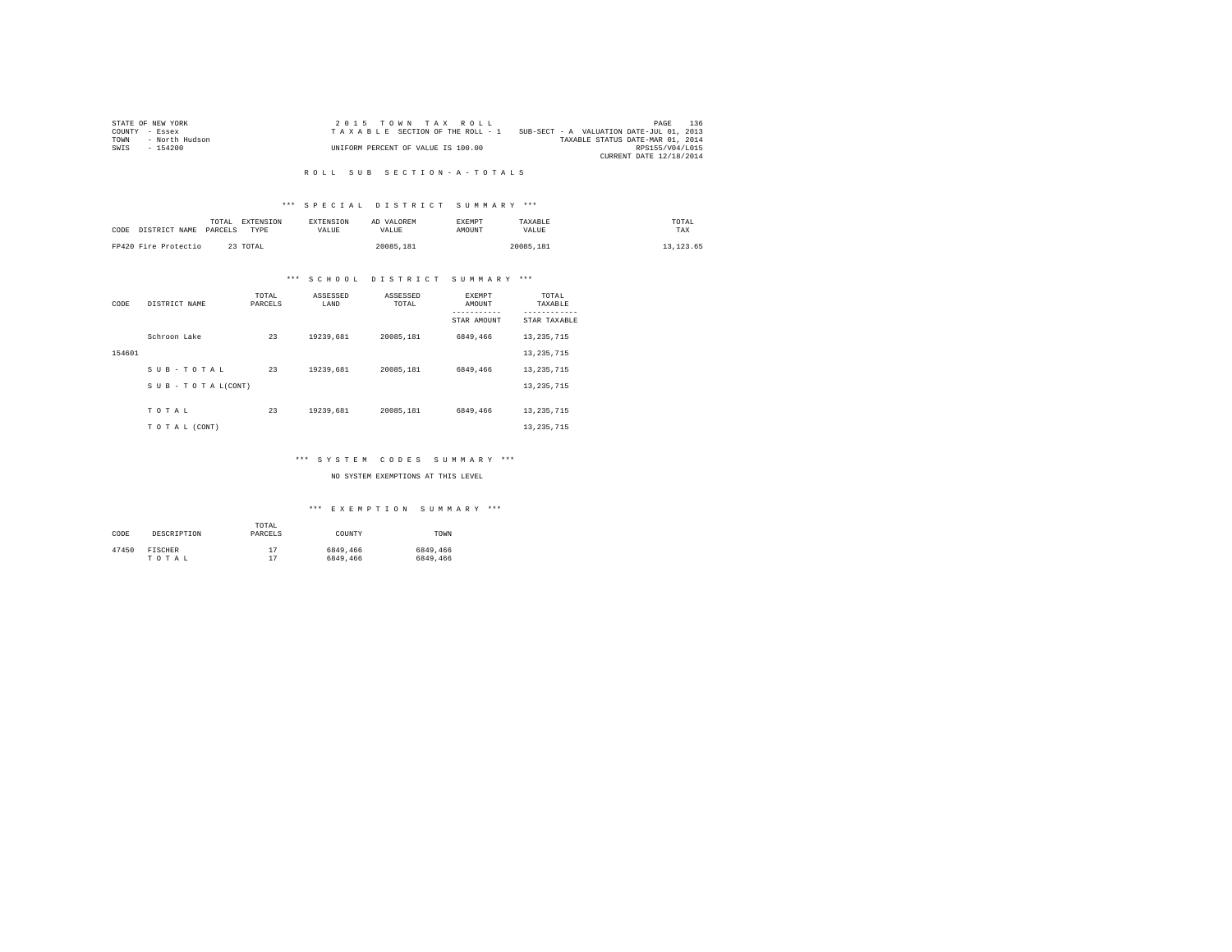|                | STATE OF NEW YORK | 2015 TOWN TAX ROLL                 |                                          | PAGE                    | 136 |
|----------------|-------------------|------------------------------------|------------------------------------------|-------------------------|-----|
| COUNTY - Essex |                   | TAXABLE SECTION OF THE ROLL - 1    | SUB-SECT - A VALUATION DATE-JUL 01, 2013 |                         |     |
| TOWN           | - North Hudson    |                                    | TAXABLE STATUS DATE-MAR 01, 2014         |                         |     |
| SWIS           | - 154200          | UNIFORM PERCENT OF VALUE IS 100.00 |                                          | RPS155/V04/L015         |     |
|                |                   |                                    |                                          | CURRENT DATE 12/18/2014 |     |

#### R O L L S U B S E C T I O N - A - T O T A L S

# \*\*\* S P E C I A L D I S T R I C T S U M M A R Y \*\*\*

| CODE | DISTRICT NAME        | TOTAL<br>PARCELS | EXTENSION<br>TYPE | <b>EXTENSION</b><br>VALUE | AD VALOREM<br>VALUE | <b>EXEMPT</b><br>AMOUNT | TAXABLE<br>VALUE | TOTAL<br>TAX |
|------|----------------------|------------------|-------------------|---------------------------|---------------------|-------------------------|------------------|--------------|
|      | FP420 Fire Protectio |                  | 23 TOTAL          |                           | 20085.181           |                         | 20085.181        | 13, 123, 65  |

# \*\*\* S C H O O L D I S T R I C T S U M M A R Y \*\*\*

| CODE   | DISTRICT NAME             | TOTAL<br>PARCELS | ASSESSED<br>LAND | ASSESSED<br>TOTAL | <b>EXEMPT</b><br>AMOUNT | TOTAL<br>TAXABLE          |
|--------|---------------------------|------------------|------------------|-------------------|-------------------------|---------------------------|
|        |                           |                  |                  |                   | STAR AMOUNT             | ---------<br>STAR TAXABLE |
|        | Schroon Lake              | 23               | 19239,681        | 20085.181         | 6849,466                | 13, 235, 715              |
| 154601 |                           |                  |                  |                   |                         | 13, 235, 715              |
|        | SUB-TOTAL                 | 23               | 19239,681        | 20085.181         | 6849,466                | 13, 235, 715              |
|        | $S$ U B - T O T A L(CONT) |                  |                  |                   |                         | 13, 235, 715              |
|        | TOTAL                     | 23               | 19239,681        | 20085.181         | 6849,466                | 13, 235, 715              |
|        | TO TAL (CONT)             |                  |                  |                   |                         | 13, 235, 715              |

# \*\*\* S Y S T E M C O D E S S U M M A R Y \*\*\*

#### NO SYSTEM EXEMPTIONS AT THIS LEVEL

| CODE  | DESCRIPTION | TOTAL<br>PARCELS | COUNTY   | TOWN     |
|-------|-------------|------------------|----------|----------|
| 47450 | FISCHER     | 17               | 6849,466 | 6849,466 |
|       | TOTAL       | 17               | 6849,466 | 6849,466 |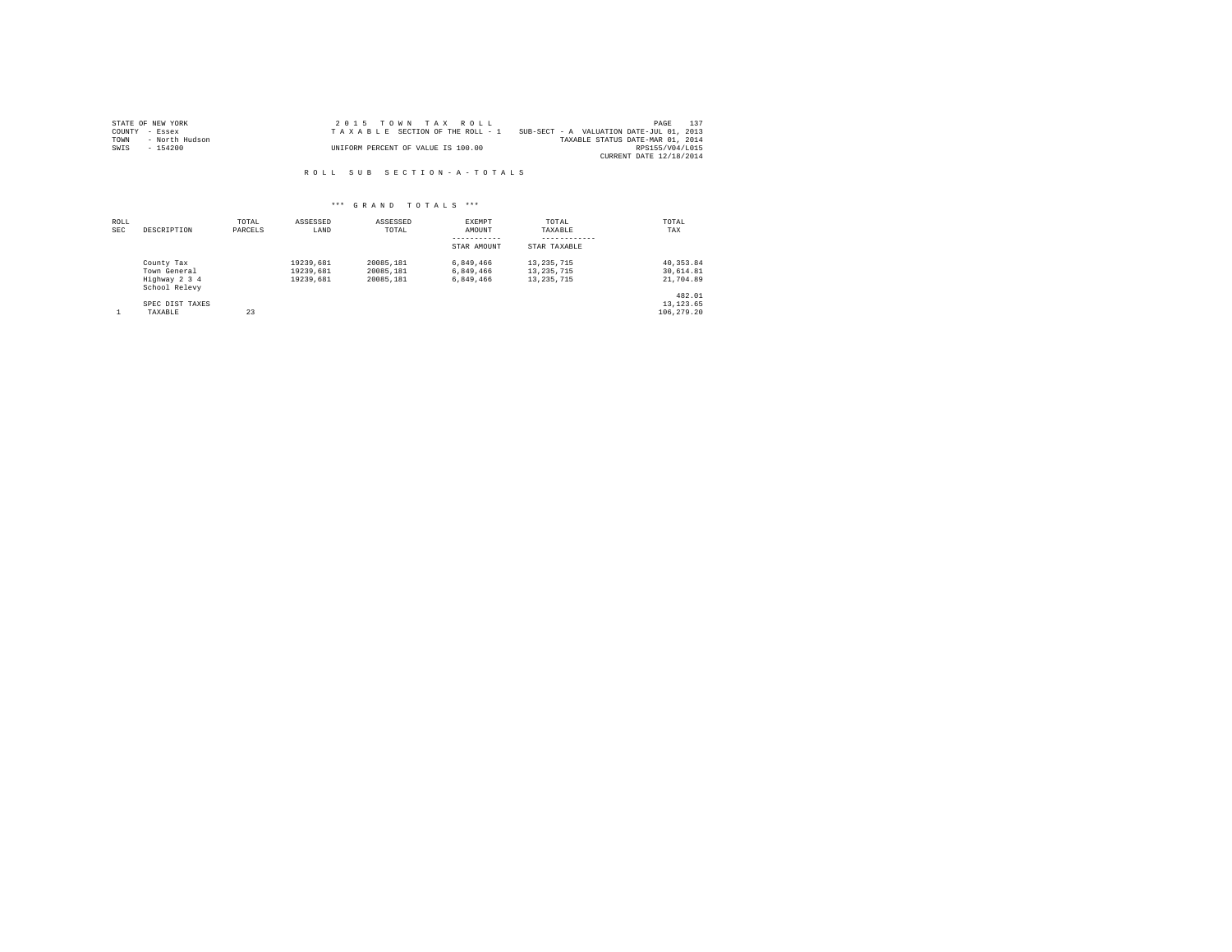|                | STATE OF NEW YORK | 2015 TOWN TAX ROLL                 |                                          | PAGE                    | 137 |
|----------------|-------------------|------------------------------------|------------------------------------------|-------------------------|-----|
| COUNTY - Essex |                   | TAXABLE SECTION OF THE ROLL - 1    | SUB-SECT - A VALUATION DATE-JUL 01, 2013 |                         |     |
| TOWN           | - North Hudson    |                                    | TAXABLE STATUS DATE-MAR 01, 2014         |                         |     |
| SWIS           | - 154200          | UNIFORM PERCENT OF VALUE IS 100.00 |                                          | RPS155/V04/L015         |     |
|                |                   |                                    |                                          | CURRENT DATE 12/18/2014 |     |

R O L L S U B S E C T I O N - A - T O T A L S

| ROLL<br>SEC | DESCRIPTION                                                  | TOTAL<br>PARCELS | ASSESSED<br>LAND                    | ASSESSED<br>TOTAL                   | EXEMPT<br>AMOUNT<br>-----------<br>STAR AMOUNT | TOTAL<br>TAXABLE<br>------------<br>STAR TAXABLE | TOTAL<br>TAX                         |
|-------------|--------------------------------------------------------------|------------------|-------------------------------------|-------------------------------------|------------------------------------------------|--------------------------------------------------|--------------------------------------|
|             | County Tax<br>Town General<br>Highway 2 3 4<br>School Relevy |                  | 19239.681<br>19239.681<br>19239.681 | 20085.181<br>20085.181<br>20085.181 | 6.849.466<br>6.849.466<br>6.849.466            | 13, 235, 715<br>13, 235, 715<br>13, 235, 715     | 40, 353.84<br>30.614.81<br>21,704.89 |
|             | SPEC DIST TAXES<br>TAXABLE                                   | 23               |                                     |                                     |                                                |                                                  | 482.01<br>13, 123.65<br>106,279.20   |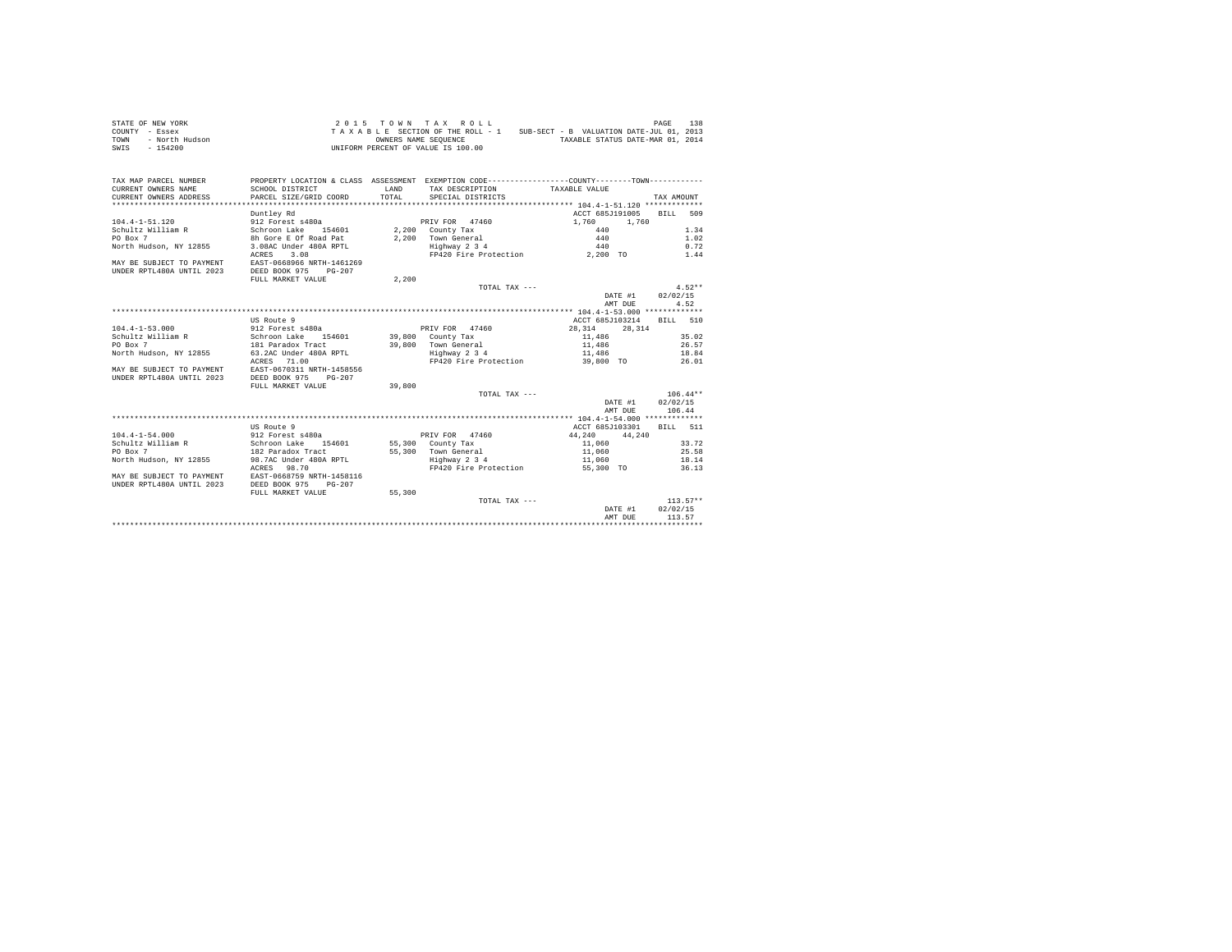|                | STATE OF NEW YORK |  |  |  | 2015 TOWN TAX ROLL                 |  |  |  |  |                                          | PAGE | 138 |
|----------------|-------------------|--|--|--|------------------------------------|--|--|--|--|------------------------------------------|------|-----|
| COUNTY - Essex |                   |  |  |  | TAXABLE SECTION OF THE ROLL - 1    |  |  |  |  | SUB-SECT - B VALUATION DATE-JUL 01, 2013 |      |     |
| TOWN           | - North Hudson    |  |  |  | OWNERS NAME SEOUENCE               |  |  |  |  | TAXABLE STATUS DATE-MAR 01, 2014         |      |     |
| SWIS           | - 154200          |  |  |  | UNIFORM PERCENT OF VALUE IS 100.00 |  |  |  |  |                                          |      |     |

| TAX MAP PARCEL NUMBER<br>CURRENT OWNERS NAME<br>CURRENT OWNERS ADDRESS | PROPERTY LOCATION & CLASS ASSESSMENT EXEMPTION CODE---------------COUNTY-------TOWN----------<br>SCHOOL DISTRICT<br>PARCEL SIZE/GRID COORD | LAND<br>TOTAL. | TAX DESCRIPTION TAXABLE VALUE<br>SPECIAL DISTRICTS   |                          | TAX AMOUNT       |
|------------------------------------------------------------------------|--------------------------------------------------------------------------------------------------------------------------------------------|----------------|------------------------------------------------------|--------------------------|------------------|
|                                                                        |                                                                                                                                            |                |                                                      |                          |                  |
|                                                                        | Duntley Rd                                                                                                                                 |                |                                                      | ACCT 685J191005 BILL 509 |                  |
| 104.4-1-51.120                                                         | 912 Forest s480a                                                                                                                           |                | PRIV FOR 47460<br>PRIV FOR 47460<br>2,200 County Tax | 1,760 1,760              |                  |
| Schultz William R                                                      | Schroon Lake 154601<br>8h Gore E Of Road Pat                                                                                               |                |                                                      | $440$<br>$440$           | 1.34             |
| PO Box 7                                                               |                                                                                                                                            |                | 2,200 Town General                                   |                          | 1.02             |
| North Hudson, NY 12855                                                 | 3.08AC Under 480A RPTL                                                                                                                     |                | Highway 2 3 4                                        | 440                      | 0.72             |
|                                                                        | ACRES 3.08                                                                                                                                 |                | FP420 Fire Protection 2,200 TO 1.44                  |                          |                  |
| MAY BE SUBJECT TO PAYMENT                                              | EAST-0668966 NRTH-1461269                                                                                                                  |                |                                                      |                          |                  |
| UNDER RPTL480A UNTIL 2023                                              | DEED BOOK 975 PG-207                                                                                                                       |                |                                                      |                          |                  |
|                                                                        | FULL MARKET VALUE                                                                                                                          | 2,200          |                                                      |                          |                  |
|                                                                        |                                                                                                                                            |                | TOTAL TAX ---                                        |                          | $4.52**$         |
|                                                                        |                                                                                                                                            |                |                                                      |                          | DATE #1 02/02/15 |
|                                                                        |                                                                                                                                            |                |                                                      | AMT DUE                  | 4.52             |
|                                                                        |                                                                                                                                            |                |                                                      |                          |                  |
|                                                                        | US Route 9                                                                                                                                 |                |                                                      | ACCT 685J103214          | BILL 510         |
| $104.4 - 1 - 53.000$                                                   | 912 Forest s480a extended by PRIV FOR 47460                                                                                                |                |                                                      | 28.314 28.314            |                  |
| Schultz William R Schroon Lake 154601 39,800 County Tax                |                                                                                                                                            |                |                                                      | 11,486 35.02             |                  |
| PO Box 7                                                               |                                                                                                                                            |                | 39,800 Town General                                  | 11,486                   | 26.57<br>18.84   |
| North Hudson, NY 12855                                                 | 181 Paradox Tract<br>63.2AC Under 480A RPTL                                                                                                |                | Highway 2 3 4                                        | 11,486                   |                  |
|                                                                        | ACRES 71.00                                                                                                                                |                | FP420 Fire Protection 39,800 TO 26.01                |                          |                  |
| MAY BE SUBJECT TO PAYMENT                                              | EAST-0670311 NRTH-1458556                                                                                                                  |                |                                                      |                          |                  |
| UNDER RPTL480A UNTIL 2023                                              | DEED BOOK 975<br>$PG-207$                                                                                                                  |                |                                                      |                          |                  |
|                                                                        | FULL MARKET VALUE                                                                                                                          | 39,800         |                                                      |                          |                  |
|                                                                        |                                                                                                                                            |                | TOTAL TAX ---                                        |                          | $106.44**$       |
|                                                                        |                                                                                                                                            |                |                                                      |                          | DATE #1 02/02/15 |
|                                                                        |                                                                                                                                            |                |                                                      | AMT DUE                  | 106.44           |
|                                                                        |                                                                                                                                            |                |                                                      |                          |                  |
|                                                                        | US Route 9                                                                                                                                 |                |                                                      | ACCT 685J103301          | BTT.T. 511       |
| $104.4 - 1 - 54.000$                                                   | 912 Forest s480a<br>Schroon Lake 154601<br>182 Paradox Tract                                                                               |                | PRIV FOR 47460                                       | $44,240$ $44,240$        |                  |
| Schultz William R<br>PO Box 7                                          |                                                                                                                                            |                | 55,300 County Tax                                    | 11,060                   | 33.72            |
| PO Box 7                                                               |                                                                                                                                            |                | 55,300 Town General                                  | 11,060                   | 25.58            |
| North Hudson, NY 12855 98.7AC Under 480A RPTL 5 3 4                    |                                                                                                                                            |                |                                                      | 11,060 18.14             |                  |
|                                                                        | ACRES 98.70                                                                                                                                |                | FP420 Fire Protection                                | 55,300 TO                | 36.13            |
| MAY BE SUBJECT TO PAYMENT EAST-0668759 NRTH-1458116                    |                                                                                                                                            |                |                                                      |                          |                  |
| UNDER RPTL480A UNTIL 2023                                              | DEED BOOK 975<br>$PG-207$                                                                                                                  |                |                                                      |                          |                  |
|                                                                        | FULL MARKET VALUE                                                                                                                          | 55,300         |                                                      |                          |                  |
|                                                                        |                                                                                                                                            |                | TOTAL TAX ---                                        |                          | $113.57**$       |
|                                                                        |                                                                                                                                            |                |                                                      |                          | DATE #1 02/02/15 |
|                                                                        |                                                                                                                                            |                |                                                      | AMT DUE                  | 113.57           |
|                                                                        |                                                                                                                                            |                |                                                      |                          |                  |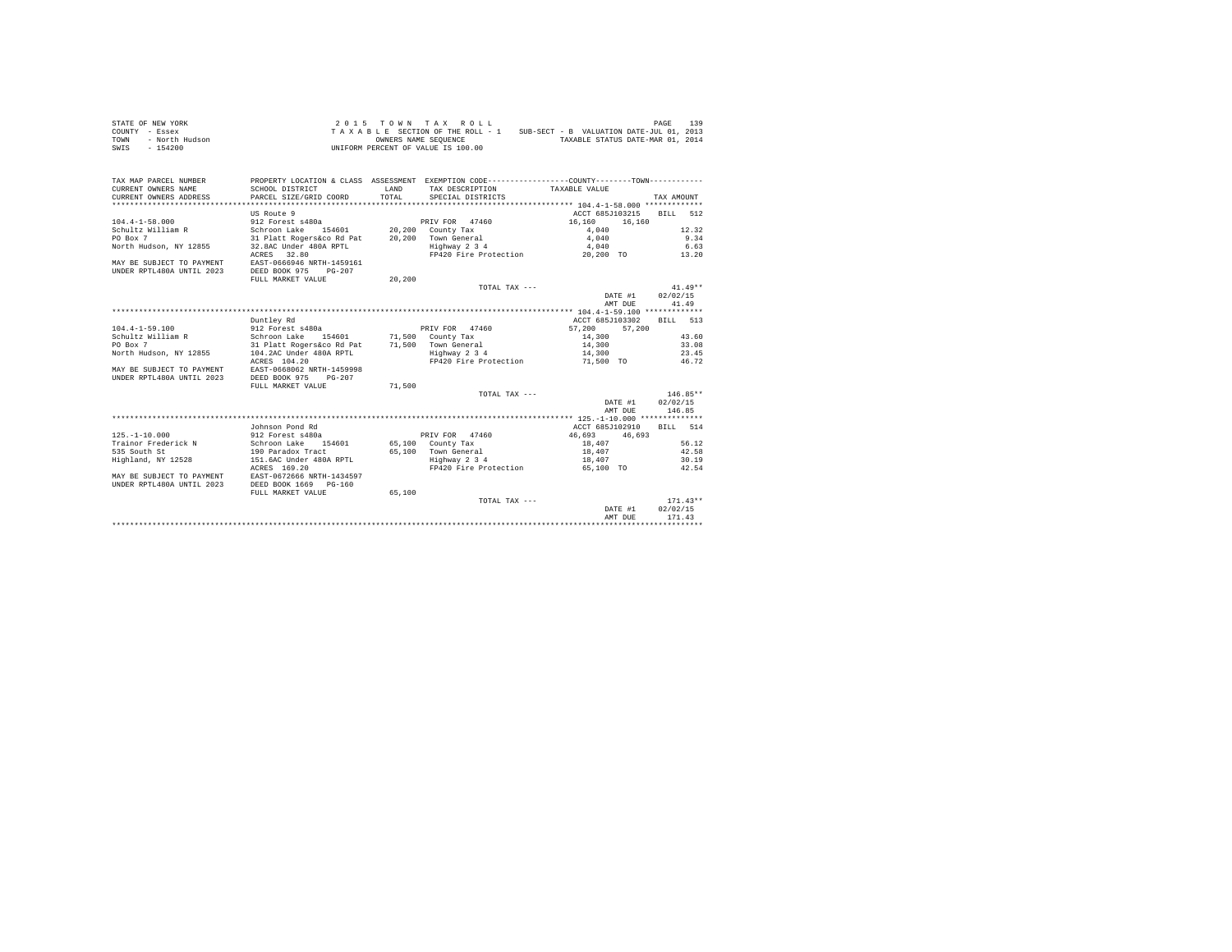|                | STATE OF NEW YORK |  |  |  | 2015 TOWN TAX ROLL                 |  |  |  |  |                                          | PAGE | 139 |
|----------------|-------------------|--|--|--|------------------------------------|--|--|--|--|------------------------------------------|------|-----|
| COUNTY - Essex |                   |  |  |  | TAXABLE SECTION OF THE ROLL - 1    |  |  |  |  | SUB-SECT - B VALUATION DATE-JUL 01, 2013 |      |     |
| TOWN           | - North Hudson    |  |  |  | OWNERS NAME SEOUENCE               |  |  |  |  | TAXABLE STATUS DATE-MAR 01, 2014         |      |     |
| SWIS           | $-154200$         |  |  |  | UNIFORM PERCENT OF VALUE IS 100.00 |  |  |  |  |                                          |      |     |

| TAX MAP PARCEL NUMBER<br>CURRENT OWNERS NAME<br>CURRENT OWNERS ADDRESS | PROPERTY LOCATION & CLASS ASSESSMENT EXEMPTION CODE---------------COUNTY-------TOWN----------<br>SCHOOL DISTRICT<br>PARCEL SIZE/GRID COORD | LAND<br>TOTAL. | TAX DESCRIPTION TAXABLE VALUE<br>SPECIAL DISTRICTS |                                       | TAX AMOUNT |
|------------------------------------------------------------------------|--------------------------------------------------------------------------------------------------------------------------------------------|----------------|----------------------------------------------------|---------------------------------------|------------|
|                                                                        |                                                                                                                                            |                |                                                    |                                       |            |
|                                                                        | US Route 9                                                                                                                                 |                |                                                    | ACCT 685J103215 BILL 512              |            |
| $104.4 - 1 - 58.000$                                                   | 912 Forest s480a                                                                                                                           |                | PRIV FOR 47460 16,160                              | 16,160                                |            |
| Schultz William R                                                      |                                                                                                                                            |                |                                                    |                                       | 12.32      |
| PO Box 7                                                               | Schroon Lake 154601 20,200 County Tax<br>31 Platt Rogers&co Rd Pat 20,200 Town General                                                     |                | 20,200 Town General                                | $4,040$<br>$4,040$                    | 9.34       |
| North Hudson, NY 12855                                                 | 32.8AC Under 480A RPTL                                                                                                                     |                | Highway 2 3 4                                      | 4,040                                 | 6.63       |
|                                                                        | ACRES 32.80                                                                                                                                |                |                                                    | FP420 Fire Protection 20,200 TO 13.20 |            |
| MAY BE SUBJECT TO PAYMENT<br>UNDER RPTL480A UNTIL 2023                 | EAST-0666946 NRTH-1459161<br>DEED BOOK 975 PG-207                                                                                          |                |                                                    |                                       |            |
|                                                                        | FULL MARKET VALUE                                                                                                                          | 20,200         |                                                    |                                       |            |
|                                                                        |                                                                                                                                            |                | TOTAL TAX ---                                      |                                       | $41.49**$  |
|                                                                        |                                                                                                                                            |                |                                                    | DATE #1 02/02/15                      |            |
|                                                                        |                                                                                                                                            |                |                                                    | AMT DUE                               | 41.49      |
|                                                                        |                                                                                                                                            |                |                                                    |                                       |            |
|                                                                        | Duntley Rd                                                                                                                                 |                |                                                    | ACCT 685J103302                       | BILL 513   |
| $104.4 - 1 - 59.100$                                                   | 912 Forest s480a                                                                                                                           |                | PRIV FOR 47460                                     | 57,200 57,200                         |            |
| Schultz William R                                                      | Schroon Lake 154601 71,500 County Tax                                                                                                      |                |                                                    | 14,300                                | 43.60      |
| PO Box 7                                                               | 31 Platt Rogers&co Rd Pat 71,500 Town General<br>104.2AC Under 480A RPTL Highway 2 3 4                                                     |                |                                                    | 14,300                                | 33.08      |
| North Hudson, NY 12855                                                 |                                                                                                                                            |                |                                                    | 14,300                                | 23.45      |
|                                                                        | ACRES 104.20                                                                                                                               |                |                                                    | FP420 Fire Protection 51,500 TO 46.72 |            |
| MAY BE SUBJECT TO PAYMENT                                              | EAST-0668062 NRTH-1459998                                                                                                                  |                |                                                    |                                       |            |
| UNDER RPTL480A UNTIL 2023                                              | DEED BOOK 975 PG-207                                                                                                                       |                |                                                    |                                       |            |
|                                                                        | FULL MARKET VALUE                                                                                                                          | 71,500         |                                                    |                                       |            |
|                                                                        |                                                                                                                                            |                | TOTAL TAX ---                                      |                                       | $146.85**$ |
|                                                                        |                                                                                                                                            |                |                                                    | DATE #1 02/02/15                      |            |
|                                                                        |                                                                                                                                            |                |                                                    | AMT DUE                               | 146.85     |
|                                                                        |                                                                                                                                            |                |                                                    |                                       |            |
|                                                                        | Johnson Pond Rd                                                                                                                            |                |                                                    | ACCT 685J102910                       | RTT.T. 514 |
| $125. - 1 - 10.000$                                                    | 912 Forest s480a<br>Schroon Lake 154601<br>190 Paradox Tract                                                                               |                | PRIV FOR 47460                                     | 46,693 46,693                         |            |
| Trainor Frederick N                                                    |                                                                                                                                            |                | 65,100 County Tax                                  | 18,407                                | 56.12      |
| 535 South St                                                           |                                                                                                                                            |                | 65,100 Town General                                | 18,407                                | 42.58      |
| Highland, NY 12528 151.6AC Under 480A RPTL                             |                                                                                                                                            |                | Highway 2 3 4                                      | 18,407                                | 30.19      |
|                                                                        | ACRES 169.20                                                                                                                               |                | FP420 Fire Protection                              | 65,100 TO                             | 42.54      |
| MAY BE SUBJECT TO PAYMENT EAST-0672666 NRTH-1434597                    |                                                                                                                                            |                |                                                    |                                       |            |
| UNDER RPTL480A UNTIL 2023                                              | DEED BOOK 1669 PG-160                                                                                                                      |                |                                                    |                                       |            |
|                                                                        | FULL MARKET VALUE                                                                                                                          | 65,100         |                                                    |                                       |            |
|                                                                        |                                                                                                                                            |                | TOTAL TAX ---                                      |                                       | $171.43**$ |
|                                                                        |                                                                                                                                            |                |                                                    | DATE #1                               | 02/02/15   |
|                                                                        |                                                                                                                                            |                |                                                    | AMT DUE                               | 171.43     |
|                                                                        |                                                                                                                                            |                |                                                    |                                       |            |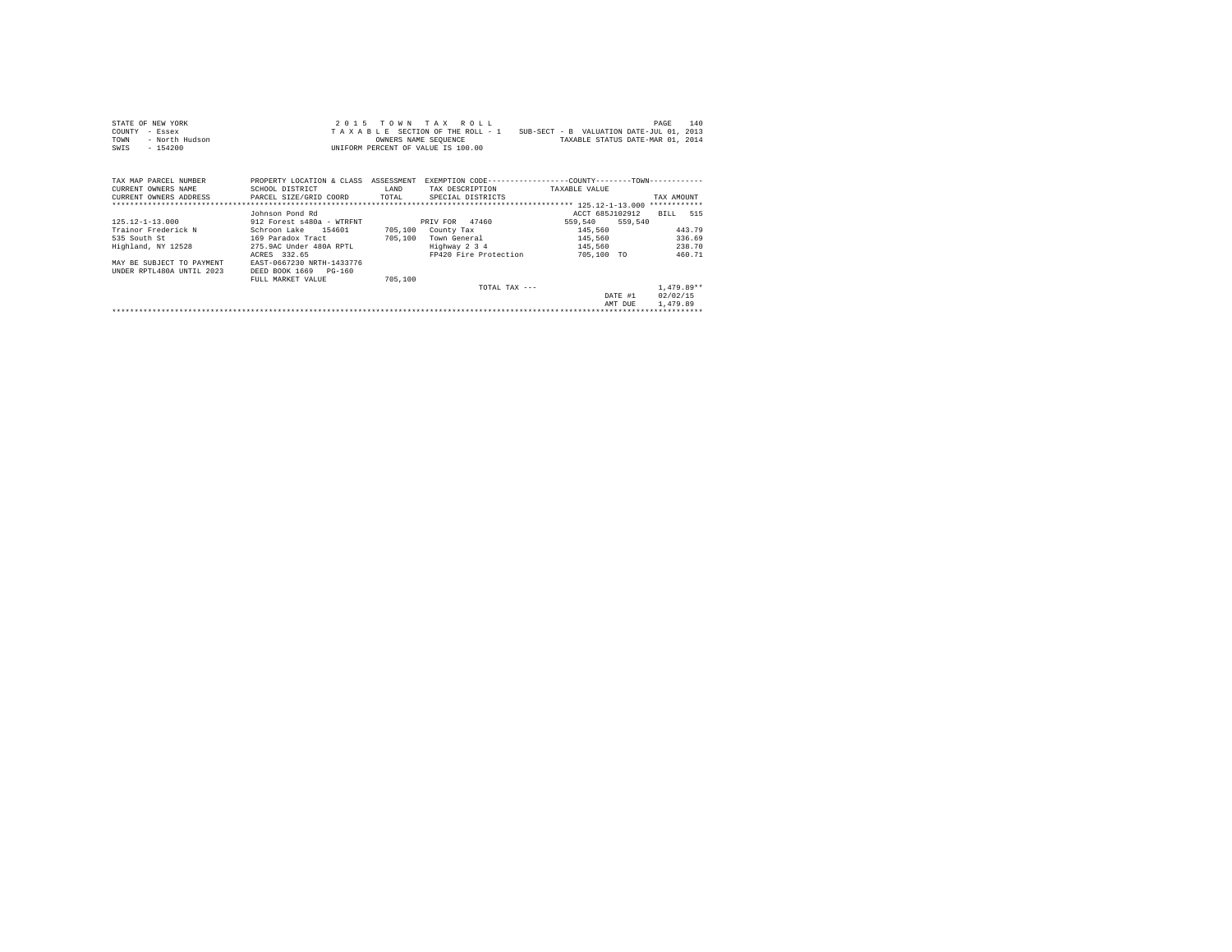| STATE OF NEW YORK                             |                                                                                                 |         | 2015 TOWN TAX ROLL            |                                                                          | 140<br>PAGE  |
|-----------------------------------------------|-------------------------------------------------------------------------------------------------|---------|-------------------------------|--------------------------------------------------------------------------|--------------|
| COUNTY<br>- Essex                             |                                                                                                 |         |                               | TAXABLE SECTION OF THE ROLL - 1 SUB-SECT - B VALUATION DATE-JUL 01, 2013 |              |
| - North Hudson<br>TOWN                        |                                                                                                 |         | OWNERS NAME SEQUENCE          | TAXABLE STATUS DATE-MAR 01, 2014                                         |              |
| $-154200$<br>SWIS                             | UNIFORM PERCENT OF VALUE IS 100.00                                                              |         |                               |                                                                          |              |
|                                               |                                                                                                 |         |                               |                                                                          |              |
|                                               |                                                                                                 |         |                               |                                                                          |              |
| TAX MAP PARCEL NUMBER                         | PROPERTY LOCATION & CLASS ASSESSMENT EXEMPTION CODE-----------------COUNTY-------TOWN---------- |         |                               |                                                                          |              |
| CURRENT OWNERS NAME                           | SCHOOL DISTRICT                                                                                 | LAND    | TAX DESCRIPTION TAXABLE VALUE |                                                                          |              |
| CURRENT OWNERS ADDRESS PARCEL SIZE/GRID COORD |                                                                                                 |         | TOTAL SPECIAL DISTRICTS       |                                                                          | TAX AMOUNT   |
|                                               |                                                                                                 |         |                               |                                                                          |              |
|                                               | Johnson Pond Rd                                                                                 |         |                               | ACCT 685J102912                                                          | BILL 515     |
| $125.12 - 1 - 13.000$                         | 912 Forest s480a - WTRFNT                                                                       |         | PRIV FOR 47460                | 559,540 559,540                                                          |              |
| Trainor Frederick N                           | Schroon Lake 154601                                                                             |         | 705,100 County Tax            | 145,560                                                                  | 443.79       |
| 535 South St                                  | 169 Paradox Tract                                                                               | 705,100 | Town General                  | 145,560                                                                  | 336.69       |
| Highland, NY 12528                            | 275.9AC Under 480A RPTL                                                                         |         | Highway 2 3 4                 | 145,560                                                                  | 238.70       |
|                                               | ACRES 332.65                                                                                    |         | FP420 Fire Protection         | 705,100 TO                                                               | 460.71       |
| MAY BE SUBJECT TO PAYMENT                     | EAST-0667230 NRTH-1433776                                                                       |         |                               |                                                                          |              |
| UNDER RPTL480A UNTIL 2023                     | DEED BOOK 1669 PG-160                                                                           |         |                               |                                                                          |              |
|                                               | FULL MARKET VALUE                                                                               | 705,100 |                               |                                                                          |              |
|                                               |                                                                                                 |         | TOTAL TAX $---$               |                                                                          | $1.479.89**$ |
|                                               |                                                                                                 |         |                               | DATE #1                                                                  | 02/02/15     |
|                                               |                                                                                                 |         |                               | AMT DUE                                                                  | 1,479.89     |
|                                               |                                                                                                 |         |                               |                                                                          |              |
|                                               |                                                                                                 |         |                               |                                                                          |              |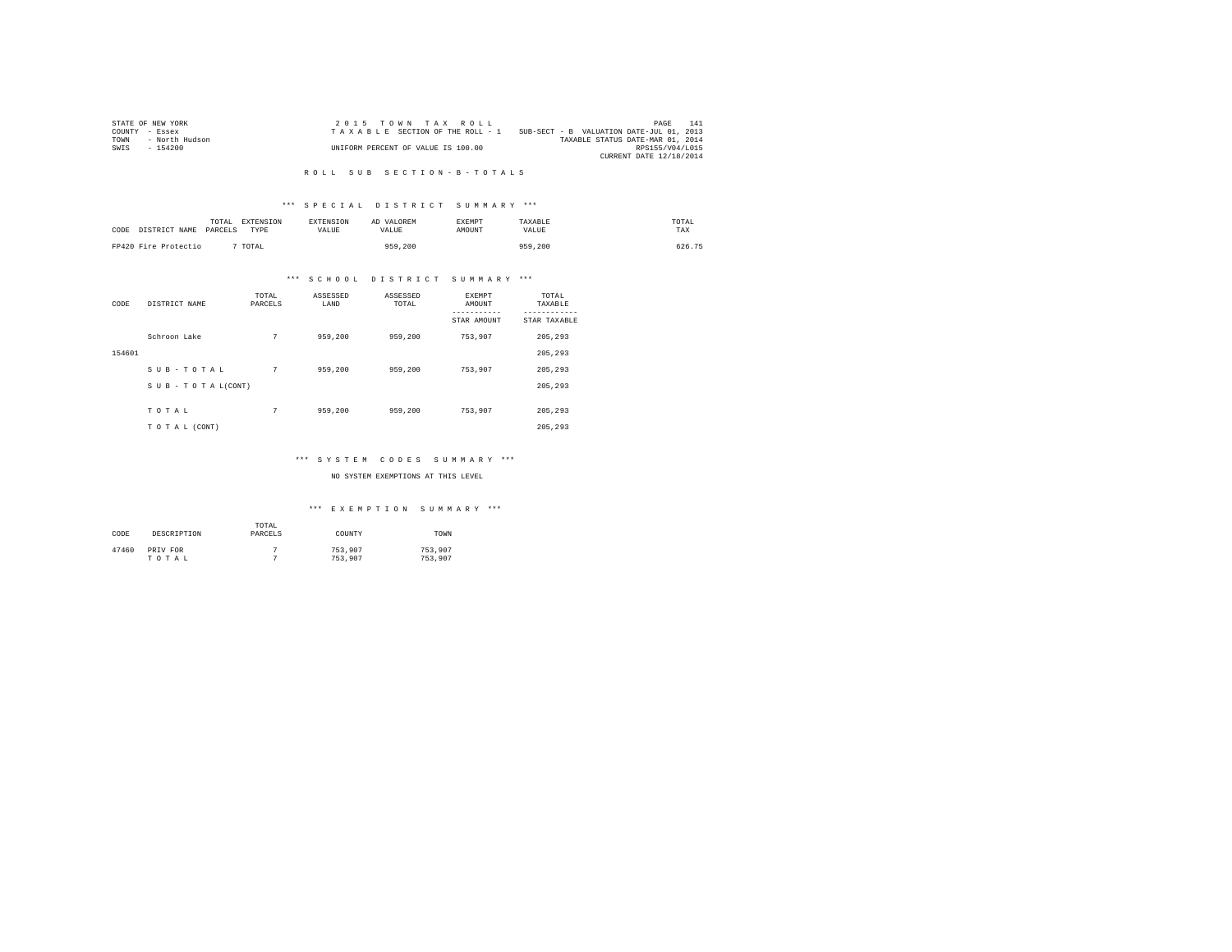|                | STATE OF NEW YORK | 2015 TOWN TAX ROLL                 |                                          | PAGE                    | 141 |
|----------------|-------------------|------------------------------------|------------------------------------------|-------------------------|-----|
| COUNTY - Essex |                   | TAXABLE SECTION OF THE ROLL - 1    | SUB-SECT - B VALUATION DATE-JUL 01, 2013 |                         |     |
| TOWN           | - North Hudson    |                                    | TAXABLE STATUS DATE-MAR 01, 2014         |                         |     |
| SWIS           | - 154200          | UNIFORM PERCENT OF VALUE IS 100.00 |                                          | RPS155/V04/L015         |     |
|                |                   |                                    |                                          | CURRENT DATE 12/18/2014 |     |

#### R O L L S U B S E C T I O N - B - T O T A L S

# \*\*\* S P E C I A L D I S T R I C T S U M M A R Y \*\*\*

| CODE DISTRICT NAME   | TOTAL<br>PARCELS | <b>EXTENSION</b><br>TYPE | <b>EXTENSION</b><br>VALUE | AD VALOREM<br>VALUE | <b>EXEMPT</b><br>AMOUNT | TAXARLE<br>VALUE | TOTAL<br>TAX |
|----------------------|------------------|--------------------------|---------------------------|---------------------|-------------------------|------------------|--------------|
| FP420 Fire Protectio | TOTAL            |                          |                           | 959,200             |                         | 959,200          | 626.75       |

# \*\*\* S C H O O L D I S T R I C T S U M M A R Y \*\*\*

| CODE   | DISTRICT NAME      | TOTAL<br>PARCELS | ASSESSED<br>LAND | ASSESSED<br>TOTAL | <b>EXEMPT</b><br>AMOUNT | TOTAL<br>TAXABLE<br>--------- |
|--------|--------------------|------------------|------------------|-------------------|-------------------------|-------------------------------|
|        |                    |                  |                  |                   | STAR AMOUNT             | STAR TAXABLE                  |
|        | Schroon Lake       | 7                | 959,200          | 959,200           | 753.907                 | 205.293                       |
| 154601 |                    |                  |                  |                   |                         | 205.293                       |
|        | SUB-TOTAL          | 7                | 959,200          | 959,200           | 753.907                 | 205.293                       |
|        | SUB - TO TAL(CONT) |                  |                  |                   |                         | 205.293                       |
|        |                    |                  |                  |                   |                         |                               |
|        | TOTAL              | 7                | 959,200          | 959,200           | 753,907                 | 205,293                       |
|        | TO TAL (CONT)      |                  |                  |                   |                         | 205.293                       |

# \*\*\* S Y S T E M C O D E S S U M M A R Y \*\*\*

#### NO SYSTEM EXEMPTIONS AT THIS LEVEL

| CODE  | DESCRIPTION       | TOTAL<br>PARCELS | COUNTY             | TOWN               |
|-------|-------------------|------------------|--------------------|--------------------|
| 47460 | PRIV FOR<br>TOTAL |                  | 753,907<br>753,907 | 753.907<br>753.907 |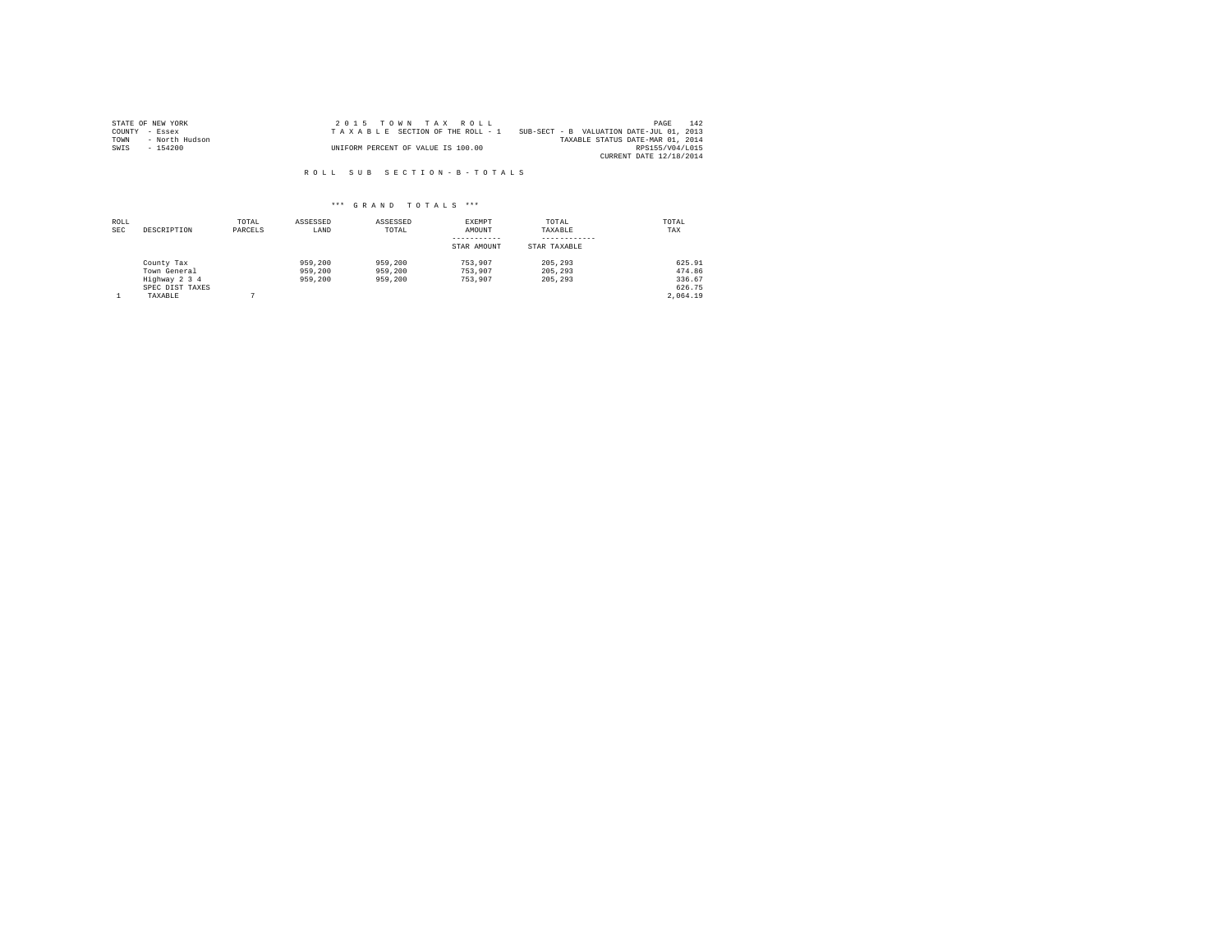|                | STATE OF NEW YORK | $2.0.15$ TOWN TAX ROLL             |                                          | PAGE                    | 142 |
|----------------|-------------------|------------------------------------|------------------------------------------|-------------------------|-----|
| COUNTY - Essex |                   | TAXABLE SECTION OF THE ROLL - 1    | SUB-SECT - B VALUATION DATE-JUL 01, 2013 |                         |     |
| TOWN           | - North Hudson    |                                    | TAXABLE STATUS DATE-MAR 01, 2014         |                         |     |
| SWIS           | - 154200          | UNIFORM PERCENT OF VALUE IS 100.00 |                                          | RPS155/V04/L015         |     |
|                |                   |                                    |                                          | CURRENT DATE 12/18/2014 |     |

R O L L S U B S E C T I O N - B - T O T A L S

| ROLL<br><b>SEC</b> | DESCRIPTION                                                               | TOTAL<br>PARCELS | ASSESSED<br>LAND              | ASSESSED<br>TOTAL             | EXEMPT<br>AMOUNT<br>STAR AMOUNT | TOTAL<br>TAXABLE<br>STAR TAXABLE | TOTAL<br>TAX                                     |
|--------------------|---------------------------------------------------------------------------|------------------|-------------------------------|-------------------------------|---------------------------------|----------------------------------|--------------------------------------------------|
|                    | County Tax<br>Town General<br>Highway 2 3 4<br>SPEC DIST TAXES<br>TAXABLE |                  | 959,200<br>959,200<br>959,200 | 959,200<br>959,200<br>959,200 | 753.907<br>753.907<br>753,907   | 205, 293<br>205, 293<br>205, 293 | 625.91<br>474.86<br>336.67<br>626.75<br>2.064.19 |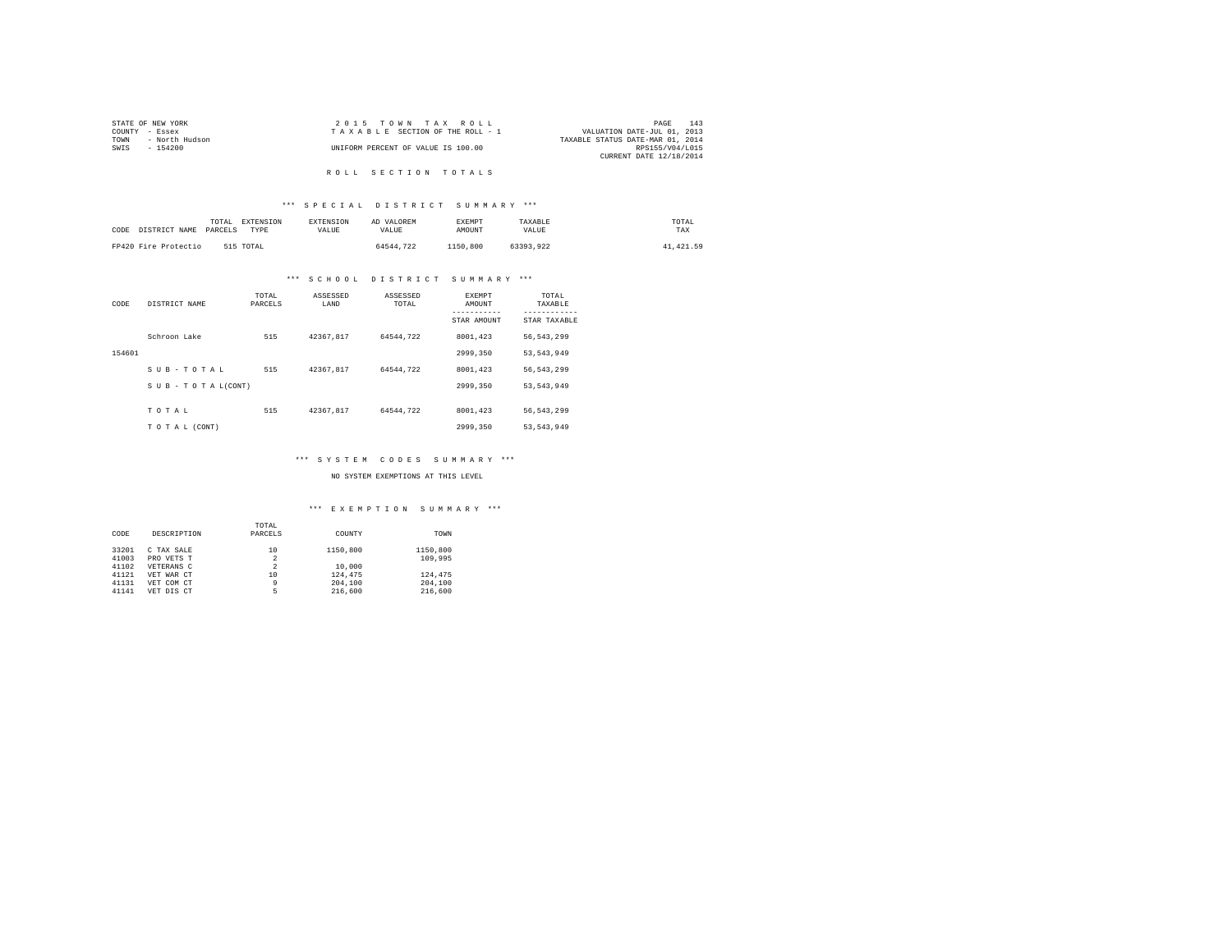| STATE OF NEW YORK      | 2015 TOWN TAX ROLL                 | 143<br>PAGE                      |
|------------------------|------------------------------------|----------------------------------|
| COUNTY - Essex         | TAXABLE SECTION OF THE ROLL - 1    | VALUATION DATE-JUL 01, 2013      |
| - North Hudson<br>TOWN |                                    | TAXABLE STATUS DATE-MAR 01, 2014 |
| SWIS<br>- 154200       | UNIFORM PERCENT OF VALUE IS 100.00 | RPS155/V04/L015                  |
|                        |                                    | CURRENT DATE 12/18/2014          |
|                        |                                    |                                  |

# R O L L S E C T I O N T O T A L S

# \*\*\* S P E C I A L D I S T R I C T S U M M A R Y \*\*\*

| CODE | DISTRICT NAME        | TOTAL<br>PARCELS | EXTENSION<br>TYPE | <b>EXTENSION</b><br>VALUE. | AD VALOREM<br>VALUE. | <b>EXEMPT</b><br>AMOUNT | TAXABLE<br>VALUE | TOTAL<br>TAX |
|------|----------------------|------------------|-------------------|----------------------------|----------------------|-------------------------|------------------|--------------|
|      | FP420 Fire Protectio |                  | 515 TOTAL         |                            | 64544.722            | 1150,800                | 63393.922        | 41, 421.59   |

# \*\*\* S C H O O L D I S T R I C T S U M M A R Y \*\*\*

| CODE   | DISTRICT NAME   | TOTAL<br>PARCELS | ASSESSED<br>LAND | ASSESSED<br>TOTAL | EXEMPT<br>AMOUNT | TOTAL<br>TAXABLE          |
|--------|-----------------|------------------|------------------|-------------------|------------------|---------------------------|
|        |                 |                  |                  |                   | STAR AMOUNT      | ---------<br>STAR TAXABLE |
|        | Schroon Lake    | 515              | 42367.817        | 64544.722         | 8001.423         | 56, 543, 299              |
| 154601 |                 |                  |                  |                   | 2999.350         | 53, 543, 949              |
|        | SUB-TOTAL       | 515              | 42367.817        | 64544.722         | 8001.423         | 56.543.299                |
|        | SUB-TOTAL(CONT) |                  |                  |                   | 2999.350         | 53, 543, 949              |
|        | TOTAL           | 515              | 42367.817        | 64544.722         | 8001.423         | 56.543.299                |
|        | TO TAL (CONT)   |                  |                  |                   | 2999.350         | 53, 543, 949              |

# \*\*\* S Y S T E M C O D E S S U M M A R Y \*\*\*

#### NO SYSTEM EXEMPTIONS AT THIS LEVEL

|       |             | TOTAL          |          |          |
|-------|-------------|----------------|----------|----------|
| CODE  | DESCRIPTION | PARCELS        | COUNTY   | TOWN     |
| 33201 | C TAX SALE  | 10             | 1150,800 | 1150,800 |
| 41003 | PRO VETS T  | $\overline{2}$ |          | 109,995  |
| 41102 | VETERANS C  | $\overline{2}$ | 10,000   |          |
| 41121 | VET WAR CT  | 10             | 124,475  | 124,475  |
| 41131 | VET COM CT  | 9              | 204,100  | 204,100  |
| 41141 | VET DIS CT  | 5              | 216,600  | 216,600  |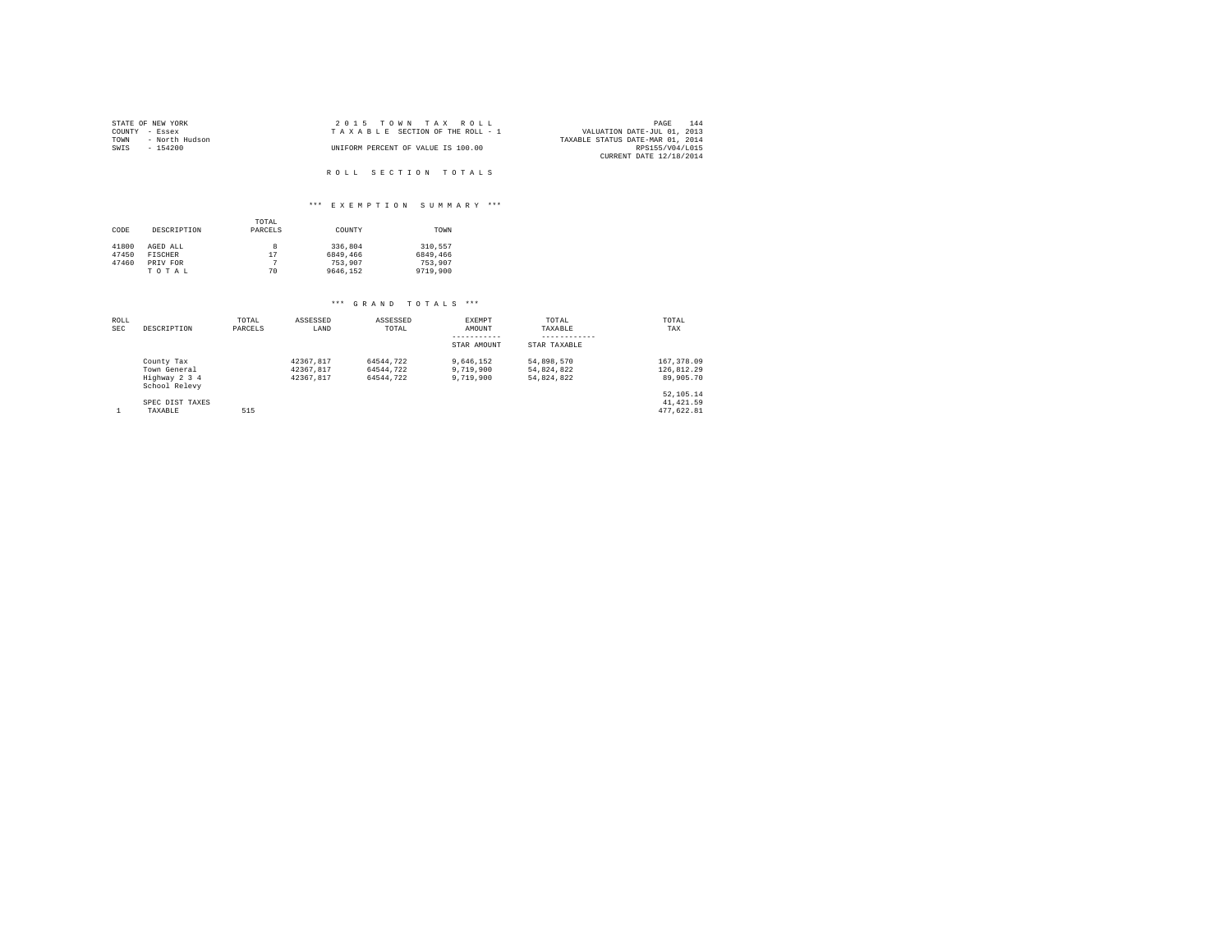| STATE OF NEW YORK      | 2015 TOWN TAX ROLL                 | 144<br>PAGE                      |
|------------------------|------------------------------------|----------------------------------|
| COUNTY - Essex         | TAXABLE SECTION OF THE ROLL - 1    | VALUATION DATE-JUL 01, 2013      |
| TOWN<br>- North Hudson |                                    | TAXABLE STATUS DATE-MAR 01, 2014 |
| SWIS<br>$-154200$      | UNIFORM PERCENT OF VALUE IS 100.00 | RPS155/V04/L015                  |
|                        |                                    | CURRENT DATE 12/18/2014          |
|                        |                                    |                                  |
|                        | ROLL SECTION TOTALS                |                                  |

# \*\*\* E X E M P T I O N S U M M A R Y \*\*\*

|       |             | TOTAL   |          |          |
|-------|-------------|---------|----------|----------|
| CODE  | DESCRIPTION | PARCELS | COUNTY   | TOWN     |
|       |             |         |          |          |
| 41800 | AGED ALL    | 8       | 336,804  | 310.557  |
| 47450 | FISCHER     | 17      | 6849,466 | 6849,466 |
| 47460 | PRIV FOR    |         | 753,907  | 753,907  |
|       | TOTAL       | 70      | 9646.152 | 9719,900 |

| ROLL       |                                | TOTAL   | ASSESSED  | ASSESSED  | EXEMPT      | TOTAL        | TOTAL        |
|------------|--------------------------------|---------|-----------|-----------|-------------|--------------|--------------|
| <b>SEC</b> | DESCRIPTION                    | PARCELS | LAND      | TOTAL     | AMOUNT      | TAXABLE      | TAX          |
|            |                                |         |           |           | STAR AMOUNT | STAR TAXABLE |              |
|            | County Tax                     |         | 42367.817 | 64544.722 | 9.646.152   | 54.898.570   | 167, 378, 09 |
|            | Town General                   |         | 42367.817 | 64544.722 | 9,719,900   | 54.824.822   | 126.812.29   |
|            | Highway 2 3 4<br>School Relevy |         | 42367.817 | 64544.722 | 9,719,900   | 54.824.822   | 89,905.70    |
|            |                                |         |           |           |             |              | 52,105.14    |
|            | SPEC DIST TAXES                |         |           |           |             |              | 41, 421.59   |
|            | TAXABLE                        | 515     |           |           |             |              | 477.622.81   |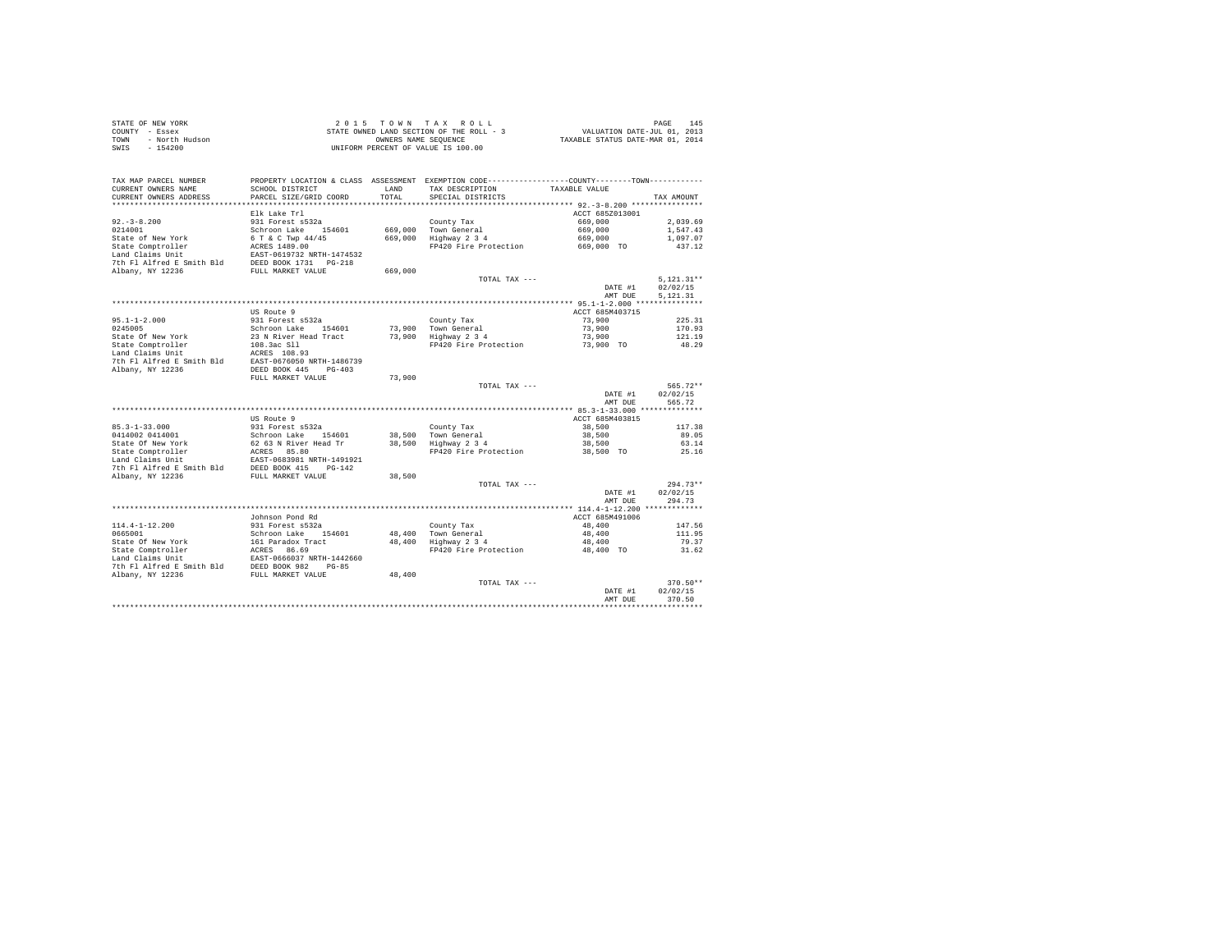|      | STATE OF NEW YORK | 2015 TOWN TAX ROLL                       | 145<br>PAGE                      |
|------|-------------------|------------------------------------------|----------------------------------|
|      | COUNTY - Essex    | STATE OWNED LAND SECTION OF THE ROLL - 3 | VALUATION DATE-JUL 01, 2013      |
| TOWN | - North Hudson    | OWNERS NAME SEOUENCE                     | TAXABLE STATUS DATE-MAR 01, 2014 |
| SWIS | $-154200$         | UNIFORM PERCENT OF VALUE IS 100.00       |                                  |

|                                               |                                               |         |                                                                  | AMT DUE               | 370.50<br>*********    |
|-----------------------------------------------|-----------------------------------------------|---------|------------------------------------------------------------------|-----------------------|------------------------|
|                                               |                                               |         | TOTAL TAX ---                                                    | DATE #1               | $370.50**$<br>02/02/15 |
| 7th Fl Alfred E Smith Bld<br>Albany, NY 12236 | DEED BOOK 982<br>$PG-85$<br>FULL MARKET VALUE | 48,400  |                                                                  |                       |                        |
| Land Claims Unit                              | EAST-0666037 NRTH-1442660                     |         |                                                                  |                       |                        |
| State Comptroller                             | ACRES<br>86.69                                |         | FP420 Fire Protection                                            | 48,400 TO             | 31.62                  |
| State Of New York                             | 161 Paradox Tract                             | 48,400  | Highway 2 3 4                                                    | 48,400                | 79.37                  |
| 0665001                                       | Schroon Lake<br>154601                        | 48,400  | Town General                                                     | 48,400                | 111.95                 |
| $114.4 - 1 - 12.200$                          | 931 Forest s532a                              |         | County Tax                                                       | 48,400                | 147.56                 |
|                                               | Johnson Pond Rd                               |         |                                                                  | ACCT 685M491006       |                        |
|                                               |                                               |         |                                                                  | AMT DUE               |                        |
|                                               |                                               |         |                                                                  | DATE #1               | 02/02/15<br>294.73     |
|                                               |                                               |         | TOTAL TAX ---                                                    |                       | $294.73**$             |
| Albany, NY 12236                              | FULL MARKET VALUE                             | 38,500  |                                                                  |                       |                        |
| 7th Fl Alfred E Smith Bld                     | DEED BOOK 415<br>$PG-142$                     |         |                                                                  |                       |                        |
| Land Claims Unit                              | EAST-0683981 NRTH-1491921                     |         |                                                                  |                       |                        |
| State Comptroller                             | 85.80<br>ACRES                                |         | FP420 Fire Protection                                            | 38,500 TO             | 25.16                  |
| State Of New York                             | 62 63 N River Head Tr                         | 38,500  | Highway 2 3 4                                                    | 38,500                | 63.14                  |
| 0414002 0414001                               | Schroon Lake<br>154601                        | 38,500  | Town General                                                     | 38,500                | 89.05                  |
| $85.3 - 1 - 33.000$                           | 931 Forest s532a                              |         | County Tax                                                       | 38,500                | 117.38                 |
|                                               | US Route 9                                    |         |                                                                  | ACCT 685M403815       |                        |
|                                               |                                               |         |                                                                  |                       |                        |
|                                               |                                               |         |                                                                  | AMT DUE               | 565.72                 |
|                                               |                                               |         |                                                                  | DATE #1               | 02/02/15               |
|                                               |                                               |         | TOTAL TAX ---                                                    |                       | $565.72**$             |
|                                               | FULL MARKET VALUE                             | 73,900  |                                                                  |                       |                        |
| Albany, NY 12236                              | DEED BOOK 445<br>$PG-403$                     |         |                                                                  |                       |                        |
| 7th Fl Alfred E Smith Bld                     | EAST-0676050 NRTH-1486739                     |         |                                                                  |                       |                        |
| Land Claims Unit                              | ACRES 108.93                                  |         |                                                                  |                       |                        |
| State Comptroller                             | 108.3ac S11                                   |         | FP420 Fire Protection                                            | 73,900 TO             | 48.29                  |
| State Of New York                             | 23 N River Head Tract                         | 73,900  | Highway 2 3 4                                                    | 73,900                | 121.19                 |
| 0245005                                       | Schroon Lake<br>154601                        | 73,900  | Town General                                                     | 73,900                | 170.93                 |
| $95.1 - 1 - 2.000$                            | 931 Forest s532a                              |         | County Tax                                                       | 73,900                | 225.31                 |
|                                               | US Route 9                                    |         |                                                                  | ACCT 685M403715       |                        |
|                                               |                                               |         |                                                                  |                       |                        |
|                                               |                                               |         |                                                                  | AMT DUE               | 5.121.31               |
|                                               |                                               |         |                                                                  | DATE #1               | 02/02/15               |
|                                               |                                               |         | TOTAL TAX $---$                                                  |                       | $5,121.31**$           |
| Albany, NY 12236                              | FULL MARKET VALUE                             | 669,000 |                                                                  |                       |                        |
| 7th Fl Alfred E Smith Bld                     | DEED BOOK 1731    PG-218                      |         |                                                                  |                       |                        |
| Land Claims Unit                              | EAST-0619732 NRTH-1474532                     |         |                                                                  |                       |                        |
| State of New York<br>State Comptroller        | 6 T & C Twp 44/45<br>ACRES 1489.00            | 669,000 | Highway 2 3 4<br>FP420 Fire Protection                           | 669,000<br>669,000 TO | 1,097.07<br>437.12     |
| 0214001                                       | Schroon Lake<br>154601                        | 669,000 | Town General                                                     | 669,000               | 1,547.43               |
| $92. - 3 - 8.200$                             | 931 Forest s532a                              |         | County Tax                                                       | 669,000               | 2.039.69               |
|                                               | Elk Lake Trl                                  |         |                                                                  | ACCT 685Z013001       |                        |
| *********************                         | ***********************                       |         | *********************************** 92.-3-8.200 **************** |                       |                        |
| CURRENT OWNERS ADDRESS                        | PARCEL SIZE/GRID COORD                        | TOTAL   | SPECIAL DISTRICTS                                                |                       | TAX AMOUNT             |
| CURRENT OWNERS NAME                           | SCHOOL DISTRICT                               | LAND    | TAX DESCRIPTION                                                  | TAXABLE VALUE         |                        |
| TAX MAP PARCEL NUMBER                         | PROPERTY LOCATION & CLASS ASSESSMENT          |         | EXEMPTION CODE-----------------COUNTY--------TOWN-----------     |                       |                        |
|                                               |                                               |         |                                                                  |                       |                        |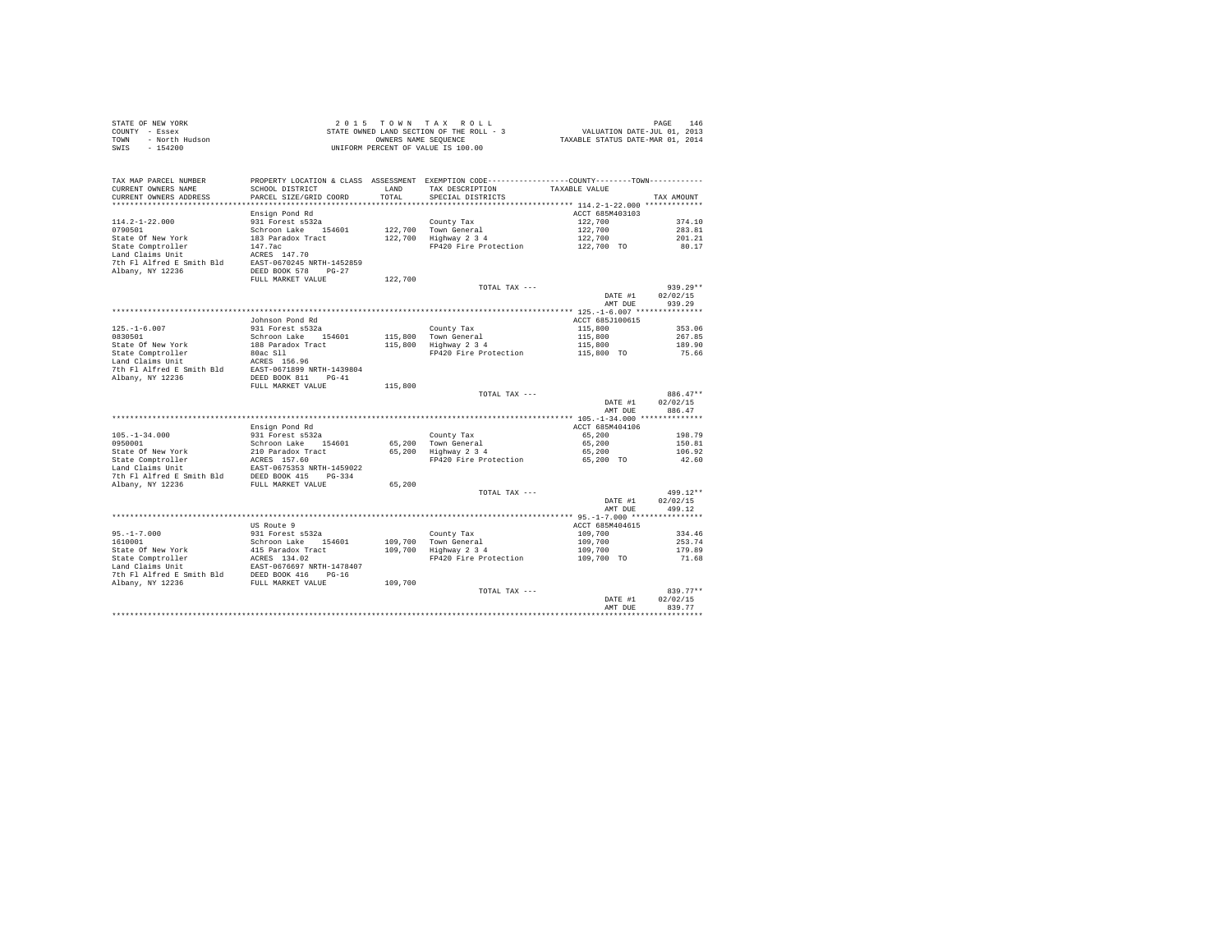|      | STATE OF NEW YORK | 2015 TOWN TAX ROLL                       | 146<br>PAGE                      |
|------|-------------------|------------------------------------------|----------------------------------|
|      | COUNTY - Essex    | STATE OWNED LAND SECTION OF THE ROLL - 3 | VALUATION DATE-JUL 01, 2013      |
| TOWN | - North Hudson    | OWNERS NAME SEOUENCE                     | TAXABLE STATUS DATE-MAR 01, 2014 |
| SWIS | $-154200$         | UNIFORM PERCENT OF VALUE IS 100.00       |                                  |

| TAX MAP PARCEL NUMBER     | PROPERTY LOCATION & CLASS ASSESSMENT EXEMPTION CODE----------------COUNTY-------TOWN---------- |         |                       |                    |               |
|---------------------------|------------------------------------------------------------------------------------------------|---------|-----------------------|--------------------|---------------|
| CURRENT OWNERS NAME       | SCHOOL DISTRICT                                                                                | LAND    | TAX DESCRIPTION       | TAXABLE VALUE      |               |
| CURRENT OWNERS ADDRESS    | PARCEL SIZE/GRID COORD                                                                         | TOTAL   | SPECIAL DISTRICTS     |                    | TAX AMOUNT    |
| ************************  | ****************************                                                                   |         |                       |                    |               |
|                           | Ensign Pond Rd                                                                                 |         |                       | ACCT 685M403103    |               |
| $114.2 - 1 - 22.000$      | 931 Forest s532a                                                                               |         | County Tax            | 122,700            | 374.10        |
| 0790501                   | Schroon Lake 154601                                                                            |         | 122.700 Town General  | 122,700            | 283.81        |
| State Of New York         | 183 Paradox Tract                                                                              | 122,700 | Highway 2 3 4         | 122,700            | 201.21        |
| State Comptroller         | 147.7ac                                                                                        |         | FP420 Fire Protection | 122,700 TO         | 80.17         |
| Land Claims Unit          | ACRES 147.70                                                                                   |         |                       |                    |               |
| 7th Fl Alfred E Smith Bld | EAST-0670245 NRTH-1452859                                                                      |         |                       |                    |               |
| Albany, NY 12236          | DEED BOOK 578<br>$PG-27$                                                                       |         |                       |                    |               |
|                           | FULL MARKET VALUE                                                                              | 122,700 |                       |                    |               |
|                           |                                                                                                |         | TOTAL TAX ---         |                    | $939.29**$    |
|                           |                                                                                                |         |                       | DATE #1            | 02/02/15      |
|                           |                                                                                                |         |                       | AMT DUE            | 939.29        |
|                           |                                                                                                |         |                       |                    |               |
|                           | Johnson Pond Rd                                                                                |         |                       | ACCT 685J100615    |               |
| $125. - 1 - 6.007$        | 931 Forest s532a                                                                               |         | County Tax            | 115,800            | 353.06        |
| 0830501                   | Schroon Lake 154601                                                                            |         | 115,800 Town General  | 115,800            | 267.85        |
| State Of New York         | 188 Paradox Tract                                                                              |         | 115,800 Highway 2 3 4 | 115,800            | 189.90        |
| State Comptroller         | 80ac S11                                                                                       |         | FP420 Fire Protection | 115,800 TO         | 75.66         |
| Land Claims Unit          | ACRES 156.96                                                                                   |         |                       |                    |               |
| 7th Fl Alfred E Smith Bld | EAST-0671899 NRTH-1439804                                                                      |         |                       |                    |               |
| Albany, NY 12236          | DEED BOOK 811<br>$PG-41$                                                                       |         |                       |                    |               |
|                           | FULL MARKET VALUE                                                                              | 115,800 |                       |                    |               |
|                           |                                                                                                |         | TOTAL TAX ---         |                    | 886.47**      |
|                           |                                                                                                |         |                       | DATE #1            | 02/02/15      |
|                           |                                                                                                |         |                       | AMT DUE            | 886.47        |
|                           |                                                                                                |         |                       |                    |               |
|                           | Ensign Pond Rd                                                                                 |         |                       | ACCT 685M404106    |               |
| $105. - 1 - 34.000$       | 931 Forest s532a                                                                               |         | County Tax            | 65,200             | 198.79        |
| 0950001                   | Schroon Lake<br>154601                                                                         |         | 65,200 Town General   | 65,200             | 150.81        |
| State Of New York         | 210 Paradox Tract                                                                              |         | 65,200 Highway 2 3 4  | 65,200             | 106.92        |
| State Comptroller         | ACRES 157.60                                                                                   |         | FP420 Fire Protection | 65,200 TO          | 42.60         |
| Land Claims Unit          | EAST-0675353 NRTH-1459022                                                                      |         |                       |                    |               |
| 7th Fl Alfred E Smith Bld | DEED BOOK 415<br>$PG-334$                                                                      |         |                       |                    |               |
| Albany, NY 12236          | FULL MARKET VALUE                                                                              | 65,200  |                       |                    | 499.12**      |
|                           |                                                                                                |         | TOTAL TAX ---         |                    | 02/02/15      |
|                           |                                                                                                |         |                       | DATE #1<br>AMT DUE | 499.12        |
|                           |                                                                                                |         |                       |                    |               |
|                           | US Route 9                                                                                     |         |                       | ACCT 685M404615    |               |
| $95. - 1 - 7.000$         | 931 Forest s532a                                                                               |         | County Tax            | 109,700            | 334.46        |
| 1610001                   | Schroon Lake 154601                                                                            | 109,700 | Town General          | 109,700            | 253.74        |
| State Of New York         | 415 Paradox Tract                                                                              |         | 109,700 Highway 2 3 4 | 109,700            | 179.89        |
| State Comptroller         | ACRES 134.02                                                                                   |         | FP420 Fire Protection | 109,700 TO         | 71.68         |
| Land Claims Unit          | EAST-0676697 NRTH-1478407                                                                      |         |                       |                    |               |
| 7th Fl Alfred E Smith Bld | DEED BOOK 416<br>$PG-16$                                                                       |         |                       |                    |               |
| Albany, NY 12236          | FULL MARKET VALUE                                                                              | 109,700 |                       |                    |               |
|                           |                                                                                                |         | TOTAL TAX ---         |                    | $839.77**$    |
|                           |                                                                                                |         |                       | DATE #1            | 02/02/15      |
|                           |                                                                                                |         |                       | AMT DUE            | 839.77        |
|                           |                                                                                                |         |                       |                    | ************* |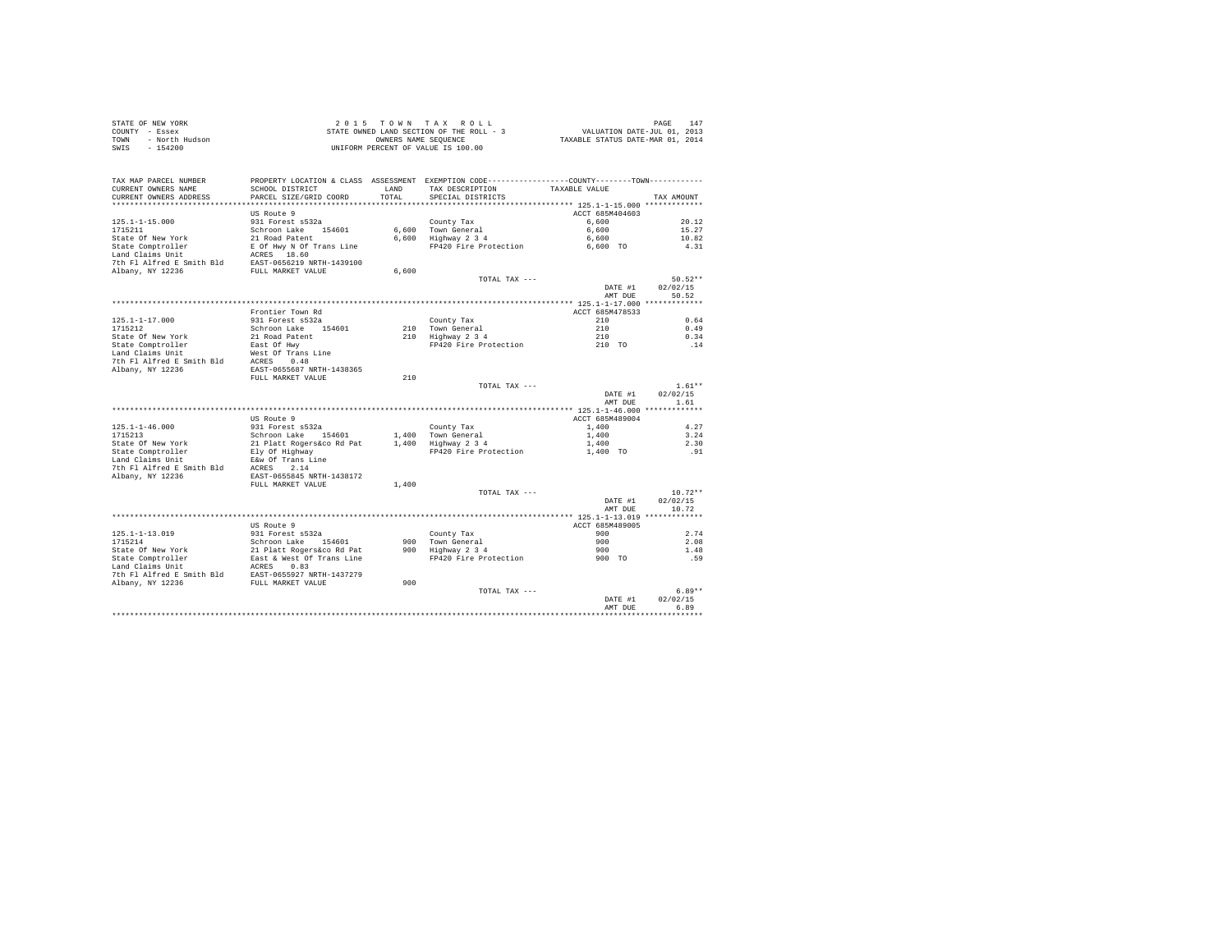|                | STATE OF NEW YORK | 2015 TOWN TAX ROLL                       |                      |  |  |  |                                  | PAGE | 147 |
|----------------|-------------------|------------------------------------------|----------------------|--|--|--|----------------------------------|------|-----|
| COUNTY - Essex |                   | STATE OWNED LAND SECTION OF THE ROLL - 3 |                      |  |  |  | VALUATION DATE-JUL 01, 2013      |      |     |
| TOWN           | - North Hudson    |                                          | OWNERS NAME SEOUENCE |  |  |  | TAXABLE STATUS DATE-MAR 01, 2014 |      |     |
| SWIS           | $-154200$         | UNIFORM PERCENT OF VALUE IS 100.00       |                      |  |  |  |                                  |      |     |

| TAX MAP PARCEL NUMBER     | PROPERTY LOCATION & CLASS ASSESSMENT EXEMPTION CODE---------------COUNTY-------TOWN--------- |       |                                  |                 |                      |
|---------------------------|----------------------------------------------------------------------------------------------|-------|----------------------------------|-----------------|----------------------|
| CURRENT OWNERS NAME       | SCHOOL DISTRICT                                                                              | LAND  | TAX DESCRIPTION                  | TAXABLE VALUE   |                      |
| CURRENT OWNERS ADDRESS    | PARCEL SIZE/GRID COORD                                                                       | TOTAL | SPECIAL DISTRICTS                |                 | TAX AMOUNT           |
| ************************  | *************************                                                                    |       |                                  |                 |                      |
|                           | US Route 9                                                                                   |       |                                  | ACCT 685M404603 |                      |
| $125.1 - 1 - 15.000$      | 931 Forest s532a                                                                             |       | County Tax                       | 6,600           | 20.12                |
| 1715211                   | Schroon Lake 154601                                                                          |       | 6.600 Town General               | 6,600           | 15.27                |
| State Of New York         | 21 Road Patent                                                                               |       | 6,600 Highway 2 3 4              | 6,600           | 10.82                |
| State Comptroller         | E Of Hwy N Of Trans Line                                                                     |       | FP420 Fire Protection            | 6,600 TO        | 4.31                 |
| Land Claims Unit          | ACRES 18.60                                                                                  |       |                                  |                 |                      |
| 7th Fl Alfred E Smith Bld | EAST-0656219 NRTH-1439100                                                                    |       |                                  |                 |                      |
| Albany, NY 12236          | FULL MARKET VALUE                                                                            | 6,600 |                                  |                 |                      |
|                           |                                                                                              |       | TOTAL TAX ---                    |                 | $50.52**$            |
|                           |                                                                                              |       |                                  | DATE #1         | 02/02/15             |
|                           |                                                                                              |       |                                  | AMT DUE         | 50.52                |
|                           |                                                                                              |       |                                  |                 |                      |
|                           | Frontier Town Rd                                                                             |       |                                  | ACCT 685M478533 |                      |
| $125.1 - 1 - 17.000$      | 931 Forest s532a                                                                             |       | County Tax                       | 210             | 0.64                 |
| 1715212                   | Schroon Lake<br>154601                                                                       |       | 210 Town General                 | 210             | 0.49                 |
| State Of New York         | 21 Road Patent                                                                               |       | 210 Highway 2 3 4                | 210             | 0.34                 |
| State Comptroller         | East Of Hwy                                                                                  |       | FP420 Fire Protection            | 210 TO          | .14                  |
| Land Claims Unit          | West Of Trans Line                                                                           |       |                                  |                 |                      |
| 7th Fl Alfred E Smith Bld | ACRES 0.48                                                                                   |       |                                  |                 |                      |
| Albany, NY 12236          | EAST-0655687 NRTH-1438365                                                                    |       |                                  |                 |                      |
|                           | FULL MARKET VALUE                                                                            | 210   |                                  |                 |                      |
|                           |                                                                                              |       | TOTAL TAX ---                    |                 | $1.61**$<br>02/02/15 |
|                           |                                                                                              |       |                                  | DATE #1         |                      |
|                           |                                                                                              |       |                                  | AMT DUE         | 1.61                 |
|                           | US Route 9                                                                                   |       |                                  | ACCT 685M489004 |                      |
| $125.1 - 1 - 46.000$      | 931 Forest s532a                                                                             |       |                                  | 1,400           | 4.27                 |
| 1715213                   | Schroon Lake 154601                                                                          |       | County Tax<br>1,400 Town General | 1,400           | 3.24                 |
| State Of New York         | 21 Platt Rogers&co Rd Pat                                                                    |       | 1,400 Highway 2 3 4              |                 | 2.30                 |
| State Comptroller         | Ely Of Highway                                                                               |       | FP420 Fire Protection            | 1,400           | .91                  |
| Land Claims Unit          | E&w Of Trans Line                                                                            |       |                                  | 1,400 TO        |                      |
| 7th Fl Alfred E Smith Bld | ACRES 2.14                                                                                   |       |                                  |                 |                      |
| Albany, NY 12236          | EAST-0655845 NRTH-1438172                                                                    |       |                                  |                 |                      |
|                           | FULL MARKET VALUE                                                                            | 1,400 |                                  |                 |                      |
|                           |                                                                                              |       | TOTAL TAX ---                    |                 | $10.72**$            |
|                           |                                                                                              |       |                                  | DATE #1         | 02/02/15             |
|                           |                                                                                              |       |                                  | AMT DUE         | 10.72                |
|                           |                                                                                              |       |                                  |                 |                      |
|                           | US Route 9                                                                                   |       |                                  | ACCT 685M489005 |                      |
| $125.1 - 1 - 13.019$      | 931 Forest s532a                                                                             |       | County Tax                       | 900             | 2.74                 |
| 1715214                   | Schroon Lake 154601                                                                          |       | 900 Town General                 | 900             | 2.08                 |
| State Of New York         | 21 Platt Rogers&co Rd Pat                                                                    |       | 900 Highway 2 3 4                | 900             | 1.48                 |
| State Comptroller         | East & West Of Trans Line                                                                    |       | FP420 Fire Protection            | 900 TO          | .59                  |
| Land Claims Unit          | ACRES<br>0.83                                                                                |       |                                  |                 |                      |
| 7th Fl Alfred E Smith Bld | EAST-0655927 NRTH-1437279                                                                    |       |                                  |                 |                      |
| Albany, NY 12236          | FULL MARKET VALUE                                                                            | 900   |                                  |                 |                      |
|                           |                                                                                              |       | TOTAL TAX ---                    |                 | $6.89**$             |
|                           |                                                                                              |       |                                  | DATE #1         | 02/02/15             |
|                           |                                                                                              |       |                                  | AMT DUE         | 6.89                 |
|                           |                                                                                              |       |                                  |                 |                      |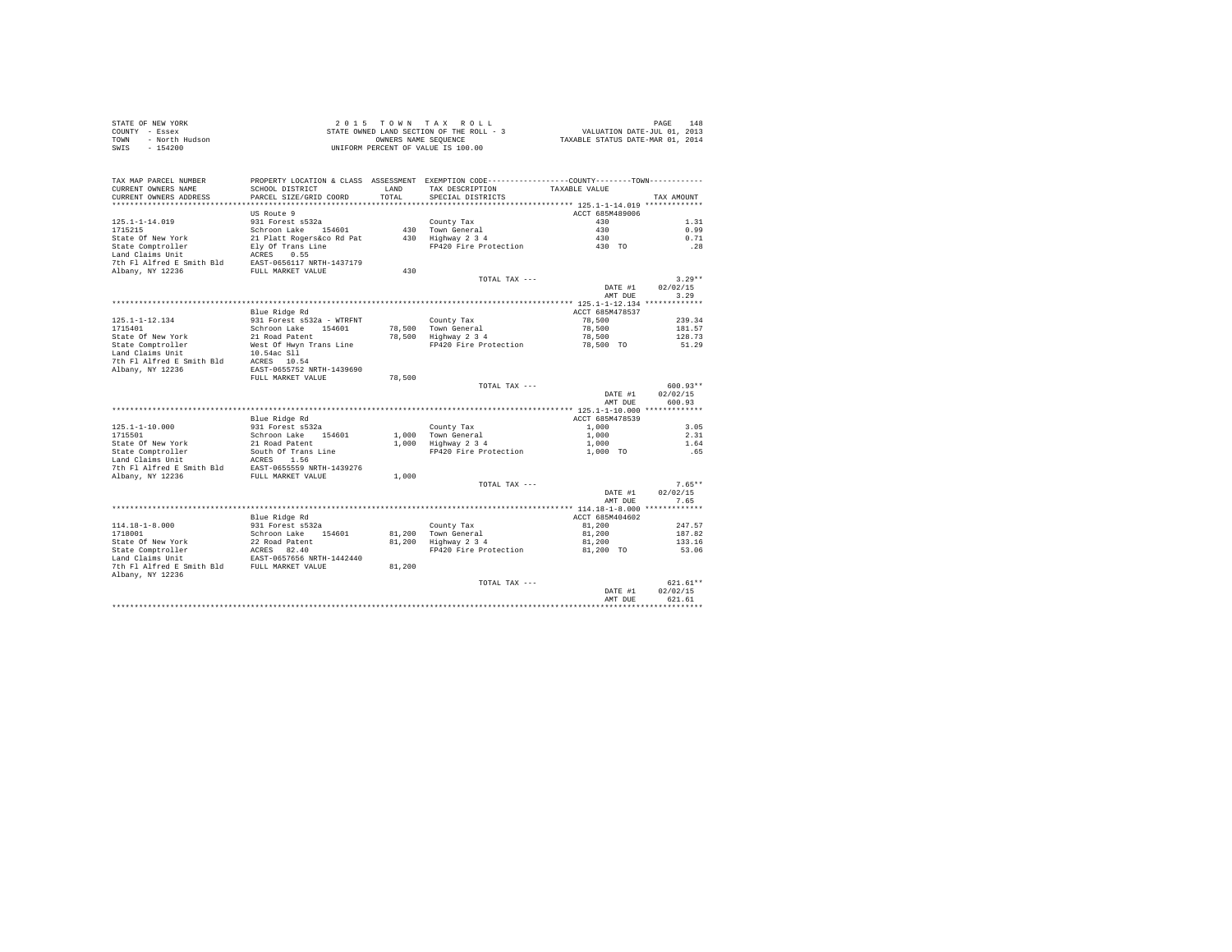| STATE OF NEW YORK      | 2015 TOWN TAX ROLL                       | 148<br>PAGE                      |
|------------------------|------------------------------------------|----------------------------------|
| COUNTY - Essex         | STATE OWNED LAND SECTION OF THE ROLL - 3 | VALUATION DATE-JUL 01, 2013      |
| TOWN<br>- North Hudson | OWNERS NAME SEOUENCE                     | TAXABLE STATUS DATE-MAR 01, 2014 |
| SWIS<br>- 154200       | UNIFORM PERCENT OF VALUE IS 100.00       |                                  |
|                        |                                          |                                  |

| TAX MAP PARCEL NUMBER                               | PROPERTY LOCATION & CLASS ASSESSMENT EXEMPTION CODE----------------COUNTY-------TOWN---------- |        |                                 |                 |            |
|-----------------------------------------------------|------------------------------------------------------------------------------------------------|--------|---------------------------------|-----------------|------------|
| CURRENT OWNERS NAME                                 | SCHOOL DISTRICT                                                                                | LAND   | TAX DESCRIPTION                 | TAXABLE VALUE   |            |
| CURRENT OWNERS ADDRESS                              | PARCEL SIZE/GRID COORD                                                                         | TOTAL  | SPECIAL DISTRICTS               |                 | TAX AMOUNT |
|                                                     |                                                                                                |        |                                 |                 |            |
|                                                     | US Route 9                                                                                     |        |                                 | ACCT 685M489006 |            |
| $125.1 - 1 - 14.019$                                | 931 Forest s532a                                                                               |        | County Tax                      | 430             | 1.31       |
| 1715215                                             | Schroon Lake 154601                                                                            |        | 430 Town General                | 430             | 0.99       |
| State Of New York                                   | 21 Platt Rogers&co Rd Pat                                                                      |        | 430 Highway 2 3 4               | 430             | 0.71       |
| State Comptroller                                   | Ely Of Trans Line                                                                              |        | FP420 Fire Protection           | 430 TO          | .28        |
| Land Claims Unit                                    | ACRES 0.55                                                                                     |        |                                 |                 |            |
| 7th Fl Alfred E Smith Bld EAST-0656117 NRTH-1437179 |                                                                                                |        |                                 |                 |            |
| Albany, NY 12236                                    | FULL MARKET VALUE                                                                              | 430    |                                 |                 |            |
|                                                     |                                                                                                |        | TOTAL TAX ---                   |                 | $3.29**$   |
|                                                     |                                                                                                |        |                                 | DATE #1         | 02/02/15   |
|                                                     |                                                                                                |        |                                 | AMT DUE         | 3.29       |
|                                                     |                                                                                                |        |                                 |                 |            |
|                                                     | Blue Ridge Rd                                                                                  |        |                                 | ACCT 685M478537 |            |
| 125.1-1-12.134                                      | 931 Forest s532a - WTRFNT                                                                      |        | County Tax                      | 78,500          | 239.34     |
| 1715401                                             | Schroon Lake 154601                                                                            |        | 78,500 Town General             | 78,500          | 181.57     |
| State Of New York                                   | 21 Road Patent                                                                                 |        | 78,500 Highway 2 3 4            | 78,500          | 128.73     |
| State Comptroller                                   | West Of Hwyn Trans Line                                                                        |        | FP420 Fire Protection           | 78,500 TO       | 51.29      |
| Land Claims Unit                                    |                                                                                                |        |                                 |                 |            |
|                                                     | 10.54ac Sll                                                                                    |        |                                 |                 |            |
| 7th Fl Alfred E Smith Bld                           | ACRES 10.54                                                                                    |        |                                 |                 |            |
| Albany, NY 12236                                    | EAST-0655752 NRTH-1439690                                                                      |        |                                 |                 |            |
|                                                     | FULL MARKET VALUE                                                                              | 78,500 |                                 |                 |            |
|                                                     |                                                                                                |        | TOTAL TAX ---                   |                 | $600.93**$ |
|                                                     |                                                                                                |        |                                 | DATE #1         | 02/02/15   |
|                                                     |                                                                                                |        |                                 | AMT DUE         | 600.93     |
|                                                     |                                                                                                |        |                                 |                 |            |
|                                                     | Blue Ridge Rd                                                                                  |        |                                 | ACCT 685M478539 |            |
| $125.1 - 1 - 10.000$                                | 931 Forest s532a                                                                               |        | County Tax                      | 1,000           | 3.05       |
| 1715501                                             | Schroon Lake 154601                                                                            |        | 1,000 Town General              | 1,000           | 2.31       |
| State Of New York                                   | 21 Road Patent<br>South Of Trans Line                                                          |        | 1,000 Highway 2 3 4             | 1,000           | 1.64       |
| State Comptroller                                   |                                                                                                |        | FP420 Fire Protection           | 1,000 TO        | .65        |
| Land Claims Unit                                    | ACRES 1.56                                                                                     |        |                                 |                 |            |
| 7th Fl Alfred E Smith Bld EAST-0655559 NRTH-1439276 |                                                                                                |        |                                 |                 |            |
| Albany, NY 12236                                    | FULL MARKET VALUE                                                                              | 1,000  |                                 |                 |            |
|                                                     |                                                                                                |        | TOTAL TAX ---                   |                 | $7.65**$   |
|                                                     |                                                                                                |        |                                 | DATE #1         | 02/02/15   |
|                                                     |                                                                                                |        |                                 | AMT DUE         | 7.65       |
|                                                     |                                                                                                |        |                                 |                 |            |
|                                                     | Blue Ridge Rd                                                                                  |        |                                 | ACCT 685M404602 |            |
| $114.18 - 1 - 8.000$                                | 931 Forest s532a                                                                               |        | County Tax                      | 81,200          | 247.57     |
| 1718001                                             | Schroon Lake 154601                                                                            |        | 81,200 Town General             | 81,200          | 187.82     |
| State Of New York                                   |                                                                                                |        | 81,200 Highway 2 3 4            | 81,200          | 133.16     |
|                                                     | 22 Road Patent<br>ACRES 82.40                                                                  |        | FP420 Fire Protection 81,200 TO |                 | 53.06      |
| State Comptroller                                   |                                                                                                |        |                                 |                 |            |
| Land Claims Unit                                    | EAST-0657656 NRTH-1442440                                                                      |        |                                 |                 |            |
| 7th Fl Alfred E Smith Bld FULL MARKET VALUE         |                                                                                                | 81,200 |                                 |                 |            |
| Albany, NY 12236                                    |                                                                                                |        |                                 |                 |            |
|                                                     |                                                                                                |        | TOTAL TAX ---                   |                 | $621.61**$ |
|                                                     |                                                                                                |        |                                 | DATE #1         | 02/02/15   |
|                                                     |                                                                                                |        |                                 | AMT DUE         | 621.61     |
|                                                     |                                                                                                |        |                                 |                 |            |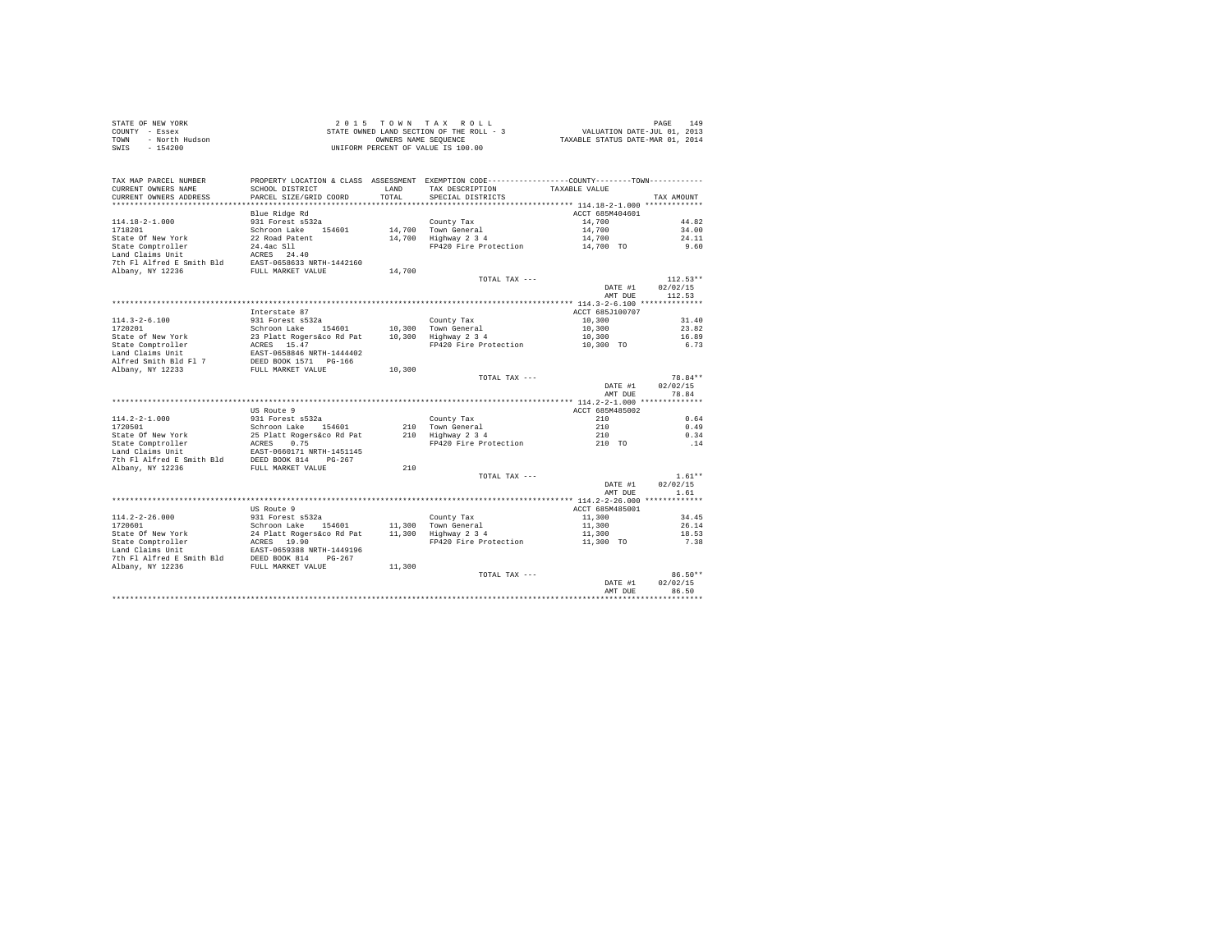|      | STATE OF NEW YORK | 2015 TOWN TAX ROLL                       | 149<br>PAGE                      |
|------|-------------------|------------------------------------------|----------------------------------|
|      | COUNTY - Essex    | STATE OWNED LAND SECTION OF THE ROLL - 3 | VALUATION DATE-JUL 01, 2013      |
| TOWN | - North Hudson    | OWNERS NAME SEOUENCE                     | TAXABLE STATUS DATE-MAR 01, 2014 |
| SWIS | - 154200          | UNIFORM PERCENT OF VALUE IS 100.00       |                                  |

| TAX MAP PARCEL NUMBER<br>CURRENT OWNERS NAME<br>CURRENT OWNERS ADDRESS | SCHOOL DISTRICT<br>PARCEL SIZE/GRID COORD | <b>T.AND</b><br>TOTAL | PROPERTY LOCATION & CLASS ASSESSMENT EXEMPTION CODE----------------COUNTY-------TOWN----------<br>TAX DESCRIPTION<br>SPECIAL DISTRICTS | TAXABLE VALUE   | TAX AMOUNT |
|------------------------------------------------------------------------|-------------------------------------------|-----------------------|----------------------------------------------------------------------------------------------------------------------------------------|-----------------|------------|
| **************************                                             |                                           |                       |                                                                                                                                        |                 |            |
|                                                                        | Blue Ridge Rd                             |                       |                                                                                                                                        | ACCT 685M404601 |            |
| $114.18 - 2 - 1.000$                                                   | 931 Forest s532a                          |                       | County Tax                                                                                                                             | 14,700          | 44.82      |
| 1718201                                                                | Schroon Lake 154601                       |                       | 14,700 Town General                                                                                                                    | 14,700          | 34.00      |
| State Of New York                                                      | 22 Road Patent                            |                       | 14,700 Highway 2 3 4                                                                                                                   | 14,700          | 24.11      |
| State Comptroller                                                      | 24.4ac Sll                                |                       | FP420 Fire Protection                                                                                                                  | 14,700 TO       | 9.60       |
| Land Claims Unit                                                       | ACRES 24.40                               |                       |                                                                                                                                        |                 |            |
| 7th Fl Alfred E Smith Bld                                              | EAST-0658633 NRTH-1442160                 |                       |                                                                                                                                        |                 |            |
| Albany, NY 12236                                                       | FULL MARKET VALUE                         | 14,700                |                                                                                                                                        |                 |            |
|                                                                        |                                           |                       | TOTAL TAX ---                                                                                                                          |                 | $112.53**$ |
|                                                                        |                                           |                       |                                                                                                                                        | DATE #1         | 02/02/15   |
|                                                                        |                                           |                       |                                                                                                                                        | AMT DUE         | 112.53     |
|                                                                        |                                           |                       |                                                                                                                                        |                 |            |
|                                                                        | Interstate 87                             |                       |                                                                                                                                        | ACCT 685J100707 |            |
| $114.3 - 2 - 6.100$                                                    | 931 Forest s532a                          |                       | County Tax                                                                                                                             | 10,300          | 31.40      |
| 1720201                                                                | Schroon Lake 154601                       |                       | 10.300 Town General                                                                                                                    | 10,300          | 23.82      |
| State of New York                                                      | 23 Platt Rogers&co Rd Pat                 |                       | 10,300 Highway 2 3 4                                                                                                                   | 10,300          | 16.89      |
| State Comptroller                                                      | ACRES 15.47                               |                       | FP420 Fire Protection                                                                                                                  | 10,300 TO       | 6.73       |
| Land Claims Unit                                                       | EAST-0658846 NRTH-1444402                 |                       |                                                                                                                                        |                 |            |
| Alfred Smith Bld Fl 7                                                  | DEED BOOK 1571 PG-166                     |                       |                                                                                                                                        |                 |            |
| Albany, NY 12233                                                       | FULL MARKET VALUE                         | 10,300                |                                                                                                                                        |                 |            |
|                                                                        |                                           |                       | TOTAL TAX ---                                                                                                                          |                 | 78.84**    |
|                                                                        |                                           |                       |                                                                                                                                        | DATE #1         | 02/02/15   |
|                                                                        |                                           |                       |                                                                                                                                        | AMT DUE         | 78.84      |
|                                                                        |                                           |                       |                                                                                                                                        |                 |            |
|                                                                        | US Route 9                                |                       |                                                                                                                                        | ACCT 685M485002 |            |
| $114.2 - 2 - 1.000$                                                    | 931 Forest s532a                          |                       | County Tax                                                                                                                             | 210             | 0.64       |
| 1720501                                                                | Schroon Lake 154601                       |                       | 210 Town General                                                                                                                       | 210             | 0.49       |
| State Of New York                                                      | 25 Platt Rogers&co Rd Pat                 |                       | 210 Highway 2 3 4                                                                                                                      | 210             | 0.34       |
| State Comptroller                                                      | ACRES 0.75                                |                       | FP420 Fire Protection                                                                                                                  | 210 TO          | .14        |
| Land Claims Unit                                                       | EAST-0660171 NRTH-1451145                 |                       |                                                                                                                                        |                 |            |
| 7th Fl Alfred E Smith Bld                                              | DEED BOOK 814 PG-267                      |                       |                                                                                                                                        |                 |            |
| Albany, NY 12236                                                       | FULL MARKET VALUE                         | 210                   |                                                                                                                                        |                 |            |
|                                                                        |                                           |                       | TOTAL TAX ---                                                                                                                          |                 | $1.61**$   |
|                                                                        |                                           |                       |                                                                                                                                        | DATE #1         | 02/02/15   |
|                                                                        |                                           |                       |                                                                                                                                        | AMT DUE         | 1.61       |
|                                                                        |                                           |                       |                                                                                                                                        |                 |            |
|                                                                        | US Route 9                                |                       |                                                                                                                                        | ACCT 685M485001 |            |
| $114.2 - 2 - 26.000$                                                   | 931 Forest s532a                          |                       | County Tax                                                                                                                             | 11,300          | 34.45      |
| 1720601                                                                | Schroon Lake<br>154601                    |                       | 11,300 Town General                                                                                                                    | 11,300          | 26.14      |
| State Of New York                                                      | 24 Platt Rogers&co Rd Pat                 |                       | 11,300 Highway 2 3 4                                                                                                                   | 11,300          | 18.53      |
| State Comptroller                                                      | ACRES 19.90                               |                       | FP420 Fire Protection                                                                                                                  | 11,300 TO       | 7.38       |
| Land Claims Unit                                                       | EAST-0659388 NRTH-1449196                 |                       |                                                                                                                                        |                 |            |
| 7th Fl Alfred E Smith Bld                                              | DEED BOOK 814<br>$PG-267$                 |                       |                                                                                                                                        |                 |            |
| Albany, NY 12236                                                       | FULL MARKET VALUE                         | 11,300                |                                                                                                                                        |                 |            |
|                                                                        |                                           |                       | TOTAL TAX ---                                                                                                                          |                 | 86.50**    |
|                                                                        |                                           |                       |                                                                                                                                        | DATE #1         | 02/02/15   |
|                                                                        |                                           |                       |                                                                                                                                        | AMT DUE         | 86.50      |
|                                                                        |                                           |                       |                                                                                                                                        |                 |            |
|                                                                        |                                           |                       |                                                                                                                                        |                 |            |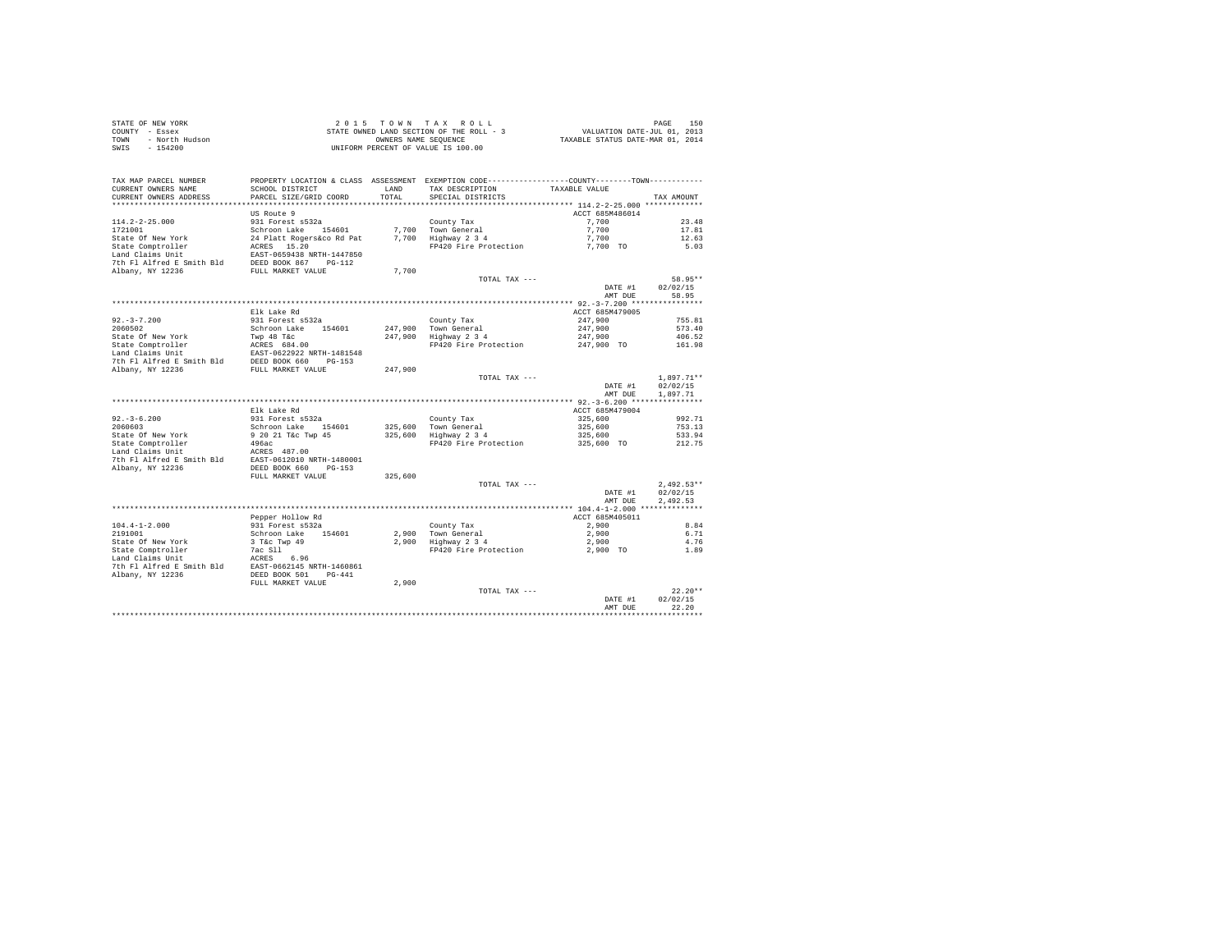|                | STATE OF NEW YORK | 2015 TOWN TAX ROLL                       |                      |  |  | 150<br>PAGE                      |
|----------------|-------------------|------------------------------------------|----------------------|--|--|----------------------------------|
| COUNTY - Essex |                   | STATE OWNED LAND SECTION OF THE ROLL - 3 |                      |  |  | VALUATION DATE-JUL 01, 2013      |
| TOWN           | - North Hudson    |                                          | OWNERS NAME SEOUENCE |  |  | TAXABLE STATUS DATE-MAR 01, 2014 |
| SWIS           | - 154200          | UNIFORM PERCENT OF VALUE IS 100.00       |                      |  |  |                                  |

| TAX MAP PARCEL NUMBER     | PROPERTY LOCATION & CLASS ASSESSMENT EXEMPTION CODE---------------COUNTY-------TOWN---------- |         |                       |                 |                    |
|---------------------------|-----------------------------------------------------------------------------------------------|---------|-----------------------|-----------------|--------------------|
| CURRENT OWNERS NAME       | SCHOOL DISTRICT                                                                               | LAND    | TAX DESCRIPTION       | TAXABLE VALUE   |                    |
| CURRENT OWNERS ADDRESS    | PARCEL SIZE/GRID COORD                                                                        | TOTAL   | SPECIAL DISTRICTS     |                 | TAX AMOUNT         |
| ***********************   |                                                                                               |         |                       |                 |                    |
|                           | US Route 9                                                                                    |         |                       | ACCT 685M486014 |                    |
| $114.2 - 2 - 25.000$      | 931 Forest s532a                                                                              |         | County Tax            | 7,700           | 23.48              |
| 1721001                   | Schroon Lake 154601                                                                           |         | 7,700 Town General    | 7.700           | 17.81              |
| State Of New York         | 24 Platt Rogers&co Rd Pat                                                                     |         | 7,700 Highway 2 3 4   | 7,700           | 12.63              |
| State Comptroller         | ACRES 15.20                                                                                   |         | FP420 Fire Protection | 7,700 TO        | 5.03               |
| Land Claims Unit          | EAST-0659438 NRTH-1447850                                                                     |         |                       |                 |                    |
| 7th Fl Alfred E Smith Bld | DEED BOOK 867 PG-112                                                                          |         |                       |                 |                    |
| Albany, NY 12236          | FULL MARKET VALUE                                                                             | 7.700   |                       |                 |                    |
|                           |                                                                                               |         | TOTAL TAX ---         |                 | 58.95**            |
|                           |                                                                                               |         |                       | DATE #1         | 02/02/15           |
|                           |                                                                                               |         |                       | AMT DUE         | 58.95              |
|                           |                                                                                               |         |                       |                 |                    |
|                           | Elk Lake Rd                                                                                   |         |                       | ACCT 685M479005 |                    |
| $92. - 3 - 7.200$         | 931 Forest s532a                                                                              |         | County Tax            | 247,900         | 755.81             |
| 2060502                   | Schroon Lake 154601                                                                           |         | 247.900 Town General  | 247,900         | 573.40             |
| State Of New York         | Twp 48 T&c                                                                                    | 247,900 | Highway 2 3 4         | 247,900         | 406.52             |
| State Comptroller         | ACRES 684.00                                                                                  |         | FP420 Fire Protection | 247,900 TO      | 161.98             |
| Land Claims Unit          | EAST-0622922 NRTH-1481548                                                                     |         |                       |                 |                    |
| 7th Fl Alfred E Smith Bld | DEED BOOK 660<br>PG-153                                                                       |         |                       |                 |                    |
| Albany, NY 12236          | FULL MARKET VALUE                                                                             | 247,900 |                       |                 |                    |
|                           |                                                                                               |         | TOTAL TAX ---         |                 | $1.897.71**$       |
|                           |                                                                                               |         |                       | DATE #1         | 02/02/15           |
|                           |                                                                                               |         |                       | AMT DUE         | 1,897.71           |
|                           |                                                                                               |         |                       |                 |                    |
|                           | Elk Lake Rd                                                                                   |         |                       | ACCT 685M479004 |                    |
| $92. - 3 - 6.200$         | 931 Forest s532a                                                                              |         | County Tax            | 325,600         | 992.71             |
| 2060603                   | Schroon Lake 154601                                                                           |         | 325,600 Town General  | 325,600         | 753.13             |
| State Of New York         | 9 20 21 T&c Twp 45                                                                            | 325,600 | Highway 2 3 4         | 325,600         | 533.94             |
| State Comptroller         | 496ac                                                                                         |         | FP420 Fire Protection | 325,600 TO      | 212.75             |
| Land Claims Unit          | ACRES 487.00                                                                                  |         |                       |                 |                    |
| 7th Fl Alfred E Smith Bld | EAST-0612010 NRTH-1480001                                                                     |         |                       |                 |                    |
| Albany, NY 12236          | DEED BOOK 660<br>$PG-153$                                                                     |         |                       |                 |                    |
|                           | FULL MARKET VALUE                                                                             | 325,600 |                       |                 |                    |
|                           |                                                                                               |         | TOTAL TAX ---         |                 | $2.492.53**$       |
|                           |                                                                                               |         |                       | DATE #1         | 02/02/15           |
|                           |                                                                                               |         |                       | AMT DUE         | 2.492.53           |
|                           |                                                                                               |         |                       |                 |                    |
|                           | Pepper Hollow Rd                                                                              |         |                       | ACCT 685M405011 |                    |
| $104.4 - 1 - 2.000$       | 931 Forest s532a                                                                              |         | County Tax            | 2,900           | 8.84               |
| 2191001                   | Schroon Lake<br>154601                                                                        |         | 2.900 Town General    | 2,900           | 6.71               |
| State Of New York         | 3 T&c Twp 49                                                                                  |         | 2,900 Highway 2 3 4   | 2,900           | 4.76               |
| State Comptroller         | 7ac Sll                                                                                       |         | FP420 Fire Protection | 2,900 TO        | 1.89               |
| Land Claims Unit          | ACRES 6.96                                                                                    |         |                       |                 |                    |
| 7th Fl Alfred E Smith Bld | EAST-0662145 NRTH-1460861                                                                     |         |                       |                 |                    |
| Albany, NY 12236          | DEED BOOK 501<br>PG-441                                                                       |         |                       |                 |                    |
|                           | FULL MARKET VALUE                                                                             | 2,900   |                       |                 |                    |
|                           |                                                                                               |         | TOTAL TAX ---         |                 | $22.20**$          |
|                           |                                                                                               |         |                       | DATE #1         | 02/02/15           |
|                           |                                                                                               |         |                       | AMT DUE         | 22.20              |
|                           |                                                                                               |         |                       |                 | ****************** |
|                           |                                                                                               |         |                       |                 |                    |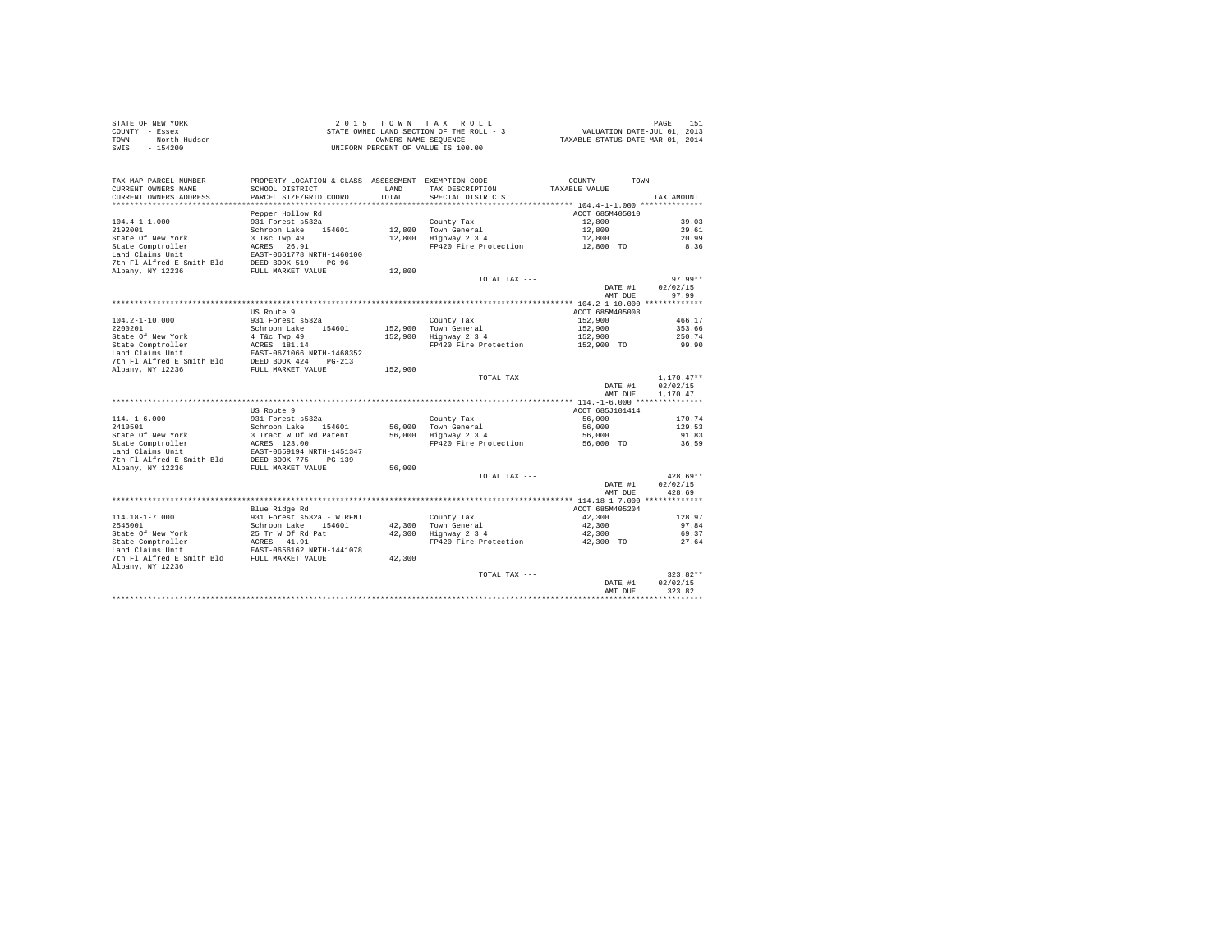|      | STATE OF NEW YORK | 2015 TOWN TAX ROLL                       | 151<br>PAGE                      |
|------|-------------------|------------------------------------------|----------------------------------|
|      | COUNTY - Essex    | STATE OWNED LAND SECTION OF THE ROLL - 3 | VALUATION DATE-JUL 01, 2013      |
| TOWN | - North Hudson    | OWNERS NAME SEOUENCE                     | TAXABLE STATUS DATE-MAR 01, 2014 |
| SWIS | - 154200          | UNIFORM PERCENT OF VALUE IS 100.00       |                                  |

| TAX MAP PARCEL NUMBER<br>CURRENT OWNERS NAME  | PROPERTY LOCATION & CLASS ASSESSMENT EXEMPTION CODE---------------COUNTY-------TOWN----------<br>SCHOOL DISTRICT | LAND    | TAX DESCRIPTION       | TAXABLE VALUE                                    |                      |
|-----------------------------------------------|------------------------------------------------------------------------------------------------------------------|---------|-----------------------|--------------------------------------------------|----------------------|
| CURRENT OWNERS ADDRESS                        | PARCEL SIZE/GRID COORD                                                                                           | TOTAL.  | SPECIAL DISTRICTS     |                                                  | TAX AMOUNT           |
|                                               |                                                                                                                  |         |                       |                                                  |                      |
|                                               | Pepper Hollow Rd                                                                                                 |         |                       | ACCT 685M405010                                  |                      |
| $104.4 - 1 - 1.000$                           | 931 Forest s532a                                                                                                 |         | County Tax            | 12,800                                           | 39.03                |
| 2192001                                       | Schroon Lake 154601                                                                                              |         | 12,800 Town General   | 12,800                                           | 29.61                |
| State Of New York                             | 3 T&c Twp 49                                                                                                     | 12,800  | Highway 2 3 4         | 12,800                                           | 20.99                |
| State Comptroller                             | ACRES 26.91                                                                                                      |         | FP420 Fire Protection | 12,800 TO                                        | 8.36                 |
| Land Claims Unit                              | EAST-0661778 NRTH-1460100<br>$PG-96$                                                                             |         |                       |                                                  |                      |
| 7th Fl Alfred E Smith Bld<br>Albany, NY 12236 | DEED BOOK 519<br>FULL MARKET VALUE                                                                               | 12,800  |                       |                                                  |                      |
|                                               |                                                                                                                  |         | TOTAL TAX ---         |                                                  | 97.99**              |
|                                               |                                                                                                                  |         |                       | DATE #1                                          | 02/02/15             |
|                                               |                                                                                                                  |         |                       | AMT DUE                                          | 97.99                |
|                                               |                                                                                                                  |         |                       |                                                  |                      |
|                                               | US Route 9                                                                                                       |         |                       | ACCT 685M405008                                  |                      |
| 104.2-1-10.000                                | 931 Forest s532a                                                                                                 |         | County Tax            | 152,900                                          | 466.17               |
| 2200201                                       | Schroon Lake<br>154601                                                                                           |         | 152,900 Town General  | 152,900                                          | 353.66               |
| State Of New York                             | 4 T&c Twp 49                                                                                                     | 152,900 | Highway 2 3 4         | 152,900                                          | 250.74               |
| State Comptroller                             | ACRES 181.14                                                                                                     |         | FP420 Fire Protection | 152,900 TO                                       | 99.90                |
| Land Claims Unit                              | EAST-0671066 NRTH-1468352                                                                                        |         |                       |                                                  |                      |
| 7th Fl Alfred E Smith Bld                     | DEED BOOK 424<br>$PG-213$                                                                                        |         |                       |                                                  |                      |
| Albany, NY 12236                              | FULL MARKET VALUE                                                                                                | 152,900 |                       |                                                  |                      |
|                                               |                                                                                                                  |         | TOTAL TAX ---         |                                                  | $1,170.47**$         |
|                                               |                                                                                                                  |         |                       | DATE #1<br>AMT DUE                               | 02/02/15<br>1,170,47 |
|                                               |                                                                                                                  |         |                       |                                                  |                      |
|                                               | US Route 9                                                                                                       |         |                       | ACCT 685J101414                                  |                      |
| $114. - 1 - 6.000$                            | 931 Forest s532a                                                                                                 |         | County Tax            | 56,000                                           | 170.74               |
| 2410501                                       | Schroon Lake<br>154601                                                                                           | 56,000  | Town General          | 56,000                                           | 129.53               |
| State Of New York                             | 3 Tract W Of Rd Patent                                                                                           | 56,000  | Highway 2 3 4         | 56,000                                           | 91.83                |
| State Comptroller                             | ACRES 123.00                                                                                                     |         | FP420 Fire Protection | 56,000 TO                                        | 36.59                |
| Land Claims Unit                              | EAST-0659194 NRTH-1451347                                                                                        |         |                       |                                                  |                      |
| 7th Fl Alfred E Smith Bld                     | DEED BOOK 775<br>$PG-139$                                                                                        |         |                       |                                                  |                      |
| Albany, NY 12236                              | FULL MARKET VALUE                                                                                                | 56,000  |                       |                                                  |                      |
|                                               |                                                                                                                  |         | TOTAL TAX ---         |                                                  | $428.69**$           |
|                                               |                                                                                                                  |         |                       | DATE #1                                          | 02/02/15             |
|                                               |                                                                                                                  |         |                       | AMT DUE                                          | 428.69               |
|                                               | Blue Ridge Rd                                                                                                    |         |                       | ACCT 685M405204                                  |                      |
| $114.18 - 1 - 7.000$                          | 931 Forest s532a - WTRFNT                                                                                        |         | County Tax            | 42,300                                           | 128.97               |
| 2545001                                       | Schroon Lake<br>154601                                                                                           |         | 42.300 Town General   | 42,300                                           | 97.84                |
| State Of New York                             | 25 Tr W Of Rd Pat                                                                                                | 42,300  | Highway 2 3 4         | 42,300                                           | 69.37                |
| State Comptroller                             | ACRES 41.91                                                                                                      |         | FP420 Fire Protection | 42,300 TO                                        | 27.64                |
| Land Claims Unit                              | EAST-0656162 NRTH-1441078                                                                                        |         |                       |                                                  |                      |
| 7th Fl Alfred E Smith Bld                     | FULL MARKET VALUE                                                                                                | 42,300  |                       |                                                  |                      |
| Albany, NY 12236                              |                                                                                                                  |         |                       |                                                  |                      |
|                                               |                                                                                                                  |         | TOTAL TAX ---         |                                                  | $323.82**$           |
|                                               |                                                                                                                  |         |                       | DATE #1                                          | 02/02/15             |
|                                               |                                                                                                                  |         |                       | AMT DUE<br>************************************* | 323.82               |
|                                               |                                                                                                                  |         |                       |                                                  |                      |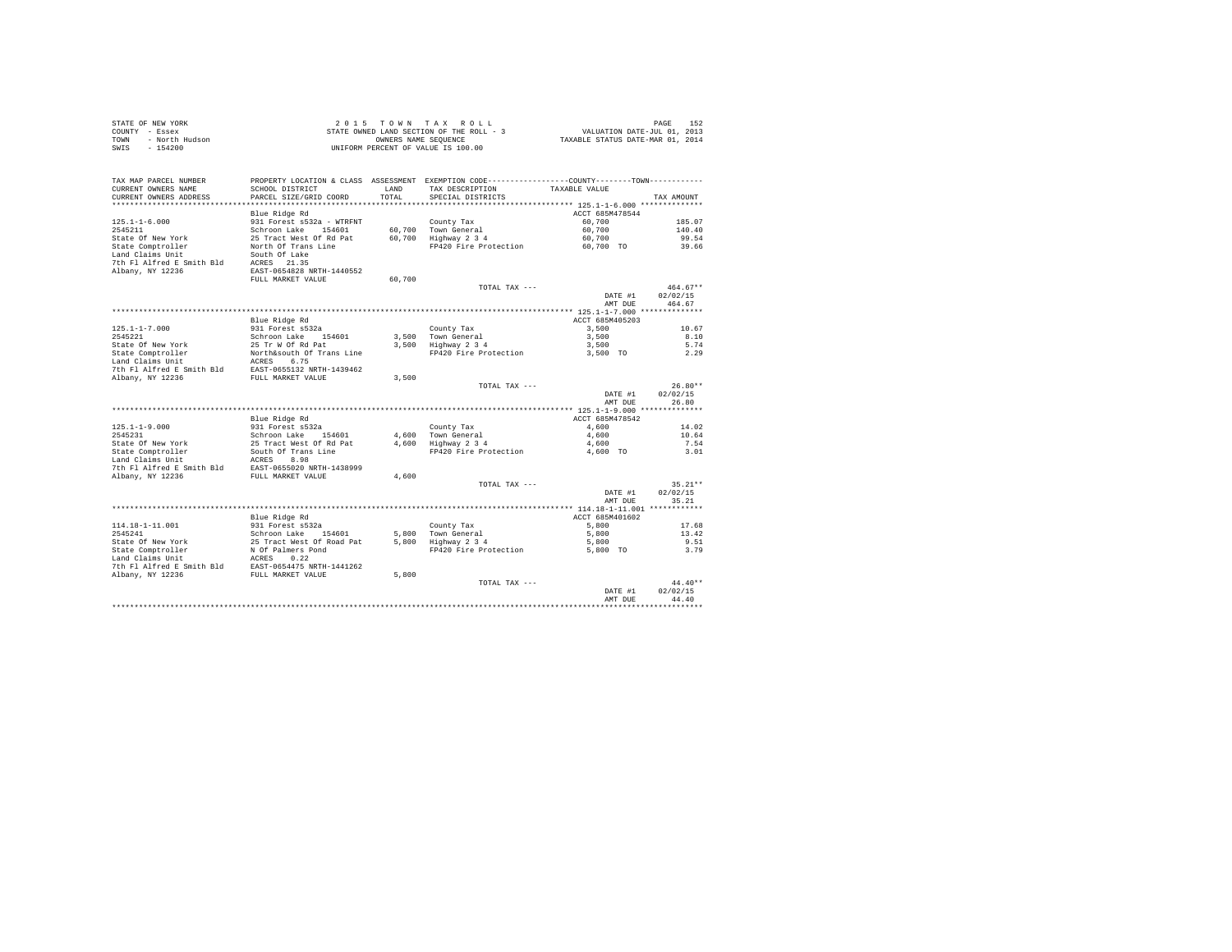| STATE OF NEW YORK      | 2015 TOWN TAX ROLL                       | 152<br>PAGE                      |
|------------------------|------------------------------------------|----------------------------------|
| COUNTY - Essex         | STATE OWNED LAND SECTION OF THE ROLL - 3 | VALUATION DATE-JUL 01, 2013      |
| TOWN<br>- North Hudson | OWNERS NAME SEOUENCE                     | TAXABLE STATUS DATE-MAR 01, 2014 |
| $-154200$<br>SWIS      | UNIFORM PERCENT OF VALUE IS 100.00       |                                  |

|                                               |                                                |        |                                                              | AMT DUE         | 44.40                 |
|-----------------------------------------------|------------------------------------------------|--------|--------------------------------------------------------------|-----------------|-----------------------|
|                                               |                                                |        | TOTAL TAX ---                                                | DATE #1         | $44.40**$<br>02/02/15 |
| 7th Fl Alfred E Smith Bld<br>Albany, NY 12236 | EAST-0654475 NRTH-1441262<br>FULL MARKET VALUE | 5,800  |                                                              |                 |                       |
| Land Claims Unit                              | 0.22<br>ACRES                                  |        |                                                              |                 |                       |
| State Comptroller                             | N Of Palmers Pond                              |        | FP420 Fire Protection                                        | 5,800 TO        | 3.79                  |
| State Of New York                             | 25 Tract West Of Road Pat                      | 5,800  | Highway 2 3 4                                                | 5,800           | 9.51                  |
| 2545241                                       | Schroon Lake<br>154601                         | 5,800  | Town General                                                 | 5,800           | 13.42                 |
| 114.18-1-11.001                               | 931 Forest s532a                               |        | County Tax                                                   | 5,800           | 17.68                 |
|                                               | Blue Ridge Rd                                  |        |                                                              | ACCT 685M401602 |                       |
|                                               |                                                |        |                                                              | AMT DUE         | 35.21                 |
|                                               |                                                |        |                                                              | DATE #1         | 02/02/15              |
|                                               |                                                |        | TOTAL TAX ---                                                |                 | $35.21**$             |
| Albany, NY 12236                              | FULL MARKET VALUE                              | 4,600  |                                                              |                 |                       |
| 7th Fl Alfred E Smith Bld                     | EAST-0655020 NRTH-1438999                      |        |                                                              |                 |                       |
| Land Claims Unit                              | ACRES<br>8.98                                  |        |                                                              |                 |                       |
| State Comptroller                             | South Of Trans Line                            |        | FP420 Fire Protection                                        | 4,600 TO        | 3.01                  |
| State Of New York                             | 25 Tract West Of Rd Pat                        | 4,600  | Highway 2 3 4                                                | 4,600           | 7.54                  |
| 2545231                                       | Schroon Lake 154601                            |        | 4.600 Town General                                           | 4,600           | 10.64                 |
| $125.1 - 1 - 9.000$                           | 931 Forest s532a                               |        | County Tax                                                   | 4,600           | 14.02                 |
|                                               | Blue Ridge Rd                                  |        |                                                              | ACCT 685M478542 |                       |
|                                               |                                                |        |                                                              |                 |                       |
|                                               |                                                |        |                                                              | AMT DUE         | 26.80                 |
|                                               |                                                |        | TOTAL TAX ---                                                | DATE #1         | 02/02/15              |
| Albany, NY 12236                              | FULL MARKET VALUE                              | 3,500  |                                                              |                 | $26.80**$             |
| 7th Fl Alfred E Smith Bld                     | EAST-0655132 NRTH-1439462                      |        |                                                              |                 |                       |
| Land Claims Unit                              | ACRES<br>6.75                                  |        |                                                              |                 |                       |
| State Comptroller                             | North&south Of Trans Line                      |        | FP420 Fire Protection                                        | 3,500 TO        | 2.29                  |
| State Of New York                             | 25 Tr W Of Rd Pat                              | 3,500  | Highway 2 3 4                                                | 3,500           | 5.74                  |
| 2545221                                       | Schroon Lake 154601                            |        | 3.500 Town General                                           | 3,500           | 8.10                  |
| $125.1 - 1 - 7.000$                           | 931 Forest s532a                               |        | County Tax                                                   | 3,500           | 10.67                 |
|                                               | Blue Ridge Rd                                  |        |                                                              | ACCT 685M405203 |                       |
|                                               |                                                |        |                                                              |                 |                       |
|                                               |                                                |        |                                                              | AMT DUE         | 464.67                |
|                                               |                                                |        |                                                              | DATE #1         | 02/02/15              |
|                                               |                                                |        | TOTAL TAX ---                                                |                 | $464.67**$            |
|                                               | FULL MARKET VALUE                              | 60,700 |                                                              |                 |                       |
| 7th Fl Alfred E Smith Bld<br>Albany, NY 12236 | ACRES 21.35<br>EAST-0654828 NRTH-1440552       |        |                                                              |                 |                       |
| Land Claims Unit                              | South Of Lake                                  |        |                                                              |                 |                       |
| State Comptroller                             | North Of Trans Line                            |        | FP420 Fire Protection                                        | 60,700 TO       | 39.66                 |
| State Of New York                             | 25 Tract West Of Rd Pat                        | 60.700 | Highway 2 3 4                                                | 60,700          | 99.54                 |
| 2545211                                       | Schroon Lake<br>154601                         |        | 60,700 Town General                                          | 60,700          | 140.40                |
| $125.1 - 1 - 6.000$                           | 931 Forest s532a - WTRFNT                      |        | County Tax                                                   | 60,700          | 185.07                |
|                                               | Blue Ridge Rd                                  |        |                                                              | ACCT 685M478544 |                       |
| **********************                        |                                                |        |                                                              |                 |                       |
| CURRENT OWNERS ADDRESS                        | PARCEL SIZE/GRID COORD                         | TOTAL  | SPECIAL DISTRICTS                                            |                 | TAX AMOUNT            |
| CURRENT OWNERS NAME                           | SCHOOL DISTRICT                                | LAND   | TAX DESCRIPTION                                              | TAXABLE VALUE   |                       |
| TAX MAP PARCEL NUMBER                         | PROPERTY LOCATION & CLASS ASSESSMENT           |        | EXEMPTION CODE-----------------COUNTY--------TOWN----------- |                 |                       |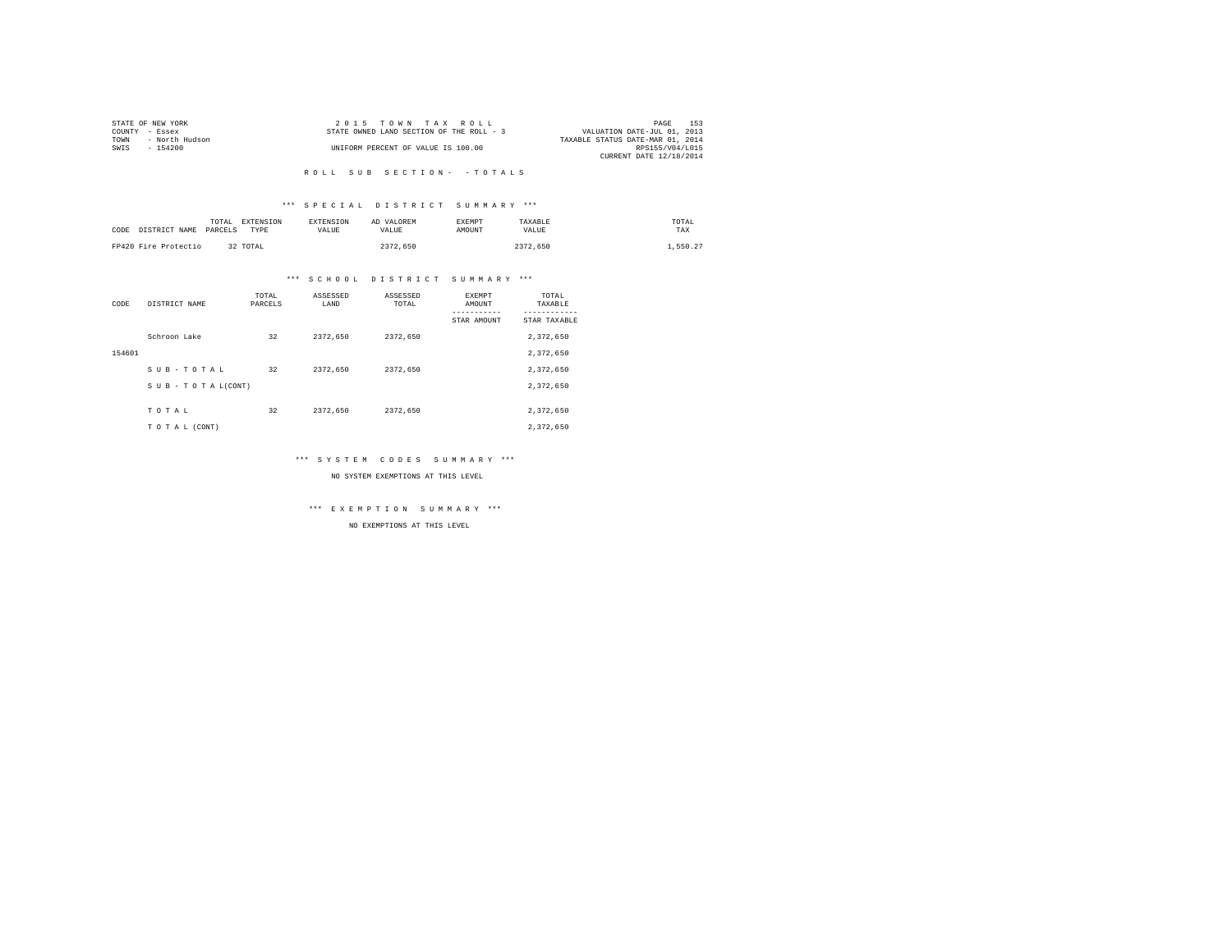|                | STATE OF NEW YORK | 2015 TOWN TAX ROLL                                                      | PAGE            | 153 |
|----------------|-------------------|-------------------------------------------------------------------------|-----------------|-----|
| COUNTY - Essex |                   | VALUATION DATE-JUL 01, 2013<br>STATE OWNED LAND SECTION OF THE ROLL - 3 |                 |     |
| TOWN           | - North Hudson    | TAXABLE STATUS DATE-MAR 01, 2014                                        |                 |     |
| SWIS           | $-154200$         | UNIFORM PERCENT OF VALUE IS 100.00                                      | RPS155/V04/L015 |     |
|                |                   | CURRENT DATE 12/18/2014                                                 |                 |     |

#### R O L L S U B S E C T I O N - - T O T A L S

# \*\*\* S P E C I A L D I S T R I C T S U M M A R Y \*\*\*

| CODE DISTRICT NAME   | TOTAL<br>PARCELS | EXTENSION<br>TYPE | <b>EXTENSION</b><br>VALUE. | AD VALOREM<br>VALUE | EXEMPT<br>AMOUNT | TAXABLE<br>VALUE | TOTAL<br>TAX |
|----------------------|------------------|-------------------|----------------------------|---------------------|------------------|------------------|--------------|
| FP420 Fire Protectio |                  | 32 TOTAL          |                            | 2372,650            |                  | 2372.650         | .,550.27     |

# \*\*\* S C H O O L D I S T R I C T S U M M A R Y \*\*\*

| CODE   | DISTRICT NAME   | TOTAL<br>PARCELS | ASSESSED<br>LAND | ASSESSED<br>TOTAL | EXEMPT<br>AMOUNT | TOTAL<br>TAXABLE |
|--------|-----------------|------------------|------------------|-------------------|------------------|------------------|
|        |                 |                  |                  |                   | STAR AMOUNT      | STAR TAXABLE     |
|        | Schroon Lake    | 32               | 2372.650         | 2372.650          |                  | 2,372,650        |
| 154601 |                 |                  |                  |                   |                  | 2.372.650        |
|        | SUB-TOTAL       | 32               | 2372.650         | 2372.650          |                  | 2,372,650        |
|        | SUB-TOTAL(CONT) |                  |                  |                   |                  | 2,372,650        |
|        |                 |                  |                  |                   |                  |                  |
|        | TOTAL           | 32               | 2372,650         | 2372.650          |                  | 2,372,650        |
|        | TO TAL (CONT)   |                  |                  |                   |                  | 2,372,650        |

# \*\*\* S Y S T E M C O D E S S U M M A R Y \*\*\*

#### NO SYSTEM EXEMPTIONS AT THIS LEVEL

\*\*\* E X E M P T I O N S U M M A R Y \*\*\*

NO EXEMPTIONS AT THIS LEVEL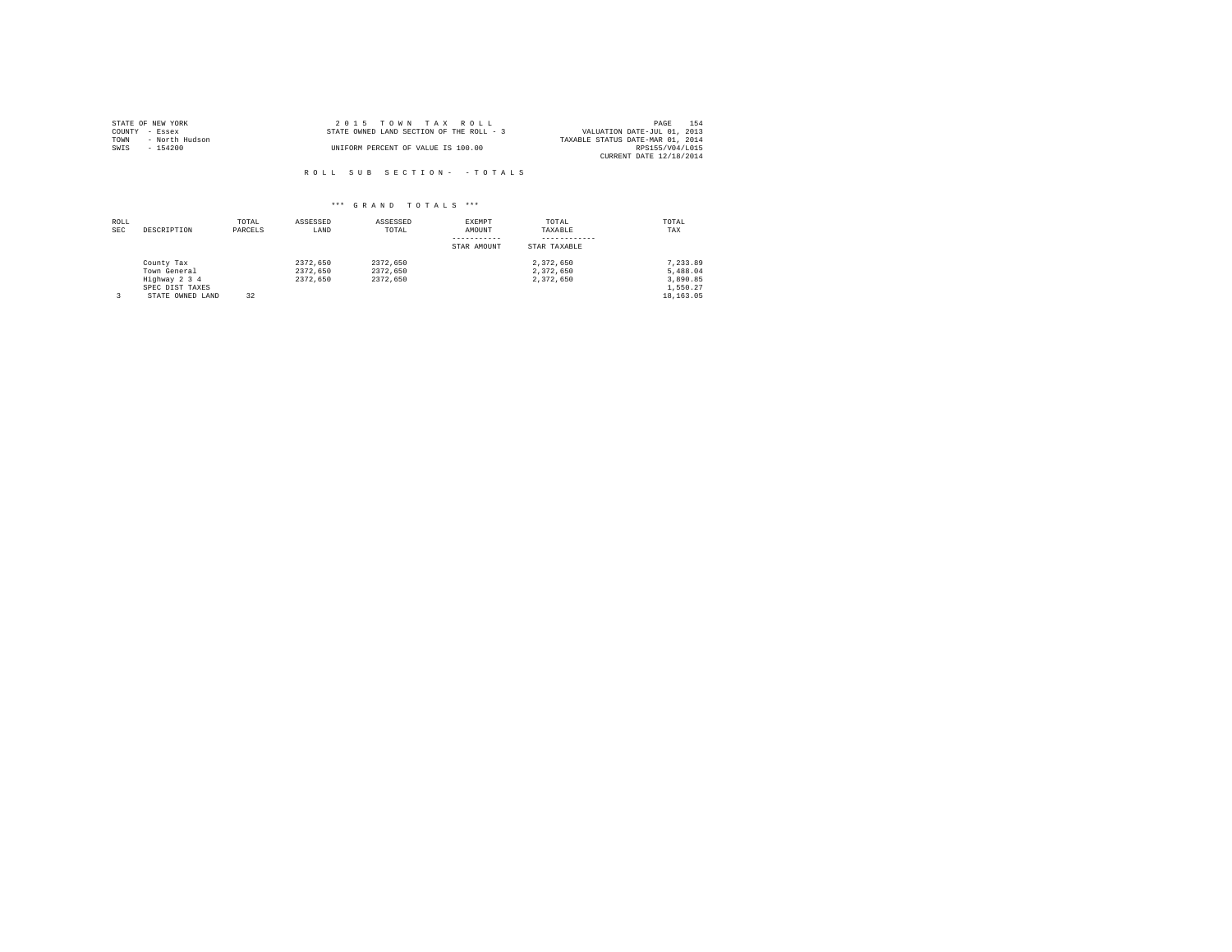| STATE OF NEW YORK |                |  | $2.0.15$ TOWN TAX ROLL                   |  |  | 154<br>PAGE                      |
|-------------------|----------------|--|------------------------------------------|--|--|----------------------------------|
| COUNTY - Essex    |                |  | STATE OWNED LAND SECTION OF THE ROLL - 3 |  |  | VALUATION DATE-JUL 01, 2013      |
| TOWN              | - North Hudson |  |                                          |  |  | TAXABLE STATUS DATE-MAR 01, 2014 |
| SWIS              | $-154200$      |  | UNIFORM PERCENT OF VALUE IS 100.00       |  |  | RPS155/V04/L015                  |
|                   |                |  |                                          |  |  | CURRENT DATE 12/18/2014          |

R O L L S U B S E C T I O N - - T O T A L S

# \*\*\* G R A N D T O T A L S \*\*\*

| ROLL<br><b>SEC</b> | DESCRIPTION                                                                        | TOTAL<br>PARCELS | ASSESSED<br>LAND                 | ASSESSED<br>TOTAL                | EXEMPT<br>AMOUNT<br>STAR AMOUNT | TOTAL<br>TAXABLE<br>STAR TAXABLE    | TOTAL<br>TAX                                              |
|--------------------|------------------------------------------------------------------------------------|------------------|----------------------------------|----------------------------------|---------------------------------|-------------------------------------|-----------------------------------------------------------|
|                    | County Tax<br>Town General<br>Highway 2 3 4<br>SPEC DIST TAXES<br>STATE OWNED LAND | 32               | 2372.650<br>2372.650<br>2372.650 | 2372.650<br>2372.650<br>2372.650 |                                 | 2.372.650<br>2.372.650<br>2.372.650 | 7.233.89<br>5,488.04<br>3,890.85<br>1,550.27<br>18,163.05 |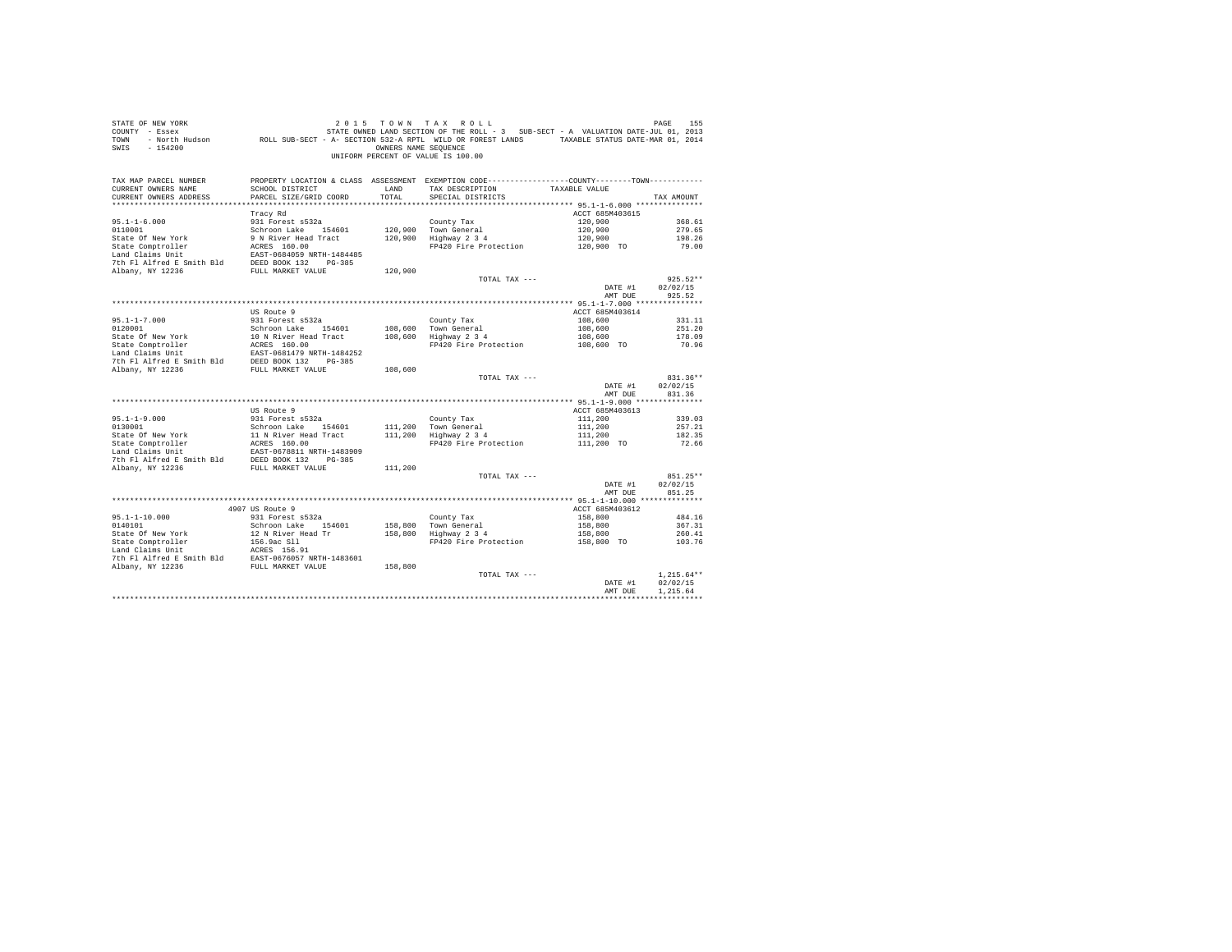| STATE OF NEW YORK<br>COUNTY - Essex<br>TOWN<br>SWIS<br>$-154200$                                                                                                                                                                              |                                           | OWNERS NAME SEOUENCE | 2015 TOWN TAX ROLL<br>DF NEW YORK<br>- Essex ( PAGE 155 – 1992 – 1994) STATE OWNED LAND SECTION OF THE ROLL - 3 SUB-SECT - A VALUATION DATE-JUL 01,<br>- North Hudson       ROLL SUB-SECT - A - SECTION 532-A RPTL WILD OR FOREST LANDS     TAXABLE STATU<br>UNIFORM PERCENT OF VALUE IS 100.00 |                    | PAGE<br>155        |
|-----------------------------------------------------------------------------------------------------------------------------------------------------------------------------------------------------------------------------------------------|-------------------------------------------|----------------------|-------------------------------------------------------------------------------------------------------------------------------------------------------------------------------------------------------------------------------------------------------------------------------------------------|--------------------|--------------------|
| TAX MAP PARCEL NUMBER<br>CURRENT OWNERS NAME<br>CURRENT OWNERS ADDRESS                                                                                                                                                                        | SCHOOL DISTRICT<br>PARCEL SIZE/GRID COORD | LAND<br>TOTAL        | PROPERTY LOCATION & CLASS ASSESSMENT EXEMPTION CODE---------------COUNTY-------TOWN---------<br>TAX DESCRIPTION TAXABLE VALUE<br>SPECIAL DISTRICTS                                                                                                                                              |                    | TAX AMOUNT         |
|                                                                                                                                                                                                                                               |                                           |                      |                                                                                                                                                                                                                                                                                                 |                    |                    |
|                                                                                                                                                                                                                                               | Tracy Rd                                  |                      |                                                                                                                                                                                                                                                                                                 | ACCT 685M403615    |                    |
| $95.1 - 1 - 6.000$                                                                                                                                                                                                                            | 931 Forest s532a                          |                      | County Tax                                                                                                                                                                                                                                                                                      | 120,900            | 368.61             |
|                                                                                                                                                                                                                                               |                                           |                      | 120,900 Town General<br>120,900 Town General<br>120,900 Highway 2 3 4                                                                                                                                                                                                                           | 120,900            | 279.65             |
|                                                                                                                                                                                                                                               |                                           |                      | FP420 Fire Protection 120,900 TO                                                                                                                                                                                                                                                                | 120,900            | 198.26<br>79.00    |
|                                                                                                                                                                                                                                               |                                           |                      |                                                                                                                                                                                                                                                                                                 |                    |                    |
|                                                                                                                                                                                                                                               |                                           |                      |                                                                                                                                                                                                                                                                                                 |                    |                    |
|                                                                                                                                                                                                                                               |                                           | 120,900              |                                                                                                                                                                                                                                                                                                 |                    |                    |
| 95.1-1-0.000<br>SCHIVON SCHIVON - Head Tract<br>State Of New York 9 N River Head Tract<br>Land Claims Unit<br>Land Claims Unit Rack CHOS NRTH-1484485<br>The F1 Alfred E Smith Bld<br>The TH AFRET VALUE<br>THE NEW 12236<br>TULL MARKET VALU |                                           |                      | TOTAL TAX ---                                                                                                                                                                                                                                                                                   |                    | $925.52**$         |
|                                                                                                                                                                                                                                               |                                           |                      |                                                                                                                                                                                                                                                                                                 | DATE #1            | 02/02/15           |
|                                                                                                                                                                                                                                               |                                           |                      |                                                                                                                                                                                                                                                                                                 | AMT DUE            | 925.52             |
|                                                                                                                                                                                                                                               |                                           |                      |                                                                                                                                                                                                                                                                                                 |                    |                    |
|                                                                                                                                                                                                                                               | US Route 9                                |                      |                                                                                                                                                                                                                                                                                                 | ACCT 685M403614    |                    |
| $95.1 - 1 - 7.000$                                                                                                                                                                                                                            | 931 Forest s532a                          |                      | County Tax                                                                                                                                                                                                                                                                                      | 108,600            | 331.11             |
|                                                                                                                                                                                                                                               |                                           |                      | 108,600 Town General<br>108,600 Highway 2 3 4                                                                                                                                                                                                                                                   | 108,600            | 251.20             |
|                                                                                                                                                                                                                                               |                                           |                      | rown deneral<br>Highway 234<br>FP420 Fire Protection 108,600 TO                                                                                                                                                                                                                                 |                    | 178.09             |
|                                                                                                                                                                                                                                               |                                           |                      |                                                                                                                                                                                                                                                                                                 |                    | 70.96              |
|                                                                                                                                                                                                                                               |                                           |                      |                                                                                                                                                                                                                                                                                                 |                    |                    |
| % 1991 FORM Market Schrom Lake 154601<br>State Of New York 10 N River Head Tract<br>State Comptroller 10 N River Head Tract<br>Land Claims Unit<br>Land Claims Unit EAST-0681479 NRTH-1484252<br>7th F1 Alfred E Smith Bld<br>DEED BOOK 13    |                                           | 108,600              |                                                                                                                                                                                                                                                                                                 |                    |                    |
|                                                                                                                                                                                                                                               |                                           |                      | TOTAL TAX ---                                                                                                                                                                                                                                                                                   |                    | 831.36**           |
|                                                                                                                                                                                                                                               |                                           |                      |                                                                                                                                                                                                                                                                                                 | DATE #1<br>AMT DUE | 02/02/15<br>831.36 |
|                                                                                                                                                                                                                                               |                                           |                      |                                                                                                                                                                                                                                                                                                 |                    |                    |
|                                                                                                                                                                                                                                               | US Route 9                                |                      |                                                                                                                                                                                                                                                                                                 | ACCT 685M403613    |                    |
| $95.1 - 1 - 9.000$                                                                                                                                                                                                                            | 931 Forest s532a                          |                      | County Tax                                                                                                                                                                                                                                                                                      | 111,200            | 339.03             |
|                                                                                                                                                                                                                                               |                                           |                      | 111,200 Town General<br>111,200 Highway 2 3 4                                                                                                                                                                                                                                                   | 111,200            | 257.21             |
|                                                                                                                                                                                                                                               |                                           |                      | FP420 Fire Protection 111.200 TO                                                                                                                                                                                                                                                                | 111,200            | 182.35<br>72.66    |
|                                                                                                                                                                                                                                               |                                           |                      |                                                                                                                                                                                                                                                                                                 |                    |                    |
|                                                                                                                                                                                                                                               |                                           |                      |                                                                                                                                                                                                                                                                                                 |                    |                    |
|                                                                                                                                                                                                                                               |                                           | 111,200              |                                                                                                                                                                                                                                                                                                 |                    |                    |
|                                                                                                                                                                                                                                               |                                           |                      | TOTAL TAX ---                                                                                                                                                                                                                                                                                   |                    | 851.25**           |
|                                                                                                                                                                                                                                               |                                           |                      |                                                                                                                                                                                                                                                                                                 | DATE #1            | 02/02/15           |
|                                                                                                                                                                                                                                               |                                           |                      |                                                                                                                                                                                                                                                                                                 | AMT DUE            | 851.25             |
|                                                                                                                                                                                                                                               |                                           |                      |                                                                                                                                                                                                                                                                                                 |                    |                    |
|                                                                                                                                                                                                                                               | 4907 US Route 9                           |                      |                                                                                                                                                                                                                                                                                                 | ACCT 685M403612    |                    |
| 95.1-1-10.000                                                                                                                                                                                                                                 | 931 Forest s532a                          |                      | County Tax                                                                                                                                                                                                                                                                                      | 158,800            | 484.16             |
| 0140101                                                                                                                                                                                                                                       | Schroon Lake 154601                       |                      | County Tax<br>158,800   Town General<br>158,800   Highway 2 3 4                                                                                                                                                                                                                                 | 158,800            | 367.31<br>260.41   |
|                                                                                                                                                                                                                                               |                                           |                      | Highway 2 3 4 158,800<br>FP420 Fire Protection 158,800 TO                                                                                                                                                                                                                                       |                    | 103.76             |
|                                                                                                                                                                                                                                               |                                           |                      |                                                                                                                                                                                                                                                                                                 |                    |                    |
|                                                                                                                                                                                                                                               |                                           |                      |                                                                                                                                                                                                                                                                                                 |                    |                    |
|                                                                                                                                                                                                                                               |                                           |                      |                                                                                                                                                                                                                                                                                                 |                    |                    |
|                                                                                                                                                                                                                                               |                                           |                      | TOTAL TAX ---                                                                                                                                                                                                                                                                                   |                    | $1.215.64**$       |
|                                                                                                                                                                                                                                               |                                           |                      |                                                                                                                                                                                                                                                                                                 | DATE #1            | 02/02/15           |
|                                                                                                                                                                                                                                               |                                           |                      |                                                                                                                                                                                                                                                                                                 | AMT DUE            | 1.215.64           |
|                                                                                                                                                                                                                                               |                                           |                      |                                                                                                                                                                                                                                                                                                 |                    |                    |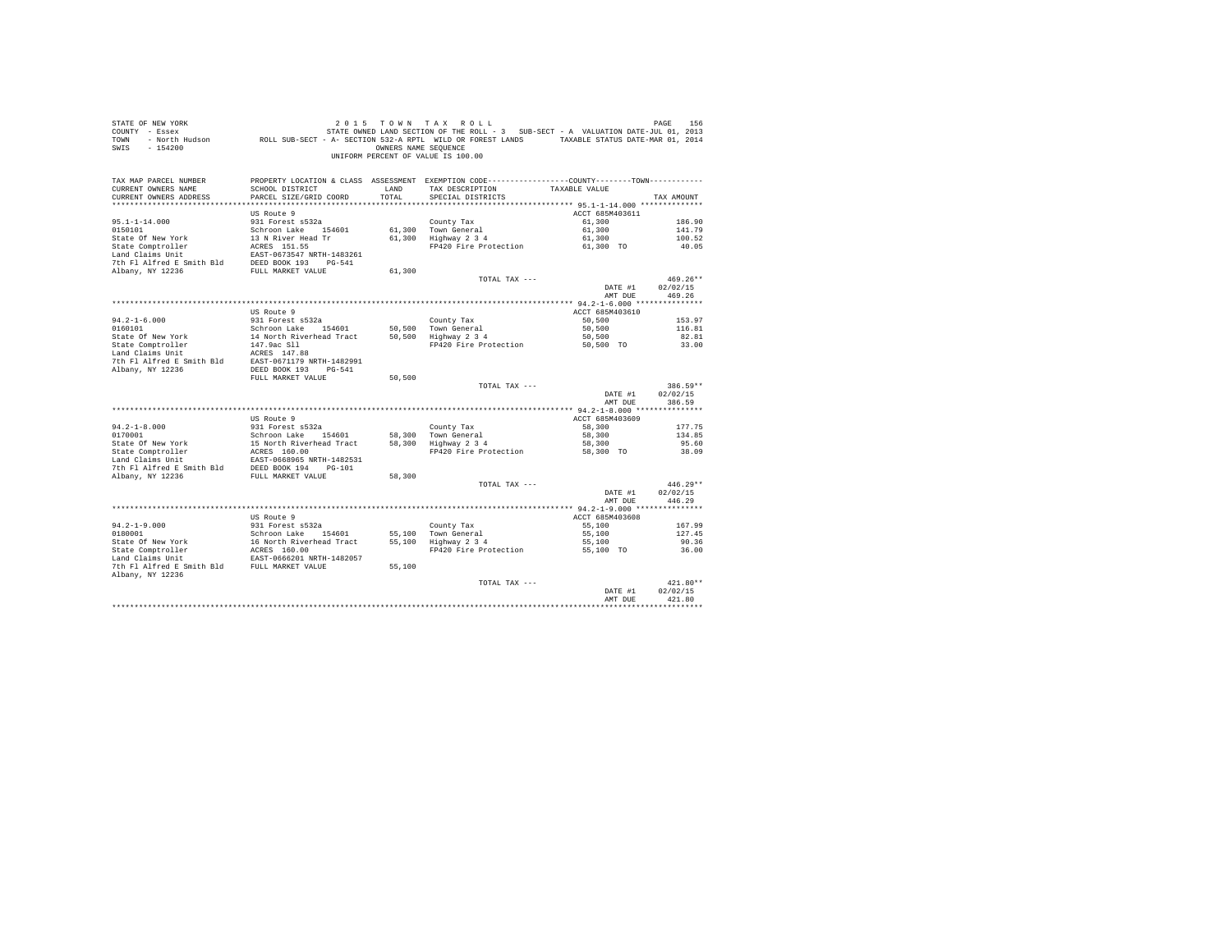| PROPERTY LOCATION & CLASS ASSESSMENT EXEMPTION CODE----------------COUNTY-------TOWN----------<br>TAX MAP PARCEL NUMBER<br>CURRENT OWNERS NAME<br>SCHOOL DISTRICT<br>TAX DESCRIPTION<br>LAND<br>TAXABLE VALUE<br>TOTAL<br>CURRENT OWNERS ADDRESS<br>PARCEL SIZE/GRID COORD<br>SPECIAL DISTRICTS<br>TAX AMOUNT<br>US Route 9<br>ACCT 685M403611<br>$95.1 - 1 - 14.000$<br>931 Forest s532a<br>County Tax<br>61,300<br>186.90<br>61,300<br>0150101<br>Schroon Lake 154601<br>141.79<br>61,300 Town General<br>State Of New York<br>13 N River Head Tr<br>61,300 Highway 2 3 4<br>61,300<br>100.52<br>61,300 TO<br>State Comptroller<br>ACRES 151.55<br>FP420 Fire Protection<br>40.05<br>Land Claims Unit<br>EAST-0673547 NRTH-1483261<br>7th Fl Alfred E Smith Bld<br>DEED BOOK 193 PG-541<br>Albany, NY 12236<br>FULL MARKET VALUE<br>61,300<br>469.26**<br>TOTAL TAX ---<br>02/02/15<br>DATE #1<br>469.26<br>AMT DUE<br>ACCT 685M403610<br>US Route 9<br>$94.2 - 1 - 6.000$<br>931 Forest s532a<br>50,500<br>County Tax<br>153.97<br>0160101<br>Schroon Lake 154601<br>50,500<br>Town General<br>50,500<br>116.81<br>State Of New York<br>50,500<br>14 North Riverhead Tract<br>50,500<br>Highway 2 3 4<br>82.81<br>State Comptroller<br>147.9ac Sll<br>FP420 Fire Protection<br>50.500 TO<br>33.00<br>Land Claims Unit<br>ACRES 147.88<br>7th Fl Alfred E Smith Bld<br>EAST-0671179 NRTH-1482991<br>Albany, NY 12236<br>DEED BOOK 193 PG-541<br>FULL MARKET VALUE<br>50,500<br>386.59**<br>TOTAL TAX ---<br>02/02/15<br>DATE #1<br>AMT DUE<br>386.59<br>ACCT 685M403609<br>US Route 9<br>$94.2 - 1 - 8.000$<br>931 Forest s532a<br>58,300<br>County Tax<br>177.75<br>0170001<br>58,300<br>Schroon Lake 154601<br>58,300<br>Town General<br>134.85<br>State Of New York<br>15 North Riverhead Tract<br>Highway 2 3 4<br>58,300<br>58,300<br>95.60<br>State Comptroller<br>ACRES 160.00<br>FP420 Fire Protection<br>58,300 TO<br>38.09<br>Land Claims Unit<br>EAST-0668965 NRTH-1482531<br>7th Fl Alfred E Smith Bld<br>DEED BOOK 194 PG-101<br>Albany, NY 12236<br>FULL MARKET VALUE<br>58,300<br>446.29**<br>TOTAL TAX ---<br>DATE #1<br>02/02/15<br>446.29<br>AMT DUE<br>US Route 9<br>ACCT 685M403608<br>$94.2 - 1 - 9.000$<br>931 Forest s532a<br>55,100<br>County Tax<br>167.99<br>0180001<br>Schroon Lake 154601<br>Town General<br>55,100<br>127.45<br>55,100<br>55,100 Highway 2 3 4<br>State Of New York<br>16 North Riverhead Tract<br>55,100<br>90.36<br>State Comptroller<br>ACRES 160.00<br>FP420 Fire Protection<br>55,100 TO<br>36.00<br>Land Claims Unit<br>EAST-0666201 NRTH-1482057<br>7th Fl Alfred E Smith Bld FULL MARKET VALUE<br>55,100<br>Albany, NY 12236<br>421.80**<br>TOTAL TAX ---<br>02/02/15<br>DATE #1<br>421.80<br>AMT DUE | STATE OF NEW YORK<br>COUNTY - Essex<br>TOWN<br>SWIS<br>$-154200$ | OWNERS NAME SEQUENCE | 2015 TOWN TAX ROLL<br>STATE OWNED LAND SECTION OF THE ROLL - 3 SUB-SECT - A VALUATION DATE-JUL 01, 2013<br>- North Hudson ROLL SUB-SECT - A- SECTION 532-A RPTL WILD OR FOREST LANDS TAXABLE STATUS DATE-MAR 01, 2014<br>UNIFORM PERCENT OF VALUE IS 100.00 | PAGE<br>156 |
|--------------------------------------------------------------------------------------------------------------------------------------------------------------------------------------------------------------------------------------------------------------------------------------------------------------------------------------------------------------------------------------------------------------------------------------------------------------------------------------------------------------------------------------------------------------------------------------------------------------------------------------------------------------------------------------------------------------------------------------------------------------------------------------------------------------------------------------------------------------------------------------------------------------------------------------------------------------------------------------------------------------------------------------------------------------------------------------------------------------------------------------------------------------------------------------------------------------------------------------------------------------------------------------------------------------------------------------------------------------------------------------------------------------------------------------------------------------------------------------------------------------------------------------------------------------------------------------------------------------------------------------------------------------------------------------------------------------------------------------------------------------------------------------------------------------------------------------------------------------------------------------------------------------------------------------------------------------------------------------------------------------------------------------------------------------------------------------------------------------------------------------------------------------------------------------------------------------------------------------------------------------------------------------------------------------------------------------------------------------------------------------------------------------------------------------------------------------------------------------------------------------------------------------------------------------------------------------------------------------------------------------------------------------------------------------------------------------------------------------------------------------|------------------------------------------------------------------|----------------------|-------------------------------------------------------------------------------------------------------------------------------------------------------------------------------------------------------------------------------------------------------------|-------------|
|                                                                                                                                                                                                                                                                                                                                                                                                                                                                                                                                                                                                                                                                                                                                                                                                                                                                                                                                                                                                                                                                                                                                                                                                                                                                                                                                                                                                                                                                                                                                                                                                                                                                                                                                                                                                                                                                                                                                                                                                                                                                                                                                                                                                                                                                                                                                                                                                                                                                                                                                                                                                                                                                                                                                                              |                                                                  |                      |                                                                                                                                                                                                                                                             |             |
|                                                                                                                                                                                                                                                                                                                                                                                                                                                                                                                                                                                                                                                                                                                                                                                                                                                                                                                                                                                                                                                                                                                                                                                                                                                                                                                                                                                                                                                                                                                                                                                                                                                                                                                                                                                                                                                                                                                                                                                                                                                                                                                                                                                                                                                                                                                                                                                                                                                                                                                                                                                                                                                                                                                                                              |                                                                  |                      |                                                                                                                                                                                                                                                             |             |
|                                                                                                                                                                                                                                                                                                                                                                                                                                                                                                                                                                                                                                                                                                                                                                                                                                                                                                                                                                                                                                                                                                                                                                                                                                                                                                                                                                                                                                                                                                                                                                                                                                                                                                                                                                                                                                                                                                                                                                                                                                                                                                                                                                                                                                                                                                                                                                                                                                                                                                                                                                                                                                                                                                                                                              |                                                                  |                      |                                                                                                                                                                                                                                                             |             |
|                                                                                                                                                                                                                                                                                                                                                                                                                                                                                                                                                                                                                                                                                                                                                                                                                                                                                                                                                                                                                                                                                                                                                                                                                                                                                                                                                                                                                                                                                                                                                                                                                                                                                                                                                                                                                                                                                                                                                                                                                                                                                                                                                                                                                                                                                                                                                                                                                                                                                                                                                                                                                                                                                                                                                              |                                                                  |                      |                                                                                                                                                                                                                                                             |             |
|                                                                                                                                                                                                                                                                                                                                                                                                                                                                                                                                                                                                                                                                                                                                                                                                                                                                                                                                                                                                                                                                                                                                                                                                                                                                                                                                                                                                                                                                                                                                                                                                                                                                                                                                                                                                                                                                                                                                                                                                                                                                                                                                                                                                                                                                                                                                                                                                                                                                                                                                                                                                                                                                                                                                                              |                                                                  |                      |                                                                                                                                                                                                                                                             |             |
|                                                                                                                                                                                                                                                                                                                                                                                                                                                                                                                                                                                                                                                                                                                                                                                                                                                                                                                                                                                                                                                                                                                                                                                                                                                                                                                                                                                                                                                                                                                                                                                                                                                                                                                                                                                                                                                                                                                                                                                                                                                                                                                                                                                                                                                                                                                                                                                                                                                                                                                                                                                                                                                                                                                                                              |                                                                  |                      |                                                                                                                                                                                                                                                             |             |
|                                                                                                                                                                                                                                                                                                                                                                                                                                                                                                                                                                                                                                                                                                                                                                                                                                                                                                                                                                                                                                                                                                                                                                                                                                                                                                                                                                                                                                                                                                                                                                                                                                                                                                                                                                                                                                                                                                                                                                                                                                                                                                                                                                                                                                                                                                                                                                                                                                                                                                                                                                                                                                                                                                                                                              |                                                                  |                      |                                                                                                                                                                                                                                                             |             |
|                                                                                                                                                                                                                                                                                                                                                                                                                                                                                                                                                                                                                                                                                                                                                                                                                                                                                                                                                                                                                                                                                                                                                                                                                                                                                                                                                                                                                                                                                                                                                                                                                                                                                                                                                                                                                                                                                                                                                                                                                                                                                                                                                                                                                                                                                                                                                                                                                                                                                                                                                                                                                                                                                                                                                              |                                                                  |                      |                                                                                                                                                                                                                                                             |             |
|                                                                                                                                                                                                                                                                                                                                                                                                                                                                                                                                                                                                                                                                                                                                                                                                                                                                                                                                                                                                                                                                                                                                                                                                                                                                                                                                                                                                                                                                                                                                                                                                                                                                                                                                                                                                                                                                                                                                                                                                                                                                                                                                                                                                                                                                                                                                                                                                                                                                                                                                                                                                                                                                                                                                                              |                                                                  |                      |                                                                                                                                                                                                                                                             |             |
|                                                                                                                                                                                                                                                                                                                                                                                                                                                                                                                                                                                                                                                                                                                                                                                                                                                                                                                                                                                                                                                                                                                                                                                                                                                                                                                                                                                                                                                                                                                                                                                                                                                                                                                                                                                                                                                                                                                                                                                                                                                                                                                                                                                                                                                                                                                                                                                                                                                                                                                                                                                                                                                                                                                                                              |                                                                  |                      |                                                                                                                                                                                                                                                             |             |
|                                                                                                                                                                                                                                                                                                                                                                                                                                                                                                                                                                                                                                                                                                                                                                                                                                                                                                                                                                                                                                                                                                                                                                                                                                                                                                                                                                                                                                                                                                                                                                                                                                                                                                                                                                                                                                                                                                                                                                                                                                                                                                                                                                                                                                                                                                                                                                                                                                                                                                                                                                                                                                                                                                                                                              |                                                                  |                      |                                                                                                                                                                                                                                                             |             |
|                                                                                                                                                                                                                                                                                                                                                                                                                                                                                                                                                                                                                                                                                                                                                                                                                                                                                                                                                                                                                                                                                                                                                                                                                                                                                                                                                                                                                                                                                                                                                                                                                                                                                                                                                                                                                                                                                                                                                                                                                                                                                                                                                                                                                                                                                                                                                                                                                                                                                                                                                                                                                                                                                                                                                              |                                                                  |                      |                                                                                                                                                                                                                                                             |             |
|                                                                                                                                                                                                                                                                                                                                                                                                                                                                                                                                                                                                                                                                                                                                                                                                                                                                                                                                                                                                                                                                                                                                                                                                                                                                                                                                                                                                                                                                                                                                                                                                                                                                                                                                                                                                                                                                                                                                                                                                                                                                                                                                                                                                                                                                                                                                                                                                                                                                                                                                                                                                                                                                                                                                                              |                                                                  |                      |                                                                                                                                                                                                                                                             |             |
|                                                                                                                                                                                                                                                                                                                                                                                                                                                                                                                                                                                                                                                                                                                                                                                                                                                                                                                                                                                                                                                                                                                                                                                                                                                                                                                                                                                                                                                                                                                                                                                                                                                                                                                                                                                                                                                                                                                                                                                                                                                                                                                                                                                                                                                                                                                                                                                                                                                                                                                                                                                                                                                                                                                                                              |                                                                  |                      |                                                                                                                                                                                                                                                             |             |
|                                                                                                                                                                                                                                                                                                                                                                                                                                                                                                                                                                                                                                                                                                                                                                                                                                                                                                                                                                                                                                                                                                                                                                                                                                                                                                                                                                                                                                                                                                                                                                                                                                                                                                                                                                                                                                                                                                                                                                                                                                                                                                                                                                                                                                                                                                                                                                                                                                                                                                                                                                                                                                                                                                                                                              |                                                                  |                      |                                                                                                                                                                                                                                                             |             |
|                                                                                                                                                                                                                                                                                                                                                                                                                                                                                                                                                                                                                                                                                                                                                                                                                                                                                                                                                                                                                                                                                                                                                                                                                                                                                                                                                                                                                                                                                                                                                                                                                                                                                                                                                                                                                                                                                                                                                                                                                                                                                                                                                                                                                                                                                                                                                                                                                                                                                                                                                                                                                                                                                                                                                              |                                                                  |                      |                                                                                                                                                                                                                                                             |             |
|                                                                                                                                                                                                                                                                                                                                                                                                                                                                                                                                                                                                                                                                                                                                                                                                                                                                                                                                                                                                                                                                                                                                                                                                                                                                                                                                                                                                                                                                                                                                                                                                                                                                                                                                                                                                                                                                                                                                                                                                                                                                                                                                                                                                                                                                                                                                                                                                                                                                                                                                                                                                                                                                                                                                                              |                                                                  |                      |                                                                                                                                                                                                                                                             |             |
|                                                                                                                                                                                                                                                                                                                                                                                                                                                                                                                                                                                                                                                                                                                                                                                                                                                                                                                                                                                                                                                                                                                                                                                                                                                                                                                                                                                                                                                                                                                                                                                                                                                                                                                                                                                                                                                                                                                                                                                                                                                                                                                                                                                                                                                                                                                                                                                                                                                                                                                                                                                                                                                                                                                                                              |                                                                  |                      |                                                                                                                                                                                                                                                             |             |
|                                                                                                                                                                                                                                                                                                                                                                                                                                                                                                                                                                                                                                                                                                                                                                                                                                                                                                                                                                                                                                                                                                                                                                                                                                                                                                                                                                                                                                                                                                                                                                                                                                                                                                                                                                                                                                                                                                                                                                                                                                                                                                                                                                                                                                                                                                                                                                                                                                                                                                                                                                                                                                                                                                                                                              |                                                                  |                      |                                                                                                                                                                                                                                                             |             |
|                                                                                                                                                                                                                                                                                                                                                                                                                                                                                                                                                                                                                                                                                                                                                                                                                                                                                                                                                                                                                                                                                                                                                                                                                                                                                                                                                                                                                                                                                                                                                                                                                                                                                                                                                                                                                                                                                                                                                                                                                                                                                                                                                                                                                                                                                                                                                                                                                                                                                                                                                                                                                                                                                                                                                              |                                                                  |                      |                                                                                                                                                                                                                                                             |             |
|                                                                                                                                                                                                                                                                                                                                                                                                                                                                                                                                                                                                                                                                                                                                                                                                                                                                                                                                                                                                                                                                                                                                                                                                                                                                                                                                                                                                                                                                                                                                                                                                                                                                                                                                                                                                                                                                                                                                                                                                                                                                                                                                                                                                                                                                                                                                                                                                                                                                                                                                                                                                                                                                                                                                                              |                                                                  |                      |                                                                                                                                                                                                                                                             |             |
|                                                                                                                                                                                                                                                                                                                                                                                                                                                                                                                                                                                                                                                                                                                                                                                                                                                                                                                                                                                                                                                                                                                                                                                                                                                                                                                                                                                                                                                                                                                                                                                                                                                                                                                                                                                                                                                                                                                                                                                                                                                                                                                                                                                                                                                                                                                                                                                                                                                                                                                                                                                                                                                                                                                                                              |                                                                  |                      |                                                                                                                                                                                                                                                             |             |
|                                                                                                                                                                                                                                                                                                                                                                                                                                                                                                                                                                                                                                                                                                                                                                                                                                                                                                                                                                                                                                                                                                                                                                                                                                                                                                                                                                                                                                                                                                                                                                                                                                                                                                                                                                                                                                                                                                                                                                                                                                                                                                                                                                                                                                                                                                                                                                                                                                                                                                                                                                                                                                                                                                                                                              |                                                                  |                      |                                                                                                                                                                                                                                                             |             |
|                                                                                                                                                                                                                                                                                                                                                                                                                                                                                                                                                                                                                                                                                                                                                                                                                                                                                                                                                                                                                                                                                                                                                                                                                                                                                                                                                                                                                                                                                                                                                                                                                                                                                                                                                                                                                                                                                                                                                                                                                                                                                                                                                                                                                                                                                                                                                                                                                                                                                                                                                                                                                                                                                                                                                              |                                                                  |                      |                                                                                                                                                                                                                                                             |             |
|                                                                                                                                                                                                                                                                                                                                                                                                                                                                                                                                                                                                                                                                                                                                                                                                                                                                                                                                                                                                                                                                                                                                                                                                                                                                                                                                                                                                                                                                                                                                                                                                                                                                                                                                                                                                                                                                                                                                                                                                                                                                                                                                                                                                                                                                                                                                                                                                                                                                                                                                                                                                                                                                                                                                                              |                                                                  |                      |                                                                                                                                                                                                                                                             |             |
|                                                                                                                                                                                                                                                                                                                                                                                                                                                                                                                                                                                                                                                                                                                                                                                                                                                                                                                                                                                                                                                                                                                                                                                                                                                                                                                                                                                                                                                                                                                                                                                                                                                                                                                                                                                                                                                                                                                                                                                                                                                                                                                                                                                                                                                                                                                                                                                                                                                                                                                                                                                                                                                                                                                                                              |                                                                  |                      |                                                                                                                                                                                                                                                             |             |
|                                                                                                                                                                                                                                                                                                                                                                                                                                                                                                                                                                                                                                                                                                                                                                                                                                                                                                                                                                                                                                                                                                                                                                                                                                                                                                                                                                                                                                                                                                                                                                                                                                                                                                                                                                                                                                                                                                                                                                                                                                                                                                                                                                                                                                                                                                                                                                                                                                                                                                                                                                                                                                                                                                                                                              |                                                                  |                      |                                                                                                                                                                                                                                                             |             |
|                                                                                                                                                                                                                                                                                                                                                                                                                                                                                                                                                                                                                                                                                                                                                                                                                                                                                                                                                                                                                                                                                                                                                                                                                                                                                                                                                                                                                                                                                                                                                                                                                                                                                                                                                                                                                                                                                                                                                                                                                                                                                                                                                                                                                                                                                                                                                                                                                                                                                                                                                                                                                                                                                                                                                              |                                                                  |                      |                                                                                                                                                                                                                                                             |             |
|                                                                                                                                                                                                                                                                                                                                                                                                                                                                                                                                                                                                                                                                                                                                                                                                                                                                                                                                                                                                                                                                                                                                                                                                                                                                                                                                                                                                                                                                                                                                                                                                                                                                                                                                                                                                                                                                                                                                                                                                                                                                                                                                                                                                                                                                                                                                                                                                                                                                                                                                                                                                                                                                                                                                                              |                                                                  |                      |                                                                                                                                                                                                                                                             |             |
|                                                                                                                                                                                                                                                                                                                                                                                                                                                                                                                                                                                                                                                                                                                                                                                                                                                                                                                                                                                                                                                                                                                                                                                                                                                                                                                                                                                                                                                                                                                                                                                                                                                                                                                                                                                                                                                                                                                                                                                                                                                                                                                                                                                                                                                                                                                                                                                                                                                                                                                                                                                                                                                                                                                                                              |                                                                  |                      |                                                                                                                                                                                                                                                             |             |
|                                                                                                                                                                                                                                                                                                                                                                                                                                                                                                                                                                                                                                                                                                                                                                                                                                                                                                                                                                                                                                                                                                                                                                                                                                                                                                                                                                                                                                                                                                                                                                                                                                                                                                                                                                                                                                                                                                                                                                                                                                                                                                                                                                                                                                                                                                                                                                                                                                                                                                                                                                                                                                                                                                                                                              |                                                                  |                      |                                                                                                                                                                                                                                                             |             |
|                                                                                                                                                                                                                                                                                                                                                                                                                                                                                                                                                                                                                                                                                                                                                                                                                                                                                                                                                                                                                                                                                                                                                                                                                                                                                                                                                                                                                                                                                                                                                                                                                                                                                                                                                                                                                                                                                                                                                                                                                                                                                                                                                                                                                                                                                                                                                                                                                                                                                                                                                                                                                                                                                                                                                              |                                                                  |                      |                                                                                                                                                                                                                                                             |             |
|                                                                                                                                                                                                                                                                                                                                                                                                                                                                                                                                                                                                                                                                                                                                                                                                                                                                                                                                                                                                                                                                                                                                                                                                                                                                                                                                                                                                                                                                                                                                                                                                                                                                                                                                                                                                                                                                                                                                                                                                                                                                                                                                                                                                                                                                                                                                                                                                                                                                                                                                                                                                                                                                                                                                                              |                                                                  |                      |                                                                                                                                                                                                                                                             |             |
|                                                                                                                                                                                                                                                                                                                                                                                                                                                                                                                                                                                                                                                                                                                                                                                                                                                                                                                                                                                                                                                                                                                                                                                                                                                                                                                                                                                                                                                                                                                                                                                                                                                                                                                                                                                                                                                                                                                                                                                                                                                                                                                                                                                                                                                                                                                                                                                                                                                                                                                                                                                                                                                                                                                                                              |                                                                  |                      |                                                                                                                                                                                                                                                             |             |
|                                                                                                                                                                                                                                                                                                                                                                                                                                                                                                                                                                                                                                                                                                                                                                                                                                                                                                                                                                                                                                                                                                                                                                                                                                                                                                                                                                                                                                                                                                                                                                                                                                                                                                                                                                                                                                                                                                                                                                                                                                                                                                                                                                                                                                                                                                                                                                                                                                                                                                                                                                                                                                                                                                                                                              |                                                                  |                      |                                                                                                                                                                                                                                                             |             |
|                                                                                                                                                                                                                                                                                                                                                                                                                                                                                                                                                                                                                                                                                                                                                                                                                                                                                                                                                                                                                                                                                                                                                                                                                                                                                                                                                                                                                                                                                                                                                                                                                                                                                                                                                                                                                                                                                                                                                                                                                                                                                                                                                                                                                                                                                                                                                                                                                                                                                                                                                                                                                                                                                                                                                              |                                                                  |                      |                                                                                                                                                                                                                                                             |             |
|                                                                                                                                                                                                                                                                                                                                                                                                                                                                                                                                                                                                                                                                                                                                                                                                                                                                                                                                                                                                                                                                                                                                                                                                                                                                                                                                                                                                                                                                                                                                                                                                                                                                                                                                                                                                                                                                                                                                                                                                                                                                                                                                                                                                                                                                                                                                                                                                                                                                                                                                                                                                                                                                                                                                                              |                                                                  |                      |                                                                                                                                                                                                                                                             |             |
|                                                                                                                                                                                                                                                                                                                                                                                                                                                                                                                                                                                                                                                                                                                                                                                                                                                                                                                                                                                                                                                                                                                                                                                                                                                                                                                                                                                                                                                                                                                                                                                                                                                                                                                                                                                                                                                                                                                                                                                                                                                                                                                                                                                                                                                                                                                                                                                                                                                                                                                                                                                                                                                                                                                                                              |                                                                  |                      |                                                                                                                                                                                                                                                             |             |
|                                                                                                                                                                                                                                                                                                                                                                                                                                                                                                                                                                                                                                                                                                                                                                                                                                                                                                                                                                                                                                                                                                                                                                                                                                                                                                                                                                                                                                                                                                                                                                                                                                                                                                                                                                                                                                                                                                                                                                                                                                                                                                                                                                                                                                                                                                                                                                                                                                                                                                                                                                                                                                                                                                                                                              |                                                                  |                      |                                                                                                                                                                                                                                                             |             |
|                                                                                                                                                                                                                                                                                                                                                                                                                                                                                                                                                                                                                                                                                                                                                                                                                                                                                                                                                                                                                                                                                                                                                                                                                                                                                                                                                                                                                                                                                                                                                                                                                                                                                                                                                                                                                                                                                                                                                                                                                                                                                                                                                                                                                                                                                                                                                                                                                                                                                                                                                                                                                                                                                                                                                              |                                                                  |                      |                                                                                                                                                                                                                                                             |             |
|                                                                                                                                                                                                                                                                                                                                                                                                                                                                                                                                                                                                                                                                                                                                                                                                                                                                                                                                                                                                                                                                                                                                                                                                                                                                                                                                                                                                                                                                                                                                                                                                                                                                                                                                                                                                                                                                                                                                                                                                                                                                                                                                                                                                                                                                                                                                                                                                                                                                                                                                                                                                                                                                                                                                                              |                                                                  |                      |                                                                                                                                                                                                                                                             |             |
|                                                                                                                                                                                                                                                                                                                                                                                                                                                                                                                                                                                                                                                                                                                                                                                                                                                                                                                                                                                                                                                                                                                                                                                                                                                                                                                                                                                                                                                                                                                                                                                                                                                                                                                                                                                                                                                                                                                                                                                                                                                                                                                                                                                                                                                                                                                                                                                                                                                                                                                                                                                                                                                                                                                                                              |                                                                  |                      |                                                                                                                                                                                                                                                             |             |
|                                                                                                                                                                                                                                                                                                                                                                                                                                                                                                                                                                                                                                                                                                                                                                                                                                                                                                                                                                                                                                                                                                                                                                                                                                                                                                                                                                                                                                                                                                                                                                                                                                                                                                                                                                                                                                                                                                                                                                                                                                                                                                                                                                                                                                                                                                                                                                                                                                                                                                                                                                                                                                                                                                                                                              |                                                                  |                      |                                                                                                                                                                                                                                                             |             |
|                                                                                                                                                                                                                                                                                                                                                                                                                                                                                                                                                                                                                                                                                                                                                                                                                                                                                                                                                                                                                                                                                                                                                                                                                                                                                                                                                                                                                                                                                                                                                                                                                                                                                                                                                                                                                                                                                                                                                                                                                                                                                                                                                                                                                                                                                                                                                                                                                                                                                                                                                                                                                                                                                                                                                              |                                                                  |                      |                                                                                                                                                                                                                                                             |             |
|                                                                                                                                                                                                                                                                                                                                                                                                                                                                                                                                                                                                                                                                                                                                                                                                                                                                                                                                                                                                                                                                                                                                                                                                                                                                                                                                                                                                                                                                                                                                                                                                                                                                                                                                                                                                                                                                                                                                                                                                                                                                                                                                                                                                                                                                                                                                                                                                                                                                                                                                                                                                                                                                                                                                                              |                                                                  |                      |                                                                                                                                                                                                                                                             |             |
|                                                                                                                                                                                                                                                                                                                                                                                                                                                                                                                                                                                                                                                                                                                                                                                                                                                                                                                                                                                                                                                                                                                                                                                                                                                                                                                                                                                                                                                                                                                                                                                                                                                                                                                                                                                                                                                                                                                                                                                                                                                                                                                                                                                                                                                                                                                                                                                                                                                                                                                                                                                                                                                                                                                                                              |                                                                  |                      |                                                                                                                                                                                                                                                             |             |
|                                                                                                                                                                                                                                                                                                                                                                                                                                                                                                                                                                                                                                                                                                                                                                                                                                                                                                                                                                                                                                                                                                                                                                                                                                                                                                                                                                                                                                                                                                                                                                                                                                                                                                                                                                                                                                                                                                                                                                                                                                                                                                                                                                                                                                                                                                                                                                                                                                                                                                                                                                                                                                                                                                                                                              |                                                                  |                      |                                                                                                                                                                                                                                                             |             |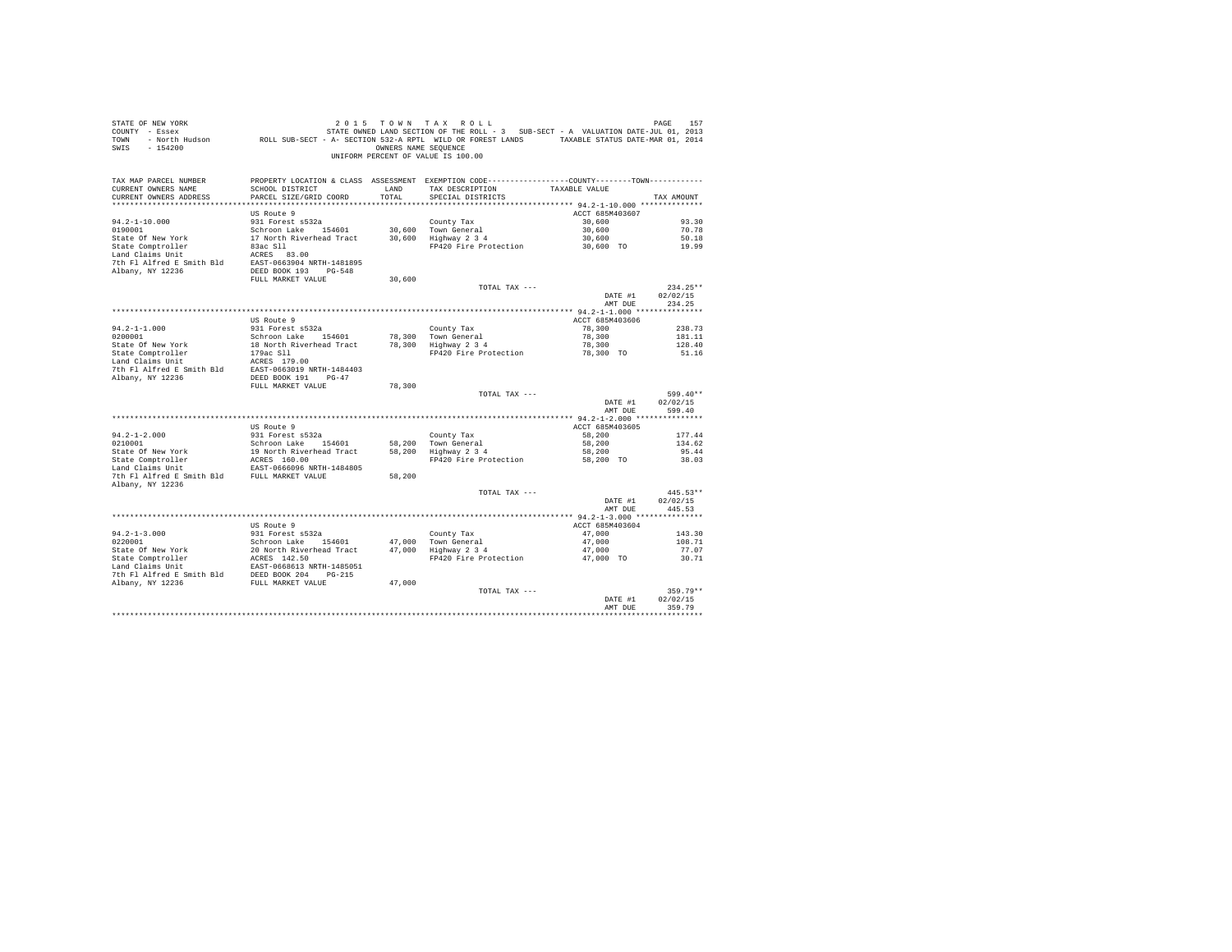| TAX MAP PARCEL NUMBER<br>PROPERTY LOCATION & CLASS ASSESSMENT EXEMPTION CODE----------------COUNTY--------TOWN----------<br>SCHOOL DISTRICT<br>CURRENT OWNERS NAME<br>LAND<br>TAX DESCRIPTION<br>TAXABLE VALUE<br>TOTAL<br>CURRENT OWNERS ADDRESS<br>PARCEL SIZE/GRID COORD<br>SPECIAL DISTRICTS<br>TAX AMOUNT<br>US Route 9<br>ACCT 685M403607<br>931 Forest s532a<br>$94.2 - 1 - 10.000$<br>County Tax<br>30,600<br>93.30<br>Schroon Lake 154601 30,600 Town General<br>17 North Riverhead Tract 30,600 Highway 2 3 4<br>0190001<br>30,600<br>70.78<br>30,600<br>State Of New York<br>50.18<br>State Comptroller<br>30,600 TO<br>83ac S11<br>FP420 Fire Protection<br>19.99<br>Land Claims Unit<br>ACRES 83.00<br>7th Fl Alfred E Smith Bld EAST-0663904 NRTH-1481895<br>Albany, NY 12236<br>DEED BOOK 193 PG-548<br>FULL MARKET VALUE<br>30,600<br>TOTAL TAX ---<br>$234.25**$<br>DATE #1<br>02/02/15<br>AMT DUE<br>234.25<br>US Route 9<br>ACCT 685M403606<br>78,300<br>$94.2 - 1 - 1.000$<br>931 Forest s532a<br>County Tax<br>238.73<br>78,300 Town General<br>0200001<br>Schroon Lake 154601<br>78,300<br>181.11<br>18 North Riverhead Tract 78,300 Highway 2 3 4<br>State Of New York<br>78,300<br>128.40<br>78,300 TO<br>State Comptroller<br>Land Claims Unit<br>179ac Sll<br>FP420 Fire Protection<br>51.16<br>78,300<br>FULL MARKET VALUE<br>TOTAL TAX ---<br>$599.40**$<br>DATE #1<br>02/02/15<br>AMT DUE<br>599.40<br>US Route 9<br>ACCT 685M403605<br>$94.2 - 1 - 2.000$<br>931 Forest s532a<br>58,200<br>County Tax<br>177.44<br>Schroon Lake 154601<br>58,200 Town General<br>58,200<br>0210001<br>134.62<br>58,200 Town General<br>58,200 Highway 2 3 4<br>State Of New York 19 North Riverhead Tract<br>State Comptroller ACRES 160.00<br>Land Claims Unit EAST-0666096 NRTH-1484805<br>58,200<br>95.44<br>FP420 Fire Protection 58,200 TO<br>38.03<br>7th Fl Alfred E Smith Bld FULL MARKET VALUE<br>58,200<br>Albany, NY 12236<br>TOTAL TAX ---<br>$445.53**$<br>DATE #1<br>02/02/15<br>AMT DUE<br>445.53<br>US Route 9<br>ACCT 685M403604<br>$94.2 - 1 - 3.000$<br>931 Forest s532a<br>47.000<br>County Tax<br>47,000 Town General<br>47,000 Highway 2 3 4<br>143.30<br>47,000<br>0220001<br>108.71<br>$\begin{tabular}{lllllllllllll} & & & & & & & & & \\ \hline \multicolumn{3}{l}{\textbf{State Comptroller}} & & & & & 20 & \textbf{North five-related tract} \\ \textbf{State Comptroller} & & & & & & \\ \textbf{Ind C1ains unit} & & & & & & \\ \textbf{Left P1 II alls 0 int} & & & & & & \\ \hline \multicolumn{3}{l}{\textbf{Text P1}} & & & & & \\ \end{tabular}$<br>47,000<br>77.07<br>FP420 Fire Protection<br>47,000 TO<br>30.71<br>7th Fl Alfred E Smith Bld DEED BOOK 204 PG-215<br>Albany, NY 12236<br>FULL MARKET VALUE<br>47,000<br>TOTAL TAX ---<br>$359.79**$<br>DATE #1<br>02/02/15<br>AMT DUE<br>359.79<br>*********** | STATE OF NEW YORK<br>SALL OF THE SALE TO A TAX KULL - 3 SUB-SECT - A VALUATION DATE-JUL 01, 2013<br>COUNTY - Essex Monte-JUL 01, 2013<br>TOWN - North Hudson     ROLL SUB-SECT - A- SECTION 532-A RPTL WILD OR FOREST LANDS     TAXABLE STATUS DATE-MAR<br>SWIS - 154200 | OWNERS NAME SEQUENCE | 2015 TOWN TAX ROLL<br>UNIFORM PERCENT OF VALUE IS 100.00 | PAGE<br>157 |
|----------------------------------------------------------------------------------------------------------------------------------------------------------------------------------------------------------------------------------------------------------------------------------------------------------------------------------------------------------------------------------------------------------------------------------------------------------------------------------------------------------------------------------------------------------------------------------------------------------------------------------------------------------------------------------------------------------------------------------------------------------------------------------------------------------------------------------------------------------------------------------------------------------------------------------------------------------------------------------------------------------------------------------------------------------------------------------------------------------------------------------------------------------------------------------------------------------------------------------------------------------------------------------------------------------------------------------------------------------------------------------------------------------------------------------------------------------------------------------------------------------------------------------------------------------------------------------------------------------------------------------------------------------------------------------------------------------------------------------------------------------------------------------------------------------------------------------------------------------------------------------------------------------------------------------------------------------------------------------------------------------------------------------------------------------------------------------------------------------------------------------------------------------------------------------------------------------------------------------------------------------------------------------------------------------------------------------------------------------------------------------------------------------------------------------------------------------------------------------------------------------------------------------------------------------------------------------------------------------------------------------------------------------------------------------------------------------------------------------------------------------------------------------------------------------------------------------------------------------------------|--------------------------------------------------------------------------------------------------------------------------------------------------------------------------------------------------------------------------------------------------------------------------|----------------------|----------------------------------------------------------|-------------|
|                                                                                                                                                                                                                                                                                                                                                                                                                                                                                                                                                                                                                                                                                                                                                                                                                                                                                                                                                                                                                                                                                                                                                                                                                                                                                                                                                                                                                                                                                                                                                                                                                                                                                                                                                                                                                                                                                                                                                                                                                                                                                                                                                                                                                                                                                                                                                                                                                                                                                                                                                                                                                                                                                                                                                                                                                                                                      |                                                                                                                                                                                                                                                                          |                      |                                                          |             |
|                                                                                                                                                                                                                                                                                                                                                                                                                                                                                                                                                                                                                                                                                                                                                                                                                                                                                                                                                                                                                                                                                                                                                                                                                                                                                                                                                                                                                                                                                                                                                                                                                                                                                                                                                                                                                                                                                                                                                                                                                                                                                                                                                                                                                                                                                                                                                                                                                                                                                                                                                                                                                                                                                                                                                                                                                                                                      |                                                                                                                                                                                                                                                                          |                      |                                                          |             |
|                                                                                                                                                                                                                                                                                                                                                                                                                                                                                                                                                                                                                                                                                                                                                                                                                                                                                                                                                                                                                                                                                                                                                                                                                                                                                                                                                                                                                                                                                                                                                                                                                                                                                                                                                                                                                                                                                                                                                                                                                                                                                                                                                                                                                                                                                                                                                                                                                                                                                                                                                                                                                                                                                                                                                                                                                                                                      |                                                                                                                                                                                                                                                                          |                      |                                                          |             |
|                                                                                                                                                                                                                                                                                                                                                                                                                                                                                                                                                                                                                                                                                                                                                                                                                                                                                                                                                                                                                                                                                                                                                                                                                                                                                                                                                                                                                                                                                                                                                                                                                                                                                                                                                                                                                                                                                                                                                                                                                                                                                                                                                                                                                                                                                                                                                                                                                                                                                                                                                                                                                                                                                                                                                                                                                                                                      |                                                                                                                                                                                                                                                                          |                      |                                                          |             |
|                                                                                                                                                                                                                                                                                                                                                                                                                                                                                                                                                                                                                                                                                                                                                                                                                                                                                                                                                                                                                                                                                                                                                                                                                                                                                                                                                                                                                                                                                                                                                                                                                                                                                                                                                                                                                                                                                                                                                                                                                                                                                                                                                                                                                                                                                                                                                                                                                                                                                                                                                                                                                                                                                                                                                                                                                                                                      |                                                                                                                                                                                                                                                                          |                      |                                                          |             |
|                                                                                                                                                                                                                                                                                                                                                                                                                                                                                                                                                                                                                                                                                                                                                                                                                                                                                                                                                                                                                                                                                                                                                                                                                                                                                                                                                                                                                                                                                                                                                                                                                                                                                                                                                                                                                                                                                                                                                                                                                                                                                                                                                                                                                                                                                                                                                                                                                                                                                                                                                                                                                                                                                                                                                                                                                                                                      |                                                                                                                                                                                                                                                                          |                      |                                                          |             |
|                                                                                                                                                                                                                                                                                                                                                                                                                                                                                                                                                                                                                                                                                                                                                                                                                                                                                                                                                                                                                                                                                                                                                                                                                                                                                                                                                                                                                                                                                                                                                                                                                                                                                                                                                                                                                                                                                                                                                                                                                                                                                                                                                                                                                                                                                                                                                                                                                                                                                                                                                                                                                                                                                                                                                                                                                                                                      |                                                                                                                                                                                                                                                                          |                      |                                                          |             |
|                                                                                                                                                                                                                                                                                                                                                                                                                                                                                                                                                                                                                                                                                                                                                                                                                                                                                                                                                                                                                                                                                                                                                                                                                                                                                                                                                                                                                                                                                                                                                                                                                                                                                                                                                                                                                                                                                                                                                                                                                                                                                                                                                                                                                                                                                                                                                                                                                                                                                                                                                                                                                                                                                                                                                                                                                                                                      |                                                                                                                                                                                                                                                                          |                      |                                                          |             |
|                                                                                                                                                                                                                                                                                                                                                                                                                                                                                                                                                                                                                                                                                                                                                                                                                                                                                                                                                                                                                                                                                                                                                                                                                                                                                                                                                                                                                                                                                                                                                                                                                                                                                                                                                                                                                                                                                                                                                                                                                                                                                                                                                                                                                                                                                                                                                                                                                                                                                                                                                                                                                                                                                                                                                                                                                                                                      |                                                                                                                                                                                                                                                                          |                      |                                                          |             |
|                                                                                                                                                                                                                                                                                                                                                                                                                                                                                                                                                                                                                                                                                                                                                                                                                                                                                                                                                                                                                                                                                                                                                                                                                                                                                                                                                                                                                                                                                                                                                                                                                                                                                                                                                                                                                                                                                                                                                                                                                                                                                                                                                                                                                                                                                                                                                                                                                                                                                                                                                                                                                                                                                                                                                                                                                                                                      |                                                                                                                                                                                                                                                                          |                      |                                                          |             |
|                                                                                                                                                                                                                                                                                                                                                                                                                                                                                                                                                                                                                                                                                                                                                                                                                                                                                                                                                                                                                                                                                                                                                                                                                                                                                                                                                                                                                                                                                                                                                                                                                                                                                                                                                                                                                                                                                                                                                                                                                                                                                                                                                                                                                                                                                                                                                                                                                                                                                                                                                                                                                                                                                                                                                                                                                                                                      |                                                                                                                                                                                                                                                                          |                      |                                                          |             |
|                                                                                                                                                                                                                                                                                                                                                                                                                                                                                                                                                                                                                                                                                                                                                                                                                                                                                                                                                                                                                                                                                                                                                                                                                                                                                                                                                                                                                                                                                                                                                                                                                                                                                                                                                                                                                                                                                                                                                                                                                                                                                                                                                                                                                                                                                                                                                                                                                                                                                                                                                                                                                                                                                                                                                                                                                                                                      |                                                                                                                                                                                                                                                                          |                      |                                                          |             |
|                                                                                                                                                                                                                                                                                                                                                                                                                                                                                                                                                                                                                                                                                                                                                                                                                                                                                                                                                                                                                                                                                                                                                                                                                                                                                                                                                                                                                                                                                                                                                                                                                                                                                                                                                                                                                                                                                                                                                                                                                                                                                                                                                                                                                                                                                                                                                                                                                                                                                                                                                                                                                                                                                                                                                                                                                                                                      |                                                                                                                                                                                                                                                                          |                      |                                                          |             |
|                                                                                                                                                                                                                                                                                                                                                                                                                                                                                                                                                                                                                                                                                                                                                                                                                                                                                                                                                                                                                                                                                                                                                                                                                                                                                                                                                                                                                                                                                                                                                                                                                                                                                                                                                                                                                                                                                                                                                                                                                                                                                                                                                                                                                                                                                                                                                                                                                                                                                                                                                                                                                                                                                                                                                                                                                                                                      |                                                                                                                                                                                                                                                                          |                      |                                                          |             |
|                                                                                                                                                                                                                                                                                                                                                                                                                                                                                                                                                                                                                                                                                                                                                                                                                                                                                                                                                                                                                                                                                                                                                                                                                                                                                                                                                                                                                                                                                                                                                                                                                                                                                                                                                                                                                                                                                                                                                                                                                                                                                                                                                                                                                                                                                                                                                                                                                                                                                                                                                                                                                                                                                                                                                                                                                                                                      |                                                                                                                                                                                                                                                                          |                      |                                                          |             |
|                                                                                                                                                                                                                                                                                                                                                                                                                                                                                                                                                                                                                                                                                                                                                                                                                                                                                                                                                                                                                                                                                                                                                                                                                                                                                                                                                                                                                                                                                                                                                                                                                                                                                                                                                                                                                                                                                                                                                                                                                                                                                                                                                                                                                                                                                                                                                                                                                                                                                                                                                                                                                                                                                                                                                                                                                                                                      |                                                                                                                                                                                                                                                                          |                      |                                                          |             |
|                                                                                                                                                                                                                                                                                                                                                                                                                                                                                                                                                                                                                                                                                                                                                                                                                                                                                                                                                                                                                                                                                                                                                                                                                                                                                                                                                                                                                                                                                                                                                                                                                                                                                                                                                                                                                                                                                                                                                                                                                                                                                                                                                                                                                                                                                                                                                                                                                                                                                                                                                                                                                                                                                                                                                                                                                                                                      |                                                                                                                                                                                                                                                                          |                      |                                                          |             |
|                                                                                                                                                                                                                                                                                                                                                                                                                                                                                                                                                                                                                                                                                                                                                                                                                                                                                                                                                                                                                                                                                                                                                                                                                                                                                                                                                                                                                                                                                                                                                                                                                                                                                                                                                                                                                                                                                                                                                                                                                                                                                                                                                                                                                                                                                                                                                                                                                                                                                                                                                                                                                                                                                                                                                                                                                                                                      |                                                                                                                                                                                                                                                                          |                      |                                                          |             |
|                                                                                                                                                                                                                                                                                                                                                                                                                                                                                                                                                                                                                                                                                                                                                                                                                                                                                                                                                                                                                                                                                                                                                                                                                                                                                                                                                                                                                                                                                                                                                                                                                                                                                                                                                                                                                                                                                                                                                                                                                                                                                                                                                                                                                                                                                                                                                                                                                                                                                                                                                                                                                                                                                                                                                                                                                                                                      |                                                                                                                                                                                                                                                                          |                      |                                                          |             |
|                                                                                                                                                                                                                                                                                                                                                                                                                                                                                                                                                                                                                                                                                                                                                                                                                                                                                                                                                                                                                                                                                                                                                                                                                                                                                                                                                                                                                                                                                                                                                                                                                                                                                                                                                                                                                                                                                                                                                                                                                                                                                                                                                                                                                                                                                                                                                                                                                                                                                                                                                                                                                                                                                                                                                                                                                                                                      |                                                                                                                                                                                                                                                                          |                      |                                                          |             |
|                                                                                                                                                                                                                                                                                                                                                                                                                                                                                                                                                                                                                                                                                                                                                                                                                                                                                                                                                                                                                                                                                                                                                                                                                                                                                                                                                                                                                                                                                                                                                                                                                                                                                                                                                                                                                                                                                                                                                                                                                                                                                                                                                                                                                                                                                                                                                                                                                                                                                                                                                                                                                                                                                                                                                                                                                                                                      |                                                                                                                                                                                                                                                                          |                      |                                                          |             |
|                                                                                                                                                                                                                                                                                                                                                                                                                                                                                                                                                                                                                                                                                                                                                                                                                                                                                                                                                                                                                                                                                                                                                                                                                                                                                                                                                                                                                                                                                                                                                                                                                                                                                                                                                                                                                                                                                                                                                                                                                                                                                                                                                                                                                                                                                                                                                                                                                                                                                                                                                                                                                                                                                                                                                                                                                                                                      |                                                                                                                                                                                                                                                                          |                      |                                                          |             |
|                                                                                                                                                                                                                                                                                                                                                                                                                                                                                                                                                                                                                                                                                                                                                                                                                                                                                                                                                                                                                                                                                                                                                                                                                                                                                                                                                                                                                                                                                                                                                                                                                                                                                                                                                                                                                                                                                                                                                                                                                                                                                                                                                                                                                                                                                                                                                                                                                                                                                                                                                                                                                                                                                                                                                                                                                                                                      |                                                                                                                                                                                                                                                                          |                      |                                                          |             |
|                                                                                                                                                                                                                                                                                                                                                                                                                                                                                                                                                                                                                                                                                                                                                                                                                                                                                                                                                                                                                                                                                                                                                                                                                                                                                                                                                                                                                                                                                                                                                                                                                                                                                                                                                                                                                                                                                                                                                                                                                                                                                                                                                                                                                                                                                                                                                                                                                                                                                                                                                                                                                                                                                                                                                                                                                                                                      |                                                                                                                                                                                                                                                                          |                      |                                                          |             |
|                                                                                                                                                                                                                                                                                                                                                                                                                                                                                                                                                                                                                                                                                                                                                                                                                                                                                                                                                                                                                                                                                                                                                                                                                                                                                                                                                                                                                                                                                                                                                                                                                                                                                                                                                                                                                                                                                                                                                                                                                                                                                                                                                                                                                                                                                                                                                                                                                                                                                                                                                                                                                                                                                                                                                                                                                                                                      |                                                                                                                                                                                                                                                                          |                      |                                                          |             |
|                                                                                                                                                                                                                                                                                                                                                                                                                                                                                                                                                                                                                                                                                                                                                                                                                                                                                                                                                                                                                                                                                                                                                                                                                                                                                                                                                                                                                                                                                                                                                                                                                                                                                                                                                                                                                                                                                                                                                                                                                                                                                                                                                                                                                                                                                                                                                                                                                                                                                                                                                                                                                                                                                                                                                                                                                                                                      |                                                                                                                                                                                                                                                                          |                      |                                                          |             |
|                                                                                                                                                                                                                                                                                                                                                                                                                                                                                                                                                                                                                                                                                                                                                                                                                                                                                                                                                                                                                                                                                                                                                                                                                                                                                                                                                                                                                                                                                                                                                                                                                                                                                                                                                                                                                                                                                                                                                                                                                                                                                                                                                                                                                                                                                                                                                                                                                                                                                                                                                                                                                                                                                                                                                                                                                                                                      |                                                                                                                                                                                                                                                                          |                      |                                                          |             |
|                                                                                                                                                                                                                                                                                                                                                                                                                                                                                                                                                                                                                                                                                                                                                                                                                                                                                                                                                                                                                                                                                                                                                                                                                                                                                                                                                                                                                                                                                                                                                                                                                                                                                                                                                                                                                                                                                                                                                                                                                                                                                                                                                                                                                                                                                                                                                                                                                                                                                                                                                                                                                                                                                                                                                                                                                                                                      |                                                                                                                                                                                                                                                                          |                      |                                                          |             |
|                                                                                                                                                                                                                                                                                                                                                                                                                                                                                                                                                                                                                                                                                                                                                                                                                                                                                                                                                                                                                                                                                                                                                                                                                                                                                                                                                                                                                                                                                                                                                                                                                                                                                                                                                                                                                                                                                                                                                                                                                                                                                                                                                                                                                                                                                                                                                                                                                                                                                                                                                                                                                                                                                                                                                                                                                                                                      |                                                                                                                                                                                                                                                                          |                      |                                                          |             |
|                                                                                                                                                                                                                                                                                                                                                                                                                                                                                                                                                                                                                                                                                                                                                                                                                                                                                                                                                                                                                                                                                                                                                                                                                                                                                                                                                                                                                                                                                                                                                                                                                                                                                                                                                                                                                                                                                                                                                                                                                                                                                                                                                                                                                                                                                                                                                                                                                                                                                                                                                                                                                                                                                                                                                                                                                                                                      |                                                                                                                                                                                                                                                                          |                      |                                                          |             |
|                                                                                                                                                                                                                                                                                                                                                                                                                                                                                                                                                                                                                                                                                                                                                                                                                                                                                                                                                                                                                                                                                                                                                                                                                                                                                                                                                                                                                                                                                                                                                                                                                                                                                                                                                                                                                                                                                                                                                                                                                                                                                                                                                                                                                                                                                                                                                                                                                                                                                                                                                                                                                                                                                                                                                                                                                                                                      |                                                                                                                                                                                                                                                                          |                      |                                                          |             |
|                                                                                                                                                                                                                                                                                                                                                                                                                                                                                                                                                                                                                                                                                                                                                                                                                                                                                                                                                                                                                                                                                                                                                                                                                                                                                                                                                                                                                                                                                                                                                                                                                                                                                                                                                                                                                                                                                                                                                                                                                                                                                                                                                                                                                                                                                                                                                                                                                                                                                                                                                                                                                                                                                                                                                                                                                                                                      |                                                                                                                                                                                                                                                                          |                      |                                                          |             |
|                                                                                                                                                                                                                                                                                                                                                                                                                                                                                                                                                                                                                                                                                                                                                                                                                                                                                                                                                                                                                                                                                                                                                                                                                                                                                                                                                                                                                                                                                                                                                                                                                                                                                                                                                                                                                                                                                                                                                                                                                                                                                                                                                                                                                                                                                                                                                                                                                                                                                                                                                                                                                                                                                                                                                                                                                                                                      |                                                                                                                                                                                                                                                                          |                      |                                                          |             |
|                                                                                                                                                                                                                                                                                                                                                                                                                                                                                                                                                                                                                                                                                                                                                                                                                                                                                                                                                                                                                                                                                                                                                                                                                                                                                                                                                                                                                                                                                                                                                                                                                                                                                                                                                                                                                                                                                                                                                                                                                                                                                                                                                                                                                                                                                                                                                                                                                                                                                                                                                                                                                                                                                                                                                                                                                                                                      |                                                                                                                                                                                                                                                                          |                      |                                                          |             |
|                                                                                                                                                                                                                                                                                                                                                                                                                                                                                                                                                                                                                                                                                                                                                                                                                                                                                                                                                                                                                                                                                                                                                                                                                                                                                                                                                                                                                                                                                                                                                                                                                                                                                                                                                                                                                                                                                                                                                                                                                                                                                                                                                                                                                                                                                                                                                                                                                                                                                                                                                                                                                                                                                                                                                                                                                                                                      |                                                                                                                                                                                                                                                                          |                      |                                                          |             |
|                                                                                                                                                                                                                                                                                                                                                                                                                                                                                                                                                                                                                                                                                                                                                                                                                                                                                                                                                                                                                                                                                                                                                                                                                                                                                                                                                                                                                                                                                                                                                                                                                                                                                                                                                                                                                                                                                                                                                                                                                                                                                                                                                                                                                                                                                                                                                                                                                                                                                                                                                                                                                                                                                                                                                                                                                                                                      |                                                                                                                                                                                                                                                                          |                      |                                                          |             |
|                                                                                                                                                                                                                                                                                                                                                                                                                                                                                                                                                                                                                                                                                                                                                                                                                                                                                                                                                                                                                                                                                                                                                                                                                                                                                                                                                                                                                                                                                                                                                                                                                                                                                                                                                                                                                                                                                                                                                                                                                                                                                                                                                                                                                                                                                                                                                                                                                                                                                                                                                                                                                                                                                                                                                                                                                                                                      |                                                                                                                                                                                                                                                                          |                      |                                                          |             |
|                                                                                                                                                                                                                                                                                                                                                                                                                                                                                                                                                                                                                                                                                                                                                                                                                                                                                                                                                                                                                                                                                                                                                                                                                                                                                                                                                                                                                                                                                                                                                                                                                                                                                                                                                                                                                                                                                                                                                                                                                                                                                                                                                                                                                                                                                                                                                                                                                                                                                                                                                                                                                                                                                                                                                                                                                                                                      |                                                                                                                                                                                                                                                                          |                      |                                                          |             |
|                                                                                                                                                                                                                                                                                                                                                                                                                                                                                                                                                                                                                                                                                                                                                                                                                                                                                                                                                                                                                                                                                                                                                                                                                                                                                                                                                                                                                                                                                                                                                                                                                                                                                                                                                                                                                                                                                                                                                                                                                                                                                                                                                                                                                                                                                                                                                                                                                                                                                                                                                                                                                                                                                                                                                                                                                                                                      |                                                                                                                                                                                                                                                                          |                      |                                                          |             |
|                                                                                                                                                                                                                                                                                                                                                                                                                                                                                                                                                                                                                                                                                                                                                                                                                                                                                                                                                                                                                                                                                                                                                                                                                                                                                                                                                                                                                                                                                                                                                                                                                                                                                                                                                                                                                                                                                                                                                                                                                                                                                                                                                                                                                                                                                                                                                                                                                                                                                                                                                                                                                                                                                                                                                                                                                                                                      |                                                                                                                                                                                                                                                                          |                      |                                                          |             |
|                                                                                                                                                                                                                                                                                                                                                                                                                                                                                                                                                                                                                                                                                                                                                                                                                                                                                                                                                                                                                                                                                                                                                                                                                                                                                                                                                                                                                                                                                                                                                                                                                                                                                                                                                                                                                                                                                                                                                                                                                                                                                                                                                                                                                                                                                                                                                                                                                                                                                                                                                                                                                                                                                                                                                                                                                                                                      |                                                                                                                                                                                                                                                                          |                      |                                                          |             |
|                                                                                                                                                                                                                                                                                                                                                                                                                                                                                                                                                                                                                                                                                                                                                                                                                                                                                                                                                                                                                                                                                                                                                                                                                                                                                                                                                                                                                                                                                                                                                                                                                                                                                                                                                                                                                                                                                                                                                                                                                                                                                                                                                                                                                                                                                                                                                                                                                                                                                                                                                                                                                                                                                                                                                                                                                                                                      |                                                                                                                                                                                                                                                                          |                      |                                                          |             |
|                                                                                                                                                                                                                                                                                                                                                                                                                                                                                                                                                                                                                                                                                                                                                                                                                                                                                                                                                                                                                                                                                                                                                                                                                                                                                                                                                                                                                                                                                                                                                                                                                                                                                                                                                                                                                                                                                                                                                                                                                                                                                                                                                                                                                                                                                                                                                                                                                                                                                                                                                                                                                                                                                                                                                                                                                                                                      |                                                                                                                                                                                                                                                                          |                      |                                                          |             |
|                                                                                                                                                                                                                                                                                                                                                                                                                                                                                                                                                                                                                                                                                                                                                                                                                                                                                                                                                                                                                                                                                                                                                                                                                                                                                                                                                                                                                                                                                                                                                                                                                                                                                                                                                                                                                                                                                                                                                                                                                                                                                                                                                                                                                                                                                                                                                                                                                                                                                                                                                                                                                                                                                                                                                                                                                                                                      |                                                                                                                                                                                                                                                                          |                      |                                                          |             |
|                                                                                                                                                                                                                                                                                                                                                                                                                                                                                                                                                                                                                                                                                                                                                                                                                                                                                                                                                                                                                                                                                                                                                                                                                                                                                                                                                                                                                                                                                                                                                                                                                                                                                                                                                                                                                                                                                                                                                                                                                                                                                                                                                                                                                                                                                                                                                                                                                                                                                                                                                                                                                                                                                                                                                                                                                                                                      |                                                                                                                                                                                                                                                                          |                      |                                                          |             |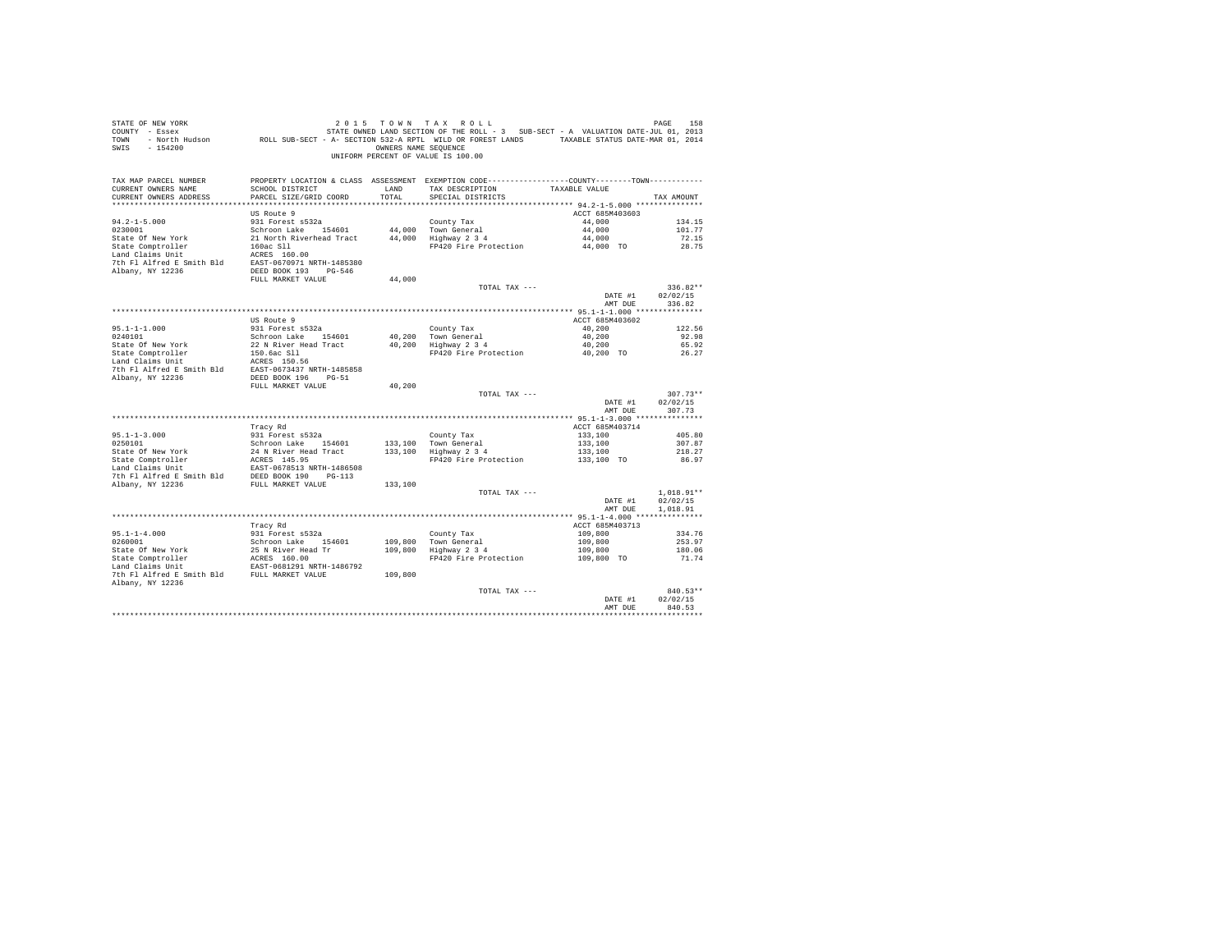| STATE OF NEW YORK<br>SWIS - 154200                                                                       |                                           | OWNERS NAME SEQUENCE | 2015 TOWN TAX ROLL<br>UNIFORM PERCENT OF VALUE IS 100.00                                                                                |                            | PAGE<br>158      |
|----------------------------------------------------------------------------------------------------------|-------------------------------------------|----------------------|-----------------------------------------------------------------------------------------------------------------------------------------|----------------------------|------------------|
| TAX MAP PARCEL NUMBER<br>CURRENT OWNERS NAME<br>CURRENT OWNERS ADDRESS                                   | SCHOOL DISTRICT<br>PARCEL SIZE/GRID COORD | LAND<br>TOTAL        | PROPERTY LOCATION & CLASS ASSESSMENT EXEMPTION CODE----------------COUNTY--------TOWN----------<br>TAX DESCRIPTION<br>SPECIAL DISTRICTS | TAXABLE VALUE              | TAX AMOUNT       |
|                                                                                                          |                                           |                      |                                                                                                                                         |                            |                  |
|                                                                                                          | US Route 9                                |                      |                                                                                                                                         | ACCT 685M403603            |                  |
| $94.2 - 1 - 5.000$<br>0230001                                                                            | 931 Forest s532a<br>Schroon Lake 154601   |                      | County Tax<br>44,000 Town General                                                                                                       | 44,000<br>44,000           | 134.15<br>101.77 |
| State Of New York                                                                                        | 21 North Riverhead Tract                  |                      | 44,000   Town General<br>44,000   Highway 2 3 4                                                                                         | 44,000                     | 72.15            |
| State Comptroller                                                                                        | 160ac Sll                                 |                      | FP420 Fire Protection                                                                                                                   | 44.000 TO                  | 28.75            |
| Land Claims Unit                                                                                         | ACRES 160.00                              |                      |                                                                                                                                         |                            |                  |
| 7th Fl Alfred E Smith Bld EAST-0670971 NRTH-1485380                                                      |                                           |                      |                                                                                                                                         |                            |                  |
| Albany, NY 12236                                                                                         | DEED BOOK 193 PG-546<br>FULL MARKET VALUE |                      |                                                                                                                                         |                            |                  |
|                                                                                                          |                                           | 44,000               | TOTAL TAX ---                                                                                                                           |                            | $336.82**$       |
|                                                                                                          |                                           |                      |                                                                                                                                         | DATE #1                    | 02/02/15         |
|                                                                                                          |                                           |                      |                                                                                                                                         | AMT DUE                    | 336.82           |
|                                                                                                          |                                           |                      |                                                                                                                                         |                            |                  |
|                                                                                                          | US Route 9                                |                      |                                                                                                                                         | ACCT 685M403602            |                  |
| $95.1 - 1 - 1.000$<br>0240101                                                                            | 931 Forest s532a<br>Schroon Lake 154601   |                      | County Tax<br>40,200 Town General                                                                                                       | 40,200<br>40,200           | 122.56<br>92.98  |
| State Of New York                                                                                        | 22 N River Head Tract                     |                      | $40,200$ Highway 2 3 4                                                                                                                  | 40,200                     | 65.92            |
| State Comptroller<br>Land Claims Unit                                                                    | 150.6ac Sll                               |                      | FP420 Fire Protection                                                                                                                   | 40,200 TO                  | 26.27            |
|                                                                                                          | ACRES 150.56                              |                      |                                                                                                                                         |                            |                  |
|                                                                                                          |                                           |                      |                                                                                                                                         |                            |                  |
|                                                                                                          | FULL MARKET VALUE                         | 40.200               |                                                                                                                                         |                            |                  |
|                                                                                                          |                                           |                      | TOTAL TAX ---                                                                                                                           |                            | $307.73**$       |
|                                                                                                          |                                           |                      |                                                                                                                                         | DATE #1                    | 02/02/15         |
|                                                                                                          |                                           |                      |                                                                                                                                         | AMT DUE                    | 307.73           |
|                                                                                                          | Tracy Rd                                  |                      |                                                                                                                                         | ACCT 685M403714            |                  |
| $95.1 - 1 - 3.000$                                                                                       | 931 Forest s532a                          |                      | County Tax                                                                                                                              | 133,100                    | 405.80           |
| 0250101                                                                                                  | Schroon Lake 154601                       |                      |                                                                                                                                         | 133,100                    | 307.87           |
|                                                                                                          | 24 N River Head Tract                     |                      | 133,100 Town General<br>133,100 Highway 2 3 4                                                                                           | 133,100                    | 218.27           |
| State Of New York 24 N River Head<br>State Comptroller 2018 2018 2019<br>Land Claims Unit EAST-0678513 N |                                           |                      | FP420 Fire Protection                                                                                                                   | 133,100 TO                 | 86.97            |
|                                                                                                          | EAST-0678513 NRTH-1486508                 |                      |                                                                                                                                         |                            |                  |
| 7th F1 Alfred E Smith B1d BEED BOOK 190 PG-113<br>Albany, NY 12236 FULL MARKET VALUE                     |                                           | 133,100              |                                                                                                                                         |                            |                  |
|                                                                                                          |                                           |                      | TOTAL TAX ---                                                                                                                           |                            | 1,018.91**       |
|                                                                                                          |                                           |                      |                                                                                                                                         | DATE #1                    | 02/02/15         |
|                                                                                                          |                                           |                      |                                                                                                                                         | AMT DUE                    | 1,018.91         |
|                                                                                                          |                                           |                      |                                                                                                                                         |                            |                  |
| $95.1 - 1 - 4.000$                                                                                       | Tracy Rd<br>931 Forest s532a              |                      | County Tax                                                                                                                              | ACCT 685M403713<br>109,800 | 334.76           |
| 0260001                                                                                                  | Schroon Lake 154601                       |                      |                                                                                                                                         | 109,800                    | 253.97           |
| State Of New York                                                                                        | 25 N River Head Tr                        |                      | 109,800 Town General<br>109,800 Highway 2 3 4                                                                                           | 109,800                    | 180.06           |
| State Comptroller                                                                                        | ACRES 160.00                              |                      | FP420 Fire Protection                                                                                                                   | 109,800 TO                 | 71.74            |
| Land Claims Unit                                                                                         | EAST-0681291 NRTH-1486792                 |                      |                                                                                                                                         |                            |                  |
| 7th Fl Alfred E Smith Bld FULL MARKET VALUE<br>Albany, NY 12236                                          |                                           | 109,800              |                                                                                                                                         |                            |                  |
|                                                                                                          |                                           |                      | TOTAL TAX ---                                                                                                                           |                            | 840.53**         |
|                                                                                                          |                                           |                      |                                                                                                                                         | DATE #1                    | 02/02/15         |
|                                                                                                          |                                           |                      |                                                                                                                                         | AMT DUE                    | 840.53           |
|                                                                                                          |                                           |                      |                                                                                                                                         |                            | ***********      |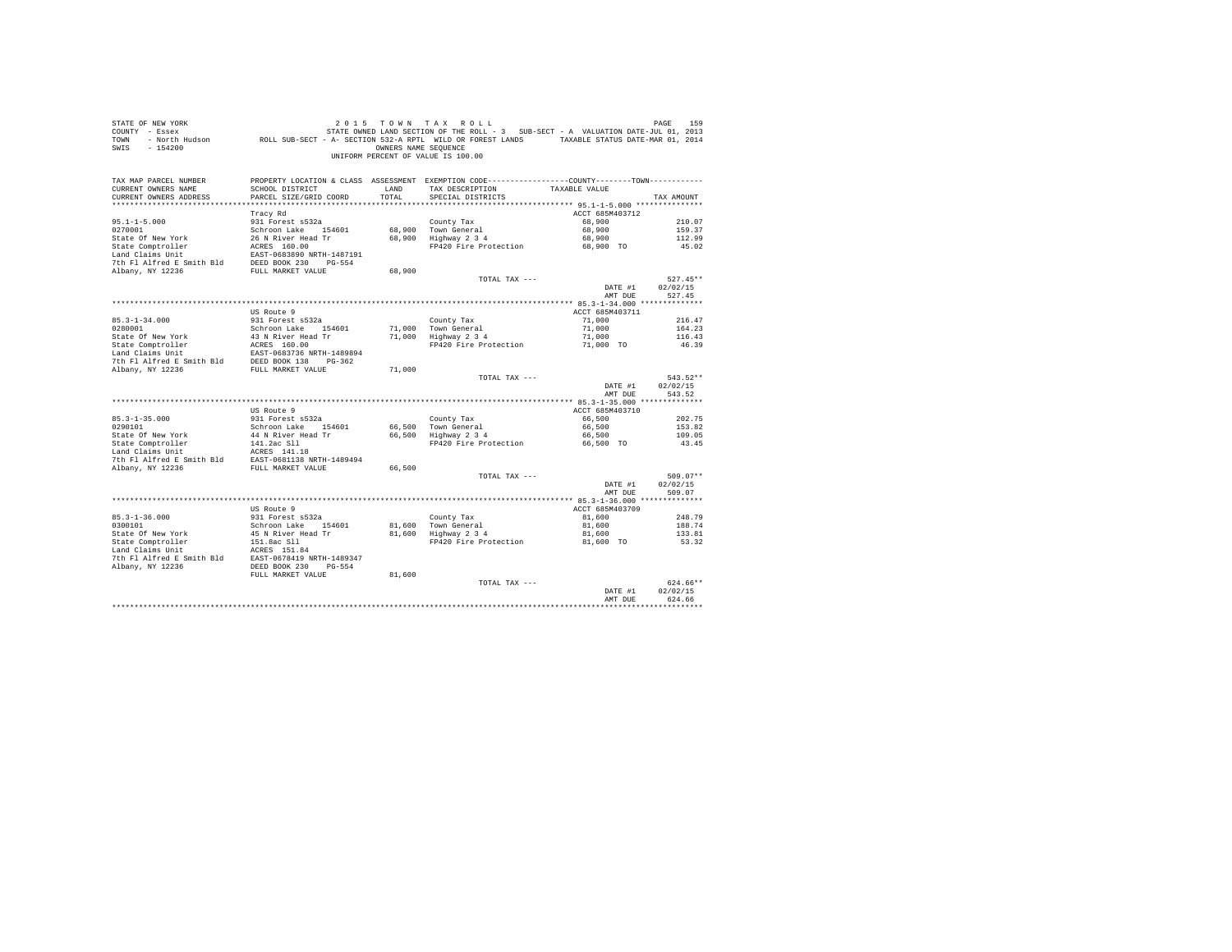| STATE OF NEW YORK<br>COUNTY - Essex<br>TOWN<br>SWIS - 154200                                                                                                         | או איש ב-1984 של עד שיש ב-1 איש ב-1 או איז ב-1984 ב-1997.<br>2013 GENTE OWNED LAND SECTION OF THE ROLL - 3 SUB-SECT - A VALUATION DATE-JUL 01, 2013<br>2014 North Hudson – ROLL SUB-SECT - A- SECTION 532-A RPTL WILD OR FOREST LAN | OWNERS NAME SEQUENCE | 2015 TOWN TAX ROLL<br>UNIFORM PERCENT OF VALUE IS 100.00                                       |                    | PAGE<br>159          |
|----------------------------------------------------------------------------------------------------------------------------------------------------------------------|-------------------------------------------------------------------------------------------------------------------------------------------------------------------------------------------------------------------------------------|----------------------|------------------------------------------------------------------------------------------------|--------------------|----------------------|
| TAX MAP PARCEL NUMBER                                                                                                                                                |                                                                                                                                                                                                                                     |                      | PROPERTY LOCATION & CLASS ASSESSMENT EXEMPTION CODE----------------COUNTY-------TOWN---------- |                    |                      |
| CURRENT OWNERS NAME<br>CURRENT OWNERS ADDRESS                                                                                                                        | SCHOOL DISTRICT<br>PARCEL SIZE/GRID COORD                                                                                                                                                                                           | LAND<br>TOTAL        | TAX DESCRIPTION<br>SPECIAL DISTRICTS                                                           | TAXABLE VALUE      | TAX AMOUNT           |
|                                                                                                                                                                      |                                                                                                                                                                                                                                     |                      |                                                                                                |                    |                      |
|                                                                                                                                                                      | Tracy Rd                                                                                                                                                                                                                            |                      |                                                                                                | ACCT 685M403712    |                      |
| $95.1 - 1 - 5.000$                                                                                                                                                   | 931 Forest s532a                                                                                                                                                                                                                    |                      | County Tax                                                                                     | 68,900             | 210.07               |
| 0270001                                                                                                                                                              | Schroon Lake 154601                                                                                                                                                                                                                 |                      | 68,900 Town General                                                                            | 68,900             | 159.37               |
| State Of New York                                                                                                                                                    | 26 N River Head Tr                                                                                                                                                                                                                  |                      | 00,200 town deneral<br>68,900 Highway 2 3 4                                                    | 68,900             | 112.99               |
| State Comptroller                                                                                                                                                    | ACRES 160.00                                                                                                                                                                                                                        |                      | FP420 Fire Protection                                                                          | 68,900 TO          | 45.02                |
| Land Claims Unit                                                                                                                                                     | EAST-0683890 NRTH-1487191                                                                                                                                                                                                           |                      |                                                                                                |                    |                      |
| 7th Fl Alfred E Smith Bld                                                                                                                                            | DEED BOOK 230 PG-554                                                                                                                                                                                                                |                      |                                                                                                |                    |                      |
| Albany, NY 12236                                                                                                                                                     | FULL MARKET VALUE                                                                                                                                                                                                                   | 68,900               |                                                                                                |                    |                      |
|                                                                                                                                                                      |                                                                                                                                                                                                                                     |                      | TOTAL TAX ---                                                                                  |                    | $527.45**$           |
|                                                                                                                                                                      |                                                                                                                                                                                                                                     |                      |                                                                                                | DATE #1<br>AMT DUE | 02/02/15<br>527.45   |
|                                                                                                                                                                      |                                                                                                                                                                                                                                     |                      |                                                                                                |                    |                      |
|                                                                                                                                                                      | US Route 9                                                                                                                                                                                                                          |                      |                                                                                                | ACCT 685M403711    |                      |
| $85.3 - 1 - 34.000$                                                                                                                                                  | 931 Forest s532a                                                                                                                                                                                                                    |                      | County Tax                                                                                     | 71,000             | 216.47               |
| 0280001                                                                                                                                                              | Schroon Lake 154601                                                                                                                                                                                                                 | 71,000               | Town General                                                                                   | 71,000             | 164.23               |
| State Of New York                                                                                                                                                    | 43 N River Head Tr                                                                                                                                                                                                                  |                      | 71,000 Highway 2 3 4                                                                           | 71,000             | 116.43               |
|                                                                                                                                                                      |                                                                                                                                                                                                                                     |                      | FP420 Fire Protection                                                                          | 71,000 TO          | 46.39                |
|                                                                                                                                                                      |                                                                                                                                                                                                                                     |                      |                                                                                                |                    |                      |
| State Comptroller<br>Land Claims Unit<br>Land Claims Unit<br>EAST-0683736 NRTH-1489894<br>7th Fl Alfred E Smith Bld<br>DEED BOOK 138 PG-362<br>Albany, NY 12236      |                                                                                                                                                                                                                                     |                      |                                                                                                |                    |                      |
| Albany, NY 12236                                                                                                                                                     | FULL MARKET VALUE                                                                                                                                                                                                                   | 71,000               | TOTAL TAX ---                                                                                  |                    | $543.52**$           |
|                                                                                                                                                                      |                                                                                                                                                                                                                                     |                      |                                                                                                | DATE #1            | 02/02/15             |
|                                                                                                                                                                      |                                                                                                                                                                                                                                     |                      |                                                                                                | AMT DUE            | 543.52               |
|                                                                                                                                                                      |                                                                                                                                                                                                                                     |                      |                                                                                                |                    |                      |
|                                                                                                                                                                      | US Route 9                                                                                                                                                                                                                          |                      |                                                                                                | ACCT 685M403710    |                      |
| $85.3 - 1 - 35.000$                                                                                                                                                  | 931 Forest s532a                                                                                                                                                                                                                    |                      | County Tax                                                                                     | 66,500             | 202.75               |
| 0290101                                                                                                                                                              | Schroon Lake 154601                                                                                                                                                                                                                 |                      | 66.500 Town General                                                                            | 66,500             | 153.82               |
| State Of New York                                                                                                                                                    | 44 N River Head Tr                                                                                                                                                                                                                  |                      | $66,500$ Highway $2,3,4$                                                                       | 66,500             | 109.05               |
| State Comptroller                                                                                                                                                    | 141.2ac S11<br>ACRES 141.18                                                                                                                                                                                                         |                      | FP420 Fire Protection                                                                          | 66,500 TO          | 43.45                |
| Land Claims Unit<br>7th Fl Alfred E Smith Bld EAST-0681138 NRTH-1489494                                                                                              |                                                                                                                                                                                                                                     |                      |                                                                                                |                    |                      |
| Albany, NY 12236                                                                                                                                                     | FULL MARKET VALUE                                                                                                                                                                                                                   | 66,500               |                                                                                                |                    |                      |
|                                                                                                                                                                      |                                                                                                                                                                                                                                     |                      | TOTAL TAX ---                                                                                  |                    | $509.07**$           |
|                                                                                                                                                                      |                                                                                                                                                                                                                                     |                      |                                                                                                | DATE #1            | 02/02/15             |
|                                                                                                                                                                      |                                                                                                                                                                                                                                     |                      |                                                                                                | AMT DUE            | 509.07               |
|                                                                                                                                                                      |                                                                                                                                                                                                                                     |                      |                                                                                                |                    |                      |
|                                                                                                                                                                      | US Route 9                                                                                                                                                                                                                          |                      |                                                                                                | ACCT 685M403709    |                      |
| $85.3 - 1 - 36.000$                                                                                                                                                  | 931 Forest s532a                                                                                                                                                                                                                    |                      | County Tax                                                                                     | 81,600             | 248.79               |
| 0300101                                                                                                                                                              | Schroon Lake 154601                                                                                                                                                                                                                 |                      | 81,600 Town General<br>81,600 Highway 2 3 4                                                    | 81,600             | 188.74               |
| State Of New York<br>State Comptroller                                                                                                                               | 45 N River Head Tr<br>151.8ac Sll<br>1777-0-051.01                                                                                                                                                                                  |                      | FP420 Fire Protection 81,600 TO                                                                | 81,600             | 133.81<br>53.32      |
|                                                                                                                                                                      |                                                                                                                                                                                                                                     |                      |                                                                                                |                    |                      |
| $\begin{tabular}{lllll} \texttt{Land Claus Unit} & \texttt{ACRES} & 151.84 \\ \texttt{7th Fl Alfred E Smith Bld} & \texttt{EAST-0678419 NRTH-1489347} \end{tabular}$ |                                                                                                                                                                                                                                     |                      |                                                                                                |                    |                      |
| Albany, NY 12236                                                                                                                                                     | DEED BOOK 230 PG-554                                                                                                                                                                                                                |                      |                                                                                                |                    |                      |
|                                                                                                                                                                      | FULL MARKET VALUE                                                                                                                                                                                                                   | 81,600               |                                                                                                |                    |                      |
|                                                                                                                                                                      |                                                                                                                                                                                                                                     |                      | TOTAL TAX ---                                                                                  |                    | 624.66**             |
|                                                                                                                                                                      |                                                                                                                                                                                                                                     |                      |                                                                                                | DATE #1            | 02/02/15             |
|                                                                                                                                                                      |                                                                                                                                                                                                                                     |                      |                                                                                                | AMT DUE            | 624.66<br>********** |
|                                                                                                                                                                      |                                                                                                                                                                                                                                     |                      |                                                                                                |                    |                      |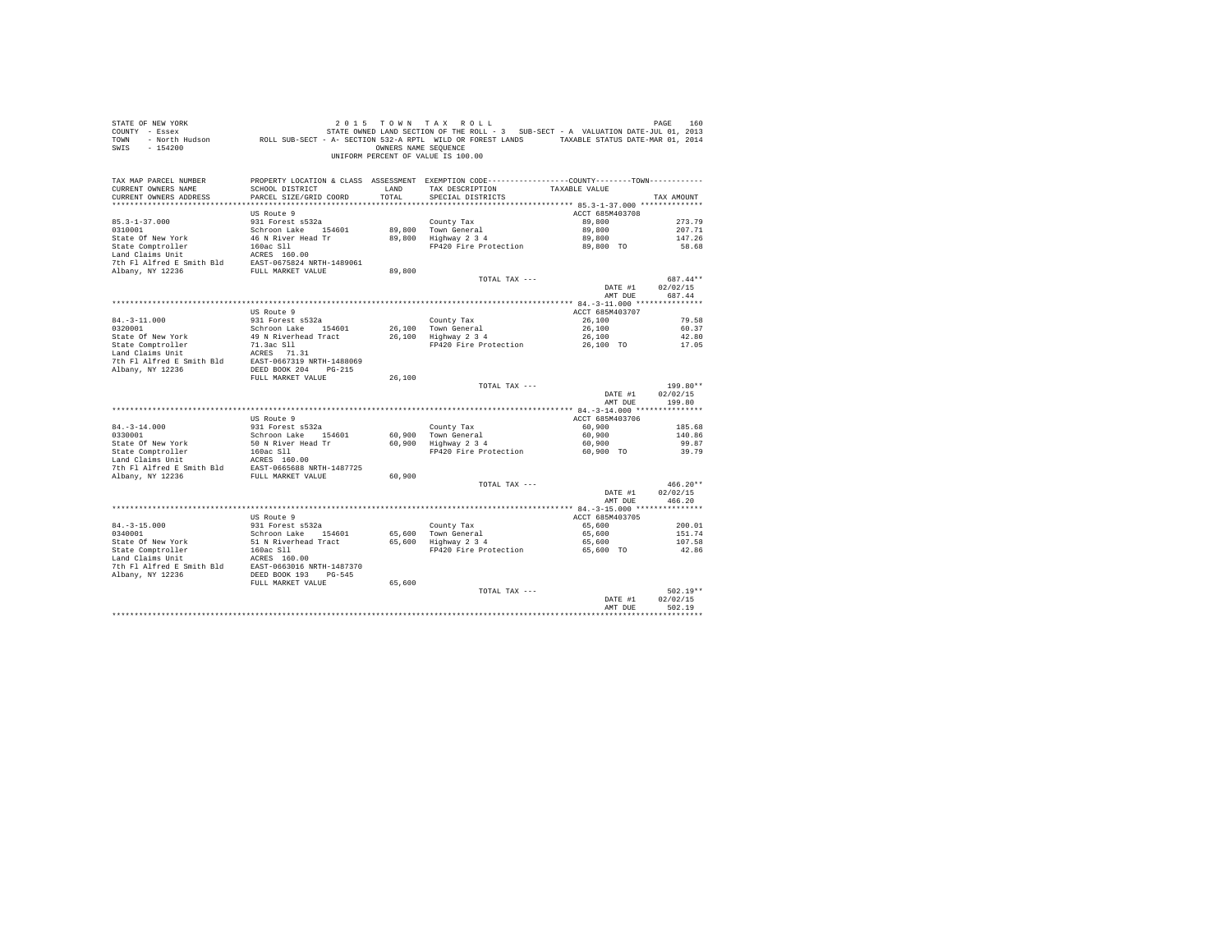| STATE OF NEW YORK<br>COUNTY - Essex<br>TOWN<br>SWIS - 154200                                                                                                                                                        |                                             | OWNERS NAME SEOUENCE | 2015 TOWN TAX ROLL<br>ע או איז א צ'א איט בא איז א איז א איז א איז א איז א אפשר 1608.<br>2013 - Essex Margard STATE OWNED LAND SECTION OF THE ROLL - 3 SUB-SECT - A VALUATION DATE-JUL 01, 2013<br>512- North Hudson - ROLL SUB-SECT - A - SECTION 532-A R<br>UNIFORM PERCENT OF VALUE IS 100.00 |                           | PAGE<br>160            |
|---------------------------------------------------------------------------------------------------------------------------------------------------------------------------------------------------------------------|---------------------------------------------|----------------------|-------------------------------------------------------------------------------------------------------------------------------------------------------------------------------------------------------------------------------------------------------------------------------------------------|---------------------------|------------------------|
| TAX MAP PARCEL NUMBER<br>CURRENT OWNERS NAME<br>CURRENT OWNERS ADDRESS                                                                                                                                              | SCHOOL DISTRICT<br>PARCEL SIZE/GRID COORD   | LAND<br>TOTAL.       | PROPERTY LOCATION & CLASS ASSESSMENT EXEMPTION CODE----------------COUNTY--------TOWN----------<br>TAX DESCRIPTION<br>SPECIAL DISTRICTS                                                                                                                                                         | TAXABLE VALUE             | TAX AMOUNT             |
|                                                                                                                                                                                                                     | US Route 9                                  |                      |                                                                                                                                                                                                                                                                                                 | ACCT 685M403708           |                        |
| $85.3 - 1 - 37.000$                                                                                                                                                                                                 | 931 Forest s532a                            |                      | County Tax                                                                                                                                                                                                                                                                                      | 89,800                    | 273.79                 |
| 0310001                                                                                                                                                                                                             | Schroon Lake 154601                         |                      | 89.800 Town General<br>89,800 Highway 2 3 4                                                                                                                                                                                                                                                     | 89,800                    | 207.71                 |
| State Of New York                                                                                                                                                                                                   | 46 N River Head Tr                          |                      | FP420 Fire Protection                                                                                                                                                                                                                                                                           | 89,800<br>89,800 TO       | 147.26<br>58.68        |
| State Comptroller 160ac S11<br>Land Claims Unit<br>Land Claims Unit 160ac S11<br>2010<br>2010 11 12 1236<br>EAST-0675824 NRTH-1489061<br>2010 1236<br>FULL MARKET VALUE                                             |                                             |                      |                                                                                                                                                                                                                                                                                                 |                           |                        |
|                                                                                                                                                                                                                     |                                             |                      |                                                                                                                                                                                                                                                                                                 |                           |                        |
|                                                                                                                                                                                                                     |                                             | 89,800               |                                                                                                                                                                                                                                                                                                 |                           |                        |
|                                                                                                                                                                                                                     |                                             |                      | TOTAL TAX ---                                                                                                                                                                                                                                                                                   |                           | 687.44**               |
|                                                                                                                                                                                                                     |                                             |                      |                                                                                                                                                                                                                                                                                                 | DATE #1                   | 02/02/15               |
|                                                                                                                                                                                                                     |                                             |                      |                                                                                                                                                                                                                                                                                                 | AMT DUE                   | 687.44                 |
|                                                                                                                                                                                                                     | US Route 9                                  |                      |                                                                                                                                                                                                                                                                                                 | ACCT 685M403707           |                        |
| $84. -3 - 11.000$                                                                                                                                                                                                   | 931 Forest s532a                            |                      | County Tax                                                                                                                                                                                                                                                                                      | 26,100                    | 79.58                  |
| 0320001                                                                                                                                                                                                             | Schroon Lake 154601                         |                      | 26,100 Town General                                                                                                                                                                                                                                                                             | 26,100                    | 60.37                  |
|                                                                                                                                                                                                                     | 49 N Riverhead Tract                        |                      | 26,100 Town General<br>26,100 Highway 2 3 4                                                                                                                                                                                                                                                     | 26,100                    | 42.80                  |
|                                                                                                                                                                                                                     |                                             |                      | FP420 Fire Protection 26,100 TO                                                                                                                                                                                                                                                                 |                           | 17.05                  |
| Fatte Of New York 49 N Riverhead Tract<br>State Comptroller 71.3ac S11<br>Land Claims Unit ACRES 771.31<br>7th Fl Alfred E Smith Bld EAST-0667319 NRTH-1488069                                                      |                                             |                      |                                                                                                                                                                                                                                                                                                 |                           |                        |
| Albany, NY 12236                                                                                                                                                                                                    | DEED BOOK 204 PG-215                        |                      |                                                                                                                                                                                                                                                                                                 |                           |                        |
|                                                                                                                                                                                                                     | FULL MARKET VALUE                           | 26,100               |                                                                                                                                                                                                                                                                                                 |                           |                        |
|                                                                                                                                                                                                                     |                                             |                      | TOTAL TAX ---                                                                                                                                                                                                                                                                                   |                           | 199.80**               |
|                                                                                                                                                                                                                     |                                             |                      |                                                                                                                                                                                                                                                                                                 | DATE #1                   | 02/02/15               |
|                                                                                                                                                                                                                     |                                             |                      |                                                                                                                                                                                                                                                                                                 | AMT DUE                   | 199.80                 |
|                                                                                                                                                                                                                     |                                             |                      |                                                                                                                                                                                                                                                                                                 |                           |                        |
|                                                                                                                                                                                                                     | US Route 9<br>931 Forest s532a              |                      |                                                                                                                                                                                                                                                                                                 | ACCT 685M403706<br>60,900 | 185.68                 |
| $84. - 3 - 14.000$<br>0330001                                                                                                                                                                                       | Schroon Lake 154601                         |                      |                                                                                                                                                                                                                                                                                                 | 60,900                    | 140.86                 |
| State Of New York                                                                                                                                                                                                   | 50 N River Head Tr                          |                      | County Tax<br>60,900 Town General<br>60,900 Highway 2 3 4                                                                                                                                                                                                                                       | 60,900                    | 99.87                  |
|                                                                                                                                                                                                                     |                                             |                      | FP420 Fire Protection                                                                                                                                                                                                                                                                           | 60.900 TO                 | 39.79                  |
|                                                                                                                                                                                                                     |                                             |                      |                                                                                                                                                                                                                                                                                                 |                           |                        |
| State Or New York<br>State Comptroller<br>Land Claims Unit<br>160ac S11<br>The Land Claims Unit<br>7th Fl Alfred E Smith Bld<br>EAST-0665688 NRTH-1487725<br>The Fl Alfred E Smith Bld<br>EAST-0665688 NRTH-1487725 |                                             |                      |                                                                                                                                                                                                                                                                                                 |                           |                        |
| Albany, NY 12236                                                                                                                                                                                                    | FULL MARKET VALUE                           | 60,900               | TOTAL TAX ---                                                                                                                                                                                                                                                                                   |                           | $466.20**$             |
|                                                                                                                                                                                                                     |                                             |                      |                                                                                                                                                                                                                                                                                                 | DATE #1                   | 02/02/15               |
|                                                                                                                                                                                                                     |                                             |                      |                                                                                                                                                                                                                                                                                                 | AMT DUE                   | 466.20                 |
|                                                                                                                                                                                                                     |                                             |                      |                                                                                                                                                                                                                                                                                                 |                           |                        |
|                                                                                                                                                                                                                     | US Route 9                                  |                      |                                                                                                                                                                                                                                                                                                 | ACCT 685M403705           |                        |
| $84. - 3 - 15.000$<br>0340001                                                                                                                                                                                       | 931 Forest s532a                            |                      | County Tax<br>County Tax<br>65,600 Town General<br>65,600 Highway 2 3 4                                                                                                                                                                                                                         | 65,600                    | 200.01<br>151.74       |
| State Of New York                                                                                                                                                                                                   | Schroon Lake 154601<br>51 N Riverhead Tract |                      |                                                                                                                                                                                                                                                                                                 | 65,600<br>65,600          | 107.58                 |
| State Comptroller                                                                                                                                                                                                   | 160ac S11                                   |                      | FP420 Fire Protection                                                                                                                                                                                                                                                                           | 65,600 TO                 | 42.86                  |
|                                                                                                                                                                                                                     |                                             |                      |                                                                                                                                                                                                                                                                                                 |                           |                        |
|                                                                                                                                                                                                                     |                                             |                      |                                                                                                                                                                                                                                                                                                 |                           |                        |
| State Computerior and CLES 160.00<br>The F1 Alfred E Smith B1d<br>The F1 Alfred E Smith B1d<br>RAST-0663016 NRTH-1487370<br>Albany, NY 12236 DEED BOOK 193 PG-545                                                   |                                             |                      |                                                                                                                                                                                                                                                                                                 |                           |                        |
|                                                                                                                                                                                                                     | FULL MARKET VALUE                           | 65,600               |                                                                                                                                                                                                                                                                                                 |                           |                        |
|                                                                                                                                                                                                                     |                                             |                      | TOTAL TAX ---                                                                                                                                                                                                                                                                                   | DATE #1                   | $502.19**$<br>02/02/15 |
|                                                                                                                                                                                                                     |                                             |                      |                                                                                                                                                                                                                                                                                                 | AMT DUE                   | 502.19                 |
|                                                                                                                                                                                                                     |                                             |                      |                                                                                                                                                                                                                                                                                                 |                           |                        |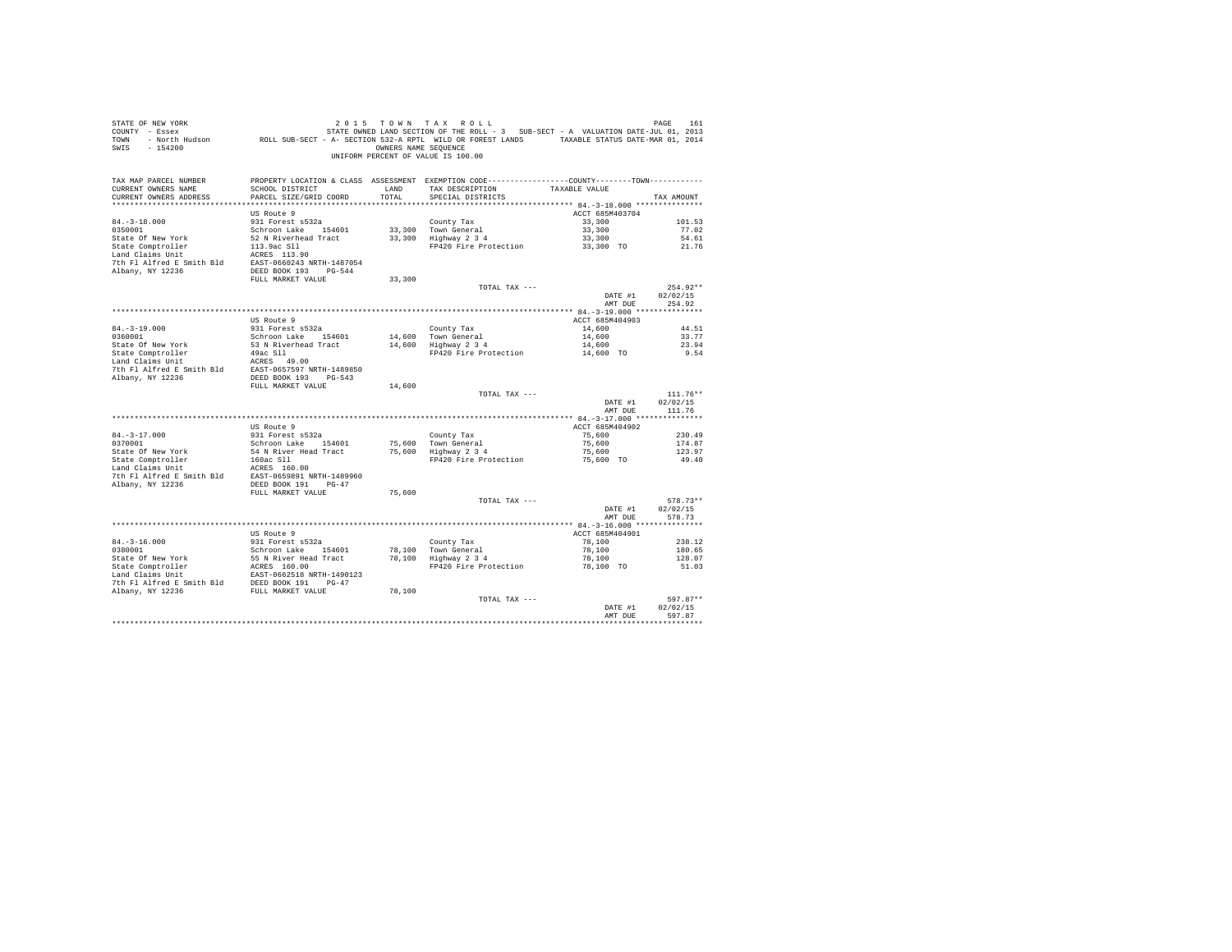| STATE OF NEW YORK                     | URE TO A TAX A UPA TAX A UPA TAX A UPA SUB-SECT - A VALUATION DATE-JUL 01.2013<br>COUNTY - Essex March State STATE OWNED LAND SECTION OF THE ROLL - 3 SUB-SECT - A VALUATION DATE-JUL 01, 2013<br>TOWN - North Hudson |                      | 2015 TOWN TAX ROLL                                                                           |                     | PAGE<br>161     |
|---------------------------------------|-----------------------------------------------------------------------------------------------------------------------------------------------------------------------------------------------------------------------|----------------------|----------------------------------------------------------------------------------------------|---------------------|-----------------|
| SWIS - 154200                         |                                                                                                                                                                                                                       | OWNERS NAME SEQUENCE | UNIFORM PERCENT OF VALUE IS 100.00                                                           |                     |                 |
| TAX MAP PARCEL NUMBER                 |                                                                                                                                                                                                                       |                      | PROPERTY LOCATION & CLASS ASSESSMENT EXEMPTION CODE---------------COUNTY-------TOWN--------- |                     |                 |
| CURRENT OWNERS NAME                   | SCHOOL DISTRICT                                                                                                                                                                                                       | <b>T.AND</b>         | TAX DESCRIPTION                                                                              | TAXABLE VALUE       |                 |
| CURRENT OWNERS ADDRESS                | PARCEL SIZE/GRID COORD                                                                                                                                                                                                | TOTAL                | SPECIAL DISTRICTS                                                                            |                     | TAX AMOUNT      |
| ***************************           |                                                                                                                                                                                                                       |                      |                                                                                              |                     |                 |
|                                       | US Route 9                                                                                                                                                                                                            |                      |                                                                                              | ACCT 685M403704     |                 |
| $84. - 3 - 18.000$                    | 931 Forest s532a                                                                                                                                                                                                      |                      | County Tax                                                                                   | 33,300              | 101.53          |
| 0350001                               | Schroon Lake 154601<br>52 N Riverhead Tract                                                                                                                                                                           |                      | 33,300 Town General                                                                          | 33,300              | 77.02           |
| State Of New York                     |                                                                                                                                                                                                                       |                      | 33,300 Highway 2 3 4<br>FP420 Fire Protection                                                | 33,300<br>33,300 TO | 54.61<br>21.76  |
| State Comptroller<br>Land Claims Unit | 113.9ac S11<br>ACRES 113.90                                                                                                                                                                                           |                      |                                                                                              |                     |                 |
| 7th Fl Alfred E Smith Bld             | EAST-0660243 NRTH-1487054                                                                                                                                                                                             |                      |                                                                                              |                     |                 |
| Albany, NY 12236                      | DEED BOOK 193 PG-544                                                                                                                                                                                                  |                      |                                                                                              |                     |                 |
|                                       | FULL MARKET VALUE                                                                                                                                                                                                     | 33,300               |                                                                                              |                     |                 |
|                                       |                                                                                                                                                                                                                       |                      | TOTAL TAX ---                                                                                |                     | $254.92**$      |
|                                       |                                                                                                                                                                                                                       |                      |                                                                                              | DATE #1             | 02/02/15        |
|                                       |                                                                                                                                                                                                                       |                      |                                                                                              | AMT DUE             | 254.92          |
|                                       |                                                                                                                                                                                                                       |                      |                                                                                              |                     |                 |
|                                       | US Route 9                                                                                                                                                                                                            |                      |                                                                                              | ACCT 685M404903     |                 |
| $84. - 3 - 19.000$                    | 931 Forest s532a                                                                                                                                                                                                      |                      | County Tax                                                                                   | 14,600              | 44.51           |
| 0360001                               | Schroon Lake 154601                                                                                                                                                                                                   |                      | 14,600 Town General                                                                          | 14,600              | 33.77           |
| State Of New York                     | 53 N Riverhead Tract                                                                                                                                                                                                  |                      | 14,600 Highway 2 3 4                                                                         | 14,600              | 23.94           |
| State Comptroller<br>Land Claims Unit | $49ac$ Sll $\sim$<br>ACRES 49.00                                                                                                                                                                                      |                      | FP420 Fire Protection                                                                        | 14,600 TO           | 9.54            |
| 7th Fl Alfred E Smith Bld             | EAST-0657597 NRTH-1489850                                                                                                                                                                                             |                      |                                                                                              |                     |                 |
| Albany, NY 12236                      | DEED BOOK 193 PG-543                                                                                                                                                                                                  |                      |                                                                                              |                     |                 |
|                                       | FULL MARKET VALUE                                                                                                                                                                                                     | 14,600               |                                                                                              |                     |                 |
|                                       |                                                                                                                                                                                                                       |                      | TOTAL TAX ---                                                                                |                     | $111.76**$      |
|                                       |                                                                                                                                                                                                                       |                      |                                                                                              | DATE #1             | 02/02/15        |
|                                       |                                                                                                                                                                                                                       |                      |                                                                                              | AMT DUE             | 111.76          |
|                                       |                                                                                                                                                                                                                       |                      |                                                                                              |                     |                 |
|                                       | US Route 9                                                                                                                                                                                                            |                      |                                                                                              | ACCT 685M404902     |                 |
| $84. - 3 - 17.000$                    | 931 Forest s532a                                                                                                                                                                                                      |                      | County Tax                                                                                   | 75,600              | 230.49          |
| 0370001                               | Schroon Lake 154601                                                                                                                                                                                                   |                      | 75,600 Town General                                                                          | 75,600              | 174.87          |
| State Of New York                     | 54 N River Head Tract                                                                                                                                                                                                 |                      | 75,600 Highway 2 3 4<br>FP420 Fire Protection                                                | 75,600<br>75,600 TO | 123.97<br>49.40 |
| State Comptroller<br>Land Claims Unit | 160ac Sll<br>ACRES 160.00                                                                                                                                                                                             |                      |                                                                                              |                     |                 |
| 7th Fl Alfred E Smith Bld             | EAST-0659891 NRTH-1489960                                                                                                                                                                                             |                      |                                                                                              |                     |                 |
| Albany, NY 12236                      | DEED BOOK 191 PG-47                                                                                                                                                                                                   |                      |                                                                                              |                     |                 |
|                                       | FULL MARKET VALUE                                                                                                                                                                                                     | 75,600               |                                                                                              |                     |                 |
|                                       |                                                                                                                                                                                                                       |                      | TOTAL TAX ---                                                                                |                     | 578.73**        |
|                                       |                                                                                                                                                                                                                       |                      |                                                                                              | DATE #1             | 02/02/15        |
|                                       |                                                                                                                                                                                                                       |                      |                                                                                              | AMT DUE             | 578.73          |
|                                       |                                                                                                                                                                                                                       |                      |                                                                                              |                     |                 |
|                                       | US Route 9                                                                                                                                                                                                            |                      |                                                                                              | ACCT 685M404901     |                 |
| $84. -3 - 16.000$                     | 931 Forest s532a                                                                                                                                                                                                      |                      | County Tax                                                                                   | 78,100              | 238.12          |
| 0380001                               | Schroon Lake 154601                                                                                                                                                                                                   |                      | 78.100 Town General                                                                          | 78,100              | 180.65          |
| State Of New York                     | 55 N River Head Tract<br>ACRES 160.00                                                                                                                                                                                 |                      | 78,100 Highway 2 3 4<br>FP420 Fire Protection                                                | 78,100<br>78,100 TO | 128.07<br>51.03 |
|                                       |                                                                                                                                                                                                                       |                      |                                                                                              |                     |                 |
| 7th Fl Alfred E Smith Bld             | DEED BOOK 191 PG-47                                                                                                                                                                                                   |                      |                                                                                              |                     |                 |
| Albany, NY 12236                      | FULL MARKET VALUE                                                                                                                                                                                                     | 78,100               |                                                                                              |                     |                 |
|                                       |                                                                                                                                                                                                                       |                      | TOTAL TAX ---                                                                                |                     | 597.87**        |
|                                       |                                                                                                                                                                                                                       |                      |                                                                                              | DATE #1             | 02/02/15        |
|                                       |                                                                                                                                                                                                                       |                      |                                                                                              | AMT DUE             | 597.87          |
|                                       |                                                                                                                                                                                                                       |                      |                                                                                              |                     |                 |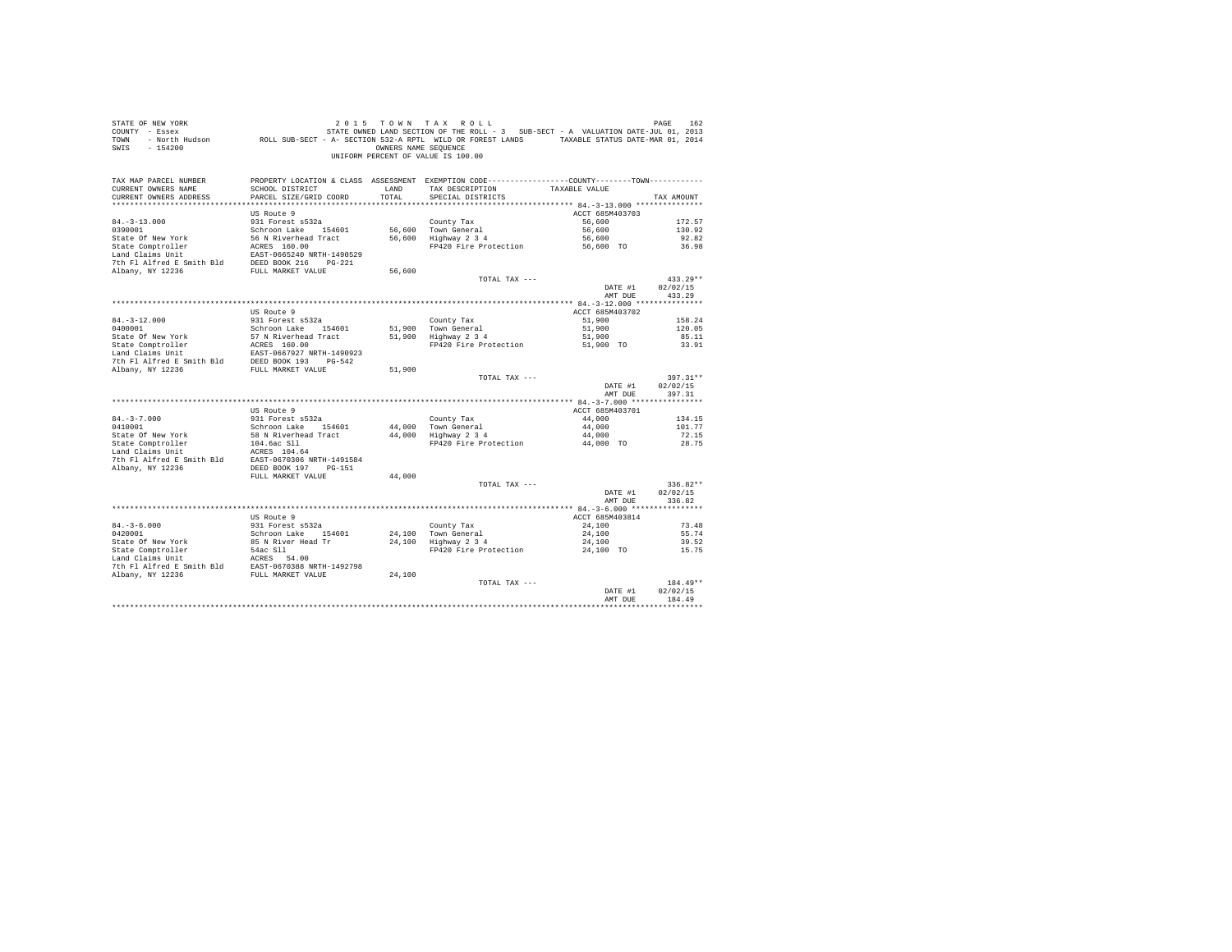| STATE OF NEW YORK<br>COUNTY - Essex<br>TOWN<br>SWIS - 154200                                                                                                               |                                                   | OWNERS NAME SEQUENCE | 2015 TOWN TAX ROLL<br>UNIFORM PERCENT OF VALUE IS 100.00                                       |                     | PAGE<br>162            |
|----------------------------------------------------------------------------------------------------------------------------------------------------------------------------|---------------------------------------------------|----------------------|------------------------------------------------------------------------------------------------|---------------------|------------------------|
| TAX MAP PARCEL NUMBER                                                                                                                                                      |                                                   |                      | PROPERTY LOCATION & CLASS ASSESSMENT EXEMPTION CODE----------------COUNTY-------TOWN---------- |                     |                        |
| CURRENT OWNERS NAME<br>CURRENT OWNERS ADDRESS                                                                                                                              | SCHOOL DISTRICT<br>PARCEL SIZE/GRID COORD         | LAND<br>TOTAL        | TAX DESCRIPTION<br>SPECIAL DISTRICTS                                                           | TAXABLE VALUE       | TAX AMOUNT             |
|                                                                                                                                                                            |                                                   |                      |                                                                                                |                     |                        |
|                                                                                                                                                                            | US Route 9                                        |                      |                                                                                                | ACCT 685M403703     |                        |
| $84. - 3 - 13.000$                                                                                                                                                         | 931 Forest s532a                                  |                      | County Tax                                                                                     | 56,600              | 172.57                 |
| 0390001                                                                                                                                                                    | Schroon Lake 154601                               |                      |                                                                                                | 56,600              | 130.92                 |
| State Of New York                                                                                                                                                          | 56 N Riverhead Tract                              |                      | 56,600 Town General<br>56,600 Highway 2 3 4                                                    | 56,600              | 92.82                  |
| State Comptroller                                                                                                                                                          | ACRES 160.00                                      |                      | FP420 Fire Protection                                                                          | 56,600 TO           | 36.98                  |
| Land Claims Unit<br>7th Fl Alfred E Smith Bld                                                                                                                              | EAST-0665240 NRTH-1490529<br>DEED BOOK 216 PG-221 |                      |                                                                                                |                     |                        |
| Albany, NY 12236                                                                                                                                                           | FULL MARKET VALUE                                 | 56,600               |                                                                                                |                     |                        |
|                                                                                                                                                                            |                                                   |                      | TOTAL TAX ---                                                                                  |                     | $433.29**$             |
|                                                                                                                                                                            |                                                   |                      |                                                                                                | DATE #1             | 02/02/15               |
|                                                                                                                                                                            |                                                   |                      |                                                                                                | AMT DUE             | 433.29                 |
|                                                                                                                                                                            |                                                   |                      |                                                                                                |                     |                        |
|                                                                                                                                                                            | US Route 9                                        |                      |                                                                                                | ACCT 685M403702     |                        |
| $84. - 3 - 12.000$<br>0400001                                                                                                                                              | 931 Forest s532a<br>Schroon Lake 154601           |                      | County Tax                                                                                     | 51,900<br>51,900    | 158.24<br>120.05       |
| State Of New York                                                                                                                                                          | 57 N Riverhead Tract                              |                      | 51,900 Town General<br>51,900 Highway 2 3 4                                                    | 51,900              | 85.11                  |
|                                                                                                                                                                            |                                                   |                      | FP420 Fire Protection                                                                          | 51,900 TO           | 33.91                  |
|                                                                                                                                                                            |                                                   |                      |                                                                                                |                     |                        |
| State Comptroller<br>Land Claims Unit<br>Land Claims Unit<br>EAST-0667927 NRTH-1490923<br>7th F1 Alfred E Smith Bld<br>2DEED BOOK 193<br>PULL MARKET VALUE<br>NDER ON 2015 |                                                   |                      |                                                                                                |                     |                        |
|                                                                                                                                                                            |                                                   | 51,900               |                                                                                                |                     |                        |
|                                                                                                                                                                            |                                                   |                      | TOTAL TAX ---                                                                                  | DATE #1             | $397.31**$<br>02/02/15 |
|                                                                                                                                                                            |                                                   |                      |                                                                                                | AMT DUE             | 397.31                 |
|                                                                                                                                                                            |                                                   |                      |                                                                                                |                     |                        |
|                                                                                                                                                                            | US Route 9                                        |                      |                                                                                                | ACCT 685M403701     |                        |
| $84. - 3 - 7.000$                                                                                                                                                          | 931 Forest s532a                                  |                      | County Tax                                                                                     | 44,000              | 134.15                 |
| 0410001                                                                                                                                                                    | Schroon Lake 154601                               |                      | 44,000 Town General<br>44,000 Highway 2 3 4                                                    | 44,000              | 101.77                 |
| State Of New York<br>State Comptroller                                                                                                                                     | 58 N Riverhead Tract                              |                      | FP420 Fire Protection                                                                          | 44,000<br>44,000 TO | 72.15<br>28.75         |
| Land Claims Unit                                                                                                                                                           | 104.6ac S11<br>ACRES 104.64                       |                      |                                                                                                |                     |                        |
| 7th Fl Alfred E Smith Bld EAST-0670306 NRTH-1491584                                                                                                                        |                                                   |                      |                                                                                                |                     |                        |
| Albany, NY 12236                                                                                                                                                           | DEED BOOK 197 PG-151                              |                      |                                                                                                |                     |                        |
|                                                                                                                                                                            | FULL MARKET VALUE                                 | 44,000               |                                                                                                |                     |                        |
|                                                                                                                                                                            |                                                   |                      | TOTAL TAX ---                                                                                  |                     | $336.82**$             |
|                                                                                                                                                                            |                                                   |                      |                                                                                                | DATE #1<br>AMT DUE  | 02/02/15<br>336.82     |
|                                                                                                                                                                            |                                                   |                      |                                                                                                |                     |                        |
|                                                                                                                                                                            | US Route 9                                        |                      |                                                                                                | ACCT 685M403814     |                        |
| $84. - 3 - 6.000$                                                                                                                                                          | 931 Forest s532a                                  |                      | County Tax                                                                                     | 24,100              | 73.48                  |
| 0420001                                                                                                                                                                    | Schroon Lake 154601                               |                      | County Tax<br>24,100 Town General<br>24,100 Highway 2 3 4                                      | 24,100              | 55.74                  |
| State Of New York                                                                                                                                                          | 85 N River Head Tr                                |                      |                                                                                                | 24,100              | 39.52                  |
| State Comptroller 54ac S11<br>Land Claims Unit<br>2010 Planet Band English Prince Band EAST-0670388 NRTH-1492798<br>2010 PULL MARKET VALUE                                 |                                                   |                      | FP420 Fire Protection                                                                          | 24,100 TO           | 15.75                  |
|                                                                                                                                                                            |                                                   |                      |                                                                                                |                     |                        |
|                                                                                                                                                                            |                                                   | 24,100               |                                                                                                |                     |                        |
|                                                                                                                                                                            |                                                   |                      | TOTAL TAX ---                                                                                  |                     | 184.49**               |
|                                                                                                                                                                            |                                                   |                      |                                                                                                | DATE #1             | 02/02/15               |
|                                                                                                                                                                            |                                                   |                      |                                                                                                | AMT DHE             | 184.49                 |
|                                                                                                                                                                            |                                                   |                      |                                                                                                |                     |                        |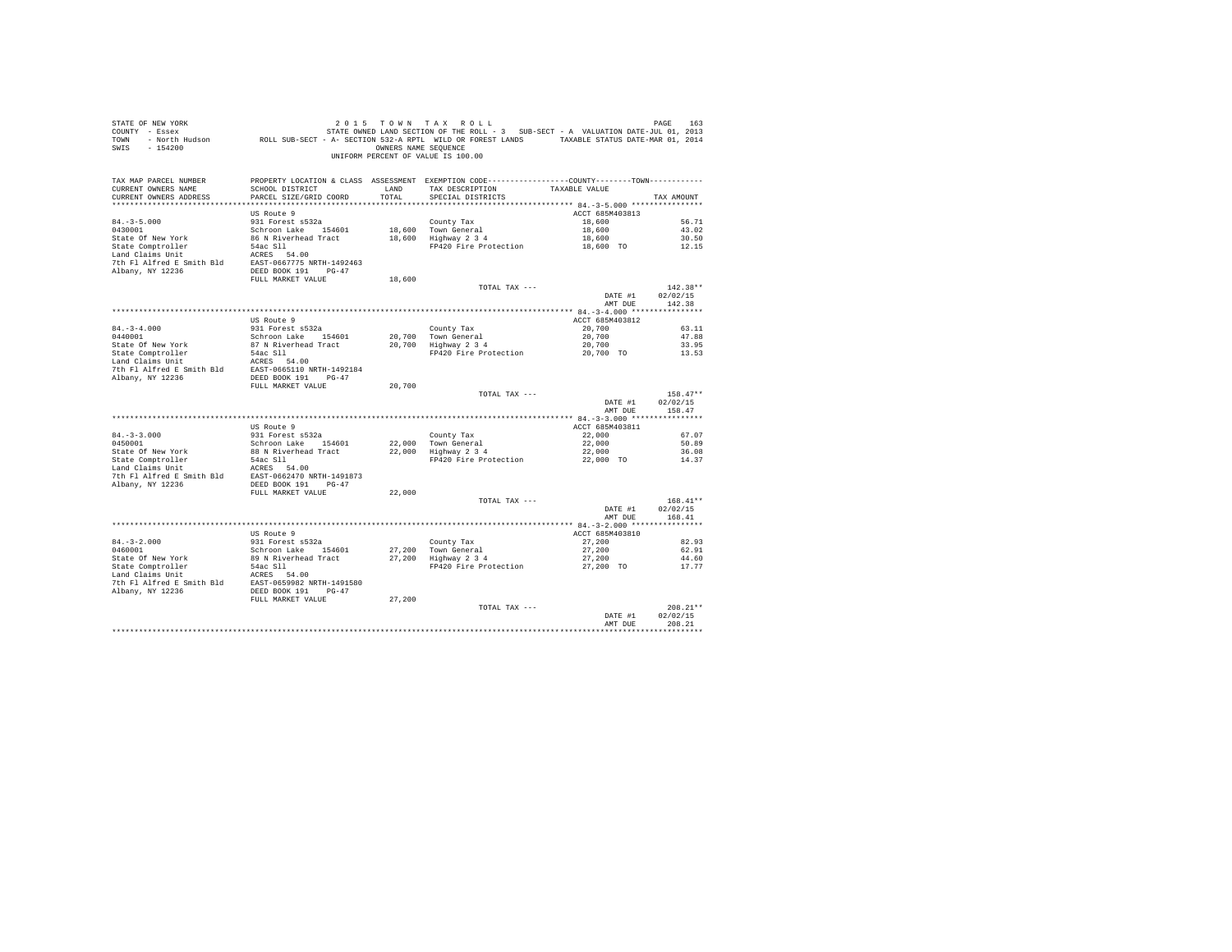| PROPERTY LOCATION & CLASS ASSESSMENT EXEMPTION CODE---------------COUNTY-------TOWN---------<br>TAX MAP PARCEL NUMBER<br>TAX DESCRIPTION<br>TAXABLE VALUE<br>CURRENT OWNERS NAME<br>SCHOOL DISTRICT<br>LAND<br>PARCEL SIZE/GRID COORD<br>TOTAL<br>CURRENT OWNERS ADDRESS<br>SPECIAL DISTRICTS<br>TAX AMOUNT<br>ACCT 685M403813<br>US Route 9<br>$84. -3 - 5.000$<br>931 Forest s532a<br>County Tax<br>18,600<br>56.71<br>84.-3-5.000<br>0430001<br>$18,600$ Town General<br>Schroon Lake 154601<br>18,600<br>43.02<br>18,600 TOWN General<br>18,600 Highway 2 3 4<br>18,600<br>86 N Riverhead Tract<br>30.50<br>State Of New York<br>State Comptroller 54ac S11<br>1 and Claims Unit 1 and 2008<br>7th Fl Alfred E Smith Bld EAST-0667775 NRTH-1492463<br>7th Fl Alfred E Smith Bld EAST-0667775 NRTH-1492463<br>2008 191 PG-47<br>FP420 Fire Protection 18,600 TO<br>12.15<br>FULL MARKET VALUE<br>18,600<br>TOTAL TAX ---<br>$142.38**$<br>DATE #1<br>02/02/15<br>AMT DUE<br>142.38<br>US Route 9<br>ACCT 685M403812<br>$84. -3 - 4.000$<br>931 Forest s532a<br>20,700<br>County Tax<br>63.11<br>0440001<br>Schroon Lake 154601<br>20,700 Town General<br>20,700<br>47.88<br>1978 - 1979 - 1979 - 2010 - 2010 - 2010 - 2010 - 2010 - 2010 - 2010 - 2010 - 2010 - 2010 - 2010 - 2010 - 2010<br>1974 - 2010 - 2010 - 2010 - 2010 - 2010 - 2010 - 2010 - 2010 - 2010 - 2010 - 2010 - 2010 - 2010 - 2010 - 2010<br><br>State Of New York<br>State Comptroller<br>Land Claims Unit<br>20,700<br>33.95<br>FP420 Fire Protection 20,700 TO<br>13.53<br>FULL MARKET VALUE<br>20,700<br>TOTAL TAX ---<br>$158.47**$<br>DATE #1<br>02/02/15<br>AMT DUE<br>158.47<br>US Route 9<br>ACCT 685M403811<br>$84. -3 - 3.000$<br>931 Forest s532a<br>County Tax<br>22,000<br>67.07<br>$22,000$ Town General<br>$22,000$ Highway 2 3 4<br>22,000<br>0450001<br>Schroon Lake 154601<br>50.89<br>88 N Riverhead Tract<br>22,000<br>State Of New York<br>State Comptroller<br>Land Claims Unit<br>36.08<br>FP420 Fire Protection<br>22,000 TO<br>$\begin{tabular}{lllllllllll} \texttt{State Comptroller} & & & \texttt{54ac S11} \\ \texttt{Land Claus Unit} & & & & \texttt{ACRES} & \texttt{54.00} \\ \texttt{The Alfred E Smith B1d} & & & \texttt{EXST-0662470 NRTH-1491873} \\ \texttt{Albany, NY 12236} & & & \texttt{DESD BOK 191} & \texttt{PG-47} \\ \end{tabular}$<br>14.37<br>22,000<br>FULL MARKET VALUE<br>$168.41**$<br>TOTAL TAX ---<br>DATE #1<br>02/02/15<br>AMT DUE<br>168.41<br>ACCT 685M403810<br>US Route 9<br>County Tax<br>27,200 Town General<br>27,200 Highway 2 3 4<br>931 Forest s532a<br>27,200<br>$84.-3-2.000$<br>0460001<br>82.93<br>27,200<br>Schroon Lake 154601<br>62.91<br>State Of New York 89 N Riverhead Tract<br>State Comptroller 54 nc 2011<br>State Comptroller 5 and Claims Unit<br>Land Claims Unit<br>The Pl Alfred E Smith Bld<br>20236 DEED BOOK 191 PO-47<br>7 Albany, NY 12236 DEED BOOK 191 PO-47<br>27,200<br>44.60<br>FP420 Fire Protection<br>27,200 TO<br>17.77<br>FULL MARKET VALUE<br>27,200<br>TOTAL TAX ---<br>$208.21**$<br>DATE #1<br>02/02/15<br>AMT DUE<br>208.21<br>************ | STATE OF NEW YORK<br>COUNTY - Essex<br>TOWN - NOTH Hudson ROLL SUB-SECT - A- SECTION 532-A RPTL WILD OR FOREST LANDS - A VALUONLE PARTICS DATE-MAR 01, 2014<br>SWIS - 154200 | OWNERS NAME SEQUENCE | 2015 TOWN TAX ROLL<br>STATE OWNED LAND SECTION OF THE ROLL - 3 SUB-SECT - A VALUATION DATE-JUL 01, 2013<br>UNIFORM PERCENT OF VALUE IS 100.00 | PAGE<br>163 |
|------------------------------------------------------------------------------------------------------------------------------------------------------------------------------------------------------------------------------------------------------------------------------------------------------------------------------------------------------------------------------------------------------------------------------------------------------------------------------------------------------------------------------------------------------------------------------------------------------------------------------------------------------------------------------------------------------------------------------------------------------------------------------------------------------------------------------------------------------------------------------------------------------------------------------------------------------------------------------------------------------------------------------------------------------------------------------------------------------------------------------------------------------------------------------------------------------------------------------------------------------------------------------------------------------------------------------------------------------------------------------------------------------------------------------------------------------------------------------------------------------------------------------------------------------------------------------------------------------------------------------------------------------------------------------------------------------------------------------------------------------------------------------------------------------------------------------------------------------------------------------------------------------------------------------------------------------------------------------------------------------------------------------------------------------------------------------------------------------------------------------------------------------------------------------------------------------------------------------------------------------------------------------------------------------------------------------------------------------------------------------------------------------------------------------------------------------------------------------------------------------------------------------------------------------------------------------------------------------------------------------------------------------------------------------------------------------------------------------------------------------------------------------------------------------------------------------------------------------------------------------------------------------------------------------------------------------------------------------------------------------------------------------------------------------------------------------------------------------------------------------|------------------------------------------------------------------------------------------------------------------------------------------------------------------------------|----------------------|-----------------------------------------------------------------------------------------------------------------------------------------------|-------------|
|                                                                                                                                                                                                                                                                                                                                                                                                                                                                                                                                                                                                                                                                                                                                                                                                                                                                                                                                                                                                                                                                                                                                                                                                                                                                                                                                                                                                                                                                                                                                                                                                                                                                                                                                                                                                                                                                                                                                                                                                                                                                                                                                                                                                                                                                                                                                                                                                                                                                                                                                                                                                                                                                                                                                                                                                                                                                                                                                                                                                                                                                                                                              |                                                                                                                                                                              |                      |                                                                                                                                               |             |
|                                                                                                                                                                                                                                                                                                                                                                                                                                                                                                                                                                                                                                                                                                                                                                                                                                                                                                                                                                                                                                                                                                                                                                                                                                                                                                                                                                                                                                                                                                                                                                                                                                                                                                                                                                                                                                                                                                                                                                                                                                                                                                                                                                                                                                                                                                                                                                                                                                                                                                                                                                                                                                                                                                                                                                                                                                                                                                                                                                                                                                                                                                                              |                                                                                                                                                                              |                      |                                                                                                                                               |             |
|                                                                                                                                                                                                                                                                                                                                                                                                                                                                                                                                                                                                                                                                                                                                                                                                                                                                                                                                                                                                                                                                                                                                                                                                                                                                                                                                                                                                                                                                                                                                                                                                                                                                                                                                                                                                                                                                                                                                                                                                                                                                                                                                                                                                                                                                                                                                                                                                                                                                                                                                                                                                                                                                                                                                                                                                                                                                                                                                                                                                                                                                                                                              |                                                                                                                                                                              |                      |                                                                                                                                               |             |
|                                                                                                                                                                                                                                                                                                                                                                                                                                                                                                                                                                                                                                                                                                                                                                                                                                                                                                                                                                                                                                                                                                                                                                                                                                                                                                                                                                                                                                                                                                                                                                                                                                                                                                                                                                                                                                                                                                                                                                                                                                                                                                                                                                                                                                                                                                                                                                                                                                                                                                                                                                                                                                                                                                                                                                                                                                                                                                                                                                                                                                                                                                                              |                                                                                                                                                                              |                      |                                                                                                                                               |             |
|                                                                                                                                                                                                                                                                                                                                                                                                                                                                                                                                                                                                                                                                                                                                                                                                                                                                                                                                                                                                                                                                                                                                                                                                                                                                                                                                                                                                                                                                                                                                                                                                                                                                                                                                                                                                                                                                                                                                                                                                                                                                                                                                                                                                                                                                                                                                                                                                                                                                                                                                                                                                                                                                                                                                                                                                                                                                                                                                                                                                                                                                                                                              |                                                                                                                                                                              |                      |                                                                                                                                               |             |
|                                                                                                                                                                                                                                                                                                                                                                                                                                                                                                                                                                                                                                                                                                                                                                                                                                                                                                                                                                                                                                                                                                                                                                                                                                                                                                                                                                                                                                                                                                                                                                                                                                                                                                                                                                                                                                                                                                                                                                                                                                                                                                                                                                                                                                                                                                                                                                                                                                                                                                                                                                                                                                                                                                                                                                                                                                                                                                                                                                                                                                                                                                                              |                                                                                                                                                                              |                      |                                                                                                                                               |             |
|                                                                                                                                                                                                                                                                                                                                                                                                                                                                                                                                                                                                                                                                                                                                                                                                                                                                                                                                                                                                                                                                                                                                                                                                                                                                                                                                                                                                                                                                                                                                                                                                                                                                                                                                                                                                                                                                                                                                                                                                                                                                                                                                                                                                                                                                                                                                                                                                                                                                                                                                                                                                                                                                                                                                                                                                                                                                                                                                                                                                                                                                                                                              |                                                                                                                                                                              |                      |                                                                                                                                               |             |
|                                                                                                                                                                                                                                                                                                                                                                                                                                                                                                                                                                                                                                                                                                                                                                                                                                                                                                                                                                                                                                                                                                                                                                                                                                                                                                                                                                                                                                                                                                                                                                                                                                                                                                                                                                                                                                                                                                                                                                                                                                                                                                                                                                                                                                                                                                                                                                                                                                                                                                                                                                                                                                                                                                                                                                                                                                                                                                                                                                                                                                                                                                                              |                                                                                                                                                                              |                      |                                                                                                                                               |             |
|                                                                                                                                                                                                                                                                                                                                                                                                                                                                                                                                                                                                                                                                                                                                                                                                                                                                                                                                                                                                                                                                                                                                                                                                                                                                                                                                                                                                                                                                                                                                                                                                                                                                                                                                                                                                                                                                                                                                                                                                                                                                                                                                                                                                                                                                                                                                                                                                                                                                                                                                                                                                                                                                                                                                                                                                                                                                                                                                                                                                                                                                                                                              |                                                                                                                                                                              |                      |                                                                                                                                               |             |
|                                                                                                                                                                                                                                                                                                                                                                                                                                                                                                                                                                                                                                                                                                                                                                                                                                                                                                                                                                                                                                                                                                                                                                                                                                                                                                                                                                                                                                                                                                                                                                                                                                                                                                                                                                                                                                                                                                                                                                                                                                                                                                                                                                                                                                                                                                                                                                                                                                                                                                                                                                                                                                                                                                                                                                                                                                                                                                                                                                                                                                                                                                                              |                                                                                                                                                                              |                      |                                                                                                                                               |             |
|                                                                                                                                                                                                                                                                                                                                                                                                                                                                                                                                                                                                                                                                                                                                                                                                                                                                                                                                                                                                                                                                                                                                                                                                                                                                                                                                                                                                                                                                                                                                                                                                                                                                                                                                                                                                                                                                                                                                                                                                                                                                                                                                                                                                                                                                                                                                                                                                                                                                                                                                                                                                                                                                                                                                                                                                                                                                                                                                                                                                                                                                                                                              |                                                                                                                                                                              |                      |                                                                                                                                               |             |
|                                                                                                                                                                                                                                                                                                                                                                                                                                                                                                                                                                                                                                                                                                                                                                                                                                                                                                                                                                                                                                                                                                                                                                                                                                                                                                                                                                                                                                                                                                                                                                                                                                                                                                                                                                                                                                                                                                                                                                                                                                                                                                                                                                                                                                                                                                                                                                                                                                                                                                                                                                                                                                                                                                                                                                                                                                                                                                                                                                                                                                                                                                                              |                                                                                                                                                                              |                      |                                                                                                                                               |             |
|                                                                                                                                                                                                                                                                                                                                                                                                                                                                                                                                                                                                                                                                                                                                                                                                                                                                                                                                                                                                                                                                                                                                                                                                                                                                                                                                                                                                                                                                                                                                                                                                                                                                                                                                                                                                                                                                                                                                                                                                                                                                                                                                                                                                                                                                                                                                                                                                                                                                                                                                                                                                                                                                                                                                                                                                                                                                                                                                                                                                                                                                                                                              |                                                                                                                                                                              |                      |                                                                                                                                               |             |
|                                                                                                                                                                                                                                                                                                                                                                                                                                                                                                                                                                                                                                                                                                                                                                                                                                                                                                                                                                                                                                                                                                                                                                                                                                                                                                                                                                                                                                                                                                                                                                                                                                                                                                                                                                                                                                                                                                                                                                                                                                                                                                                                                                                                                                                                                                                                                                                                                                                                                                                                                                                                                                                                                                                                                                                                                                                                                                                                                                                                                                                                                                                              |                                                                                                                                                                              |                      |                                                                                                                                               |             |
|                                                                                                                                                                                                                                                                                                                                                                                                                                                                                                                                                                                                                                                                                                                                                                                                                                                                                                                                                                                                                                                                                                                                                                                                                                                                                                                                                                                                                                                                                                                                                                                                                                                                                                                                                                                                                                                                                                                                                                                                                                                                                                                                                                                                                                                                                                                                                                                                                                                                                                                                                                                                                                                                                                                                                                                                                                                                                                                                                                                                                                                                                                                              |                                                                                                                                                                              |                      |                                                                                                                                               |             |
|                                                                                                                                                                                                                                                                                                                                                                                                                                                                                                                                                                                                                                                                                                                                                                                                                                                                                                                                                                                                                                                                                                                                                                                                                                                                                                                                                                                                                                                                                                                                                                                                                                                                                                                                                                                                                                                                                                                                                                                                                                                                                                                                                                                                                                                                                                                                                                                                                                                                                                                                                                                                                                                                                                                                                                                                                                                                                                                                                                                                                                                                                                                              |                                                                                                                                                                              |                      |                                                                                                                                               |             |
|                                                                                                                                                                                                                                                                                                                                                                                                                                                                                                                                                                                                                                                                                                                                                                                                                                                                                                                                                                                                                                                                                                                                                                                                                                                                                                                                                                                                                                                                                                                                                                                                                                                                                                                                                                                                                                                                                                                                                                                                                                                                                                                                                                                                                                                                                                                                                                                                                                                                                                                                                                                                                                                                                                                                                                                                                                                                                                                                                                                                                                                                                                                              |                                                                                                                                                                              |                      |                                                                                                                                               |             |
|                                                                                                                                                                                                                                                                                                                                                                                                                                                                                                                                                                                                                                                                                                                                                                                                                                                                                                                                                                                                                                                                                                                                                                                                                                                                                                                                                                                                                                                                                                                                                                                                                                                                                                                                                                                                                                                                                                                                                                                                                                                                                                                                                                                                                                                                                                                                                                                                                                                                                                                                                                                                                                                                                                                                                                                                                                                                                                                                                                                                                                                                                                                              |                                                                                                                                                                              |                      |                                                                                                                                               |             |
|                                                                                                                                                                                                                                                                                                                                                                                                                                                                                                                                                                                                                                                                                                                                                                                                                                                                                                                                                                                                                                                                                                                                                                                                                                                                                                                                                                                                                                                                                                                                                                                                                                                                                                                                                                                                                                                                                                                                                                                                                                                                                                                                                                                                                                                                                                                                                                                                                                                                                                                                                                                                                                                                                                                                                                                                                                                                                                                                                                                                                                                                                                                              |                                                                                                                                                                              |                      |                                                                                                                                               |             |
|                                                                                                                                                                                                                                                                                                                                                                                                                                                                                                                                                                                                                                                                                                                                                                                                                                                                                                                                                                                                                                                                                                                                                                                                                                                                                                                                                                                                                                                                                                                                                                                                                                                                                                                                                                                                                                                                                                                                                                                                                                                                                                                                                                                                                                                                                                                                                                                                                                                                                                                                                                                                                                                                                                                                                                                                                                                                                                                                                                                                                                                                                                                              |                                                                                                                                                                              |                      |                                                                                                                                               |             |
|                                                                                                                                                                                                                                                                                                                                                                                                                                                                                                                                                                                                                                                                                                                                                                                                                                                                                                                                                                                                                                                                                                                                                                                                                                                                                                                                                                                                                                                                                                                                                                                                                                                                                                                                                                                                                                                                                                                                                                                                                                                                                                                                                                                                                                                                                                                                                                                                                                                                                                                                                                                                                                                                                                                                                                                                                                                                                                                                                                                                                                                                                                                              |                                                                                                                                                                              |                      |                                                                                                                                               |             |
|                                                                                                                                                                                                                                                                                                                                                                                                                                                                                                                                                                                                                                                                                                                                                                                                                                                                                                                                                                                                                                                                                                                                                                                                                                                                                                                                                                                                                                                                                                                                                                                                                                                                                                                                                                                                                                                                                                                                                                                                                                                                                                                                                                                                                                                                                                                                                                                                                                                                                                                                                                                                                                                                                                                                                                                                                                                                                                                                                                                                                                                                                                                              |                                                                                                                                                                              |                      |                                                                                                                                               |             |
|                                                                                                                                                                                                                                                                                                                                                                                                                                                                                                                                                                                                                                                                                                                                                                                                                                                                                                                                                                                                                                                                                                                                                                                                                                                                                                                                                                                                                                                                                                                                                                                                                                                                                                                                                                                                                                                                                                                                                                                                                                                                                                                                                                                                                                                                                                                                                                                                                                                                                                                                                                                                                                                                                                                                                                                                                                                                                                                                                                                                                                                                                                                              |                                                                                                                                                                              |                      |                                                                                                                                               |             |
|                                                                                                                                                                                                                                                                                                                                                                                                                                                                                                                                                                                                                                                                                                                                                                                                                                                                                                                                                                                                                                                                                                                                                                                                                                                                                                                                                                                                                                                                                                                                                                                                                                                                                                                                                                                                                                                                                                                                                                                                                                                                                                                                                                                                                                                                                                                                                                                                                                                                                                                                                                                                                                                                                                                                                                                                                                                                                                                                                                                                                                                                                                                              |                                                                                                                                                                              |                      |                                                                                                                                               |             |
|                                                                                                                                                                                                                                                                                                                                                                                                                                                                                                                                                                                                                                                                                                                                                                                                                                                                                                                                                                                                                                                                                                                                                                                                                                                                                                                                                                                                                                                                                                                                                                                                                                                                                                                                                                                                                                                                                                                                                                                                                                                                                                                                                                                                                                                                                                                                                                                                                                                                                                                                                                                                                                                                                                                                                                                                                                                                                                                                                                                                                                                                                                                              |                                                                                                                                                                              |                      |                                                                                                                                               |             |
|                                                                                                                                                                                                                                                                                                                                                                                                                                                                                                                                                                                                                                                                                                                                                                                                                                                                                                                                                                                                                                                                                                                                                                                                                                                                                                                                                                                                                                                                                                                                                                                                                                                                                                                                                                                                                                                                                                                                                                                                                                                                                                                                                                                                                                                                                                                                                                                                                                                                                                                                                                                                                                                                                                                                                                                                                                                                                                                                                                                                                                                                                                                              |                                                                                                                                                                              |                      |                                                                                                                                               |             |
|                                                                                                                                                                                                                                                                                                                                                                                                                                                                                                                                                                                                                                                                                                                                                                                                                                                                                                                                                                                                                                                                                                                                                                                                                                                                                                                                                                                                                                                                                                                                                                                                                                                                                                                                                                                                                                                                                                                                                                                                                                                                                                                                                                                                                                                                                                                                                                                                                                                                                                                                                                                                                                                                                                                                                                                                                                                                                                                                                                                                                                                                                                                              |                                                                                                                                                                              |                      |                                                                                                                                               |             |
|                                                                                                                                                                                                                                                                                                                                                                                                                                                                                                                                                                                                                                                                                                                                                                                                                                                                                                                                                                                                                                                                                                                                                                                                                                                                                                                                                                                                                                                                                                                                                                                                                                                                                                                                                                                                                                                                                                                                                                                                                                                                                                                                                                                                                                                                                                                                                                                                                                                                                                                                                                                                                                                                                                                                                                                                                                                                                                                                                                                                                                                                                                                              |                                                                                                                                                                              |                      |                                                                                                                                               |             |
|                                                                                                                                                                                                                                                                                                                                                                                                                                                                                                                                                                                                                                                                                                                                                                                                                                                                                                                                                                                                                                                                                                                                                                                                                                                                                                                                                                                                                                                                                                                                                                                                                                                                                                                                                                                                                                                                                                                                                                                                                                                                                                                                                                                                                                                                                                                                                                                                                                                                                                                                                                                                                                                                                                                                                                                                                                                                                                                                                                                                                                                                                                                              |                                                                                                                                                                              |                      |                                                                                                                                               |             |
|                                                                                                                                                                                                                                                                                                                                                                                                                                                                                                                                                                                                                                                                                                                                                                                                                                                                                                                                                                                                                                                                                                                                                                                                                                                                                                                                                                                                                                                                                                                                                                                                                                                                                                                                                                                                                                                                                                                                                                                                                                                                                                                                                                                                                                                                                                                                                                                                                                                                                                                                                                                                                                                                                                                                                                                                                                                                                                                                                                                                                                                                                                                              |                                                                                                                                                                              |                      |                                                                                                                                               |             |
|                                                                                                                                                                                                                                                                                                                                                                                                                                                                                                                                                                                                                                                                                                                                                                                                                                                                                                                                                                                                                                                                                                                                                                                                                                                                                                                                                                                                                                                                                                                                                                                                                                                                                                                                                                                                                                                                                                                                                                                                                                                                                                                                                                                                                                                                                                                                                                                                                                                                                                                                                                                                                                                                                                                                                                                                                                                                                                                                                                                                                                                                                                                              |                                                                                                                                                                              |                      |                                                                                                                                               |             |
|                                                                                                                                                                                                                                                                                                                                                                                                                                                                                                                                                                                                                                                                                                                                                                                                                                                                                                                                                                                                                                                                                                                                                                                                                                                                                                                                                                                                                                                                                                                                                                                                                                                                                                                                                                                                                                                                                                                                                                                                                                                                                                                                                                                                                                                                                                                                                                                                                                                                                                                                                                                                                                                                                                                                                                                                                                                                                                                                                                                                                                                                                                                              |                                                                                                                                                                              |                      |                                                                                                                                               |             |
|                                                                                                                                                                                                                                                                                                                                                                                                                                                                                                                                                                                                                                                                                                                                                                                                                                                                                                                                                                                                                                                                                                                                                                                                                                                                                                                                                                                                                                                                                                                                                                                                                                                                                                                                                                                                                                                                                                                                                                                                                                                                                                                                                                                                                                                                                                                                                                                                                                                                                                                                                                                                                                                                                                                                                                                                                                                                                                                                                                                                                                                                                                                              |                                                                                                                                                                              |                      |                                                                                                                                               |             |
|                                                                                                                                                                                                                                                                                                                                                                                                                                                                                                                                                                                                                                                                                                                                                                                                                                                                                                                                                                                                                                                                                                                                                                                                                                                                                                                                                                                                                                                                                                                                                                                                                                                                                                                                                                                                                                                                                                                                                                                                                                                                                                                                                                                                                                                                                                                                                                                                                                                                                                                                                                                                                                                                                                                                                                                                                                                                                                                                                                                                                                                                                                                              |                                                                                                                                                                              |                      |                                                                                                                                               |             |
|                                                                                                                                                                                                                                                                                                                                                                                                                                                                                                                                                                                                                                                                                                                                                                                                                                                                                                                                                                                                                                                                                                                                                                                                                                                                                                                                                                                                                                                                                                                                                                                                                                                                                                                                                                                                                                                                                                                                                                                                                                                                                                                                                                                                                                                                                                                                                                                                                                                                                                                                                                                                                                                                                                                                                                                                                                                                                                                                                                                                                                                                                                                              |                                                                                                                                                                              |                      |                                                                                                                                               |             |
|                                                                                                                                                                                                                                                                                                                                                                                                                                                                                                                                                                                                                                                                                                                                                                                                                                                                                                                                                                                                                                                                                                                                                                                                                                                                                                                                                                                                                                                                                                                                                                                                                                                                                                                                                                                                                                                                                                                                                                                                                                                                                                                                                                                                                                                                                                                                                                                                                                                                                                                                                                                                                                                                                                                                                                                                                                                                                                                                                                                                                                                                                                                              |                                                                                                                                                                              |                      |                                                                                                                                               |             |
|                                                                                                                                                                                                                                                                                                                                                                                                                                                                                                                                                                                                                                                                                                                                                                                                                                                                                                                                                                                                                                                                                                                                                                                                                                                                                                                                                                                                                                                                                                                                                                                                                                                                                                                                                                                                                                                                                                                                                                                                                                                                                                                                                                                                                                                                                                                                                                                                                                                                                                                                                                                                                                                                                                                                                                                                                                                                                                                                                                                                                                                                                                                              |                                                                                                                                                                              |                      |                                                                                                                                               |             |
|                                                                                                                                                                                                                                                                                                                                                                                                                                                                                                                                                                                                                                                                                                                                                                                                                                                                                                                                                                                                                                                                                                                                                                                                                                                                                                                                                                                                                                                                                                                                                                                                                                                                                                                                                                                                                                                                                                                                                                                                                                                                                                                                                                                                                                                                                                                                                                                                                                                                                                                                                                                                                                                                                                                                                                                                                                                                                                                                                                                                                                                                                                                              |                                                                                                                                                                              |                      |                                                                                                                                               |             |
|                                                                                                                                                                                                                                                                                                                                                                                                                                                                                                                                                                                                                                                                                                                                                                                                                                                                                                                                                                                                                                                                                                                                                                                                                                                                                                                                                                                                                                                                                                                                                                                                                                                                                                                                                                                                                                                                                                                                                                                                                                                                                                                                                                                                                                                                                                                                                                                                                                                                                                                                                                                                                                                                                                                                                                                                                                                                                                                                                                                                                                                                                                                              |                                                                                                                                                                              |                      |                                                                                                                                               |             |
|                                                                                                                                                                                                                                                                                                                                                                                                                                                                                                                                                                                                                                                                                                                                                                                                                                                                                                                                                                                                                                                                                                                                                                                                                                                                                                                                                                                                                                                                                                                                                                                                                                                                                                                                                                                                                                                                                                                                                                                                                                                                                                                                                                                                                                                                                                                                                                                                                                                                                                                                                                                                                                                                                                                                                                                                                                                                                                                                                                                                                                                                                                                              |                                                                                                                                                                              |                      |                                                                                                                                               |             |
|                                                                                                                                                                                                                                                                                                                                                                                                                                                                                                                                                                                                                                                                                                                                                                                                                                                                                                                                                                                                                                                                                                                                                                                                                                                                                                                                                                                                                                                                                                                                                                                                                                                                                                                                                                                                                                                                                                                                                                                                                                                                                                                                                                                                                                                                                                                                                                                                                                                                                                                                                                                                                                                                                                                                                                                                                                                                                                                                                                                                                                                                                                                              |                                                                                                                                                                              |                      |                                                                                                                                               |             |
|                                                                                                                                                                                                                                                                                                                                                                                                                                                                                                                                                                                                                                                                                                                                                                                                                                                                                                                                                                                                                                                                                                                                                                                                                                                                                                                                                                                                                                                                                                                                                                                                                                                                                                                                                                                                                                                                                                                                                                                                                                                                                                                                                                                                                                                                                                                                                                                                                                                                                                                                                                                                                                                                                                                                                                                                                                                                                                                                                                                                                                                                                                                              |                                                                                                                                                                              |                      |                                                                                                                                               |             |
|                                                                                                                                                                                                                                                                                                                                                                                                                                                                                                                                                                                                                                                                                                                                                                                                                                                                                                                                                                                                                                                                                                                                                                                                                                                                                                                                                                                                                                                                                                                                                                                                                                                                                                                                                                                                                                                                                                                                                                                                                                                                                                                                                                                                                                                                                                                                                                                                                                                                                                                                                                                                                                                                                                                                                                                                                                                                                                                                                                                                                                                                                                                              |                                                                                                                                                                              |                      |                                                                                                                                               |             |
|                                                                                                                                                                                                                                                                                                                                                                                                                                                                                                                                                                                                                                                                                                                                                                                                                                                                                                                                                                                                                                                                                                                                                                                                                                                                                                                                                                                                                                                                                                                                                                                                                                                                                                                                                                                                                                                                                                                                                                                                                                                                                                                                                                                                                                                                                                                                                                                                                                                                                                                                                                                                                                                                                                                                                                                                                                                                                                                                                                                                                                                                                                                              |                                                                                                                                                                              |                      |                                                                                                                                               |             |
|                                                                                                                                                                                                                                                                                                                                                                                                                                                                                                                                                                                                                                                                                                                                                                                                                                                                                                                                                                                                                                                                                                                                                                                                                                                                                                                                                                                                                                                                                                                                                                                                                                                                                                                                                                                                                                                                                                                                                                                                                                                                                                                                                                                                                                                                                                                                                                                                                                                                                                                                                                                                                                                                                                                                                                                                                                                                                                                                                                                                                                                                                                                              |                                                                                                                                                                              |                      |                                                                                                                                               |             |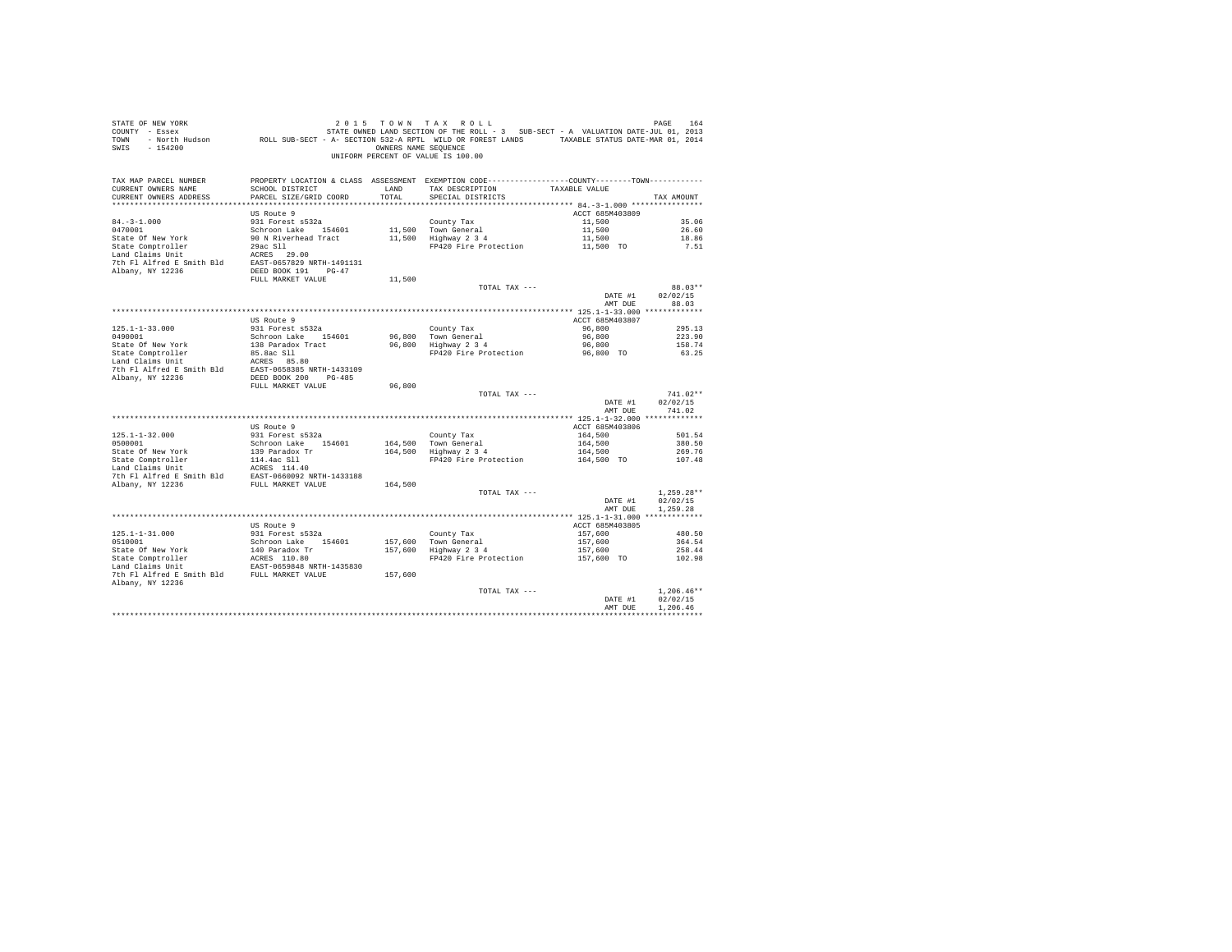| STATE OF NEW YORK<br>SWIS - 154200                                                                                                                                                                                            |                                           | OWNERS NAME SEQUENCE | 2015 TOWN TAX ROLL<br>UNIFORM PERCENT OF VALUE IS 100.00                                                                               |                     | PAGE<br>164              |
|-------------------------------------------------------------------------------------------------------------------------------------------------------------------------------------------------------------------------------|-------------------------------------------|----------------------|----------------------------------------------------------------------------------------------------------------------------------------|---------------------|--------------------------|
| TAX MAP PARCEL NUMBER<br>CURRENT OWNERS NAME<br>CURRENT OWNERS ADDRESS                                                                                                                                                        | SCHOOL DISTRICT<br>PARCEL SIZE/GRID COORD | LAND<br>TOTAL        | PROPERTY LOCATION & CLASS ASSESSMENT EXEMPTION CODE----------------COUNTY-------TOWN----------<br>TAX DESCRIPTION<br>SPECIAL DISTRICTS | TAXABLE VALUE       | TAX AMOUNT               |
|                                                                                                                                                                                                                               |                                           |                      |                                                                                                                                        |                     |                          |
|                                                                                                                                                                                                                               | US Route 9                                |                      |                                                                                                                                        | ACCT 685M403809     |                          |
| $84. - 3 - 1.000$                                                                                                                                                                                                             | 931 Forest s532a                          |                      | County Tax                                                                                                                             | 11,500              | 35.06                    |
| 0470001                                                                                                                                                                                                                       | Schroon Lake 154601                       |                      | 11,500 Town General<br>11,500 Highway 2 3 4                                                                                            | 11,500              | 26.60                    |
| State Of New York                                                                                                                                                                                                             | 90 N Riverhead Tract                      |                      |                                                                                                                                        | 11,500              | 18.86                    |
| State Comptroller                                                                                                                                                                                                             | 29ac S11<br>ACRES 29.00                   |                      | FP420 Fire Protection                                                                                                                  | 11,500 TO           | 7.51                     |
| Land Claims Unit                                                                                                                                                                                                              |                                           |                      |                                                                                                                                        |                     |                          |
| 7th Fl Alfred E Smith Bld EAST-0657829 NRTH-1491131<br>Albany, NY 12236                                                                                                                                                       | DEED BOOK 191 PG-47                       |                      |                                                                                                                                        |                     |                          |
|                                                                                                                                                                                                                               | FULL MARKET VALUE                         | 11,500               |                                                                                                                                        |                     |                          |
|                                                                                                                                                                                                                               |                                           |                      | TOTAL TAX ---                                                                                                                          |                     | 88.03**                  |
|                                                                                                                                                                                                                               |                                           |                      |                                                                                                                                        | DATE #1             | 02/02/15                 |
|                                                                                                                                                                                                                               |                                           |                      |                                                                                                                                        | AMT DUE             | 88.03                    |
|                                                                                                                                                                                                                               |                                           |                      |                                                                                                                                        |                     |                          |
|                                                                                                                                                                                                                               | US Route 9                                |                      |                                                                                                                                        | ACCT 685M403807     |                          |
| $125.1 - 1 - 33.000$                                                                                                                                                                                                          | 931 Forest s532a                          |                      | County Tax                                                                                                                             | 96,800              | 295.13                   |
| 0490001                                                                                                                                                                                                                       | Schroon Lake 154601                       |                      | 96.800 Town General<br>96,800 Hown General<br>96,800 Highway 2 3 4                                                                     | 96,800              | 223.90                   |
| State Of New York                                                                                                                                                                                                             | 138 Paradox Tract<br>85.8ac Sll           |                      | FP420 Fire Protection                                                                                                                  | 96,800<br>96,800 TO | 158.74<br>63.25          |
| State Comptroller<br>Land Claims Unit                                                                                                                                                                                         |                                           |                      |                                                                                                                                        |                     |                          |
|                                                                                                                                                                                                                               |                                           |                      |                                                                                                                                        |                     |                          |
| State Computer and Market Market Market Market Market Market Market Market Market Market Market Market Market Market Market Market Market Market Market Market Market Market Market Market Market Market Market Market Market |                                           |                      |                                                                                                                                        |                     |                          |
|                                                                                                                                                                                                                               | FULL MARKET VALUE                         | 96,800               |                                                                                                                                        |                     |                          |
|                                                                                                                                                                                                                               |                                           |                      | TOTAL TAX ---                                                                                                                          |                     | $741.02**$               |
|                                                                                                                                                                                                                               |                                           |                      |                                                                                                                                        | DATE #1             | 02/02/15                 |
|                                                                                                                                                                                                                               |                                           |                      |                                                                                                                                        | AMT DUE             | 741.02                   |
|                                                                                                                                                                                                                               | US Route 9                                |                      |                                                                                                                                        | ACCT 685M403806     |                          |
| $125.1 - 1 - 32.000$                                                                                                                                                                                                          | 931 Forest s532a                          |                      | County Tax                                                                                                                             | 164,500             | 501.54                   |
| 0500001                                                                                                                                                                                                                       | Schroon Lake 154601                       |                      | 164,500 Town General                                                                                                                   | 164,500             | 380.50                   |
| State Of New York                                                                                                                                                                                                             | 139 Paradox Tr                            |                      | 164,500 Town General<br>164,500 Highway 2 3 4                                                                                          | 164,500             | 269.76                   |
| State Comptroller 114.4ac S11<br>Land Claims Unit 114.4ac S11                                                                                                                                                                 |                                           |                      | FP420 Fire Protection                                                                                                                  | 164,500 TO          | 107.48                   |
|                                                                                                                                                                                                                               | ACRES 114.40                              |                      |                                                                                                                                        |                     |                          |
| 7th Fl Alfred E Smith Bld EAST-0660092 NRTH-1433188<br>Albany, NY 12236 FULL MARKET VALUE                                                                                                                                     |                                           |                      |                                                                                                                                        |                     |                          |
|                                                                                                                                                                                                                               |                                           | 164,500              |                                                                                                                                        |                     |                          |
|                                                                                                                                                                                                                               |                                           |                      | TOTAL TAX ---                                                                                                                          | DATE #1             | $1.259.28**$<br>02/02/15 |
|                                                                                                                                                                                                                               |                                           |                      |                                                                                                                                        | AMT DUE             | 1.259.28                 |
|                                                                                                                                                                                                                               |                                           |                      |                                                                                                                                        |                     |                          |
|                                                                                                                                                                                                                               | US Route 9                                |                      |                                                                                                                                        | ACCT 685M403805     |                          |
| $125.1 - 1 - 31.000$                                                                                                                                                                                                          | 931 Forest s532a                          |                      | County Tax                                                                                                                             | 157,600             | 480.50                   |
| 0510001                                                                                                                                                                                                                       | Schroon Lake 154601                       |                      |                                                                                                                                        | 157,600             | 364.54                   |
| State Of New York and Daradox Travel and Daradox Travel and CRESS 110.80<br>State Comptroller RACRES 110.80<br>The Fl Alfred E Smith Bld EULL MARKET VALUE                                                                    |                                           |                      | 157,600 Town General<br>157,600 Highway 2 3 4                                                                                          | 157,600             | 258.44                   |
|                                                                                                                                                                                                                               |                                           |                      | FP420 Fire Protection                                                                                                                  | 157,600 TO          | 102.98                   |
|                                                                                                                                                                                                                               |                                           |                      |                                                                                                                                        |                     |                          |
| Albany, NY 12236                                                                                                                                                                                                              |                                           | 157,600              |                                                                                                                                        |                     |                          |
|                                                                                                                                                                                                                               |                                           |                      | TOTAL TAX ---                                                                                                                          |                     | $1.206.46**$             |
|                                                                                                                                                                                                                               |                                           |                      |                                                                                                                                        | DATE #1             | 02/02/15                 |
|                                                                                                                                                                                                                               |                                           |                      |                                                                                                                                        | AMT DUE             | 1,206.46                 |
|                                                                                                                                                                                                                               |                                           |                      |                                                                                                                                        |                     | ************             |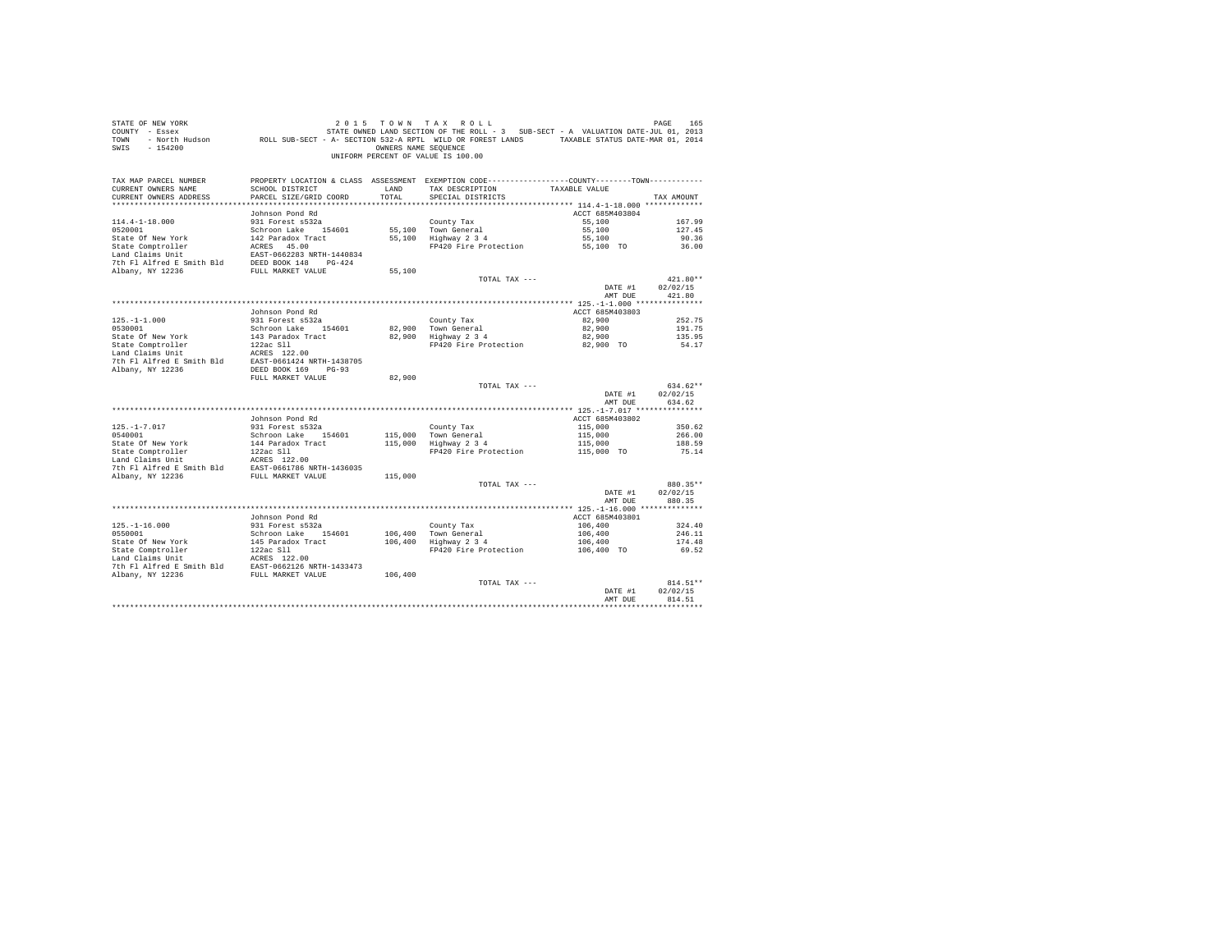| STATE OF NEW YORK<br>COUNTY - Essex<br>TOWN<br>$-154200$<br>SWIS |                                                | OWNERS NAME SEQUENCE | 2015 TOWN TAX ROLL<br>STATE OWNED LAND SECTION OF THE ROLL - 3 SUB-SECT - A VALUATION DATE-JUL 01, 2013<br>- North Hudson ROLL SUB-SECT - A- SECTION 532-A RPTL WILD OR FOREST LANDS TAXABLE STATUS DATE-MAR 01, 2014<br>UNIFORM PERCENT OF VALUE IS 100.00 |                    | PAGE<br>165        |
|------------------------------------------------------------------|------------------------------------------------|----------------------|-------------------------------------------------------------------------------------------------------------------------------------------------------------------------------------------------------------------------------------------------------------|--------------------|--------------------|
| TAX MAP PARCEL NUMBER                                            |                                                |                      | PROPERTY LOCATION & CLASS ASSESSMENT EXEMPTION CODE----------------COUNTY--------TOWN----------                                                                                                                                                             |                    |                    |
| CURRENT OWNERS NAME<br>CURRENT OWNERS ADDRESS                    | SCHOOL DISTRICT<br>PARCEL SIZE/GRID COORD      | LAND<br>TOTAL        | TAX DESCRIPTION<br>SPECIAL DISTRICTS                                                                                                                                                                                                                        | TAXABLE VALUE      | TAX AMOUNT         |
|                                                                  |                                                |                      |                                                                                                                                                                                                                                                             |                    |                    |
|                                                                  | Johnson Pond Rd                                |                      |                                                                                                                                                                                                                                                             | ACCT 685M403804    |                    |
| $114.4 - 1 - 18.000$                                             | 931 Forest s532a                               |                      | County Tax                                                                                                                                                                                                                                                  | 55,100             | 167.99             |
| 0520001                                                          | Schroon Lake 154601                            |                      | 55,100 Town General                                                                                                                                                                                                                                         | 55,100             | 127.45             |
| State Of New York                                                | 142 Paradox Tract                              |                      | 55,100 Highway 2 3 4                                                                                                                                                                                                                                        | 55,100             | 90.36              |
| State Comptroller                                                | ACRES 45.00                                    |                      | FP420 Fire Protection                                                                                                                                                                                                                                       | 55,100 TO          | 36.00              |
| Land Claims Unit                                                 | EAST-0662283 NRTH-1440834                      |                      |                                                                                                                                                                                                                                                             |                    |                    |
| 7th Fl Alfred E Smith Bld                                        | DEED BOOK 148 PG-424                           |                      |                                                                                                                                                                                                                                                             |                    |                    |
| Albany, NY 12236                                                 | FULL MARKET VALUE                              | 55,100               |                                                                                                                                                                                                                                                             |                    |                    |
|                                                                  |                                                |                      | TOTAL TAX ---                                                                                                                                                                                                                                               |                    | 421.80**           |
|                                                                  |                                                |                      |                                                                                                                                                                                                                                                             | DATE #1<br>AMT DUE | 02/02/15<br>421.80 |
|                                                                  |                                                |                      |                                                                                                                                                                                                                                                             |                    |                    |
|                                                                  | Johnson Pond Rd                                |                      |                                                                                                                                                                                                                                                             | ACCT 685M403803    |                    |
| $125. - 1 - 1.000$                                               | 931 Forest s532a                               |                      | County Tax                                                                                                                                                                                                                                                  | 82,900             | 252.75             |
| 0530001                                                          | Schroon Lake 154601                            | 82,900               | Town General                                                                                                                                                                                                                                                | 82,900             | 191.75             |
| State Of New York                                                | 143 Paradox Tract                              |                      | 82,900 Highway 2 3 4                                                                                                                                                                                                                                        | 82,900             | 135.95             |
| State Comptroller                                                | $122ac$ Sll                                    |                      | FP420 Fire Protection                                                                                                                                                                                                                                       | 82,900 TO          | 54.17              |
| Land Claims Unit                                                 | ACRES 122.00                                   |                      |                                                                                                                                                                                                                                                             |                    |                    |
| 7th Fl Alfred E Smith Bld                                        | EAST-0661424 NRTH-1438705                      |                      |                                                                                                                                                                                                                                                             |                    |                    |
| Albany, NY 12236                                                 | DEED BOOK 169 PG-93                            |                      |                                                                                                                                                                                                                                                             |                    |                    |
|                                                                  | FULL MARKET VALUE                              | 82,900               |                                                                                                                                                                                                                                                             |                    | 634.62**           |
|                                                                  |                                                |                      | TOTAL TAX ---                                                                                                                                                                                                                                               | DATE #1            | 02/02/15           |
|                                                                  |                                                |                      |                                                                                                                                                                                                                                                             | AMT DUE            | 634.62             |
|                                                                  |                                                |                      |                                                                                                                                                                                                                                                             |                    |                    |
|                                                                  | Johnson Pond Rd                                |                      |                                                                                                                                                                                                                                                             | ACCT 685M403802    |                    |
| $125. - 1 - 7.017$                                               | 931 Forest s532a                               |                      | County Tax                                                                                                                                                                                                                                                  | 115,000            | 350.62             |
| 0540001                                                          | Schroon Lake 154601                            | 115,000              | Town General                                                                                                                                                                                                                                                | 115,000            | 266.00             |
| State Of New York                                                | 144 Paradox Tract                              | 115,000              | Highway 2 3 4                                                                                                                                                                                                                                               | 115,000            | 188.59             |
| State Comptroller                                                | 122ac Sll                                      |                      | FP420 Fire Protection                                                                                                                                                                                                                                       | 115,000 TO         | 75.14              |
| Land Claims Unit                                                 | ACRES 122.00                                   |                      |                                                                                                                                                                                                                                                             |                    |                    |
| 7th Fl Alfred E Smith Bld<br>Albany, NY 12236                    | EAST-0661786 NRTH-1436035<br>FULL MARKET VALUE | 115,000              |                                                                                                                                                                                                                                                             |                    |                    |
|                                                                  |                                                |                      | TOTAL TAX ---                                                                                                                                                                                                                                               |                    | 880.35**           |
|                                                                  |                                                |                      |                                                                                                                                                                                                                                                             | DATE #1            | 02/02/15           |
|                                                                  |                                                |                      |                                                                                                                                                                                                                                                             | AMT DUE            | 880.35             |
|                                                                  |                                                |                      |                                                                                                                                                                                                                                                             |                    |                    |
|                                                                  | Johnson Pond Rd                                |                      |                                                                                                                                                                                                                                                             | ACCT 685M403801    |                    |
| $125. - 1 - 16.000$                                              | 931 Forest s532a                               |                      | County Tax                                                                                                                                                                                                                                                  | 106,400            | 324.40             |
| 0550001                                                          | Schroon Lake 154601                            | 106,400              | Town General<br>Highway 2 3 4                                                                                                                                                                                                                               | 106,400            | 246.11             |
| State Of New York                                                | 145 Paradox Tract                              | 106,400              |                                                                                                                                                                                                                                                             | 106,400            | 174.48             |
| State Comptroller<br>Land Claims Unit                            | $122ac$ Sll<br>ACRES 122.00                    |                      | FP420 Fire Protection                                                                                                                                                                                                                                       | 106,400 TO         | 69.52              |
| 7th Fl Alfred E Smith Bld                                        | EAST-0662126 NRTH-1433473                      |                      |                                                                                                                                                                                                                                                             |                    |                    |
| Albany, NY 12236                                                 | FULL MARKET VALUE                              | 106,400              |                                                                                                                                                                                                                                                             |                    |                    |
|                                                                  |                                                |                      | TOTAL TAX ---                                                                                                                                                                                                                                               |                    | 814.51**           |
|                                                                  |                                                |                      |                                                                                                                                                                                                                                                             | DATE #1            | 02/02/15           |
|                                                                  |                                                |                      |                                                                                                                                                                                                                                                             | AMT DUE            | 814.51             |
|                                                                  |                                                |                      |                                                                                                                                                                                                                                                             |                    |                    |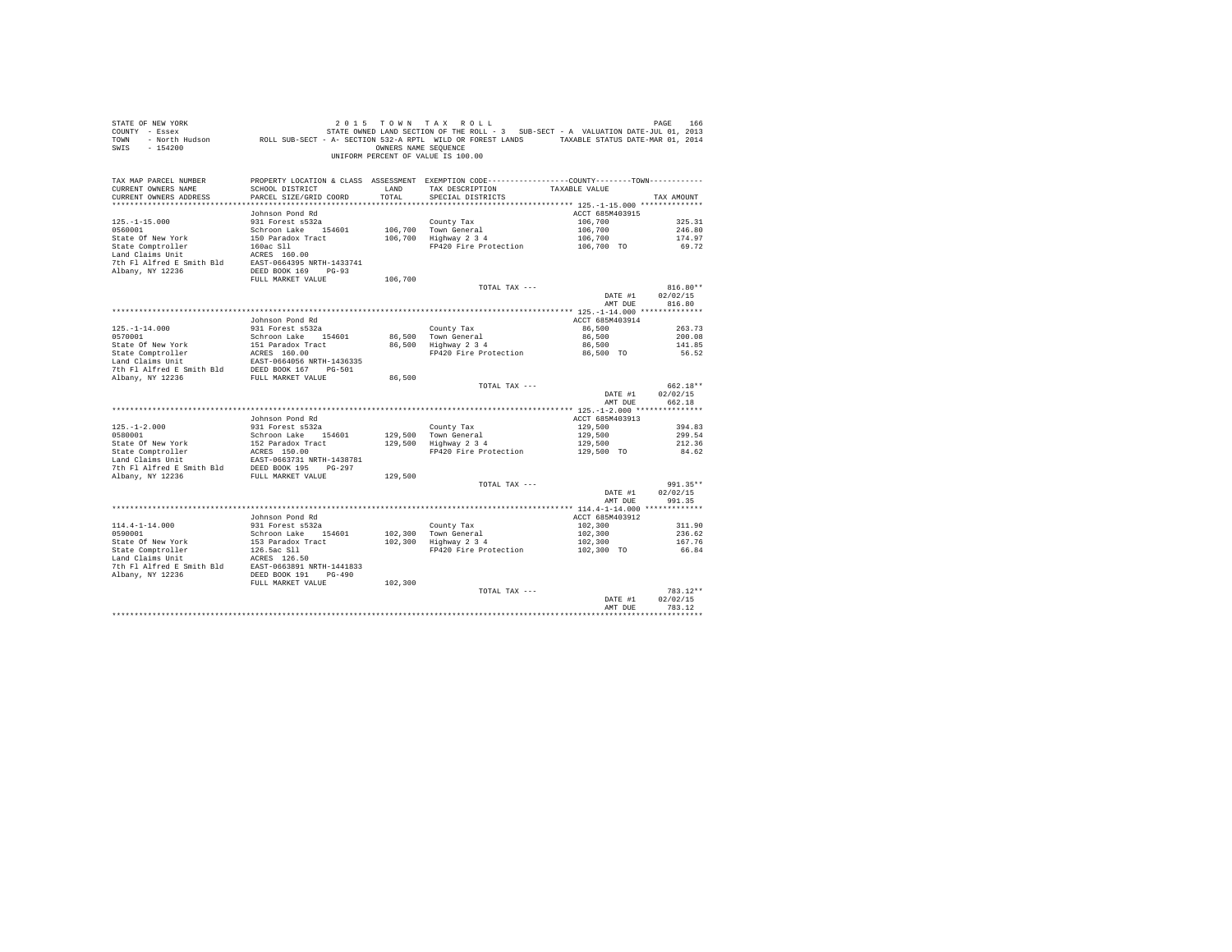| STATE OF NEW YORK<br>COUNTY - Essex<br>TOWN<br>SWIS<br>$-154200$       | 201 PAGE 166 באפר 166 בער 19 של 10 של 10 של 10 באפר 166 באפר 166 ביט 11 של 166 באפר 166<br>FIRE ROLL SUPE-JULO 10, 2013 STATE SONNED LAND SECTION OF THE ROLL THE ROLL AND STE-JULO 10, 2014<br>FIRE AND SUPE-NAR 01, 2014 – SECTIO | OWNERS NAME SEQUENCE | 2015 TOWN TAX ROLL<br>UNIFORM PERCENT OF VALUE IS 100.00 |                       | PAGE<br>166      |
|------------------------------------------------------------------------|-------------------------------------------------------------------------------------------------------------------------------------------------------------------------------------------------------------------------------------|----------------------|----------------------------------------------------------|-----------------------|------------------|
| TAX MAP PARCEL NUMBER<br>CURRENT OWNERS NAME<br>CURRENT OWNERS ADDRESS | PROPERTY LOCATION & CLASS ASSESSMENT EXEMPTION CODE----------------COUNTY--------TOWN----------<br>SCHOOL DISTRICT<br>PARCEL SIZE/GRID COORD                                                                                        | LAND<br>TOTAL        | TAX DESCRIPTION<br>SPECIAL DISTRICTS                     | TAXABLE VALUE         | TAX AMOUNT       |
|                                                                        |                                                                                                                                                                                                                                     |                      |                                                          |                       |                  |
|                                                                        | Johnson Pond Rd                                                                                                                                                                                                                     |                      |                                                          | ACCT 685M403915       |                  |
| $125. - 1 - 15.000$                                                    | 931 Forest s532a                                                                                                                                                                                                                    |                      | County Tax                                               | 106,700               | 325.31           |
| 0560001                                                                | Schroon Lake 154601                                                                                                                                                                                                                 |                      | 106,700 Town General                                     | 106,700               | 246.80           |
| State Of New York                                                      | 150 Paradox Tract                                                                                                                                                                                                                   |                      | 106,700 Highway 2 3 4                                    | 106,700               | 174.97           |
| State Comptroller                                                      | 160ac S11                                                                                                                                                                                                                           |                      | FP420 Fire Protection                                    | 106,700 TO            | 69.72            |
| Land Claims Unit                                                       | ACRES 160.00                                                                                                                                                                                                                        |                      |                                                          |                       |                  |
| 7th Fl Alfred E Smith Bld<br>Albany, NY 12236                          | EAST-0664395 NRTH-1433741<br>DEED BOOK 169 PG-93                                                                                                                                                                                    |                      |                                                          |                       |                  |
|                                                                        | FULL MARKET VALUE                                                                                                                                                                                                                   | 106,700              |                                                          |                       |                  |
|                                                                        |                                                                                                                                                                                                                                     |                      | TOTAL TAX ---                                            |                       | $816.80**$       |
|                                                                        |                                                                                                                                                                                                                                     |                      |                                                          | DATE #1               | 02/02/15         |
|                                                                        |                                                                                                                                                                                                                                     |                      |                                                          | AMT DUE               | 816.80           |
|                                                                        |                                                                                                                                                                                                                                     |                      |                                                          |                       |                  |
|                                                                        | Johnson Pond Rd                                                                                                                                                                                                                     |                      |                                                          | ACCT 685M403914       |                  |
| $125. - 1 - 14.000$                                                    | 931 Forest s532a                                                                                                                                                                                                                    |                      | County Tax                                               | 86,500                | 263.73           |
| 0570001                                                                | Schroon Lake 154601                                                                                                                                                                                                                 |                      | 86.500 Town General                                      | 86,500                | 200.08           |
| State Of New York                                                      | 151 Paradox Tract<br>ACRES 160.00                                                                                                                                                                                                   |                      | 86,500 Highway 2 3 4<br>FP420 Fire Protection            | 86,500<br>86,500 TO   | 141.85<br>56.52  |
| State Comptroller<br>Land Claims Unit                                  | EAST-0664056 NRTH-1436335                                                                                                                                                                                                           |                      |                                                          |                       |                  |
| 7th Fl Alfred E Smith Bld                                              | DEED BOOK 167 PG-501                                                                                                                                                                                                                |                      |                                                          |                       |                  |
| Albany, NY 12236                                                       | FULL MARKET VALUE                                                                                                                                                                                                                   | 86,500               |                                                          |                       |                  |
|                                                                        |                                                                                                                                                                                                                                     |                      | TOTAL TAX ---                                            |                       | 662.18**         |
|                                                                        |                                                                                                                                                                                                                                     |                      |                                                          | DATE #1               | 02/02/15         |
|                                                                        |                                                                                                                                                                                                                                     |                      |                                                          | AMT DUE               | 662.18           |
|                                                                        |                                                                                                                                                                                                                                     |                      |                                                          |                       |                  |
|                                                                        | Johnson Pond Rd                                                                                                                                                                                                                     |                      |                                                          | ACCT 685M403913       |                  |
| $125. - 1 - 2.000$                                                     | 931 Forest s532a                                                                                                                                                                                                                    |                      | County Tax                                               | 129,500               | 394.83           |
| 0580001                                                                | Schroon Lake 154601                                                                                                                                                                                                                 |                      | 129,500 Town General                                     | 129,500               | 299.54           |
| State Of New York<br>State Comptroller                                 | 152 Paradox Tract<br>ACRES 150.00                                                                                                                                                                                                   |                      | 129,500 Highway 2 3 4<br>FP420 Fire Protection           | 129,500<br>129,500 TO | 212.36<br>84.62  |
| Land Claims Unit                                                       | EAST-0663731 NRTH-1438781                                                                                                                                                                                                           |                      |                                                          |                       |                  |
| 7th Fl Alfred E Smith Bld                                              | DEED BOOK 195 PG-297                                                                                                                                                                                                                |                      |                                                          |                       |                  |
| Albany, NY 12236                                                       | FULL MARKET VALUE                                                                                                                                                                                                                   | 129,500              |                                                          |                       |                  |
|                                                                        |                                                                                                                                                                                                                                     |                      | TOTAL TAX ---                                            |                       | 991.35**         |
|                                                                        |                                                                                                                                                                                                                                     |                      |                                                          | DATE #1               | 02/02/15         |
|                                                                        |                                                                                                                                                                                                                                     |                      |                                                          | AMT DUE               | 991.35           |
|                                                                        |                                                                                                                                                                                                                                     |                      |                                                          |                       |                  |
|                                                                        | Johnson Pond Rd                                                                                                                                                                                                                     |                      |                                                          | ACCT 685M403912       |                  |
| $114.4 - 1 - 14.000$<br>0590001                                        | 931 Forest s532a<br>Schroon Lake 154601                                                                                                                                                                                             | 102,300              | County Tax<br>Town General                               | 102,300<br>102,300    | 311.90<br>236.62 |
| State Of New York                                                      | 153 Paradox Tract                                                                                                                                                                                                                   | 102,300              | Highway 2 3 4                                            | 102,300               | 167.76           |
| State Comptroller                                                      | 126.5ac Sll                                                                                                                                                                                                                         |                      | FP420 Fire Protection                                    | 102,300 TO            | 66.84            |
| Land Claims Unit                                                       | ACRES 126.50                                                                                                                                                                                                                        |                      |                                                          |                       |                  |
| 7th Fl Alfred E Smith Bld                                              | EAST-0663891 NRTH-1441833                                                                                                                                                                                                           |                      |                                                          |                       |                  |
| Albany, NY 12236                                                       | DEED BOOK 191 PG-490                                                                                                                                                                                                                |                      |                                                          |                       |                  |
|                                                                        | FULL MARKET VALUE                                                                                                                                                                                                                   | 102,300              |                                                          |                       |                  |
|                                                                        |                                                                                                                                                                                                                                     |                      | TOTAL TAX ---                                            |                       | 783.12**         |
|                                                                        |                                                                                                                                                                                                                                     |                      |                                                          | DATE #1               | 02/02/15         |
|                                                                        |                                                                                                                                                                                                                                     |                      |                                                          | AMT DUE               | 783.12           |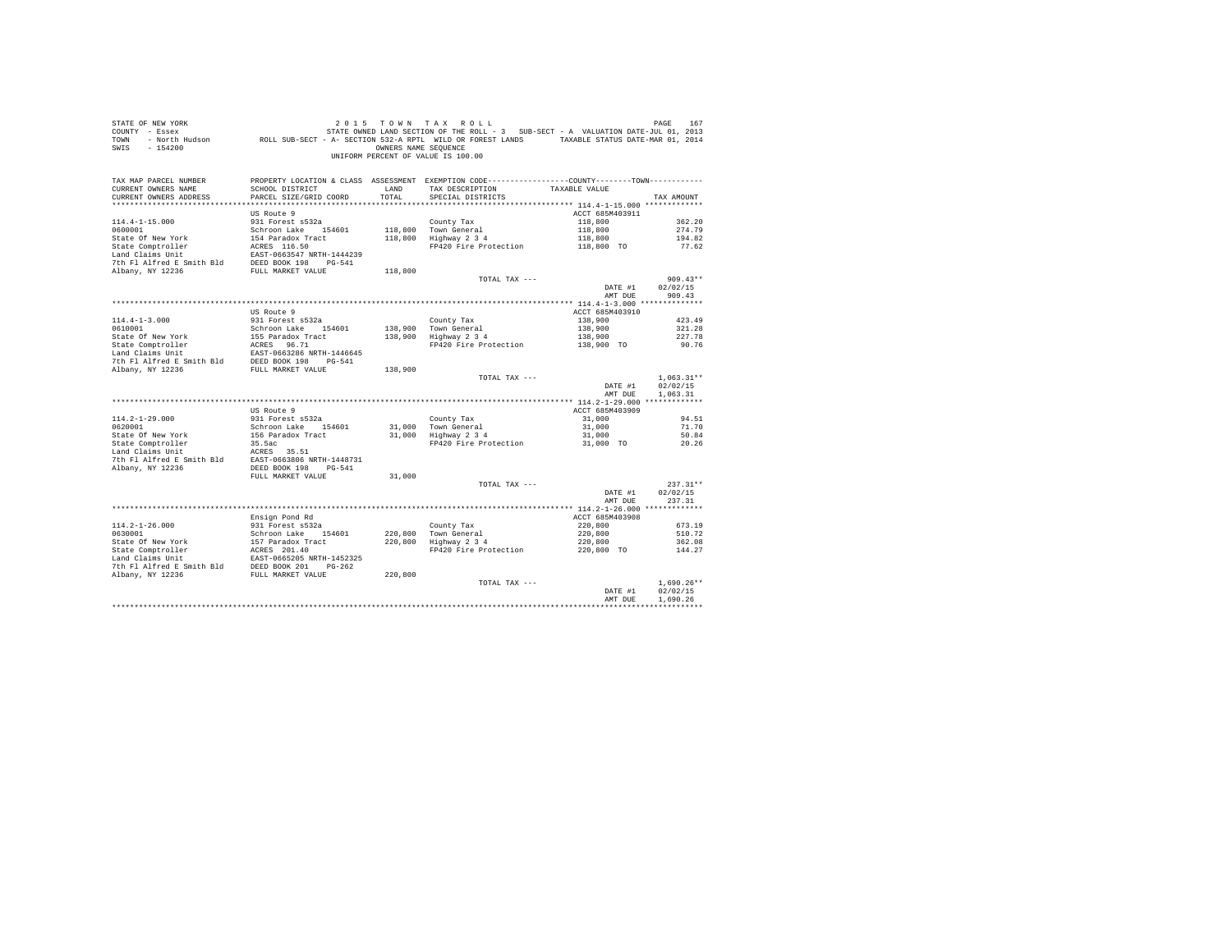| STATE OF NEW YORK<br>COUNTY - Essex<br>TOWN<br>SWIS - 154200                                                                                                                                                                                   |                                           | OWNERS NAME SEQUENCE | 2015 TOWN TAX ROLL<br>167 DE REM 107 DREE 167 DREE 167 DREE 167 DE REM 167 DREE 167 DREE 167 DREE 167 STATE-JULO 168 DREE 167 STATE<br>- Essex STATE STATE ON STATE ON STATE ON STATE ON THE ROLL SOLUTION ON THE SECT LARING AND SOLUTION ON THE STA<br><br>UNIFORM PERCENT OF VALUE IS 100.00 |                 |                        |
|------------------------------------------------------------------------------------------------------------------------------------------------------------------------------------------------------------------------------------------------|-------------------------------------------|----------------------|-------------------------------------------------------------------------------------------------------------------------------------------------------------------------------------------------------------------------------------------------------------------------------------------------|-----------------|------------------------|
| TAX MAP PARCEL NUMBER                                                                                                                                                                                                                          |                                           |                      | PROPERTY LOCATION & CLASS ASSESSMENT EXEMPTION CODE----------------COUNTY-------TOWN----------                                                                                                                                                                                                  |                 |                        |
| CURRENT OWNERS NAME<br>CURRENT OWNERS ADDRESS                                                                                                                                                                                                  | SCHOOL DISTRICT<br>PARCEL SIZE/GRID COORD | LAND<br>TOTAL        | TAX DESCRIPTION<br>SPECIAL DISTRICTS                                                                                                                                                                                                                                                            | TAXABLE VALUE   | TAX AMOUNT             |
|                                                                                                                                                                                                                                                |                                           |                      |                                                                                                                                                                                                                                                                                                 |                 |                        |
|                                                                                                                                                                                                                                                | US Route 9                                |                      |                                                                                                                                                                                                                                                                                                 | ACCT 685M403911 |                        |
| $114.4 - 1 - 15.000$                                                                                                                                                                                                                           | 931 Forest s532a                          |                      | County Tax                                                                                                                                                                                                                                                                                      | 118,800         | 362.20                 |
| 0600001                                                                                                                                                                                                                                        | Schroon Lake 154601                       |                      |                                                                                                                                                                                                                                                                                                 | 118,800         | 274.79                 |
| State Of New York                                                                                                                                                                                                                              | 154 Paradox Tract                         |                      | 118,800 Town General<br>118,800 Highway 2 3 4                                                                                                                                                                                                                                                   | 118,800         | 194.82                 |
| State Comptroller                                                                                                                                                                                                                              | ACRES 116.50                              |                      | FP420 Fire Protection                                                                                                                                                                                                                                                                           | 118,800 TO      | 77.62                  |
| Land Claims Unit                                                                                                                                                                                                                               | EAST-0663547 NRTH-1444239                 |                      |                                                                                                                                                                                                                                                                                                 |                 |                        |
| 7th Fl Alfred E Smith Bld                                                                                                                                                                                                                      | DEED BOOK 198 PG-541                      |                      |                                                                                                                                                                                                                                                                                                 |                 |                        |
| Albany, NY 12236                                                                                                                                                                                                                               | FULL MARKET VALUE                         | 118,800              |                                                                                                                                                                                                                                                                                                 |                 |                        |
|                                                                                                                                                                                                                                                |                                           |                      | TOTAL TAX ---                                                                                                                                                                                                                                                                                   |                 | $909.43**$             |
|                                                                                                                                                                                                                                                |                                           |                      |                                                                                                                                                                                                                                                                                                 | DATE #1         | 02/02/15               |
|                                                                                                                                                                                                                                                |                                           |                      |                                                                                                                                                                                                                                                                                                 | AMT DUE         | 909.43                 |
|                                                                                                                                                                                                                                                | US Route 9                                |                      |                                                                                                                                                                                                                                                                                                 | ACCT 685M403910 |                        |
| $114.4 - 1 - 3.000$                                                                                                                                                                                                                            | 931 Forest s532a                          |                      | County Tax                                                                                                                                                                                                                                                                                      | 138,900         | 423.49                 |
| 0610001                                                                                                                                                                                                                                        | Schroon Lake 154601                       | 138,900              |                                                                                                                                                                                                                                                                                                 | 138,900         | 321.28                 |
|                                                                                                                                                                                                                                                |                                           | 138,900              | Town General<br>Highway 2 3 4                                                                                                                                                                                                                                                                   | 138,900         | 227.78                 |
|                                                                                                                                                                                                                                                |                                           |                      | FP420 Fire Protection                                                                                                                                                                                                                                                                           | 138,900 TO      | 90.76                  |
|                                                                                                                                                                                                                                                |                                           |                      |                                                                                                                                                                                                                                                                                                 |                 |                        |
| State of New York 155 Paradox Tract<br>State Comptroller RCRES 96.71<br>In ACRES 96.71<br>Land Claims Unit<br>The Platfred E Smith Bld DEED BOOK 198<br>PLATFR PLATFR 2018<br>2018 PLATFR PLATFR 2018<br>2018 PLATFR PLATFR 2018<br>2018 PLATF |                                           |                      |                                                                                                                                                                                                                                                                                                 |                 |                        |
| Albany, NY 12236                                                                                                                                                                                                                               | FULL MARKET VALUE                         | 138,900              |                                                                                                                                                                                                                                                                                                 |                 |                        |
|                                                                                                                                                                                                                                                |                                           |                      | TOTAL TAX ---                                                                                                                                                                                                                                                                                   |                 | $1,063.31**$           |
|                                                                                                                                                                                                                                                |                                           |                      |                                                                                                                                                                                                                                                                                                 | DATE #1         | 02/02/15               |
|                                                                                                                                                                                                                                                |                                           |                      |                                                                                                                                                                                                                                                                                                 | AMT DUE         | 1,063.31               |
|                                                                                                                                                                                                                                                | US Route 9                                |                      |                                                                                                                                                                                                                                                                                                 | ACCT 685M403909 |                        |
| $114.2 - 1 - 29.000$                                                                                                                                                                                                                           | 931 Forest s532a                          |                      | County Tax                                                                                                                                                                                                                                                                                      | 31,000          | 94.51                  |
| 0620001                                                                                                                                                                                                                                        | Schroon Lake 154601                       |                      |                                                                                                                                                                                                                                                                                                 | 31,000          | 71.70                  |
| State Of New York                                                                                                                                                                                                                              | 156 Paradox Tract                         |                      | 31,000 Town General<br>31,000 Highway 2 3 4                                                                                                                                                                                                                                                     | 31,000          | 50.84                  |
| State Comptroller                                                                                                                                                                                                                              | 35.5ac                                    |                      | FP420 Fire Protection                                                                                                                                                                                                                                                                           | 31,000 TO       | 20.26                  |
| Land Claims Unit<br>The RESS 35.51<br>The F1 Alfred E Smith Bld EAST-0663806 NRTH-1448731                                                                                                                                                      |                                           |                      |                                                                                                                                                                                                                                                                                                 |                 |                        |
|                                                                                                                                                                                                                                                |                                           |                      |                                                                                                                                                                                                                                                                                                 |                 |                        |
| Albany, NY 12236                                                                                                                                                                                                                               | DEED BOOK 198 PG-541                      |                      |                                                                                                                                                                                                                                                                                                 |                 |                        |
|                                                                                                                                                                                                                                                | FULL MARKET VALUE                         | 31,000               |                                                                                                                                                                                                                                                                                                 |                 |                        |
|                                                                                                                                                                                                                                                |                                           |                      | TOTAL TAX ---                                                                                                                                                                                                                                                                                   | DATE #1         | $237.31**$<br>02/02/15 |
|                                                                                                                                                                                                                                                |                                           |                      |                                                                                                                                                                                                                                                                                                 | AMT DUR         | 237.31                 |
|                                                                                                                                                                                                                                                |                                           |                      |                                                                                                                                                                                                                                                                                                 |                 |                        |
|                                                                                                                                                                                                                                                | Ensign Pond Rd                            |                      |                                                                                                                                                                                                                                                                                                 | ACCT 685M403908 |                        |
| $114.2 - 1 - 26.000$                                                                                                                                                                                                                           | 931 Forest s532a                          |                      | County Tax                                                                                                                                                                                                                                                                                      | 220,800         | 673.19                 |
| 0630001                                                                                                                                                                                                                                        | Schroon Lake 154601                       | 220,800              |                                                                                                                                                                                                                                                                                                 | 220,800         | 510.72                 |
| State Of New York 157 Paradox Tract<br>State Comptroller ACRES 201.40<br>Land Claims Unit EAST-0665205 NRTH-1452325                                                                                                                            |                                           | 220,800              | Town General<br>Highway 2 3 4                                                                                                                                                                                                                                                                   | 220,800         | 362.08                 |
|                                                                                                                                                                                                                                                |                                           |                      | FP420 Fire Protection                                                                                                                                                                                                                                                                           | 220,800 TO      | 144.27                 |
|                                                                                                                                                                                                                                                |                                           |                      |                                                                                                                                                                                                                                                                                                 |                 |                        |
| The Platfred E Smith Bld BEED BOOK 201 PG-262<br>Albany, NY 12236 FULL MARKET VALUE                                                                                                                                                            |                                           |                      |                                                                                                                                                                                                                                                                                                 |                 |                        |
|                                                                                                                                                                                                                                                |                                           | 220,800              |                                                                                                                                                                                                                                                                                                 |                 | $1.690.26**$           |
|                                                                                                                                                                                                                                                |                                           |                      | TOTAL TAX ---                                                                                                                                                                                                                                                                                   | DATE #1         | 02/02/15               |
|                                                                                                                                                                                                                                                |                                           |                      |                                                                                                                                                                                                                                                                                                 | AMT DUE         | 1,690.26               |
|                                                                                                                                                                                                                                                |                                           |                      |                                                                                                                                                                                                                                                                                                 |                 |                        |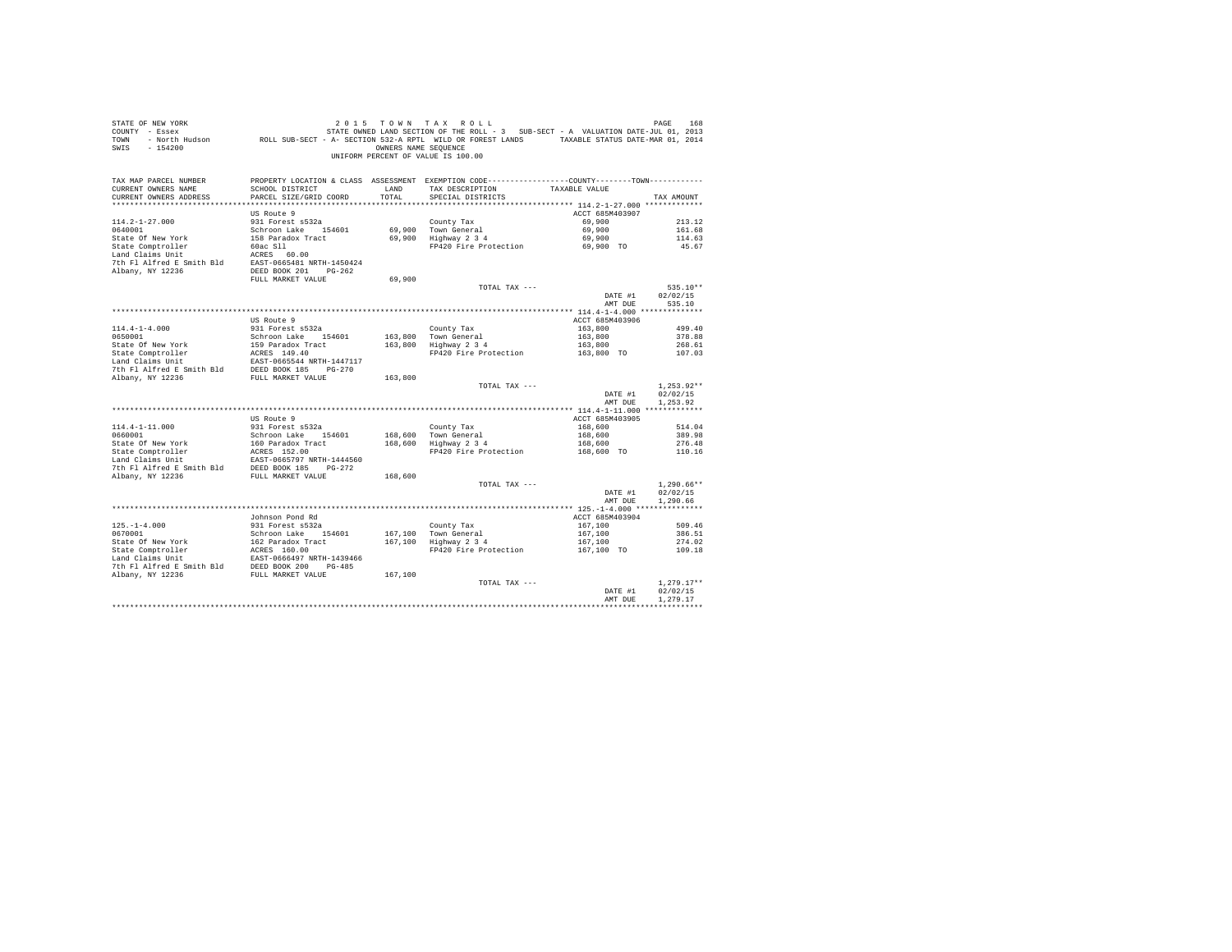| STATE OF NEW YORK WORK WORK AND A STATE OF A STATE OF A MAIN SECTION THE SECTION OF THE SOLL TO A VALUATION DATE-JUL 01.2013<br>COUNTY - Besch Hudson (SUB-SECT - A - SECTION 532-A RPTL WILL OR FOREST LANDS (TAXABLE STATUS DA<br>SWIS - 154200 |                                |         | OWNERS NAME SEQUENCE<br>UNIFORM PERCENT OF VALUE IS 100.00                                                                    |                                  |                  |
|---------------------------------------------------------------------------------------------------------------------------------------------------------------------------------------------------------------------------------------------------|--------------------------------|---------|-------------------------------------------------------------------------------------------------------------------------------|----------------------------------|------------------|
| TAX MAP PARCEL NUMBER<br>CURRENT OWNERS NAME                                                                                                                                                                                                      | SCHOOL DISTRICT                | LAND    | PROPERTY LOCATION & CLASS ASSESSMENT EXEMPTION CODE---------------COUNTY-------TOWN---------<br>TAX DESCRIPTION TAXABLE VALUE |                                  |                  |
| CURRENT OWNERS ADDRESS                                                                                                                                                                                                                            | PARCEL SIZE/GRID COORD         | TOTAL   | SPECIAL DISTRICTS                                                                                                             |                                  | TAX AMOUNT       |
|                                                                                                                                                                                                                                                   |                                |         |                                                                                                                               |                                  |                  |
|                                                                                                                                                                                                                                                   | US Route 9                     |         |                                                                                                                               | ACCT 685M403907                  |                  |
| $114.2 - 1 - 27.000$<br>0640001                                                                                                                                                                                                                   | 931 Forest s532a               |         | County Tax<br>69,900 Town General<br>69,900 Highway 2 3 4                                                                     | 69,900                           | 213.12           |
|                                                                                                                                                                                                                                                   | Schroon Lake 154601            |         |                                                                                                                               | 69,900                           | 161.68           |
|                                                                                                                                                                                                                                                   |                                |         |                                                                                                                               | 69,900                           | 114.63           |
| 0010011<br>State Of New York<br>State Comptroller (158 Paradox Tract<br>158 Paradox Tract<br>160ac S11<br>Land Claims Unit (160 PC)<br>7th F1 Alfred E Smith Bld<br>2687-0665481 NRTH-1450424                                                     |                                |         | FP420 Fire Protection 69,900 TO                                                                                               |                                  | 45.67            |
|                                                                                                                                                                                                                                                   |                                |         |                                                                                                                               |                                  |                  |
| Albany, NY 12236                                                                                                                                                                                                                                  |                                |         |                                                                                                                               |                                  |                  |
|                                                                                                                                                                                                                                                   | FULL MARKET VALUE              | 69,900  |                                                                                                                               |                                  |                  |
|                                                                                                                                                                                                                                                   |                                |         | TOTAL TAX ---                                                                                                                 |                                  | 535.10**         |
|                                                                                                                                                                                                                                                   |                                |         |                                                                                                                               | DATE #1                          | 02/02/15         |
|                                                                                                                                                                                                                                                   |                                |         |                                                                                                                               | AMT DUE                          | 535.10           |
|                                                                                                                                                                                                                                                   |                                |         |                                                                                                                               |                                  |                  |
|                                                                                                                                                                                                                                                   | US Route 9<br>931 Forest s532a |         |                                                                                                                               | ACCT 685M403906                  |                  |
| $114.4 - 1 - 4.000$<br>0650001                                                                                                                                                                                                                    | Schroon Lake 154601            |         | County Tax<br>163,800 Town General<br>163,800 Highway 2 3 4                                                                   | 163,800                          | 499.40<br>378.88 |
|                                                                                                                                                                                                                                                   |                                |         |                                                                                                                               | 163,800<br>163,800               | 268.61           |
|                                                                                                                                                                                                                                                   |                                |         | FP420 Fire Protection 163,800 TO                                                                                              |                                  | 107.03           |
|                                                                                                                                                                                                                                                   |                                |         |                                                                                                                               |                                  |                  |
| 0000011<br>State Of New York 5159 Paradox Tract<br>State Comptroller 1980021<br>Land Claims Unit 1 EXRS 149.40<br>Land Claims Unit 198002105544 NRTH-1447117<br>7th Fl Alfred E Smith Bld 198ED BOOK 185 190-270                                  |                                |         |                                                                                                                               |                                  |                  |
| Albany, NY 12236                                                                                                                                                                                                                                  | FULL MARKET VALUE              | 163,800 |                                                                                                                               |                                  |                  |
|                                                                                                                                                                                                                                                   |                                |         | TOTAL TAX ---                                                                                                                 |                                  | $1.253.92**$     |
|                                                                                                                                                                                                                                                   |                                |         |                                                                                                                               | DATE #1                          | 02/02/15         |
|                                                                                                                                                                                                                                                   |                                |         |                                                                                                                               | AMT DUE                          | 1.253.92         |
|                                                                                                                                                                                                                                                   | US Route 9                     |         |                                                                                                                               | ACCT 685M403905                  |                  |
|                                                                                                                                                                                                                                                   |                                |         |                                                                                                                               |                                  | 514.04           |
|                                                                                                                                                                                                                                                   |                                |         |                                                                                                                               | $168,600$<br>$168,600$           | 389.98           |
|                                                                                                                                                                                                                                                   |                                |         | County Tax<br>168,600 Town General<br>168,600 Highway 2 3 4                                                                   | 168,600                          | 276.48           |
|                                                                                                                                                                                                                                                   |                                |         | FP420 Fire Protection                                                                                                         | 168,600 TO                       | 110.16           |
|                                                                                                                                                                                                                                                   |                                |         |                                                                                                                               |                                  |                  |
|                                                                                                                                                                                                                                                   |                                |         |                                                                                                                               |                                  |                  |
| Albany, NY 12236                                                                                                                                                                                                                                  |                                | 168,600 | TOTAL TAX ---                                                                                                                 |                                  | $1.290.66**$     |
|                                                                                                                                                                                                                                                   |                                |         |                                                                                                                               | DATE #1                          | 02/02/15         |
|                                                                                                                                                                                                                                                   |                                |         |                                                                                                                               | AMT DUE                          | 1,290.66         |
|                                                                                                                                                                                                                                                   |                                |         |                                                                                                                               |                                  |                  |
|                                                                                                                                                                                                                                                   | Johnson Pond Rd                |         |                                                                                                                               | ACCT 685M403904                  |                  |
| $125 - 1 - 4.000$                                                                                                                                                                                                                                 | 931 Forest s532a               |         |                                                                                                                               | 167, 100                         | 509.46           |
| 0670001                                                                                                                                                                                                                                           | Schroon Lake 154601            |         | County Tax<br>167,100 Town General<br>167,100 Highway 2 3 4                                                                   | 167,100<br>167,100<br>167,100 TO | 386.51           |
|                                                                                                                                                                                                                                                   |                                |         | FP420 Fire Protection                                                                                                         |                                  | 274.02<br>109.18 |
|                                                                                                                                                                                                                                                   |                                |         |                                                                                                                               |                                  |                  |
|                                                                                                                                                                                                                                                   |                                |         |                                                                                                                               |                                  |                  |
| State Of New York 162 Paradox Tract 167,100<br>State Comptroller ACRS 160.00<br>Land Claims Unit<br>Land Claims Unit RERS 160.00<br>The Fl Alfred E Smith Bld DEED BOOK 200 PG-485<br>TULL MARKET VALUE 167,100<br>267,100<br>267,100<br>27,10    |                                |         |                                                                                                                               |                                  |                  |
|                                                                                                                                                                                                                                                   |                                |         | TOTAL TAX ---                                                                                                                 |                                  | $1.279.17**$     |
|                                                                                                                                                                                                                                                   |                                |         |                                                                                                                               | DATE #1                          | 02/02/15         |
|                                                                                                                                                                                                                                                   |                                |         |                                                                                                                               | AMT DUE                          | 1,279.17         |
|                                                                                                                                                                                                                                                   |                                |         |                                                                                                                               | ******************************** |                  |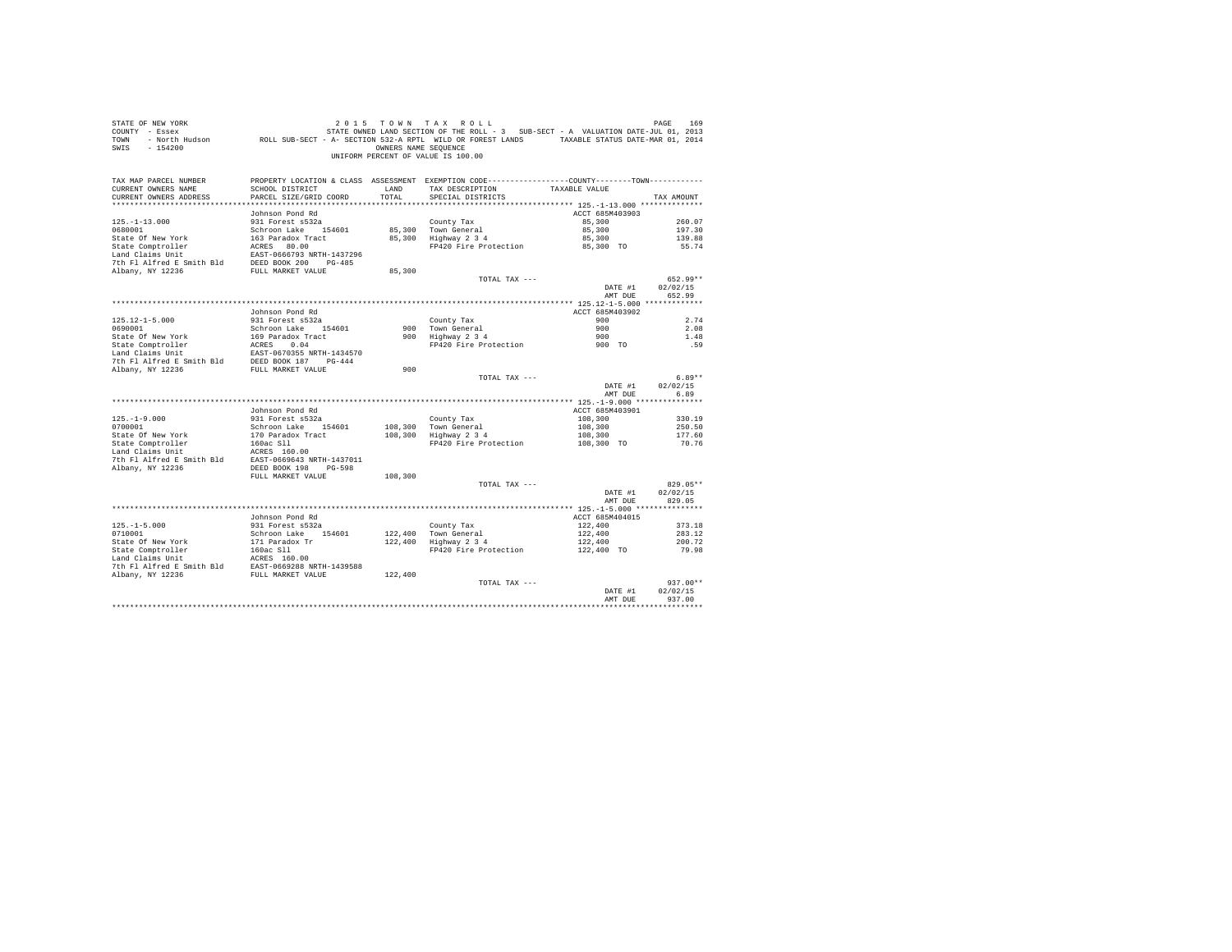| STATE OF NEW YORK<br>COUNTY - Essex<br>TOWN<br>SWIS - 154200                                                                                  |                                                                  | OWNERS NAME SEQUENCE | 2015 TOWN TAX ROLL<br>7 - Essex (101, 2013) STATE OWNED LAND SECTION OF THE ROLL - 3 SUB-SECT - A VALUATION DATE-JUL 01, 2013<br>2014 - North Hudson (1, 2014) ROLL SUB-SECT - A- SECTION 532-A RPTL WILD OR FOREST LANDS<br>UNIFORM PERCENT OF VALUE IS 100.00 |                       | PAGE<br>169        |
|-----------------------------------------------------------------------------------------------------------------------------------------------|------------------------------------------------------------------|----------------------|-----------------------------------------------------------------------------------------------------------------------------------------------------------------------------------------------------------------------------------------------------------------|-----------------------|--------------------|
| TAX MAP PARCEL NUMBER<br>CURRENT OWNERS NAME                                                                                                  | SCHOOL DISTRICT                                                  | LAND                 | PROPERTY LOCATION & CLASS ASSESSMENT EXEMPTION CODE----------------COUNTY--------TOWN----------<br>TAX DESCRIPTION                                                                                                                                              | TAXABLE VALUE         |                    |
| CURRENT OWNERS ADDRESS                                                                                                                        | PARCEL SIZE/GRID COORD                                           | TOTAL                | SPECIAL DISTRICTS                                                                                                                                                                                                                                               |                       | TAX AMOUNT         |
|                                                                                                                                               | Johnson Pond Rd                                                  |                      |                                                                                                                                                                                                                                                                 | ACCT 685M403903       |                    |
| $125. - 1 - 13.000$                                                                                                                           | 931 Forest s532a                                                 |                      | County Tax                                                                                                                                                                                                                                                      | 85,300                | 260.07             |
| 0680001                                                                                                                                       | Schroon Lake 154601                                              |                      |                                                                                                                                                                                                                                                                 | 85,300                | 197.30             |
| State Of New York                                                                                                                             | 163 Paradox Tract                                                |                      | 85,300 Town General<br>85,300 Highway 2 3 4                                                                                                                                                                                                                     | 85,300                | 139.88             |
| State Comptroller                                                                                                                             |                                                                  |                      | FP420 Fire Protection                                                                                                                                                                                                                                           | 85,300 TO             | 55.74              |
| Land Claims Unit                                                                                                                              | ACRES 80.00<br>EAST-0666793 NRTH-1437296<br>DEED BOOK 200 PG-485 |                      |                                                                                                                                                                                                                                                                 |                       |                    |
| 7th Fl Alfred E Smith Bld                                                                                                                     |                                                                  |                      |                                                                                                                                                                                                                                                                 |                       |                    |
| Albany, NY 12236                                                                                                                              | FULL MARKET VALUE                                                | 85,300               |                                                                                                                                                                                                                                                                 |                       |                    |
|                                                                                                                                               |                                                                  |                      | TOTAL TAX ---                                                                                                                                                                                                                                                   |                       | 652.99**           |
|                                                                                                                                               |                                                                  |                      |                                                                                                                                                                                                                                                                 | DATE #1<br>AMT DUE    | 02/02/15<br>652.99 |
|                                                                                                                                               |                                                                  |                      |                                                                                                                                                                                                                                                                 |                       |                    |
|                                                                                                                                               | Johnson Pond Rd                                                  |                      |                                                                                                                                                                                                                                                                 | ACCT 685M403902       |                    |
| $125.12 - 1 - 5.000$                                                                                                                          | 931 Forest s532a                                                 |                      | County Tax                                                                                                                                                                                                                                                      | 900                   | 2.74               |
| 0690001                                                                                                                                       | Schroon Lake 154601                                              |                      |                                                                                                                                                                                                                                                                 | 900                   | 2.08               |
|                                                                                                                                               |                                                                  |                      | 900 Town General<br>900 Highway 2 3 4                                                                                                                                                                                                                           | 900                   | 1.48               |
|                                                                                                                                               |                                                                  |                      | FP420 Fire Protection                                                                                                                                                                                                                                           | $900$ TO              | .59                |
|                                                                                                                                               |                                                                  |                      |                                                                                                                                                                                                                                                                 |                       |                    |
| Albany, NY 12236                                                                                                                              | FULL MARKET VALUE                                                | 900                  |                                                                                                                                                                                                                                                                 |                       |                    |
|                                                                                                                                               |                                                                  |                      | TOTAL TAX ---                                                                                                                                                                                                                                                   |                       | $6.89**$           |
|                                                                                                                                               |                                                                  |                      |                                                                                                                                                                                                                                                                 | DATE #1               | 02/02/15           |
|                                                                                                                                               |                                                                  |                      |                                                                                                                                                                                                                                                                 | AMT DUE               | 6.89               |
|                                                                                                                                               |                                                                  |                      |                                                                                                                                                                                                                                                                 |                       |                    |
|                                                                                                                                               | Johnson Pond Rd                                                  |                      |                                                                                                                                                                                                                                                                 | ACCT 685M403901       |                    |
| $125. - 1 - 9.000$                                                                                                                            | 931 Forest s532a                                                 |                      | County Tax                                                                                                                                                                                                                                                      | 108,300               | 330.19             |
| 0700001                                                                                                                                       | Schroon Lake 154601                                              |                      | 108,300 Town General<br>108,300 Highway 2 3 4                                                                                                                                                                                                                   | 108,300               | 250.50             |
| State Of New York                                                                                                                             | 170 Paradox Tract                                                |                      | FP420 Fire Protection                                                                                                                                                                                                                                           | 108,300<br>108,300 TO | 177.60<br>70.76    |
|                                                                                                                                               |                                                                  |                      |                                                                                                                                                                                                                                                                 |                       |                    |
|                                                                                                                                               |                                                                  |                      |                                                                                                                                                                                                                                                                 |                       |                    |
| Albany, NY 12236                                                                                                                              | DEED BOOK 198 PG-598                                             |                      |                                                                                                                                                                                                                                                                 |                       |                    |
|                                                                                                                                               | FULL MARKET VALUE                                                | 108,300              |                                                                                                                                                                                                                                                                 |                       |                    |
|                                                                                                                                               |                                                                  |                      | TOTAL TAX ---                                                                                                                                                                                                                                                   |                       | 829.05**           |
|                                                                                                                                               |                                                                  |                      |                                                                                                                                                                                                                                                                 | DATE #1<br>AMT DUE    | 02/02/15<br>829.05 |
|                                                                                                                                               |                                                                  |                      |                                                                                                                                                                                                                                                                 |                       |                    |
|                                                                                                                                               | Johnson Pond Rd                                                  |                      |                                                                                                                                                                                                                                                                 | ACCT 685M404015       |                    |
| $125. -1 - 5.000$                                                                                                                             | 931 Forest s532a                                                 |                      | County Tax                                                                                                                                                                                                                                                      | 122,400               | 373.18             |
| 0710001                                                                                                                                       | Schroon Lake 154601                                              |                      |                                                                                                                                                                                                                                                                 | 122,400               | 283.12             |
| State Of New York                                                                                                                             | 171 Paradox Tr                                                   |                      | County Tax<br>122,400 Town General<br>122,400 Highway 2 3 4                                                                                                                                                                                                     | 122,400               | 200.72             |
|                                                                                                                                               |                                                                  |                      | FP420 Fire Protection                                                                                                                                                                                                                                           | 122,400 TO            | 79.98              |
|                                                                                                                                               |                                                                  |                      |                                                                                                                                                                                                                                                                 |                       |                    |
| State Comptroller 160ac S11<br>Land Claims Unit 160ac S11<br>160ac S11<br>20208 NRTH-1439588<br>21 Albany, NY 12236<br>2236 FULL MARKET VALUE |                                                                  |                      |                                                                                                                                                                                                                                                                 |                       |                    |
|                                                                                                                                               |                                                                  | 122,400              |                                                                                                                                                                                                                                                                 |                       | $937.00**$         |
|                                                                                                                                               |                                                                  |                      | TOTAL TAX ---                                                                                                                                                                                                                                                   | DATE #1               | 02/02/15           |
|                                                                                                                                               |                                                                  |                      |                                                                                                                                                                                                                                                                 | AMT DUE               | 937.00             |
|                                                                                                                                               |                                                                  |                      |                                                                                                                                                                                                                                                                 |                       |                    |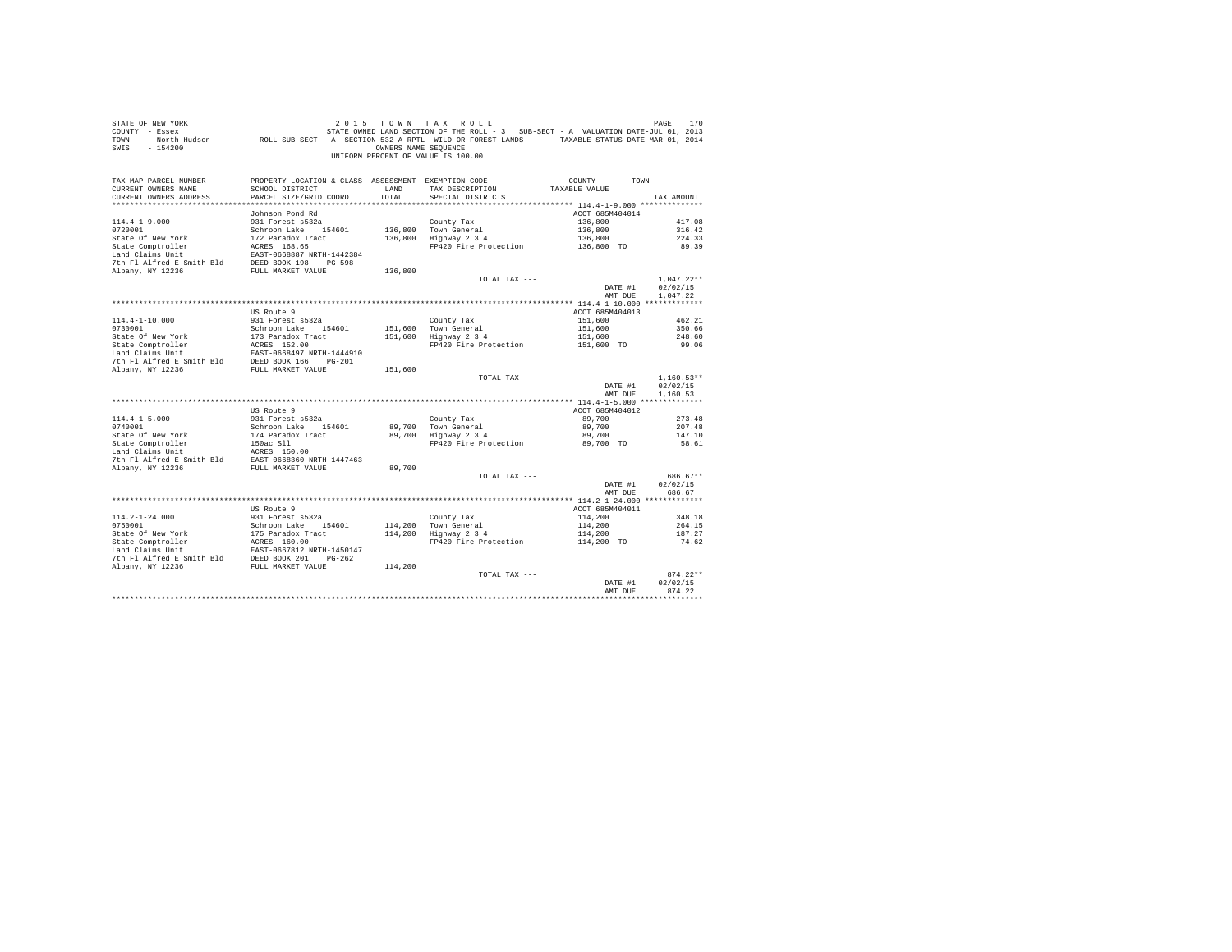| STATE OF NEW YORK<br>COUNTY - Essex<br>TOWN<br>$-154200$<br>SWIS                                                                                                                                                                                                                                      |                                                      | OWNERS NAME SEOUENCE | 2015 TOWN TAX ROLL<br>יר אחת ועת האות בית אחת את בית אחת המבנים של המשלב בית האות בית האות האות ב-1988.<br>2013 - Essex Mars-JUL 01, 2013 - STATE OWNED LAND SECTION OF THE ROLL - 3 SUB-SECT - A VALUATION DATE<br>- North Hudson - ROLL SUB-SECT - A- S<br>UNIFORM PERCENT OF VALUE IS 100.00 |                       | PAGE<br>170          |
|-------------------------------------------------------------------------------------------------------------------------------------------------------------------------------------------------------------------------------------------------------------------------------------------------------|------------------------------------------------------|----------------------|-------------------------------------------------------------------------------------------------------------------------------------------------------------------------------------------------------------------------------------------------------------------------------------------------|-----------------------|----------------------|
| TAX MAP PARCEL NUMBER<br>CURRENT OWNERS NAME<br>CURRENT OWNERS ADDRESS                                                                                                                                                                                                                                | SCHOOL DISTRICT<br>PARCEL SIZE/GRID COORD            | LAND<br>TOTAL        | PROPERTY LOCATION & CLASS ASSESSMENT EXEMPTION CODE----------------COUNTY-------TOWN----------<br>TAX DESCRIPTION TAXABLE VALUE<br>SPECIAL DISTRICTS                                                                                                                                            |                       | TAX AMOUNT           |
|                                                                                                                                                                                                                                                                                                       |                                                      |                      |                                                                                                                                                                                                                                                                                                 |                       |                      |
|                                                                                                                                                                                                                                                                                                       | Johnson Pond Rd                                      |                      |                                                                                                                                                                                                                                                                                                 | ACCT 685M404014       |                      |
| $114.4 - 1 - 9.000$                                                                                                                                                                                                                                                                                   | 931 Forest s532a                                     |                      | County Tax                                                                                                                                                                                                                                                                                      | 136,800               | 417.08               |
| 0720001<br>State Of New York                                                                                                                                                                                                                                                                          | Schroon Lake 154601                                  |                      | 136,800 Town General<br>136,800 Highway 2 3 4                                                                                                                                                                                                                                                   | 136,800               | 316.42               |
| State Comptroller                                                                                                                                                                                                                                                                                     | 172 Paradox Tract                                    |                      | FP420 Fire Protection                                                                                                                                                                                                                                                                           | 136,800<br>136,800 TO | 224.33<br>89.39      |
| Land Claims Unit                                                                                                                                                                                                                                                                                      | ACRES 168.65<br>EAST-0668887 NRTH-1442384            |                      |                                                                                                                                                                                                                                                                                                 |                       |                      |
| 7th Fl Alfred E Smith Bld DEED BOOK 198 PG-598                                                                                                                                                                                                                                                        |                                                      |                      |                                                                                                                                                                                                                                                                                                 |                       |                      |
| Albany, NY 12236                                                                                                                                                                                                                                                                                      | FULL MARKET VALUE                                    | 136,800              |                                                                                                                                                                                                                                                                                                 |                       |                      |
|                                                                                                                                                                                                                                                                                                       |                                                      |                      | TOTAL TAX ---                                                                                                                                                                                                                                                                                   |                       | $1,047.22**$         |
|                                                                                                                                                                                                                                                                                                       |                                                      |                      |                                                                                                                                                                                                                                                                                                 | DATE #1               | 02/02/15             |
|                                                                                                                                                                                                                                                                                                       |                                                      |                      |                                                                                                                                                                                                                                                                                                 | AMT DUE               | 1,047.22             |
|                                                                                                                                                                                                                                                                                                       |                                                      |                      |                                                                                                                                                                                                                                                                                                 |                       |                      |
|                                                                                                                                                                                                                                                                                                       | US Route 9                                           |                      |                                                                                                                                                                                                                                                                                                 | ACCT 685M404013       |                      |
| $114.4 - 1 - 10.000$                                                                                                                                                                                                                                                                                  | 931 Forest s532a                                     |                      | County Tax                                                                                                                                                                                                                                                                                      | 151,600               | 462.21               |
| 0730001                                                                                                                                                                                                                                                                                               | Schroon Lake 154601                                  |                      | 151,600 Town General<br>151,600 Highway 2 3 4                                                                                                                                                                                                                                                   | 151,600               | 350.66               |
| State Of New York                                                                                                                                                                                                                                                                                     | 173 Paradox Tract<br>173 Paradox Tr.<br>ACRES 152.00 |                      | FP420 Fire Protection 151,600 TO                                                                                                                                                                                                                                                                | 151,600               | 248.60<br>99.06      |
| State Comptroller<br>Land Claims Unit                                                                                                                                                                                                                                                                 |                                                      |                      |                                                                                                                                                                                                                                                                                                 |                       |                      |
|                                                                                                                                                                                                                                                                                                       |                                                      |                      |                                                                                                                                                                                                                                                                                                 |                       |                      |
| Land Claims Unit FAST-0668497 NRTH-1444910<br>7th Fl Alfred E Smith Bld DEED BOOK 166 PG-201<br>Albany, NY 12236                                                                                                                                                                                      |                                                      | 151,600              |                                                                                                                                                                                                                                                                                                 |                       |                      |
|                                                                                                                                                                                                                                                                                                       |                                                      |                      | TOTAL TAX ---                                                                                                                                                                                                                                                                                   |                       | $1,160.53**$         |
|                                                                                                                                                                                                                                                                                                       |                                                      |                      |                                                                                                                                                                                                                                                                                                 | DATE #1<br>AMT DUE    | 02/02/15<br>1,160.53 |
|                                                                                                                                                                                                                                                                                                       |                                                      |                      |                                                                                                                                                                                                                                                                                                 |                       |                      |
|                                                                                                                                                                                                                                                                                                       | US Route 9                                           |                      |                                                                                                                                                                                                                                                                                                 | ACCT 685M404012       |                      |
| $114.4 - 1 - 5.000$                                                                                                                                                                                                                                                                                   | 931 Forest s532a                                     |                      | County Tax                                                                                                                                                                                                                                                                                      | 89,700                | 273.48               |
| 0740001                                                                                                                                                                                                                                                                                               | Schroon Lake 154601                                  |                      | 89.700 Town General<br>89,700 Highway 2 3 4                                                                                                                                                                                                                                                     | 89,700                | 207.48               |
|                                                                                                                                                                                                                                                                                                       |                                                      |                      | FP420 Fire Protection                                                                                                                                                                                                                                                                           | 89,700<br>89,700 TO   | 147.10<br>58.61      |
| 0740001<br>State Of New York<br>State Comptroller<br>State Of New York<br>174 Paradox Tract<br>150ac Sil Paradox Tract<br>150ac Sil Paradox Tract<br>174 Paradox Tract<br>174 Paradox Tract<br>174 Paradox New AREES 150.00<br>2017<br>2017 Paradox New AREES 150.00<br>2017 Paradox New AREES 150.00 |                                                      |                      |                                                                                                                                                                                                                                                                                                 |                       |                      |
|                                                                                                                                                                                                                                                                                                       |                                                      |                      |                                                                                                                                                                                                                                                                                                 |                       |                      |
| Albany, NY 12236                                                                                                                                                                                                                                                                                      | FULL MARKET VALUE                                    | 89,700               |                                                                                                                                                                                                                                                                                                 |                       |                      |
|                                                                                                                                                                                                                                                                                                       |                                                      |                      | TOTAL TAX ---                                                                                                                                                                                                                                                                                   |                       | 686.67**             |
|                                                                                                                                                                                                                                                                                                       |                                                      |                      |                                                                                                                                                                                                                                                                                                 | DATE #1               | 02/02/15             |
|                                                                                                                                                                                                                                                                                                       |                                                      |                      |                                                                                                                                                                                                                                                                                                 | AMT DUE               | 686.67               |
|                                                                                                                                                                                                                                                                                                       |                                                      |                      |                                                                                                                                                                                                                                                                                                 |                       |                      |
|                                                                                                                                                                                                                                                                                                       | US Route 9                                           |                      |                                                                                                                                                                                                                                                                                                 | ACCT 685M404011       |                      |
| 114.2-1-24.000                                                                                                                                                                                                                                                                                        | 931 Forest s532a<br>Schroon Lake 154601              |                      | County Tax                                                                                                                                                                                                                                                                                      | 114,200               | 348.18               |
| 0750001                                                                                                                                                                                                                                                                                               |                                                      |                      | 114,200 Town General<br>114,200 Highway 2 3 4                                                                                                                                                                                                                                                   | 114,200<br>114,200    | 264.15               |
|                                                                                                                                                                                                                                                                                                       |                                                      |                      | FP420 Fire Protection                                                                                                                                                                                                                                                                           | $114,200$ TO          | 187.27<br>74.62      |
|                                                                                                                                                                                                                                                                                                       |                                                      |                      |                                                                                                                                                                                                                                                                                                 |                       |                      |
|                                                                                                                                                                                                                                                                                                       |                                                      |                      |                                                                                                                                                                                                                                                                                                 |                       |                      |
|                                                                                                                                                                                                                                                                                                       |                                                      | 114,200              |                                                                                                                                                                                                                                                                                                 |                       |                      |
|                                                                                                                                                                                                                                                                                                       |                                                      |                      | TOTAL TAX ---                                                                                                                                                                                                                                                                                   |                       | $874.22**$           |
|                                                                                                                                                                                                                                                                                                       |                                                      |                      |                                                                                                                                                                                                                                                                                                 | DATE #1               | 02/02/15             |
|                                                                                                                                                                                                                                                                                                       |                                                      |                      |                                                                                                                                                                                                                                                                                                 | AMT DUE               | 874.22               |
|                                                                                                                                                                                                                                                                                                       |                                                      |                      |                                                                                                                                                                                                                                                                                                 |                       |                      |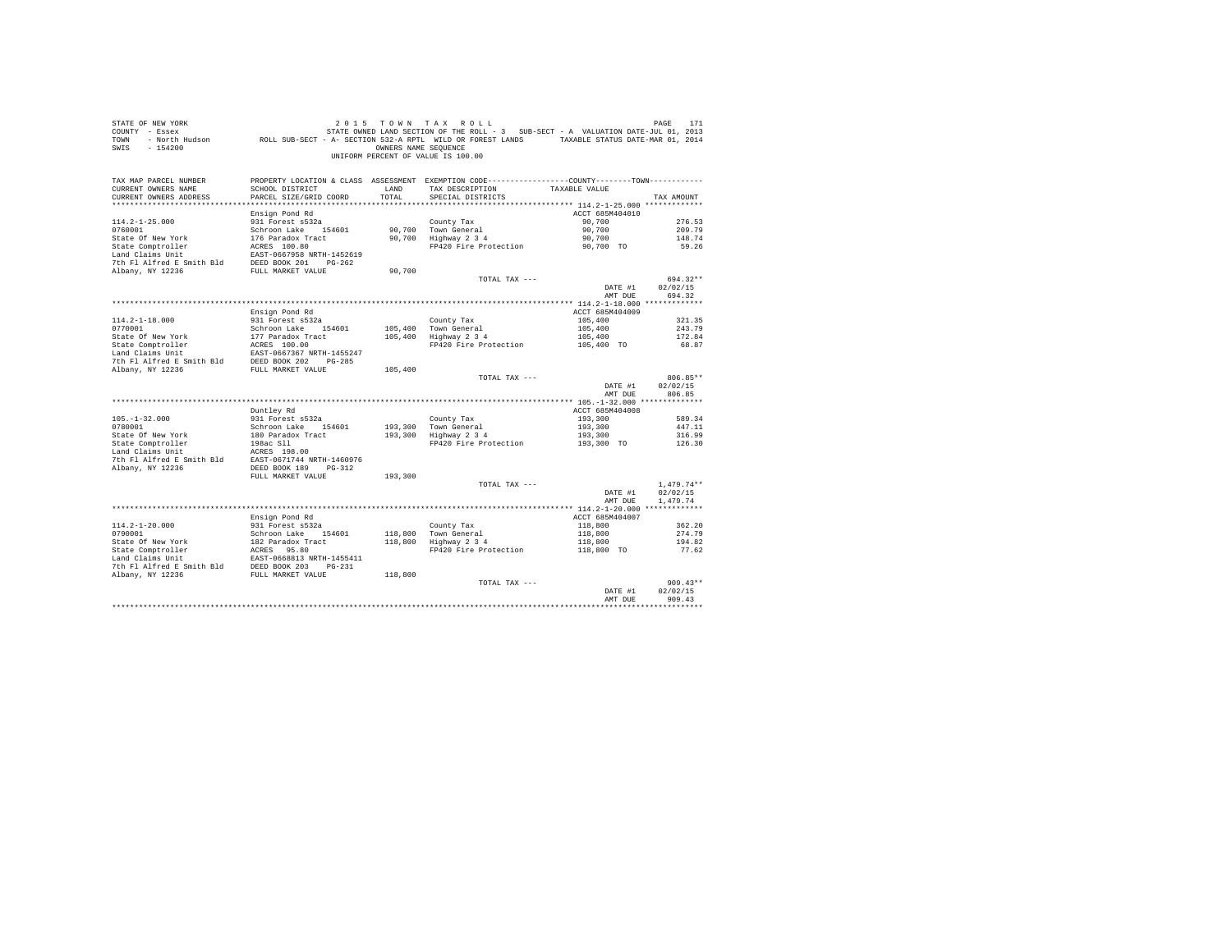| STATE OF NEW YORK<br>2015 70 N TAX ROLL PAGE 171<br>COUNTY - Essex - STATE ONNED LAND SECTION OF THE ROLL - 3 SUB-SECT - A VALUATION DATE-JUL 01, 2013<br>TOWN - North Hudson - ROLL SUB-SECT - A-SECTION 532-A RPTL WILD OR FOREST LANDS - TAXABLE STATU<br>SWIS - 154200 |                                           | OWNERS NAME SEQUENCE | 2015 TOWN TAX ROLL<br>UNIFORM PERCENT OF VALUE IS 100.00                                       |                            | PAGE<br>171              |
|----------------------------------------------------------------------------------------------------------------------------------------------------------------------------------------------------------------------------------------------------------------------------|-------------------------------------------|----------------------|------------------------------------------------------------------------------------------------|----------------------------|--------------------------|
| TAX MAP PARCEL NUMBER                                                                                                                                                                                                                                                      |                                           |                      | PROPERTY LOCATION & CLASS ASSESSMENT EXEMPTION CODE----------------COUNTY-------TOWN---------- |                            |                          |
| CURRENT OWNERS NAME<br>CURRENT OWNERS ADDRESS                                                                                                                                                                                                                              | SCHOOL DISTRICT<br>PARCEL SIZE/GRID COORD | LAND<br>TOTAL        | TAX DESCRIPTION<br>SPECIAL DISTRICTS                                                           | TAXABLE VALUE              | TAX AMOUNT               |
|                                                                                                                                                                                                                                                                            |                                           |                      |                                                                                                |                            |                          |
|                                                                                                                                                                                                                                                                            | Ensign Pond Rd                            |                      |                                                                                                | ACCT 685M404010            |                          |
| $114.2 - 1 - 25.000$                                                                                                                                                                                                                                                       | 931 Forest s532a                          |                      | County Tax                                                                                     | 90,700                     | 276.53                   |
| 0760001                                                                                                                                                                                                                                                                    | Schroon Lake 154601                       |                      | County Tax<br>90,700 Town General<br>90,700 Highway 2 3 4                                      | 90,700                     | 209.79                   |
| State Of New York                                                                                                                                                                                                                                                          | 176 Paradox Tract                         |                      |                                                                                                | 90,700                     | 148.74                   |
| State Comptroller                                                                                                                                                                                                                                                          | ACRES 100.80                              |                      | FP420 Fire Protection                                                                          | 90,700 TO                  | 59.26                    |
| Land Claims Unit                                                                                                                                                                                                                                                           | EAST-0667958 NRTH-1452619                 |                      |                                                                                                |                            |                          |
| 7th Fl Alfred E Smith Bld                                                                                                                                                                                                                                                  | DEED BOOK 201 PG-262                      |                      |                                                                                                |                            |                          |
| Albany, NY 12236                                                                                                                                                                                                                                                           | FULL MARKET VALUE                         | 90,700               | TOTAL TAX ---                                                                                  |                            | 694.32**                 |
|                                                                                                                                                                                                                                                                            |                                           |                      |                                                                                                | DATE #1                    | 02/02/15                 |
|                                                                                                                                                                                                                                                                            |                                           |                      |                                                                                                | AMT DUE                    | 694.32                   |
|                                                                                                                                                                                                                                                                            |                                           |                      |                                                                                                |                            |                          |
|                                                                                                                                                                                                                                                                            | Ensign Pond Rd                            |                      |                                                                                                | ACCT 685M404009            |                          |
| $114.2 - 1 - 18.000$                                                                                                                                                                                                                                                       | 931 Forest s532a                          |                      | County Tax                                                                                     | 105,400                    | 321.35                   |
| 0770001                                                                                                                                                                                                                                                                    | Schroon Lake 154601                       | 105,400              | Town General<br>Highway 2 3 4                                                                  | 105,400                    | 243.79                   |
|                                                                                                                                                                                                                                                                            |                                           | 105,400              |                                                                                                | 105,400                    | 172.84                   |
|                                                                                                                                                                                                                                                                            |                                           |                      | FP420 Fire Protection                                                                          | 105,400 TO                 | 68.87                    |
|                                                                                                                                                                                                                                                                            |                                           |                      |                                                                                                |                            |                          |
|                                                                                                                                                                                                                                                                            |                                           | 105,400              |                                                                                                |                            |                          |
|                                                                                                                                                                                                                                                                            |                                           |                      | TOTAL TAX ---                                                                                  |                            | 806.85**                 |
|                                                                                                                                                                                                                                                                            |                                           |                      |                                                                                                | DATE #1                    | 02/02/15                 |
|                                                                                                                                                                                                                                                                            |                                           |                      |                                                                                                | AMT DUE                    | 806.85                   |
|                                                                                                                                                                                                                                                                            |                                           |                      |                                                                                                |                            |                          |
| $105. - 1 - 32.000$                                                                                                                                                                                                                                                        | Duntley Rd<br>931 Forest s532a            |                      |                                                                                                | ACCT 685M404008<br>193,300 | 589.34                   |
| 0780001                                                                                                                                                                                                                                                                    | Schroon Lake 154601                       |                      | County Tax                                                                                     | 193,300                    | 447.11                   |
|                                                                                                                                                                                                                                                                            |                                           |                      | County Tax<br>193,300   Town General<br>193,300   Highway 2 3 4                                |                            | 316.99                   |
|                                                                                                                                                                                                                                                                            |                                           |                      | FP420 Fire Protection                                                                          | 193,300<br>193,300 TO      | 126.30                   |
|                                                                                                                                                                                                                                                                            |                                           |                      |                                                                                                |                            |                          |
| State Of New York 180 Paradox Tract<br>190 Paradox Tract<br>1986 S11 1986 S11<br>1986 S11 1986 S11<br>1986 S21 1980 MRTH-1460976<br>7th F1 Alfred E Smith Bld<br>EAST-0671744 NRTH-1460976                                                                                 |                                           |                      |                                                                                                |                            |                          |
| Albany, NY 12236                                                                                                                                                                                                                                                           | DEED BOOK 189 PG-312                      |                      |                                                                                                |                            |                          |
|                                                                                                                                                                                                                                                                            | FULL MARKET VALUE                         | 193,300              |                                                                                                |                            |                          |
|                                                                                                                                                                                                                                                                            |                                           |                      | TOTAL TAX ---                                                                                  | DATE #1                    | $1.479.74**$<br>02/02/15 |
|                                                                                                                                                                                                                                                                            |                                           |                      |                                                                                                | AMT DUE                    | 1,479.74                 |
|                                                                                                                                                                                                                                                                            |                                           |                      |                                                                                                |                            |                          |
|                                                                                                                                                                                                                                                                            | Ensign Pond Rd                            |                      |                                                                                                | ACCT 685M404007            |                          |
| $114.2 - 1 - 20.000$                                                                                                                                                                                                                                                       | 931 Forest s532a                          |                      |                                                                                                | 118,800                    | 362.20                   |
| 0790001                                                                                                                                                                                                                                                                    | Schroon Lake 154601                       | 118,800              | County Tax<br>118,800 Town General<br>118,800 Highway 2 3 4                                    | 118,800                    | 274.79                   |
|                                                                                                                                                                                                                                                                            |                                           |                      |                                                                                                | $118,800$<br>$118,800$ TO  | 194.82                   |
|                                                                                                                                                                                                                                                                            |                                           |                      | FP420 Fire Protection                                                                          |                            | 77.62                    |
|                                                                                                                                                                                                                                                                            |                                           |                      |                                                                                                |                            |                          |
|                                                                                                                                                                                                                                                                            |                                           | 118,800              |                                                                                                |                            |                          |
|                                                                                                                                                                                                                                                                            |                                           |                      | TOTAL TAX ---                                                                                  |                            | 909.43**                 |
|                                                                                                                                                                                                                                                                            |                                           |                      |                                                                                                | DATE #1                    | 02/02/15                 |
|                                                                                                                                                                                                                                                                            |                                           |                      |                                                                                                | AMT DUE                    | 909.43                   |
|                                                                                                                                                                                                                                                                            |                                           |                      |                                                                                                |                            |                          |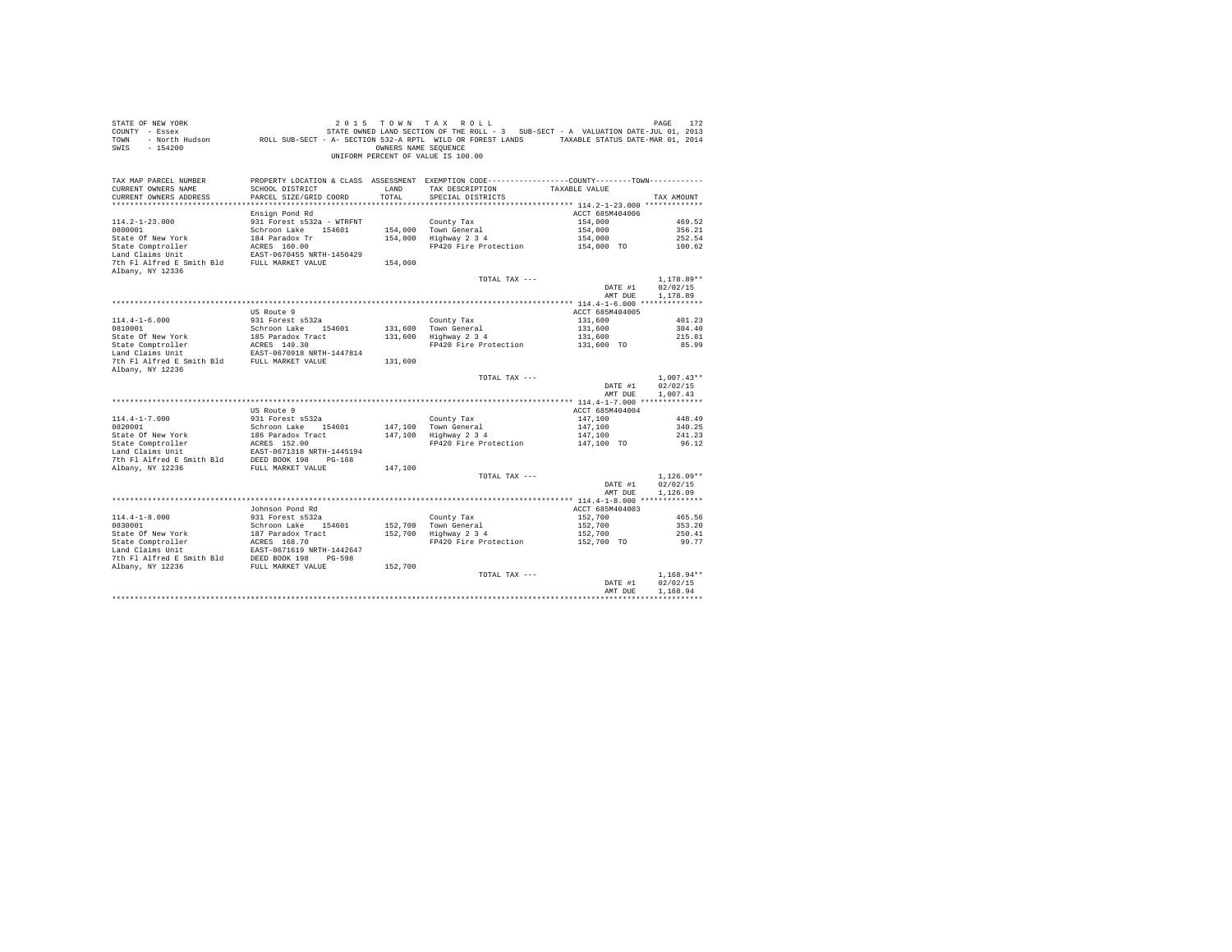| STATE OF NEW YORK<br>COUNTY - Essex<br>TOWN<br>$-154200$<br>SWIS                                                                                                                                                                                       |                                                                | OWNERS NAME SEOUENCE | 2015 TOWN TAX ROLL<br>STATE OWNED LAND SECTION OF THE ROLL - 3 SUB-SECT - A VALUATION DATE-JUL 01, 2013<br>- North Hudson ROLL SUB-SECT - A- SECTION 532-A RPTL WILD OR FOREST LANDS TAXABLE STATUS DATE-MAR 01, 2014<br>UNIFORM PERCENT OF VALUE IS 100.00 |                       | PAGE<br>172      |
|--------------------------------------------------------------------------------------------------------------------------------------------------------------------------------------------------------------------------------------------------------|----------------------------------------------------------------|----------------------|-------------------------------------------------------------------------------------------------------------------------------------------------------------------------------------------------------------------------------------------------------------|-----------------------|------------------|
| TAX MAP PARCEL NUMBER<br>CURRENT OWNERS NAME                                                                                                                                                                                                           | SCHOOL DISTRICT                                                | LAND                 | PROPERTY LOCATION & CLASS ASSESSMENT EXEMPTION CODE----------------COUNTY-------TOWN----------<br>TAX DESCRIPTION TAXABLE VALUE                                                                                                                             |                       |                  |
| CURRENT OWNERS ADDRESS                                                                                                                                                                                                                                 | PARCEL SIZE/GRID COORD                                         | TOTAL                | SPECIAL DISTRICTS                                                                                                                                                                                                                                           |                       | TAX AMOUNT       |
|                                                                                                                                                                                                                                                        |                                                                |                      |                                                                                                                                                                                                                                                             |                       |                  |
|                                                                                                                                                                                                                                                        | Ensign Pond Rd                                                 |                      |                                                                                                                                                                                                                                                             | ACCT 685M404006       |                  |
| $114.2 - 1 - 23.000$                                                                                                                                                                                                                                   | 931 Forest s532a - WTRFNT                                      |                      | County Tax                                                                                                                                                                                                                                                  | 154,000               | 469.52           |
| 0800001                                                                                                                                                                                                                                                | Schroon Lake 154601                                            |                      | 154,000 Town General                                                                                                                                                                                                                                        | 154,000               | 356.21           |
| State Of New York                                                                                                                                                                                                                                      | 184 Paradox Tr                                                 |                      | 154,000 Highway 2 3 4                                                                                                                                                                                                                                       | 154,000               | 252.54           |
| State Comptroller                                                                                                                                                                                                                                      | ACRES 160.00                                                   |                      | FP420 Fire Protection                                                                                                                                                                                                                                       | 154,000 TO            | 100.62           |
| Land Claims Unit                                                                                                                                                                                                                                       | EAST-0670455 NRTH-1450429                                      |                      |                                                                                                                                                                                                                                                             |                       |                  |
| 7th Fl Alfred E Smith Bld FULL MARKET VALUE<br>Albany, NY 12336                                                                                                                                                                                        |                                                                | 154,000              |                                                                                                                                                                                                                                                             |                       |                  |
|                                                                                                                                                                                                                                                        |                                                                |                      | TOTAL TAX ---                                                                                                                                                                                                                                               |                       | $1.178.89**$     |
|                                                                                                                                                                                                                                                        |                                                                |                      |                                                                                                                                                                                                                                                             | DATE #1               | 02/02/15         |
|                                                                                                                                                                                                                                                        |                                                                |                      |                                                                                                                                                                                                                                                             | AMT DUE               | 1,178.89         |
|                                                                                                                                                                                                                                                        |                                                                |                      |                                                                                                                                                                                                                                                             |                       |                  |
|                                                                                                                                                                                                                                                        | US Route 9                                                     |                      |                                                                                                                                                                                                                                                             | ACCT 685M404005       |                  |
| $114.4 - 1 - 6.000$                                                                                                                                                                                                                                    | 931 Forest s532a                                               |                      | County Tax                                                                                                                                                                                                                                                  | 131,600               | 401.23           |
| 0810001<br>State Of New York                                                                                                                                                                                                                           | Schroon Lake 154601                                            |                      | 131,600 Town General<br>131,600 Town General<br>131,600 Highway 2 3 4                                                                                                                                                                                       | 131,600               | 304.40<br>215.81 |
|                                                                                                                                                                                                                                                        |                                                                |                      | FP420 Fire Protection                                                                                                                                                                                                                                       | 131,600<br>131,600 TO | 85.99            |
| State Comptroller<br>Land Claims Unit                                                                                                                                                                                                                  | 185 Paradox Tract<br>ACRES 149.30<br>EAST-0670918 NRTH-1447814 |                      |                                                                                                                                                                                                                                                             |                       |                  |
| 7th Fl Alfred E Smith Bld FULL MARKET VALUE                                                                                                                                                                                                            |                                                                | 131,600              |                                                                                                                                                                                                                                                             |                       |                  |
| Albany, NY 12236                                                                                                                                                                                                                                       |                                                                |                      |                                                                                                                                                                                                                                                             |                       |                  |
|                                                                                                                                                                                                                                                        |                                                                |                      | TOTAL TAX ---                                                                                                                                                                                                                                               |                       | $1,007.43**$     |
|                                                                                                                                                                                                                                                        |                                                                |                      |                                                                                                                                                                                                                                                             | DATE #1               | 02/02/15         |
|                                                                                                                                                                                                                                                        |                                                                |                      |                                                                                                                                                                                                                                                             | AMT DUE               | 1,007.43         |
|                                                                                                                                                                                                                                                        | US Route 9                                                     |                      |                                                                                                                                                                                                                                                             | ACCT 685M404004       |                  |
| $114.4 - 1 - 7.000$                                                                                                                                                                                                                                    | 931 Forest s532a                                               |                      | County Tax                                                                                                                                                                                                                                                  | 147,100               | 448.49           |
| 0820001                                                                                                                                                                                                                                                | Schroon Lake 154601                                            |                      | 147.100 Town General                                                                                                                                                                                                                                        | 147,100               | 340.25           |
|                                                                                                                                                                                                                                                        |                                                                |                      | 147,100 Highway 2 3 4                                                                                                                                                                                                                                       | 147,100               | 241.23           |
| 0820001<br>State Of New York<br>State Comptroller                                                                                                                                                                                                      |                                                                |                      | FP420 Fire Protection                                                                                                                                                                                                                                       | 147,100 TO            | 96.12            |
|                                                                                                                                                                                                                                                        |                                                                |                      |                                                                                                                                                                                                                                                             |                       |                  |
| State of New York<br>166 Paradox Tract<br>State Comptroller<br>166 Paradox Tract<br>167 Paradox Tract<br>167 Paradox Tract<br>17 Paradox 198<br>17 Paradox 199<br>2015 Paradox 199<br>2015 Paradox 199<br>2015 Paradox 199<br>2016 Paradox 199<br>2016 |                                                                |                      |                                                                                                                                                                                                                                                             |                       |                  |
| Albany, NY 12236                                                                                                                                                                                                                                       | FULL MARKET VALUE                                              | 147,100              | TOTAL TAX ---                                                                                                                                                                                                                                               |                       | $1.126.09**$     |
|                                                                                                                                                                                                                                                        |                                                                |                      |                                                                                                                                                                                                                                                             | DATE #1               | 02/02/15         |
|                                                                                                                                                                                                                                                        |                                                                |                      |                                                                                                                                                                                                                                                             | AMT DUE               | 1,126.09         |
|                                                                                                                                                                                                                                                        |                                                                |                      |                                                                                                                                                                                                                                                             |                       |                  |
|                                                                                                                                                                                                                                                        | Johnson Pond Rd                                                |                      |                                                                                                                                                                                                                                                             | ACCT 685M404003       |                  |
| $114.4 - 1 - 8.000$                                                                                                                                                                                                                                    | 931 Forest s532a                                               |                      | County Tax                                                                                                                                                                                                                                                  | 152,700               | 465.56           |
| 0830001                                                                                                                                                                                                                                                | Schroon Lake 154601                                            |                      | 152,700 Town General<br>152,700 Highway 2 3 4                                                                                                                                                                                                               | 152,700               | 353.20           |
|                                                                                                                                                                                                                                                        | 187 Paradox Tract<br>ACRES 168.70                              |                      |                                                                                                                                                                                                                                                             | 152,700               | 250.41           |
| State Of New York<br>State Comptroller<br>The Unit                                                                                                                                                                                                     |                                                                |                      | FP420 Fire Protection                                                                                                                                                                                                                                       | $152,700$ TO          | 99.77            |
|                                                                                                                                                                                                                                                        | EAST-0671619 NRTH-1442647                                      |                      |                                                                                                                                                                                                                                                             |                       |                  |
| 7th F1 Alfred E Smith Bld<br>1980 DEED BOOK 1980 PG-598<br>Albany, NY 12236 FULL MARKET VALUE                                                                                                                                                          |                                                                | 152,700              |                                                                                                                                                                                                                                                             |                       |                  |
|                                                                                                                                                                                                                                                        |                                                                |                      | TOTAL TAX ---                                                                                                                                                                                                                                               |                       | $1.168.94**$     |
|                                                                                                                                                                                                                                                        |                                                                |                      |                                                                                                                                                                                                                                                             | DATE #1               | 02/02/15         |
|                                                                                                                                                                                                                                                        |                                                                |                      |                                                                                                                                                                                                                                                             | AMT DUE               | 1.168.94         |
|                                                                                                                                                                                                                                                        |                                                                |                      |                                                                                                                                                                                                                                                             |                       |                  |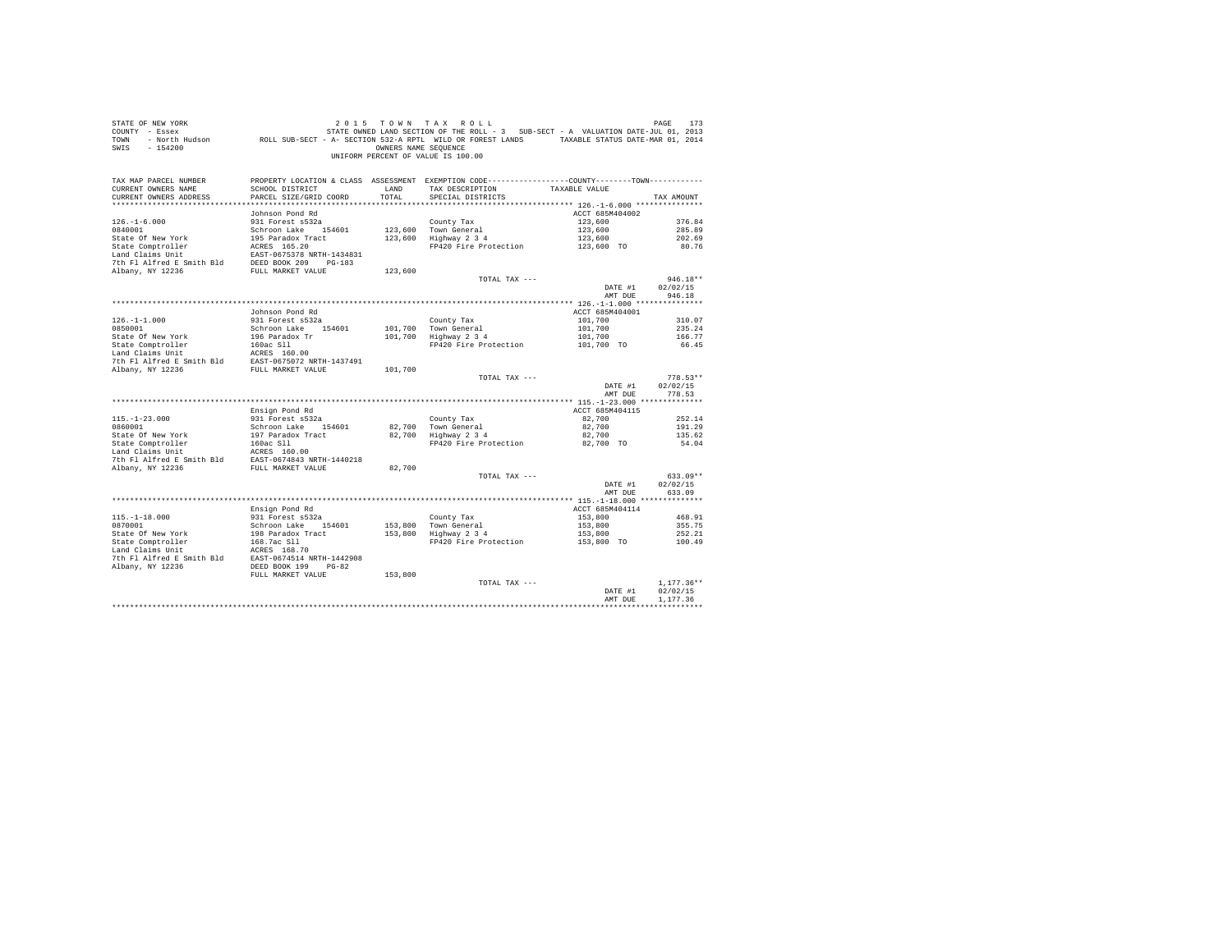| COUNTY - Essex                                                     |                                                                                                             |                      | STATE OWNED LAND SECTION OF THE ROLL - 3 SUB-SECT - A VALUATION DATE-JUL 01, 2013               |                    |                  |
|--------------------------------------------------------------------|-------------------------------------------------------------------------------------------------------------|----------------------|-------------------------------------------------------------------------------------------------|--------------------|------------------|
| TOWN                                                               | - North Hudson CROLL SUB-SECT - A- SECTION 532-A RPTL WILD OR FOREST LANDS TAXABLE STATUS DATE-MAR 01, 2014 |                      |                                                                                                 |                    |                  |
| $-154200$<br>SWTS                                                  |                                                                                                             | OWNERS NAME SEQUENCE |                                                                                                 |                    |                  |
|                                                                    |                                                                                                             |                      | UNIFORM PERCENT OF VALUE IS 100.00                                                              |                    |                  |
|                                                                    |                                                                                                             |                      |                                                                                                 |                    |                  |
|                                                                    |                                                                                                             |                      |                                                                                                 |                    |                  |
| TAX MAP PARCEL NUMBER                                              |                                                                                                             |                      | PROPERTY LOCATION & CLASS ASSESSMENT EXEMPTION CODE----------------COUNTY--------TOWN---------- |                    |                  |
| CURRENT OWNERS NAME                                                | SCHOOL DISTRICT                                                                                             | LAND                 | TAX DESCRIPTION                                                                                 | TAXABLE VALUE      |                  |
| CURRENT OWNERS ADDRESS                                             | PARCEL SIZE/GRID COORD                                                                                      | TOTAL                | SPECIAL DISTRICTS                                                                               |                    | TAX AMOUNT       |
|                                                                    |                                                                                                             |                      |                                                                                                 |                    |                  |
|                                                                    | Johnson Pond Rd                                                                                             |                      |                                                                                                 | ACCT 685M404002    |                  |
| $126. - 1 - 6.000$<br>0840001                                      | 931 Forest s532a                                                                                            |                      | County Tax                                                                                      | 123,600            | 376.84<br>285.89 |
|                                                                    | Schroon Lake 154601                                                                                         |                      | 123,600 Town General<br>123,600 Highway 2 3 4                                                   | 123,600            |                  |
| State Of New York                                                  | 195 Paradox Tract                                                                                           |                      |                                                                                                 | 123,600            | 202.69           |
| State Comptroller                                                  | ACRES 165.20                                                                                                |                      | FP420 Fire Protection                                                                           | 123,600 TO         | 80.76            |
| Land Claims Unit<br>7th F1 Alfred E Smith Bld DEED BOOK 209 PG-183 | EAST-0675378 NRTH-1434831                                                                                   |                      |                                                                                                 |                    |                  |
|                                                                    |                                                                                                             |                      |                                                                                                 |                    |                  |
| Albany, NY 12236                                                   | FULL MARKET VALUE                                                                                           | 123,600              | TOTAL TAX ---                                                                                   |                    | $946.18**$       |
|                                                                    |                                                                                                             |                      |                                                                                                 | DATE #1            | 02/02/15         |
|                                                                    |                                                                                                             |                      |                                                                                                 | AMT DUE            | 946.18           |
|                                                                    |                                                                                                             |                      |                                                                                                 |                    |                  |
|                                                                    |                                                                                                             |                      |                                                                                                 |                    |                  |
| $126. - 1 - 1.000$                                                 | Johnson Pond Rd                                                                                             |                      |                                                                                                 | ACCT 685M404001    | 310.07           |
| 0850001                                                            | 931 Forest s532a<br>Schroon Lake 154601                                                                     |                      | County Tax<br>101.700 Town General                                                              | 101,700<br>101,700 | 235.24           |
| State Of New York                                                  | 196 Paradox Tr                                                                                              |                      | 101,700 Highway 2 3 4                                                                           |                    | 166.77           |
|                                                                    |                                                                                                             |                      |                                                                                                 | 101,700            |                  |
|                                                                    |                                                                                                             |                      | FP420 Fire Protection                                                                           | 101,700 TO         | 66.45            |
|                                                                    |                                                                                                             |                      |                                                                                                 |                    |                  |
|                                                                    |                                                                                                             | 101,700              |                                                                                                 |                    |                  |
|                                                                    |                                                                                                             |                      | TOTAL TAX ---                                                                                   |                    | $778.53**$       |
|                                                                    |                                                                                                             |                      |                                                                                                 | DATE #1            | 02/02/15         |
|                                                                    |                                                                                                             |                      |                                                                                                 | AMT DUE            | 778.53           |
|                                                                    |                                                                                                             |                      |                                                                                                 |                    |                  |
|                                                                    | Ensign Pond Rd                                                                                              |                      |                                                                                                 | ACCT 685M404115    |                  |
| $115. - 1 - 23.000$                                                | 931 Forest s532a                                                                                            |                      | County Tax                                                                                      | 82,700             | 252.14           |
| 0860001                                                            | Schroon Lake 154601                                                                                         | 82,700               | Town General                                                                                    | 82,700             | 191.29           |
| State Of New York                                                  | 197 Paradox Tract                                                                                           | 82,700               | Highway 2 3 4                                                                                   | 82,700             | 135.62           |
| State Comptroller                                                  | 160ac Sll                                                                                                   |                      | FP420 Fire Protection                                                                           | 82,700 TO          | 54.04            |
| Land Claims Unit                                                   | ACRES 160.00                                                                                                |                      |                                                                                                 |                    |                  |
| 7th Fl Alfred E Smith Bld                                          | EAST-0674843 NRTH-1440218                                                                                   |                      |                                                                                                 |                    |                  |
| Albany, NY 12236                                                   | FULL MARKET VALUE                                                                                           | 82,700               |                                                                                                 |                    |                  |
|                                                                    |                                                                                                             |                      | TOTAL TAX ---                                                                                   |                    | $633.09**$       |
|                                                                    |                                                                                                             |                      |                                                                                                 | DATE #1            | 02/02/15         |
|                                                                    |                                                                                                             |                      |                                                                                                 | AMT DUE            | 633.09           |
|                                                                    |                                                                                                             |                      |                                                                                                 |                    |                  |
|                                                                    | Ensign Pond Rd                                                                                              |                      |                                                                                                 | ACCT 685M404114    |                  |
| $115. - 1 - 18.000$                                                | 931 Forest s532a                                                                                            |                      |                                                                                                 | 153,800            | 468.91           |
| 0870001                                                            | Schroon Lake 154601                                                                                         |                      | County Tax<br>153,800 Town General<br>153,800 Highway 2 3 4                                     | 153,800            | 355.75           |
| State Of New York                                                  | 198 Paradox Tract                                                                                           |                      |                                                                                                 | 153,800            | 252.21           |
| State Comptroller                                                  |                                                                                                             |                      | FP420 Fire Protection                                                                           | 153,800 TO         | 100.49           |
| Land Claims Unit                                                   | 168.7ac S11<br>ACRES 168.70                                                                                 |                      |                                                                                                 |                    |                  |
| 7th Fl Alfred E Smith Bld                                          | EAST-0674514 NRTH-1442908                                                                                   |                      |                                                                                                 |                    |                  |
| Albany, NY 12236                                                   | DEED BOOK 199<br>$PG-82$                                                                                    |                      |                                                                                                 |                    |                  |
|                                                                    | FULL MARKET VALUE                                                                                           | 153,800              |                                                                                                 |                    |                  |
|                                                                    |                                                                                                             |                      | TOTAL TAX ---                                                                                   |                    | $1.177.36**$     |
|                                                                    |                                                                                                             |                      |                                                                                                 | DATE #1            | 02/02/15         |
|                                                                    |                                                                                                             |                      |                                                                                                 | AMT DUE            | 1,177.36         |
|                                                                    |                                                                                                             |                      |                                                                                                 |                    |                  |
|                                                                    |                                                                                                             |                      |                                                                                                 |                    |                  |

STATE OF NEW YORK 2015 TOWN TAX ROLL PAGE 173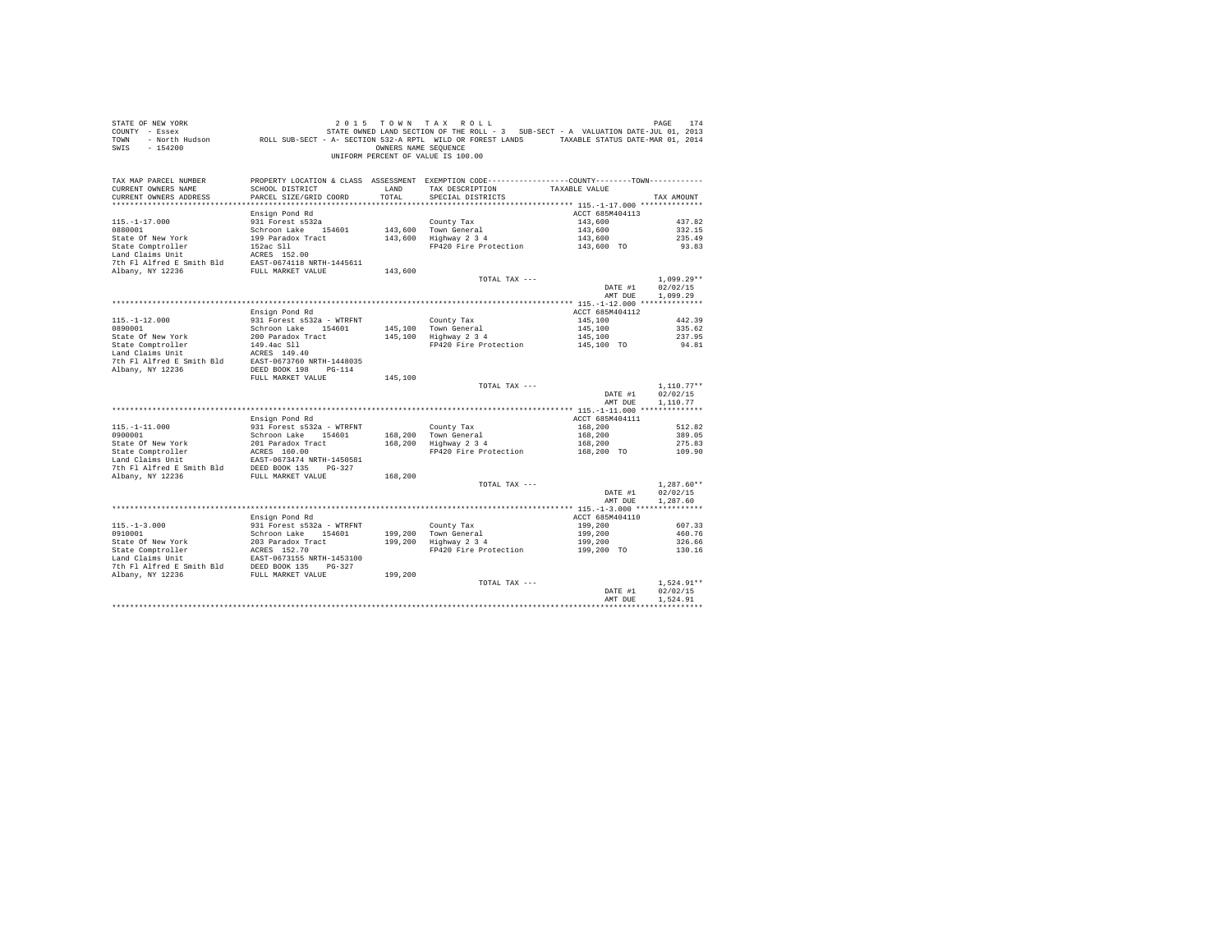| STATE OF NEW YORK<br>COUNTY - Essex<br>TOWN<br>$-154200$<br>SWIS |                                           | OWNERS NAME SEQUENCE | 2015 TOWN TAX ROLL<br>STATE OWNED LAND SECTION OF THE ROLL - 3 SUB-SECT - A VALUATION DATE-JUL 01, 2013<br>- North Hudson ROLL SUB-SECT - A- SECTION 532-A RPTL WILD OR FOREST LANDS TAXABLE STATUS DATE-MAR 01, 2014<br>UNIFORM PERCENT OF VALUE IS 100.00 |                    | PAGE<br>174              |
|------------------------------------------------------------------|-------------------------------------------|----------------------|-------------------------------------------------------------------------------------------------------------------------------------------------------------------------------------------------------------------------------------------------------------|--------------------|--------------------------|
| TAX MAP PARCEL NUMBER                                            |                                           |                      | PROPERTY LOCATION & CLASS ASSESSMENT EXEMPTION CODE----------------COUNTY--------TOWN----------                                                                                                                                                             |                    |                          |
| CURRENT OWNERS NAME<br>CURRENT OWNERS ADDRESS                    | SCHOOL DISTRICT<br>PARCEL SIZE/GRID COORD | LAND<br>TOTAL        | TAX DESCRIPTION<br>SPECIAL DISTRICTS                                                                                                                                                                                                                        | TAXABLE VALUE      | TAX AMOUNT               |
|                                                                  |                                           |                      |                                                                                                                                                                                                                                                             |                    |                          |
|                                                                  | Ensign Pond Rd                            |                      |                                                                                                                                                                                                                                                             | ACCT 685M404113    |                          |
| $115. - 1 - 17.000$                                              | 931 Forest s532a                          |                      | County Tax                                                                                                                                                                                                                                                  | 143,600            | 437.82                   |
| 0880001                                                          | Schroon Lake 154601                       |                      | 143,600 Town General                                                                                                                                                                                                                                        | 143,600            | 332.15                   |
| State Of New York                                                | 199 Paradox Tract                         |                      | 143,600 Highway 2 3 4                                                                                                                                                                                                                                       | 143,600            | 235.49                   |
| State Comptroller                                                | 152ac Sll                                 |                      | FP420 Fire Protection                                                                                                                                                                                                                                       | 143,600 TO         | 93.83                    |
| Land Claims Unit                                                 | ACRES 152.00                              |                      |                                                                                                                                                                                                                                                             |                    |                          |
| 7th Fl Alfred E Smith Bld                                        | EAST-0674118 NRTH-1445611                 |                      |                                                                                                                                                                                                                                                             |                    |                          |
| Albany, NY 12236                                                 | FULL MARKET VALUE                         | 143,600              |                                                                                                                                                                                                                                                             |                    |                          |
|                                                                  |                                           |                      | TOTAL TAX ---                                                                                                                                                                                                                                               |                    | $1.099.29**$             |
|                                                                  |                                           |                      |                                                                                                                                                                                                                                                             | DATE #1<br>AMT DUE | 02/02/15<br>1,099.29     |
|                                                                  |                                           |                      |                                                                                                                                                                                                                                                             |                    |                          |
|                                                                  | Ensign Pond Rd                            |                      |                                                                                                                                                                                                                                                             | ACCT 685M404112    |                          |
| $115. - 1 - 12.000$                                              | 931 Forest s532a - WTRFNT                 |                      | County Tax                                                                                                                                                                                                                                                  | 145,100            | 442.39                   |
| 0890001                                                          | Schroon Lake 154601                       |                      | 145,100 Town General                                                                                                                                                                                                                                        | 145,100            | 335.62                   |
| State Of New York                                                | 200 Paradox Tract                         |                      | 145,100 Highway 2 3 4                                                                                                                                                                                                                                       | 145,100            | 237.95                   |
| State Comptroller                                                | 149.4ac Sll                               |                      | FP420 Fire Protection                                                                                                                                                                                                                                       | 145,100 TO         | 94.81                    |
| Land Claims Unit                                                 | ACRES 149.40                              |                      |                                                                                                                                                                                                                                                             |                    |                          |
| 7th Fl Alfred E Smith Bld                                        | EAST-0673760 NRTH-1448035                 |                      |                                                                                                                                                                                                                                                             |                    |                          |
| Albany, NY 12236                                                 | DEED BOOK 198 PG-114                      |                      |                                                                                                                                                                                                                                                             |                    |                          |
|                                                                  | FULL MARKET VALUE                         | 145,100              |                                                                                                                                                                                                                                                             |                    |                          |
|                                                                  |                                           |                      | TOTAL TAX ---                                                                                                                                                                                                                                               | DATE #1            | $1.110.77**$<br>02/02/15 |
|                                                                  |                                           |                      |                                                                                                                                                                                                                                                             | AMT DUE            | 1,110.77                 |
|                                                                  |                                           |                      |                                                                                                                                                                                                                                                             |                    |                          |
|                                                                  | Ensign Pond Rd                            |                      |                                                                                                                                                                                                                                                             | ACCT 685M404111    |                          |
| $115. - 1 - 11.000$                                              | 931 Forest s532a - WTRFNT                 |                      | County Tax                                                                                                                                                                                                                                                  | 168,200            | 512.82                   |
| 0900001                                                          | Schroon Lake 154601                       | 168,200              | Town General                                                                                                                                                                                                                                                | 168,200            | 389.05                   |
| State Of New York                                                | 201 Paradox Tract                         | 168,200              | Highway 2 3 4                                                                                                                                                                                                                                               | 168,200            | 275.83                   |
| State Comptroller                                                | ACRES 160.00                              |                      | FP420 Fire Protection                                                                                                                                                                                                                                       | 168,200 TO         | 109.90                   |
| Land Claims Unit                                                 | EAST-0673474 NRTH-1450581                 |                      |                                                                                                                                                                                                                                                             |                    |                          |
| 7th Fl Alfred E Smith Bld<br>Albany, NY 12236                    | DEED BOOK 135 PG-327<br>FULL MARKET VALUE | 168,200              |                                                                                                                                                                                                                                                             |                    |                          |
|                                                                  |                                           |                      | TOTAL TAX ---                                                                                                                                                                                                                                               |                    | $1.287.60**$             |
|                                                                  |                                           |                      |                                                                                                                                                                                                                                                             | DATE #1            | 02/02/15                 |
|                                                                  |                                           |                      |                                                                                                                                                                                                                                                             | AMT DUE            | 1,287.60                 |
|                                                                  |                                           |                      |                                                                                                                                                                                                                                                             |                    |                          |
|                                                                  | Ensign Pond Rd                            |                      |                                                                                                                                                                                                                                                             | ACCT 685M404110    |                          |
| $115. - 1 - 3.000$                                               | 931 Forest s532a - WTRFNT                 |                      | County Tax                                                                                                                                                                                                                                                  | 199,200            | 607.33                   |
| 0910001                                                          | Schroon Lake 154601                       | 199,200              | Town General<br>Highway 2 3 4                                                                                                                                                                                                                               | 199,200            | 460.76                   |
| State Of New York                                                | 203 Paradox Tract                         | 199,200              |                                                                                                                                                                                                                                                             | 199,200            | 326.66                   |
| State Comptroller<br>Land Claims Unit                            | ACRES 152.70<br>EAST-0673155 NRTH-1453100 |                      | FP420 Fire Protection                                                                                                                                                                                                                                       | 199,200 TO         | 130.16                   |
| 7th Fl Alfred E Smith Bld                                        | DEED BOOK 135 PG-327                      |                      |                                                                                                                                                                                                                                                             |                    |                          |
| Albany, NY 12236                                                 | FULL MARKET VALUE                         | 199,200              |                                                                                                                                                                                                                                                             |                    |                          |
|                                                                  |                                           |                      | TOTAL TAX ---                                                                                                                                                                                                                                               |                    | $1.524.91**$             |
|                                                                  |                                           |                      |                                                                                                                                                                                                                                                             | DATE #1            | 02/02/15                 |
|                                                                  |                                           |                      |                                                                                                                                                                                                                                                             | AMT DUE            | 1.524.91                 |
|                                                                  |                                           |                      |                                                                                                                                                                                                                                                             |                    | ************             |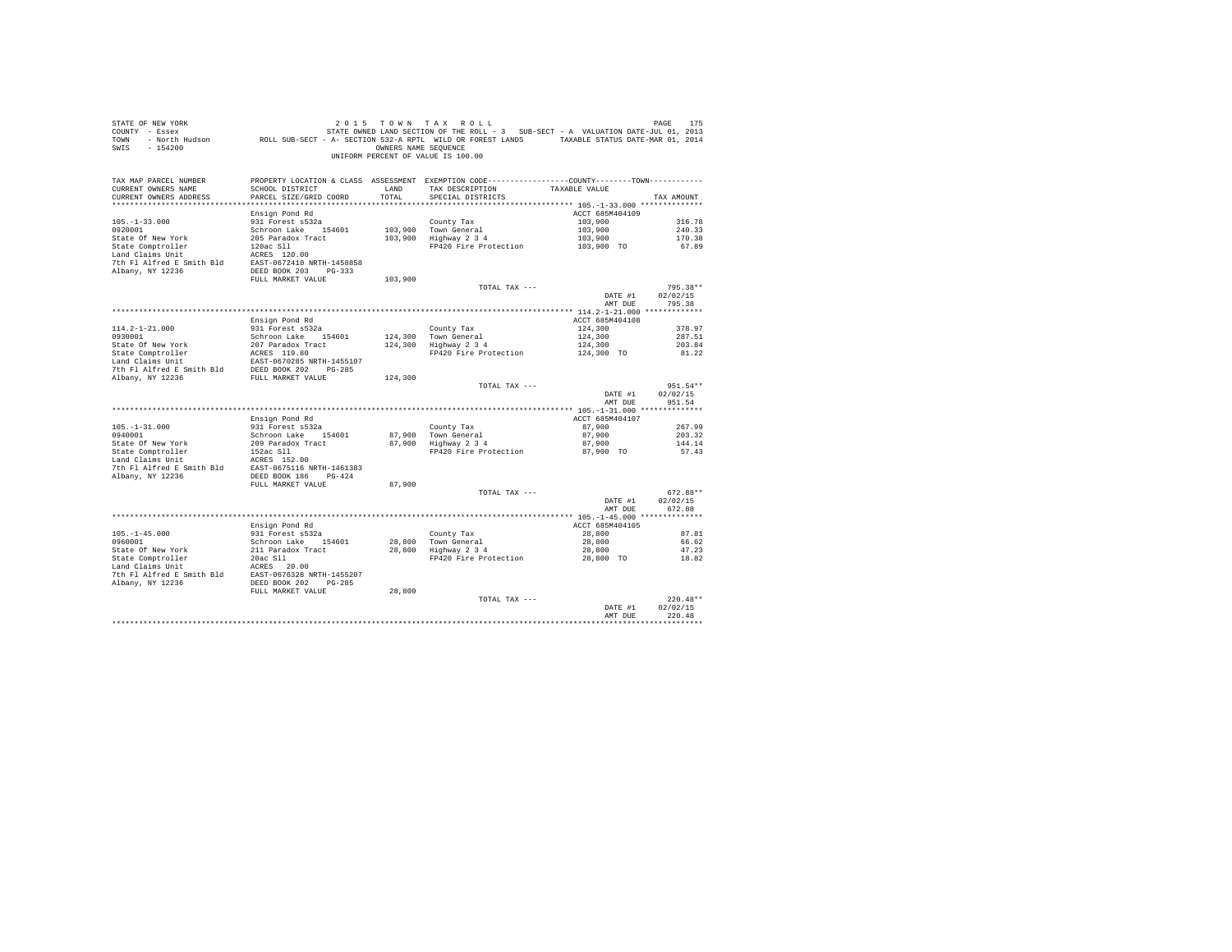| STATE OF NEW YORK<br>COUNTY - Essex<br>TOWN<br>$-154200$<br>SWIS       | - North Hudson ROLL SUB-SECT - A- SECTION 532-A RPTL WILD OR FOREST LANDS TAXABLE STATUS DATE-MAR 01, 2014 | OWNERS NAME SEOUENCE | 2015 TOWN TAX ROLL<br>STATE OWNED LAND SECTION OF THE ROLL - 3 SUB-SECT - A VALUATION DATE-JUL 01, 2013<br>UNIFORM PERCENT OF VALUE IS 100.00 |                       | PAGE<br>175          |
|------------------------------------------------------------------------|------------------------------------------------------------------------------------------------------------|----------------------|-----------------------------------------------------------------------------------------------------------------------------------------------|-----------------------|----------------------|
| TAX MAP PARCEL NUMBER<br>CURRENT OWNERS NAME<br>CURRENT OWNERS ADDRESS | SCHOOL DISTRICT<br>PARCEL SIZE/GRID COORD                                                                  | LAND<br>TOTAL        | PROPERTY LOCATION & CLASS ASSESSMENT EXEMPTION CODE---------------COUNTY-------TOWN---------<br>TAX DESCRIPTION<br>SPECIAL DISTRICTS          | TAXABLE VALUE         | TAX AMOUNT           |
|                                                                        |                                                                                                            |                      |                                                                                                                                               |                       |                      |
|                                                                        | Ensign Pond Rd                                                                                             |                      |                                                                                                                                               | ACCT 685M404109       |                      |
| $105. - 1 - 33.000$                                                    | 931 Forest s532a                                                                                           |                      | County Tax                                                                                                                                    | 103,900               | 316.78               |
| 0920001                                                                | Schroon Lake 154601                                                                                        |                      | 103,900 Town General                                                                                                                          | 103,900               | 240.33               |
| State Of New York<br>State Comptroller                                 | 205 Paradox Tract<br>120ac S11                                                                             |                      | 103,900 Highway 2 3 4<br>FP420 Fire Protection                                                                                                | 103,900<br>103,900 TO | 170.38<br>67.89      |
| Land Claims Unit                                                       | ACRES 120.00                                                                                               |                      |                                                                                                                                               |                       |                      |
| 7th Fl Alfred E Smith Bld                                              | EAST-0672410 NRTH-1458858                                                                                  |                      |                                                                                                                                               |                       |                      |
| Albany, NY 12236                                                       | DEED BOOK 203 PG-333                                                                                       |                      |                                                                                                                                               |                       |                      |
|                                                                        | FULL MARKET VALUE                                                                                          | 103,900              |                                                                                                                                               |                       |                      |
|                                                                        |                                                                                                            |                      | TOTAL TAX ---                                                                                                                                 | DATE #1               | 795.38**<br>02/02/15 |
|                                                                        |                                                                                                            |                      |                                                                                                                                               | AMT DUE               | 795.38               |
|                                                                        |                                                                                                            |                      |                                                                                                                                               |                       |                      |
|                                                                        | Ensign Pond Rd                                                                                             |                      |                                                                                                                                               | ACCT 685M404108       |                      |
| $114.2 - 1 - 21.000$                                                   | 931 Forest s532a                                                                                           |                      | County Tax                                                                                                                                    | 124,300               | 378.97               |
| 0930001<br>State Of New York                                           | Schroon Lake 154601<br>207 Paradox Tract                                                                   |                      | 124,300 Town General<br>124,300 Highway 2 3 4                                                                                                 | 124,300<br>124,300    | 287.51<br>203.84     |
| State Comptroller                                                      | ACRES 119.80                                                                                               |                      | FP420 Fire Protection                                                                                                                         | 124,300 TO            | 81.22                |
| Land Claims Unit                                                       | EAST-0670285 NRTH-1455107                                                                                  |                      |                                                                                                                                               |                       |                      |
| 7th Fl Alfred E Smith Bld                                              | DEED BOOK 202 PG-285                                                                                       |                      |                                                                                                                                               |                       |                      |
| Albany, NY 12236                                                       | FULL MARKET VALUE                                                                                          | 124,300              |                                                                                                                                               |                       |                      |
|                                                                        |                                                                                                            |                      | TOTAL TAX ---                                                                                                                                 |                       | $951.54**$           |
|                                                                        |                                                                                                            |                      |                                                                                                                                               | DATE #1<br>AMT DUE    | 02/02/15<br>951.54   |
|                                                                        |                                                                                                            |                      |                                                                                                                                               |                       |                      |
|                                                                        | Ensign Pond Rd                                                                                             |                      |                                                                                                                                               | ACCT 685M404107       |                      |
| $105. - 1 - 31.000$                                                    | 931 Forest s532a                                                                                           |                      | County Tax                                                                                                                                    | 87,900                | 267.99               |
| 0940001                                                                | Schroon Lake 154601                                                                                        |                      | 87,900 Town General                                                                                                                           | 87,900                | 203.32               |
| State Of New York<br>State Comptroller                                 | 209 Paradox Tract<br>152ac Sll                                                                             |                      | 87,900 Highway 2 3 4<br>FP420 Fire Protection                                                                                                 | 87,900<br>87,900 TO   | 144.14<br>57.43      |
| Land Claims Unit                                                       | ACRES 152.00                                                                                               |                      |                                                                                                                                               |                       |                      |
| 7th Fl Alfred E Smith Bld                                              | EAST-0675116 NRTH-1461383                                                                                  |                      |                                                                                                                                               |                       |                      |
| Albany, NY 12236                                                       | DEED BOOK 186 PG-424                                                                                       |                      |                                                                                                                                               |                       |                      |
|                                                                        | FULL MARKET VALUE                                                                                          | 87,900               |                                                                                                                                               |                       |                      |
|                                                                        |                                                                                                            |                      | TOTAL TAX ---                                                                                                                                 | DATE #1               | 672.88**<br>02/02/15 |
|                                                                        |                                                                                                            |                      |                                                                                                                                               | AMT DUE               | 672.88               |
|                                                                        |                                                                                                            |                      |                                                                                                                                               |                       |                      |
|                                                                        | Ensign Pond Rd                                                                                             |                      |                                                                                                                                               | ACCT 685M404105       |                      |
| $105. - 1 - 45.000$                                                    | 931 Forest s532a                                                                                           |                      | County Tax                                                                                                                                    | 28,800                | 87.81                |
| 0960001<br>State Of New York                                           | Schroon Lake 154601<br>211 Paradox Tract                                                                   |                      | 28,800 Town General<br>28,800 Highway 2 3 4                                                                                                   | 28,800<br>28,800      | 66.62<br>47.23       |
| State Comptroller                                                      | 20ac S11                                                                                                   |                      | FP420 Fire Protection                                                                                                                         | 28,800 TO             | 18.82                |
| Land Claims Unit                                                       | ACRES 20.00                                                                                                |                      |                                                                                                                                               |                       |                      |
| 7th Fl Alfred E Smith Bld                                              | EAST-0676328 NRTH-1455207                                                                                  |                      |                                                                                                                                               |                       |                      |
| Albany, NY 12236                                                       | DEED BOOK 202 PG-285                                                                                       |                      |                                                                                                                                               |                       |                      |
|                                                                        | FULL MARKET VALUE                                                                                          | 28,800               |                                                                                                                                               |                       | $220.48**$           |
|                                                                        |                                                                                                            |                      | TOTAL TAX ---                                                                                                                                 | DATE #1               | 02/02/15             |
|                                                                        |                                                                                                            |                      |                                                                                                                                               | AMT DUE               | 220.48               |
|                                                                        |                                                                                                            |                      |                                                                                                                                               |                       |                      |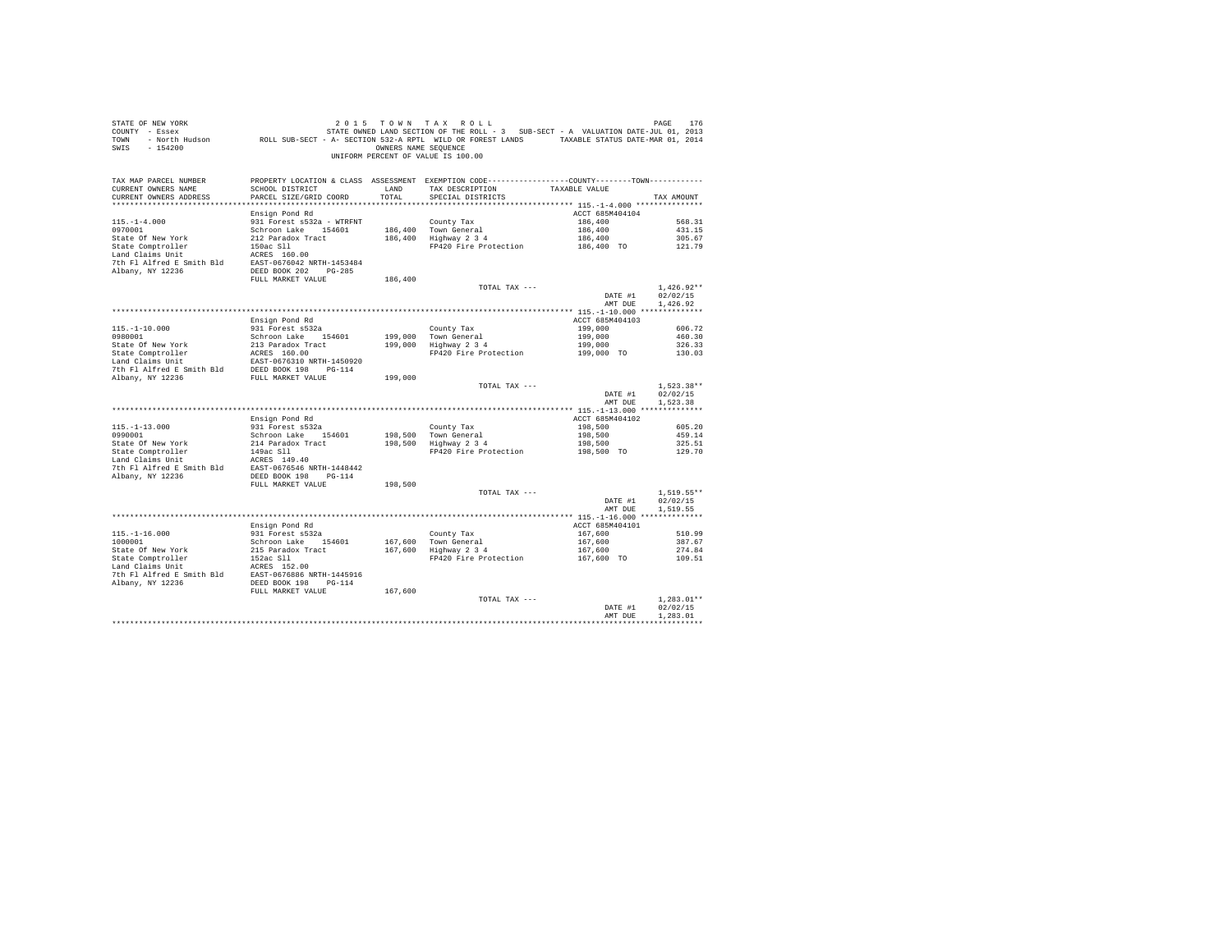| STATE OF NEW YORK<br>SWIS - 154200                                                                                                                                                                                                                         |                                           |               | 2015 TOWN TAX ROLL<br>OWNERS NAME SEQUENCE<br>UNIFORM PERCENT OF VALUE IS 100.00                                                        |                                  | PAGE<br>176                          |
|------------------------------------------------------------------------------------------------------------------------------------------------------------------------------------------------------------------------------------------------------------|-------------------------------------------|---------------|-----------------------------------------------------------------------------------------------------------------------------------------|----------------------------------|--------------------------------------|
| TAX MAP PARCEL NUMBER<br>CURRENT OWNERS NAME<br>CURRENT OWNERS ADDRESS<br>*************************                                                                                                                                                        | SCHOOL DISTRICT<br>PARCEL SIZE/GRID COORD | LAND<br>TOTAL | PROPERTY LOCATION & CLASS ASSESSMENT EXEMPTION CODE----------------COUNTY--------TOWN----------<br>TAX DESCRIPTION<br>SPECIAL DISTRICTS | TAXABLE VALUE                    | TAX AMOUNT                           |
|                                                                                                                                                                                                                                                            | Ensign Pond Rd                            |               |                                                                                                                                         | ACCT 685M404104                  |                                      |
| $115. - 1 - 4.000$                                                                                                                                                                                                                                         | 931 Forest s532a - WTRFNT                 |               | County Tax                                                                                                                              | 186,400                          | 568.31                               |
| 0970001                                                                                                                                                                                                                                                    | Schroon Lake 154601                       |               | 186.400 Town General<br>186,400   Town General<br>186,400   Highway 2 3 4                                                               | 186,400                          | 431.15                               |
| State Of New York                                                                                                                                                                                                                                          | 212 Paradox Tract                         |               |                                                                                                                                         | 186,400<br>$186,400$ TO          | 305.67                               |
| State Comptroller<br>Land Claims Unit                                                                                                                                                                                                                      | 150ac Sll<br>ACRES 160.00                 |               | FP420 Fire Protection                                                                                                                   |                                  | 121.79                               |
|                                                                                                                                                                                                                                                            |                                           |               |                                                                                                                                         |                                  |                                      |
| 7th F1 Alfred E Smith Bld<br>RBST-0676042 NRTH-1453484<br>RIbany, NY 12236<br>DEED BOOK 202 PG-285                                                                                                                                                         |                                           |               |                                                                                                                                         |                                  |                                      |
|                                                                                                                                                                                                                                                            | FULL MARKET VALUE                         | 186,400       |                                                                                                                                         |                                  |                                      |
|                                                                                                                                                                                                                                                            |                                           |               | TOTAL TAX ---                                                                                                                           | DATE #1<br>AMT DUE               | $1.426.92**$<br>02/02/15<br>1.426.92 |
|                                                                                                                                                                                                                                                            |                                           |               |                                                                                                                                         |                                  |                                      |
|                                                                                                                                                                                                                                                            | Ensign Pond Rd                            |               |                                                                                                                                         | ACCT 685M404103                  |                                      |
| $115. -1 - 10.000$<br>0980001                                                                                                                                                                                                                              | 931 Forest s532a                          |               | County Tax                                                                                                                              | 199,000                          | 606.72                               |
|                                                                                                                                                                                                                                                            | Schroon Lake 154601                       |               | County Tax<br>199,000 Town General<br>199,000 Highway 2 3 4                                                                             | 199,000                          | 460.30                               |
| State Of New York                                                                                                                                                                                                                                          | 213 Paradox Tract                         |               | FP420 Fire Protection                                                                                                                   | 199,000                          | 326.33                               |
|                                                                                                                                                                                                                                                            | EAST-0676310 NRTH-1450920                 |               |                                                                                                                                         | 199,000 TO                       | 130.03                               |
|                                                                                                                                                                                                                                                            |                                           |               |                                                                                                                                         |                                  |                                      |
| State Comptroller<br>1992<br>Land Claims Unit<br>1992<br>The Fl Alfred E Smith Bld<br>2000 1993<br>2000 1992<br>2000 1992<br>2000 1992<br>2000 1992<br>2000 1992<br>2000 1992<br>2000 1992<br>2000 1992<br>2000 1992<br>2000 1992<br>20114<br>2011<br>2013 |                                           | 199,000       |                                                                                                                                         |                                  |                                      |
|                                                                                                                                                                                                                                                            |                                           |               | TOTAL TAX ---                                                                                                                           |                                  | $1.523.38**$                         |
|                                                                                                                                                                                                                                                            |                                           |               |                                                                                                                                         | DATE #1<br>AMT DUE               | 02/02/15<br>1.523.38                 |
|                                                                                                                                                                                                                                                            |                                           |               |                                                                                                                                         |                                  |                                      |
|                                                                                                                                                                                                                                                            | Ensign Pond Rd                            |               |                                                                                                                                         | ACCT 685M404102                  |                                      |
| $115. -1 - 13.000$                                                                                                                                                                                                                                         | 931 Forest s532a                          |               | County Tax                                                                                                                              | 198,500                          | 605.20                               |
| 0990001                                                                                                                                                                                                                                                    | Schroon Lake 154601                       |               | 198,500 Town General<br>198,500 Highway 2 3 4                                                                                           | 198,500                          | 459.14                               |
|                                                                                                                                                                                                                                                            |                                           |               |                                                                                                                                         | 198,500                          | 325.51                               |
| 9790001<br>State Of New York<br>214 Paradox Tract<br>214 Paradox Tract<br>214 Paradox Tract<br>214 Paradox Tract<br>214 Paradox Tract<br>214 Paradox Tract<br>214 Paradox Paradox Paradox<br>214 Paradox Paradox<br>214 Paradox Paradox<br>214 Parad       |                                           |               | FP420 Fire Protection                                                                                                                   | 198,500 TO                       | 129.70                               |
|                                                                                                                                                                                                                                                            |                                           |               |                                                                                                                                         |                                  |                                      |
| Albany, NY 12236                                                                                                                                                                                                                                           | DEED BOOK 198 PG-114                      |               |                                                                                                                                         |                                  |                                      |
|                                                                                                                                                                                                                                                            | FULL MARKET VALUE                         | 198,500       |                                                                                                                                         |                                  |                                      |
|                                                                                                                                                                                                                                                            |                                           |               | TOTAL TAX ---                                                                                                                           |                                  | $1.519.55**$                         |
|                                                                                                                                                                                                                                                            |                                           |               |                                                                                                                                         | DATE #1<br>AMT DUR               | 02/02/15<br>1,519.55                 |
|                                                                                                                                                                                                                                                            |                                           |               |                                                                                                                                         |                                  |                                      |
|                                                                                                                                                                                                                                                            | Ensign Pond Rd                            |               |                                                                                                                                         | ACCT 685M404101                  |                                      |
| $115. - 1 - 16.000$                                                                                                                                                                                                                                        | 931 Forest s532a                          |               | County Tax                                                                                                                              | 167,600                          | 510.99                               |
| 1000001                                                                                                                                                                                                                                                    | Schroon Lake 154601                       | 167,600       | County Tax<br>167,600 Town General<br>167,600 Highway 2 3 4                                                                             | 167,600                          | 387.67                               |
| State Of New York                                                                                                                                                                                                                                          | 215 Paradox Tract<br>152ac Sll            |               | FP420 Fire Protection                                                                                                                   | 167,600<br>167,600 TO            | 274.84<br>109.51                     |
| State Comptroller<br>Land Claims Unit                                                                                                                                                                                                                      | ACRES 152.00                              |               |                                                                                                                                         |                                  |                                      |
|                                                                                                                                                                                                                                                            |                                           |               |                                                                                                                                         |                                  |                                      |
|                                                                                                                                                                                                                                                            |                                           |               |                                                                                                                                         |                                  |                                      |
|                                                                                                                                                                                                                                                            | FULL MARKET VALUE                         | 167,600       |                                                                                                                                         |                                  |                                      |
|                                                                                                                                                                                                                                                            |                                           |               | TOTAL TAX ---                                                                                                                           | DATE #1                          | $1.283.01**$<br>02/02/15             |
|                                                                                                                                                                                                                                                            |                                           |               |                                                                                                                                         | AMT DUR                          | 1,283.01                             |
|                                                                                                                                                                                                                                                            |                                           |               |                                                                                                                                         | ******************************** |                                      |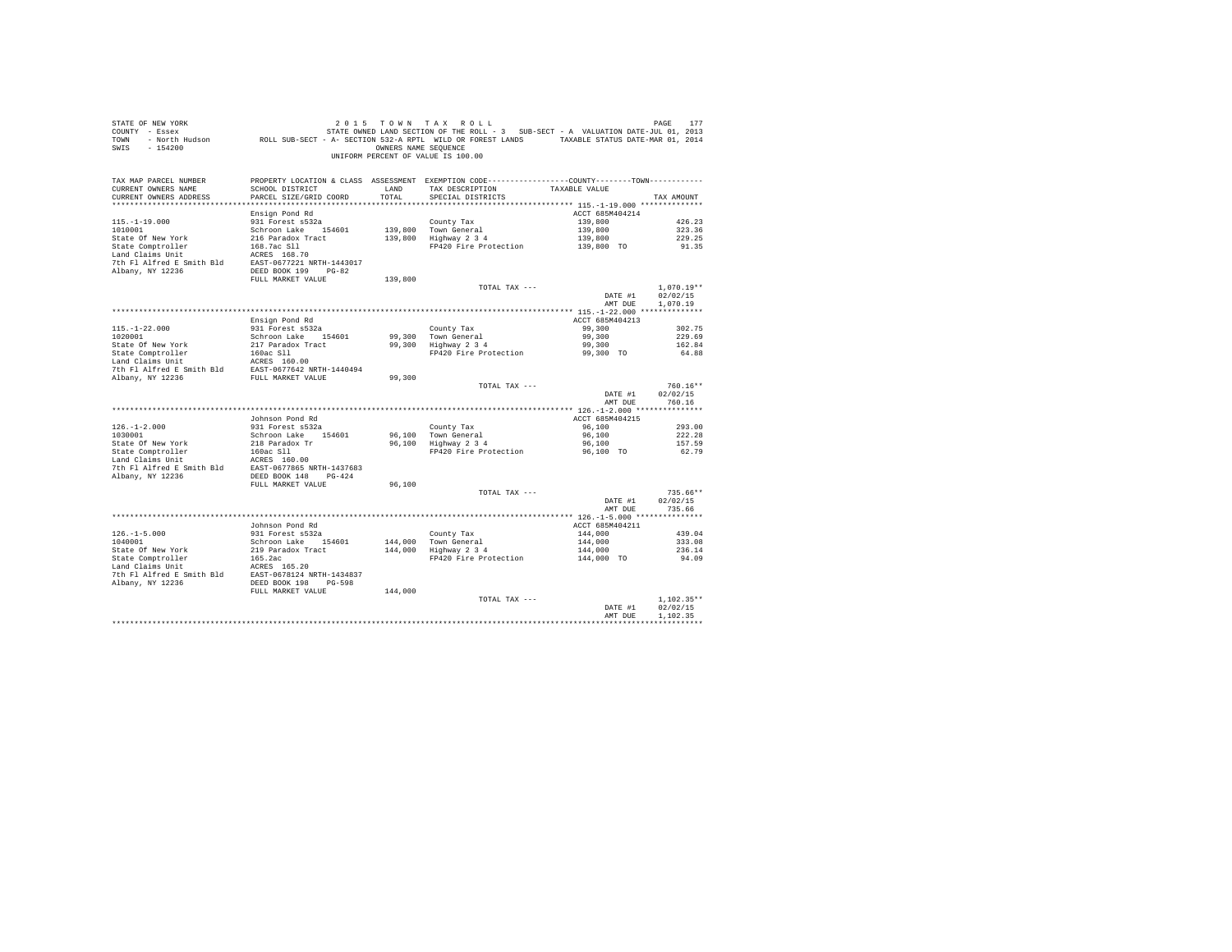| STATE OF NEW YORK<br>SWIS - 154200                                                                                                                                  |                                           |               | 2015 TOWN TAX ROLL<br>OWNERS NAME SEQUENCE<br>UNIFORM PERCENT OF VALUE IS 100.00                                                        |                    | PAGE<br>177          |
|---------------------------------------------------------------------------------------------------------------------------------------------------------------------|-------------------------------------------|---------------|-----------------------------------------------------------------------------------------------------------------------------------------|--------------------|----------------------|
| TAX MAP PARCEL NUMBER<br>CURRENT OWNERS NAME<br>CURRENT OWNERS ADDRESS<br>************************                                                                  | SCHOOL DISTRICT<br>PARCEL SIZE/GRID COORD | LAND<br>TOTAL | PROPERTY LOCATION & CLASS ASSESSMENT EXEMPTION CODE----------------COUNTY--------TOWN----------<br>TAX DESCRIPTION<br>SPECIAL DISTRICTS | TAXABLE VALUE      | TAX AMOUNT           |
|                                                                                                                                                                     | Ensign Pond Rd                            |               |                                                                                                                                         | ACCT 685M404214    |                      |
| $115. - 1 - 19.000$                                                                                                                                                 | 931 Forest s532a                          |               | County Tax                                                                                                                              | 139,800            | 426.23               |
| 1010001                                                                                                                                                             | Schroon Lake 154601                       |               | 139,800 Town General                                                                                                                    | 139,800            | 323.36               |
| State Of New York                                                                                                                                                   | 216 Paradox Tract                         |               | 139,800 Highway 2 3 4                                                                                                                   | 139,800            | 229.25               |
| State Comptroller<br>Land Claims Unit                                                                                                                               | 168.7ac Sll<br>ACRES 168.70               |               | FP420 Fire Protection                                                                                                                   | 139,800 TO         | 91.35                |
|                                                                                                                                                                     |                                           |               |                                                                                                                                         |                    |                      |
| 7th F1 Alfred E Smith B1d<br>BAST-0677221 NRTH-1443017<br>Albany, NY 12236<br>BEED BOOK 199 PG-82                                                                   |                                           |               |                                                                                                                                         |                    |                      |
|                                                                                                                                                                     | FULL MARKET VALUE                         | 139,800       |                                                                                                                                         |                    |                      |
|                                                                                                                                                                     |                                           |               | TOTAL TAX ---                                                                                                                           |                    | $1.070.19**$         |
|                                                                                                                                                                     |                                           |               |                                                                                                                                         | DATE #1            | 02/02/15             |
|                                                                                                                                                                     |                                           |               |                                                                                                                                         | AMT DUE            | 1,070.19             |
|                                                                                                                                                                     | Ensign Pond Rd                            |               |                                                                                                                                         | ACCT 685M404213    |                      |
| $115. - 1 - 22.000$                                                                                                                                                 | 931 Forest s532a                          |               | County Tax                                                                                                                              | 99,300             | 302.75               |
| 1020001                                                                                                                                                             | Schroon Lake 154601                       |               | County Tax<br>99,300 Town General<br>99,300 Highway 2 3 4                                                                               | 99,300             | 229.69               |
| State Of New York                                                                                                                                                   | 217 Paradox Tract                         |               |                                                                                                                                         | 99,300             | 162.84               |
| State Comptroller<br>Land Claims Unit                                                                                                                               | 160ac S11<br>ACRES 160.00                 |               | FP420 Fire Protection                                                                                                                   | 99,300 TO          | 64.88                |
| 7th Fl Alfred E Smith Bld EAST-0677642 NRTH-1440494                                                                                                                 |                                           |               |                                                                                                                                         |                    |                      |
| Albany, NY 12236                                                                                                                                                    | FULL MARKET VALUE                         | 99,300        |                                                                                                                                         |                    |                      |
|                                                                                                                                                                     |                                           |               | TOTAL TAX ---                                                                                                                           |                    | $760.16**$           |
|                                                                                                                                                                     |                                           |               |                                                                                                                                         | DATE #1            | 02/02/15             |
|                                                                                                                                                                     |                                           |               |                                                                                                                                         | AMT DUE            | 760.16               |
|                                                                                                                                                                     | Johnson Pond Rd                           |               |                                                                                                                                         | ACCT 685M404215    |                      |
| $126. - 1 - 2.000$                                                                                                                                                  | 931 Forest s532a                          |               | County Tax                                                                                                                              | 96,100             | 293.00               |
| 1030001                                                                                                                                                             | Schroon Lake 154601                       |               | 96,100 Town General<br>96,100 Highway 2 3 4                                                                                             | 96,100             | 222.28               |
| State Of New York                                                                                                                                                   | 218 Paradox Tr                            |               |                                                                                                                                         | 96,100             | 157.59               |
| State Comptroller<br>Land Claims Unit                                                                                                                               | 160ac S11                                 |               | FP420 Fire Protection                                                                                                                   | 96,100 TO          | 62.79                |
| $\begin{tabular}{llll} \texttt{Land Claus Unit} & \texttt{ACRES} & 160.00 \\ \texttt{7th Fl Alfred E Smith Bld} & \texttt{EAST-0677865 NRTH-1437683} \end{tabular}$ |                                           |               |                                                                                                                                         |                    |                      |
| Albany, NY 12236                                                                                                                                                    | DEED BOOK 148 PG-424                      |               |                                                                                                                                         |                    |                      |
|                                                                                                                                                                     | FULL MARKET VALUE                         | 96,100        |                                                                                                                                         |                    |                      |
|                                                                                                                                                                     |                                           |               | TOTAL TAX ---                                                                                                                           |                    | $735.66**$           |
|                                                                                                                                                                     |                                           |               |                                                                                                                                         | DATE #1            | 02/02/15             |
|                                                                                                                                                                     |                                           |               |                                                                                                                                         | AMT DUR            | 735.66               |
|                                                                                                                                                                     | Johnson Pond Rd                           |               |                                                                                                                                         | ACCT 685M404211    |                      |
| $126. - 1 - 5.000$<br>1040001                                                                                                                                       | 931 Forest s532a                          |               | County Tax                                                                                                                              | 144,000            | 439.04               |
| 1040001                                                                                                                                                             | Schroon Lake 154601                       | 144,000       | County iax<br>Town General<br>Highway 2 3 4                                                                                             | 144,000            | 333.08               |
| State Of New York                                                                                                                                                   | 219 Paradox Tract                         | 144,000       |                                                                                                                                         | 144,000            | 236.14               |
| State Comptroller<br>Land Claims Unit                                                                                                                               | 165.2ac<br>ACRES 165.20                   |               | FP420 Fire Protection                                                                                                                   | 144,000 TO         | 94.09                |
| 7th Fl Alfred E Smith Bld EAST-0678124 NRTH-1434837                                                                                                                 |                                           |               |                                                                                                                                         |                    |                      |
| Albany, NY 12236                                                                                                                                                    | DEED BOOK 198 PG-598                      |               |                                                                                                                                         |                    |                      |
|                                                                                                                                                                     | FULL MARKET VALUE                         | 144,000       |                                                                                                                                         |                    |                      |
|                                                                                                                                                                     |                                           |               | TOTAL TAX ---                                                                                                                           |                    | $1.102.35**$         |
|                                                                                                                                                                     |                                           |               |                                                                                                                                         | DATE #1<br>AMT DUR | 02/02/15<br>1,102.35 |
|                                                                                                                                                                     |                                           |               |                                                                                                                                         |                    | *************        |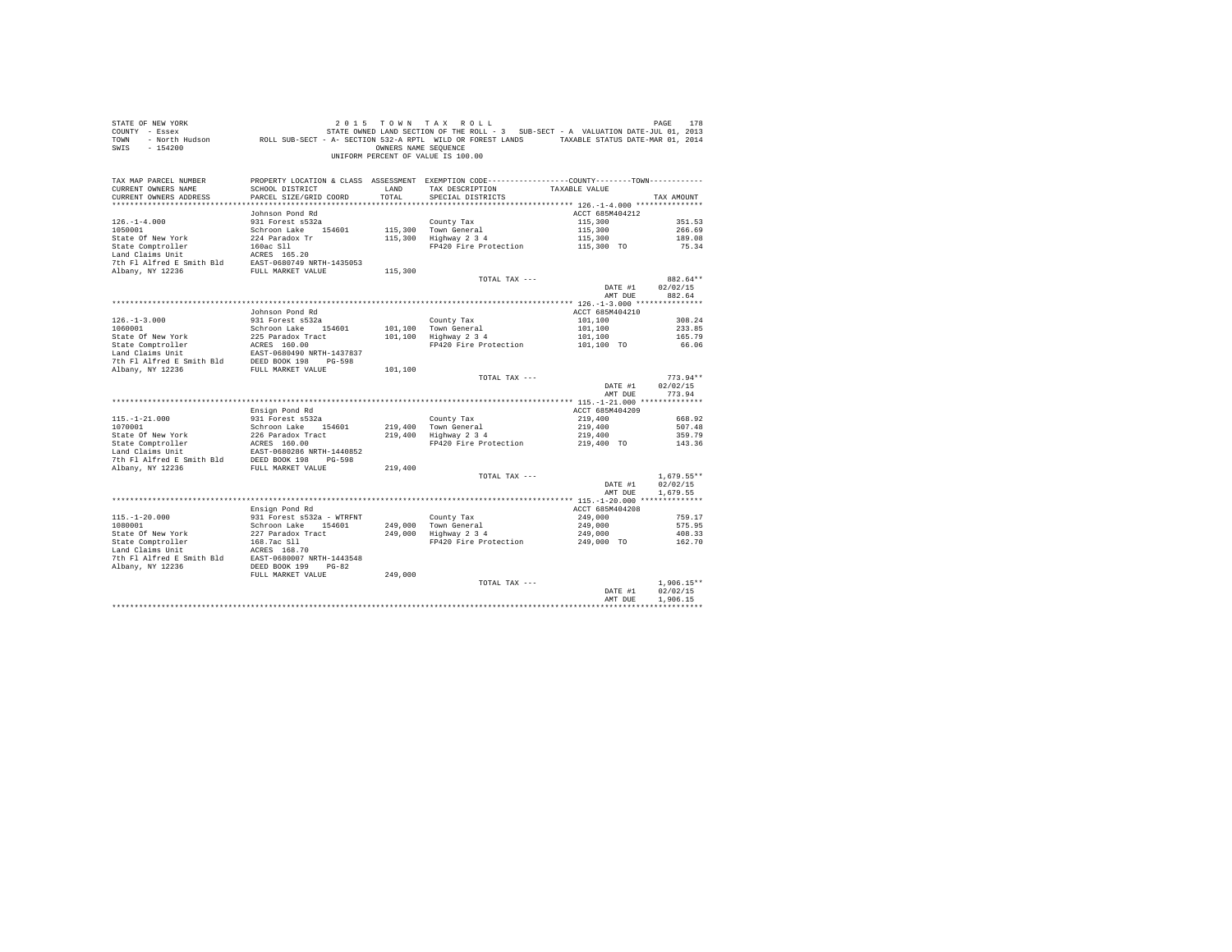| SWIS - 154200                                                                                                                                                   |                                           | OWNERS NAME SEQUENCE | 2015 TOWN TAX ROLL<br>UNIFORM PERCENT OF VALUE IS 100.00                                                                                             |                       |                      |
|-----------------------------------------------------------------------------------------------------------------------------------------------------------------|-------------------------------------------|----------------------|------------------------------------------------------------------------------------------------------------------------------------------------------|-----------------------|----------------------|
| TAX MAP PARCEL NUMBER<br>CURRENT OWNERS NAME                                                                                                                    | SCHOOL DISTRICT<br>PARCEL SIZE/GRID COORD | LAND<br>TOTAL        | PROPERTY LOCATION & CLASS ASSESSMENT EXEMPTION CODE----------------COUNTY-------TOWN----------<br>TAX DESCRIPTION TAXABLE VALUE<br>SPECIAL DISTRICTS |                       | TAX AMOUNT           |
| CURRENT OWNERS ADDRESS                                                                                                                                          |                                           |                      |                                                                                                                                                      |                       |                      |
|                                                                                                                                                                 | Johnson Pond Rd                           |                      |                                                                                                                                                      | ACCT 685M404212       |                      |
| $126. - 1 - 4.000$                                                                                                                                              | 931 Forest s532a                          |                      |                                                                                                                                                      | 115,300               | 351.53               |
| 1050001                                                                                                                                                         | Schroon Lake 154601                       |                      |                                                                                                                                                      | 115,300               | 266.69               |
| State Of New York                                                                                                                                               | 224 Paradox Tr                            |                      | County Tax<br>115,300 Town General<br>115,300 Highway 2 3 4                                                                                          | 115,300               | 189.08               |
|                                                                                                                                                                 |                                           |                      | FP420 Fire Protection                                                                                                                                | 115,300 TO            | 75.34                |
|                                                                                                                                                                 |                                           |                      |                                                                                                                                                      |                       |                      |
| State Comptroller<br>Land Claims Unit<br>$\text{ACRES}$ 165.20<br>7th F1 AIfred E Smith Bld<br>EXET-0680749 NRTH-1435053<br>albany NY 12036<br>Albany, NY 12236 | FULL MARKET VALUE                         | 115,300              |                                                                                                                                                      |                       |                      |
|                                                                                                                                                                 |                                           |                      | TOTAL TAX ---                                                                                                                                        |                       | 882.64**             |
|                                                                                                                                                                 |                                           |                      |                                                                                                                                                      | DATE #1 02/02/15      |                      |
|                                                                                                                                                                 |                                           |                      |                                                                                                                                                      | AMT DUE               | 882.64               |
|                                                                                                                                                                 |                                           |                      |                                                                                                                                                      |                       |                      |
|                                                                                                                                                                 | Johnson Pond Rd                           |                      |                                                                                                                                                      | ACCT 685M404210       |                      |
| $126. - 1 - 3.000$                                                                                                                                              | 931 Forest s532a                          |                      |                                                                                                                                                      | 101,100               | 308.24               |
| 1060001                                                                                                                                                         | Schroon Lake 154601                       |                      | County Tax<br>101,100 Town General<br>101,100 Highway 2 3 4                                                                                          | 101,100<br>101,100    | 233.85               |
| State Of New York                                                                                                                                               | 225 Paradox Tract                         |                      | FP420 Fire Protection                                                                                                                                | 101,100 TO            | 165.79<br>66.06      |
|                                                                                                                                                                 |                                           |                      |                                                                                                                                                      |                       |                      |
|                                                                                                                                                                 |                                           |                      |                                                                                                                                                      |                       |                      |
|                                                                                                                                                                 |                                           | 101,100              |                                                                                                                                                      |                       |                      |
|                                                                                                                                                                 |                                           |                      | TOTAL TAX ---                                                                                                                                        |                       | $773.94**$           |
|                                                                                                                                                                 |                                           |                      |                                                                                                                                                      | DATE #1               | 02/02/15             |
|                                                                                                                                                                 |                                           |                      |                                                                                                                                                      | AMT DUE               | 773.94               |
|                                                                                                                                                                 | Ensign Pond Rd                            |                      |                                                                                                                                                      | ACCT 685M404209       |                      |
| $115. - 1 - 21.000$                                                                                                                                             | 931 Forest s532a                          |                      |                                                                                                                                                      | 219,400               | 668.92               |
| 1070001                                                                                                                                                         | Schroon Lake 154601                       |                      |                                                                                                                                                      | 219,400               | 507.48               |
|                                                                                                                                                                 |                                           |                      | County Tax<br>219,400 Town General<br>219,400 Highway 2 3 4                                                                                          | 219,400<br>219,400 TO | 359.79               |
|                                                                                                                                                                 |                                           |                      | FP420 Fire Protection                                                                                                                                |                       | 143.36               |
|                                                                                                                                                                 |                                           |                      |                                                                                                                                                      |                       |                      |
|                                                                                                                                                                 |                                           |                      |                                                                                                                                                      |                       |                      |
|                                                                                                                                                                 |                                           |                      | TOTAL TAX ---                                                                                                                                        |                       | $1.679.55**$         |
|                                                                                                                                                                 |                                           |                      |                                                                                                                                                      | DATE #1               | 02/02/15             |
|                                                                                                                                                                 |                                           |                      |                                                                                                                                                      | AMT DUE               | 1,679.55             |
|                                                                                                                                                                 |                                           |                      |                                                                                                                                                      |                       |                      |
|                                                                                                                                                                 | Ensign Pond Rd                            |                      |                                                                                                                                                      | ACCT 685M404208       |                      |
| $115. - 1 - 20.000$                                                                                                                                             | 931 Forest s532a - WTRFNT                 |                      | County Tax                                                                                                                                           | 249,000               | 759.17               |
| 1080001                                                                                                                                                         | Schroon Lake 154601                       |                      | Councy rax<br>249,000 Town General<br>249,000 Highway 2 3 4                                                                                          | 249,000               | 575.95               |
| State Of New York<br>State Comptroller                                                                                                                          | 227 Paradox Tract<br>168.7ac Sll          |                      | FP420 Fire Protection 249,000 TO                                                                                                                     | 249,000               | 408.33<br>162.70     |
|                                                                                                                                                                 |                                           |                      |                                                                                                                                                      |                       |                      |
| Land Claims Unit MCRES 168.70<br>7th Fl Alfred E Smith Bld EAST-0680007 NRTH-1443548<br>Albany, NY 12236 DEED BOOK 199 PG-82                                    |                                           |                      |                                                                                                                                                      |                       |                      |
|                                                                                                                                                                 |                                           |                      |                                                                                                                                                      |                       |                      |
|                                                                                                                                                                 | FULL MARKET VALUE                         | 249,000              |                                                                                                                                                      |                       |                      |
|                                                                                                                                                                 |                                           |                      | TOTAL TAX ---                                                                                                                                        |                       | $1.906.15**$         |
|                                                                                                                                                                 |                                           |                      |                                                                                                                                                      | DATE #1<br>AMT DUE    | 02/02/15<br>1,906.15 |
|                                                                                                                                                                 |                                           |                      |                                                                                                                                                      |                       |                      |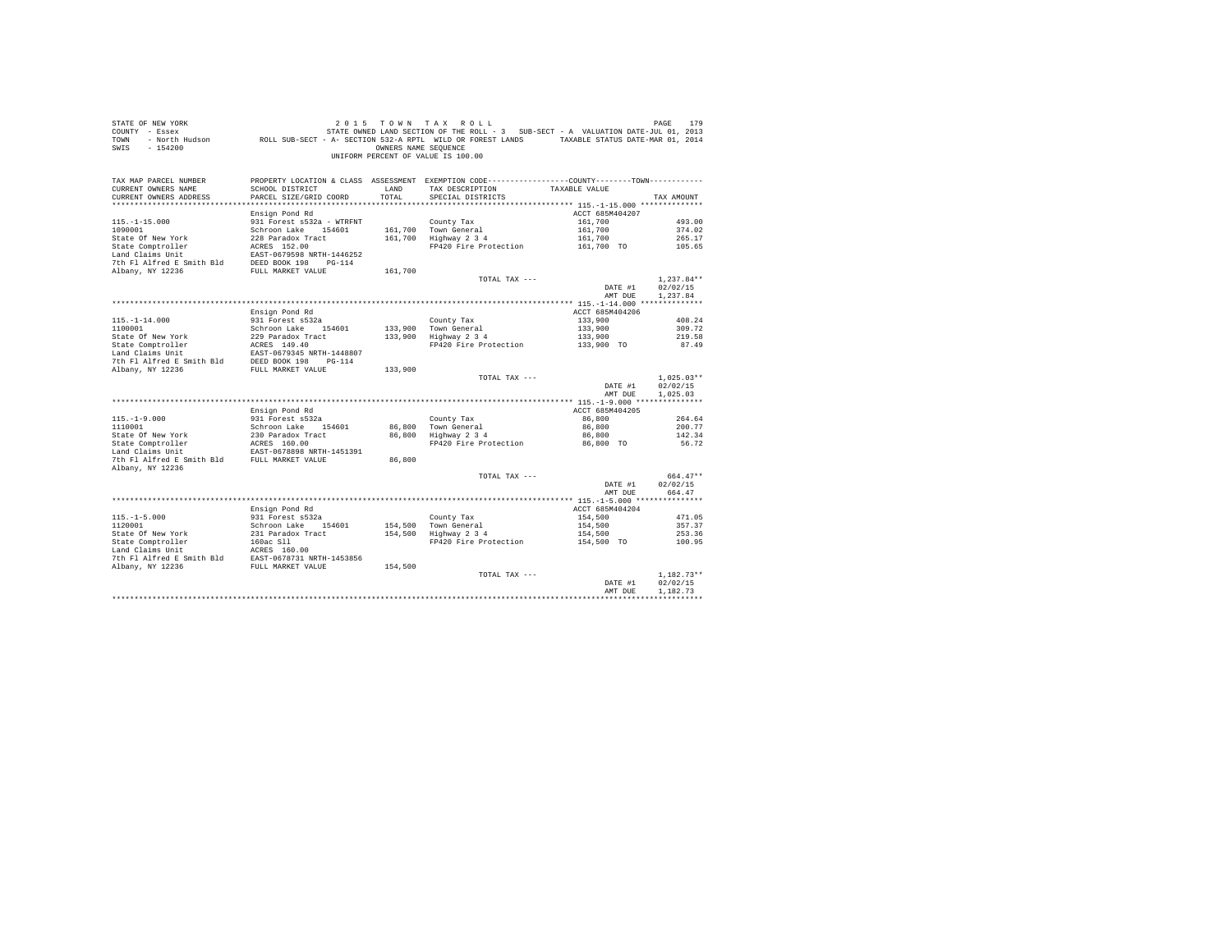| STATE OF NEW YORK<br>COUNTY - Essex<br>TOWN<br>$-154200$<br>SWIS                 |                                                           | OWNERS NAME SEOUENCE | 2015 TOWN TAX ROLL<br>- 2013 - 2014 - 2015 - 2014 - 2014 - 2014 - 2014 - 2015 - 2014 - 2015 - 2016 - 2016 - 2017 - 2017 - 2017 - 201<br>2013 - 2017 - 2017 - 2017 - 2017 - 2017 - 2018 - 2017 - 2018 - 2017 - 2017 - 2017 - 2017 - 2017 - 2017 - 2017<br>-<br>UNIFORM PERCENT OF VALUE IS 100.00 |                     | PAGE<br>179                          |
|----------------------------------------------------------------------------------|-----------------------------------------------------------|----------------------|--------------------------------------------------------------------------------------------------------------------------------------------------------------------------------------------------------------------------------------------------------------------------------------------------|---------------------|--------------------------------------|
| TAX MAP PARCEL NUMBER<br>CURRENT OWNERS NAME<br>CURRENT OWNERS ADDRESS           | SCHOOL DISTRICT<br>PARCEL SIZE/GRID COORD                 | LAND<br>TOTAL        | PROPERTY LOCATION & CLASS ASSESSMENT EXEMPTION CODE---------------COUNTY-------TOWN---------<br>TAX DESCRIPTION TAXABLE VALUE<br>SPECIAL DISTRICTS                                                                                                                                               |                     | TAX AMOUNT                           |
|                                                                                  | Ensign Pond Rd                                            |                      |                                                                                                                                                                                                                                                                                                  | ACCT 685M404207     |                                      |
| $115. - 1 - 15.000$                                                              | 931 Forest s532a - WTRFNT                                 |                      | County Tax                                                                                                                                                                                                                                                                                       | 161,700             | 493.00                               |
| 1090001                                                                          | Schroon Lake 154601                                       |                      | 161,700 Town General                                                                                                                                                                                                                                                                             | 161,700             | 374.02                               |
| State Of New York                                                                | 228 Paradox Tract                                         |                      | 161,700 Highway 2 3 4                                                                                                                                                                                                                                                                            | 161,700             | 265.17                               |
| State Comptroller                                                                | ACRES 152.00<br>ACRES 152.00<br>EAST-0679598 NRTH-1446252 |                      | FP420 Fire Protection                                                                                                                                                                                                                                                                            | 161,700 TO          | 105.65                               |
| Land Claims Unit                                                                 |                                                           |                      |                                                                                                                                                                                                                                                                                                  |                     |                                      |
| Deep Notation of The Smith Bld<br>The Fl Alfred E Smith Bld<br>PULL MARKET VALUE |                                                           | 161,700              |                                                                                                                                                                                                                                                                                                  |                     |                                      |
|                                                                                  |                                                           |                      | TOTAL TAX ---                                                                                                                                                                                                                                                                                    |                     | $1,237.84**$                         |
|                                                                                  |                                                           |                      |                                                                                                                                                                                                                                                                                                  | DATE #1             | 02/02/15                             |
|                                                                                  |                                                           |                      |                                                                                                                                                                                                                                                                                                  | AMT DUE             | 1,237.84                             |
|                                                                                  |                                                           |                      |                                                                                                                                                                                                                                                                                                  |                     |                                      |
|                                                                                  | Ensign Pond Rd                                            |                      |                                                                                                                                                                                                                                                                                                  | ACCT 685M404206     |                                      |
| $115. - 1 - 14.000$                                                              | 931 Forest s532a                                          |                      | County Tax                                                                                                                                                                                                                                                                                       | 133,900             | 408.24                               |
| 1100001<br>State Of New York                                                     | Schroon Lake 154601                                       |                      | 133,900 Town General<br>133,900 Highway 2 3 4                                                                                                                                                                                                                                                    | 133,900             | 309.72                               |
|                                                                                  | 229 Paradox Tract                                         |                      | Highway 2 3 4 133,900<br>FP420 Fire Protection 133,900 TO                                                                                                                                                                                                                                        |                     | 219.58<br>87.49                      |
|                                                                                  |                                                           |                      |                                                                                                                                                                                                                                                                                                  |                     |                                      |
|                                                                                  |                                                           |                      |                                                                                                                                                                                                                                                                                                  |                     |                                      |
|                                                                                  |                                                           | 133,900              |                                                                                                                                                                                                                                                                                                  |                     |                                      |
|                                                                                  |                                                           |                      | TOTAL TAX ---                                                                                                                                                                                                                                                                                    | DATE #1<br>AMT DUE  | $1,025.03**$<br>02/02/15<br>1.025.03 |
|                                                                                  |                                                           |                      |                                                                                                                                                                                                                                                                                                  |                     |                                      |
|                                                                                  | Ensign Pond Rd                                            |                      |                                                                                                                                                                                                                                                                                                  | ACCT 685M404205     |                                      |
| $115. - 1 - 9.000$                                                               | 931 Forest s532a                                          |                      | County Tax                                                                                                                                                                                                                                                                                       | 86,800              | 264.64                               |
| 1110001                                                                          | Schroon Lake 154601                                       |                      | 86,800 Town General<br>86,800 Highway 2 3 4                                                                                                                                                                                                                                                      | 86,800              | 200.77                               |
| 1110001<br>State Of New York<br>State Comptroller                                | 230 Paradox Tract<br>ACRES 160.00                         |                      | FP420 Fire Protection                                                                                                                                                                                                                                                                            | 86,800<br>86,800 TO | 142.34<br>56.72                      |
|                                                                                  | EAST-0678898 NRTH-1451391                                 |                      |                                                                                                                                                                                                                                                                                                  |                     |                                      |
| 7th Fl Alfred E Smith Bld FULL MARKET VALUE                                      |                                                           | 86,800               |                                                                                                                                                                                                                                                                                                  |                     |                                      |
| Albany, NY 12236                                                                 |                                                           |                      |                                                                                                                                                                                                                                                                                                  |                     |                                      |
|                                                                                  |                                                           |                      | TOTAL TAX ---                                                                                                                                                                                                                                                                                    |                     | 664.47**                             |
|                                                                                  |                                                           |                      |                                                                                                                                                                                                                                                                                                  | DATE #1             | 02/02/15                             |
|                                                                                  |                                                           |                      |                                                                                                                                                                                                                                                                                                  | AMT DUE             | 664.47                               |
|                                                                                  | Ensign Pond Rd                                            |                      |                                                                                                                                                                                                                                                                                                  | ACCT 685M404204     |                                      |
| $115. - 1 - 5.000$                                                               | 931 Forest s532a                                          |                      | County Tax                                                                                                                                                                                                                                                                                       | 154,500             | 471.05                               |
| 1120001                                                                          | Schroon Lake 154601                                       |                      |                                                                                                                                                                                                                                                                                                  | 154,500             | 357.37                               |
|                                                                                  |                                                           |                      | 154,500 Town General<br>154,500 Highway 2 3 4                                                                                                                                                                                                                                                    | 154,500             | 253.36                               |
|                                                                                  |                                                           |                      | FP420 Fire Protection                                                                                                                                                                                                                                                                            | 154,500 TO          | 100.95                               |
|                                                                                  |                                                           |                      |                                                                                                                                                                                                                                                                                                  |                     |                                      |
|                                                                                  |                                                           |                      |                                                                                                                                                                                                                                                                                                  |                     |                                      |
|                                                                                  |                                                           |                      | TOTAL TAX ---                                                                                                                                                                                                                                                                                    |                     | $1.182.73**$                         |
|                                                                                  |                                                           |                      |                                                                                                                                                                                                                                                                                                  | DATE #1             | 02/02/15                             |
|                                                                                  |                                                           |                      |                                                                                                                                                                                                                                                                                                  | AMT DUE             | 1,182.73                             |
|                                                                                  |                                                           |                      |                                                                                                                                                                                                                                                                                                  |                     |                                      |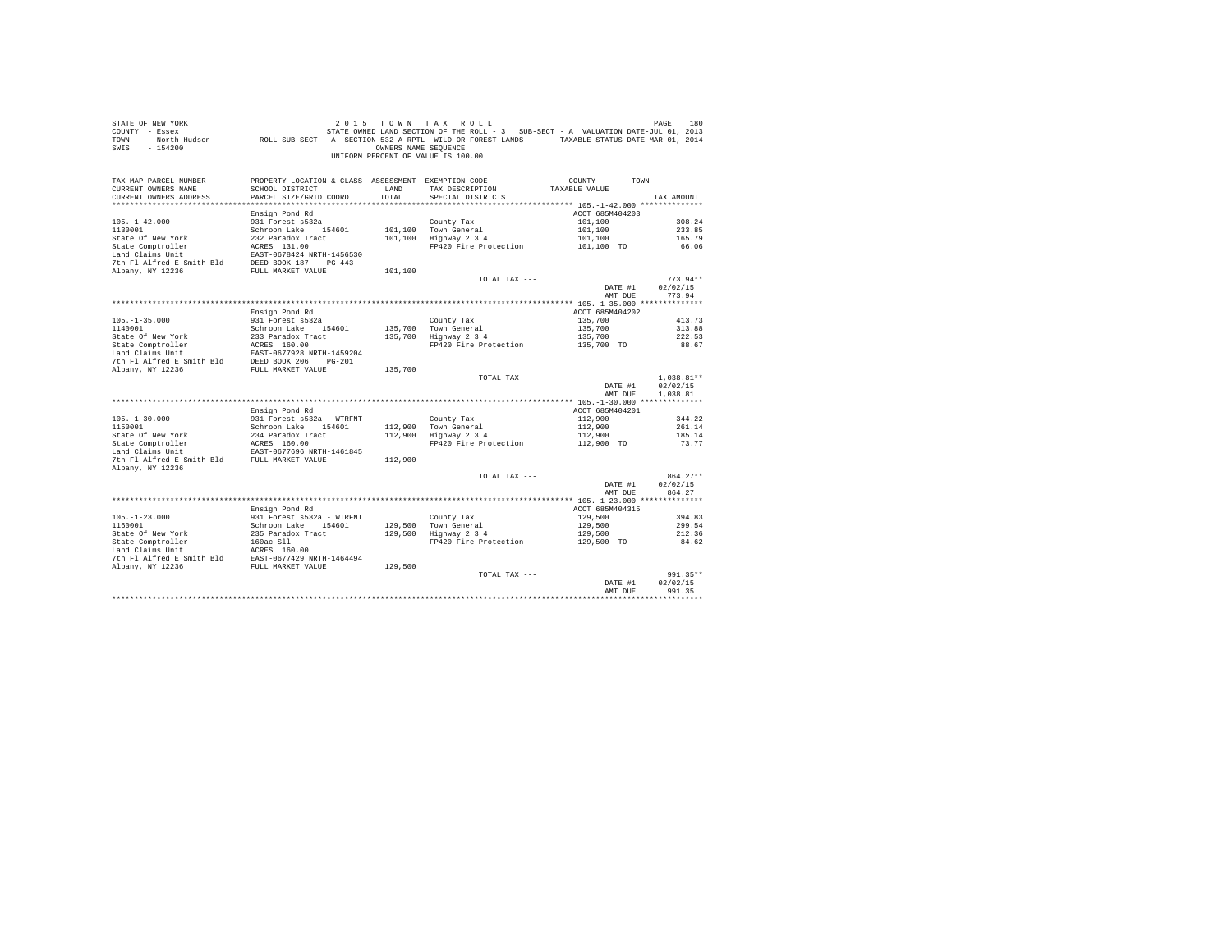| STATE OF NEW YORK<br>SWIS - 154200                                                                                      |                                           | OWNERS NAME SEQUENCE | 2015 TOWN TAX ROLL<br>UNIFORM PERCENT OF VALUE IS 100.00                                                                                              |                       | PAGE<br>180        |
|-------------------------------------------------------------------------------------------------------------------------|-------------------------------------------|----------------------|-------------------------------------------------------------------------------------------------------------------------------------------------------|-----------------------|--------------------|
| TAX MAP PARCEL NUMBER<br>CURRENT OWNERS NAME<br>CURRENT OWNERS ADDRESS                                                  | SCHOOL DISTRICT<br>PARCEL SIZE/GRID COORD | LAND<br>TOTAL        | PROPERTY LOCATION & CLASS ASSESSMENT EXEMPTION CODE----------------COUNTY--------TOWN----------<br>TAX DESCRIPTION TAXABLE VALUE<br>SPECIAL DISTRICTS |                       | TAX AMOUNT         |
|                                                                                                                         |                                           |                      |                                                                                                                                                       |                       |                    |
|                                                                                                                         | Ensign Pond Rd                            |                      |                                                                                                                                                       | ACCT 685M404203       |                    |
| $105. - 1 - 42.000$                                                                                                     | 931 Forest s532a                          |                      | County Tax                                                                                                                                            | 101,100               | 308.24             |
| 1130001                                                                                                                 | Schroon Lake 154601                       |                      | 101,100 Town General                                                                                                                                  | 101,100               | 233.85             |
| State Of New York                                                                                                       | 232 Paradox Tract                         |                      | 101,100 Town General<br>101,100 Highway 2 3 4                                                                                                         | 101,100               | 165.79             |
| State Comptroller                                                                                                       | 232 Paradox Tract<br>ACRES 131.00         |                      | FP420 Fire Protection 101,100 TO                                                                                                                      |                       | 66.06              |
| Land Claims Unit                                                                                                        | EAST-0678424 NRTH-1456530                 |                      |                                                                                                                                                       |                       |                    |
| 7th Fl Alfred E Smith Bld DEED BOOK 187 PG-443                                                                          |                                           |                      |                                                                                                                                                       |                       |                    |
| Albany, NY 12236                                                                                                        | FULL MARKET VALUE                         | 101,100              |                                                                                                                                                       |                       |                    |
|                                                                                                                         |                                           |                      | TOTAL TAX ---                                                                                                                                         |                       | $773.94**$         |
|                                                                                                                         |                                           |                      |                                                                                                                                                       | DATE #1               | 02/02/15           |
|                                                                                                                         |                                           |                      |                                                                                                                                                       | AMT DUE               | 773.94             |
|                                                                                                                         |                                           |                      |                                                                                                                                                       |                       |                    |
|                                                                                                                         | Ensign Pond Rd                            |                      |                                                                                                                                                       | ACCT 685M404202       |                    |
| $105. - 1 - 35.000$                                                                                                     | 931 Forest s532a                          |                      |                                                                                                                                                       | 135,700               | 413.73             |
| 1140001                                                                                                                 | Schroon Lake 154601                       |                      | County Tax<br>135,700 Town General<br>135,700 Highway 2 3 4                                                                                           | 135,700               | 313.88             |
|                                                                                                                         |                                           |                      | FP420 Fire Protection 135,700 TO                                                                                                                      | 135,700               | 222.53             |
| State Of New York 233 Paradox Tract Camptroller 233 Paradox Tract Camptroller 2010 101 ACRES 160.00 EM Land Claims Unit |                                           |                      |                                                                                                                                                       |                       | 88.67              |
|                                                                                                                         |                                           |                      |                                                                                                                                                       |                       |                    |
|                                                                                                                         |                                           | 135,700              |                                                                                                                                                       |                       |                    |
|                                                                                                                         |                                           |                      | TOTAL TAX ---                                                                                                                                         |                       | $1.038.81**$       |
|                                                                                                                         |                                           |                      |                                                                                                                                                       | DATE #1               | 02/02/15           |
|                                                                                                                         |                                           |                      |                                                                                                                                                       | AMT DUE               | 1,038.81           |
|                                                                                                                         |                                           |                      |                                                                                                                                                       |                       |                    |
|                                                                                                                         | Ensign Pond Rd                            |                      |                                                                                                                                                       | ACCT 685M404201       |                    |
| $105. - 1 - 30.000$                                                                                                     | 931 Forest s532a - WTRFNT                 |                      | County Tax                                                                                                                                            | 112,900               | 344.22             |
|                                                                                                                         | Schroon Lake 154601                       |                      | 112,900 Town General<br>112,900 Highway 2 3 4                                                                                                         | 112,900               | 261.14             |
| 1150001<br>State Of New York<br>State Comptroller<br>The Thir                                                           | 234 Paradox Tract<br>ACRES 160.00         |                      |                                                                                                                                                       | 112,900               | 185.14             |
|                                                                                                                         |                                           |                      | FP420 Fire Protection                                                                                                                                 | 112,900 TO            | 73.77              |
|                                                                                                                         | EAST-0677696 NRTH-1461845                 |                      |                                                                                                                                                       |                       |                    |
| 7th Fl Alfred E Smith Bld FULL MARKET VALUE                                                                             |                                           | 112,900              |                                                                                                                                                       |                       |                    |
| Albany, NY 12236                                                                                                        |                                           |                      | TOTAL TAX ---                                                                                                                                         |                       | $864.27**$         |
|                                                                                                                         |                                           |                      |                                                                                                                                                       | DATE #1               | 02/02/15           |
|                                                                                                                         |                                           |                      |                                                                                                                                                       | AMT DUE               | 864.27             |
|                                                                                                                         |                                           |                      |                                                                                                                                                       |                       |                    |
|                                                                                                                         | Ensign Pond Rd                            |                      |                                                                                                                                                       | ACCT 685M404315       |                    |
| $105. - 1 - 23.000$                                                                                                     | 931 Forest s532a - WTRFNT                 |                      | County Tax                                                                                                                                            | 129,500               | 394.83             |
| 1160001                                                                                                                 | Schroon Lake 154601                       |                      |                                                                                                                                                       | 129,500               | 299.54             |
| State Of New York<br>State Comptroller<br>Land Claims Unit                                                              | 235 Paradox Tract<br>160ac Sll            |                      | County Tax<br>129,500   Town General<br>129,500   Highway 2 3 4                                                                                       | 129,500<br>129,500 TO | 212.36             |
|                                                                                                                         | $ACRES$ 160.00                            |                      | FP420 Fire Protection                                                                                                                                 |                       | 84.62              |
|                                                                                                                         |                                           |                      |                                                                                                                                                       |                       |                    |
|                                                                                                                         |                                           |                      |                                                                                                                                                       |                       |                    |
|                                                                                                                         |                                           |                      |                                                                                                                                                       |                       |                    |
|                                                                                                                         |                                           |                      | TOTAL TAX ---                                                                                                                                         |                       | $991.35**$         |
|                                                                                                                         |                                           |                      |                                                                                                                                                       | DATE #1               | 02/02/15<br>991.35 |
|                                                                                                                         |                                           |                      |                                                                                                                                                       | AMT DUE               |                    |
|                                                                                                                         |                                           |                      |                                                                                                                                                       |                       |                    |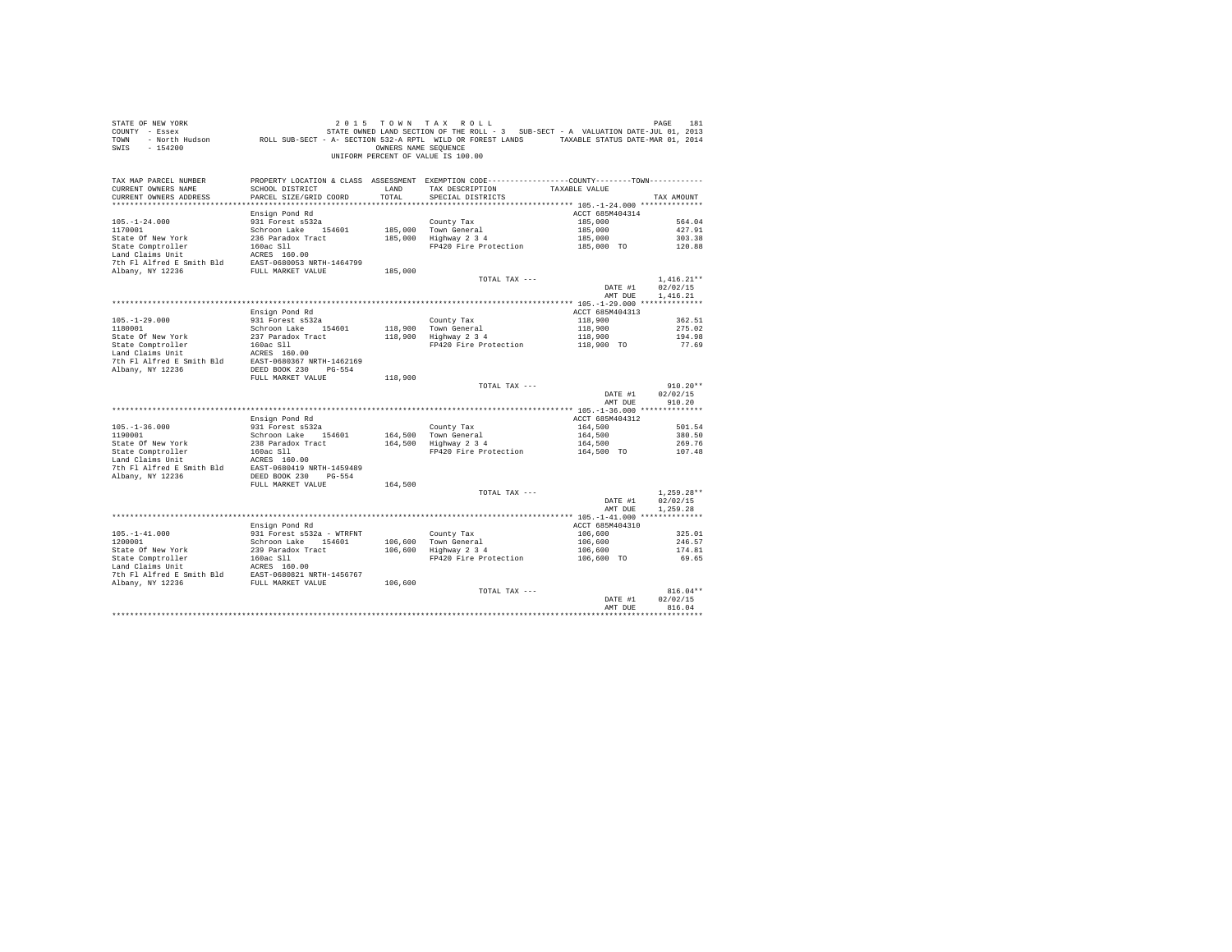| STATE OF NEW YORK<br>COUNTY - Essex<br>TOWN<br>SWIS - 154200                                                                                                                |                                           | OWNERS NAME SEOUENCE | DE NEW YORK TOWN TRAIN OF MEN ON THE PAGE 181<br>- Essex STATE ON STATE OWNED LAND SECTION OF THE ROLL - 3 SUB-SECT - A VALUATION DATE-JUL 01, 2013<br>- North Hudson     ROLL SUB-SECT - A SECTION 532-A RPTL WILD OR FOREST LANDS<br>UNIFORM PERCENT OF VALUE IS 100.00 |                       |              |
|-----------------------------------------------------------------------------------------------------------------------------------------------------------------------------|-------------------------------------------|----------------------|---------------------------------------------------------------------------------------------------------------------------------------------------------------------------------------------------------------------------------------------------------------------------|-----------------------|--------------|
| TAX MAP PARCEL NUMBER<br>CURRENT OWNERS NAME<br>CURRENT OWNERS ADDRESS                                                                                                      | SCHOOL DISTRICT<br>PARCEL SIZE/GRID COORD | LAND<br>TOTAL.       | PROPERTY LOCATION & CLASS ASSESSMENT EXEMPTION CODE----------------COUNTY--------TOWN----------<br>TAX DESCRIPTION<br>SPECIAL DISTRICTS                                                                                                                                   | TAXABLE VALUE         | TAX AMOUNT   |
|                                                                                                                                                                             | Ensign Pond Rd                            |                      |                                                                                                                                                                                                                                                                           | ACCT 685M404314       |              |
| $105. - 1 - 24.000$                                                                                                                                                         | 931 Forest s532a                          |                      | County Tax                                                                                                                                                                                                                                                                | 185,000               | 564.04       |
| 1170001                                                                                                                                                                     | Schroon Lake 154601                       |                      | 185,000 Town General                                                                                                                                                                                                                                                      | 185,000               | 427.91       |
| State Of New York                                                                                                                                                           | 236 Paradox Tract                         |                      | 185,000 Highway 2 3 4                                                                                                                                                                                                                                                     | 185,000<br>185,000 TO | 303.38       |
| State Comptroller<br>Land Claims Unit                                                                                                                                       | 160ac S11                                 |                      | FP420 Fire Protection                                                                                                                                                                                                                                                     |                       | 120.88       |
|                                                                                                                                                                             |                                           |                      |                                                                                                                                                                                                                                                                           |                       |              |
|                                                                                                                                                                             |                                           |                      |                                                                                                                                                                                                                                                                           |                       |              |
|                                                                                                                                                                             |                                           | 185,000              | TOTAL TAX ---                                                                                                                                                                                                                                                             |                       | $1.416.21**$ |
|                                                                                                                                                                             |                                           |                      |                                                                                                                                                                                                                                                                           | DATE #1               | 02/02/15     |
|                                                                                                                                                                             |                                           |                      |                                                                                                                                                                                                                                                                           | AMT DUE               | 1,416.21     |
|                                                                                                                                                                             |                                           |                      |                                                                                                                                                                                                                                                                           |                       |              |
|                                                                                                                                                                             | Ensign Pond Rd                            |                      |                                                                                                                                                                                                                                                                           | ACCT 685M404313       |              |
| $105. - 1 - 29.000$                                                                                                                                                         | 931 Forest s532a                          |                      | County Tax<br>118,900 Town General<br>118,900 Highway 2 3 4                                                                                                                                                                                                               | 118,900               | 362.51       |
| 1180001                                                                                                                                                                     | Schroon Lake 154601                       |                      |                                                                                                                                                                                                                                                                           | 118,900               | 275.02       |
|                                                                                                                                                                             |                                           |                      |                                                                                                                                                                                                                                                                           | 118,900               | 194.98       |
|                                                                                                                                                                             |                                           |                      | FP420 Fire Protection 118,900 TO                                                                                                                                                                                                                                          |                       | 77.69        |
| State Of New York 237 Paradox Tract<br>State Comptroller 160ac S11<br>Land Claims Unit 160ac S160.00                                                                        |                                           |                      |                                                                                                                                                                                                                                                                           |                       |              |
| 7th F1 Alfred E Smith Bld EAST-0680367 NRTH-1462169                                                                                                                         |                                           |                      |                                                                                                                                                                                                                                                                           |                       |              |
| Albany, NY 12236                                                                                                                                                            | DEED BOOK 230 PG-554                      |                      |                                                                                                                                                                                                                                                                           |                       |              |
|                                                                                                                                                                             | FULL MARKET VALUE                         | 118,900              | TOTAL TAX ---                                                                                                                                                                                                                                                             |                       | $910.20**$   |
|                                                                                                                                                                             |                                           |                      |                                                                                                                                                                                                                                                                           | DATE #1               | 02/02/15     |
|                                                                                                                                                                             |                                           |                      |                                                                                                                                                                                                                                                                           | AMT DUE               | 910.20       |
|                                                                                                                                                                             |                                           |                      |                                                                                                                                                                                                                                                                           |                       |              |
|                                                                                                                                                                             | Ensign Pond Rd                            |                      |                                                                                                                                                                                                                                                                           | ACCT 685M404312       |              |
| $105. - 1 - 36.000$                                                                                                                                                         | 931 Forest s532a                          |                      | County Tax<br>164,500 Town General<br>164,500 Highway 2 3 4                                                                                                                                                                                                               | 164,500               | 501.54       |
| 1190001                                                                                                                                                                     | Schroon Lake 154601                       |                      |                                                                                                                                                                                                                                                                           | 164,500               | 380.50       |
|                                                                                                                                                                             |                                           |                      |                                                                                                                                                                                                                                                                           | 164,500               | 269.76       |
|                                                                                                                                                                             |                                           |                      | FP420 Fire Protection                                                                                                                                                                                                                                                     | 164,500 TO            | 107.48       |
| State Of New York 238 Paradox Tract<br>State Comptroller 160ac S11<br>Land Claims Unit<br>Land Claims Unit 160ac S11<br>7th F1 Alfred E Smith B1d EAST-0680419 NRTH-1459489 |                                           |                      |                                                                                                                                                                                                                                                                           |                       |              |
| Albany, NY 12236                                                                                                                                                            | DEED BOOK 230 PG-554                      |                      |                                                                                                                                                                                                                                                                           |                       |              |
|                                                                                                                                                                             | FULL MARKET VALUE                         | 164,500              |                                                                                                                                                                                                                                                                           |                       |              |
|                                                                                                                                                                             |                                           |                      | TOTAL TAX ---                                                                                                                                                                                                                                                             |                       | $1.259.28**$ |
|                                                                                                                                                                             |                                           |                      |                                                                                                                                                                                                                                                                           | DATE #1               | 02/02/15     |
|                                                                                                                                                                             |                                           |                      |                                                                                                                                                                                                                                                                           | AMT DUE               | 1,259.28     |
|                                                                                                                                                                             |                                           |                      |                                                                                                                                                                                                                                                                           |                       |              |
|                                                                                                                                                                             | Ensign Pond Rd                            |                      |                                                                                                                                                                                                                                                                           | ACCT 685M404310       |              |
| $105. - 1 - 41.000$                                                                                                                                                         | 931 Forest s532a - WTRFNT                 |                      | County Tax<br>106,600 Town General<br>106,600 Highway 2 3 4                                                                                                                                                                                                               | 106,600               | 325.01       |
| 1200001                                                                                                                                                                     | Schroon Lake 154601                       |                      |                                                                                                                                                                                                                                                                           | 106,600<br>106,600    | 246.57       |
|                                                                                                                                                                             |                                           |                      |                                                                                                                                                                                                                                                                           |                       | 174.81       |
|                                                                                                                                                                             |                                           |                      | FP420 Fire Protection                                                                                                                                                                                                                                                     | 106,600 TO            | 69.65        |
|                                                                                                                                                                             |                                           |                      |                                                                                                                                                                                                                                                                           |                       |              |
|                                                                                                                                                                             |                                           | 106,600              |                                                                                                                                                                                                                                                                           |                       |              |
|                                                                                                                                                                             |                                           |                      | TOTAL TAX ---                                                                                                                                                                                                                                                             |                       | $816.04**$   |
|                                                                                                                                                                             |                                           |                      |                                                                                                                                                                                                                                                                           | DATE #1               | 02/02/15     |
|                                                                                                                                                                             |                                           |                      |                                                                                                                                                                                                                                                                           | AMT DUE               | 816.04       |
|                                                                                                                                                                             |                                           |                      |                                                                                                                                                                                                                                                                           |                       | **********   |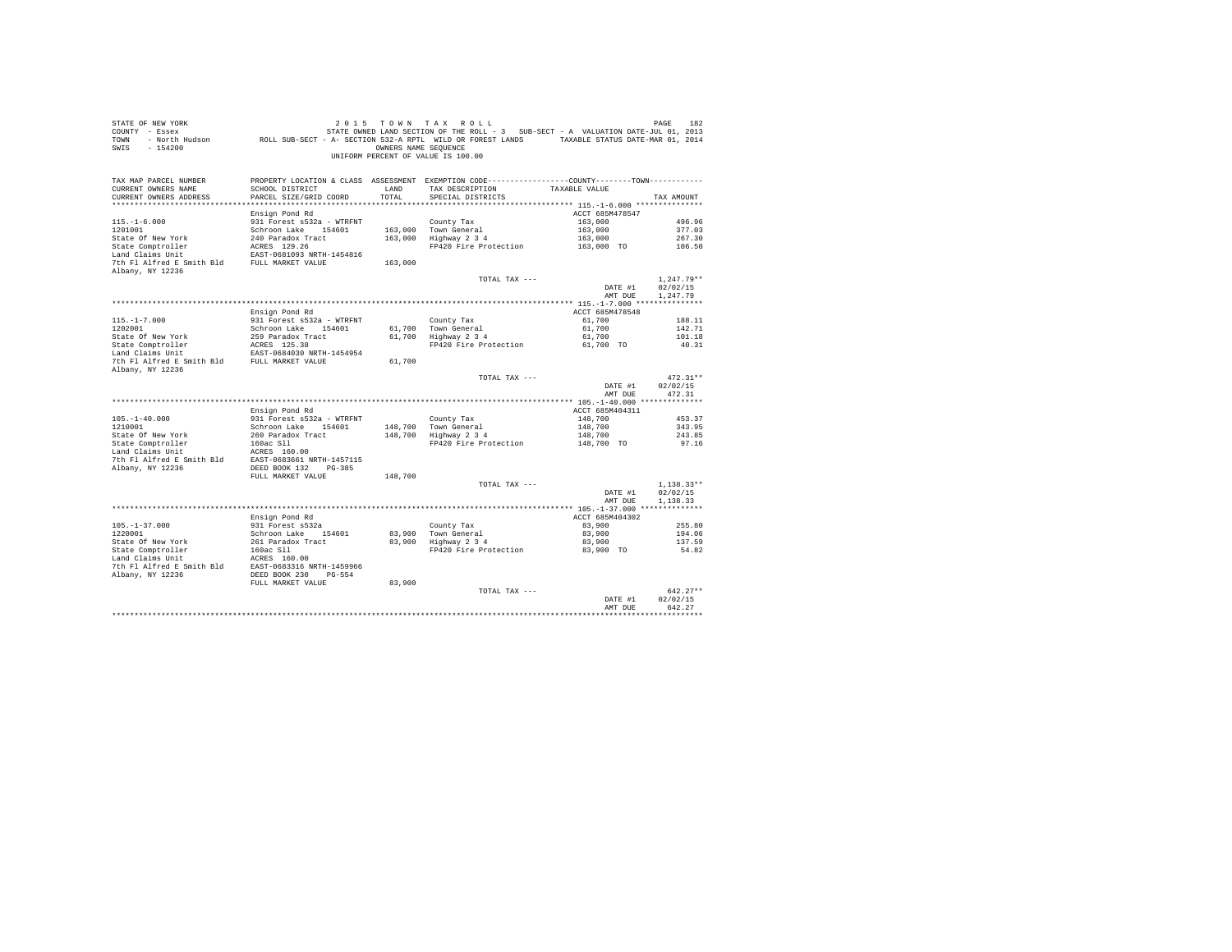| STATE OF NEW YORK                                                                                                                                                                                                              |                                                                                              |                      | 2015 TOWN TAX ROLL                                                     |                                                                                   | PAGE<br>182  |
|--------------------------------------------------------------------------------------------------------------------------------------------------------------------------------------------------------------------------------|----------------------------------------------------------------------------------------------|----------------------|------------------------------------------------------------------------|-----------------------------------------------------------------------------------|--------------|
| COUNTY - Essex                                                                                                                                                                                                                 |                                                                                              |                      |                                                                        | STATE OWNED LAND SECTION OF THE ROLL - 3 SUB-SECT - A VALUATION DATE-JUL 01, 2013 |              |
| TOWN - North Hudson ROLL SUB-SECT - A- SECTION 532-A RPTL WILD OR FOREST LANDS TAXABLE STATUS DATE-MAR 01, 2014                                                                                                                |                                                                                              |                      |                                                                        |                                                                                   |              |
| $-154200$<br>SWIS                                                                                                                                                                                                              |                                                                                              | OWNERS NAME SEOUENCE |                                                                        |                                                                                   |              |
|                                                                                                                                                                                                                                |                                                                                              |                      | UNIFORM PERCENT OF VALUE IS 100.00                                     |                                                                                   |              |
|                                                                                                                                                                                                                                |                                                                                              |                      |                                                                        |                                                                                   |              |
|                                                                                                                                                                                                                                |                                                                                              |                      |                                                                        |                                                                                   |              |
| TAX MAP PARCEL NUMBER                                                                                                                                                                                                          | PROPERTY LOCATION & CLASS ASSESSMENT EXEMPTION CODE---------------COUNTY-------TOWN--------- |                      |                                                                        |                                                                                   |              |
| CURRENT OWNERS NAME                                                                                                                                                                                                            | SCHOOL DISTRICT                                                                              | LAND                 | TAX DESCRIPTION                                                        | TAXABLE VALUE                                                                     |              |
| CURRENT OWNERS ADDRESS                                                                                                                                                                                                         | PARCEL SIZE/GRID COORD                                                                       | TOTAL.               | SPECIAL DISTRICTS                                                      |                                                                                   | TAX AMOUNT   |
|                                                                                                                                                                                                                                |                                                                                              |                      |                                                                        |                                                                                   |              |
|                                                                                                                                                                                                                                | Ensign Pond Rd                                                                               |                      |                                                                        | ACCT 685M478547                                                                   |              |
| $115. - 1 - 6.000$                                                                                                                                                                                                             | 931 Forest s532a - WTRFNT                                                                    |                      | County Tax                                                             | 163,000                                                                           | 496.96       |
| 1201001                                                                                                                                                                                                                        | Schroon Lake 154601                                                                          |                      |                                                                        | 163,000                                                                           | 377.03       |
| State Of New York                                                                                                                                                                                                              | 240 Paradox Tract                                                                            |                      | 163,000 Town General<br>163,000 Highway 2 3 4                          | 163,000                                                                           | 267.30       |
| State Comptroller                                                                                                                                                                                                              |                                                                                              |                      | FP420 Fire Protection                                                  | 163,000 TO                                                                        | 106.50       |
| Land Claims Unit                                                                                                                                                                                                               | ACRES 129.26<br>EAST-0681093 NRTH-1454816<br>FULL MARKET VALUE                               |                      |                                                                        |                                                                                   |              |
| 7th Fl Alfred E Smith Bld                                                                                                                                                                                                      |                                                                                              | 163,000              |                                                                        |                                                                                   |              |
| Albany, NY 12236                                                                                                                                                                                                               |                                                                                              |                      |                                                                        |                                                                                   |              |
|                                                                                                                                                                                                                                |                                                                                              |                      | TOTAL TAX ---                                                          |                                                                                   | $1.247.79**$ |
|                                                                                                                                                                                                                                |                                                                                              |                      |                                                                        | DATE #1                                                                           | 02/02/15     |
|                                                                                                                                                                                                                                |                                                                                              |                      |                                                                        |                                                                                   |              |
|                                                                                                                                                                                                                                |                                                                                              |                      |                                                                        | AMT DUE                                                                           | 1.247.79     |
|                                                                                                                                                                                                                                |                                                                                              |                      |                                                                        |                                                                                   |              |
|                                                                                                                                                                                                                                | Ensign Pond Rd                                                                               |                      |                                                                        | ACCT 685M478548                                                                   |              |
| $115. - 1 - 7.000$                                                                                                                                                                                                             | 931 Forest s532a - WTRFNT                                                                    |                      | County Tax                                                             | 61,700                                                                            | 188.11       |
| 1202001                                                                                                                                                                                                                        | Schroon Lake 154601                                                                          |                      | 61,700 Town General                                                    | 61,700                                                                            | 142.71       |
| Figure 10 Mey York 259 Paradox Tract<br>State Of New York 259 Paradox Tract<br>259 Paradox Tract<br>259 Paradox Tract<br>259 Paradox Tract<br>268 Mey 200 NRTH-1454954<br>27 The Fi Alfred E Smith Bld<br>27 PULL MARKET VALUE |                                                                                              |                      | 61,700 Town General<br>61,700 Highway 2 3 4                            | 61,700                                                                            | 101.18       |
|                                                                                                                                                                                                                                |                                                                                              |                      | FP420 Fire Protection                                                  | 61,700 TO                                                                         | 40.31        |
|                                                                                                                                                                                                                                |                                                                                              |                      |                                                                        |                                                                                   |              |
|                                                                                                                                                                                                                                |                                                                                              | 61,700               |                                                                        |                                                                                   |              |
| Albany, NY 12236                                                                                                                                                                                                               |                                                                                              |                      |                                                                        |                                                                                   |              |
|                                                                                                                                                                                                                                |                                                                                              |                      | TOTAL TAX ---                                                          |                                                                                   | $472.31**$   |
|                                                                                                                                                                                                                                |                                                                                              |                      |                                                                        | DATE #1                                                                           | 02/02/15     |
|                                                                                                                                                                                                                                |                                                                                              |                      |                                                                        | AMT DUE                                                                           | 472.31       |
|                                                                                                                                                                                                                                |                                                                                              |                      |                                                                        |                                                                                   |              |
|                                                                                                                                                                                                                                | Ensign Pond Rd                                                                               |                      |                                                                        | ACCT 685M404311                                                                   |              |
| $105. - 1 - 40.000$                                                                                                                                                                                                            | 931 Forest s532a - WTRFNT                                                                    |                      | County Tax                                                             | 148,700                                                                           | 453.37       |
| 1210001                                                                                                                                                                                                                        | Schroon Lake 154601                                                                          |                      | 148,700 Town General<br>148,700 Highway 2 3 4                          | 148,700                                                                           | 343.95       |
| State Of New York                                                                                                                                                                                                              |                                                                                              |                      |                                                                        | 148,700                                                                           | 243.85       |
| State Comptroller                                                                                                                                                                                                              | 260 Paradox Tract<br>160ac Sll                                                               |                      | FP420 Fire Protection                                                  | 148,700 TO                                                                        | 97.16        |
| Land Claims Unit                                                                                                                                                                                                               |                                                                                              |                      |                                                                        |                                                                                   |              |
| 7th Fl Alfred E Smith Bld EAST-0683661 NRTH-1457115                                                                                                                                                                            | ACRES 160.00                                                                                 |                      |                                                                        |                                                                                   |              |
|                                                                                                                                                                                                                                | DEED BOOK 132 PG-385                                                                         |                      |                                                                        |                                                                                   |              |
| Albany, NY 12236                                                                                                                                                                                                               |                                                                                              |                      |                                                                        |                                                                                   |              |
|                                                                                                                                                                                                                                | FULL MARKET VALUE                                                                            | 148,700              |                                                                        |                                                                                   |              |
|                                                                                                                                                                                                                                |                                                                                              |                      | TOTAL TAX ---                                                          |                                                                                   | $1.138.33**$ |
|                                                                                                                                                                                                                                |                                                                                              |                      |                                                                        | DATE #1                                                                           | 02/02/15     |
|                                                                                                                                                                                                                                |                                                                                              |                      |                                                                        | AMT DUE                                                                           | 1.138.33     |
|                                                                                                                                                                                                                                |                                                                                              |                      |                                                                        |                                                                                   |              |
|                                                                                                                                                                                                                                | Ensign Pond Rd                                                                               |                      |                                                                        | ACCT 685M404302                                                                   |              |
| $105. - 1 - 37.000$                                                                                                                                                                                                            | 931 Forest s532a                                                                             |                      | County Tax                                                             | 83,900                                                                            | 255.80       |
| 1220001                                                                                                                                                                                                                        | Schroon Lake 154601                                                                          |                      |                                                                        | 83,900                                                                            | 194.06       |
| State Of New York                                                                                                                                                                                                              |                                                                                              |                      | $83,900$ Town General<br>$83,900$ Highway 2 3 4<br>$119$ Highway 2 3 4 | 83,900                                                                            | 137.59       |
| State Comptroller                                                                                                                                                                                                              | 261 Paradox Tract<br>160ac Sll                                                               |                      | FP420 Fire Protection                                                  | 83,900 TO                                                                         | 54.82        |
| Land Claims Unit                                                                                                                                                                                                               | ACRES 160.00                                                                                 |                      |                                                                        |                                                                                   |              |
| 7th Fl Alfred E Smith Bld                                                                                                                                                                                                      | EAST-0683316 NRTH-1459966                                                                    |                      |                                                                        |                                                                                   |              |
| Albany, NY 12236                                                                                                                                                                                                               | DEED BOOK 230 PG-554                                                                         |                      |                                                                        |                                                                                   |              |
|                                                                                                                                                                                                                                | FULL MARKET VALUE                                                                            | 83,900               |                                                                        |                                                                                   |              |
|                                                                                                                                                                                                                                |                                                                                              |                      | TOTAL TAX ---                                                          |                                                                                   | $642.27**$   |
|                                                                                                                                                                                                                                |                                                                                              |                      |                                                                        | DATE #1                                                                           | 02/02/15     |
|                                                                                                                                                                                                                                |                                                                                              |                      |                                                                        | AMT DUE                                                                           | 642.27       |
|                                                                                                                                                                                                                                |                                                                                              |                      |                                                                        |                                                                                   |              |
|                                                                                                                                                                                                                                |                                                                                              |                      |                                                                        |                                                                                   | **********   |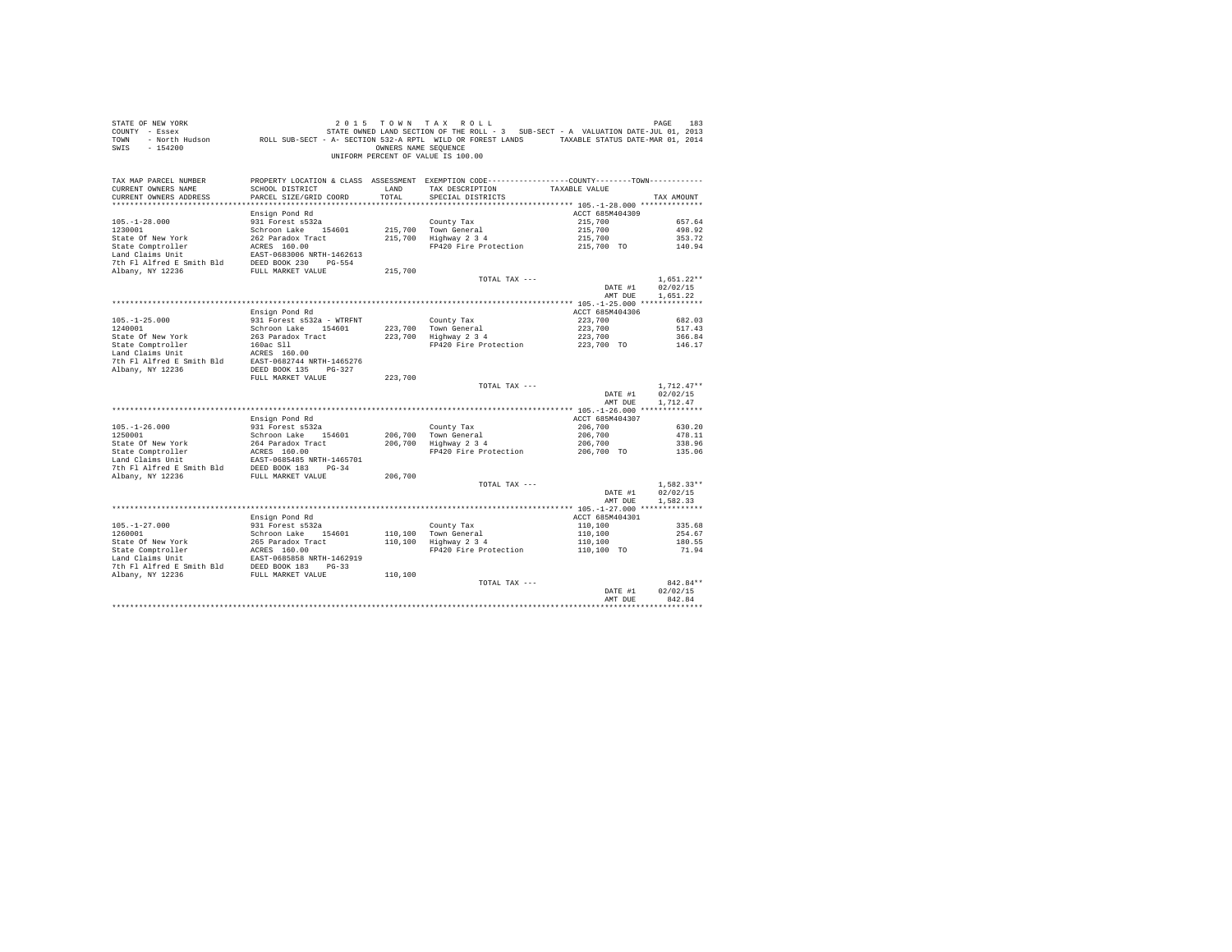| STATE OF NEW YORK<br>COUNTY - Essex<br>TOWN<br>SWIS<br>$-154200$ |                                          | OWNERS NAME SEQUENCE | 2015 TOWN TAX ROLL<br>STATE OWNED LAND SECTION OF THE ROLL - 3 SUB-SECT - A VALUATION DATE-JUL 01, 2013<br>- North Hudson ROLL SUB-SECT - A- SECTION 532-A RPTL WILD OR FOREST LANDS TAXABLE STATUS DATE-MAR 01, 2014<br>UNIFORM PERCENT OF VALUE IS 100.00 |                            | PAGE<br>183        |
|------------------------------------------------------------------|------------------------------------------|----------------------|-------------------------------------------------------------------------------------------------------------------------------------------------------------------------------------------------------------------------------------------------------------|----------------------------|--------------------|
| TAX MAP PARCEL NUMBER<br>CURRENT OWNERS NAME                     | SCHOOL DISTRICT                          | LAND                 | PROPERTY LOCATION & CLASS ASSESSMENT EXEMPTION CODE----------------COUNTY--------TOWN----------<br>TAX DESCRIPTION                                                                                                                                          | TAXABLE VALUE              |                    |
| CURRENT OWNERS ADDRESS                                           | PARCEL SIZE/GRID COORD                   | TOTAL                | SPECIAL DISTRICTS                                                                                                                                                                                                                                           |                            | TAX AMOUNT         |
|                                                                  |                                          |                      |                                                                                                                                                                                                                                                             |                            |                    |
|                                                                  | Ensign Pond Rd                           |                      |                                                                                                                                                                                                                                                             | ACCT 685M404309            |                    |
| $105. - 1 - 28.000$                                              | 931 Forest s532a                         |                      | County Tax                                                                                                                                                                                                                                                  | 215,700                    | 657.64             |
| 1230001<br>State Of New York                                     | Schroon Lake 154601<br>262 Paradox Tract | 215,700              | Town General                                                                                                                                                                                                                                                | 215,700                    | 498.92<br>353.72   |
| State Comptroller                                                | ACRES 160.00                             | 215,700              | Highway 2 3 4<br>FP420 Fire Protection                                                                                                                                                                                                                      | 215,700<br>215,700 TO      | 140.94             |
| Land Claims Unit                                                 | EAST-0683006 NRTH-1462613                |                      |                                                                                                                                                                                                                                                             |                            |                    |
| 7th Fl Alfred E Smith Bld                                        | DEED BOOK 230 PG-554                     |                      |                                                                                                                                                                                                                                                             |                            |                    |
| Albany, NY 12236                                                 | FULL MARKET VALUE                        | 215,700              |                                                                                                                                                                                                                                                             |                            |                    |
|                                                                  |                                          |                      | TOTAL TAX ---                                                                                                                                                                                                                                               |                            | $1.651.22**$       |
|                                                                  |                                          |                      |                                                                                                                                                                                                                                                             | DATE #1                    | 02/02/15           |
|                                                                  |                                          |                      |                                                                                                                                                                                                                                                             | AMT DUE                    | 1.651.22           |
|                                                                  |                                          |                      |                                                                                                                                                                                                                                                             |                            |                    |
|                                                                  | Ensign Pond Rd                           |                      |                                                                                                                                                                                                                                                             | ACCT 685M404306            |                    |
| $105. - 1 - 25.000$                                              | 931 Forest s532a - WTRFNT                |                      | County Tax                                                                                                                                                                                                                                                  | 223,700                    | 682.03             |
| 1240001                                                          | Schroon Lake 154601                      | 223,700              | Town General                                                                                                                                                                                                                                                | 223,700                    | 517.43             |
| State Of New York<br>State Comptroller                           | 263 Paradox Tract<br>160ac Sll           | 223,700              | Highway 2 3 4<br>FP420 Fire Protection                                                                                                                                                                                                                      | 223,700<br>223,700 TO      | 366.84<br>146.17   |
| Land Claims Unit                                                 | ACRES 160.00                             |                      |                                                                                                                                                                                                                                                             |                            |                    |
| 7th Fl Alfred E Smith Bld                                        | EAST-0682744 NRTH-1465276                |                      |                                                                                                                                                                                                                                                             |                            |                    |
| Albany, NY 12236                                                 | DEED BOOK 135 PG-327                     |                      |                                                                                                                                                                                                                                                             |                            |                    |
|                                                                  | FULL MARKET VALUE                        | 223,700              |                                                                                                                                                                                                                                                             |                            |                    |
|                                                                  |                                          |                      | TOTAL TAX ---                                                                                                                                                                                                                                               |                            | $1.712.47**$       |
|                                                                  |                                          |                      |                                                                                                                                                                                                                                                             | DATE #1                    | 02/02/15           |
|                                                                  |                                          |                      |                                                                                                                                                                                                                                                             | AMT DUE                    | 1,712.47           |
|                                                                  |                                          |                      |                                                                                                                                                                                                                                                             |                            |                    |
| $105. - 1 - 26.000$                                              | Ensign Pond Rd<br>931 Forest s532a       |                      |                                                                                                                                                                                                                                                             | ACCT 685M404307<br>206,700 | 630.20             |
| 1250001                                                          | Schroon Lake 154601                      | 206,700              | County Tax<br>Town General                                                                                                                                                                                                                                  | 206,700                    | 478.11             |
| State Of New York                                                | 264 Paradox Tract                        | 206,700              | Highway 2 3 4                                                                                                                                                                                                                                               | 206,700                    | 338.96             |
| State Comptroller                                                | ACRES 160.00                             |                      | FP420 Fire Protection                                                                                                                                                                                                                                       | 206,700 TO                 | 135.06             |
| Land Claims Unit                                                 | EAST-0685485 NRTH-1465701                |                      |                                                                                                                                                                                                                                                             |                            |                    |
| 7th Fl Alfred E Smith Bld                                        | DEED BOOK 183 PG-34                      |                      |                                                                                                                                                                                                                                                             |                            |                    |
| Albany, NY 12236                                                 | FULL MARKET VALUE                        | 206,700              |                                                                                                                                                                                                                                                             |                            |                    |
|                                                                  |                                          |                      | TOTAL TAX ---                                                                                                                                                                                                                                               |                            | $1.582.33**$       |
|                                                                  |                                          |                      |                                                                                                                                                                                                                                                             | DATE #1                    | 02/02/15           |
|                                                                  |                                          |                      |                                                                                                                                                                                                                                                             | AMT DUE                    | 1,582.33           |
|                                                                  | Ensign Pond Rd                           |                      |                                                                                                                                                                                                                                                             | ACCT 685M404301            |                    |
| $105. - 1 - 27.000$                                              | 931 Forest s532a                         |                      | County Tax                                                                                                                                                                                                                                                  | 110,100                    | 335.68             |
| 1260001                                                          | Schroon Lake 154601                      | 110,100              | Town General                                                                                                                                                                                                                                                | 110,100                    | 254.67             |
| State Of New York                                                | 265 Paradox Tract                        | 110,100              | Highway 2 3 4                                                                                                                                                                                                                                               | 110,100                    | 180.55             |
| State Comptroller                                                | ACRES 160.00                             |                      | FP420 Fire Protection                                                                                                                                                                                                                                       | 110,100 TO                 | 71.94              |
| Land Claims Unit                                                 | EAST-0685858 NRTH-1462919                |                      |                                                                                                                                                                                                                                                             |                            |                    |
| 7th Fl Alfred E Smith Bld                                        | DEED BOOK 183 PG-33                      |                      |                                                                                                                                                                                                                                                             |                            |                    |
| Albany, NY 12236                                                 | FULL MARKET VALUE                        | 110,100              |                                                                                                                                                                                                                                                             |                            |                    |
|                                                                  |                                          |                      | TOTAL TAX ---                                                                                                                                                                                                                                               |                            | 842.84**           |
|                                                                  |                                          |                      |                                                                                                                                                                                                                                                             | DATE #1                    | 02/02/15<br>842.84 |
|                                                                  |                                          |                      |                                                                                                                                                                                                                                                             | AMT DUE                    |                    |
|                                                                  |                                          |                      |                                                                                                                                                                                                                                                             |                            |                    |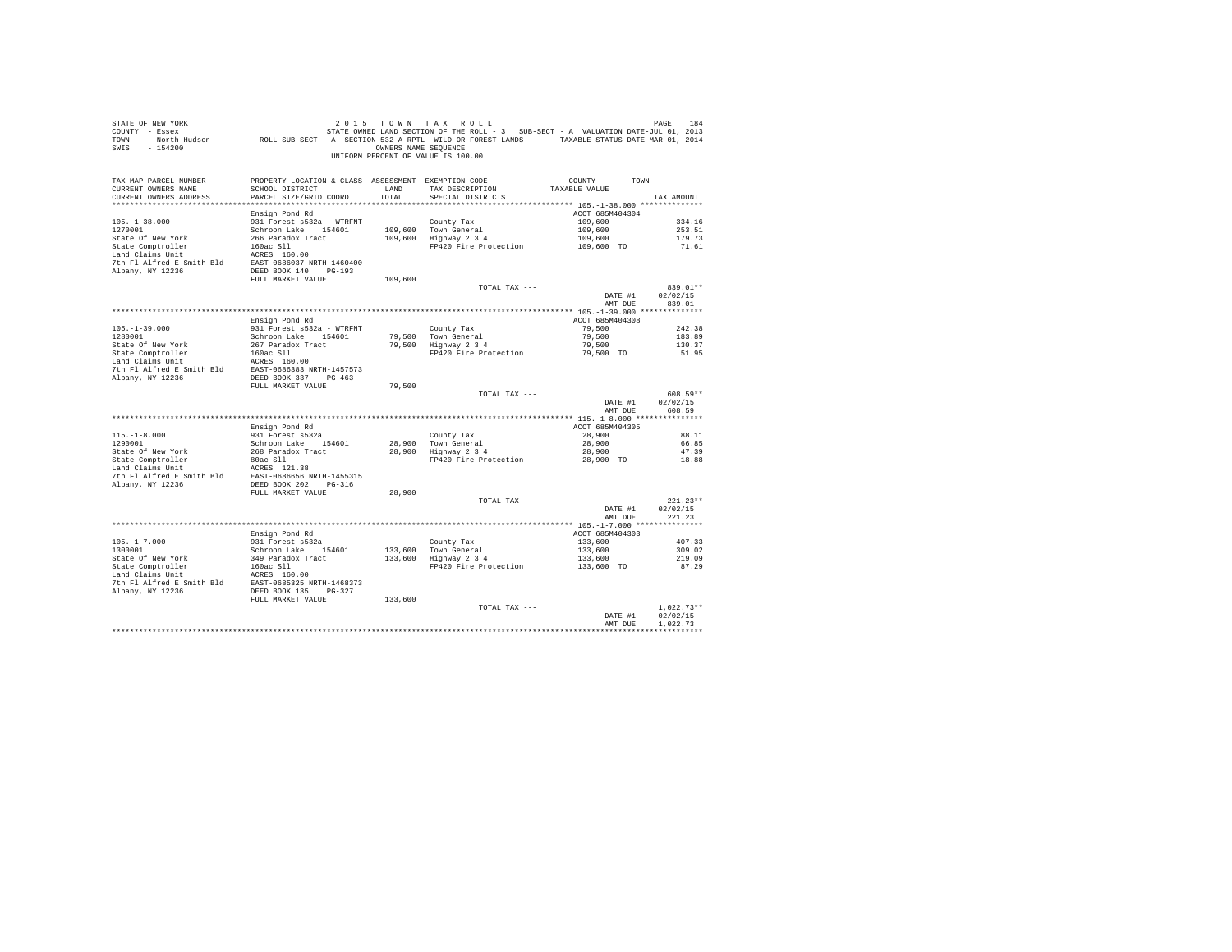| SWIS - 154200                                                                                                                                                       |                                                |         | OWNERS NAME SEQUENCE<br>UNIFORM PERCENT OF VALUE IS 100.00  |                    |                            |
|---------------------------------------------------------------------------------------------------------------------------------------------------------------------|------------------------------------------------|---------|-------------------------------------------------------------|--------------------|----------------------------|
| TAX MAP PARCEL NUMBER FROPERTY LOCATION & CLASS ASSESSMENT EXEMPTION CODE---------------COUNTY-------TOWN---------<br>CURRENT OWNERS NAME<br>CURRENT OWNERS ADDRESS | SCHOOL DISTRICT LAND<br>PARCEL SIZE/GRID COORD | TOTAL   | TAX DESCRIPTION<br>SPECIAL DISTRICTS                        | TAXABLE VALUE      | TAX AMOUNT                 |
|                                                                                                                                                                     |                                                |         |                                                             |                    |                            |
|                                                                                                                                                                     | Ensign Pond Rd                                 |         |                                                             | ACCT 685M404304    |                            |
| $105. - 1 - 38.000$                                                                                                                                                 | 931 Forest s532a - WTRFNT                      |         | County Tax                                                  | 109,600            | 334.16                     |
| 1270001                                                                                                                                                             | Schroon Lake 154601                            |         | 109,600 Town General<br>109,600 Highway 2 3 4               | 109,600<br>109,600 | 253.51<br>179.73           |
|                                                                                                                                                                     |                                                |         | FP420 Fire Protection 109,600 TO                            |                    | 71.61                      |
|                                                                                                                                                                     |                                                |         |                                                             |                    |                            |
|                                                                                                                                                                     |                                                |         |                                                             |                    |                            |
|                                                                                                                                                                     |                                                |         |                                                             |                    |                            |
|                                                                                                                                                                     | FULL MARKET VALUE                              | 109,600 |                                                             |                    |                            |
|                                                                                                                                                                     |                                                |         | TOTAL TAX ---                                               |                    | 839.01**                   |
|                                                                                                                                                                     |                                                |         |                                                             | DATE #1            | 02/02/15<br>AMT DUE 839.01 |
|                                                                                                                                                                     |                                                |         |                                                             |                    |                            |
|                                                                                                                                                                     | Ensign Pond Rd                                 |         |                                                             | ACCT 685M404308    |                            |
| $105. - 1 - 39.000$                                                                                                                                                 | 931 Forest s532a - WTRFNT                      |         | County Tax                                                  | 79.500             | 242.38                     |
| 1280001                                                                                                                                                             | Schroon Lake 154601                            |         | 79,500 Town General<br>79,500 Highway 2 3 4                 | 79,500             | 183.89                     |
|                                                                                                                                                                     |                                                |         |                                                             | 79,500             | 130.37                     |
|                                                                                                                                                                     |                                                |         | FP420 Fire Protection 79,500 TO                             |                    | 51.95                      |
|                                                                                                                                                                     |                                                |         |                                                             |                    |                            |
| Albany, NY 12236                                                                                                                                                    | DEED BOOK 337 PG-463                           |         |                                                             |                    |                            |
|                                                                                                                                                                     | FULL MARKET VALUE                              | 79,500  |                                                             |                    |                            |
|                                                                                                                                                                     |                                                |         | TOTAL TAX ---                                               |                    | 608.59**                   |
|                                                                                                                                                                     |                                                |         |                                                             | DATE #1<br>AMT DUE | 02/02/15<br>608.59         |
|                                                                                                                                                                     |                                                |         |                                                             |                    |                            |
|                                                                                                                                                                     | Ensign Pond Rd                                 |         |                                                             | ACCT 685M404305    |                            |
| $115.-1-8.000$<br>1290001                                                                                                                                           | 931 Forest s532a                               |         |                                                             | 28,900             | 88.11<br>66.85             |
|                                                                                                                                                                     | Schroon Lake 154601                            |         | County Tax<br>28,900 Town General<br>28,900 Highway 2 3 4   | 28,900<br>28,900   | 47.39                      |
|                                                                                                                                                                     |                                                |         | FP420 Fire Protection                                       | 28,900 TO          | 18.88                      |
|                                                                                                                                                                     |                                                |         |                                                             |                    |                            |
|                                                                                                                                                                     |                                                |         |                                                             |                    |                            |
|                                                                                                                                                                     |                                                |         |                                                             |                    |                            |
|                                                                                                                                                                     | FULL MARKET VALUE                              | 28,900  |                                                             |                    |                            |
|                                                                                                                                                                     |                                                |         | TOTAL TAX ---                                               | DATE #1            | $221.23**$<br>02/02/15     |
|                                                                                                                                                                     |                                                |         |                                                             | AMT DUE            | 221.23                     |
|                                                                                                                                                                     |                                                |         |                                                             |                    |                            |
|                                                                                                                                                                     | Ensign Pond Rd                                 |         |                                                             | ACCT 685M404303    |                            |
| $105. - 1 - 7.000$                                                                                                                                                  | 931 Forest s532a                               |         | County Tax<br>133,600 Town General<br>133,600 Highway 2 3 4 | 133,600            | 407.33                     |
| 1300001                                                                                                                                                             | Schroon Lake 154601                            |         |                                                             | 133,600            | 309.02                     |
|                                                                                                                                                                     |                                                |         |                                                             | 133,600            | 219.09                     |
|                                                                                                                                                                     |                                                |         | FP420 Fire Protection                                       | 133,600 TO         | 87.29                      |
|                                                                                                                                                                     |                                                |         |                                                             |                    |                            |
|                                                                                                                                                                     |                                                |         |                                                             |                    |                            |
|                                                                                                                                                                     | FULL MARKET VALUE                              | 133,600 |                                                             |                    |                            |
|                                                                                                                                                                     |                                                |         | TOTAL TAX ---                                               |                    | $1,022.73**$               |
|                                                                                                                                                                     |                                                |         |                                                             | DATE #1            | 02/02/15                   |
|                                                                                                                                                                     |                                                |         |                                                             | AMT DUR            | 1.022.73<br>************   |
|                                                                                                                                                                     |                                                |         |                                                             |                    |                            |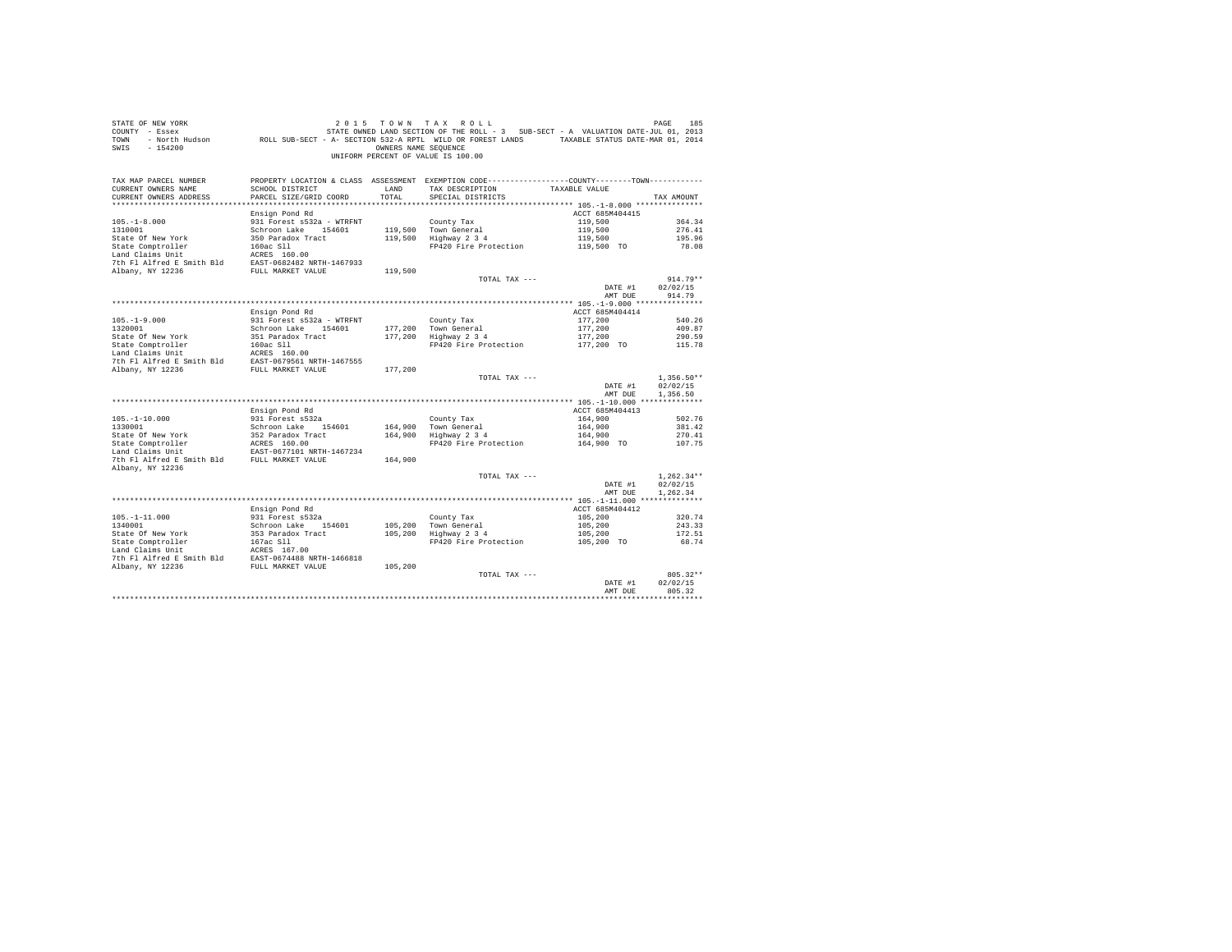| STATE OF NEW YORK<br>COUNTY - Essex<br>TOWN<br>$-154200$<br>SWIS                                                                                                                                                           |                                                            | OWNERS NAME SEOUENCE | 2015 TOWN TAX ROLL<br>UNIFORM PERCENT OF VALUE IS 100.00                                                                                           |                            | PAGE<br>185                          |
|----------------------------------------------------------------------------------------------------------------------------------------------------------------------------------------------------------------------------|------------------------------------------------------------|----------------------|----------------------------------------------------------------------------------------------------------------------------------------------------|----------------------------|--------------------------------------|
| TAX MAP PARCEL NUMBER<br>CURRENT OWNERS NAME<br>CURRENT OWNERS ADDRESS                                                                                                                                                     | SCHOOL DISTRICT<br>PARCEL SIZE/GRID COORD                  | LAND<br>TOTAL        | PROPERTY LOCATION & CLASS ASSESSMENT EXEMPTION CODE---------------COUNTY-------TOWN---------<br>TAX DESCRIPTION TAXABLE VALUE<br>SPECIAL DISTRICTS |                            | TAX AMOUNT                           |
|                                                                                                                                                                                                                            |                                                            |                      |                                                                                                                                                    |                            |                                      |
| $105. - 1 - 8.000$                                                                                                                                                                                                         | Ensign Pond Rd<br>931 Forest s532a - WTRFNT                |                      | County Tax                                                                                                                                         | ACCT 685M404415<br>119,500 | 364.34                               |
| 1310001                                                                                                                                                                                                                    | Schroon Lake 154601                                        |                      | 119,500 Town General                                                                                                                               | 119,500                    | 276.41                               |
| State Of New York                                                                                                                                                                                                          | 350 Paradox Tract                                          |                      | 119,500 Highway 2 3 4                                                                                                                              | 119,500                    | 195.96                               |
| State Comptroller                                                                                                                                                                                                          |                                                            |                      | FP420 Fire Protection                                                                                                                              | 119,500 TO                 | 78.08                                |
| Land Claims Unit                                                                                                                                                                                                           | 160ac S11<br>ACRES 160.00                                  |                      |                                                                                                                                                    |                            |                                      |
|                                                                                                                                                                                                                            |                                                            |                      |                                                                                                                                                    |                            |                                      |
| EXECUTION FOR SMITH SAST-0682482 NRTH-1467933<br>The F1 Alfred E Smith Bld EAST-0682482 NRTH-1467933<br>PULL MARKET VALUE                                                                                                  |                                                            | 119,500              |                                                                                                                                                    |                            |                                      |
|                                                                                                                                                                                                                            |                                                            |                      | TOTAL TAX ---                                                                                                                                      |                            | $914.79**$                           |
|                                                                                                                                                                                                                            |                                                            |                      |                                                                                                                                                    | DATE #1                    | 02/02/15                             |
|                                                                                                                                                                                                                            |                                                            |                      |                                                                                                                                                    | AMT DUE                    | 914.79                               |
|                                                                                                                                                                                                                            |                                                            |                      |                                                                                                                                                    | ACCT 685M404414            |                                      |
| $105. - 1 - 9.000$                                                                                                                                                                                                         | Ensign Pond Rd<br>931 Forest s532a - WTRFNT                |                      | County Tax                                                                                                                                         | 177,200                    | 540.26                               |
| 1320001                                                                                                                                                                                                                    | Schroon Lake 154601                                        |                      |                                                                                                                                                    | 177,200                    | 409.87                               |
| State Of New York                                                                                                                                                                                                          | 351 Paradox Tract                                          |                      | 177,200 Town General<br>177,200 Highway 2 3 4                                                                                                      | 177,200                    | 290.59                               |
|                                                                                                                                                                                                                            |                                                            |                      | FP420 Fire Protection 177,200 TO                                                                                                                   |                            | 115.78                               |
|                                                                                                                                                                                                                            |                                                            |                      |                                                                                                                                                    |                            |                                      |
| State Comptroller and the Sixteen of the State Comptroller and Claims Unit<br>Land Claims Unit access 160.00<br>The Fl Alfred E Smith Bld EAST-0679561 NRTH-1467555<br>7th Fl Alfred E Smith Bld EAST-0679561 NRTH-1467555 |                                                            |                      |                                                                                                                                                    |                            |                                      |
|                                                                                                                                                                                                                            |                                                            | 177,200              |                                                                                                                                                    |                            |                                      |
|                                                                                                                                                                                                                            |                                                            |                      | TOTAL TAX ---                                                                                                                                      | DATE #1<br>AMT DUE         | $1,356.50**$<br>02/02/15<br>1,356.50 |
|                                                                                                                                                                                                                            |                                                            |                      |                                                                                                                                                    |                            |                                      |
|                                                                                                                                                                                                                            | Ensign Pond Rd                                             |                      |                                                                                                                                                    | ACCT 685M404413            |                                      |
| $105. - 1 - 10.000$                                                                                                                                                                                                        | 931 Forest s532a                                           |                      | County Tax                                                                                                                                         | 164,900                    | 502.76                               |
| 1330001                                                                                                                                                                                                                    | Schroon Lake 154601                                        |                      | 164.900 Town General                                                                                                                               | 164,900                    | 381.42                               |
| 1330001<br>State Of New York<br>State Comptroller                                                                                                                                                                          | $352$ Paradox Tract<br>$252$ Paradox Tract<br>$252$ 160.00 |                      | 164,900 Highway 2 3 4                                                                                                                              | 164,900                    | 270.41                               |
|                                                                                                                                                                                                                            |                                                            |                      | FP420 Fire Protection                                                                                                                              | 164,900 TO                 | 107.75                               |
| 7th Fl Alfred E Smith Bld FULL MARKET VALUE                                                                                                                                                                                | EAST-0677101 NRTH-1467234                                  | 164,900              |                                                                                                                                                    |                            |                                      |
| Albany, NY 12236                                                                                                                                                                                                           |                                                            |                      |                                                                                                                                                    |                            |                                      |
|                                                                                                                                                                                                                            |                                                            |                      | TOTAL TAX ---                                                                                                                                      |                            | $1.262.34**$                         |
|                                                                                                                                                                                                                            |                                                            |                      |                                                                                                                                                    | DATE #1                    | 02/02/15                             |
|                                                                                                                                                                                                                            |                                                            |                      |                                                                                                                                                    | AMT DUE                    | 1.262.34                             |
|                                                                                                                                                                                                                            |                                                            |                      |                                                                                                                                                    |                            |                                      |
|                                                                                                                                                                                                                            | Ensign Pond Rd                                             |                      |                                                                                                                                                    | ACCT 685M404412            |                                      |
| $105. - 1 - 11.000$                                                                                                                                                                                                        | 931 Forest s532a                                           |                      | County Tax                                                                                                                                         | 105,200                    | 320.74                               |
| 1340001                                                                                                                                                                                                                    | Schroon Lake 154601                                        |                      | 105,200 Town General<br>105,200 Highway 2 3 4                                                                                                      | 105,200                    | 243.33                               |
|                                                                                                                                                                                                                            |                                                            |                      |                                                                                                                                                    | 105,200<br>$105,200$ TO    | 172.51                               |
|                                                                                                                                                                                                                            |                                                            |                      | FP420 Fire Protection                                                                                                                              |                            | 68.74                                |
|                                                                                                                                                                                                                            |                                                            |                      |                                                                                                                                                    |                            |                                      |
|                                                                                                                                                                                                                            |                                                            | 105,200              |                                                                                                                                                    |                            |                                      |
|                                                                                                                                                                                                                            |                                                            |                      | TOTAL TAX ---                                                                                                                                      |                            | $805.32**$                           |
|                                                                                                                                                                                                                            |                                                            |                      |                                                                                                                                                    | DATE #1                    | 02/02/15                             |
|                                                                                                                                                                                                                            |                                                            |                      |                                                                                                                                                    | AMT DUE                    | 805.32                               |
|                                                                                                                                                                                                                            |                                                            |                      |                                                                                                                                                    |                            |                                      |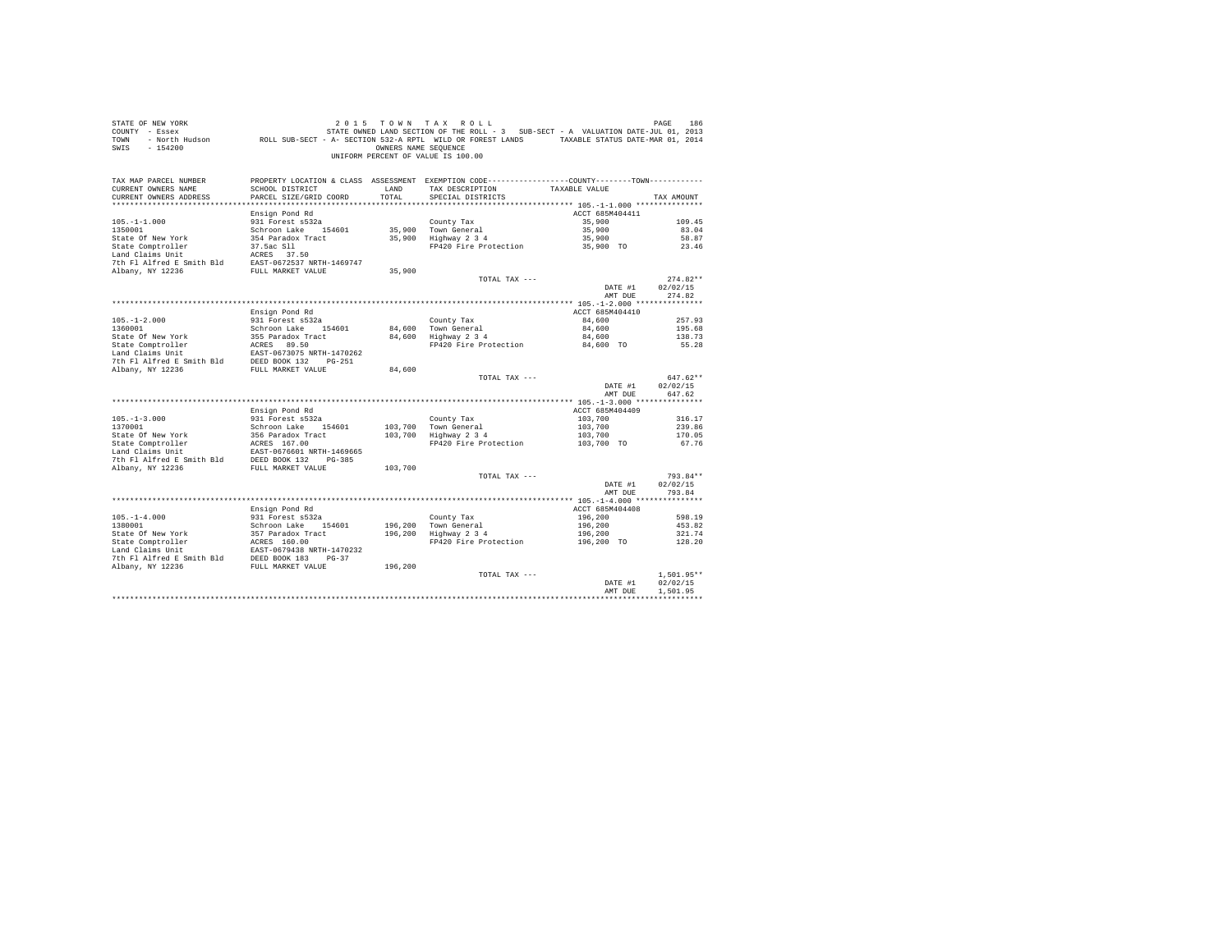| STATE OF NEW YORK<br>COUNTY - Essex<br>TOWN<br>$-154200$<br>SWIS                                                            |                                    | OWNERS NAME SEOUENCE | 2015 TOWN TAX ROLL<br>UNIFORM PERCENT OF VALUE IS 100.00                                                                        |                       | PAGE<br>186          |
|-----------------------------------------------------------------------------------------------------------------------------|------------------------------------|----------------------|---------------------------------------------------------------------------------------------------------------------------------|-----------------------|----------------------|
| TAX MAP PARCEL NUMBER<br>CURRENT OWNERS NAME                                                                                | SCHOOL DISTRICT                    | LAND                 | PROPERTY LOCATION & CLASS ASSESSMENT EXEMPTION CODE----------------COUNTY-------TOWN----------<br>TAX DESCRIPTION TAXABLE VALUE |                       |                      |
| CURRENT OWNERS ADDRESS                                                                                                      | PARCEL SIZE/GRID COORD             | TOTAL                | SPECIAL DISTRICTS                                                                                                               |                       | TAX AMOUNT           |
|                                                                                                                             |                                    |                      |                                                                                                                                 |                       |                      |
|                                                                                                                             | Ensign Pond Rd                     |                      |                                                                                                                                 | ACCT 685M404411       |                      |
| $105. - 1 - 1.000$                                                                                                          | 931 Forest s532a                   |                      | County Tax                                                                                                                      | 35,900                | 109.45               |
| 1350001                                                                                                                     | Schroon Lake 154601                |                      | 35,900 Town General<br>35,900 Highway 2 3 4                                                                                     | 35,900                | 83.04                |
| State Of New York                                                                                                           | 354 Paradox Tract                  |                      |                                                                                                                                 | 35,900                | 58.87                |
| State Comptroller 37.5ac S11<br>Land Claims Unit ACRES 37.50                                                                |                                    |                      | FP420 Fire Protection 35,900 TO                                                                                                 |                       | 23.46                |
|                                                                                                                             |                                    |                      |                                                                                                                                 |                       |                      |
| 7th Fl Alfred E Smith Bld EAST-0672537 NRTH-1469747<br>Albany, NY 12236                                                     | FULL MARKET VALUE                  | 35,900               |                                                                                                                                 |                       |                      |
|                                                                                                                             |                                    |                      | TOTAL TAX ---                                                                                                                   |                       | $274.82**$           |
|                                                                                                                             |                                    |                      |                                                                                                                                 | DATE #1               | 02/02/15             |
|                                                                                                                             |                                    |                      |                                                                                                                                 | AMT DUE               | 274.82               |
|                                                                                                                             |                                    |                      |                                                                                                                                 |                       |                      |
|                                                                                                                             | Ensign Pond Rd                     |                      |                                                                                                                                 | ACCT 685M404410       |                      |
| $105. - 1 - 2.000$                                                                                                          | 931 Forest s532a                   |                      | County Tax                                                                                                                      | 84,600                | 257.93               |
| 1360001                                                                                                                     | Schroon Lake 154601                |                      | 84,600 Town General<br>84,600 Highway 2 3 4                                                                                     | 84,600                | 195.68               |
|                                                                                                                             |                                    |                      |                                                                                                                                 | 84,600                | 138.73               |
|                                                                                                                             |                                    |                      | FP420 Fire Protection 84,600 TO                                                                                                 |                       | 55.28                |
|                                                                                                                             |                                    |                      |                                                                                                                                 |                       |                      |
|                                                                                                                             |                                    |                      |                                                                                                                                 |                       |                      |
|                                                                                                                             |                                    | 84,600               |                                                                                                                                 |                       |                      |
|                                                                                                                             |                                    |                      | TOTAL TAX ---                                                                                                                   | DATE #1               | 647.62**<br>02/02/15 |
|                                                                                                                             |                                    |                      |                                                                                                                                 | AMT DUE               | 647.62               |
|                                                                                                                             |                                    |                      |                                                                                                                                 |                       |                      |
|                                                                                                                             | Ensign Pond Rd<br>931 Forest s532a |                      |                                                                                                                                 | ACCT 685M404409       |                      |
| $105. - 1 - 3.000$<br>1370001                                                                                               | Schroon Lake 154601                |                      | County Tax<br>103.700 Town General                                                                                              | 103,700<br>103,700    | 316.17<br>239.86     |
|                                                                                                                             |                                    |                      | $103,700$ Iown General<br>$103,700$ Highway 2 3 4                                                                               | 103,700               | 170.05               |
|                                                                                                                             |                                    |                      | FP420 Fire Protection 103,700 TO                                                                                                |                       | 67.76                |
| Land Claims Unit<br>$EAST-0676601 \text{ NRTH}-1469665$<br>The Halfred E Smith Bld<br>DEED BOOK 132 PG-385<br>Nhen wy 10006 |                                    |                      |                                                                                                                                 |                       |                      |
|                                                                                                                             |                                    |                      |                                                                                                                                 |                       |                      |
| Albany, NY 12236                                                                                                            | FULL MARKET VALUE                  | 103,700              |                                                                                                                                 |                       |                      |
|                                                                                                                             |                                    |                      | TOTAL TAX ---                                                                                                                   |                       | 793.84**             |
|                                                                                                                             |                                    |                      |                                                                                                                                 | DATE #1               | 02/02/15             |
|                                                                                                                             |                                    |                      |                                                                                                                                 | AMT DUE               | 793.84               |
|                                                                                                                             |                                    |                      |                                                                                                                                 |                       |                      |
|                                                                                                                             | Ensign Pond Rd                     |                      |                                                                                                                                 | ACCT 685M404408       |                      |
| $105. - 1 - 4.000$                                                                                                          | 931 Forest s532a                   |                      | County Tax                                                                                                                      | 196,200               | 598.19               |
| 1380001                                                                                                                     | Schroon Lake 154601                |                      | 196,200 Town General<br>196,200 Highway 2 3 4                                                                                   | 196,200               | 453.82<br>321.74     |
|                                                                                                                             |                                    |                      | FP420 Fire Protection                                                                                                           | 196,200<br>196,200 TO | 128.20               |
|                                                                                                                             |                                    |                      |                                                                                                                                 |                       |                      |
|                                                                                                                             |                                    |                      |                                                                                                                                 |                       |                      |
|                                                                                                                             |                                    | 196,200              |                                                                                                                                 |                       |                      |
|                                                                                                                             |                                    |                      | TOTAL TAX ---                                                                                                                   |                       | $1.501.95**$         |
|                                                                                                                             |                                    |                      |                                                                                                                                 | DATE #1               | 02/02/15             |
|                                                                                                                             |                                    |                      |                                                                                                                                 | AMT DUE               | 1,501.95             |
|                                                                                                                             |                                    |                      |                                                                                                                                 |                       |                      |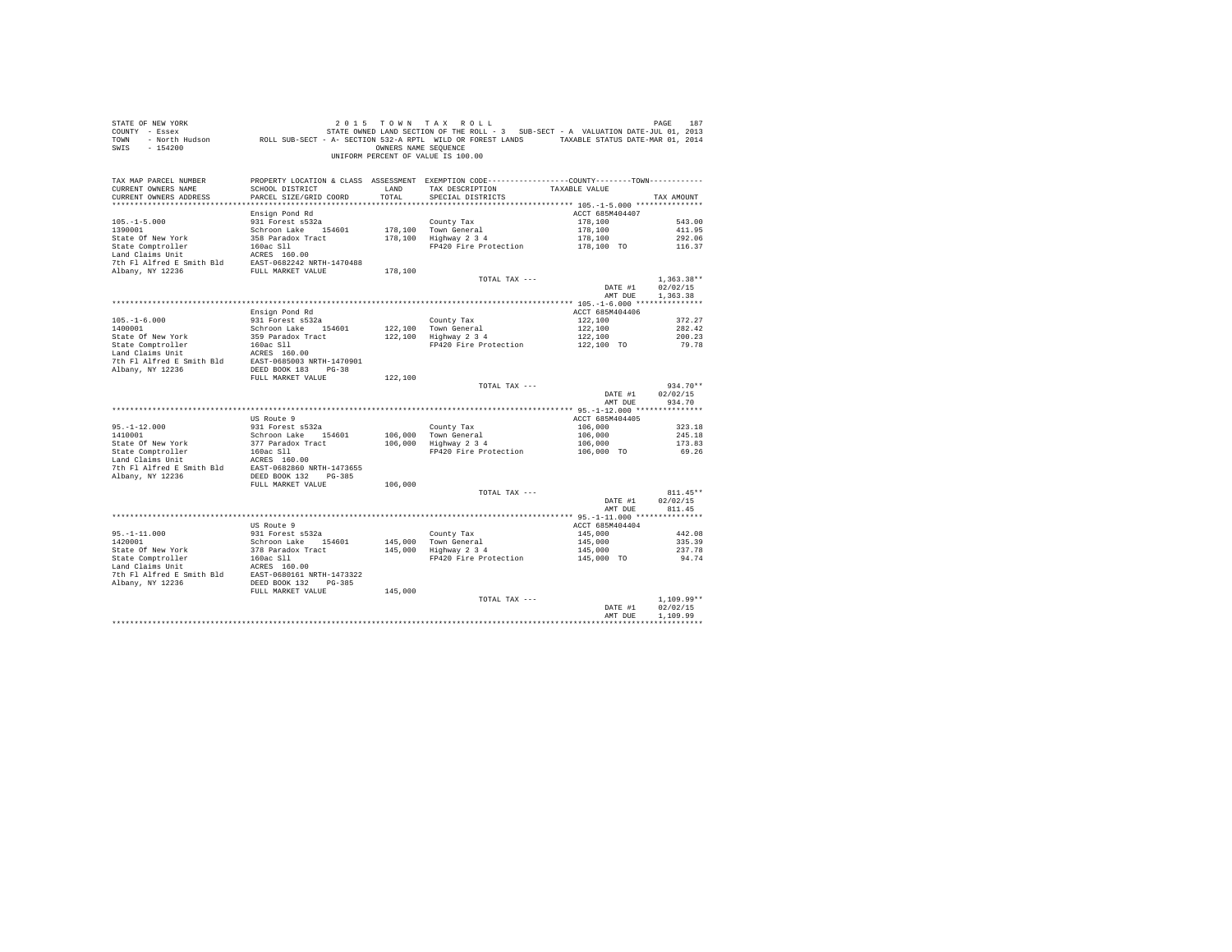| STATE OF NEW YORK<br>COUNTY - Essex<br>TOWN<br>$-154200$<br>SWIS                                                                                                          |                                    | OWNERS NAME SEQUENCE | 2015 TOWN TAX ROLL<br>187 ב-1974 ה-197 ב-1974 ב-1974 ה-1974 ב-1974 ה-1974 ב-2014 ה-1974 ה-1974 ב-2014 ה-1987 ב-1984 ה-1987 ה-1987 ב-<br>Translater of the Strate owner LAND SECTION OF THE ROLL SOLD ASSESS (2013) - SOLD AND STRING AND SOLD AND STR<br><br>UNIFORM PERCENT OF VALUE IS 100.00 |                            | PAGE<br>187              |
|---------------------------------------------------------------------------------------------------------------------------------------------------------------------------|------------------------------------|----------------------|-------------------------------------------------------------------------------------------------------------------------------------------------------------------------------------------------------------------------------------------------------------------------------------------------|----------------------------|--------------------------|
| TAX MAP PARCEL NUMBER<br>CURRENT OWNERS NAME                                                                                                                              | SCHOOL DISTRICT                    | LAND                 | PROPERTY LOCATION & CLASS ASSESSMENT EXEMPTION CODE----------------COUNTY--------TOWN----------<br>TAX DESCRIPTION                                                                                                                                                                              | TAXABLE VALUE              |                          |
| CURRENT OWNERS ADDRESS                                                                                                                                                    | PARCEL SIZE/GRID COORD             | TOTAL                | SPECIAL DISTRICTS                                                                                                                                                                                                                                                                               |                            | TAX AMOUNT               |
|                                                                                                                                                                           |                                    |                      |                                                                                                                                                                                                                                                                                                 |                            |                          |
| $105. - 1 - 5.000$                                                                                                                                                        | Ensign Pond Rd<br>931 Forest s532a |                      |                                                                                                                                                                                                                                                                                                 | ACCT 685M404407            | 543.00                   |
| 1390001                                                                                                                                                                   | Schroon Lake 154601                |                      | County Tax<br>178,100 Town General                                                                                                                                                                                                                                                              | 178,100<br>178,100         | 411.95                   |
| State Of New York                                                                                                                                                         | 358 Paradox Tract                  |                      | 178,100 Highway 2 3 4                                                                                                                                                                                                                                                                           | 178,100                    | 292.06                   |
| State Comptroller                                                                                                                                                         | $160ac$ Sll                        |                      | FP420 Fire Protection                                                                                                                                                                                                                                                                           | 178,100 TO                 | 116.37                   |
| Land Claims Unit                                                                                                                                                          |                                    |                      |                                                                                                                                                                                                                                                                                                 |                            |                          |
| Land Claims Unit<br>7th Fl Alfred E Smith Bld<br>8AST-0682242 NRTH-1470488<br>RIbany, NY 12236<br>FULL MARKET VALUE                                                       |                                    |                      |                                                                                                                                                                                                                                                                                                 |                            |                          |
|                                                                                                                                                                           |                                    | 178,100              | TOTAL TAX ---                                                                                                                                                                                                                                                                                   |                            | $1.363.38**$             |
|                                                                                                                                                                           |                                    |                      |                                                                                                                                                                                                                                                                                                 | DATE #1                    | 02/02/15                 |
|                                                                                                                                                                           |                                    |                      |                                                                                                                                                                                                                                                                                                 | AMT DUE                    | 1,363,38                 |
|                                                                                                                                                                           |                                    |                      |                                                                                                                                                                                                                                                                                                 |                            |                          |
|                                                                                                                                                                           | Ensign Pond Rd<br>931 Forest s532a |                      | County Tax                                                                                                                                                                                                                                                                                      | ACCT 685M404406<br>122,100 | 372.27                   |
| $105.-1-6.000$<br>$1400001$                                                                                                                                               | Schroon Lake 154601                |                      | County Tax<br>122,100 Town General<br>122,100 Highway 2 3 4                                                                                                                                                                                                                                     | 122,100                    | 282.42                   |
| State Of New York                                                                                                                                                         | 359 Paradox Tract                  |                      |                                                                                                                                                                                                                                                                                                 | 122,100<br>122,100 TO      | 200.23                   |
|                                                                                                                                                                           |                                    |                      | FP420 Fire Protection                                                                                                                                                                                                                                                                           |                            | 79.78                    |
|                                                                                                                                                                           |                                    |                      |                                                                                                                                                                                                                                                                                                 |                            |                          |
| State Comptroller 160ac S11<br>Land Claims Unit 160ac S11<br>Land Claims Unit 160ac S160.00<br>7th F1 Alfred E Smith B1d<br>EAST-0685003 NRTH-1470901<br>Albany, NY 12236 |                                    |                      |                                                                                                                                                                                                                                                                                                 |                            |                          |
|                                                                                                                                                                           | FULL MARKET VALUE                  | 122,100              |                                                                                                                                                                                                                                                                                                 |                            |                          |
|                                                                                                                                                                           |                                    |                      | TOTAL TAX ---                                                                                                                                                                                                                                                                                   |                            | $934.70**$               |
|                                                                                                                                                                           |                                    |                      |                                                                                                                                                                                                                                                                                                 | DATE #1<br>AMT DUE         | 02/02/15<br>934.70       |
|                                                                                                                                                                           |                                    |                      |                                                                                                                                                                                                                                                                                                 |                            |                          |
|                                                                                                                                                                           | US Route 9                         |                      |                                                                                                                                                                                                                                                                                                 | ACCT 685M404405            |                          |
| $95. -1 - 12.000$                                                                                                                                                         | 931 Forest s532a                   |                      | County Tax                                                                                                                                                                                                                                                                                      | 106,000                    | 323.18                   |
| 1410001                                                                                                                                                                   | Schroon Lake 154601                |                      | 106,000 Town General<br>$106,000$ Highway $2\,3\,4$                                                                                                                                                                                                                                             | 106,000                    | 245.18                   |
| State Of New York<br>State Comptroller                                                                                                                                    | 377 Paradox Tract<br>160ac S11     |                      | FP420 Fire Protection                                                                                                                                                                                                                                                                           | 106,000<br>106,000 TO      | 173.83<br>69.26          |
| state Comptroiler<br>Land Claims Unit                                                                                                                                     | ACRES 160.00                       |                      |                                                                                                                                                                                                                                                                                                 |                            |                          |
| 7th Fl Alfred E Smith Bld                                                                                                                                                 | EAST-0682860 NRTH-1473655          |                      |                                                                                                                                                                                                                                                                                                 |                            |                          |
| Albany, NY 12236                                                                                                                                                          | DEED BOOK 132 PG-385               |                      |                                                                                                                                                                                                                                                                                                 |                            |                          |
|                                                                                                                                                                           | FULL MARKET VALUE                  | 106,000              | TOTAL TAX ---                                                                                                                                                                                                                                                                                   |                            | $811.45**$               |
|                                                                                                                                                                           |                                    |                      |                                                                                                                                                                                                                                                                                                 | DATE #1                    | 02/02/15                 |
|                                                                                                                                                                           |                                    |                      |                                                                                                                                                                                                                                                                                                 | AMT DUE                    | 811.45                   |
|                                                                                                                                                                           |                                    |                      |                                                                                                                                                                                                                                                                                                 |                            |                          |
|                                                                                                                                                                           | US Route 9<br>931 Forest s532a     |                      | County Tax                                                                                                                                                                                                                                                                                      | ACCT 685M404404<br>145,000 | 442.08                   |
| 95.-1-11.000<br>1420001<br>1420001                                                                                                                                        | Schroon Lake 154601                | 145,000              |                                                                                                                                                                                                                                                                                                 | 145,000                    | 335.39                   |
| State Of New York                                                                                                                                                         | 378 Paradox Tract                  | 145,000              | Councy iax<br>Town General<br>Highway 2 3 4                                                                                                                                                                                                                                                     | 145,000                    | 237.78                   |
| State Comptroller                                                                                                                                                         | 160ac Sll                          |                      | FP420 Fire Protection                                                                                                                                                                                                                                                                           | 145,000 TO                 | 94.74                    |
|                                                                                                                                                                           |                                    |                      |                                                                                                                                                                                                                                                                                                 |                            |                          |
| State Computerior and CLES 160.00<br>The F1 Alfred E Smith B1d<br>2009 101 EAST-0680161 NRTH-1473322<br>Albany, NY 12236 DEED BOOK 132 PG-385                             |                                    |                      |                                                                                                                                                                                                                                                                                                 |                            |                          |
|                                                                                                                                                                           | FULL MARKET VALUE                  | 145,000              |                                                                                                                                                                                                                                                                                                 |                            |                          |
|                                                                                                                                                                           |                                    |                      | TOTAL TAX ---                                                                                                                                                                                                                                                                                   |                            | $1.109.99**$             |
|                                                                                                                                                                           |                                    |                      |                                                                                                                                                                                                                                                                                                 | DATE #1                    | 02/02/15                 |
|                                                                                                                                                                           |                                    |                      |                                                                                                                                                                                                                                                                                                 | AMT DUE                    | 1,109.99<br>************ |
|                                                                                                                                                                           |                                    |                      |                                                                                                                                                                                                                                                                                                 |                            |                          |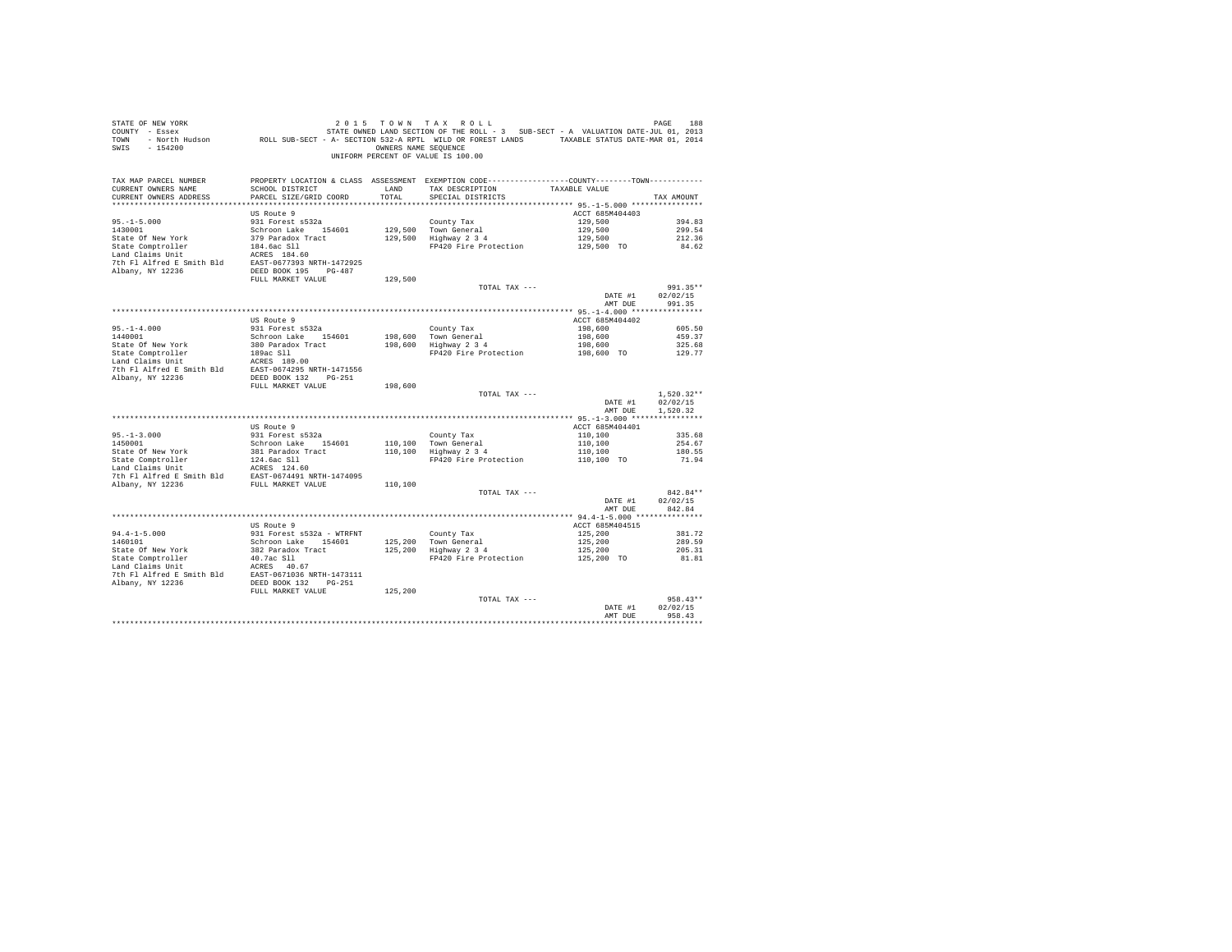| $\begin{array}{ccccccccc} \texttt{STATE OF NEW YORK} & \texttt{ORW} & \texttt{TAX} & \texttt{ROL} & \texttt{D}\texttt{A}\texttt{X} & \texttt{ROL} & \texttt{D}\texttt{A}\texttt{B} & \texttt{P}\texttt{A}\texttt{B} & \texttt{ROL} & \texttt{D}\texttt{A}\texttt{B} & \texttt{ROL} & \texttt{D}\texttt{A}\texttt{B} & \texttt{ROL} & \texttt{D}\texttt{A}\texttt{B} & \texttt{ROL} & \texttt{D}\texttt{A}\texttt{B} & \texttt{SOL} & \texttt{SUL} & \text$<br>SWIS - 154200 |                                                                                                                                                                       |         | OWNERS NAME SEQUENCE<br>UNIFORM PERCENT OF VALUE IS 100.00  |                                             |                                              |
|-----------------------------------------------------------------------------------------------------------------------------------------------------------------------------------------------------------------------------------------------------------------------------------------------------------------------------------------------------------------------------------------------------------------------------------------------------------------------------|-----------------------------------------------------------------------------------------------------------------------------------------------------------------------|---------|-------------------------------------------------------------|---------------------------------------------|----------------------------------------------|
| TAX MAP PARCEL NUMBER<br>CURRENT OWNERS NAME<br>CURRENT OWNERS ADDRESS                                                                                                                                                                                                                                                                                                                                                                                                      | PROPERTY LOCATION & CLASS ASSESSMENT EXEMPTION CODE----------------COUNTY-------TOWN---------<br>SCHOOL DISTRICT TAND TAX DESCRIPTION<br>PARCEL SIZE/GRID COORD TOTAL |         | SPECIAL DISTRICTS                                           | TAXABLE VALUE                               | TAX AMOUNT                                   |
|                                                                                                                                                                                                                                                                                                                                                                                                                                                                             | US Route 9                                                                                                                                                            |         |                                                             | ACCT 685M404403                             |                                              |
| $95. - 1 - 5.000$                                                                                                                                                                                                                                                                                                                                                                                                                                                           | 931 Forest s532a                                                                                                                                                      |         | County Tax                                                  | 129,500                                     | 394.83                                       |
|                                                                                                                                                                                                                                                                                                                                                                                                                                                                             |                                                                                                                                                                       |         |                                                             |                                             |                                              |
|                                                                                                                                                                                                                                                                                                                                                                                                                                                                             |                                                                                                                                                                       |         |                                                             |                                             |                                              |
|                                                                                                                                                                                                                                                                                                                                                                                                                                                                             |                                                                                                                                                                       |         |                                                             |                                             |                                              |
|                                                                                                                                                                                                                                                                                                                                                                                                                                                                             |                                                                                                                                                                       |         |                                                             |                                             |                                              |
|                                                                                                                                                                                                                                                                                                                                                                                                                                                                             |                                                                                                                                                                       |         |                                                             |                                             |                                              |
|                                                                                                                                                                                                                                                                                                                                                                                                                                                                             |                                                                                                                                                                       |         |                                                             |                                             |                                              |
|                                                                                                                                                                                                                                                                                                                                                                                                                                                                             |                                                                                                                                                                       |         | TOTAL TAX ---                                               |                                             | 991.35**                                     |
|                                                                                                                                                                                                                                                                                                                                                                                                                                                                             |                                                                                                                                                                       |         |                                                             | DATE #1<br>AMT DUE                          | 02/02/15<br>991.35                           |
|                                                                                                                                                                                                                                                                                                                                                                                                                                                                             |                                                                                                                                                                       |         |                                                             |                                             |                                              |
|                                                                                                                                                                                                                                                                                                                                                                                                                                                                             | US Route 9                                                                                                                                                            |         |                                                             | ACCT 685M404402                             |                                              |
| $95. -1 - 4.000$<br>$1440001$                                                                                                                                                                                                                                                                                                                                                                                                                                               | 931 Forest s532a                                                                                                                                                      |         |                                                             | 198,600<br>198,600                          | 605.50                                       |
|                                                                                                                                                                                                                                                                                                                                                                                                                                                                             |                                                                                                                                                                       |         | County Tax<br>198,600 Town General<br>198,600 Highway 2 3 4 |                                             | 459.37                                       |
|                                                                                                                                                                                                                                                                                                                                                                                                                                                                             |                                                                                                                                                                       |         | FP420 Fire Protection 198,600 TO                            | 198,600                                     | 325.68<br>129.77                             |
| 1440001<br>1440001 - 120001 - 12000 - 12000 - 12000 - 12000<br>Schroon Lake Comptroller<br>1842 - 1842 - 1842 - 1842 - 1842 - 1842 - 1842 - 1842 - 1842 - 1842 - 1842 - 1842 - 1842 - 1842 - 1842 - 1842 - 1842 - 1842 - 1842 - 1842                                                                                                                                                                                                                                        |                                                                                                                                                                       |         |                                                             |                                             |                                              |
|                                                                                                                                                                                                                                                                                                                                                                                                                                                                             |                                                                                                                                                                       |         |                                                             |                                             |                                              |
|                                                                                                                                                                                                                                                                                                                                                                                                                                                                             |                                                                                                                                                                       |         |                                                             |                                             |                                              |
|                                                                                                                                                                                                                                                                                                                                                                                                                                                                             | FULL MARKET VALUE                                                                                                                                                     | 198,600 |                                                             |                                             |                                              |
|                                                                                                                                                                                                                                                                                                                                                                                                                                                                             |                                                                                                                                                                       |         | TOTAL TAX $---$                                             | AMT DUE                                     | $1.520.32**$<br>DATE #1 02/02/15<br>1,520.32 |
|                                                                                                                                                                                                                                                                                                                                                                                                                                                                             |                                                                                                                                                                       |         |                                                             |                                             |                                              |
|                                                                                                                                                                                                                                                                                                                                                                                                                                                                             | US Route 9                                                                                                                                                            |         |                                                             | ACCT 685M404401                             |                                              |
| $95. -1 - 3.000$<br>1450001                                                                                                                                                                                                                                                                                                                                                                                                                                                 | 931 Forest s532a                                                                                                                                                      |         | County Tax                                                  |                                             | 335.68                                       |
|                                                                                                                                                                                                                                                                                                                                                                                                                                                                             |                                                                                                                                                                       |         |                                                             |                                             | 254.67<br>180.55                             |
|                                                                                                                                                                                                                                                                                                                                                                                                                                                                             |                                                                                                                                                                       |         |                                                             |                                             | 71.94                                        |
|                                                                                                                                                                                                                                                                                                                                                                                                                                                                             |                                                                                                                                                                       |         |                                                             |                                             |                                              |
|                                                                                                                                                                                                                                                                                                                                                                                                                                                                             |                                                                                                                                                                       |         |                                                             |                                             |                                              |
|                                                                                                                                                                                                                                                                                                                                                                                                                                                                             |                                                                                                                                                                       |         |                                                             |                                             |                                              |
|                                                                                                                                                                                                                                                                                                                                                                                                                                                                             |                                                                                                                                                                       |         | TOTAL TAX ---                                               | DATE #1                                     | 842.84**<br>02/02/15                         |
|                                                                                                                                                                                                                                                                                                                                                                                                                                                                             |                                                                                                                                                                       |         |                                                             | AMT DUE                                     | 842.84                                       |
|                                                                                                                                                                                                                                                                                                                                                                                                                                                                             |                                                                                                                                                                       |         |                                                             |                                             |                                              |
|                                                                                                                                                                                                                                                                                                                                                                                                                                                                             | US Route 9                                                                                                                                                            |         |                                                             | ACCT 685M404515                             |                                              |
| $94.4 - 1 - 5.000$<br>1460101                                                                                                                                                                                                                                                                                                                                                                                                                                               | 931 Forest s532a - WTRFNT                                                                                                                                             |         |                                                             |                                             | 381.72                                       |
|                                                                                                                                                                                                                                                                                                                                                                                                                                                                             |                                                                                                                                                                       |         | County Tax<br>125,200 Town General<br>125,200 Highway 2 3 4 | 125,200<br>125,200<br>125,200<br>125,200 TO | 289.59<br>205.31                             |
|                                                                                                                                                                                                                                                                                                                                                                                                                                                                             |                                                                                                                                                                       |         | FP420 Fire Protection                                       |                                             | 81.81                                        |
| 911-1471-15000<br>1460101 931 otoma Schroon Lake 154601<br>1460101 932 Paradox Tract<br>Schroon Lake 154601<br>532 Paradox Tract<br>542 Paradox Tract<br>16011 2012<br>17 Albany, NY 12236<br>2236 DEED BOOK 132 PG-251                                                                                                                                                                                                                                                     |                                                                                                                                                                       |         |                                                             |                                             |                                              |
|                                                                                                                                                                                                                                                                                                                                                                                                                                                                             |                                                                                                                                                                       |         |                                                             |                                             |                                              |
|                                                                                                                                                                                                                                                                                                                                                                                                                                                                             |                                                                                                                                                                       |         |                                                             |                                             |                                              |
|                                                                                                                                                                                                                                                                                                                                                                                                                                                                             | FULL MARKET VALUE                                                                                                                                                     | 125,200 | TOTAL TAX ---                                               |                                             | $958.43**$                                   |
|                                                                                                                                                                                                                                                                                                                                                                                                                                                                             |                                                                                                                                                                       |         |                                                             | DATE #1                                     | 02/02/15                                     |
|                                                                                                                                                                                                                                                                                                                                                                                                                                                                             |                                                                                                                                                                       |         |                                                             | AMT DUE                                     | 958.43                                       |
|                                                                                                                                                                                                                                                                                                                                                                                                                                                                             |                                                                                                                                                                       |         |                                                             |                                             |                                              |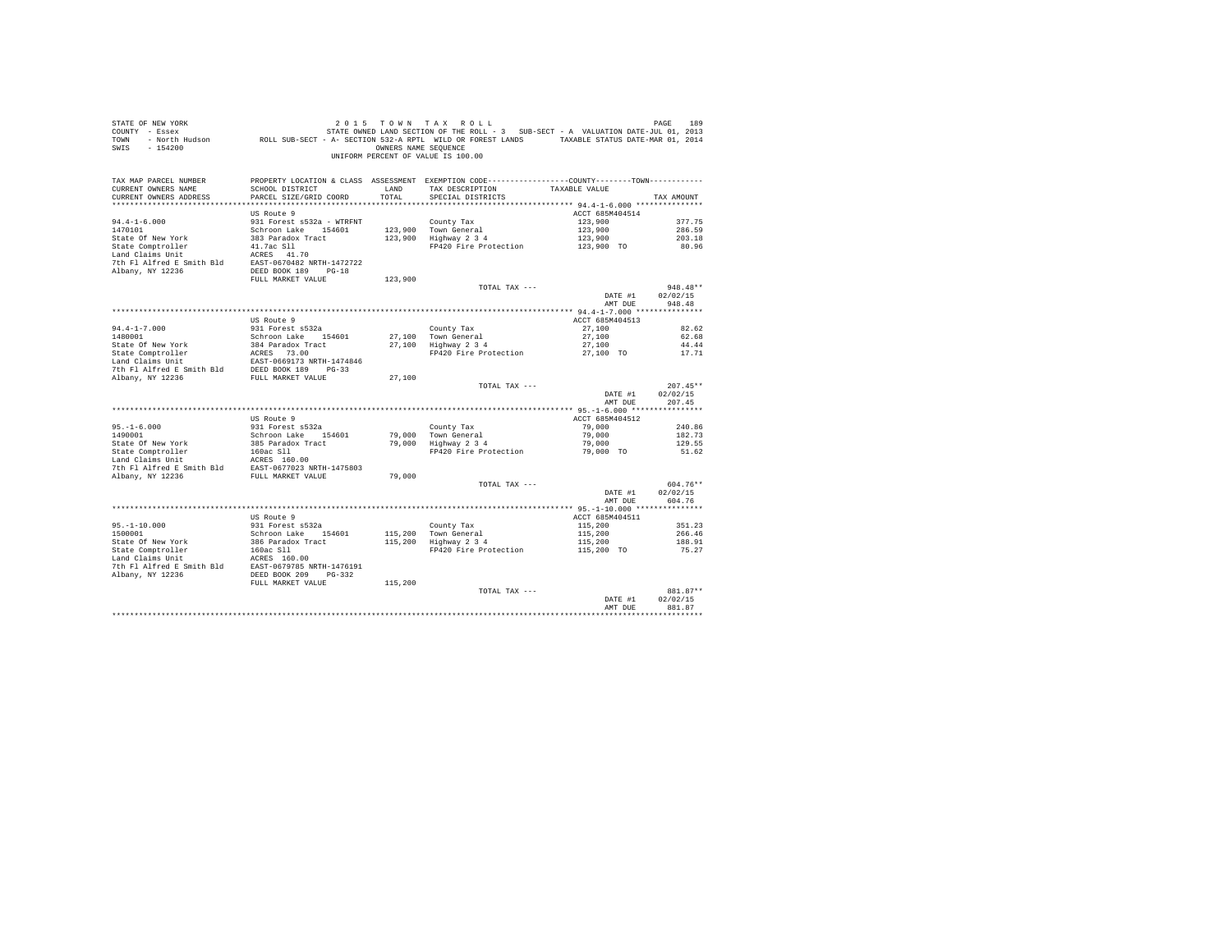| STATE OF NEW YORK<br>COUNTY - Essex<br>TOWN - North Hudson ROLL SUB-SECT - A- SECTION 532-A RPTL WILD OR FOREST LANDS TAXABLE STATUS DATE-WAR 01, 2014<br>$-154200$<br>SWIS |                                                   | OWNERS NAME SEQUENCE | 2015 TOWN TAX ROLL<br>STATE OWNED LAND SECTION OF THE ROLL - 3 SUB-SECT - A VALUATION DATE-JUL 01, 2013<br>UNIFORM PERCENT OF VALUE IS 100.00 |                       | PAGE<br>189          |
|-----------------------------------------------------------------------------------------------------------------------------------------------------------------------------|---------------------------------------------------|----------------------|-----------------------------------------------------------------------------------------------------------------------------------------------|-----------------------|----------------------|
| TAX MAP PARCEL NUMBER<br>CURRENT OWNERS NAME                                                                                                                                | SCHOOL DISTRICT                                   | LAND                 | PROPERTY LOCATION & CLASS ASSESSMENT EXEMPTION CODE----------------COUNTY--------TOWN----------<br>TAX DESCRIPTION                            | TAXABLE VALUE         |                      |
| CURRENT OWNERS ADDRESS                                                                                                                                                      | PARCEL SIZE/GRID COORD                            | TOTAL                | SPECIAL DISTRICTS                                                                                                                             |                       | TAX AMOUNT           |
|                                                                                                                                                                             |                                                   |                      |                                                                                                                                               |                       |                      |
|                                                                                                                                                                             | US Route 9                                        |                      |                                                                                                                                               | ACCT 685M404514       |                      |
| $94.4 - 1 - 6.000$                                                                                                                                                          | 931 Forest s532a - WTRFNT                         |                      | County Tax                                                                                                                                    | 123,900               | 377.75               |
| 1470101<br>State Of New York                                                                                                                                                | Schroon Lake 154601                               |                      | 123,900 Town General<br>Highway 2 3 4                                                                                                         | 123,900               | 286.59               |
| State Comptroller                                                                                                                                                           | 383 Paradox Tract<br>41.7ac Sll                   | 123,900              | FP420 Fire Protection                                                                                                                         | 123,900<br>123,900 TO | 203.18<br>80.96      |
| Land Claims Unit                                                                                                                                                            | ACRES 41.70                                       |                      |                                                                                                                                               |                       |                      |
| 7th Fl Alfred E Smith Bld                                                                                                                                                   | EAST-0670482 NRTH-1472722                         |                      |                                                                                                                                               |                       |                      |
| Albany, NY 12236                                                                                                                                                            | DEED BOOK 189 PG-18                               |                      |                                                                                                                                               |                       |                      |
|                                                                                                                                                                             | FULL MARKET VALUE                                 | 123,900              |                                                                                                                                               |                       |                      |
|                                                                                                                                                                             |                                                   |                      | TOTAL TAX ---                                                                                                                                 |                       | $948.48**$           |
|                                                                                                                                                                             |                                                   |                      |                                                                                                                                               | DATE #1               | 02/02/15             |
|                                                                                                                                                                             |                                                   |                      |                                                                                                                                               | AMT DUE               | 948.48               |
|                                                                                                                                                                             |                                                   |                      |                                                                                                                                               |                       |                      |
|                                                                                                                                                                             | US Route 9                                        |                      |                                                                                                                                               | ACCT 685M404513       |                      |
| $94.4 - 1 - 7.000$<br>1480001                                                                                                                                               | 931 Forest s532a<br>Schroon Lake 154601           |                      | County Tax<br>27,100 Town General                                                                                                             | 27,100<br>27,100      | 82.62<br>62.68       |
| State Of New York                                                                                                                                                           | 384 Paradox Tract                                 |                      | 27,100 Highway 2 3 4                                                                                                                          | 27,100                | 44.44                |
|                                                                                                                                                                             | ACRES 73.00                                       |                      | FP420 Fire Protection                                                                                                                         | 27,100 TO             | 17.71                |
| State Comptroller<br>Land Claims Unit                                                                                                                                       | EAST-0669173 NRTH-1474846                         |                      |                                                                                                                                               |                       |                      |
| 7th F1 Alfred E Smith Bld DEED BOOK 189 PG-33<br>Albany, NY 12236 FULL MARKET VALUE                                                                                         |                                                   |                      |                                                                                                                                               |                       |                      |
|                                                                                                                                                                             |                                                   | 27,100               |                                                                                                                                               |                       |                      |
|                                                                                                                                                                             |                                                   |                      | TOTAL TAX ---                                                                                                                                 |                       | $207.45**$           |
|                                                                                                                                                                             |                                                   |                      |                                                                                                                                               | DATE #1               | 02/02/15             |
|                                                                                                                                                                             |                                                   |                      |                                                                                                                                               | AMT DUE               | 207.45               |
|                                                                                                                                                                             | US Route 9                                        |                      |                                                                                                                                               | ACCT 685M404512       |                      |
| $95. - 1 - 6.000$                                                                                                                                                           | 931 Forest s532a                                  |                      | County Tax                                                                                                                                    | 79,000                | 240.86               |
| 1490001                                                                                                                                                                     | Schroon Lake 154601                               |                      | 79,000 Town General                                                                                                                           | 79,000                | 182.73               |
| State Of New York                                                                                                                                                           | 385 Paradox Tract                                 |                      | 79,000 Highway 2 3 4                                                                                                                          | 79,000                | 129.55               |
| State Comptroller<br>Tend Claims Unit                                                                                                                                       | 160ac Sll                                         |                      | FP420 Fire Protection                                                                                                                         | 79,000 TO             | 51.62                |
| Land Claims Unit                                                                                                                                                            | ACRES 160.00                                      |                      |                                                                                                                                               |                       |                      |
| 7th Fl Alfred E Smith Bld                                                                                                                                                   | EAST-0677023 NRTH-1475803                         |                      |                                                                                                                                               |                       |                      |
| Albany, NY 12236                                                                                                                                                            | FULL MARKET VALUE                                 | 79,000               |                                                                                                                                               |                       |                      |
|                                                                                                                                                                             |                                                   |                      | TOTAL TAX ---                                                                                                                                 | DATE #1               | 604.76**<br>02/02/15 |
|                                                                                                                                                                             |                                                   |                      |                                                                                                                                               | AMT DUE               | 604.76               |
|                                                                                                                                                                             |                                                   |                      |                                                                                                                                               |                       |                      |
|                                                                                                                                                                             | US Route 9                                        |                      |                                                                                                                                               | ACCT 685M404511       |                      |
| $95. - 1 - 10.000$                                                                                                                                                          | 931 Forest s532a                                  |                      | County Tax                                                                                                                                    | 115,200               | 351.23               |
| 1500001                                                                                                                                                                     | Schroon Lake 154601                               | 115,200              | Town General<br>Highway 2 3 4                                                                                                                 | 115,200               | 266.46               |
| State Of New York                                                                                                                                                           | 386 Paradox Tract                                 | 115,200              |                                                                                                                                               | 115,200               | 188.91               |
| State Comptroller                                                                                                                                                           | 160ac Sll                                         |                      | FP420 Fire Protection                                                                                                                         | 115,200 TO            | 75.27                |
| Land Claims Unit                                                                                                                                                            | ACRES 160.00                                      |                      |                                                                                                                                               |                       |                      |
| 7th Fl Alfred E Smith Bld<br>Albany, NY 12236                                                                                                                               | EAST-0679785 NRTH-1476191<br>DEED BOOK 209 PG-332 |                      |                                                                                                                                               |                       |                      |
|                                                                                                                                                                             | FULL MARKET VALUE                                 | 115,200              |                                                                                                                                               |                       |                      |
|                                                                                                                                                                             |                                                   |                      | TOTAL TAX ---                                                                                                                                 |                       | 881.87**             |
|                                                                                                                                                                             |                                                   |                      |                                                                                                                                               | DATE #1               | 02/02/15             |
|                                                                                                                                                                             |                                                   |                      |                                                                                                                                               | AMT DUE               | 881.87               |
|                                                                                                                                                                             |                                                   |                      |                                                                                                                                               |                       | **********           |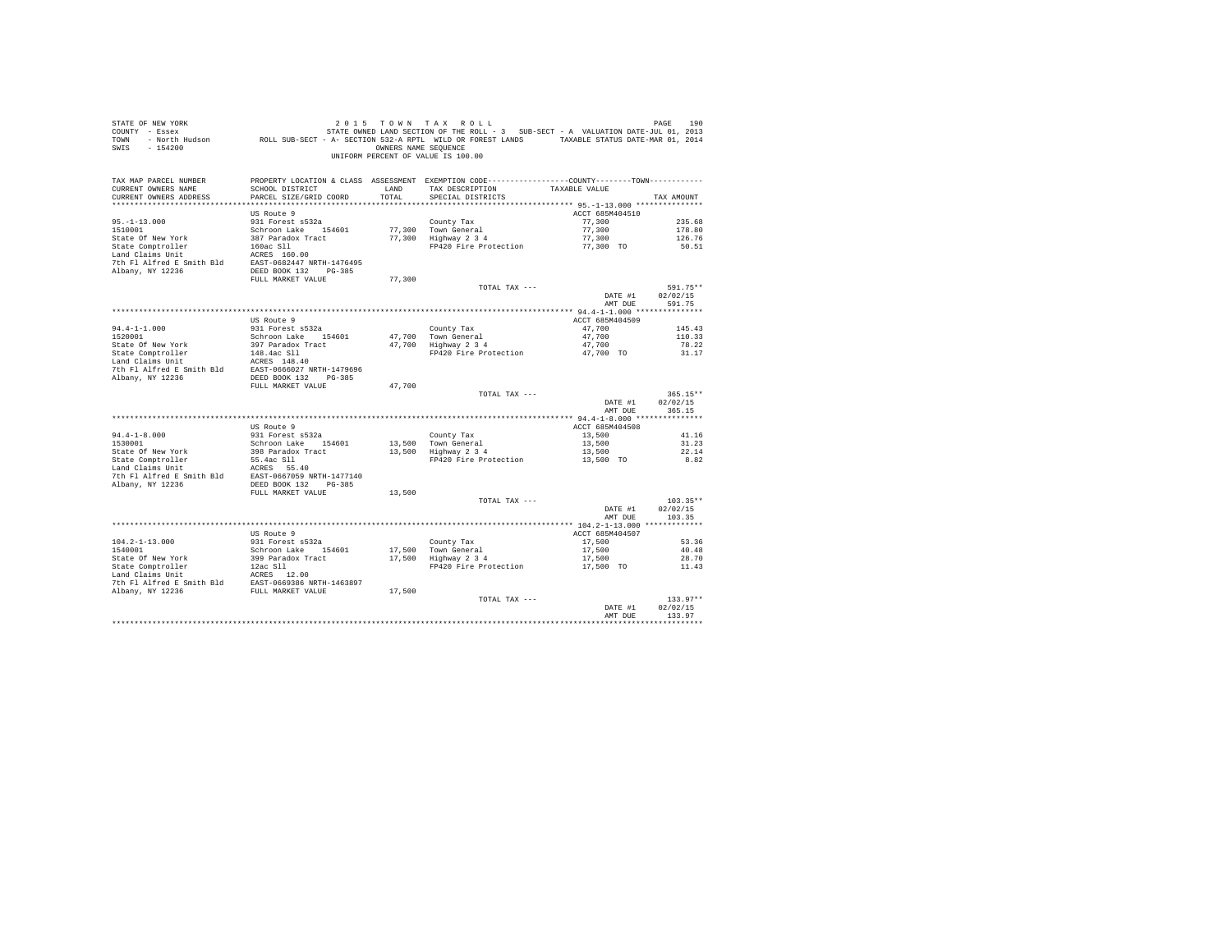| STATE OF NEW YORK<br>USE INSURIES AN TAX KULL ? IS TO THE SECTED ON THE ROLL PAGE IS A SUB-SECT - A VALUATION DATE-JUL 01, 2013<br>2013 COUNTY - Essex Month Hudson (SUB-SECT - A- SECTION 532-A RPTL WILD OR FOREST LANDS (TAXABLE STATUS DATE-MAR 01<br>SWIS - 154200 |                                                                                   |               | 2015 TOWN TAX ROLL<br>OWNERS NAME SEQUENCE<br>UNIFORM PERCENT OF VALUE IS 100.00                                                      |                    | PAGE<br>190                      |
|-------------------------------------------------------------------------------------------------------------------------------------------------------------------------------------------------------------------------------------------------------------------------|-----------------------------------------------------------------------------------|---------------|---------------------------------------------------------------------------------------------------------------------------------------|--------------------|----------------------------------|
| TAX MAP PARCEL NUMBER<br>CURRENT OWNERS NAME<br>CURRENT OWNERS ADDRESS<br>*************************                                                                                                                                                                     | SCHOOL DISTRICT<br>PARCEL SIZE/GRID COORD                                         | LAND<br>TOTAL | PROPERTY LOCATION & CLASS ASSESSMENT EXEMPTION CODE----------------COUNTY-------TOWN---------<br>TAX DESCRIPTION<br>SPECIAL DISTRICTS | TAXABLE VALUE      | TAX AMOUNT                       |
|                                                                                                                                                                                                                                                                         | US Route 9                                                                        |               |                                                                                                                                       | ACCT 685M404510    |                                  |
| $95. - 1 - 13.000$                                                                                                                                                                                                                                                      | 931 Forest s532a                                                                  |               | County Tax                                                                                                                            | 77,300             | 235.68                           |
| 1510001                                                                                                                                                                                                                                                                 | Schroon Lake 154601 77,300 Town General<br>387 Paradox Tract 77,300 Highway 2 3 4 |               |                                                                                                                                       | 77,300             | 178.80                           |
|                                                                                                                                                                                                                                                                         |                                                                                   |               |                                                                                                                                       | 77,300             | 126.76                           |
|                                                                                                                                                                                                                                                                         |                                                                                   |               | FP420 Fire Protection $77,300$ TO                                                                                                     |                    | 50.51                            |
|                                                                                                                                                                                                                                                                         |                                                                                   |               |                                                                                                                                       |                    |                                  |
|                                                                                                                                                                                                                                                                         |                                                                                   |               |                                                                                                                                       |                    |                                  |
|                                                                                                                                                                                                                                                                         | FULL MARKET VALUE                                                                 | 77,300        |                                                                                                                                       |                    |                                  |
|                                                                                                                                                                                                                                                                         |                                                                                   |               | TOTAL TAX ---                                                                                                                         |                    | 591.75**                         |
|                                                                                                                                                                                                                                                                         |                                                                                   |               |                                                                                                                                       | DATE #1            | 02/02/15                         |
|                                                                                                                                                                                                                                                                         |                                                                                   |               |                                                                                                                                       | AMT DUE            | 591.75                           |
|                                                                                                                                                                                                                                                                         |                                                                                   |               |                                                                                                                                       |                    |                                  |
|                                                                                                                                                                                                                                                                         | US Route 9                                                                        |               |                                                                                                                                       | ACCT 685M404509    |                                  |
| $94.4 - 1 - 1.000$<br>1520001                                                                                                                                                                                                                                           | 931 Forest s532a                                                                  |               |                                                                                                                                       | 47,700             | 145.43                           |
| State Of New York                                                                                                                                                                                                                                                       | Schroon Lake 154601<br>397 Paradox Tract                                          |               | County Tax<br>47,700 Town General<br>47,700 Highway 2 3 4                                                                             | 47,700<br>47,700   | 110.33<br>78.22                  |
|                                                                                                                                                                                                                                                                         |                                                                                   |               | FP420 Fire Protection                                                                                                                 | 47,700 TO          | 31.17                            |
|                                                                                                                                                                                                                                                                         |                                                                                   |               |                                                                                                                                       |                    |                                  |
|                                                                                                                                                                                                                                                                         |                                                                                   |               |                                                                                                                                       |                    |                                  |
| State Comptroller<br>148.4ac S11<br>Land Claims Unit<br>148.4ac S11<br>149.4ac S11<br>2016 Pl Alfred E Smith Bld<br>2021<br>20236 DEED BOOK 132<br>2038                                                                                                                 |                                                                                   |               |                                                                                                                                       |                    |                                  |
|                                                                                                                                                                                                                                                                         | FULL MARKET VALUE                                                                 | 47,700        |                                                                                                                                       |                    |                                  |
|                                                                                                                                                                                                                                                                         |                                                                                   |               | TOTAL TAX ---                                                                                                                         | DATE #1<br>AMT DUE | $365.15**$<br>02/02/15<br>365.15 |
|                                                                                                                                                                                                                                                                         |                                                                                   |               |                                                                                                                                       |                    |                                  |
|                                                                                                                                                                                                                                                                         | US Route 9                                                                        |               |                                                                                                                                       | ACCT 685M404508    |                                  |
| $94.4 - 1 - 8.000$                                                                                                                                                                                                                                                      | 931 Forest s532a                                                                  |               | County Tax                                                                                                                            | 13,500             | 41.16                            |
| 1530001                                                                                                                                                                                                                                                                 | Schroon Lake 154601                                                               |               | 13,500 Town General<br>13,500 Highway 2 3 4                                                                                           | 13,500             | 31.23                            |
| State Of New York<br>State Comptroller<br>Land Claims Unit                                                                                                                                                                                                              | 398 Paradox Tract<br>55.4ac Sll<br>ACRES 55.40                                    |               | FP420 Fire Protection 13,500 TO                                                                                                       | 13,500             | 22.14<br>8.82                    |
|                                                                                                                                                                                                                                                                         | ACRES 55.40                                                                       |               |                                                                                                                                       |                    |                                  |
| 7th Fl Alfred E Smith Bld EAST-0667059 NRTH-1477140                                                                                                                                                                                                                     |                                                                                   |               |                                                                                                                                       |                    |                                  |
| Albany, NY 12236                                                                                                                                                                                                                                                        | DEED BOOK 132 PG-385                                                              |               |                                                                                                                                       |                    |                                  |
|                                                                                                                                                                                                                                                                         | FULL MARKET VALUE                                                                 | 13,500        |                                                                                                                                       |                    |                                  |
|                                                                                                                                                                                                                                                                         |                                                                                   |               | TOTAL TAX ---                                                                                                                         |                    | $103.35**$                       |
|                                                                                                                                                                                                                                                                         |                                                                                   |               |                                                                                                                                       | DATE #1            | 02/02/15                         |
|                                                                                                                                                                                                                                                                         |                                                                                   |               |                                                                                                                                       | AMT DUE            | 103.35                           |
|                                                                                                                                                                                                                                                                         | US Route 9                                                                        |               |                                                                                                                                       | ACCT 685M404507    |                                  |
| $104.2 - 1 - 13.000$                                                                                                                                                                                                                                                    | 931 Forest s532a                                                                  |               |                                                                                                                                       | 17,500             | 53.36                            |
| 1540001                                                                                                                                                                                                                                                                 | Schroon Lake 154601                                                               |               |                                                                                                                                       | 17,500             | 40.48                            |
|                                                                                                                                                                                                                                                                         |                                                                                   |               | County Tax<br>17,500 Town General<br>17,500 Highway 2 3 4                                                                             | 17,500             | 28.70                            |
| State Of New York 399 Paradox Tract<br>State Comptroller 12ac 511<br>Land Claims Unit 12ac 12.00                                                                                                                                                                        |                                                                                   |               | FP420 Fire Protection                                                                                                                 | 17,500 TO          | 11.43                            |
|                                                                                                                                                                                                                                                                         |                                                                                   |               |                                                                                                                                       |                    |                                  |
|                                                                                                                                                                                                                                                                         |                                                                                   |               |                                                                                                                                       |                    |                                  |
|                                                                                                                                                                                                                                                                         |                                                                                   |               | TOTAL TAX ---                                                                                                                         |                    | $133.97**$                       |
|                                                                                                                                                                                                                                                                         |                                                                                   |               |                                                                                                                                       | DATE #1            | 02/02/15                         |
|                                                                                                                                                                                                                                                                         |                                                                                   |               |                                                                                                                                       | AMT DUE            | 133.97                           |
|                                                                                                                                                                                                                                                                         |                                                                                   |               |                                                                                                                                       |                    |                                  |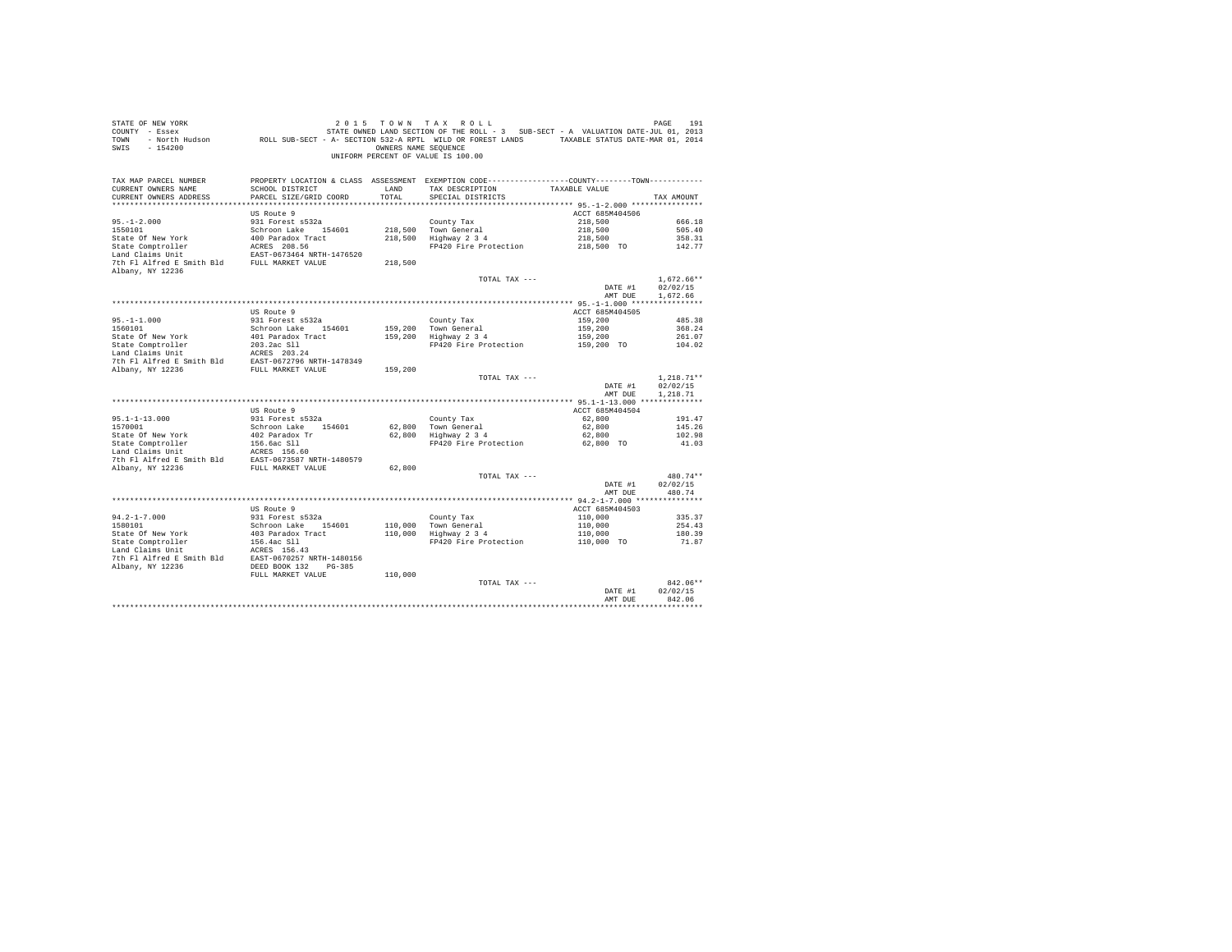| COUNTY - Essex<br>TOWN<br>$-154200$<br>SWIS                                             | - North Hudson ROLL SUB-SECT - A- SECTION 532-A RPTL WILD OR FOREST LANDS TAXABLE STATUS DATE-MAR 01, 2014 | OWNERS NAME SEQUENCE | STATE OWNED LAND SECTION OF THE ROLL - 3 SUB-SECT - A VALUATION DATE-JUL 01, 2013               |                            |                        |
|-----------------------------------------------------------------------------------------|------------------------------------------------------------------------------------------------------------|----------------------|-------------------------------------------------------------------------------------------------|----------------------------|------------------------|
|                                                                                         |                                                                                                            |                      | UNIFORM PERCENT OF VALUE IS 100.00                                                              |                            |                        |
| TAX MAP PARCEL NUMBER                                                                   |                                                                                                            |                      | PROPERTY LOCATION & CLASS ASSESSMENT EXEMPTION CODE----------------COUNTY--------TOWN---------- |                            |                        |
| CURRENT OWNERS NAME                                                                     | SCHOOL DISTRICT                                                                                            | LAND                 | TAX DESCRIPTION                                                                                 | TAXABLE VALUE              |                        |
| CURRENT OWNERS ADDRESS                                                                  | PARCEL SIZE/GRID COORD                                                                                     | TOTAL                | SPECIAL DISTRICTS                                                                               |                            | TAX AMOUNT             |
|                                                                                         |                                                                                                            |                      |                                                                                                 |                            |                        |
|                                                                                         | US Route 9                                                                                                 |                      |                                                                                                 | ACCT 685M404506            |                        |
| $95. - 1 - 2.000$                                                                       | 931 Forest s532a                                                                                           |                      | County Tax                                                                                      | 218,500                    | 666.18                 |
| 1550101                                                                                 | Schroon Lake 154601                                                                                        |                      | 218,500 Town General<br>218,500 Highway 2 3 4                                                   | 218,500                    | 505.40                 |
| State Of New York                                                                       | 400 Paradox Tract                                                                                          |                      | FP420 Fire Protection                                                                           | 218,500<br>218,500 TO      | 358.31<br>142.77       |
| State Comptroller<br>Land Claims Unit                                                   | ACRES 208.56<br>EAST-0673464 NRTH-1476520                                                                  |                      |                                                                                                 |                            |                        |
| 7th Fl Alfred E Smith Bld FULL MARKET VALUE<br>Albany, NY 12236                         |                                                                                                            | 218,500              |                                                                                                 |                            |                        |
|                                                                                         |                                                                                                            |                      | TOTAL TAX ---                                                                                   |                            | $1.672.66**$           |
|                                                                                         |                                                                                                            |                      |                                                                                                 | DATE #1                    | 02/02/15               |
|                                                                                         |                                                                                                            |                      |                                                                                                 | AMT DUE                    | 1.672.66               |
|                                                                                         |                                                                                                            |                      |                                                                                                 |                            |                        |
| $95. -1 - 1.000$                                                                        | US Route 9<br>931 Forest s532a                                                                             |                      | County Tax                                                                                      | ACCT 685M404505<br>159,200 |                        |
| 1560101                                                                                 | Schroon Lake 154601                                                                                        |                      | 159,200 Town General                                                                            | 159,200                    | 485.38<br>368.24       |
| State Of New York                                                                       | 401 Paradox Tract                                                                                          |                      | 159,200 Highway 2 3 4                                                                           | 159,200                    | 261.07                 |
| State Comptroller                                                                       | 203.2ac Sll                                                                                                |                      | FP420 Fire Protection                                                                           | 159,200 TO                 | 104.02                 |
| Land Claims Unit                                                                        | ACRES 203.24                                                                                               |                      |                                                                                                 |                            |                        |
|                                                                                         |                                                                                                            |                      |                                                                                                 |                            |                        |
| For the smith Bld<br>The Fl Alfred E Smith Bld<br>RIBANY. NY 12236<br>FULL MARKET VALUE |                                                                                                            | 159,200              |                                                                                                 |                            |                        |
|                                                                                         |                                                                                                            |                      | TOTAL TAX ---                                                                                   |                            | $1,218.71**$           |
|                                                                                         |                                                                                                            |                      |                                                                                                 | DATE #1                    | 02/02/15               |
|                                                                                         |                                                                                                            |                      |                                                                                                 | AMT DUE                    | 1,218.71               |
|                                                                                         |                                                                                                            |                      |                                                                                                 |                            |                        |
|                                                                                         | US Route 9                                                                                                 |                      |                                                                                                 | ACCT 685M404504            |                        |
| $95.1 - 1 - 13.000$                                                                     | 931 Forest s532a                                                                                           |                      | County Tax                                                                                      | 62,800                     | 191.47                 |
| 1570001                                                                                 | Schroon Lake 154601                                                                                        | 62,800               | Town General                                                                                    | 62,800                     | 145.26                 |
| State Of New York                                                                       | 402 Paradox Tr                                                                                             | 62.800               | Highway 2 3 4                                                                                   | 62,800                     | 102.98                 |
| State Comptroller<br>Land Claims Unit                                                   | 156.6ac Sll<br>ACRES 156.60                                                                                |                      | FP420 Fire Protection                                                                           | 62.800 TO                  | 41.03                  |
| 7th Fl Alfred E Smith Bld                                                               | EAST-0673587 NRTH-1480579                                                                                  |                      |                                                                                                 |                            |                        |
| Albany, NY 12236                                                                        | FULL MARKET VALUE                                                                                          | 62,800               |                                                                                                 |                            |                        |
|                                                                                         |                                                                                                            |                      | TOTAL TAX ---                                                                                   |                            | 480.74**               |
|                                                                                         |                                                                                                            |                      |                                                                                                 | DATE #1                    | 02/02/15               |
|                                                                                         |                                                                                                            |                      |                                                                                                 | AMT DUE                    | 480.74                 |
|                                                                                         |                                                                                                            |                      |                                                                                                 |                            |                        |
|                                                                                         | US Route 9                                                                                                 |                      |                                                                                                 | ACCT 685M404503            |                        |
| $94.2 - 1 - 7.000$                                                                      | 931 Forest s532a                                                                                           |                      |                                                                                                 | 110,000                    | 335.37                 |
| 1580101                                                                                 | Schroon Lake 154601                                                                                        |                      | County Tax<br>110,000 Town General<br>110,000 Highway 2 3 4                                     | 110,000                    | 254.43                 |
| State Of New York                                                                       | 403 Paradox Tract                                                                                          |                      |                                                                                                 | 110,000                    | 180.39                 |
| State Comptroller                                                                       | 156.4ac S11<br>ACRES 156.43                                                                                |                      | FP420 Fire Protection                                                                           | 110,000 TO                 | 71.87                  |
| Land Claims Unit                                                                        |                                                                                                            |                      |                                                                                                 |                            |                        |
| 7th Fl Alfred E Smith Bld EAST-0670257 NRTH-1480156                                     |                                                                                                            |                      |                                                                                                 |                            |                        |
| Albany, NY 12236                                                                        | DEED BOOK 132<br>PG-385                                                                                    |                      |                                                                                                 |                            |                        |
|                                                                                         | FULL MARKET VALUE                                                                                          | 110,000              |                                                                                                 |                            |                        |
|                                                                                         |                                                                                                            |                      | TOTAL TAX ---                                                                                   |                            | $842.06**$<br>02/02/15 |
|                                                                                         |                                                                                                            |                      |                                                                                                 | DATE #1<br>AMT DUE         | 842.06                 |
|                                                                                         |                                                                                                            |                      |                                                                                                 |                            | **********             |
|                                                                                         |                                                                                                            |                      |                                                                                                 |                            |                        |

STATE OF NEW YORK 2 0 1 5 T O W N T A X R O L L PAGE 191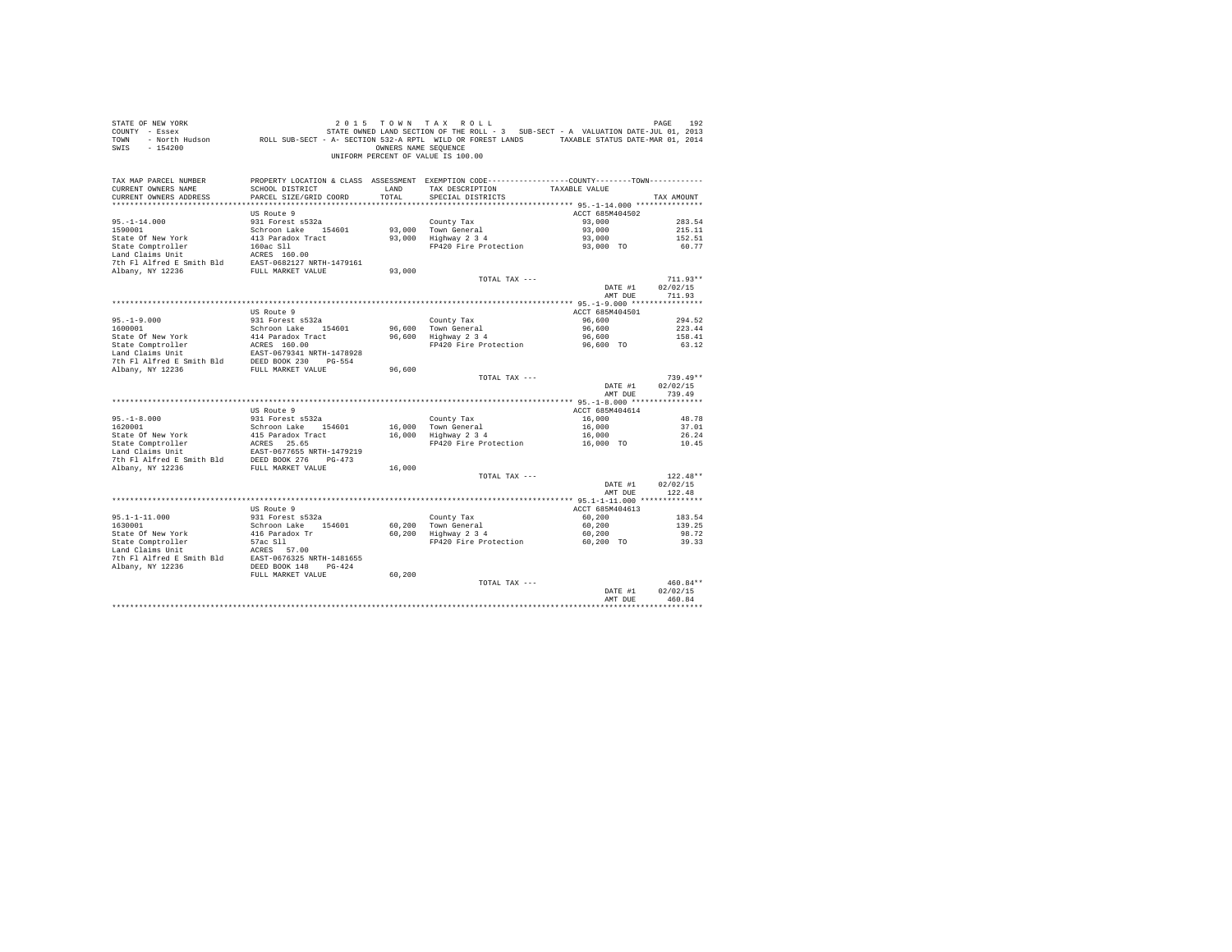| STATE OF NEW YORK<br>COUNTY - Essex<br>TOWN<br>SWIS - 154200                                                                                                                                                                | DE MESS DE PAGE 192 (2015 TO WINT A X ROLL)<br>The Essex STATE STATE ON STATE STATE ONE DESCRIPT ON STATE SECT - A VALUATION DATE JULO 1, 2013<br>ROLL SUB-SECT - A SECTION 532-A RPTL WILD OR FOREST LANDS TAXABLE STATUS DATE-MAR | OWNERS NAME SEQUENCE | 2015 TOWN TAX ROLL<br>UNIFORM PERCENT OF VALUE IS 100.00                                       |                     | PAGE<br>192            |
|-----------------------------------------------------------------------------------------------------------------------------------------------------------------------------------------------------------------------------|-------------------------------------------------------------------------------------------------------------------------------------------------------------------------------------------------------------------------------------|----------------------|------------------------------------------------------------------------------------------------|---------------------|------------------------|
| TAX MAP PARCEL NUMBER                                                                                                                                                                                                       |                                                                                                                                                                                                                                     |                      | PROPERTY LOCATION & CLASS ASSESSMENT EXEMPTION CODE----------------COUNTY-------TOWN---------- |                     |                        |
| CURRENT OWNERS NAME<br>CURRENT OWNERS ADDRESS                                                                                                                                                                               | SCHOOL DISTRICT<br>PARCEL SIZE/GRID COORD                                                                                                                                                                                           | LAND<br>TOTAL        | TAX DESCRIPTION<br>SPECIAL DISTRICTS                                                           | TAXABLE VALUE       | TAX AMOUNT             |
|                                                                                                                                                                                                                             |                                                                                                                                                                                                                                     |                      |                                                                                                |                     |                        |
|                                                                                                                                                                                                                             | US Route 9                                                                                                                                                                                                                          |                      |                                                                                                | ACCT 685M404502     |                        |
| $95. - 1 - 14.000$                                                                                                                                                                                                          | 931 Forest s532a                                                                                                                                                                                                                    |                      | County Tax                                                                                     | 93,000              | 283.54                 |
| 1590001                                                                                                                                                                                                                     | Schroon Lake 154601                                                                                                                                                                                                                 |                      |                                                                                                | 93,000              | 215.11                 |
| State Of New York                                                                                                                                                                                                           | 413 Paradox Tract                                                                                                                                                                                                                   |                      | 93,000 Town General<br>93,000 Highway 2 3 4                                                    | 93,000              | 152.51                 |
| State Comptroller                                                                                                                                                                                                           |                                                                                                                                                                                                                                     |                      | FP420 Fire Protection                                                                          | 93,000 TO           | 60.77                  |
| Land Claims Unit                                                                                                                                                                                                            | 160ac S11<br>ACRES 160.00<br>EAST-0682127 NRTH-1479161                                                                                                                                                                              |                      |                                                                                                |                     |                        |
| 7th Fl Alfred E Smith Bld                                                                                                                                                                                                   |                                                                                                                                                                                                                                     |                      |                                                                                                |                     |                        |
| Albany, NY 12236                                                                                                                                                                                                            | FULL MARKET VALUE                                                                                                                                                                                                                   | 93,000               |                                                                                                |                     |                        |
|                                                                                                                                                                                                                             |                                                                                                                                                                                                                                     |                      | TOTAL TAX ---                                                                                  |                     | $711.93**$<br>02/02/15 |
|                                                                                                                                                                                                                             |                                                                                                                                                                                                                                     |                      |                                                                                                | DATE #1<br>AMT DUE  | 711.93                 |
|                                                                                                                                                                                                                             |                                                                                                                                                                                                                                     |                      |                                                                                                |                     |                        |
|                                                                                                                                                                                                                             | US Route 9                                                                                                                                                                                                                          |                      |                                                                                                | ACCT 685M404501     |                        |
|                                                                                                                                                                                                                             | 931 Forest s532a                                                                                                                                                                                                                    |                      | County Tax                                                                                     | 96,600              | 294.52                 |
| $95. -1 - 9.000$<br>1600001                                                                                                                                                                                                 | Schroon Lake 154601                                                                                                                                                                                                                 | 96,600               |                                                                                                | 96,600              | 223.44                 |
|                                                                                                                                                                                                                             |                                                                                                                                                                                                                                     |                      | 96,600 Town General<br>96,600 Highway 2 3 4                                                    | 96,600              | 158.41                 |
|                                                                                                                                                                                                                             |                                                                                                                                                                                                                                     |                      | FP420 Fire Protection                                                                          | 96.600 TO           | 63.12                  |
|                                                                                                                                                                                                                             |                                                                                                                                                                                                                                     |                      |                                                                                                |                     |                        |
| 1000011<br>State Of New York and Taradox Tract<br>State Comptroller and Taradox Tract<br>Land Claims Unit<br>17 Alfred E Smith Bld DEED BOOK 230<br>2010 PLD ARKET VALUE<br>2010 PLD ARKET VALUE<br>20236 FULL MARKET VALUE |                                                                                                                                                                                                                                     |                      |                                                                                                |                     |                        |
|                                                                                                                                                                                                                             |                                                                                                                                                                                                                                     | 96,600               | TOTAL TAX ---                                                                                  |                     | $739.49**$             |
|                                                                                                                                                                                                                             |                                                                                                                                                                                                                                     |                      |                                                                                                | DATE #1             | 02/02/15               |
|                                                                                                                                                                                                                             |                                                                                                                                                                                                                                     |                      |                                                                                                | AMT DUE             | 739.49                 |
|                                                                                                                                                                                                                             |                                                                                                                                                                                                                                     |                      |                                                                                                |                     |                        |
|                                                                                                                                                                                                                             | US Route 9                                                                                                                                                                                                                          |                      |                                                                                                | ACCT 685M404614     |                        |
| $95. - 1 - 8.000$                                                                                                                                                                                                           | 931 Forest s532a                                                                                                                                                                                                                    |                      | County Tax                                                                                     | 16,000              | 48.78                  |
| 1620001                                                                                                                                                                                                                     | Schroon Lake 154601                                                                                                                                                                                                                 |                      | 16,000 Town General<br>16,000 Highway 2 3 4                                                    | 16,000              | 37.01                  |
| State Of New York                                                                                                                                                                                                           | 415 Paradox Tract                                                                                                                                                                                                                   |                      |                                                                                                | 16,000              | 26.24                  |
|                                                                                                                                                                                                                             |                                                                                                                                                                                                                                     |                      | FP420 Fire Protection                                                                          | 16,000 TO           | 10.45                  |
|                                                                                                                                                                                                                             |                                                                                                                                                                                                                                     |                      |                                                                                                |                     |                        |
| State Comptroller<br>1992 - And Claims Unit<br>1992 - Land Claims Unit<br>1992 - The Flatfred Example DEED BOOK<br>1993 - The Platfred Example DEED BOOK<br>1993 - PULL MARKET VALUE                                        |                                                                                                                                                                                                                                     | 16,000               |                                                                                                |                     |                        |
|                                                                                                                                                                                                                             |                                                                                                                                                                                                                                     |                      | TOTAL TAX ---                                                                                  |                     | $122.48**$             |
|                                                                                                                                                                                                                             |                                                                                                                                                                                                                                     |                      |                                                                                                | DATE #1             | 02/02/15               |
|                                                                                                                                                                                                                             |                                                                                                                                                                                                                                     |                      |                                                                                                | AMT DUE             | 122.48                 |
|                                                                                                                                                                                                                             |                                                                                                                                                                                                                                     |                      |                                                                                                |                     |                        |
|                                                                                                                                                                                                                             | US Route 9                                                                                                                                                                                                                          |                      |                                                                                                | ACCT 685M404613     |                        |
| $95.1 - 1 - 11.000$                                                                                                                                                                                                         | 931 Forest s532a                                                                                                                                                                                                                    |                      | County Tax                                                                                     | 60,200              | 183.54                 |
| 1630001                                                                                                                                                                                                                     | Schroon Lake 154601                                                                                                                                                                                                                 |                      | 60,200 Town General<br>60,200 Highway 2 3 4                                                    | 60,200              | 139.25                 |
| State Of New York<br>State Comptroller                                                                                                                                                                                      | 416 Paradox Tr<br>57ac Sll<br>2000 - 57.00                                                                                                                                                                                          |                      | FP420 Fire Protection                                                                          | 60,200<br>60.200 TO | 98.72<br>39.33         |
|                                                                                                                                                                                                                             |                                                                                                                                                                                                                                     |                      |                                                                                                |                     |                        |
| Land Claims Unit MERES 57.00<br>7th Pl Alfred E Smith Bld BAST-0676325 NRTH-1481655<br>Albany, NY 12236                                                                                                                     |                                                                                                                                                                                                                                     |                      |                                                                                                |                     |                        |
|                                                                                                                                                                                                                             |                                                                                                                                                                                                                                     |                      |                                                                                                |                     |                        |
|                                                                                                                                                                                                                             | FULL MARKET VALUE                                                                                                                                                                                                                   | 60,200               |                                                                                                |                     |                        |
|                                                                                                                                                                                                                             |                                                                                                                                                                                                                                     |                      | TOTAL TAX ---                                                                                  |                     | 460.84**               |
|                                                                                                                                                                                                                             |                                                                                                                                                                                                                                     |                      |                                                                                                | DATE #1             | 02/02/15               |
|                                                                                                                                                                                                                             |                                                                                                                                                                                                                                     |                      |                                                                                                | AMT DHE             | 460.84                 |
|                                                                                                                                                                                                                             |                                                                                                                                                                                                                                     |                      |                                                                                                |                     |                        |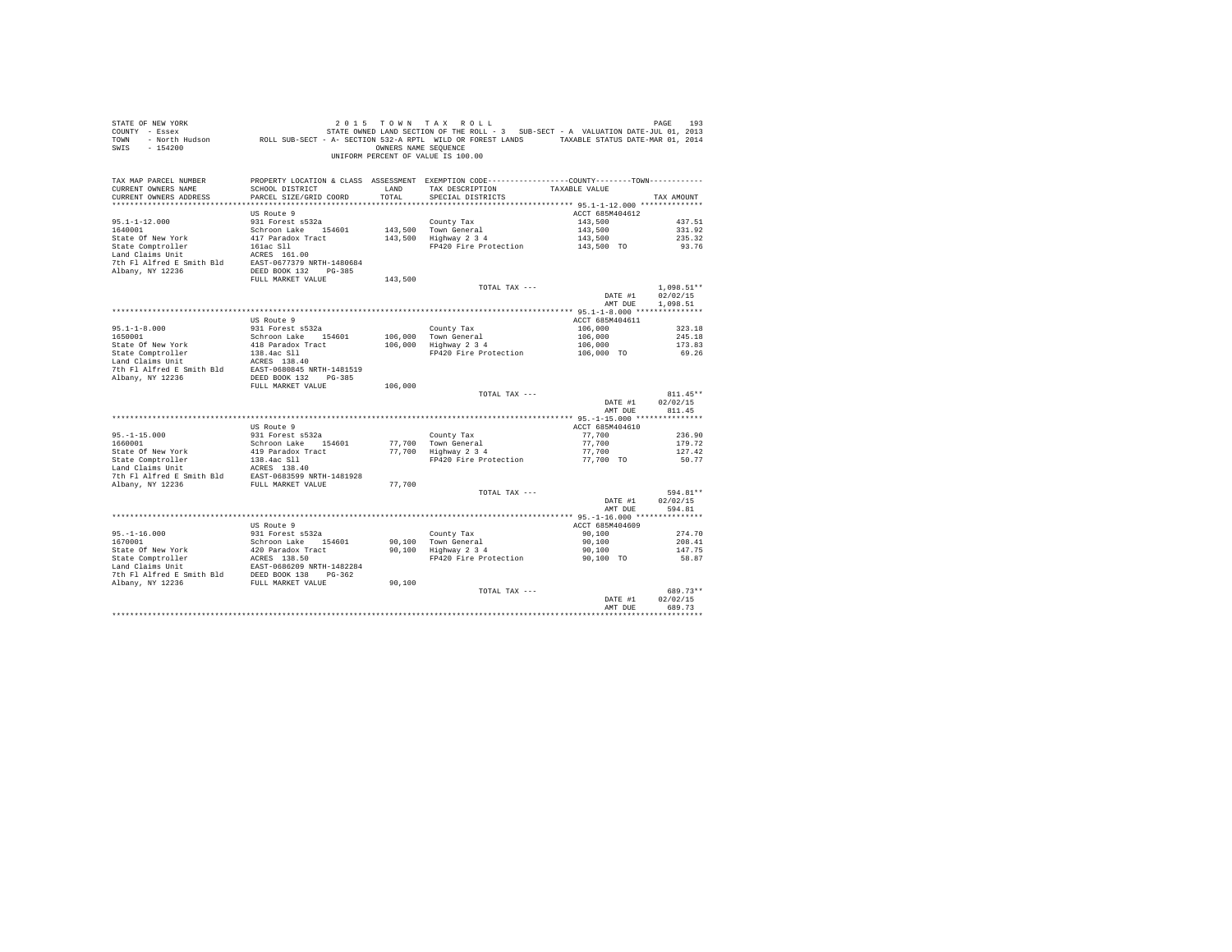| STATE OF NEW YORK<br>SIRE OF THE SERIES AND THE SERIES OF THE SERIES OF THE SERIES OF THE SERIES AND THE STATE-JUL 01, 2013<br>2013 COUNTY - Essex STATE OWNED LAND SECTION OF THE ROLL - 3 SUB-SECT - A VALUATION DATE-JUL 01, 2013<br>2014 - North Huds<br>SWIS - 154200 |                                           |               | 2015 TOWN TAX ROLL<br>OWNERS NAME SEQUENCE<br>UNIFORM PERCENT OF VALUE IS 100.00                                                        |                       | PAGE<br>193           |
|----------------------------------------------------------------------------------------------------------------------------------------------------------------------------------------------------------------------------------------------------------------------------|-------------------------------------------|---------------|-----------------------------------------------------------------------------------------------------------------------------------------|-----------------------|-----------------------|
| TAX MAP PARCEL NUMBER<br>CURRENT OWNERS NAME<br>CURRENT OWNERS ADDRESS                                                                                                                                                                                                     | SCHOOL DISTRICT<br>PARCEL SIZE/GRID COORD | LAND<br>TOTAL | PROPERTY LOCATION & CLASS ASSESSMENT EXEMPTION CODE----------------COUNTY--------TOWN----------<br>TAX DESCRIPTION<br>SPECIAL DISTRICTS | TAXABLE VALUE         | TAX AMOUNT            |
|                                                                                                                                                                                                                                                                            |                                           |               |                                                                                                                                         |                       |                       |
|                                                                                                                                                                                                                                                                            | US Route 9                                |               |                                                                                                                                         | ACCT 685M404612       |                       |
| $95.1 - 1 - 12.000$<br>1640001                                                                                                                                                                                                                                             | 931 Forest s532a                          |               | County Tax                                                                                                                              | 143,500               | 437.51                |
| State Of New York                                                                                                                                                                                                                                                          | Schroon Lake 154601<br>417 Paradox Tract  |               | 143,500 Town General<br>143,500 Highway 2 3 4                                                                                           | 143,500               | 331.92<br>235.32      |
|                                                                                                                                                                                                                                                                            |                                           |               | FP420 Fire Protection                                                                                                                   | 143,500<br>143,500 TO | 93.76                 |
| State Comptroller<br>Land Claims Unit                                                                                                                                                                                                                                      | 161ac S11<br>ACRES 161.00                 |               |                                                                                                                                         |                       |                       |
| 7th Fl Alfred E Smith Bld EAST-0677379 NRTH-1480684                                                                                                                                                                                                                        |                                           |               |                                                                                                                                         |                       |                       |
| Albany, NY 12236                                                                                                                                                                                                                                                           | DEED BOOK 132 PG-385                      |               |                                                                                                                                         |                       |                       |
|                                                                                                                                                                                                                                                                            | FULL MARKET VALUE                         | 143,500       |                                                                                                                                         |                       |                       |
|                                                                                                                                                                                                                                                                            |                                           |               | TOTAL TAX ---                                                                                                                           |                       | $1,098.51**$          |
|                                                                                                                                                                                                                                                                            |                                           |               |                                                                                                                                         | DATE #1<br>AMT DUE    | 02/02/15<br>1,098.51  |
|                                                                                                                                                                                                                                                                            |                                           |               |                                                                                                                                         |                       |                       |
|                                                                                                                                                                                                                                                                            | US Route 9                                |               |                                                                                                                                         | ACCT 685M404611       |                       |
|                                                                                                                                                                                                                                                                            | 931 Forest s532a                          |               | County Tax                                                                                                                              | 106,000               | 323.18                |
| $95.1 - 1 - 8.000$<br>1650001                                                                                                                                                                                                                                              | Schroon Lake 154601                       |               | County is<br>106,000 Town General<br>106,000 Highway 2 3 4                                                                              | 106,000               | 245.18                |
| State Of New York                                                                                                                                                                                                                                                          | 418 Paradox Tract                         |               |                                                                                                                                         | 106,000<br>106,000 TO | 173.83                |
| State Comptroller<br>Land Claims Unit                                                                                                                                                                                                                                      |                                           |               | FP420 Fire Protection                                                                                                                   |                       | 69.26                 |
|                                                                                                                                                                                                                                                                            |                                           |               |                                                                                                                                         |                       |                       |
| State Comptroller<br>138.4ac S11<br>Land Claims Unit<br>138.4ac S11<br>2010 120236<br>2010 120236<br>2020845 NRTH-1481519<br>2021 12236<br>2022 124.45<br>2022 124.45<br>2022 124.45<br>2022 124.45<br>2023 124.45<br>2023 124.45<br>2023 124.45<br>2023 124               |                                           |               |                                                                                                                                         |                       |                       |
|                                                                                                                                                                                                                                                                            | FULL MARKET VALUE                         | 106,000       |                                                                                                                                         |                       |                       |
|                                                                                                                                                                                                                                                                            |                                           |               | TOTAL TAX ---                                                                                                                           |                       | $811.45**$            |
|                                                                                                                                                                                                                                                                            |                                           |               |                                                                                                                                         | DATE #1               | 02/02/15              |
|                                                                                                                                                                                                                                                                            |                                           |               |                                                                                                                                         | AMT DUE               | 811.45                |
|                                                                                                                                                                                                                                                                            | US Route 9                                |               |                                                                                                                                         | ACCT 685M404610       |                       |
| $95. - 1 - 15.000$                                                                                                                                                                                                                                                         | 931 Forest s532a                          |               | County Tax                                                                                                                              | 77,700                | 236.90                |
| 1660001                                                                                                                                                                                                                                                                    | Schroon Lake 154601                       |               | 77,700 Town General                                                                                                                     | 77,700                | 179.72                |
| State Of New York                                                                                                                                                                                                                                                          | 419 Paradox Tract                         |               | 77,700   Town General<br>77,700   Highway 2 3 4                                                                                         | 77.700                | 127.42                |
|                                                                                                                                                                                                                                                                            |                                           |               | FP420 Fire Protection 77,700 TO                                                                                                         |                       | 50.77                 |
|                                                                                                                                                                                                                                                                            |                                           |               |                                                                                                                                         |                       |                       |
| 7th F1 Alfred E Smith Bld<br>EAST-0683599 NRTH-1481928<br>RIbany, NY 12236<br>FULL MARKET VALUE                                                                                                                                                                            |                                           |               |                                                                                                                                         |                       |                       |
|                                                                                                                                                                                                                                                                            | FULL MARKET VALUE                         | 77,700        | TOTAL TAX ---                                                                                                                           |                       | 594.81**              |
|                                                                                                                                                                                                                                                                            |                                           |               |                                                                                                                                         | DATE #1               | 02/02/15              |
|                                                                                                                                                                                                                                                                            |                                           |               |                                                                                                                                         | AMT DUE               | 594.81                |
|                                                                                                                                                                                                                                                                            |                                           |               |                                                                                                                                         |                       |                       |
|                                                                                                                                                                                                                                                                            | US Route 9                                |               |                                                                                                                                         | ACCT 685M404609       |                       |
| $95. -1 - 16.000$                                                                                                                                                                                                                                                          | 931 Forest s532a                          |               | County Tax<br>90,100 Town General<br>90,100 Highway 2 3 4                                                                               | 90.100                | 274.70                |
| 1670001                                                                                                                                                                                                                                                                    | Schroon Lake 154601                       |               |                                                                                                                                         | 90,100                | 208.41                |
|                                                                                                                                                                                                                                                                            |                                           |               | FP420 Fire Protection                                                                                                                   | 90,100                | 147.75                |
|                                                                                                                                                                                                                                                                            |                                           |               |                                                                                                                                         | 90,100 TO             | 58.87                 |
|                                                                                                                                                                                                                                                                            |                                           |               |                                                                                                                                         |                       |                       |
| Albany, NY 12236                                                                                                                                                                                                                                                           | FULL MARKET VALUE                         | 90,100        |                                                                                                                                         |                       |                       |
|                                                                                                                                                                                                                                                                            |                                           |               | TOTAL TAX ---                                                                                                                           |                       | 689.73**              |
|                                                                                                                                                                                                                                                                            |                                           |               |                                                                                                                                         | DATE #1               | 02/02/15              |
|                                                                                                                                                                                                                                                                            |                                           |               |                                                                                                                                         | AMT DUE               | 689.73<br>*********** |
|                                                                                                                                                                                                                                                                            |                                           |               |                                                                                                                                         |                       |                       |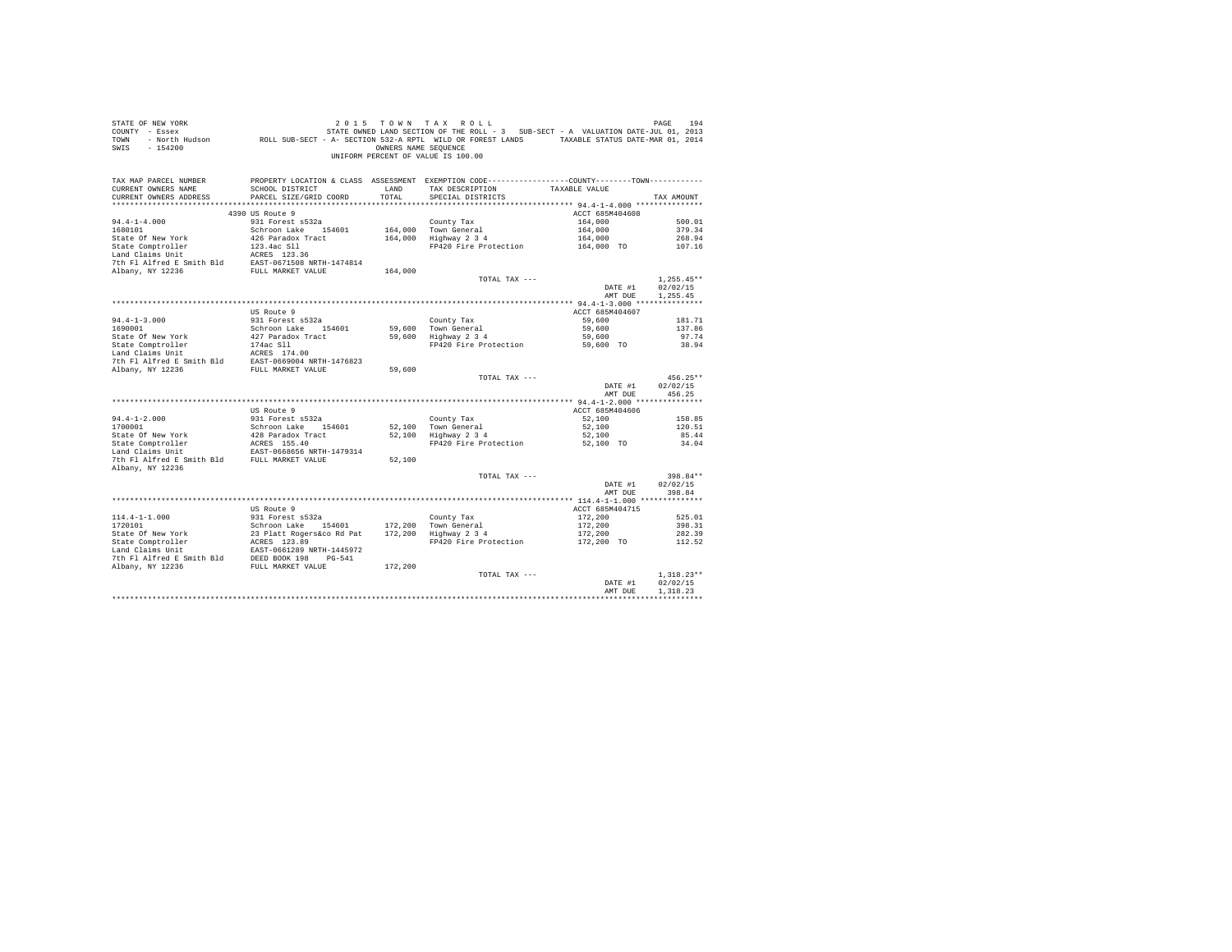| STATE OF NEW YORK                              |                           |                      | 2015 TOWN TAX ROLL                                                                           |                 | PAGE<br>194  |
|------------------------------------------------|---------------------------|----------------------|----------------------------------------------------------------------------------------------|-----------------|--------------|
| COUNTY - Essex                                 |                           |                      | STATE OWNED LAND SECTION OF THE ROLL - 3 SUB-SECT - A VALUATION DATE-JUL 01, 2013            |                 |              |
| - North Hudson<br>TOWN                         |                           |                      | ROLL SUB-SECT - A- SECTION 532-A RPTL WILD OR FOREST LANDS TAXABLE STATUS DATE-MAR 01, 2014  |                 |              |
|                                                |                           |                      |                                                                                              |                 |              |
| SWIS<br>$-154200$                              |                           | OWNERS NAME SEQUENCE |                                                                                              |                 |              |
|                                                |                           |                      | UNIFORM PERCENT OF VALUE IS 100.00                                                           |                 |              |
|                                                |                           |                      |                                                                                              |                 |              |
|                                                |                           |                      |                                                                                              |                 |              |
| TAX MAP PARCEL NUMBER                          |                           |                      | PROPERTY LOCATION & CLASS ASSESSMENT EXEMPTION CODE---------------COUNTY-------TOWN--------- |                 |              |
|                                                |                           |                      |                                                                                              |                 |              |
| CURRENT OWNERS NAME                            | SCHOOL DISTRICT           | LAND                 | TAX DESCRIPTION                                                                              | TAXABLE VALUE   |              |
| CURRENT OWNERS ADDRESS                         | PARCEL SIZE/GRID COORD    | TOTAL                | SPECIAL DISTRICTS                                                                            |                 | TAX AMOUNT   |
|                                                |                           |                      |                                                                                              |                 |              |
|                                                | 4390 US Route 9           |                      |                                                                                              | ACCT 685M404608 |              |
| $94.4 - 1 - 4.000$                             | 931 Forest s532a          |                      | County Tax                                                                                   | 164,000         | 500.01       |
| 1680101                                        |                           |                      |                                                                                              |                 | 379.34       |
|                                                | Schroon Lake 154601       |                      | 164,000 Town General                                                                         | 164,000         |              |
| State Of New York                              | 426 Paradox Tract         |                      | 164,000 Highway 2 3 4                                                                        | 164,000         | 268.94       |
| State Comptroller                              | 123.4ac Sll               |                      | FP420 Fire Protection                                                                        | 164,000 TO      | 107.16       |
| Land Claims Unit                               | ACRES 123.36              |                      |                                                                                              |                 |              |
| 7th Fl Alfred E Smith Bld                      | EAST-0671508 NRTH-1474814 |                      |                                                                                              |                 |              |
| Albany, NY 12236                               | FULL MARKET VALUE         | 164,000              |                                                                                              |                 |              |
|                                                |                           |                      |                                                                                              |                 |              |
|                                                |                           |                      | TOTAL TAX ---                                                                                |                 | $1.255.45**$ |
|                                                |                           |                      |                                                                                              | DATE #1         | 02/02/15     |
|                                                |                           |                      |                                                                                              | AMT DUE         | 1,255.45     |
|                                                |                           |                      |                                                                                              |                 |              |
|                                                | US Route 9                |                      |                                                                                              | ACCT 685M404607 |              |
|                                                |                           |                      |                                                                                              |                 |              |
| $94.4 - 1 - 3.000$                             | 931 Forest s532a          |                      | County Tax                                                                                   | 59,600          | 181.71       |
| 1690001                                        | Schroon Lake 154601       | 59,600               | Town General                                                                                 | 59,600          | 137.86       |
| State Of New York                              | 427 Paradox Tract         | 59,600               | Highway 2 3 4                                                                                | 59,600          | 97.74        |
| State Comptroller                              | 174ac Sll                 |                      | FP420 Fire Protection                                                                        | 59,600 TO       | 38.94        |
| Land Claims Unit                               | ACRES 174.00              |                      |                                                                                              |                 |              |
| 7th Fl Alfred E Smith Bld                      | EAST-0669004 NRTH-1476823 |                      |                                                                                              |                 |              |
|                                                |                           |                      |                                                                                              |                 |              |
| Albany, NY 12236                               | FULL MARKET VALUE         | 59,600               |                                                                                              |                 |              |
|                                                |                           |                      | TOTAL TAX ---                                                                                |                 | $456.25**$   |
|                                                |                           |                      |                                                                                              | DATE #1         | 02/02/15     |
|                                                |                           |                      |                                                                                              | AMT DUE         | 456.25       |
|                                                |                           |                      |                                                                                              |                 |              |
|                                                | US Route 9                |                      |                                                                                              | ACCT 685M404606 |              |
|                                                |                           |                      |                                                                                              |                 |              |
| $94.4 - 1 - 2.000$                             | 931 Forest s532a          |                      | County Tax                                                                                   | 52,100          | 158.85       |
| 1700001                                        | Schroon Lake 154601       |                      | 52.100 Town General                                                                          | 52,100          | 120.51       |
| State Of New York                              | 428 Paradox Tract         |                      | 52.100 Highway 2 3 4                                                                         | 52,100          | 85.44        |
| State Comptroller                              | ACRES 155.40              |                      | FP420 Fire Protection                                                                        | 52,100 TO       | 34.04        |
| Land Claims Unit                               | EAST-0668656 NRTH-1479314 |                      |                                                                                              |                 |              |
|                                                |                           |                      |                                                                                              |                 |              |
| 7th Fl Alfred E Smith Bld FULL MARKET VALUE    |                           | 52,100               |                                                                                              |                 |              |
| Albany, NY 12236                               |                           |                      |                                                                                              |                 |              |
|                                                |                           |                      | TOTAL TAX ---                                                                                |                 | $398.84**$   |
|                                                |                           |                      |                                                                                              | DATE #1         | 02/02/15     |
|                                                |                           |                      |                                                                                              | AMT DUE         | 398.84       |
|                                                |                           |                      |                                                                                              |                 |              |
|                                                |                           |                      |                                                                                              |                 |              |
|                                                | US Route 9                |                      |                                                                                              | ACCT 685M404715 |              |
| $114.4 - 1 - 1.000$                            | 931 Forest s532a          |                      | County Tax                                                                                   | 172,200         | 525.01       |
| 1720101                                        | Schroon Lake 154601       | 172,200              | Town General                                                                                 | 172,200         | 398.31       |
| State Of New York                              | 23 Platt Rogers&co Rd Pat | 172,200              | Highway 2 3 4                                                                                | 172,200         | 282.39       |
|                                                | ACRES 123.89              |                      |                                                                                              |                 |              |
| State Of Now<br>State Comptroller              |                           |                      | FP420 Fire Protection                                                                        | 172,200 TO      | 112.52       |
| Land Claims Unit                               | EAST-0661289 NRTH-1445972 |                      |                                                                                              |                 |              |
| 7th Fl Alfred E Smith Bld DEED BOOK 198 PG-541 |                           |                      |                                                                                              |                 |              |
| Albany, NY 12236                               | FULL MARKET VALUE         | 172,200              |                                                                                              |                 |              |
|                                                |                           |                      | TOTAL TAX ---                                                                                |                 | $1.318.23**$ |
|                                                |                           |                      |                                                                                              | DATE #1         | 02/02/15     |
|                                                |                           |                      |                                                                                              |                 | 1,318.23     |
|                                                |                           |                      |                                                                                              | AMT DUE         |              |
|                                                |                           |                      |                                                                                              |                 |              |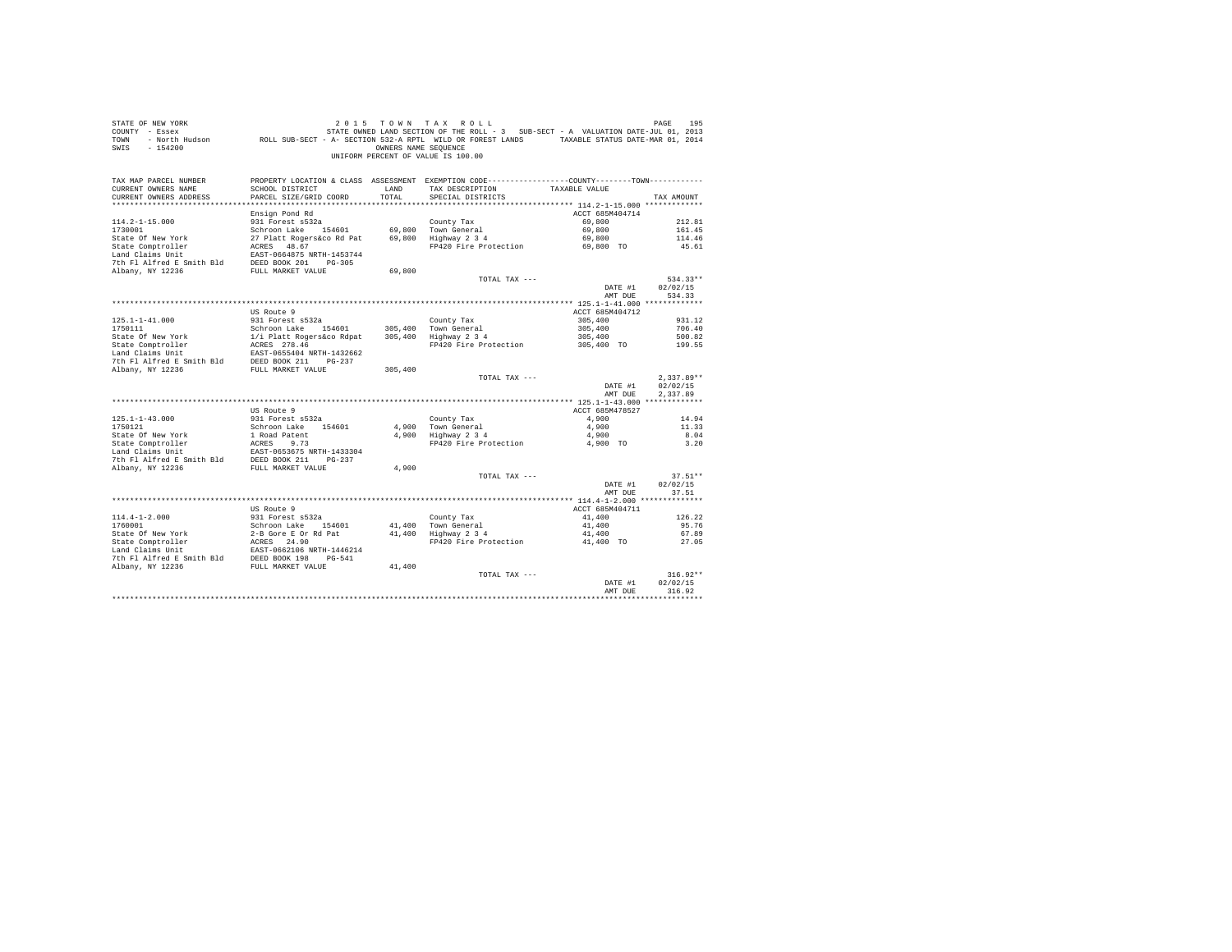| STATE OF NEW YORK<br>COUNTY - Essex<br>TOWN<br>$-154200$<br>SWIS                                                                                                                                     |                                                                       | OWNERS NAME SEOUENCE | 2015 TOWN TAX ROLL<br>STATE OWNED LAND SECTION OF THE ROLL - 3 SUB-SECT - A VALUATION DATE-JUL 01, 2013<br>- North Hudson ROLL SUB-SECT - A- SECTION 532-A RPTL WILD OR FOREST LANDS TAXABLE STATUS DATE-MAR 01, 2014<br>UNIFORM PERCENT OF VALUE IS 100.00 |                    | PAGE<br>195          |
|------------------------------------------------------------------------------------------------------------------------------------------------------------------------------------------------------|-----------------------------------------------------------------------|----------------------|-------------------------------------------------------------------------------------------------------------------------------------------------------------------------------------------------------------------------------------------------------------|--------------------|----------------------|
| TAX MAP PARCEL NUMBER<br>CURRENT OWNERS NAME                                                                                                                                                         | SCHOOL DISTRICT                                                       | LAND                 | PROPERTY LOCATION & CLASS ASSESSMENT EXEMPTION CODE----------------COUNTY-------TOWN----------<br>TAX DESCRIPTION                                                                                                                                           | TAXABLE VALUE      |                      |
| CURRENT OWNERS ADDRESS                                                                                                                                                                               | PARCEL SIZE/GRID COORD                                                | TOTAL                | SPECIAL DISTRICTS                                                                                                                                                                                                                                           |                    | TAX AMOUNT           |
|                                                                                                                                                                                                      |                                                                       |                      |                                                                                                                                                                                                                                                             |                    |                      |
|                                                                                                                                                                                                      | Ensign Pond Rd                                                        |                      |                                                                                                                                                                                                                                                             | ACCT 685M404714    |                      |
| $114.2 - 1 - 15.000$                                                                                                                                                                                 | 931 Forest s532a                                                      |                      | County Tax                                                                                                                                                                                                                                                  | 69,800             | 212.81               |
| 1730001                                                                                                                                                                                              | Schroon Lake 154601<br>27 Platt Rogers&co Rd Pat 69,800 Highway 2 3 4 |                      | 69,800 Town General                                                                                                                                                                                                                                         | 69,800             | 161.45               |
| State Of New York<br>State Comptroller                                                                                                                                                               | 27 Platt Rogers&co Rd Pa<br>ACRES 48.67<br>EACE 0664975 NPTH 145274   |                      | FP420 Fire Protection 69,800 TO                                                                                                                                                                                                                             | 69,800             | 114.46<br>45.61      |
| Land Claims Unit                                                                                                                                                                                     | EAST-0664875 NRTH-1453744                                             |                      |                                                                                                                                                                                                                                                             |                    |                      |
|                                                                                                                                                                                                      |                                                                       |                      |                                                                                                                                                                                                                                                             |                    |                      |
| 7th F1 Alfred E Smith B1d<br>RUBED BOOK 201 PG-305<br>RUBER VALUE<br>PULL MARKET VALUE                                                                                                               |                                                                       | 69,800               |                                                                                                                                                                                                                                                             |                    |                      |
|                                                                                                                                                                                                      |                                                                       |                      | TOTAL TAX ---                                                                                                                                                                                                                                               |                    | $534.33**$           |
|                                                                                                                                                                                                      |                                                                       |                      |                                                                                                                                                                                                                                                             | DATE #1            | 02/02/15             |
|                                                                                                                                                                                                      |                                                                       |                      |                                                                                                                                                                                                                                                             | AMT DUE            | 534.33               |
|                                                                                                                                                                                                      |                                                                       |                      |                                                                                                                                                                                                                                                             |                    |                      |
|                                                                                                                                                                                                      | US Route 9                                                            |                      |                                                                                                                                                                                                                                                             | ACCT 685M404712    |                      |
|                                                                                                                                                                                                      |                                                                       |                      |                                                                                                                                                                                                                                                             | 305,400            | 931.12<br>706.40     |
|                                                                                                                                                                                                      |                                                                       |                      |                                                                                                                                                                                                                                                             | 305,400<br>305,400 | 500.82               |
|                                                                                                                                                                                                      |                                                                       |                      | FP420 Fire Protection 305,400 TO                                                                                                                                                                                                                            |                    | 199.55               |
|                                                                                                                                                                                                      |                                                                       |                      |                                                                                                                                                                                                                                                             |                    |                      |
|                                                                                                                                                                                                      |                                                                       |                      |                                                                                                                                                                                                                                                             |                    |                      |
|                                                                                                                                                                                                      |                                                                       |                      |                                                                                                                                                                                                                                                             |                    |                      |
|                                                                                                                                                                                                      |                                                                       |                      | TOTAL TAX ---                                                                                                                                                                                                                                               |                    | $2.337.89**$         |
|                                                                                                                                                                                                      |                                                                       |                      |                                                                                                                                                                                                                                                             | DATE #1<br>AMT DUE | 02/02/15<br>2.337.89 |
|                                                                                                                                                                                                      |                                                                       |                      |                                                                                                                                                                                                                                                             |                    |                      |
|                                                                                                                                                                                                      | US Route 9                                                            |                      |                                                                                                                                                                                                                                                             | ACCT 685M478527    |                      |
| $125.1 - 1 - 43.000$                                                                                                                                                                                 | 931 Forest s532a                                                      |                      | County Tax                                                                                                                                                                                                                                                  | 4,900              | 14.94                |
| 1750121                                                                                                                                                                                              | Schroon Lake 154601                                                   |                      | 4,900 Town General<br>4,900 Highway 2 3 4                                                                                                                                                                                                                   | 4,900<br>4,900     | 11.33<br>8.04        |
|                                                                                                                                                                                                      |                                                                       |                      | FP420 Fire Protection 4,900 TO                                                                                                                                                                                                                              |                    | 3.20                 |
|                                                                                                                                                                                                      |                                                                       |                      |                                                                                                                                                                                                                                                             |                    |                      |
|                                                                                                                                                                                                      |                                                                       |                      |                                                                                                                                                                                                                                                             |                    |                      |
| State Of New York<br>1 Road Patent<br>State Comptroller<br>1 Road Patent<br>1 And Calins United E Smith B1d<br>7th F1 Alfred E Smith B1d<br>2000 X 211<br>21236<br>2000 X 21236<br>FULL MARKET VALUE |                                                                       | 4,900                |                                                                                                                                                                                                                                                             |                    |                      |
|                                                                                                                                                                                                      |                                                                       |                      | TOTAL TAX ---                                                                                                                                                                                                                                               |                    | $37.51**$            |
|                                                                                                                                                                                                      |                                                                       |                      |                                                                                                                                                                                                                                                             | DATE #1            | 02/02/15             |
|                                                                                                                                                                                                      |                                                                       |                      |                                                                                                                                                                                                                                                             | AMT DUE            | 37.51                |
|                                                                                                                                                                                                      | US Route 9                                                            |                      |                                                                                                                                                                                                                                                             | ACCT 685M404711    |                      |
|                                                                                                                                                                                                      |                                                                       |                      |                                                                                                                                                                                                                                                             |                    | 126.22               |
|                                                                                                                                                                                                      |                                                                       |                      |                                                                                                                                                                                                                                                             | 41,400<br>41,400   | 95.76                |
|                                                                                                                                                                                                      |                                                                       |                      |                                                                                                                                                                                                                                                             | 41,400             | 67.89                |
|                                                                                                                                                                                                      |                                                                       |                      | FP420 Fire Protection                                                                                                                                                                                                                                       | 41,400 TO          | 27.05                |
|                                                                                                                                                                                                      |                                                                       |                      |                                                                                                                                                                                                                                                             |                    |                      |
|                                                                                                                                                                                                      |                                                                       |                      |                                                                                                                                                                                                                                                             |                    |                      |
|                                                                                                                                                                                                      |                                                                       |                      |                                                                                                                                                                                                                                                             |                    |                      |
|                                                                                                                                                                                                      |                                                                       |                      | TOTAL TAX ---                                                                                                                                                                                                                                               |                    | $316.92**$           |
|                                                                                                                                                                                                      |                                                                       |                      |                                                                                                                                                                                                                                                             | DATE #1            | 02/02/15             |
|                                                                                                                                                                                                      |                                                                       |                      |                                                                                                                                                                                                                                                             | AMT DUE            | 316.92               |
|                                                                                                                                                                                                      |                                                                       |                      |                                                                                                                                                                                                                                                             |                    |                      |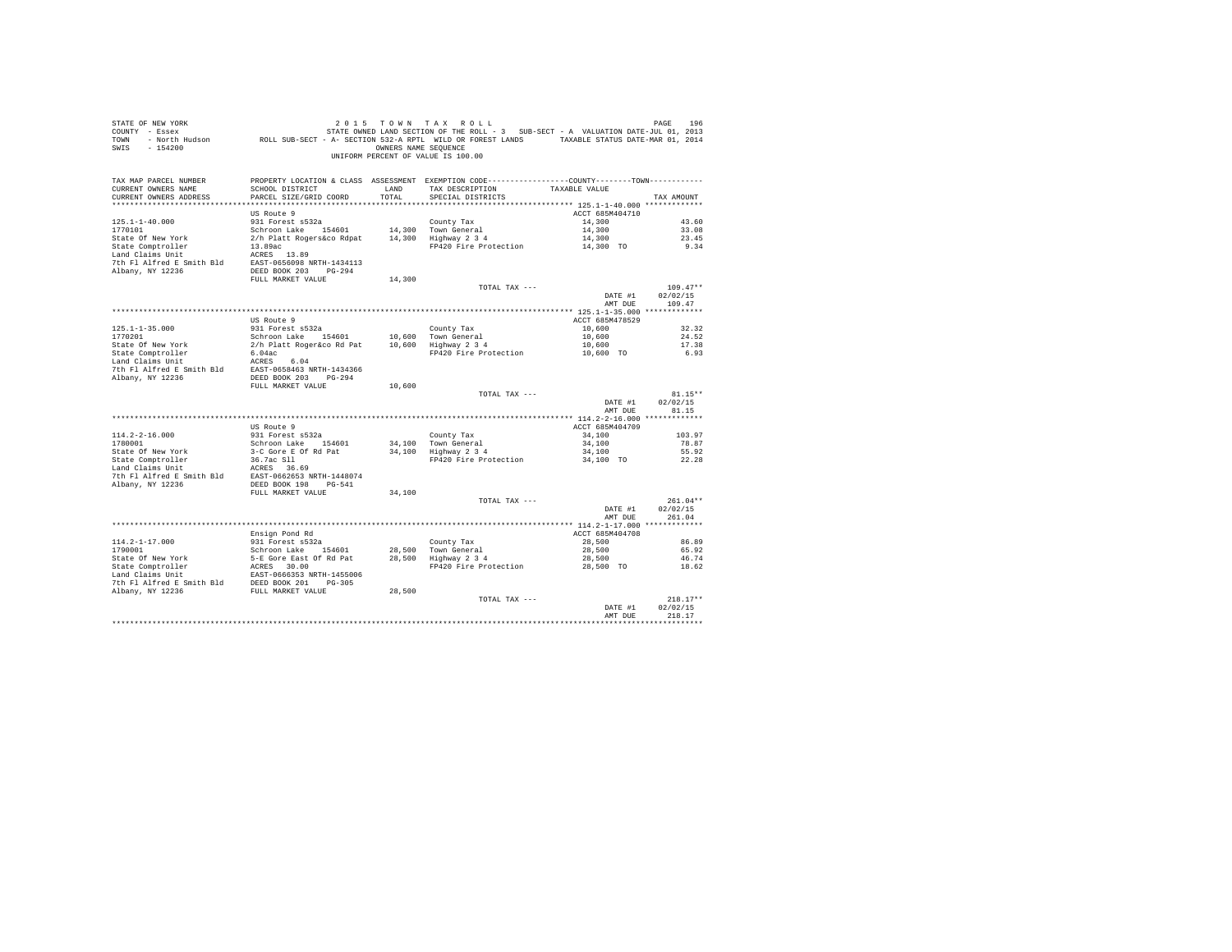| PROPERTY LOCATION & CLASS ASSESSMENT EXEMPTION CODE---------------COUNTY-------TOWN---------<br>TAX MAP PARCEL NUMBER<br>SCHOOL DISTRICT<br>TAX DESCRIPTION<br>CURRENT OWNERS NAME<br>TAXABLE VALUE<br>LAND<br>PARCEL SIZE/GRID COORD<br>TOTAL<br>CURRENT OWNERS ADDRESS<br>SPECIAL DISTRICTS<br>TAX AMOUNT<br>ACCT 685M404710<br>US Route 9<br>931 Forest s532a<br>$125.1 - 1 - 40.000$<br>County Tax<br>14,300<br>43.60<br>14,300 Town General<br>1770101<br>Schroon Lake 154601<br>14,300<br>33.08<br>14,300 Highway 2 3 4<br>State Of New York<br>2/h Platt Rogers&co Rdpat<br>14,300<br>23.45<br>13.89ac<br>9.34<br>State Comptroller<br>FP420 Fire Protection<br>14,300 TO<br>13.89ac<br>ACRES 13.89<br>Land Claims Unit<br>7th Fl Alfred E Smith Bld EAST-0656098 NRTH-1434113<br>Albany, NY 12236<br>DEED BOOK 203 PG-294<br>FULL MARKET VALUE<br>14,300<br>$109.47**$<br>TOTAL TAX ---<br>DATE #1<br>02/02/15<br>AMT DUE<br>109.47<br>ACCT 685M478529<br>US Route 9<br>$125.1 - 1 - 35.000$<br>931 Forest s532a<br>County Tax<br>10,600<br>32.32<br>24.52<br>1770201<br>Schroon Lake 154601<br>10,600 Town General<br>10,600<br>10,600 Highway 2 3 4<br>State Of New York<br>2/h Platt Roger&co Rd Pat<br>10,600<br>17.38<br>6.93<br>State Comptroller<br>6.04ac<br>FP420 Fire Protection<br>10,600 TO<br>Land Claims Unit<br>ACRES 6.04<br>EAST-0658463 NRTH-1434366<br>7th Fl Alfred E Smith Bld<br>Albany, NY 12236<br>DEED BOOK 203 PG-294<br>FULL MARKET VALUE<br>10,600<br>$81.15**$<br>TOTAL TAX ---<br>DATE #1<br>02/02/15<br>AMT DUE<br>81.15<br>US Route 9<br>ACCT 685M404709<br>$114.2 - 2 - 16.000$<br>931 Forest s532a<br>County Tax<br>34,100<br>103.97<br>1780001<br>Schroon Lake 154601<br>34.100 Town General<br>34,100<br>78.87<br>3-C Gore E Of Rd Pat<br>34,100 Highway 2 3 4<br>34,100<br>55.92<br>State Of New York<br>36.7ac S11<br>State Comptroller<br>FP420 Fire Protection<br>34,100 TO<br>22.28<br>Land Claims Unit<br>ACRES 36.69<br>7th Fl Alfred E Smith Bld<br>EAST-0662653 NRTH-1448074<br>DEED BOOK 198 PG-541<br>Albany, NY 12236<br>FULL MARKET VALUE<br>34,100<br>$261.04**$<br>TOTAL TAX ---<br>02/02/15<br>DATE #1<br>261.04<br>AMT DUE<br>ACCT 685M404708<br>Ensign Pond Rd | STATE OF NEW YORK<br>COUNTY - Essex<br>SWIS<br>$-154200$ | TOWN - North Hudson ROLL SUB-SECT - A- SECTION 532-A RPTL WILD OR FOREST LANDS TAXABLE STATUS DATE-MAR 01, 2014 | OWNERS NAME SEQUENCE | 2015 TOWN TAX ROLL<br>STATE OWNED LAND SECTION OF THE ROLL - 3 SUB-SECT - A VALUATION DATE-JUL 01, 2013<br>UNIFORM PERCENT OF VALUE IS 100.00 | PAGE<br>196 |  |
|------------------------------------------------------------------------------------------------------------------------------------------------------------------------------------------------------------------------------------------------------------------------------------------------------------------------------------------------------------------------------------------------------------------------------------------------------------------------------------------------------------------------------------------------------------------------------------------------------------------------------------------------------------------------------------------------------------------------------------------------------------------------------------------------------------------------------------------------------------------------------------------------------------------------------------------------------------------------------------------------------------------------------------------------------------------------------------------------------------------------------------------------------------------------------------------------------------------------------------------------------------------------------------------------------------------------------------------------------------------------------------------------------------------------------------------------------------------------------------------------------------------------------------------------------------------------------------------------------------------------------------------------------------------------------------------------------------------------------------------------------------------------------------------------------------------------------------------------------------------------------------------------------------------------------------------------------------------------------------------------------------------------------------------------------------------------------------------------------------------------------------------------------------------------------------------------------------------------------|----------------------------------------------------------|-----------------------------------------------------------------------------------------------------------------|----------------------|-----------------------------------------------------------------------------------------------------------------------------------------------|-------------|--|
|                                                                                                                                                                                                                                                                                                                                                                                                                                                                                                                                                                                                                                                                                                                                                                                                                                                                                                                                                                                                                                                                                                                                                                                                                                                                                                                                                                                                                                                                                                                                                                                                                                                                                                                                                                                                                                                                                                                                                                                                                                                                                                                                                                                                                              |                                                          |                                                                                                                 |                      |                                                                                                                                               |             |  |
|                                                                                                                                                                                                                                                                                                                                                                                                                                                                                                                                                                                                                                                                                                                                                                                                                                                                                                                                                                                                                                                                                                                                                                                                                                                                                                                                                                                                                                                                                                                                                                                                                                                                                                                                                                                                                                                                                                                                                                                                                                                                                                                                                                                                                              |                                                          |                                                                                                                 |                      |                                                                                                                                               |             |  |
|                                                                                                                                                                                                                                                                                                                                                                                                                                                                                                                                                                                                                                                                                                                                                                                                                                                                                                                                                                                                                                                                                                                                                                                                                                                                                                                                                                                                                                                                                                                                                                                                                                                                                                                                                                                                                                                                                                                                                                                                                                                                                                                                                                                                                              |                                                          |                                                                                                                 |                      |                                                                                                                                               |             |  |
|                                                                                                                                                                                                                                                                                                                                                                                                                                                                                                                                                                                                                                                                                                                                                                                                                                                                                                                                                                                                                                                                                                                                                                                                                                                                                                                                                                                                                                                                                                                                                                                                                                                                                                                                                                                                                                                                                                                                                                                                                                                                                                                                                                                                                              |                                                          |                                                                                                                 |                      |                                                                                                                                               |             |  |
|                                                                                                                                                                                                                                                                                                                                                                                                                                                                                                                                                                                                                                                                                                                                                                                                                                                                                                                                                                                                                                                                                                                                                                                                                                                                                                                                                                                                                                                                                                                                                                                                                                                                                                                                                                                                                                                                                                                                                                                                                                                                                                                                                                                                                              |                                                          |                                                                                                                 |                      |                                                                                                                                               |             |  |
|                                                                                                                                                                                                                                                                                                                                                                                                                                                                                                                                                                                                                                                                                                                                                                                                                                                                                                                                                                                                                                                                                                                                                                                                                                                                                                                                                                                                                                                                                                                                                                                                                                                                                                                                                                                                                                                                                                                                                                                                                                                                                                                                                                                                                              |                                                          |                                                                                                                 |                      |                                                                                                                                               |             |  |
|                                                                                                                                                                                                                                                                                                                                                                                                                                                                                                                                                                                                                                                                                                                                                                                                                                                                                                                                                                                                                                                                                                                                                                                                                                                                                                                                                                                                                                                                                                                                                                                                                                                                                                                                                                                                                                                                                                                                                                                                                                                                                                                                                                                                                              |                                                          |                                                                                                                 |                      |                                                                                                                                               |             |  |
|                                                                                                                                                                                                                                                                                                                                                                                                                                                                                                                                                                                                                                                                                                                                                                                                                                                                                                                                                                                                                                                                                                                                                                                                                                                                                                                                                                                                                                                                                                                                                                                                                                                                                                                                                                                                                                                                                                                                                                                                                                                                                                                                                                                                                              |                                                          |                                                                                                                 |                      |                                                                                                                                               |             |  |
|                                                                                                                                                                                                                                                                                                                                                                                                                                                                                                                                                                                                                                                                                                                                                                                                                                                                                                                                                                                                                                                                                                                                                                                                                                                                                                                                                                                                                                                                                                                                                                                                                                                                                                                                                                                                                                                                                                                                                                                                                                                                                                                                                                                                                              |                                                          |                                                                                                                 |                      |                                                                                                                                               |             |  |
|                                                                                                                                                                                                                                                                                                                                                                                                                                                                                                                                                                                                                                                                                                                                                                                                                                                                                                                                                                                                                                                                                                                                                                                                                                                                                                                                                                                                                                                                                                                                                                                                                                                                                                                                                                                                                                                                                                                                                                                                                                                                                                                                                                                                                              |                                                          |                                                                                                                 |                      |                                                                                                                                               |             |  |
|                                                                                                                                                                                                                                                                                                                                                                                                                                                                                                                                                                                                                                                                                                                                                                                                                                                                                                                                                                                                                                                                                                                                                                                                                                                                                                                                                                                                                                                                                                                                                                                                                                                                                                                                                                                                                                                                                                                                                                                                                                                                                                                                                                                                                              |                                                          |                                                                                                                 |                      |                                                                                                                                               |             |  |
|                                                                                                                                                                                                                                                                                                                                                                                                                                                                                                                                                                                                                                                                                                                                                                                                                                                                                                                                                                                                                                                                                                                                                                                                                                                                                                                                                                                                                                                                                                                                                                                                                                                                                                                                                                                                                                                                                                                                                                                                                                                                                                                                                                                                                              |                                                          |                                                                                                                 |                      |                                                                                                                                               |             |  |
|                                                                                                                                                                                                                                                                                                                                                                                                                                                                                                                                                                                                                                                                                                                                                                                                                                                                                                                                                                                                                                                                                                                                                                                                                                                                                                                                                                                                                                                                                                                                                                                                                                                                                                                                                                                                                                                                                                                                                                                                                                                                                                                                                                                                                              |                                                          |                                                                                                                 |                      |                                                                                                                                               |             |  |
|                                                                                                                                                                                                                                                                                                                                                                                                                                                                                                                                                                                                                                                                                                                                                                                                                                                                                                                                                                                                                                                                                                                                                                                                                                                                                                                                                                                                                                                                                                                                                                                                                                                                                                                                                                                                                                                                                                                                                                                                                                                                                                                                                                                                                              |                                                          |                                                                                                                 |                      |                                                                                                                                               |             |  |
|                                                                                                                                                                                                                                                                                                                                                                                                                                                                                                                                                                                                                                                                                                                                                                                                                                                                                                                                                                                                                                                                                                                                                                                                                                                                                                                                                                                                                                                                                                                                                                                                                                                                                                                                                                                                                                                                                                                                                                                                                                                                                                                                                                                                                              |                                                          |                                                                                                                 |                      |                                                                                                                                               |             |  |
|                                                                                                                                                                                                                                                                                                                                                                                                                                                                                                                                                                                                                                                                                                                                                                                                                                                                                                                                                                                                                                                                                                                                                                                                                                                                                                                                                                                                                                                                                                                                                                                                                                                                                                                                                                                                                                                                                                                                                                                                                                                                                                                                                                                                                              |                                                          |                                                                                                                 |                      |                                                                                                                                               |             |  |
|                                                                                                                                                                                                                                                                                                                                                                                                                                                                                                                                                                                                                                                                                                                                                                                                                                                                                                                                                                                                                                                                                                                                                                                                                                                                                                                                                                                                                                                                                                                                                                                                                                                                                                                                                                                                                                                                                                                                                                                                                                                                                                                                                                                                                              |                                                          |                                                                                                                 |                      |                                                                                                                                               |             |  |
|                                                                                                                                                                                                                                                                                                                                                                                                                                                                                                                                                                                                                                                                                                                                                                                                                                                                                                                                                                                                                                                                                                                                                                                                                                                                                                                                                                                                                                                                                                                                                                                                                                                                                                                                                                                                                                                                                                                                                                                                                                                                                                                                                                                                                              |                                                          |                                                                                                                 |                      |                                                                                                                                               |             |  |
|                                                                                                                                                                                                                                                                                                                                                                                                                                                                                                                                                                                                                                                                                                                                                                                                                                                                                                                                                                                                                                                                                                                                                                                                                                                                                                                                                                                                                                                                                                                                                                                                                                                                                                                                                                                                                                                                                                                                                                                                                                                                                                                                                                                                                              |                                                          |                                                                                                                 |                      |                                                                                                                                               |             |  |
|                                                                                                                                                                                                                                                                                                                                                                                                                                                                                                                                                                                                                                                                                                                                                                                                                                                                                                                                                                                                                                                                                                                                                                                                                                                                                                                                                                                                                                                                                                                                                                                                                                                                                                                                                                                                                                                                                                                                                                                                                                                                                                                                                                                                                              |                                                          |                                                                                                                 |                      |                                                                                                                                               |             |  |
|                                                                                                                                                                                                                                                                                                                                                                                                                                                                                                                                                                                                                                                                                                                                                                                                                                                                                                                                                                                                                                                                                                                                                                                                                                                                                                                                                                                                                                                                                                                                                                                                                                                                                                                                                                                                                                                                                                                                                                                                                                                                                                                                                                                                                              |                                                          |                                                                                                                 |                      |                                                                                                                                               |             |  |
|                                                                                                                                                                                                                                                                                                                                                                                                                                                                                                                                                                                                                                                                                                                                                                                                                                                                                                                                                                                                                                                                                                                                                                                                                                                                                                                                                                                                                                                                                                                                                                                                                                                                                                                                                                                                                                                                                                                                                                                                                                                                                                                                                                                                                              |                                                          |                                                                                                                 |                      |                                                                                                                                               |             |  |
|                                                                                                                                                                                                                                                                                                                                                                                                                                                                                                                                                                                                                                                                                                                                                                                                                                                                                                                                                                                                                                                                                                                                                                                                                                                                                                                                                                                                                                                                                                                                                                                                                                                                                                                                                                                                                                                                                                                                                                                                                                                                                                                                                                                                                              |                                                          |                                                                                                                 |                      |                                                                                                                                               |             |  |
|                                                                                                                                                                                                                                                                                                                                                                                                                                                                                                                                                                                                                                                                                                                                                                                                                                                                                                                                                                                                                                                                                                                                                                                                                                                                                                                                                                                                                                                                                                                                                                                                                                                                                                                                                                                                                                                                                                                                                                                                                                                                                                                                                                                                                              |                                                          |                                                                                                                 |                      |                                                                                                                                               |             |  |
|                                                                                                                                                                                                                                                                                                                                                                                                                                                                                                                                                                                                                                                                                                                                                                                                                                                                                                                                                                                                                                                                                                                                                                                                                                                                                                                                                                                                                                                                                                                                                                                                                                                                                                                                                                                                                                                                                                                                                                                                                                                                                                                                                                                                                              |                                                          |                                                                                                                 |                      |                                                                                                                                               |             |  |
|                                                                                                                                                                                                                                                                                                                                                                                                                                                                                                                                                                                                                                                                                                                                                                                                                                                                                                                                                                                                                                                                                                                                                                                                                                                                                                                                                                                                                                                                                                                                                                                                                                                                                                                                                                                                                                                                                                                                                                                                                                                                                                                                                                                                                              |                                                          |                                                                                                                 |                      |                                                                                                                                               |             |  |
|                                                                                                                                                                                                                                                                                                                                                                                                                                                                                                                                                                                                                                                                                                                                                                                                                                                                                                                                                                                                                                                                                                                                                                                                                                                                                                                                                                                                                                                                                                                                                                                                                                                                                                                                                                                                                                                                                                                                                                                                                                                                                                                                                                                                                              |                                                          |                                                                                                                 |                      |                                                                                                                                               |             |  |
|                                                                                                                                                                                                                                                                                                                                                                                                                                                                                                                                                                                                                                                                                                                                                                                                                                                                                                                                                                                                                                                                                                                                                                                                                                                                                                                                                                                                                                                                                                                                                                                                                                                                                                                                                                                                                                                                                                                                                                                                                                                                                                                                                                                                                              |                                                          |                                                                                                                 |                      |                                                                                                                                               |             |  |
|                                                                                                                                                                                                                                                                                                                                                                                                                                                                                                                                                                                                                                                                                                                                                                                                                                                                                                                                                                                                                                                                                                                                                                                                                                                                                                                                                                                                                                                                                                                                                                                                                                                                                                                                                                                                                                                                                                                                                                                                                                                                                                                                                                                                                              |                                                          |                                                                                                                 |                      |                                                                                                                                               |             |  |
|                                                                                                                                                                                                                                                                                                                                                                                                                                                                                                                                                                                                                                                                                                                                                                                                                                                                                                                                                                                                                                                                                                                                                                                                                                                                                                                                                                                                                                                                                                                                                                                                                                                                                                                                                                                                                                                                                                                                                                                                                                                                                                                                                                                                                              |                                                          |                                                                                                                 |                      |                                                                                                                                               |             |  |
|                                                                                                                                                                                                                                                                                                                                                                                                                                                                                                                                                                                                                                                                                                                                                                                                                                                                                                                                                                                                                                                                                                                                                                                                                                                                                                                                                                                                                                                                                                                                                                                                                                                                                                                                                                                                                                                                                                                                                                                                                                                                                                                                                                                                                              |                                                          |                                                                                                                 |                      |                                                                                                                                               |             |  |
|                                                                                                                                                                                                                                                                                                                                                                                                                                                                                                                                                                                                                                                                                                                                                                                                                                                                                                                                                                                                                                                                                                                                                                                                                                                                                                                                                                                                                                                                                                                                                                                                                                                                                                                                                                                                                                                                                                                                                                                                                                                                                                                                                                                                                              |                                                          |                                                                                                                 |                      |                                                                                                                                               |             |  |
|                                                                                                                                                                                                                                                                                                                                                                                                                                                                                                                                                                                                                                                                                                                                                                                                                                                                                                                                                                                                                                                                                                                                                                                                                                                                                                                                                                                                                                                                                                                                                                                                                                                                                                                                                                                                                                                                                                                                                                                                                                                                                                                                                                                                                              |                                                          |                                                                                                                 |                      |                                                                                                                                               |             |  |
|                                                                                                                                                                                                                                                                                                                                                                                                                                                                                                                                                                                                                                                                                                                                                                                                                                                                                                                                                                                                                                                                                                                                                                                                                                                                                                                                                                                                                                                                                                                                                                                                                                                                                                                                                                                                                                                                                                                                                                                                                                                                                                                                                                                                                              |                                                          |                                                                                                                 |                      |                                                                                                                                               |             |  |
|                                                                                                                                                                                                                                                                                                                                                                                                                                                                                                                                                                                                                                                                                                                                                                                                                                                                                                                                                                                                                                                                                                                                                                                                                                                                                                                                                                                                                                                                                                                                                                                                                                                                                                                                                                                                                                                                                                                                                                                                                                                                                                                                                                                                                              |                                                          |                                                                                                                 |                      |                                                                                                                                               |             |  |
|                                                                                                                                                                                                                                                                                                                                                                                                                                                                                                                                                                                                                                                                                                                                                                                                                                                                                                                                                                                                                                                                                                                                                                                                                                                                                                                                                                                                                                                                                                                                                                                                                                                                                                                                                                                                                                                                                                                                                                                                                                                                                                                                                                                                                              |                                                          |                                                                                                                 |                      |                                                                                                                                               |             |  |
| 931 Forest s532a<br>114.2-1-17.000<br>28,500<br>86.89<br>County Tax                                                                                                                                                                                                                                                                                                                                                                                                                                                                                                                                                                                                                                                                                                                                                                                                                                                                                                                                                                                                                                                                                                                                                                                                                                                                                                                                                                                                                                                                                                                                                                                                                                                                                                                                                                                                                                                                                                                                                                                                                                                                                                                                                          |                                                          |                                                                                                                 |                      |                                                                                                                                               |             |  |
| 1790001<br>Schroon Lake 154601<br>28,500 Town General<br>28,500<br>65.92                                                                                                                                                                                                                                                                                                                                                                                                                                                                                                                                                                                                                                                                                                                                                                                                                                                                                                                                                                                                                                                                                                                                                                                                                                                                                                                                                                                                                                                                                                                                                                                                                                                                                                                                                                                                                                                                                                                                                                                                                                                                                                                                                     |                                                          |                                                                                                                 |                      |                                                                                                                                               |             |  |
| 28,500 Highway 2 3 4<br>State Of New York<br>5-E Gore East Of Rd Pat<br>46.74<br>28,500                                                                                                                                                                                                                                                                                                                                                                                                                                                                                                                                                                                                                                                                                                                                                                                                                                                                                                                                                                                                                                                                                                                                                                                                                                                                                                                                                                                                                                                                                                                                                                                                                                                                                                                                                                                                                                                                                                                                                                                                                                                                                                                                      |                                                          |                                                                                                                 |                      |                                                                                                                                               |             |  |
| State Comptroller<br>ACRES 30.00<br>FP420 Fire Protection<br>28,500 TO<br>18.62                                                                                                                                                                                                                                                                                                                                                                                                                                                                                                                                                                                                                                                                                                                                                                                                                                                                                                                                                                                                                                                                                                                                                                                                                                                                                                                                                                                                                                                                                                                                                                                                                                                                                                                                                                                                                                                                                                                                                                                                                                                                                                                                              |                                                          |                                                                                                                 |                      |                                                                                                                                               |             |  |
| Land Claims Unit<br>EAST-0666353 NRTH-1455006                                                                                                                                                                                                                                                                                                                                                                                                                                                                                                                                                                                                                                                                                                                                                                                                                                                                                                                                                                                                                                                                                                                                                                                                                                                                                                                                                                                                                                                                                                                                                                                                                                                                                                                                                                                                                                                                                                                                                                                                                                                                                                                                                                                |                                                          |                                                                                                                 |                      |                                                                                                                                               |             |  |
| DEED BOOK 201 PG-305<br>7th Fl Alfred E Smith Bld                                                                                                                                                                                                                                                                                                                                                                                                                                                                                                                                                                                                                                                                                                                                                                                                                                                                                                                                                                                                                                                                                                                                                                                                                                                                                                                                                                                                                                                                                                                                                                                                                                                                                                                                                                                                                                                                                                                                                                                                                                                                                                                                                                            |                                                          |                                                                                                                 |                      |                                                                                                                                               |             |  |
| 28,500<br>Albany, NY 12236 FULL MARKET VALUE                                                                                                                                                                                                                                                                                                                                                                                                                                                                                                                                                                                                                                                                                                                                                                                                                                                                                                                                                                                                                                                                                                                                                                                                                                                                                                                                                                                                                                                                                                                                                                                                                                                                                                                                                                                                                                                                                                                                                                                                                                                                                                                                                                                 |                                                          |                                                                                                                 |                      |                                                                                                                                               |             |  |
| $218.17**$<br>TOTAL TAX ---                                                                                                                                                                                                                                                                                                                                                                                                                                                                                                                                                                                                                                                                                                                                                                                                                                                                                                                                                                                                                                                                                                                                                                                                                                                                                                                                                                                                                                                                                                                                                                                                                                                                                                                                                                                                                                                                                                                                                                                                                                                                                                                                                                                                  |                                                          |                                                                                                                 |                      |                                                                                                                                               |             |  |
| DATE #1<br>02/02/15                                                                                                                                                                                                                                                                                                                                                                                                                                                                                                                                                                                                                                                                                                                                                                                                                                                                                                                                                                                                                                                                                                                                                                                                                                                                                                                                                                                                                                                                                                                                                                                                                                                                                                                                                                                                                                                                                                                                                                                                                                                                                                                                                                                                          |                                                          |                                                                                                                 |                      |                                                                                                                                               |             |  |
| 218.17<br>AMT DUE<br>.                                                                                                                                                                                                                                                                                                                                                                                                                                                                                                                                                                                                                                                                                                                                                                                                                                                                                                                                                                                                                                                                                                                                                                                                                                                                                                                                                                                                                                                                                                                                                                                                                                                                                                                                                                                                                                                                                                                                                                                                                                                                                                                                                                                                       |                                                          |                                                                                                                 |                      |                                                                                                                                               |             |  |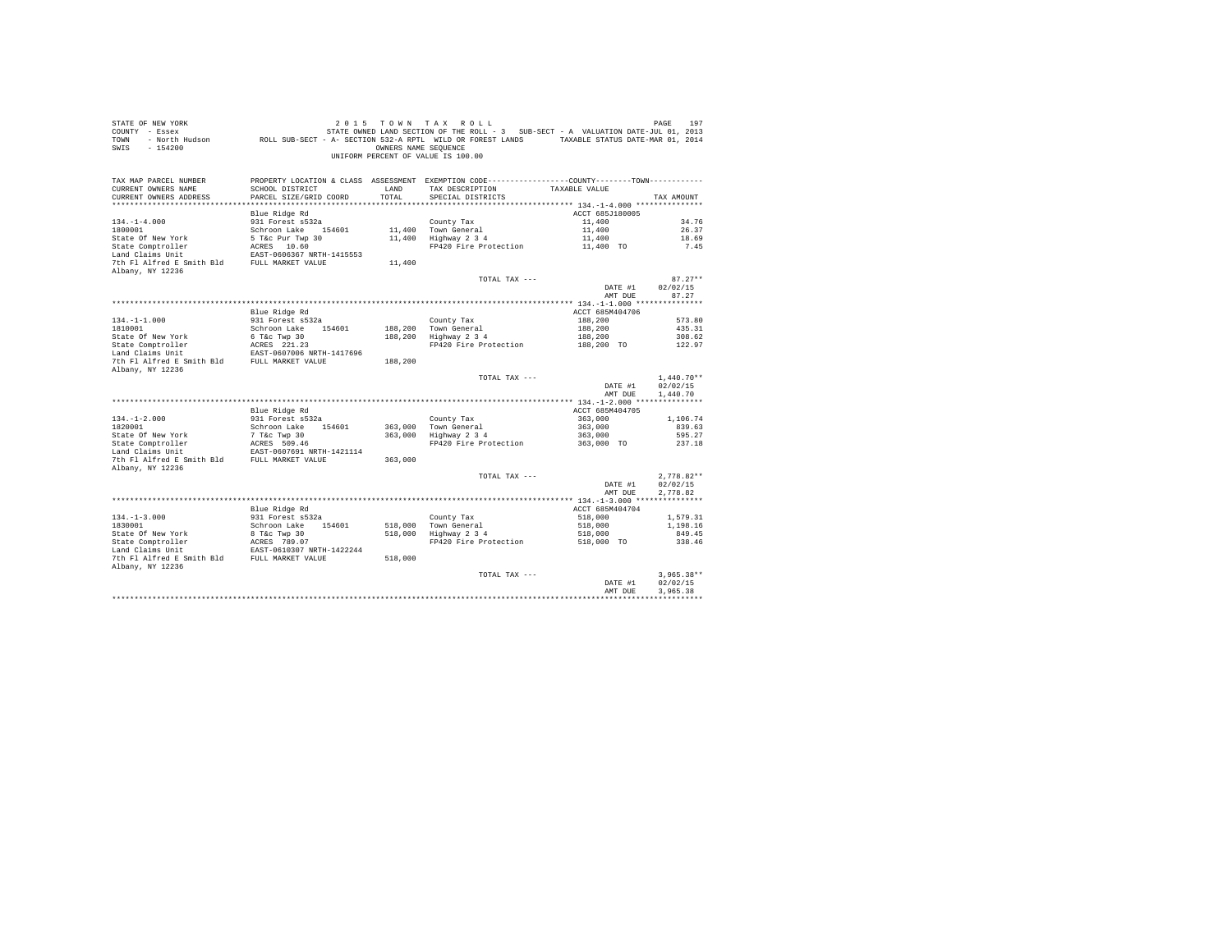| STATE OF NEW YORK<br>COUNTY - Essex<br>TOWN<br>$-154200$<br>SWIS       |                                                           | OWNERS NAME SEOUENCE | 2015 TOWN TAX ROLL<br>STATE OWNED LAND SECTION OF THE ROLL - 3 SUB-SECT - A VALUATION DATE-JUL 01, 2013<br>- North Hudson ROLL SUB-SECT - A- SECTION 532-A RPTL WILD OR FOREST LANDS TAXABLE STATUS DATE-MAR 01, 2014<br>UNIFORM PERCENT OF VALUE IS 100.00 |                       | 197<br>PAGE          |
|------------------------------------------------------------------------|-----------------------------------------------------------|----------------------|-------------------------------------------------------------------------------------------------------------------------------------------------------------------------------------------------------------------------------------------------------------|-----------------------|----------------------|
| TAX MAP PARCEL NUMBER<br>CURRENT OWNERS NAME<br>CURRENT OWNERS ADDRESS | SCHOOL DISTRICT<br>PARCEL SIZE/GRID COORD                 | LAND<br>TOTAL        | PROPERTY LOCATION & CLASS ASSESSMENT EXEMPTION CODE----------------COUNTY-------TOWN----------<br>TAX DESCRIPTION<br>SPECIAL DISTRICTS                                                                                                                      | TAXABLE VALUE         | TAX AMOUNT           |
|                                                                        | Blue Ridge Rd                                             |                      |                                                                                                                                                                                                                                                             | ACCT 685J180005       |                      |
| $134. -1 - 4.000$                                                      | 931 Forest s532a                                          |                      | County Tax                                                                                                                                                                                                                                                  | 11,400                | 34.76                |
| 1800001                                                                | Schroon Lake 154601                                       |                      | 11,400 Town General                                                                                                                                                                                                                                         | 11,400                | 26.37                |
| State Of New York                                                      | $5$ T&C Pur Twp 30<br>$2CPRS$ 10.60                       |                      | 11,400 Highway 2 3 4                                                                                                                                                                                                                                        | 11,400                | 18.69                |
| State Comptroller                                                      | ACRES 10.60                                               |                      | FP420 Fire Protection                                                                                                                                                                                                                                       | 11,400 TO             | 7.45                 |
| Land Claims Unit                                                       | EAST-0606367 NRTH-1415553                                 |                      |                                                                                                                                                                                                                                                             |                       |                      |
| 7th Fl Alfred E Smith Bld FULL MARKET VALUE                            |                                                           | 11,400               |                                                                                                                                                                                                                                                             |                       |                      |
| Albany, NY 12236                                                       |                                                           |                      | TOTAL TAX ---                                                                                                                                                                                                                                               |                       | $87.27**$            |
|                                                                        |                                                           |                      |                                                                                                                                                                                                                                                             | DATE #1               | 02/02/15             |
|                                                                        |                                                           |                      |                                                                                                                                                                                                                                                             | AMT DUE               | 87.27                |
|                                                                        |                                                           |                      |                                                                                                                                                                                                                                                             |                       |                      |
|                                                                        | Blue Ridge Rd                                             |                      |                                                                                                                                                                                                                                                             | ACCT 685M404706       |                      |
| $134. - 1 - 1.000$                                                     | 931 Forest s532a                                          |                      | County Tax                                                                                                                                                                                                                                                  | 188,200               | 573.80               |
| 1810001                                                                | Schroon Lake 154601                                       |                      | 188,200 Town General                                                                                                                                                                                                                                        | 188,200               | 435.31               |
| State Of New York                                                      | 6 T&c Twp 30                                              | 188,200              | nown Generai<br>Highway 2 3 4                                                                                                                                                                                                                               | 188,200               | 308.62               |
| State Comptroller<br>Land Claims Unit                                  | ACRES 221.23                                              |                      | FP420 Fire Protection                                                                                                                                                                                                                                       | 188,200 TO            | 122.97               |
|                                                                        | EAST-0607006 NRTH-1417696                                 |                      |                                                                                                                                                                                                                                                             |                       |                      |
| 7th Fl Alfred E Smith Bld FULL MARKET VALUE<br>Albany, NY 12236        |                                                           | 188,200              |                                                                                                                                                                                                                                                             |                       |                      |
|                                                                        |                                                           |                      | TOTAL TAX ---                                                                                                                                                                                                                                               |                       | $1,440.70**$         |
|                                                                        |                                                           |                      |                                                                                                                                                                                                                                                             | DATE #1<br>AMT DUE    | 02/02/15<br>1,440.70 |
|                                                                        |                                                           |                      |                                                                                                                                                                                                                                                             |                       |                      |
|                                                                        | Blue Ridge Rd                                             |                      |                                                                                                                                                                                                                                                             | ACCT 685M404705       |                      |
| $134. - 1 - 2.000$                                                     | 931 Forest s532a                                          |                      | County Tax                                                                                                                                                                                                                                                  | 363,000               | 1,106.74             |
| 1820001                                                                | Schroon Lake 154601                                       | 363,000              | Town General                                                                                                                                                                                                                                                | 363,000               | 839.63               |
| State Of New York                                                      | 7 T&C Twp 30<br>ACRES 509.46                              |                      | 363,000 Highway 2 3 4                                                                                                                                                                                                                                       | 363,000<br>363,000 TO | 595.27               |
| State Comptroller<br>Land Claims Unit                                  | EAST-0607691 NRTH-1421114                                 |                      | FP420 Fire Protection                                                                                                                                                                                                                                       |                       | 237.18               |
| 7th Fl Alfred E Smith Bld FULL MARKET VALUE                            |                                                           | 363,000              |                                                                                                                                                                                                                                                             |                       |                      |
| Albany, NY 12236                                                       |                                                           |                      |                                                                                                                                                                                                                                                             |                       |                      |
|                                                                        |                                                           |                      | TOTAL TAX ---                                                                                                                                                                                                                                               |                       | $2.778.82**$         |
|                                                                        |                                                           |                      |                                                                                                                                                                                                                                                             | DATE #1               | 02/02/15             |
|                                                                        |                                                           |                      |                                                                                                                                                                                                                                                             | AMT DUE               | 2.778.82             |
|                                                                        |                                                           |                      |                                                                                                                                                                                                                                                             |                       |                      |
|                                                                        | Blue Ridge Rd                                             |                      |                                                                                                                                                                                                                                                             | ACCT 685M404704       |                      |
| $134. -1 - 3.000$                                                      | 931 Forest s532a                                          |                      | County Tax                                                                                                                                                                                                                                                  | 518,000               | 1,579.31             |
| 1830001<br>State Of New York                                           | Schroon Lake 154601                                       |                      | 518,000 Town General<br>518,000 Highway 2 3 4                                                                                                                                                                                                               | 518,000<br>518,000    | 1,198.16<br>849.45   |
| State Comptroller                                                      |                                                           |                      | FP420 Fire Protection                                                                                                                                                                                                                                       | 518,000 TO            | 338.46               |
| Land Claims Unit                                                       | 8 T&c Twp 30<br>ACRES 789.07<br>EAST-0610307 NRTH-1422244 |                      |                                                                                                                                                                                                                                                             |                       |                      |
| 7th Fl Alfred E Smith Bld FULL MARKET VALUE                            |                                                           | 518,000              |                                                                                                                                                                                                                                                             |                       |                      |
| Albany, NY 12236                                                       |                                                           |                      |                                                                                                                                                                                                                                                             |                       |                      |
|                                                                        |                                                           |                      | TOTAL TAX ---                                                                                                                                                                                                                                               |                       | $3.965.38**$         |
|                                                                        |                                                           |                      |                                                                                                                                                                                                                                                             | DATE #1               | 02/02/15             |
|                                                                        |                                                           |                      |                                                                                                                                                                                                                                                             | AMT DUE               | 3.965.38             |
|                                                                        |                                                           |                      |                                                                                                                                                                                                                                                             |                       |                      |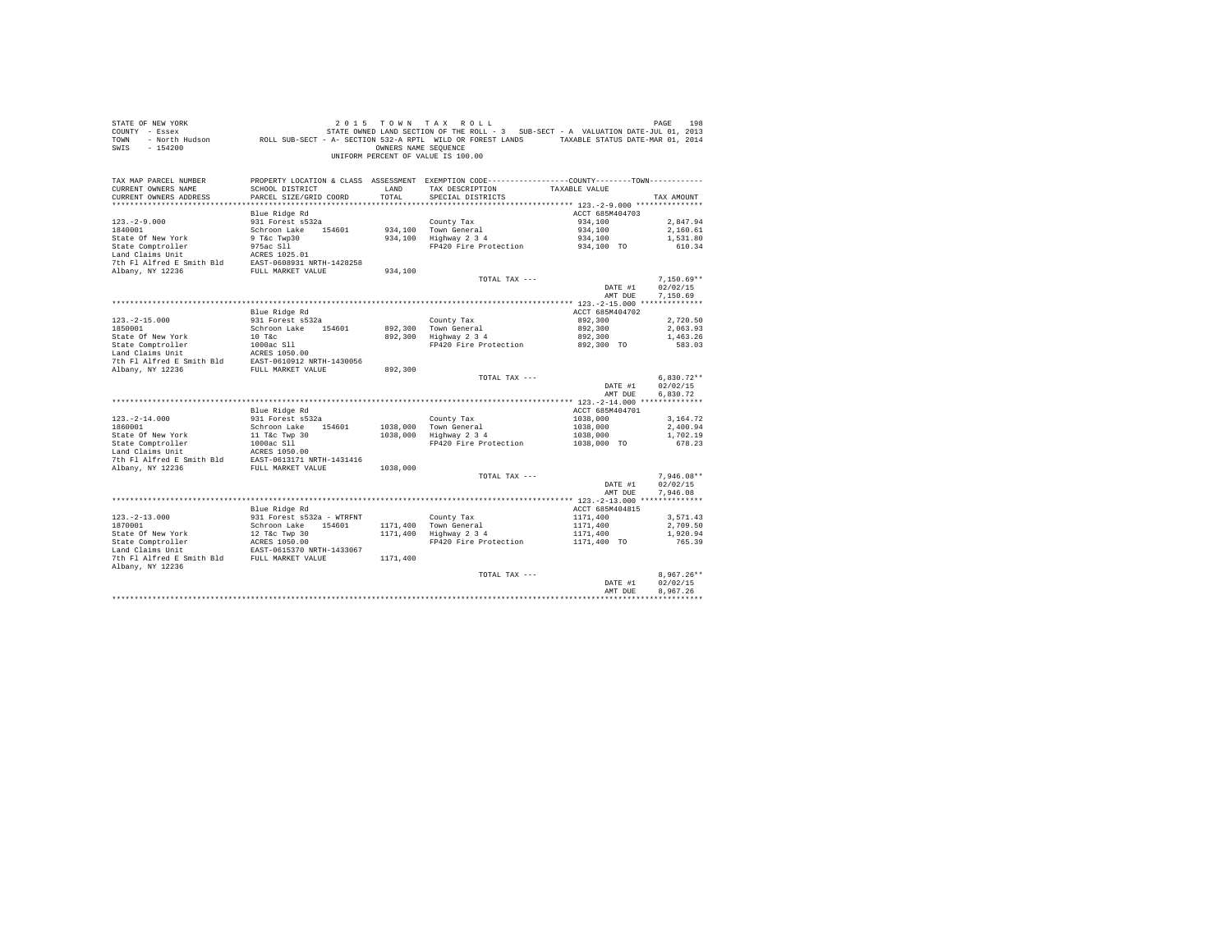| STATE OF NEW YORK<br>COUNTY - Essex<br>TOWN<br>SWIS<br>$-154200$       | Figures 101, 2013 STATE OWNED LAND SECTION OF THE ROLL - 3 SUB-SECT - A VALUATION DATE-JUL 01, 2013 - "<br>North Hudson           ROLL SUB-SECT - A- SECTION 532-A RPTL WILD OR FOREST LANDS     TAXABLE STATUS DATE-MAR | OWNERS NAME SEOUENCE | 2015 TOWN TAX ROLL<br>UNIFORM PERCENT OF VALUE IS 100.00                                                                               |                            | PAGE<br>198              |
|------------------------------------------------------------------------|--------------------------------------------------------------------------------------------------------------------------------------------------------------------------------------------------------------------------|----------------------|----------------------------------------------------------------------------------------------------------------------------------------|----------------------------|--------------------------|
| TAX MAP PARCEL NUMBER<br>CURRENT OWNERS NAME<br>CURRENT OWNERS ADDRESS | SCHOOL DISTRICT<br>PARCEL SIZE/GRID COORD                                                                                                                                                                                | LAND<br>TOTAL        | PROPERTY LOCATION & CLASS ASSESSMENT EXEMPTION CODE----------------COUNTY-------TOWN----------<br>TAX DESCRIPTION<br>SPECIAL DISTRICTS | TAXABLE VALUE              | TAX AMOUNT               |
|                                                                        |                                                                                                                                                                                                                          |                      |                                                                                                                                        |                            |                          |
| $123. - 2 - 9.000$                                                     | Blue Ridge Rd<br>931 Forest s532a                                                                                                                                                                                        |                      | County Tax                                                                                                                             | ACCT 685M404703<br>934,100 | 2.847.94                 |
| 1840001                                                                | Schroon Lake 154601                                                                                                                                                                                                      |                      | 934,100 Town General                                                                                                                   | 934,100                    | 2,160.61                 |
| State Of New York                                                      | 9 T&C Twp30                                                                                                                                                                                                              |                      | 934,100 Highway 2 3 4                                                                                                                  | 934,100                    | 1,531.80                 |
| State Comptroller                                                      | 975ac Sll                                                                                                                                                                                                                |                      | FP420 Fire Protection                                                                                                                  | 934,100 TO                 | 610.34                   |
| Land Claims Unit                                                       | ACRES 1025.01                                                                                                                                                                                                            |                      |                                                                                                                                        |                            |                          |
| 7th Fl Alfred E Smith Bld EAST-0608931 NRTH-1428258                    |                                                                                                                                                                                                                          |                      |                                                                                                                                        |                            |                          |
| Albany, NY 12236                                                       | FULL MARKET VALUE                                                                                                                                                                                                        | 934,100              |                                                                                                                                        |                            |                          |
|                                                                        |                                                                                                                                                                                                                          |                      | TOTAL TAX ---                                                                                                                          |                            | $7.150.69**$             |
|                                                                        |                                                                                                                                                                                                                          |                      |                                                                                                                                        | DATE #1                    | 02/02/15                 |
|                                                                        |                                                                                                                                                                                                                          |                      |                                                                                                                                        | AMT DUE                    | 7,150.69                 |
|                                                                        | Blue Ridge Rd                                                                                                                                                                                                            |                      |                                                                                                                                        | ACCT 685M404702            |                          |
| $123. -2 - 15.000$                                                     | 931 Forest s532a                                                                                                                                                                                                         |                      | County Tax                                                                                                                             | 892,300                    | 2,720.50                 |
| 1850001                                                                | Schroon Lake 154601                                                                                                                                                                                                      |                      | 892,300 Town General                                                                                                                   | 892,300                    | 2,063.93                 |
| State Of New York                                                      | $10$ T&c                                                                                                                                                                                                                 | 892,300              | Highway 2 3 4                                                                                                                          | 892,300                    | 1,463.26                 |
| State Comptroller                                                      | 1000ac S11                                                                                                                                                                                                               |                      | FP420 Fire Protection 892,300 TO                                                                                                       |                            | 583.03                   |
| Land Claims Unit                                                       | ACRES 1050.00                                                                                                                                                                                                            |                      |                                                                                                                                        |                            |                          |
| 7th Fl Alfred E Smith Bld EAST-0610912 NRTH-1430056                    |                                                                                                                                                                                                                          |                      |                                                                                                                                        |                            |                          |
| Albany, NY 12236                                                       | FULL MARKET VALUE                                                                                                                                                                                                        | 892,300              |                                                                                                                                        |                            |                          |
|                                                                        |                                                                                                                                                                                                                          |                      | TOTAL TAX ---                                                                                                                          |                            | $6,830.72**$<br>02/02/15 |
|                                                                        |                                                                                                                                                                                                                          |                      |                                                                                                                                        | DATE #1<br>AMT DUE         | 6.830.72                 |
|                                                                        |                                                                                                                                                                                                                          |                      |                                                                                                                                        |                            |                          |
|                                                                        | Blue Ridge Rd                                                                                                                                                                                                            |                      |                                                                                                                                        | ACCT 685M404701            |                          |
| $123. - 2 - 14.000$                                                    | 931 Forest s532a                                                                                                                                                                                                         |                      | County Tax                                                                                                                             | 1038,000                   | 3,164.72                 |
| 1860001                                                                | Schroon Lake 154601                                                                                                                                                                                                      |                      | 1038,000 Town General                                                                                                                  | 1038,000                   | 2,400.94                 |
| State Of New York                                                      | 11 T&c Twp 30<br>1000ac Sll                                                                                                                                                                                              |                      | 1038,000 Highway 2 3 4                                                                                                                 | 1038,000                   | 1,702.19                 |
| State Comptroller                                                      |                                                                                                                                                                                                                          |                      | FP420 Fire Protection                                                                                                                  | 1038,000 TO                | 678.23                   |
| Land Claims Unit<br>7th Fl Alfred E Smith Bld                          | ACRES 1050.00                                                                                                                                                                                                            |                      |                                                                                                                                        |                            |                          |
| Albany, NY 12236                                                       | EAST-0613171 NRTH-1431416<br>FULL MARKET VALUE                                                                                                                                                                           | 1038,000             |                                                                                                                                        |                            |                          |
|                                                                        |                                                                                                                                                                                                                          |                      | TOTAL TAX ---                                                                                                                          |                            | $7.946.08**$             |
|                                                                        |                                                                                                                                                                                                                          |                      |                                                                                                                                        | DATE #1                    | 02/02/15                 |
|                                                                        |                                                                                                                                                                                                                          |                      |                                                                                                                                        | AMT DUE                    | 7.946.08                 |
|                                                                        |                                                                                                                                                                                                                          |                      |                                                                                                                                        |                            |                          |
|                                                                        | Blue Ridge Rd                                                                                                                                                                                                            |                      |                                                                                                                                        | ACCT 685M404815            |                          |
| $123. -2 - 13.000$                                                     | 931 Forest s532a - WTRFNT                                                                                                                                                                                                |                      | County Tax                                                                                                                             | 1171,400                   | 3,571.43                 |
| 1870001                                                                | Schroon Lake 154601                                                                                                                                                                                                      |                      | 1171,400 Town General<br>1171,400 Highway 2 3 4                                                                                        | 1171,400                   | 2,709.50                 |
| State Of New York<br>State Comptroller                                 | 12 T&c Twp 30<br>ACRES 1050.00                                                                                                                                                                                           |                      | FP420 Fire Protection                                                                                                                  | 1171,400<br>1171,400 TO    | 1,920.94<br>765.39       |
| Land Claims Unit                                                       | EAST-0615370 NRTH-1433067                                                                                                                                                                                                |                      |                                                                                                                                        |                            |                          |
| 7th Fl Alfred E Smith Bld FULL MARKET VALUE                            |                                                                                                                                                                                                                          | 1171,400             |                                                                                                                                        |                            |                          |
| Albany, NY 12236                                                       |                                                                                                                                                                                                                          |                      |                                                                                                                                        |                            |                          |
|                                                                        |                                                                                                                                                                                                                          |                      | TOTAL TAX ---                                                                                                                          |                            | $8.967.26**$             |
|                                                                        |                                                                                                                                                                                                                          |                      |                                                                                                                                        | DATE #1                    | 02/02/15                 |
|                                                                        |                                                                                                                                                                                                                          |                      |                                                                                                                                        | AMT DUE                    | 8.967.26                 |
|                                                                        |                                                                                                                                                                                                                          |                      |                                                                                                                                        |                            |                          |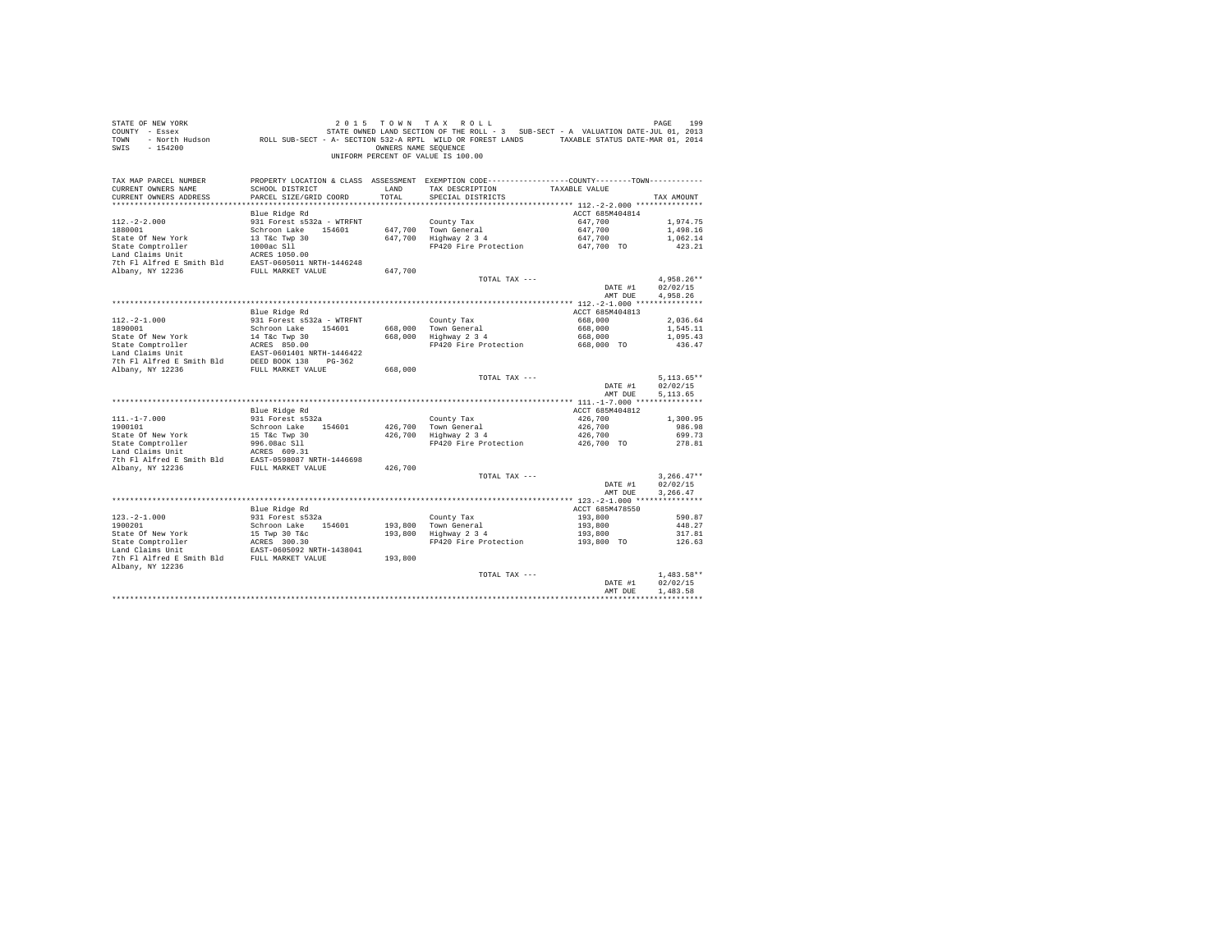| STATE OF NEW YORK<br>COUNTY - Essex<br>TOWN<br>$-154200$<br>SWIS       |                                           | OWNERS NAME SEOUENCE | 2015 TOWN TAX ROLL<br>UNIFORM PERCENT OF VALUE IS 100.00                                                                               |                    | PAGE<br>199      |
|------------------------------------------------------------------------|-------------------------------------------|----------------------|----------------------------------------------------------------------------------------------------------------------------------------|--------------------|------------------|
| TAX MAP PARCEL NUMBER<br>CURRENT OWNERS NAME<br>CURRENT OWNERS ADDRESS | SCHOOL DISTRICT<br>PARCEL SIZE/GRID COORD | LAND<br>TOTAL        | PROPERTY LOCATION & CLASS ASSESSMENT EXEMPTION CODE----------------COUNTY-------TOWN----------<br>TAX DESCRIPTION<br>SPECIAL DISTRICTS | TAXABLE VALUE      | TAX AMOUNT       |
|                                                                        |                                           |                      |                                                                                                                                        |                    |                  |
|                                                                        | Blue Ridge Rd                             |                      |                                                                                                                                        | ACCT 685M404814    |                  |
| $112. - 2 - 2.000$                                                     | 931 Forest s532a - WTRFNT                 |                      | County Tax                                                                                                                             | 647,700            | 1,974.75         |
| 1880001                                                                | Schroon Lake 154601                       |                      | 647,700 Town General                                                                                                                   | 647,700            | 1,498.16         |
| State Of New York                                                      | 13 T&C Twp 30                             |                      | 647,700 Highway 2 3 4                                                                                                                  | 647,700            | 1,062.14         |
| State Comptroller                                                      | $1000ac$ $S11$                            |                      | FP420 Fire Protection 647,700 TO                                                                                                       |                    | 423.21           |
| Land Claims Unit                                                       | $ACRES$ 1050.00                           |                      |                                                                                                                                        |                    |                  |
| 7th Fl Alfred E Smith Bld EAST-0605011 NRTH-1446248                    |                                           |                      |                                                                                                                                        |                    |                  |
| Albany, NY 12236                                                       | FULL MARKET VALUE                         | 647,700              |                                                                                                                                        |                    |                  |
|                                                                        |                                           |                      | TOTAL TAX ---                                                                                                                          |                    | $4.958.26**$     |
|                                                                        |                                           |                      |                                                                                                                                        | DATE #1            | 02/02/15         |
|                                                                        |                                           |                      |                                                                                                                                        | AMT DUE            | 4,958.26         |
|                                                                        | Blue Ridge Rd                             |                      |                                                                                                                                        | ACCT 685M404813    |                  |
| $112. - 2 - 1.000$                                                     | 931 Forest s532a - WTRFNT                 |                      | County Tax                                                                                                                             | 668,000            | 2,036.64         |
| 1890001                                                                | Schroon Lake 154601                       |                      |                                                                                                                                        | 668,000            | 1,545.11         |
| State Of New York                                                      | 14 T&C Twp 30                             |                      | 668,000 Town General<br>668,000 Highway 2 3 4                                                                                          | 668,000            | 1,095.43         |
|                                                                        | ACRES 850.00                              |                      | FP420 Fire Protection 668,000 TO                                                                                                       |                    | 436.47           |
| State Comptroller<br>Land Claims Unit                                  | EAST-0601401 NRTH-1446422                 |                      |                                                                                                                                        |                    |                  |
| 7th Fl Alfred E Smith Bld DEED BOOK 138 PG-362                         |                                           |                      |                                                                                                                                        |                    |                  |
| Albany, NY 12236                                                       | FULL MARKET VALUE                         | 668,000              |                                                                                                                                        |                    |                  |
|                                                                        |                                           |                      | TOTAL TAX ---                                                                                                                          |                    | $5,113.65**$     |
|                                                                        |                                           |                      |                                                                                                                                        | DATE #1            | 02/02/15         |
|                                                                        |                                           |                      |                                                                                                                                        | AMT DUE            | 5.113.65         |
|                                                                        |                                           |                      |                                                                                                                                        |                    |                  |
|                                                                        | Blue Ridge Rd                             |                      |                                                                                                                                        | ACCT 685M404812    |                  |
| $111. - 1 - 7.000$                                                     | 931 Forest s532a                          |                      | County Tax                                                                                                                             | 426,700            | 1,300.95         |
| 1900101                                                                | Schroon Lake 154601                       |                      | 426,700 Town General<br>426,700 Highway 2 3 4                                                                                          | 426,700<br>426,700 | 986.98<br>699.73 |
| State Of New York<br>State Comptroller                                 | 15 T&c Twp 30<br>996.08ac S11             |                      | FP420 Fire Protection 426,700 TO                                                                                                       |                    | 278.81           |
| Land Claims Unit                                                       | ACRES 609.31                              |                      |                                                                                                                                        |                    |                  |
| 7th Fl Alfred E Smith Bld EAST-0598087 NRTH-1446698                    |                                           |                      |                                                                                                                                        |                    |                  |
| Albany, NY 12236                                                       | FULL MARKET VALUE                         | 426,700              |                                                                                                                                        |                    |                  |
|                                                                        |                                           |                      | TOTAL TAX ---                                                                                                                          |                    | $3.266.47**$     |
|                                                                        |                                           |                      |                                                                                                                                        | DATE #1            | 02/02/15         |
|                                                                        |                                           |                      |                                                                                                                                        | AMT DUE            | 3.266.47         |
|                                                                        |                                           |                      |                                                                                                                                        |                    |                  |
|                                                                        | Blue Ridge Rd                             |                      |                                                                                                                                        | ACCT 685M478550    |                  |
| $123. - 2 - 1.000$                                                     | 931 Forest s532a                          |                      | County Tax                                                                                                                             | 193,800            | 590.87           |
| 1900201                                                                | Schroon Lake 154601                       |                      | 193,800 Town General<br>193,800 Highway 2 3 4                                                                                          | 193,800            | 448.27           |
| State Of New York<br>State Comptroller                                 | 15 Twp 30 T&C<br>ACRES 300.30             |                      |                                                                                                                                        | 193,800            | 317.81           |
|                                                                        |                                           |                      | FP420 Fire Protection                                                                                                                  | 193,800 TO         | 126.63           |
| 7th Fl Alfred E Smith Bld FULL MARKET VALUE                            | EAST-0605092 NRTH-1438041                 | 193,800              |                                                                                                                                        |                    |                  |
| Albany, NY 12236                                                       |                                           |                      |                                                                                                                                        |                    |                  |
|                                                                        |                                           |                      | TOTAL TAX ---                                                                                                                          |                    | $1.483.58**$     |
|                                                                        |                                           |                      |                                                                                                                                        | DATE #1            | 02/02/15         |
|                                                                        |                                           |                      |                                                                                                                                        | AMT DUE            | 1,483.58         |
|                                                                        |                                           |                      |                                                                                                                                        |                    |                  |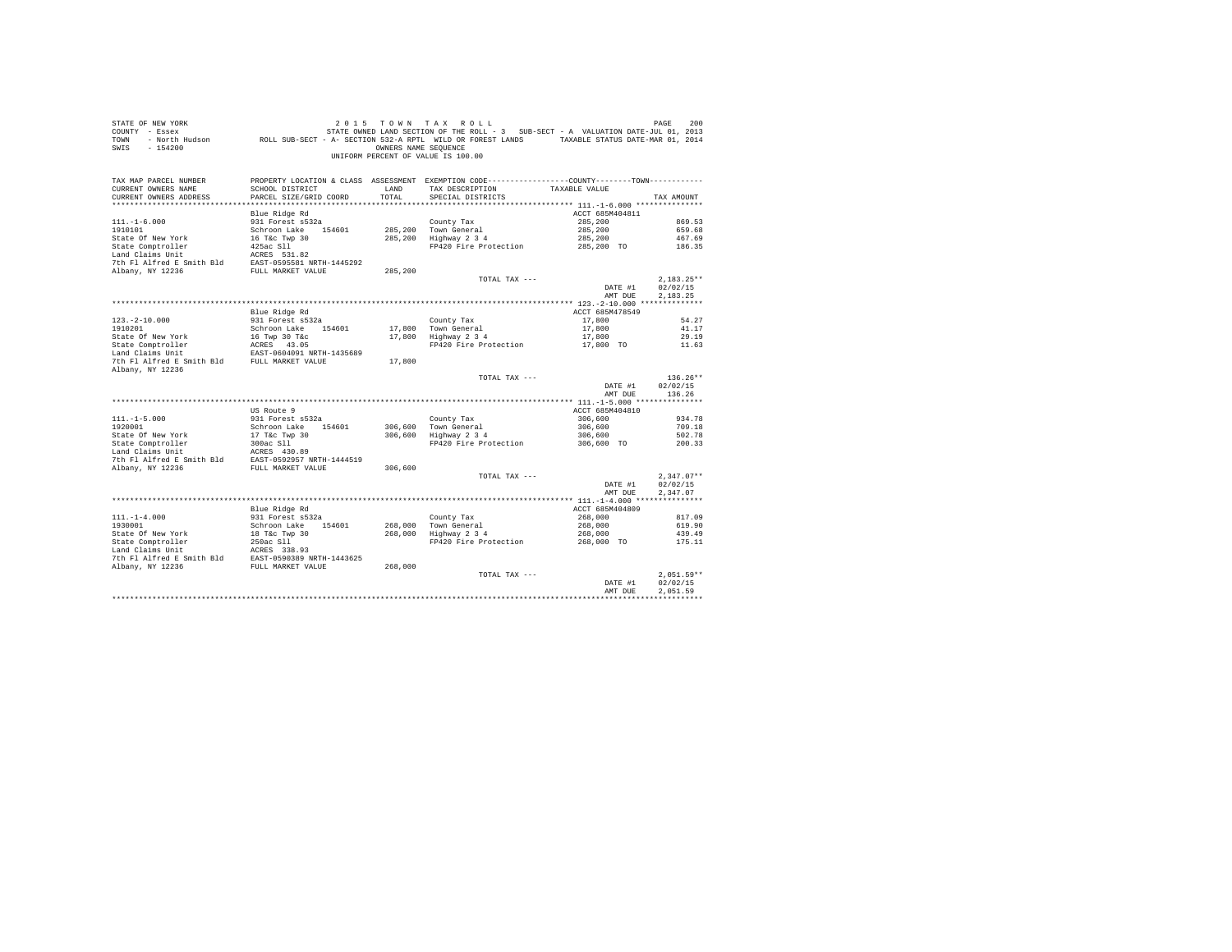| STATE OF NEW YORK<br>COUNTY - Essex<br>TOWN<br>$-154200$<br>SWIS                                                                                                                                                                                  | UF NEW YORK I AU LA TAX KULL SURE TRING THE RESERVE TO A MATTE-JUL DE PAGE TO 2013<br>2013 - Essex STATE-JUL DI 2013 STATE OWNED LAND SECTION OF THE ROLL - 3 SUB-SECT - A VALUATION DATE-JUL 01, 20<br>- North Hudson - ROLL SUB-SE | OWNERS NAME SEOUENCE | 2015 TOWN TAX ROLL<br>UNIFORM PERCENT OF VALUE IS 100.00                                                                               |                    | PAGE<br>200          |
|---------------------------------------------------------------------------------------------------------------------------------------------------------------------------------------------------------------------------------------------------|--------------------------------------------------------------------------------------------------------------------------------------------------------------------------------------------------------------------------------------|----------------------|----------------------------------------------------------------------------------------------------------------------------------------|--------------------|----------------------|
| TAX MAP PARCEL NUMBER<br>CURRENT OWNERS NAME<br>CURRENT OWNERS ADDRESS                                                                                                                                                                            | SCHOOL DISTRICT<br>PARCEL SIZE/GRID COORD                                                                                                                                                                                            | LAND<br>TOTAL        | PROPERTY LOCATION & CLASS ASSESSMENT EXEMPTION CODE----------------COUNTY-------TOWN----------<br>TAX DESCRIPTION<br>SPECIAL DISTRICTS | TAXABLE VALUE      | TAX AMOUNT           |
|                                                                                                                                                                                                                                                   | Blue Ridge Rd                                                                                                                                                                                                                        |                      |                                                                                                                                        | ACCT 685M404811    |                      |
| $111. - 1 - 6.000$                                                                                                                                                                                                                                | 931 Forest s532a                                                                                                                                                                                                                     |                      | County Tax                                                                                                                             | 285,200            | 869.53               |
| 1910101                                                                                                                                                                                                                                           | Schroon Lake 154601                                                                                                                                                                                                                  |                      | 285,200 Town General                                                                                                                   | 285,200            | 659.68               |
| State Of New York                                                                                                                                                                                                                                 |                                                                                                                                                                                                                                      |                      | 285,200 Highway 2 3 4                                                                                                                  | 285,200            | 467.69               |
| State Comptroller                                                                                                                                                                                                                                 | - --- - - n make<br>16 T&c Twp 30<br>425ac S11<br>2020 -                                                                                                                                                                             |                      | FP420 Fire Protection 285,200 TO                                                                                                       |                    | 186.35               |
| Land Claims Unit                                                                                                                                                                                                                                  | ACRES 531.82                                                                                                                                                                                                                         |                      |                                                                                                                                        |                    |                      |
| 7th Fl Alfred E Smith Bld EAST-0595581 NRTH-1445292                                                                                                                                                                                               |                                                                                                                                                                                                                                      |                      |                                                                                                                                        |                    |                      |
| Albany, NY 12236                                                                                                                                                                                                                                  | FULL MARKET VALUE                                                                                                                                                                                                                    | 285,200              |                                                                                                                                        |                    |                      |
|                                                                                                                                                                                                                                                   |                                                                                                                                                                                                                                      |                      | TOTAL TAX ---                                                                                                                          |                    | $2.183.25**$         |
|                                                                                                                                                                                                                                                   |                                                                                                                                                                                                                                      |                      |                                                                                                                                        | DATE #1<br>AMT DUE | 02/02/15<br>2,183.25 |
|                                                                                                                                                                                                                                                   |                                                                                                                                                                                                                                      |                      |                                                                                                                                        |                    |                      |
|                                                                                                                                                                                                                                                   | Blue Ridge Rd                                                                                                                                                                                                                        |                      |                                                                                                                                        | ACCT 685M478549    |                      |
| $123. - 2 - 10.000$                                                                                                                                                                                                                               | 931 Forest s532a                                                                                                                                                                                                                     |                      | County Tax                                                                                                                             | 17,800             | 54.27                |
| 1910201                                                                                                                                                                                                                                           | Schroon Lake 154601                                                                                                                                                                                                                  |                      |                                                                                                                                        | 17,800             | 41.17                |
|                                                                                                                                                                                                                                                   |                                                                                                                                                                                                                                      |                      | 17,800 Town General<br>17,800 Highway 2 3 4                                                                                            | 17,800             | 29.19                |
| $\begin{tabular}{lcccc} State & Of & New York & & 16 & \texttt{Two} & 30 \texttt{The} \\ State \texttt{Comptroller} & & & & \texttt{ACRES} & 43.05 \\ Land \texttt{Land } University \texttt{Unit} & & & \texttt{ACRES} & 43.05 \\ \end{tabular}$ |                                                                                                                                                                                                                                      |                      | FP420 Fire Protection 17,800 TO 11.63                                                                                                  |                    |                      |
|                                                                                                                                                                                                                                                   |                                                                                                                                                                                                                                      |                      |                                                                                                                                        |                    |                      |
| 7th Fl Alfred E Smith Bld FULL MARKET VALUE                                                                                                                                                                                                       |                                                                                                                                                                                                                                      | 17,800               |                                                                                                                                        |                    |                      |
| Albany, NY 12236                                                                                                                                                                                                                                  |                                                                                                                                                                                                                                      |                      |                                                                                                                                        |                    | $136.26**$           |
|                                                                                                                                                                                                                                                   |                                                                                                                                                                                                                                      |                      | TOTAL TAX ---                                                                                                                          | DATE #1            | 02/02/15             |
|                                                                                                                                                                                                                                                   |                                                                                                                                                                                                                                      |                      |                                                                                                                                        | AMT DUE            | 136.26               |
|                                                                                                                                                                                                                                                   | US Route 9                                                                                                                                                                                                                           |                      |                                                                                                                                        | ACCT 685M404810    |                      |
| $111. - 1 - 5.000$                                                                                                                                                                                                                                | 931 Forest s532a                                                                                                                                                                                                                     |                      | County Tax                                                                                                                             | 306,600            | 934.78               |
| 1920001                                                                                                                                                                                                                                           | Schroon Lake 154601                                                                                                                                                                                                                  |                      |                                                                                                                                        | 306,600            | 709.18               |
|                                                                                                                                                                                                                                                   |                                                                                                                                                                                                                                      |                      | 306,600 Town General<br>306,600 Highway 2 3 4                                                                                          | 306,600            | 502.78               |
| State Of New York<br>State Comptroller<br>Land Claims Unit                                                                                                                                                                                        | 17 T&C Twp 30<br>300ac S11                                                                                                                                                                                                           |                      | FP420 Fire Protection 306,600 TO                                                                                                       |                    | 200.33               |
| $\begin{tabular}{llll} \texttt{Land Claus Unit} & \texttt{ACRES} & 430.89 \\ \texttt{7th Fl Alfred E Smith Bld} & \texttt{EAST-0592957 NRTH-1444519} \end{tabular}$                                                                               |                                                                                                                                                                                                                                      |                      |                                                                                                                                        |                    |                      |
|                                                                                                                                                                                                                                                   |                                                                                                                                                                                                                                      |                      |                                                                                                                                        |                    |                      |
| Albany, NY 12236                                                                                                                                                                                                                                  | FULL MARKET VALUE                                                                                                                                                                                                                    | 306,600              | TOTAL TAX ---                                                                                                                          |                    | $2.347.07**$         |
|                                                                                                                                                                                                                                                   |                                                                                                                                                                                                                                      |                      |                                                                                                                                        | DATE #1            | 02/02/15             |
|                                                                                                                                                                                                                                                   |                                                                                                                                                                                                                                      |                      |                                                                                                                                        | AMT DUE            | 2.347.07             |
|                                                                                                                                                                                                                                                   |                                                                                                                                                                                                                                      |                      |                                                                                                                                        |                    |                      |
|                                                                                                                                                                                                                                                   | Blue Ridge Rd                                                                                                                                                                                                                        |                      |                                                                                                                                        | ACCT 685M404809    |                      |
| $111. - 1 - 4.000$                                                                                                                                                                                                                                | 931 Forest s532a                                                                                                                                                                                                                     |                      | County Tax                                                                                                                             | 268,000            | 817.09               |
| 1930001                                                                                                                                                                                                                                           | Schroon Lake 154601                                                                                                                                                                                                                  |                      | 268,000 Town General<br>268,000 Highway 2 3 4                                                                                          | 268,000            | 619.90               |
|                                                                                                                                                                                                                                                   |                                                                                                                                                                                                                                      |                      |                                                                                                                                        | 268,000            | 439.49               |
|                                                                                                                                                                                                                                                   |                                                                                                                                                                                                                                      |                      | FP420 Fire Protection                                                                                                                  | 268,000 TO         | 175.11               |
|                                                                                                                                                                                                                                                   |                                                                                                                                                                                                                                      |                      |                                                                                                                                        |                    |                      |
|                                                                                                                                                                                                                                                   |                                                                                                                                                                                                                                      |                      |                                                                                                                                        |                    |                      |
|                                                                                                                                                                                                                                                   |                                                                                                                                                                                                                                      |                      | TOTAL TAX ---                                                                                                                          |                    | $2.051.59**$         |
|                                                                                                                                                                                                                                                   |                                                                                                                                                                                                                                      |                      |                                                                                                                                        | DATE #1            | 02/02/15             |
|                                                                                                                                                                                                                                                   |                                                                                                                                                                                                                                      |                      |                                                                                                                                        | AMT DUE            | 2.051.59             |
|                                                                                                                                                                                                                                                   |                                                                                                                                                                                                                                      |                      |                                                                                                                                        |                    |                      |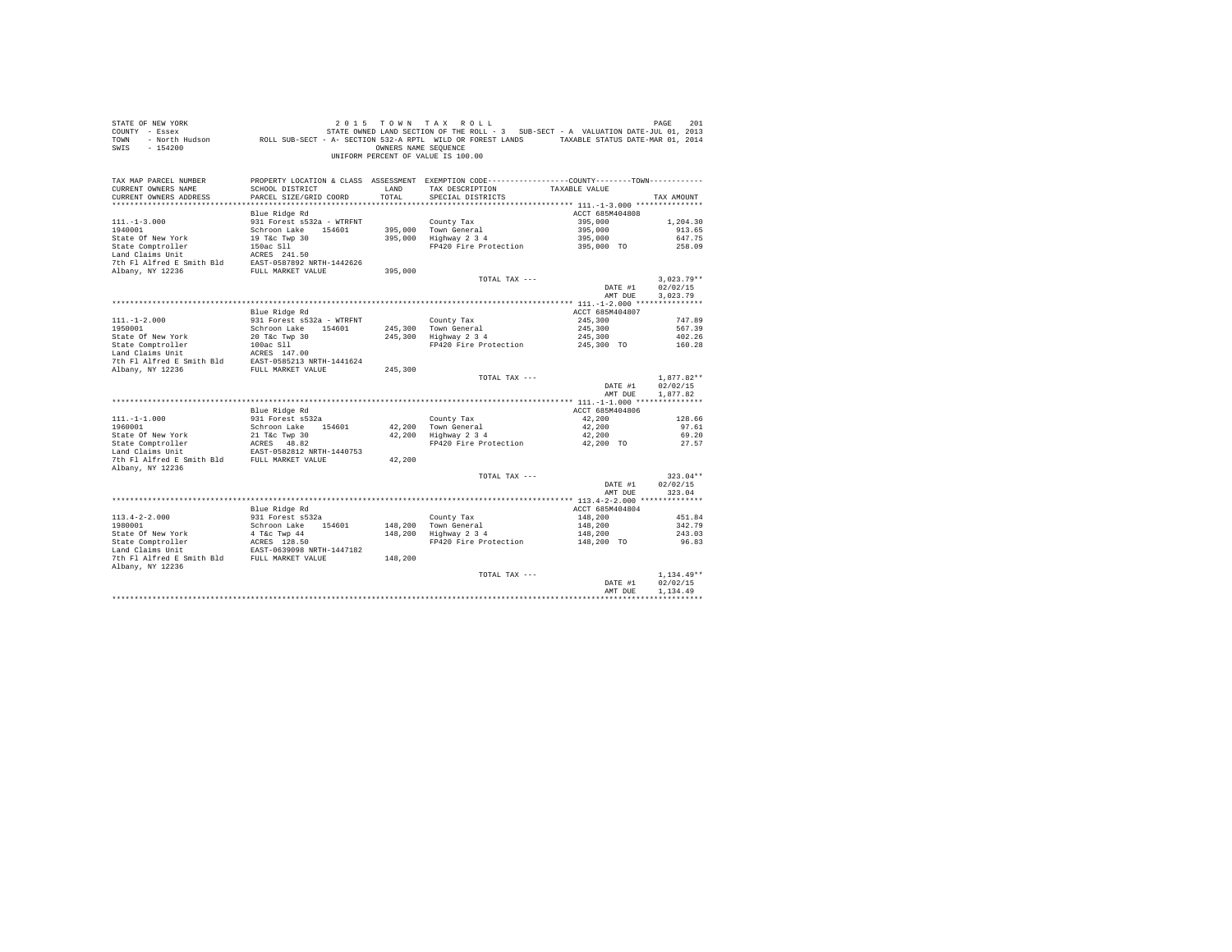| COUNTY - Essex<br>TOWN<br>SWIS<br>$-154200$                                                                  | - North Hudson ROLL SUB-SECT - A- SECTION 532-A RPTL WILD OR FOREST LANDS TAXABLE STATUS DATE-MAR 01, 2014 | OWNERS NAME SEQUENCE | STATE OWNED LAND SECTION OF THE ROLL - 3 SUB-SECT - A VALUATION DATE-JUL 01, 2013<br>UNIFORM PERCENT OF VALUE IS 100.00 |                    |                    |
|--------------------------------------------------------------------------------------------------------------|------------------------------------------------------------------------------------------------------------|----------------------|-------------------------------------------------------------------------------------------------------------------------|--------------------|--------------------|
| TAX MAP PARCEL NUMBER                                                                                        |                                                                                                            |                      | PROPERTY LOCATION & CLASS ASSESSMENT EXEMPTION CODE---------------COUNTY-------TOWN---------                            |                    |                    |
| CURRENT OWNERS NAME                                                                                          | SCHOOL DISTRICT                                                                                            | LAND                 | TAX DESCRIPTION TAXABLE VALUE                                                                                           |                    |                    |
| CURRENT OWNERS ADDRESS                                                                                       | PARCEL SIZE/GRID COORD                                                                                     | TOTAL                | SPECIAL DISTRICTS                                                                                                       |                    | TAX AMOUNT         |
|                                                                                                              |                                                                                                            |                      |                                                                                                                         |                    |                    |
|                                                                                                              | Blue Ridge Rd                                                                                              |                      |                                                                                                                         | ACCT 685M404808    |                    |
| $111. - 1 - 3.000$<br>1940001                                                                                | 931 Forest s532a - WTRFNT<br>Schroon Lake 154601                                                           |                      | County Tax                                                                                                              | 395,000<br>395,000 | 1,204.30<br>913.65 |
|                                                                                                              |                                                                                                            |                      | 395,000 Town General<br>395,000 Highway 2 3 4                                                                           | 395,000            | 647.75             |
|                                                                                                              |                                                                                                            |                      | FP420 Fire Protection                                                                                                   | 395,000 TO         | 258.09             |
|                                                                                                              |                                                                                                            |                      |                                                                                                                         |                    |                    |
|                                                                                                              |                                                                                                            |                      |                                                                                                                         |                    |                    |
|                                                                                                              |                                                                                                            | 395,000              |                                                                                                                         |                    |                    |
|                                                                                                              |                                                                                                            |                      | TOTAL TAX ---                                                                                                           |                    | $3,023.79**$       |
|                                                                                                              |                                                                                                            |                      |                                                                                                                         | DATE #1            | 02/02/15           |
|                                                                                                              |                                                                                                            |                      |                                                                                                                         | AMT DUE            | 3,023.79           |
|                                                                                                              |                                                                                                            |                      |                                                                                                                         |                    |                    |
|                                                                                                              | Blue Ridge Rd                                                                                              |                      |                                                                                                                         | ACCT 685M404807    |                    |
| $111. - 1 - 2.000$                                                                                           | 931 Forest s532a - WTRFNT                                                                                  |                      | County Tax<br>245,300 Town General<br>245,300 Highway 2 3 4                                                             | 245,300            | 747.89             |
| 1950001<br>State Of New York                                                                                 | Schroon Lake 154601                                                                                        |                      |                                                                                                                         | 245,300<br>245,300 | 567.39<br>402.26   |
|                                                                                                              | 20 T&c Twp 30                                                                                              |                      | FP420 Fire Protection                                                                                                   | 245,300 TO         | 160.28             |
|                                                                                                              |                                                                                                            |                      |                                                                                                                         |                    |                    |
| State Comptroller<br>100ac S11<br>Land Claims Unit<br>7th F1 Alfred E Smith Bld<br>EAST-0585213 NRTH-1441624 |                                                                                                            |                      |                                                                                                                         |                    |                    |
| Albany, NY 12236                                                                                             | FULL MARKET VALUE                                                                                          | 245,300              |                                                                                                                         |                    |                    |
|                                                                                                              |                                                                                                            |                      | TOTAL TAX ---                                                                                                           |                    | $1.877.82**$       |
|                                                                                                              |                                                                                                            |                      |                                                                                                                         | DATE #1            | 02/02/15           |
|                                                                                                              |                                                                                                            |                      |                                                                                                                         | AMT DUE            | 1.877.82           |
|                                                                                                              |                                                                                                            |                      |                                                                                                                         |                    |                    |
|                                                                                                              | Blue Ridge Rd                                                                                              |                      |                                                                                                                         | ACCT 685M404806    |                    |
| $111. - 1 - 1.000$                                                                                           | 931 Forest s532a                                                                                           |                      | County Tax                                                                                                              | 42,200             | 128.66             |
| 1960001<br>State Of New York                                                                                 | Schroon Lake 154601<br>21 T&C Twp 30                                                                       |                      | 42,200 Town General<br>42,200 Highway 2 3 4                                                                             | 42,200<br>42,200   | 97.61<br>69.20     |
|                                                                                                              |                                                                                                            |                      | FP420 Fire Protection                                                                                                   | 42,200 TO          | 27.57              |
| State of new State Comptroller                                                                               | ACRES 48.82<br>EAST-0582812 NRTH-1440753                                                                   |                      |                                                                                                                         |                    |                    |
| 7th F1 Alfred E Smith Bld FULL MARKET VALUE                                                                  |                                                                                                            | 42,200               |                                                                                                                         |                    |                    |
| Albany, NY 12236                                                                                             |                                                                                                            |                      |                                                                                                                         |                    |                    |
|                                                                                                              |                                                                                                            |                      | TOTAL TAX ---                                                                                                           |                    | $323.04**$         |
|                                                                                                              |                                                                                                            |                      |                                                                                                                         | DATE #1            | 02/02/15           |
|                                                                                                              |                                                                                                            |                      |                                                                                                                         | AMT DUE            | 323.04             |
|                                                                                                              |                                                                                                            |                      |                                                                                                                         |                    |                    |
|                                                                                                              | Blue Ridge Rd                                                                                              |                      |                                                                                                                         | ACCT 685M404804    |                    |
| $113.4 - 2 - 2.000$                                                                                          | 931 Forest s532a                                                                                           |                      | County Tax                                                                                                              | 148,200            | 451.84             |
| 1980001                                                                                                      | Schroon Lake 154601                                                                                        |                      | 148,200 Town General<br>148,200 Highway 2 3 4                                                                           | 148,200<br>148,200 | 342.79<br>243.03   |
| State Of New York<br>State Comptroller<br>State Comptroller<br>Land Claims Unit<br>EAST-0639098 NRTH-1447182 |                                                                                                            |                      | FP420 Fire Protection 148,200 TO                                                                                        |                    | 96.83              |
|                                                                                                              |                                                                                                            |                      |                                                                                                                         |                    |                    |
| 7th Fl Alfred E Smith Bld FULL MARKET VALUE                                                                  |                                                                                                            | 148,200              |                                                                                                                         |                    |                    |
| Albany, NY 12236                                                                                             |                                                                                                            |                      |                                                                                                                         |                    |                    |
|                                                                                                              |                                                                                                            |                      | TOTAL TAX ---                                                                                                           |                    | $1.134.49**$       |
|                                                                                                              |                                                                                                            |                      |                                                                                                                         | DATE #1            | 02/02/15           |
|                                                                                                              |                                                                                                            |                      |                                                                                                                         | AMT DUE            | 1,134.49           |
|                                                                                                              |                                                                                                            |                      |                                                                                                                         |                    |                    |

STATE OF NEW YORK 2 0 1 5 T O W N T A X R O L L PAGE 201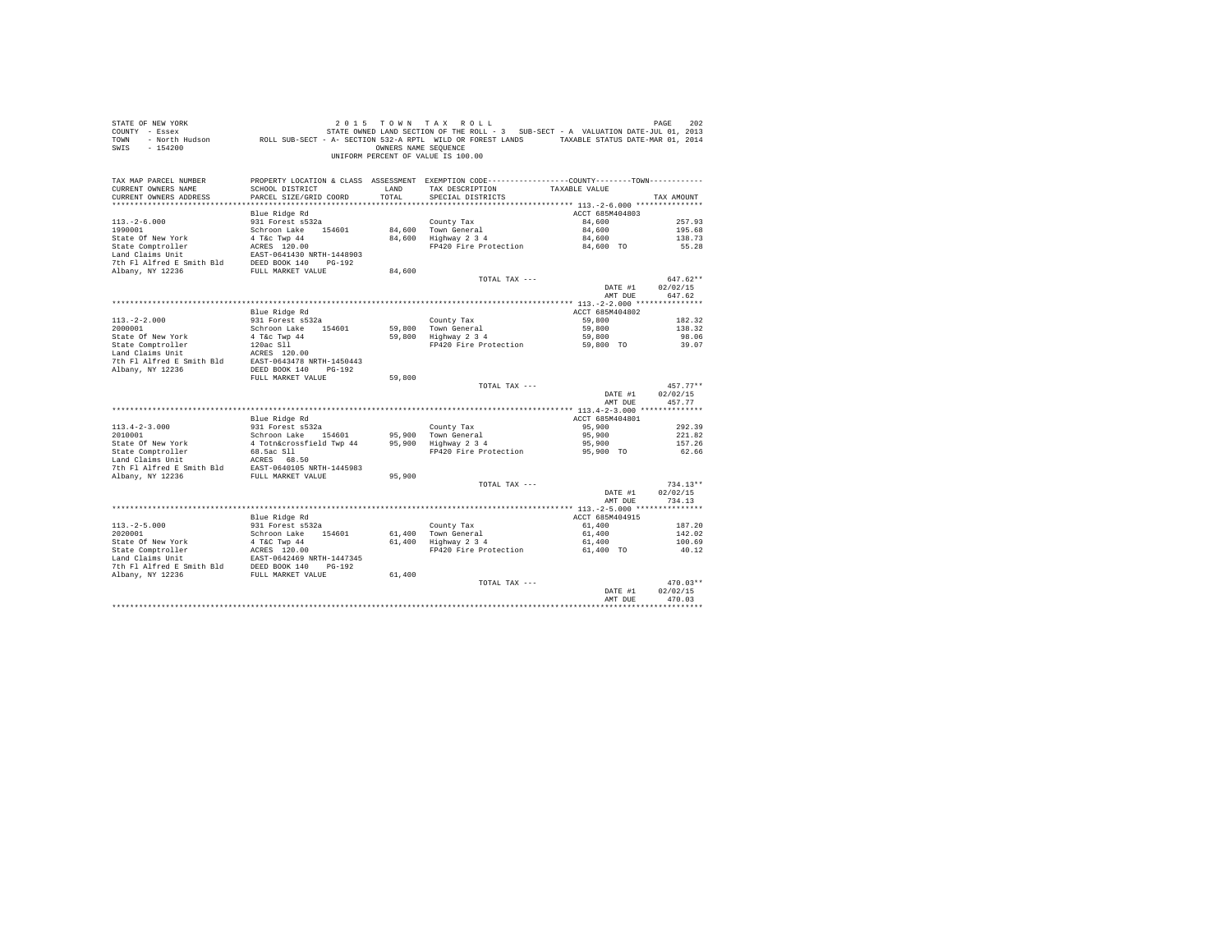| STATE OF NEW YORK<br>COUNTY - Essex<br>TOWN<br>$-154200$<br>SWIS |                                                | OWNERS NAME SEQUENCE | 2015 TOWN TAX ROLL<br>STATE OWNED LAND SECTION OF THE ROLL - 3 SUB-SECT - A VALUATION DATE-JUL 01, 2013<br>- North Hudson ROLL SUB-SECT - A- SECTION 532-A RPTL WILD OR FOREST LANDS TAXABLE STATUS DATE-MAR 01, 2014<br>UNIFORM PERCENT OF VALUE IS 100.00 |                    | PAGE<br>202        |
|------------------------------------------------------------------|------------------------------------------------|----------------------|-------------------------------------------------------------------------------------------------------------------------------------------------------------------------------------------------------------------------------------------------------------|--------------------|--------------------|
| TAX MAP PARCEL NUMBER                                            |                                                |                      | PROPERTY LOCATION & CLASS ASSESSMENT EXEMPTION CODE----------------COUNTY-------TOWN----------                                                                                                                                                              |                    |                    |
| CURRENT OWNERS NAME<br>CURRENT OWNERS ADDRESS                    | SCHOOL DISTRICT<br>PARCEL SIZE/GRID COORD      | LAND<br>TOTAL        | TAX DESCRIPTION<br>SPECIAL DISTRICTS                                                                                                                                                                                                                        | TAXABLE VALUE      | TAX AMOUNT         |
|                                                                  |                                                |                      |                                                                                                                                                                                                                                                             |                    |                    |
|                                                                  | Blue Ridge Rd                                  |                      |                                                                                                                                                                                                                                                             | ACCT 685M404803    |                    |
| $113. -2 - 6.000$                                                | 931 Forest s532a                               |                      | County Tax                                                                                                                                                                                                                                                  | 84,600             | 257.93             |
| 1990001                                                          | Schroon Lake 154601                            |                      | 84,600 Town General                                                                                                                                                                                                                                         | 84,600             | 195.68             |
| State Of New York                                                | 4 T&c Twp 44                                   |                      | 84,600 Highway 2 3 4                                                                                                                                                                                                                                        | 84,600             | 138.73             |
| State Comptroller                                                | ACRES 120.00                                   |                      | FP420 Fire Protection                                                                                                                                                                                                                                       | 84,600 TO          | 55.28              |
| Land Claims Unit                                                 | EAST-0641430 NRTH-1448903                      |                      |                                                                                                                                                                                                                                                             |                    |                    |
| 7th Fl Alfred E Smith Bld                                        | DEED BOOK 140 PG-192                           |                      |                                                                                                                                                                                                                                                             |                    |                    |
| Albany, NY 12236                                                 | FULL MARKET VALUE                              | 84,600               |                                                                                                                                                                                                                                                             |                    |                    |
|                                                                  |                                                |                      | TOTAL TAX ---                                                                                                                                                                                                                                               |                    | $647.62**$         |
|                                                                  |                                                |                      |                                                                                                                                                                                                                                                             | DATE #1<br>AMT DUE | 02/02/15<br>647.62 |
|                                                                  |                                                |                      |                                                                                                                                                                                                                                                             |                    |                    |
|                                                                  | Blue Ridge Rd                                  |                      |                                                                                                                                                                                                                                                             | ACCT 685M404802    |                    |
| $113. -2 - 2.000$                                                | 931 Forest s532a                               |                      | County Tax                                                                                                                                                                                                                                                  | 59,800             | 182.32             |
| 2000001                                                          | Schroon Lake 154601                            | 59,800               | Town General                                                                                                                                                                                                                                                | 59,800             | 138.32             |
| State Of New York                                                | 4 T&c Twp 44                                   | 59,800               | Highway 2 3 4                                                                                                                                                                                                                                               | 59,800             | 98.06              |
| State Comptroller                                                | 120ac Sll                                      |                      | FP420 Fire Protection                                                                                                                                                                                                                                       | 59,800 TO          | 39.07              |
| Land Claims Unit                                                 | ACRES 120.00                                   |                      |                                                                                                                                                                                                                                                             |                    |                    |
| 7th Fl Alfred E Smith Bld                                        | EAST-0643478 NRTH-1450443                      |                      |                                                                                                                                                                                                                                                             |                    |                    |
| Albany, NY 12236                                                 | DEED BOOK 140 PG-192                           |                      |                                                                                                                                                                                                                                                             |                    |                    |
|                                                                  | FULL MARKET VALUE                              | 59,800               |                                                                                                                                                                                                                                                             |                    | $457.77**$         |
|                                                                  |                                                |                      | TOTAL TAX ---                                                                                                                                                                                                                                               | DATE #1            | 02/02/15           |
|                                                                  |                                                |                      |                                                                                                                                                                                                                                                             | AMT DUE            | 457.77             |
|                                                                  |                                                |                      |                                                                                                                                                                                                                                                             |                    |                    |
|                                                                  | Blue Ridge Rd                                  |                      |                                                                                                                                                                                                                                                             | ACCT 685M404801    |                    |
| $113.4 - 2 - 3.000$                                              | 931 Forest s532a                               |                      | County Tax                                                                                                                                                                                                                                                  | 95,900             | 292.39             |
| 2010001                                                          | Schroon Lake 154601                            | 95,900               | Town General                                                                                                                                                                                                                                                | 95,900             | 221.82             |
| State Of New York                                                | 4 Totn&crossfield Twp 44                       | 95,900               | Highway 2 3 4                                                                                                                                                                                                                                               | 95,900             | 157.26             |
| State Comptroller                                                | 68.5ac S11                                     |                      | FP420 Fire Protection                                                                                                                                                                                                                                       | 95,900 TO          | 62.66              |
| Land Claims Unit                                                 | ACRES 68.50                                    |                      |                                                                                                                                                                                                                                                             |                    |                    |
| 7th Fl Alfred E Smith Bld<br>Albany, NY 12236                    | EAST-0640105 NRTH-1445983<br>FULL MARKET VALUE | 95,900               |                                                                                                                                                                                                                                                             |                    |                    |
|                                                                  |                                                |                      | TOTAL TAX ---                                                                                                                                                                                                                                               |                    | $734.13**$         |
|                                                                  |                                                |                      |                                                                                                                                                                                                                                                             | DATE #1            | 02/02/15           |
|                                                                  |                                                |                      |                                                                                                                                                                                                                                                             | AMT DUE            | 734.13             |
|                                                                  |                                                |                      |                                                                                                                                                                                                                                                             |                    |                    |
|                                                                  | Blue Ridge Rd                                  |                      |                                                                                                                                                                                                                                                             | ACCT 685M404915    |                    |
| $113, -2-5, 000$                                                 | 931 Forest s532a                               |                      | County Tax                                                                                                                                                                                                                                                  | 61,400             | 187.20             |
| 2020001                                                          | Schroon Lake 154601                            | 61,400               | Town General                                                                                                                                                                                                                                                | 61,400             | 142.02             |
| State Of New York                                                | 4 T&C Twp 44                                   | 61,400               | $Highway$ 2 3 4                                                                                                                                                                                                                                             | 61,400             | 100.69             |
| State Comptroller<br>Land Claims Unit                            | ACRES 120.00<br>EAST-0642469 NRTH-1447345      |                      | FP420 Fire Protection                                                                                                                                                                                                                                       | 61,400 TO          | 40.12              |
| 7th Fl Alfred E Smith Bld                                        | DEED BOOK 140 PG-192                           |                      |                                                                                                                                                                                                                                                             |                    |                    |
| Albany, NY 12236                                                 | FULL MARKET VALUE                              | 61,400               |                                                                                                                                                                                                                                                             |                    |                    |
|                                                                  |                                                |                      | TOTAL TAX ---                                                                                                                                                                                                                                               |                    | $470.03**$         |
|                                                                  |                                                |                      |                                                                                                                                                                                                                                                             | DATE #1            | 02/02/15           |
|                                                                  |                                                |                      |                                                                                                                                                                                                                                                             | AMT DUE            | 470.03             |
|                                                                  |                                                |                      |                                                                                                                                                                                                                                                             |                    |                    |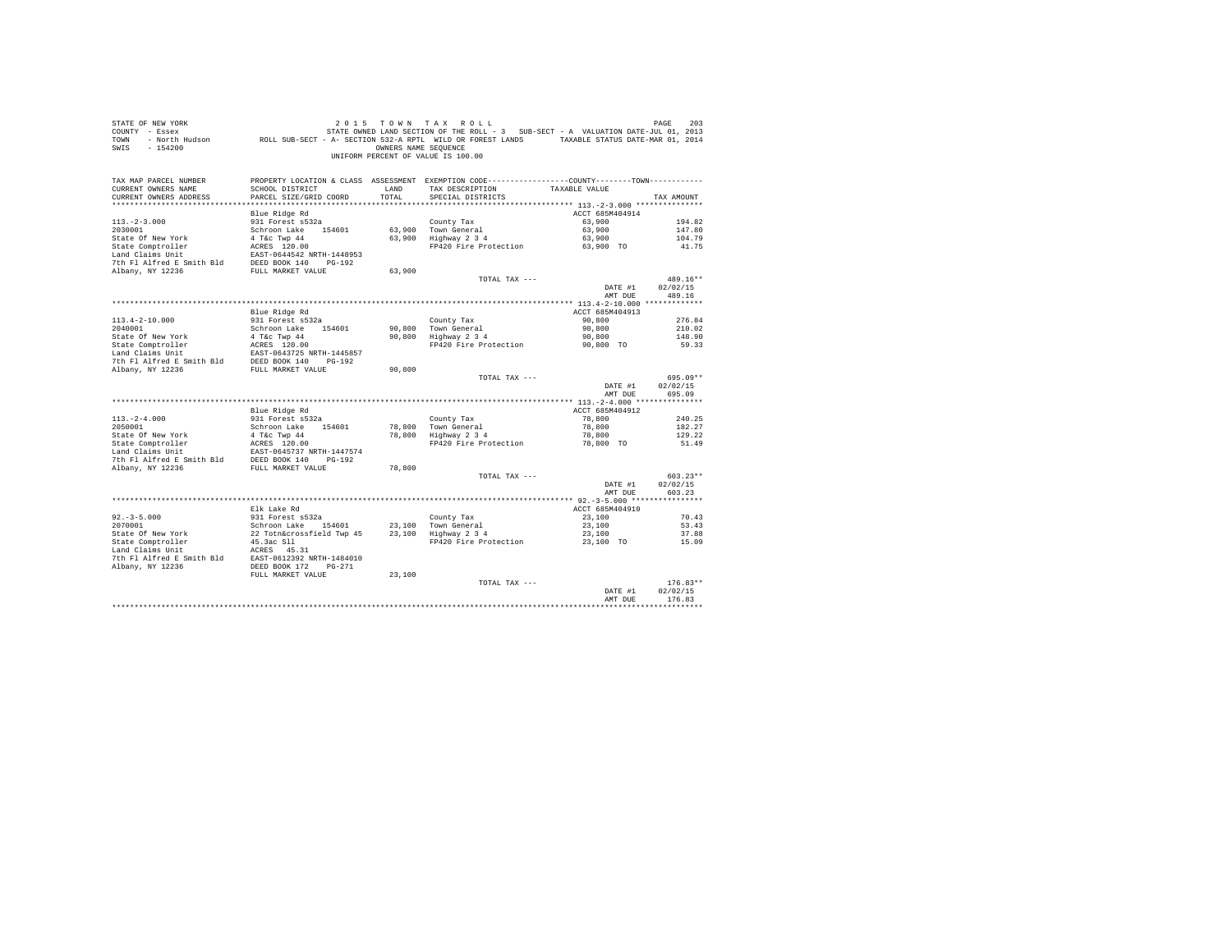| STATE OF NEW YORK<br>COUNTY - Essex<br>TOWN<br>SWIS - 154200                                                                                                                    |                                                                          | OWNERS NAME SEQUENCE | 2015 TOWN TAX ROLL<br>UNIFORM PERCENT OF VALUE IS 100.00                                     |                    | PAGE<br>203        |
|---------------------------------------------------------------------------------------------------------------------------------------------------------------------------------|--------------------------------------------------------------------------|----------------------|----------------------------------------------------------------------------------------------|--------------------|--------------------|
| TAX MAP PARCEL NUMBER                                                                                                                                                           |                                                                          |                      | PROPERTY LOCATION & CLASS ASSESSMENT EXEMPTION CODE---------------COUNTY-------TOWN--------- |                    |                    |
| CURRENT OWNERS NAME<br>CURRENT OWNERS ADDRESS                                                                                                                                   | SCHOOL DISTRICT<br>PARCEL SIZE/GRID COORD                                | LAND<br>TOTAL        | TAX DESCRIPTION<br>SPECIAL DISTRICTS                                                         | TAXABLE VALUE      | TAX AMOUNT         |
|                                                                                                                                                                                 |                                                                          |                      |                                                                                              |                    |                    |
|                                                                                                                                                                                 | Blue Ridge Rd                                                            |                      |                                                                                              | ACCT 685M404914    |                    |
| $113. - 2 - 3.000$                                                                                                                                                              | 931 Forest s532a                                                         |                      | County Tax                                                                                   | 63,900             | 194.82             |
| 2030001                                                                                                                                                                         | Schroon Lake 154601                                                      |                      | $63,900$ Town General<br>$63,900$ Highway 2 3 4                                              | 63,900             | 147.80             |
| State Of New York                                                                                                                                                               | 4 T&C Twp 44                                                             |                      |                                                                                              | 63,900             | 104.79             |
|                                                                                                                                                                                 |                                                                          |                      | FP420 Fire Protection                                                                        | 63,900 TO          | 41.75              |
| State Comptroller<br>Land Claims Unit<br>Land Claims Unit<br>2000 140 1628 2001 1448953<br>7th Fl Alfred E Smith Bld<br>DEED BOOK 140 162-192<br>The Market Company 110 162-192 |                                                                          |                      |                                                                                              |                    |                    |
| Albany, NY 12236                                                                                                                                                                | FULL MARKET VALUE                                                        | 63,900               |                                                                                              |                    |                    |
|                                                                                                                                                                                 |                                                                          |                      | TOTAL TAX ---                                                                                |                    | 489.16**           |
|                                                                                                                                                                                 |                                                                          |                      |                                                                                              | DATE #1            | 02/02/15           |
|                                                                                                                                                                                 |                                                                          |                      |                                                                                              | AMT DUE            | 489.16             |
|                                                                                                                                                                                 |                                                                          |                      |                                                                                              |                    |                    |
|                                                                                                                                                                                 | Blue Ridge Rd                                                            |                      |                                                                                              | ACCT 685M404913    |                    |
| $113.4 - 2 - 10.000$                                                                                                                                                            | 931 Forest s532a                                                         |                      | County Tax                                                                                   | 90,800             | 276.84             |
| 2040001                                                                                                                                                                         | Schroon Lake 154601                                                      | 90,800<br>90,800     | Town General<br>Highway 2 3 4                                                                | 90,800<br>90,800   | 210.02<br>148.90   |
|                                                                                                                                                                                 |                                                                          |                      | FP420 Fire Protection                                                                        | 90,800 TO          | 59.33              |
|                                                                                                                                                                                 |                                                                          |                      |                                                                                              |                    |                    |
|                                                                                                                                                                                 |                                                                          |                      |                                                                                              |                    |                    |
|                                                                                                                                                                                 |                                                                          | 90,800               |                                                                                              |                    |                    |
|                                                                                                                                                                                 |                                                                          |                      | TOTAL TAX ---                                                                                |                    | 695.09**           |
|                                                                                                                                                                                 |                                                                          |                      |                                                                                              | DATE #1            | 02/02/15           |
|                                                                                                                                                                                 |                                                                          |                      |                                                                                              | AMT DUE            | 695.09             |
|                                                                                                                                                                                 | Blue Ridge Rd                                                            |                      |                                                                                              | ACCT 685M404912    |                    |
| $113. - 2 - 4.000$                                                                                                                                                              | 931 Forest s532a                                                         |                      | County Tax                                                                                   | 78,800             | 240.25             |
| 2050001                                                                                                                                                                         | Schroon Lake 154601                                                      |                      | 78,800 Town General<br>78,800 Town General                                                   | 78,800             | 182.27             |
| State Of New York                                                                                                                                                               | 4 T&c Twp 44                                                             |                      |                                                                                              | 78,800             | 129.22             |
| State Comptroller                                                                                                                                                               | ACRES 120.00<br>EAST-0645737 NRTH-1447574                                |                      | FP420 Fire Protection                                                                        | 78,800 TO          | 51.49              |
| Land Claims Unit                                                                                                                                                                |                                                                          |                      |                                                                                              |                    |                    |
| The Palitical Estate of the BED BOOK 140 PG-192<br>Albany, NY 12236 FULL MARKET VALUE                                                                                           |                                                                          | 78,800               |                                                                                              |                    |                    |
|                                                                                                                                                                                 |                                                                          |                      | TOTAL TAX ---                                                                                |                    | $603.23**$         |
|                                                                                                                                                                                 |                                                                          |                      |                                                                                              | DATE #1            | 02/02/15           |
|                                                                                                                                                                                 |                                                                          |                      |                                                                                              | AMT DUE            | 603.23             |
|                                                                                                                                                                                 |                                                                          |                      |                                                                                              |                    |                    |
|                                                                                                                                                                                 | Elk Lake Rd                                                              |                      |                                                                                              | ACCT 685M404910    |                    |
| $92 - 3 - 5.000$                                                                                                                                                                | 931 Forest s532a                                                         |                      | County Tax                                                                                   | 23,100             | 70.43              |
| 2070001                                                                                                                                                                         |                                                                          |                      |                                                                                              | 23,100<br>23,100   | 53.43<br>37.88     |
| State Of New York<br>State Comptroller                                                                                                                                          | county 1 axes<br>22 Toth&crossfield Twp 45<br>45.3 ac S11<br>45.3 ac S11 |                      | FP420 Fire Protection 23,100 TO                                                              |                    | 15.09              |
|                                                                                                                                                                                 |                                                                          |                      |                                                                                              |                    |                    |
|                                                                                                                                                                                 |                                                                          |                      |                                                                                              |                    |                    |
| Land Claims Unit MCRES 45.31<br>7th F1 Alfred E Smith Bld BAST-0612392 NRTH-1484010<br>Albany, NY 12236 Albang DEED BOOK 172 PG-271                                             |                                                                          |                      |                                                                                              |                    |                    |
|                                                                                                                                                                                 | FULL MARKET VALUE                                                        | 23,100               |                                                                                              |                    |                    |
|                                                                                                                                                                                 |                                                                          |                      | TOTAL TAX ---                                                                                |                    | $176.83**$         |
|                                                                                                                                                                                 |                                                                          |                      |                                                                                              | DATE #1<br>AMT DHE | 02/02/15<br>176.83 |
|                                                                                                                                                                                 |                                                                          |                      |                                                                                              |                    |                    |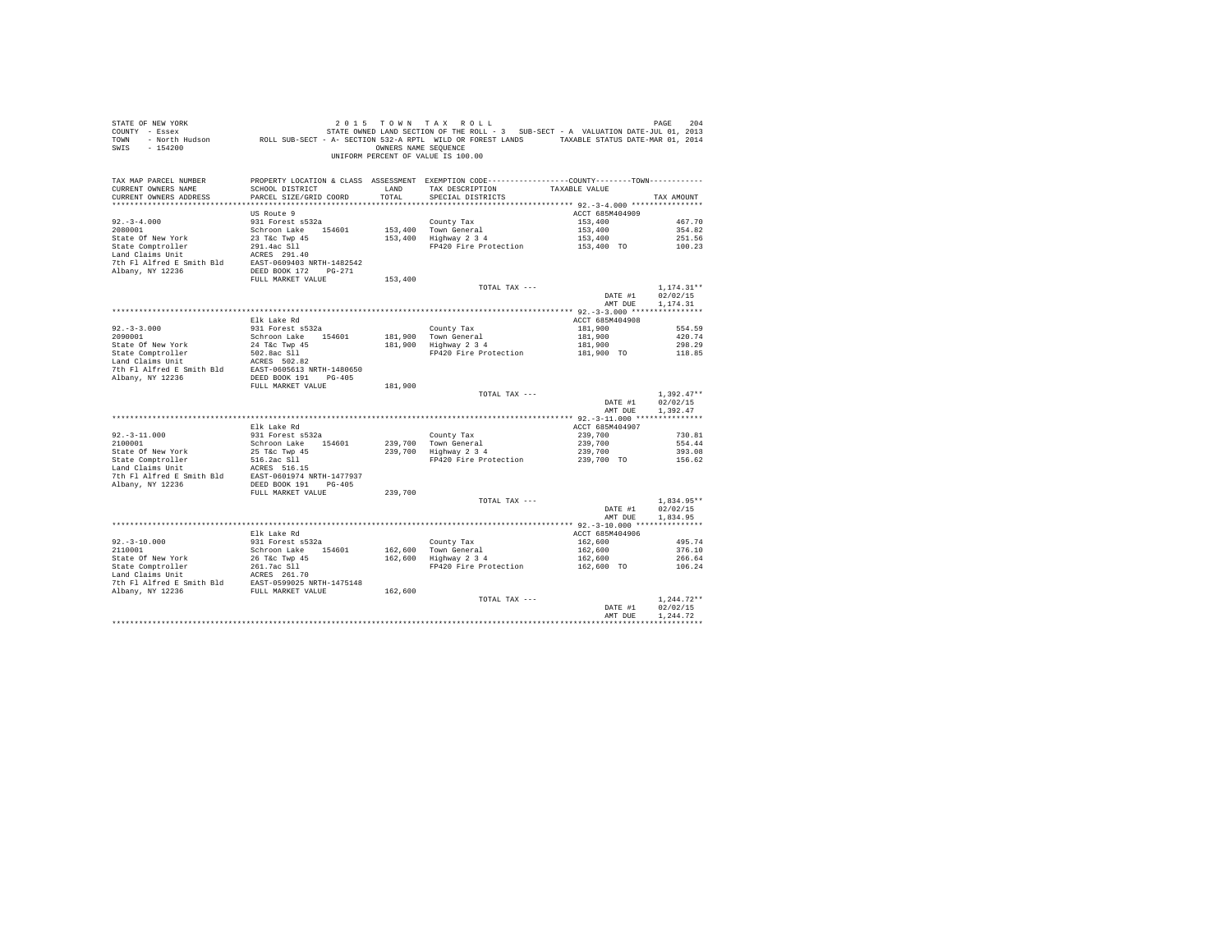| STATE OF NEW YORK<br>2011 - AN ATA E AU LI TAX KULL 7 AU DE TREAT AN AUSE DES 2014 PAGE 2014<br>COUNTY - Essex Mars - STATE OWNED LAND SECTION OF THE ROLL - 3 SUB-SECT - A VALUATION DATE-JUL 01, 2013<br>TOWN - North Hudson<br>SWIS - 154200 |                                                   | OWNERS NAME SEQUENCE | 2015 TOWN TAX ROLL<br>UNIFORM PERCENT OF VALUE IS 100.00                                                                                |                                  | PAGE<br>204  |
|-------------------------------------------------------------------------------------------------------------------------------------------------------------------------------------------------------------------------------------------------|---------------------------------------------------|----------------------|-----------------------------------------------------------------------------------------------------------------------------------------|----------------------------------|--------------|
| TAX MAP PARCEL NUMBER<br>CURRENT OWNERS NAME<br>CURRENT OWNERS ADDRESS                                                                                                                                                                          | SCHOOL DISTRICT<br>PARCEL SIZE/GRID COORD         | LAND<br>TOTAL        | PROPERTY LOCATION & CLASS ASSESSMENT EXEMPTION CODE----------------COUNTY--------TOWN----------<br>TAX DESCRIPTION<br>SPECIAL DISTRICTS | TAXABLE VALUE                    | TAX AMOUNT   |
|                                                                                                                                                                                                                                                 | US Route 9                                        |                      |                                                                                                                                         | ACCT 685M404909                  |              |
| $92. - 3 - 4.000$                                                                                                                                                                                                                               | 931 Forest s532a                                  |                      | County Tax                                                                                                                              | 153,400                          | 467.70       |
| 2080001                                                                                                                                                                                                                                         | Schroon Lake 154601                               |                      | 153.400 Town General                                                                                                                    | 153,400                          | 354.82       |
| State Of New York                                                                                                                                                                                                                               | 23 T&c Twp 45                                     |                      | 153,400 Town General<br>153,400 Highway 2 3 4                                                                                           | 153,400                          | 251.56       |
| State Comptroller<br>Land Claims Unit                                                                                                                                                                                                           | 291.4ac Sll                                       |                      | FP420 Fire Protection                                                                                                                   | 153,400 TO                       | 100.23       |
|                                                                                                                                                                                                                                                 | ACRES 291.40                                      |                      |                                                                                                                                         |                                  |              |
| 7th Fl Alfred E Smith Bld EAST-0609403 NRTH-1482542<br>Albany, NY 12236                                                                                                                                                                         |                                                   |                      |                                                                                                                                         |                                  |              |
|                                                                                                                                                                                                                                                 | FULL MARKET VALUE                                 | 153,400              |                                                                                                                                         |                                  |              |
|                                                                                                                                                                                                                                                 |                                                   |                      | TOTAL TAX ---                                                                                                                           |                                  | $1.174.31**$ |
|                                                                                                                                                                                                                                                 |                                                   |                      |                                                                                                                                         | DATE #1                          | 02/02/15     |
|                                                                                                                                                                                                                                                 |                                                   |                      |                                                                                                                                         | AMT DUE                          | 1,174.31     |
|                                                                                                                                                                                                                                                 | Elk Lake Rd                                       |                      |                                                                                                                                         | ACCT 685M404908                  |              |
|                                                                                                                                                                                                                                                 | 931 Forest s532a                                  |                      | County Tax                                                                                                                              | 181,900                          | 554.59       |
| $92.-3-3.000$<br>2090001                                                                                                                                                                                                                        | Schroon Lake 154601                               |                      |                                                                                                                                         | 181,900                          | 420.74       |
| State Of New York                                                                                                                                                                                                                               | $24$ T&c Twp $45$                                 |                      | County Tax<br>181,900 Town General<br>181,900 Highway 2 3 4                                                                             | 181,900                          | 298.29       |
| State Comptroller<br>Land Claims Unit                                                                                                                                                                                                           | 502.8ac Sll                                       |                      | FP420 Fire Protection                                                                                                                   | 181,900 TO                       | 118.85       |
|                                                                                                                                                                                                                                                 | ACRES 502.82                                      |                      |                                                                                                                                         |                                  |              |
| For the same of the smith Bld<br>The F1 Alfred E Smith Bld<br>BEED BOOK 191 PG-405                                                                                                                                                              |                                                   |                      |                                                                                                                                         |                                  |              |
|                                                                                                                                                                                                                                                 | FULL MARKET VALUE                                 | 181,900              |                                                                                                                                         |                                  |              |
|                                                                                                                                                                                                                                                 |                                                   |                      | TOTAL TAX ---                                                                                                                           |                                  | $1.392.47**$ |
|                                                                                                                                                                                                                                                 |                                                   |                      |                                                                                                                                         | DATE #1                          | 02/02/15     |
|                                                                                                                                                                                                                                                 |                                                   |                      |                                                                                                                                         | AMT DUE                          | 1,392.47     |
|                                                                                                                                                                                                                                                 | Elk Lake Rd                                       |                      |                                                                                                                                         | ACCT 685M404907                  |              |
| $92. -3 - 11.000$                                                                                                                                                                                                                               | 931 Forest s532a                                  |                      | County Tax                                                                                                                              | 239,700                          | 730.81       |
| 2100001                                                                                                                                                                                                                                         | Schroon Lake 154601                               |                      | 239.700 Town General                                                                                                                    | 239,700                          | 554.44       |
|                                                                                                                                                                                                                                                 | 25 T&C Twp 45                                     |                      | 239,700 Town General<br>239,700 Highway 2 3 4                                                                                           | 239,700                          | 393.08       |
| State Of New York<br>State Comptroller<br>Land Claims Unit                                                                                                                                                                                      | 516.2ac Sll                                       |                      | FP420 Fire Protection                                                                                                                   | 239,700 TO                       | 156.62       |
|                                                                                                                                                                                                                                                 | ACRES 516.15                                      |                      |                                                                                                                                         |                                  |              |
| 7th Fl Alfred E Smith Bld<br>Albany, NY 12236                                                                                                                                                                                                   | EAST-0601974 NRTH-1477937<br>DEED BOOK 191 PG-405 |                      |                                                                                                                                         |                                  |              |
|                                                                                                                                                                                                                                                 | FULL MARKET VALUE                                 | 239,700              |                                                                                                                                         |                                  |              |
|                                                                                                                                                                                                                                                 |                                                   |                      | TOTAL TAX ---                                                                                                                           |                                  | $1.834.95**$ |
|                                                                                                                                                                                                                                                 |                                                   |                      |                                                                                                                                         | DATE #1                          | 02/02/15     |
|                                                                                                                                                                                                                                                 |                                                   |                      |                                                                                                                                         | AMT DUE                          | 1.834.95     |
|                                                                                                                                                                                                                                                 |                                                   |                      |                                                                                                                                         | ACCT 685M404906                  |              |
|                                                                                                                                                                                                                                                 | Elk Lake Rd<br>931 Forest s532a                   |                      |                                                                                                                                         | 162,600                          | 495.74       |
| $92 - 3 - 10.000$<br>2110001                                                                                                                                                                                                                    | Schroon Lake 154601                               |                      |                                                                                                                                         | 162,600                          | 376.10       |
|                                                                                                                                                                                                                                                 |                                                   |                      | County Tax<br>162,600 Town General<br>162,600 Highway 2 3 4                                                                             | 162,600                          | 266.64       |
| State Of New Torm<br>State Comptroller                                                                                                                                                                                                          | 26 T&c Twp 45<br>261.7ac Sll<br>20DES 261.70      |                      | FP420 Fire Protection                                                                                                                   | 162,600 TO                       | 106.24       |
|                                                                                                                                                                                                                                                 | ACRES 261.70                                      |                      |                                                                                                                                         |                                  |              |
| 7th Fl Alfred E Smith Bld EAST-0599025 NRTH-1475148                                                                                                                                                                                             |                                                   |                      |                                                                                                                                         |                                  |              |
| Albany, NY 12236                                                                                                                                                                                                                                | FULL MARKET VALUE                                 | 162,600              | TOTAL TAX ---                                                                                                                           |                                  | $1.244.72**$ |
|                                                                                                                                                                                                                                                 |                                                   |                      |                                                                                                                                         | DATE #1                          | 02/02/15     |
|                                                                                                                                                                                                                                                 |                                                   |                      |                                                                                                                                         | AMT DUR                          | 1.244.72     |
|                                                                                                                                                                                                                                                 |                                                   |                      |                                                                                                                                         | ******************************** |              |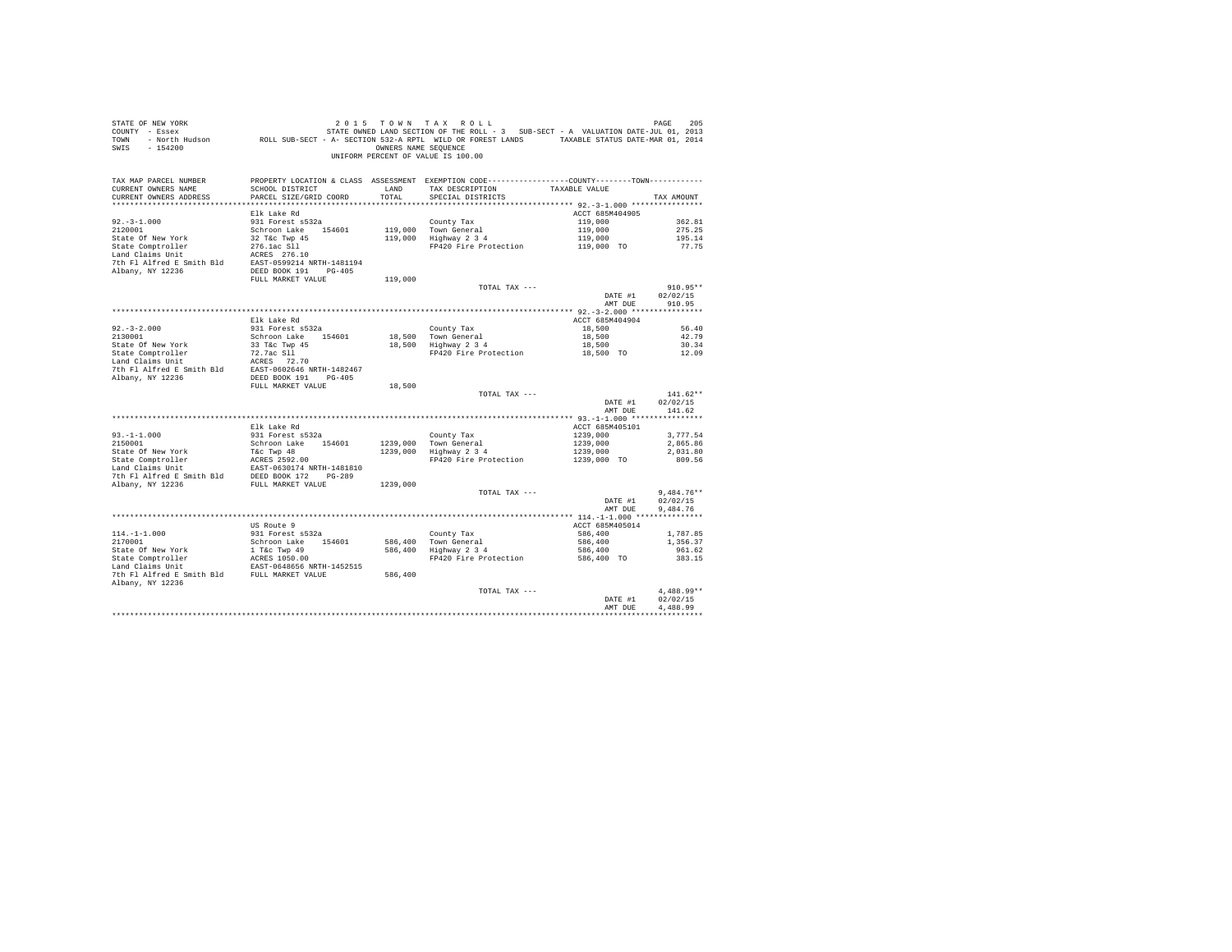| STATE OF NEW YORK<br>PAGE 2015 7 10 W TAX ROLL וואס און און א א א A TAX ROLL PAGE 2015 7 2015<br>COUNTY - Essex STATE OWNED LAND SECTION OF THE ROLL - 3 SUB-SECT - A VALUATION DATE-JUL 01, 2013<br>TOWN - North Hudson     ROLL SUB-SECT - A- SECTION<br>SWIS - 154200 |                                           |               | 2015 TOWN TAX ROLL<br>OWNERS NAME SEQUENCE<br>UNIFORM PERCENT OF VALUE IS 100.00                                                                                                                                                   |                            | PAGE<br>205              |
|--------------------------------------------------------------------------------------------------------------------------------------------------------------------------------------------------------------------------------------------------------------------------|-------------------------------------------|---------------|------------------------------------------------------------------------------------------------------------------------------------------------------------------------------------------------------------------------------------|----------------------------|--------------------------|
| TAX MAP PARCEL NUMBER<br>CURRENT OWNERS NAME<br>CURRENT OWNERS ADDRESS                                                                                                                                                                                                   | SCHOOL DISTRICT<br>PARCEL SIZE/GRID COORD | LAND<br>TOTAL | PROPERTY LOCATION & CLASS ASSESSMENT EXEMPTION CODE----------------COUNTY-------TOWN----------<br>TAX DESCRIPTION TAXABLE VALUE<br>SPECIAL DISTRICTS                                                                               |                            | TAX AMOUNT               |
|                                                                                                                                                                                                                                                                          |                                           |               |                                                                                                                                                                                                                                    |                            |                          |
| $92. -3 - 1.000$                                                                                                                                                                                                                                                         | Elk Lake Rd<br>931 Forest s532a           |               | County Tax                                                                                                                                                                                                                         | ACCT 685M404905<br>119,000 | 362.81                   |
| 2120001                                                                                                                                                                                                                                                                  | Schroon Lake 154601                       |               |                                                                                                                                                                                                                                    | 119,000                    | 275.25                   |
| State Of New York                                                                                                                                                                                                                                                        | 32 T&C Twp 45                             |               | 119,000 Town General<br>119,000 Highway 2 3 4                                                                                                                                                                                      |                            | 195.14                   |
| State Comptroller                                                                                                                                                                                                                                                        |                                           |               | FP420 Fire Protection                                                                                                                                                                                                              | 119,000<br>119,000 TO      | 77.75                    |
| Land Claims Unit                                                                                                                                                                                                                                                         | 276.1ac S11<br>ACRES 276.10               |               |                                                                                                                                                                                                                                    |                            |                          |
| 7th Fl Alfred E Smith Bld EAST-0599214 NRTH-1481194                                                                                                                                                                                                                      |                                           |               |                                                                                                                                                                                                                                    |                            |                          |
| Albany, NY 12236                                                                                                                                                                                                                                                         | DEED BOOK 191    PG-405                   |               |                                                                                                                                                                                                                                    |                            |                          |
|                                                                                                                                                                                                                                                                          | FULL MARKET VALUE                         | 119,000       |                                                                                                                                                                                                                                    |                            |                          |
|                                                                                                                                                                                                                                                                          |                                           |               | TOTAL TAX ---                                                                                                                                                                                                                      |                            | $910.95**$               |
|                                                                                                                                                                                                                                                                          |                                           |               |                                                                                                                                                                                                                                    | DATE #1<br>AMT DUE         | 02/02/15<br>910.95       |
|                                                                                                                                                                                                                                                                          |                                           |               |                                                                                                                                                                                                                                    |                            |                          |
|                                                                                                                                                                                                                                                                          | Elk Lake Rd                               |               |                                                                                                                                                                                                                                    | ACCT 685M404904            |                          |
|                                                                                                                                                                                                                                                                          | 931 Forest s532a                          |               |                                                                                                                                                                                                                                    | 18,500                     | 56.40                    |
| $92.-3-2.000$<br>2130001                                                                                                                                                                                                                                                 | Schroon Lake 154601                       |               |                                                                                                                                                                                                                                    | 18,500                     | 42.79                    |
|                                                                                                                                                                                                                                                                          |                                           |               | County Tax<br>18,500 Town General<br>18,500 Highway 2 3 4                                                                                                                                                                          | 18,500                     | 30.34                    |
|                                                                                                                                                                                                                                                                          |                                           |               | FP420 Fire Protection 18,500 TO                                                                                                                                                                                                    |                            | 12.09                    |
|                                                                                                                                                                                                                                                                          |                                           |               |                                                                                                                                                                                                                                    |                            |                          |
|                                                                                                                                                                                                                                                                          |                                           |               |                                                                                                                                                                                                                                    |                            |                          |
|                                                                                                                                                                                                                                                                          | FULL MARKET VALUE                         |               |                                                                                                                                                                                                                                    |                            |                          |
|                                                                                                                                                                                                                                                                          |                                           | 18,500        | TOTAL TAX ---                                                                                                                                                                                                                      |                            | $141.62**$               |
|                                                                                                                                                                                                                                                                          |                                           |               |                                                                                                                                                                                                                                    | DATE #1                    | 02/02/15                 |
|                                                                                                                                                                                                                                                                          |                                           |               |                                                                                                                                                                                                                                    | AMT DUE                    | 141.62                   |
|                                                                                                                                                                                                                                                                          |                                           |               |                                                                                                                                                                                                                                    |                            |                          |
|                                                                                                                                                                                                                                                                          | Elk Lake Rd                               |               |                                                                                                                                                                                                                                    | ACCT 685M405101            |                          |
| $93. -1 - 1.000$                                                                                                                                                                                                                                                         | 931 Forest s532a                          |               |                                                                                                                                                                                                                                    |                            | 3.777.54                 |
| 2150001                                                                                                                                                                                                                                                                  | Schroon Lake 154601                       |               | 1239,000 Town General<br>1239,000 Highway 2 3 4                                                                                                                                                                                    |                            | 2,865.86                 |
|                                                                                                                                                                                                                                                                          |                                           |               | $\begin{tabular}{lllllll} \multicolumn{2}{c}{\textbf{Country Tax}} & & & & 1239,000 \\ \textbf{Tom General} & & & 1239,000 \\ \textbf{Highway 2 3 4} & & 1239,000 \\ \textbf{FP420 Fire Protection} & & 1239,000 \\ \end{tabular}$ |                            | 2,031.80                 |
|                                                                                                                                                                                                                                                                          |                                           |               |                                                                                                                                                                                                                                    |                            | 809.56                   |
|                                                                                                                                                                                                                                                                          |                                           |               |                                                                                                                                                                                                                                    |                            |                          |
| 7th F1 Alfred E Smith Bld<br>2021 172 1842-289<br>2021 172 1842-289<br>2021 172 1842-289<br>2021 172 1842-289<br>2021 172 1842-289                                                                                                                                       |                                           | 1239,000      |                                                                                                                                                                                                                                    |                            |                          |
|                                                                                                                                                                                                                                                                          |                                           |               | TOTAL TAX ---                                                                                                                                                                                                                      |                            | $9,484.76**$             |
|                                                                                                                                                                                                                                                                          |                                           |               |                                                                                                                                                                                                                                    | DATE #1                    | 02/02/15                 |
|                                                                                                                                                                                                                                                                          |                                           |               |                                                                                                                                                                                                                                    | AMT DUE                    | 9,484.76                 |
|                                                                                                                                                                                                                                                                          |                                           |               |                                                                                                                                                                                                                                    |                            |                          |
|                                                                                                                                                                                                                                                                          | US Route 9                                |               |                                                                                                                                                                                                                                    | ACCT 685M405014            |                          |
| $114. -1 - 1.000$                                                                                                                                                                                                                                                        | 931 Forest s532a                          |               |                                                                                                                                                                                                                                    | 586,400                    | 1,787.85                 |
| 2170001                                                                                                                                                                                                                                                                  | Schroon Lake 154601                       |               | County Tax<br>586,400 Town General<br>586,400 Highway 2 3 4                                                                                                                                                                        | 586,400<br>586,400         | 1,356.37<br>961.62       |
|                                                                                                                                                                                                                                                                          |                                           |               | FP420 Fire Protection                                                                                                                                                                                                              | 586,400 TO                 | 383.15                   |
|                                                                                                                                                                                                                                                                          |                                           |               |                                                                                                                                                                                                                                    |                            |                          |
| 7th F1 Alfred E Smith B1d FULL MARKET VALUE                                                                                                                                                                                                                              |                                           | 586,400       |                                                                                                                                                                                                                                    |                            |                          |
| Albany, NY 12236                                                                                                                                                                                                                                                         |                                           |               |                                                                                                                                                                                                                                    |                            |                          |
|                                                                                                                                                                                                                                                                          |                                           |               | TOTAL TAX ---                                                                                                                                                                                                                      |                            | 4.488.99**               |
|                                                                                                                                                                                                                                                                          |                                           |               |                                                                                                                                                                                                                                    | DATE #1                    | 02/02/15                 |
|                                                                                                                                                                                                                                                                          |                                           |               |                                                                                                                                                                                                                                    | AMT DUE                    | 4.488.99<br>************ |
|                                                                                                                                                                                                                                                                          |                                           |               |                                                                                                                                                                                                                                    |                            |                          |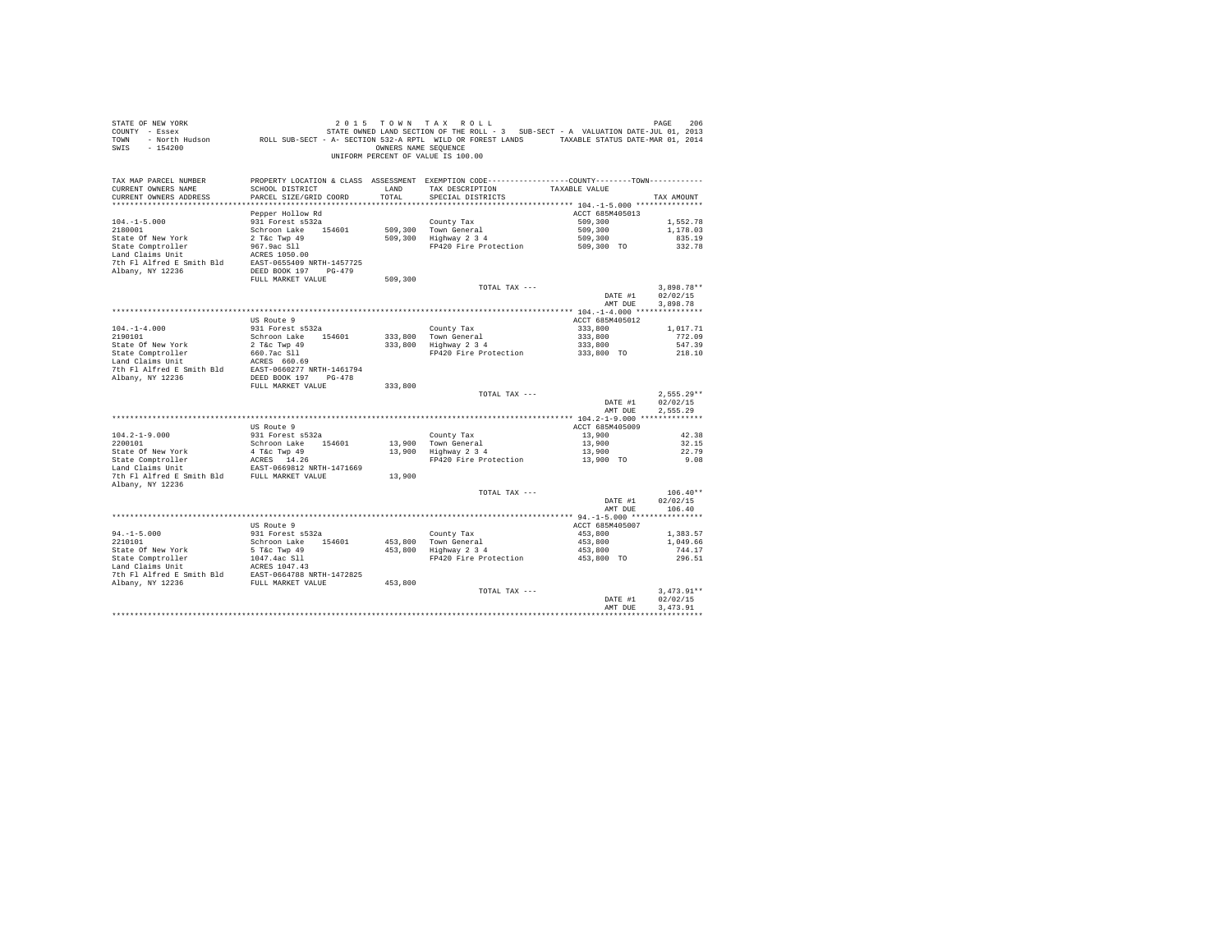| SWIS - 154200                                                                                                                                                |                                           |                  | OWNERS NAME SEOUENCE<br>UNIFORM PERCENT OF VALUE IS 100.00                                                                           |                        |                              |
|--------------------------------------------------------------------------------------------------------------------------------------------------------------|-------------------------------------------|------------------|--------------------------------------------------------------------------------------------------------------------------------------|------------------------|------------------------------|
| TAX MAP PARCEL NUMBER<br>CURRENT OWNERS NAME<br>CURRENT OWNERS ADDRESS                                                                                       | SCHOOL DISTRICT<br>PARCEL SIZE/GRID COORD | LAND<br>TOTAL TO | PROPERTY LOCATION & CLASS ASSESSMENT EXEMPTION CODE---------------COUNTY-------TOWN---------<br>TAX DESCRIPTION<br>SPECIAL DISTRICTS | TAXABLE VALUE          | TAX AMOUNT                   |
|                                                                                                                                                              | Pepper Hollow Rd                          |                  |                                                                                                                                      | ACCT 685M405013        |                              |
| $104. - 1 - 5.000$                                                                                                                                           | 931 Forest s532a                          |                  | County Tax                                                                                                                           | 509,300                | 1,552.78                     |
| 2180001                                                                                                                                                      | Schroon Lake 154601                       |                  | 509,300 Town General<br>509,300 Highway 2 3 4                                                                                        | 509,300                | 1,178.03                     |
|                                                                                                                                                              |                                           |                  |                                                                                                                                      | 509,300<br>509,300 TO  | 835.19                       |
|                                                                                                                                                              |                                           |                  | FP420 Fire Protection                                                                                                                |                        | 332.78                       |
|                                                                                                                                                              |                                           |                  |                                                                                                                                      |                        |                              |
|                                                                                                                                                              |                                           |                  |                                                                                                                                      |                        |                              |
|                                                                                                                                                              | FULL MARKET VALUE                         | 509,300          |                                                                                                                                      |                        |                              |
|                                                                                                                                                              |                                           |                  | TOTAL TAX ---                                                                                                                        |                        | $3,898.78**$                 |
|                                                                                                                                                              |                                           |                  |                                                                                                                                      | DATE #1                | 02/02/15                     |
|                                                                                                                                                              |                                           |                  |                                                                                                                                      | AMT DUE                | 3.898.78                     |
|                                                                                                                                                              |                                           |                  |                                                                                                                                      |                        |                              |
|                                                                                                                                                              | US Route 9                                |                  |                                                                                                                                      | ACCT 685M405012        |                              |
| $104. - 1 - 4.000$<br>2190101                                                                                                                                | 931 Forest s532a<br>Schroon Lake 154601   |                  |                                                                                                                                      |                        |                              |
|                                                                                                                                                              |                                           |                  | County Tax<br>333,800 Town General<br>333,800 Highway 2 3 4                                                                          |                        |                              |
|                                                                                                                                                              |                                           |                  |                                                                                                                                      |                        |                              |
|                                                                                                                                                              |                                           |                  |                                                                                                                                      |                        |                              |
|                                                                                                                                                              |                                           |                  |                                                                                                                                      |                        |                              |
|                                                                                                                                                              |                                           |                  |                                                                                                                                      |                        |                              |
|                                                                                                                                                              | FULL MARKET VALUE                         | 333,800          |                                                                                                                                      |                        |                              |
|                                                                                                                                                              |                                           |                  | TOTAL TAX ---                                                                                                                        |                        | $2.555.29**$                 |
|                                                                                                                                                              |                                           |                  |                                                                                                                                      | AMT DUE                | DATE #1 02/02/15<br>2.555.29 |
|                                                                                                                                                              |                                           |                  |                                                                                                                                      |                        |                              |
|                                                                                                                                                              | US Route 9                                |                  |                                                                                                                                      | ACCT 685M405009        |                              |
| $104.2 - 1 - 9.000$                                                                                                                                          | 931 Forest s532a                          |                  | County Tax                                                                                                                           | 13,900                 | 42.38                        |
| 2200101                                                                                                                                                      | Schroon Lake 154601                       |                  | 13,900 Town General<br>13,900 Highway 2 3 4                                                                                          | 13,900                 | 32.15                        |
|                                                                                                                                                              |                                           |                  |                                                                                                                                      | 13,900                 | 22.79                        |
|                                                                                                                                                              |                                           |                  | FP420 Fire Protection 13,900 TO                                                                                                      |                        | 9.08                         |
| State Of New York 4 Tac Twp 49<br>State Comptroller ACRES 14.26<br>Land Claims Unit REST-0669812 NRTH-1471669<br>7th Fl Alfred E Smith Bld FULL MARKET VALUE |                                           | 13,900           |                                                                                                                                      |                        |                              |
| Albany, NY 12236                                                                                                                                             |                                           |                  |                                                                                                                                      |                        |                              |
|                                                                                                                                                              |                                           |                  | TOTAL TAX ---                                                                                                                        |                        | $106.40**$                   |
|                                                                                                                                                              |                                           |                  |                                                                                                                                      | DATE #1                | 02/02/15                     |
|                                                                                                                                                              |                                           |                  |                                                                                                                                      | AMT DUE                | 106.40                       |
|                                                                                                                                                              |                                           |                  |                                                                                                                                      |                        |                              |
|                                                                                                                                                              | US Route 9                                |                  |                                                                                                                                      | ACCT 685M405007        |                              |
| $94. -1 - 5.000$<br>2210101                                                                                                                                  | 931 Forest s532a<br>Schroon Lake 154601   |                  |                                                                                                                                      | 453,800                | 1,383.57<br>1,049.66         |
|                                                                                                                                                              |                                           |                  | County Tax<br>453,800 Town General<br>453,800 Highway 2 3 4                                                                          | $453,800$<br>$453,800$ | 744.17                       |
|                                                                                                                                                              |                                           |                  | FP420 Fire Protection                                                                                                                | 453,800 TO             | 296.51                       |
|                                                                                                                                                              |                                           |                  |                                                                                                                                      |                        |                              |
|                                                                                                                                                              |                                           |                  |                                                                                                                                      |                        |                              |
|                                                                                                                                                              |                                           |                  |                                                                                                                                      |                        |                              |
|                                                                                                                                                              |                                           |                  | TOTAL TAX ---                                                                                                                        |                        | $3.473.91**$                 |
|                                                                                                                                                              |                                           |                  |                                                                                                                                      | DATE #1                | 02/02/15                     |
|                                                                                                                                                              |                                           |                  |                                                                                                                                      | AMT DUE                | 3.473.91                     |
|                                                                                                                                                              |                                           |                  |                                                                                                                                      |                        |                              |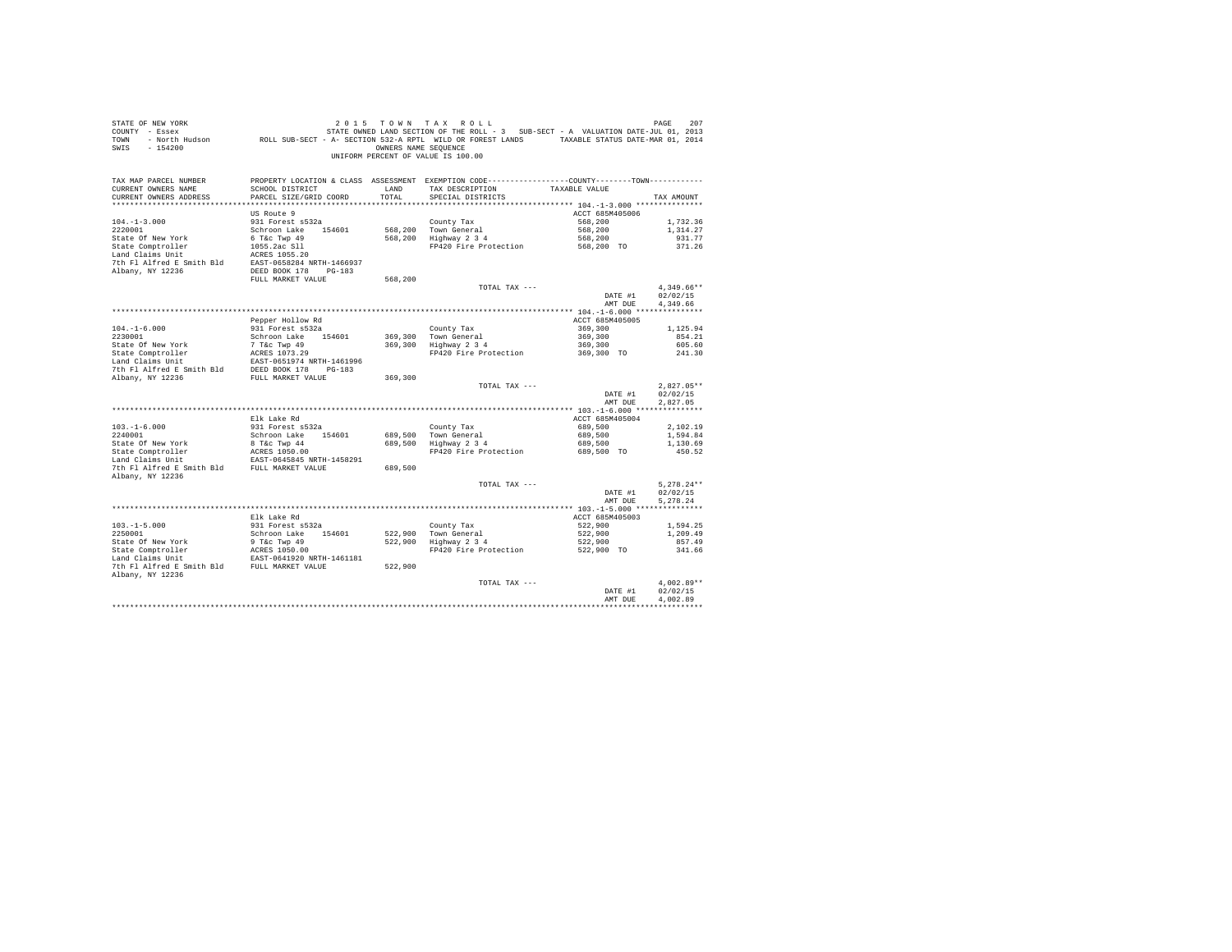| STATE OF NEW YORK<br>PAGE 7 2 U 1 5 T U W N T A X R U L L<br>COUNTY - Essex - STATE OWNED LAND SECTION OF THE ROLL - 3 SUB-SECT - A VALUATION DATE-JUL 01, 2013<br>TOWN - North Hudson - ROLL SUB-SECT - A-SECTION 532-A RPTL WILD OR FOREST LANDS - TAX<br>SWIS - 154200 |                                              | OWNERS NAME SEOUENCE | 2015 TOWN TAX ROLL<br>UNIFORM PERCENT OF VALUE IS 100.00                                                                                           |                            | PAGE<br>207              |
|---------------------------------------------------------------------------------------------------------------------------------------------------------------------------------------------------------------------------------------------------------------------------|----------------------------------------------|----------------------|----------------------------------------------------------------------------------------------------------------------------------------------------|----------------------------|--------------------------|
| TAX MAP PARCEL NUMBER<br>CURRENT OWNERS NAME<br>CURRENT OWNERS ADDRESS                                                                                                                                                                                                    | SCHOOL DISTRICT<br>PARCEL SIZE/GRID COORD    | LAND<br>TOTAL        | PROPERTY LOCATION & CLASS ASSESSMENT EXEMPTION CODE---------------COUNTY-------TOWN---------<br>TAX DESCRIPTION TAXABLE VALUE<br>SPECIAL DISTRICTS |                            | TAX AMOUNT               |
|                                                                                                                                                                                                                                                                           | US Route 9                                   |                      |                                                                                                                                                    | ACCT 685M405006            |                          |
| $104. -1 - 3.000$                                                                                                                                                                                                                                                         | 931 Forest s532a                             |                      |                                                                                                                                                    | 568,200                    | 1,732.36                 |
| 2220001                                                                                                                                                                                                                                                                   | Schroon Lake 154601                          |                      | County Tax<br>568,200 Town General<br>568,200 Highway 2 3 4                                                                                        | 568,200                    | 1,314,27                 |
| State Of New York                                                                                                                                                                                                                                                         |                                              |                      |                                                                                                                                                    | 568,200                    | 931.77                   |
| State Comptroller                                                                                                                                                                                                                                                         | 6 T&C Twp 49<br>1055.2ac S11<br>2055.2ac S11 |                      | FP420 Fire Protection                                                                                                                              | 568,200 TO                 | 371.26                   |
| Land Claims Unit<br>7th F1 Alfred E Smith Bld EAST-0658284 NRTH-1466937                                                                                                                                                                                                   |                                              |                      |                                                                                                                                                    |                            |                          |
| Albany, NY 12236                                                                                                                                                                                                                                                          | DEED BOOK 178 PG-183                         |                      |                                                                                                                                                    |                            |                          |
|                                                                                                                                                                                                                                                                           | FULL MARKET VALUE                            | 568,200              |                                                                                                                                                    |                            |                          |
|                                                                                                                                                                                                                                                                           |                                              |                      | TOTAL TAX ---                                                                                                                                      |                            | $4.349.66**$             |
|                                                                                                                                                                                                                                                                           |                                              |                      |                                                                                                                                                    | $\mathtt{DATE}~\#1$        | 02/02/15                 |
|                                                                                                                                                                                                                                                                           |                                              |                      |                                                                                                                                                    | AMT DUE                    | 4,349.66                 |
|                                                                                                                                                                                                                                                                           |                                              |                      |                                                                                                                                                    |                            |                          |
|                                                                                                                                                                                                                                                                           | Pepper Hollow Rd                             |                      |                                                                                                                                                    | ACCT 685M405005<br>369,300 |                          |
| $104. -1 - 6.000$<br>2230001                                                                                                                                                                                                                                              | 931 Forest s532a<br>Schroon Lake 154601      |                      | County Tax<br>369,300 Town General<br>369,300 Highway 2 3 4                                                                                        | 369,300                    | 1,125.94<br>854.21       |
| State Of New York                                                                                                                                                                                                                                                         |                                              |                      |                                                                                                                                                    | 369,300                    | 605.60                   |
|                                                                                                                                                                                                                                                                           |                                              |                      | FP420 Fire Protection                                                                                                                              | 369,300 TO                 | 241.30                   |
|                                                                                                                                                                                                                                                                           |                                              |                      |                                                                                                                                                    |                            |                          |
| 7th Fl Alfred E Smith Bld DEED BOOK 178 PG-183                                                                                                                                                                                                                            |                                              |                      |                                                                                                                                                    |                            |                          |
| Albany, NY 12236                                                                                                                                                                                                                                                          | FULL MARKET VALUE                            | 369,300              |                                                                                                                                                    |                            |                          |
|                                                                                                                                                                                                                                                                           |                                              |                      | TOTAL TAX ---                                                                                                                                      | DATE #1                    | $2.827.05**$<br>02/02/15 |
|                                                                                                                                                                                                                                                                           |                                              |                      |                                                                                                                                                    | AMT DUE                    | 2.827.05                 |
|                                                                                                                                                                                                                                                                           |                                              |                      |                                                                                                                                                    |                            |                          |
|                                                                                                                                                                                                                                                                           | Elk Lake Rd                                  |                      |                                                                                                                                                    | ACCT 685M405004            |                          |
| $103.-1-6.000$<br>$2240001$                                                                                                                                                                                                                                               | 931 Forest s532a                             |                      | County Tax<br>689,500 Town General<br>689,500 Highway 2 3 4                                                                                        | 689,500                    | 2,102.19                 |
|                                                                                                                                                                                                                                                                           | Schroon Lake 154601                          |                      |                                                                                                                                                    | 689,500                    | 1,594.84                 |
| State Of New York                                                                                                                                                                                                                                                         | 8 T&C Twp 44                                 |                      | FP420 Fire Protection                                                                                                                              | 689,500                    | 1,130.69                 |
|                                                                                                                                                                                                                                                                           |                                              |                      |                                                                                                                                                    | 689,500 TO                 | 450.52                   |
|                                                                                                                                                                                                                                                                           |                                              |                      |                                                                                                                                                    |                            |                          |
| Albany, NY 12236                                                                                                                                                                                                                                                          |                                              |                      |                                                                                                                                                    |                            |                          |
|                                                                                                                                                                                                                                                                           |                                              |                      | TOTAL TAX ---                                                                                                                                      |                            | $5.278.24**$             |
|                                                                                                                                                                                                                                                                           |                                              |                      |                                                                                                                                                    | DATE #1                    | 02/02/15                 |
|                                                                                                                                                                                                                                                                           |                                              |                      |                                                                                                                                                    | AMT DUE                    | 5.278.24                 |
|                                                                                                                                                                                                                                                                           | Elk Lake Rd                                  |                      |                                                                                                                                                    | ACCT 685M405003            |                          |
| $103. -1 - 5.000$                                                                                                                                                                                                                                                         | 931 Forest s532a                             |                      |                                                                                                                                                    | 522,900                    | 1,594.25                 |
| 2250001                                                                                                                                                                                                                                                                   | Schroon Lake 154601                          |                      |                                                                                                                                                    |                            | 1,209.49                 |
|                                                                                                                                                                                                                                                                           |                                              |                      | County Tax<br>522,900 Town General<br>522,900 Highway 2 3 4                                                                                        | 522,900<br>522,900         | 857.49                   |
|                                                                                                                                                                                                                                                                           |                                              |                      | FP420 Fire Protection                                                                                                                              | 522,900 TO                 | 341.66                   |
|                                                                                                                                                                                                                                                                           |                                              |                      |                                                                                                                                                    |                            |                          |
| 7th Fl Alfred E Smith Bld FULL MARKET VALUE<br>Albany, NY 12236                                                                                                                                                                                                           |                                              | 522,900              |                                                                                                                                                    |                            |                          |
|                                                                                                                                                                                                                                                                           |                                              |                      | TOTAL TAX ---                                                                                                                                      |                            | $4.002.89**$             |
|                                                                                                                                                                                                                                                                           |                                              |                      |                                                                                                                                                    | DATE #1                    | 02/02/15                 |
|                                                                                                                                                                                                                                                                           |                                              |                      |                                                                                                                                                    | AMT DUE                    | 4.002.89                 |
|                                                                                                                                                                                                                                                                           |                                              |                      |                                                                                                                                                    |                            | *************            |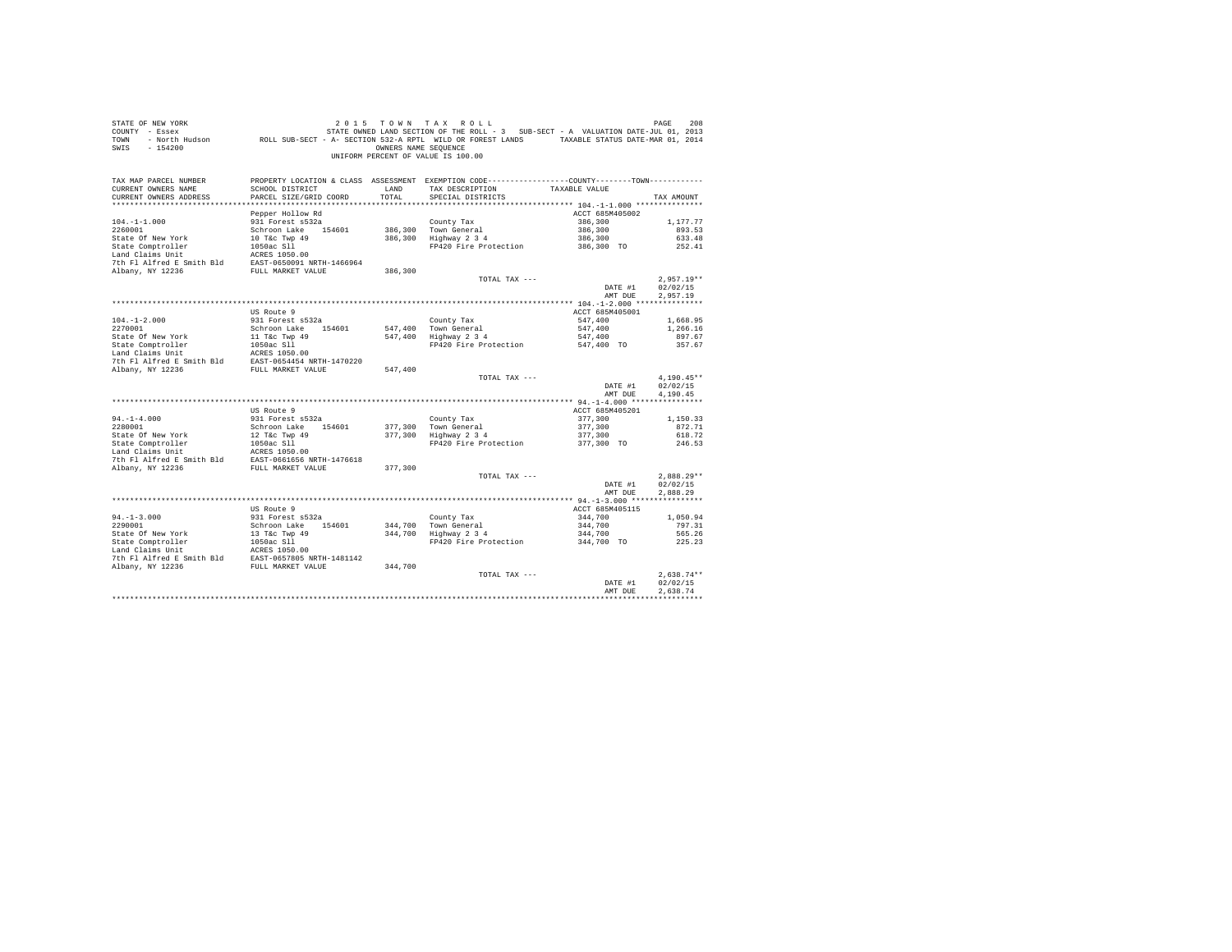| STATE OF NEW YORK<br>COUNTY - Essex<br>TOWN<br>$-154200$<br>SWIS                                                                                                                                                                                                                                                                                                                                                                                                | DE RAGE 200 בDAGE 200 בDAGE 200 בDAGE 201 1 1 10 AM TAX ROLL<br>- Essex STATE OWNED LAND SECTION OF THE ROLL 1 3 SUB-SECT - A VALUATION DATE-JUL 01, 2013<br>- North Hudson     ROLL SUB-SECT - A - SECTION 532-A RPTL WILD OR FORE | OWNERS NAME SEOUENCE | 2015 TOWN TAX ROLL<br>UNIFORM PERCENT OF VALUE IS 100.00                                                                                             |                       | PAGE<br>208      |
|-----------------------------------------------------------------------------------------------------------------------------------------------------------------------------------------------------------------------------------------------------------------------------------------------------------------------------------------------------------------------------------------------------------------------------------------------------------------|-------------------------------------------------------------------------------------------------------------------------------------------------------------------------------------------------------------------------------------|----------------------|------------------------------------------------------------------------------------------------------------------------------------------------------|-----------------------|------------------|
| TAX MAP PARCEL NUMBER<br>CURRENT OWNERS NAME<br>CURRENT OWNERS ADDRESS                                                                                                                                                                                                                                                                                                                                                                                          | SCHOOL DISTRICT<br>PARCEL SIZE/GRID COORD                                                                                                                                                                                           | LAND<br>TOTAL        | PROPERTY LOCATION & CLASS ASSESSMENT EXEMPTION CODE----------------COUNTY-------TOWN----------<br>TAX DESCRIPTION TAXABLE VALUE<br>SPECIAL DISTRICTS |                       | TAX AMOUNT       |
|                                                                                                                                                                                                                                                                                                                                                                                                                                                                 |                                                                                                                                                                                                                                     |                      |                                                                                                                                                      |                       |                  |
|                                                                                                                                                                                                                                                                                                                                                                                                                                                                 | Pepper Hollow Rd                                                                                                                                                                                                                    |                      |                                                                                                                                                      | ACCT 685M405002       |                  |
| $104. -1 - 1.000$                                                                                                                                                                                                                                                                                                                                                                                                                                               | 931 Forest s532a                                                                                                                                                                                                                    |                      | County Tax                                                                                                                                           | 386,300               | 1,177.77         |
|                                                                                                                                                                                                                                                                                                                                                                                                                                                                 | Schroon Lake 154601                                                                                                                                                                                                                 |                      | 386,300 Town General<br>$386,300$ Highway $2\,3\,4$                                                                                                  | 386,300<br>386,300    | 893.53<br>633.48 |
| $\begin{tabular}{lllllllllll} \multicolumn{2}{c}{\textbf{State} & \textbf{comptroller} & \textbf{194601} & \textbf{184601} \\ \multicolumn{2}{c}{\textbf{State} & \textbf{Comptroller} & \textbf{1052} & \textbf{Type 49} \\ \textbf{Land Clains Unit} & \textbf{1050ac S11} & & & \\ \multicolumn{2}{c}{\textbf{Total Cialms} & \textbf{Time} & \textbf{1050ac S11} & \textbf{1050} \\ \multicolumn{2}{c}{\textbf{The PL Alfræd in} & \textbf{1050} & \textbf$ |                                                                                                                                                                                                                                     |                      | FP420 Fire Protection 386,300 TO                                                                                                                     |                       | 252.41           |
|                                                                                                                                                                                                                                                                                                                                                                                                                                                                 |                                                                                                                                                                                                                                     |                      |                                                                                                                                                      |                       |                  |
| 7th Fl Alfred E Smith Bld EAST-0650091 NRTH-1466964                                                                                                                                                                                                                                                                                                                                                                                                             |                                                                                                                                                                                                                                     |                      |                                                                                                                                                      |                       |                  |
| Albany, NY 12236                                                                                                                                                                                                                                                                                                                                                                                                                                                | FULL MARKET VALUE                                                                                                                                                                                                                   | 386,300              |                                                                                                                                                      |                       |                  |
|                                                                                                                                                                                                                                                                                                                                                                                                                                                                 |                                                                                                                                                                                                                                     |                      | TOTAL TAX ---                                                                                                                                        |                       | $2.957.19**$     |
|                                                                                                                                                                                                                                                                                                                                                                                                                                                                 |                                                                                                                                                                                                                                     |                      |                                                                                                                                                      | DATE #1               | 02/02/15         |
|                                                                                                                                                                                                                                                                                                                                                                                                                                                                 |                                                                                                                                                                                                                                     |                      |                                                                                                                                                      | AMT DUE               | 2,957.19         |
|                                                                                                                                                                                                                                                                                                                                                                                                                                                                 | US Route 9                                                                                                                                                                                                                          |                      |                                                                                                                                                      | ACCT 685M405001       |                  |
| $104. - 1 - 2.000$                                                                                                                                                                                                                                                                                                                                                                                                                                              | 931 Forest s532a                                                                                                                                                                                                                    |                      | County Tax                                                                                                                                           | 547,400               | 1,668.95         |
| 2270001                                                                                                                                                                                                                                                                                                                                                                                                                                                         | Schroon Lake 154601                                                                                                                                                                                                                 |                      |                                                                                                                                                      | 547,400               | 1,266.16         |
|                                                                                                                                                                                                                                                                                                                                                                                                                                                                 |                                                                                                                                                                                                                                     |                      | 547,400 Town General<br>547,400 Highway 2 3 4                                                                                                        | 547,400               | 897.67           |
|                                                                                                                                                                                                                                                                                                                                                                                                                                                                 |                                                                                                                                                                                                                                     |                      | FP420 Fire Protection 547,400 TO                                                                                                                     |                       | 357.67           |
|                                                                                                                                                                                                                                                                                                                                                                                                                                                                 |                                                                                                                                                                                                                                     |                      |                                                                                                                                                      |                       |                  |
|                                                                                                                                                                                                                                                                                                                                                                                                                                                                 |                                                                                                                                                                                                                                     |                      |                                                                                                                                                      |                       |                  |
|                                                                                                                                                                                                                                                                                                                                                                                                                                                                 |                                                                                                                                                                                                                                     | 547,400              |                                                                                                                                                      |                       | $4,190.45**$     |
|                                                                                                                                                                                                                                                                                                                                                                                                                                                                 |                                                                                                                                                                                                                                     |                      | TOTAL TAX ---                                                                                                                                        | DATE #1               | 02/02/15         |
|                                                                                                                                                                                                                                                                                                                                                                                                                                                                 |                                                                                                                                                                                                                                     |                      |                                                                                                                                                      | AMT DUE               | 4,190.45         |
|                                                                                                                                                                                                                                                                                                                                                                                                                                                                 | US Route 9                                                                                                                                                                                                                          |                      |                                                                                                                                                      | ACCT 685M405201       |                  |
| $94. -1 - 4.000$                                                                                                                                                                                                                                                                                                                                                                                                                                                | 931 Forest s532a                                                                                                                                                                                                                    |                      | County Tax                                                                                                                                           | 377,300               | 1,150.33         |
| 2280001                                                                                                                                                                                                                                                                                                                                                                                                                                                         | Schroon Lake 154601                                                                                                                                                                                                                 |                      | 377.300 Town General                                                                                                                                 | 377,300               | 872.71           |
|                                                                                                                                                                                                                                                                                                                                                                                                                                                                 |                                                                                                                                                                                                                                     |                      | $377,300$ iown General<br>$377,300$ Highway 2 3 4                                                                                                    | 377,300               | 618.72           |
| 2280001<br>State Of New York<br>State Comptroller                                                                                                                                                                                                                                                                                                                                                                                                               | 12 T&C Twp 49<br>1050ac S11                                                                                                                                                                                                         |                      | FP420 Fire Protection 377,300 TO                                                                                                                     |                       | 246.53           |
| $\begin{tabular}{llll} \texttt{Land Claus Unit} & \texttt{ACRES 1050.00} \\ \texttt{7th Fl Alfred E Smith Bd} & \texttt{EAST-0661656 NRTH-1476618} \end{tabular}$                                                                                                                                                                                                                                                                                               |                                                                                                                                                                                                                                     |                      |                                                                                                                                                      |                       |                  |
|                                                                                                                                                                                                                                                                                                                                                                                                                                                                 |                                                                                                                                                                                                                                     |                      |                                                                                                                                                      |                       |                  |
| Albany, NY 12236                                                                                                                                                                                                                                                                                                                                                                                                                                                | FULL MARKET VALUE                                                                                                                                                                                                                   | 377,300              | TOTAL TAX ---                                                                                                                                        |                       | $2.888.29**$     |
|                                                                                                                                                                                                                                                                                                                                                                                                                                                                 |                                                                                                                                                                                                                                     |                      |                                                                                                                                                      | DATE #1               | 02/02/15         |
|                                                                                                                                                                                                                                                                                                                                                                                                                                                                 |                                                                                                                                                                                                                                     |                      |                                                                                                                                                      | AMT DUE               | 2.888.29         |
|                                                                                                                                                                                                                                                                                                                                                                                                                                                                 |                                                                                                                                                                                                                                     |                      |                                                                                                                                                      |                       |                  |
|                                                                                                                                                                                                                                                                                                                                                                                                                                                                 | US Route 9                                                                                                                                                                                                                          |                      |                                                                                                                                                      | ACCT 685M405115       |                  |
| $94. -1 - 3.000$                                                                                                                                                                                                                                                                                                                                                                                                                                                | 931 Forest s532a                                                                                                                                                                                                                    |                      | County Tax                                                                                                                                           | 344,700               | 1,050.94         |
| 2290001                                                                                                                                                                                                                                                                                                                                                                                                                                                         | Schroon Lake 154601                                                                                                                                                                                                                 |                      | 344,700 Town General<br>344,700 Highway 2 3 4                                                                                                        | 344,700               | 797.31           |
|                                                                                                                                                                                                                                                                                                                                                                                                                                                                 |                                                                                                                                                                                                                                     |                      |                                                                                                                                                      | 344,700<br>344,700 TO | 565.26           |
|                                                                                                                                                                                                                                                                                                                                                                                                                                                                 |                                                                                                                                                                                                                                     |                      | FP420 Fire Protection                                                                                                                                |                       | 225.23           |
|                                                                                                                                                                                                                                                                                                                                                                                                                                                                 |                                                                                                                                                                                                                                     |                      |                                                                                                                                                      |                       |                  |
|                                                                                                                                                                                                                                                                                                                                                                                                                                                                 |                                                                                                                                                                                                                                     |                      |                                                                                                                                                      |                       |                  |
|                                                                                                                                                                                                                                                                                                                                                                                                                                                                 |                                                                                                                                                                                                                                     |                      | TOTAL TAX ---                                                                                                                                        |                       | $2.638.74**$     |
|                                                                                                                                                                                                                                                                                                                                                                                                                                                                 |                                                                                                                                                                                                                                     |                      |                                                                                                                                                      | DATE #1               | 02/02/15         |
|                                                                                                                                                                                                                                                                                                                                                                                                                                                                 |                                                                                                                                                                                                                                     |                      |                                                                                                                                                      | AMT DUE               | 2.638.74         |
|                                                                                                                                                                                                                                                                                                                                                                                                                                                                 |                                                                                                                                                                                                                                     |                      |                                                                                                                                                      |                       |                  |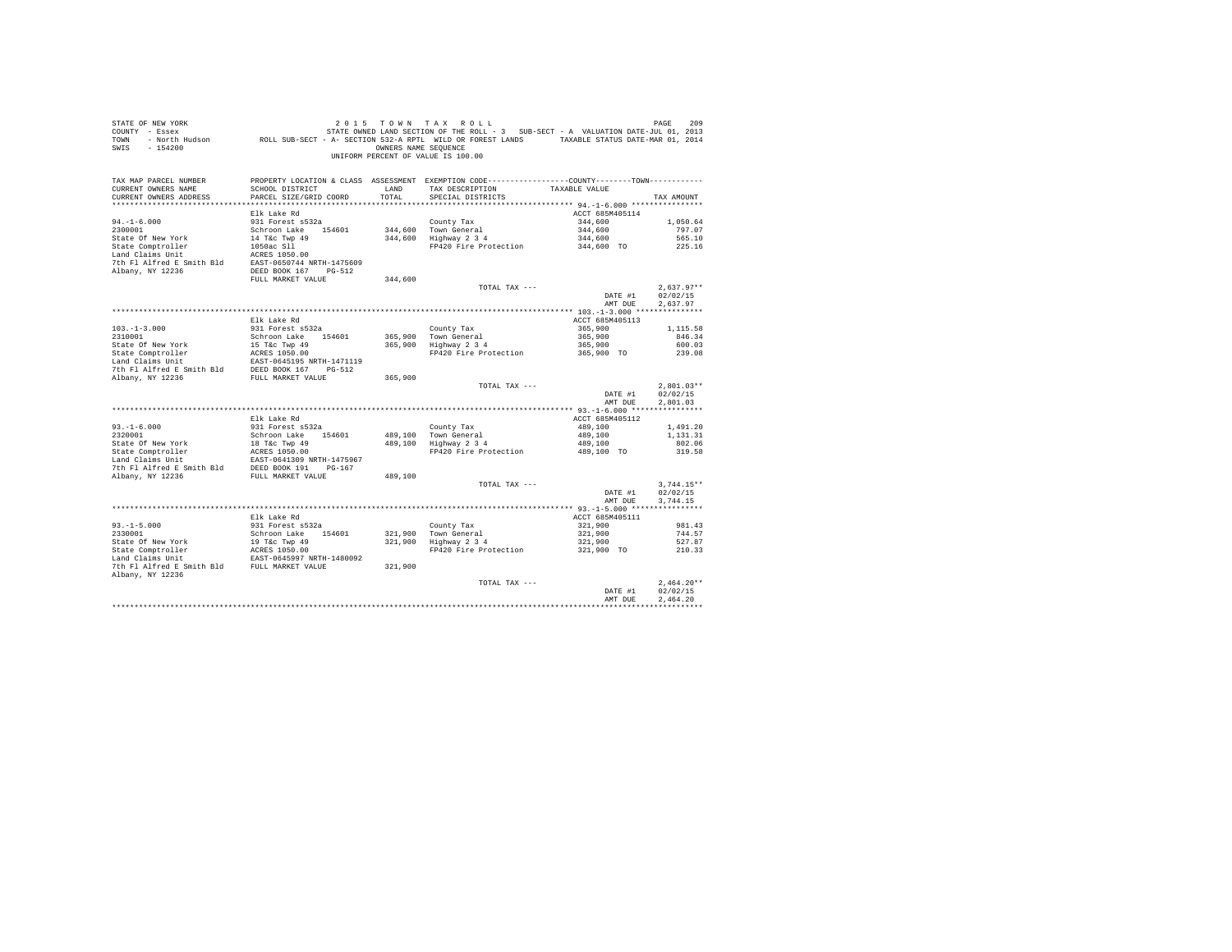| STATE OF NEW YORK<br>SWIS - 154200                                                                                                                                                                |                                           |               | 2015 TOWN TAX ROLL<br>OWNERS NAME SEQUENCE<br>UNIFORM PERCENT OF VALUE IS 100.00                                                                   |                                  | PAGE<br>209          |
|---------------------------------------------------------------------------------------------------------------------------------------------------------------------------------------------------|-------------------------------------------|---------------|----------------------------------------------------------------------------------------------------------------------------------------------------|----------------------------------|----------------------|
| TAX MAP PARCEL NUMBER<br>CURRENT OWNERS NAME<br>CURRENT OWNERS ADDRESS                                                                                                                            | SCHOOL DISTRICT<br>PARCEL SIZE/GRID COORD | LAND<br>TOTAL | PROPERTY LOCATION & CLASS ASSESSMENT EXEMPTION CODE---------------COUNTY-------TOWN---------<br>TAX DESCRIPTION TAXABLE VALUE<br>SPECIAL DISTRICTS |                                  | TAX AMOUNT           |
|                                                                                                                                                                                                   |                                           |               |                                                                                                                                                    |                                  |                      |
|                                                                                                                                                                                                   | Elk Lake Rd                               |               |                                                                                                                                                    | ACCT 685M405114                  |                      |
| $94. -1 - 6.000$<br>2300001                                                                                                                                                                       | 931 Forest s532a                          |               | County Tax<br>344,600 Town General<br>344,600 Highway 2 3 4                                                                                        | 344,600                          | 1,050.64             |
|                                                                                                                                                                                                   | Schroon Lake 154601                       |               |                                                                                                                                                    | 344,600<br>344,600               | 797.07<br>565.10     |
|                                                                                                                                                                                                   |                                           |               | FP420 Fire Protection 344,600 TO                                                                                                                   |                                  | 225.16               |
| State Of New York<br>14 T&c Twp 49<br>State Comptroller<br>1050ac S11<br>Land Claims Unit<br>2CRES 1050.00                                                                                        |                                           |               |                                                                                                                                                    |                                  |                      |
| 7th F1 Alfred E Smith Bld EAST-0650744 NRTH-1475609                                                                                                                                               |                                           |               |                                                                                                                                                    |                                  |                      |
| Albany, NY 12236                                                                                                                                                                                  | DEED BOOK 167 PG-512                      |               |                                                                                                                                                    |                                  |                      |
|                                                                                                                                                                                                   | FULL MARKET VALUE                         | 344,600       |                                                                                                                                                    |                                  |                      |
|                                                                                                                                                                                                   |                                           |               | TOTAL TAX ---                                                                                                                                      |                                  | $2.637.97**$         |
|                                                                                                                                                                                                   |                                           |               |                                                                                                                                                    | DATE #1                          | 02/02/15             |
|                                                                                                                                                                                                   |                                           |               |                                                                                                                                                    | AMT DUE                          | 2,637.97             |
|                                                                                                                                                                                                   |                                           |               |                                                                                                                                                    |                                  |                      |
|                                                                                                                                                                                                   | Elk Lake Rd<br>931 Forest s532a           |               |                                                                                                                                                    | ACCT 685M405113                  |                      |
| $103.-1-3.000$<br>$2310001$                                                                                                                                                                       | Schroon Lake 154601                       |               | County Tax<br>365,900 Town General<br>365,900 Highway 2 3 4                                                                                        | 365,900                          | 1,115.58<br>846.34   |
|                                                                                                                                                                                                   |                                           |               | Town General 265,900<br>Highway 2 3 4 265,900<br>FP420 Fire Protection 265,900 TO                                                                  |                                  | 600.03               |
|                                                                                                                                                                                                   |                                           |               |                                                                                                                                                    |                                  | 239.08               |
|                                                                                                                                                                                                   |                                           |               |                                                                                                                                                    |                                  |                      |
| State of New York 15 Tac Twp 49<br>State Comptroller 15 Tac Twp 49<br>14 Land Claims Unit 16 ERST 1050.00<br>16 Tac Twp 49<br>The The Right Smith Bld DEED BOOK 167 PG-512                        |                                           |               |                                                                                                                                                    |                                  |                      |
| Albany, NY 12236                                                                                                                                                                                  | FULL MARKET VALUE                         | 365,900       |                                                                                                                                                    |                                  |                      |
|                                                                                                                                                                                                   |                                           |               | TOTAL TAX ---                                                                                                                                      |                                  | $2.801.03**$         |
|                                                                                                                                                                                                   |                                           |               |                                                                                                                                                    | DATE #1                          | 02/02/15             |
|                                                                                                                                                                                                   |                                           |               |                                                                                                                                                    | AMT DUE                          | 2.801.03             |
|                                                                                                                                                                                                   |                                           |               |                                                                                                                                                    |                                  |                      |
|                                                                                                                                                                                                   | Elk Lake Rd                               |               |                                                                                                                                                    | ACCT 685M405112                  |                      |
| $93. -1 - 6.000$<br>$2320001$                                                                                                                                                                     | 931 Forest s532a                          |               | County Tax<br>489,100 Town General<br>489,100 Highway 2 3 4                                                                                        | 489,100<br>489,100<br>489,100    | 1,491.20<br>1,131.31 |
|                                                                                                                                                                                                   |                                           |               |                                                                                                                                                    |                                  | 802.06               |
|                                                                                                                                                                                                   |                                           |               | FP420 Fire Protection                                                                                                                              | 489,100 TO                       | 319.58               |
| 2320001<br>Schroom Lake 154601<br>State Of New York<br>18 Tac Tay 49<br>Schroom Lake 154601<br>2018<br>2020101<br>2020101<br>2020101<br>2020101<br>2020101<br>2020101<br>202011309<br>20211475967 |                                           |               |                                                                                                                                                    |                                  |                      |
| Land Claims Unit<br>The Fl Alfred E Smith Bld DEED BOOK 191 PG-167                                                                                                                                |                                           |               |                                                                                                                                                    |                                  |                      |
| Albany, NY 12236                                                                                                                                                                                  | FULL MARKET VALUE                         | 489,100       |                                                                                                                                                    |                                  |                      |
|                                                                                                                                                                                                   |                                           |               | TOTAL TAX ---                                                                                                                                      |                                  | $3.744.15**$         |
|                                                                                                                                                                                                   |                                           |               |                                                                                                                                                    | DATE #1                          | 02/02/15             |
|                                                                                                                                                                                                   |                                           |               |                                                                                                                                                    | AMT DUE                          | 3.744.15             |
|                                                                                                                                                                                                   |                                           |               |                                                                                                                                                    |                                  |                      |
|                                                                                                                                                                                                   | Elk Lake Rd<br>931 Forest s532a           |               |                                                                                                                                                    | ACCT 685M405111<br>321,900       | 981.43               |
| $93. -1 - 5.000$<br>2330001                                                                                                                                                                       | Schroon Lake 154601                       |               |                                                                                                                                                    |                                  | 744.57               |
| State Of New York<br>State Comptroller<br>19 T&C Twp 49<br>Land Claims Unit<br>EAST-0645997 NRTH-1480092                                                                                          |                                           |               | County Tax<br>321,900 Town General<br>321,900 Highway 2 3 4                                                                                        | 321,900<br>321,900<br>321,900 TO | 527.87               |
|                                                                                                                                                                                                   |                                           |               | FP420 Fire Protection                                                                                                                              |                                  | 210.33               |
|                                                                                                                                                                                                   |                                           |               |                                                                                                                                                    |                                  |                      |
| 7th F1 Alfred E Smith Bld FULL MARKET VALUE                                                                                                                                                       |                                           | 321,900       |                                                                                                                                                    |                                  |                      |
| Albany, NY 12236                                                                                                                                                                                  |                                           |               |                                                                                                                                                    |                                  |                      |
|                                                                                                                                                                                                   |                                           |               | TOTAL TAX ---                                                                                                                                      |                                  | $2.464.20**$         |
|                                                                                                                                                                                                   |                                           |               |                                                                                                                                                    | DATE #1                          | 02/02/15             |
|                                                                                                                                                                                                   |                                           |               |                                                                                                                                                    | AMT DUE                          | 2.464.20             |
|                                                                                                                                                                                                   |                                           |               |                                                                                                                                                    |                                  |                      |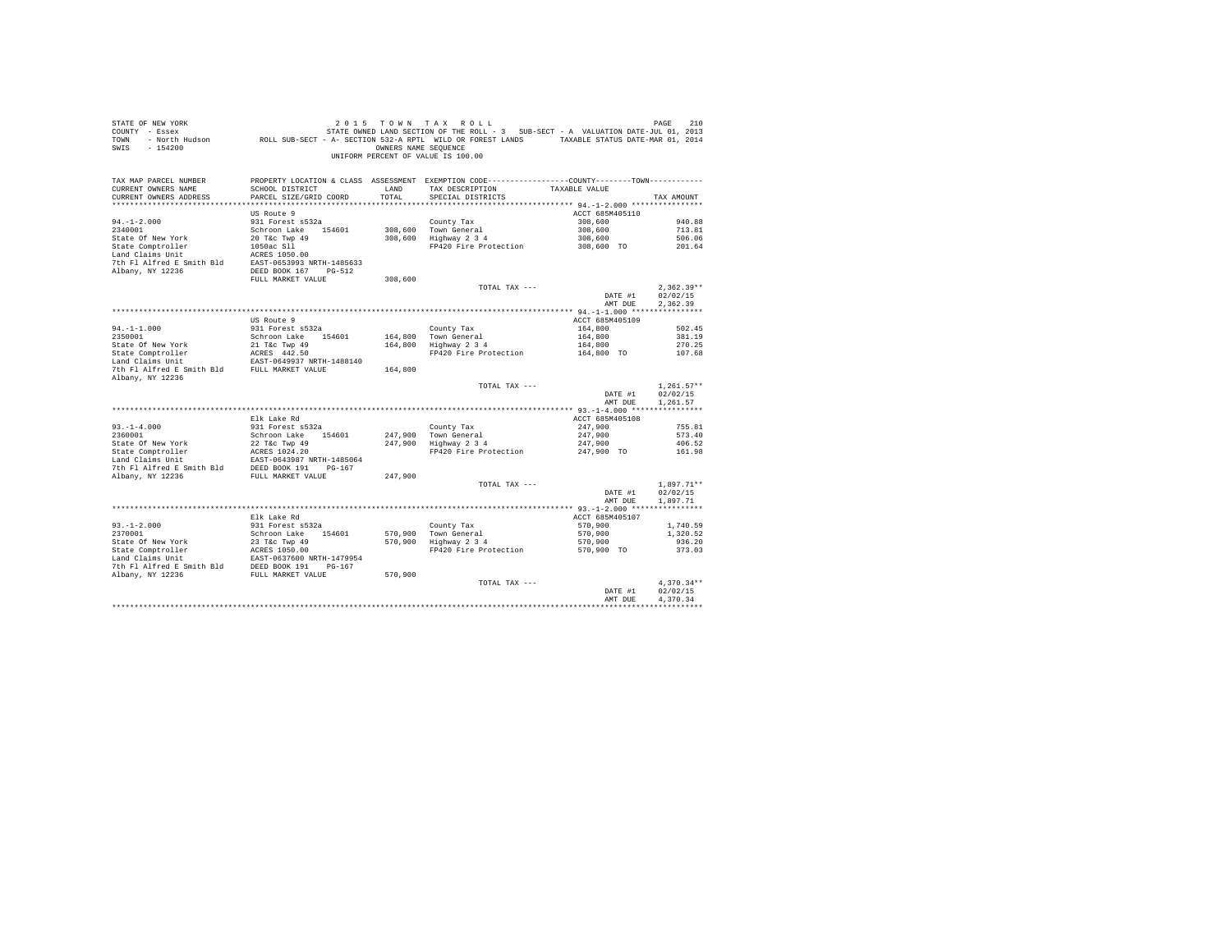| STATE OF NEW YORK<br>2015 7 OWN TAX ROLL PAGE PAGE 210<br>COUNTY - Essex - STATE OWNED LAND SECTION OF THE ROLL - 3 SUB-SECT - A VALUATION DATE-JUL 01, 2013<br>TOWN - North Hudson - ROLL SUB-SECT - A- SECTION 532-A RPTL WILD OR FOREST LANDS - TAXABL<br>SWIS - 154200 |                                                                                              |         | 2015 TOWN TAX ROLL<br>OWNERS NAME SEQUENCE<br>UNIFORM PERCENT OF VALUE IS 100.00 |                       | 210<br>PAGE  |  |
|----------------------------------------------------------------------------------------------------------------------------------------------------------------------------------------------------------------------------------------------------------------------------|----------------------------------------------------------------------------------------------|---------|----------------------------------------------------------------------------------|-----------------------|--------------|--|
| TAX MAP PARCEL NUMBER                                                                                                                                                                                                                                                      | PROPERTY LOCATION & CLASS ASSESSMENT EXEMPTION CODE---------------COUNTY-------TOWN--------- |         |                                                                                  |                       |              |  |
| CURRENT OWNERS NAME                                                                                                                                                                                                                                                        | SCHOOL DISTRICT $\hfill$ LAND $\hfill$ TAX DESCRIPTION $\hfill$ TAXABLE VALUE                |         |                                                                                  |                       |              |  |
| CURRENT OWNERS ADDRESS                                                                                                                                                                                                                                                     | PARCEL SIZE/GRID COORD                                                                       | TOTAL   | SPECIAL DISTRICTS                                                                |                       | TAX AMOUNT   |  |
|                                                                                                                                                                                                                                                                            |                                                                                              |         |                                                                                  | ACCT 685M405110       |              |  |
| $94. - 1 - 2.000$                                                                                                                                                                                                                                                          | US Route 9<br>931 Forest s532a                                                               |         | County Tax                                                                       | 308,600               | 940.88       |  |
|                                                                                                                                                                                                                                                                            |                                                                                              |         | 308,600 Town General                                                             | 308,600               | 713.81       |  |
|                                                                                                                                                                                                                                                                            |                                                                                              |         | 308,600 Highway 2 3 4                                                            | 308,600               | 506.06       |  |
| 2340001<br>Schroon Lake 154601<br>State Of New York 20 T&C Twp 49<br>State Comptroller 1050ac S11<br>Land Claims Unit 1050ac S11<br>ACRES 1050.00                                                                                                                          |                                                                                              |         | FP420 Fire Protection                                                            | 308,600 TO            | 201.64       |  |
|                                                                                                                                                                                                                                                                            |                                                                                              |         |                                                                                  |                       |              |  |
|                                                                                                                                                                                                                                                                            |                                                                                              |         |                                                                                  |                       |              |  |
| 7th F1 Alfred E Smith Bld<br>BAST-0653993 NRTH-1485633<br>Albany, NY 12236<br>DEED BOOK 167 PG-512                                                                                                                                                                         |                                                                                              |         |                                                                                  |                       |              |  |
|                                                                                                                                                                                                                                                                            | FULL MARKET VALUE                                                                            | 308,600 |                                                                                  |                       |              |  |
|                                                                                                                                                                                                                                                                            |                                                                                              |         | TOTAL TAX ---                                                                    |                       | $2.362.39**$ |  |
|                                                                                                                                                                                                                                                                            |                                                                                              |         |                                                                                  | DATE #1               | 02/02/15     |  |
|                                                                                                                                                                                                                                                                            |                                                                                              |         |                                                                                  | AMT DUE               | 2.362.39     |  |
|                                                                                                                                                                                                                                                                            |                                                                                              |         |                                                                                  |                       |              |  |
|                                                                                                                                                                                                                                                                            | US Route 9                                                                                   |         |                                                                                  | ACCT 685M405109       |              |  |
| $94. -1 - 1.000$                                                                                                                                                                                                                                                           | 931 Forest s532a                                                                             |         | County Tax                                                                       | 164,800               | 502.45       |  |
| 2350001                                                                                                                                                                                                                                                                    | Schroon Lake 154601                                                                          |         | 164,800 Town General                                                             | 164,800               | 381.19       |  |
|                                                                                                                                                                                                                                                                            |                                                                                              |         | 164,800 Highway 2 3 4                                                            | 164,800               | 270.25       |  |
|                                                                                                                                                                                                                                                                            |                                                                                              |         | FP420 Fire Protection                                                            | 164,800 TO            | 107.68       |  |
| State Of New York<br>State Comptroller<br>Manusum Claims Unit<br>Land Claims Unit<br>EAST-0649937 NRTH-1488140<br>7th Fl Alfred E Smith Bld FULL MARKET VALUE<br>Albany, NY 12236                                                                                          |                                                                                              | 164,800 |                                                                                  |                       |              |  |
|                                                                                                                                                                                                                                                                            |                                                                                              |         | TOTAL TAX ---                                                                    |                       | $1.261.57**$ |  |
|                                                                                                                                                                                                                                                                            |                                                                                              |         |                                                                                  | DATE #1               | 02/02/15     |  |
|                                                                                                                                                                                                                                                                            |                                                                                              |         |                                                                                  | AMT DUE               | 1,261.57     |  |
|                                                                                                                                                                                                                                                                            |                                                                                              |         |                                                                                  |                       |              |  |
|                                                                                                                                                                                                                                                                            | Elk Lake Rd                                                                                  |         |                                                                                  | ACCT 685M405108       |              |  |
| $93. -1 - 4.000$                                                                                                                                                                                                                                                           | 931 Forest s532a                                                                             |         | County Tax                                                                       | 247,900               | 755.81       |  |
| 2360001                                                                                                                                                                                                                                                                    | Schroon Lake 154601                                                                          |         | 247.900 Town General                                                             | 247,900               | 573.40       |  |
|                                                                                                                                                                                                                                                                            |                                                                                              |         | 247,900 Highway 2 3 4                                                            | 247,900               | 406.52       |  |
|                                                                                                                                                                                                                                                                            |                                                                                              |         | FP420 Fire Protection                                                            | 247,900 TO            | 161.98       |  |
|                                                                                                                                                                                                                                                                            |                                                                                              |         |                                                                                  |                       |              |  |
|                                                                                                                                                                                                                                                                            |                                                                                              |         |                                                                                  |                       |              |  |
| Albany, NY 12236 FULL MARKET VALUE                                                                                                                                                                                                                                         |                                                                                              | 247,900 |                                                                                  |                       |              |  |
|                                                                                                                                                                                                                                                                            |                                                                                              |         | TOTAL TAX ---                                                                    |                       | $1.897.71**$ |  |
|                                                                                                                                                                                                                                                                            |                                                                                              |         |                                                                                  | DATE #1               | 02/02/15     |  |
|                                                                                                                                                                                                                                                                            |                                                                                              |         |                                                                                  | AMT DUE               | 1,897.71     |  |
|                                                                                                                                                                                                                                                                            |                                                                                              |         |                                                                                  |                       |              |  |
|                                                                                                                                                                                                                                                                            | Elk Lake Rd                                                                                  |         |                                                                                  | ACCT 685M405107       |              |  |
| $93. - 1 - 2.000$                                                                                                                                                                                                                                                          | 931 Forest s532a                                                                             |         | County Tax                                                                       | 570,900               | 1,740.59     |  |
| 2370001                                                                                                                                                                                                                                                                    | Schroon Lake 154601                                                                          |         | 570,900 Town General<br>570,900 Highway 2 3 4                                    | 570,900               | 1.320.52     |  |
| State Of New York<br>State Comptroller<br>23 T&c Twp 49<br>Land Claims Unit<br>EAST-0637600 NRTH-1479954                                                                                                                                                                   |                                                                                              |         | FP420 Fire Protection                                                            | 570,900<br>570.900 TO | 936.20       |  |
|                                                                                                                                                                                                                                                                            |                                                                                              |         |                                                                                  |                       | 373.03       |  |
|                                                                                                                                                                                                                                                                            |                                                                                              |         |                                                                                  |                       |              |  |
| 7th F1 A1fred E Smith B1d<br>BEED BOOK 191 PG-167<br>Albany, NY 12236 FULL MARKET VALUE                                                                                                                                                                                    |                                                                                              | 570,900 |                                                                                  |                       |              |  |
|                                                                                                                                                                                                                                                                            |                                                                                              |         | TOTAL TAX ---                                                                    |                       | $4.370.34**$ |  |
|                                                                                                                                                                                                                                                                            |                                                                                              |         |                                                                                  | DATE #1               | 02/02/15     |  |
|                                                                                                                                                                                                                                                                            |                                                                                              |         |                                                                                  | AMT DUE               | 4.370.34     |  |
|                                                                                                                                                                                                                                                                            |                                                                                              |         |                                                                                  |                       |              |  |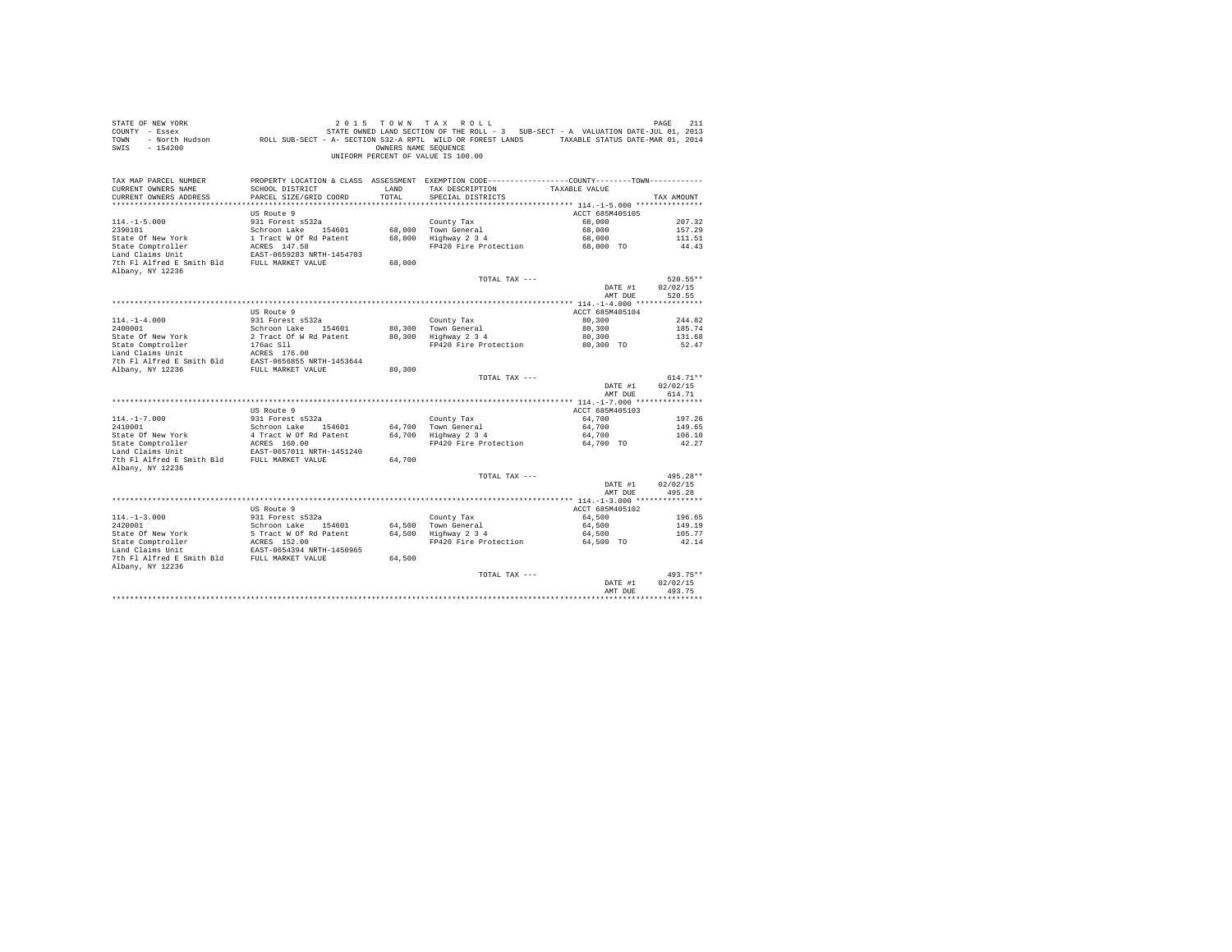| STATE OF NEW YORK<br>COUNTY - Essex<br>TOWN<br>$-154200$<br>SWIS                                                           |                                           | OWNERS NAME SEOUENCE | 2015 TOWN TAX ROLL<br>STATE OWNED LAND SECTION OF THE ROLL - 3 SUB-SECT - A VALUATION DATE-JUL 01, 2013<br>- North Hudson ROLL SUB-SECT - A- SECTION 532-A RPTL WILD OR FOREST LANDS TAXABLE STATUS DATE-MAR 01, 2014<br>UNIFORM PERCENT OF VALUE IS 100.00 |                     | PAGE<br>211        |
|----------------------------------------------------------------------------------------------------------------------------|-------------------------------------------|----------------------|-------------------------------------------------------------------------------------------------------------------------------------------------------------------------------------------------------------------------------------------------------------|---------------------|--------------------|
| TAX MAP PARCEL NUMBER<br>CURRENT OWNERS NAME<br>CURRENT OWNERS ADDRESS                                                     | SCHOOL DISTRICT<br>PARCEL SIZE/GRID COORD | LAND<br>TOTAL        | PROPERTY LOCATION & CLASS ASSESSMENT EXEMPTION CODE----------------COUNTY-------TOWN----------<br>TAX DESCRIPTION<br>SPECIAL DISTRICTS                                                                                                                      | TAXABLE VALUE       | TAX AMOUNT         |
|                                                                                                                            | US Route 9                                |                      |                                                                                                                                                                                                                                                             | ACCT 685M405105     |                    |
| $114. -1 - 5.000$                                                                                                          | 931 Forest s532a                          |                      | County Tax                                                                                                                                                                                                                                                  | 68,000              | 207.32             |
| 2390101                                                                                                                    | Schroon Lake 154601                       |                      | 68,000 Town General                                                                                                                                                                                                                                         | 68,000              | 157.29             |
| State Of New York                                                                                                          | 1 Tract W Of Rd Patent                    |                      | 68,000 Highway 2 3 4                                                                                                                                                                                                                                        | 68,000              | 111.51             |
| State Comptroller                                                                                                          | ACRES 147.58                              |                      | FP420 Fire Protection                                                                                                                                                                                                                                       | 68,000 TO           | 44.43              |
| Land Claims Unit                                                                                                           | EAST-0659283 NRTH-1454703                 |                      |                                                                                                                                                                                                                                                             |                     |                    |
| 7th Fl Alfred E Smith Bld FULL MARKET VALUE                                                                                |                                           | 68,000               |                                                                                                                                                                                                                                                             |                     |                    |
| Albany, NY 12236                                                                                                           |                                           |                      | TOTAL TAX ---                                                                                                                                                                                                                                               |                     | $520.55**$         |
|                                                                                                                            |                                           |                      |                                                                                                                                                                                                                                                             | DATE #1             | 02/02/15           |
|                                                                                                                            |                                           |                      |                                                                                                                                                                                                                                                             | AMT DUE             | 520.55             |
|                                                                                                                            |                                           |                      |                                                                                                                                                                                                                                                             |                     |                    |
|                                                                                                                            | US Route 9                                |                      |                                                                                                                                                                                                                                                             | ACCT 685M405104     |                    |
| $114. - 1 - 4.000$                                                                                                         | 931 Forest s532a                          |                      | County Tax                                                                                                                                                                                                                                                  | 80,300              | 244.82             |
| 2400001                                                                                                                    | Schroon Lake 154601                       |                      | 80,300 Town General                                                                                                                                                                                                                                         | 80,300              | 185.74             |
| State Of New York                                                                                                          | 2 Tract Of W Rd Patent                    |                      | 80,300 Highway 2 3 4                                                                                                                                                                                                                                        | 80,300              | 131.68             |
| State Comptroller<br>Land Claims Unit                                                                                      | 176ac Sll                                 |                      | FP420 Fire Protection                                                                                                                                                                                                                                       | 80,300 TO           | 52.47              |
|                                                                                                                            |                                           |                      |                                                                                                                                                                                                                                                             |                     |                    |
| Land Claims Unit MERES 176.00<br>7th F1 Alfred E Smith Bld BAST-0656855 NRTH-1453644<br>Albany, NY 12236 RULL MARKET VALUE |                                           | 80,300               |                                                                                                                                                                                                                                                             |                     |                    |
|                                                                                                                            |                                           |                      | TOTAL TAX ---                                                                                                                                                                                                                                               |                     | $614.71**$         |
|                                                                                                                            |                                           |                      |                                                                                                                                                                                                                                                             | DATE #1<br>AMT DUE  | 02/02/15<br>614.71 |
|                                                                                                                            |                                           |                      |                                                                                                                                                                                                                                                             |                     |                    |
|                                                                                                                            | US Route 9                                |                      |                                                                                                                                                                                                                                                             | ACCT 685M405103     |                    |
| $114. - 1 - 7.000$                                                                                                         | 931 Forest s532a                          |                      | County Tax                                                                                                                                                                                                                                                  | 64,700              | 197.26             |
| 2410001                                                                                                                    | Schroon Lake 154601                       |                      | 64.700 Town General                                                                                                                                                                                                                                         | 64,700              | 149.65             |
| State Of New York<br>State Of New York<br>State Comptroller                                                                | 4 Tract W Of Rd Patent<br>ACRES 160.00    |                      | 64,700 Highway 2 3 4<br>FP420 Fire Protection                                                                                                                                                                                                               | 64,700<br>64,700 TO | 106.10<br>42.27    |
| Land Claims Unit                                                                                                           | EAST-0657011 NRTH-1451240                 |                      |                                                                                                                                                                                                                                                             |                     |                    |
| 7th Fl Alfred E Smith Bld FULL MARKET VALUE                                                                                |                                           | 64,700               |                                                                                                                                                                                                                                                             |                     |                    |
| Albany, NY 12236                                                                                                           |                                           |                      |                                                                                                                                                                                                                                                             |                     |                    |
|                                                                                                                            |                                           |                      | TOTAL TAX ---                                                                                                                                                                                                                                               |                     | 495.28**           |
|                                                                                                                            |                                           |                      |                                                                                                                                                                                                                                                             | DATE #1             | 02/02/15           |
|                                                                                                                            |                                           |                      |                                                                                                                                                                                                                                                             | AMT DUE             | 495.28             |
|                                                                                                                            | US Route 9                                |                      |                                                                                                                                                                                                                                                             | ACCT 685M405102     |                    |
| $114. -1 - 3.000$                                                                                                          | 931 Forest s532a                          |                      | County Tax                                                                                                                                                                                                                                                  | 64,500              | 196.65             |
|                                                                                                                            | Schroon Lake 154601                       |                      | 64,500 Town General                                                                                                                                                                                                                                         | 64,500              | 149.19             |
|                                                                                                                            |                                           |                      |                                                                                                                                                                                                                                                             | 64,500              | 105.77             |
|                                                                                                                            |                                           |                      | FP420 Fire Protection                                                                                                                                                                                                                                       | 64,500 TO           | 42.14              |
| 2420001<br>State Of New York<br>State Comptroller<br>And Init                                                              |                                           |                      |                                                                                                                                                                                                                                                             |                     |                    |
| 7th Fl Alfred E Smith Bld FULL MARKET VALUE                                                                                |                                           | 64,500               |                                                                                                                                                                                                                                                             |                     |                    |
| Albany, NY 12236                                                                                                           |                                           |                      |                                                                                                                                                                                                                                                             |                     |                    |
|                                                                                                                            |                                           |                      | TOTAL TAX ---                                                                                                                                                                                                                                               |                     | 493.75**           |
|                                                                                                                            |                                           |                      |                                                                                                                                                                                                                                                             | DATE #1<br>AMT DUE  | 02/02/15<br>493.75 |
|                                                                                                                            |                                           |                      |                                                                                                                                                                                                                                                             |                     |                    |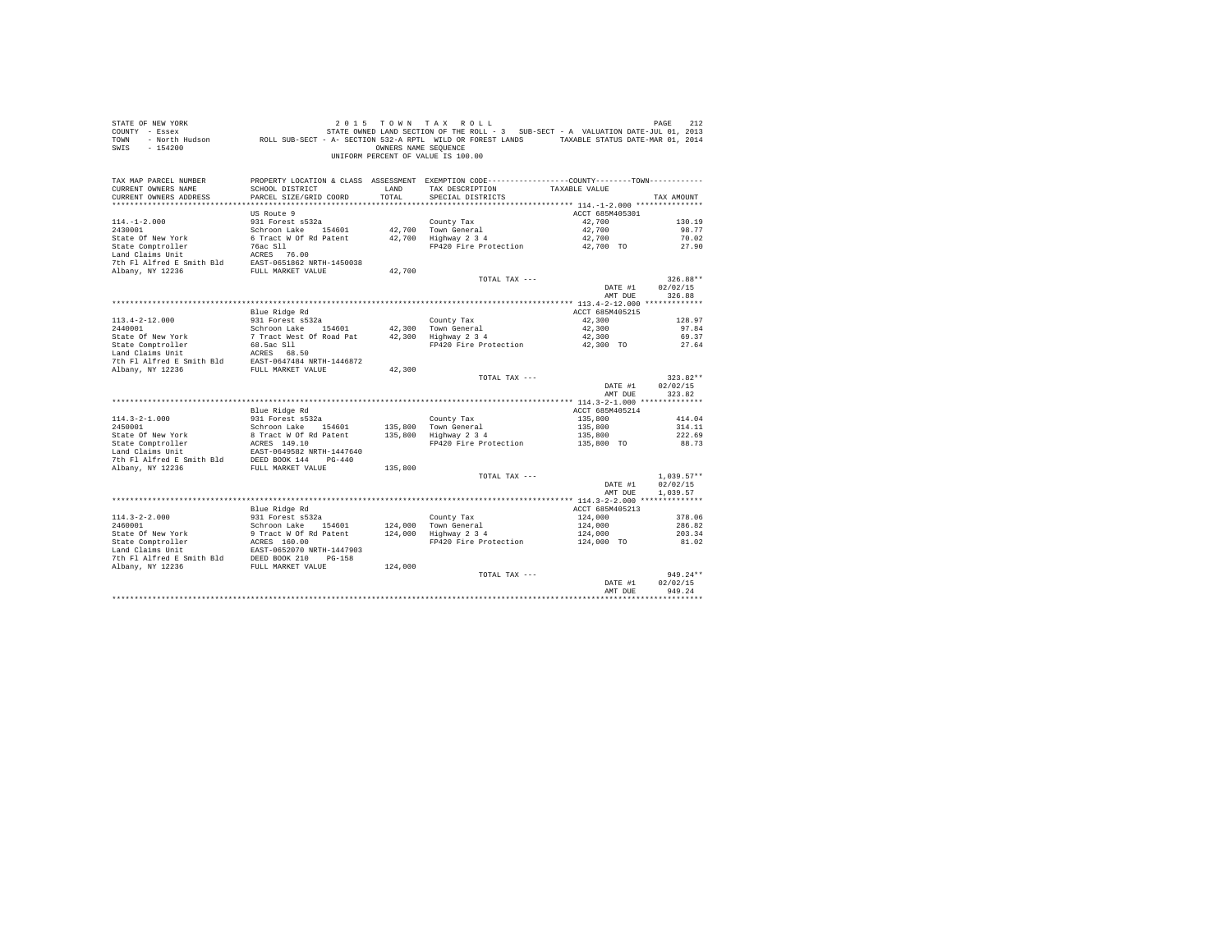| STATE OF NEW YORK<br>COUNTY - Essex<br>- North Hudson ROLL SUB-SECT - A- SECTION 532-A RPTL WILD OR FOREST LANDS TAXABLE STATUS DATE-MAR 01, 2014<br>TOWN<br>$-154200$<br>SWIS                                                                             |                                         | OWNERS NAME SEOUENCE | 2015 TOWN TAX ROLL<br>STATE OWNED LAND SECTION OF THE ROLL - 3 SUB-SECT - A VALUATION DATE-JUL 01, 2013<br>UNIFORM PERCENT OF VALUE IS 100.00 |                    | PAGE<br>212        |
|------------------------------------------------------------------------------------------------------------------------------------------------------------------------------------------------------------------------------------------------------------|-----------------------------------------|----------------------|-----------------------------------------------------------------------------------------------------------------------------------------------|--------------------|--------------------|
| TAX MAP PARCEL NUMBER<br>CURRENT OWNERS NAME                                                                                                                                                                                                               | SCHOOL DISTRICT                         | LAND                 | PROPERTY LOCATION & CLASS ASSESSMENT EXEMPTION CODE----------------COUNTY-------TOWN----------<br>TAX DESCRIPTION                             | TAXABLE VALUE      |                    |
| CURRENT OWNERS ADDRESS                                                                                                                                                                                                                                     | PARCEL SIZE/GRID COORD                  | TOTAL                | SPECIAL DISTRICTS                                                                                                                             |                    | TAX AMOUNT         |
|                                                                                                                                                                                                                                                            |                                         |                      |                                                                                                                                               |                    |                    |
|                                                                                                                                                                                                                                                            | US Route 9                              |                      |                                                                                                                                               | ACCT 685M405301    |                    |
| $114. -1 - 2.000$                                                                                                                                                                                                                                          | 931 Forest s532a                        |                      | County Tax                                                                                                                                    | 42,700             | 130.19             |
| 2430001                                                                                                                                                                                                                                                    | Schroon Lake 154601                     |                      | 42,700 Town General                                                                                                                           | 42,700             | 98.77              |
| State Of New York                                                                                                                                                                                                                                          | 6 Tract W Of Rd Patent                  |                      | 42,700 Highway 2 3 4                                                                                                                          | 42,700             | 70.02              |
|                                                                                                                                                                                                                                                            |                                         |                      | FP420 Fire Protection                                                                                                                         | 42,700 TO          | 27.90              |
|                                                                                                                                                                                                                                                            |                                         |                      |                                                                                                                                               |                    |                    |
| State Comptroller<br>1986 - The Mac Sil<br>1986 - The Halfred E Smith Bld<br>2003 - The Flatfred E Smith Bld<br>2003 - The Halfred E Smith Bld<br>2003 - FULL MARKET VALUE                                                                                 |                                         | 42,700               |                                                                                                                                               |                    |                    |
|                                                                                                                                                                                                                                                            |                                         |                      | TOTAL TAX ---                                                                                                                                 |                    | 326.88**           |
|                                                                                                                                                                                                                                                            |                                         |                      |                                                                                                                                               | DATE #1            | 02/02/15           |
|                                                                                                                                                                                                                                                            |                                         |                      |                                                                                                                                               | AMT DUE            | 326.88             |
|                                                                                                                                                                                                                                                            |                                         |                      |                                                                                                                                               |                    |                    |
|                                                                                                                                                                                                                                                            | Blue Ridge Rd                           |                      |                                                                                                                                               | ACCT 685M405215    |                    |
| $113.4 - 2 - 12.000$                                                                                                                                                                                                                                       | 931 Forest s532a                        |                      | County Tax                                                                                                                                    | 42,300             | 128.97             |
|                                                                                                                                                                                                                                                            |                                         |                      | 42,300 Town General<br>42,300   Town General<br>42,300   Highway 2 3 4                                                                        | 42,300             | 97.84              |
|                                                                                                                                                                                                                                                            |                                         |                      |                                                                                                                                               | 42,300             | 69.37              |
|                                                                                                                                                                                                                                                            |                                         |                      | FP420 Fire Protection 42,300 TO                                                                                                               |                    | 27.64              |
|                                                                                                                                                                                                                                                            |                                         |                      |                                                                                                                                               |                    |                    |
| 2440001<br>2440001<br>2440001 7 Track Work<br>Schroon Lake Of Road Pat<br>34601 7 Track Work<br>36.5ac S11<br>2461 Claus Unit 1 ACRES 68.50<br>26.5ac S11<br>26.5ac S11<br>26.5ac S11<br>26.5ac S11<br>26.5ac S11<br>26.5ac S11<br>26.5ac S11<br>26.5ac S1 |                                         | 42,300               |                                                                                                                                               |                    |                    |
|                                                                                                                                                                                                                                                            |                                         |                      | TOTAL TAX ---                                                                                                                                 |                    | $323.82**$         |
|                                                                                                                                                                                                                                                            |                                         |                      |                                                                                                                                               | DATE #1<br>AMT DUE | 02/02/15<br>323.82 |
|                                                                                                                                                                                                                                                            |                                         |                      |                                                                                                                                               |                    |                    |
|                                                                                                                                                                                                                                                            | Blue Ridge Rd                           |                      |                                                                                                                                               | ACCT 685M405214    |                    |
| $114.3 - 2 - 1.000$                                                                                                                                                                                                                                        | 931 Forest s532a                        |                      | County Tax                                                                                                                                    | 135,800            | 414.04             |
| 2450001                                                                                                                                                                                                                                                    | Schroon Lake 154601                     | 135,800              | Town General                                                                                                                                  | 135,800            | 314.11             |
|                                                                                                                                                                                                                                                            |                                         | 135,800              | Highway 2 3 4                                                                                                                                 | 135,800            | 222.69             |
|                                                                                                                                                                                                                                                            |                                         |                      | FP420 Fire Protection                                                                                                                         | 135,800 TO         | 88.73              |
| State Of New York<br>State Comptroller<br>State Compton and California Research 1400 FM and Claims Unit<br>Land Claims Unit Bld<br>The FI Alfred E Smith Bld<br>DEED BOOK 144<br>PD-440<br>The PI Alfred E Smith Bld<br>DEED BOOK 144<br>PUT ALF           |                                         |                      |                                                                                                                                               |                    |                    |
| Albany, NY 12236                                                                                                                                                                                                                                           | FULL MARKET VALUE                       | 135,800              |                                                                                                                                               |                    |                    |
|                                                                                                                                                                                                                                                            |                                         |                      | TOTAL TAX ---                                                                                                                                 |                    | $1.039.57**$       |
|                                                                                                                                                                                                                                                            |                                         |                      |                                                                                                                                               | DATE #1            | 02/02/15           |
|                                                                                                                                                                                                                                                            |                                         |                      |                                                                                                                                               | AMT DUE            | 1,039.57           |
|                                                                                                                                                                                                                                                            |                                         |                      |                                                                                                                                               |                    |                    |
|                                                                                                                                                                                                                                                            | Blue Ridge Rd                           |                      |                                                                                                                                               | ACCT 685M405213    |                    |
| $114.3 - 2 - 2.000$<br>2460001                                                                                                                                                                                                                             | 931 Forest s532a<br>Schroon Lake 154601 |                      | County Tax                                                                                                                                    | 124,000<br>124,000 | 378.06<br>286.82   |
|                                                                                                                                                                                                                                                            |                                         |                      | $124,000$ Town General<br>$124,000$ Highway 2 3 4                                                                                             | 124,000            | 203.34             |
|                                                                                                                                                                                                                                                            |                                         |                      | FP420 Fire Protection                                                                                                                         | $124,000$ TO       | 81.02              |
|                                                                                                                                                                                                                                                            |                                         |                      |                                                                                                                                               |                    |                    |
| 20001 Mey York Strate of New York Strate Competence of New York Strate Competer<br>State Competence Mark (2001)<br>20001 Mey 12001 Mey 12001 Mark (2001)<br>20001 Mey 12001 Mey 121236 DEB NOOK 210<br>20001 Mey 12236 DEB NOOK 2000 D                     |                                         |                      |                                                                                                                                               |                    |                    |
|                                                                                                                                                                                                                                                            |                                         | 124,000              |                                                                                                                                               |                    |                    |
|                                                                                                                                                                                                                                                            |                                         |                      | TOTAL TAX ---                                                                                                                                 |                    | $949.24**$         |
|                                                                                                                                                                                                                                                            |                                         |                      |                                                                                                                                               | DATE #1<br>AMT DUE | 02/02/15<br>949.24 |
|                                                                                                                                                                                                                                                            |                                         |                      |                                                                                                                                               |                    |                    |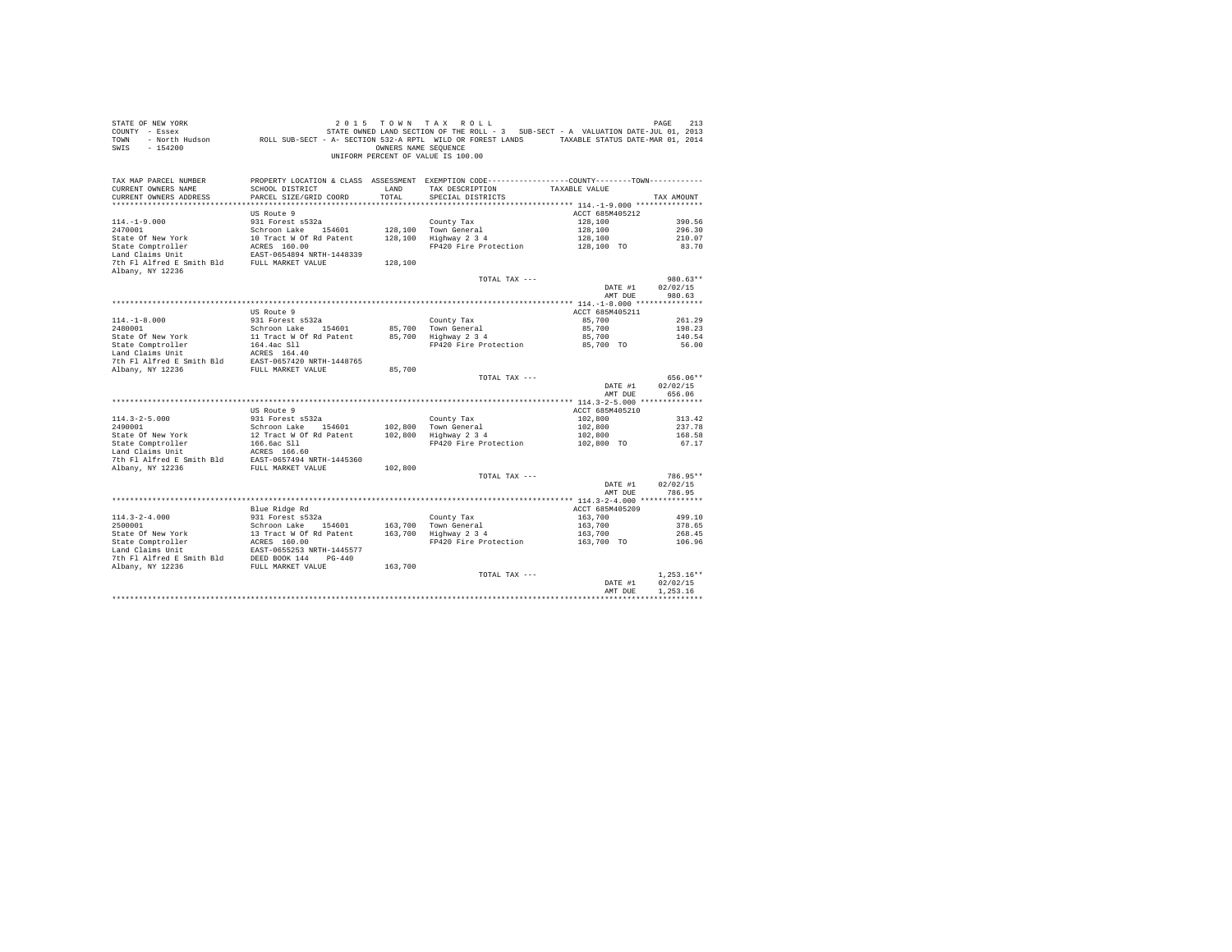| STATE OF NEW YORK<br>COUNTY - Essex<br>TOWN<br>$-154200$<br>SWIS                                                                                                                                                                                                               |                                                                                             | OWNERS NAME SEOUENCE | 2015 TOWN TAX ROLL<br>DE RAGE 213 בDAR 2011 - 2011 או בא ROLL בDE RAGE 213 בDAR 11 ב-1978.<br>- Essex STATE OWNED LAND SECTION OF THE ROLL STATE ON STATE AN VALUATION DATE-JUL 01, 2013<br>- North Hudson     ROLL SUB-SECT - A SECTION 532-A RPTL WILD<br>UNIFORM PERCENT OF VALUE IS 100.00 |                                  | PAGE<br>213        |
|--------------------------------------------------------------------------------------------------------------------------------------------------------------------------------------------------------------------------------------------------------------------------------|---------------------------------------------------------------------------------------------|----------------------|------------------------------------------------------------------------------------------------------------------------------------------------------------------------------------------------------------------------------------------------------------------------------------------------|----------------------------------|--------------------|
| TAX MAP PARCEL NUMBER<br>CURRENT OWNERS NAME                                                                                                                                                                                                                                   | SCHOOL DISTRICT                                                                             | LAND                 | PROPERTY LOCATION & CLASS ASSESSMENT EXEMPTION CODE----------------COUNTY-------TOWN----------<br>TAX DESCRIPTION TAXABLE VALUE                                                                                                                                                                |                                  |                    |
| CURRENT OWNERS ADDRESS                                                                                                                                                                                                                                                         | PARCEL SIZE/GRID COORD                                                                      | TOTAL                | SPECIAL DISTRICTS                                                                                                                                                                                                                                                                              |                                  | TAX AMOUNT         |
|                                                                                                                                                                                                                                                                                |                                                                                             |                      |                                                                                                                                                                                                                                                                                                |                                  |                    |
|                                                                                                                                                                                                                                                                                | US Route 9<br>931 Forest s532a                                                              |                      |                                                                                                                                                                                                                                                                                                | ACCT 685M405212<br>128,100       | 390.56             |
| $114. -1 - 9.000$<br>2470001                                                                                                                                                                                                                                                   |                                                                                             |                      | County Tax<br>128,100 Town General                                                                                                                                                                                                                                                             | 128,100                          | 296.30             |
| State Of New York                                                                                                                                                                                                                                                              |                                                                                             |                      | 128,100 Highway 2 3 4                                                                                                                                                                                                                                                                          | 128,100                          | 210.07             |
| State Comptroller                                                                                                                                                                                                                                                              |                                                                                             |                      | FP420 Fire Protection                                                                                                                                                                                                                                                                          | 128,100 TO                       | 83.70              |
| Land Claims Unit                                                                                                                                                                                                                                                               | Schroon Lake 154601<br>10 Tract W Of Rd Patent<br>ACRES 160.00<br>EAST-0654894 NRTH-1448339 |                      |                                                                                                                                                                                                                                                                                                |                                  |                    |
| 7th Fl Alfred E Smith Bld FULL MARKET VALUE<br>Albany, NY 12236                                                                                                                                                                                                                |                                                                                             | 128,100              |                                                                                                                                                                                                                                                                                                |                                  |                    |
|                                                                                                                                                                                                                                                                                |                                                                                             |                      | TOTAL TAX ---                                                                                                                                                                                                                                                                                  |                                  | 980.63**           |
|                                                                                                                                                                                                                                                                                |                                                                                             |                      |                                                                                                                                                                                                                                                                                                | DATE #1                          | 02/02/15           |
|                                                                                                                                                                                                                                                                                |                                                                                             |                      |                                                                                                                                                                                                                                                                                                | AMT DUE                          | 980.63             |
|                                                                                                                                                                                                                                                                                |                                                                                             |                      |                                                                                                                                                                                                                                                                                                |                                  |                    |
|                                                                                                                                                                                                                                                                                | US Route 9                                                                                  |                      |                                                                                                                                                                                                                                                                                                | ACCT 685M405211                  |                    |
| $114. -1 - 8.000$                                                                                                                                                                                                                                                              | 931 Forest s532a                                                                            |                      | County Tax                                                                                                                                                                                                                                                                                     | 85,700                           | 261.29             |
|                                                                                                                                                                                                                                                                                |                                                                                             |                      | 85,700 Town General<br>85,700 Highway 2 3 4                                                                                                                                                                                                                                                    | 85,700                           | 198.23             |
|                                                                                                                                                                                                                                                                                |                                                                                             |                      | FP420 Fire Protection 85,700 TO                                                                                                                                                                                                                                                                | 85,700                           | 140.54<br>56.00    |
|                                                                                                                                                                                                                                                                                |                                                                                             |                      |                                                                                                                                                                                                                                                                                                |                                  |                    |
|                                                                                                                                                                                                                                                                                |                                                                                             |                      |                                                                                                                                                                                                                                                                                                |                                  |                    |
|                                                                                                                                                                                                                                                                                |                                                                                             | 85,700               |                                                                                                                                                                                                                                                                                                |                                  |                    |
|                                                                                                                                                                                                                                                                                |                                                                                             |                      | TOTAL TAX ---                                                                                                                                                                                                                                                                                  |                                  | 656.06**           |
|                                                                                                                                                                                                                                                                                |                                                                                             |                      |                                                                                                                                                                                                                                                                                                | DATE #1<br>AMT DUE               | 02/02/15<br>656.06 |
|                                                                                                                                                                                                                                                                                |                                                                                             |                      |                                                                                                                                                                                                                                                                                                |                                  |                    |
|                                                                                                                                                                                                                                                                                | US Route 9                                                                                  |                      |                                                                                                                                                                                                                                                                                                | ACCT 685M405210                  |                    |
| $114.3 - 2 - 5.000$                                                                                                                                                                                                                                                            | 931 Forest s532a                                                                            |                      | County Tax                                                                                                                                                                                                                                                                                     | 102,800                          | 313.42             |
|                                                                                                                                                                                                                                                                                |                                                                                             |                      |                                                                                                                                                                                                                                                                                                | 102,800                          | 237.78             |
|                                                                                                                                                                                                                                                                                |                                                                                             |                      | FP420 Fire Protection                                                                                                                                                                                                                                                                          | 102,800<br>102,800 TO            | 168.58<br>67.17    |
| 114.3-2-3.0001<br>2490001<br>2490001<br>2490001<br>2490001<br>2490001<br>2490001<br>2490001<br>2490001<br>2490001<br>2490001<br>2490001<br>2490001<br>2490001<br>2490001<br>2490001<br>2490001<br>2490001<br>2490001<br>2490001<br>2490001<br>2490001<br>249001<br>249001<br>2 |                                                                                             |                      |                                                                                                                                                                                                                                                                                                |                                  |                    |
|                                                                                                                                                                                                                                                                                |                                                                                             |                      |                                                                                                                                                                                                                                                                                                |                                  |                    |
|                                                                                                                                                                                                                                                                                |                                                                                             |                      |                                                                                                                                                                                                                                                                                                |                                  |                    |
|                                                                                                                                                                                                                                                                                |                                                                                             |                      | TOTAL TAX ---                                                                                                                                                                                                                                                                                  |                                  | 786.95**           |
|                                                                                                                                                                                                                                                                                |                                                                                             |                      |                                                                                                                                                                                                                                                                                                | DATE #1                          | 02/02/15           |
|                                                                                                                                                                                                                                                                                |                                                                                             |                      |                                                                                                                                                                                                                                                                                                | AMT DUE                          | 786.95             |
|                                                                                                                                                                                                                                                                                |                                                                                             |                      |                                                                                                                                                                                                                                                                                                |                                  |                    |
|                                                                                                                                                                                                                                                                                | Blue Ridge Rd                                                                               |                      |                                                                                                                                                                                                                                                                                                | ACCT 685M405209                  |                    |
|                                                                                                                                                                                                                                                                                |                                                                                             |                      |                                                                                                                                                                                                                                                                                                | 163,700                          | 499.10             |
|                                                                                                                                                                                                                                                                                |                                                                                             |                      |                                                                                                                                                                                                                                                                                                |                                  | 378.65<br>268.45   |
|                                                                                                                                                                                                                                                                                |                                                                                             |                      | FP420 Fire Protection                                                                                                                                                                                                                                                                          | 163,700<br>163,700<br>163,700 TO | 106.96             |
|                                                                                                                                                                                                                                                                                |                                                                                             |                      |                                                                                                                                                                                                                                                                                                |                                  |                    |
|                                                                                                                                                                                                                                                                                |                                                                                             |                      |                                                                                                                                                                                                                                                                                                |                                  |                    |
|                                                                                                                                                                                                                                                                                |                                                                                             |                      |                                                                                                                                                                                                                                                                                                |                                  |                    |
|                                                                                                                                                                                                                                                                                |                                                                                             |                      | TOTAL TAX ---                                                                                                                                                                                                                                                                                  |                                  | $1.253.16**$       |
|                                                                                                                                                                                                                                                                                |                                                                                             |                      |                                                                                                                                                                                                                                                                                                | DATE #1                          | 02/02/15           |
|                                                                                                                                                                                                                                                                                |                                                                                             |                      |                                                                                                                                                                                                                                                                                                | AMT DUE                          | 1.253.16           |
|                                                                                                                                                                                                                                                                                |                                                                                             |                      |                                                                                                                                                                                                                                                                                                |                                  |                    |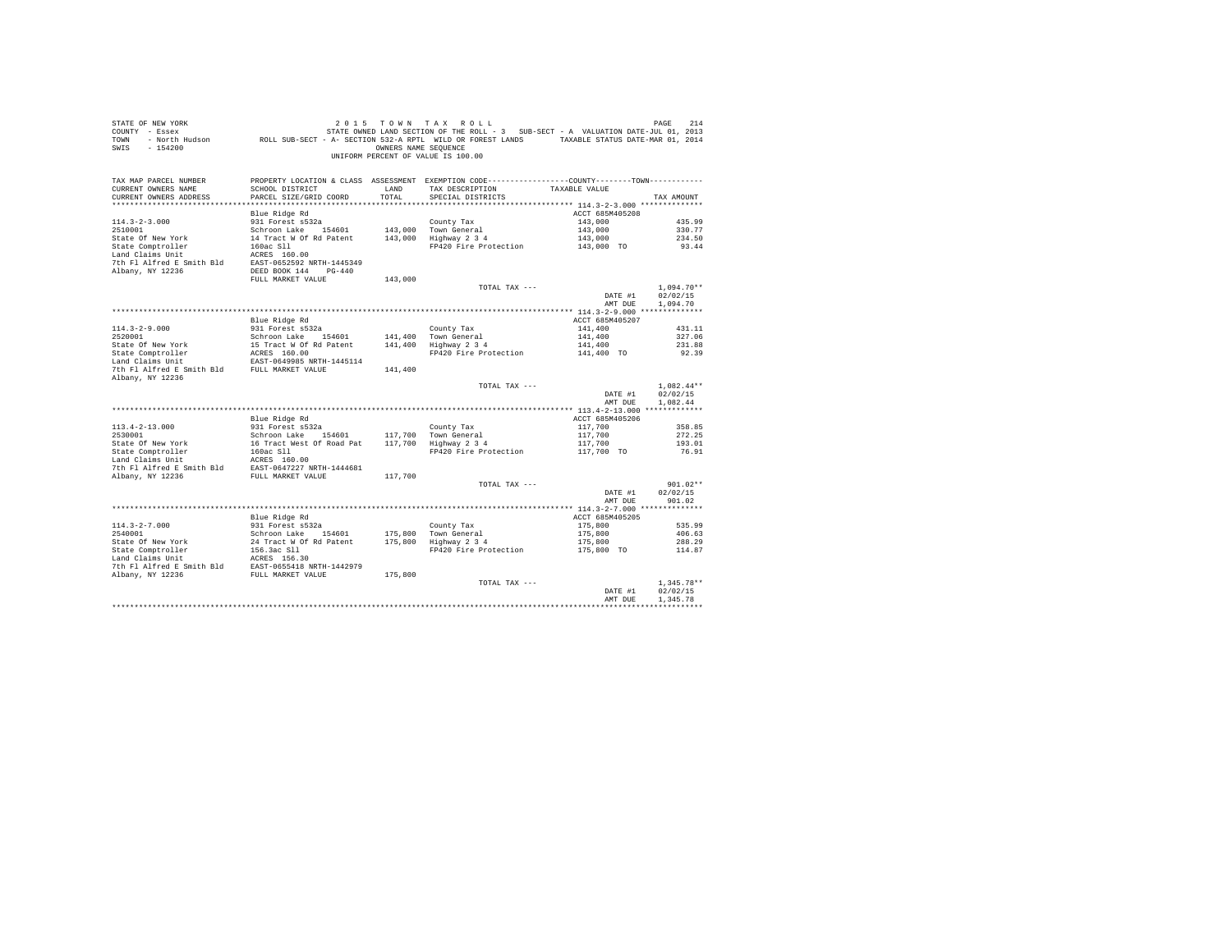| STATE OF NEW YORK<br>COUNTY - Essex<br>TOWN<br>SWIS<br>$-154200$                    | - North Hudson ROLL SUB-SECT - A- SECTION 532-A RPTL WILD OR FOREST LANDS TAXABLE STATUS DATE-MAR 01, 2014 | OWNERS NAME SEQUENCE | 2015 TOWN TAX ROLL<br>STATE OWNED LAND SECTION OF THE ROLL - 3 SUB-SECT - A VALUATION DATE-JUL 01, 2013<br>UNIFORM PERCENT OF VALUE IS 100.00 |                 | 214<br>PAGE  |
|-------------------------------------------------------------------------------------|------------------------------------------------------------------------------------------------------------|----------------------|-----------------------------------------------------------------------------------------------------------------------------------------------|-----------------|--------------|
| TAX MAP PARCEL NUMBER                                                               | PROPERTY LOCATION & CLASS ASSESSMENT EXEMPTION CODE---------------COUNTY-------TOWN---------               |                      | TAX DESCRIPTION TAXABLE VALUE                                                                                                                 |                 |              |
| CURRENT OWNERS NAME<br>CURRENT OWNERS ADDRESS                                       | SCHOOL DISTRICT<br>PARCEL SIZE/GRID COORD                                                                  | LAND<br>TOTAL        | SPECIAL DISTRICTS                                                                                                                             |                 | TAX AMOUNT   |
|                                                                                     |                                                                                                            |                      |                                                                                                                                               |                 |              |
|                                                                                     | Blue Ridge Rd                                                                                              |                      |                                                                                                                                               | ACCT 685M405208 |              |
| $114.3 - 2 - 3.000$                                                                 | 931 Forest s532a                                                                                           |                      | County Tax                                                                                                                                    | 143,000         | 435.99       |
| 2510001                                                                             | Schroon Lake 154601                                                                                        |                      | 143,000 Town General                                                                                                                          | 143,000         | 330.77       |
| State Of New York                                                                   | 14 Tract W Of Rd Patent                                                                                    |                      | 143,000 Highway 2 3 4                                                                                                                         | 143,000         | 234.50       |
| State Comptroller                                                                   | 160ac S11                                                                                                  |                      | FP420 Fire Protection                                                                                                                         | 143,000 TO      | 93.44        |
| Land Claims Unit                                                                    | ACRES 160.00                                                                                               |                      |                                                                                                                                               |                 |              |
| 7th Fl Alfred E Smith Bld EAST-0652592 NRTH-1445349                                 |                                                                                                            |                      |                                                                                                                                               |                 |              |
| Albany, NY 12236                                                                    | DEED BOOK 144 PG-440                                                                                       |                      |                                                                                                                                               |                 |              |
|                                                                                     | FULL MARKET VALUE                                                                                          | 143,000              |                                                                                                                                               |                 |              |
|                                                                                     |                                                                                                            |                      | TOTAL TAX ---                                                                                                                                 |                 | $1.094.70**$ |
|                                                                                     |                                                                                                            |                      |                                                                                                                                               | DATE #1         | 02/02/15     |
|                                                                                     |                                                                                                            |                      |                                                                                                                                               | AMT DUE         | 1,094.70     |
|                                                                                     |                                                                                                            |                      |                                                                                                                                               |                 |              |
|                                                                                     | Blue Ridge Rd                                                                                              |                      |                                                                                                                                               | ACCT 685M405207 |              |
| $114.3 - 2 - 9.000$                                                                 | 931 Forest s532a                                                                                           |                      | County Tax                                                                                                                                    | 141,400         | 431.11       |
| 2520001                                                                             | Schroon Lake 154601                                                                                        |                      | 141.400 Town General                                                                                                                          | 141,400         | 327.06       |
| State Of New York                                                                   | 15 Tract W Of Rd Patent                                                                                    |                      | 141,400 Highway 2 3 4                                                                                                                         | 141,400         | 231.88       |
| State Comptroller                                                                   | ACRES 160.00                                                                                               |                      | FP420 Fire Protection                                                                                                                         | 141,400 TO      | 92.39        |
| Land Claims Unit<br>7th Fl Alfred E Smith Bld FULL MARKET VALUE<br>Albany, NY 12236 | EAST-0649985 NRTH-1445114                                                                                  | 141,400              |                                                                                                                                               |                 |              |
|                                                                                     |                                                                                                            |                      | TOTAL TAX ---                                                                                                                                 |                 | $1.082.44**$ |
|                                                                                     |                                                                                                            |                      |                                                                                                                                               | DATE #1         | 02/02/15     |
|                                                                                     |                                                                                                            |                      |                                                                                                                                               | AMT DUE         | 1.082.44     |
|                                                                                     |                                                                                                            |                      |                                                                                                                                               |                 |              |
|                                                                                     | Blue Ridge Rd                                                                                              |                      |                                                                                                                                               | ACCT 685M405206 |              |
| $113.4 - 2 - 13.000$                                                                | 931 Forest s532a                                                                                           |                      | County Tax                                                                                                                                    | 117,700         | 358.85       |
| 2530001                                                                             | Schroon Lake 154601                                                                                        |                      | 117.700 Town General                                                                                                                          | 117,700         | 272.25       |
| State Of New York                                                                   | 16 Tract West Of Road Pat                                                                                  |                      | 117,700 Highway 2 3 4                                                                                                                         | 117,700         | 193.01       |
| State Comptroller                                                                   | 160ac Sll                                                                                                  |                      | FP420 Fire Protection                                                                                                                         | 117,700 TO      | 76.91        |
| Land Claims Unit The ACRES 160.00                                                   |                                                                                                            |                      |                                                                                                                                               |                 |              |
| 7th F1 Alfred E Smith Bld EAST-0647227 NRTH-1444681                                 |                                                                                                            |                      |                                                                                                                                               |                 |              |
| Albany, NY 12236 FULL MARKET VALUE                                                  |                                                                                                            | 117,700              |                                                                                                                                               |                 | $901.02**$   |
|                                                                                     |                                                                                                            |                      | TOTAL TAX ---                                                                                                                                 | DATE #1         | 02/02/15     |
|                                                                                     |                                                                                                            |                      |                                                                                                                                               | AMT DUE         | 901.02       |
|                                                                                     |                                                                                                            |                      |                                                                                                                                               |                 |              |
|                                                                                     | Blue Ridge Rd                                                                                              |                      |                                                                                                                                               | ACCT 685M405205 |              |
| $114.3 - 2 - 7.000$                                                                 | 931 Forest s532a                                                                                           |                      | County Tax                                                                                                                                    | 175,800         | 535.99       |
| 2540001                                                                             | Schroon Lake 154601                                                                                        |                      | 175.800 Town General                                                                                                                          | 175,800         | 406.63       |
| State Of New York                                                                   | 24 Tract W Of Rd Patent                                                                                    |                      | 175,800 Highway 2 3 4                                                                                                                         | 175,800         | 288.29       |
| State Comptroller                                                                   | 156.3ac S11                                                                                                |                      | FP420 Fire Protection                                                                                                                         | 175,800 TO      | 114.87       |
| Land Claims Unit                                                                    | ACRES 156.30                                                                                               |                      |                                                                                                                                               |                 |              |
| 7th Fl Alfred E Smith Bld EAST-0655418 NRTH-1442979                                 |                                                                                                            |                      |                                                                                                                                               |                 |              |
| Albany, NY 12236                                                                    | FULL MARKET VALUE                                                                                          | 175,800              |                                                                                                                                               |                 |              |
|                                                                                     |                                                                                                            |                      | TOTAL TAX ---                                                                                                                                 |                 | $1.345.78**$ |
|                                                                                     |                                                                                                            |                      |                                                                                                                                               | DATE #1         | 02/02/15     |
|                                                                                     |                                                                                                            |                      |                                                                                                                                               | AMT DUE         | 1,345.78     |
|                                                                                     |                                                                                                            |                      |                                                                                                                                               |                 |              |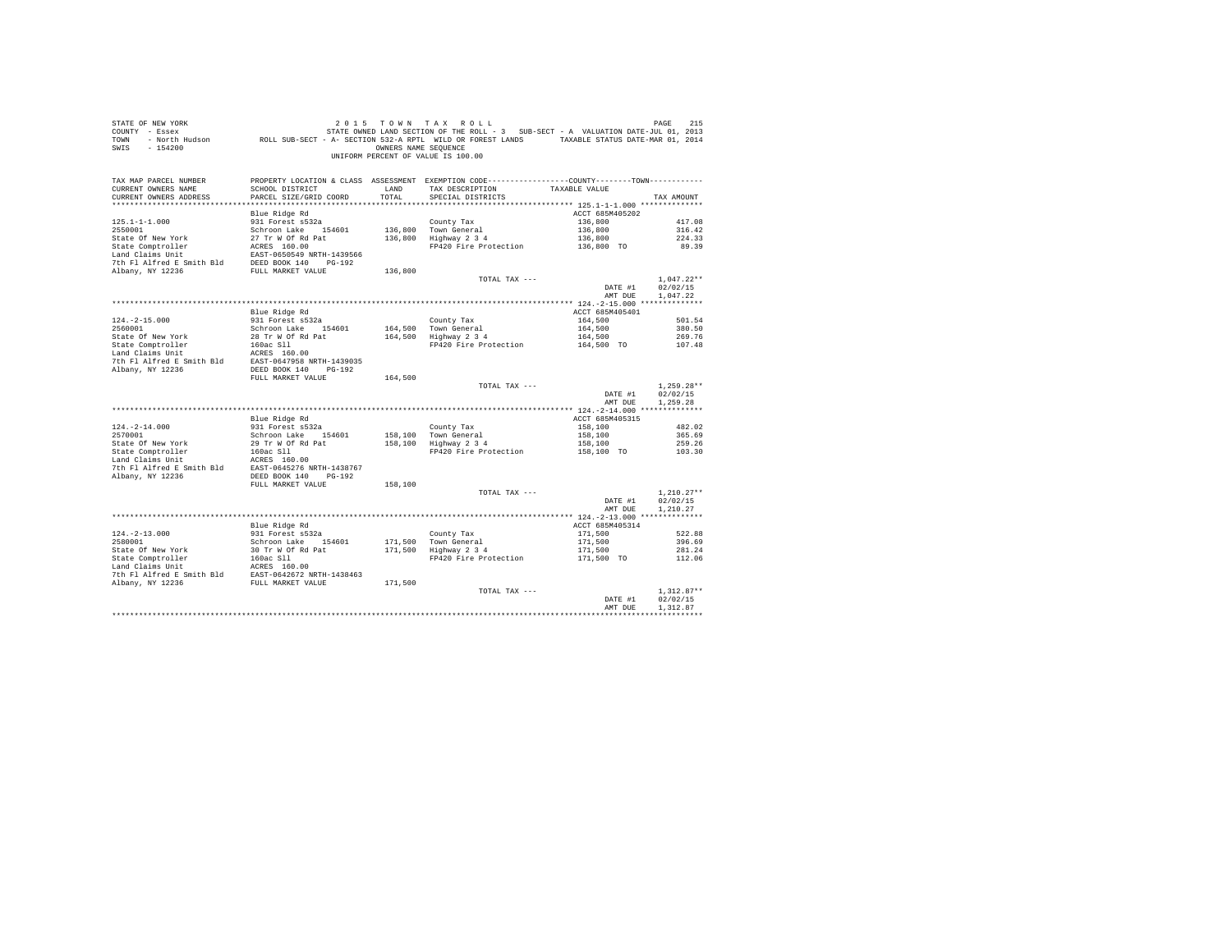| STATE OF NEW YORK<br>$COUNTY - Essex$<br>TOWN<br>$-154200$<br>SWIS                                                                                                                                                                               |                                                                                                                                                                                                                                   |                                                          | OF NEW YORK TOWN TAX ROLL (2015 TOWN TAX ROLL)<br>T - Essex STATE ON STATE ONNED LAND SECTION OF THE ROLL - 3 SUB-SECT - A VALUATION DATE-JUL 01, 2013<br>- North Hudson (ROLL SUB-SECT - A-SECTION 532-A RPTL WILD OR FOREST LANDS<br>OWNERS NAME SEQUENCE<br>UNIFORM PERCENT OF VALUE IS 100.00 |                                                     |                          |
|--------------------------------------------------------------------------------------------------------------------------------------------------------------------------------------------------------------------------------------------------|-----------------------------------------------------------------------------------------------------------------------------------------------------------------------------------------------------------------------------------|----------------------------------------------------------|---------------------------------------------------------------------------------------------------------------------------------------------------------------------------------------------------------------------------------------------------------------------------------------------------|-----------------------------------------------------|--------------------------|
| TAX MAP PARCEL NUMBER<br>CURRENT OWNERS NAME<br>CURRENT OWNERS ADDRESS                                                                                                                                                                           | SCHOOL DISTRICT<br>PARCEL SIZE/GRID COORD                                                                                                                                                                                         | <b>EXAMPLE AND STATE OF A STATE OF A STATE</b><br>TOTAL. | PROPERTY LOCATION & CLASS ASSESSMENT EXEMPTION CODE---------------COUNTY-------TOWN---------<br>TAX DESCRIPTION TAXABLE VALUE<br>SPECIAL DISTRICTS                                                                                                                                                |                                                     | TAX AMOUNT               |
|                                                                                                                                                                                                                                                  | Blue Ridge Rd                                                                                                                                                                                                                     |                                                          |                                                                                                                                                                                                                                                                                                   | ACCT 685M405202                                     |                          |
| $125.1 - 1 - 1.000$                                                                                                                                                                                                                              | 931 Forest s532a                                                                                                                                                                                                                  |                                                          | County Tax<br>136,800 Town General<br>136,800 Highway 2 3 4                                                                                                                                                                                                                                       | $136,800$<br>$136,800$<br>$136,800$<br>$136,800$ TO | 417.08                   |
| 2550001                                                                                                                                                                                                                                          | Schroon Lake 154601                                                                                                                                                                                                               |                                                          |                                                                                                                                                                                                                                                                                                   |                                                     | 316.42                   |
|                                                                                                                                                                                                                                                  |                                                                                                                                                                                                                                   |                                                          |                                                                                                                                                                                                                                                                                                   |                                                     | 224.33                   |
| State Of New York<br>State Comptroller<br>State Comptonler<br>Land Claims Unit<br>Land Claims Unit<br>Land Claims Unit<br>The PLAT ACTS SECT-0650549<br>NRTH PLAT AFT ANDER DESTANDENT VALUE<br>The PLAT AFT ANDER STATE NEW YORKET VALUE<br>NDB |                                                                                                                                                                                                                                   |                                                          | FP420 Fire Protection                                                                                                                                                                                                                                                                             |                                                     | 89.39                    |
|                                                                                                                                                                                                                                                  |                                                                                                                                                                                                                                   |                                                          |                                                                                                                                                                                                                                                                                                   |                                                     |                          |
|                                                                                                                                                                                                                                                  |                                                                                                                                                                                                                                   | 136,800                                                  |                                                                                                                                                                                                                                                                                                   |                                                     |                          |
|                                                                                                                                                                                                                                                  |                                                                                                                                                                                                                                   |                                                          | TOTAL TAX ---                                                                                                                                                                                                                                                                                     | DATE #1                                             | $1.047.22**$<br>02/02/15 |
|                                                                                                                                                                                                                                                  |                                                                                                                                                                                                                                   |                                                          |                                                                                                                                                                                                                                                                                                   | AMT DUE                                             | 1.047.22                 |
|                                                                                                                                                                                                                                                  |                                                                                                                                                                                                                                   |                                                          |                                                                                                                                                                                                                                                                                                   |                                                     |                          |
|                                                                                                                                                                                                                                                  | Blue Ridge Rd                                                                                                                                                                                                                     |                                                          |                                                                                                                                                                                                                                                                                                   | ACCT 685M405401                                     |                          |
| $124. -2 - 15.000$                                                                                                                                                                                                                               | and where the same of the same of the same of the same of the same of the same of the same of the same of the s<br>Same of the same of the same of the same of the same of the same of the same of the same of the same of the sa |                                                          | County Tax<br>164,500 Town General<br>164,500 Highway 2 3 4                                                                                                                                                                                                                                       | 164,500                                             | 501.54                   |
|                                                                                                                                                                                                                                                  |                                                                                                                                                                                                                                   |                                                          |                                                                                                                                                                                                                                                                                                   | 164,500                                             | 380.50                   |
|                                                                                                                                                                                                                                                  |                                                                                                                                                                                                                                   |                                                          |                                                                                                                                                                                                                                                                                                   | 164,500                                             | 269.76                   |
|                                                                                                                                                                                                                                                  |                                                                                                                                                                                                                                   |                                                          | FP420 Fire Protection 164,500 TO                                                                                                                                                                                                                                                                  |                                                     | 107.48                   |
|                                                                                                                                                                                                                                                  |                                                                                                                                                                                                                                   |                                                          |                                                                                                                                                                                                                                                                                                   |                                                     |                          |
|                                                                                                                                                                                                                                                  |                                                                                                                                                                                                                                   |                                                          |                                                                                                                                                                                                                                                                                                   |                                                     |                          |
|                                                                                                                                                                                                                                                  | FULL MARKET VALUE                                                                                                                                                                                                                 | 164,500                                                  |                                                                                                                                                                                                                                                                                                   |                                                     |                          |
|                                                                                                                                                                                                                                                  |                                                                                                                                                                                                                                   |                                                          | TOTAL TAX ---                                                                                                                                                                                                                                                                                     |                                                     | $1,259.28**$             |
|                                                                                                                                                                                                                                                  |                                                                                                                                                                                                                                   |                                                          |                                                                                                                                                                                                                                                                                                   | DATE #1<br>AMT DUE 1.259.28                         | 02/02/15                 |
|                                                                                                                                                                                                                                                  |                                                                                                                                                                                                                                   |                                                          |                                                                                                                                                                                                                                                                                                   |                                                     |                          |
|                                                                                                                                                                                                                                                  | Blue Ridge Rd                                                                                                                                                                                                                     |                                                          |                                                                                                                                                                                                                                                                                                   | ACCT 685M405315                                     |                          |
| $124. -2 - 14.000$<br>2570001                                                                                                                                                                                                                    | ---- ------ ---<br>931 Forest s532a                                                                                                                                                                                               |                                                          |                                                                                                                                                                                                                                                                                                   | 158,100                                             | 482.02                   |
|                                                                                                                                                                                                                                                  |                                                                                                                                                                                                                                   |                                                          | County Tax<br>158,100 Town General<br>158,100 Highway 2 3 4                                                                                                                                                                                                                                       | 158,100<br>158,100                                  | 365.69                   |
|                                                                                                                                                                                                                                                  |                                                                                                                                                                                                                                   |                                                          | FP420 Fire Protection                                                                                                                                                                                                                                                                             | 158,100 TO                                          | 259.26<br>103.30         |
|                                                                                                                                                                                                                                                  |                                                                                                                                                                                                                                   |                                                          |                                                                                                                                                                                                                                                                                                   |                                                     |                          |
|                                                                                                                                                                                                                                                  |                                                                                                                                                                                                                                   |                                                          |                                                                                                                                                                                                                                                                                                   |                                                     |                          |
| Albany, NY 12236                                                                                                                                                                                                                                 | DEED BOOK 140 PG-192                                                                                                                                                                                                              |                                                          |                                                                                                                                                                                                                                                                                                   |                                                     |                          |
|                                                                                                                                                                                                                                                  | FULL MARKET VALUE                                                                                                                                                                                                                 | 158,100                                                  |                                                                                                                                                                                                                                                                                                   |                                                     |                          |
|                                                                                                                                                                                                                                                  |                                                                                                                                                                                                                                   |                                                          | TOTAL TAX ---                                                                                                                                                                                                                                                                                     |                                                     | $1.210.27**$             |
|                                                                                                                                                                                                                                                  |                                                                                                                                                                                                                                   |                                                          |                                                                                                                                                                                                                                                                                                   | DATE #1                                             | 02/02/15                 |
|                                                                                                                                                                                                                                                  |                                                                                                                                                                                                                                   |                                                          |                                                                                                                                                                                                                                                                                                   | AMT DUE                                             | 1,210.27                 |
|                                                                                                                                                                                                                                                  | Blue Ridge Rd                                                                                                                                                                                                                     |                                                          |                                                                                                                                                                                                                                                                                                   | ACCT 685M405314                                     |                          |
| $124. - 2 - 13.000$                                                                                                                                                                                                                              | 931 Forest s532a                                                                                                                                                                                                                  |                                                          |                                                                                                                                                                                                                                                                                                   | 171,500                                             | 522.88                   |
|                                                                                                                                                                                                                                                  |                                                                                                                                                                                                                                   |                                                          |                                                                                                                                                                                                                                                                                                   |                                                     | 396.69                   |
|                                                                                                                                                                                                                                                  |                                                                                                                                                                                                                                   |                                                          | County Tax<br>171,500 Town General<br>171,500 Highway 2 3 4                                                                                                                                                                                                                                       | 171,500<br>171,500<br>171,500 TO                    | 281.24                   |
|                                                                                                                                                                                                                                                  |                                                                                                                                                                                                                                   |                                                          | FP420 Fire Protection                                                                                                                                                                                                                                                                             |                                                     | 112.06                   |
|                                                                                                                                                                                                                                                  |                                                                                                                                                                                                                                   |                                                          |                                                                                                                                                                                                                                                                                                   |                                                     |                          |
|                                                                                                                                                                                                                                                  |                                                                                                                                                                                                                                   |                                                          |                                                                                                                                                                                                                                                                                                   |                                                     |                          |
|                                                                                                                                                                                                                                                  |                                                                                                                                                                                                                                   |                                                          |                                                                                                                                                                                                                                                                                                   |                                                     |                          |
|                                                                                                                                                                                                                                                  |                                                                                                                                                                                                                                   |                                                          | TOTAL TAX ---                                                                                                                                                                                                                                                                                     | DATE #1                                             | $1.312.87**$<br>02/02/15 |
|                                                                                                                                                                                                                                                  |                                                                                                                                                                                                                                   |                                                          |                                                                                                                                                                                                                                                                                                   | AMT DUE                                             | 1,312.87                 |
|                                                                                                                                                                                                                                                  |                                                                                                                                                                                                                                   |                                                          |                                                                                                                                                                                                                                                                                                   |                                                     | ************             |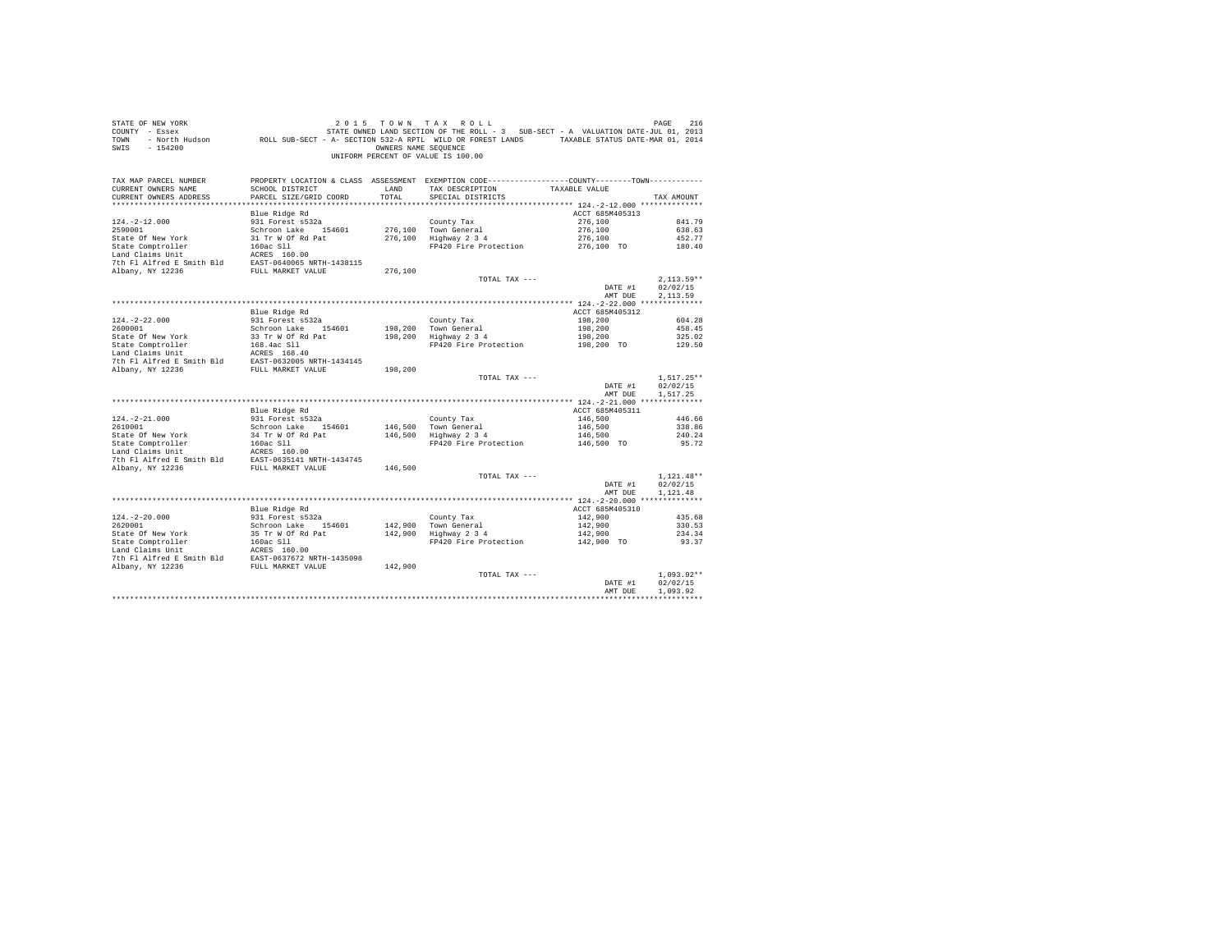| COUNTY - Essex<br>TOWN<br>SWIS<br>$-154200$                                                                                                                                                                                   |                                         | OWNERS NAME SEQUENCE | UNIFORM PERCENT OF VALUE IS 100.00                                                                                                                                                                                                                                                                                             |                           |                          |
|-------------------------------------------------------------------------------------------------------------------------------------------------------------------------------------------------------------------------------|-----------------------------------------|----------------------|--------------------------------------------------------------------------------------------------------------------------------------------------------------------------------------------------------------------------------------------------------------------------------------------------------------------------------|---------------------------|--------------------------|
| TAX MAP PARCEL NUMBER                                                                                                                                                                                                         |                                         |                      | PROPERTY LOCATION & CLASS ASSESSMENT EXEMPTION CODE-----------------COUNTY--------TOWN----------                                                                                                                                                                                                                               |                           |                          |
| CURRENT OWNERS NAME                                                                                                                                                                                                           | SCHOOL DISTRICT                         | LAND                 | TAX DESCRIPTION TAXABLE VALUE                                                                                                                                                                                                                                                                                                  |                           |                          |
| CURRENT OWNERS ADDRESS                                                                                                                                                                                                        | PARCEL SIZE/GRID COORD                  | TOTAL                | SPECIAL DISTRICTS                                                                                                                                                                                                                                                                                                              |                           | TAX AMOUNT               |
|                                                                                                                                                                                                                               |                                         |                      |                                                                                                                                                                                                                                                                                                                                |                           |                          |
|                                                                                                                                                                                                                               | Blue Ridge Rd<br>931 Forest s532a       |                      |                                                                                                                                                                                                                                                                                                                                | ACCT 685M405313           |                          |
| $124. - 2 - 12.000$<br>2590001                                                                                                                                                                                                | Schroon Lake 154601                     |                      | County Tax<br>276,100 Town General                                                                                                                                                                                                                                                                                             | 276,100                   | 841.79<br>638.63         |
|                                                                                                                                                                                                                               |                                         |                      | 276,100 Highway 2 3 4                                                                                                                                                                                                                                                                                                          | 276,100<br>276,100        | 452.77                   |
| 2590001 SCROM SCROM SCROW STATE AND STATE OF NEW STATE CHARGE CONSISTING THE RESULT OF THE PRESS THAT THE PRESS THAT THE PRESS THAT THE PRESS THAT THE PRESS THAT THE PRESS THAT THE PRESS THAT THE PRESS THAT THE PRESS THAT |                                         |                      | FP420 Fire Protection                                                                                                                                                                                                                                                                                                          | $276,100$ TO              | 180.40                   |
|                                                                                                                                                                                                                               |                                         |                      |                                                                                                                                                                                                                                                                                                                                |                           |                          |
|                                                                                                                                                                                                                               |                                         |                      |                                                                                                                                                                                                                                                                                                                                |                           |                          |
|                                                                                                                                                                                                                               |                                         | 276,100              |                                                                                                                                                                                                                                                                                                                                |                           |                          |
|                                                                                                                                                                                                                               |                                         |                      | TOTAL TAX ---                                                                                                                                                                                                                                                                                                                  |                           | $2,113.59**$             |
|                                                                                                                                                                                                                               |                                         |                      |                                                                                                                                                                                                                                                                                                                                | DATE #1                   | 02/02/15                 |
|                                                                                                                                                                                                                               |                                         |                      |                                                                                                                                                                                                                                                                                                                                | AMT DUE                   | 2,113.59                 |
|                                                                                                                                                                                                                               |                                         |                      |                                                                                                                                                                                                                                                                                                                                |                           |                          |
|                                                                                                                                                                                                                               | Blue Ridge Rd                           |                      |                                                                                                                                                                                                                                                                                                                                | ACCT 685M405312           |                          |
| $124. -2 - 22.000$                                                                                                                                                                                                            | 931 Forest s532a                        |                      | County Tax<br>198,200 Town General<br>198,200 Highway 2 3 4                                                                                                                                                                                                                                                                    | 198,200                   | 604.28                   |
|                                                                                                                                                                                                                               |                                         |                      |                                                                                                                                                                                                                                                                                                                                | 198,200                   | 458.45                   |
|                                                                                                                                                                                                                               |                                         |                      |                                                                                                                                                                                                                                                                                                                                | 198,200                   | 325.02                   |
|                                                                                                                                                                                                                               |                                         |                      | FP420 Fire Protection 198.200 TO                                                                                                                                                                                                                                                                                               |                           | 129.50                   |
|                                                                                                                                                                                                                               |                                         |                      |                                                                                                                                                                                                                                                                                                                                |                           |                          |
|                                                                                                                                                                                                                               |                                         | 198,200              |                                                                                                                                                                                                                                                                                                                                |                           |                          |
|                                                                                                                                                                                                                               |                                         |                      | TOTAL TAX ---                                                                                                                                                                                                                                                                                                                  |                           | $1.517.25**$             |
|                                                                                                                                                                                                                               |                                         |                      |                                                                                                                                                                                                                                                                                                                                | DATE #1                   | 02/02/15                 |
|                                                                                                                                                                                                                               |                                         |                      |                                                                                                                                                                                                                                                                                                                                | AMT DUE                   | 1,517.25                 |
|                                                                                                                                                                                                                               |                                         |                      |                                                                                                                                                                                                                                                                                                                                |                           |                          |
|                                                                                                                                                                                                                               | Blue Ridge Rd                           |                      |                                                                                                                                                                                                                                                                                                                                | ACCT 685M405311           |                          |
| $124. - 2 - 21.000$                                                                                                                                                                                                           | 931 Forest s532a<br>Schroon Lake 154601 |                      | County Tax<br>146,500 Town General<br>146,500 Highway 2 3 4                                                                                                                                                                                                                                                                    | 146,500                   | 446.66                   |
| 2610001                                                                                                                                                                                                                       |                                         |                      |                                                                                                                                                                                                                                                                                                                                | 146,500                   | 338.86                   |
|                                                                                                                                                                                                                               |                                         |                      |                                                                                                                                                                                                                                                                                                                                | $146,500$<br>$146,500$ TO | 240.24                   |
|                                                                                                                                                                                                                               |                                         |                      | FP420 Fire Protection                                                                                                                                                                                                                                                                                                          |                           | 95.72                    |
|                                                                                                                                                                                                                               |                                         |                      |                                                                                                                                                                                                                                                                                                                                |                           |                          |
|                                                                                                                                                                                                                               |                                         |                      |                                                                                                                                                                                                                                                                                                                                |                           |                          |
|                                                                                                                                                                                                                               |                                         |                      | TOTAL TAX ---                                                                                                                                                                                                                                                                                                                  |                           | $1.121.48**$             |
|                                                                                                                                                                                                                               |                                         |                      |                                                                                                                                                                                                                                                                                                                                | DATE #1                   | 02/02/15                 |
|                                                                                                                                                                                                                               |                                         |                      |                                                                                                                                                                                                                                                                                                                                | AMT DUE                   | 1.121.48                 |
|                                                                                                                                                                                                                               |                                         |                      |                                                                                                                                                                                                                                                                                                                                |                           |                          |
|                                                                                                                                                                                                                               | Blue Ridge Rd                           |                      |                                                                                                                                                                                                                                                                                                                                | ACCT 685M405310           |                          |
|                                                                                                                                                                                                                               |                                         |                      |                                                                                                                                                                                                                                                                                                                                | 142,900                   | 435.68                   |
|                                                                                                                                                                                                                               |                                         |                      |                                                                                                                                                                                                                                                                                                                                |                           |                          |
|                                                                                                                                                                                                                               |                                         |                      | County Tax<br>142,900 Town General<br>142,900 Highway 2 3 4<br>$\begin{array}{llll} \texttt{Tom} & \texttt{General} & \texttt{142,900} & \texttt{330.53} \\ \texttt{Highday 2 3 4} & \texttt{142,900} & \texttt{234.34} \\ \texttt{FP420} & \texttt{Pre201} & \texttt{142,900} & \texttt{70} & \texttt{234.37} \\ \end{array}$ |                           |                          |
|                                                                                                                                                                                                                               |                                         |                      |                                                                                                                                                                                                                                                                                                                                |                           |                          |
|                                                                                                                                                                                                                               |                                         |                      |                                                                                                                                                                                                                                                                                                                                |                           |                          |
|                                                                                                                                                                                                                               |                                         |                      |                                                                                                                                                                                                                                                                                                                                |                           |                          |
|                                                                                                                                                                                                                               |                                         | 142,900              |                                                                                                                                                                                                                                                                                                                                |                           |                          |
|                                                                                                                                                                                                                               |                                         |                      | TOTAL TAX ---                                                                                                                                                                                                                                                                                                                  | DATE #1                   | $1.093.92**$<br>02/02/15 |
|                                                                                                                                                                                                                               |                                         |                      |                                                                                                                                                                                                                                                                                                                                | AMT DUE                   | 1,093.92                 |
|                                                                                                                                                                                                                               |                                         |                      |                                                                                                                                                                                                                                                                                                                                |                           |                          |
|                                                                                                                                                                                                                               |                                         |                      |                                                                                                                                                                                                                                                                                                                                |                           |                          |

STATE OF NEW YORK **2015** TOWN TAX ROLL **DATE OF NEW YORK** 216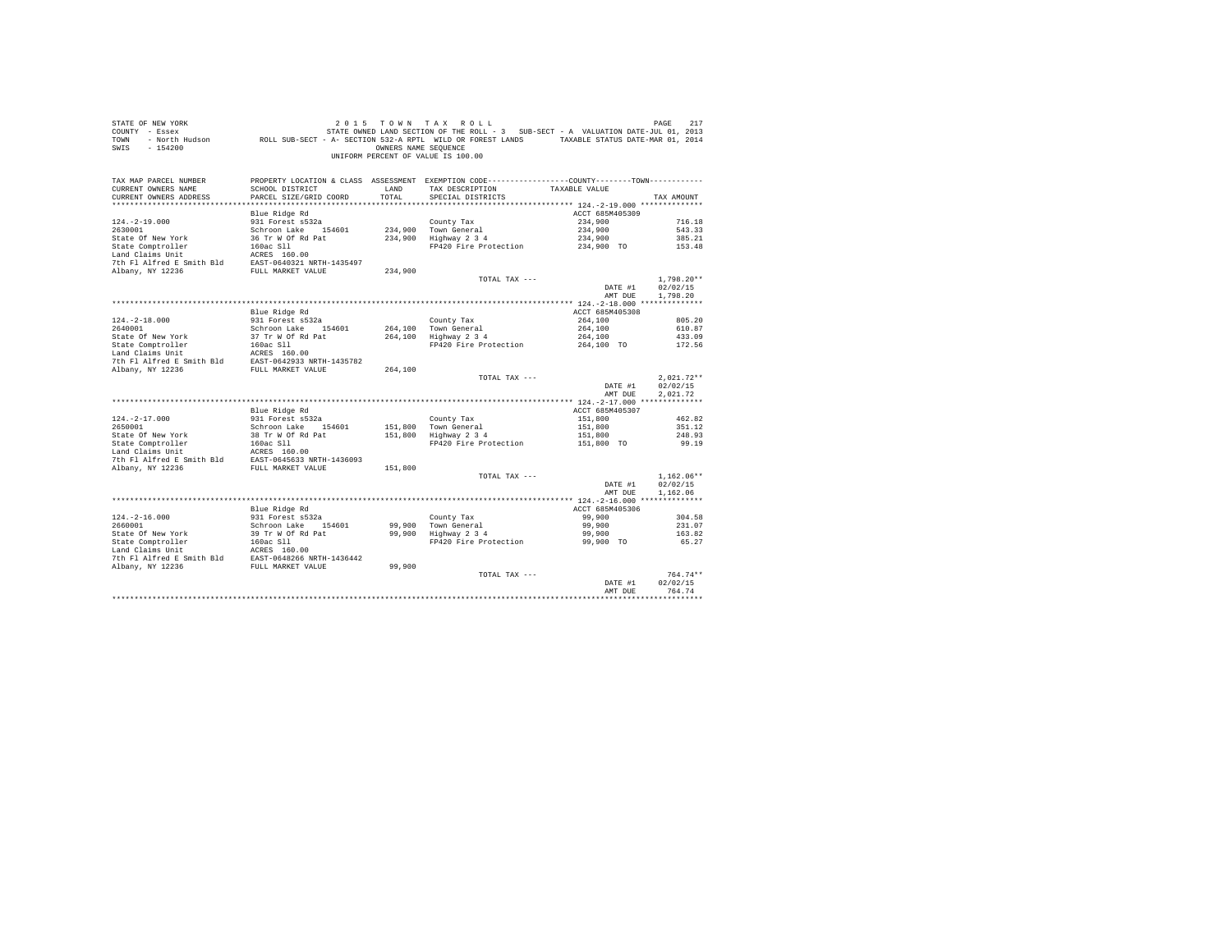| STATE OF NEW YORK<br>COUNTY - Essex<br>TOWN<br>$-154200$<br>SWIS                                                                                                                              |                                         | OWNERS NAME SEOUENCE | 2015 TOWN TAX ROLL<br>UF NEW YORK I AU I TAX KULL SUIT (UP ALL AU DE PASE INT)<br>2013 - Essex STATE OWNED LAND SECTION OF THE ROLL - 3 SUB-SECT - A VALUATION DATE-JUL 01, 2013<br>- North Hudson     ROLL SUB-SECT - A-SECTION 532-A RPTL WILD OR FOREST<br>UNIFORM PERCENT OF VALUE IS 100.00 |                            | 217<br>PAGE          |
|-----------------------------------------------------------------------------------------------------------------------------------------------------------------------------------------------|-----------------------------------------|----------------------|--------------------------------------------------------------------------------------------------------------------------------------------------------------------------------------------------------------------------------------------------------------------------------------------------|----------------------------|----------------------|
| TAX MAP PARCEL NUMBER<br>CURRENT OWNERS NAME                                                                                                                                                  | SCHOOL DISTRICT                         | LAND                 | PROPERTY LOCATION & CLASS ASSESSMENT EXEMPTION CODE----------------COUNTY-------TOWN----------<br>TAX DESCRIPTION TAXABLE VALUE                                                                                                                                                                  |                            |                      |
| CURRENT OWNERS ADDRESS                                                                                                                                                                        | PARCEL SIZE/GRID COORD                  | TOTAL                | SPECIAL DISTRICTS                                                                                                                                                                                                                                                                                |                            | TAX AMOUNT           |
|                                                                                                                                                                                               |                                         |                      |                                                                                                                                                                                                                                                                                                  |                            |                      |
|                                                                                                                                                                                               | Blue Ridge Rd<br>931 Forest s532a       |                      |                                                                                                                                                                                                                                                                                                  | ACCT 685M405309<br>234,900 | 716.18               |
| $124. -2 - 19.000$<br>2630001                                                                                                                                                                 | Schroon Lake 154601                     |                      | County Tax<br>234,900 Town General                                                                                                                                                                                                                                                               | 234,900                    | 543.33               |
|                                                                                                                                                                                               |                                         |                      | 234,900 - Iown General<br>234,900 - Highway 2 3 4                                                                                                                                                                                                                                                | 234,900                    | 385.21               |
|                                                                                                                                                                                               |                                         |                      | FP420 Fire Protection                                                                                                                                                                                                                                                                            | 234,900 TO                 | 153.48               |
|                                                                                                                                                                                               |                                         |                      |                                                                                                                                                                                                                                                                                                  |                            |                      |
|                                                                                                                                                                                               |                                         |                      |                                                                                                                                                                                                                                                                                                  |                            |                      |
|                                                                                                                                                                                               |                                         | 234,900              |                                                                                                                                                                                                                                                                                                  |                            |                      |
|                                                                                                                                                                                               |                                         |                      | TOTAL TAX ---                                                                                                                                                                                                                                                                                    |                            | $1.798.20**$         |
|                                                                                                                                                                                               |                                         |                      |                                                                                                                                                                                                                                                                                                  | DATE #1                    | 02/02/15             |
|                                                                                                                                                                                               |                                         |                      |                                                                                                                                                                                                                                                                                                  | AMT DUE                    | 1,798.20             |
|                                                                                                                                                                                               |                                         |                      |                                                                                                                                                                                                                                                                                                  |                            |                      |
|                                                                                                                                                                                               | Blue Ridge Rd                           |                      |                                                                                                                                                                                                                                                                                                  | ACCT 685M405308            |                      |
| $124. - 2 - 18.000$<br>2640001                                                                                                                                                                | 931 Forest s532a<br>Schroon Lake 154601 |                      | County Tax<br>264,100 Town General                                                                                                                                                                                                                                                               | 264,100<br>264,100         | 805.20<br>610.87     |
|                                                                                                                                                                                               |                                         |                      | 264,100   Town General<br>264,100   Highway 2 3 4                                                                                                                                                                                                                                                |                            |                      |
|                                                                                                                                                                                               |                                         |                      |                                                                                                                                                                                                                                                                                                  |                            |                      |
|                                                                                                                                                                                               |                                         |                      |                                                                                                                                                                                                                                                                                                  |                            |                      |
|                                                                                                                                                                                               |                                         |                      |                                                                                                                                                                                                                                                                                                  |                            |                      |
|                                                                                                                                                                                               |                                         | 264,100              |                                                                                                                                                                                                                                                                                                  |                            |                      |
|                                                                                                                                                                                               |                                         |                      | TOTAL TAX ---                                                                                                                                                                                                                                                                                    |                            | $2.021.72**$         |
|                                                                                                                                                                                               |                                         |                      |                                                                                                                                                                                                                                                                                                  | DATE #1<br>AMT DUE         | 02/02/15<br>2.021.72 |
|                                                                                                                                                                                               |                                         |                      |                                                                                                                                                                                                                                                                                                  |                            |                      |
|                                                                                                                                                                                               | Blue Ridge Rd                           |                      |                                                                                                                                                                                                                                                                                                  | ACCT 685M405307            |                      |
| $124. - 2 - 17.000$                                                                                                                                                                           | 931 Forest s532a                        |                      | County Tax                                                                                                                                                                                                                                                                                       | 151,800                    | 462.82               |
| 2650001                                                                                                                                                                                       | Schroon Lake 154601                     |                      | 151,800 Town General                                                                                                                                                                                                                                                                             | 151,800                    | 351.12               |
| State of New York 38 Tr W of Rd Pat<br>Land Claims Unit<br>Land Claims Unit<br>Land Claims Unit<br>The Fl Alfred E Smith Bld<br>Rows 2004 State of Pat<br>Albany, NY 12236<br>NDany, NY 12236 |                                         |                      | $151,800$ Highway 2 3 4                                                                                                                                                                                                                                                                          | 151,800                    | 248.93               |
|                                                                                                                                                                                               |                                         |                      | FP420 Fire Protection                                                                                                                                                                                                                                                                            | 151,800 TO                 | 99.19                |
|                                                                                                                                                                                               |                                         |                      |                                                                                                                                                                                                                                                                                                  |                            |                      |
|                                                                                                                                                                                               |                                         | 151,800              |                                                                                                                                                                                                                                                                                                  |                            |                      |
|                                                                                                                                                                                               |                                         |                      | TOTAL TAX ---                                                                                                                                                                                                                                                                                    |                            | $1.162.06**$         |
|                                                                                                                                                                                               |                                         |                      |                                                                                                                                                                                                                                                                                                  | DATE #1                    | 02/02/15             |
|                                                                                                                                                                                               |                                         |                      |                                                                                                                                                                                                                                                                                                  | AMT DUE                    | 1.162.06             |
|                                                                                                                                                                                               |                                         |                      |                                                                                                                                                                                                                                                                                                  |                            |                      |
|                                                                                                                                                                                               | Blue Ridge Rd                           |                      |                                                                                                                                                                                                                                                                                                  | ACCT 685M405306            |                      |
| $124. - 2 - 16.000$                                                                                                                                                                           | 931 Forest s532a<br>Schroon Lake 154601 |                      | County Tax                                                                                                                                                                                                                                                                                       | 99,900                     | 304.58               |
|                                                                                                                                                                                               |                                         |                      |                                                                                                                                                                                                                                                                                                  | 99,900                     | 231.07               |
|                                                                                                                                                                                               |                                         |                      | FP420 Fire Protection                                                                                                                                                                                                                                                                            | 99,900<br>99,900 TO        | 163.82<br>65.27      |
|                                                                                                                                                                                               |                                         |                      |                                                                                                                                                                                                                                                                                                  |                            |                      |
|                                                                                                                                                                                               |                                         |                      |                                                                                                                                                                                                                                                                                                  |                            |                      |
|                                                                                                                                                                                               |                                         |                      |                                                                                                                                                                                                                                                                                                  |                            |                      |
|                                                                                                                                                                                               |                                         |                      | TOTAL TAX ---                                                                                                                                                                                                                                                                                    |                            | $764.74**$           |
|                                                                                                                                                                                               |                                         |                      |                                                                                                                                                                                                                                                                                                  | DATE #1                    | 02/02/15             |
|                                                                                                                                                                                               |                                         |                      |                                                                                                                                                                                                                                                                                                  | AMT DUE                    | 764.74               |
|                                                                                                                                                                                               |                                         |                      |                                                                                                                                                                                                                                                                                                  |                            | ******************   |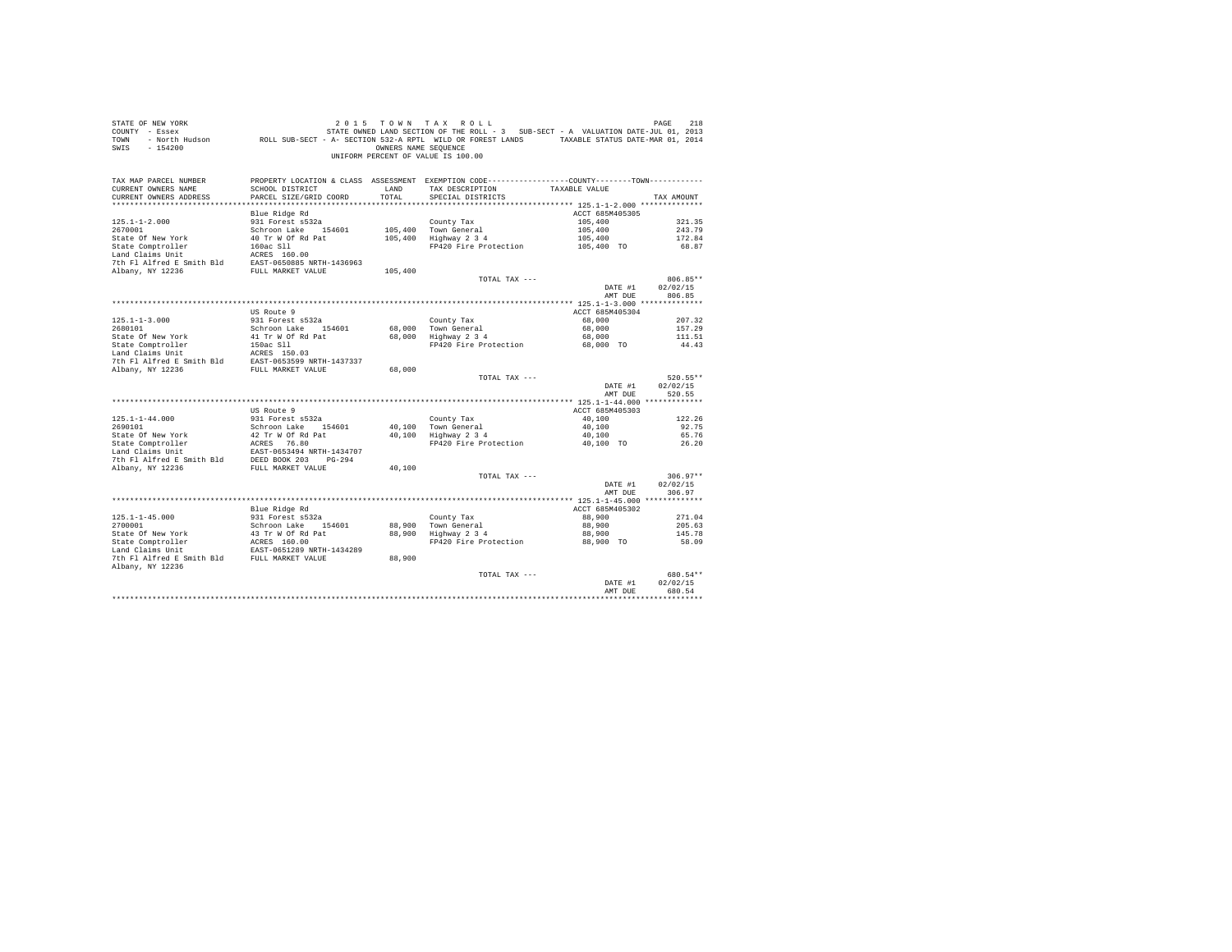| STATE OF NEW YORK<br>COUNTY - Essex<br>TOWN<br>$-154200$<br>SWIS                                                                                                                                                                       | יר אחת ועתה אינו בינו או אינו בא בינו או אינו באמצע בינו או אינו באמצע בינו או אינו בינו או באמצע בינו בינו או<br>2013 STATE OWNED LAND SECTION OF THE ROLL - 3 SUB-SECT - A VALUATION DATE-JUL 01, 2013<br>DATE-MAR 01, 2014 - ROL | OWNERS NAME SEOUENCE | 2015 TOWN TAX ROLL<br>UNIFORM PERCENT OF VALUE IS 100.00                                                                               |                    | PAGE<br>218        |
|----------------------------------------------------------------------------------------------------------------------------------------------------------------------------------------------------------------------------------------|-------------------------------------------------------------------------------------------------------------------------------------------------------------------------------------------------------------------------------------|----------------------|----------------------------------------------------------------------------------------------------------------------------------------|--------------------|--------------------|
| TAX MAP PARCEL NUMBER<br>CURRENT OWNERS NAME<br>CURRENT OWNERS ADDRESS                                                                                                                                                                 | SCHOOL DISTRICT<br>PARCEL SIZE/GRID COORD                                                                                                                                                                                           | LAND<br>TOTAL        | PROPERTY LOCATION & CLASS ASSESSMENT EXEMPTION CODE----------------COUNTY-------TOWN----------<br>TAX DESCRIPTION<br>SPECIAL DISTRICTS | TAXABLE VALUE      | TAX AMOUNT         |
|                                                                                                                                                                                                                                        | Blue Ridge Rd                                                                                                                                                                                                                       |                      |                                                                                                                                        | ACCT 685M405305    |                    |
| $125.1 - 1 - 2.000$                                                                                                                                                                                                                    | 931 Forest s532a                                                                                                                                                                                                                    |                      | County Tax                                                                                                                             | 105,400            | 321.35             |
| 2670001                                                                                                                                                                                                                                | Schroon Lake 154601                                                                                                                                                                                                                 |                      | 105,400 Town General                                                                                                                   | 105,400            | 243.79             |
| State Of New York                                                                                                                                                                                                                      | 40 Tr W Of Rd Pat                                                                                                                                                                                                                   |                      | 105,400 Highway 2 3 4                                                                                                                  | 105,400            | 172.84             |
| State Comptroller 160ac Sll<br>Land Claims Unit 160ac Sll<br>160.00                                                                                                                                                                    |                                                                                                                                                                                                                                     |                      | FP420 Fire Protection 105,400 TO                                                                                                       |                    | 68.87              |
|                                                                                                                                                                                                                                        |                                                                                                                                                                                                                                     |                      |                                                                                                                                        |                    |                    |
| 7th Fl Alfred E Smith Bld EAST-0650885 NRTH-1436963<br>Albany, NY 12236                                                                                                                                                                | FULL MARKET VALUE                                                                                                                                                                                                                   | 105,400              |                                                                                                                                        |                    |                    |
|                                                                                                                                                                                                                                        |                                                                                                                                                                                                                                     |                      | TOTAL TAX ---                                                                                                                          |                    | 806.85**           |
|                                                                                                                                                                                                                                        |                                                                                                                                                                                                                                     |                      |                                                                                                                                        | DATE #1            | 02/02/15           |
|                                                                                                                                                                                                                                        |                                                                                                                                                                                                                                     |                      |                                                                                                                                        | AMT DUE            | 806.85             |
|                                                                                                                                                                                                                                        |                                                                                                                                                                                                                                     |                      |                                                                                                                                        |                    |                    |
|                                                                                                                                                                                                                                        | US Route 9                                                                                                                                                                                                                          |                      |                                                                                                                                        | ACCT 685M405304    |                    |
| $125.1 - 1 - 3.000$<br>2680101                                                                                                                                                                                                         | 931 Forest s532a<br>Schroon Lake 154601                                                                                                                                                                                             |                      | County Tax                                                                                                                             | 68,000<br>68,000   | 207.32<br>157.29   |
| State Of New York                                                                                                                                                                                                                      | 41 Tr W Of Rd Pat                                                                                                                                                                                                                   |                      | 68,000 Town General<br>68,000 Highway 2 3 4                                                                                            | 68,000             | 111.51             |
|                                                                                                                                                                                                                                        |                                                                                                                                                                                                                                     |                      | FP420 Fire Protection 68,000 TO                                                                                                        |                    | 44.43              |
|                                                                                                                                                                                                                                        |                                                                                                                                                                                                                                     |                      |                                                                                                                                        |                    |                    |
| State Comptroller 150ac S11<br>1914 - 11 no Roll Land Claims Unit<br>1914 - 1916 - 1916 - 1920<br>2017 - 1917 - 19236 - 1924 - 1924 - 1924 - 1924 - 1924<br>20236 - 1924 - 19236 - 1924 - 1925 - 1925 - 1925 - 1925 - 1925 - 1925 - 19 |                                                                                                                                                                                                                                     |                      |                                                                                                                                        |                    |                    |
|                                                                                                                                                                                                                                        |                                                                                                                                                                                                                                     | 68,000               | TOTAL TAX ---                                                                                                                          |                    | 520.55**           |
|                                                                                                                                                                                                                                        |                                                                                                                                                                                                                                     |                      |                                                                                                                                        | DATE #1<br>AMT DUE | 02/02/15<br>520.55 |
|                                                                                                                                                                                                                                        |                                                                                                                                                                                                                                     |                      |                                                                                                                                        |                    |                    |
|                                                                                                                                                                                                                                        | US Route 9                                                                                                                                                                                                                          |                      |                                                                                                                                        | ACCT 685M405303    |                    |
| $125.1 - 1 - 44.000$                                                                                                                                                                                                                   | 931 Forest s532a                                                                                                                                                                                                                    |                      | County Tax                                                                                                                             | 40,100             | 122.26             |
| 2690101                                                                                                                                                                                                                                | Schroon Lake 154601                                                                                                                                                                                                                 |                      | 40.100 Town General<br>40,100 Highway 2 3 4                                                                                            | 40,100<br>40,100   | 92.75<br>65.76     |
| State Of New York 50 and 42 Tr W Of Rd Pat 1981<br>State Comptroller 1982 ACRES 76.80<br>Land Claims Unit 1982 RAST-0653494 NRTH-1434707                                                                                               |                                                                                                                                                                                                                                     |                      | FP420 Fire Protection                                                                                                                  | 40,100 TO          | 26.20              |
|                                                                                                                                                                                                                                        |                                                                                                                                                                                                                                     |                      |                                                                                                                                        |                    |                    |
| $\begin{tabular}{lllllllllllll} \texttt{Land Clains Unit} & \texttt{EAST-0653494 NETH-1434707} \\ \texttt{7th Fl Alfred E Smith Bld} & \texttt{DEED BOK 203} & \texttt{PG-294} \end{tabular}$                                          |                                                                                                                                                                                                                                     |                      |                                                                                                                                        |                    |                    |
| Albany, NY 12236                                                                                                                                                                                                                       | FULL MARKET VALUE                                                                                                                                                                                                                   | 40,100               |                                                                                                                                        |                    |                    |
|                                                                                                                                                                                                                                        |                                                                                                                                                                                                                                     |                      | TOTAL TAX ---                                                                                                                          |                    | $306.97**$         |
|                                                                                                                                                                                                                                        |                                                                                                                                                                                                                                     |                      |                                                                                                                                        | DATE #1<br>AMT DUE | 02/02/15<br>306.97 |
|                                                                                                                                                                                                                                        |                                                                                                                                                                                                                                     |                      |                                                                                                                                        |                    |                    |
|                                                                                                                                                                                                                                        | Blue Ridge Rd                                                                                                                                                                                                                       |                      |                                                                                                                                        | ACCT 685M405302    |                    |
| $125.1 - 1 - 45.000$                                                                                                                                                                                                                   |                                                                                                                                                                                                                                     |                      | County Tax                                                                                                                             | 88,900             | 271.04             |
| 2700001                                                                                                                                                                                                                                | 931 Forest s532a<br>Schroon Lake 154601                                                                                                                                                                                             |                      | 88,900 Town General<br>88,900 Highway 2 3 4                                                                                            | 88,900             | 205.63             |
| State Of New York And Tr W Of Rd Pat Comptroller AGRES 160.00<br>State Comptroller AGRES 160.00<br>Land Claims Unit EAST-0651289 NRTH-1434289                                                                                          |                                                                                                                                                                                                                                     |                      |                                                                                                                                        | 88,900             | 145.78             |
|                                                                                                                                                                                                                                        |                                                                                                                                                                                                                                     |                      | FP420 Fire Protection                                                                                                                  | 88,900 TO          | 58.09              |
| 7th Fl Alfred E Smith Bld FULL MARKET VALUE                                                                                                                                                                                            |                                                                                                                                                                                                                                     | 88,900               |                                                                                                                                        |                    |                    |
| Albany, NY 12236                                                                                                                                                                                                                       |                                                                                                                                                                                                                                     |                      |                                                                                                                                        |                    |                    |
|                                                                                                                                                                                                                                        |                                                                                                                                                                                                                                     |                      | TOTAL TAX ---                                                                                                                          |                    | 680.54**           |
|                                                                                                                                                                                                                                        |                                                                                                                                                                                                                                     |                      |                                                                                                                                        | DATE #1            | 02/02/15           |
|                                                                                                                                                                                                                                        |                                                                                                                                                                                                                                     |                      |                                                                                                                                        | AMT DUE            | 680.54             |
|                                                                                                                                                                                                                                        |                                                                                                                                                                                                                                     |                      |                                                                                                                                        |                    |                    |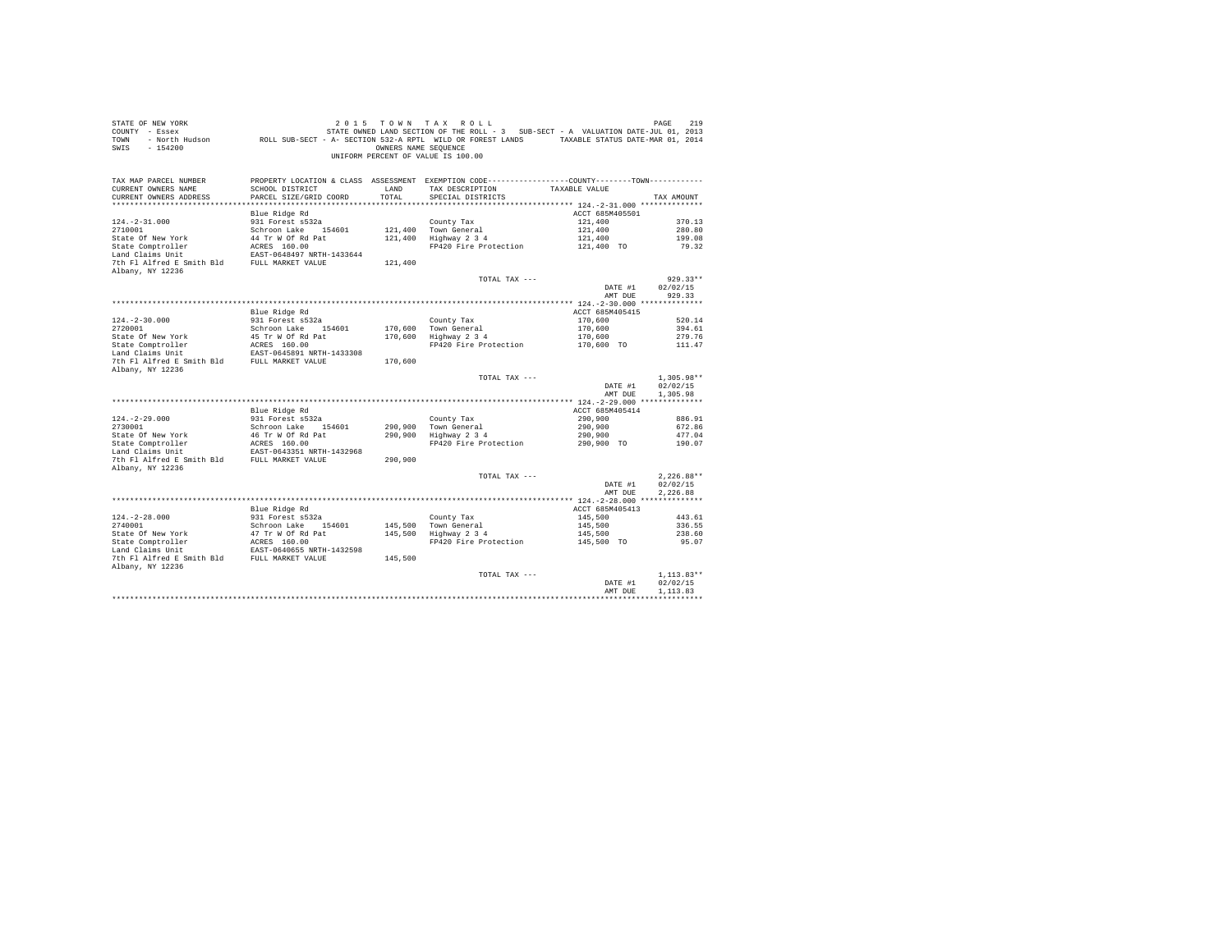| STATE OF NEW YORK<br>COUNTY - Essex<br>TOWN<br>$-154200$<br>SWIS       |                                                                | OWNERS NAME SEOUENCE | 2015 TOWN TAX ROLL<br>STATE OWNED LAND SECTION OF THE ROLL - 3 SUB-SECT - A VALUATION DATE-JUL 01, 2013<br>- North Hudson ROLL SUB-SECT - A- SECTION 532-A RPTL WILD OR FOREST LANDS TAXABLE STATUS DATE-MAR 01, 2014<br>UNIFORM PERCENT OF VALUE IS 100.00 |                    | PAGE<br>219          |
|------------------------------------------------------------------------|----------------------------------------------------------------|----------------------|-------------------------------------------------------------------------------------------------------------------------------------------------------------------------------------------------------------------------------------------------------------|--------------------|----------------------|
| TAX MAP PARCEL NUMBER<br>CURRENT OWNERS NAME<br>CURRENT OWNERS ADDRESS | SCHOOL DISTRICT<br>PARCEL SIZE/GRID COORD                      | LAND<br>TOTAL        | PROPERTY LOCATION & CLASS ASSESSMENT EXEMPTION CODE---------------COUNTY-------TOWN---------<br>TAX DESCRIPTION<br>SPECIAL DISTRICTS                                                                                                                        | TAXABLE VALUE      | TAX AMOUNT           |
|                                                                        | Blue Ridge Rd                                                  |                      |                                                                                                                                                                                                                                                             | ACCT 685M405501    |                      |
| $124. -2 - 31.000$                                                     | 931 Forest s532a                                               |                      | County Tax                                                                                                                                                                                                                                                  | 121,400            | 370.13               |
| 2710001                                                                | Schroon Lake 154601                                            |                      | 121,400 Town General                                                                                                                                                                                                                                        | 121,400            | 280.80               |
| State Of New York                                                      | 44 Tr W Of Rd Pat                                              |                      | 121,400 Highway 2 3 4                                                                                                                                                                                                                                       | 121,400            | 199.08               |
| State Comptroller                                                      | ACRES 160.00                                                   |                      | FP420 Fire Protection                                                                                                                                                                                                                                       | 121,400 TO         | 79.32                |
| Land Claims Unit                                                       | EAST-0648497 NRTH-1433644                                      |                      |                                                                                                                                                                                                                                                             |                    |                      |
| 7th Fl Alfred E Smith Bld FULL MARKET VALUE                            |                                                                | 121,400              |                                                                                                                                                                                                                                                             |                    |                      |
| Albany, NY 12236                                                       |                                                                |                      | TOTAL TAX ---                                                                                                                                                                                                                                               |                    | $929.33**$           |
|                                                                        |                                                                |                      |                                                                                                                                                                                                                                                             | DATE #1            | 02/02/15             |
|                                                                        |                                                                |                      |                                                                                                                                                                                                                                                             | AMT DUE            | 929.33               |
|                                                                        |                                                                |                      |                                                                                                                                                                                                                                                             |                    |                      |
|                                                                        | Blue Ridge Rd                                                  |                      |                                                                                                                                                                                                                                                             | ACCT 685M405415    |                      |
| $124. - 2 - 30.000$                                                    | 931 Forest s532a                                               |                      | County Tax                                                                                                                                                                                                                                                  | 170,600            | 520.14               |
| 2720001                                                                | Schroon Lake 154601                                            |                      | 170,600 Town General                                                                                                                                                                                                                                        | 170,600            | 394.61               |
| State Of New York                                                      | 45 Tr W Of Rd Pat                                              |                      | 170,600 Highway 2 3 4                                                                                                                                                                                                                                       | 170,600            | 279.76               |
| State Comptroller<br>Land Claims Unit                                  | ACRES 160.00<br>EAST-0645891 NRTH-1433308                      |                      | FP420 Fire Protection                                                                                                                                                                                                                                       | 170,600 TO         | 111.47               |
|                                                                        |                                                                |                      |                                                                                                                                                                                                                                                             |                    |                      |
| 7th Fl Alfred E Smith Bld FULL MARKET VALUE                            |                                                                | 170,600              |                                                                                                                                                                                                                                                             |                    |                      |
| Albany, NY 12236                                                       |                                                                |                      | TOTAL TAX ---                                                                                                                                                                                                                                               |                    | $1,305.98**$         |
|                                                                        |                                                                |                      |                                                                                                                                                                                                                                                             | DATE #1<br>AMT DUE | 02/02/15<br>1,305.98 |
|                                                                        |                                                                |                      |                                                                                                                                                                                                                                                             |                    |                      |
|                                                                        | Blue Ridge Rd                                                  |                      |                                                                                                                                                                                                                                                             | ACCT 685M405414    |                      |
| $124. -2 - 29.000$                                                     | 931 Forest s532a                                               |                      | County Tax                                                                                                                                                                                                                                                  | 290,900            | 886.91               |
| 2730001                                                                | Schroon Lake 154601                                            |                      | 290.900 Town General                                                                                                                                                                                                                                        | 290,900            | 672.86               |
| 2730001<br>State Of New York<br>State Comptroller                      | 46 Tr W Of Rd Pat<br>ACRES 160.00                              |                      | 290,900 Highway 2 3 4                                                                                                                                                                                                                                       | 290,900            | 477.04               |
|                                                                        |                                                                |                      | FP420 Fire Protection                                                                                                                                                                                                                                       | 290,900 TO         | 190.07               |
| 7th Fl Alfred E Smith Bld FULL MARKET VALUE                            | EAST-0643351 NRTH-1432968                                      | 290.900              |                                                                                                                                                                                                                                                             |                    |                      |
| Albany, NY 12236                                                       |                                                                |                      |                                                                                                                                                                                                                                                             |                    |                      |
|                                                                        |                                                                |                      | TOTAL TAX ---                                                                                                                                                                                                                                               |                    | $2.226.88**$         |
|                                                                        |                                                                |                      |                                                                                                                                                                                                                                                             | DATE #1            | 02/02/15             |
|                                                                        |                                                                |                      |                                                                                                                                                                                                                                                             | AMT DUE            | 2.226.88             |
|                                                                        |                                                                |                      |                                                                                                                                                                                                                                                             |                    |                      |
|                                                                        | Blue Ridge Rd                                                  |                      |                                                                                                                                                                                                                                                             | ACCT 685M405413    |                      |
| $124. -2 - 28.000$                                                     | 931 Forest s532a                                               |                      | County Tax                                                                                                                                                                                                                                                  | 145,500            | 443.61               |
|                                                                        | Schroon Lake 154601                                            |                      | 145,500 Town General<br>145,500 Highway 2 3 4                                                                                                                                                                                                               | 145,500            | 336.55               |
| 2740001<br>State Of New York<br>State Comptroller<br>Trains Unit       | 47 Tr W Of Rd Pat<br>ACRES 160.00<br>EAST-0640655 NRTH-1432598 |                      |                                                                                                                                                                                                                                                             | 145,500            | 238.60               |
|                                                                        |                                                                |                      | FP420 Fire Protection                                                                                                                                                                                                                                       | 145,500 TO         | 95.07                |
|                                                                        |                                                                |                      |                                                                                                                                                                                                                                                             |                    |                      |
| 7th Fl Alfred E Smith Bld FULL MARKET VALUE<br>Albany, NY 12236        |                                                                | 145,500              |                                                                                                                                                                                                                                                             |                    |                      |
|                                                                        |                                                                |                      | TOTAL TAX ---                                                                                                                                                                                                                                               |                    | $1.113.83**$         |
|                                                                        |                                                                |                      |                                                                                                                                                                                                                                                             | DATE #1            | 02/02/15             |
|                                                                        |                                                                |                      |                                                                                                                                                                                                                                                             | AMT DUE            | 1,113.83             |
|                                                                        |                                                                |                      |                                                                                                                                                                                                                                                             |                    |                      |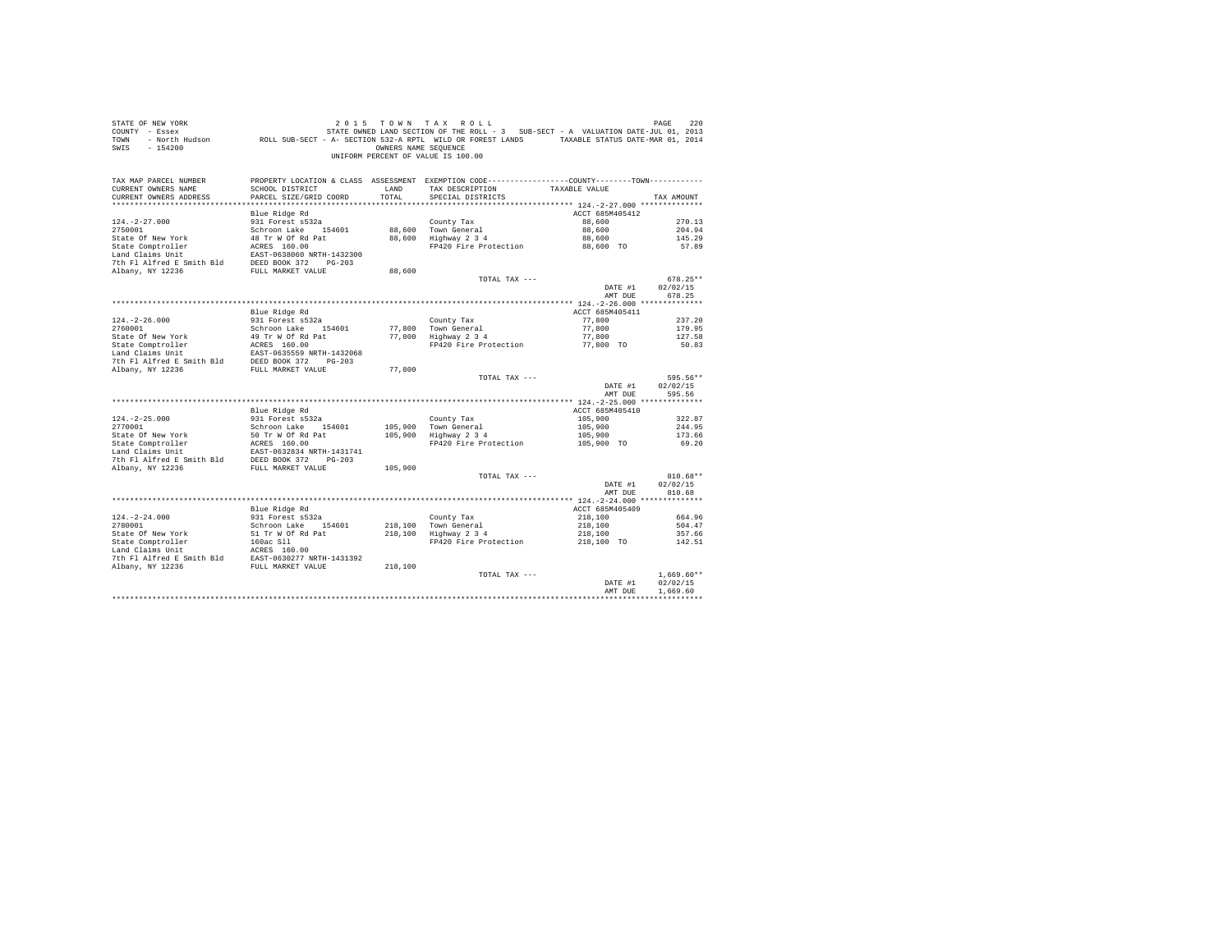| STATE OF NEW YORK<br>COUNTY - Essex<br>TOWN<br>SWIS<br>$-154200$                                                                                                                                                                      |                                           | OWNERS NAME SEOUENCE | 2015 TOWN TAX ROLL<br>UF NEW YORK TO A TAX HOULD TO WELL AND TREE ROLL AND TREE ROLL TO A TANK TO PAGE THE ROLL TO A VALUATION DATE<br>2013 STATE OWNED LAND SECTION OF THE ROLL - 3 SUB-SECT - A VALUATION DATE-JUL 01, 2013<br>- North Hudson         RO<br>UNIFORM PERCENT OF VALUE IS 100.00 |                    | PAGE<br>220                    |
|---------------------------------------------------------------------------------------------------------------------------------------------------------------------------------------------------------------------------------------|-------------------------------------------|----------------------|--------------------------------------------------------------------------------------------------------------------------------------------------------------------------------------------------------------------------------------------------------------------------------------------------|--------------------|--------------------------------|
| TAX MAP PARCEL NUMBER<br>CURRENT OWNERS NAME<br>CURRENT OWNERS ADDRESS                                                                                                                                                                | SCHOOL DISTRICT<br>PARCEL SIZE/GRID COORD | LAND<br>TOTAL        | PROPERTY LOCATION & CLASS ASSESSMENT EXEMPTION CODE---------------COUNTY-------TOWN---------<br>TAX DESCRIPTION TAXABLE VALUE<br>SPECIAL DISTRICTS                                                                                                                                               |                    | TAX AMOUNT                     |
|                                                                                                                                                                                                                                       | Blue Ridge Rd                             |                      |                                                                                                                                                                                                                                                                                                  | ACCT 685M405412    |                                |
| $124. -2 - 27.000$                                                                                                                                                                                                                    | 931 Forest s532a                          |                      | County Tax                                                                                                                                                                                                                                                                                       | 88,600             | 270.13                         |
| 2750001                                                                                                                                                                                                                               | Schroon Lake 154601                       |                      | 88,600 Town General                                                                                                                                                                                                                                                                              | 88,600             | 204.94                         |
|                                                                                                                                                                                                                                       |                                           |                      | 88,600 Hown General<br>88,600 Highway 2 3 4                                                                                                                                                                                                                                                      | 88,600             | 145.29                         |
|                                                                                                                                                                                                                                       |                                           |                      | FP420 Fire Protection 88,600 TO                                                                                                                                                                                                                                                                  |                    | 57.89                          |
|                                                                                                                                                                                                                                       |                                           |                      |                                                                                                                                                                                                                                                                                                  |                    |                                |
|                                                                                                                                                                                                                                       |                                           |                      |                                                                                                                                                                                                                                                                                                  |                    |                                |
|                                                                                                                                                                                                                                       |                                           | 88,600               | TOTAL TAX ---                                                                                                                                                                                                                                                                                    |                    | $678.25**$                     |
|                                                                                                                                                                                                                                       |                                           |                      |                                                                                                                                                                                                                                                                                                  | DATE #1            | 02/02/15                       |
|                                                                                                                                                                                                                                       |                                           |                      |                                                                                                                                                                                                                                                                                                  | AMT DUE            | 678.25                         |
|                                                                                                                                                                                                                                       |                                           |                      |                                                                                                                                                                                                                                                                                                  |                    |                                |
|                                                                                                                                                                                                                                       | Blue Ridge Rd                             |                      |                                                                                                                                                                                                                                                                                                  | ACCT 685M405411    |                                |
| $124. - 2 - 26.000$                                                                                                                                                                                                                   | 931 Forest s532a                          |                      | County Tax                                                                                                                                                                                                                                                                                       | 77,800             | 237.20                         |
| 2760001                                                                                                                                                                                                                               | Schroon Lake 154601                       |                      | 77,800 Town General<br>77,800 Highway 2 3 4                                                                                                                                                                                                                                                      | 77,800<br>77,800   | 179.95<br>127.58               |
|                                                                                                                                                                                                                                       |                                           |                      | FP420 Fire Protection 77,800 TO                                                                                                                                                                                                                                                                  |                    | 50.83                          |
|                                                                                                                                                                                                                                       |                                           |                      |                                                                                                                                                                                                                                                                                                  |                    |                                |
|                                                                                                                                                                                                                                       |                                           |                      |                                                                                                                                                                                                                                                                                                  |                    |                                |
|                                                                                                                                                                                                                                       |                                           | 77,800               |                                                                                                                                                                                                                                                                                                  |                    |                                |
|                                                                                                                                                                                                                                       |                                           |                      | TOTAL TAX ---                                                                                                                                                                                                                                                                                    | DATE #1<br>AMT DUE | 595.56**<br>02/02/15<br>595.56 |
|                                                                                                                                                                                                                                       |                                           |                      |                                                                                                                                                                                                                                                                                                  |                    |                                |
|                                                                                                                                                                                                                                       | Blue Ridge Rd                             |                      |                                                                                                                                                                                                                                                                                                  | ACCT 685M405410    |                                |
| $124. -2 - 25.000$                                                                                                                                                                                                                    | 931 Forest s532a                          |                      | County Tax                                                                                                                                                                                                                                                                                       | 105,900            | 322.87                         |
| 2770001                                                                                                                                                                                                                               | Schroon Lake 154601                       |                      | 105,900 Town General<br>105,900 Highway 2 3 4                                                                                                                                                                                                                                                    | 105,900            | 244.95                         |
|                                                                                                                                                                                                                                       |                                           |                      | FP420 Fire Protection 105,900 TO                                                                                                                                                                                                                                                                 | 105,900            | 173.66                         |
| State Of New York 50 Tr W GC Rd Pat<br>State Comptroller ACRSS 160.00<br>Land Claims Unit<br>Land Claims Unit Patch 20217-032834 NRTH-1431741<br>7th F1 Airfred E Smith Bld<br>DEED BOOK 372<br>FULL MARKET VALUE<br>Albany, NY 12236 |                                           |                      |                                                                                                                                                                                                                                                                                                  |                    | 69.20                          |
|                                                                                                                                                                                                                                       |                                           |                      |                                                                                                                                                                                                                                                                                                  |                    |                                |
|                                                                                                                                                                                                                                       |                                           | 105,900              |                                                                                                                                                                                                                                                                                                  |                    |                                |
|                                                                                                                                                                                                                                       |                                           |                      | TOTAL TAX ---                                                                                                                                                                                                                                                                                    |                    | $810.68**$                     |
|                                                                                                                                                                                                                                       |                                           |                      |                                                                                                                                                                                                                                                                                                  | DATE #1            | 02/02/15                       |
|                                                                                                                                                                                                                                       |                                           |                      |                                                                                                                                                                                                                                                                                                  | AMT DUE            | 810.68                         |
|                                                                                                                                                                                                                                       | Blue Ridge Rd                             |                      |                                                                                                                                                                                                                                                                                                  | ACCT 685M405409    |                                |
| $124. - 2 - 24.000$                                                                                                                                                                                                                   |                                           |                      | County Tax                                                                                                                                                                                                                                                                                       | 218,100            | 664.96                         |
| 2780001                                                                                                                                                                                                                               | 931 Forest s532a<br>Schroon Lake 154601   |                      | County Tax<br>218,100   Town General<br>218,100   Highway 2 3 4                                                                                                                                                                                                                                  | 218,100            | 504.47                         |
|                                                                                                                                                                                                                                       |                                           |                      |                                                                                                                                                                                                                                                                                                  | 218,100            | 357.66                         |
|                                                                                                                                                                                                                                       |                                           |                      | FP420 Fire Protection 218,100 TO                                                                                                                                                                                                                                                                 |                    | 142.51                         |
|                                                                                                                                                                                                                                       |                                           |                      |                                                                                                                                                                                                                                                                                                  |                    |                                |
|                                                                                                                                                                                                                                       |                                           |                      |                                                                                                                                                                                                                                                                                                  |                    |                                |
|                                                                                                                                                                                                                                       |                                           |                      | TOTAL TAX ---                                                                                                                                                                                                                                                                                    |                    | $1.669.60**$                   |
|                                                                                                                                                                                                                                       |                                           |                      |                                                                                                                                                                                                                                                                                                  | DATE #1            | 02/02/15                       |
|                                                                                                                                                                                                                                       |                                           |                      |                                                                                                                                                                                                                                                                                                  | AMT DUE            | 1,669.60                       |
|                                                                                                                                                                                                                                       |                                           |                      |                                                                                                                                                                                                                                                                                                  |                    |                                |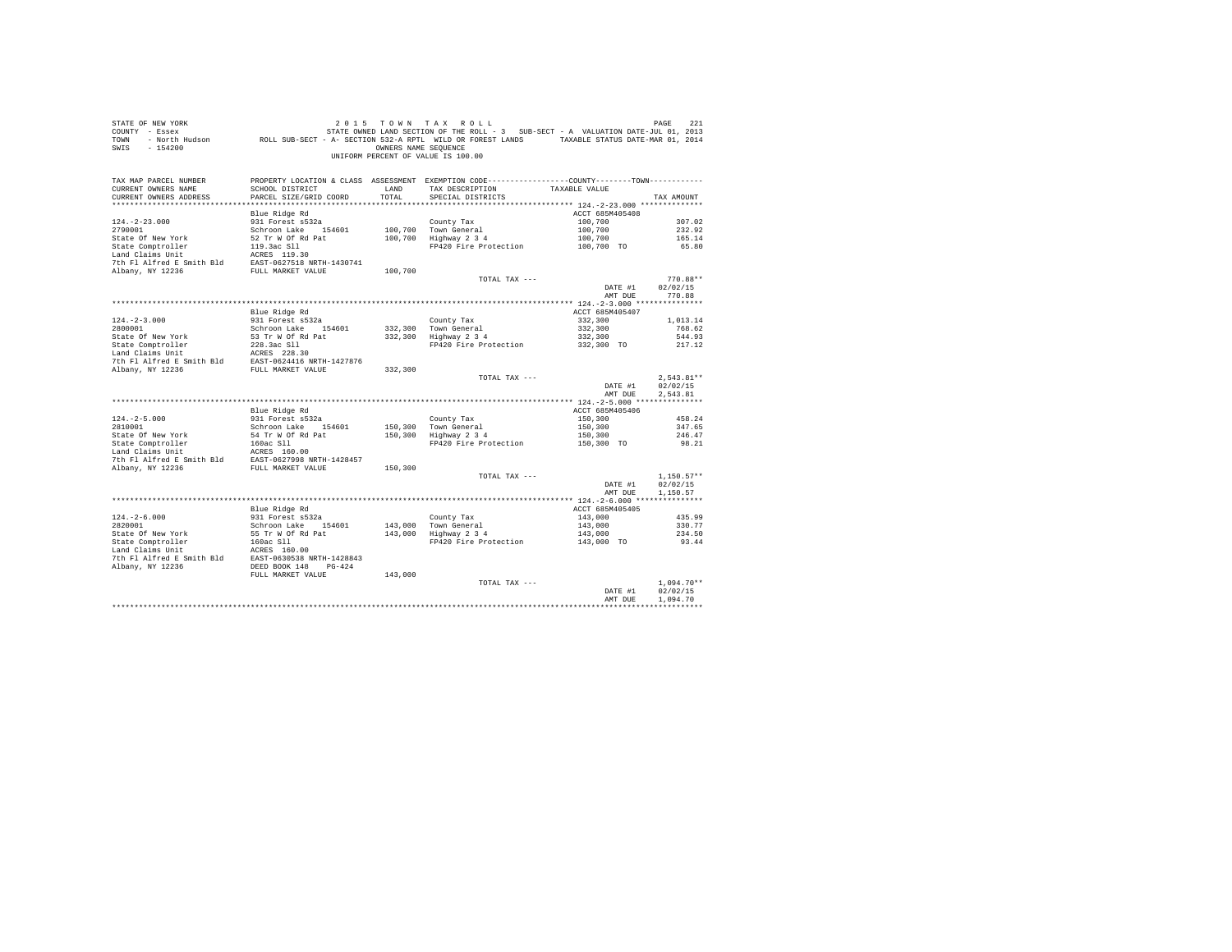| SWIS - 154200                                                                                                                                                                                                                                          |                           | OWNERS NAME SEQUENCE | UNIFORM PERCENT OF VALUE IS 100.00                                                                                                   |                         |                          |
|--------------------------------------------------------------------------------------------------------------------------------------------------------------------------------------------------------------------------------------------------------|---------------------------|----------------------|--------------------------------------------------------------------------------------------------------------------------------------|-------------------------|--------------------------|
| TAX MAP PARCEL NUMBER<br>CURRENT OWNERS NAME                                                                                                                                                                                                           | SCHOOL DISTRICT           |                      | PROPERTY LOCATION & CLASS ASSESSMENT EXEMPTION CODE----------------COUNTY-------TOWN----------<br>LAND TAX DESCRIPTION TAXABLE VALUE |                         |                          |
| CURRENT OWNERS ADDRESS                                                                                                                                                                                                                                 | PARCEL SIZE/GRID COORD    | TOTAL                | SPECIAL DISTRICTS                                                                                                                    |                         | TAX AMOUNT               |
|                                                                                                                                                                                                                                                        | Blue Ridge Rd             |                      |                                                                                                                                      | ACCT 685M405408         |                          |
| $124. -2 - 23.000$                                                                                                                                                                                                                                     | 931 Forest s532a          |                      |                                                                                                                                      | 100,700                 | 307.02                   |
| 2790001                                                                                                                                                                                                                                                | Schroon Lake 154601       |                      |                                                                                                                                      | 100,700                 | 232.92                   |
| State Of New York                                                                                                                                                                                                                                      | 52 Tr W Of Rd Pat         |                      | County Tax<br>100,700 Town General<br>100,700 Highway 2 3 4                                                                          | 100,700                 | 165.14                   |
| State Comptroller 19.3ac Sll<br>Land Claims Unit 19.3ac Sll<br>7th Fl Alfred E Smith Bld<br>EAST-0627518 NRTH-1430741                                                                                                                                  |                           |                      | FP420 Fire Protection                                                                                                                | 100,700 TO              | 65.80                    |
|                                                                                                                                                                                                                                                        |                           |                      |                                                                                                                                      |                         |                          |
|                                                                                                                                                                                                                                                        |                           |                      |                                                                                                                                      |                         |                          |
| Albany, NY 12236                                                                                                                                                                                                                                       | FULL MARKET VALUE 100,700 |                      |                                                                                                                                      |                         |                          |
|                                                                                                                                                                                                                                                        |                           |                      | TOTAL TAX ---                                                                                                                        |                         | 770.88**                 |
|                                                                                                                                                                                                                                                        |                           |                      |                                                                                                                                      | DATE #1 02/02/15        |                          |
|                                                                                                                                                                                                                                                        |                           |                      |                                                                                                                                      | AMT DUE                 | 770.88                   |
|                                                                                                                                                                                                                                                        | Blue Ridge Rd             |                      |                                                                                                                                      | ACCT 685M405407         |                          |
| $124. - 2 - 3.000$                                                                                                                                                                                                                                     | 931 Forest s532a          |                      |                                                                                                                                      | 332,300                 | 1,013.14                 |
| 2800001                                                                                                                                                                                                                                                | Schroon Lake 154601       |                      |                                                                                                                                      | 332,300                 | 768.62                   |
| State Of New York                                                                                                                                                                                                                                      | 53 Tr W Of Rd Pat         |                      | County Tax<br>332,300 Town General<br>332,300 Highway 2 3 4                                                                          | 332,300                 | 544.93                   |
|                                                                                                                                                                                                                                                        |                           |                      | FP420 Fire Protection                                                                                                                | 332,300 TO              | 217.12                   |
|                                                                                                                                                                                                                                                        |                           |                      |                                                                                                                                      |                         |                          |
| State Comptroller 228.3ac S11<br>Land Claims Unit 228.3ac S11<br>Land Claims Unit 228.30<br>7th F1 Alfred E Smith B1d<br>228.3ac S11<br>228.3ac S11<br>228.3ac S11<br>228.3ac S11<br>228.3ac S11<br>228.3ac S11<br>228.3ac S11<br>228.3ac S11<br>228.4 |                           |                      |                                                                                                                                      |                         |                          |
|                                                                                                                                                                                                                                                        |                           | 332,300              |                                                                                                                                      |                         |                          |
|                                                                                                                                                                                                                                                        |                           |                      | TOTAL TAX ---                                                                                                                        | DATE #1                 | $2,543.81**$<br>02/02/15 |
|                                                                                                                                                                                                                                                        |                           |                      |                                                                                                                                      | AMT DUE                 | 2.543.81                 |
|                                                                                                                                                                                                                                                        |                           |                      |                                                                                                                                      |                         |                          |
|                                                                                                                                                                                                                                                        | Blue Ridge Rd             |                      |                                                                                                                                      | ACCT 685M405406         |                          |
| $124. - 2 - 5.000$                                                                                                                                                                                                                                     | 931 Forest s532a          |                      | County Tax<br>150,300 Town General<br>150,300 Highway 2 3 4                                                                          | 150,300                 | 458.24                   |
| 2810001                                                                                                                                                                                                                                                | Schroon Lake 154601       |                      |                                                                                                                                      | 150,300                 | 347.65                   |
|                                                                                                                                                                                                                                                        |                           |                      |                                                                                                                                      | $150,300$<br>150,300 TO | 246.47                   |
|                                                                                                                                                                                                                                                        |                           |                      | FP420 Fire Protection                                                                                                                |                         | 98.21                    |
|                                                                                                                                                                                                                                                        |                           |                      |                                                                                                                                      |                         |                          |
|                                                                                                                                                                                                                                                        |                           |                      |                                                                                                                                      |                         |                          |
|                                                                                                                                                                                                                                                        |                           |                      | TOTAL TAX ---                                                                                                                        |                         | $1.150.57**$             |
|                                                                                                                                                                                                                                                        |                           |                      |                                                                                                                                      | DATE #1                 | 02/02/15                 |
|                                                                                                                                                                                                                                                        |                           |                      |                                                                                                                                      | AMT DUE                 | 1,150.57                 |
|                                                                                                                                                                                                                                                        |                           |                      |                                                                                                                                      |                         |                          |
|                                                                                                                                                                                                                                                        | Blue Ridge Rd             |                      |                                                                                                                                      | ACCT 685M405405         |                          |
|                                                                                                                                                                                                                                                        |                           |                      |                                                                                                                                      | 143,000                 | 435.99                   |
|                                                                                                                                                                                                                                                        |                           |                      |                                                                                                                                      | 143,000                 | 330.77                   |
|                                                                                                                                                                                                                                                        |                           |                      | FP420 Fire Protection 143,000 TO                                                                                                     | 143,000                 | 234.50<br>93.44          |
|                                                                                                                                                                                                                                                        |                           |                      |                                                                                                                                      |                         |                          |
|                                                                                                                                                                                                                                                        |                           |                      |                                                                                                                                      |                         |                          |
|                                                                                                                                                                                                                                                        |                           |                      |                                                                                                                                      |                         |                          |
|                                                                                                                                                                                                                                                        |                           |                      |                                                                                                                                      |                         |                          |
|                                                                                                                                                                                                                                                        |                           |                      |                                                                                                                                      |                         | $1.094.70**$             |
|                                                                                                                                                                                                                                                        |                           |                      |                                                                                                                                      | DATE #1                 | 02/02/15                 |
|                                                                                                                                                                                                                                                        |                           |                      |                                                                                                                                      | AMT DUE                 | 1,094.70                 |
|                                                                                                                                                                                                                                                        |                           |                      |                                                                                                                                      |                         |                          |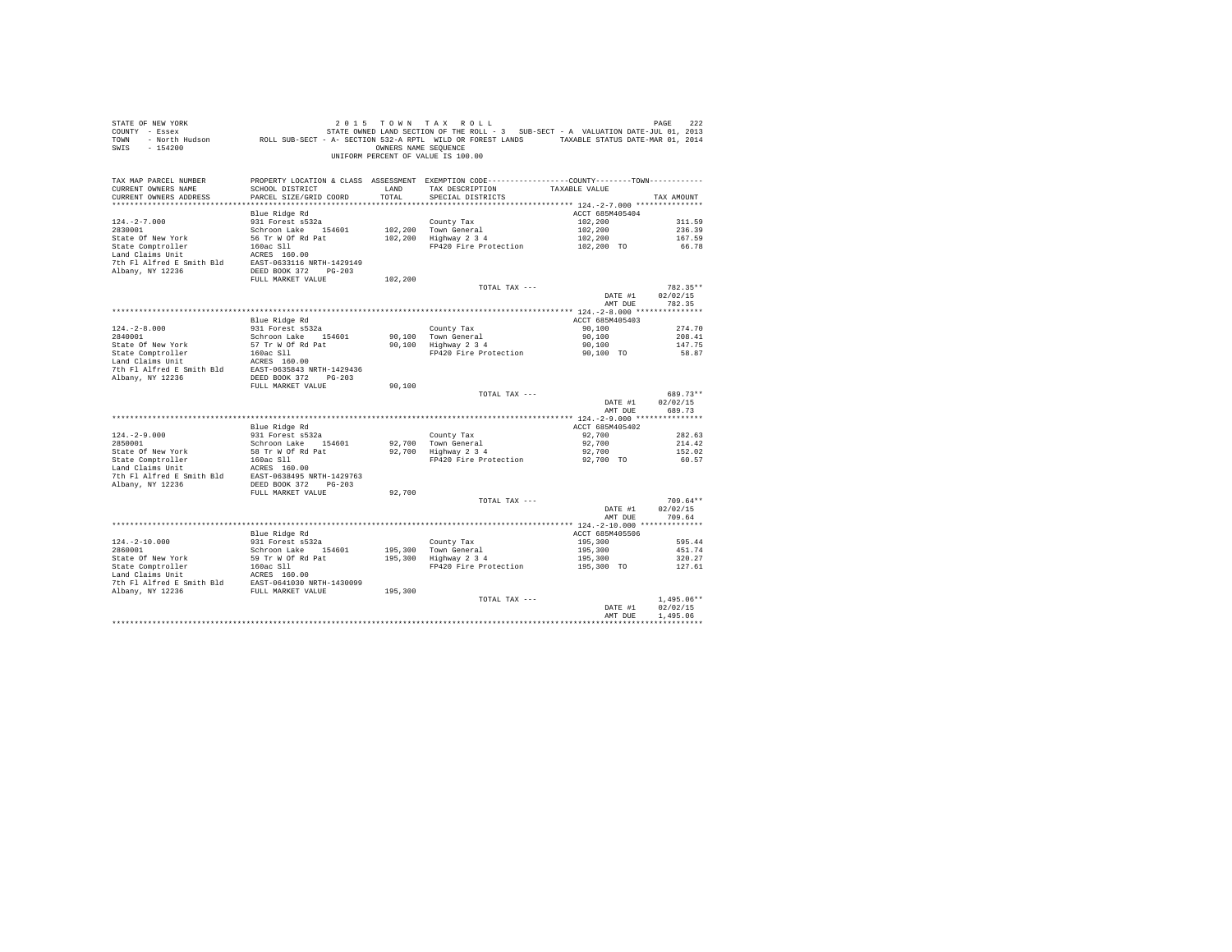| STATE OF NEW YORK<br>SWIS - 154200                                                                                                                                                                                                           |                                           |               | 2015 TOWN TAX ROLL<br>OWNERS NAME SEQUENCE<br>UNIFORM PERCENT OF VALUE IS 100.00                                                        |                                  | PAGE<br>222        |
|----------------------------------------------------------------------------------------------------------------------------------------------------------------------------------------------------------------------------------------------|-------------------------------------------|---------------|-----------------------------------------------------------------------------------------------------------------------------------------|----------------------------------|--------------------|
| TAX MAP PARCEL NUMBER<br>CURRENT OWNERS NAME<br>CURRENT OWNERS ADDRESS                                                                                                                                                                       | SCHOOL DISTRICT<br>PARCEL SIZE/GRID COORD | LAND<br>TOTAL | PROPERTY LOCATION & CLASS ASSESSMENT EXEMPTION CODE----------------COUNTY--------TOWN----------<br>TAX DESCRIPTION<br>SPECIAL DISTRICTS | TAXABLE VALUE                    | TAX AMOUNT         |
|                                                                                                                                                                                                                                              | Blue Ridge Rd                             |               |                                                                                                                                         | ACCT 685M405404                  |                    |
| $124. - 2 - 7.000$                                                                                                                                                                                                                           | 931 Forest s532a                          |               | County Tax                                                                                                                              | 102,200                          | 311.59             |
| 2830001                                                                                                                                                                                                                                      | Schroon Lake 154601                       |               | 102,200 Town General<br>102,200 Highway 2 3 4                                                                                           | 102,200                          | 236.39             |
| State Of New York                                                                                                                                                                                                                            | 56 Tr W Of Rd Pat                         |               | $\frac{3}{2}$ Highway 2 3 4 $\frac{102,200}{20}$<br>FP420 Fire Protection $\frac{102,200}{200}$ TO                                      |                                  | 167.59             |
| State Comptroller<br>Land Claims Unit                                                                                                                                                                                                        | 160ac Sll<br>ACRES 160.00                 |               |                                                                                                                                         |                                  | 66.78              |
|                                                                                                                                                                                                                                              |                                           |               |                                                                                                                                         |                                  |                    |
| 7th F1 Alfred E Smith Bld<br>BAST-0633116 NRTH-1429149<br>Albany, NY 12236<br>DEED BOOK 372 PG-203                                                                                                                                           |                                           |               |                                                                                                                                         |                                  |                    |
|                                                                                                                                                                                                                                              | FULL MARKET VALUE                         | 102,200       |                                                                                                                                         |                                  |                    |
|                                                                                                                                                                                                                                              |                                           |               | TOTAL TAX ---                                                                                                                           |                                  | 782.35**           |
|                                                                                                                                                                                                                                              |                                           |               |                                                                                                                                         | DATE #1<br>AMT DUE               | 02/02/15<br>782.35 |
|                                                                                                                                                                                                                                              |                                           |               |                                                                                                                                         |                                  |                    |
|                                                                                                                                                                                                                                              | Blue Ridge Rd                             |               |                                                                                                                                         | ACCT 685M405403                  |                    |
| 124.-2-8.000<br>2840001                                                                                                                                                                                                                      | 931 Forest s532a                          |               |                                                                                                                                         | 90,100                           | 274.70             |
|                                                                                                                                                                                                                                              | Schroon Lake 154601                       |               | County Tax<br>90,100 Town General<br>90,100 Highway 2 3 4                                                                               | 90,100                           | 208.41             |
| State Of New York                                                                                                                                                                                                                            | 57 Tr W Of Rd Pat                         |               | FP420 Fire Protection                                                                                                                   | 90,100<br>90,100 TO              | 147.75<br>58.87    |
|                                                                                                                                                                                                                                              |                                           |               |                                                                                                                                         |                                  |                    |
|                                                                                                                                                                                                                                              |                                           |               |                                                                                                                                         |                                  |                    |
| State Othew Turk<br>State Comptroller 160ac S11<br>Land Claims Unit RCRES 160.00<br>7th Fl Alm I and CRES BOR 372<br>2002 122 PG35843 NRTH-1429436<br>DEED BOR 372 PG203<br>2008 322 PG31<br>2008 322 PG31<br>2008 322 PG31<br>2008 322 PG31 |                                           |               |                                                                                                                                         |                                  |                    |
|                                                                                                                                                                                                                                              | FULL MARKET VALUE                         | 90,100        | TOTAL TAX ---                                                                                                                           |                                  | 689.73**           |
|                                                                                                                                                                                                                                              |                                           |               |                                                                                                                                         | DATE #1<br>AMT DUE               | 02/02/15<br>689.73 |
|                                                                                                                                                                                                                                              |                                           |               |                                                                                                                                         |                                  |                    |
|                                                                                                                                                                                                                                              | Blue Ridge Rd<br>931 Forest s532a         |               |                                                                                                                                         | ACCT 685M405402                  |                    |
| $124. - 2 - 9.000$                                                                                                                                                                                                                           |                                           |               | County Tax                                                                                                                              | 92,700                           | 282.63             |
| 2850001                                                                                                                                                                                                                                      | Schroon Lake 154601<br>58 Tr W Of Rd Pat  |               | 92,700 Town General<br>92,700 Highway 2 3 4                                                                                             | 92,700<br>92,700                 | 214.42<br>152.02   |
|                                                                                                                                                                                                                                              | 160ac Sll                                 |               | FP420 Fire Protection                                                                                                                   | 92,700 TO                        | 60.57              |
| State Of New York<br>State Comptroller<br>Land Claims Unit                                                                                                                                                                                   | ACRES 160.00                              |               |                                                                                                                                         |                                  |                    |
| 7th Fl Alfred E Smith Bld EAST-0638495 NRTH-1429763                                                                                                                                                                                          |                                           |               |                                                                                                                                         |                                  |                    |
| Albany, NY 12236                                                                                                                                                                                                                             | DEED BOOK 372 PG-203<br>FULL MARKET VALUE | 92,700        |                                                                                                                                         |                                  |                    |
|                                                                                                                                                                                                                                              |                                           |               | TOTAL TAX ---                                                                                                                           |                                  | $709.64**$         |
|                                                                                                                                                                                                                                              |                                           |               |                                                                                                                                         | DATE #1                          | 02/02/15           |
|                                                                                                                                                                                                                                              |                                           |               |                                                                                                                                         | AMT DUE                          | 709.64             |
|                                                                                                                                                                                                                                              |                                           |               |                                                                                                                                         |                                  |                    |
|                                                                                                                                                                                                                                              | Blue Ridge Rd<br>931 Forest s532a         |               |                                                                                                                                         | ACCT 685M405506<br>195,300       | 595.44             |
| 124.-2-10.000<br>2860001                                                                                                                                                                                                                     | Schroon Lake 154601                       |               |                                                                                                                                         | 195,300                          | 451.74             |
|                                                                                                                                                                                                                                              | 59 Tr W Of Rd Pat                         |               | County Tax<br>195,300 Town General<br>195,300 Highway 2 3 4                                                                             | 195,300                          | 320.27             |
| State Of New York 59 Tr W Of Rd Pat<br>State Comptroller 160ac Sll<br>Land Claims Unit ACRES 160.00                                                                                                                                          |                                           |               | FP420 Fire Protection                                                                                                                   | 195,300 TO                       | 127.61             |
|                                                                                                                                                                                                                                              |                                           |               |                                                                                                                                         |                                  |                    |
|                                                                                                                                                                                                                                              |                                           | 195,300       |                                                                                                                                         |                                  |                    |
|                                                                                                                                                                                                                                              |                                           |               | TOTAL TAX ---                                                                                                                           |                                  | $1.495.06**$       |
|                                                                                                                                                                                                                                              |                                           |               |                                                                                                                                         | DATE #1                          | 02/02/15           |
|                                                                                                                                                                                                                                              |                                           |               |                                                                                                                                         | AMT DUE                          | 1.495.06           |
|                                                                                                                                                                                                                                              |                                           |               |                                                                                                                                         | ******************************** |                    |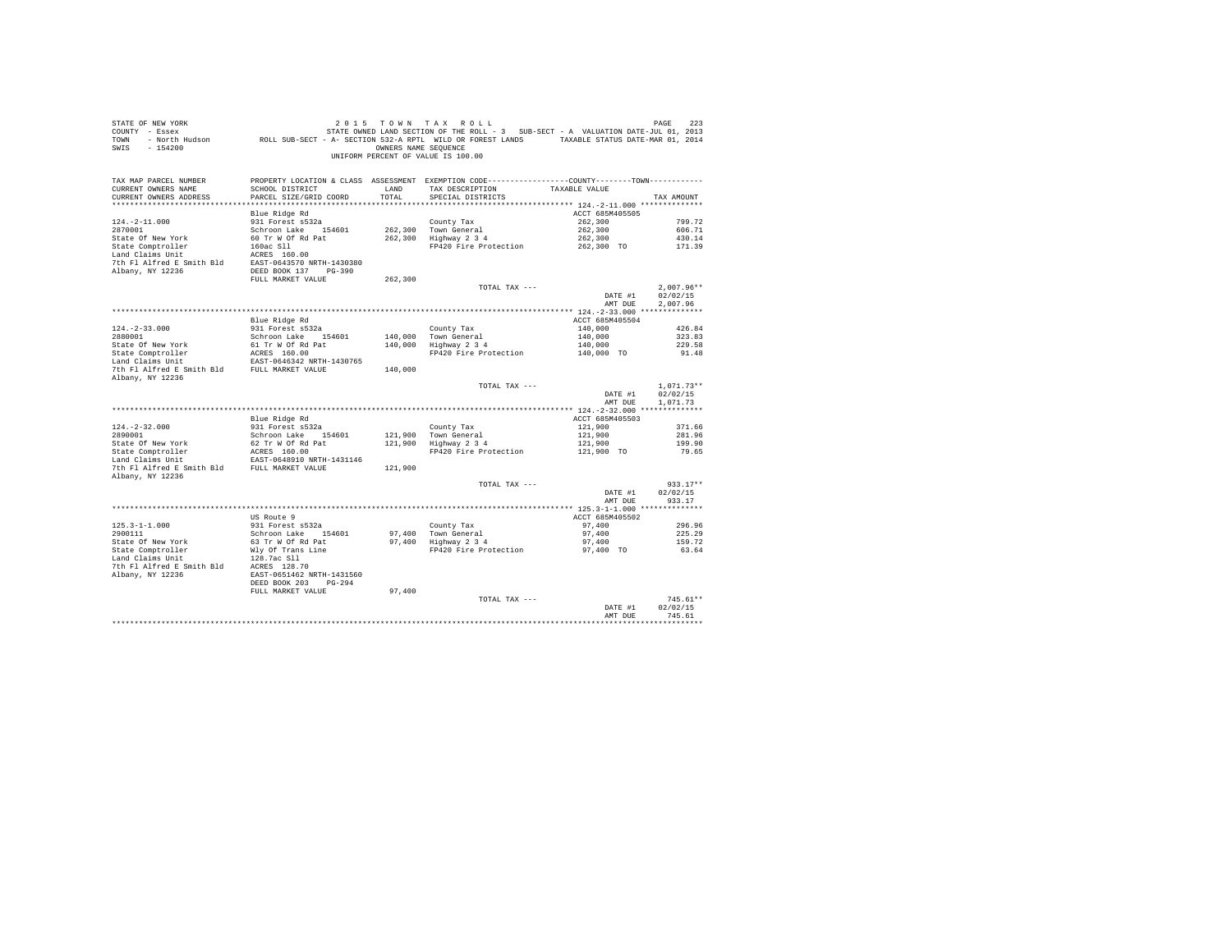| STATE OF NEW YORK                           |                                                                                                 |                      | 2015 TOWN TAX ROLL                                                                |                    | PAGE<br>223  |
|---------------------------------------------|-------------------------------------------------------------------------------------------------|----------------------|-----------------------------------------------------------------------------------|--------------------|--------------|
| COUNTY - Essex                              |                                                                                                 |                      | STATE OWNED LAND SECTION OF THE ROLL - 3 SUB-SECT - A VALUATION DATE-JUL 01, 2013 |                    |              |
| TOWN - North Hudson                         | ROLL SUB-SECT - A- SECTION 532-A RPTL WILD OR FOREST LANDS TAXABLE STATUS DATE-MAR 01, 2014     |                      |                                                                                   |                    |              |
| SWIS<br>$-154200$                           |                                                                                                 | OWNERS NAME SEQUENCE |                                                                                   |                    |              |
|                                             |                                                                                                 |                      | UNIFORM PERCENT OF VALUE IS 100.00                                                |                    |              |
|                                             |                                                                                                 |                      |                                                                                   |                    |              |
|                                             |                                                                                                 |                      |                                                                                   |                    |              |
| TAX MAP PARCEL NUMBER                       | PROPERTY LOCATION & CLASS ASSESSMENT EXEMPTION CODE----------------COUNTY--------TOWN---------- |                      |                                                                                   |                    |              |
| CURRENT OWNERS NAME                         | SCHOOL DISTRICT                                                                                 | LAND                 | TAX DESCRIPTION                                                                   | TAXABLE VALUE      |              |
| CURRENT OWNERS ADDRESS                      | PARCEL SIZE/GRID COORD                                                                          | TOTAL                | SPECIAL DISTRICTS                                                                 |                    | TAX AMOUNT   |
| *************************                   |                                                                                                 |                      |                                                                                   |                    |              |
|                                             | Blue Ridge Rd                                                                                   |                      |                                                                                   | ACCT 685M405505    |              |
| $124. - 2 - 11.000$                         | 931 Forest s532a                                                                                |                      | County Tax                                                                        | 262,300            | 799.72       |
| 2870001                                     | Schroon Lake 154601                                                                             | 262,300              | Town General                                                                      | 262,300            | 606.71       |
| State Of New York                           | 60 Tr W Of Rd Pat                                                                               |                      | 262,300 Highway 2 3 4                                                             | 262,300            | 430.14       |
| State Comptroller                           | 160ac Sll                                                                                       |                      | FP420 Fire Protection                                                             | 262,300 TO         | 171.39       |
|                                             |                                                                                                 |                      |                                                                                   |                    |              |
| Land Claims Unit                            | ACRES 160.00                                                                                    |                      |                                                                                   |                    |              |
|                                             | 7th Fl Alfred E Smith Bld EAST-0643570 NRTH-1430380                                             |                      |                                                                                   |                    |              |
| Albany, NY 12236                            | DEED BOOK 137 PG-390                                                                            |                      |                                                                                   |                    |              |
|                                             | FULL MARKET VALUE                                                                               | 262,300              |                                                                                   |                    |              |
|                                             |                                                                                                 |                      | TOTAL TAX ---                                                                     |                    | $2.007.96**$ |
|                                             |                                                                                                 |                      |                                                                                   | DATE #1            | 02/02/15     |
|                                             |                                                                                                 |                      |                                                                                   | AMT DUE            | 2.007.96     |
|                                             |                                                                                                 |                      |                                                                                   |                    |              |
|                                             | Blue Ridge Rd                                                                                   |                      |                                                                                   | ACCT 685M405504    |              |
| $124. - 2 - 33.000$                         | 931 Forest s532a                                                                                |                      | County Tax                                                                        | 140,000            | 426.84       |
| 2880001                                     | Schroon Lake 154601                                                                             |                      | 140,000 Town General                                                              | 140,000<br>140,000 | 323.83       |
| State Of New York                           |                                                                                                 |                      | $140,000$ Highway $2\frac{3}{4}$                                                  |                    | 229.58       |
| State Comptroller                           | 61 Tr W Of Rd Pat<br>ACRES 160.00<br>EAST-0646342 NRTH-1430765                                  |                      | FP420 Fire Protection 140,000 TO                                                  |                    | 91.48        |
| Land Claims Unit                            |                                                                                                 |                      |                                                                                   |                    |              |
| 7th Fl Alfred E Smith Bld FULL MARKET VALUE |                                                                                                 | 140,000              |                                                                                   |                    |              |
| Albany, NY 12236                            |                                                                                                 |                      |                                                                                   |                    |              |
|                                             |                                                                                                 |                      | TOTAL TAX ---                                                                     |                    | $1.071.73**$ |
|                                             |                                                                                                 |                      |                                                                                   | DATE #1            | 02/02/15     |
|                                             |                                                                                                 |                      |                                                                                   | AMT DUE            | 1,071.73     |
|                                             |                                                                                                 |                      |                                                                                   |                    |              |
|                                             | Blue Ridge Rd                                                                                   |                      |                                                                                   | ACCT 685M405503    |              |
| $124. - 2 - 32.000$                         | 931 Forest s532a                                                                                |                      |                                                                                   | 121,900            | 371.66       |
| 2890001                                     |                                                                                                 |                      | County Tax                                                                        | 121,900            | 281.96       |
| State Of New York                           | Schroon Lake 154601<br>62 Tr W Of Rd Pat                                                        |                      | 121,900 Town General<br>121,900 Highway 2 3 4                                     | 121,900            | 199.90       |
|                                             |                                                                                                 |                      | FP420 Fire Protection                                                             | 121,900 TO         |              |
| State Comptroller<br>Land Claims Unit       | ACRES 160.00<br>EAST-0648910 NRTH-1431146                                                       |                      |                                                                                   |                    | 79.65        |
|                                             | 7th Fl Alfred E Smith Bld FULL MARKET VALUE                                                     |                      |                                                                                   |                    |              |
|                                             |                                                                                                 | 121,900              |                                                                                   |                    |              |
| Albany, NY 12236                            |                                                                                                 |                      |                                                                                   |                    |              |
|                                             |                                                                                                 |                      | TOTAL TAX ---                                                                     |                    | $933.17**$   |
|                                             |                                                                                                 |                      |                                                                                   | DATE #1            | 02/02/15     |
|                                             |                                                                                                 |                      |                                                                                   | AMT DUE            | 933.17       |
|                                             |                                                                                                 |                      |                                                                                   |                    |              |
|                                             | US Route 9                                                                                      |                      |                                                                                   | ACCT 685M405502    |              |
| $125.3 - 1 - 1.000$                         | 931 Forest s532a                                                                                |                      | County Tax                                                                        | 97,400             | 296.96       |
| 2900111                                     | Schroon Lake 154601                                                                             |                      | 97,400 Town General                                                               | 97,400             | 225.29       |
| State Of New York                           | 63 Tr W Of Rd Pat                                                                               |                      | 97,400   Town General<br>97,400   Highway 2 3 4                                   | 97,400             | 159.72       |
| State Comptroller<br>Land Claims Unit       | Wly Of Trans Line                                                                               |                      | FP420 Fire Protection 97,400 TO                                                   |                    | 63.64        |
|                                             | 128.7ac Sll                                                                                     |                      |                                                                                   |                    |              |
|                                             | 7th F1 Alfred E Smith Bld<br>Albany, NY 12236<br>EAST-0651462 NRTH-1431560                      |                      |                                                                                   |                    |              |
|                                             |                                                                                                 |                      |                                                                                   |                    |              |
|                                             | DEED BOOK 203 PG-294                                                                            |                      |                                                                                   |                    |              |
|                                             | FULL MARKET VALUE                                                                               | 97,400               |                                                                                   |                    |              |
|                                             |                                                                                                 |                      | TOTAL TAX ---                                                                     |                    | $745.61**$   |
|                                             |                                                                                                 |                      |                                                                                   | DATE #1            | 02/02/15     |
|                                             |                                                                                                 |                      |                                                                                   | AMT DUE            | 745.61       |
|                                             |                                                                                                 |                      |                                                                                   |                    | .            |
|                                             |                                                                                                 |                      |                                                                                   |                    |              |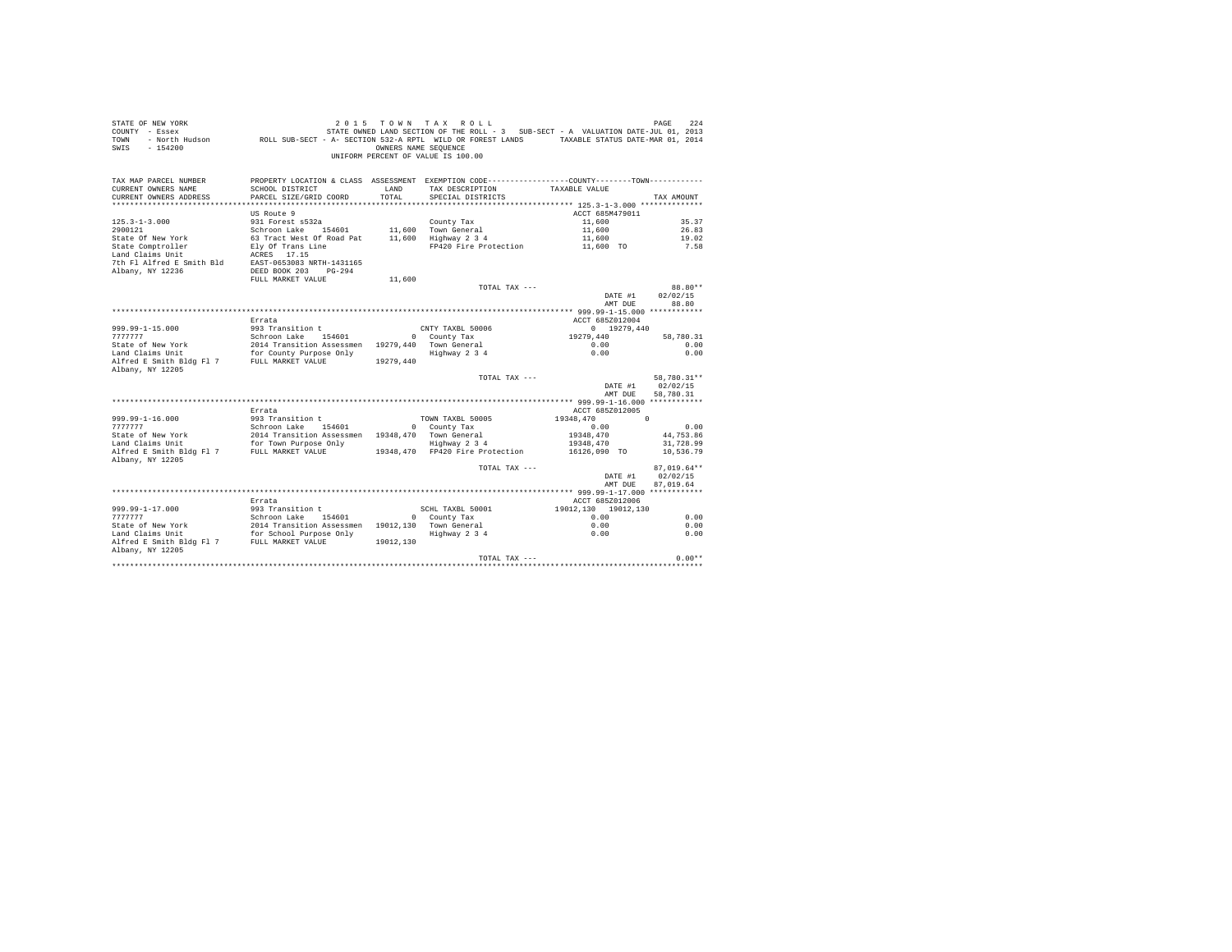| STATE OF NEW YORK<br>SIAIL OF NEW IORR<br>COUNTY - Essex<br>- North Hudson<br><b>TOWN</b><br>$-154200$<br>SWIS | ROLL SUB-SECT - A- SECTION 532-A RPTL WILD OR FOREST LANDS                                |           | 2015 TOWN TAX ROLL<br>STATE OWNED LAND SECTION OF THE ROLL - 3 SUB-SECT - A VALUATION DATE-JUL 01, 2013<br>OWNERS NAME SEQUENCE<br>UNIFORM PERCENT OF VALUE IS 100.00 | TAXABLE STATUS DATE-MAR 01, 2014 | 224<br>PAGE      |  |
|----------------------------------------------------------------------------------------------------------------|-------------------------------------------------------------------------------------------|-----------|-----------------------------------------------------------------------------------------------------------------------------------------------------------------------|----------------------------------|------------------|--|
| TAX MAP PARCEL NUMBER                                                                                          |                                                                                           |           | PROPERTY LOCATION & CLASS ASSESSMENT EXEMPTION CODE----------------COUNTY-------TOWN----------                                                                        |                                  |                  |  |
| CURRENT OWNERS NAME                                                                                            | SCHOOL DISTRICT                                                                           | LAND      | TAX DESCRIPTION                                                                                                                                                       | TAXABLE VALUE                    |                  |  |
| CURRENT OWNERS ADDRESS                                                                                         | PARCEL SIZE/GRID COORD                                                                    | TOTAL.    | SPECIAL DISTRICTS                                                                                                                                                     |                                  | TAX AMOUNT       |  |
|                                                                                                                |                                                                                           |           |                                                                                                                                                                       |                                  |                  |  |
|                                                                                                                | US Route 9                                                                                |           |                                                                                                                                                                       | ACCT 685M479011                  |                  |  |
| $125.3 - 1 - 3.000$                                                                                            | 931 Forest s532a                                                                          |           | County Tax                                                                                                                                                            | 11,600                           | 35.37            |  |
| 2900121                                                                                                        | Schroon Lake 154601                                                                       |           | 11,600 Town General                                                                                                                                                   | 11,600                           | 26.83            |  |
| State Of New York                                                                                              | 63 Tract West Of Road Pat                                                                 |           | 11,600 Highway 2 3 4                                                                                                                                                  | 11,600                           | 19.02            |  |
| State Comptroller                                                                                              | Ely Of Trans Line                                                                         |           | FP420 Fire Protection                                                                                                                                                 | 11,600 TO                        | 7.58             |  |
| Land Claims Unit                                                                                               | ACRES 17.15                                                                               |           |                                                                                                                                                                       |                                  |                  |  |
| 7th Fl Alfred E Smith Bld                                                                                      | EAST-0653083 NRTH-1431165                                                                 |           |                                                                                                                                                                       |                                  |                  |  |
| Albany, NY 12236                                                                                               | DEED BOOK 203 PG-294<br>FULL MARKET VALUE                                                 | 11,600    |                                                                                                                                                                       |                                  |                  |  |
|                                                                                                                |                                                                                           |           | TOTAL TAX ---                                                                                                                                                         |                                  | 88.80**          |  |
|                                                                                                                |                                                                                           |           |                                                                                                                                                                       | DATE #1                          | 02/02/15         |  |
|                                                                                                                |                                                                                           |           |                                                                                                                                                                       | AMT DUE                          | 88.80            |  |
|                                                                                                                | Errata                                                                                    |           |                                                                                                                                                                       | ACCT 685Z012004                  |                  |  |
| $999.99 - 1 - 15.000$                                                                                          | 993 Transition t                                                                          |           | CNTY TAXBL 50006                                                                                                                                                      | $0$ 19279,440                    |                  |  |
| 7777777                                                                                                        | Schroon Lake 154601                                                                       |           | 0 County Tax                                                                                                                                                          | 19279.440                        | 58,780.31        |  |
| State of New York                                                                                              | 2014 Transition Assessmen 19279.440 Town General                                          |           |                                                                                                                                                                       | 0.00                             | 0.00             |  |
| Land Claims Unit                                                                                               | for County Purpose Only                                                                   |           | Highway 2 3 4                                                                                                                                                         | 0.00                             | 0.00             |  |
| Alfred E Smith Bldg Fl 7 FULL MARKET VALUE                                                                     |                                                                                           | 19279.440 |                                                                                                                                                                       |                                  |                  |  |
| Albany, NY 12205                                                                                               |                                                                                           |           |                                                                                                                                                                       |                                  |                  |  |
|                                                                                                                |                                                                                           |           | TOTAL TAX ---                                                                                                                                                         |                                  | 58,780.31**      |  |
|                                                                                                                |                                                                                           |           |                                                                                                                                                                       |                                  | DATE #1 02/02/15 |  |
|                                                                                                                |                                                                                           |           |                                                                                                                                                                       | AMT DUE                          | 58,780.31        |  |
|                                                                                                                | Errata                                                                                    |           |                                                                                                                                                                       | ACCT 685Z012005                  |                  |  |
| $999.99 - 1 - 16.000$                                                                                          | 993 Transition t                                                                          |           | TOWN TAXBL 50005                                                                                                                                                      | 19348,470                        | $\Omega$         |  |
| 777777                                                                                                         | Schroon Lake 154601                                                                       |           | 0 County Tax                                                                                                                                                          | 0.00                             | 0.00             |  |
| State of New York                                                                                              | 2014 Transition Assessmen 19348, 470 Town General                                         |           |                                                                                                                                                                       | 19348,470                        | 44,753.86        |  |
|                                                                                                                |                                                                                           |           | Highway 2 3 4                                                                                                                                                         | 19348,470                        | 31,728.99        |  |
| Land Claims Unit for Town Purpose Only<br>Alfred E Smith Bldg Fl 7 FULL MARKET VALUE                           |                                                                                           |           | 19348.470 FP420 Fire Protection                                                                                                                                       | 16126,090 TO                     | 10,536.79        |  |
| Albany, NY 12205                                                                                               |                                                                                           |           |                                                                                                                                                                       |                                  |                  |  |
|                                                                                                                |                                                                                           |           | TOTAL TAX $---$                                                                                                                                                       |                                  | $87.019.64**$    |  |
|                                                                                                                |                                                                                           |           |                                                                                                                                                                       | DATE #1                          | 02/02/15         |  |
|                                                                                                                |                                                                                           |           |                                                                                                                                                                       | AMT DUE                          | 87.019.64        |  |
|                                                                                                                |                                                                                           |           |                                                                                                                                                                       |                                  |                  |  |
|                                                                                                                | Errata                                                                                    |           |                                                                                                                                                                       | ACCT 685Z012006                  |                  |  |
| 999.99-1-17.000                                                                                                | 993 Transition t                                                                          |           | SCHL TAXBL 50001                                                                                                                                                      | 19012.130 19012.130              |                  |  |
| 777777                                                                                                         | Schroon Lake 154601                                                                       |           | 0 County Tax                                                                                                                                                          | 0.00                             | 0.00             |  |
| State of New York<br>Land Claims Unit                                                                          | 2014 Transition Assessmen 19012,130 Town General<br>for School Purpose Only Highway 2 3 4 |           |                                                                                                                                                                       | 0.00<br>0.00                     | 0.00<br>0.00     |  |
| Alfred E Smith Bldg Fl 7 FULL MARKET VALUE                                                                     |                                                                                           | 19012.130 | Highway 2 3 4                                                                                                                                                         |                                  |                  |  |
| Albany, NY 12205                                                                                               |                                                                                           |           |                                                                                                                                                                       |                                  |                  |  |
|                                                                                                                |                                                                                           |           | TOTAL TAX $---$                                                                                                                                                       |                                  | $0.00**$         |  |
|                                                                                                                |                                                                                           |           |                                                                                                                                                                       |                                  |                  |  |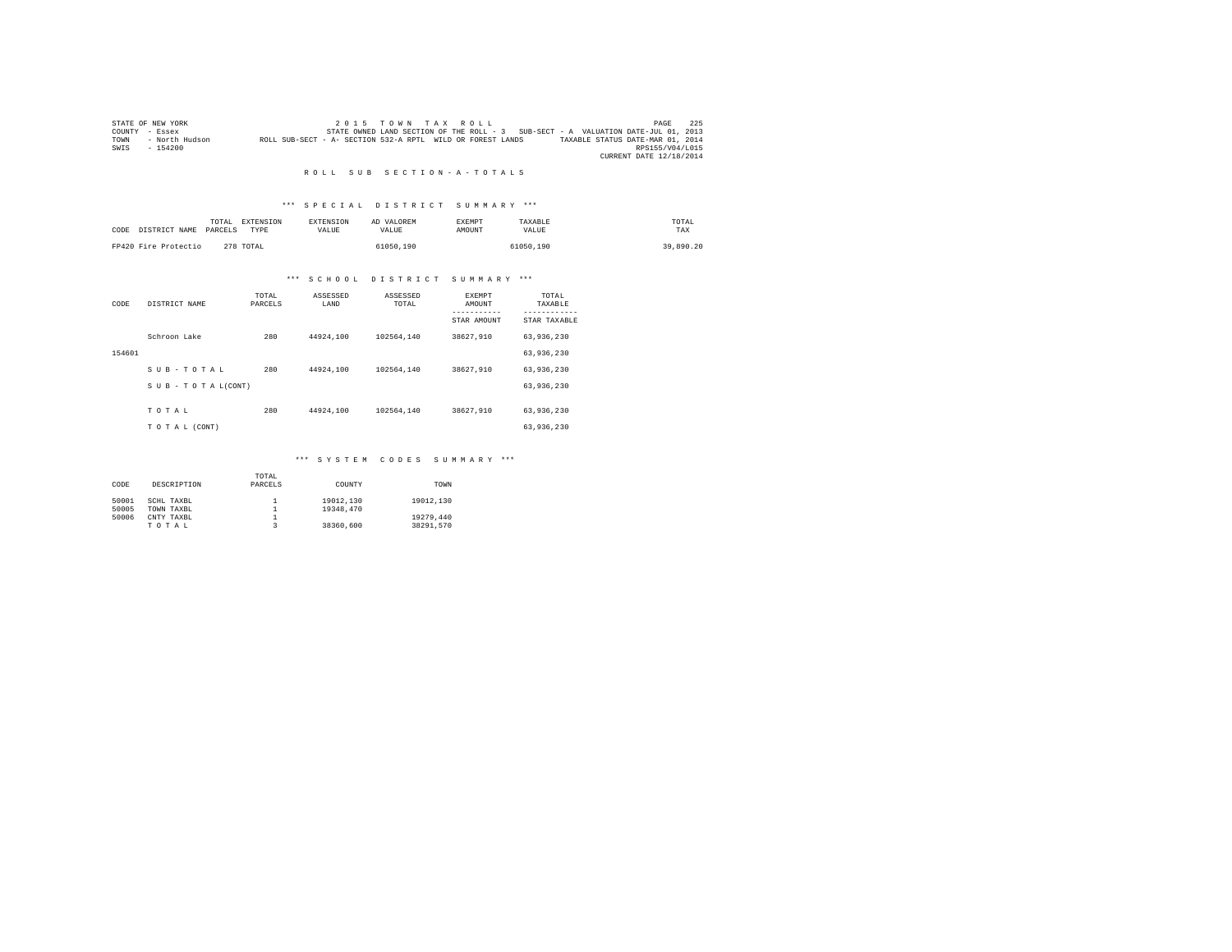|      | STATE OF NEW YORK |                                                            | $2.0.15$ TOWN TAX ROLL |  |  |                                                                                   |                                  | PAGE                    | 225 |
|------|-------------------|------------------------------------------------------------|------------------------|--|--|-----------------------------------------------------------------------------------|----------------------------------|-------------------------|-----|
|      | COUNTY - Essex    |                                                            |                        |  |  | STATE OWNED LAND SECTION OF THE ROLL - 3 SUB-SECT - A VALUATION DATE-JUL 01, 2013 |                                  |                         |     |
| TOWN | - North Hudson    | ROLL SUB-SECT - A- SECTION 532-A RPTL WILD OR FOREST LANDS |                        |  |  |                                                                                   | TAXABLE STATUS DATE-MAR 01, 2014 |                         |     |
| SWIS | $-154200$         |                                                            |                        |  |  |                                                                                   |                                  | RPS155/V04/L015         |     |
|      |                   |                                                            |                        |  |  |                                                                                   |                                  | CURRENT DATE 12/18/2014 |     |

## \*\*\* S P E C I A L D I S T R I C T S U M M A R Y \*\*\*

| CODE DISTRICT NAME   | TOTAL<br>PARCELS | EXTENSION<br>TYPE | <b>EXTENSION</b><br>VALUE | AD VALOREM<br>VALUE | EXEMPT<br>AMOUNT | TAXARLE<br>VALUE | TOTAL<br>TAX |
|----------------------|------------------|-------------------|---------------------------|---------------------|------------------|------------------|--------------|
| FP420 Fire Protectio |                  | 278 TOTAL         |                           | 61050.190           |                  | 61050.190        | 39,890.20    |

# \*\*\* S C H O O L D I S T R I C T S U M M A R Y \*\*\*

| CODE   | DISTRICT NAME      | TOTAL<br>PARCELS | ASSESSED<br>LAND | ASSESSED<br>TOTAL | <b>EXEMPT</b><br>AMOUNT | TOTAL<br>TAXABLE          |
|--------|--------------------|------------------|------------------|-------------------|-------------------------|---------------------------|
|        |                    |                  |                  |                   | STAR AMOUNT             | ---------<br>STAR TAXABLE |
|        | Schroon Lake       | 280              | 44924,100        | 102564.140        | 38627.910               | 63,936,230                |
| 154601 |                    |                  |                  |                   |                         | 63,936,230                |
|        | SUB-TOTAL          | 280              | 44924,100        | 102564.140        | 38627,910               | 63.936.230                |
|        | SUB - TO TAL(CONT) |                  |                  |                   |                         | 63,936,230                |
|        | TOTAL              | 280              | 44924,100        | 102564.140        | 38627.910               | 63,936,230                |
|        | TO TAL (CONT)      |                  |                  |                   |                         | 63,936,230                |

## \*\*\* S Y S T E M C O D E S S U M M A R Y \*\*\*

|       |             | TOTAL   |           |           |
|-------|-------------|---------|-----------|-----------|
| CODE  | DESCRIPTION | PARCELS | COUNTY    | TOWN      |
|       |             |         |           |           |
| 50001 | SCHL TAXBL  |         | 19012,130 | 19012.130 |
| 50005 | TOWN TAXBL  |         | 19348,470 |           |
| 50006 | CNTY TAXBL  |         |           | 19279,440 |
|       | TOTAL       |         | 38360,600 | 38291.570 |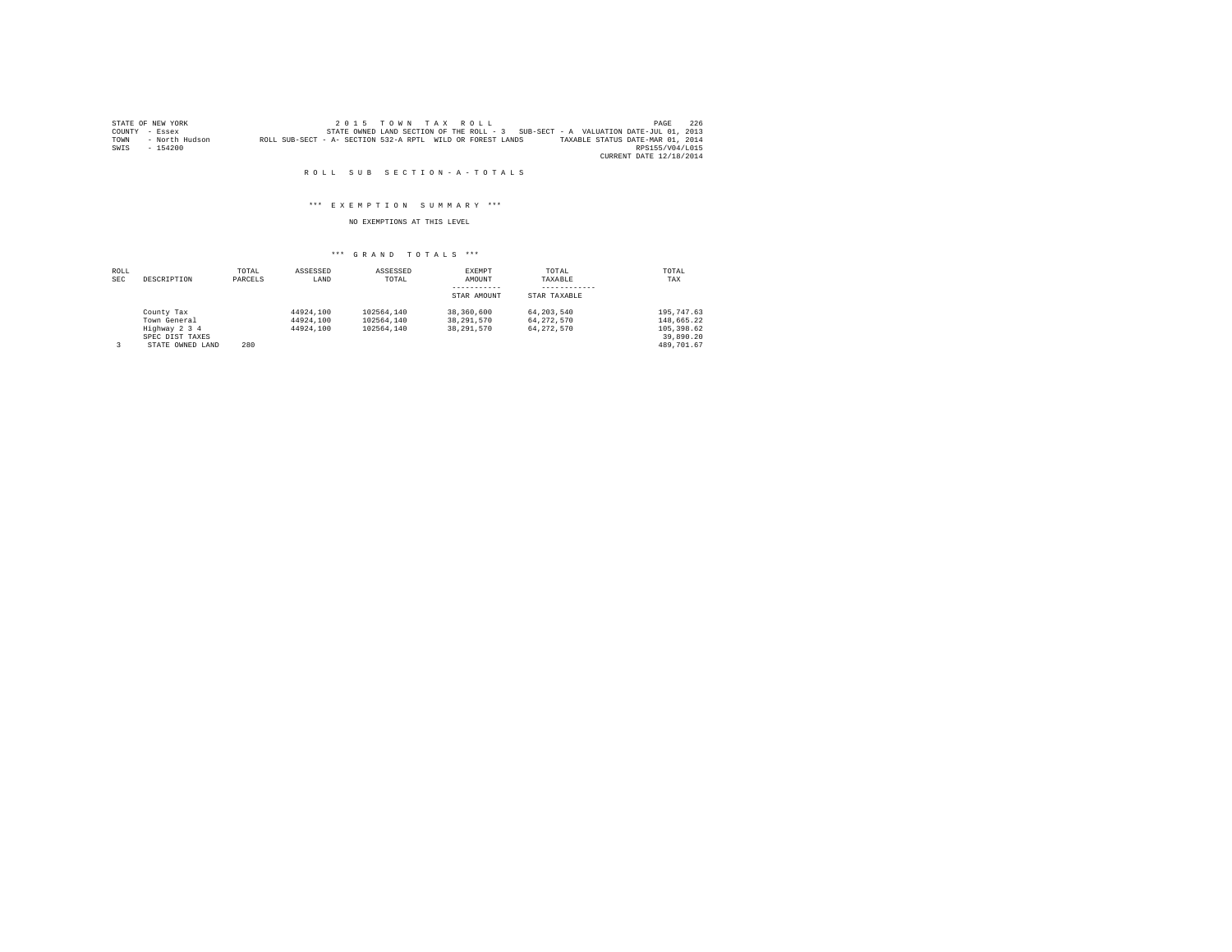|      | STATE OF NEW YORK |                                                            |  | $2.0.15$ TOWN TAX ROLL |  |                                                                                   | PAGE                    | 226 |
|------|-------------------|------------------------------------------------------------|--|------------------------|--|-----------------------------------------------------------------------------------|-------------------------|-----|
|      | COUNTY - Essex    |                                                            |  |                        |  | STATE OWNED LAND SECTION OF THE ROLL - 3 SUB-SECT - A VALUATION DATE-JUL 01, 2013 |                         |     |
| TOWN | - North Hudson    | ROLL SUB-SECT - A- SECTION 532-A RPTL WILD OR FOREST LANDS |  |                        |  | TAXABLE STATUS DATE-MAR 01, 2014                                                  |                         |     |
| SWIS | $-154200$         |                                                            |  |                        |  |                                                                                   | RPS155/V04/L015         |     |
|      |                   |                                                            |  |                        |  |                                                                                   | CURRENT DATE 12/18/2014 |     |

## \*\*\* E X E M P T I O N S U M M A R Y \*\*\*

## NO EXEMPTIONS AT THIS LEVEL

| ROLL<br>SEC | DESCRIPTION      | TOTAL<br>PARCELS | ASSESSED<br>LAND | ASSESSED<br>TOTAL | EXEMPT<br>AMOUNT | TOTAL<br>TAXABLE | TOTAL<br>TAX |
|-------------|------------------|------------------|------------------|-------------------|------------------|------------------|--------------|
|             |                  |                  |                  |                   |                  |                  |              |
|             |                  |                  |                  |                   | STAR AMOUNT      | STAR TAXABLE     |              |
|             | County Tax       |                  | 44924.100        | 102564.140        | 38,360,600       | 64.203.540       | 195, 747.63  |
|             | Town General     |                  | 44924.100        | 102564.140        | 38, 291, 570     | 64.272.570       | 148.665.22   |
|             | Highway 2 3 4    |                  | 44924.100        | 102564.140        | 38, 291, 570     | 64.272.570       | 105, 398, 62 |
|             | SPEC DIST TAXES  |                  |                  |                   |                  |                  | 39,890.20    |
| 3           | STATE OWNED LAND | 280              |                  |                   |                  |                  | 489,701.67   |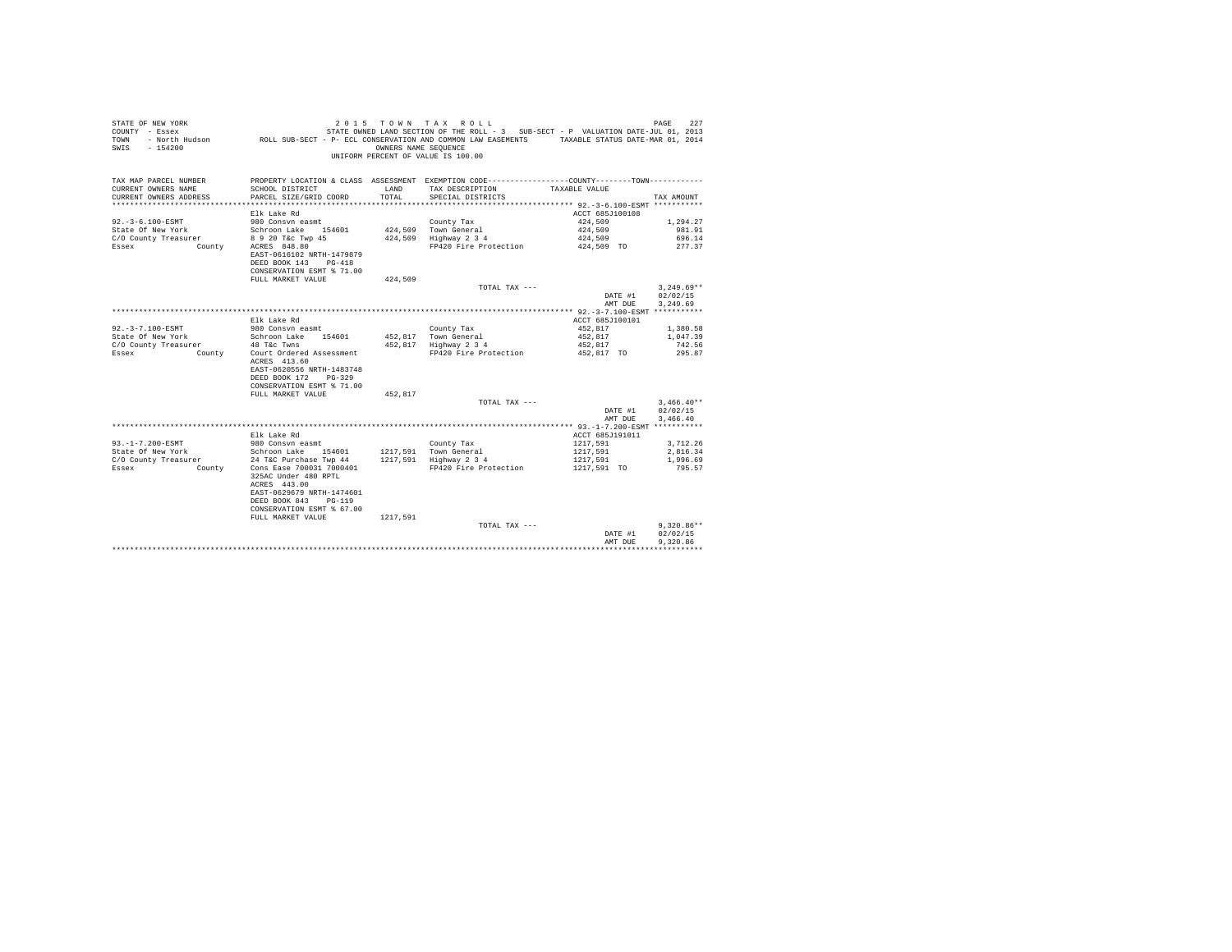| STATE OF NEW YORK<br>COUNTY - Essex<br>TOWN<br>$-154200$<br>SWIS | - North Hudson ROLL SUB-SECT - P- ECL CONSERVATION AND COMMON LAW EASEMENTS TAXABLE STATUS DATE-MAR 01, 2014 | OWNERS NAME SEQUENCE | 2015 TOWN TAX ROLL<br>STATE OWNED LAND SECTION OF THE ROLL - 3 SUB-SECT - P VALUATION DATE-JUL 01, 2013<br>UNIFORM PERCENT OF VALUE IS 100.00 |                       | PAGE<br>227      |
|------------------------------------------------------------------|--------------------------------------------------------------------------------------------------------------|----------------------|-----------------------------------------------------------------------------------------------------------------------------------------------|-----------------------|------------------|
| TAX MAP PARCEL NUMBER                                            |                                                                                                              |                      | PROPERTY LOCATION & CLASS ASSESSMENT EXEMPTION CODE-----------------COUNTY--------TOWN----------                                              |                       |                  |
| CURRENT OWNERS NAME<br>CURRENT OWNERS ADDRESS                    | SCHOOL DISTRICT                                                                                              | LAND<br>TOTAL.       | TAX DESCRIPTION<br>SPECIAL DISTRICTS                                                                                                          | TAXABLE VALUE         | TAX AMOUNT       |
|                                                                  | PARCEL SIZE/GRID COORD                                                                                       |                      |                                                                                                                                               |                       |                  |
|                                                                  | Elk Lake Rd                                                                                                  |                      |                                                                                                                                               | ACCT 685J100108       |                  |
| $92. - 3 - 6.100 - ESMT$                                         | 980 Consyn easmt                                                                                             |                      | County Tax                                                                                                                                    | 424,509               | 1,294.27         |
| State Of New York                                                | Schroon Lake 154601                                                                                          |                      | 424,509 Town General                                                                                                                          | 424,509               | 981.91           |
| C/O County Treasurer                                             | 8 9 20 T&C Twp 45                                                                                            |                      | 424,509 Highway 2 3 4                                                                                                                         | 424,509               | 696.14           |
| Essex<br>County                                                  | ACRES 848.80                                                                                                 |                      | FP420 Fire Protection                                                                                                                         | 424,509 TO            | 277.37           |
|                                                                  | EAST-0616102 NRTH-1479879                                                                                    |                      |                                                                                                                                               |                       |                  |
|                                                                  | DEED BOOK 143 PG-418                                                                                         |                      |                                                                                                                                               |                       |                  |
|                                                                  | CONSERVATION ESMT % 71.00<br>FULL MARKET VALUE                                                               | 424,509              |                                                                                                                                               |                       |                  |
|                                                                  |                                                                                                              |                      | TOTAL TAX ---                                                                                                                                 |                       | $3.249.69**$     |
|                                                                  |                                                                                                              |                      |                                                                                                                                               | DATE #1               | 02/02/15         |
|                                                                  |                                                                                                              |                      |                                                                                                                                               | AMT DUE               | 3,249.69         |
|                                                                  |                                                                                                              |                      |                                                                                                                                               |                       |                  |
|                                                                  | Elk Lake Rd                                                                                                  |                      |                                                                                                                                               | ACCT 685J100101       |                  |
| 92. - 3 - 7.100 - ESMT                                           | 980 Consyn easmt                                                                                             |                      | County Tax                                                                                                                                    | 452.817               | 1,380.58         |
| State Of New York                                                | Schroon Lake 154601                                                                                          |                      | 452,817 Town General                                                                                                                          | 452.817               | 1,047.39         |
| C/O County Treasurer<br>Essex<br>County                          | 48 T&C Twns<br>Court Ordered Assessment                                                                      |                      | 452,817 Highway 2 3 4<br>FP420 Fire Protection                                                                                                | 452,817<br>452.817 TO | 742.56<br>295.87 |
|                                                                  | ACRES 413.60                                                                                                 |                      |                                                                                                                                               |                       |                  |
|                                                                  | EAST-0620556 NRTH-1483748                                                                                    |                      |                                                                                                                                               |                       |                  |
|                                                                  | DEED BOOK 172<br>$PG-329$                                                                                    |                      |                                                                                                                                               |                       |                  |
|                                                                  | CONSERVATION ESMT % 71.00                                                                                    |                      |                                                                                                                                               |                       |                  |
|                                                                  | FULL MARKET VALUE                                                                                            | 452,817              |                                                                                                                                               |                       |                  |
|                                                                  |                                                                                                              |                      | TOTAL TAX $---$                                                                                                                               |                       | $3.466.40**$     |
|                                                                  |                                                                                                              |                      |                                                                                                                                               | DATE #1               | 02/02/15         |
|                                                                  |                                                                                                              |                      |                                                                                                                                               | AMT DUE               | 3,466.40         |
|                                                                  | Elk Lake Rd                                                                                                  |                      |                                                                                                                                               | ACCT 685J191011       |                  |
| $93. -1 - 7.200 - ESMT$                                          | 980 Consvn easmt                                                                                             |                      | County Tax                                                                                                                                    | 1217.591              | 3.712.26         |
| State Of New York                                                | Schroon Lake 154601                                                                                          |                      |                                                                                                                                               | 1217,591              | 2,816.34         |
| C/O County Treasurer                                             | 24 T&C Purchase Twp 44                                                                                       |                      | 1217,591 Town General<br>1217,591 Highway 2 3 4                                                                                               | 1217.591              | 1,996.69         |
| Essex<br>County                                                  | Cons Ease 700031 7000401                                                                                     |                      | FP420 Fire Protection                                                                                                                         | 1217,591 TO           | 795.57           |
|                                                                  | 325AC Under 480 RPTL                                                                                         |                      |                                                                                                                                               |                       |                  |
|                                                                  | ACRES 443.00                                                                                                 |                      |                                                                                                                                               |                       |                  |
|                                                                  | EAST-0629679 NRTH-1474601<br>$PG-119$<br>DEED BOOK 843                                                       |                      |                                                                                                                                               |                       |                  |
|                                                                  | CONSERVATION ESMT % 67.00                                                                                    |                      |                                                                                                                                               |                       |                  |
|                                                                  | FULL MARKET VALUE                                                                                            | 1217.591             |                                                                                                                                               |                       |                  |
|                                                                  |                                                                                                              |                      | TOTAL TAX ---                                                                                                                                 |                       | $9.320.86**$     |
|                                                                  |                                                                                                              |                      |                                                                                                                                               | DATE #1               | 02/02/15         |
|                                                                  |                                                                                                              |                      |                                                                                                                                               | AMT DUE               | 9.320.86         |
|                                                                  |                                                                                                              |                      |                                                                                                                                               |                       | .                |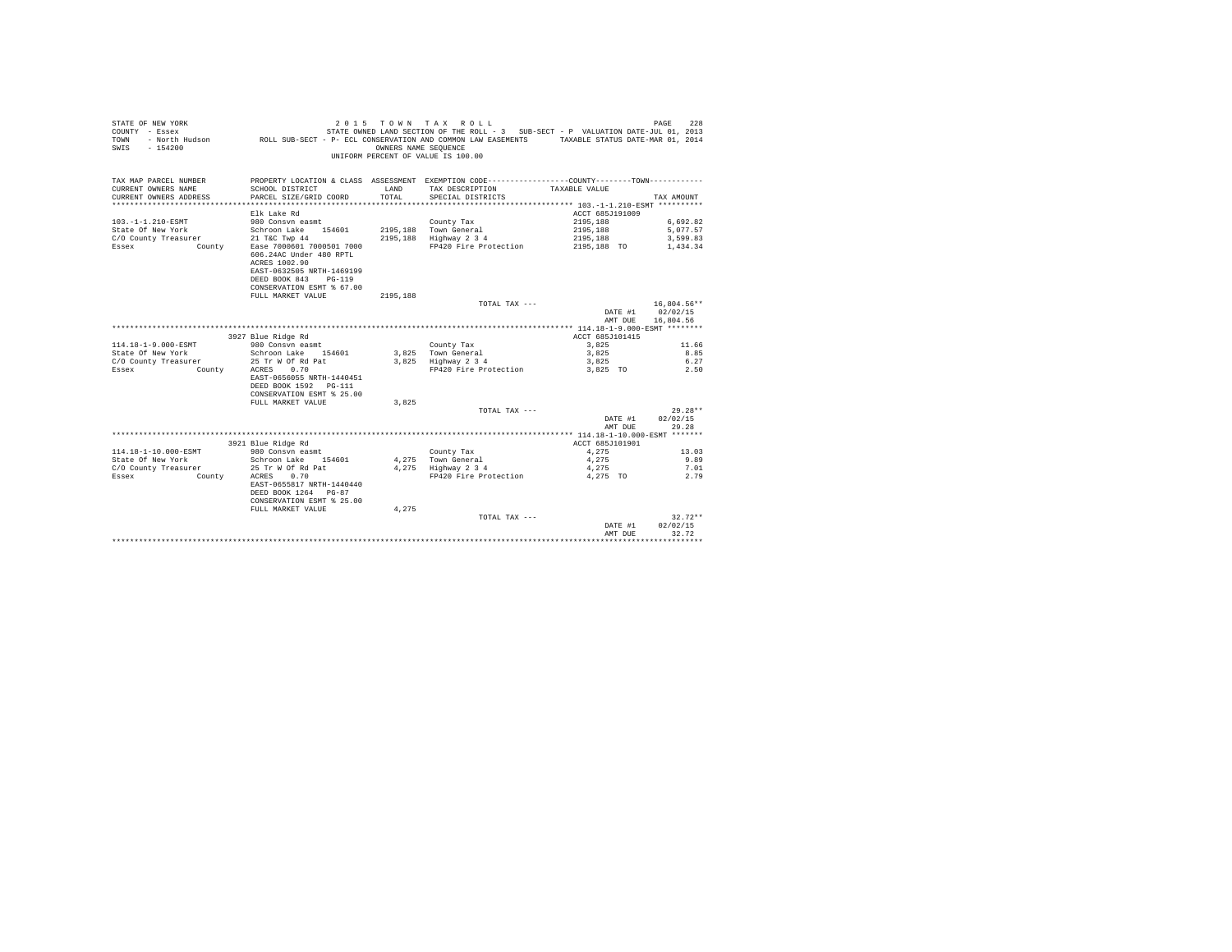| STATE OF NEW YORK<br>COUNTY - Essex<br><b>TOWN</b><br>$-154200$<br>SWIS | 2 0 1 5                                                                                                                                                 | OWNERS NAME SEOUENCE | TOWN TAX ROLL<br>STATE OWNED LAND SECTION OF THE ROLL - 3 SUB-SECT - P VALUATION DATE-JUL 01, 2013<br>- North Hudson ROLL SUB-SECT - P- ECL CONSERVATION AND COMMON LAW EASEMENTS TAXABLE STATUS DATE-MAR 01, 2014<br>UNIFORM PERCENT OF VALUE IS 100.00 |                 | 228<br>PAGE |
|-------------------------------------------------------------------------|---------------------------------------------------------------------------------------------------------------------------------------------------------|----------------------|----------------------------------------------------------------------------------------------------------------------------------------------------------------------------------------------------------------------------------------------------------|-----------------|-------------|
| TAX MAP PARCEL NUMBER<br>CURRENT OWNERS NAME                            | SCHOOL DISTRICT                                                                                                                                         | LAND                 | PROPERTY LOCATION & CLASS ASSESSMENT EXEMPTION CODE----------------COUNTY-------TOWN----------<br>TAX DESCRIPTION                                                                                                                                        | TAXABLE VALUE   |             |
| CURRENT OWNERS ADDRESS                                                  | PARCEL SIZE/GRID COORD                                                                                                                                  | TOTAL                | SPECIAL DISTRICTS                                                                                                                                                                                                                                        |                 | TAX AMOUNT  |
|                                                                         |                                                                                                                                                         |                      |                                                                                                                                                                                                                                                          |                 |             |
|                                                                         | Elk Lake Rd                                                                                                                                             |                      |                                                                                                                                                                                                                                                          | ACCT 685J191009 |             |
| $103. -1 - 1.210 - ESMT$                                                | 980 Consyn easmt                                                                                                                                        |                      | County Tax                                                                                                                                                                                                                                               | 2195.188        | 6,692.82    |
| State Of New York                                                       | Schroon Lake 154601                                                                                                                                     |                      | 2195.188 Town General                                                                                                                                                                                                                                    | 2195.188        | 5.077.57    |
| C/O County Treasurer                                                    | 21 T&C Twp 44                                                                                                                                           |                      | 2195,188 Highway 2 3 4                                                                                                                                                                                                                                   | 2195,188        | 3,599.83    |
| Essex<br>County                                                         | Ease 7000601 7000501 7000<br>606.24AC Under 480 RPTL<br>ACRES 1002.90<br>EAST-0632505 NRTH-1469199<br>DEED BOOK 843 PG-119<br>CONSERVATION ESMT % 67.00 |                      | FP420 Fire Protection                                                                                                                                                                                                                                    | 2195,188 TO     | 1.434.34    |
|                                                                         | FULL MARKET VALUE                                                                                                                                       | 2195.188             |                                                                                                                                                                                                                                                          |                 |             |
|                                                                         |                                                                                                                                                         |                      | TOTAL TAX ---                                                                                                                                                                                                                                            |                 | 16,804.56** |
|                                                                         |                                                                                                                                                         |                      |                                                                                                                                                                                                                                                          | DATE #1         | 02/02/15    |
|                                                                         |                                                                                                                                                         |                      |                                                                                                                                                                                                                                                          | AMT DUE         | 16,804.56   |
|                                                                         |                                                                                                                                                         |                      |                                                                                                                                                                                                                                                          |                 |             |
|                                                                         | 3927 Blue Ridge Rd                                                                                                                                      |                      |                                                                                                                                                                                                                                                          | ACCT 685J101415 |             |
| 114.18-1-9.000-ESMT                                                     | 980 Consyn easmt                                                                                                                                        |                      | County Tax                                                                                                                                                                                                                                               | 3,825           | 11.66       |
| State Of New York                                                       | Schroon Lake 154601                                                                                                                                     |                      | 3,825 Town General                                                                                                                                                                                                                                       | 3,825           | 8.85        |
| C/O County Treasurer                                                    | 25 Tr W Of Rd Pat                                                                                                                                       |                      | 3,825 Highway 2 3 4                                                                                                                                                                                                                                      | 3,825           | 6.27        |
| Essex<br>County                                                         | 0.70<br>ACRES<br>EAST-0656055 NRTH-1440451<br>DEED BOOK 1592 PG-111<br>CONSERVATION ESMT % 25.00                                                        |                      | FP420 Fire Protection                                                                                                                                                                                                                                    | 3.825 TO        | 2.50        |
|                                                                         | FULL MARKET VALUE                                                                                                                                       | 3.825                |                                                                                                                                                                                                                                                          |                 |             |
|                                                                         |                                                                                                                                                         |                      | TOTAL TAX ---                                                                                                                                                                                                                                            |                 | $29.28**$   |
|                                                                         |                                                                                                                                                         |                      |                                                                                                                                                                                                                                                          | DATE #1         | 02/02/15    |
|                                                                         |                                                                                                                                                         |                      |                                                                                                                                                                                                                                                          | AMT DUE         | 29.28       |
|                                                                         | 3921 Blue Ridge Rd                                                                                                                                      |                      |                                                                                                                                                                                                                                                          | ACCT 685J101901 |             |
| 114.18-1-10.000-ESMT                                                    | 980 Consvn easmt                                                                                                                                        |                      | County Tax                                                                                                                                                                                                                                               | 4.275           | 13.03       |
| State Of New York                                                       | Schroon Lake 154601                                                                                                                                     |                      | 4.275 Town General                                                                                                                                                                                                                                       | 4.275           | 9.89        |
| C/O County Treasurer                                                    | 25 Tr W Of Rd Pat                                                                                                                                       |                      | 4.275 Highway 2 3 4                                                                                                                                                                                                                                      | 4,275           | 7.01        |
| Essex<br>County                                                         | 0.70<br>ACRES                                                                                                                                           |                      | FP420 Fire Protection                                                                                                                                                                                                                                    | 4,275 TO        | 2.79        |
|                                                                         | EAST-0655817 NRTH-1440440<br>DEED BOOK 1264 PG-87<br>CONSERVATION ESMT % 25.00                                                                          |                      |                                                                                                                                                                                                                                                          |                 |             |
|                                                                         | FULL MARKET VALUE                                                                                                                                       | 4.275                |                                                                                                                                                                                                                                                          |                 |             |
|                                                                         |                                                                                                                                                         |                      | TOTAL TAX ---                                                                                                                                                                                                                                            |                 | $32.72**$   |
|                                                                         |                                                                                                                                                         |                      |                                                                                                                                                                                                                                                          | DATE #1         | 02/02/15    |
|                                                                         |                                                                                                                                                         |                      |                                                                                                                                                                                                                                                          | AMT DUE         | 32.72       |
|                                                                         |                                                                                                                                                         |                      |                                                                                                                                                                                                                                                          |                 |             |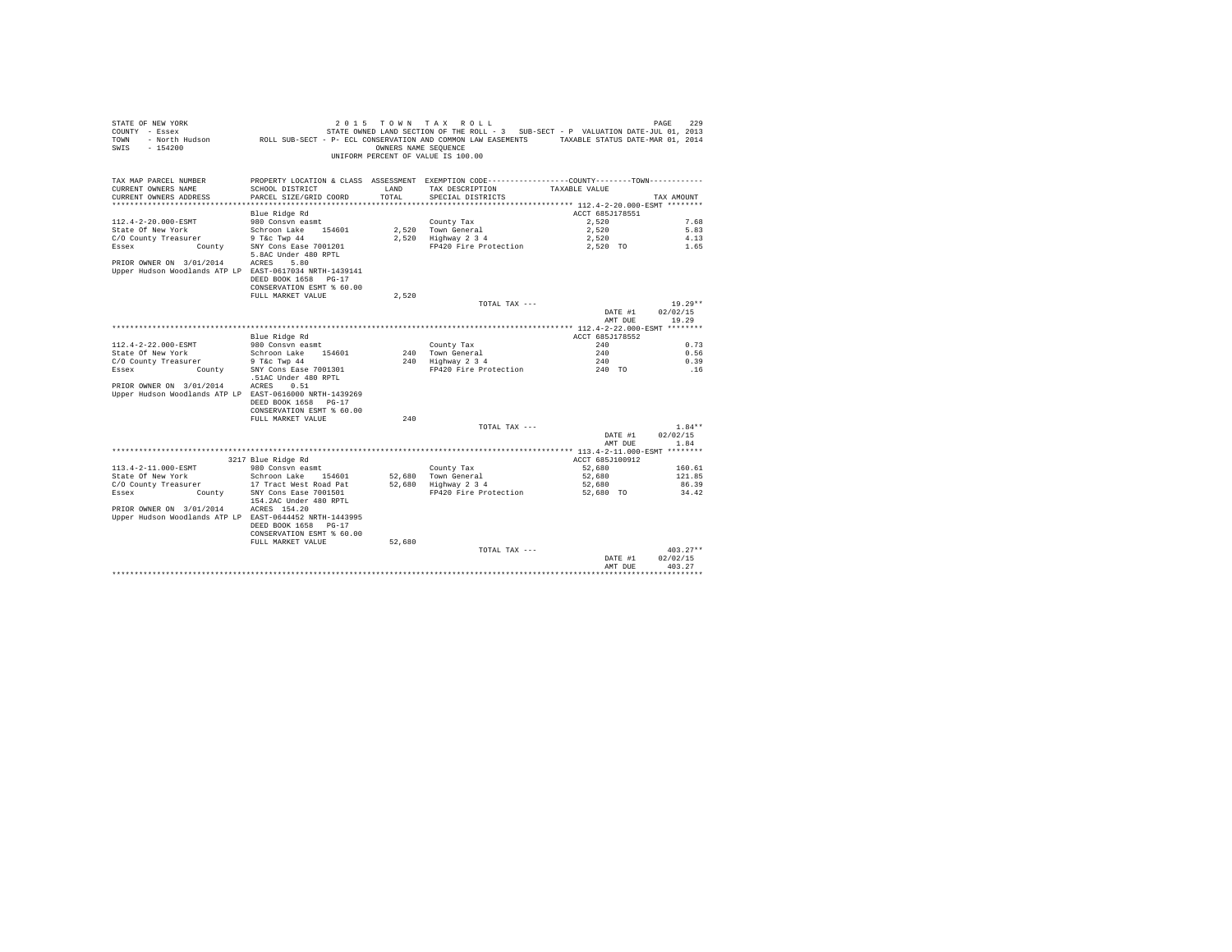| STATE OF NEW YORK<br>COUNTY - Essex<br>TOWN<br>$-154200$<br>SWIS | 2 0 1 5<br>- North Hudson MCDL SUB-SECT - P- ECL CONSERVATION AND COMMON LAW EASEMENTS | OWNERS NAME SEQUENCE | TOWN TAX ROLL<br>STATE OWNED LAND SECTION OF THE ROLL - 3 SUB-SECT - P VALUATION DATE-JUL 01, 2013<br>UNIFORM PERCENT OF VALUE IS 100.00 | TAXABLE STATUS DATE-MAR 01, 2014 | 229<br>PAGE          |
|------------------------------------------------------------------|----------------------------------------------------------------------------------------|----------------------|------------------------------------------------------------------------------------------------------------------------------------------|----------------------------------|----------------------|
|                                                                  |                                                                                        |                      |                                                                                                                                          |                                  |                      |
| TAX MAP PARCEL NUMBER<br>CURRENT OWNERS NAME                     | SCHOOL DISTRICT                                                                        | LAND                 | PROPERTY LOCATION & CLASS ASSESSMENT EXEMPTION CODE----------------COUNTY--------TOWN----------<br>TAX DESCRIPTION                       | TAXABLE VALUE                    |                      |
| CURRENT OWNERS ADDRESS                                           | PARCEL SIZE/GRID COORD                                                                 | TOTAL                | SPECIAL DISTRICTS                                                                                                                        |                                  | TAX AMOUNT           |
|                                                                  |                                                                                        |                      |                                                                                                                                          |                                  |                      |
|                                                                  | Blue Ridge Rd                                                                          |                      |                                                                                                                                          | ACCT 685J178551                  |                      |
| 112.4-2-20.000-ESMT                                              | 980 Consyn easmt                                                                       |                      | County Tax                                                                                                                               | 2.520                            | 7.68                 |
| State Of New York                                                | Schroon Lake 154601                                                                    | 2,520                | Town General                                                                                                                             | 2,520                            | 5.83                 |
| C/O County Treasurer                                             | 9 T&c Twp 44                                                                           | 2.520                | Highway 2 3 4                                                                                                                            | 2.520                            | 4.13                 |
| County<br>Essex                                                  | SNY Cons Ease 7001201<br>5.8AC Under 480 RPTL                                          |                      | FP420 Fire Protection                                                                                                                    | 2,520 TO                         | 1.65                 |
| PRIOR OWNER ON 3/01/2014                                         | ACRES<br>5.80                                                                          |                      |                                                                                                                                          |                                  |                      |
| Upper Hudson Woodlands ATP LP EAST-0617034 NRTH-1439141          |                                                                                        |                      |                                                                                                                                          |                                  |                      |
|                                                                  | DEED BOOK 1658<br>$PG-17$<br>CONSERVATION ESMT % 60.00                                 |                      |                                                                                                                                          |                                  |                      |
|                                                                  | FULL MARKET VALUE                                                                      | 2,520                |                                                                                                                                          |                                  |                      |
|                                                                  |                                                                                        |                      | TOTAL TAX ---                                                                                                                            |                                  | $19.29**$            |
|                                                                  |                                                                                        |                      |                                                                                                                                          | DATE #1                          | 02/02/15             |
|                                                                  |                                                                                        |                      |                                                                                                                                          | AMT DUE                          | 19.29                |
|                                                                  |                                                                                        |                      |                                                                                                                                          |                                  |                      |
|                                                                  | Blue Ridge Rd                                                                          |                      |                                                                                                                                          | ACCT 685J178552                  |                      |
| 112.4-2-22.000-ESMT                                              | 980 Consvn easmt                                                                       |                      | County Tax                                                                                                                               | 240                              | 0.73                 |
| State Of New York<br>C/O County Treasurer                        | Schroon Lake 154601<br>9 T&c Twp 44                                                    | 240<br>240           | Town General<br>Highway 2 3 4                                                                                                            | 240<br>240                       | 0.56<br>0.39         |
| Essex<br>County                                                  | SNY Cons Ease 7001301                                                                  |                      | FP420 Fire Protection                                                                                                                    | 240 TO                           | .16                  |
|                                                                  | .51AC Under 480 RPTL                                                                   |                      |                                                                                                                                          |                                  |                      |
| PRIOR OWNER ON 3/01/2014                                         | ACRES<br>0.51                                                                          |                      |                                                                                                                                          |                                  |                      |
| Upper Hudson Woodlands ATP LP EAST-0616000 NRTH-1439269          |                                                                                        |                      |                                                                                                                                          |                                  |                      |
|                                                                  | DEED BOOK 1658 PG-17                                                                   |                      |                                                                                                                                          |                                  |                      |
|                                                                  | CONSERVATION ESMT % 60.00                                                              |                      |                                                                                                                                          |                                  |                      |
|                                                                  | FULL MARKET VALUE                                                                      | 240                  |                                                                                                                                          |                                  |                      |
|                                                                  |                                                                                        |                      | TOTAL TAX ---                                                                                                                            |                                  | $1.84**$<br>02/02/15 |
|                                                                  |                                                                                        |                      |                                                                                                                                          | DATE #1<br>AMT DUE               | 1.84                 |
|                                                                  |                                                                                        |                      |                                                                                                                                          |                                  |                      |
|                                                                  | 3217 Blue Ridge Rd                                                                     |                      |                                                                                                                                          | ACCT 685J100912                  |                      |
| 113.4-2-11.000-ESMT                                              | 980 Consvn easmt                                                                       |                      | County Tax                                                                                                                               | 52,680                           | 160.61               |
| State Of New York                                                | Schroon Lake 154601                                                                    | 52,680               | Town General                                                                                                                             | 52,680                           | 121.85               |
| C/O County Treasurer                                             | 17 Tract West Road Pat                                                                 | 52.680               | Highway 2 3 4                                                                                                                            | 52,680                           | 86.39                |
| Essex<br>County                                                  | SNY Cons Ease 7001501<br>154.2AC Under 480 RPTL                                        |                      | FP420 Fire Protection                                                                                                                    | 52,680 TO                        | 34.42                |
| PRIOR OWNER ON 3/01/2014                                         | ACRES 154.20                                                                           |                      |                                                                                                                                          |                                  |                      |
| Upper Hudson Woodlands ATP LP EAST-0644452 NRTH-1443995          |                                                                                        |                      |                                                                                                                                          |                                  |                      |
|                                                                  | DEED BOOK 1658 PG-17                                                                   |                      |                                                                                                                                          |                                  |                      |
|                                                                  | CONSERVATION ESMT % 60.00                                                              |                      |                                                                                                                                          |                                  |                      |
|                                                                  | FULL MARKET VALUE                                                                      | 52,680               | TOTAL TAX ---                                                                                                                            |                                  | $403.27**$           |
|                                                                  |                                                                                        |                      |                                                                                                                                          | DATE #1                          | 02/02/15             |
|                                                                  |                                                                                        |                      |                                                                                                                                          | AMT DUE                          | 403.27               |
|                                                                  |                                                                                        |                      |                                                                                                                                          |                                  |                      |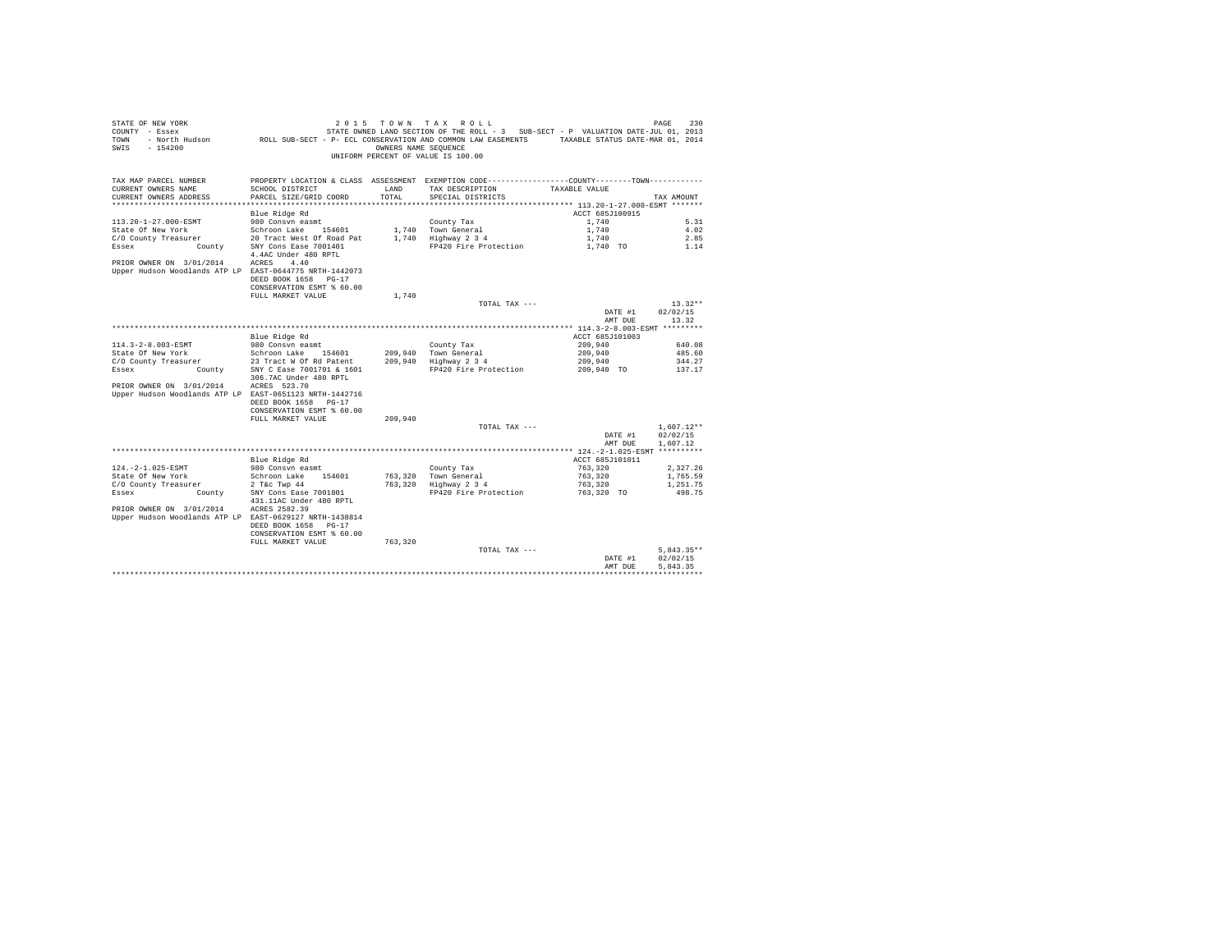| STATE OF NEW YORK<br>COUNTY - Essex<br>TOWN<br>$-154200$<br>SWIS                    | 2 0 1 5<br>- North Hudson ROLL SUB-SECT - P- ECL CONSERVATION AND COMMON LAW EASEMENTS TAXABLE STATUS DATE-MAR 01, 2014 | OWNERS NAME SEQUENCE | TOWN TAX ROLL<br>STATE OWNED LAND SECTION OF THE ROLL - 3 SUB-SECT - P VALUATION DATE-JUL 01, 2013<br>UNIFORM PERCENT OF VALUE IS 100.00 |                    | 230<br>PAGE       |
|-------------------------------------------------------------------------------------|-------------------------------------------------------------------------------------------------------------------------|----------------------|------------------------------------------------------------------------------------------------------------------------------------------|--------------------|-------------------|
| TAX MAP PARCEL NUMBER<br>CURRENT OWNERS NAME                                        | SCHOOL DISTRICT                                                                                                         | LAND                 | PROPERTY LOCATION & CLASS ASSESSMENT EXEMPTION CODE----------------COUNTY--------TOWN----------<br>TAX DESCRIPTION                       | TAXABLE VALUE      |                   |
| CURRENT OWNERS ADDRESS                                                              | PARCEL SIZE/GRID COORD                                                                                                  | TOTAL.               | SPECIAL DISTRICTS                                                                                                                        |                    | TAX AMOUNT        |
|                                                                                     |                                                                                                                         |                      |                                                                                                                                          |                    |                   |
|                                                                                     | Blue Ridge Rd                                                                                                           |                      |                                                                                                                                          | ACCT 685J100915    |                   |
| 113.20-1-27.000-ESMT                                                                | 980 Consyn easmt                                                                                                        |                      | County Tax                                                                                                                               | 1,740              | 5.31              |
| State Of New York                                                                   | Schroon Lake 154601                                                                                                     |                      | 1,740 Town General                                                                                                                       | 1,740              | 4.02              |
| C/O County Treasurer                                                                | 20 Tract West Of Road Pat                                                                                               |                      | 1,740 Highway 2 3 4                                                                                                                      | 1,740              | 2.85              |
| Essex<br>County                                                                     | SNY Cons Ease 7001401<br>4.4AC Under 480 RPTL                                                                           |                      | FP420 Fire Protection                                                                                                                    | 1,740 TO           | 1.14              |
| PRIOR OWNER ON 3/01/2014<br>Upper Hudson Woodlands ATP LP EAST-0644775 NRTH-1442073 | 4.40<br>ACRES<br>DEED BOOK 1658 PG-17<br>CONSERVATION ESMT % 60.00                                                      |                      |                                                                                                                                          |                    |                   |
|                                                                                     | FULL MARKET VALUE                                                                                                       | 1,740                |                                                                                                                                          |                    |                   |
|                                                                                     |                                                                                                                         |                      | TOTAL TAX ---                                                                                                                            |                    | $13.32**$         |
|                                                                                     |                                                                                                                         |                      |                                                                                                                                          | DATE #1<br>AMT DUE | 02/02/15<br>13.32 |
|                                                                                     |                                                                                                                         |                      |                                                                                                                                          |                    |                   |
|                                                                                     | Blue Ridge Rd                                                                                                           |                      |                                                                                                                                          | ACCT 685J101003    |                   |
| 114.3-2-8.003-ESMT                                                                  | 980 Consvn easmt                                                                                                        |                      | County Tax                                                                                                                               | 209,940            | 640.08            |
| State Of New York                                                                   | Schroon Lake 154601                                                                                                     | 209,940              | Town General                                                                                                                             | 209,940            | 485.60            |
| C/O County Treasurer                                                                | 23 Tract W Of Rd Patent                                                                                                 | 209,940              | Highway 2 3 4                                                                                                                            | 209,940            | 344.27            |
| Essex<br>County                                                                     | SNY C Ease 7001701 & 1601<br>306.7AC Under 480 RPTL                                                                     |                      | FP420 Fire Protection                                                                                                                    | 209,940 TO         | 137.17            |
| PRIOR OWNER ON 3/01/2014<br>Upper Hudson Woodlands ATP LP EAST-0651123 NRTH-1442716 | ACRES 523.70<br>DEED BOOK 1658 PG-17<br>CONSERVATION ESMT % 60.00                                                       |                      |                                                                                                                                          |                    |                   |
|                                                                                     | FULL MARKET VALUE                                                                                                       | 209,940              |                                                                                                                                          |                    | $1.607.12**$      |
|                                                                                     |                                                                                                                         |                      | TOTAL TAX ---                                                                                                                            | DATE #1            | 02/02/15          |
|                                                                                     |                                                                                                                         |                      |                                                                                                                                          | AMT DUE            | 1.607.12          |
|                                                                                     |                                                                                                                         |                      |                                                                                                                                          |                    |                   |
|                                                                                     | Blue Ridge Rd                                                                                                           |                      |                                                                                                                                          | ACCT 685J101011    |                   |
| 124.-2-1.025-ESMT                                                                   | 980 Consvn easmt                                                                                                        |                      | County Tax                                                                                                                               | 763,320            | 2,327.26          |
| State Of New York                                                                   | Schroon Lake<br>154601                                                                                                  | 763,320              | Town General                                                                                                                             | 763,320            | 1,765.59          |
| C/O County Treasurer                                                                | 2 T&c Twp 44                                                                                                            | 763.320              | Highway 2 3 4                                                                                                                            | 763,320            | 1,251.75          |
| Essex<br>County                                                                     | SNY Cons Ease 7001801<br>431.11AC Under 480 RPTL                                                                        |                      | FP420 Fire Protection                                                                                                                    | 763,320 TO         | 498.75            |
| PRIOR OWNER ON 3/01/2014                                                            | ACRES 2582.39                                                                                                           |                      |                                                                                                                                          |                    |                   |
| Upper Hudson Woodlands ATP LP EAST-0629127 NRTH-1438814                             | DEED BOOK 1658 PG-17<br>CONSERVATION ESMT % 60.00                                                                       |                      |                                                                                                                                          |                    |                   |
|                                                                                     | FULL MARKET VALUE                                                                                                       | 763,320              |                                                                                                                                          |                    |                   |
|                                                                                     |                                                                                                                         |                      | TOTAL TAX ---                                                                                                                            |                    | $5,843.35**$      |
|                                                                                     |                                                                                                                         |                      |                                                                                                                                          | DATE #1            | 02/02/15          |
|                                                                                     |                                                                                                                         |                      |                                                                                                                                          | AMT DUE            | 5.843.35          |
|                                                                                     |                                                                                                                         |                      |                                                                                                                                          |                    |                   |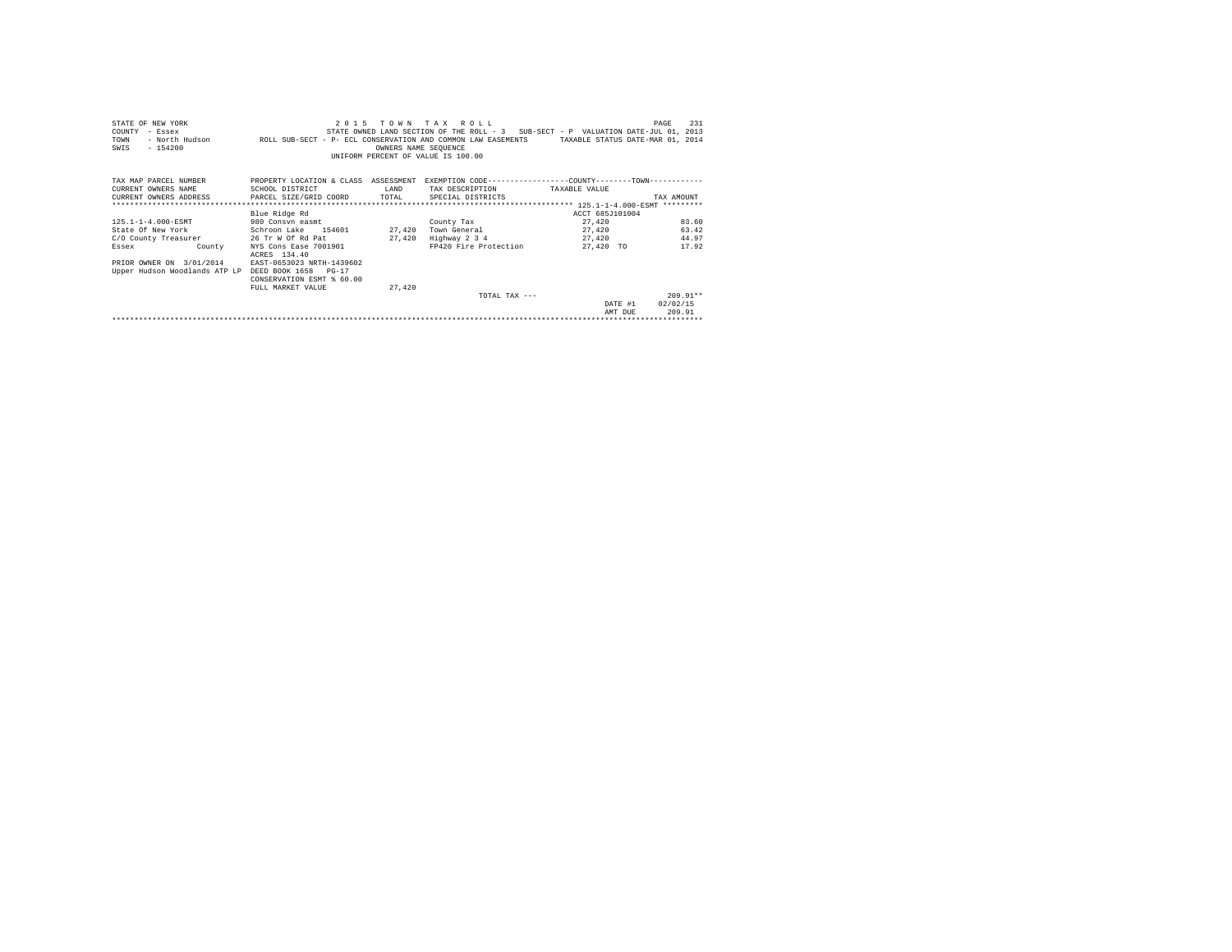| STATE OF NEW YORK<br>COUNTY<br>- Essex<br>TOWN<br>$-154200$<br>SWIS | 2 0 1 5<br>- North Hudson . ROLL SUB-SECT - P- ECL CONSERVATION AND COMMON LAW EASEMENTS                        | OWNERS NAME SEQUENCE | TOWN TAX ROLL<br>STATE OWNED LAND SECTION OF THE ROLL - 3 SUB-SECT - P VALUATION DATE-JUL 01, 2013<br>UNIFORM PERCENT OF VALUE IS 100.00 | TAXABLE STATUS DATE-MAR 01, 2014 | 231<br>PAGE |
|---------------------------------------------------------------------|-----------------------------------------------------------------------------------------------------------------|----------------------|------------------------------------------------------------------------------------------------------------------------------------------|----------------------------------|-------------|
| TAX MAP PARCEL NUMBER<br>CURRENT OWNERS NAME                        | PROPERTY LOCATION & CLASS ASSESSMENT EXEMPTION CODE---------------COUNTY-------TOWN---------<br>SCHOOL DISTRICT | T.AND                | TAX DESCRIPTION                                                                                                                          | TAXABLE VALUE                    |             |
| CURRENT OWNERS ADDRESS PARCEL SIZE/GRID COORD                       |                                                                                                                 | TOTAL                | SPECIAL DISTRICTS                                                                                                                        |                                  | TAX AMOUNT  |
|                                                                     |                                                                                                                 |                      |                                                                                                                                          |                                  |             |
|                                                                     | Blue Ridge Rd                                                                                                   |                      |                                                                                                                                          | ACCT 685J101004                  |             |
| 125.1-1-4.000-ESMT                                                  | 980 Consyn easmt                                                                                                |                      | County Tax                                                                                                                               | 27.420                           | 83.60       |
| State Of New York                                                   | Schroon Lake 154601                                                                                             | 27,420               | Town General                                                                                                                             | 27,420                           | 63.42       |
| C/O County Treasurer                                                | 26 Tr W Of Rd Pat                                                                                               | 27.420               | Highway 2 3 4                                                                                                                            | 27,420                           | 44.97       |
| County<br>Essex                                                     | NYS Cons Ease 7001901<br>ACRES 134.40                                                                           |                      | FP420 Fire Protection                                                                                                                    | 27,420 TO                        | 17.92       |
| PRIOR OWNER ON 3/01/2014                                            | EAST-0653023 NRTH-1439602                                                                                       |                      |                                                                                                                                          |                                  |             |
| Upper Hudson Woodlands ATP LP DEED BOOK 1658 PG-17                  | CONSERVATION ESMT % 60.00                                                                                       |                      |                                                                                                                                          |                                  |             |
|                                                                     | FULL MARKET VALUE                                                                                               | 27,420               |                                                                                                                                          |                                  |             |
|                                                                     |                                                                                                                 |                      | TOTAL TAX $---$                                                                                                                          |                                  | $209.91**$  |
|                                                                     |                                                                                                                 |                      |                                                                                                                                          | DATE #1                          | 02/02/15    |
|                                                                     |                                                                                                                 |                      |                                                                                                                                          | AMT DUE                          | 209.91      |
|                                                                     |                                                                                                                 |                      |                                                                                                                                          |                                  |             |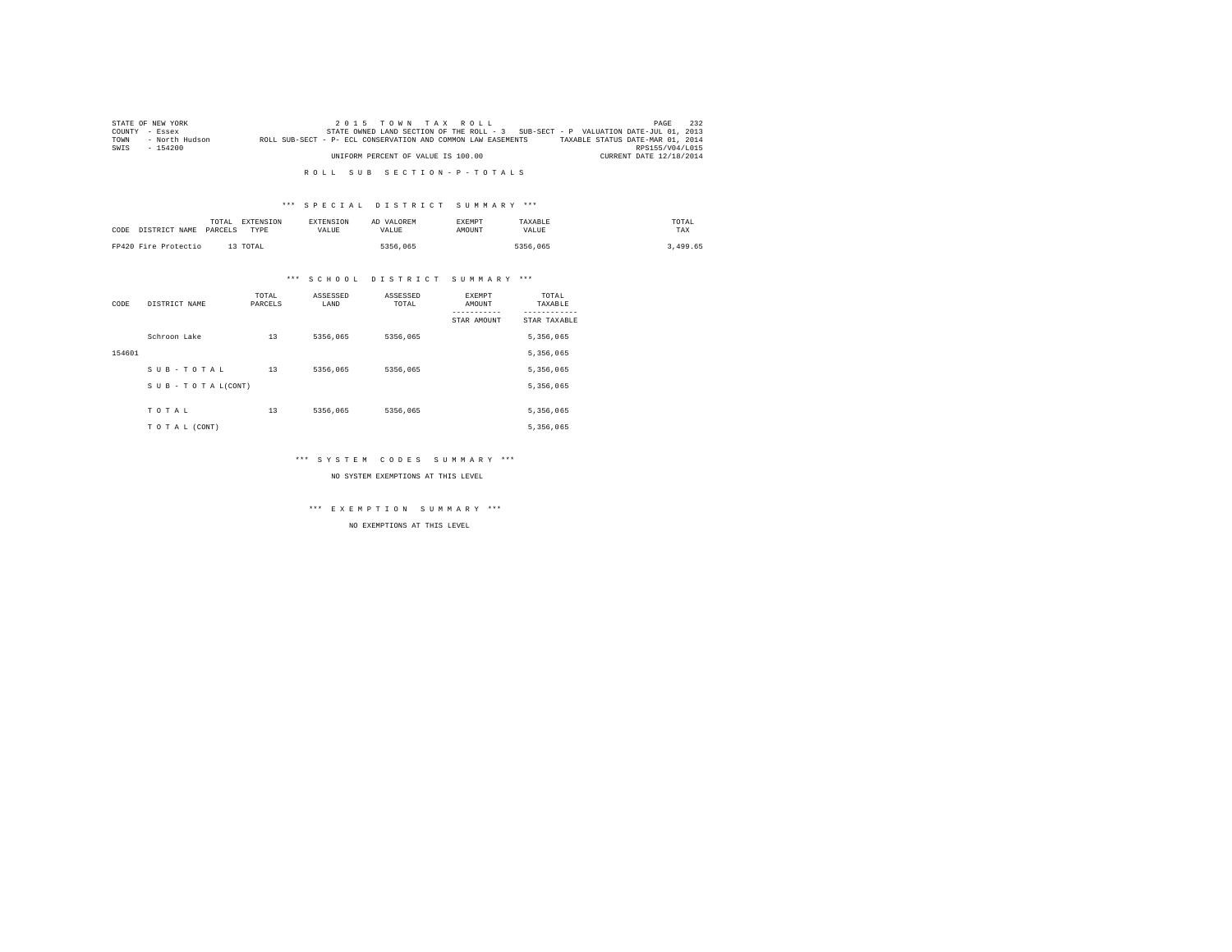|      | STATE OF NEW YORK | $2.0.15$ TOWN TAX ROLL                                                                           | PAGE            | 232 |
|------|-------------------|--------------------------------------------------------------------------------------------------|-----------------|-----|
|      | COUNTY - Essex    | STATE OWNED LAND SECTION OF THE ROLL - 3 SUB-SECT - P VALUATION DATE-JUL 01, 2013                |                 |     |
| TOWN | - North Hudson    | TAXABLE STATUS DATE-MAR 01, 2014<br>ROLL SUB-SECT - P- ECL CONSERVATION AND COMMON LAW EASEMENTS |                 |     |
| SWIS | $-154200$         |                                                                                                  | RPS155/V04/L015 |     |
|      |                   | UNIFORM PERCENT OF VALUE IS 100.00<br>CURRENT DATE 12/18/2014                                    |                 |     |

## \*\*\* S P E C I A L D I S T R I C T S U M M A R Y \*\*\*

| CODE | DISTRICT NAME        | TOTAL<br>PARCELS | EXTENSION<br>TYPE | <b>EXTENSION</b><br>VALUE | AD VALOREM<br>VALUE | EXEMPT<br>AMOUNT | TAXABLE<br>VALUE | TOTAL<br>TAX |  |
|------|----------------------|------------------|-------------------|---------------------------|---------------------|------------------|------------------|--------------|--|
|      | FP420 Fire Protectio |                  | 13 TOTAL          |                           | 5356,065            |                  | 5356.065         | 3,499.65     |  |

## \*\*\* S C H O O L D I S T R I C T S U M M A R Y \*\*\*

| CODE   | DISTRICT NAME      | TOTAL<br>PARCELS | ASSESSED<br>LAND | ASSESSED<br>TOTAL | <b>EXEMPT</b><br>AMOUNT | TOTAL<br>TAXABLE |
|--------|--------------------|------------------|------------------|-------------------|-------------------------|------------------|
|        |                    |                  |                  |                   | STAR AMOUNT             | STAR TAXABLE     |
|        | Schroon Lake       | 13               | 5356.065         | 5356,065          |                         | 5,356,065        |
| 154601 |                    |                  |                  |                   |                         | 5,356,065        |
|        | SUB-TOTAL          | 13               | 5356.065         | 5356.065          |                         | 5,356,065        |
|        | SUB - TO TAL(CONT) |                  |                  |                   |                         | 5,356,065        |
|        |                    |                  |                  |                   |                         |                  |
|        | TOTAL              | 13               | 5356.065         | 5356.065          |                         | 5,356,065        |
|        | TO TAL (CONT)      |                  |                  |                   |                         | 5,356,065        |

## \*\*\* S Y S T E M C O D E S S U M M A R Y \*\*\*

NO SYSTEM EXEMPTIONS AT THIS LEVEL

\*\*\* E X E M P T I O N S U M M A R Y \*\*\*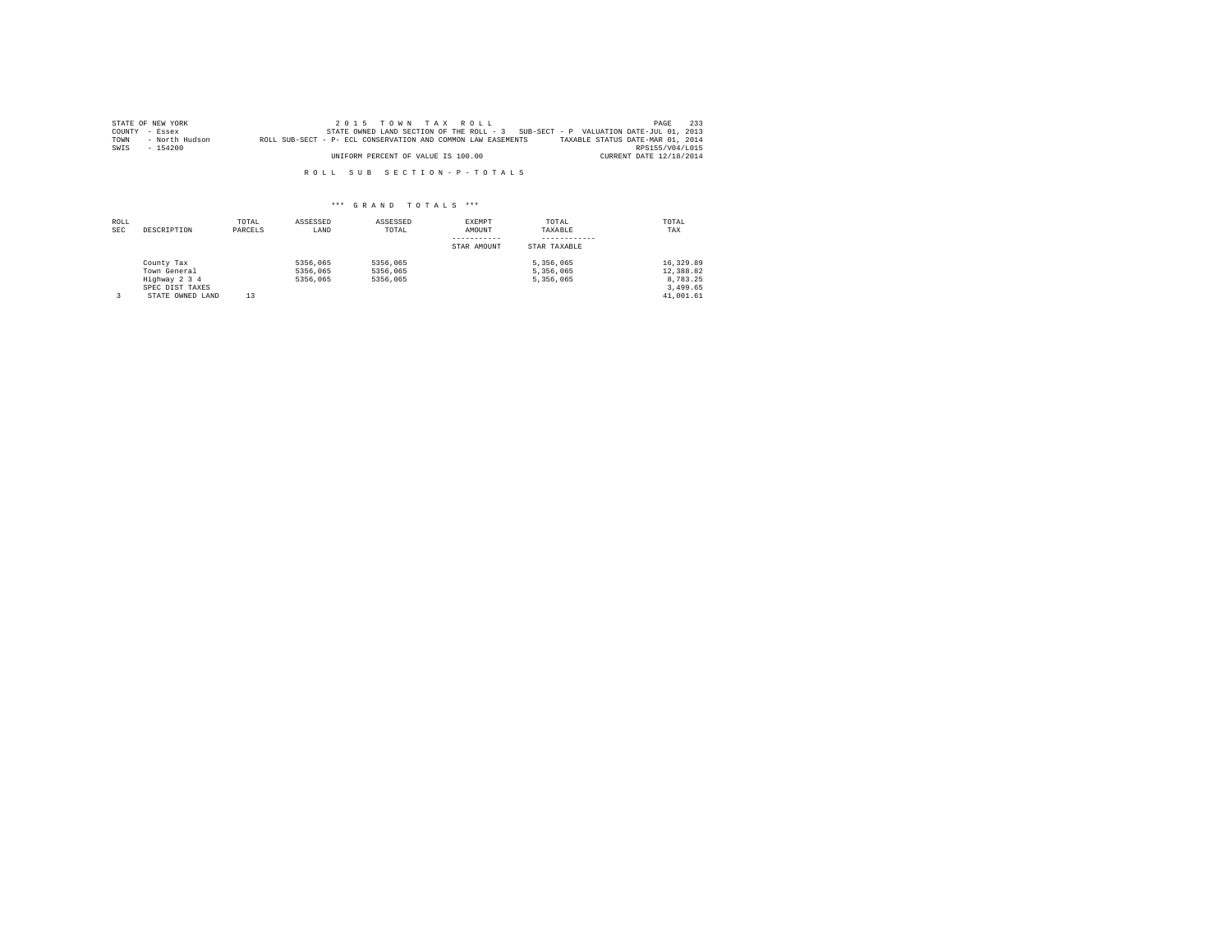|      | STATE OF NEW YORK | 2015 TOWN TAX ROLL                                                                               | PAGE            | 233 |
|------|-------------------|--------------------------------------------------------------------------------------------------|-----------------|-----|
|      | COUNTY - Essex    | STATE OWNED LAND SECTION OF THE ROLL - 3 SUB-SECT - P VALUATION DATE-JUL 01, 2013                |                 |     |
| TOWN | - North Hudson    | TAXABLE STATUS DATE-MAR 01, 2014<br>ROLL SUB-SECT - P- ECL CONSERVATION AND COMMON LAW EASEMENTS |                 |     |
| SWIS | $-154200$         |                                                                                                  | RPS155/V04/L015 |     |
|      |                   | UNIFORM PERCENT OF VALUE IS 100.00<br>CURRENT DATE 12/18/2014                                    |                 |     |

| ROLL<br><b>SEC</b> | DESCRIPTION                                                                        | TOTAL<br>PARCELS | ASSESSED<br>LAND                 | ASSESSED<br>TOTAL                | EXEMPT<br>AMOUNT<br>STAR AMOUNT | TOTAL<br>TAXABLE<br>STAR TAXABLE    | TOTAL<br>TAX                                                |
|--------------------|------------------------------------------------------------------------------------|------------------|----------------------------------|----------------------------------|---------------------------------|-------------------------------------|-------------------------------------------------------------|
|                    | County Tax<br>Town General<br>Highway 2 3 4<br>SPEC DIST TAXES<br>STATE OWNED LAND | 13               | 5356,065<br>5356,065<br>5356,065 | 5356,065<br>5356,065<br>5356,065 |                                 | 5.356.065<br>5.356.065<br>5.356.065 | 16,329.89<br>12,388.82<br>8.783.25<br>3.499.65<br>41,001.61 |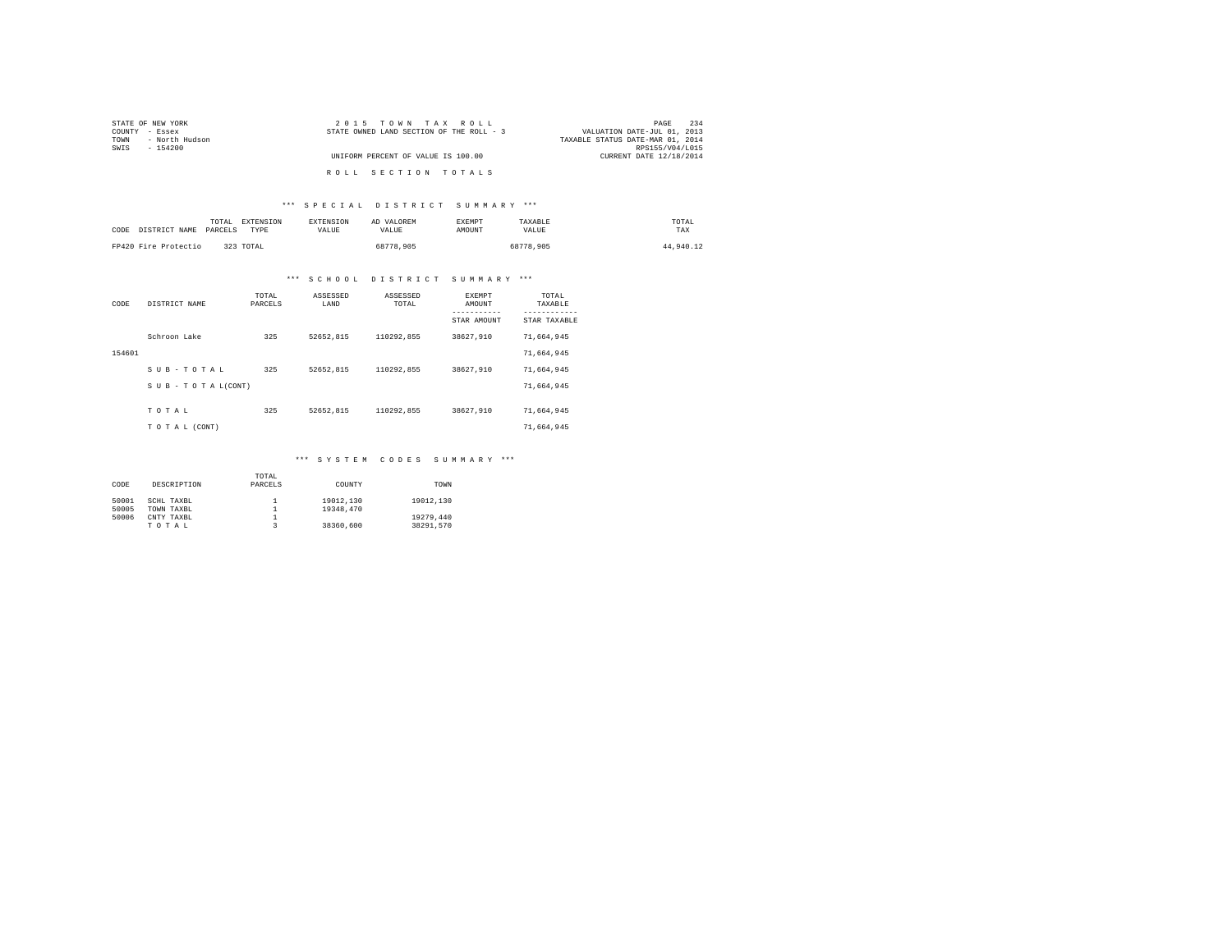| STATE OF NEW YORK      | 2015 TOWN TAX ROLL                       | 234<br>PAGE                      |
|------------------------|------------------------------------------|----------------------------------|
| COUNTY - Essex         | STATE OWNED LAND SECTION OF THE ROLL - 3 | VALUATION DATE-JUL 01, 2013      |
| - North Hudson<br>TOWN |                                          | TAXABLE STATUS DATE-MAR 01, 2014 |
| SWIS<br>$-154200$      |                                          | RPS155/V04/L015                  |
|                        | UNIFORM PERCENT OF VALUE IS 100.00       | CURRENT DATE 12/18/2014          |
|                        |                                          |                                  |
|                        | ROLL SECTION TOTALS                      |                                  |

## \*\*\* S P E C I A L D I S T R I C T S U M M A R Y \*\*\*

| CODE DISTRICT NAME PARCELS | EXTENSION<br>TOTAL<br>TYPE | <b>EXTENSION</b><br><b>VALUE</b> | AD VALOREM<br>VALUE | EXEMPT<br>AMOUNT | TAXABLE<br>VALUE | TOTAL<br>TAX |
|----------------------------|----------------------------|----------------------------------|---------------------|------------------|------------------|--------------|
| FP420 Fire Protectio       | 323 TOTAL                  |                                  | 68778,905           |                  | 68778.905        | 44,940.12    |

# \*\*\* S C H O O L D I S T R I C T S U M M A R Y \*\*\*

| CODE   | DISTRICT NAME             | TOTAL<br>PARCELS | ASSESSED<br>LAND | ASSESSED<br>TOTAL | <b>EXEMPT</b><br>AMOUNT<br>-----------<br>STAR AMOUNT | TOTAL<br>TAXABLE<br>------------<br>STAR TAXABLE |
|--------|---------------------------|------------------|------------------|-------------------|-------------------------------------------------------|--------------------------------------------------|
|        | Schroon Lake              | 325              | 52652.815        | 110292.855        | 38627.910                                             | 71.664.945                                       |
| 154601 |                           |                  |                  |                   |                                                       | 71.664.945                                       |
|        | SUB-TOTAL                 | 325              | 52652.815        | 110292.855        | 38627.910                                             | 71.664.945                                       |
|        | $S$ U B - T O T A L(CONT) |                  |                  |                   |                                                       | 71.664.945                                       |
|        | TOTAL                     | 325              | 52652.815        | 110292.855        | 38627,910                                             | 71.664.945                                       |
|        | TO TAL (CONT)             |                  |                  |                   |                                                       | 71.664.945                                       |

## \*\*\* S Y S T E M C O D E S S U M M A R Y \*\*\*

|       |             | TOTAL   |           |           |
|-------|-------------|---------|-----------|-----------|
| CODE  | DESCRIPTION | PARCELS | COUNTY    | TOWN      |
|       |             |         |           |           |
| 50001 | SCHL TAXBL  |         | 19012.130 | 19012.130 |
| 50005 | TOWN TAXBL  |         | 19348,470 |           |
| 50006 | CNTY TAXBL  |         |           | 19279.440 |
|       | TOTAL       |         | 38360,600 | 38291.570 |
|       |             |         |           |           |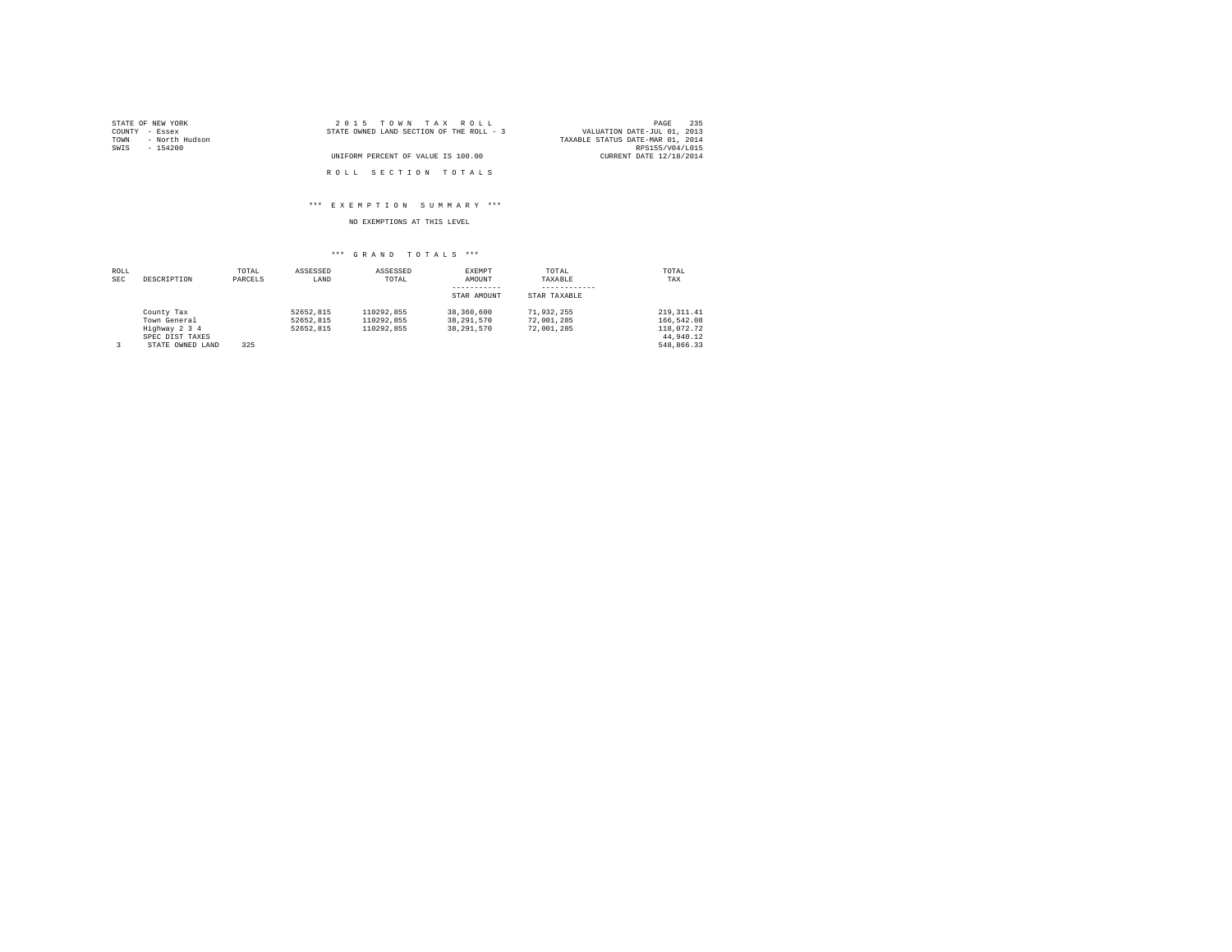| STATE OF NEW YORK      | 2015 TOWN TAX ROLL                       | 235<br>PAGE                      |
|------------------------|------------------------------------------|----------------------------------|
| COUNTY - Essex         | STATE OWNED LAND SECTION OF THE ROLL - 3 | VALUATION DATE-JUL 01, 2013      |
| - North Hudson<br>TOWN |                                          | TAXABLE STATUS DATE-MAR 01, 2014 |
| SWIS<br>- 154200       |                                          | RPS155/V04/L015                  |
|                        | UNIFORM PERCENT OF VALUE IS 100.00       | CURRENT DATE 12/18/2014          |
|                        |                                          |                                  |
|                        | ROLL SECTION TOTALS                      |                                  |

## \*\*\* E X E M P T I O N S U M M A R Y \*\*\*

## NO EXEMPTIONS AT THIS LEVEL

| ROLL |                  | TOTAL   | ASSESSED  | ASSESSED   | EXEMPT       | TOTAL        | TOTAL        |
|------|------------------|---------|-----------|------------|--------------|--------------|--------------|
| SEC  | DESCRIPTION      | PARCELS | LAND      | TOTAL      | AMOUNT       | TAXABLE      | TAX          |
|      |                  |         |           |            |              |              |              |
|      |                  |         |           |            | STAR AMOUNT  | STAR TAXABLE |              |
|      | County Tax       |         | 52652.815 | 110292.855 | 38,360,600   | 71.932.255   | 219, 311, 41 |
|      | Town General     |         | 52652.815 | 110292.855 | 38, 291, 570 | 72.001.285   | 166.542.08   |
|      | Highway 2 3 4    |         | 52652.815 | 110292.855 | 38, 291, 570 | 72.001.285   | 118,072.72   |
|      | SPEC DIST TAXES  |         |           |            |              |              | 44.940.12    |
|      | STATE OWNED LAND | 325     |           |            |              |              | 548.866.33   |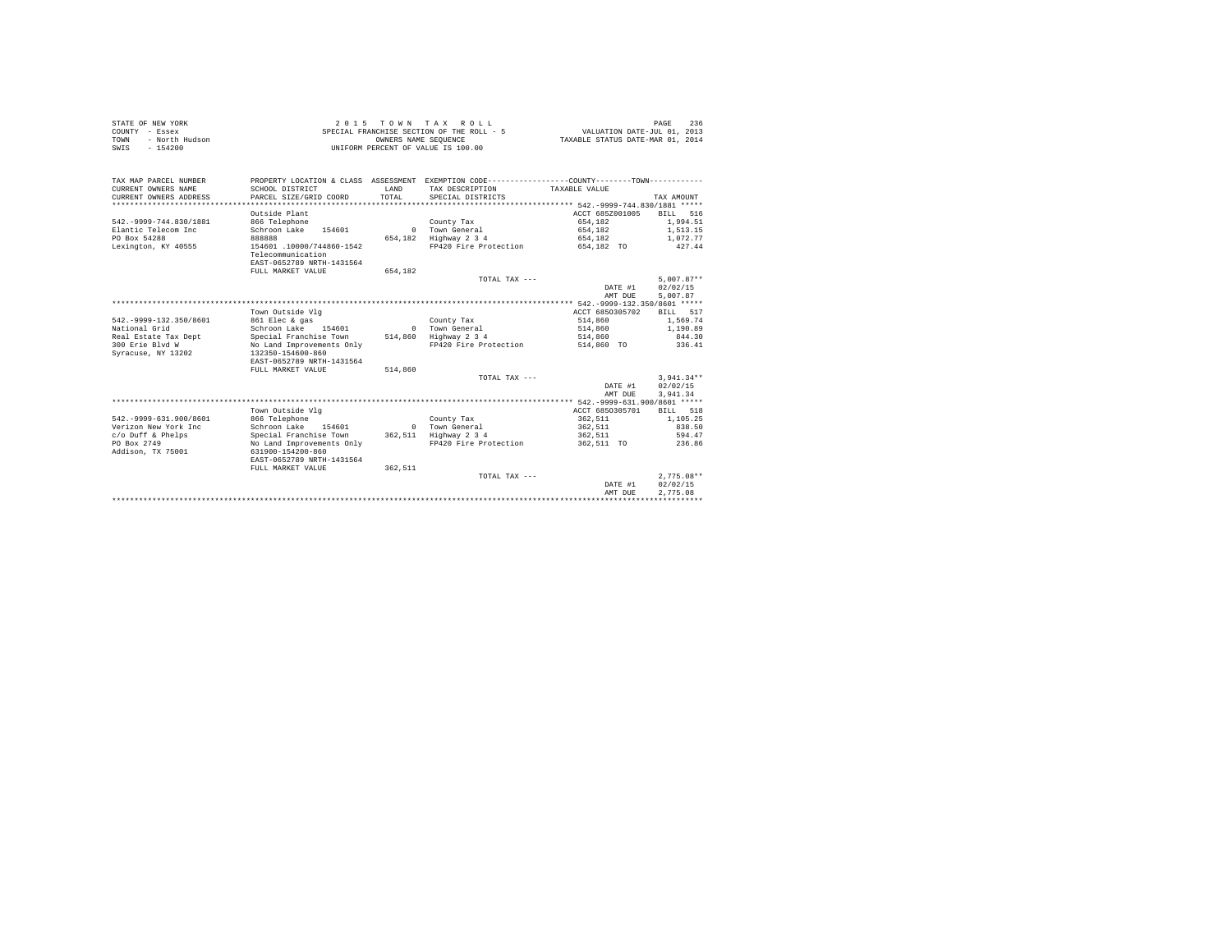|      | STATE OF NEW YORK | 2015 TOWN TAX ROLL                        | 236<br>PAGE                      |
|------|-------------------|-------------------------------------------|----------------------------------|
|      | COUNTY - Essex    | SPECIAL FRANCHISE SECTION OF THE ROLL - 5 | VALUATION DATE-JUL 01, 2013      |
| TOWN | - North Hudson    | OWNERS NAME SEOUENCE                      | TAXABLE STATUS DATE-MAR 01, 2014 |
| SWIS | - 154200          | UNIFORM PERCENT OF VALUE IS 100.00        |                                  |

| TAX MAP PARCEL NUMBER<br>CURRENT OWNERS NAME<br>CURRENT OWNERS ADDRESS | SCHOOL DISTRICT<br>PARCEL SIZE/GRID COORD | <b>T.AND</b><br>TOTAL | PROPERTY LOCATION & CLASS ASSESSMENT EXEMPTION CODE----------------COUNTY-------TOWN----------<br>TAX DESCRIPTION<br>SPECIAL DISTRICTS | TAXABLE VALUE                                | TAX AMOUNT         |
|------------------------------------------------------------------------|-------------------------------------------|-----------------------|----------------------------------------------------------------------------------------------------------------------------------------|----------------------------------------------|--------------------|
| *******************                                                    |                                           |                       |                                                                                                                                        | *********** 542.-9999-744.830/1881 *****     |                    |
|                                                                        | Outside Plant                             |                       |                                                                                                                                        | ACCT 685Z001005                              | 516<br><b>BILL</b> |
| 542. - 9999-744.830/1881                                               | 866 Telephone                             |                       | County Tax                                                                                                                             | 654.182                                      | 1,994.51           |
| Elantic Telecom Inc                                                    | Schroon Lake<br>154601                    | $\Omega$              | Town General                                                                                                                           | 654,182                                      | 1,513.15           |
| PO Box 54288                                                           | 888888                                    | 654,182               | Highway 2 3 4                                                                                                                          | 654.182                                      | 1,072.77           |
| Lexington, KY 40555                                                    | 154601 .10000/744860-1542                 |                       | FP420 Fire Protection                                                                                                                  | 654,182 TO                                   | 427.44             |
|                                                                        | Telecommunication                         |                       |                                                                                                                                        |                                              |                    |
|                                                                        | EAST-0652789 NRTH-1431564                 |                       |                                                                                                                                        |                                              |                    |
|                                                                        | FULL MARKET VALUE                         | 654.182               |                                                                                                                                        |                                              |                    |
|                                                                        |                                           |                       | TOTAL TAX ---                                                                                                                          |                                              | $5.007.87**$       |
|                                                                        |                                           |                       |                                                                                                                                        | DATE #1                                      | 02/02/15           |
|                                                                        |                                           |                       |                                                                                                                                        | AMT DUE                                      | 5,007.87           |
|                                                                        |                                           |                       |                                                                                                                                        | ******** 542.-9999-132.350/8601 *****        |                    |
|                                                                        | Town Outside Vla                          |                       |                                                                                                                                        | ACCT 6850305702                              | <b>BILL</b><br>517 |
| 542. - 9999-132.350/8601                                               | 861 Elec & gas                            |                       | County Tax                                                                                                                             | 514,860                                      | 1.569.74           |
| National Grid                                                          | Schroon Lake 154601                       | $\Omega$              | Town General                                                                                                                           | 514,860                                      | 1,190.89           |
| Real Estate Tax Dept                                                   | Special Franchise Town                    | 514,860               | Highway 2 3 4                                                                                                                          | 514,860                                      | 844.30             |
| 300 Erie Blvd W                                                        | No Land Improvements Only                 |                       | FP420 Fire Protection                                                                                                                  | 514,860 TO                                   | 336.41             |
| Syracuse, NY 13202                                                     | 132350-154600-860                         |                       |                                                                                                                                        |                                              |                    |
|                                                                        | EAST-0652789 NRTH-1431564                 |                       |                                                                                                                                        |                                              |                    |
|                                                                        | FULL MARKET VALUE                         | 514,860               |                                                                                                                                        |                                              |                    |
|                                                                        |                                           |                       | TOTAL TAX ---                                                                                                                          |                                              | $3.941.34**$       |
|                                                                        |                                           |                       |                                                                                                                                        | DATE #1                                      | 02/02/15           |
|                                                                        |                                           |                       |                                                                                                                                        | AMT DUE                                      | 3.941.34           |
|                                                                        |                                           |                       |                                                                                                                                        | *************** 542.-9999-631.900/8601 ***** |                    |
|                                                                        | Town Outside Vlg                          |                       |                                                                                                                                        | ACCT 6850305701                              | <b>BILL</b><br>518 |
| 542. - 9999-631.900/8601                                               | 866 Telephone                             |                       | County Tax                                                                                                                             | 362.511                                      | 1,105.25           |
| Verizon New York Inc                                                   | Schroon Lake<br>154601                    | $\Omega$              | Town General                                                                                                                           | 362.511                                      | 838.50             |
| c/o Duff & Phelps                                                      | Special Franchise Town                    | 362.511               | Highway 2 3 4                                                                                                                          | 362.511                                      | 594.47             |
| PO Box 2749                                                            | No Land Improvements Only                 |                       | FP420 Fire Protection                                                                                                                  | 362,511 TO                                   | 236.86             |
| Addison, TX 75001                                                      | 631900-154200-860                         |                       |                                                                                                                                        |                                              |                    |
|                                                                        | EAST-0652789 NRTH-1431564                 |                       |                                                                                                                                        |                                              |                    |
|                                                                        | FULL MARKET VALUE                         | 362.511               |                                                                                                                                        |                                              |                    |
|                                                                        |                                           |                       | TOTAL TAX ---                                                                                                                          |                                              | $2.775.08**$       |
|                                                                        |                                           |                       |                                                                                                                                        | DATE #1                                      | 02/02/15           |
|                                                                        |                                           |                       |                                                                                                                                        | AMT DUE                                      | 2.775.08           |
|                                                                        |                                           |                       |                                                                                                                                        |                                              |                    |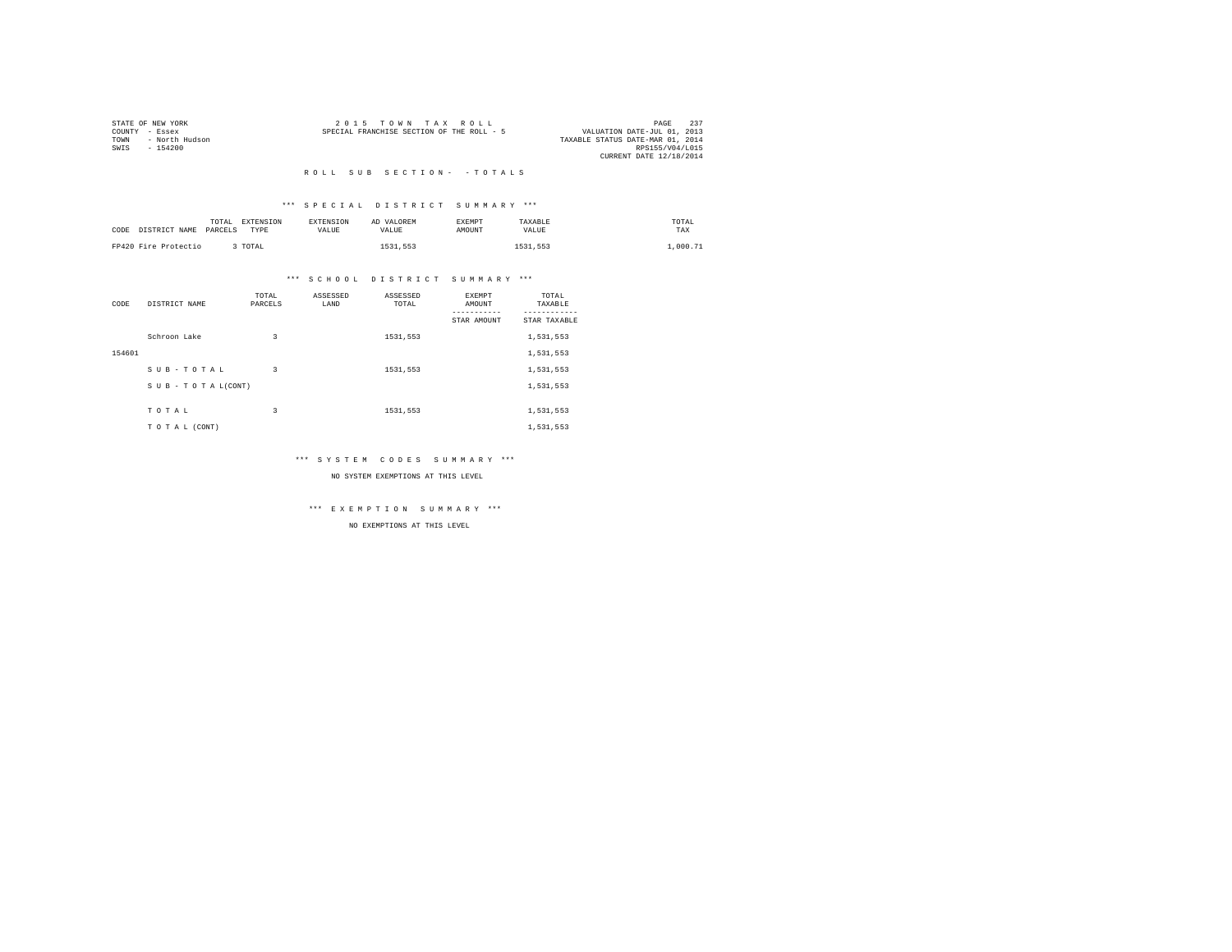| STATE OF NEW YORK      | $2.0.15$ TOWN TAX ROLL<br>PAGE                                           | 237 |
|------------------------|--------------------------------------------------------------------------|-----|
| COUNTY - Essex         | VALUATION DATE-JUL 01, 2013<br>SPECIAL FRANCHISE SECTION OF THE ROLL - 5 |     |
| - North Hudson<br>TOWN | TAXABLE STATUS DATE-MAR 01, 2014                                         |     |
| SWTS<br>$-154200$      | RPS155/V04/L015                                                          |     |
|                        | CURRENT DATE 12/18/2014                                                  |     |
|                        |                                                                          |     |

## \*\*\* S P E C I A L D I S T R I C T S U M M A R Y \*\*\*

| CODE DISTRICT NAME PARCELS | TOTAL | EXTENSION<br><b>TYPE</b> | <b>EXTENSION</b><br>VALUE. | AD VALOREM<br>VALUE | <b>EXEMPT</b><br>AMOUNT | TAXABLE<br>VALUE | TOTAL<br>TAX |
|----------------------------|-------|--------------------------|----------------------------|---------------------|-------------------------|------------------|--------------|
| FP420 Fire Protectio       |       | 3 TOTAL                  |                            | 1531,553            |                         | 1531,553         | 1,000.71     |

## \*\*\* S C H O O L D I S T R I C T S U M M A R Y \*\*\*

| CODE   | DISTRICT NAME      | TOTAL<br>PARCELS | ASSESSED<br>LAND | ASSESSED<br>TOTAL | <b>EXEMPT</b><br>AMOUNT | TOTAL<br>TAXABLE          |
|--------|--------------------|------------------|------------------|-------------------|-------------------------|---------------------------|
|        |                    |                  |                  |                   | STAR AMOUNT             | ---------<br>STAR TAXABLE |
|        | Schroon Lake       | 3                |                  | 1531,553          |                         | 1,531,553                 |
| 154601 |                    |                  |                  |                   |                         | 1,531,553                 |
|        | SUB-TOTAL          | 3                |                  | 1531,553          |                         | 1,531,553                 |
|        | SUB - TO TAL(CONT) |                  |                  |                   |                         | 1,531,553                 |
|        | TOTAL              | 3                |                  | 1531,553          |                         | 1,531,553                 |
|        | TO TAL (CONT)      |                  |                  |                   |                         | 1,531,553                 |

## \*\*\* S Y S T E M C O D E S S U M M A R Y \*\*\*

#### NO SYSTEM EXEMPTIONS AT THIS LEVEL

\*\*\* E X E M P T I O N S U M M A R Y \*\*\*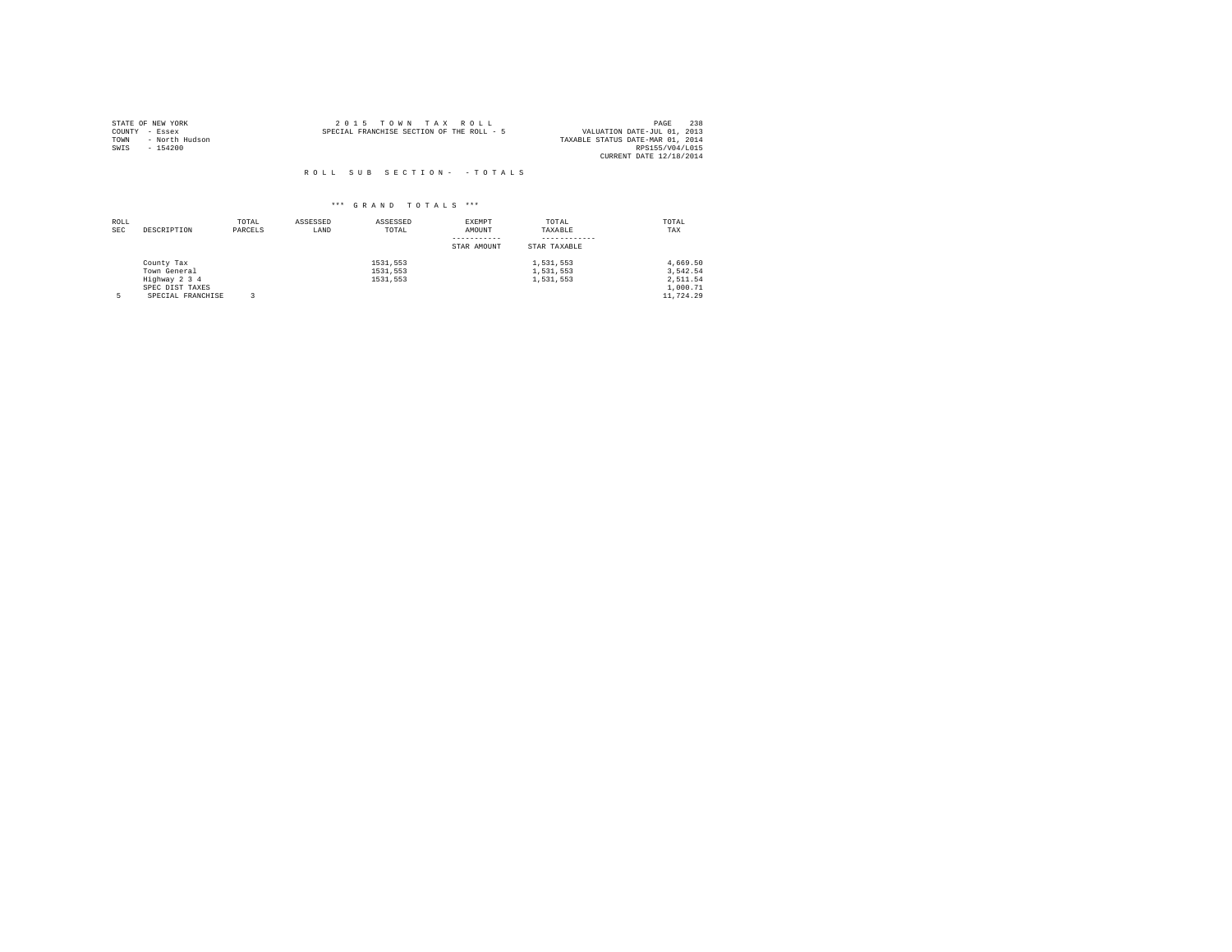| STATE OF NEW YORK |                | $2.0.15$ TOWN TAX ROLL                    |  |  | 238<br>PAGE                      |
|-------------------|----------------|-------------------------------------------|--|--|----------------------------------|
| COUNTY - Essex    |                | SPECIAL FRANCHISE SECTION OF THE ROLL - 5 |  |  | VALUATION DATE-JUL 01, 2013      |
| TOWN              | - North Hudson |                                           |  |  | TAXABLE STATUS DATE-MAR 01, 2014 |
| SWTS              | $-154200$      |                                           |  |  | RPS155/V04/L015                  |
|                   |                |                                           |  |  | CURRENT DATE 12/18/2014          |

| ROLL<br><b>SEC</b> | DESCRIPTION       | TOTAL<br>PARCELS | ASSESSED<br>LAND | ASSESSED<br>TOTAL | EXEMPT<br>AMOUNT | TOTAL<br>TAXABLE | TOTAL<br>TAX |
|--------------------|-------------------|------------------|------------------|-------------------|------------------|------------------|--------------|
|                    |                   |                  |                  |                   | STAR AMOUNT      | STAR TAXABLE     |              |
|                    | County Tax        |                  |                  | 1531.553          |                  | 1,531,553        | 4.669.50     |
|                    | Town General      |                  |                  | 1531.553          |                  | 1,531,553        | 3.542.54     |
|                    | Highway 2 3 4     |                  |                  | 1531.553          |                  | 1,531,553        | 2.511.54     |
|                    | SPEC DIST TAXES   |                  |                  |                   |                  |                  | 1,000.71     |
|                    | SPECIAL FRANCHISE |                  |                  |                   |                  |                  | 11,724.29    |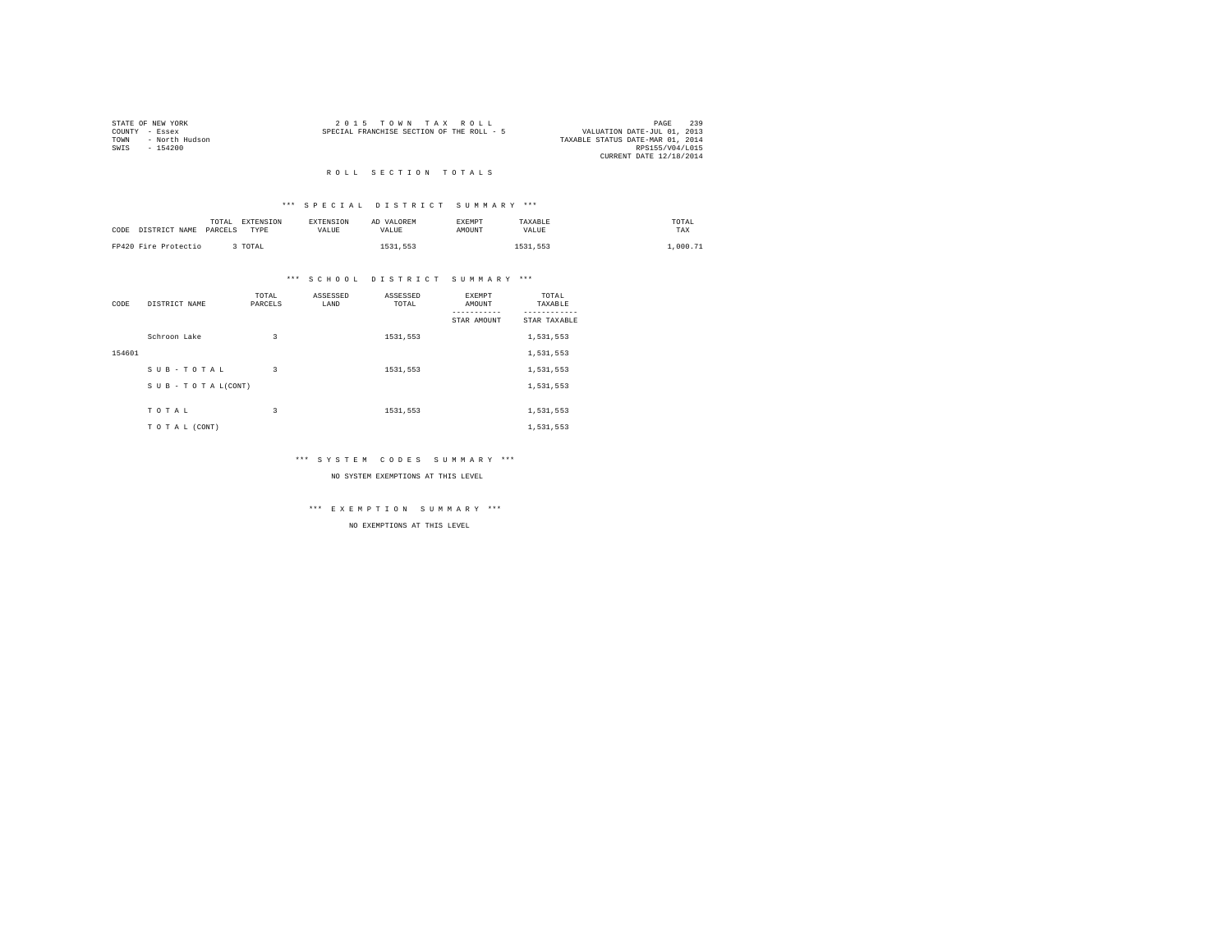|      | STATE OF NEW YORK | $2.0.15$ TOWN TAX ROLL                                                   | PAGE            | 239 |
|------|-------------------|--------------------------------------------------------------------------|-----------------|-----|
|      | COUNTY - Essex    | VALUATION DATE-JUL 01, 2013<br>SPECIAL FRANCHISE SECTION OF THE ROLL - 5 |                 |     |
| TOWN | - North Hudson    | TAXABLE STATUS DATE-MAR 01, 2014                                         |                 |     |
| SWTS | $-154200$         |                                                                          | RPS155/V04/L015 |     |
|      |                   | CURRENT DATE 12/18/2014                                                  |                 |     |
|      |                   |                                                                          |                 |     |

#### ROLL SECTION TOTALS

## \*\*\* S P E C I A L D I S T R I C T S U M M A R Y \*\*\*

| CODE DISTRICT NAME   | TOTAL<br>PARCELS | <b>EXTENSION</b><br>TYPE | <b>EXTENSION</b><br>VALUE. | AD VALOREM<br>VALUE. | <b>EXEMPT</b><br>AMOUNT | TAXABLE<br>VALUE | TOTAL<br>TAX |
|----------------------|------------------|--------------------------|----------------------------|----------------------|-------------------------|------------------|--------------|
| FP420 Fire Protectio |                  | TOTAL                    |                            | 1531,553             |                         | 1531.553         | .000.71      |

## \*\*\* S C H O O L D I S T R I C T S U M M A R Y \*\*\*

| CODE   | DISTRICT NAME   | TOTAL<br>PARCELS | ASSESSED<br>LAND | ASSESSED<br>TOTAL | EXEMPT<br>AMOUNT | TOTAL<br>TAXABLE |
|--------|-----------------|------------------|------------------|-------------------|------------------|------------------|
|        |                 |                  |                  |                   | STAR AMOUNT      | STAR TAXABLE     |
|        | Schroon Lake    | 3                |                  | 1531.553          |                  | 1,531,553        |
| 154601 |                 |                  |                  |                   |                  | 1,531,553        |
|        | SUB-TOTAL       | 3                |                  | 1531,553          |                  | 1,531,553        |
|        | SUB-TOTAL(CONT) |                  |                  |                   |                  | 1,531,553        |
|        | TOTAL           | 3                |                  | 1531.553          |                  | 1,531,553        |
|        | TO TAL (CONT)   |                  |                  |                   |                  | 1,531,553        |

## \*\*\* S Y S T E M C O D E S S U M M A R Y \*\*\*

#### NO SYSTEM EXEMPTIONS AT THIS LEVEL

\*\*\* E X E M P T I O N S U M M A R Y \*\*\*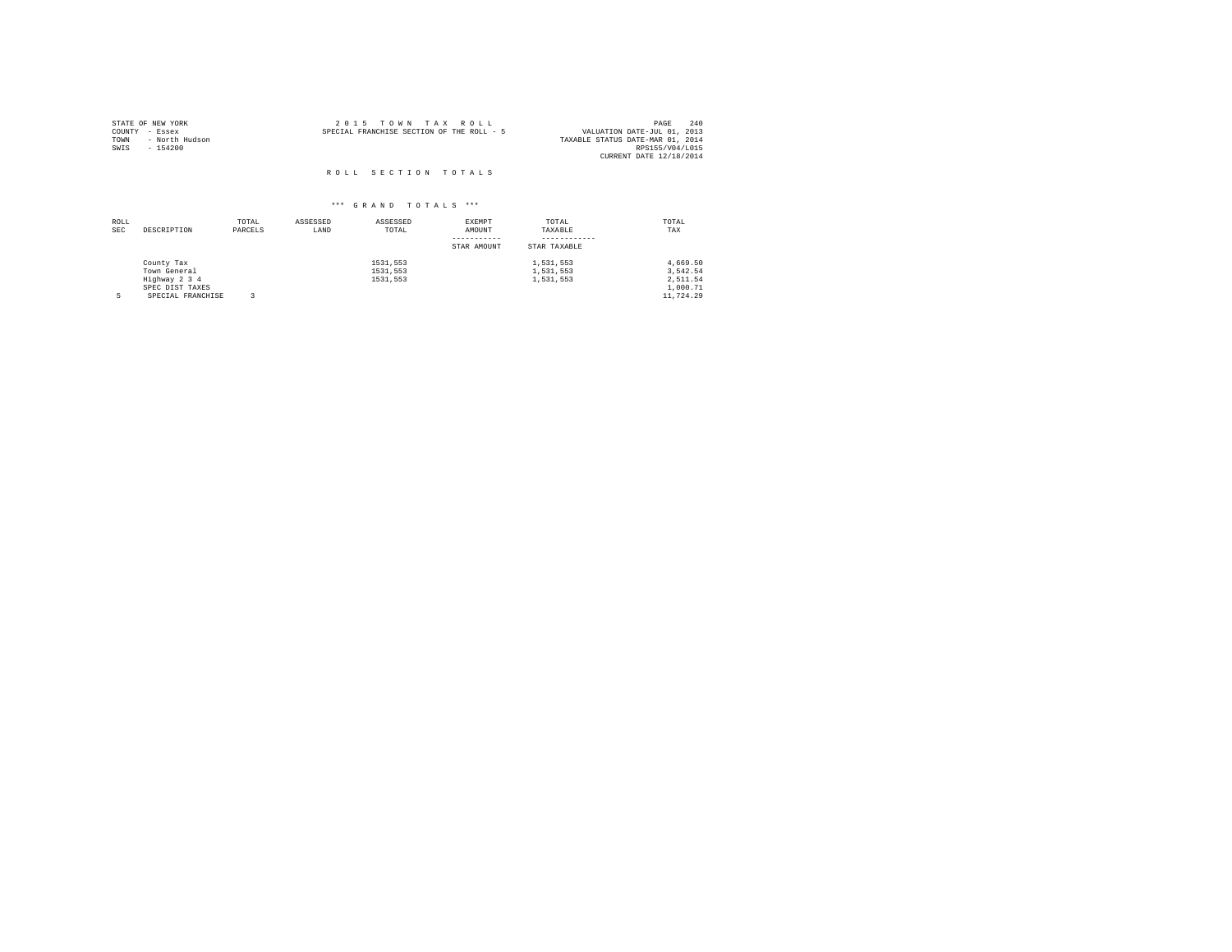| STATE OF NEW YORK<br>COUNTY - Essex<br>TOWN<br>- North Hudson<br>SWIS<br>$-154200$ | 2015 TOWN TAX ROLL<br>SPECIAL FRANCHISE SECTION OF THE ROLL - 5<br>VALUATION DATE-JUL 01, 2013<br>TAXABLE STATUS DATE-MAR 01, 2014 | PAGE<br>RPS155/V04/L015<br>CURRENT DATE 12/18/2014 | 240 |
|------------------------------------------------------------------------------------|------------------------------------------------------------------------------------------------------------------------------------|----------------------------------------------------|-----|
|                                                                                    | ROLL SECTION TOTALS                                                                                                                |                                                    |     |

| ROLL<br><b>SEC</b> | DESCRIPTION       | TOTAL<br>PARCELS | ASSESSED<br>LAND | ASSESSED<br>TOTAL | EXEMPT<br>AMOUNT | TOTAL<br>TAXABLE | TOTAL<br>TAX |
|--------------------|-------------------|------------------|------------------|-------------------|------------------|------------------|--------------|
|                    |                   |                  |                  |                   | STAR AMOUNT      | STAR TAXABLE     |              |
|                    | County Tax        |                  |                  | 1531.553          |                  | 1,531,553        | 4.669.50     |
|                    | Town General      |                  |                  | 1531.553          |                  | 1,531,553        | 3.542.54     |
|                    | Highway 2 3 4     |                  |                  | 1531.553          |                  | 1,531,553        | 2.511.54     |
|                    | SPEC DIST TAXES   |                  |                  |                   |                  |                  | 1,000.71     |
|                    | SPECIAL FRANCHISE |                  |                  |                   |                  |                  | 11,724.29    |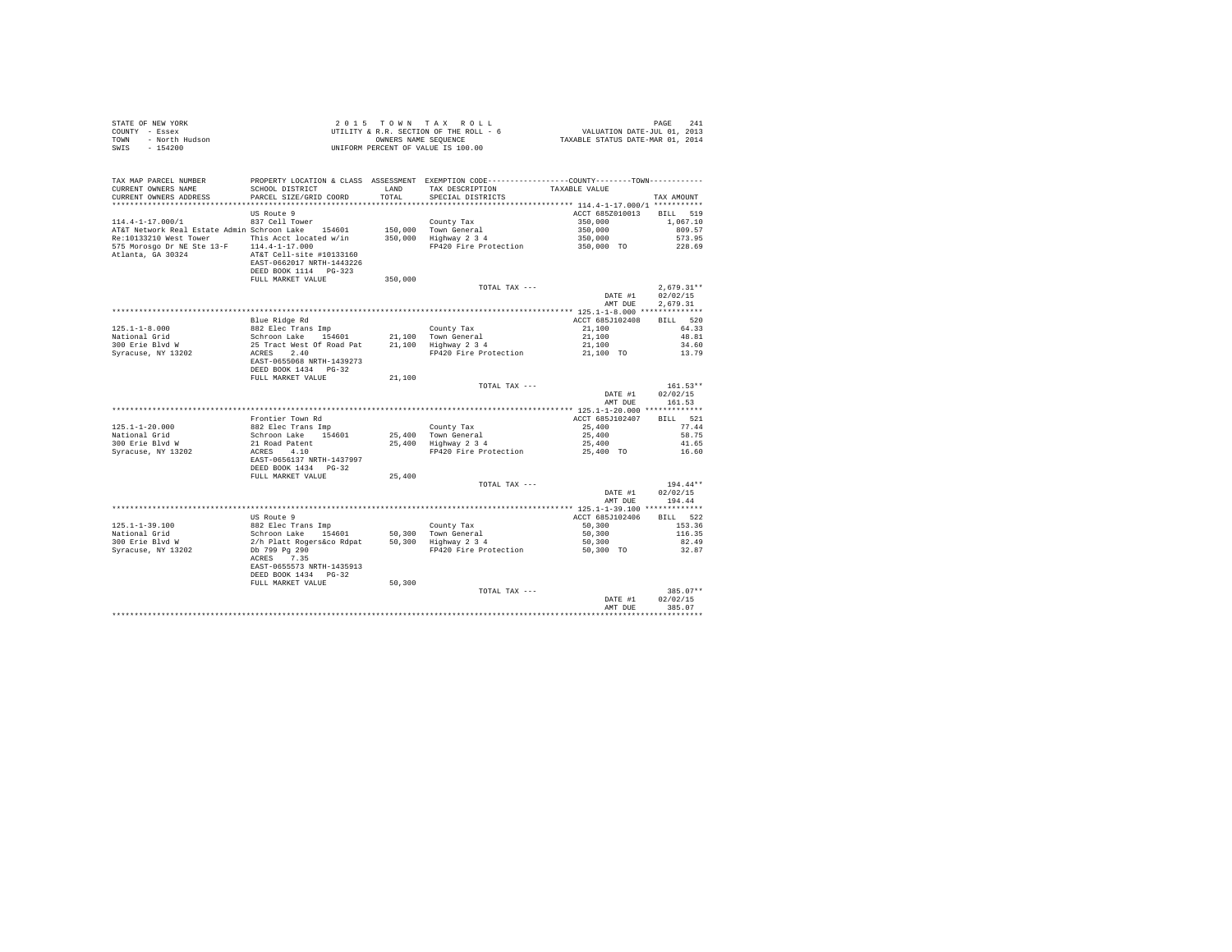|      | STATE OF NEW YORK | $2.0.15$ TOWN TAX ROLL                 | 241<br>PAGE                      |
|------|-------------------|----------------------------------------|----------------------------------|
|      | COUNTY - Essex    | UTILITY & R.R. SECTION OF THE ROLL - 6 | VALUATION DATE-JUL 01, 2013      |
| TOWN | - North Hudson    | OWNERS NAME SEOUENCE                   | TAXABLE STATUS DATE-MAR 01, 2014 |
|      | SWIS - 154200     | UNIFORM PERCENT OF VALUE IS 100.00     |                                  |

| TAX MAP PARCEL NUMBER                              | PROPERTY LOCATION & CLASS ASSESSMENT EXEMPTION CODE----------------COUNTY-------TOWN---------- |         |                                        |                     |                    |
|----------------------------------------------------|------------------------------------------------------------------------------------------------|---------|----------------------------------------|---------------------|--------------------|
| CURRENT OWNERS NAME                                | SCHOOL DISTRICT                                                                                | LAND    | TAX DESCRIPTION                        | TAXABLE VALUE       |                    |
| CURRENT OWNERS ADDRESS                             | PARCEL SIZE/GRID COORD                                                                         | TOTAL   | SPECIAL DISTRICTS                      |                     | TAX AMOUNT         |
| **************************                         |                                                                                                |         |                                        |                     |                    |
|                                                    | US Route 9                                                                                     |         |                                        | ACCT 685Z010013     | 519<br><b>BILL</b> |
| $114.4 - 1 - 17.000/1$                             | 837 Cell Tower                                                                                 |         | County Tax                             | 350,000             | 1,067.10           |
| AT&T Network Real Estate Admin Schroon Lake 154601 |                                                                                                |         | 150,000 Town General                   | 350,000             | 809.57             |
| Re:10133210 West Tower                             | This Acct located w/in                                                                         | 350,000 | Highway 2 3 4                          | 350,000             | 573.95             |
| 575 Morosgo Dr NE Ste 13-F                         | $114.4 - 1 - 17.000$                                                                           |         | FP420 Fire Protection                  | 350,000 TO          | 228.69             |
| Atlanta, GA 30324                                  | AT&T Cell-site #10133160                                                                       |         |                                        |                     |                    |
|                                                    | EAST-0662017 NRTH-1443226                                                                      |         |                                        |                     |                    |
|                                                    | DEED BOOK 1114 PG-323                                                                          |         |                                        |                     |                    |
|                                                    | FULL MARKET VALUE                                                                              | 350,000 |                                        |                     |                    |
|                                                    |                                                                                                |         | TOTAL TAX ---                          |                     | $2.679.31**$       |
|                                                    |                                                                                                |         |                                        | DATE #1             | 02/02/15           |
|                                                    |                                                                                                |         |                                        | AMT DUE             | 2.679.31           |
|                                                    |                                                                                                |         |                                        |                     |                    |
|                                                    | Blue Ridge Rd                                                                                  |         |                                        | ACCT 685J102408     | 520<br><b>BILL</b> |
| $125.1 - 1 - 8.000$                                | 882 Elec Trans Imp                                                                             |         | County Tax                             | 21,100              | 64.33              |
| National Grid                                      | Schroon Lake<br>154601                                                                         |         | 21,100 Town General                    | 21,100              | 48.81              |
| 300 Erie Blvd W                                    | 25 Tract West Of Road Pat                                                                      | 21,100  | Highway 2 3 4                          | 21,100              | 34.60              |
| Syracuse, NY 13202                                 | 2.40<br>ACRES                                                                                  |         | FP420 Fire Protection                  | 21,100 TO           | 13.79              |
|                                                    | EAST-0655068 NRTH-1439273                                                                      |         |                                        |                     |                    |
|                                                    | DEED BOOK 1434 PG-32                                                                           |         |                                        |                     |                    |
|                                                    | FULL MARKET VALUE                                                                              | 21,100  |                                        |                     |                    |
|                                                    |                                                                                                |         | TOTAL TAX ---                          |                     | $161.53**$         |
|                                                    |                                                                                                |         |                                        | DATE #1             | 02/02/15           |
|                                                    |                                                                                                |         |                                        | AMT DUE             | 161.53             |
|                                                    |                                                                                                |         |                                        |                     |                    |
|                                                    | Frontier Town Rd                                                                               |         |                                        | ACCT 685J102407     | 521<br><b>BILL</b> |
| $125.1 - 1 - 20.000$                               | 882 Elec Trans Imp                                                                             |         | County Tax                             | 25,400              | 77.44              |
| National Grid                                      | Schroon Lake<br>154601                                                                         | 25,400  | Town General                           | 25,400              | 58.75              |
| 300 Erie Blvd W                                    | 21 Road Patent                                                                                 | 25,400  | Highway 2 3 4                          | 25,400              | 41.65              |
| Syracuse, NY 13202                                 | ACRES<br>4.10                                                                                  |         | FP420 Fire Protection                  | 25,400 TO           | 16.60              |
|                                                    | EAST-0656137 NRTH-1437997                                                                      |         |                                        |                     |                    |
|                                                    | DEED BOOK 1434 PG-32                                                                           |         |                                        |                     |                    |
|                                                    | FULL MARKET VALUE                                                                              | 25,400  |                                        |                     |                    |
|                                                    |                                                                                                |         | TOTAL TAX ---                          |                     | 194.44**           |
|                                                    |                                                                                                |         |                                        | DATE #1             | 02/02/15           |
|                                                    |                                                                                                |         |                                        | AMT DUE             | 194.44             |
|                                                    |                                                                                                |         |                                        |                     |                    |
|                                                    | US Route 9                                                                                     |         |                                        | ACCT 685J102406     | 522<br>RTLL.       |
|                                                    |                                                                                                |         |                                        |                     |                    |
| $125.1 - 1 - 39.100$<br>National Grid              | 882 Elec Trans Imp<br>Schroon Lake<br>154601                                                   | 50,300  | County Tax<br>Town General             | 50,300<br>50,300    | 153.36<br>116.35   |
| 300 Erie Blvd W                                    |                                                                                                | 50,300  |                                        |                     | 82.49              |
| Syracuse, NY 13202                                 | 2/h Platt Rogers&co Rdpat<br>Db 799 Pa 290                                                     |         | Highway 2 3 4<br>FP420 Fire Protection | 50,300<br>50.300 TO | 32.87              |
|                                                    |                                                                                                |         |                                        |                     |                    |
|                                                    | 7.35<br>ACRES<br>EAST-0655573 NRTH-1435913                                                     |         |                                        |                     |                    |
|                                                    |                                                                                                |         |                                        |                     |                    |
|                                                    | DEED BOOK 1434 PG-32<br>FULL MARKET VALUE                                                      | 50,300  |                                        |                     |                    |
|                                                    |                                                                                                |         | TOTAL TAX ---                          |                     | $385.07**$         |
|                                                    |                                                                                                |         |                                        | DATE #1             | 02/02/15           |
|                                                    |                                                                                                |         |                                        | AMT DUE             | 385.07             |
|                                                    |                                                                                                |         |                                        |                     |                    |
|                                                    |                                                                                                |         |                                        |                     |                    |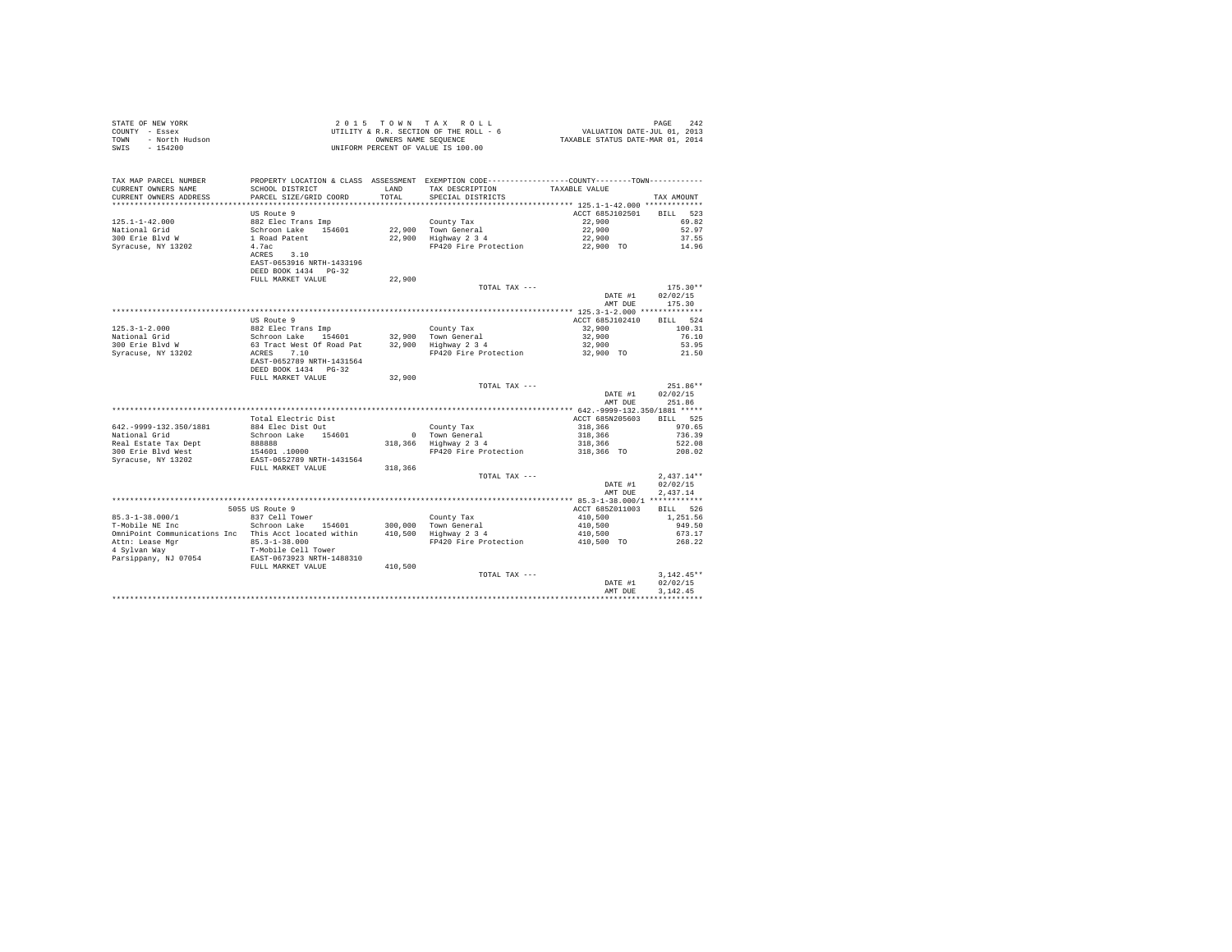| STATE OF NEW YORK<br>COUNTY - Essex<br>- North Hudson<br>TOWN<br>$-154200$<br>SWIS |                                                                                                                                                      |               | $\begin{array}{cccccccc} 2&0&1&5&\texttt{T} &\texttt{O}~\texttt{W}~\texttt{N} &\texttt{A}~\texttt{X} &\texttt{R}~\texttt{O}~\texttt{L}~\texttt{L} \\ \texttt{UTILITY}~&\texttt{R}~\texttt{R}~\texttt{S} &\texttt{C} &\texttt{S} &\texttt{R} &\texttt{R} &\texttt{O} &\texttt{L} &\texttt{I} &\texttt{I} &\texttt{I} &\texttt{I} \\ \texttt{UTILITY}~&\texttt{R}~\texttt{R} &\texttt{S} &$<br>UNIFORM PERCENT OF VALUE IS 100.00 |                                                                  |                                  |
|------------------------------------------------------------------------------------|------------------------------------------------------------------------------------------------------------------------------------------------------|---------------|---------------------------------------------------------------------------------------------------------------------------------------------------------------------------------------------------------------------------------------------------------------------------------------------------------------------------------------------------------------------------------------------------------------------------------|------------------------------------------------------------------|----------------------------------|
| TAX MAP PARCEL NUMBER<br>CURRENT OWNERS NAME<br>CURRENT OWNERS ADDRESS             | SCHOOL DISTRICT<br>PARCEL SIZE/GRID COORD                                                                                                            | LAND<br>TOTAL | PROPERTY LOCATION & CLASS ASSESSMENT EXEMPTION CODE----------------COUNTY-------TOWN----------<br>TAX DESCRIPTION TAXABLE VALUE<br>SPECIAL DISTRICTS                                                                                                                                                                                                                                                                            |                                                                  | TAX AMOUNT                       |
|                                                                                    |                                                                                                                                                      |               |                                                                                                                                                                                                                                                                                                                                                                                                                                 |                                                                  |                                  |
|                                                                                    | US Route 9                                                                                                                                           |               |                                                                                                                                                                                                                                                                                                                                                                                                                                 | ACCT 685J102501 BILL 523                                         |                                  |
| 125.1-1-42.000<br>National Grid                                                    |                                                                                                                                                      |               | County Tax<br>22,900 Town General<br>22,900 Highway 2 3 4                                                                                                                                                                                                                                                                                                                                                                       | 22,900<br>22,900                                                 | 69.82<br>52.97                   |
| National Gilu<br>300 Erie Blvd W                                                   |                                                                                                                                                      |               |                                                                                                                                                                                                                                                                                                                                                                                                                                 | 22,900                                                           | 37.55                            |
| Syracuse, NY 13202                                                                 |                                                                                                                                                      |               | FP420 Fire Protection 22,900 TO                                                                                                                                                                                                                                                                                                                                                                                                 |                                                                  | 14.96                            |
|                                                                                    | 03 Nouce 5<br>882 Elec Trans Imp<br>Schroon Lake 154601<br>1 Road Patent<br>4.7ac<br>ACRES 3.10<br>EAST-0653916 NRTH-1433196<br>DEED BOOK 1434 PG-32 |               |                                                                                                                                                                                                                                                                                                                                                                                                                                 |                                                                  |                                  |
|                                                                                    | FULL MARKET VALUE                                                                                                                                    | 22,900        |                                                                                                                                                                                                                                                                                                                                                                                                                                 |                                                                  |                                  |
|                                                                                    |                                                                                                                                                      |               | TOTAL TAX ---                                                                                                                                                                                                                                                                                                                                                                                                                   | DATE #1<br>AMT DUE                                               | $175.30**$<br>02/02/15<br>175.30 |
|                                                                                    |                                                                                                                                                      |               |                                                                                                                                                                                                                                                                                                                                                                                                                                 |                                                                  |                                  |
|                                                                                    | US Route 9                                                                                                                                           |               |                                                                                                                                                                                                                                                                                                                                                                                                                                 | ACCT 685J102410                                                  | BILL 524                         |
|                                                                                    |                                                                                                                                                      |               |                                                                                                                                                                                                                                                                                                                                                                                                                                 | 32,900                                                           | 100.31                           |
|                                                                                    |                                                                                                                                                      |               |                                                                                                                                                                                                                                                                                                                                                                                                                                 | 32,900                                                           | 76.10                            |
|                                                                                    |                                                                                                                                                      |               |                                                                                                                                                                                                                                                                                                                                                                                                                                 | 32,900                                                           | 53.95                            |
|                                                                                    | DEED BOOK 1434   PG-32                                                                                                                               |               | FP420 Fire Protection                                                                                                                                                                                                                                                                                                                                                                                                           | 32,900 TO                                                        | 21.50                            |
|                                                                                    | FULL MARKET VALUE                                                                                                                                    | 32,900        |                                                                                                                                                                                                                                                                                                                                                                                                                                 |                                                                  |                                  |
|                                                                                    |                                                                                                                                                      |               | TOTAL TAX ---                                                                                                                                                                                                                                                                                                                                                                                                                   |                                                                  | 251.86**                         |
|                                                                                    |                                                                                                                                                      |               |                                                                                                                                                                                                                                                                                                                                                                                                                                 | DATE #1<br>AMT DUE                                               | 02/02/15<br>251.86               |
|                                                                                    |                                                                                                                                                      |               |                                                                                                                                                                                                                                                                                                                                                                                                                                 |                                                                  |                                  |
|                                                                                    | Total Electric Dist                                                                                                                                  |               |                                                                                                                                                                                                                                                                                                                                                                                                                                 | ACCT 685N205603 BILL 525                                         |                                  |
| 642. - 9999-132.350/1881                                                           | 884 Elec Dist Out<br>Schroon Lake 154601                                                                                                             |               | County Tax<br>0 Town General<br>318,366 Highway 2 3 4                                                                                                                                                                                                                                                                                                                                                                           | $318,366$<br>$318,366$<br>$318,366$<br>$318,366$<br>$318,366$ TO | 970.65                           |
| National Grid<br>Real Estate Tax Dept                                              |                                                                                                                                                      |               |                                                                                                                                                                                                                                                                                                                                                                                                                                 |                                                                  | 736.39<br>522.08                 |
| 300 Erie Blyd West                                                                 |                                                                                                                                                      |               | FP420 Fire Protection                                                                                                                                                                                                                                                                                                                                                                                                           |                                                                  | 208.02                           |
| Syracuse, NY 13202                                                                 |                                                                                                                                                      |               |                                                                                                                                                                                                                                                                                                                                                                                                                                 |                                                                  |                                  |
|                                                                                    | 888888<br>154601 .10000<br>EAST-0652789 NRTH-1431564<br>FULL MARKET VALUE                                                                            | 318,366       |                                                                                                                                                                                                                                                                                                                                                                                                                                 |                                                                  |                                  |
|                                                                                    |                                                                                                                                                      |               | TOTAL TAX ---                                                                                                                                                                                                                                                                                                                                                                                                                   |                                                                  | $2.437.14**$                     |
|                                                                                    |                                                                                                                                                      |               |                                                                                                                                                                                                                                                                                                                                                                                                                                 | DATE #1                                                          | 02/02/15                         |
|                                                                                    |                                                                                                                                                      |               |                                                                                                                                                                                                                                                                                                                                                                                                                                 | AMT DUE                                                          | 2.437.14                         |
|                                                                                    | 5055 US Route 9                                                                                                                                      |               |                                                                                                                                                                                                                                                                                                                                                                                                                                 | ACCT 685Z011003                                                  | BILL 526                         |
|                                                                                    |                                                                                                                                                      |               |                                                                                                                                                                                                                                                                                                                                                                                                                                 |                                                                  | 1,251.56                         |
| 85.3-1-38.000/1 837 Cell Tower<br>T-Mobile NE Inc Schroon Lake 154601              |                                                                                                                                                      |               |                                                                                                                                                                                                                                                                                                                                                                                                                                 |                                                                  | 949.50                           |
|                                                                                    |                                                                                                                                                      |               | $\begin{tabular}{lllllllllll} & & & & & & & & & & & 410,500 \\ & & & & & & & & & & 410,500 \\ 300,000 & & & & & & & & 410,500 \\ 410,500 & & & & & & 410,500 \\ & & & & & & & & 410,500 \\ & & & & & & & & & 410,500 \\ & & & & & & & & & 410,500 \\ \end{tabular}$                                                                                                                                                             |                                                                  | 673.17                           |
|                                                                                    |                                                                                                                                                      |               |                                                                                                                                                                                                                                                                                                                                                                                                                                 |                                                                  | 268.22                           |
|                                                                                    |                                                                                                                                                      |               |                                                                                                                                                                                                                                                                                                                                                                                                                                 |                                                                  |                                  |
|                                                                                    |                                                                                                                                                      |               |                                                                                                                                                                                                                                                                                                                                                                                                                                 |                                                                  |                                  |
|                                                                                    |                                                                                                                                                      |               | TOTAL TAX ---                                                                                                                                                                                                                                                                                                                                                                                                                   |                                                                  | $3.142.45**$                     |
|                                                                                    |                                                                                                                                                      |               |                                                                                                                                                                                                                                                                                                                                                                                                                                 | DATE #1                                                          | 02/02/15                         |
|                                                                                    |                                                                                                                                                      |               |                                                                                                                                                                                                                                                                                                                                                                                                                                 | AMT DUE                                                          | 3.142.45                         |
|                                                                                    |                                                                                                                                                      |               |                                                                                                                                                                                                                                                                                                                                                                                                                                 |                                                                  |                                  |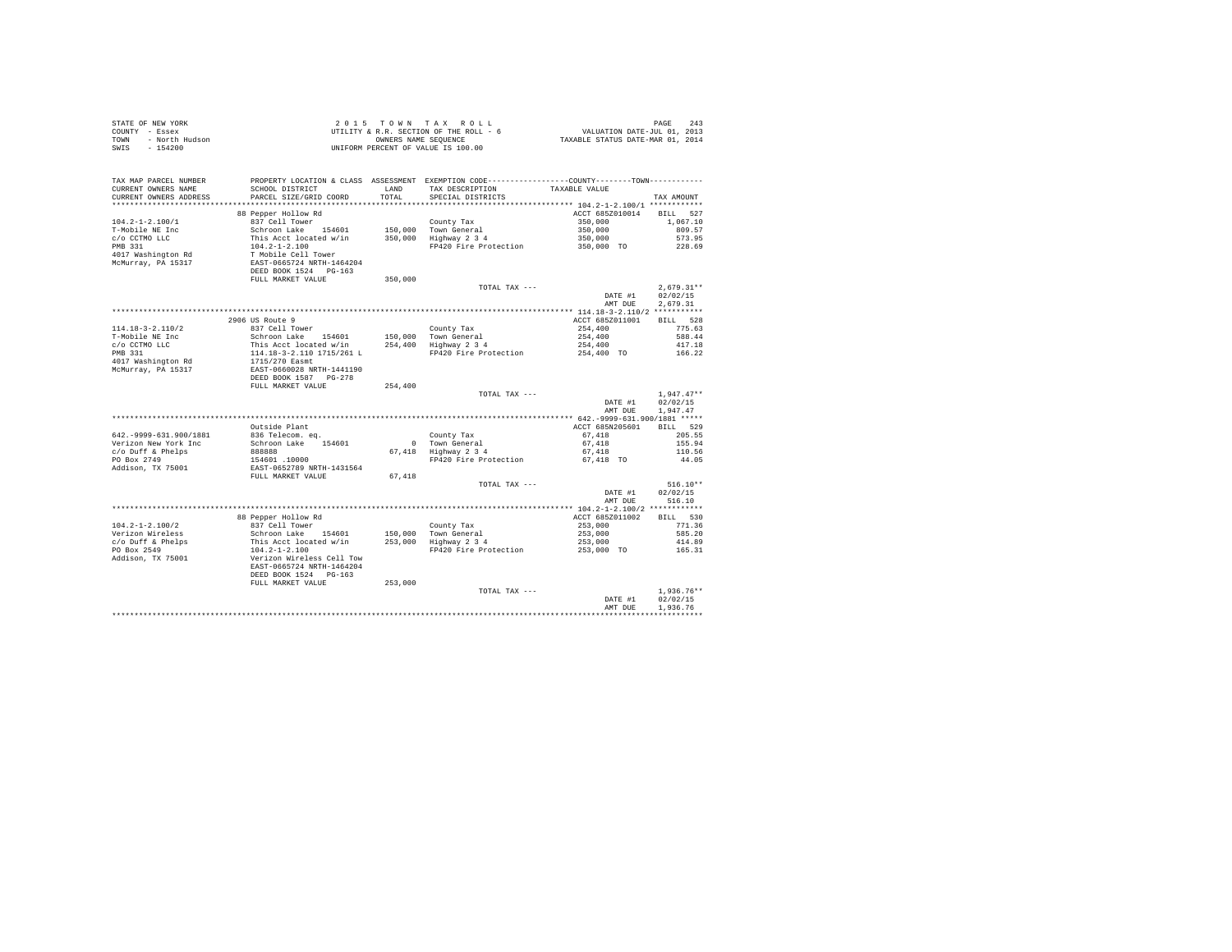| STATE OF NEW YORK<br>COUNTY - Essex<br>TOWN - North Hudson<br>------   |                                                                                  |         |                                                                                                                                            |                                                     |                      |
|------------------------------------------------------------------------|----------------------------------------------------------------------------------|---------|--------------------------------------------------------------------------------------------------------------------------------------------|-----------------------------------------------------|----------------------|
| TAX MAP PARCEL NUMBER<br>CURRENT OWNERS NAME<br>CURRENT OWNERS ADDRESS | SCHOOL DISTRICT<br>PARCEL SIZE/GRID COORD                                        | TOTAL   | PROPERTY LOCATION & CLASS ASSESSMENT EXEMPTION CODE----------------COUNTY-------TOWN---------<br>LAND TAX DESCRIPTION<br>SPECIAL DISTRICTS | TAXABLE VALUE                                       | TAX AMOUNT           |
|                                                                        | 88 Pepper Hollow Rd                                                              |         |                                                                                                                                            | ACCT 685Z010014 BILL 527                            |                      |
| $104.2 - 1 - 2.100/1$                                                  |                                                                                  |         |                                                                                                                                            |                                                     | 1,067.10             |
| T-Mobile NE Inc                                                        |                                                                                  |         |                                                                                                                                            |                                                     | 809.57               |
| c/o CCTMO LLC<br>PMB 331                                               |                                                                                  |         |                                                                                                                                            | $350,000$<br>$350,000$<br>$350,000$<br>$350,000$ TO | 573.95               |
|                                                                        |                                                                                  |         | FP420 Fire Protection                                                                                                                      |                                                     | 228.69               |
| 4017 Washington Rd<br>McMurray, PA 15317                               |                                                                                  |         |                                                                                                                                            |                                                     |                      |
|                                                                        |                                                                                  |         |                                                                                                                                            |                                                     |                      |
|                                                                        |                                                                                  |         | TOTAL TAX ---                                                                                                                              |                                                     | $2,679.31**$         |
|                                                                        |                                                                                  |         |                                                                                                                                            | DATE $#1$<br>AMT DUE                                | 02/02/15<br>2,679.31 |
|                                                                        |                                                                                  |         |                                                                                                                                            |                                                     |                      |
| $114.18 - 3 - 2.110/2$                                                 |                                                                                  |         |                                                                                                                                            |                                                     |                      |
| T-Mobile NE Inc                                                        |                                                                                  |         |                                                                                                                                            |                                                     |                      |
| c/o CCTMO LLC<br>PMB 331                                               |                                                                                  |         |                                                                                                                                            |                                                     |                      |
|                                                                        |                                                                                  |         |                                                                                                                                            |                                                     |                      |
| 4017 Washington Rd<br>McMurray, PA 15317                               |                                                                                  |         |                                                                                                                                            |                                                     |                      |
|                                                                        |                                                                                  | 254,400 |                                                                                                                                            |                                                     |                      |
|                                                                        |                                                                                  |         | TOTAL TAX ---                                                                                                                              |                                                     | $1.947.47**$         |
|                                                                        |                                                                                  |         |                                                                                                                                            | DATE #1<br>AMT DUE                                  | 02/02/15<br>1,947.47 |
|                                                                        |                                                                                  |         |                                                                                                                                            |                                                     |                      |
|                                                                        | Outside Plant                                                                    |         |                                                                                                                                            | ACCT 685N205601                                     | BILL 529             |
| 642. - 9999-631.900/1881                                               | 836 Telecom. eq.                                                                 |         |                                                                                                                                            | $67,418$<br>$67,418$                                | 205.55               |
| Verizon New York Inc<br>c/o Duff & Phelps                              | Schroon Lake 154601                                                              |         | County Tax<br>0 Town General<br>67,418 Highway 2 3 4                                                                                       | 67,418                                              | 155.94<br>110.56     |
| PO Box 2749                                                            |                                                                                  |         | $FP420$ Fire Protection 67,418 TO                                                                                                          |                                                     | 44.05                |
| Addison, TX 75001                                                      | 088888<br>154601 .10000<br>EAST-0652789 NRTH-1431564<br>FULL MARKET VALUE 67,418 |         |                                                                                                                                            |                                                     |                      |
|                                                                        |                                                                                  |         |                                                                                                                                            |                                                     |                      |
|                                                                        |                                                                                  |         | TOTAL TAX ---                                                                                                                              |                                                     | $516.10**$           |
|                                                                        |                                                                                  |         |                                                                                                                                            | DATE #1                                             | 02/02/15             |
|                                                                        |                                                                                  |         |                                                                                                                                            | AMT DUE                                             | 516.10               |
|                                                                        |                                                                                  |         |                                                                                                                                            |                                                     |                      |
| $104.2 - 1 - 2.100/2$                                                  | 88 Pepper Hollow Rd<br>837 Cell Tower                                            |         |                                                                                                                                            | ACCT 685Z011002                                     | BILL 530<br>771.36   |
|                                                                        |                                                                                  |         |                                                                                                                                            | $253,000$<br>$253,000$                              | 585.20               |
| Verizon Wireless<br>c/o Duff & Phelps                                  |                                                                                  |         |                                                                                                                                            |                                                     | 414.89               |
| PO Box 2549                                                            |                                                                                  |         | FP420 Fire Protection                                                                                                                      | 253,000<br>253,000<br>253,000 TO                    | 165.31               |
| Addison, TX 75001                                                      |                                                                                  |         |                                                                                                                                            |                                                     |                      |
|                                                                        | DEED BOOK 1524 PG-163                                                            |         |                                                                                                                                            |                                                     |                      |
|                                                                        | FULL MARKET VALUE                                                                | 253,000 | TOTAL TAX ---                                                                                                                              |                                                     | $1.936.76**$         |
|                                                                        |                                                                                  |         |                                                                                                                                            | DATE #1                                             | 02/02/15             |
|                                                                        |                                                                                  |         |                                                                                                                                            | AMT DUE                                             | 1.936.76             |
|                                                                        |                                                                                  |         |                                                                                                                                            |                                                     |                      |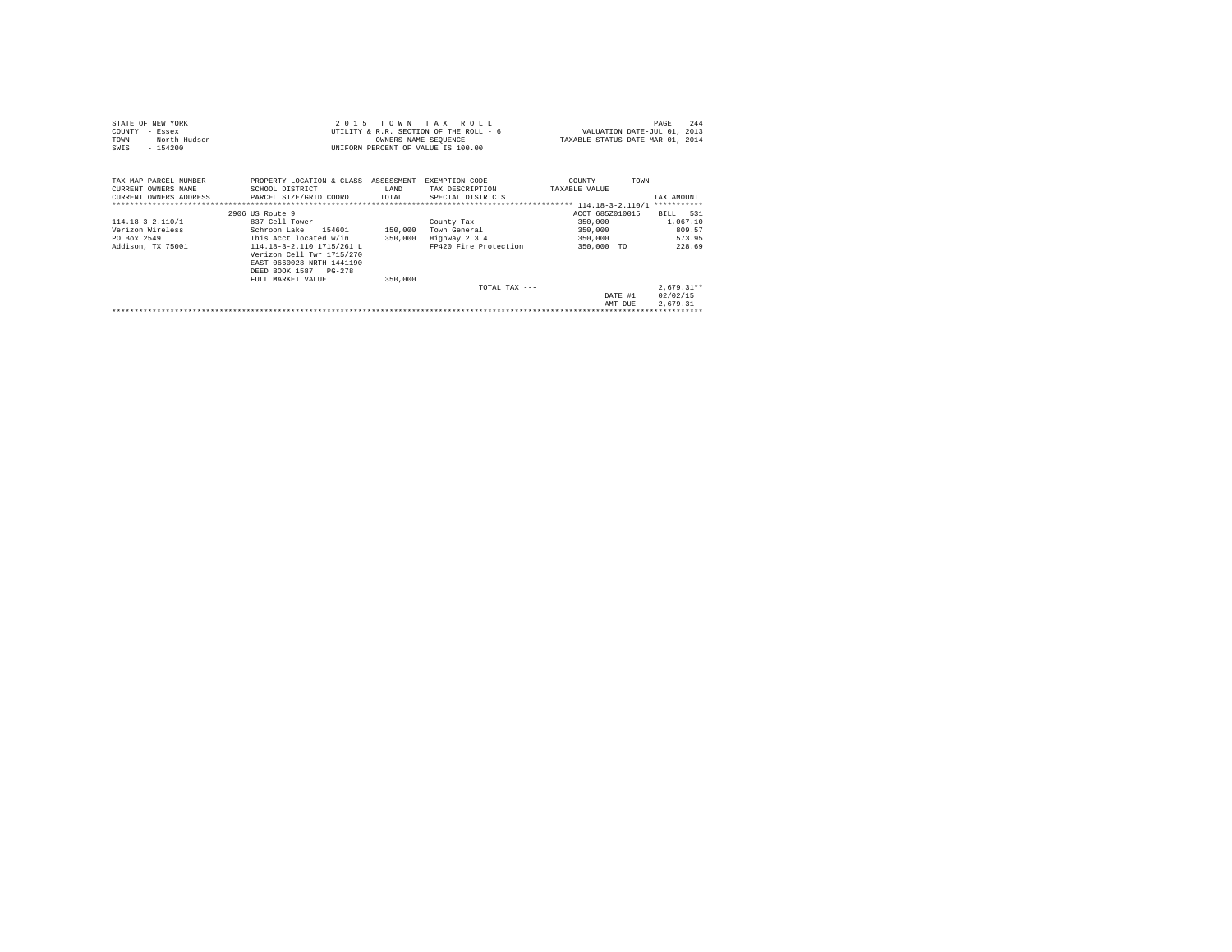| STATE OF NEW YORK<br>COUNTY<br>- Essex       |                                                                                                              |         | 2015 TOWN TAX ROLL<br>UTILITY & R.R. SECTION OF THE ROLL - 6 | VALUATION DATE-JUL 01, 2013                                                | 244<br>PAGE  |
|----------------------------------------------|--------------------------------------------------------------------------------------------------------------|---------|--------------------------------------------------------------|----------------------------------------------------------------------------|--------------|
| TOWN<br>- North Hudson                       |                                                                                                              |         | OWNERS NAME SEQUENCE                                         | TAXABLE STATUS DATE-MAR 01, 2014                                           |              |
| $-154200$<br>SWIS                            |                                                                                                              |         | UNIFORM PERCENT OF VALUE IS 100.00                           |                                                                            |              |
| TAX MAP PARCEL NUMBER<br>CURRENT OWNERS NAME | PROPERTY LOCATION & CLASS ASSESSMENT<br>SCHOOL DISTRICT                                                      | LAND    | TAX DESCRIPTION                                              | EXEMPTION CODE----------------COUNTY-------TOWN----------<br>TAXABLE VALUE |              |
|                                              | CURRENT OWNERS ADDRESS PARCEL SIZE/GRID COORD TOTAL                                                          |         | SPECIAL DISTRICTS                                            |                                                                            | TAX AMOUNT   |
|                                              |                                                                                                              |         |                                                              |                                                                            |              |
|                                              | 2906 US Route 9                                                                                              |         |                                                              | ACCT 685Z010015                                                            | BILL 531     |
| $114.18 - 3 - 2.110/1$                       | 837 Cell Tower                                                                                               |         | County Tax                                                   | 350,000                                                                    | 1,067.10     |
| Verizon Wireless                             | Schroon Lake 154601                                                                                          | 150,000 | Town General                                                 | 350,000                                                                    | 809.57       |
| PO Box 2549                                  | This Acct located w/in                                                                                       |         | 350,000 Highway 2 3 4                                        | 350,000                                                                    | 573.95       |
| Addison, TX 75001                            | 114.18-3-2.110 1715/261 L<br>Verizon Cell Twr 1715/270<br>EAST-0660028 NRTH-1441190<br>DEED BOOK 1587 PG-278 |         | FP420 Fire Protection                                        | 350,000 TO                                                                 | 228.69       |
|                                              | FULL MARKET VALUE                                                                                            | 350,000 |                                                              |                                                                            |              |
|                                              |                                                                                                              |         | TOTAL TAX ---                                                |                                                                            | $2,679.31**$ |
|                                              |                                                                                                              |         |                                                              | DATE #1                                                                    | 02/02/15     |
|                                              |                                                                                                              |         |                                                              | AMT DUE                                                                    | 2,679.31     |
|                                              |                                                                                                              |         |                                                              |                                                                            |              |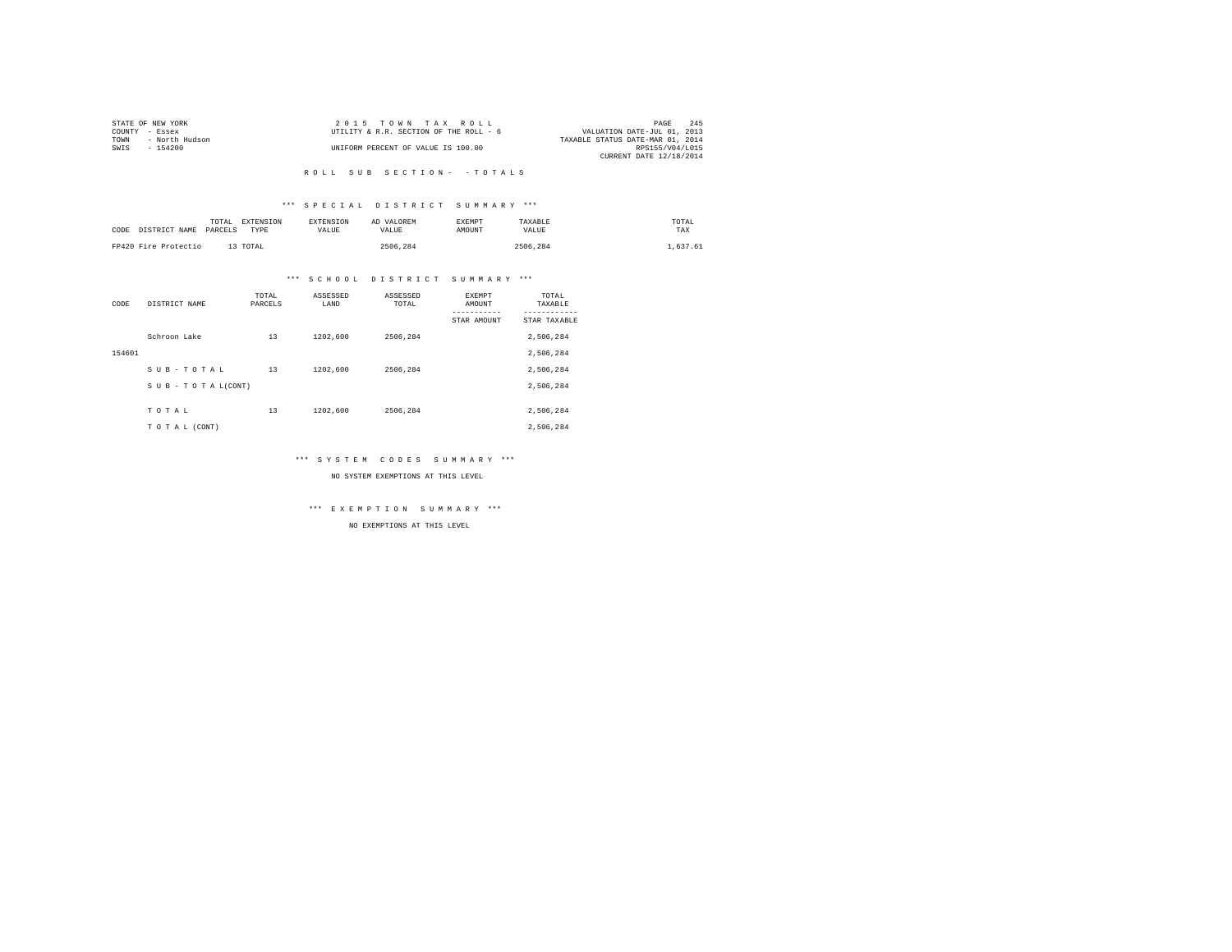|                | STATE OF NEW YORK | 2015 TOWN TAX ROLL                     | PAGE                             | 245 |
|----------------|-------------------|----------------------------------------|----------------------------------|-----|
| COUNTY - Essex |                   | UTILITY & R.R. SECTION OF THE ROLL - 6 | VALUATION DATE-JUL 01, 2013      |     |
| TOWN           | - North Hudson    |                                        | TAXABLE STATUS DATE-MAR 01, 2014 |     |
| SWIS           | - 154200          | UNIFORM PERCENT OF VALUE IS 100.00     | RPS155/V04/L015                  |     |
|                |                   |                                        | CURRENT DATE 12/18/2014          |     |

## \*\*\* S P E C I A L D I S T R I C T S U M M A R Y \*\*\*

| CODE DISTRICT NAME   | TOTAL<br>PARCELS | EXTENSION<br>TYPE | <b>EXTENSION</b><br>VALUE. | AD VALOREM<br>VALUE. | <b>EXEMPT</b><br>AMOUNT | TAXABLE<br>VALUE | TOTAL<br>TAX |
|----------------------|------------------|-------------------|----------------------------|----------------------|-------------------------|------------------|--------------|
| FP420 Fire Protectio |                  | 13 TOTAL          |                            | 2506.284             |                         | 2506.284         | .637.61      |

## \*\*\* S C H O O L D I S T R I C T S U M M A R Y \*\*\*

| CODE   | DISTRICT NAME      | TOTAL<br>PARCELS | ASSESSED<br>LAND | ASSESSED<br>TOTAL | <b>EXEMPT</b><br>AMOUNT | TOTAL<br>TAXABLE |
|--------|--------------------|------------------|------------------|-------------------|-------------------------|------------------|
|        |                    |                  |                  |                   | STAR AMOUNT             | STAR TAXABLE     |
|        | Schroon Lake       | 13               | 1202,600         | 2506.284          |                         | 2,506,284        |
| 154601 |                    |                  |                  |                   |                         | 2,506,284        |
|        | SUB-TOTAL          | 13               | 1202,600         | 2506.284          |                         | 2,506,284        |
|        | SUB - TO TAL(CONT) |                  |                  |                   |                         | 2,506,284        |
|        |                    |                  |                  |                   |                         |                  |
|        | TOTAL              | 13               | 1202,600         | 2506.284          |                         | 2,506,284        |
|        | TO TAL (CONT)      |                  |                  |                   |                         | 2,506,284        |

## \*\*\* S Y S T E M C O D E S S U M M A R Y \*\*\*

NO SYSTEM EXEMPTIONS AT THIS LEVEL

\*\*\* E X E M P T I O N S U M M A R Y \*\*\*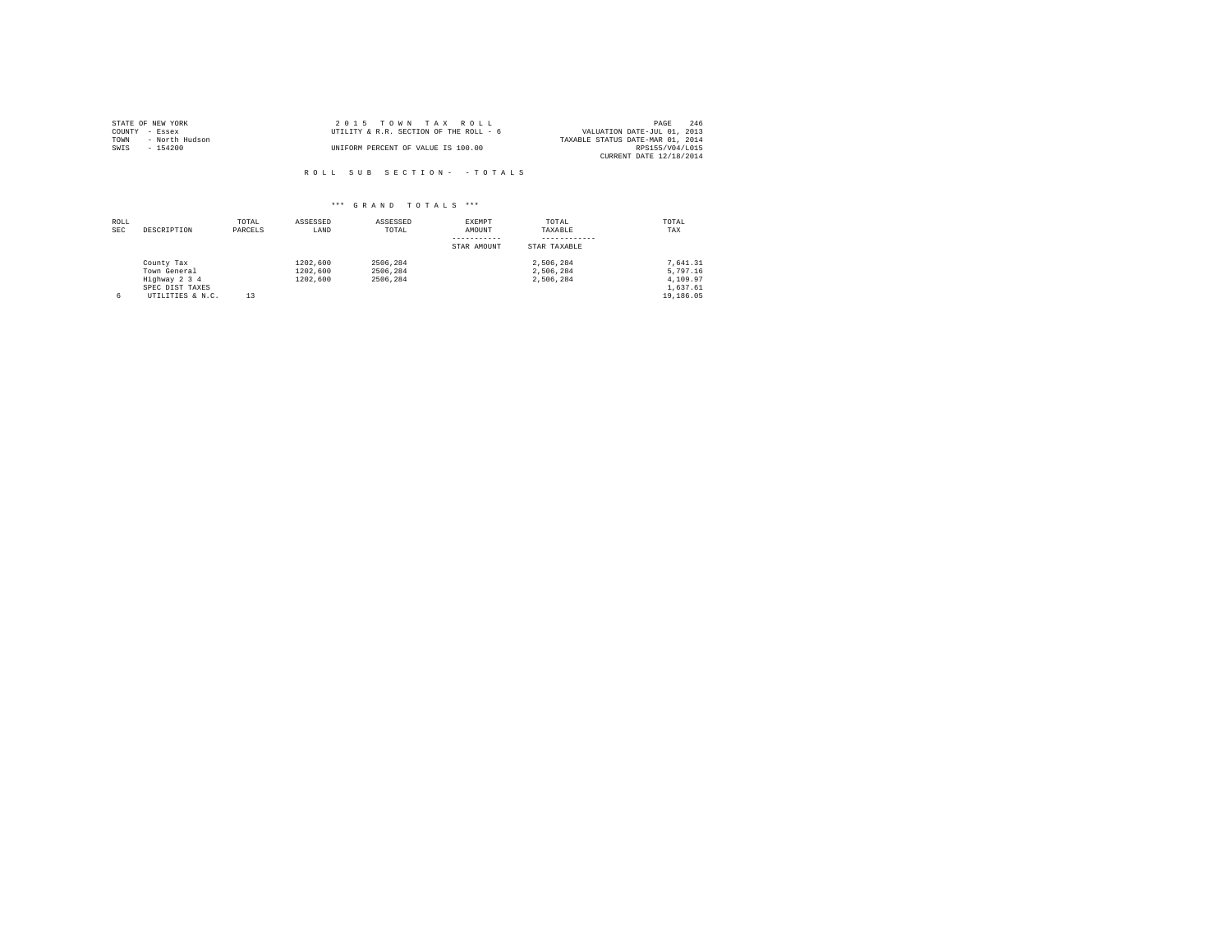|                | STATE OF NEW YORK | 2015 TOWN TAX ROLL                     |                                  | PAGE            | 246 |
|----------------|-------------------|----------------------------------------|----------------------------------|-----------------|-----|
| COUNTY - Essex |                   | UTILITY & R.R. SECTION OF THE ROLL - 6 | VALUATION DATE-JUL 01, 2013      |                 |     |
| TOWN           | - North Hudson    |                                        | TAXABLE STATUS DATE-MAR 01, 2014 |                 |     |
| SWIS           | - 154200          | UNIFORM PERCENT OF VALUE IS 100.00     |                                  | RPS155/V04/L015 |     |
|                |                   |                                        | CURRENT DATE 12/18/2014          |                 |     |

| ROLL<br><b>SEC</b> | DESCRIPTION                                                                        | TOTAL<br>PARCELS | ASSESSED<br>LAND                 | ASSESSED<br>TOTAL                | EXEMPT<br>AMOUNT<br>STAR AMOUNT | TOTAL<br>TAXABLE<br>STAR TAXABLE    | TOTAL<br>TAX                                              |
|--------------------|------------------------------------------------------------------------------------|------------------|----------------------------------|----------------------------------|---------------------------------|-------------------------------------|-----------------------------------------------------------|
| 6                  | County Tax<br>Town General<br>Highway 2 3 4<br>SPEC DIST TAXES<br>UTILITIES & N.C. | 13               | 1202,600<br>1202,600<br>1202,600 | 2506.284<br>2506.284<br>2506.284 |                                 | 2.506.284<br>2.506.284<br>2.506.284 | 7.641.31<br>5,797.16<br>4,109.97<br>1,637.61<br>19,186.05 |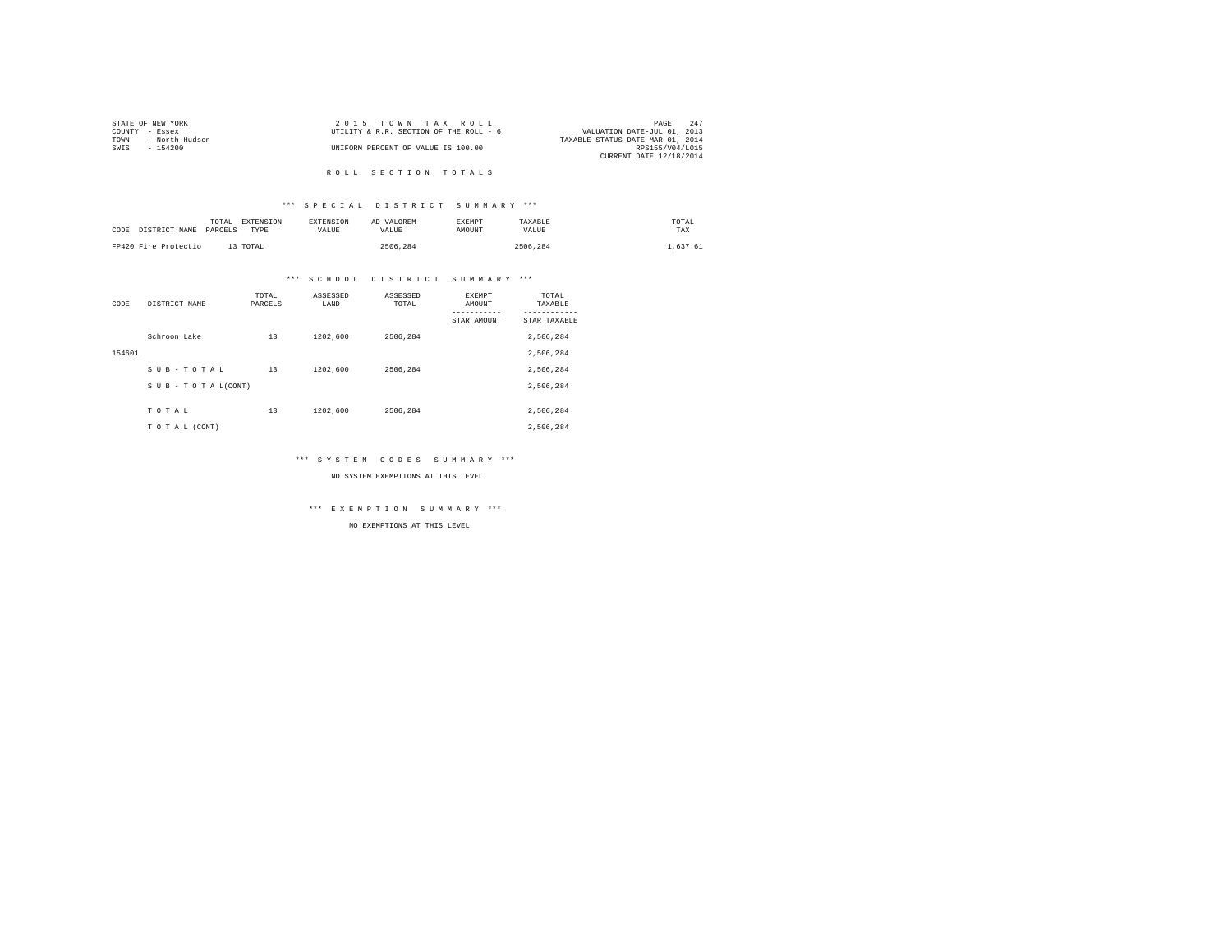|      | STATE OF NEW YORK | 2015 TOWN TAX ROLL                     | PAGE                             | 247 |
|------|-------------------|----------------------------------------|----------------------------------|-----|
|      | COUNTY - Essex    | UTILITY & R.R. SECTION OF THE ROLL - 6 | VALUATION DATE-JUL 01, 2013      |     |
| TOWN | - North Hudson    |                                        | TAXABLE STATUS DATE-MAR 01, 2014 |     |
| SWIS | - 154200          | UNIFORM PERCENT OF VALUE IS 100.00     | RPS155/V04/L015                  |     |
|      |                   |                                        | CURRENT DATE 12/18/2014          |     |
|      |                   |                                        |                                  |     |

# R O L L S E C T I O N T O T A L S

## \*\*\* S P E C I A L D I S T R I C T S U M M A R Y \*\*\*

| CODE | DISTRICT NAME        | TOTAL<br>PARCELS | EXTENSION<br><b>EXTENSION</b><br>VALUE<br>TYPE | AD VALOREM<br>VALUE | <b>EXEMPT</b><br><b>AMOUNT</b> | TAXABLE<br>VALUE | TOTAL<br>TAX |
|------|----------------------|------------------|------------------------------------------------|---------------------|--------------------------------|------------------|--------------|
|      | FP420 Fire Protectio | 13 TOTAL         |                                                | 2506.284            |                                | 2506.284         | 1.637.61     |

# \*\*\* S C H O O L D I S T R I C T S U M M A R Y \*\*\*

| CODE   | DISTRICT NAME      | TOTAL<br>PARCELS | ASSESSED<br>LAND | ASSESSED<br>TOTAL | EXEMPT<br>AMOUNT | TOTAL<br>TAXABLE |
|--------|--------------------|------------------|------------------|-------------------|------------------|------------------|
|        |                    |                  |                  |                   | STAR AMOUNT      | STAR TAXABLE     |
|        | Schroon Lake       | 13               | 1202,600         | 2506.284          |                  | 2,506,284        |
| 154601 |                    |                  |                  |                   |                  | 2,506,284        |
|        | SUB-TOTAL          | 13               | 1202,600         | 2506.284          |                  | 2,506,284        |
|        | SUB - TO TAL(CONT) |                  |                  |                   |                  | 2,506,284        |
|        |                    |                  |                  |                   |                  |                  |
|        | TOTAL              | 13               | 1202,600         | 2506.284          |                  | 2,506,284        |
|        | TO TAL (CONT)      |                  |                  |                   |                  | 2.506.284        |

## \*\*\* S Y S T E M C O D E S S U M M A R Y \*\*\*

NO SYSTEM EXEMPTIONS AT THIS LEVEL

\*\*\* E X E M P T I O N S U M M A R Y \*\*\*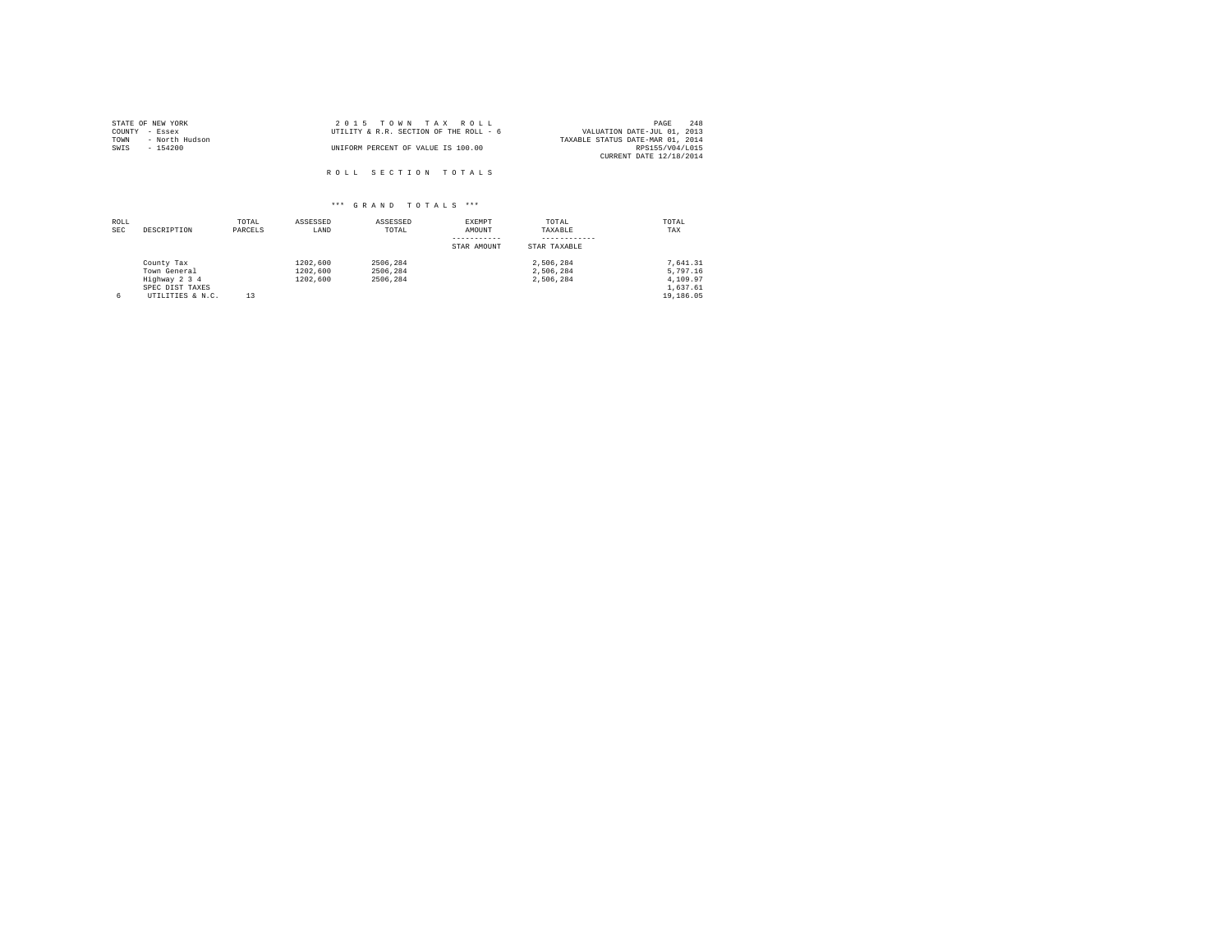| STATE OF NEW YORK      | 2015 TOWN TAX ROLL                     | 248<br>PAGE                      |
|------------------------|----------------------------------------|----------------------------------|
| COUNTY - Essex         | UTILITY & R.R. SECTION OF THE ROLL - 6 | VALUATION DATE-JUL 01, 2013      |
| TOWN<br>- North Hudson |                                        | TAXABLE STATUS DATE-MAR 01, 2014 |
| SWIS<br>- 154200       | UNIFORM PERCENT OF VALUE IS 100.00     | RPS155/V04/L015                  |
|                        |                                        | CURRENT DATE 12/18/2014          |
|                        | ROLL SECTION TOTALS                    |                                  |

| ROLL<br><b>SEC</b> | DESCRIPTION                                                                        | TOTAL<br>PARCELS | ASSESSED<br>LAND                 | ASSESSED<br>TOTAL                | EXEMPT<br>AMOUNT<br>STAR AMOUNT | TOTAL<br>TAXABLE<br>STAR TAXABLE    | TOTAL<br>TAX                                              |
|--------------------|------------------------------------------------------------------------------------|------------------|----------------------------------|----------------------------------|---------------------------------|-------------------------------------|-----------------------------------------------------------|
| 6                  | County Tax<br>Town General<br>Highway 2 3 4<br>SPEC DIST TAXES<br>UTILITIES & N.C. | 13               | 1202,600<br>1202,600<br>1202.600 | 2506.284<br>2506.284<br>2506.284 |                                 | 2.506.284<br>2.506.284<br>2.506.284 | 7.641.31<br>5,797.16<br>4,109.97<br>1,637.61<br>19,186.05 |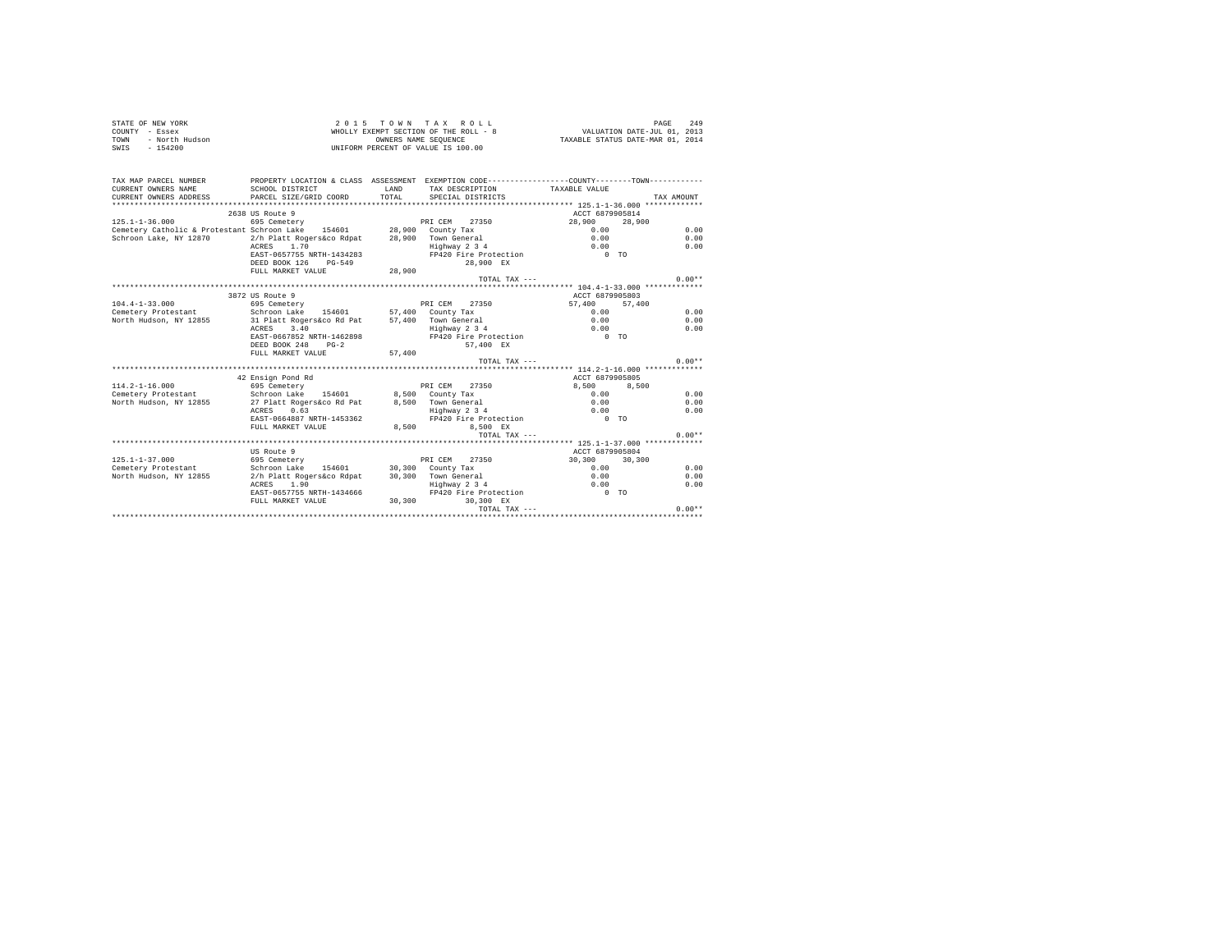| STATE OF NEW YORK      | 2015 TOWN TAX ROLL                    | 249<br>PAGE                      |
|------------------------|---------------------------------------|----------------------------------|
| COUNTY - Essex         | WHOLLY EXEMPT SECTION OF THE ROLL - 8 | VALUATION DATE-JUL 01, 2013      |
| TOWN<br>- North Hudson | OWNERS NAME SEOUENCE                  | TAXABLE STATUS DATE-MAR 01, 2014 |
| SWIS<br>$-154200$      | UNIFORM PERCENT OF VALUE IS 100.00    |                                  |

| TAX MAP PARCEL NUMBER                                                | PROPERTY LOCATION & CLASS ASSESSMENT EXEMPTION CODE---------------COUNTY-------TOWN--------- |              |                               |                 |            |
|----------------------------------------------------------------------|----------------------------------------------------------------------------------------------|--------------|-------------------------------|-----------------|------------|
| CURRENT OWNERS NAME                                                  | SCHOOL DISTRICT                                                                              | <b>T.AND</b> | TAX DESCRIPTION TAXABLE VALUE |                 |            |
| CURRENT OWNERS ADDRESS                                               | PARCEL SIZE/GRID COORD                                                                       | TOTAL.       | SPECIAL DISTRICTS             |                 | TAX AMOUNT |
|                                                                      |                                                                                              |              |                               |                 |            |
|                                                                      | 2638 US Route 9                                                                              |              |                               | ACCT 6879905814 |            |
| $125.1 - 1 - 36.000$                                                 | 695 Cemetery                                                                                 |              | PRI CEM 27350                 | 28,900 28,900   |            |
| Cemetery Catholic & Protestant Schroon Lake 154601 28,900 County Tax |                                                                                              |              |                               | 0.00            | 0.00       |
| Schroon Lake, NY 12870                                               | 2/h Platt Rogers&co Rdpat                                                                    |              | 28,900 Town General           | 0.00            | 0.00       |
|                                                                      | ACRES 1.70                                                                                   |              | Highway 2 3 4                 | 0.00            | 0.00       |
|                                                                      | EAST-0657755 NRTH-1434283                                                                    |              | FP420 Fire Protection 0 TO    |                 |            |
|                                                                      | DEED BOOK 126<br>PG-549                                                                      |              | 28.900 EX                     |                 |            |
|                                                                      | FULL MARKET VALUE                                                                            | 28,900       |                               |                 |            |
|                                                                      |                                                                                              |              | TOTAL TAX $---$               |                 | $0.00**$   |
|                                                                      |                                                                                              |              |                               |                 |            |
|                                                                      | 3872 US Route 9                                                                              |              |                               | ACCT 6879905803 |            |
| $104.4 - 1 - 33.000$                                                 | 695 Cemetery                                                                                 |              | PRI CEM 27350                 | 57,400 57,400   |            |
| Cemetery Protestant                                                  | Schroon Lake 154601 57,400 County Tax                                                        |              |                               | 0.00            | 0.00       |
| North Hudson, NY 12855                                               | 31 Platt Rogers&co Rd Pat                                                                    |              | 57.400 Town General           | 0.00            | 0.00       |
|                                                                      | 3.40<br>ACRES                                                                                |              | Highway 2 3 4                 | 0.00            | 0.00       |
|                                                                      | EAST-0667852 NRTH-1462898                                                                    |              | FP420 Fire Protection         | $0$ TO          |            |
|                                                                      | DEED BOOK 248<br>$PG-2$                                                                      |              | 57.400 EX                     |                 |            |
|                                                                      | FULL MARKET VALUE                                                                            | 57,400       |                               |                 |            |
|                                                                      |                                                                                              |              | TOTAL TAX $---$               |                 | $0.00**$   |
|                                                                      |                                                                                              |              |                               |                 |            |
|                                                                      | 42 Ensign Pond Rd                                                                            |              |                               | ACCT 6879905805 |            |
| $114.2 - 1 - 16.000$                                                 | 695 Cemetery                                                                                 |              | PRI CEM<br>27350              | 8.500           | 8,500      |
| Cemetery Protestant . Schroon Lake 154601 8.500 County Tax           |                                                                                              |              |                               | 0.00            | 0.00       |
| North Hudson, NY 12855                                               | 27 Platt Rogers&co Rd Pat 8,500 Town General                                                 |              |                               | 0.00            | 0.00       |
|                                                                      | 0.63<br>ACRES                                                                                |              | Highway 2 3 4                 | 0.00            | 0.00       |
|                                                                      | EAST-0664887 NRTH-1453362                                                                    |              | FP420 Fire Protection         | $0$ TO          |            |
|                                                                      | FULL MARKET VALUE                                                                            | 8,500        | 8.500 EX                      |                 |            |
|                                                                      |                                                                                              |              | TOTAL TAX ---                 |                 | $0.00**$   |
|                                                                      |                                                                                              |              |                               |                 |            |
|                                                                      | US Route 9                                                                                   |              |                               | ACCT 6879905804 |            |
| $125.1 - 1 - 37.000$                                                 | 695 Cemetery                                                                                 |              | PRI CEM<br>27350              | 30,300 30,300   |            |
| Cemetery Protestant                                                  | Schroon Lake                                                                                 |              | 154601 30,300 County Tax      | 0.00            | 0.00       |
| North Hudson, NY 12855                                               | 2/h Platt Rogers&co Rdpat                                                                    |              | 30,300 Town General           | 0.00            | 0.00       |
|                                                                      | ACRES 1.90                                                                                   |              | Highway 2 3 4                 | 0.00            | 0.00       |
|                                                                      | EAST-0657755 NRTH-1434666                                                                    |              | FP420 Fire Protection         | $0$ TO          |            |
|                                                                      | FULL MARKET VALUE                                                                            | 30.300       | 30.300 EX                     |                 |            |
|                                                                      |                                                                                              |              | TOTAL TAX ---                 |                 | $0.00**$   |
|                                                                      |                                                                                              |              |                               |                 |            |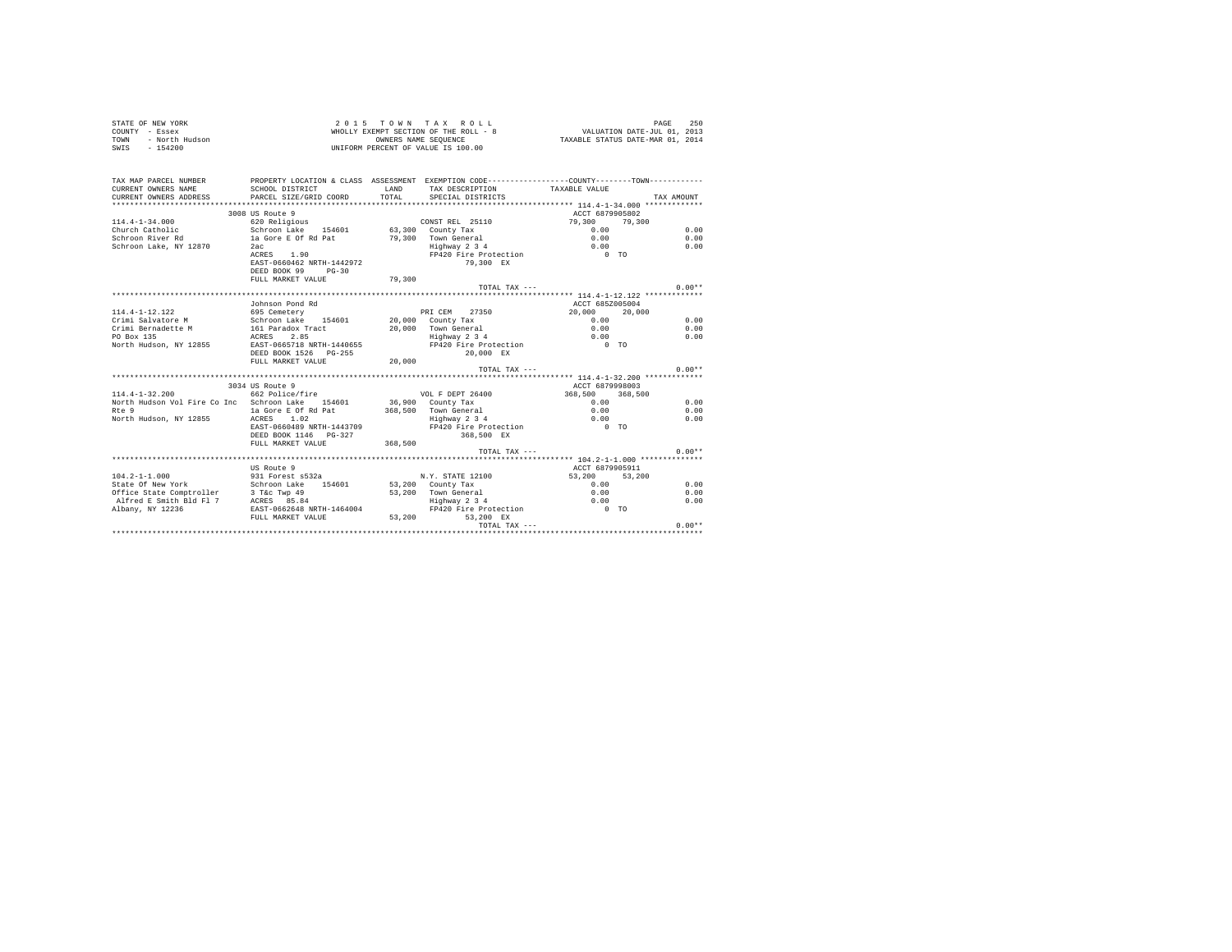| STATE OF NEW YORK      | 2015 TOWN TAX ROLL                    | 250<br>PAGE                      |
|------------------------|---------------------------------------|----------------------------------|
| COUNTY - Essex         | WHOLLY EXEMPT SECTION OF THE ROLL - 8 | VALUATION DATE-JUL 01, 2013      |
| - North Hudson<br>TOWN | OWNERS NAME SEOUENCE                  | TAXABLE STATUS DATE-MAR 01, 2014 |
| $-154200$<br>SWIS      | UNIFORM PERCENT OF VALUE IS 100.00    |                                  |

| TAX MAP PARCEL NUMBER                                      | PROPERTY LOCATION & CLASS ASSESSMENT EXEMPTION CODE----------------COUNTY-------TOWN---------- |              |                                                    |                 |            |
|------------------------------------------------------------|------------------------------------------------------------------------------------------------|--------------|----------------------------------------------------|-----------------|------------|
| CURRENT OWNERS NAME                                        | SCHOOL DISTRICT                                                                                | <b>T.AND</b> | TAX DESCRIPTION TAXABLE VALUE                      |                 |            |
| CURRENT OWNERS ADDRESS                                     | PARCEL SIZE/GRID COORD                                                                         |              | TOTAL SPECIAL DISTRICTS                            |                 | TAX AMOUNT |
|                                                            |                                                                                                |              |                                                    |                 |            |
|                                                            | 3008 US Route 9                                                                                |              |                                                    | ACCT 6879905802 |            |
| $114.4 - 1 - 34.000$                                       | 620 Religious                                                                                  |              | CONST REL 25110                                    | 79,300 79,300   |            |
|                                                            | Church Catholic (Schroon Lake 154601 63.300 County Tax                                         |              |                                                    | 0.00            | 0.00       |
| Schroon River Rd                                           | 1a Gore E Of Rd Pat 79,300 Town General                                                        |              |                                                    | 0.00            | 0.00       |
| Schroon Lake, NY 12870                                     | 2ac                                                                                            |              | Highway 2 3 4                                      | 0.00            | 0.00       |
|                                                            | ACRES 1.90                                                                                     |              | Highway 2 3 4 0.00<br>FP420 Fire Protection 0 0 TO |                 |            |
|                                                            | EAST-0660462 NRTH-1442972                                                                      |              | 79,300 EX                                          |                 |            |
|                                                            | DEED BOOK 99 PG-30                                                                             |              |                                                    |                 |            |
|                                                            | FULL MARKET VALUE                                                                              | 79,300       |                                                    |                 |            |
|                                                            |                                                                                                |              | TOTAL TAX ---                                      |                 | $0.00**$   |
|                                                            |                                                                                                |              |                                                    |                 |            |
|                                                            | Johnson Pond Rd                                                                                |              |                                                    | ACCT 685Z005004 |            |
| 114.4-1-12.122                                             | 695 Cemetery Care and PRICEM 27350                                                             |              |                                                    | 20,000 20,000   |            |
|                                                            |                                                                                                |              |                                                    | 0.00            | 0.00       |
|                                                            |                                                                                                |              | 20,000 Town General                                | 0.00            | 0.00       |
|                                                            |                                                                                                |              | Highway 2 3 4                                      | 0.00            | 0.00       |
|                                                            | North Hudson, NY 12855 EAST-0665718 NRTH-1440655                                               |              | FP420 Fire Protection 0 TO                         |                 |            |
|                                                            | DEED BOOK 1526 PG-255                                                                          |              | 20,000 EX                                          |                 |            |
|                                                            | FULL MARKET VALUE                                                                              | 20,000       |                                                    |                 |            |
|                                                            |                                                                                                |              | TOTAL TAX ---                                      |                 | $0.00**$   |
|                                                            |                                                                                                |              |                                                    |                 |            |
|                                                            | 3034 US Route 9                                                                                |              | ACCT 6879998003                                    |                 |            |
| $114.4 - 1 - 32.200$                                       | 662 Police/fire                                                                                |              | VOL F DEPT 26400                                   | 368,500 368,500 |            |
|                                                            | North Hudson Vol Fire Co Inc Schroon Lake 154601                                               |              | 36,900 County Tax                                  | 0.00            | 0.00       |
| Rte 9                                                      | la Gore E Of Rd Pat                                                                            |              | $368,500$ Town General                             | 0.00            | 0.00       |
| North Hudson, NY 12855 ACRES 1.02                          |                                                                                                |              | Highway 2 3 4                                      | 0.00            | 0.00       |
|                                                            | EAST-0660489 NRTH-1443709                                                                      |              | FP420 Fire Protection                              | $0$ TO          |            |
|                                                            | DEED BOOK 1146    PG-327                                                                       |              | 368,500 EX                                         |                 |            |
|                                                            | FULL MARKET VALUE                                                                              | 368,500      |                                                    |                 |            |
|                                                            |                                                                                                |              | TOTAL TAX ---                                      |                 | $0.00**$   |
|                                                            |                                                                                                |              |                                                    |                 |            |
|                                                            | US Route 9                                                                                     |              |                                                    | ACCT 6879905911 |            |
| $104.2 - 1 - 1.000$                                        |                                                                                                |              | N.Y. STATE 12100                                   | 53,200 53,200   |            |
| State Of New York<br>Office State Comptroller 3 T&c Twp 49 |                                                                                                |              | 53,200 Town General                                | 0.00            | 0.00       |
|                                                            |                                                                                                |              |                                                    | 0.00            | 0.00       |
| Alfred E Smith Bld Fl 7 ACRES 85.84                        |                                                                                                |              | Highway 2 3 4<br>FP420 Fire Protection             | 0.00            | 0.00       |
| Albany, NY 12236                                           | EAST-0662648 NRTH-1464004                                                                      |              |                                                    | $0$ TO          |            |
|                                                            | FULL MARKET VALUE 53,200 53,200 EX                                                             |              |                                                    |                 |            |
|                                                            |                                                                                                |              |                                                    |                 |            |
|                                                            |                                                                                                |              |                                                    |                 |            |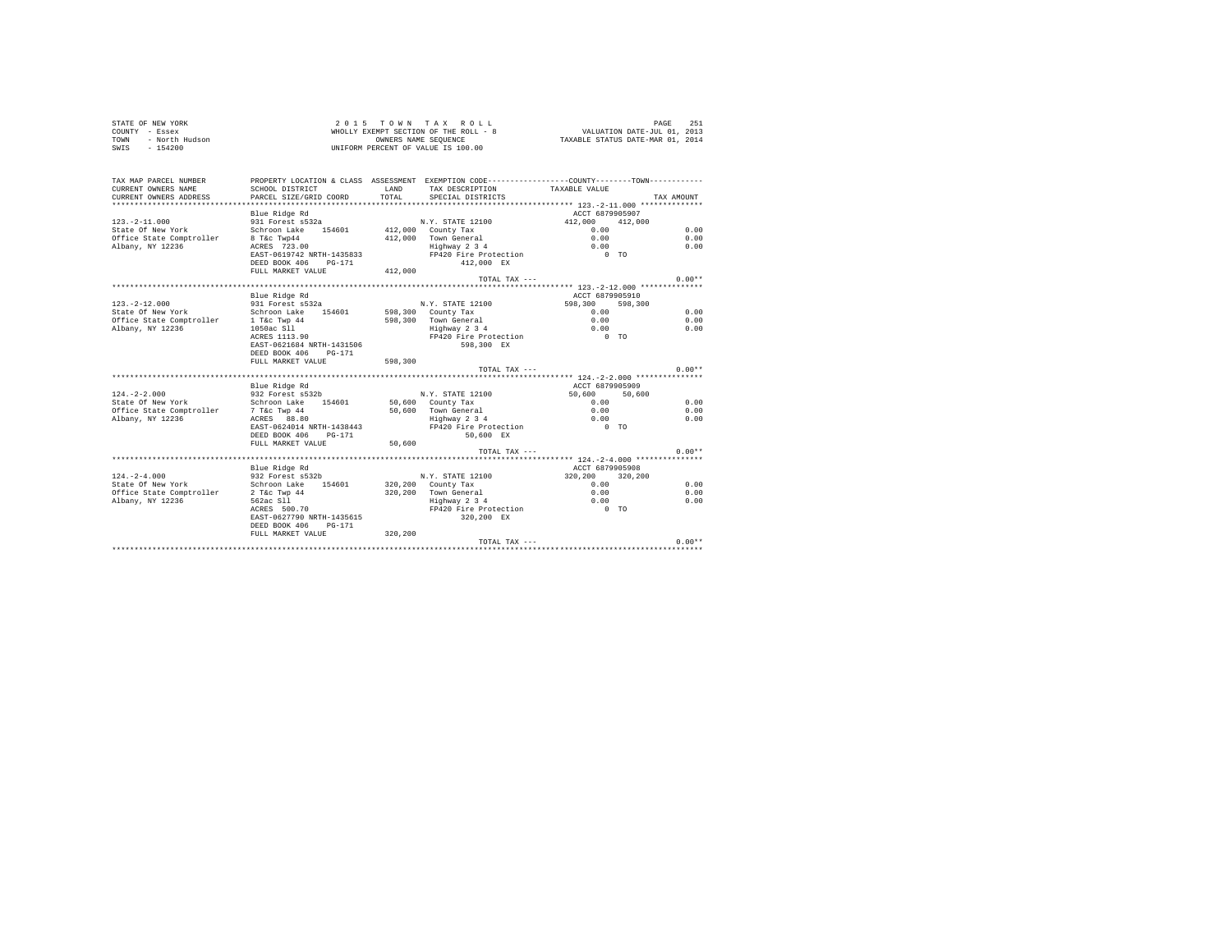| STATE OF NEW YORK<br>COUNTY - Essex<br>TOWN - North Hudson<br>- All Hudson                |                                                                                                                                             |                | 2015 TOWN TAX ROLL<br>UNIFORM PERCENT OF VALUE IS 100.00                      |                                             | PAGE<br>251  |  |
|-------------------------------------------------------------------------------------------|---------------------------------------------------------------------------------------------------------------------------------------------|----------------|-------------------------------------------------------------------------------|---------------------------------------------|--------------|--|
| TAX MAP PARCEL NUMBER<br>CURRENT OWNERS NAME<br>CURRENT OWNERS ADDRESS                    | PROPERTY LOCATION & CLASS ASSESSMENT EXEMPTION CODE----------------COUNTY-------TOWN----------<br>SCHOOL DISTRICT<br>PARCEL SIZE/GRID COORD | LAND<br>TOTAL. | TAX DESCRIPTION<br>SPECIAL DISTRICTS                                          | TAXABLE VALUE                               | TAX AMOUNT   |  |
|                                                                                           | Blue Ridge Rd                                                                                                                               |                |                                                                               | ACCT 6879905907                             |              |  |
| $123. - 2 - 11.000$                                                                       | 931 Forest s532a                                                                                                                            |                | N.Y. STATE 12100                                                              | 412,000 412,000                             |              |  |
| State Of New York                                                                         | Schroon Lake 154601                                                                                                                         |                | $412.000$ County Tax                                                          | 0.00                                        | 0.00         |  |
| Office State Comptroller                                                                  | 8 T&C Twp44<br>ACRES 723.00                                                                                                                 |                | 412.000 Town General<br>rown Generai<br>Highway 2 3 4                         | 0.00<br>0.00                                | 0.00<br>0.00 |  |
| Albany, NY 12236                                                                          | EAST-0619742 NRTH-1435833                                                                                                                   |                | FP420 Fire Protection                                                         | $0$ TO                                      |              |  |
|                                                                                           | DEED BOOK 406 PG-171                                                                                                                        |                | 412,000 EX                                                                    |                                             |              |  |
|                                                                                           | FULL MARKET VALUE                                                                                                                           | 412,000        |                                                                               |                                             |              |  |
|                                                                                           |                                                                                                                                             |                | TOTAL TAX ---                                                                 |                                             | $0.00**$     |  |
|                                                                                           |                                                                                                                                             |                |                                                                               |                                             |              |  |
|                                                                                           | Blue Ridge Rd                                                                                                                               |                |                                                                               | ACCT 6879905910                             |              |  |
| $123. - 2 - 12.000$                                                                       | 931 Forest s532a                                                                                                                            |                | N.Y. STATE 12100                                                              | 598,300 598,300                             |              |  |
| State Of New York                                                                         | Schroon Lake 154601                                                                                                                         |                | 598,300 County Tax                                                            | 0.00                                        | 0.00         |  |
|                                                                                           |                                                                                                                                             |                | 598,300 Town General<br>Highway 2 3 4                                         | 0.00                                        | 0.00         |  |
| Office State Comptroller 1 T&c Twp 44<br>Albany, NY 12236 1050ac S11<br>ACRES 1113.90     |                                                                                                                                             |                |                                                                               | 0.00                                        | 0.00         |  |
|                                                                                           |                                                                                                                                             |                | FP420 Fire Protection                                                         | $0$ TO                                      |              |  |
|                                                                                           | EAST-0621684 NRTH-1431506                                                                                                                   |                | 598,300 EX                                                                    |                                             |              |  |
|                                                                                           | DEED BOOK 406 PG-171<br>FULL MARKET VALUE                                                                                                   | 598,300        |                                                                               |                                             |              |  |
|                                                                                           |                                                                                                                                             |                | TOTAL TAX ---                                                                 |                                             | $0.00**$     |  |
|                                                                                           |                                                                                                                                             |                |                                                                               |                                             |              |  |
|                                                                                           | Blue Ridge Rd                                                                                                                               |                |                                                                               | ACCT 6879905909                             |              |  |
| $124. - 2 - 2.000$                                                                        | 932 Forest s532b                                                                                                                            |                | N.Y. STATE 12100                                                              | 50,600<br>50,600                            |              |  |
| State Of New York                                                                         | Schroon Lake 154601                                                                                                                         |                | 50.600 County Tax                                                             | 0.00                                        | 0.00         |  |
|                                                                                           |                                                                                                                                             |                | 50,600 Town General                                                           | 0.00                                        | 0.00         |  |
|                                                                                           |                                                                                                                                             |                | Highway 2 3 4                                                                 | 0.00                                        | 0.00         |  |
|                                                                                           | EAST-0624014 NRTH-1438443                                                                                                                   |                | FP420 Fire Protection                                                         | $\begin{matrix} 0 & \text{T}0 \end{matrix}$ |              |  |
|                                                                                           | DEED BOOK 406 PG-171                                                                                                                        |                | 50,600 EX                                                                     |                                             |              |  |
|                                                                                           | FULL MARKET VALUE                                                                                                                           | 50,600         |                                                                               |                                             |              |  |
|                                                                                           |                                                                                                                                             |                | TOTAL TAX ---                                                                 |                                             | $0.00**$     |  |
|                                                                                           |                                                                                                                                             |                |                                                                               |                                             |              |  |
| $124. - 2 - 4.000$                                                                        | Blue Ridge Rd<br>932 Forest s532b                                                                                                           |                | N.Y. STATE 12100                                                              | ACCT 6879905908<br>320,200 320,200          |              |  |
| State Of New York                                                                         | Schroon Lake 154601                                                                                                                         |                | 320,200 County Tax                                                            | 0.00                                        | 0.00         |  |
|                                                                                           |                                                                                                                                             |                |                                                                               |                                             | 0.00         |  |
|                                                                                           |                                                                                                                                             |                |                                                                               |                                             | 0.00         |  |
| Office State Comptroller<br>2 T&C Twp 44<br>Albany, NY 12236<br>562ac Sll<br>ACRES 500.70 |                                                                                                                                             |                | 320,200 Town General 0.00<br>Highway 2 3 4 0.00<br>FP420 Fire Protection 0 TO |                                             |              |  |
|                                                                                           | EAST-0627790 NRTH-1435615                                                                                                                   |                | 320,200 EX                                                                    |                                             |              |  |
|                                                                                           | DEED BOOK 406 PG-171                                                                                                                        |                |                                                                               |                                             |              |  |
|                                                                                           | FULL MARKET VALUE 320.200                                                                                                                   |                |                                                                               |                                             |              |  |
|                                                                                           |                                                                                                                                             |                | TOTAL TAX ---                                                                 |                                             | $0.00**$     |  |
|                                                                                           |                                                                                                                                             |                |                                                                               |                                             |              |  |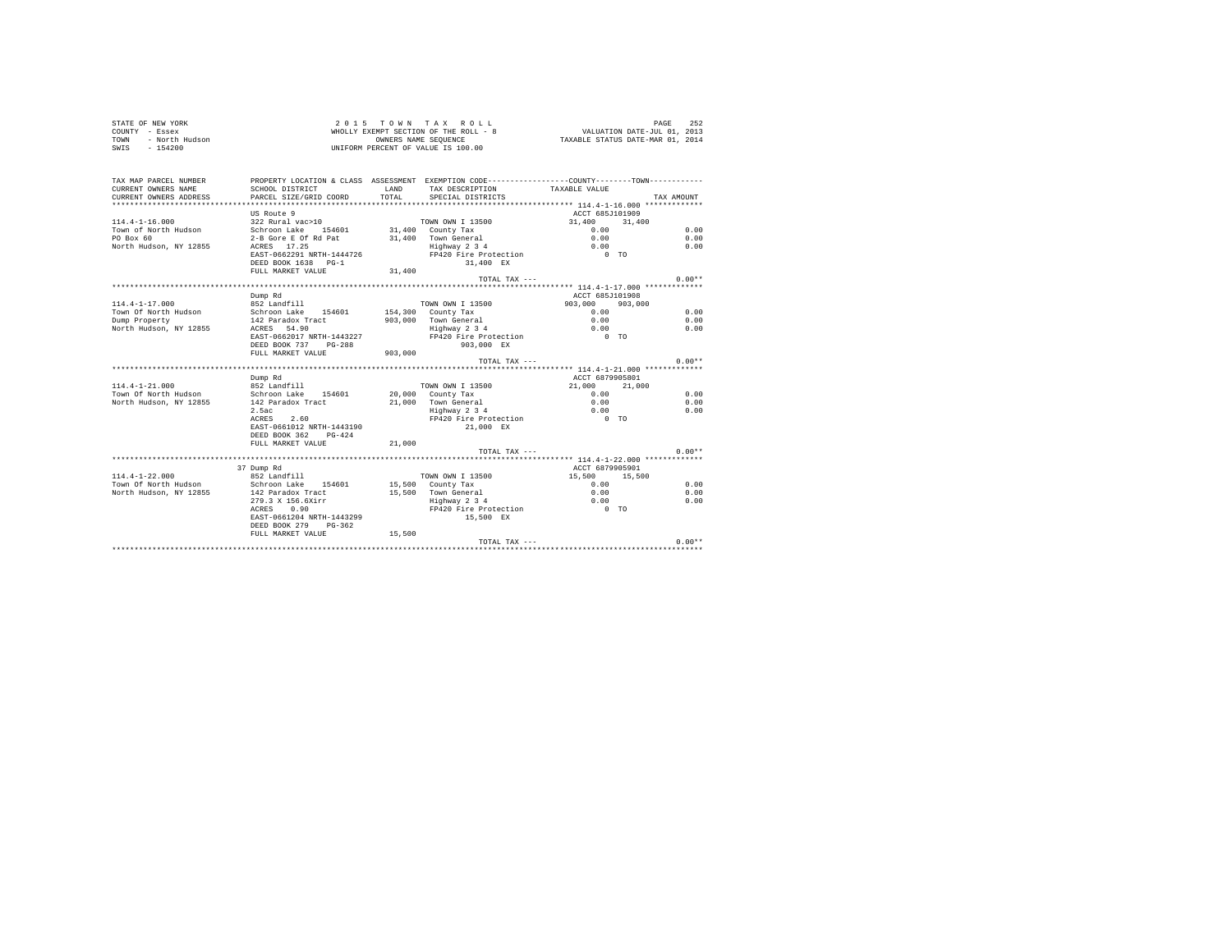| STATE OF NEW YORK<br>COUNTY - Essex<br>- North Hudson<br>TOWN<br>SWTS $-154200$ |                                                                                                                                              |                | 2015 TOWN TAX ROLL<br>WHOLLY EXEMPT SECTION OF THE ROLL - 8<br>OWNERS NAME SEQUENCE<br>UNIFORM PERCENT OF VALUE IS 100.00 | VALUATION DATE-JUL 01, 2013<br>TAXABLE STATUS DATE-MAR 01, 2014 | PAGE<br>252 |
|---------------------------------------------------------------------------------|----------------------------------------------------------------------------------------------------------------------------------------------|----------------|---------------------------------------------------------------------------------------------------------------------------|-----------------------------------------------------------------|-------------|
| TAX MAP PARCEL NUMBER<br>CURRENT OWNERS NAME<br>CURRENT OWNERS ADDRESS          | PROPERTY LOCATION & CLASS ASSESSMENT EXEMPTION CODE----------------COUNTY--------TOWN----------<br>SCHOOL DISTRICT<br>PARCEL SIZE/GRID COORD | LAND<br>TOTAL. | TAX DESCRIPTION<br>SPECIAL DISTRICTS                                                                                      | TAXABLE VALUE                                                   | TAX AMOUNT  |
|                                                                                 |                                                                                                                                              |                |                                                                                                                           |                                                                 |             |
| $114.4 - 1 - 16.000$                                                            | US Route 9<br>322 Rural vac>10                                                                                                               |                | TOWN OWN I 13500                                                                                                          | ACCT 685J101909<br>31,400<br>31,400                             |             |
| Town of North Hudson                                                            | Schroon Lake 154601                                                                                                                          |                | 31,400 County Tax                                                                                                         | 0.00                                                            | 0.00        |
| PO Box 60                                                                       | 2-B Gore E Of Rd Pat                                                                                                                         |                | 31,400 Town General                                                                                                       | 0.00                                                            | 0.00        |
| North Hudson, NY 12855                                                          | ACRES 17.25                                                                                                                                  |                | $Highway$ 2 3 4                                                                                                           | 0.00                                                            | 0.00        |
|                                                                                 | EAST-0662291 NRTH-1444726                                                                                                                    |                | FP420 Fire Protection                                                                                                     | $0$ TO                                                          |             |
|                                                                                 | DEED BOOK 1638 PG-1                                                                                                                          |                | 31,400 EX                                                                                                                 |                                                                 |             |
|                                                                                 | FULL MARKET VALUE                                                                                                                            | 31,400         |                                                                                                                           |                                                                 |             |
|                                                                                 |                                                                                                                                              |                | TOTAL TAX ---                                                                                                             |                                                                 | $0.00**$    |
|                                                                                 |                                                                                                                                              |                |                                                                                                                           |                                                                 |             |
|                                                                                 | Dump Rd                                                                                                                                      |                |                                                                                                                           | ACCT 685J101908                                                 |             |
| $114.4 - 1 - 17.000$                                                            | 852 Landfill                                                                                                                                 |                | TOWN OWN I 13500                                                                                                          | 903,000<br>903,000                                              |             |
| Town Of North Hudson                                                            | Schroon Lake 154601                                                                                                                          | 154,300        | County Tax                                                                                                                | 0.00                                                            | 0.00        |
| Dump Property                                                                   | 142 Paradox Tract                                                                                                                            | 903,000        | Town General                                                                                                              | 0.00                                                            | 0.00        |
| North Hudson, NY 12855                                                          | ACRES 54.90                                                                                                                                  |                | $Highway$ 2 3 4                                                                                                           | 0.00                                                            | 0.00        |
|                                                                                 | EAST-0662017 NRTH-1443227                                                                                                                    |                | FP420 Fire Protection                                                                                                     | $0$ TO                                                          |             |
|                                                                                 | DEED BOOK 737 PG-288                                                                                                                         |                | 903,000 EX                                                                                                                |                                                                 |             |
|                                                                                 | FULL MARKET VALUE                                                                                                                            | 903,000        |                                                                                                                           |                                                                 |             |
|                                                                                 |                                                                                                                                              |                | TOTAL TAX ---                                                                                                             |                                                                 | $0.00**$    |
|                                                                                 | Dump Rd                                                                                                                                      |                |                                                                                                                           | ACCT 6879905801                                                 |             |
| $114.4 - 1 - 21.000$                                                            | 852 Landfill                                                                                                                                 |                | TOWN OWN I 13500                                                                                                          | 21,000<br>21,000                                                |             |
| Town Of North Hudson                                                            | Schroon Lake 154601                                                                                                                          |                | 20,000 County Tax                                                                                                         | 0.00                                                            | 0.00        |
| North Hudson, NY 12855                                                          | 142 Paradox Tract                                                                                                                            |                | 21,000 Town General                                                                                                       | 0.00                                                            | 0.00        |
|                                                                                 | 2.5ac                                                                                                                                        |                | Highway 2 3 4                                                                                                             | 0.00                                                            | 0.00        |
|                                                                                 | ACRES 2.60                                                                                                                                   |                | FP420 Fire Protection                                                                                                     | $0$ TO                                                          |             |
|                                                                                 | EAST-0661012 NRTH-1443190                                                                                                                    |                | 21,000 EX                                                                                                                 |                                                                 |             |
|                                                                                 | DEED BOOK 362 PG-424                                                                                                                         |                |                                                                                                                           |                                                                 |             |
|                                                                                 | FULL MARKET VALUE                                                                                                                            | 21,000         |                                                                                                                           |                                                                 |             |
|                                                                                 |                                                                                                                                              |                | TOTAL TAX ---                                                                                                             |                                                                 | $0.00**$    |
|                                                                                 | 37 Dump Rd                                                                                                                                   |                |                                                                                                                           | ACCT 6879905901                                                 |             |
| $114.4 - 1 - 22.000$                                                            | 852 Landfill                                                                                                                                 |                | TOWN OWN I 13500                                                                                                          | 15,500<br>15,500                                                |             |
| Town Of North Hudson                                                            | Schroon Lake 154601                                                                                                                          |                | 15,500 County Tax                                                                                                         | 0.00                                                            | 0.00        |
| North Hudson, NY 12855                                                          | 142 Paradox Tract                                                                                                                            |                | 15,500 Town General                                                                                                       | 0.00                                                            | 0.00        |
|                                                                                 | 279.3 X 156.6Xirr                                                                                                                            |                | Highway 2 3 4                                                                                                             | 0.00                                                            | 0.00        |
|                                                                                 | ACRES 0.90                                                                                                                                   |                | FP420 Fire Protection                                                                                                     | $0$ TO                                                          |             |
|                                                                                 | EAST-0661204 NRTH-1443299                                                                                                                    |                | 15,500 EX                                                                                                                 |                                                                 |             |
|                                                                                 | DEED BOOK 279 PG-362                                                                                                                         |                |                                                                                                                           |                                                                 |             |
|                                                                                 | FULL MARKET VALUE                                                                                                                            | 15,500         |                                                                                                                           |                                                                 |             |
|                                                                                 |                                                                                                                                              |                | TOTAL TAX ---                                                                                                             |                                                                 | $0.00**$    |
|                                                                                 |                                                                                                                                              |                |                                                                                                                           |                                                                 |             |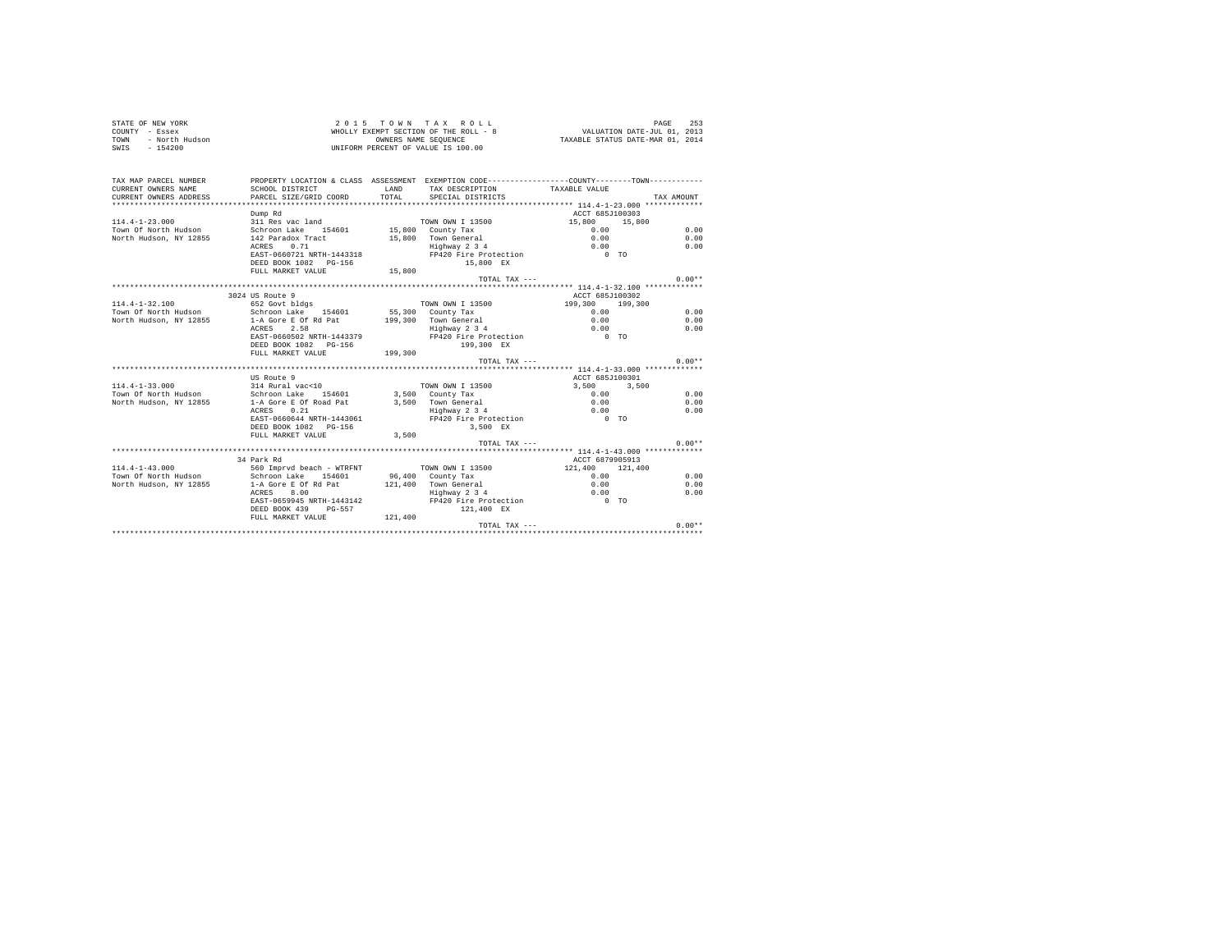| STATE OF NEW YORK<br>COUNTY - Essex<br>- North Hudson<br>TOWN<br>$SWTS = 154200$ |                                                                                               |               | 2015 TOWN TAX ROLL<br>$\begin{array}{cccccccccccc} \textbf{Z} & \textbf{U} & \textbf{I} & \textbf{S} & \textbf{Y} & \textbf{W} & \textbf{W} & \textbf{X} & \textbf{X} & \textbf{X} & \textbf{U} & \textbf{L} & \textbf{L} \\ \textbf{W}\textbf{H}\textbf{O}\textbf{L}\textbf{L}\textbf{Y}\textbf{E}\textbf{X}\textbf{E}\textbf{Y}\textbf{D}\textbf{W} & \textbf{O}\textbf{F}\textbf{H}\textbf{E} & \textbf{R}\textbf{O}\textbf{L} & - & \textbf{B} & & & & & & & & & & &$<br>UNIFORM PERCENT OF VALUE IS 100.00 |                                                | PAGE<br>253 |
|----------------------------------------------------------------------------------|-----------------------------------------------------------------------------------------------|---------------|-----------------------------------------------------------------------------------------------------------------------------------------------------------------------------------------------------------------------------------------------------------------------------------------------------------------------------------------------------------------------------------------------------------------------------------------------------------------------------------------------------------------|------------------------------------------------|-------------|
| TAX MAP PARCEL NUMBER                                                            | PROPERTY LOCATION & CLASS ASSESSMENT EXEMPTION CODE----------------COUNTY-------TOWN--------- |               |                                                                                                                                                                                                                                                                                                                                                                                                                                                                                                                 |                                                |             |
| CURRENT OWNERS NAME<br>CURRENT OWNERS ADDRESS                                    | SCHOOL DISTRICT<br>PARCEL SIZE/GRID COORD                                                     | LAND<br>TOTAL | TAX DESCRIPTION<br>SPECIAL DISTRICTS                                                                                                                                                                                                                                                                                                                                                                                                                                                                            | TAXABLE VALUE                                  | TAX AMOUNT  |
|                                                                                  |                                                                                               |               |                                                                                                                                                                                                                                                                                                                                                                                                                                                                                                                 |                                                |             |
|                                                                                  | Dump Rd                                                                                       |               |                                                                                                                                                                                                                                                                                                                                                                                                                                                                                                                 | ACCT 685J100303                                |             |
| $114.4 - 1 - 23.000$                                                             | 311 Res vac land                                                                              |               | TOWN OWN I 13500                                                                                                                                                                                                                                                                                                                                                                                                                                                                                                | 15,800<br>15,800                               |             |
| Town Of North Hudson                                                             | Schroon Lake 154601                                                                           |               | 15,800 County Tax                                                                                                                                                                                                                                                                                                                                                                                                                                                                                               | 0.00                                           | 0.00        |
| North Hudson, NY 12855                                                           | 142 Paradox Tract                                                                             |               | 15,800 Town General                                                                                                                                                                                                                                                                                                                                                                                                                                                                                             | 0.00                                           | 0.00        |
|                                                                                  | ACRES 0.71                                                                                    |               | Highway 2 3 4                                                                                                                                                                                                                                                                                                                                                                                                                                                                                                   | 0.00                                           | 0.00        |
|                                                                                  | EAST-0660721 NRTH-1443318                                                                     |               | FP420 Fire Protection                                                                                                                                                                                                                                                                                                                                                                                                                                                                                           | $0$ TO                                         |             |
|                                                                                  | DEED BOOK 1082 PG-156                                                                         |               | 15,800 EX                                                                                                                                                                                                                                                                                                                                                                                                                                                                                                       |                                                |             |
|                                                                                  | FULL MARKET VALUE                                                                             | 15,800        | TOTAL TAX ---                                                                                                                                                                                                                                                                                                                                                                                                                                                                                                   |                                                | $0.00**$    |
|                                                                                  |                                                                                               |               |                                                                                                                                                                                                                                                                                                                                                                                                                                                                                                                 | ***************** 114.4-1-32.100 ************* |             |
|                                                                                  | 3024 US Route 9                                                                               |               |                                                                                                                                                                                                                                                                                                                                                                                                                                                                                                                 | ACCT 685J100302                                |             |
| $114.4 - 1 - 32.100$                                                             | 652 Govt bldgs                                                                                |               | TOWN OWN I 13500                                                                                                                                                                                                                                                                                                                                                                                                                                                                                                | 199,300 199,300                                |             |
| Town Of North Hudson                                                             | Schroon Lake 154601                                                                           |               | 55,300 County Tax                                                                                                                                                                                                                                                                                                                                                                                                                                                                                               | 0.00                                           | 0.00        |
| North Hudson, NY 12855                                                           | 1-A Gore E Of Rd Pat                                                                          |               | 199.300 Town General                                                                                                                                                                                                                                                                                                                                                                                                                                                                                            | 0.00                                           | 0.00        |
|                                                                                  | ACRES 2.58                                                                                    |               | Highway 2 3 4                                                                                                                                                                                                                                                                                                                                                                                                                                                                                                   | 0.00                                           | 0.00        |
|                                                                                  | EAST-0660502 NRTH-1443379                                                                     |               | FP420 Fire Protection 0 TO                                                                                                                                                                                                                                                                                                                                                                                                                                                                                      |                                                |             |
|                                                                                  | DEED BOOK 1082 PG-156<br>FULL MARKET VALUE                                                    | 199,300       | 199.300 EX                                                                                                                                                                                                                                                                                                                                                                                                                                                                                                      |                                                |             |
|                                                                                  |                                                                                               |               | TOTAL TAX $---$                                                                                                                                                                                                                                                                                                                                                                                                                                                                                                 |                                                | $0.00**$    |
|                                                                                  |                                                                                               |               |                                                                                                                                                                                                                                                                                                                                                                                                                                                                                                                 |                                                |             |
|                                                                                  | US Route 9                                                                                    |               |                                                                                                                                                                                                                                                                                                                                                                                                                                                                                                                 | ACCT 685J100301                                |             |
| $114.4 - 1 - 33.000$                                                             | 314 Rural vac<10                                                                              |               | TOWN OWN I 13500                                                                                                                                                                                                                                                                                                                                                                                                                                                                                                | 3,500<br>3,500                                 |             |
| Town Of North Hudson                                                             | Schroon Lake 154601                                                                           |               | 3.500 County Tax                                                                                                                                                                                                                                                                                                                                                                                                                                                                                                | 0.00                                           | 0.00        |
| North Hudson, NY 12855                                                           | 1-A Gore E Of Road Pat<br>ACRES 0.21                                                          |               | 3,500 Town General<br>Highway 2 3 4                                                                                                                                                                                                                                                                                                                                                                                                                                                                             | 0.00                                           | 0.00        |
|                                                                                  | ACRES 0.21                                                                                    |               |                                                                                                                                                                                                                                                                                                                                                                                                                                                                                                                 | 0.00                                           | 0.00        |
|                                                                                  | EAST-0660644 NRTH-1443061                                                                     |               | FP420 Fire Protection                                                                                                                                                                                                                                                                                                                                                                                                                                                                                           | $0$ TO                                         |             |
|                                                                                  | DEED BOOK 1082 PG-156<br>FULL MARKET VALUE                                                    | 3,500         | 3.500 EX                                                                                                                                                                                                                                                                                                                                                                                                                                                                                                        |                                                |             |
|                                                                                  |                                                                                               |               | $TOTAI. TAX - - -$                                                                                                                                                                                                                                                                                                                                                                                                                                                                                              |                                                | $0.00**$    |
|                                                                                  |                                                                                               |               |                                                                                                                                                                                                                                                                                                                                                                                                                                                                                                                 |                                                |             |
|                                                                                  | 34 Park Rd                                                                                    |               |                                                                                                                                                                                                                                                                                                                                                                                                                                                                                                                 | ACCT 6879905913                                |             |
| $114.4 - 1 - 43.000$                                                             | 560 Impryd beach - WTRFNT                                                                     |               | TOWN OWN I 13500                                                                                                                                                                                                                                                                                                                                                                                                                                                                                                | 121,400 121,400                                |             |
| Town Of North Hudson                                                             | Schroon Lake 154601                                                                           |               | 96,400 County Tax                                                                                                                                                                                                                                                                                                                                                                                                                                                                                               | 0.00                                           | 0.00        |
| North Hudson, NY 12855                                                           | 1-A Gore E Of Rd Pat                                                                          |               | 121,400 Town General                                                                                                                                                                                                                                                                                                                                                                                                                                                                                            | 0.00                                           | 0.00        |
|                                                                                  | ACRES 8.00                                                                                    |               | Highway 2 3 4                                                                                                                                                                                                                                                                                                                                                                                                                                                                                                   | 0.00                                           | 0.00        |
|                                                                                  | EAST-0659945 NRTH-1443142<br>DEED BOOK 439 PG-557                                             |               | FP420 Fire Protection<br>121,400 EX                                                                                                                                                                                                                                                                                                                                                                                                                                                                             | $0$ TO                                         |             |
|                                                                                  | FULL MARKET VALUE 121,400                                                                     |               |                                                                                                                                                                                                                                                                                                                                                                                                                                                                                                                 |                                                |             |
|                                                                                  |                                                                                               |               | TOTAL TAX ---                                                                                                                                                                                                                                                                                                                                                                                                                                                                                                   |                                                | $0.00**$    |
|                                                                                  |                                                                                               |               |                                                                                                                                                                                                                                                                                                                                                                                                                                                                                                                 |                                                |             |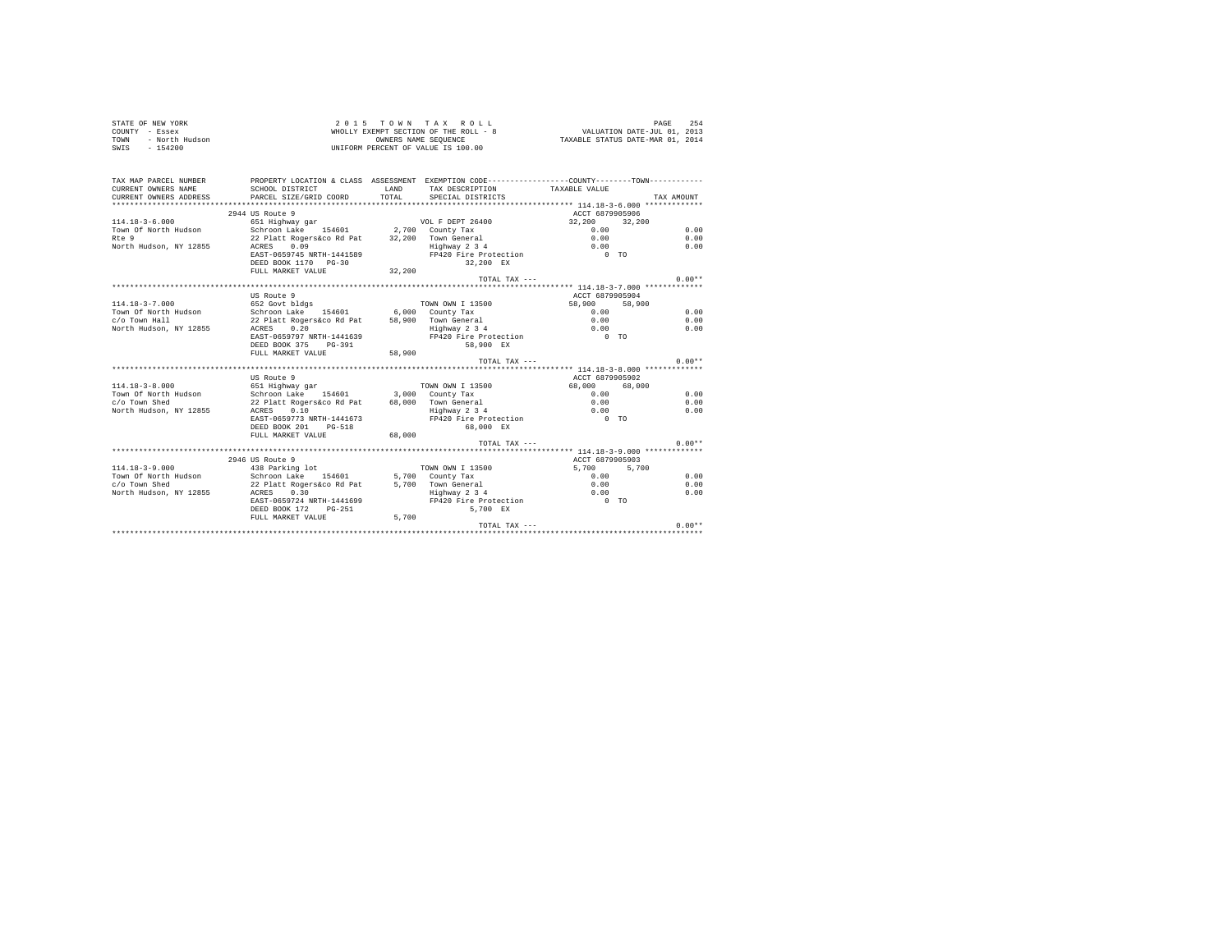| STATE OF NEW YORK<br>$CONTINTY - Resex$<br>TOWN - North Hudson<br>$SWTS = 154200$ |                                                           |        | 2015 TOWN TAX ROLL<br>WHOLLY EXEMPT SECTION OF THE ROLL - 8<br>WHOLLY EXEMPT SECTION OF THE ROLL - 8<br>OWNERS NAME SEQUENCE<br>TAXABLE STATUS DATE-MAR 01, 2014<br>UNIFORM PERCENT OF VALUE IS 100.00 |                  | 254<br>PAGE |
|-----------------------------------------------------------------------------------|-----------------------------------------------------------|--------|--------------------------------------------------------------------------------------------------------------------------------------------------------------------------------------------------------|------------------|-------------|
| TAX MAP PARCEL NUMBER                                                             |                                                           |        | PROPERTY LOCATION & CLASS ASSESSMENT EXEMPTION CODE----------------COUNTY--------TOWN----------                                                                                                        |                  |             |
| CURRENT OWNERS NAME                                                               | SCHOOL DISTRICT                                           | LAND   | TAX DESCRIPTION                                                                                                                                                                                        | TAXABLE VALUE    |             |
| CURRENT OWNERS ADDRESS                                                            | PARCEL SIZE/GRID COORD                                    | TOTAL. | SPECIAL DISTRICTS                                                                                                                                                                                      |                  | TAX AMOUNT  |
|                                                                                   |                                                           |        |                                                                                                                                                                                                        |                  |             |
|                                                                                   | 2944 US Route 9                                           |        |                                                                                                                                                                                                        | ACCT 6879905906  |             |
| $114.18 - 3 - 6.000$                                                              | 651 Highway gar                                           |        | VOL F DEPT 26400                                                                                                                                                                                       | 32,200<br>32,200 |             |
|                                                                                   | Town Of North Hudson Schroon Lake 154601 2,700 County Tax |        |                                                                                                                                                                                                        | 0.00             | 0.00        |
| $R0$ 9                                                                            | 22 Platt Rogers&co Rd Pat 32,200 Town General             |        |                                                                                                                                                                                                        | 0.00             | 0.00        |
| North Hudson, NY 12855                                                            | 0.09<br>ACRES                                             |        | Highway 2 3 4                                                                                                                                                                                          | 0.00             | 0.00        |
|                                                                                   | EAST-0659745 NRTH-1441589                                 |        | FP420 Fire Protection                                                                                                                                                                                  | $0$ TO           |             |
|                                                                                   | DEED BOOK 1170 PG-30                                      |        | 32.200 EX                                                                                                                                                                                              |                  |             |
|                                                                                   | FULL MARKET VALUE                                         | 32,200 |                                                                                                                                                                                                        |                  |             |
|                                                                                   |                                                           |        | TOTAL TAX ---                                                                                                                                                                                          |                  | $0.00**$    |
|                                                                                   |                                                           |        |                                                                                                                                                                                                        |                  |             |
|                                                                                   | US Route 9                                                |        |                                                                                                                                                                                                        | ACCT 6879905904  |             |
| $114.18 - 3 - 7.000$                                                              | 652 Govt bldgs                                            |        | TOWN OWN I 13500                                                                                                                                                                                       | 58,900<br>58,900 |             |
| Town Of North Hudson                                                              | Schroon Lake 154601 6,000 County Tax                      |        |                                                                                                                                                                                                        | 0.00             | 0.00        |
| c/o Town Hall                                                                     | 22 Platt Rogers&co Rd Pat 58,900 Town General             |        |                                                                                                                                                                                                        | 0.00<br>0.00     | 0.00        |
| North Hudson, NY 12855                                                            | ACRES 0.20                                                |        | Highway 2 3 4                                                                                                                                                                                          |                  | 0.00        |
|                                                                                   | EAST-0659797 NRTH-1441639                                 |        | FP420 Fire Protection                                                                                                                                                                                  | $0$ TO           |             |
|                                                                                   | DEED BOOK 375 PG-391                                      |        | 58,900 EX                                                                                                                                                                                              |                  |             |
|                                                                                   | FULL MARKET VALUE                                         | 58,900 |                                                                                                                                                                                                        |                  | $0.00**$    |
|                                                                                   |                                                           |        | TOTAL TAX ---                                                                                                                                                                                          |                  |             |
|                                                                                   | US Route 9                                                |        |                                                                                                                                                                                                        | ACCT 6879905902  |             |
| $114.18 - 3 - 8.000$                                                              | 651 Highway gar                                           |        | TOWN OWN I 13500                                                                                                                                                                                       | 68,000 68,000    |             |
| Town Of North Hudson                                                              | Schroon Lake 154601 3,000 County Tax                      |        |                                                                                                                                                                                                        | 0.00             | 0.00        |
| c/o Town Shed                                                                     | 22 Platt Rogers&co Rd Pat 68,000 Town General             |        |                                                                                                                                                                                                        | 0.00             | 0.00        |
| North Hudson, NY 12855                                                            | ACRES 0.10                                                |        | Highway 2 3 4                                                                                                                                                                                          | 0.00             | 0.00        |
|                                                                                   | EAST-0659773 NRTH-1441673                                 |        | FP420 Fire Protection                                                                                                                                                                                  | $0$ TO           |             |
|                                                                                   | DEED BOOK 201 PG-518                                      |        | 68,000 EX                                                                                                                                                                                              |                  |             |
|                                                                                   | FULL MARKET VALUE 68,000                                  |        |                                                                                                                                                                                                        |                  |             |
|                                                                                   |                                                           |        | $TOTAI. TAX - - -$                                                                                                                                                                                     |                  | $0.00**$    |
|                                                                                   |                                                           |        |                                                                                                                                                                                                        |                  |             |
|                                                                                   | 2946 US Route 9                                           |        |                                                                                                                                                                                                        | ACCT 6879905903  |             |
| $114.18 - 3 - 9.000$                                                              | 438 Parking lot                                           |        | TOWN OWN I 13500                                                                                                                                                                                       | 5,700 5,700      |             |
| Town Of North Hudson                                                              | Schroon Lake 154601 5,700 County Tax                      |        |                                                                                                                                                                                                        | 0.00             | 0.00        |
| c/o Town Shed                                                                     | 22 Platt Rogers&co Rd Pat 5,700 Town General              |        |                                                                                                                                                                                                        | 0.00             | 0.00        |
| North Hudson, NY 12855                                                            | ACRES 0.30                                                |        | Highway 2 3 4                                                                                                                                                                                          | 0.00             | 0.00        |
|                                                                                   | EAST-0659724 NRTH-1441699                                 |        | FP420 Fire Protection                                                                                                                                                                                  | $0$ TO           |             |
|                                                                                   | DEED BOOK 172 PG-251                                      |        | 5,700 EX                                                                                                                                                                                               |                  |             |
|                                                                                   | FULL MARKET VALUE                                         | 5,700  |                                                                                                                                                                                                        |                  |             |

TOTAL TAX --- 0.00\*\* \*\*\*\*\*\*\*\*\*\*\*\*\*\*\*\*\*\*\*\*\*\*\*\*\*\*\*\*\*\*\*\*\*\*\*\*\*\*\*\*\*\*\*\*\*\*\*\*\*\*\*\*\*\*\*\*\*\*\*\*\*\*\*\*\*\*\*\*\*\*\*\*\*\*\*\*\*\*\*\*\*\*\*\*\*\*\*\*\*\*\*\*\*\*\*\*\*\*\*\*\*\*\*\*\*\*\*\*\*\*\*\*\*\*\*\*\*\*\*\*\*\*\*\*\*\*\*\*\*\*\*\*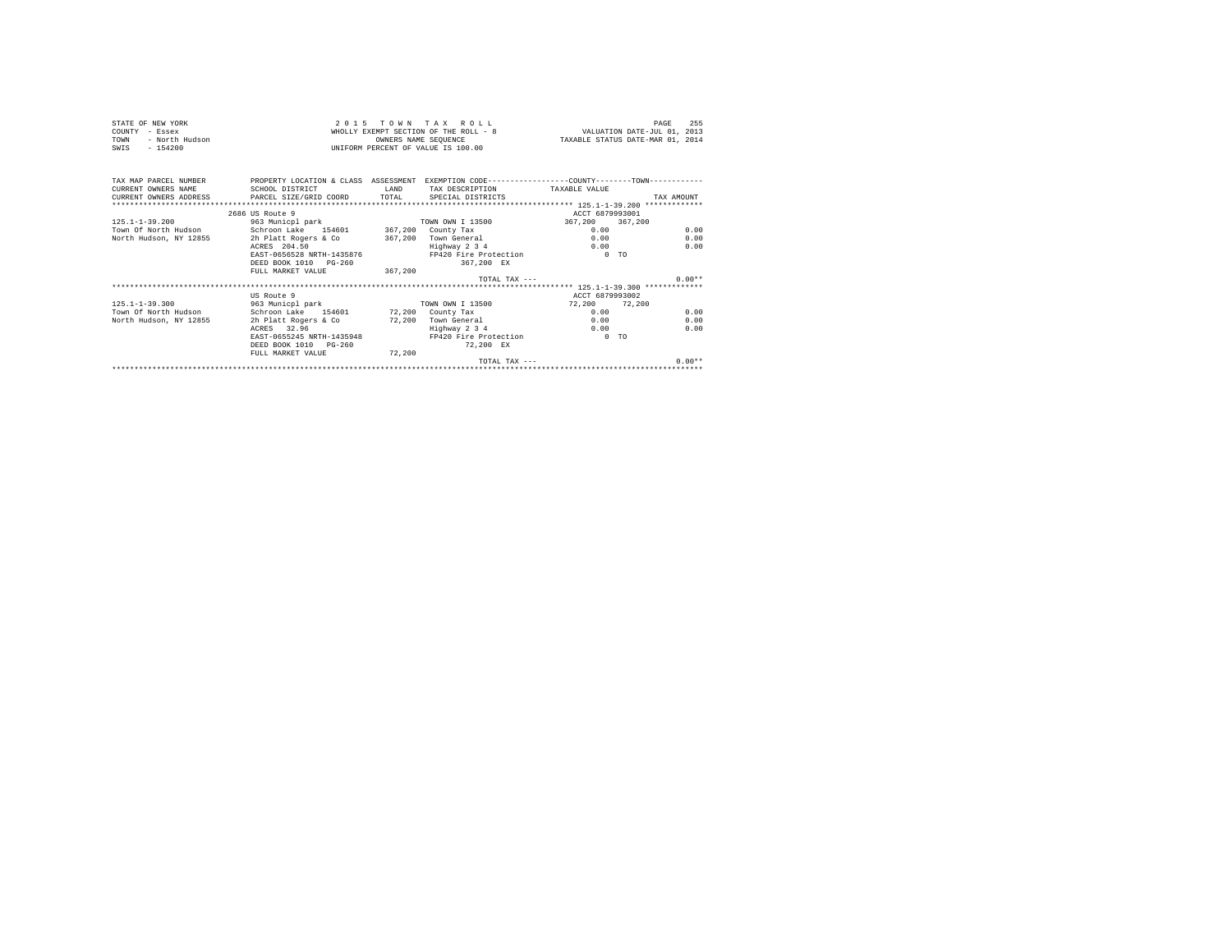| STATE OF NEW YORK<br>COUNTY - Essex<br>- North Hudson<br>TOWN<br>$-154200$<br>SWIS |                                                                                                                   | OWNERS NAME SEQUENCE | $2.0.15$ TOWN TAX ROLL<br>WHOLLY EXEMPT SECTION OF THE ROLL - 8<br>UNIFORM PERCENT OF VALUE IS 100.00 |                 | 255<br>PAGE<br>VALUATION DATE-JUL 01, 2013<br>TAXABLE STATUS DATE-MAR 01, 2014 |
|------------------------------------------------------------------------------------|-------------------------------------------------------------------------------------------------------------------|----------------------|-------------------------------------------------------------------------------------------------------|-----------------|--------------------------------------------------------------------------------|
| TAX MAP PARCEL NUMBER<br>CURRENT OWNERS NAME                                       | PROPERTY LOCATION & CLASS ASSESSMENT EXEMPTION CODE----------------COUNTY-------TOWN----------<br>SCHOOL DISTRICT | LAND                 | TAX DESCRIPTION TAXABLE VALUE                                                                         |                 |                                                                                |
|                                                                                    | CURRENT OWNERS ADDRESS PARCEL SIZE/GRID COORD TOTAL                                                               |                      | SPECIAL DISTRICTS                                                                                     |                 | TAX AMOUNT                                                                     |
|                                                                                    |                                                                                                                   |                      |                                                                                                       |                 |                                                                                |
|                                                                                    | 2686 US Route 9                                                                                                   |                      |                                                                                                       | ACCT 6879993001 |                                                                                |
| $125.1 - 1 - 39.200$                                                               |                                                                                                                   |                      | TOWN OWN I 13500                                                                                      | 367,200         | 367,200                                                                        |
|                                                                                    | 963 Municpl park<br>Town Of North Hudson Schroon Lake 154601 367,200 County Tax                                   |                      |                                                                                                       | 0.00            | 0.00                                                                           |
|                                                                                    | North Hudson, NY 12855 2h Platt Rogers & Co 367,200 Town General                                                  |                      |                                                                                                       | 0.00            | 0.00                                                                           |
|                                                                                    | ACRES 204.50                                                                                                      |                      | Highway 2 3 4                                                                                         | 0.00            | 0.00                                                                           |
|                                                                                    | EAST-0656528 NRTH-1435876                                                                                         |                      | FP420 Fire Protection                                                                                 | $0$ TO          |                                                                                |
|                                                                                    | DEED BOOK 1010 PG-260                                                                                             |                      | 367.200 EX                                                                                            |                 |                                                                                |
|                                                                                    | FULL MARKET VALUE                                                                                                 | 367,200              |                                                                                                       |                 |                                                                                |
|                                                                                    |                                                                                                                   |                      | TOTAL TAX $---$                                                                                       |                 | $0.00**$                                                                       |
|                                                                                    |                                                                                                                   |                      |                                                                                                       |                 |                                                                                |
|                                                                                    | US Route 9                                                                                                        |                      |                                                                                                       | ACCT 6879993002 |                                                                                |
| $125.1 - 1 - 39.300$                                                               | 963 Municpl park                                                                                                  |                      | TOWN OWN I 13500                                                                                      | 72.200 72.200   |                                                                                |
| Town Of North Hudson                                                               | Schroon Lake 154601 72.200 County Tax                                                                             |                      |                                                                                                       | 0.00            | 0.00                                                                           |
| North Hudson, NY 12855                                                             | 2h Platt Rogers & Co                                                                                              |                      | 72.200 Town General                                                                                   | 0.00            | 0.00                                                                           |
|                                                                                    | ACRES 32.96                                                                                                       |                      | Highway 2 3 4                                                                                         | 0.00            | 0.00                                                                           |
|                                                                                    | EAST-0655245 NRTH-1435948                                                                                         |                      | FP420 Fire Protection                                                                                 | $0$ TO          |                                                                                |
|                                                                                    | DEED BOOK 1010 PG-260                                                                                             |                      | 72.200 EX                                                                                             |                 |                                                                                |
|                                                                                    | FULL MARKET VALUE                                                                                                 | 72,200               |                                                                                                       |                 |                                                                                |
|                                                                                    |                                                                                                                   |                      | $TOTAI. TAX - - -$                                                                                    |                 | $0.00**$                                                                       |
|                                                                                    |                                                                                                                   |                      |                                                                                                       |                 |                                                                                |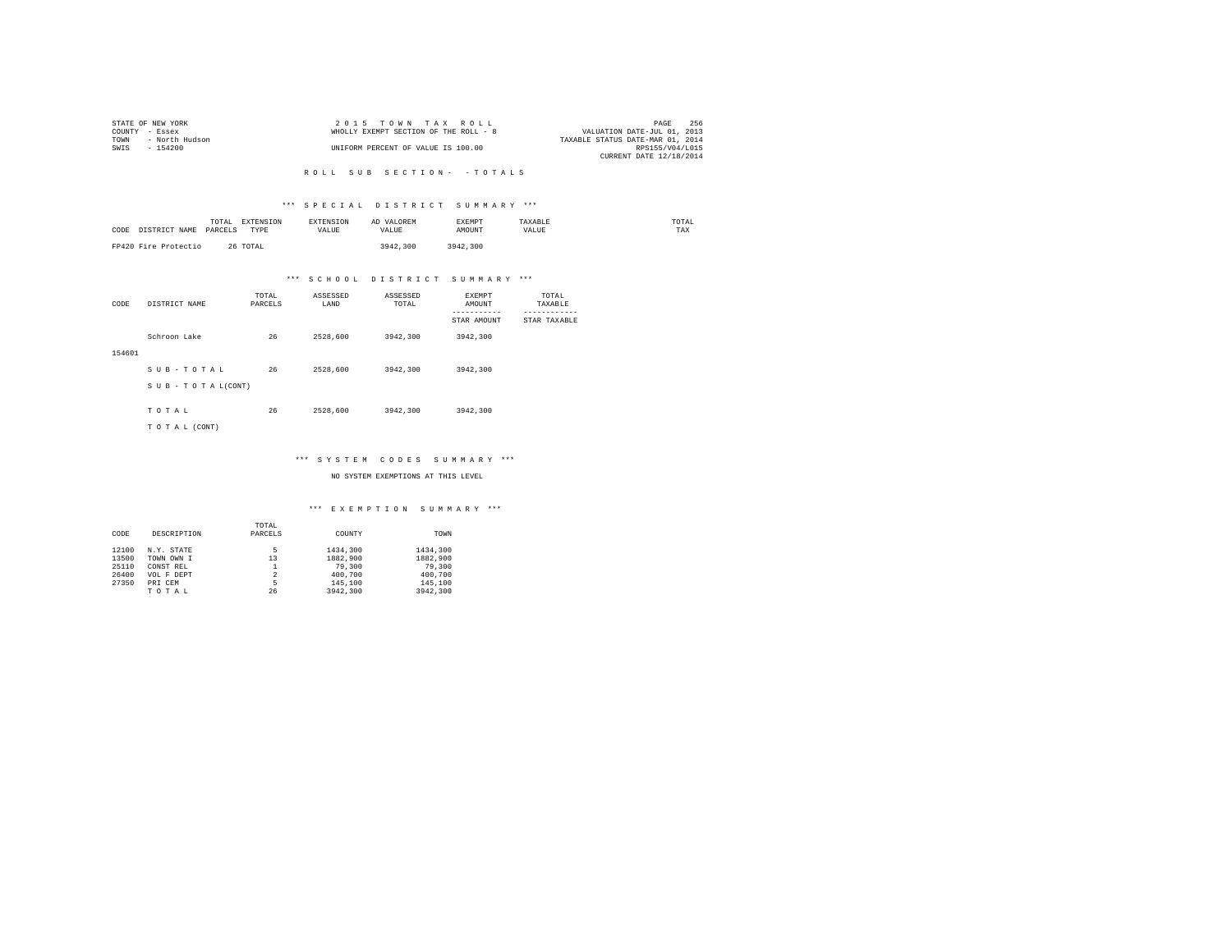|                | STATE OF NEW YORK | 2015 TOWN TAX ROLL                    |                                  | PAGE            | 256 |
|----------------|-------------------|---------------------------------------|----------------------------------|-----------------|-----|
| COUNTY - Essex |                   | WHOLLY EXEMPT SECTION OF THE ROLL - 8 | VALUATION DATE-JUL 01, 2013      |                 |     |
| TOWN           | - North Hudson    |                                       | TAXABLE STATUS DATE-MAR 01, 2014 |                 |     |
| SWIS           | - 154200          | UNIFORM PERCENT OF VALUE IS 100.00    |                                  | RPS155/V04/L015 |     |
|                |                   |                                       | CURRENT DATE 12/18/2014          |                 |     |

#### R O L L S U B S E C T I O N - - T O T A L S

#### \*\*\* S P E C I A L D I S T R I C T S U M M A R Y \*\*\*

| CODE | DISTRICT NAME        | TOTAL<br>PARCELS | EXTENSION<br><b>TYPE</b> | <b>EXTENSION</b><br>VALUE | AD VALOREM<br>VALUE | EXEMPT<br>AMOUNT | TAXABLE<br>VALUE | TOTAL<br>TAX |
|------|----------------------|------------------|--------------------------|---------------------------|---------------------|------------------|------------------|--------------|
|      | FP420 Fire Protectio |                  | 26 TOTAL                 |                           | 3942,300            | 3942.300         |                  |              |

# \*\*\* S C H O O L D I S T R I C T S U M M A R Y \*\*\*

| CODE   | DISTRICT NAME      | TOTAL<br>PARCELS | ASSESSED<br>LAND | ASSESSED<br>TOTAL | <b>EXEMPT</b><br>AMOUNT | TOTAL<br>TAXABLE          |
|--------|--------------------|------------------|------------------|-------------------|-------------------------|---------------------------|
|        |                    |                  |                  |                   | STAR AMOUNT             | ---------<br>STAR TAXABLE |
|        | Schroon Lake       | 26               | 2528,600         | 3942.300          | 3942.300                |                           |
| 154601 |                    |                  |                  |                   |                         |                           |
|        | SUB-TOTAL          | 26               | 2528,600         | 3942.300          | 3942.300                |                           |
|        | SUB - TO TAL(CONT) |                  |                  |                   |                         |                           |
|        | TOTAL              | 26               | 2528,600         | 3942,300          | 3942,300                |                           |
|        | TO TAL (CONT)      |                  |                  |                   |                         |                           |

#### \*\*\* S Y S T E M C O D E S S U M M A R Y \*\*\*

NO SYSTEM EXEMPTIONS AT THIS LEVEL

|       |             | TOTAL          |          |          |
|-------|-------------|----------------|----------|----------|
| CODE  | DESCRIPTION | PARCELS        | COUNTY   | TOWN     |
| 12100 | N.Y. STATE  | 5              | 1434,300 | 1434,300 |
| 13500 | TOWN OWN I  | 13             | 1882,900 | 1882,900 |
| 25110 | CONST REL   |                | 79,300   | 79,300   |
| 26400 | VOL F DEPT  | $\overline{a}$ | 400,700  | 400.700  |
| 27350 | PRI CEM     | 5              | 145,100  | 145,100  |
|       | TOTAL       | 26             | 3942.300 | 3942.300 |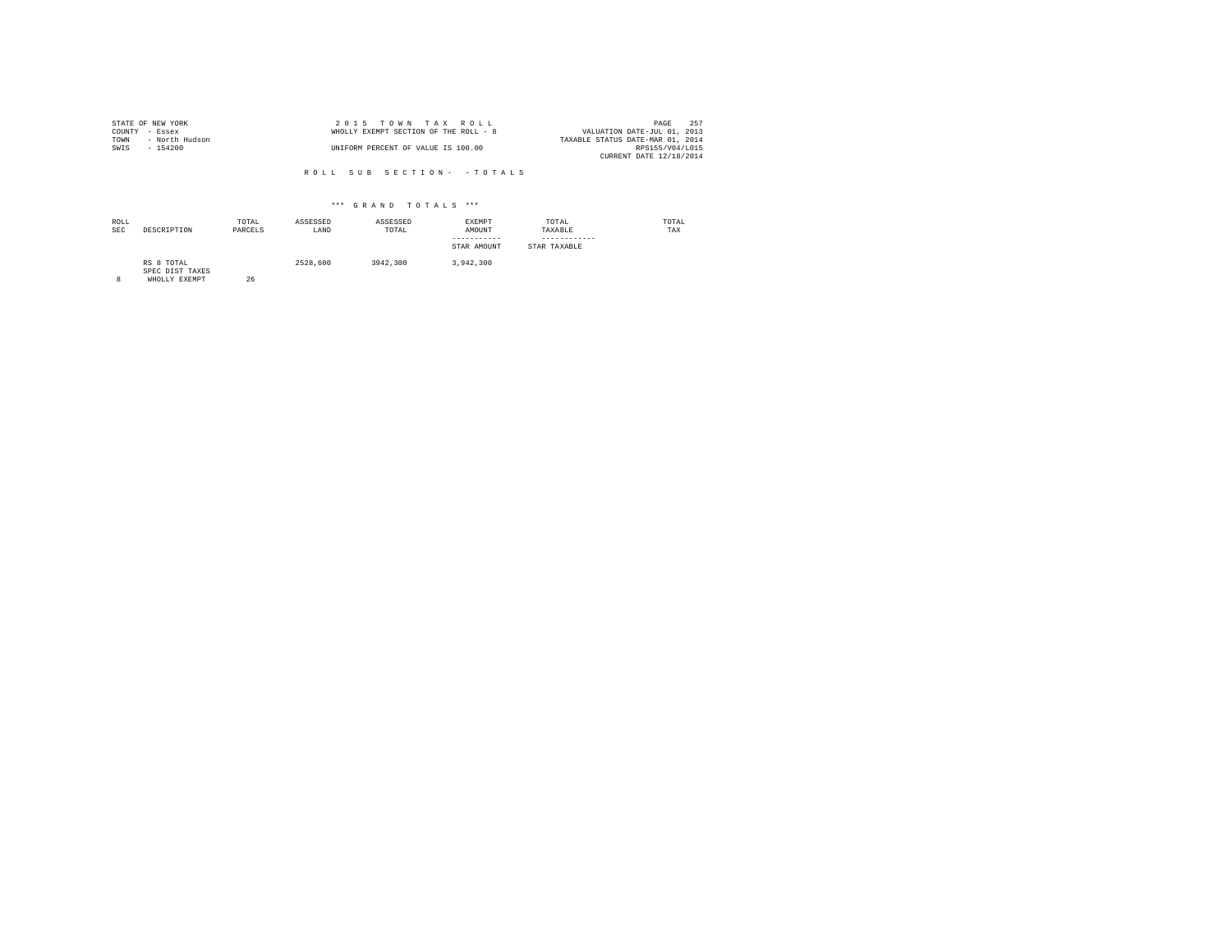|                | STATE OF NEW YORK | 2015 TOWN TAX ROLL                    | PAGE                        | 252 |
|----------------|-------------------|---------------------------------------|-----------------------------|-----|
| COUNTY - Essex |                   | WHOLLY EXEMPT SECTION OF THE ROLL - 8 | VALUATION DATE-JUL 01, 2013 |     |
| TOWN           | - North Hudson    | TAXABLE STATUS DATE-MAR 01, 2014      |                             |     |
| SWIS           | $-154200$         | UNIFORM PERCENT OF VALUE IS 100.00    | RPS155/V04/L015             |     |
|                |                   |                                       | CURRENT DATE 12/18/2014     |     |

R O L L S U B S E C T I O N - - T O T A L S

#### \*\*\* G R A N D T O T A L S \*\*\*

| ROLL<br><b>SEC</b> | DESCRIPTION                                    | TOTAL<br>PARCELS | ASSESSED<br>LAND | ASSESSED<br>TOTAL | EXEMPT<br>AMOUNT<br>-----------<br>STAR AMOUNT | TOTAL<br>TAXABLE<br>------------<br>STAR TAXABLE | TOTAL<br>TAX |
|--------------------|------------------------------------------------|------------------|------------------|-------------------|------------------------------------------------|--------------------------------------------------|--------------|
| 8                  | RS 8 TOTAL<br>SPEC DIST TAXES<br>WHOLLY EXEMPT | 26               | 2528,600         | 3942,300          | 3.942.300                                      |                                                  |              |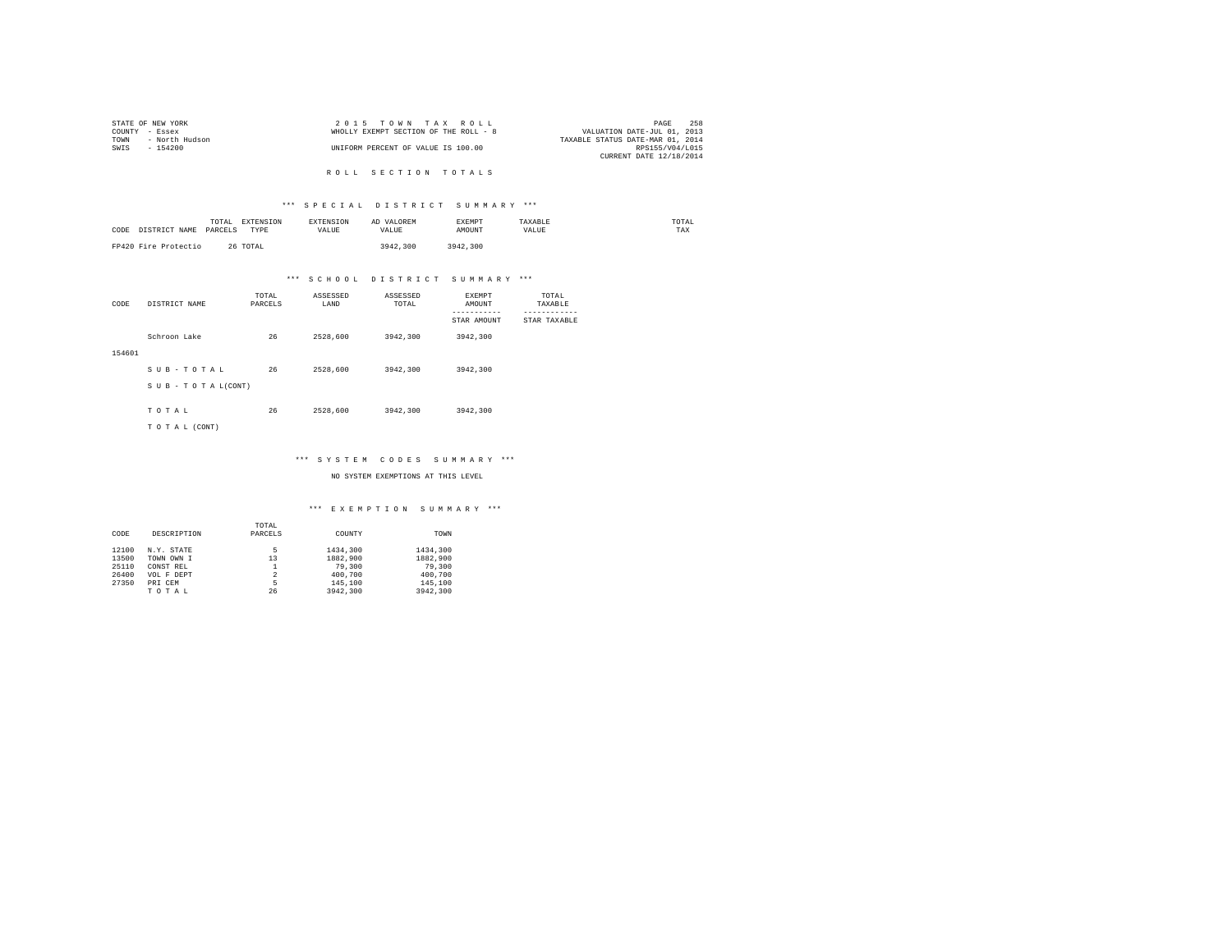|                | STATE OF NEW YORK | $2.0.15$ TOWN TAX ROLL                |                                  | PAGE            | 258 |
|----------------|-------------------|---------------------------------------|----------------------------------|-----------------|-----|
| COUNTY - Essex |                   | WHOLLY EXEMPT SECTION OF THE ROLL - 8 | VALUATION DATE-JUL 01, 2013      |                 |     |
| TOWN           | - North Hudson    |                                       | TAXABLE STATUS DATE-MAR 01, 2014 |                 |     |
| SWTS           | - 154200          | UNIFORM PERCENT OF VALUE IS 100.00    |                                  | RPS155/V04/L015 |     |
|                |                   |                                       | CURRENT DATE 12/18/2014          |                 |     |

R O L L S E C T I O N T O T A L S

#### \*\*\* S P E C I A L D I S T R I C T S U M M A R Y \*\*\*

| CODE<br>DISTRICT NAME | TOTAL<br>EXTENSION<br>PARCELS<br>TYPE | <b>EXTENSION</b><br>VALUE | AD VALOREM<br>VALUE | EXEMPT<br>AMOUNT | TAXARLE<br>VALUE | TOTAL<br>TAX |
|-----------------------|---------------------------------------|---------------------------|---------------------|------------------|------------------|--------------|
| FP420 Fire Protectio  | 26 TOTAL                              |                           | 3942.300            | 3942,300         |                  |              |

# \*\*\* S C H O O L D I S T R I C T S U M M A R Y \*\*\*

| CODE   | DISTRICT NAME   | TOTAL<br>PARCELS | ASSESSED<br>LAND | ASSESSED<br>TOTAL | <b>EXEMPT</b><br>AMOUNT | TOTAL<br>TAXABLE |
|--------|-----------------|------------------|------------------|-------------------|-------------------------|------------------|
|        |                 |                  |                  |                   | STAR AMOUNT             | STAR TAXABLE     |
|        | Schroon Lake    | 26               | 2528,600         | 3942,300          | 3942,300                |                  |
| 154601 |                 |                  |                  |                   |                         |                  |
|        | SUB-TOTAL       | 26               | 2528,600         | 3942,300          | 3942.300                |                  |
|        | SUB-TOTAL(CONT) |                  |                  |                   |                         |                  |
|        | TOTAL           | 26               | 2528,600         | 3942,300          | 3942.300                |                  |
|        | TO TAL (CONT)   |                  |                  |                   |                         |                  |

#### \*\*\* S Y S T E M C O D E S S U M M A R Y \*\*\*

NO SYSTEM EXEMPTIONS AT THIS LEVEL

|       |             | TOTAL          |          |          |
|-------|-------------|----------------|----------|----------|
| CODE  | DESCRIPTION | PARCELS        | COUNTY   | TOWN     |
| 12100 | N.Y. STATE  | 5              | 1434,300 | 1434,300 |
| 13500 | TOWN OWN I  | 13             | 1882,900 | 1882,900 |
| 25110 | CONST REL   |                | 79,300   | 79,300   |
| 26400 | VOL F DEPT  | $\overline{a}$ | 400,700  | 400.700  |
| 27350 | PRI CEM     | 5              | 145,100  | 145,100  |
|       | TOTAL       | 26             | 3942.300 | 3942.300 |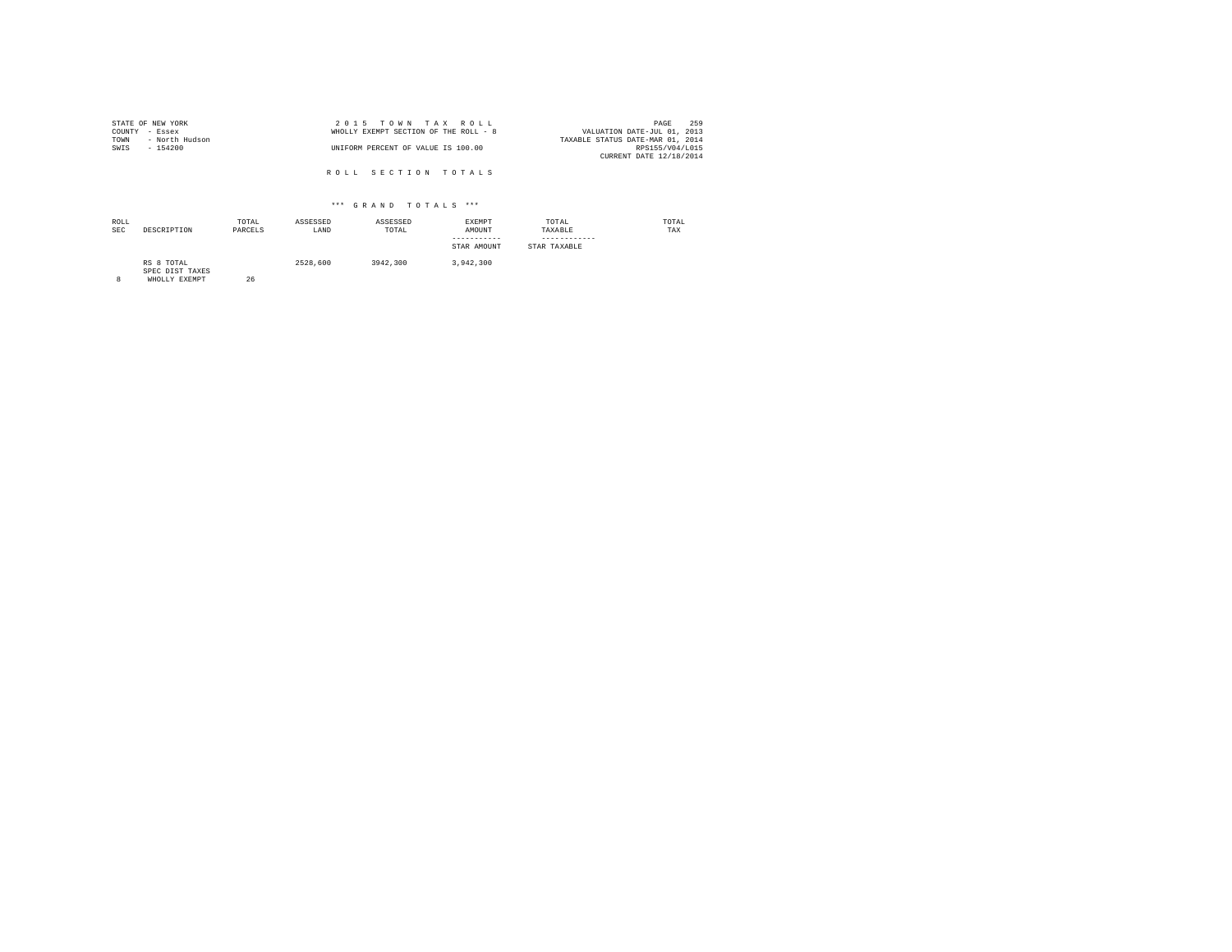|                | STATE OF NEW YORK | 2015 TOWN TAX ROLL                                                   | PAGE            | 259 |
|----------------|-------------------|----------------------------------------------------------------------|-----------------|-----|
| COUNTY - Essex |                   | VALUATION DATE-JUL 01, 2013<br>WHOLLY EXEMPT SECTION OF THE ROLL - 8 |                 |     |
| TOWN           | - North Hudson    | TAXABLE STATUS DATE-MAR 01, 2014                                     |                 |     |
| SWTS           | - 154200          | UNIFORM PERCENT OF VALUE IS 100.00                                   | RPS155/V04/L015 |     |
|                |                   | CURRENT DATE 12/18/2014                                              |                 |     |
|                |                   |                                                                      |                 |     |

R O L L S E C T I O N T O T A L S

#### \*\*\* G R A N D T O T A L S \*\*\*

| ROLL<br><b>SEC</b> | DESCRIPTION                   | TOTAL<br>PARCELS | ASSESSED<br>LAND | ASSESSED<br>TOTAL | EXEMPT<br>AMOUNT<br>-----------<br>STAR AMOUNT | TOTAL<br>TAXABLE<br>STAR TAXABLE | TOTAL<br>TAX |
|--------------------|-------------------------------|------------------|------------------|-------------------|------------------------------------------------|----------------------------------|--------------|
|                    | RS 8 TOTAL<br>SPEC DIST TAXES |                  | 2528,600         | 3942,300          | 3.942.300                                      |                                  |              |

SPEC DIST TAXES 8 WHOLLY EXEMPT 26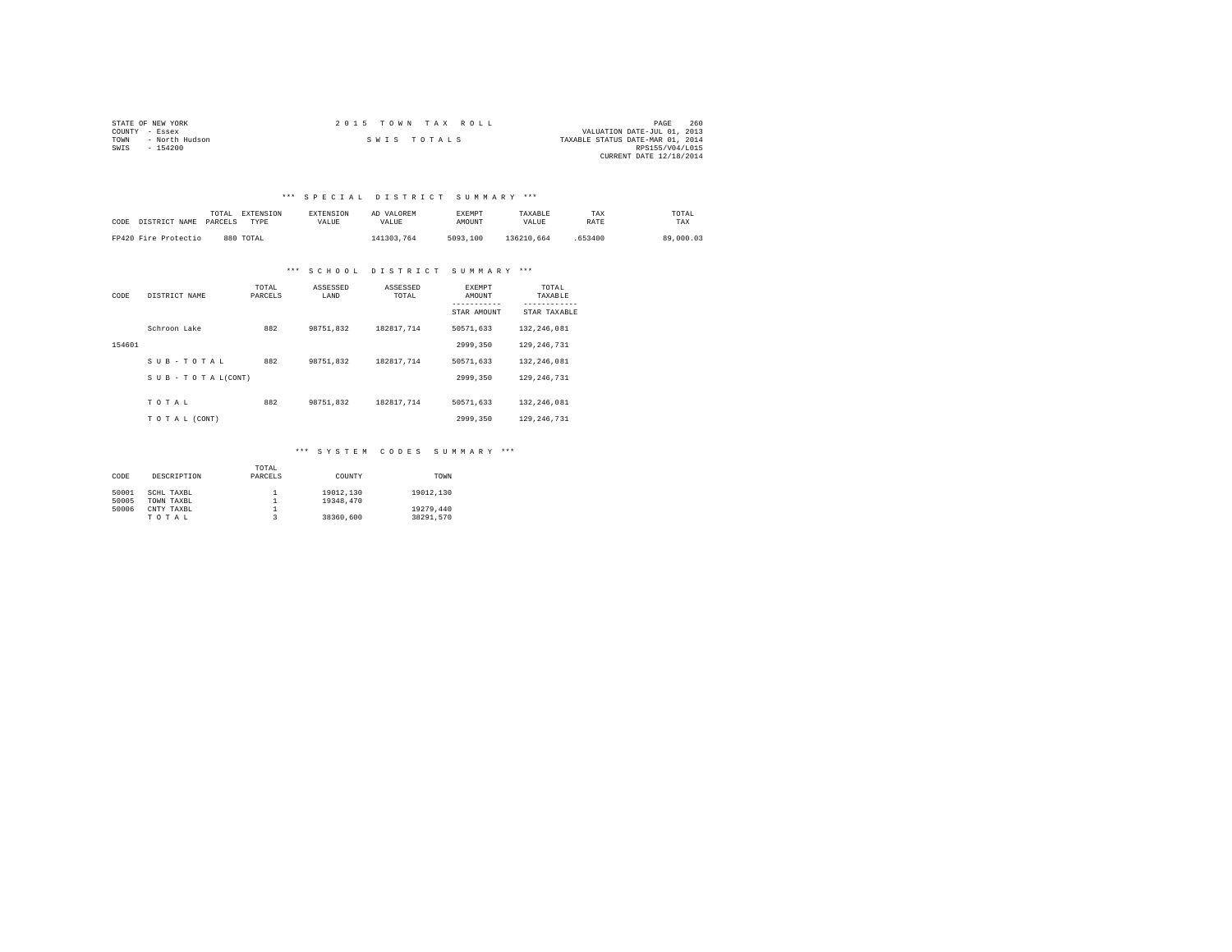|                | STATE OF NEW YORK | 2015 TOWN TAX ROLL |             |  |  |  |                                  | PAGE                    | 260 |
|----------------|-------------------|--------------------|-------------|--|--|--|----------------------------------|-------------------------|-----|
| COUNTY - Essex |                   |                    |             |  |  |  | VALUATION DATE-JUL 01, 2013      |                         |     |
| TOWN           | - North Hudson    |                    | SWIS TOTALS |  |  |  | TAXABLE STATUS DATE-MAR 01, 2014 |                         |     |
| SWIS           | $-154200$         |                    |             |  |  |  |                                  | RPS155/V04/L015         |     |
|                |                   |                    |             |  |  |  |                                  | CURRENT DATE 12/18/2014 |     |

## \*\*\* S P E C I A L D I S T R I C T S U M M A R Y \*\*\*

| CODE DISTRICT NAME   | TOTAL<br>PARCELS | <b>EXTENSION</b><br>TYPE | <b>EXTENSION</b><br>VALUE | AD VALOREM<br>VALUE | <b>EXEMPT</b><br>AMOUNT | TAXARLE<br>VALUE | TAX<br>RATE | TOTAL<br>TAX |
|----------------------|------------------|--------------------------|---------------------------|---------------------|-------------------------|------------------|-------------|--------------|
| FP420 Fire Protectio |                  | 880 TOTAL                |                           | 141303.764          | 5093,100                | 136210.664       | 653400      | 89,000.03    |

#### \*\*\* S C H O O L D I S T R I C T S U M M A R Y \*\*\*

| CODE   | DISTRICT NAME   | TOTAL<br>PARCELS | ASSESSED<br>LAND | ASSESSED<br>TOTAL | <b>EXEMPT</b><br>AMOUNT | TOTAL<br>TAXABLE<br>--------- |
|--------|-----------------|------------------|------------------|-------------------|-------------------------|-------------------------------|
|        |                 |                  |                  |                   | STAR AMOUNT             | STAR TAXABLE                  |
|        | Schroon Lake    | 882              | 98751.832        | 182817.714        | 50571.633               | 132,246.081                   |
| 154601 |                 |                  |                  |                   | 2999,350                | 129, 246, 731                 |
|        | SUB-TOTAL       | 882              | 98751.832        | 182817.714        | 50571.633               | 132.246.081                   |
|        | SUB-TOTAL(CONT) |                  |                  |                   | 2999,350                | 129, 246, 731                 |
|        | TOTAL           | 882              | 98751.832        | 182817.714        | 50571.633               | 132,246.081                   |
|        | TO TAL (CONT)   |                  |                  |                   | 2999,350                | 129, 246, 731                 |

# \*\*\* S Y S T E M C O D E S S U M M A R Y \*\*\*

|       |             | TOTAL   |           |           |
|-------|-------------|---------|-----------|-----------|
| CODE  | DESCRIPTION | PARCELS | COUNTY    | TOWN      |
|       |             |         |           |           |
| 50001 | SCHL TAXBL  |         | 19012,130 | 19012.130 |
| 50005 | TOWN TAXBL  |         | 19348,470 |           |
| 50006 | CNTY TAXBL  |         |           | 19279.440 |
|       | TOTAL       |         | 38360,600 | 38291.570 |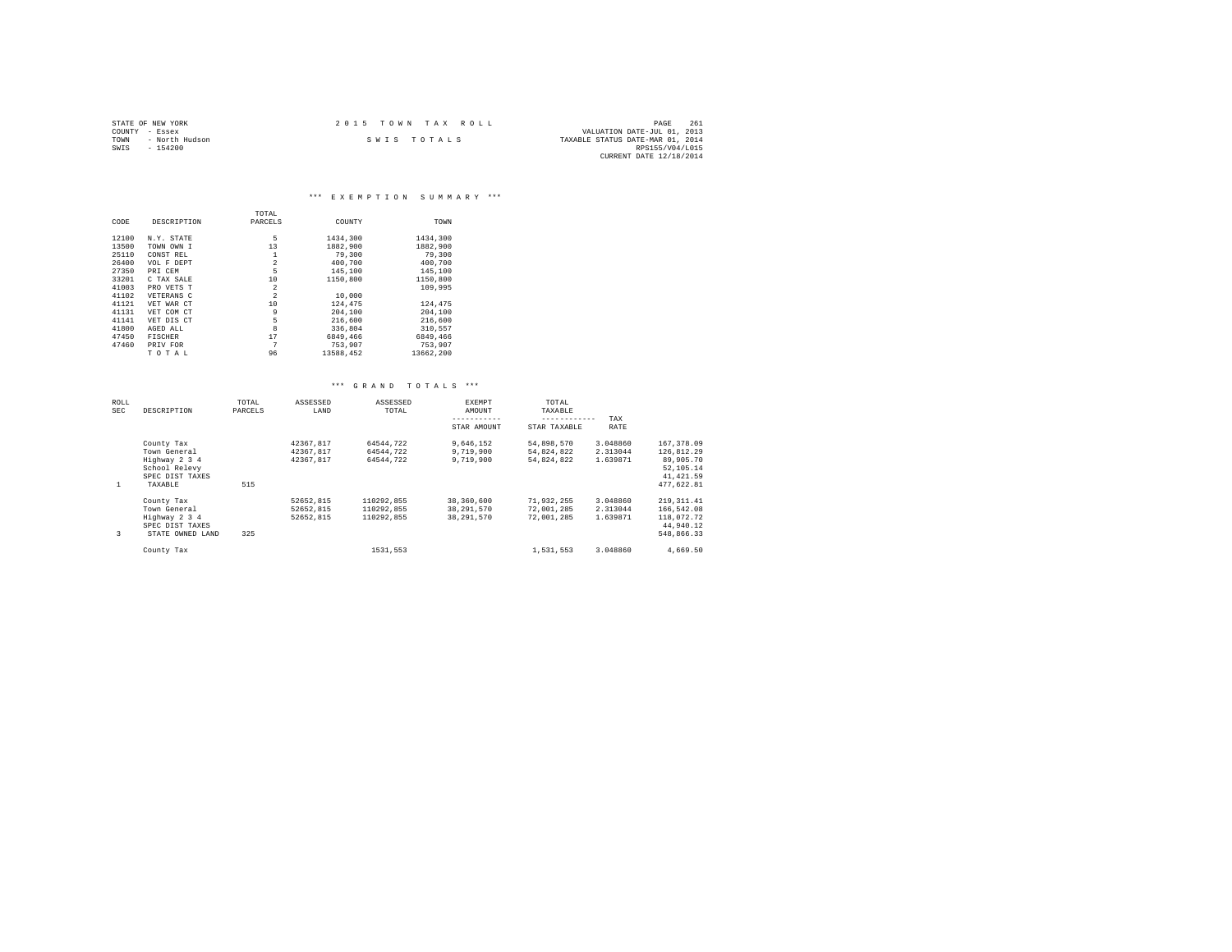|                | STATE OF NEW YORK | $2.0.15$ TOWN TAX ROLL |             |                                  | PAGE                        | 261 |
|----------------|-------------------|------------------------|-------------|----------------------------------|-----------------------------|-----|
| COUNTY - Essex |                   |                        |             |                                  | VALUATION DATE-JUL 01, 2013 |     |
| TOWN           | - North Hudson    |                        | SWIS TOTALS | TAXABLE STATUS DATE-MAR 01, 2014 |                             |     |
| SWIS           | $-154200$         |                        |             |                                  | RPS155/V04/L015             |     |
|                |                   |                        |             |                                  | CURRENT DATE 12/18/2014     |     |

|       |                | TOTAL          |           |           |
|-------|----------------|----------------|-----------|-----------|
| CODE  | DESCRIPTION    | PARCELS        | COUNTY    | TOWN      |
| 12100 | N.Y. STATE     | 5              | 1434,300  | 1434,300  |
| 13500 | TOWN OWN I     | 13             | 1882,900  | 1882,900  |
| 25110 | CONST REL      | 1              | 79,300    | 79,300    |
| 26400 | VOL F DEPT     | $\overline{2}$ | 400.700   | 400.700   |
| 27350 | PRI CEM        | 5              | 145,100   | 145,100   |
| 33201 | C TAX SALE     | 10             | 1150,800  | 1150,800  |
| 41003 | PRO VETS T     | $\overline{2}$ |           | 109,995   |
| 41102 | VETERANS C     | $\overline{2}$ | 10,000    |           |
| 41121 | VET WAR CT     | 10             | 124,475   | 124,475   |
| 41131 | VET COM CT     | 9              | 204,100   | 204,100   |
| 41141 | VET DIS CT     | 5              | 216,600   | 216,600   |
| 41800 | AGED ALL       | 8              | 336,804   | 310.557   |
| 47450 | <b>FISCHER</b> | 17             | 6849.466  | 6849.466  |
| 47460 | PRIV FOR       | 7              | 753,907   | 753.907   |
|       | TOTAL          | 96             | 13588,452 | 13662.200 |

|  | *** GRAND TOTALS *** |  |  |  |  |  |  |  |  |  |  |  |  |
|--|----------------------|--|--|--|--|--|--|--|--|--|--|--|--|
|--|----------------------|--|--|--|--|--|--|--|--|--|--|--|--|

| ROLL<br>SEC | DESCRIPTION      | TOTAL<br>PARCELS | ASSESSED<br>LAND | ASSESSED<br>TOTAL | <b>EXEMPT</b><br>AMOUNT | TOTAL<br>TAXABLE |             |             |
|-------------|------------------|------------------|------------------|-------------------|-------------------------|------------------|-------------|-------------|
|             |                  |                  |                  |                   | -----------             | ------------     | TAX         |             |
|             |                  |                  |                  |                   | STAR AMOUNT             | STAR TAXABLE     | <b>RATE</b> |             |
|             | County Tax       |                  | 42367.817        | 64544.722         | 9.646.152               | 54,898,570       | 3.048860    | 167,378.09  |
|             | Town General     |                  | 42367.817        | 64544.722         | 9,719,900               | 54.824.822       | 2.313044    | 126.812.29  |
|             | Highway 2 3 4    |                  | 42367.817        | 64544.722         | 9,719,900               | 54.824.822       | 1.639871    | 89,905,70   |
|             | School Relevy    |                  |                  |                   |                         |                  |             | 52,105.14   |
|             | SPEC DIST TAXES  |                  |                  |                   |                         |                  |             | 41, 421.59  |
| 1           | TAXABLE          | 515              |                  |                   |                         |                  |             | 477.622.81  |
|             | County Tax       |                  | 52652.815        | 110292.855        | 38,360,600              | 71.932.255       | 3.048860    | 219, 311.41 |
|             | Town General     |                  | 52652.815        | 110292.855        | 38,291,570              | 72.001.285       | 2.313044    | 166,542.08  |
|             | Highway 2 3 4    |                  | 52652.815        | 110292.855        | 38,291,570              | 72.001.285       | 1.639871    | 118,072.72  |
|             | SPEC DIST TAXES  |                  |                  |                   |                         |                  |             | 44,940.12   |
| 3           | STATE OWNED LAND | 325              |                  |                   |                         |                  |             | 548,866.33  |
|             | County Tax       |                  |                  | 1531.553          |                         | 1.531.553        | 3.048860    | 4.669.50    |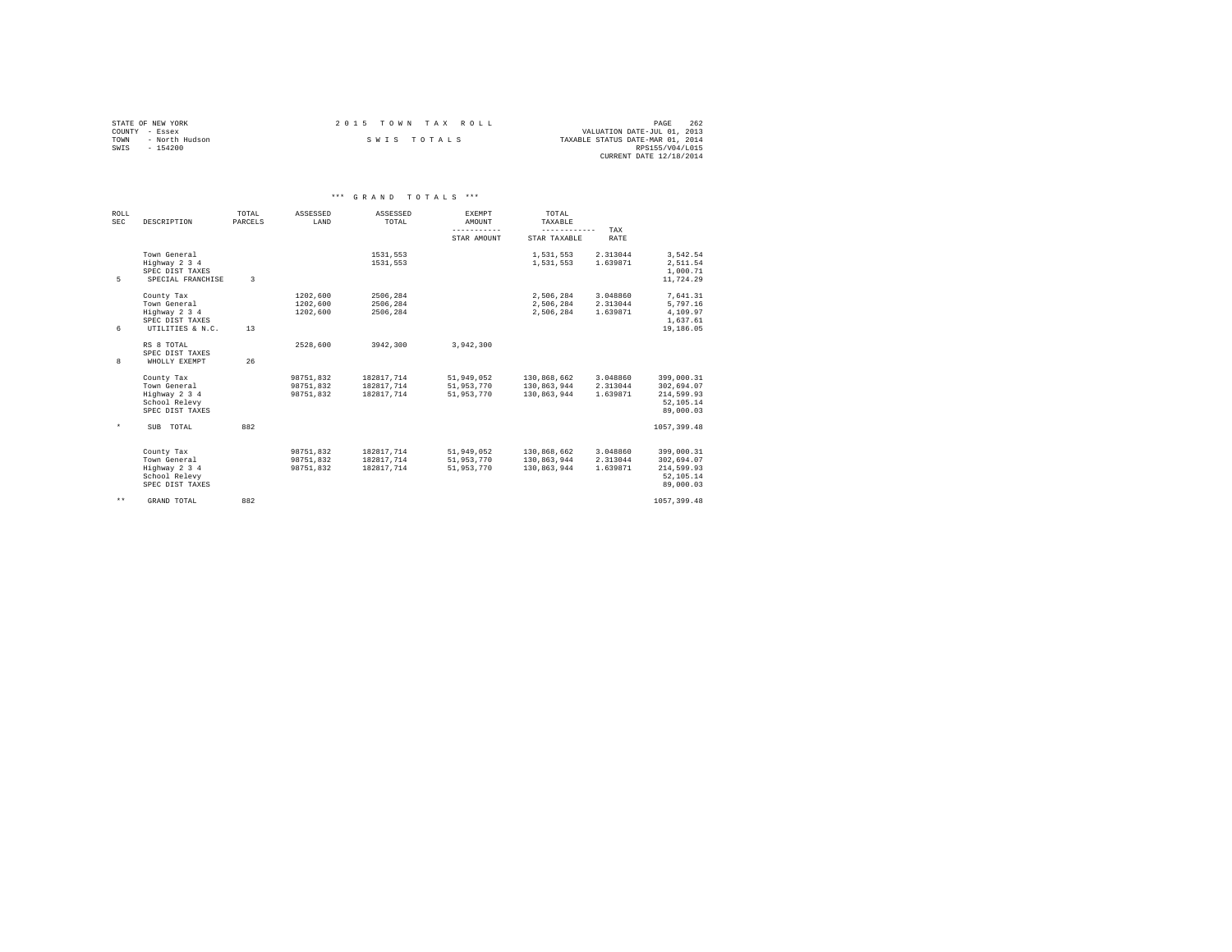|                | STATE OF NEW YORK | 2015 TOWN TAX ROLL |  |                                  | PAGE                    | 262 |
|----------------|-------------------|--------------------|--|----------------------------------|-------------------------|-----|
| COUNTY - Essex |                   |                    |  | VALUATION DATE-JUL 01, 2013      |                         |     |
| TOWN           | - North Hudson    | SWIS TOTALS        |  | TAXABLE STATUS DATE-MAR 01, 2014 |                         |     |
| SWTS           | $-154200$         |                    |  |                                  | RPS155/V04/L015         |     |
|                |                   |                    |  |                                  | CURRENT DATE 12/18/2014 |     |

|                    |                                                                                    |                  |                                     | *** GRAND TOTALS ***                   |                                        |                                           |                                  |                                                                  |
|--------------------|------------------------------------------------------------------------------------|------------------|-------------------------------------|----------------------------------------|----------------------------------------|-------------------------------------------|----------------------------------|------------------------------------------------------------------|
| ROLL<br><b>SEC</b> | DESCRIPTION                                                                        | TOTAL<br>PARCELS | ASSESSED<br>LAND                    | ASSESSED<br>TOTAL                      | EXEMPT<br>AMOUNT<br>-----------        | TOTAL<br>TAXABLE<br>------------          |                                  |                                                                  |
|                    |                                                                                    |                  |                                     |                                        | STAR AMOUNT                            | STAR TAXABLE                              | TAX<br>RATE                      |                                                                  |
| 5                  | Town General<br>Highway 2 3 4<br>SPEC DIST TAXES<br>SPECIAL FRANCHISE              | $\mathbf{R}$     |                                     | 1531.553<br>1531.553                   |                                        | 1.531.553<br>1.531.553                    | 2.313044<br>1.639871             | 3.542.54<br>2.511.54<br>1,000.71<br>11,724.29                    |
| 6                  | County Tax<br>Town General<br>Highway 2 3 4<br>SPEC DIST TAXES<br>UTILITIES & N.C. | 13               | 1202,600<br>1202,600<br>1202.600    | 2506,284<br>2506,284<br>2506.284       |                                        | 2,506,284<br>2,506,284<br>2.506.284       | 3.048860<br>2.313044<br>1.639871 | 7,641.31<br>5,797.16<br>4,109.97<br>1,637.61<br>19,186.05        |
| 8                  | RS 8 TOTAL<br>SPEC DIST TAXES<br>WHOLLY EXEMPT                                     | 26               | 2528,600                            | 3942.300                               | 3.942.300                              |                                           |                                  |                                                                  |
|                    | County Tax<br>Town General<br>Highway 2 3 4<br>School Relevy<br>SPEC DIST TAXES    |                  | 98751.832<br>98751.832<br>98751.832 | 182817.714<br>182817.714<br>182817.714 | 51,949,052<br>51,953,770<br>51,953,770 | 130,868,662<br>130.863.944<br>130,863,944 | 3.048860<br>2.313044<br>1.639871 | 399,000.31<br>302,694.07<br>214,599.93<br>52,105.14<br>89,000.03 |
| $\star$            | SUB TOTAL                                                                          | 882              |                                     |                                        |                                        |                                           |                                  | 1057, 399, 48                                                    |
|                    | County Tax<br>Town General<br>Highway 2 3 4<br>School Relevy<br>SPEC DIST TAXES    |                  | 98751,832<br>98751,832<br>98751.832 | 182817,714<br>182817,714<br>182817.714 | 51,949,052<br>51,953,770<br>51,953,770 | 130,868,662<br>130,863,944<br>130.863.944 | 3.048860<br>2.313044<br>1.639871 | 399,000.31<br>302,694.07<br>214,599.93<br>52,105.14<br>89,000.03 |
| $* *$              | GRAND TOTAL                                                                        | 882              |                                     |                                        |                                        |                                           |                                  | 1057, 399, 48                                                    |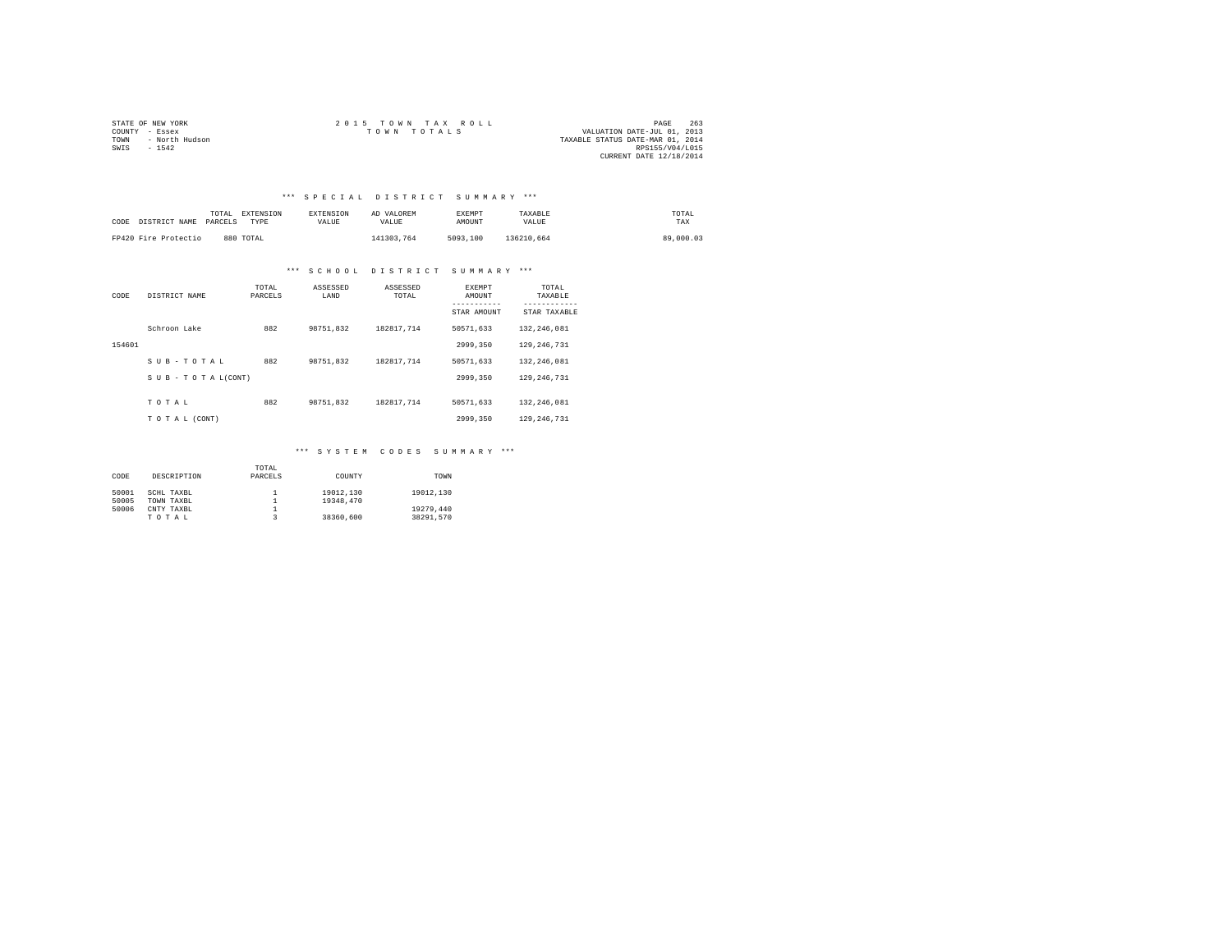|                | STATE OF NEW YORK | 2015 TOWN TAX ROLL                         | PAGE                    | 263 |
|----------------|-------------------|--------------------------------------------|-------------------------|-----|
| COUNTY - Essex |                   | VALUATION DATE-JUL 01, 2013<br>TOWN TOTALS |                         |     |
| TOWN           | - North Hudson    | TAXABLE STATUS DATE-MAR 01, 2014           |                         |     |
| SWTS           | $-1542$           |                                            | RPS155/V04/L015         |     |
|                |                   |                                            | CURRENT DATE 12/18/2014 |     |

## \*\*\* S P E C I A L D I S T R I C T S U M M A R Y \*\*\*

| CODE DISTRICT NAME PARCELS | TOTAL | EXTENSION<br>TYPE | <b>EXTENSION</b><br>VALUE | AD VALOREM<br>VALUE | <b>EXEMPT</b><br>AMOUNT | TAXABLE<br>VALUE | TOTAL<br>TAX |
|----------------------------|-------|-------------------|---------------------------|---------------------|-------------------------|------------------|--------------|
| FP420 Fire Protectio       |       | 880 TOTAL         |                           | 141303.764          | 5093,100                | 136210.664       | 89,000.03    |

#### \*\*\* S C H O O L D I S T R I C T S U M M A R Y \*\*\*

| CODE   | DISTRICT NAME   | TOTAL<br>PARCELS | ASSESSED<br>LAND | ASSESSED<br>TOTAL | <b>EXEMPT</b><br>AMOUNT<br>STAR AMOUNT | TOTAL<br>TAXABLE<br>---------<br>STAR TAXABLE |
|--------|-----------------|------------------|------------------|-------------------|----------------------------------------|-----------------------------------------------|
|        | Schroon Lake    | 882              | 98751.832        | 182817.714        | 50571.633                              | 132, 246, 081                                 |
| 154601 |                 |                  |                  |                   | 2999.350                               | 129, 246, 731                                 |
|        | SUB-TOTAL       | 882              | 98751.832        | 182817.714        | 50571.633                              | 132, 246, 081                                 |
|        | SUB-TOTAL(CONT) |                  |                  |                   | 2999.350                               | 129, 246, 731                                 |
|        | TOTAL           | 882              | 98751.832        | 182817.714        | 50571.633                              | 132, 246, 081                                 |
|        | TO TAL (CONT)   |                  |                  |                   | 2999.350                               | 129, 246, 731                                 |

# \*\*\* S Y S T E M C O D E S S U M M A R Y \*\*\*

|       |             | TOTAL   |           |           |
|-------|-------------|---------|-----------|-----------|
| CODE  | DESCRIPTION | PARCELS | COUNTY    | TOWN      |
|       |             |         |           |           |
| 50001 | SCHL TAXBL  |         | 19012.130 | 19012.130 |
| 50005 | TOWN TAXBL  |         | 19348.470 |           |
| 50006 | CNTY TAXBL  |         |           | 19279,440 |
|       | TOTAL       |         | 38360,600 | 38291.570 |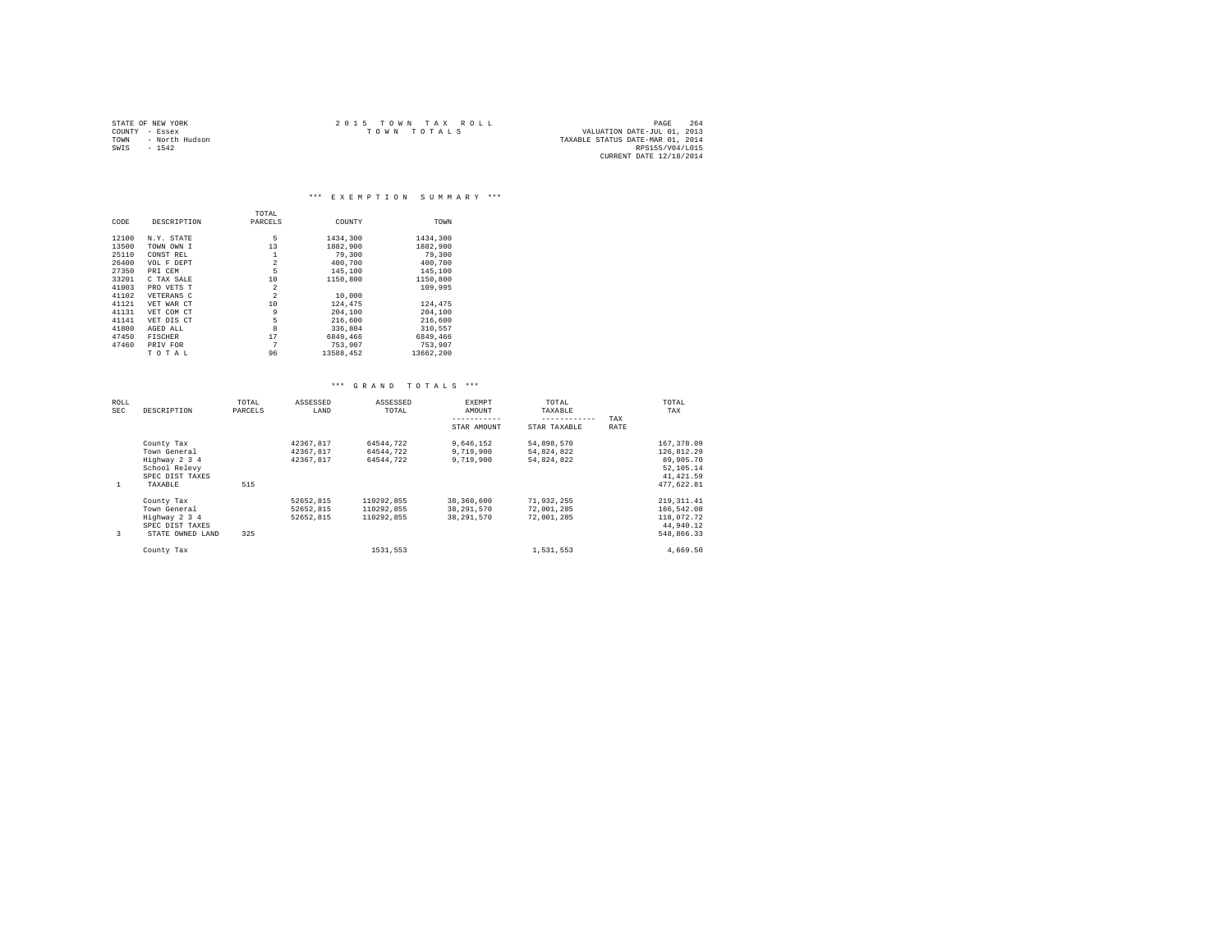|                | STATE OF NEW YORK | $2.0.15$ TOWN TAX ROLL | PAGE                             | 264 |
|----------------|-------------------|------------------------|----------------------------------|-----|
| COUNTY - Essex |                   | TOWN TOTALS            | VALUATION DATE-JUL 01, 2013      |     |
| TOWN           | - North Hudson    |                        | TAXABLE STATUS DATE-MAR 01, 2014 |     |
| SWIS           | $-1542$           |                        | RPS155/V04/L015                  |     |
|                |                   |                        | CURRENT DATE 12/18/2014          |     |

|       |                | TOTAL          |           |           |
|-------|----------------|----------------|-----------|-----------|
| CODE  | DESCRIPTION    | PARCELS        | COUNTY    | TOWN      |
| 12100 | N.Y. STATE     | 5              | 1434,300  | 1434,300  |
| 13500 | TOWN OWN I     | 13             | 1882,900  | 1882,900  |
| 25110 | CONST REL      | 1              | 79,300    | 79,300    |
| 26400 | VOL F DEPT     | $\overline{a}$ | 400.700   | 400.700   |
| 27350 | PRI CEM        | 5              | 145,100   | 145,100   |
| 33201 | C TAX SALE     | 10             | 1150,800  | 1150,800  |
| 41003 | PRO VETS T     | $\overline{a}$ |           | 109,995   |
| 41102 | VETERANS C     | $\overline{a}$ | 10,000    |           |
| 41121 | VET WAR CT     | 10             | 124,475   | 124,475   |
| 41131 | VET COM CT     | 9              | 204,100   | 204,100   |
| 41141 | VET DIS CT     | 5              | 216,600   | 216,600   |
| 41800 | AGED ALL       | 8              | 336.804   | 310.557   |
| 47450 | <b>FISCHER</b> | 17             | 6849,466  | 6849.466  |
| 47460 | PRIV FOR       | 7              | 753,907   | 753.907   |
|       | TOTAL          | 96             | 13588.452 | 13662.200 |

|  | *** GRAND TOTALS *** |  |  |  |  |  |  |  |  |  |  |  |  |
|--|----------------------|--|--|--|--|--|--|--|--|--|--|--|--|
|--|----------------------|--|--|--|--|--|--|--|--|--|--|--|--|

| ROLL<br>SEC | DESCRIPTION      | TOTAL<br>PARCELS | ASSESSED<br>LAND | ASSESSED<br>TOTAL | EXEMPT<br>AMOUNT | TOTAL<br>TAXABLE |      | TOTAL<br>TAX |
|-------------|------------------|------------------|------------------|-------------------|------------------|------------------|------|--------------|
|             |                  |                  |                  |                   |                  | ------------     | TAX  |              |
|             |                  |                  |                  |                   | STAR AMOUNT      | STAR TAXABLE     | RATE |              |
|             | County Tax       |                  | 42367.817        | 64544.722         | 9.646.152        | 54,898,570       |      | 167, 378, 09 |
|             | Town General     |                  | 42367.817        | 64544.722         | 9,719,900        | 54.824.822       |      | 126,812.29   |
|             | Highway 2 3 4    |                  | 42367.817        | 64544.722         | 9,719,900        | 54.824.822       |      | 89,905.70    |
|             | School Relevy    |                  |                  |                   |                  |                  |      | 52, 105, 14  |
|             | SPEC DIST TAXES  |                  |                  |                   |                  |                  |      | 41, 421, 59  |
| -1          | TAXABLE          | 515              |                  |                   |                  |                  |      | 477,622.81   |
|             | County Tax       |                  | 52652.815        | 110292.855        | 38,360,600       | 71.932.255       |      | 219, 311, 41 |
|             | Town General     |                  | 52652,815        | 110292.855        | 38,291,570       | 72,001,285       |      | 166,542.08   |
|             | Highway 2 3 4    |                  | 52652.815        | 110292.855        | 38, 291, 570     | 72.001.285       |      | 118,072.72   |
|             | SPEC DIST TAXES  |                  |                  |                   |                  |                  |      | 44,940.12    |
| 3           | STATE OWNED LAND | 325              |                  |                   |                  |                  |      | 548.866.33   |
|             | County Tax       |                  |                  | 1531.553          |                  | 1,531,553        |      | 4.669.50     |